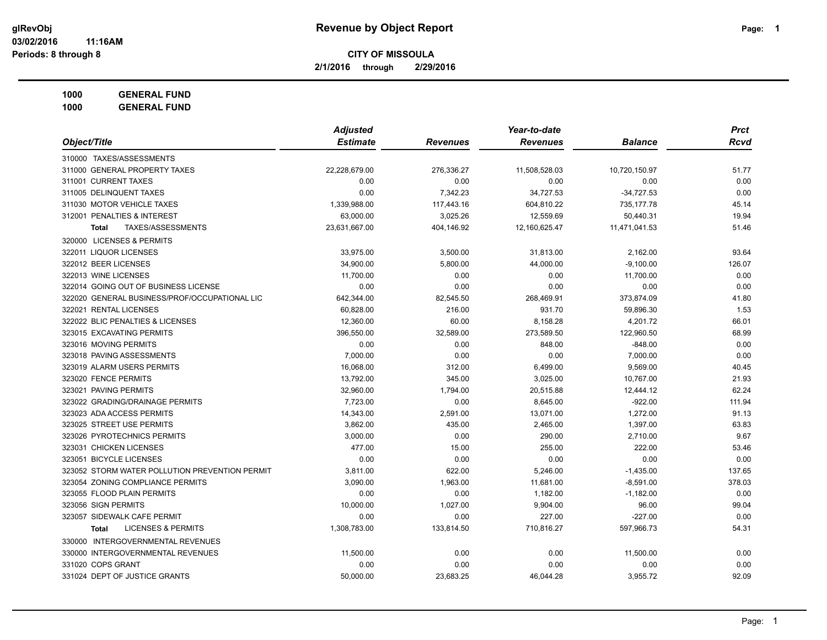**2/1/2016 through 2/29/2016**

**1000 GENERAL FUND**

|                                                | <b>Adjusted</b> |                 | Year-to-date    |                | <b>Prct</b> |
|------------------------------------------------|-----------------|-----------------|-----------------|----------------|-------------|
| Object/Title                                   | <b>Estimate</b> | <b>Revenues</b> | <b>Revenues</b> | <b>Balance</b> | <b>Rcvd</b> |
| 310000 TAXES/ASSESSMENTS                       |                 |                 |                 |                |             |
| 311000 GENERAL PROPERTY TAXES                  | 22,228,679.00   | 276,336.27      | 11,508,528.03   | 10,720,150.97  | 51.77       |
| 311001 CURRENT TAXES                           | 0.00            | 0.00            | 0.00            | 0.00           | 0.00        |
| 311005 DELINQUENT TAXES                        | 0.00            | 7,342.23        | 34,727.53       | $-34,727.53$   | 0.00        |
| 311030 MOTOR VEHICLE TAXES                     | 1,339,988.00    | 117,443.16      | 604,810.22      | 735,177.78     | 45.14       |
| 312001 PENALTIES & INTEREST                    | 63,000.00       | 3,025.26        | 12,559.69       | 50,440.31      | 19.94       |
| <b>TAXES/ASSESSMENTS</b><br><b>Total</b>       | 23,631,667.00   | 404,146.92      | 12,160,625.47   | 11,471,041.53  | 51.46       |
| 320000 LICENSES & PERMITS                      |                 |                 |                 |                |             |
| 322011 LIQUOR LICENSES                         | 33,975.00       | 3,500.00        | 31,813.00       | 2,162.00       | 93.64       |
| 322012 BEER LICENSES                           | 34,900.00       | 5,800.00        | 44,000.00       | $-9,100.00$    | 126.07      |
| 322013 WINE LICENSES                           | 11,700.00       | 0.00            | 0.00            | 11,700.00      | 0.00        |
| 322014 GOING OUT OF BUSINESS LICENSE           | 0.00            | 0.00            | 0.00            | 0.00           | 0.00        |
| 322020 GENERAL BUSINESS/PROF/OCCUPATIONAL LIC  | 642,344.00      | 82,545.50       | 268,469.91      | 373,874.09     | 41.80       |
| 322021 RENTAL LICENSES                         | 60,828.00       | 216.00          | 931.70          | 59,896.30      | 1.53        |
| 322022 BLIC PENALTIES & LICENSES               | 12,360.00       | 60.00           | 8,158.28        | 4,201.72       | 66.01       |
| 323015 EXCAVATING PERMITS                      | 396,550.00      | 32,589.00       | 273,589.50      | 122,960.50     | 68.99       |
| 323016 MOVING PERMITS                          | 0.00            | 0.00            | 848.00          | $-848.00$      | 0.00        |
| 323018 PAVING ASSESSMENTS                      | 7,000.00        | 0.00            | 0.00            | 7,000.00       | 0.00        |
| 323019 ALARM USERS PERMITS                     | 16,068.00       | 312.00          | 6,499.00        | 9,569.00       | 40.45       |
| 323020 FENCE PERMITS                           | 13,792.00       | 345.00          | 3,025.00        | 10,767.00      | 21.93       |
| 323021 PAVING PERMITS                          | 32,960.00       | 1,794.00        | 20,515.88       | 12,444.12      | 62.24       |
| 323022 GRADING/DRAINAGE PERMITS                | 7,723.00        | 0.00            | 8,645.00        | $-922.00$      | 111.94      |
| 323023 ADA ACCESS PERMITS                      | 14,343.00       | 2,591.00        | 13,071.00       | 1,272.00       | 91.13       |
| 323025 STREET USE PERMITS                      | 3,862.00        | 435.00          | 2,465.00        | 1,397.00       | 63.83       |
| 323026 PYROTECHNICS PERMITS                    | 3,000.00        | 0.00            | 290.00          | 2,710.00       | 9.67        |
| 323031 CHICKEN LICENSES                        | 477.00          | 15.00           | 255.00          | 222.00         | 53.46       |
| 323051 BICYCLE LICENSES                        | 0.00            | 0.00            | 0.00            | 0.00           | 0.00        |
| 323052 STORM WATER POLLUTION PREVENTION PERMIT | 3,811.00        | 622.00          | 5,246.00        | $-1,435.00$    | 137.65      |
| 323054 ZONING COMPLIANCE PERMITS               | 3,090.00        | 1,963.00        | 11,681.00       | $-8,591.00$    | 378.03      |
| 323055 FLOOD PLAIN PERMITS                     | 0.00            | 0.00            | 1,182.00        | $-1,182.00$    | 0.00        |
| 323056 SIGN PERMITS                            | 10,000.00       | 1,027.00        | 9,904.00        | 96.00          | 99.04       |
| 323057 SIDEWALK CAFE PERMIT                    | 0.00            | 0.00            | 227.00          | $-227.00$      | 0.00        |
| <b>LICENSES &amp; PERMITS</b><br><b>Total</b>  | 1,308,783.00    | 133,814.50      | 710,816.27      | 597,966.73     | 54.31       |
| 330000 INTERGOVERNMENTAL REVENUES              |                 |                 |                 |                |             |
| 330000 INTERGOVERNMENTAL REVENUES              | 11,500.00       | 0.00            | 0.00            | 11,500.00      | 0.00        |
| 331020 COPS GRANT                              | 0.00            | 0.00            | 0.00            | 0.00           | 0.00        |
| 331024 DEPT OF JUSTICE GRANTS                  | 50,000.00       | 23,683.25       | 46,044.28       | 3,955.72       | 92.09       |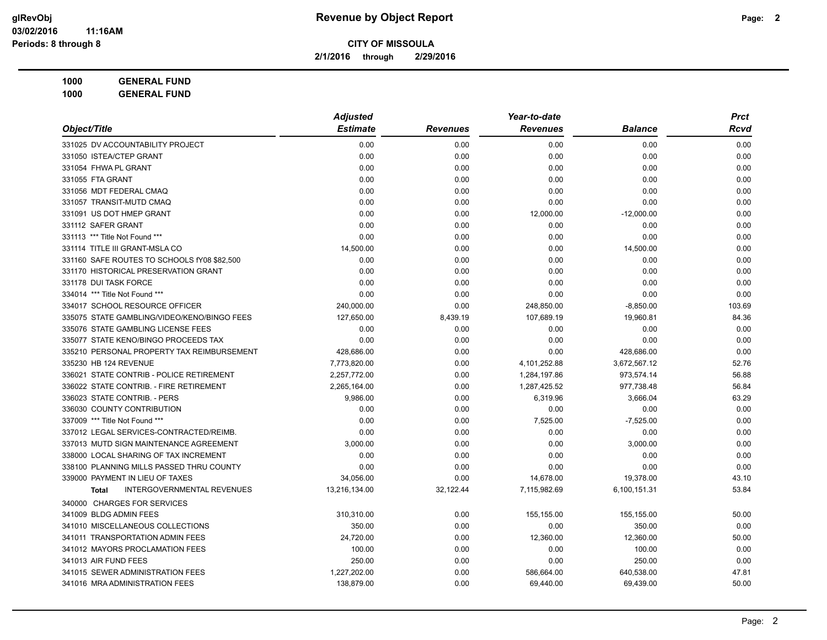**2/1/2016 through 2/29/2016**

**1000 GENERAL FUND 1000 GENERAL FUND**

|                                                   | <b>Adjusted</b> |                 | Year-to-date    |                | <b>Prct</b> |
|---------------------------------------------------|-----------------|-----------------|-----------------|----------------|-------------|
| Object/Title                                      | <b>Estimate</b> | <b>Revenues</b> | <b>Revenues</b> | <b>Balance</b> | Rcvd        |
| 331025 DV ACCOUNTABILITY PROJECT                  | 0.00            | 0.00            | 0.00            | 0.00           | 0.00        |
| 331050 ISTEA/CTEP GRANT                           | 0.00            | 0.00            | 0.00            | 0.00           | 0.00        |
| 331054 FHWA PL GRANT                              | 0.00            | 0.00            | 0.00            | 0.00           | 0.00        |
| 331055 FTA GRANT                                  | 0.00            | 0.00            | 0.00            | 0.00           | 0.00        |
| 331056 MDT FEDERAL CMAQ                           | 0.00            | 0.00            | 0.00            | 0.00           | 0.00        |
| 331057 TRANSIT-MUTD CMAQ                          | 0.00            | 0.00            | 0.00            | 0.00           | 0.00        |
| 331091 US DOT HMEP GRANT                          | 0.00            | 0.00            | 12,000.00       | $-12,000.00$   | 0.00        |
| 331112 SAFER GRANT                                | 0.00            | 0.00            | 0.00            | 0.00           | 0.00        |
| 331113 *** Title Not Found ***                    | 0.00            | 0.00            | 0.00            | 0.00           | 0.00        |
| 331114 TITLE III GRANT-MSLA CO                    | 14,500.00       | 0.00            | 0.00            | 14,500.00      | 0.00        |
| 331160 SAFE ROUTES TO SCHOOLS fY08 \$82,500       | 0.00            | 0.00            | 0.00            | 0.00           | 0.00        |
| 331170 HISTORICAL PRESERVATION GRANT              | 0.00            | 0.00            | 0.00            | 0.00           | 0.00        |
| 331178 DUI TASK FORCE                             | 0.00            | 0.00            | 0.00            | 0.00           | 0.00        |
| 334014 *** Title Not Found ***                    | 0.00            | 0.00            | 0.00            | 0.00           | 0.00        |
| 334017 SCHOOL RESOURCE OFFICER                    | 240,000.00      | 0.00            | 248,850.00      | $-8,850.00$    | 103.69      |
| 335075 STATE GAMBLING/VIDEO/KENO/BINGO FEES       | 127,650.00      | 8,439.19        | 107,689.19      | 19,960.81      | 84.36       |
| 335076 STATE GAMBLING LICENSE FEES                | 0.00            | 0.00            | 0.00            | 0.00           | 0.00        |
| 335077 STATE KENO/BINGO PROCEEDS TAX              | 0.00            | 0.00            | 0.00            | 0.00           | 0.00        |
| 335210 PERSONAL PROPERTY TAX REIMBURSEMENT        | 428,686.00      | 0.00            | 0.00            | 428,686.00     | 0.00        |
| 335230 HB 124 REVENUE                             | 7,773,820.00    | 0.00            | 4,101,252.88    | 3,672,567.12   | 52.76       |
| 336021 STATE CONTRIB - POLICE RETIREMENT          | 2,257,772.00    | 0.00            | 1,284,197.86    | 973,574.14     | 56.88       |
| 336022 STATE CONTRIB. - FIRE RETIREMENT           | 2,265,164.00    | 0.00            | 1,287,425.52    | 977,738.48     | 56.84       |
| 336023 STATE CONTRIB. - PERS                      | 9,986.00        | 0.00            | 6,319.96        | 3,666.04       | 63.29       |
| 336030 COUNTY CONTRIBUTION                        | 0.00            | 0.00            | 0.00            | 0.00           | 0.00        |
| 337009 *** Title Not Found ***                    | 0.00            | 0.00            | 7,525.00        | $-7,525.00$    | 0.00        |
| 337012 LEGAL SERVICES-CONTRACTED/REIMB.           | 0.00            | 0.00            | 0.00            | 0.00           | 0.00        |
| 337013 MUTD SIGN MAINTENANCE AGREEMENT            | 3,000.00        | 0.00            | 0.00            | 3,000.00       | 0.00        |
| 338000 LOCAL SHARING OF TAX INCREMENT             | 0.00            | 0.00            | 0.00            | 0.00           | 0.00        |
| 338100 PLANNING MILLS PASSED THRU COUNTY          | 0.00            | 0.00            | 0.00            | 0.00           | 0.00        |
| 339000 PAYMENT IN LIEU OF TAXES                   | 34,056.00       | 0.00            | 14,678.00       | 19,378.00      | 43.10       |
| <b>INTERGOVERNMENTAL REVENUES</b><br><b>Total</b> | 13,216,134.00   | 32,122.44       | 7,115,982.69    | 6,100,151.31   | 53.84       |
| 340000 CHARGES FOR SERVICES                       |                 |                 |                 |                |             |
| 341009 BLDG ADMIN FEES                            | 310.310.00      | 0.00            | 155,155.00      | 155,155.00     | 50.00       |
| 341010 MISCELLANEOUS COLLECTIONS                  | 350.00          | 0.00            | 0.00            | 350.00         | 0.00        |
| 341011 TRANSPORTATION ADMIN FEES                  | 24,720.00       | 0.00            | 12,360.00       | 12,360.00      | 50.00       |
| 341012 MAYORS PROCLAMATION FEES                   | 100.00          | 0.00            | 0.00            | 100.00         | 0.00        |
| 341013 AIR FUND FEES                              | 250.00          | 0.00            | 0.00            | 250.00         | 0.00        |
| 341015 SEWER ADMINISTRATION FEES                  | 1,227,202.00    | 0.00            | 586,664.00      | 640,538.00     | 47.81       |
| 341016 MRA ADMINISTRATION FEES                    | 138,879.00      | 0.00            | 69,440.00       | 69,439.00      | 50.00       |
|                                                   |                 |                 |                 |                |             |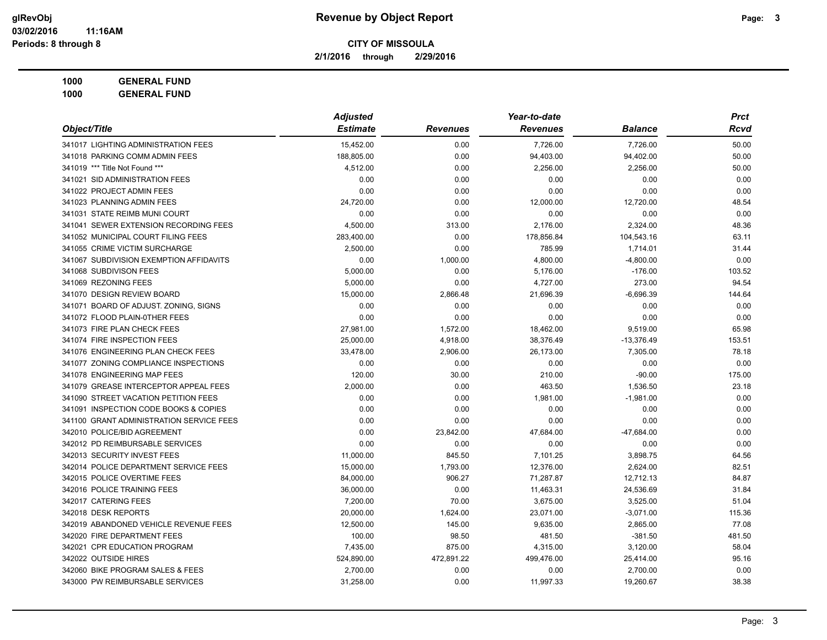**2/1/2016 through 2/29/2016**

**1000 GENERAL FUND 1000 GENERAL FUND**

| Object/Title                             | <b>Adjusted</b> |                 | Year-to-date    |                | <b>Prct</b> |
|------------------------------------------|-----------------|-----------------|-----------------|----------------|-------------|
|                                          | <b>Estimate</b> | <b>Revenues</b> | <b>Revenues</b> | <b>Balance</b> | Rcvd        |
| 341017 LIGHTING ADMINISTRATION FEES      | 15,452.00       | 0.00            | 7,726.00        | 7,726.00       | 50.00       |
| 341018 PARKING COMM ADMIN FEES           | 188,805.00      | 0.00            | 94,403.00       | 94,402.00      | 50.00       |
| 341019 *** Title Not Found ***           | 4,512.00        | 0.00            | 2,256.00        | 2,256.00       | 50.00       |
| 341021 SID ADMINISTRATION FEES           | 0.00            | 0.00            | 0.00            | 0.00           | 0.00        |
| 341022 PROJECT ADMIN FEES                | 0.00            | 0.00            | 0.00            | 0.00           | 0.00        |
| 341023 PLANNING ADMIN FEES               | 24,720.00       | 0.00            | 12,000.00       | 12,720.00      | 48.54       |
| 341031 STATE REIMB MUNI COURT            | 0.00            | 0.00            | 0.00            | 0.00           | 0.00        |
| 341041 SEWER EXTENSION RECORDING FEES    | 4,500.00        | 313.00          | 2,176.00        | 2,324.00       | 48.36       |
| 341052 MUNICIPAL COURT FILING FEES       | 283,400.00      | 0.00            | 178,856.84      | 104,543.16     | 63.11       |
| 341055 CRIME VICTIM SURCHARGE            | 2,500.00        | 0.00            | 785.99          | 1,714.01       | 31.44       |
| 341067 SUBDIVISION EXEMPTION AFFIDAVITS  | 0.00            | 1,000.00        | 4,800.00        | $-4,800.00$    | 0.00        |
| 341068 SUBDIVISON FEES                   | 5,000.00        | 0.00            | 5,176.00        | $-176.00$      | 103.52      |
| 341069 REZONING FEES                     | 5,000.00        | 0.00            | 4,727.00        | 273.00         | 94.54       |
| 341070 DESIGN REVIEW BOARD               | 15,000.00       | 2,866.48        | 21,696.39       | $-6,696.39$    | 144.64      |
| 341071 BOARD OF ADJUST. ZONING, SIGNS    | 0.00            | 0.00            | 0.00            | 0.00           | 0.00        |
| 341072 FLOOD PLAIN-0THER FEES            | 0.00            | 0.00            | 0.00            | 0.00           | 0.00        |
| 341073 FIRE PLAN CHECK FEES              | 27,981.00       | 1,572.00        | 18,462.00       | 9,519.00       | 65.98       |
| 341074 FIRE INSPECTION FEES              | 25,000.00       | 4,918.00        | 38,376.49       | $-13,376.49$   | 153.51      |
| 341076 ENGINEERING PLAN CHECK FEES       | 33,478.00       | 2,906.00        | 26,173.00       | 7,305.00       | 78.18       |
| 341077 ZONING COMPLIANCE INSPECTIONS     | 0.00            | 0.00            | 0.00            | 0.00           | 0.00        |
| 341078 ENGINEERING MAP FEES              | 120.00          | 30.00           | 210.00          | $-90.00$       | 175.00      |
| 341079 GREASE INTERCEPTOR APPEAL FEES    | 2,000.00        | 0.00            | 463.50          | 1,536.50       | 23.18       |
| 341090 STREET VACATION PETITION FEES     | 0.00            | 0.00            | 1,981.00        | $-1,981.00$    | 0.00        |
| 341091 INSPECTION CODE BOOKS & COPIES    | 0.00            | 0.00            | 0.00            | 0.00           | 0.00        |
| 341100 GRANT ADMINISTRATION SERVICE FEES | 0.00            | 0.00            | 0.00            | 0.00           | 0.00        |
| 342010 POLICE/BID AGREEMENT              | 0.00            | 23,842.00       | 47,684.00       | $-47,684.00$   | 0.00        |
| 342012 PD REIMBURSABLE SERVICES          | 0.00            | 0.00            | 0.00            | 0.00           | 0.00        |
| 342013 SECURITY INVEST FEES              | 11,000.00       | 845.50          | 7,101.25        | 3,898.75       | 64.56       |
| 342014 POLICE DEPARTMENT SERVICE FEES    | 15,000.00       | 1,793.00        | 12,376.00       | 2,624.00       | 82.51       |
| 342015 POLICE OVERTIME FEES              | 84,000.00       | 906.27          | 71,287.87       | 12,712.13      | 84.87       |
| 342016 POLICE TRAINING FEES              | 36,000.00       | 0.00            | 11,463.31       | 24,536.69      | 31.84       |
| 342017 CATERING FEES                     | 7,200.00        | 70.00           | 3,675.00        | 3,525.00       | 51.04       |
| 342018 DESK REPORTS                      | 20,000.00       | 1,624.00        | 23,071.00       | $-3,071.00$    | 115.36      |
| 342019 ABANDONED VEHICLE REVENUE FEES    | 12,500.00       | 145.00          | 9,635.00        | 2,865.00       | 77.08       |
| 342020 FIRE DEPARTMENT FEES              | 100.00          | 98.50           | 481.50          | $-381.50$      | 481.50      |
| 342021 CPR EDUCATION PROGRAM             | 7,435.00        | 875.00          | 4,315.00        | 3,120.00       | 58.04       |
| 342022 OUTSIDE HIRES                     | 524,890.00      | 472,891.22      | 499,476.00      | 25,414.00      | 95.16       |
| 342060 BIKE PROGRAM SALES & FEES         | 2,700.00        | 0.00            | 0.00            | 2,700.00       | 0.00        |
| 343000 PW REIMBURSABLE SERVICES          | 31,258.00       | 0.00            | 11,997.33       | 19,260.67      | 38.38       |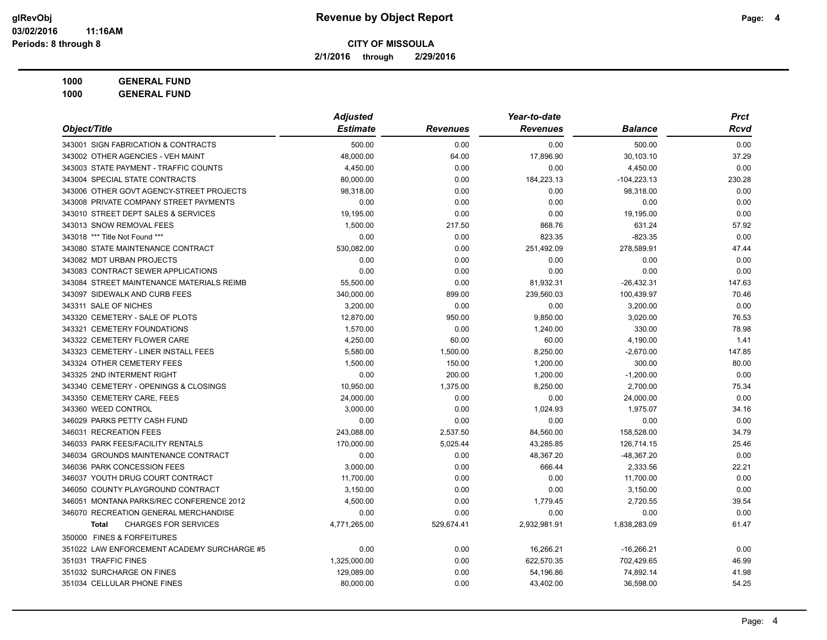**2/1/2016 through 2/29/2016**

| <b>GENERAL FUND</b><br>1000 |
|-----------------------------|
|-----------------------------|

|                                             | <b>Adjusted</b> |                 | Year-to-date    |                | <b>Prct</b> |
|---------------------------------------------|-----------------|-----------------|-----------------|----------------|-------------|
| Object/Title                                | <b>Estimate</b> | <b>Revenues</b> | <b>Revenues</b> | <b>Balance</b> | <b>Rcvd</b> |
| 343001 SIGN FABRICATION & CONTRACTS         | 500.00          | 0.00            | 0.00            | 500.00         | 0.00        |
| 343002 OTHER AGENCIES - VEH MAINT           | 48,000.00       | 64.00           | 17,896.90       | 30,103.10      | 37.29       |
| 343003 STATE PAYMENT - TRAFFIC COUNTS       | 4,450.00        | 0.00            | 0.00            | 4,450.00       | 0.00        |
| 343004 SPECIAL STATE CONTRACTS              | 80,000.00       | 0.00            | 184,223.13      | $-104,223.13$  | 230.28      |
| 343006 OTHER GOVT AGENCY-STREET PROJECTS    | 98,318.00       | 0.00            | 0.00            | 98,318.00      | 0.00        |
| 343008 PRIVATE COMPANY STREET PAYMENTS      | 0.00            | 0.00            | 0.00            | 0.00           | 0.00        |
| 343010 STREET DEPT SALES & SERVICES         | 19,195.00       | 0.00            | 0.00            | 19,195.00      | 0.00        |
| 343013 SNOW REMOVAL FEES                    | 1.500.00        | 217.50          | 868.76          | 631.24         | 57.92       |
| 343018 *** Title Not Found ***              | 0.00            | 0.00            | 823.35          | $-823.35$      | 0.00        |
| 343080 STATE MAINTENANCE CONTRACT           | 530,082.00      | 0.00            | 251,492.09      | 278,589.91     | 47.44       |
| 343082 MDT URBAN PROJECTS                   | 0.00            | 0.00            | 0.00            | 0.00           | 0.00        |
| 343083 CONTRACT SEWER APPLICATIONS          | 0.00            | 0.00            | 0.00            | 0.00           | 0.00        |
| 343084 STREET MAINTENANCE MATERIALS REIMB   | 55,500.00       | 0.00            | 81,932.31       | $-26,432.31$   | 147.63      |
| 343097 SIDEWALK AND CURB FEES               | 340,000.00      | 899.00          | 239,560.03      | 100,439.97     | 70.46       |
| 343311 SALE OF NICHES                       | 3,200.00        | 0.00            | 0.00            | 3,200.00       | 0.00        |
| 343320 CEMETERY - SALE OF PLOTS             | 12,870.00       | 950.00          | 9,850.00        | 3,020.00       | 76.53       |
| 343321 CEMETERY FOUNDATIONS                 | 1,570.00        | 0.00            | 1,240.00        | 330.00         | 78.98       |
| 343322 CEMETERY FLOWER CARE                 | 4,250.00        | 60.00           | 60.00           | 4,190.00       | 1.41        |
| 343323 CEMETERY - LINER INSTALL FEES        | 5,580.00        | 1,500.00        | 8,250.00        | $-2,670.00$    | 147.85      |
| 343324 OTHER CEMETERY FEES                  | 1,500.00        | 150.00          | 1,200.00        | 300.00         | 80.00       |
| 343325 2ND INTERMENT RIGHT                  | 0.00            | 200.00          | 1,200.00        | $-1,200.00$    | 0.00        |
| 343340 CEMETERY - OPENINGS & CLOSINGS       | 10,950.00       | 1,375.00        | 8,250.00        | 2,700.00       | 75.34       |
| 343350 CEMETERY CARE, FEES                  | 24,000.00       | 0.00            | 0.00            | 24,000.00      | 0.00        |
| 343360 WEED CONTROL                         | 3,000.00        | 0.00            | 1,024.93        | 1,975.07       | 34.16       |
| 346029 PARKS PETTY CASH FUND                | 0.00            | 0.00            | 0.00            | 0.00           | 0.00        |
| 346031 RECREATION FEES                      | 243,088.00      | 2,537.50        | 84,560.00       | 158,528.00     | 34.79       |
| 346033 PARK FEES/FACILITY RENTALS           | 170,000.00      | 5,025.44        | 43,285.85       | 126,714.15     | 25.46       |
| 346034 GROUNDS MAINTENANCE CONTRACT         | 0.00            | 0.00            | 48,367.20       | $-48,367.20$   | 0.00        |
| 346036 PARK CONCESSION FEES                 | 3,000.00        | 0.00            | 666.44          | 2,333.56       | 22.21       |
| 346037 YOUTH DRUG COURT CONTRACT            | 11,700.00       | 0.00            | 0.00            | 11,700.00      | 0.00        |
| 346050 COUNTY PLAYGROUND CONTRACT           | 3,150.00        | 0.00            | 0.00            | 3,150.00       | 0.00        |
| 346051 MONTANA PARKS/REC CONFERENCE 2012    | 4,500.00        | 0.00            | 1,779.45        | 2,720.55       | 39.54       |
| 346070 RECREATION GENERAL MERCHANDISE       | 0.00            | 0.00            | 0.00            | 0.00           | 0.00        |
| <b>CHARGES FOR SERVICES</b><br><b>Total</b> | 4,771,265.00    | 529,674.41      | 2,932,981.91    | 1,838,283.09   | 61.47       |
| 350000 FINES & FORFEITURES                  |                 |                 |                 |                |             |
| 351022 LAW ENFORCEMENT ACADEMY SURCHARGE #5 | 0.00            | 0.00            | 16,266.21       | $-16,266.21$   | 0.00        |
| 351031 TRAFFIC FINES                        | 1,325,000.00    | 0.00            | 622,570.35      | 702,429.65     | 46.99       |
| 351032 SURCHARGE ON FINES                   | 129,089.00      | 0.00            | 54,196.86       | 74,892.14      | 41.98       |
| 351034 CELLULAR PHONE FINES                 | 80,000.00       | 0.00            | 43,402.00       | 36,598.00      | 54.25       |
|                                             |                 |                 |                 |                |             |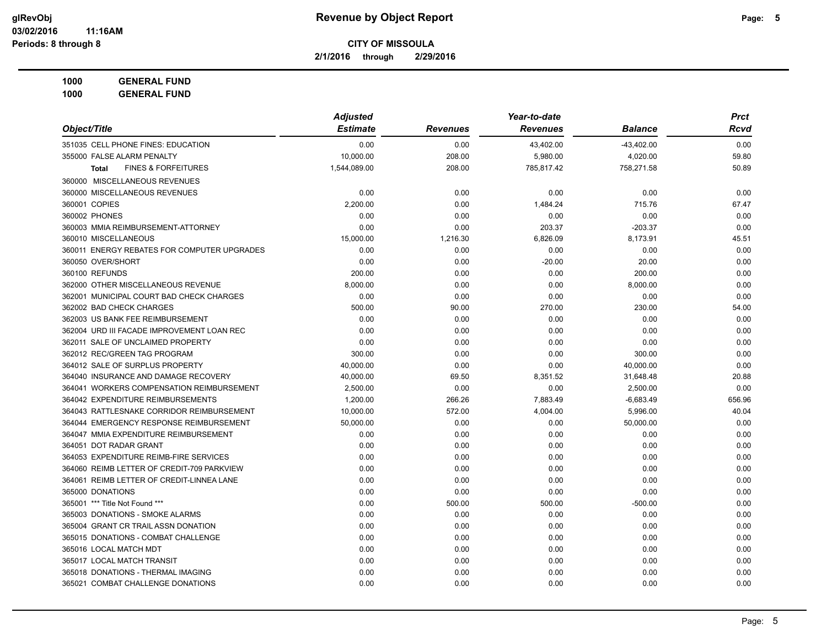**2/1/2016 through 2/29/2016**

**1000 GENERAL FUND 1000 GENERAL FUND**

|                                                | <b>Adjusted</b> |                 | Year-to-date    |                | <b>Prct</b> |
|------------------------------------------------|-----------------|-----------------|-----------------|----------------|-------------|
| Object/Title                                   | <b>Estimate</b> | <b>Revenues</b> | <b>Revenues</b> | <b>Balance</b> | Rcvd        |
| 351035 CELL PHONE FINES: EDUCATION             | 0.00            | 0.00            | 43,402.00       | $-43,402.00$   | 0.00        |
| 355000 FALSE ALARM PENALTY                     | 10.000.00       | 208.00          | 5,980.00        | 4,020.00       | 59.80       |
| <b>FINES &amp; FORFEITURES</b><br><b>Total</b> | 1,544,089.00    | 208.00          | 785,817.42      | 758,271.58     | 50.89       |
| 360000 MISCELLANEOUS REVENUES                  |                 |                 |                 |                |             |
| 360000 MISCELLANEOUS REVENUES                  | 0.00            | 0.00            | 0.00            | 0.00           | 0.00        |
| 360001 COPIES                                  | 2.200.00        | 0.00            | 1,484.24        | 715.76         | 67.47       |
| 360002 PHONES                                  | 0.00            | 0.00            | 0.00            | 0.00           | 0.00        |
| 360003 MMIA REIMBURSEMENT-ATTORNEY             | 0.00            | 0.00            | 203.37          | $-203.37$      | 0.00        |
| 360010 MISCELLANEOUS                           | 15,000.00       | 1,216.30        | 6,826.09        | 8,173.91       | 45.51       |
| 360011 ENERGY REBATES FOR COMPUTER UPGRADES    | 0.00            | 0.00            | 0.00            | 0.00           | 0.00        |
| 360050 OVER/SHORT                              | 0.00            | 0.00            | $-20.00$        | 20.00          | 0.00        |
| 360100 REFUNDS                                 | 200.00          | 0.00            | 0.00            | 200.00         | 0.00        |
| 362000 OTHER MISCELLANEOUS REVENUE             | 8,000.00        | 0.00            | 0.00            | 8,000.00       | 0.00        |
| 362001 MUNICIPAL COURT BAD CHECK CHARGES       | 0.00            | 0.00            | 0.00            | 0.00           | 0.00        |
| 362002 BAD CHECK CHARGES                       | 500.00          | 90.00           | 270.00          | 230.00         | 54.00       |
| 362003 US BANK FEE REIMBURSEMENT               | 0.00            | 0.00            | 0.00            | 0.00           | 0.00        |
| 362004 URD III FACADE IMPROVEMENT LOAN REC     | 0.00            | 0.00            | 0.00            | 0.00           | 0.00        |
| 362011 SALE OF UNCLAIMED PROPERTY              | 0.00            | 0.00            | 0.00            | 0.00           | 0.00        |
| 362012 REC/GREEN TAG PROGRAM                   | 300.00          | 0.00            | 0.00            | 300.00         | 0.00        |
| 364012 SALE OF SURPLUS PROPERTY                | 40,000.00       | 0.00            | 0.00            | 40,000.00      | 0.00        |
| 364040 INSURANCE AND DAMAGE RECOVERY           | 40,000.00       | 69.50           | 8,351.52        | 31,648.48      | 20.88       |
| 364041 WORKERS COMPENSATION REIMBURSEMENT      | 2,500.00        | 0.00            | 0.00            | 2,500.00       | 0.00        |
| 364042 EXPENDITURE REIMBURSEMENTS              | 1,200.00        | 266.26          | 7,883.49        | $-6,683.49$    | 656.96      |
| 364043 RATTLESNAKE CORRIDOR REIMBURSEMENT      | 10,000.00       | 572.00          | 4,004.00        | 5,996.00       | 40.04       |
| 364044 EMERGENCY RESPONSE REIMBURSEMENT        | 50,000.00       | 0.00            | 0.00            | 50,000.00      | 0.00        |
| 364047 MMIA EXPENDITURE REIMBURSEMENT          | 0.00            | 0.00            | 0.00            | 0.00           | 0.00        |
| 364051 DOT RADAR GRANT                         | 0.00            | 0.00            | 0.00            | 0.00           | 0.00        |
| 364053 EXPENDITURE REIMB-FIRE SERVICES         | 0.00            | 0.00            | 0.00            | 0.00           | 0.00        |
| 364060 REIMB LETTER OF CREDIT-709 PARKVIEW     | 0.00            | 0.00            | 0.00            | 0.00           | 0.00        |
| 364061 REIMB LETTER OF CREDIT-LINNEA LANE      | 0.00            | 0.00            | 0.00            | 0.00           | 0.00        |
| 365000 DONATIONS                               | 0.00            | 0.00            | 0.00            | 0.00           | 0.00        |
| 365001 *** Title Not Found ***                 | 0.00            | 500.00          | 500.00          | $-500.00$      | 0.00        |
| 365003 DONATIONS - SMOKE ALARMS                | 0.00            | 0.00            | 0.00            | 0.00           | 0.00        |
| 365004 GRANT CR TRAIL ASSN DONATION            | 0.00            | 0.00            | 0.00            | 0.00           | 0.00        |
| 365015 DONATIONS - COMBAT CHALLENGE            | 0.00            | 0.00            | 0.00            | 0.00           | 0.00        |
| 365016 LOCAL MATCH MDT                         | 0.00            | 0.00            | 0.00            | 0.00           | 0.00        |
| 365017 LOCAL MATCH TRANSIT                     | 0.00            | 0.00            | 0.00            | 0.00           | 0.00        |
| 365018 DONATIONS - THERMAL IMAGING             | 0.00            | 0.00            | 0.00            | 0.00           | 0.00        |
| 365021 COMBAT CHALLENGE DONATIONS              | 0.00            | 0.00            | 0.00            | 0.00           | 0.00        |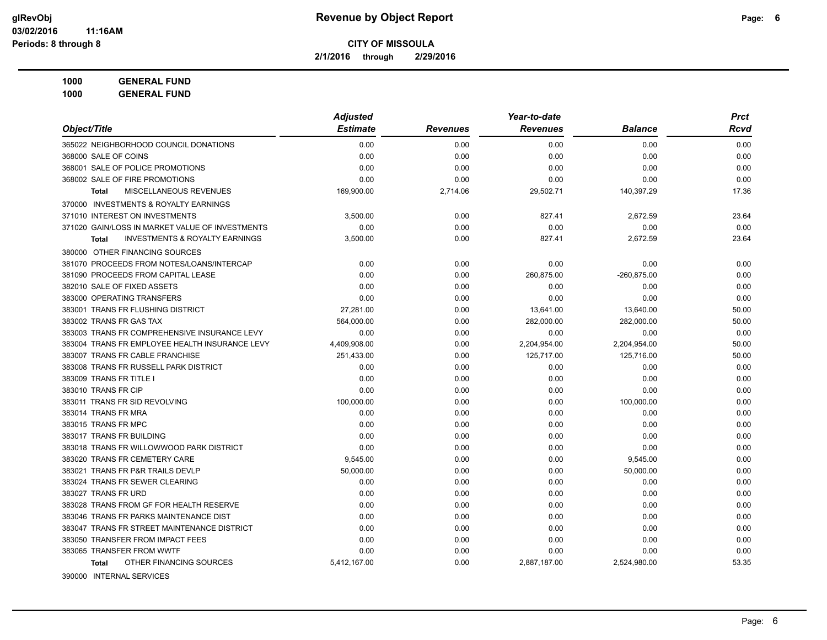**2/1/2016 through 2/29/2016**

**1000 GENERAL FUND**

**1000 GENERAL FUND**

|                                                           | <b>Adjusted</b> |                 | Year-to-date    |                | <b>Prct</b> |
|-----------------------------------------------------------|-----------------|-----------------|-----------------|----------------|-------------|
| Object/Title                                              | <b>Estimate</b> | <b>Revenues</b> | <b>Revenues</b> | <b>Balance</b> | <b>Rcvd</b> |
| 365022 NEIGHBORHOOD COUNCIL DONATIONS                     | 0.00            | 0.00            | 0.00            | 0.00           | 0.00        |
| 368000 SALE OF COINS                                      | 0.00            | 0.00            | 0.00            | 0.00           | 0.00        |
| 368001 SALE OF POLICE PROMOTIONS                          | 0.00            | 0.00            | 0.00            | 0.00           | 0.00        |
| 368002 SALE OF FIRE PROMOTIONS                            | 0.00            | 0.00            | 0.00            | 0.00           | 0.00        |
| MISCELLANEOUS REVENUES<br><b>Total</b>                    | 169,900.00      | 2,714.06        | 29,502.71       | 140,397.29     | 17.36       |
| 370000 INVESTMENTS & ROYALTY EARNINGS                     |                 |                 |                 |                |             |
| 371010 INTEREST ON INVESTMENTS                            | 3,500.00        | 0.00            | 827.41          | 2,672.59       | 23.64       |
| 371020 GAIN/LOSS IN MARKET VALUE OF INVESTMENTS           | 0.00            | 0.00            | 0.00            | 0.00           | 0.00        |
| <b>INVESTMENTS &amp; ROYALTY EARNINGS</b><br><b>Total</b> | 3,500.00        | 0.00            | 827.41          | 2,672.59       | 23.64       |
| 380000 OTHER FINANCING SOURCES                            |                 |                 |                 |                |             |
| 381070 PROCEEDS FROM NOTES/LOANS/INTERCAP                 | 0.00            | 0.00            | 0.00            | 0.00           | 0.00        |
| 381090 PROCEEDS FROM CAPITAL LEASE                        | 0.00            | 0.00            | 260,875.00      | -260,875.00    | 0.00        |
| 382010 SALE OF FIXED ASSETS                               | 0.00            | 0.00            | 0.00            | 0.00           | 0.00        |
| 383000 OPERATING TRANSFERS                                | 0.00            | 0.00            | 0.00            | 0.00           | 0.00        |
| 383001 TRANS FR FLUSHING DISTRICT                         | 27.281.00       | 0.00            | 13,641.00       | 13,640.00      | 50.00       |
| 383002 TRANS FR GAS TAX                                   | 564,000.00      | 0.00            | 282,000.00      | 282,000.00     | 50.00       |
| 383003 TRANS FR COMPREHENSIVE INSURANCE LEVY              | 0.00            | 0.00            | 0.00            | 0.00           | 0.00        |
| 383004 TRANS FR EMPLOYEE HEALTH INSURANCE LEVY            | 4,409,908.00    | 0.00            | 2,204,954.00    | 2,204,954.00   | 50.00       |
| 383007 TRANS FR CABLE FRANCHISE                           | 251.433.00      | 0.00            | 125,717.00      | 125,716.00     | 50.00       |
| 383008 TRANS FR RUSSELL PARK DISTRICT                     | 0.00            | 0.00            | 0.00            | 0.00           | 0.00        |
| 383009 TRANS FR TITLE I                                   | 0.00            | 0.00            | 0.00            | 0.00           | 0.00        |
| 383010 TRANS FR CIP                                       | 0.00            | 0.00            | 0.00            | 0.00           | 0.00        |
| 383011 TRANS FR SID REVOLVING                             | 100.000.00      | 0.00            | 0.00            | 100,000.00     | 0.00        |
| 383014 TRANS FR MRA                                       | 0.00            | 0.00            | 0.00            | 0.00           | 0.00        |
| 383015 TRANS FR MPC                                       | 0.00            | 0.00            | 0.00            | 0.00           | 0.00        |
| 383017 TRANS FR BUILDING                                  | 0.00            | 0.00            | 0.00            | 0.00           | 0.00        |
| 383018 TRANS FR WILLOWWOOD PARK DISTRICT                  | 0.00            | 0.00            | 0.00            | 0.00           | 0.00        |
| 383020 TRANS FR CEMETERY CARE                             | 9,545.00        | 0.00            | 0.00            | 9,545.00       | 0.00        |
| 383021 TRANS FR P&R TRAILS DEVLP                          | 50,000.00       | 0.00            | 0.00            | 50,000.00      | 0.00        |
| 383024 TRANS FR SEWER CLEARING                            | 0.00            | 0.00            | 0.00            | 0.00           | 0.00        |
| 383027 TRANS FR URD                                       | 0.00            | 0.00            | 0.00            | 0.00           | 0.00        |
| 383028 TRANS FROM GF FOR HEALTH RESERVE                   | 0.00            | 0.00            | 0.00            | 0.00           | 0.00        |
| 383046 TRANS FR PARKS MAINTENANCE DIST                    | 0.00            | 0.00            | 0.00            | 0.00           | 0.00        |
| 383047 TRANS FR STREET MAINTENANCE DISTRICT               | 0.00            | 0.00            | 0.00            | 0.00           | 0.00        |
| 383050 TRANSFER FROM IMPACT FEES                          | 0.00            | 0.00            | 0.00            | 0.00           | 0.00        |
| 383065 TRANSFER FROM WWTF                                 | 0.00            | 0.00            | 0.00            | 0.00           | 0.00        |
| OTHER FINANCING SOURCES<br><b>Total</b>                   | 5,412,167.00    | 0.00            | 2,887,187.00    | 2,524,980.00   | 53.35       |
|                                                           |                 |                 |                 |                |             |

390000 INTERNAL SERVICES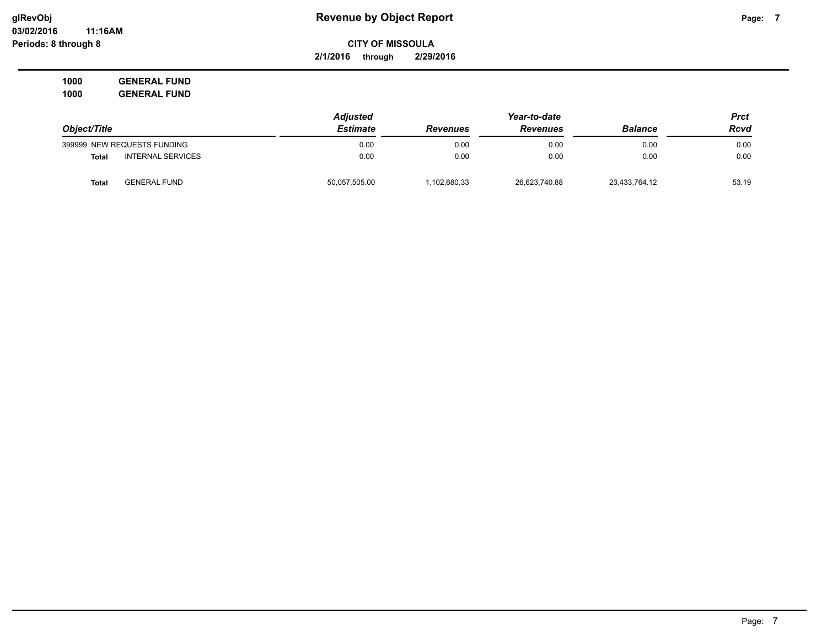**2/1/2016 through 2/29/2016**

**1000 GENERAL FUND 1000 GENERAL FUND**

|                                          | <b>Adjusted</b> |                 |                 | Prct           |       |
|------------------------------------------|-----------------|-----------------|-----------------|----------------|-------|
| Object/Title                             | <b>Estimate</b> | <b>Revenues</b> | <b>Revenues</b> | <b>Balance</b> | Rcvd  |
| 399999 NEW REQUESTS FUNDING              | 0.00            | 0.00            | 0.00            | 0.00           | 0.00  |
| <b>INTERNAL SERVICES</b><br><b>Total</b> | 0.00            | 0.00            | 0.00            | 0.00           | 0.00  |
| <b>GENERAL FUND</b><br>Total             | 50,057,505.00   | .102.680.33     | 26,623,740.88   | 23,433,764.12  | 53.19 |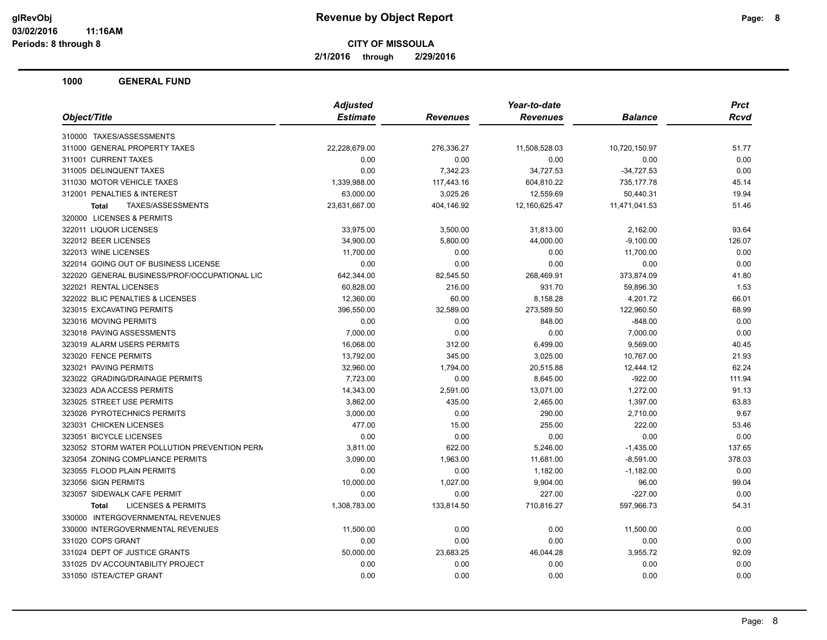**2/1/2016 through 2/29/2016**

| <b>Estimate</b><br><b>Revenues</b><br><b>Balance</b><br>Rcvd<br><b>Revenues</b><br>22,228,679.00<br>276,336.27<br>11,508,528.03<br>10,720,150.97<br>51.77<br>0.00<br>0.00<br>0.00<br>0.00<br>0.00<br>0.00<br>7,342.23<br>34,727.53<br>$-34,727.53$<br>0.00<br>117,443.16<br>1,339,988.00<br>604,810.22<br>735,177.78<br>45.14<br>63,000.00<br>3,025.26<br>12,559.69<br>50,440.31<br>19.94<br>TAXES/ASSESSMENTS<br>23,631,667.00<br>404,146.92<br>12,160,625.47<br>11,471,041.53<br>51.46<br><b>Total</b><br>33,975.00<br>3,500.00<br>31,813.00<br>2,162.00<br>93.64<br>34,900.00<br>5,800.00<br>44,000.00<br>$-9,100.00$<br>126.07<br>0.00<br>11,700.00<br>0.00<br>0.00<br>11,700.00<br>0.00<br>0.00<br>0.00<br>0.00<br>0.00<br>642,344.00<br>82,545.50<br>268,469.91<br>373,874.09<br>41.80<br>60,828.00<br>216.00<br>931.70<br>59,896.30<br>1.53<br>60.00<br>12,360.00<br>8,158.28<br>4,201.72<br>66.01<br>396,550.00<br>32,589.00<br>273,589.50<br>122,960.50<br>68.99<br>0.00<br>0.00<br>848.00<br>$-848.00$<br>0.00<br>0.00<br>0.00<br>7,000.00<br>0.00<br>7,000.00<br>16,068.00<br>312.00<br>6,499.00<br>9,569.00<br>40.45<br>13,792.00<br>345.00<br>3,025.00<br>10,767.00<br>21.93<br>62.24<br>32,960.00<br>1,794.00<br>20,515.88<br>12,444.12<br>7,723.00<br>0.00<br>8,645.00<br>$-922.00$<br>111.94<br>14,343.00<br>2,591.00<br>13,071.00<br>1,272.00<br>91.13<br>1,397.00<br>3,862.00<br>435.00<br>2,465.00<br>63.83<br>0.00<br>9.67<br>3,000.00<br>290.00<br>2,710.00<br>477.00<br>15.00<br>255.00<br>222.00<br>53.46<br>0.00<br>0.00<br>0.00<br>0.00<br>0.00<br>3,811.00<br>622.00<br>5,246.00<br>$-1,435.00$<br>137.65<br>3,090.00<br>1,963.00<br>11,681.00<br>$-8,591.00$<br>378.03 |                                               | <b>Adjusted</b> | Year-to-date | <b>Prct</b> |
|---------------------------------------------------------------------------------------------------------------------------------------------------------------------------------------------------------------------------------------------------------------------------------------------------------------------------------------------------------------------------------------------------------------------------------------------------------------------------------------------------------------------------------------------------------------------------------------------------------------------------------------------------------------------------------------------------------------------------------------------------------------------------------------------------------------------------------------------------------------------------------------------------------------------------------------------------------------------------------------------------------------------------------------------------------------------------------------------------------------------------------------------------------------------------------------------------------------------------------------------------------------------------------------------------------------------------------------------------------------------------------------------------------------------------------------------------------------------------------------------------------------------------------------------------------------------------------------------------------------------------------------------------------------------------------------------------|-----------------------------------------------|-----------------|--------------|-------------|
|                                                                                                                                                                                                                                                                                                                                                                                                                                                                                                                                                                                                                                                                                                                                                                                                                                                                                                                                                                                                                                                                                                                                                                                                                                                                                                                                                                                                                                                                                                                                                                                                                                                                                                   | Object/Title                                  |                 |              |             |
|                                                                                                                                                                                                                                                                                                                                                                                                                                                                                                                                                                                                                                                                                                                                                                                                                                                                                                                                                                                                                                                                                                                                                                                                                                                                                                                                                                                                                                                                                                                                                                                                                                                                                                   | 310000 TAXES/ASSESSMENTS                      |                 |              |             |
|                                                                                                                                                                                                                                                                                                                                                                                                                                                                                                                                                                                                                                                                                                                                                                                                                                                                                                                                                                                                                                                                                                                                                                                                                                                                                                                                                                                                                                                                                                                                                                                                                                                                                                   | 311000 GENERAL PROPERTY TAXES                 |                 |              |             |
|                                                                                                                                                                                                                                                                                                                                                                                                                                                                                                                                                                                                                                                                                                                                                                                                                                                                                                                                                                                                                                                                                                                                                                                                                                                                                                                                                                                                                                                                                                                                                                                                                                                                                                   | 311001 CURRENT TAXES                          |                 |              |             |
|                                                                                                                                                                                                                                                                                                                                                                                                                                                                                                                                                                                                                                                                                                                                                                                                                                                                                                                                                                                                                                                                                                                                                                                                                                                                                                                                                                                                                                                                                                                                                                                                                                                                                                   | 311005 DELINQUENT TAXES                       |                 |              |             |
|                                                                                                                                                                                                                                                                                                                                                                                                                                                                                                                                                                                                                                                                                                                                                                                                                                                                                                                                                                                                                                                                                                                                                                                                                                                                                                                                                                                                                                                                                                                                                                                                                                                                                                   | 311030 MOTOR VEHICLE TAXES                    |                 |              |             |
|                                                                                                                                                                                                                                                                                                                                                                                                                                                                                                                                                                                                                                                                                                                                                                                                                                                                                                                                                                                                                                                                                                                                                                                                                                                                                                                                                                                                                                                                                                                                                                                                                                                                                                   | 312001 PENALTIES & INTEREST                   |                 |              |             |
|                                                                                                                                                                                                                                                                                                                                                                                                                                                                                                                                                                                                                                                                                                                                                                                                                                                                                                                                                                                                                                                                                                                                                                                                                                                                                                                                                                                                                                                                                                                                                                                                                                                                                                   |                                               |                 |              |             |
|                                                                                                                                                                                                                                                                                                                                                                                                                                                                                                                                                                                                                                                                                                                                                                                                                                                                                                                                                                                                                                                                                                                                                                                                                                                                                                                                                                                                                                                                                                                                                                                                                                                                                                   | 320000 LICENSES & PERMITS                     |                 |              |             |
|                                                                                                                                                                                                                                                                                                                                                                                                                                                                                                                                                                                                                                                                                                                                                                                                                                                                                                                                                                                                                                                                                                                                                                                                                                                                                                                                                                                                                                                                                                                                                                                                                                                                                                   | 322011 LIQUOR LICENSES                        |                 |              |             |
|                                                                                                                                                                                                                                                                                                                                                                                                                                                                                                                                                                                                                                                                                                                                                                                                                                                                                                                                                                                                                                                                                                                                                                                                                                                                                                                                                                                                                                                                                                                                                                                                                                                                                                   | 322012 BEER LICENSES                          |                 |              |             |
|                                                                                                                                                                                                                                                                                                                                                                                                                                                                                                                                                                                                                                                                                                                                                                                                                                                                                                                                                                                                                                                                                                                                                                                                                                                                                                                                                                                                                                                                                                                                                                                                                                                                                                   | 322013 WINE LICENSES                          |                 |              |             |
|                                                                                                                                                                                                                                                                                                                                                                                                                                                                                                                                                                                                                                                                                                                                                                                                                                                                                                                                                                                                                                                                                                                                                                                                                                                                                                                                                                                                                                                                                                                                                                                                                                                                                                   | 322014 GOING OUT OF BUSINESS LICENSE          |                 |              |             |
|                                                                                                                                                                                                                                                                                                                                                                                                                                                                                                                                                                                                                                                                                                                                                                                                                                                                                                                                                                                                                                                                                                                                                                                                                                                                                                                                                                                                                                                                                                                                                                                                                                                                                                   | 322020 GENERAL BUSINESS/PROF/OCCUPATIONAL LIC |                 |              |             |
|                                                                                                                                                                                                                                                                                                                                                                                                                                                                                                                                                                                                                                                                                                                                                                                                                                                                                                                                                                                                                                                                                                                                                                                                                                                                                                                                                                                                                                                                                                                                                                                                                                                                                                   | 322021 RENTAL LICENSES                        |                 |              |             |
|                                                                                                                                                                                                                                                                                                                                                                                                                                                                                                                                                                                                                                                                                                                                                                                                                                                                                                                                                                                                                                                                                                                                                                                                                                                                                                                                                                                                                                                                                                                                                                                                                                                                                                   | 322022 BLIC PENALTIES & LICENSES              |                 |              |             |
|                                                                                                                                                                                                                                                                                                                                                                                                                                                                                                                                                                                                                                                                                                                                                                                                                                                                                                                                                                                                                                                                                                                                                                                                                                                                                                                                                                                                                                                                                                                                                                                                                                                                                                   | 323015 EXCAVATING PERMITS                     |                 |              |             |
|                                                                                                                                                                                                                                                                                                                                                                                                                                                                                                                                                                                                                                                                                                                                                                                                                                                                                                                                                                                                                                                                                                                                                                                                                                                                                                                                                                                                                                                                                                                                                                                                                                                                                                   | 323016 MOVING PERMITS                         |                 |              |             |
|                                                                                                                                                                                                                                                                                                                                                                                                                                                                                                                                                                                                                                                                                                                                                                                                                                                                                                                                                                                                                                                                                                                                                                                                                                                                                                                                                                                                                                                                                                                                                                                                                                                                                                   | 323018 PAVING ASSESSMENTS                     |                 |              |             |
|                                                                                                                                                                                                                                                                                                                                                                                                                                                                                                                                                                                                                                                                                                                                                                                                                                                                                                                                                                                                                                                                                                                                                                                                                                                                                                                                                                                                                                                                                                                                                                                                                                                                                                   | 323019 ALARM USERS PERMITS                    |                 |              |             |
|                                                                                                                                                                                                                                                                                                                                                                                                                                                                                                                                                                                                                                                                                                                                                                                                                                                                                                                                                                                                                                                                                                                                                                                                                                                                                                                                                                                                                                                                                                                                                                                                                                                                                                   | 323020 FENCE PERMITS                          |                 |              |             |
|                                                                                                                                                                                                                                                                                                                                                                                                                                                                                                                                                                                                                                                                                                                                                                                                                                                                                                                                                                                                                                                                                                                                                                                                                                                                                                                                                                                                                                                                                                                                                                                                                                                                                                   | 323021 PAVING PERMITS                         |                 |              |             |
|                                                                                                                                                                                                                                                                                                                                                                                                                                                                                                                                                                                                                                                                                                                                                                                                                                                                                                                                                                                                                                                                                                                                                                                                                                                                                                                                                                                                                                                                                                                                                                                                                                                                                                   | 323022 GRADING/DRAINAGE PERMITS               |                 |              |             |
|                                                                                                                                                                                                                                                                                                                                                                                                                                                                                                                                                                                                                                                                                                                                                                                                                                                                                                                                                                                                                                                                                                                                                                                                                                                                                                                                                                                                                                                                                                                                                                                                                                                                                                   | 323023 ADA ACCESS PERMITS                     |                 |              |             |
|                                                                                                                                                                                                                                                                                                                                                                                                                                                                                                                                                                                                                                                                                                                                                                                                                                                                                                                                                                                                                                                                                                                                                                                                                                                                                                                                                                                                                                                                                                                                                                                                                                                                                                   | 323025 STREET USE PERMITS                     |                 |              |             |
|                                                                                                                                                                                                                                                                                                                                                                                                                                                                                                                                                                                                                                                                                                                                                                                                                                                                                                                                                                                                                                                                                                                                                                                                                                                                                                                                                                                                                                                                                                                                                                                                                                                                                                   | 323026 PYROTECHNICS PERMITS                   |                 |              |             |
|                                                                                                                                                                                                                                                                                                                                                                                                                                                                                                                                                                                                                                                                                                                                                                                                                                                                                                                                                                                                                                                                                                                                                                                                                                                                                                                                                                                                                                                                                                                                                                                                                                                                                                   | 323031 CHICKEN LICENSES                       |                 |              |             |
|                                                                                                                                                                                                                                                                                                                                                                                                                                                                                                                                                                                                                                                                                                                                                                                                                                                                                                                                                                                                                                                                                                                                                                                                                                                                                                                                                                                                                                                                                                                                                                                                                                                                                                   | 323051 BICYCLE LICENSES                       |                 |              |             |
|                                                                                                                                                                                                                                                                                                                                                                                                                                                                                                                                                                                                                                                                                                                                                                                                                                                                                                                                                                                                                                                                                                                                                                                                                                                                                                                                                                                                                                                                                                                                                                                                                                                                                                   | 323052 STORM WATER POLLUTION PREVENTION PERN  |                 |              |             |
|                                                                                                                                                                                                                                                                                                                                                                                                                                                                                                                                                                                                                                                                                                                                                                                                                                                                                                                                                                                                                                                                                                                                                                                                                                                                                                                                                                                                                                                                                                                                                                                                                                                                                                   | 323054 ZONING COMPLIANCE PERMITS              |                 |              |             |
| 0.00<br>0.00<br>1,182.00<br>$-1,182.00$<br>0.00                                                                                                                                                                                                                                                                                                                                                                                                                                                                                                                                                                                                                                                                                                                                                                                                                                                                                                                                                                                                                                                                                                                                                                                                                                                                                                                                                                                                                                                                                                                                                                                                                                                   | 323055 FLOOD PLAIN PERMITS                    |                 |              |             |
| 10,000.00<br>1,027.00<br>9,904.00<br>96.00<br>99.04                                                                                                                                                                                                                                                                                                                                                                                                                                                                                                                                                                                                                                                                                                                                                                                                                                                                                                                                                                                                                                                                                                                                                                                                                                                                                                                                                                                                                                                                                                                                                                                                                                               | 323056 SIGN PERMITS                           |                 |              |             |
| 0.00<br>0.00<br>227.00<br>$-227.00$<br>0.00                                                                                                                                                                                                                                                                                                                                                                                                                                                                                                                                                                                                                                                                                                                                                                                                                                                                                                                                                                                                                                                                                                                                                                                                                                                                                                                                                                                                                                                                                                                                                                                                                                                       | 323057 SIDEWALK CAFE PERMIT                   |                 |              |             |
| <b>LICENSES &amp; PERMITS</b><br>1,308,783.00<br>133,814.50<br>710,816.27<br>597,966.73<br>54.31<br><b>Total</b>                                                                                                                                                                                                                                                                                                                                                                                                                                                                                                                                                                                                                                                                                                                                                                                                                                                                                                                                                                                                                                                                                                                                                                                                                                                                                                                                                                                                                                                                                                                                                                                  |                                               |                 |              |             |
|                                                                                                                                                                                                                                                                                                                                                                                                                                                                                                                                                                                                                                                                                                                                                                                                                                                                                                                                                                                                                                                                                                                                                                                                                                                                                                                                                                                                                                                                                                                                                                                                                                                                                                   | 330000 INTERGOVERNMENTAL REVENUES             |                 |              |             |
| 0.00<br>0.00<br>11,500.00<br>11,500.00<br>0.00                                                                                                                                                                                                                                                                                                                                                                                                                                                                                                                                                                                                                                                                                                                                                                                                                                                                                                                                                                                                                                                                                                                                                                                                                                                                                                                                                                                                                                                                                                                                                                                                                                                    | 330000 INTERGOVERNMENTAL REVENUES             |                 |              |             |
| 0.00<br>0.00<br>0.00<br>0.00<br>0.00                                                                                                                                                                                                                                                                                                                                                                                                                                                                                                                                                                                                                                                                                                                                                                                                                                                                                                                                                                                                                                                                                                                                                                                                                                                                                                                                                                                                                                                                                                                                                                                                                                                              | 331020 COPS GRANT                             |                 |              |             |
| 50,000.00<br>23,683.25<br>46,044.28<br>3,955.72<br>92.09                                                                                                                                                                                                                                                                                                                                                                                                                                                                                                                                                                                                                                                                                                                                                                                                                                                                                                                                                                                                                                                                                                                                                                                                                                                                                                                                                                                                                                                                                                                                                                                                                                          | 331024 DEPT OF JUSTICE GRANTS                 |                 |              |             |
| 0.00<br>0.00<br>0.00<br>0.00<br>0.00                                                                                                                                                                                                                                                                                                                                                                                                                                                                                                                                                                                                                                                                                                                                                                                                                                                                                                                                                                                                                                                                                                                                                                                                                                                                                                                                                                                                                                                                                                                                                                                                                                                              | 331025 DV ACCOUNTABILITY PROJECT              |                 |              |             |
| 0.00<br>0.00<br>0.00<br>0.00<br>0.00                                                                                                                                                                                                                                                                                                                                                                                                                                                                                                                                                                                                                                                                                                                                                                                                                                                                                                                                                                                                                                                                                                                                                                                                                                                                                                                                                                                                                                                                                                                                                                                                                                                              | 331050 ISTEA/CTEP GRANT                       |                 |              |             |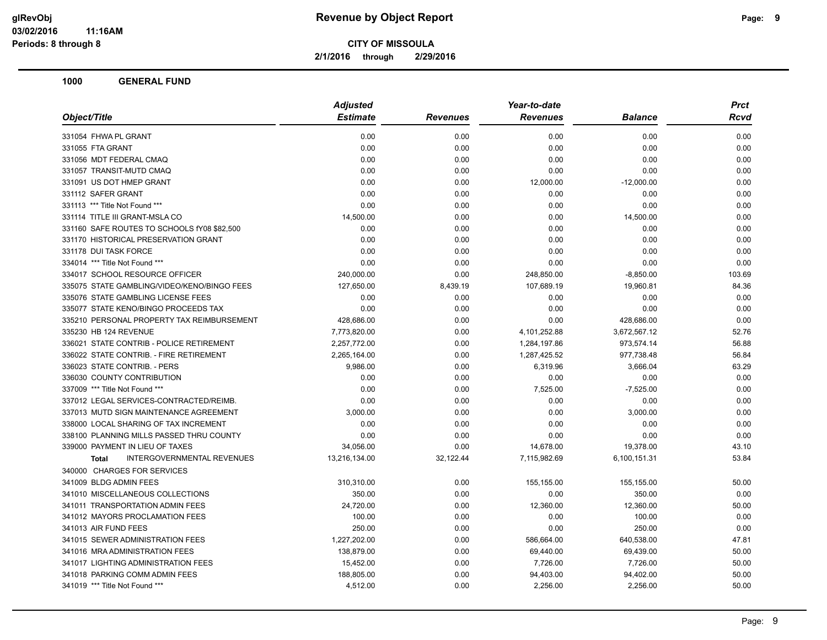**2/1/2016 through 2/29/2016**

| Object/Title                                      | <b>Adjusted</b> |                 | Year-to-date    |                | <b>Prct</b> |
|---------------------------------------------------|-----------------|-----------------|-----------------|----------------|-------------|
|                                                   | <b>Estimate</b> | <b>Revenues</b> | <b>Revenues</b> | <b>Balance</b> | Rcvd        |
| 331054 FHWA PL GRANT                              | 0.00            | 0.00            | 0.00            | 0.00           | 0.00        |
| 331055 FTA GRANT                                  | 0.00            | 0.00            | 0.00            | 0.00           | 0.00        |
| 331056 MDT FEDERAL CMAQ                           | 0.00            | 0.00            | 0.00            | 0.00           | 0.00        |
| 331057 TRANSIT-MUTD CMAQ                          | 0.00            | 0.00            | 0.00            | 0.00           | 0.00        |
| 331091 US DOT HMEP GRANT                          | 0.00            | 0.00            | 12,000.00       | $-12,000.00$   | 0.00        |
| 331112 SAFER GRANT                                | 0.00            | 0.00            | 0.00            | 0.00           | 0.00        |
| 331113 *** Title Not Found ***                    | 0.00            | 0.00            | 0.00            | 0.00           | 0.00        |
| 331114 TITLE III GRANT-MSLA CO                    | 14,500.00       | 0.00            | 0.00            | 14,500.00      | 0.00        |
| 331160 SAFE ROUTES TO SCHOOLS fY08 \$82,500       | 0.00            | 0.00            | 0.00            | 0.00           | 0.00        |
| 331170 HISTORICAL PRESERVATION GRANT              | 0.00            | 0.00            | 0.00            | 0.00           | 0.00        |
| 331178 DUI TASK FORCE                             | 0.00            | 0.00            | 0.00            | 0.00           | 0.00        |
| 334014 *** Title Not Found ***                    | 0.00            | 0.00            | 0.00            | 0.00           | 0.00        |
| 334017 SCHOOL RESOURCE OFFICER                    | 240,000.00      | 0.00            | 248,850.00      | $-8,850.00$    | 103.69      |
| 335075 STATE GAMBLING/VIDEO/KENO/BINGO FEES       | 127,650.00      | 8,439.19        | 107,689.19      | 19,960.81      | 84.36       |
| 335076 STATE GAMBLING LICENSE FEES                | 0.00            | 0.00            | 0.00            | 0.00           | 0.00        |
| 335077 STATE KENO/BINGO PROCEEDS TAX              | 0.00            | 0.00            | 0.00            | 0.00           | 0.00        |
| 335210 PERSONAL PROPERTY TAX REIMBURSEMENT        | 428,686.00      | 0.00            | 0.00            | 428,686.00     | 0.00        |
| 335230 HB 124 REVENUE                             | 7,773,820.00    | 0.00            | 4,101,252.88    | 3,672,567.12   | 52.76       |
| 336021 STATE CONTRIB - POLICE RETIREMENT          | 2,257,772.00    | 0.00            | 1,284,197.86    | 973,574.14     | 56.88       |
| 336022 STATE CONTRIB. - FIRE RETIREMENT           | 2,265,164.00    | 0.00            | 1,287,425.52    | 977,738.48     | 56.84       |
| 336023 STATE CONTRIB. - PERS                      | 9,986.00        | 0.00            | 6,319.96        | 3,666.04       | 63.29       |
| 336030 COUNTY CONTRIBUTION                        | 0.00            | 0.00            | 0.00            | 0.00           | 0.00        |
| 337009 *** Title Not Found ***                    | 0.00            | 0.00            | 7,525.00        | $-7,525.00$    | 0.00        |
| 337012 LEGAL SERVICES-CONTRACTED/REIMB.           | 0.00            | 0.00            | 0.00            | 0.00           | 0.00        |
| 337013 MUTD SIGN MAINTENANCE AGREEMENT            | 3,000.00        | 0.00            | 0.00            | 3,000.00       | 0.00        |
| 338000 LOCAL SHARING OF TAX INCREMENT             | 0.00            | 0.00            | 0.00            | 0.00           | 0.00        |
| 338100 PLANNING MILLS PASSED THRU COUNTY          | 0.00            | 0.00            | 0.00            | 0.00           | 0.00        |
| 339000 PAYMENT IN LIEU OF TAXES                   | 34,056.00       | 0.00            | 14,678.00       | 19,378.00      | 43.10       |
| <b>INTERGOVERNMENTAL REVENUES</b><br><b>Total</b> | 13,216,134.00   | 32,122.44       | 7,115,982.69    | 6,100,151.31   | 53.84       |
| 340000 CHARGES FOR SERVICES                       |                 |                 |                 |                |             |
| 341009 BLDG ADMIN FEES                            | 310,310.00      | 0.00            | 155,155.00      | 155,155.00     | 50.00       |
| 341010 MISCELLANEOUS COLLECTIONS                  | 350.00          | 0.00            | 0.00            | 350.00         | 0.00        |
| 341011 TRANSPORTATION ADMIN FEES                  | 24,720.00       | 0.00            | 12,360.00       | 12,360.00      | 50.00       |
| 341012 MAYORS PROCLAMATION FEES                   | 100.00          | 0.00            | 0.00            | 100.00         | 0.00        |
| 341013 AIR FUND FEES                              | 250.00          | 0.00            | 0.00            | 250.00         | 0.00        |
| 341015 SEWER ADMINISTRATION FEES                  | 1,227,202.00    | 0.00            | 586,664.00      | 640,538.00     | 47.81       |
| 341016 MRA ADMINISTRATION FEES                    | 138,879.00      | 0.00            | 69,440.00       | 69,439.00      | 50.00       |
| 341017 LIGHTING ADMINISTRATION FEES               | 15,452.00       | 0.00            | 7,726.00        | 7,726.00       | 50.00       |
| 341018 PARKING COMM ADMIN FEES                    | 188,805.00      | 0.00            | 94,403.00       | 94,402.00      | 50.00       |
| 341019 *** Title Not Found ***                    | 4,512.00        | 0.00            | 2,256.00        | 2,256.00       | 50.00       |
|                                                   |                 |                 |                 |                |             |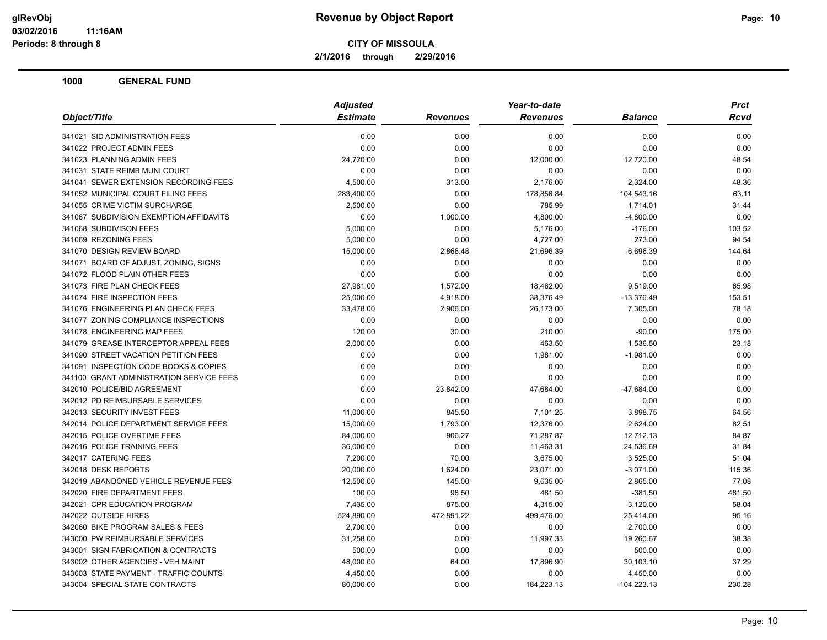**2/1/2016 through 2/29/2016**

| <b>Estimate</b><br>Object/Title<br><b>Revenues</b><br><b>Revenues</b><br><b>Balance</b><br>0.00<br>0.00<br>341021 SID ADMINISTRATION FEES<br>0.00<br>0.00<br>0.00<br>0.00<br>0.00<br>341022 PROJECT ADMIN FEES<br>0.00<br>341023 PLANNING ADMIN FEES<br>0.00<br>12,000.00<br>12,720.00<br>24,720.00<br>0.00<br>341031 STATE REIMB MUNI COURT<br>0.00<br>0.00<br>0.00<br>341041 SEWER EXTENSION RECORDING FEES<br>4,500.00<br>2,176.00<br>2,324.00<br>313.00<br>341052 MUNICIPAL COURT FILING FEES<br>283,400.00<br>0.00<br>178,856.84<br>104,543.16<br>341055 CRIME VICTIM SURCHARGE<br>2,500.00<br>0.00<br>785.99<br>1,714.01<br>341067 SUBDIVISION EXEMPTION AFFIDAVITS<br>0.00<br>1,000.00<br>4,800.00<br>$-4,800.00$<br>5,000.00<br>0.00<br>341068 SUBDIVISON FEES<br>5,176.00<br>$-176.00$<br>341069 REZONING FEES<br>5,000.00<br>0.00<br>4,727.00<br>273.00<br>341070 DESIGN REVIEW BOARD<br>15,000.00<br>2,866.48<br>21,696.39<br>$-6,696.39$<br>341071 BOARD OF ADJUST. ZONING, SIGNS<br>0.00<br>0.00<br>0.00<br>0.00<br>0.00<br>0.00<br>0.00<br>0.00<br>341072 FLOOD PLAIN-0THER FEES<br>341073 FIRE PLAN CHECK FEES<br>27,981.00<br>1,572.00<br>18,462.00<br>9,519.00<br>341074 FIRE INSPECTION FEES<br>25,000.00<br>4,918.00<br>38,376.49<br>$-13,376.49$<br>341076 ENGINEERING PLAN CHECK FEES<br>33,478.00<br>2,906.00<br>26,173.00<br>7,305.00<br>341077 ZONING COMPLIANCE INSPECTIONS<br>0.00<br>0.00<br>0.00<br>0.00<br>341078 ENGINEERING MAP FEES<br>120.00<br>30.00<br>210.00<br>$-90.00$<br>341079 GREASE INTERCEPTOR APPEAL FEES<br>2,000.00<br>0.00<br>463.50<br>1,536.50<br>341090 STREET VACATION PETITION FEES<br>0.00<br>0.00<br>1,981.00<br>$-1,981.00$<br>341091 INSPECTION CODE BOOKS & COPIES<br>0.00<br>0.00<br>0.00<br>0.00<br>341100 GRANT ADMINISTRATION SERVICE FEES<br>0.00<br>0.00<br>0.00<br>0.00<br>342010 POLICE/BID AGREEMENT<br>23,842.00<br>0.00<br>47,684.00<br>$-47,684.00$<br>342012 PD REIMBURSABLE SERVICES<br>0.00<br>0.00<br>0.00<br>0.00<br>845.50<br>342013 SECURITY INVEST FEES<br>11,000.00<br>7,101.25<br>3,898.75<br>342014 POLICE DEPARTMENT SERVICE FEES<br>15,000.00<br>1,793.00<br>12,376.00<br>2,624.00<br>342015 POLICE OVERTIME FEES<br>906.27<br>84,000.00<br>71,287.87<br>12,712.13<br>342016 POLICE TRAINING FEES<br>0.00<br>11,463.31<br>24,536.69<br>36,000.00 |  | <b>Adjusted</b> | Year-to-date | <b>Prct</b> |
|------------------------------------------------------------------------------------------------------------------------------------------------------------------------------------------------------------------------------------------------------------------------------------------------------------------------------------------------------------------------------------------------------------------------------------------------------------------------------------------------------------------------------------------------------------------------------------------------------------------------------------------------------------------------------------------------------------------------------------------------------------------------------------------------------------------------------------------------------------------------------------------------------------------------------------------------------------------------------------------------------------------------------------------------------------------------------------------------------------------------------------------------------------------------------------------------------------------------------------------------------------------------------------------------------------------------------------------------------------------------------------------------------------------------------------------------------------------------------------------------------------------------------------------------------------------------------------------------------------------------------------------------------------------------------------------------------------------------------------------------------------------------------------------------------------------------------------------------------------------------------------------------------------------------------------------------------------------------------------------------------------------------------------------------------------------------------------------------------------------------------------------------------------------------------------------------------------------------------------------------------------------------------------------------------------------------------------|--|-----------------|--------------|-------------|
|                                                                                                                                                                                                                                                                                                                                                                                                                                                                                                                                                                                                                                                                                                                                                                                                                                                                                                                                                                                                                                                                                                                                                                                                                                                                                                                                                                                                                                                                                                                                                                                                                                                                                                                                                                                                                                                                                                                                                                                                                                                                                                                                                                                                                                                                                                                                    |  |                 |              | <b>Rcvd</b> |
|                                                                                                                                                                                                                                                                                                                                                                                                                                                                                                                                                                                                                                                                                                                                                                                                                                                                                                                                                                                                                                                                                                                                                                                                                                                                                                                                                                                                                                                                                                                                                                                                                                                                                                                                                                                                                                                                                                                                                                                                                                                                                                                                                                                                                                                                                                                                    |  |                 |              | 0.00        |
|                                                                                                                                                                                                                                                                                                                                                                                                                                                                                                                                                                                                                                                                                                                                                                                                                                                                                                                                                                                                                                                                                                                                                                                                                                                                                                                                                                                                                                                                                                                                                                                                                                                                                                                                                                                                                                                                                                                                                                                                                                                                                                                                                                                                                                                                                                                                    |  |                 |              | 0.00        |
|                                                                                                                                                                                                                                                                                                                                                                                                                                                                                                                                                                                                                                                                                                                                                                                                                                                                                                                                                                                                                                                                                                                                                                                                                                                                                                                                                                                                                                                                                                                                                                                                                                                                                                                                                                                                                                                                                                                                                                                                                                                                                                                                                                                                                                                                                                                                    |  |                 |              | 48.54       |
|                                                                                                                                                                                                                                                                                                                                                                                                                                                                                                                                                                                                                                                                                                                                                                                                                                                                                                                                                                                                                                                                                                                                                                                                                                                                                                                                                                                                                                                                                                                                                                                                                                                                                                                                                                                                                                                                                                                                                                                                                                                                                                                                                                                                                                                                                                                                    |  |                 |              | 0.00        |
|                                                                                                                                                                                                                                                                                                                                                                                                                                                                                                                                                                                                                                                                                                                                                                                                                                                                                                                                                                                                                                                                                                                                                                                                                                                                                                                                                                                                                                                                                                                                                                                                                                                                                                                                                                                                                                                                                                                                                                                                                                                                                                                                                                                                                                                                                                                                    |  |                 |              | 48.36       |
|                                                                                                                                                                                                                                                                                                                                                                                                                                                                                                                                                                                                                                                                                                                                                                                                                                                                                                                                                                                                                                                                                                                                                                                                                                                                                                                                                                                                                                                                                                                                                                                                                                                                                                                                                                                                                                                                                                                                                                                                                                                                                                                                                                                                                                                                                                                                    |  |                 |              | 63.11       |
|                                                                                                                                                                                                                                                                                                                                                                                                                                                                                                                                                                                                                                                                                                                                                                                                                                                                                                                                                                                                                                                                                                                                                                                                                                                                                                                                                                                                                                                                                                                                                                                                                                                                                                                                                                                                                                                                                                                                                                                                                                                                                                                                                                                                                                                                                                                                    |  |                 |              | 31.44       |
|                                                                                                                                                                                                                                                                                                                                                                                                                                                                                                                                                                                                                                                                                                                                                                                                                                                                                                                                                                                                                                                                                                                                                                                                                                                                                                                                                                                                                                                                                                                                                                                                                                                                                                                                                                                                                                                                                                                                                                                                                                                                                                                                                                                                                                                                                                                                    |  |                 |              | 0.00        |
|                                                                                                                                                                                                                                                                                                                                                                                                                                                                                                                                                                                                                                                                                                                                                                                                                                                                                                                                                                                                                                                                                                                                                                                                                                                                                                                                                                                                                                                                                                                                                                                                                                                                                                                                                                                                                                                                                                                                                                                                                                                                                                                                                                                                                                                                                                                                    |  |                 |              | 103.52      |
|                                                                                                                                                                                                                                                                                                                                                                                                                                                                                                                                                                                                                                                                                                                                                                                                                                                                                                                                                                                                                                                                                                                                                                                                                                                                                                                                                                                                                                                                                                                                                                                                                                                                                                                                                                                                                                                                                                                                                                                                                                                                                                                                                                                                                                                                                                                                    |  |                 |              | 94.54       |
|                                                                                                                                                                                                                                                                                                                                                                                                                                                                                                                                                                                                                                                                                                                                                                                                                                                                                                                                                                                                                                                                                                                                                                                                                                                                                                                                                                                                                                                                                                                                                                                                                                                                                                                                                                                                                                                                                                                                                                                                                                                                                                                                                                                                                                                                                                                                    |  |                 |              | 144.64      |
|                                                                                                                                                                                                                                                                                                                                                                                                                                                                                                                                                                                                                                                                                                                                                                                                                                                                                                                                                                                                                                                                                                                                                                                                                                                                                                                                                                                                                                                                                                                                                                                                                                                                                                                                                                                                                                                                                                                                                                                                                                                                                                                                                                                                                                                                                                                                    |  |                 |              | 0.00        |
|                                                                                                                                                                                                                                                                                                                                                                                                                                                                                                                                                                                                                                                                                                                                                                                                                                                                                                                                                                                                                                                                                                                                                                                                                                                                                                                                                                                                                                                                                                                                                                                                                                                                                                                                                                                                                                                                                                                                                                                                                                                                                                                                                                                                                                                                                                                                    |  |                 |              | 0.00        |
|                                                                                                                                                                                                                                                                                                                                                                                                                                                                                                                                                                                                                                                                                                                                                                                                                                                                                                                                                                                                                                                                                                                                                                                                                                                                                                                                                                                                                                                                                                                                                                                                                                                                                                                                                                                                                                                                                                                                                                                                                                                                                                                                                                                                                                                                                                                                    |  |                 |              | 65.98       |
|                                                                                                                                                                                                                                                                                                                                                                                                                                                                                                                                                                                                                                                                                                                                                                                                                                                                                                                                                                                                                                                                                                                                                                                                                                                                                                                                                                                                                                                                                                                                                                                                                                                                                                                                                                                                                                                                                                                                                                                                                                                                                                                                                                                                                                                                                                                                    |  |                 |              | 153.51      |
|                                                                                                                                                                                                                                                                                                                                                                                                                                                                                                                                                                                                                                                                                                                                                                                                                                                                                                                                                                                                                                                                                                                                                                                                                                                                                                                                                                                                                                                                                                                                                                                                                                                                                                                                                                                                                                                                                                                                                                                                                                                                                                                                                                                                                                                                                                                                    |  |                 |              | 78.18       |
|                                                                                                                                                                                                                                                                                                                                                                                                                                                                                                                                                                                                                                                                                                                                                                                                                                                                                                                                                                                                                                                                                                                                                                                                                                                                                                                                                                                                                                                                                                                                                                                                                                                                                                                                                                                                                                                                                                                                                                                                                                                                                                                                                                                                                                                                                                                                    |  |                 |              | 0.00        |
|                                                                                                                                                                                                                                                                                                                                                                                                                                                                                                                                                                                                                                                                                                                                                                                                                                                                                                                                                                                                                                                                                                                                                                                                                                                                                                                                                                                                                                                                                                                                                                                                                                                                                                                                                                                                                                                                                                                                                                                                                                                                                                                                                                                                                                                                                                                                    |  |                 |              | 175.00      |
|                                                                                                                                                                                                                                                                                                                                                                                                                                                                                                                                                                                                                                                                                                                                                                                                                                                                                                                                                                                                                                                                                                                                                                                                                                                                                                                                                                                                                                                                                                                                                                                                                                                                                                                                                                                                                                                                                                                                                                                                                                                                                                                                                                                                                                                                                                                                    |  |                 |              | 23.18       |
|                                                                                                                                                                                                                                                                                                                                                                                                                                                                                                                                                                                                                                                                                                                                                                                                                                                                                                                                                                                                                                                                                                                                                                                                                                                                                                                                                                                                                                                                                                                                                                                                                                                                                                                                                                                                                                                                                                                                                                                                                                                                                                                                                                                                                                                                                                                                    |  |                 |              | 0.00        |
|                                                                                                                                                                                                                                                                                                                                                                                                                                                                                                                                                                                                                                                                                                                                                                                                                                                                                                                                                                                                                                                                                                                                                                                                                                                                                                                                                                                                                                                                                                                                                                                                                                                                                                                                                                                                                                                                                                                                                                                                                                                                                                                                                                                                                                                                                                                                    |  |                 |              | 0.00        |
|                                                                                                                                                                                                                                                                                                                                                                                                                                                                                                                                                                                                                                                                                                                                                                                                                                                                                                                                                                                                                                                                                                                                                                                                                                                                                                                                                                                                                                                                                                                                                                                                                                                                                                                                                                                                                                                                                                                                                                                                                                                                                                                                                                                                                                                                                                                                    |  |                 |              | 0.00        |
|                                                                                                                                                                                                                                                                                                                                                                                                                                                                                                                                                                                                                                                                                                                                                                                                                                                                                                                                                                                                                                                                                                                                                                                                                                                                                                                                                                                                                                                                                                                                                                                                                                                                                                                                                                                                                                                                                                                                                                                                                                                                                                                                                                                                                                                                                                                                    |  |                 |              | 0.00        |
|                                                                                                                                                                                                                                                                                                                                                                                                                                                                                                                                                                                                                                                                                                                                                                                                                                                                                                                                                                                                                                                                                                                                                                                                                                                                                                                                                                                                                                                                                                                                                                                                                                                                                                                                                                                                                                                                                                                                                                                                                                                                                                                                                                                                                                                                                                                                    |  |                 |              | 0.00        |
|                                                                                                                                                                                                                                                                                                                                                                                                                                                                                                                                                                                                                                                                                                                                                                                                                                                                                                                                                                                                                                                                                                                                                                                                                                                                                                                                                                                                                                                                                                                                                                                                                                                                                                                                                                                                                                                                                                                                                                                                                                                                                                                                                                                                                                                                                                                                    |  |                 |              | 64.56       |
|                                                                                                                                                                                                                                                                                                                                                                                                                                                                                                                                                                                                                                                                                                                                                                                                                                                                                                                                                                                                                                                                                                                                                                                                                                                                                                                                                                                                                                                                                                                                                                                                                                                                                                                                                                                                                                                                                                                                                                                                                                                                                                                                                                                                                                                                                                                                    |  |                 |              | 82.51       |
|                                                                                                                                                                                                                                                                                                                                                                                                                                                                                                                                                                                                                                                                                                                                                                                                                                                                                                                                                                                                                                                                                                                                                                                                                                                                                                                                                                                                                                                                                                                                                                                                                                                                                                                                                                                                                                                                                                                                                                                                                                                                                                                                                                                                                                                                                                                                    |  |                 |              | 84.87       |
|                                                                                                                                                                                                                                                                                                                                                                                                                                                                                                                                                                                                                                                                                                                                                                                                                                                                                                                                                                                                                                                                                                                                                                                                                                                                                                                                                                                                                                                                                                                                                                                                                                                                                                                                                                                                                                                                                                                                                                                                                                                                                                                                                                                                                                                                                                                                    |  |                 |              | 31.84       |
| 342017 CATERING FEES<br>70.00<br>7,200.00<br>3,675.00<br>3,525.00                                                                                                                                                                                                                                                                                                                                                                                                                                                                                                                                                                                                                                                                                                                                                                                                                                                                                                                                                                                                                                                                                                                                                                                                                                                                                                                                                                                                                                                                                                                                                                                                                                                                                                                                                                                                                                                                                                                                                                                                                                                                                                                                                                                                                                                                  |  |                 |              | 51.04       |
| 342018 DESK REPORTS<br>20,000.00<br>23,071.00<br>$-3,071.00$<br>1,624.00                                                                                                                                                                                                                                                                                                                                                                                                                                                                                                                                                                                                                                                                                                                                                                                                                                                                                                                                                                                                                                                                                                                                                                                                                                                                                                                                                                                                                                                                                                                                                                                                                                                                                                                                                                                                                                                                                                                                                                                                                                                                                                                                                                                                                                                           |  |                 |              | 115.36      |
| 342019 ABANDONED VEHICLE REVENUE FEES<br>12,500.00<br>145.00<br>9,635.00<br>2,865.00                                                                                                                                                                                                                                                                                                                                                                                                                                                                                                                                                                                                                                                                                                                                                                                                                                                                                                                                                                                                                                                                                                                                                                                                                                                                                                                                                                                                                                                                                                                                                                                                                                                                                                                                                                                                                                                                                                                                                                                                                                                                                                                                                                                                                                               |  |                 |              | 77.08       |
| 342020 FIRE DEPARTMENT FEES<br>100.00<br>98.50<br>$-381.50$<br>481.50                                                                                                                                                                                                                                                                                                                                                                                                                                                                                                                                                                                                                                                                                                                                                                                                                                                                                                                                                                                                                                                                                                                                                                                                                                                                                                                                                                                                                                                                                                                                                                                                                                                                                                                                                                                                                                                                                                                                                                                                                                                                                                                                                                                                                                                              |  |                 |              | 481.50      |
| 342021 CPR EDUCATION PROGRAM<br>7,435.00<br>875.00<br>4,315.00<br>3,120.00                                                                                                                                                                                                                                                                                                                                                                                                                                                                                                                                                                                                                                                                                                                                                                                                                                                                                                                                                                                                                                                                                                                                                                                                                                                                                                                                                                                                                                                                                                                                                                                                                                                                                                                                                                                                                                                                                                                                                                                                                                                                                                                                                                                                                                                         |  |                 |              | 58.04       |
| 342022 OUTSIDE HIRES<br>524,890.00<br>472,891.22<br>499,476.00<br>25,414.00                                                                                                                                                                                                                                                                                                                                                                                                                                                                                                                                                                                                                                                                                                                                                                                                                                                                                                                                                                                                                                                                                                                                                                                                                                                                                                                                                                                                                                                                                                                                                                                                                                                                                                                                                                                                                                                                                                                                                                                                                                                                                                                                                                                                                                                        |  |                 |              | 95.16       |
| 342060 BIKE PROGRAM SALES & FEES<br>2,700.00<br>0.00<br>0.00<br>2,700.00                                                                                                                                                                                                                                                                                                                                                                                                                                                                                                                                                                                                                                                                                                                                                                                                                                                                                                                                                                                                                                                                                                                                                                                                                                                                                                                                                                                                                                                                                                                                                                                                                                                                                                                                                                                                                                                                                                                                                                                                                                                                                                                                                                                                                                                           |  |                 |              | 0.00        |
| 0.00<br>343000 PW REIMBURSABLE SERVICES<br>31,258.00<br>11,997.33<br>19,260.67                                                                                                                                                                                                                                                                                                                                                                                                                                                                                                                                                                                                                                                                                                                                                                                                                                                                                                                                                                                                                                                                                                                                                                                                                                                                                                                                                                                                                                                                                                                                                                                                                                                                                                                                                                                                                                                                                                                                                                                                                                                                                                                                                                                                                                                     |  |                 |              | 38.38       |
| 343001 SIGN FABRICATION & CONTRACTS<br>500.00<br>0.00<br>0.00<br>500.00                                                                                                                                                                                                                                                                                                                                                                                                                                                                                                                                                                                                                                                                                                                                                                                                                                                                                                                                                                                                                                                                                                                                                                                                                                                                                                                                                                                                                                                                                                                                                                                                                                                                                                                                                                                                                                                                                                                                                                                                                                                                                                                                                                                                                                                            |  |                 |              | 0.00        |
| 343002 OTHER AGENCIES - VEH MAINT<br>48,000.00<br>64.00<br>17,896.90<br>30,103.10                                                                                                                                                                                                                                                                                                                                                                                                                                                                                                                                                                                                                                                                                                                                                                                                                                                                                                                                                                                                                                                                                                                                                                                                                                                                                                                                                                                                                                                                                                                                                                                                                                                                                                                                                                                                                                                                                                                                                                                                                                                                                                                                                                                                                                                  |  |                 |              | 37.29       |
| 343003 STATE PAYMENT - TRAFFIC COUNTS<br>4,450.00<br>0.00<br>0.00<br>4,450.00                                                                                                                                                                                                                                                                                                                                                                                                                                                                                                                                                                                                                                                                                                                                                                                                                                                                                                                                                                                                                                                                                                                                                                                                                                                                                                                                                                                                                                                                                                                                                                                                                                                                                                                                                                                                                                                                                                                                                                                                                                                                                                                                                                                                                                                      |  |                 |              | 0.00        |
| 343004 SPECIAL STATE CONTRACTS<br>0.00<br>80,000.00<br>184,223.13<br>$-104,223.13$                                                                                                                                                                                                                                                                                                                                                                                                                                                                                                                                                                                                                                                                                                                                                                                                                                                                                                                                                                                                                                                                                                                                                                                                                                                                                                                                                                                                                                                                                                                                                                                                                                                                                                                                                                                                                                                                                                                                                                                                                                                                                                                                                                                                                                                 |  |                 |              | 230.28      |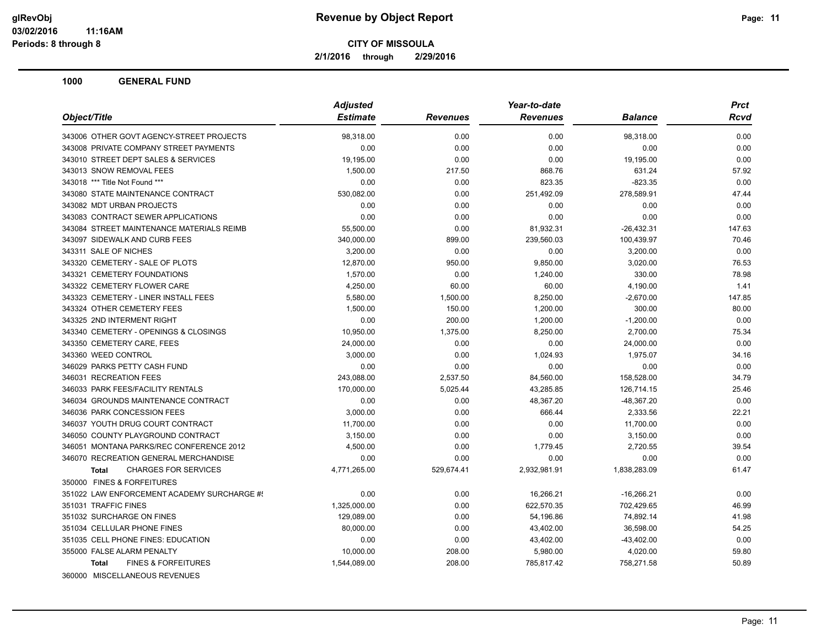**2/1/2016 through 2/29/2016**

|                                                | <b>Adjusted</b> |                 | Year-to-date    |                | Prct        |
|------------------------------------------------|-----------------|-----------------|-----------------|----------------|-------------|
| Object/Title                                   | <b>Estimate</b> | <b>Revenues</b> | <b>Revenues</b> | <b>Balance</b> | <b>Rcvd</b> |
| 343006 OTHER GOVT AGENCY-STREET PROJECTS       | 98,318.00       | 0.00            | 0.00            | 98,318.00      | 0.00        |
| 343008 PRIVATE COMPANY STREET PAYMENTS         | 0.00            | 0.00            | 0.00            | 0.00           | 0.00        |
| 343010 STREET DEPT SALES & SERVICES            | 19,195.00       | 0.00            | 0.00            | 19,195.00      | 0.00        |
| 343013 SNOW REMOVAL FEES                       | 1,500.00        | 217.50          | 868.76          | 631.24         | 57.92       |
| 343018 *** Title Not Found ***                 | 0.00            | 0.00            | 823.35          | $-823.35$      | 0.00        |
| 343080 STATE MAINTENANCE CONTRACT              | 530,082.00      | 0.00            | 251,492.09      | 278,589.91     | 47.44       |
| 343082 MDT URBAN PROJECTS                      | 0.00            | 0.00            | 0.00            | 0.00           | 0.00        |
| 343083 CONTRACT SEWER APPLICATIONS             | 0.00            | 0.00            | 0.00            | 0.00           | 0.00        |
| 343084 STREET MAINTENANCE MATERIALS REIMB      | 55,500.00       | 0.00            | 81,932.31       | $-26,432.31$   | 147.63      |
| 343097 SIDEWALK AND CURB FEES                  | 340,000.00      | 899.00          | 239,560.03      | 100,439.97     | 70.46       |
| 343311 SALE OF NICHES                          | 3,200.00        | 0.00            | 0.00            | 3,200.00       | 0.00        |
| 343320 CEMETERY - SALE OF PLOTS                | 12,870.00       | 950.00          | 9,850.00        | 3,020.00       | 76.53       |
| 343321 CEMETERY FOUNDATIONS                    | 1,570.00        | 0.00            | 1,240.00        | 330.00         | 78.98       |
| 343322 CEMETERY FLOWER CARE                    | 4,250.00        | 60.00           | 60.00           | 4,190.00       | 1.41        |
| 343323 CEMETERY - LINER INSTALL FEES           | 5,580.00        | 1,500.00        | 8,250.00        | $-2,670.00$    | 147.85      |
| 343324 OTHER CEMETERY FEES                     | 1,500.00        | 150.00          | 1,200.00        | 300.00         | 80.00       |
| 343325 2ND INTERMENT RIGHT                     | 0.00            | 200.00          | 1,200.00        | $-1,200.00$    | 0.00        |
| 343340 CEMETERY - OPENINGS & CLOSINGS          | 10,950.00       | 1,375.00        | 8,250.00        | 2,700.00       | 75.34       |
| 343350 CEMETERY CARE, FEES                     | 24,000.00       | 0.00            | 0.00            | 24,000.00      | 0.00        |
| 343360 WEED CONTROL                            | 3,000.00        | 0.00            | 1,024.93        | 1,975.07       | 34.16       |
| 346029 PARKS PETTY CASH FUND                   | 0.00            | 0.00            | 0.00            | 0.00           | 0.00        |
| 346031 RECREATION FEES                         | 243,088.00      | 2,537.50        | 84,560.00       | 158,528.00     | 34.79       |
| 346033 PARK FEES/FACILITY RENTALS              | 170,000.00      | 5,025.44        | 43,285.85       | 126,714.15     | 25.46       |
| 346034 GROUNDS MAINTENANCE CONTRACT            | 0.00            | 0.00            | 48,367.20       | $-48,367.20$   | 0.00        |
| 346036 PARK CONCESSION FEES                    | 3,000.00        | 0.00            | 666.44          | 2,333.56       | 22.21       |
| 346037 YOUTH DRUG COURT CONTRACT               | 11,700.00       | 0.00            | 0.00            | 11,700.00      | 0.00        |
| 346050 COUNTY PLAYGROUND CONTRACT              | 3,150.00        | 0.00            | 0.00            | 3,150.00       | 0.00        |
| 346051 MONTANA PARKS/REC CONFERENCE 2012       | 4,500.00        | 0.00            | 1,779.45        | 2,720.55       | 39.54       |
| 346070 RECREATION GENERAL MERCHANDISE          | 0.00            | 0.00            | 0.00            | 0.00           | 0.00        |
| <b>CHARGES FOR SERVICES</b><br><b>Total</b>    | 4,771,265.00    | 529,674.41      | 2,932,981.91    | 1,838,283.09   | 61.47       |
| 350000 FINES & FORFEITURES                     |                 |                 |                 |                |             |
| 351022 LAW ENFORCEMENT ACADEMY SURCHARGE #!    | 0.00            | 0.00            | 16,266.21       | $-16,266.21$   | 0.00        |
| 351031 TRAFFIC FINES                           | 1,325,000.00    | 0.00            | 622.570.35      | 702,429.65     | 46.99       |
| 351032 SURCHARGE ON FINES                      | 129,089.00      | 0.00            | 54,196.86       | 74,892.14      | 41.98       |
| 351034 CELLULAR PHONE FINES                    | 80,000.00       | 0.00            | 43,402.00       | 36,598.00      | 54.25       |
| 351035 CELL PHONE FINES: EDUCATION             | 0.00            | 0.00            | 43,402.00       | $-43,402.00$   | 0.00        |
| 355000 FALSE ALARM PENALTY                     | 10,000.00       | 208.00          | 5,980.00        | 4,020.00       | 59.80       |
| <b>FINES &amp; FORFEITURES</b><br><b>Total</b> | 1,544,089.00    | 208.00          | 785,817.42      | 758,271.58     | 50.89       |
| 360000 MISCELLANEOUS REVENUES                  |                 |                 |                 |                |             |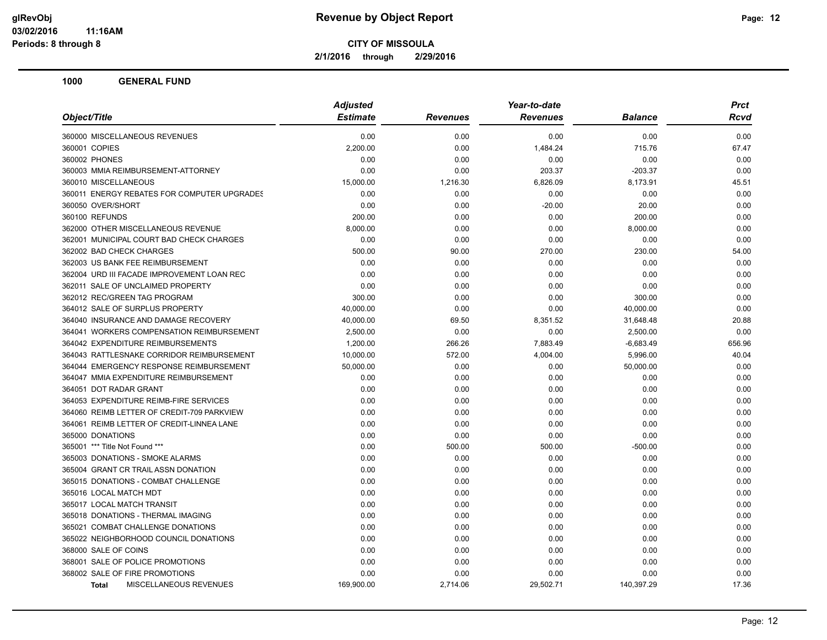**2/1/2016 through 2/29/2016**

|                                             | <b>Adjusted</b> |                 | Year-to-date    |                | <b>Prct</b> |
|---------------------------------------------|-----------------|-----------------|-----------------|----------------|-------------|
| Object/Title                                | <b>Estimate</b> | <b>Revenues</b> | <b>Revenues</b> | <b>Balance</b> | Rcvd        |
| 360000 MISCELLANEOUS REVENUES               | 0.00            | 0.00            | 0.00            | 0.00           | 0.00        |
| 360001 COPIES                               | 2,200.00        | 0.00            | 1,484.24        | 715.76         | 67.47       |
| 360002 PHONES                               | 0.00            | 0.00            | 0.00            | 0.00           | 0.00        |
| 360003 MMIA REIMBURSEMENT-ATTORNEY          | 0.00            | 0.00            | 203.37          | $-203.37$      | 0.00        |
| 360010 MISCELLANEOUS                        | 15,000.00       | 1,216.30        | 6,826.09        | 8,173.91       | 45.51       |
| 360011 ENERGY REBATES FOR COMPUTER UPGRADES | 0.00            | 0.00            | 0.00            | 0.00           | 0.00        |
| 360050 OVER/SHORT                           | 0.00            | 0.00            | $-20.00$        | 20.00          | 0.00        |
| 360100 REFUNDS                              | 200.00          | 0.00            | 0.00            | 200.00         | 0.00        |
| 362000 OTHER MISCELLANEOUS REVENUE          | 8,000.00        | 0.00            | 0.00            | 8,000.00       | 0.00        |
| 362001 MUNICIPAL COURT BAD CHECK CHARGES    | 0.00            | 0.00            | 0.00            | 0.00           | 0.00        |
| 362002 BAD CHECK CHARGES                    | 500.00          | 90.00           | 270.00          | 230.00         | 54.00       |
| 362003 US BANK FEE REIMBURSEMENT            | 0.00            | 0.00            | 0.00            | 0.00           | 0.00        |
| 362004 URD III FACADE IMPROVEMENT LOAN REC  | 0.00            | 0.00            | 0.00            | 0.00           | 0.00        |
| 362011 SALE OF UNCLAIMED PROPERTY           | 0.00            | 0.00            | 0.00            | 0.00           | 0.00        |
| 362012 REC/GREEN TAG PROGRAM                | 300.00          | 0.00            | 0.00            | 300.00         | 0.00        |
| 364012 SALE OF SURPLUS PROPERTY             | 40,000.00       | 0.00            | 0.00            | 40,000.00      | 0.00        |
| 364040 INSURANCE AND DAMAGE RECOVERY        | 40,000.00       | 69.50           | 8,351.52        | 31,648.48      | 20.88       |
| 364041 WORKERS COMPENSATION REIMBURSEMENT   | 2,500.00        | 0.00            | 0.00            | 2,500.00       | 0.00        |
| 364042 EXPENDITURE REIMBURSEMENTS           | 1,200.00        | 266.26          | 7,883.49        | $-6,683.49$    | 656.96      |
| 364043 RATTLESNAKE CORRIDOR REIMBURSEMENT   | 10,000.00       | 572.00          | 4,004.00        | 5,996.00       | 40.04       |
| 364044 EMERGENCY RESPONSE REIMBURSEMENT     | 50,000.00       | 0.00            | 0.00            | 50,000.00      | 0.00        |
| 364047 MMIA EXPENDITURE REIMBURSEMENT       | 0.00            | 0.00            | 0.00            | 0.00           | 0.00        |
| 364051 DOT RADAR GRANT                      | 0.00            | 0.00            | 0.00            | 0.00           | 0.00        |
| 364053 EXPENDITURE REIMB-FIRE SERVICES      | 0.00            | 0.00            | 0.00            | 0.00           | 0.00        |
| 364060 REIMB LETTER OF CREDIT-709 PARKVIEW  | 0.00            | 0.00            | 0.00            | 0.00           | 0.00        |
| 364061 REIMB LETTER OF CREDIT-LINNEA LANE   | 0.00            | 0.00            | 0.00            | 0.00           | 0.00        |
| 365000 DONATIONS                            | 0.00            | 0.00            | 0.00            | 0.00           | 0.00        |
| 365001 *** Title Not Found ***              | 0.00            | 500.00          | 500.00          | $-500.00$      | 0.00        |
| 365003 DONATIONS - SMOKE ALARMS             | 0.00            | 0.00            | 0.00            | 0.00           | 0.00        |
| 365004 GRANT CR TRAIL ASSN DONATION         | 0.00            | 0.00            | 0.00            | 0.00           | 0.00        |
| 365015 DONATIONS - COMBAT CHALLENGE         | 0.00            | 0.00            | 0.00            | 0.00           | 0.00        |
| 365016 LOCAL MATCH MDT                      | 0.00            | 0.00            | 0.00            | 0.00           | 0.00        |
| 365017 LOCAL MATCH TRANSIT                  | 0.00            | 0.00            | 0.00            | 0.00           | 0.00        |
| 365018 DONATIONS - THERMAL IMAGING          | 0.00            | 0.00            | 0.00            | 0.00           | 0.00        |
| 365021 COMBAT CHALLENGE DONATIONS           | 0.00            | 0.00            | 0.00            | 0.00           | 0.00        |
| 365022 NEIGHBORHOOD COUNCIL DONATIONS       | 0.00            | 0.00            | 0.00            | 0.00           | 0.00        |
| 368000 SALE OF COINS                        | 0.00            | 0.00            | 0.00            | 0.00           | 0.00        |
| 368001 SALE OF POLICE PROMOTIONS            | 0.00            | 0.00            | 0.00            | 0.00           | 0.00        |
| 368002 SALE OF FIRE PROMOTIONS              | 0.00            | 0.00            | 0.00            | 0.00           | 0.00        |
| <b>MISCELLANEOUS REVENUES</b><br>Total      | 169,900.00      | 2,714.06        | 29,502.71       | 140,397.29     | 17.36       |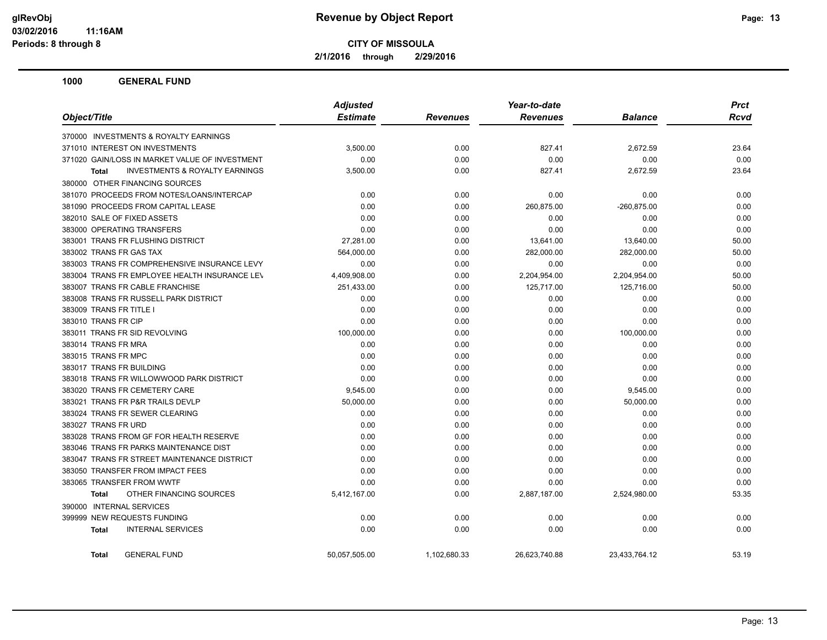**2/1/2016 through 2/29/2016**

|                                                           | <b>Adjusted</b> |                 | Year-to-date    |                | <b>Prct</b> |
|-----------------------------------------------------------|-----------------|-----------------|-----------------|----------------|-------------|
| Object/Title                                              | <b>Estimate</b> | <b>Revenues</b> | <b>Revenues</b> | <b>Balance</b> | <b>Rcvd</b> |
| 370000 INVESTMENTS & ROYALTY EARNINGS                     |                 |                 |                 |                |             |
| 371010 INTEREST ON INVESTMENTS                            | 3,500.00        | 0.00            | 827.41          | 2,672.59       | 23.64       |
| 371020 GAIN/LOSS IN MARKET VALUE OF INVESTMENT            | 0.00            | 0.00            | 0.00            | 0.00           | 0.00        |
| <b>INVESTMENTS &amp; ROYALTY EARNINGS</b><br><b>Total</b> | 3,500.00        | 0.00            | 827.41          | 2,672.59       | 23.64       |
| 380000 OTHER FINANCING SOURCES                            |                 |                 |                 |                |             |
| 381070 PROCEEDS FROM NOTES/LOANS/INTERCAP                 | 0.00            | 0.00            | 0.00            | 0.00           | 0.00        |
| 381090 PROCEEDS FROM CAPITAL LEASE                        | 0.00            | 0.00            | 260,875.00      | $-260,875.00$  | 0.00        |
| 382010 SALE OF FIXED ASSETS                               | 0.00            | 0.00            | 0.00            | 0.00           | 0.00        |
| 383000 OPERATING TRANSFERS                                | 0.00            | 0.00            | 0.00            | 0.00           | 0.00        |
| 383001 TRANS FR FLUSHING DISTRICT                         | 27,281.00       | 0.00            | 13,641.00       | 13,640.00      | 50.00       |
| 383002 TRANS FR GAS TAX                                   | 564,000.00      | 0.00            | 282,000.00      | 282,000.00     | 50.00       |
| 383003 TRANS FR COMPREHENSIVE INSURANCE LEVY              | 0.00            | 0.00            | 0.00            | 0.00           | 0.00        |
| 383004 TRANS FR EMPLOYEE HEALTH INSURANCE LEV             | 4,409,908.00    | 0.00            | 2,204,954.00    | 2,204,954.00   | 50.00       |
| 383007 TRANS FR CABLE FRANCHISE                           | 251,433.00      | 0.00            | 125,717.00      | 125,716.00     | 50.00       |
| 383008 TRANS FR RUSSELL PARK DISTRICT                     | 0.00            | 0.00            | 0.00            | 0.00           | 0.00        |
| 383009 TRANS FR TITLE I                                   | 0.00            | 0.00            | 0.00            | 0.00           | 0.00        |
| 383010 TRANS FR CIP                                       | 0.00            | 0.00            | 0.00            | 0.00           | 0.00        |
| 383011 TRANS FR SID REVOLVING                             | 100,000.00      | 0.00            | 0.00            | 100,000.00     | 0.00        |
| 383014 TRANS FR MRA                                       | 0.00            | 0.00            | 0.00            | 0.00           | 0.00        |
| 383015 TRANS FR MPC                                       | 0.00            | 0.00            | 0.00            | 0.00           | 0.00        |
| 383017 TRANS FR BUILDING                                  | 0.00            | 0.00            | 0.00            | 0.00           | 0.00        |
| 383018 TRANS FR WILLOWWOOD PARK DISTRICT                  | 0.00            | 0.00            | 0.00            | 0.00           | 0.00        |
| 383020 TRANS FR CEMETERY CARE                             | 9,545.00        | 0.00            | 0.00            | 9,545.00       | 0.00        |
| 383021 TRANS FR P&R TRAILS DEVLP                          | 50,000.00       | 0.00            | 0.00            | 50,000.00      | 0.00        |
| 383024 TRANS FR SEWER CLEARING                            | 0.00            | 0.00            | 0.00            | 0.00           | 0.00        |
| 383027 TRANS FR URD                                       | 0.00            | 0.00            | 0.00            | 0.00           | 0.00        |
| 383028 TRANS FROM GF FOR HEALTH RESERVE                   | 0.00            | 0.00            | 0.00            | 0.00           | 0.00        |
| 383046 TRANS FR PARKS MAINTENANCE DIST                    | 0.00            | 0.00            | 0.00            | 0.00           | 0.00        |
| 383047 TRANS FR STREET MAINTENANCE DISTRICT               | 0.00            | 0.00            | 0.00            | 0.00           | 0.00        |
| 383050 TRANSFER FROM IMPACT FEES                          | 0.00            | 0.00            | 0.00            | 0.00           | 0.00        |
| 383065 TRANSFER FROM WWTF                                 | 0.00            | 0.00            | 0.00            | 0.00           | 0.00        |
| OTHER FINANCING SOURCES<br><b>Total</b>                   | 5,412,167.00    | 0.00            | 2,887,187.00    | 2,524,980.00   | 53.35       |
| 390000 INTERNAL SERVICES                                  |                 |                 |                 |                |             |
| 399999 NEW REQUESTS FUNDING                               | 0.00            | 0.00            | 0.00            | 0.00           | 0.00        |
| <b>INTERNAL SERVICES</b><br>Total                         | 0.00            | 0.00            | 0.00            | 0.00           | 0.00        |
| <b>GENERAL FUND</b><br><b>Total</b>                       | 50,057,505.00   | 1,102,680.33    | 26,623,740.88   | 23,433,764.12  | 53.19       |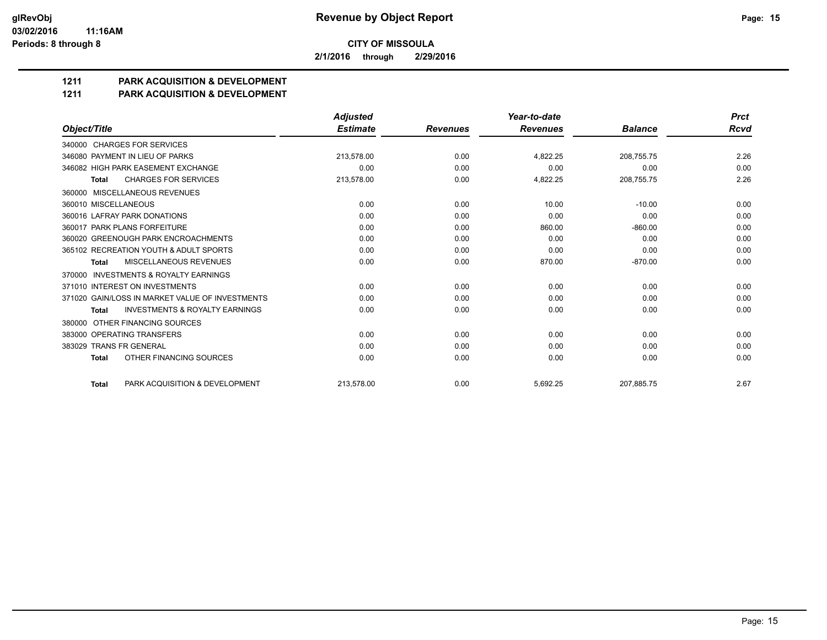**2/1/2016 through 2/29/2016**

## **1211 PARK ACQUISITION & DEVELOPMENT**

#### **1211 PARK ACQUISITION & DEVELOPMENT**

|                                                           | <b>Adjusted</b> |                 | Year-to-date    |                | <b>Prct</b><br>Rcvd |
|-----------------------------------------------------------|-----------------|-----------------|-----------------|----------------|---------------------|
| Object/Title                                              | <b>Estimate</b> | <b>Revenues</b> | <b>Revenues</b> | <b>Balance</b> |                     |
| 340000 CHARGES FOR SERVICES                               |                 |                 |                 |                |                     |
| 346080 PAYMENT IN LIEU OF PARKS                           | 213,578.00      | 0.00            | 4,822.25        | 208,755.75     | 2.26                |
| 346082 HIGH PARK EASEMENT EXCHANGE                        | 0.00            | 0.00            | 0.00            | 0.00           | 0.00                |
| <b>CHARGES FOR SERVICES</b><br><b>Total</b>               | 213,578.00      | 0.00            | 4,822.25        | 208,755.75     | 2.26                |
| MISCELLANEOUS REVENUES<br>360000                          |                 |                 |                 |                |                     |
| 360010 MISCELLANEOUS                                      | 0.00            | 0.00            | 10.00           | $-10.00$       | 0.00                |
| 360016 LAFRAY PARK DONATIONS                              | 0.00            | 0.00            | 0.00            | 0.00           | 0.00                |
| 360017 PARK PLANS FORFEITURE                              | 0.00            | 0.00            | 860.00          | $-860.00$      | 0.00                |
| 360020 GREENOUGH PARK ENCROACHMENTS                       | 0.00            | 0.00            | 0.00            | 0.00           | 0.00                |
| 365102 RECREATION YOUTH & ADULT SPORTS                    | 0.00            | 0.00            | 0.00            | 0.00           | 0.00                |
| MISCELLANEOUS REVENUES<br><b>Total</b>                    | 0.00            | 0.00            | 870.00          | $-870.00$      | 0.00                |
| <b>INVESTMENTS &amp; ROYALTY EARNINGS</b><br>370000       |                 |                 |                 |                |                     |
| 371010 INTEREST ON INVESTMENTS                            | 0.00            | 0.00            | 0.00            | 0.00           | 0.00                |
| 371020 GAIN/LOSS IN MARKET VALUE OF INVESTMENTS           | 0.00            | 0.00            | 0.00            | 0.00           | 0.00                |
| <b>INVESTMENTS &amp; ROYALTY EARNINGS</b><br><b>Total</b> | 0.00            | 0.00            | 0.00            | 0.00           | 0.00                |
| OTHER FINANCING SOURCES<br>380000                         |                 |                 |                 |                |                     |
| 383000 OPERATING TRANSFERS                                | 0.00            | 0.00            | 0.00            | 0.00           | 0.00                |
| 383029 TRANS FR GENERAL                                   | 0.00            | 0.00            | 0.00            | 0.00           | 0.00                |
| OTHER FINANCING SOURCES<br><b>Total</b>                   | 0.00            | 0.00            | 0.00            | 0.00           | 0.00                |
| PARK ACQUISITION & DEVELOPMENT<br><b>Total</b>            | 213.578.00      | 0.00            | 5.692.25        | 207.885.75     | 2.67                |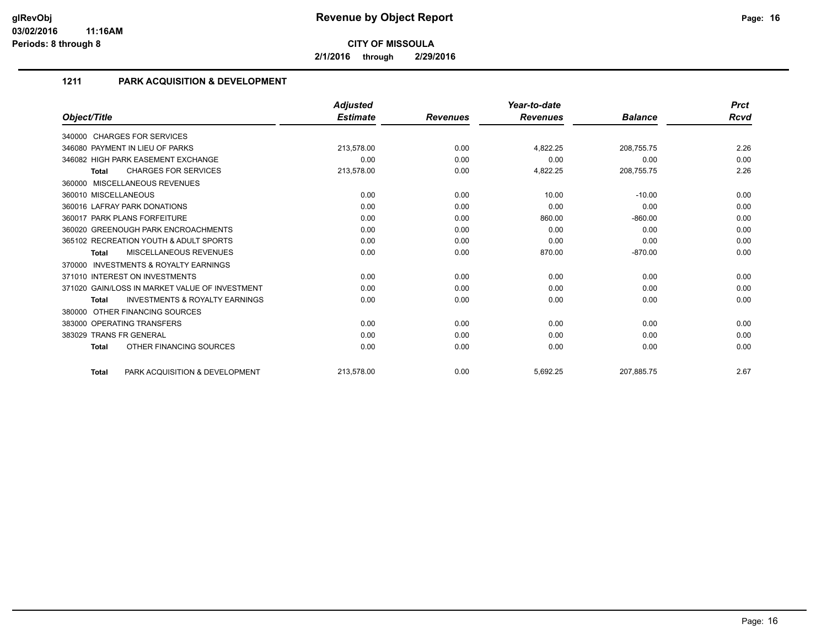**2/1/2016 through 2/29/2016**

## **1211 PARK ACQUISITION & DEVELOPMENT**

|                                                           | <b>Adjusted</b> |                 | Year-to-date    |                | <b>Prct</b><br>Rcvd |
|-----------------------------------------------------------|-----------------|-----------------|-----------------|----------------|---------------------|
| Object/Title                                              | <b>Estimate</b> | <b>Revenues</b> | <b>Revenues</b> | <b>Balance</b> |                     |
| 340000 CHARGES FOR SERVICES                               |                 |                 |                 |                |                     |
| 346080 PAYMENT IN LIEU OF PARKS                           | 213,578.00      | 0.00            | 4,822.25        | 208,755.75     | 2.26                |
| 346082 HIGH PARK EASEMENT EXCHANGE                        | 0.00            | 0.00            | 0.00            | 0.00           | 0.00                |
| <b>CHARGES FOR SERVICES</b><br><b>Total</b>               | 213,578.00      | 0.00            | 4,822.25        | 208,755.75     | 2.26                |
| 360000 MISCELLANEOUS REVENUES                             |                 |                 |                 |                |                     |
| 360010 MISCELLANEOUS                                      | 0.00            | 0.00            | 10.00           | $-10.00$       | 0.00                |
| 360016 LAFRAY PARK DONATIONS                              | 0.00            | 0.00            | 0.00            | 0.00           | 0.00                |
| 360017 PARK PLANS FORFEITURE                              | 0.00            | 0.00            | 860.00          | $-860.00$      | 0.00                |
| 360020 GREENOUGH PARK ENCROACHMENTS                       | 0.00            | 0.00            | 0.00            | 0.00           | 0.00                |
| 365102 RECREATION YOUTH & ADULT SPORTS                    | 0.00            | 0.00            | 0.00            | 0.00           | 0.00                |
| <b>MISCELLANEOUS REVENUES</b><br><b>Total</b>             | 0.00            | 0.00            | 870.00          | $-870.00$      | 0.00                |
| <b>INVESTMENTS &amp; ROYALTY EARNINGS</b><br>370000       |                 |                 |                 |                |                     |
| 371010 INTEREST ON INVESTMENTS                            | 0.00            | 0.00            | 0.00            | 0.00           | 0.00                |
| 371020 GAIN/LOSS IN MARKET VALUE OF INVESTMENT            | 0.00            | 0.00            | 0.00            | 0.00           | 0.00                |
| <b>INVESTMENTS &amp; ROYALTY EARNINGS</b><br><b>Total</b> | 0.00            | 0.00            | 0.00            | 0.00           | 0.00                |
| OTHER FINANCING SOURCES<br>380000                         |                 |                 |                 |                |                     |
| 383000 OPERATING TRANSFERS                                | 0.00            | 0.00            | 0.00            | 0.00           | 0.00                |
| 383029 TRANS FR GENERAL                                   | 0.00            | 0.00            | 0.00            | 0.00           | 0.00                |
| OTHER FINANCING SOURCES<br><b>Total</b>                   | 0.00            | 0.00            | 0.00            | 0.00           | 0.00                |
| PARK ACQUISITION & DEVELOPMENT<br><b>Total</b>            | 213,578.00      | 0.00            | 5,692.25        | 207,885.75     | 2.67                |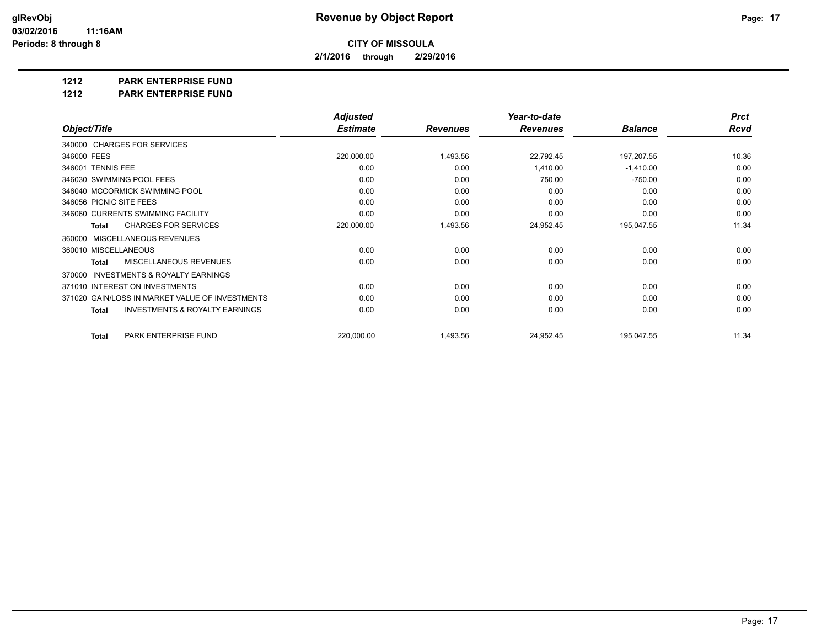**2/1/2016 through 2/29/2016**

**1212 PARK ENTERPRISE FUND**

**1212 PARK ENTERPRISE FUND**

|                                                           | <b>Adjusted</b> |                 | Year-to-date    |                | <b>Prct</b> |
|-----------------------------------------------------------|-----------------|-----------------|-----------------|----------------|-------------|
| Object/Title                                              | <b>Estimate</b> | <b>Revenues</b> | <b>Revenues</b> | <b>Balance</b> | <b>Rcvd</b> |
| 340000 CHARGES FOR SERVICES                               |                 |                 |                 |                |             |
| 346000 FEES                                               | 220,000.00      | 1,493.56        | 22,792.45       | 197,207.55     | 10.36       |
| 346001 TENNIS FEE                                         | 0.00            | 0.00            | 1,410.00        | $-1,410.00$    | 0.00        |
| 346030 SWIMMING POOL FEES                                 | 0.00            | 0.00            | 750.00          | $-750.00$      | 0.00        |
| 346040 MCCORMICK SWIMMING POOL                            | 0.00            | 0.00            | 0.00            | 0.00           | 0.00        |
| 346056 PICNIC SITE FEES                                   | 0.00            | 0.00            | 0.00            | 0.00           | 0.00        |
| 346060 CURRENTS SWIMMING FACILITY                         | 0.00            | 0.00            | 0.00            | 0.00           | 0.00        |
| <b>CHARGES FOR SERVICES</b><br><b>Total</b>               | 220,000.00      | 1,493.56        | 24,952.45       | 195,047.55     | 11.34       |
| MISCELLANEOUS REVENUES<br>360000                          |                 |                 |                 |                |             |
| 360010 MISCELLANEOUS                                      | 0.00            | 0.00            | 0.00            | 0.00           | 0.00        |
| <b>MISCELLANEOUS REVENUES</b><br><b>Total</b>             | 0.00            | 0.00            | 0.00            | 0.00           | 0.00        |
| <b>INVESTMENTS &amp; ROYALTY EARNINGS</b><br>370000       |                 |                 |                 |                |             |
| 371010 INTEREST ON INVESTMENTS                            | 0.00            | 0.00            | 0.00            | 0.00           | 0.00        |
| 371020 GAIN/LOSS IN MARKET VALUE OF INVESTMENTS           | 0.00            | 0.00            | 0.00            | 0.00           | 0.00        |
| <b>INVESTMENTS &amp; ROYALTY EARNINGS</b><br><b>Total</b> | 0.00            | 0.00            | 0.00            | 0.00           | 0.00        |
| PARK ENTERPRISE FUND<br><b>Total</b>                      | 220,000.00      | 1,493.56        | 24,952.45       | 195,047.55     | 11.34       |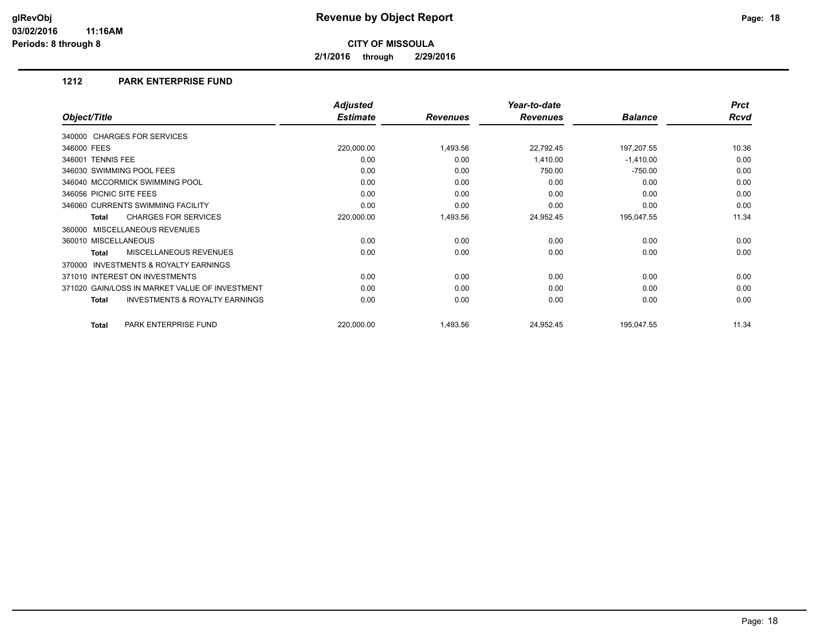**2/1/2016 through 2/29/2016**

#### **1212 PARK ENTERPRISE FUND**

|                                                           | <b>Adjusted</b> |                 | Year-to-date    |                | <b>Prct</b> |
|-----------------------------------------------------------|-----------------|-----------------|-----------------|----------------|-------------|
| Object/Title                                              | <b>Estimate</b> | <b>Revenues</b> | <b>Revenues</b> | <b>Balance</b> | <b>Rcvd</b> |
| 340000 CHARGES FOR SERVICES                               |                 |                 |                 |                |             |
| 346000 FEES                                               | 220,000.00      | 1,493.56        | 22,792.45       | 197,207.55     | 10.36       |
| 346001 TENNIS FEE                                         | 0.00            | 0.00            | 1,410.00        | $-1,410.00$    | 0.00        |
| 346030 SWIMMING POOL FEES                                 | 0.00            | 0.00            | 750.00          | $-750.00$      | 0.00        |
| 346040 MCCORMICK SWIMMING POOL                            | 0.00            | 0.00            | 0.00            | 0.00           | 0.00        |
| 346056 PICNIC SITE FEES                                   | 0.00            | 0.00            | 0.00            | 0.00           | 0.00        |
| 346060 CURRENTS SWIMMING FACILITY                         | 0.00            | 0.00            | 0.00            | 0.00           | 0.00        |
| <b>CHARGES FOR SERVICES</b><br><b>Total</b>               | 220,000.00      | 1,493.56        | 24,952.45       | 195,047.55     | 11.34       |
| MISCELLANEOUS REVENUES<br>360000                          |                 |                 |                 |                |             |
| 360010 MISCELLANEOUS                                      | 0.00            | 0.00            | 0.00            | 0.00           | 0.00        |
| <b>MISCELLANEOUS REVENUES</b><br><b>Total</b>             | 0.00            | 0.00            | 0.00            | 0.00           | 0.00        |
| <b>INVESTMENTS &amp; ROYALTY EARNINGS</b><br>370000       |                 |                 |                 |                |             |
| 371010 INTEREST ON INVESTMENTS                            | 0.00            | 0.00            | 0.00            | 0.00           | 0.00        |
| 371020 GAIN/LOSS IN MARKET VALUE OF INVESTMENT            | 0.00            | 0.00            | 0.00            | 0.00           | 0.00        |
| <b>INVESTMENTS &amp; ROYALTY EARNINGS</b><br><b>Total</b> | 0.00            | 0.00            | 0.00            | 0.00           | 0.00        |
| PARK ENTERPRISE FUND<br><b>Total</b>                      | 220,000.00      | 1,493.56        | 24,952.45       | 195,047.55     | 11.34       |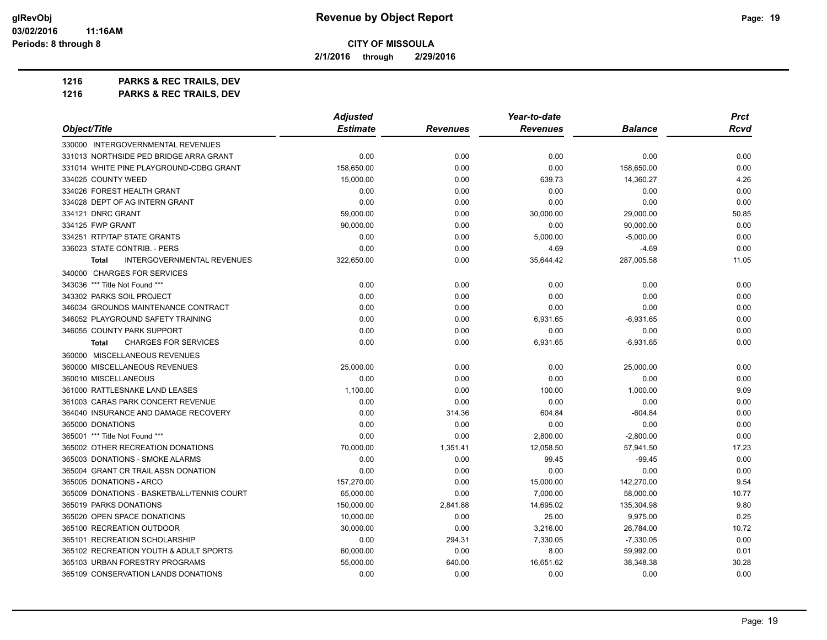**2/1/2016 through 2/29/2016**

**1216 PARKS & REC TRAILS, DEV**

| 1216 | <b>PARKS &amp; REC TRAILS, DEV</b> |
|------|------------------------------------|
|------|------------------------------------|

| Object/Title                                      | <b>Adjusted</b> |                 | Year-to-date    |                | <b>Prct</b> |
|---------------------------------------------------|-----------------|-----------------|-----------------|----------------|-------------|
|                                                   | <b>Estimate</b> | <b>Revenues</b> | <b>Revenues</b> | <b>Balance</b> | Rcvd        |
| 330000 INTERGOVERNMENTAL REVENUES                 |                 |                 |                 |                |             |
| 331013 NORTHSIDE PED BRIDGE ARRA GRANT            | 0.00            | 0.00            | 0.00            | 0.00           | 0.00        |
| 331014 WHITE PINE PLAYGROUND-CDBG GRANT           | 158,650.00      | 0.00            | 0.00            | 158,650.00     | 0.00        |
| 334025 COUNTY WEED                                | 15,000.00       | 0.00            | 639.73          | 14,360.27      | 4.26        |
| 334026 FOREST HEALTH GRANT                        | 0.00            | 0.00            | 0.00            | 0.00           | 0.00        |
| 334028 DEPT OF AG INTERN GRANT                    | 0.00            | 0.00            | 0.00            | 0.00           | 0.00        |
| 334121 DNRC GRANT                                 | 59,000.00       | 0.00            | 30,000.00       | 29,000.00      | 50.85       |
| 334125 FWP GRANT                                  | 90,000.00       | 0.00            | 0.00            | 90,000.00      | 0.00        |
| 334251 RTP/TAP STATE GRANTS                       | 0.00            | 0.00            | 5,000.00        | $-5,000.00$    | 0.00        |
| 336023 STATE CONTRIB. - PERS                      | 0.00            | 0.00            | 4.69            | $-4.69$        | 0.00        |
| <b>INTERGOVERNMENTAL REVENUES</b><br><b>Total</b> | 322,650.00      | 0.00            | 35,644.42       | 287,005.58     | 11.05       |
| 340000 CHARGES FOR SERVICES                       |                 |                 |                 |                |             |
| 343036 *** Title Not Found ***                    | 0.00            | 0.00            | 0.00            | 0.00           | 0.00        |
| 343302 PARKS SOIL PROJECT                         | 0.00            | 0.00            | 0.00            | 0.00           | 0.00        |
| 346034 GROUNDS MAINTENANCE CONTRACT               | 0.00            | 0.00            | 0.00            | 0.00           | 0.00        |
| 346052 PLAYGROUND SAFETY TRAINING                 | 0.00            | 0.00            | 6,931.65        | $-6,931.65$    | 0.00        |
| 346055 COUNTY PARK SUPPORT                        | 0.00            | 0.00            | 0.00            | 0.00           | 0.00        |
| <b>CHARGES FOR SERVICES</b><br><b>Total</b>       | 0.00            | 0.00            | 6,931.65        | $-6,931.65$    | 0.00        |
| 360000 MISCELLANEOUS REVENUES                     |                 |                 |                 |                |             |
| 360000 MISCELLANEOUS REVENUES                     | 25,000.00       | 0.00            | 0.00            | 25,000.00      | 0.00        |
| 360010 MISCELLANEOUS                              | 0.00            | 0.00            | 0.00            | 0.00           | 0.00        |
| 361000 RATTLESNAKE LAND LEASES                    | 1,100.00        | 0.00            | 100.00          | 1,000.00       | 9.09        |
| 361003 CARAS PARK CONCERT REVENUE                 | 0.00            | 0.00            | 0.00            | 0.00           | 0.00        |
| 364040 INSURANCE AND DAMAGE RECOVERY              | 0.00            | 314.36          | 604.84          | $-604.84$      | 0.00        |
| 365000 DONATIONS                                  | 0.00            | 0.00            | 0.00            | 0.00           | 0.00        |
| 365001 *** Title Not Found ***                    | 0.00            | 0.00            | 2,800.00        | $-2,800.00$    | 0.00        |
| 365002 OTHER RECREATION DONATIONS                 | 70.000.00       | 1,351.41        | 12,058.50       | 57,941.50      | 17.23       |
| 365003 DONATIONS - SMOKE ALARMS                   | 0.00            | 0.00            | 99.45           | $-99.45$       | 0.00        |
| 365004 GRANT CR TRAIL ASSN DONATION               | 0.00            | 0.00            | 0.00            | 0.00           | 0.00        |
| 365005 DONATIONS - ARCO                           | 157,270.00      | 0.00            | 15,000.00       | 142,270.00     | 9.54        |
| 365009 DONATIONS - BASKETBALL/TENNIS COURT        | 65,000.00       | 0.00            | 7,000.00        | 58,000.00      | 10.77       |
| 365019 PARKS DONATIONS                            | 150,000.00      | 2,841.88        | 14,695.02       | 135,304.98     | 9.80        |
| 365020 OPEN SPACE DONATIONS                       | 10,000.00       | 0.00            | 25.00           | 9,975.00       | 0.25        |
| 365100 RECREATION OUTDOOR                         | 30,000.00       | 0.00            | 3,216.00        | 26,784.00      | 10.72       |
| 365101 RECREATION SCHOLARSHIP                     | 0.00            | 294.31          | 7,330.05        | $-7,330.05$    | 0.00        |
| 365102 RECREATION YOUTH & ADULT SPORTS            | 60,000.00       | 0.00            | 8.00            | 59,992.00      | 0.01        |
| 365103 URBAN FORESTRY PROGRAMS                    | 55,000.00       | 640.00          | 16,651.62       | 38,348.38      | 30.28       |
| 365109 CONSERVATION LANDS DONATIONS               | 0.00            | 0.00            | 0.00            | 0.00           | 0.00        |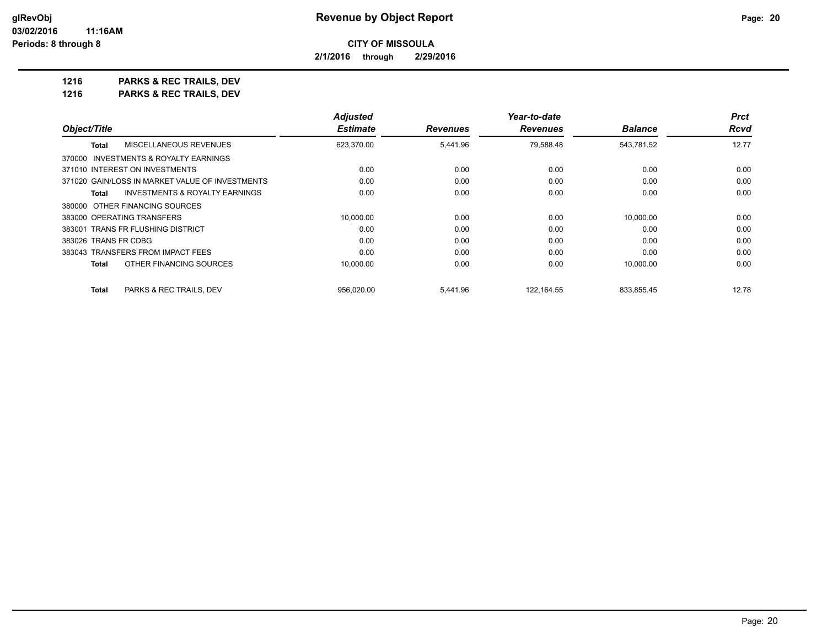**2/1/2016 through 2/29/2016**

**1216 PARKS & REC TRAILS, DEV 1216 PARKS & REC TRAILS, DEV**

|                                                    | <b>Adjusted</b> |                 | Year-to-date    |                | <b>Prct</b> |
|----------------------------------------------------|-----------------|-----------------|-----------------|----------------|-------------|
| Object/Title                                       | <b>Estimate</b> | <b>Revenues</b> | <b>Revenues</b> | <b>Balance</b> | Rcvd        |
| <b>MISCELLANEOUS REVENUES</b><br><b>Total</b>      | 623,370.00      | 5,441.96        | 79,588.48       | 543,781.52     | 12.77       |
| 370000 INVESTMENTS & ROYALTY EARNINGS              |                 |                 |                 |                |             |
| 371010 INTEREST ON INVESTMENTS                     | 0.00            | 0.00            | 0.00            | 0.00           | 0.00        |
| 371020 GAIN/LOSS IN MARKET VALUE OF INVESTMENTS    | 0.00            | 0.00            | 0.00            | 0.00           | 0.00        |
| <b>INVESTMENTS &amp; ROYALTY EARNINGS</b><br>Total | 0.00            | 0.00            | 0.00            | 0.00           | 0.00        |
| 380000 OTHER FINANCING SOURCES                     |                 |                 |                 |                |             |
| 383000 OPERATING TRANSFERS                         | 10.000.00       | 0.00            | 0.00            | 10.000.00      | 0.00        |
| 383001 TRANS FR FLUSHING DISTRICT                  | 0.00            | 0.00            | 0.00            | 0.00           | 0.00        |
| 383026 TRANS FR CDBG                               | 0.00            | 0.00            | 0.00            | 0.00           | 0.00        |
| 383043 TRANSFERS FROM IMPACT FEES                  | 0.00            | 0.00            | 0.00            | 0.00           | 0.00        |
| OTHER FINANCING SOURCES<br><b>Total</b>            | 10,000.00       | 0.00            | 0.00            | 10,000.00      | 0.00        |
| <b>Total</b><br>PARKS & REC TRAILS, DEV            | 956.020.00      | 5.441.96        | 122.164.55      | 833.855.45     | 12.78       |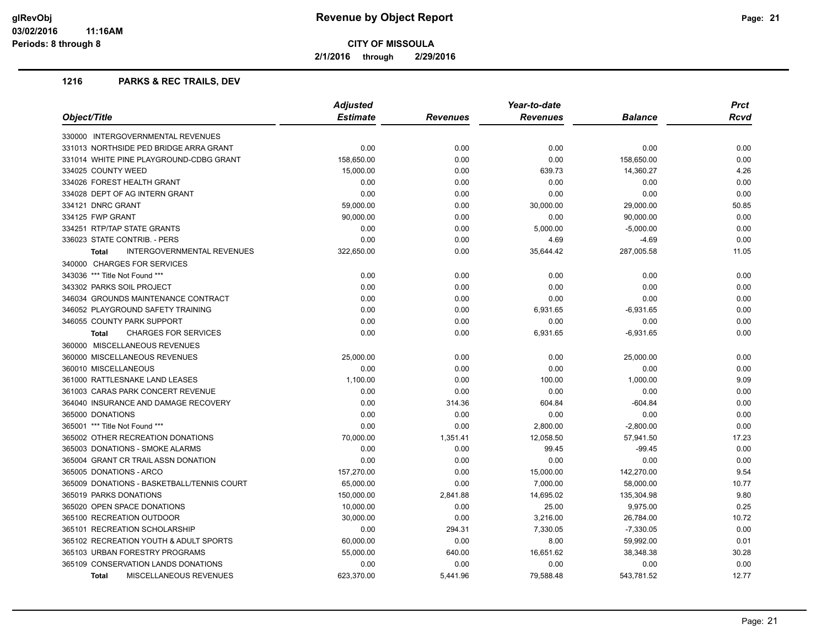**2/1/2016 through 2/29/2016**

#### **1216 PARKS & REC TRAILS, DEV**

| Object/Title                                  | <b>Adjusted</b> |          | Year-to-date    |                | <b>Prct</b> |
|-----------------------------------------------|-----------------|----------|-----------------|----------------|-------------|
|                                               | <b>Estimate</b> | Revenues | <b>Revenues</b> | <b>Balance</b> | Rcvd        |
| 330000 INTERGOVERNMENTAL REVENUES             |                 |          |                 |                |             |
| 331013 NORTHSIDE PED BRIDGE ARRA GRANT        | 0.00            | 0.00     | 0.00            | 0.00           | 0.00        |
| 331014 WHITE PINE PLAYGROUND-CDBG GRANT       | 158,650.00      | 0.00     | 0.00            | 158,650.00     | 0.00        |
| 334025 COUNTY WEED                            | 15,000.00       | 0.00     | 639.73          | 14,360.27      | 4.26        |
| 334026 FOREST HEALTH GRANT                    | 0.00            | 0.00     | 0.00            | 0.00           | 0.00        |
| 334028 DEPT OF AG INTERN GRANT                | 0.00            | 0.00     | 0.00            | 0.00           | 0.00        |
| 334121 DNRC GRANT                             | 59,000.00       | 0.00     | 30,000.00       | 29,000.00      | 50.85       |
| 334125 FWP GRANT                              | 90,000.00       | 0.00     | 0.00            | 90,000.00      | 0.00        |
| 334251 RTP/TAP STATE GRANTS                   | 0.00            | 0.00     | 5,000.00        | $-5,000.00$    | 0.00        |
| 336023 STATE CONTRIB. - PERS                  | 0.00            | 0.00     | 4.69            | $-4.69$        | 0.00        |
| INTERGOVERNMENTAL REVENUES<br><b>Total</b>    | 322,650.00      | 0.00     | 35,644.42       | 287,005.58     | 11.05       |
| 340000 CHARGES FOR SERVICES                   |                 |          |                 |                |             |
| 343036 *** Title Not Found ***                | 0.00            | 0.00     | 0.00            | 0.00           | 0.00        |
| 343302 PARKS SOIL PROJECT                     | 0.00            | 0.00     | 0.00            | 0.00           | 0.00        |
| 346034 GROUNDS MAINTENANCE CONTRACT           | 0.00            | 0.00     | 0.00            | 0.00           | 0.00        |
| 346052 PLAYGROUND SAFETY TRAINING             | 0.00            | 0.00     | 6,931.65        | $-6,931.65$    | 0.00        |
| 346055 COUNTY PARK SUPPORT                    | 0.00            | 0.00     | 0.00            | 0.00           | 0.00        |
| <b>CHARGES FOR SERVICES</b><br><b>Total</b>   | 0.00            | 0.00     | 6,931.65        | $-6,931.65$    | 0.00        |
| 360000 MISCELLANEOUS REVENUES                 |                 |          |                 |                |             |
| 360000 MISCELLANEOUS REVENUES                 | 25,000.00       | 0.00     | 0.00            | 25,000.00      | 0.00        |
| 360010 MISCELLANEOUS                          | 0.00            | 0.00     | 0.00            | 0.00           | 0.00        |
| 361000 RATTLESNAKE LAND LEASES                | 1,100.00        | 0.00     | 100.00          | 1,000.00       | 9.09        |
| 361003 CARAS PARK CONCERT REVENUE             | 0.00            | 0.00     | 0.00            | 0.00           | 0.00        |
| 364040 INSURANCE AND DAMAGE RECOVERY          | 0.00            | 314.36   | 604.84          | $-604.84$      | 0.00        |
| 365000 DONATIONS                              | 0.00            | 0.00     | 0.00            | 0.00           | 0.00        |
| 365001 *** Title Not Found ***                | 0.00            | 0.00     | 2,800.00        | $-2,800.00$    | 0.00        |
| 365002 OTHER RECREATION DONATIONS             | 70,000.00       | 1,351.41 | 12,058.50       | 57,941.50      | 17.23       |
| 365003 DONATIONS - SMOKE ALARMS               | 0.00            | 0.00     | 99.45           | -99.45         | 0.00        |
| 365004 GRANT CR TRAIL ASSN DONATION           | 0.00            | 0.00     | 0.00            | 0.00           | 0.00        |
| 365005 DONATIONS - ARCO                       | 157,270.00      | 0.00     | 15,000.00       | 142,270.00     | 9.54        |
| 365009 DONATIONS - BASKETBALL/TENNIS COURT    | 65,000.00       | 0.00     | 7,000.00        | 58,000.00      | 10.77       |
| 365019 PARKS DONATIONS                        | 150,000.00      | 2,841.88 | 14,695.02       | 135,304.98     | 9.80        |
| 365020 OPEN SPACE DONATIONS                   | 10,000.00       | 0.00     | 25.00           | 9,975.00       | 0.25        |
| 365100 RECREATION OUTDOOR                     | 30,000.00       | 0.00     | 3,216.00        | 26,784.00      | 10.72       |
| 365101 RECREATION SCHOLARSHIP                 | 0.00            | 294.31   | 7,330.05        | $-7,330.05$    | 0.00        |
| 365102 RECREATION YOUTH & ADULT SPORTS        | 60,000.00       | 0.00     | 8.00            | 59,992.00      | 0.01        |
| 365103 URBAN FORESTRY PROGRAMS                | 55,000.00       | 640.00   | 16,651.62       | 38,348.38      | 30.28       |
| 365109 CONSERVATION LANDS DONATIONS           | 0.00            | 0.00     | 0.00            | 0.00           | 0.00        |
| <b>MISCELLANEOUS REVENUES</b><br><b>Total</b> | 623.370.00      | 5.441.96 | 79.588.48       | 543.781.52     | 12.77       |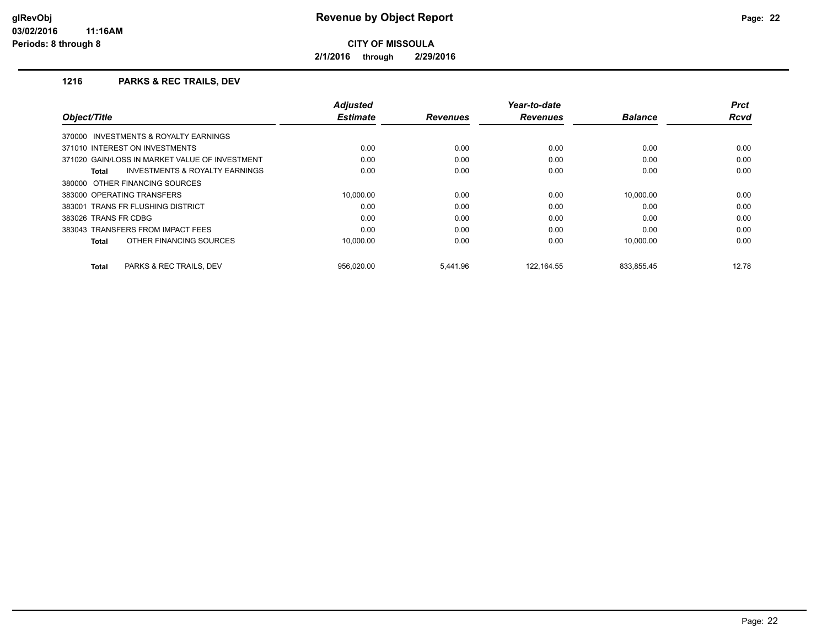**2/1/2016 through 2/29/2016**

#### **1216 PARKS & REC TRAILS, DEV**

|                                                    | <b>Adjusted</b> |                 | Year-to-date    |                | <b>Prct</b> |
|----------------------------------------------------|-----------------|-----------------|-----------------|----------------|-------------|
| Object/Title                                       | <b>Estimate</b> | <b>Revenues</b> | <b>Revenues</b> | <b>Balance</b> | <b>Rcvd</b> |
| 370000 INVESTMENTS & ROYALTY EARNINGS              |                 |                 |                 |                |             |
| 371010 INTEREST ON INVESTMENTS                     | 0.00            | 0.00            | 0.00            | 0.00           | 0.00        |
| 371020 GAIN/LOSS IN MARKET VALUE OF INVESTMENT     | 0.00            | 0.00            | 0.00            | 0.00           | 0.00        |
| <b>INVESTMENTS &amp; ROYALTY EARNINGS</b><br>Total | 0.00            | 0.00            | 0.00            | 0.00           | 0.00        |
| 380000 OTHER FINANCING SOURCES                     |                 |                 |                 |                |             |
| 383000 OPERATING TRANSFERS                         | 10.000.00       | 0.00            | 0.00            | 10.000.00      | 0.00        |
| 383001 TRANS FR FLUSHING DISTRICT                  | 0.00            | 0.00            | 0.00            | 0.00           | 0.00        |
| 383026 TRANS FR CDBG                               | 0.00            | 0.00            | 0.00            | 0.00           | 0.00        |
| 383043 TRANSFERS FROM IMPACT FEES                  | 0.00            | 0.00            | 0.00            | 0.00           | 0.00        |
| OTHER FINANCING SOURCES<br>Total                   | 10.000.00       | 0.00            | 0.00            | 10.000.00      | 0.00        |
| PARKS & REC TRAILS, DEV<br>Total                   | 956.020.00      | 5.441.96        | 122.164.55      | 833,855.45     | 12.78       |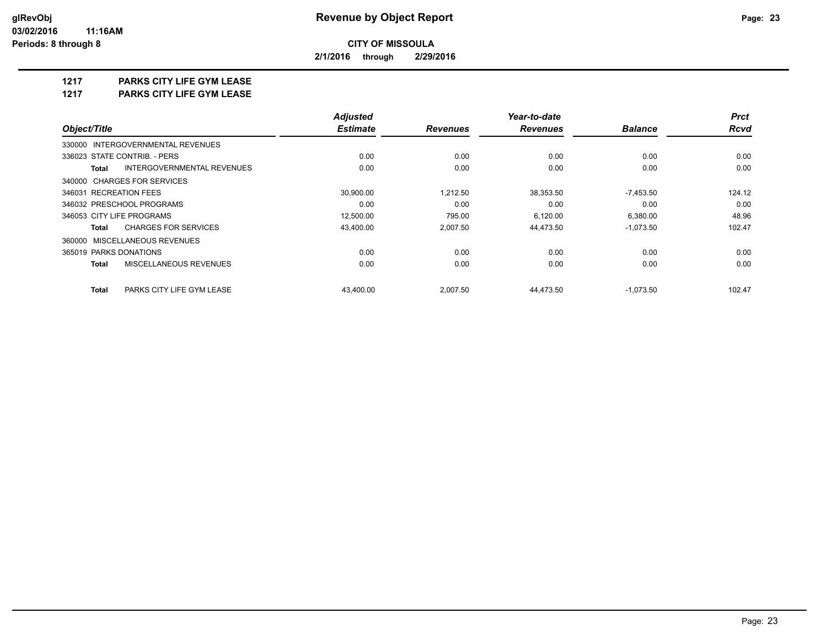**2/1/2016 through 2/29/2016**

## **1217 PARKS CITY LIFE GYM LEASE**

**1217 PARKS CITY LIFE GYM LEASE**

|                                                   | <b>Adjusted</b> |                 | Year-to-date    |                | <b>Prct</b> |
|---------------------------------------------------|-----------------|-----------------|-----------------|----------------|-------------|
| Object/Title                                      | <b>Estimate</b> | <b>Revenues</b> | <b>Revenues</b> | <b>Balance</b> | <b>Rcvd</b> |
| 330000 INTERGOVERNMENTAL REVENUES                 |                 |                 |                 |                |             |
| 336023 STATE CONTRIB. - PERS                      | 0.00            | 0.00            | 0.00            | 0.00           | 0.00        |
| <b>INTERGOVERNMENTAL REVENUES</b><br><b>Total</b> | 0.00            | 0.00            | 0.00            | 0.00           | 0.00        |
| 340000 CHARGES FOR SERVICES                       |                 |                 |                 |                |             |
| 346031 RECREATION FEES                            | 30,900.00       | 1,212.50        | 38,353.50       | $-7,453.50$    | 124.12      |
| 346032 PRESCHOOL PROGRAMS                         | 0.00            | 0.00            | 0.00            | 0.00           | 0.00        |
| 346053 CITY LIFE PROGRAMS                         | 12,500.00       | 795.00          | 6,120.00        | 6,380.00       | 48.96       |
| <b>CHARGES FOR SERVICES</b><br>Total              | 43,400.00       | 2,007.50        | 44,473.50       | $-1,073.50$    | 102.47      |
| 360000 MISCELLANEOUS REVENUES                     |                 |                 |                 |                |             |
| 365019 PARKS DONATIONS                            | 0.00            | 0.00            | 0.00            | 0.00           | 0.00        |
| MISCELLANEOUS REVENUES<br><b>Total</b>            | 0.00            | 0.00            | 0.00            | 0.00           | 0.00        |
| <b>Total</b><br>PARKS CITY LIFE GYM LEASE         | 43.400.00       | 2,007.50        | 44,473.50       | $-1,073.50$    | 102.47      |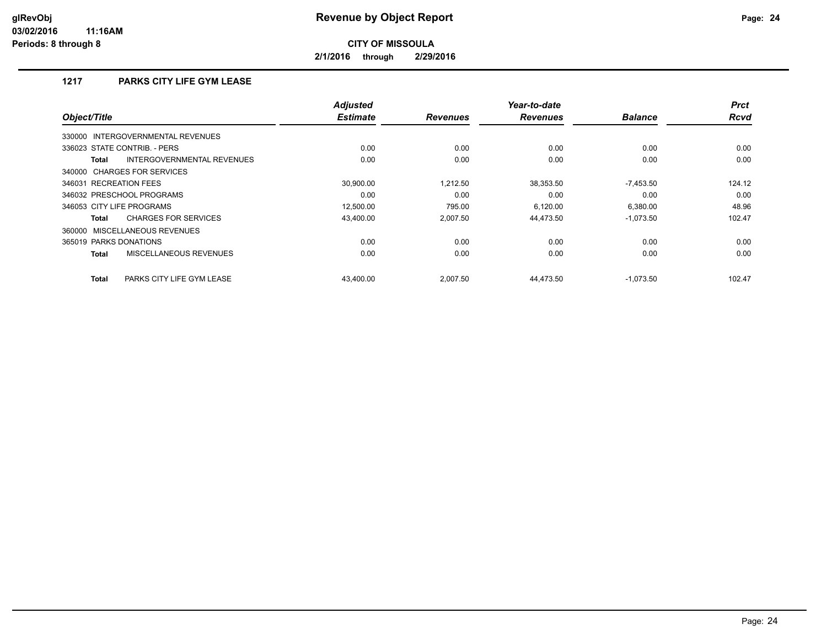**2/1/2016 through 2/29/2016**

## **1217 PARKS CITY LIFE GYM LEASE**

| Object/Title                                | Adjusted<br><b>Estimate</b> | <b>Revenues</b> | Year-to-date<br><b>Revenues</b> | <b>Balance</b> | <b>Prct</b><br><b>Rcvd</b> |
|---------------------------------------------|-----------------------------|-----------------|---------------------------------|----------------|----------------------------|
| INTERGOVERNMENTAL REVENUES<br>330000        |                             |                 |                                 |                |                            |
| 336023 STATE CONTRIB. - PERS                | 0.00                        | 0.00            | 0.00                            | 0.00           | 0.00                       |
| INTERGOVERNMENTAL REVENUES<br><b>Total</b>  | 0.00                        | 0.00            | 0.00                            | 0.00           | 0.00                       |
| 340000 CHARGES FOR SERVICES                 |                             |                 |                                 |                |                            |
| 346031 RECREATION FEES                      | 30.900.00                   | 1,212.50        | 38,353.50                       | $-7,453.50$    | 124.12                     |
| 346032 PRESCHOOL PROGRAMS                   | 0.00                        | 0.00            | 0.00                            | 0.00           | 0.00                       |
| 346053 CITY LIFE PROGRAMS                   | 12,500.00                   | 795.00          | 6,120.00                        | 6,380.00       | 48.96                      |
| <b>CHARGES FOR SERVICES</b><br><b>Total</b> | 43,400.00                   | 2,007.50        | 44,473.50                       | $-1,073.50$    | 102.47                     |
| 360000 MISCELLANEOUS REVENUES               |                             |                 |                                 |                |                            |
| 365019 PARKS DONATIONS                      | 0.00                        | 0.00            | 0.00                            | 0.00           | 0.00                       |
| MISCELLANEOUS REVENUES<br><b>Total</b>      | 0.00                        | 0.00            | 0.00                            | 0.00           | 0.00                       |
| PARKS CITY LIFE GYM LEASE<br><b>Total</b>   | 43,400.00                   | 2,007.50        | 44,473.50                       | $-1,073.50$    | 102.47                     |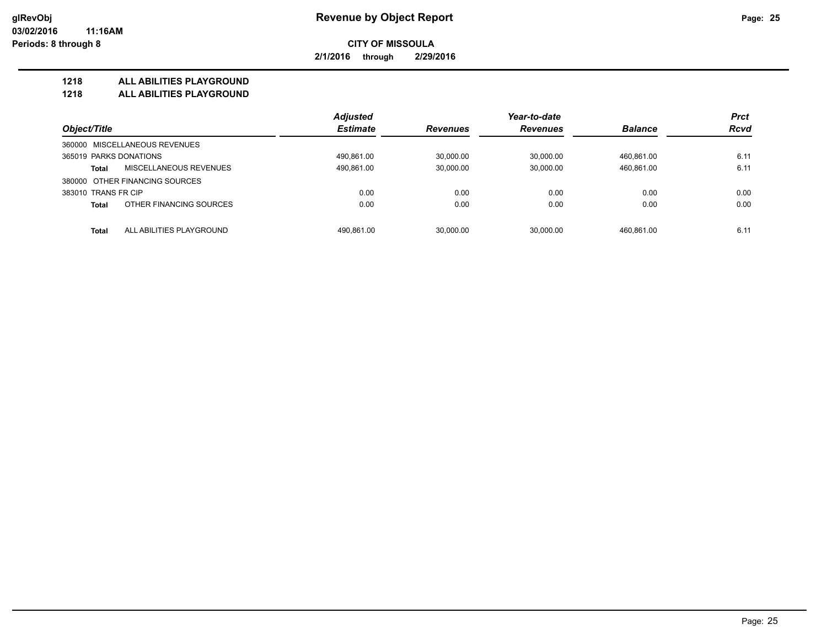**2/1/2016 through 2/29/2016**

#### **1218 ALL ABILITIES PLAYGROUND**

**1218 ALL ABILITIES PLAYGROUND**

|                                               | <b>Adjusted</b> |                 | Year-to-date    |                | <b>Prct</b> |
|-----------------------------------------------|-----------------|-----------------|-----------------|----------------|-------------|
| Object/Title                                  | <b>Estimate</b> | <b>Revenues</b> | <b>Revenues</b> | <b>Balance</b> | <b>Rcvd</b> |
| 360000 MISCELLANEOUS REVENUES                 |                 |                 |                 |                |             |
| 365019 PARKS DONATIONS                        | 490.861.00      | 30.000.00       | 30.000.00       | 460.861.00     | 6.11        |
| <b>MISCELLANEOUS REVENUES</b><br><b>Total</b> | 490,861.00      | 30,000.00       | 30,000.00       | 460.861.00     | 6.11        |
| 380000 OTHER FINANCING SOURCES                |                 |                 |                 |                |             |
| 383010 TRANS FR CIP                           | 0.00            | 0.00            | 0.00            | 0.00           | 0.00        |
| OTHER FINANCING SOURCES<br><b>Total</b>       | 0.00            | 0.00            | 0.00            | 0.00           | 0.00        |
|                                               |                 |                 |                 |                |             |
| ALL ABILITIES PLAYGROUND<br><b>Total</b>      | 490.861.00      | 30.000.00       | 30.000.00       | 460.861.00     | 6.11        |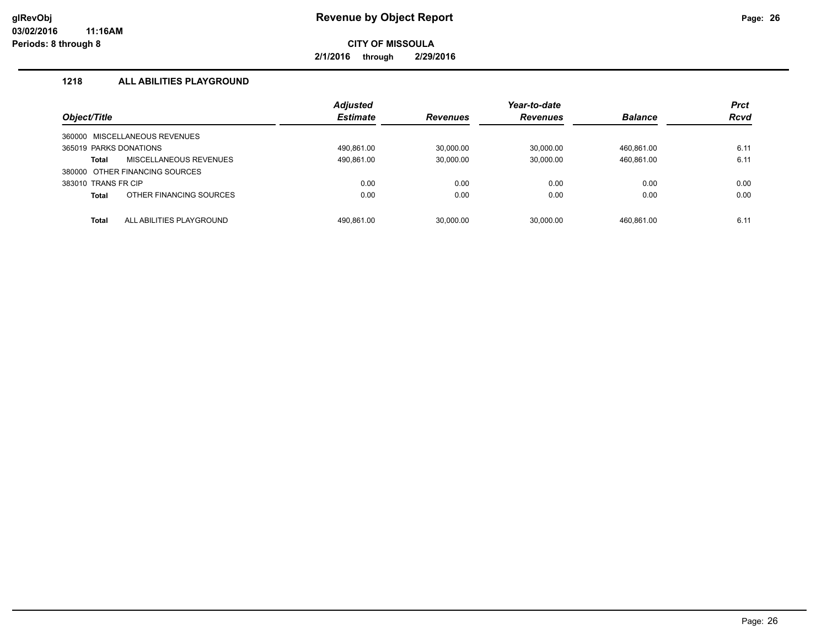**2/1/2016 through 2/29/2016**

## **1218 ALL ABILITIES PLAYGROUND**

|                        |                                | <b>Adjusted</b> |                 | Year-to-date    |                | <b>Prct</b> |
|------------------------|--------------------------------|-----------------|-----------------|-----------------|----------------|-------------|
| Object/Title           |                                | <b>Estimate</b> | <b>Revenues</b> | <b>Revenues</b> | <b>Balance</b> | <b>Rcvd</b> |
| 360000                 | MISCELLANEOUS REVENUES         |                 |                 |                 |                |             |
| 365019 PARKS DONATIONS |                                | 490.861.00      | 30.000.00       | 30.000.00       | 460.861.00     | 6.11        |
| Total                  | MISCELLANEOUS REVENUES         | 490.861.00      | 30.000.00       | 30.000.00       | 460,861.00     | 6.11        |
|                        | 380000 OTHER FINANCING SOURCES |                 |                 |                 |                |             |
| 383010 TRANS FR CIP    |                                | 0.00            | 0.00            | 0.00            | 0.00           | 0.00        |
| <b>Total</b>           | OTHER FINANCING SOURCES        | 0.00            | 0.00            | 0.00            | 0.00           | 0.00        |
| Total                  | ALL ABILITIES PLAYGROUND       | 490.861.00      | 30.000.00       | 30.000.00       | 460.861.00     | 6.11        |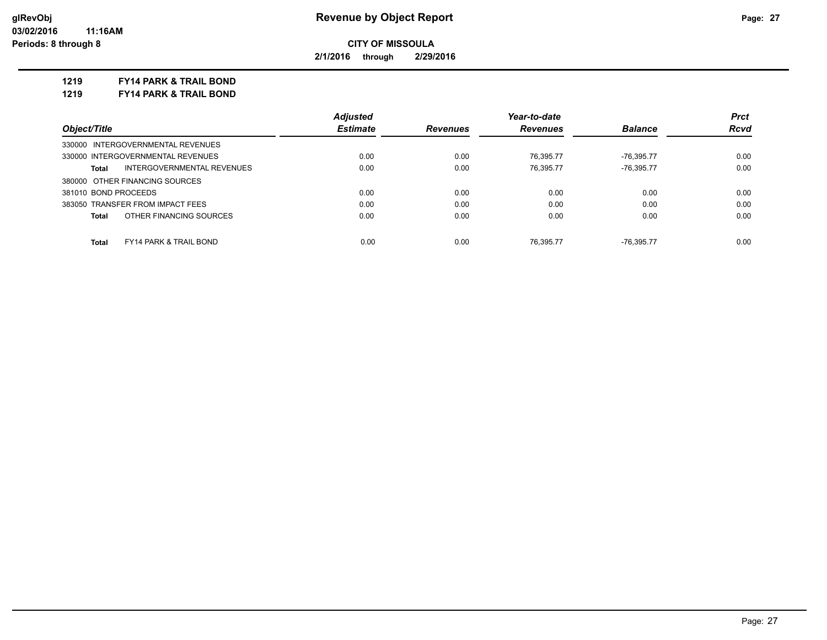**2/1/2016 through 2/29/2016**

**1219 FY14 PARK & TRAIL BOND**

**1219 FY14 PARK & TRAIL BOND**

|                                                   | <b>Adjusted</b> |                 | Year-to-date    |                | <b>Prct</b> |
|---------------------------------------------------|-----------------|-----------------|-----------------|----------------|-------------|
| Object/Title                                      | <b>Estimate</b> | <b>Revenues</b> | <b>Revenues</b> | <b>Balance</b> | Rcvd        |
| 330000 INTERGOVERNMENTAL REVENUES                 |                 |                 |                 |                |             |
| 330000 INTERGOVERNMENTAL REVENUES                 | 0.00            | 0.00            | 76.395.77       | -76.395.77     | 0.00        |
| INTERGOVERNMENTAL REVENUES<br>Total               | 0.00            | 0.00            | 76.395.77       | -76.395.77     | 0.00        |
| 380000 OTHER FINANCING SOURCES                    |                 |                 |                 |                |             |
| 381010 BOND PROCEEDS                              | 0.00            | 0.00            | 0.00            | 0.00           | 0.00        |
| 383050 TRANSFER FROM IMPACT FEES                  | 0.00            | 0.00            | 0.00            | 0.00           | 0.00        |
| OTHER FINANCING SOURCES<br>Total                  | 0.00            | 0.00            | 0.00            | 0.00           | 0.00        |
|                                                   |                 |                 |                 |                |             |
| <b>FY14 PARK &amp; TRAIL BOND</b><br><b>Total</b> | 0.00            | 0.00            | 76.395.77       | -76.395.77     | 0.00        |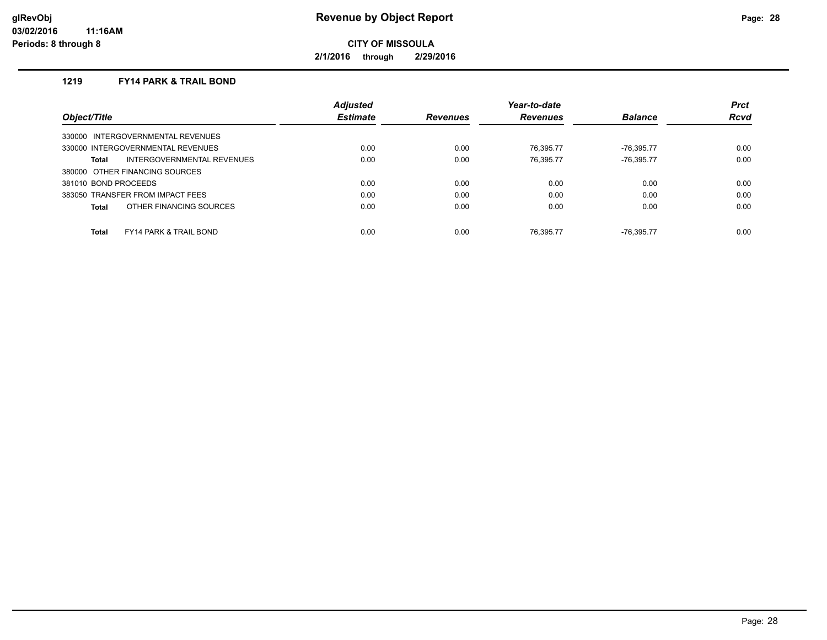**2/1/2016 through 2/29/2016**

## **1219 FY14 PARK & TRAIL BOND**

|                                            | <b>Adjusted</b> |                 | Year-to-date    |                | <b>Prct</b> |
|--------------------------------------------|-----------------|-----------------|-----------------|----------------|-------------|
| Object/Title                               | <b>Estimate</b> | <b>Revenues</b> | <b>Revenues</b> | <b>Balance</b> | <b>Rcvd</b> |
| 330000 INTERGOVERNMENTAL REVENUES          |                 |                 |                 |                |             |
| 330000 INTERGOVERNMENTAL REVENUES          | 0.00            | 0.00            | 76.395.77       | $-76.395.77$   | 0.00        |
| INTERGOVERNMENTAL REVENUES<br>Total        | 0.00            | 0.00            | 76.395.77       | $-76.395.77$   | 0.00        |
| 380000 OTHER FINANCING SOURCES             |                 |                 |                 |                |             |
| 381010 BOND PROCEEDS                       | 0.00            | 0.00            | 0.00            | 0.00           | 0.00        |
| 383050 TRANSFER FROM IMPACT FEES           | 0.00            | 0.00            | 0.00            | 0.00           | 0.00        |
| OTHER FINANCING SOURCES<br>Total           | 0.00            | 0.00            | 0.00            | 0.00           | 0.00        |
|                                            |                 |                 |                 |                |             |
| Total<br><b>FY14 PARK &amp; TRAIL BOND</b> | 0.00            | 0.00            | 76.395.77       | -76.395.77     | 0.00        |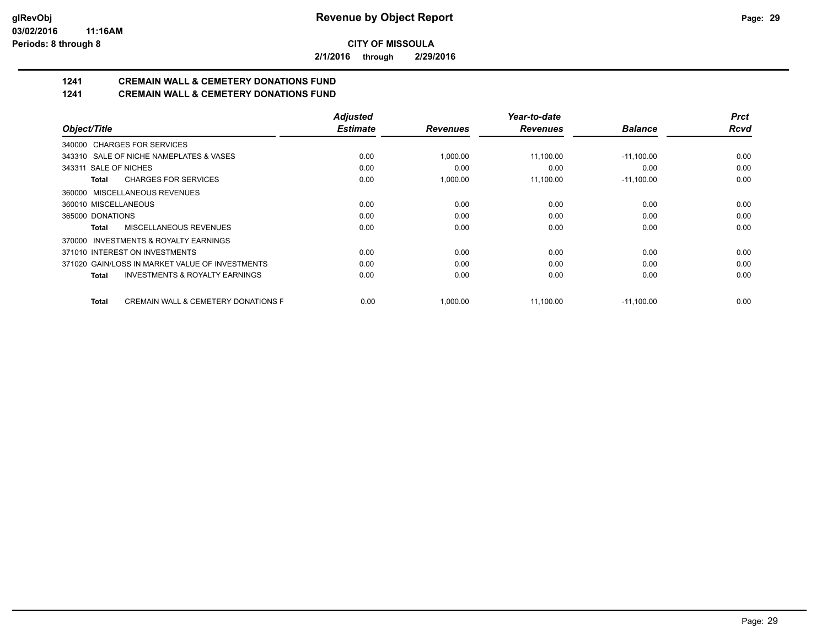**2/1/2016 through 2/29/2016**

# **1241 CREMAIN WALL & CEMETERY DONATIONS FUND**

## **1241 CREMAIN WALL & CEMETERY DONATIONS FUND**

|                                                                | <b>Adjusted</b> |                 | Year-to-date    |                | <b>Prct</b> |
|----------------------------------------------------------------|-----------------|-----------------|-----------------|----------------|-------------|
| Object/Title                                                   | <b>Estimate</b> | <b>Revenues</b> | <b>Revenues</b> | <b>Balance</b> | <b>Rcvd</b> |
| 340000 CHARGES FOR SERVICES                                    |                 |                 |                 |                |             |
| 343310 SALE OF NICHE NAMEPLATES & VASES                        | 0.00            | 1,000.00        | 11,100.00       | $-11,100.00$   | 0.00        |
| 343311 SALE OF NICHES                                          | 0.00            | 0.00            | 0.00            | 0.00           | 0.00        |
| <b>CHARGES FOR SERVICES</b><br>Total                           | 0.00            | 1,000.00        | 11,100.00       | $-11,100.00$   | 0.00        |
| MISCELLANEOUS REVENUES<br>360000                               |                 |                 |                 |                |             |
| 360010 MISCELLANEOUS                                           | 0.00            | 0.00            | 0.00            | 0.00           | 0.00        |
| 365000 DONATIONS                                               | 0.00            | 0.00            | 0.00            | 0.00           | 0.00        |
| MISCELLANEOUS REVENUES<br>Total                                | 0.00            | 0.00            | 0.00            | 0.00           | 0.00        |
| INVESTMENTS & ROYALTY EARNINGS<br>370000                       |                 |                 |                 |                |             |
| 371010 INTEREST ON INVESTMENTS                                 | 0.00            | 0.00            | 0.00            | 0.00           | 0.00        |
| 371020 GAIN/LOSS IN MARKET VALUE OF INVESTMENTS                | 0.00            | 0.00            | 0.00            | 0.00           | 0.00        |
| <b>INVESTMENTS &amp; ROYALTY EARNINGS</b><br>Total             | 0.00            | 0.00            | 0.00            | 0.00           | 0.00        |
| <b>CREMAIN WALL &amp; CEMETERY DONATIONS F</b><br><b>Total</b> | 0.00            | 1,000.00        | 11,100.00       | $-11,100.00$   | 0.00        |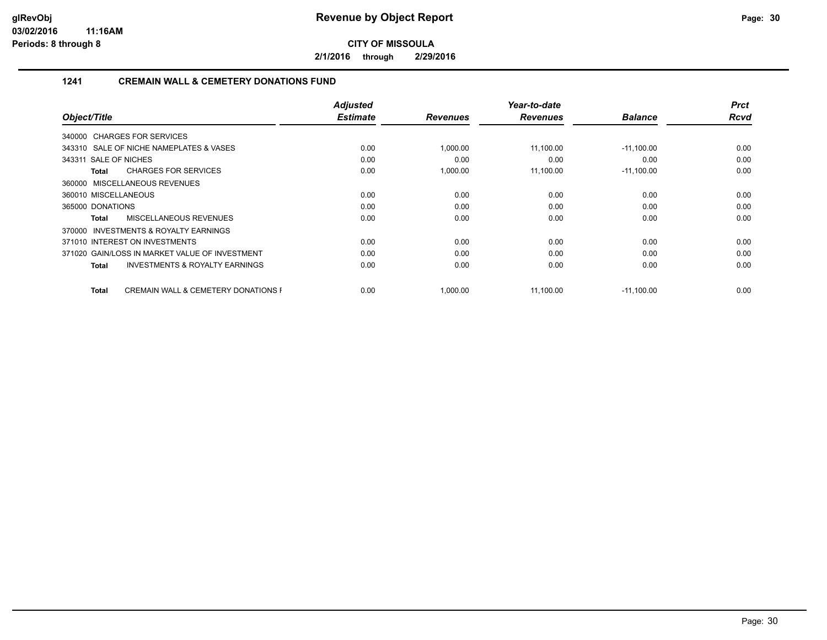**2/1/2016 through 2/29/2016**

## **1241 CREMAIN WALL & CEMETERY DONATIONS FUND**

| Object/Title                                            | <b>Adjusted</b><br><b>Estimate</b> | <b>Revenues</b> | Year-to-date<br><b>Revenues</b> | <b>Balance</b> | <b>Prct</b><br><b>Rcvd</b> |
|---------------------------------------------------------|------------------------------------|-----------------|---------------------------------|----------------|----------------------------|
|                                                         |                                    |                 |                                 |                |                            |
| 340000 CHARGES FOR SERVICES                             |                                    |                 |                                 |                |                            |
| 343310 SALE OF NICHE NAMEPLATES & VASES                 | 0.00                               | 1,000.00        | 11,100.00                       | $-11,100.00$   | 0.00                       |
| 343311 SALE OF NICHES                                   | 0.00                               | 0.00            | 0.00                            | 0.00           | 0.00                       |
| <b>CHARGES FOR SERVICES</b><br>Total                    | 0.00                               | 1,000.00        | 11,100.00                       | $-11,100.00$   | 0.00                       |
| 360000 MISCELLANEOUS REVENUES                           |                                    |                 |                                 |                |                            |
| 360010 MISCELLANEOUS                                    | 0.00                               | 0.00            | 0.00                            | 0.00           | 0.00                       |
| 365000 DONATIONS                                        | 0.00                               | 0.00            | 0.00                            | 0.00           | 0.00                       |
| MISCELLANEOUS REVENUES<br>Total                         | 0.00                               | 0.00            | 0.00                            | 0.00           | 0.00                       |
| <b>INVESTMENTS &amp; ROYALTY EARNINGS</b><br>370000     |                                    |                 |                                 |                |                            |
| 371010 INTEREST ON INVESTMENTS                          | 0.00                               | 0.00            | 0.00                            | 0.00           | 0.00                       |
| 371020 GAIN/LOSS IN MARKET VALUE OF INVESTMENT          | 0.00                               | 0.00            | 0.00                            | 0.00           | 0.00                       |
| <b>INVESTMENTS &amp; ROYALTY EARNINGS</b><br>Total      | 0.00                               | 0.00            | 0.00                            | 0.00           | 0.00                       |
|                                                         |                                    |                 |                                 |                |                            |
| <b>CREMAIN WALL &amp; CEMETERY DONATIONS F</b><br>Total | 0.00                               | 1,000.00        | 11,100.00                       | $-11,100.00$   | 0.00                       |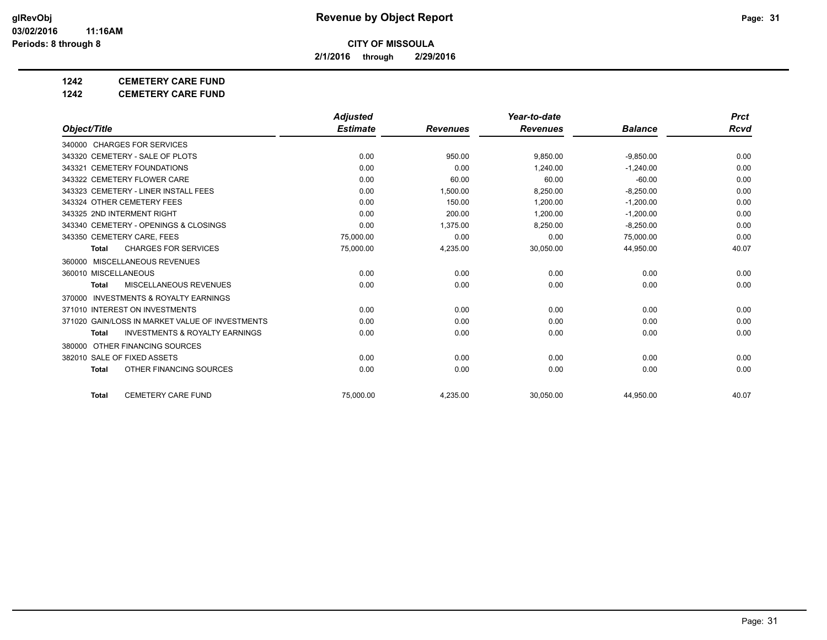**2/1/2016 through 2/29/2016**

## **1242 CEMETERY CARE FUND**

**1242 CEMETERY CARE FUND**

|                                                           | <b>Adjusted</b> |                 | Year-to-date    |                | <b>Prct</b> |
|-----------------------------------------------------------|-----------------|-----------------|-----------------|----------------|-------------|
| Object/Title                                              | <b>Estimate</b> | <b>Revenues</b> | <b>Revenues</b> | <b>Balance</b> | Rcvd        |
| 340000 CHARGES FOR SERVICES                               |                 |                 |                 |                |             |
| 343320 CEMETERY - SALE OF PLOTS                           | 0.00            | 950.00          | 9,850.00        | $-9,850.00$    | 0.00        |
| 343321 CEMETERY FOUNDATIONS                               | 0.00            | 0.00            | 1.240.00        | $-1.240.00$    | 0.00        |
| 343322 CEMETERY FLOWER CARE                               | 0.00            | 60.00           | 60.00           | $-60.00$       | 0.00        |
| 343323 CEMETERY - LINER INSTALL FEES                      | 0.00            | 1,500.00        | 8,250.00        | $-8,250.00$    | 0.00        |
| 343324 OTHER CEMETERY FEES                                | 0.00            | 150.00          | 1.200.00        | $-1,200.00$    | 0.00        |
| 343325 2ND INTERMENT RIGHT                                | 0.00            | 200.00          | 1.200.00        | $-1.200.00$    | 0.00        |
| 343340 CEMETERY - OPENINGS & CLOSINGS                     | 0.00            | 1,375.00        | 8,250.00        | $-8,250.00$    | 0.00        |
| 343350 CEMETERY CARE, FEES                                | 75,000.00       | 0.00            | 0.00            | 75,000.00      | 0.00        |
| <b>CHARGES FOR SERVICES</b><br><b>Total</b>               | 75,000.00       | 4,235.00        | 30,050.00       | 44,950.00      | 40.07       |
| MISCELLANEOUS REVENUES<br>360000                          |                 |                 |                 |                |             |
| 360010 MISCELLANEOUS                                      | 0.00            | 0.00            | 0.00            | 0.00           | 0.00        |
| MISCELLANEOUS REVENUES<br><b>Total</b>                    | 0.00            | 0.00            | 0.00            | 0.00           | 0.00        |
| <b>INVESTMENTS &amp; ROYALTY EARNINGS</b><br>370000       |                 |                 |                 |                |             |
| 371010 INTEREST ON INVESTMENTS                            | 0.00            | 0.00            | 0.00            | 0.00           | 0.00        |
| 371020 GAIN/LOSS IN MARKET VALUE OF INVESTMENTS           | 0.00            | 0.00            | 0.00            | 0.00           | 0.00        |
| <b>INVESTMENTS &amp; ROYALTY EARNINGS</b><br><b>Total</b> | 0.00            | 0.00            | 0.00            | 0.00           | 0.00        |
| OTHER FINANCING SOURCES<br>380000                         |                 |                 |                 |                |             |
| 382010 SALE OF FIXED ASSETS                               | 0.00            | 0.00            | 0.00            | 0.00           | 0.00        |
| OTHER FINANCING SOURCES<br><b>Total</b>                   | 0.00            | 0.00            | 0.00            | 0.00           | 0.00        |
| <b>CEMETERY CARE FUND</b><br><b>Total</b>                 | 75.000.00       | 4,235.00        | 30,050.00       | 44,950.00      | 40.07       |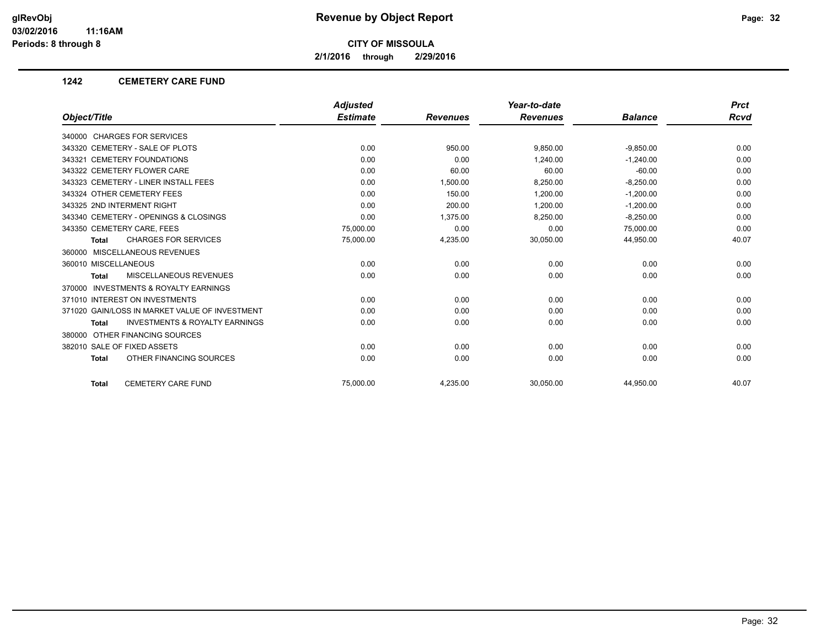**2/1/2016 through 2/29/2016**

#### **1242 CEMETERY CARE FUND**

|                                                           | <b>Adjusted</b> |                 | Year-to-date    |                | <b>Prct</b> |
|-----------------------------------------------------------|-----------------|-----------------|-----------------|----------------|-------------|
| Object/Title                                              | <b>Estimate</b> | <b>Revenues</b> | <b>Revenues</b> | <b>Balance</b> | Rcvd        |
| 340000 CHARGES FOR SERVICES                               |                 |                 |                 |                |             |
| 343320 CEMETERY - SALE OF PLOTS                           | 0.00            | 950.00          | 9.850.00        | $-9,850.00$    | 0.00        |
| 343321 CEMETERY FOUNDATIONS                               | 0.00            | 0.00            | 1.240.00        | $-1.240.00$    | 0.00        |
| 343322 CEMETERY FLOWER CARE                               | 0.00            | 60.00           | 60.00           | $-60.00$       | 0.00        |
| 343323 CEMETERY - LINER INSTALL FEES                      | 0.00            | 1,500.00        | 8,250.00        | $-8,250.00$    | 0.00        |
| 343324 OTHER CEMETERY FEES                                | 0.00            | 150.00          | 1.200.00        | $-1,200.00$    | 0.00        |
| 343325 2ND INTERMENT RIGHT                                | 0.00            | 200.00          | 1,200.00        | $-1,200.00$    | 0.00        |
| 343340 CEMETERY - OPENINGS & CLOSINGS                     | 0.00            | 1,375.00        | 8,250.00        | $-8,250.00$    | 0.00        |
| 343350 CEMETERY CARE, FEES                                | 75,000.00       | 0.00            | 0.00            | 75,000.00      | 0.00        |
| <b>CHARGES FOR SERVICES</b><br><b>Total</b>               | 75,000.00       | 4,235.00        | 30,050.00       | 44,950.00      | 40.07       |
| 360000 MISCELLANEOUS REVENUES                             |                 |                 |                 |                |             |
| 360010 MISCELLANEOUS                                      | 0.00            | 0.00            | 0.00            | 0.00           | 0.00        |
| <b>MISCELLANEOUS REVENUES</b><br><b>Total</b>             | 0.00            | 0.00            | 0.00            | 0.00           | 0.00        |
| 370000 INVESTMENTS & ROYALTY EARNINGS                     |                 |                 |                 |                |             |
| 371010 INTEREST ON INVESTMENTS                            | 0.00            | 0.00            | 0.00            | 0.00           | 0.00        |
| 371020 GAIN/LOSS IN MARKET VALUE OF INVESTMENT            | 0.00            | 0.00            | 0.00            | 0.00           | 0.00        |
| <b>INVESTMENTS &amp; ROYALTY EARNINGS</b><br><b>Total</b> | 0.00            | 0.00            | 0.00            | 0.00           | 0.00        |
| 380000 OTHER FINANCING SOURCES                            |                 |                 |                 |                |             |
| 382010 SALE OF FIXED ASSETS                               | 0.00            | 0.00            | 0.00            | 0.00           | 0.00        |
| OTHER FINANCING SOURCES<br><b>Total</b>                   | 0.00            | 0.00            | 0.00            | 0.00           | 0.00        |
| <b>CEMETERY CARE FUND</b><br><b>Total</b>                 | 75.000.00       | 4,235.00        | 30,050.00       | 44,950.00      | 40.07       |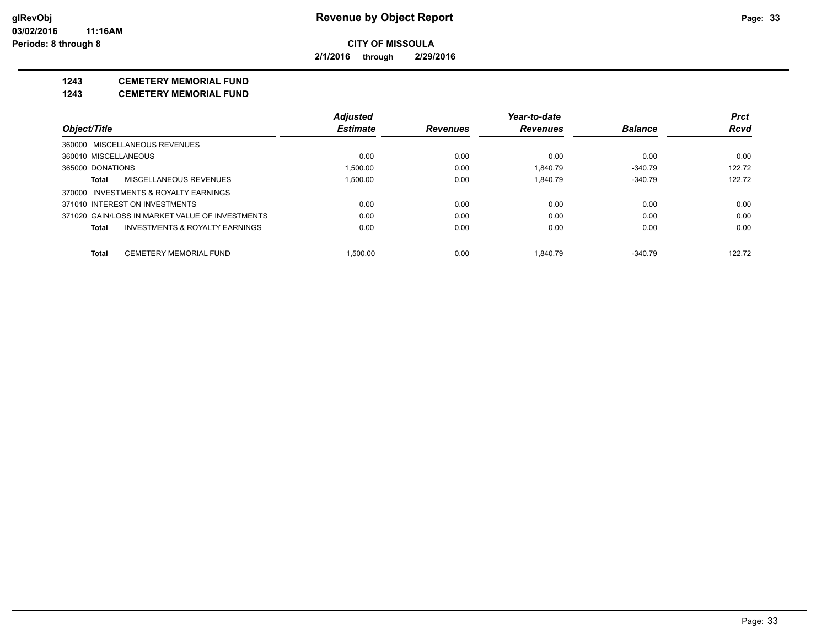**2/1/2016 through 2/29/2016**

## **1243 CEMETERY MEMORIAL FUND**

**1243 CEMETERY MEMORIAL FUND**

|                                                 | <b>Adjusted</b> |                 | Year-to-date    |                | <b>Prct</b> |
|-------------------------------------------------|-----------------|-----------------|-----------------|----------------|-------------|
| Object/Title                                    | <b>Estimate</b> | <b>Revenues</b> | <b>Revenues</b> | <b>Balance</b> | <b>Rcvd</b> |
| 360000 MISCELLANEOUS REVENUES                   |                 |                 |                 |                |             |
| 360010 MISCELLANEOUS                            | 0.00            | 0.00            | 0.00            | 0.00           | 0.00        |
| 365000 DONATIONS                                | 1.500.00        | 0.00            | 1.840.79        | $-340.79$      | 122.72      |
| MISCELLANEOUS REVENUES<br>Total                 | 1.500.00        | 0.00            | 1.840.79        | $-340.79$      | 122.72      |
| 370000 INVESTMENTS & ROYALTY EARNINGS           |                 |                 |                 |                |             |
| 371010 INTEREST ON INVESTMENTS                  | 0.00            | 0.00            | 0.00            | 0.00           | 0.00        |
| 371020 GAIN/LOSS IN MARKET VALUE OF INVESTMENTS | 0.00            | 0.00            | 0.00            | 0.00           | 0.00        |
| INVESTMENTS & ROYALTY EARNINGS<br>Total         | 0.00            | 0.00            | 0.00            | 0.00           | 0.00        |
| <b>CEMETERY MEMORIAL FUND</b><br>Total          | 1.500.00        | 0.00            | 1.840.79        | $-340.79$      | 122.72      |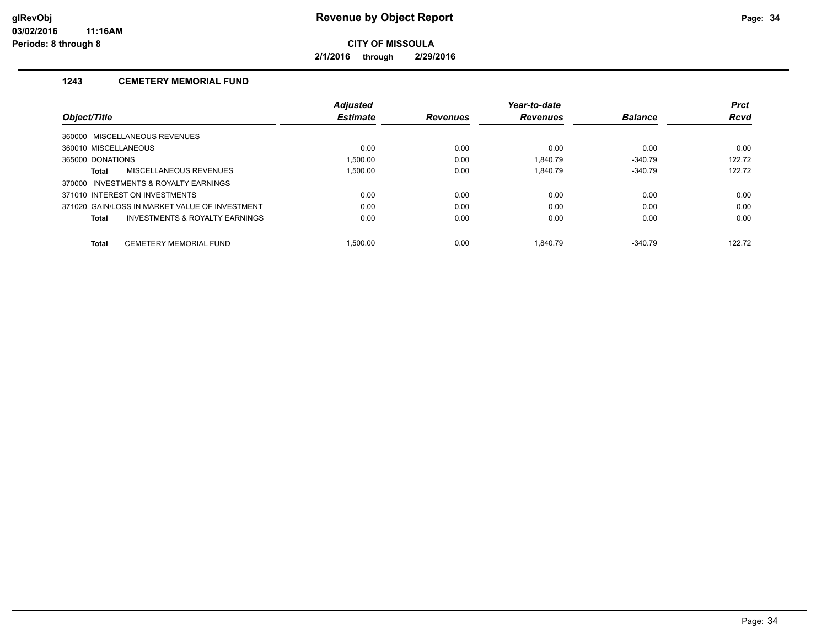**2/1/2016 through 2/29/2016**

## **1243 CEMETERY MEMORIAL FUND**

|                                                | <b>Adjusted</b> |                 | Year-to-date    |                | <b>Prct</b> |
|------------------------------------------------|-----------------|-----------------|-----------------|----------------|-------------|
| Object/Title                                   | <b>Estimate</b> | <b>Revenues</b> | <b>Revenues</b> | <b>Balance</b> | <b>Rcvd</b> |
| 360000 MISCELLANEOUS REVENUES                  |                 |                 |                 |                |             |
| 360010 MISCELLANEOUS                           | 0.00            | 0.00            | 0.00            | 0.00           | 0.00        |
| 365000 DONATIONS                               | 1.500.00        | 0.00            | 1.840.79        | $-340.79$      | 122.72      |
| MISCELLANEOUS REVENUES<br>Total                | 1.500.00        | 0.00            | 1.840.79        | $-340.79$      | 122.72      |
| 370000 INVESTMENTS & ROYALTY EARNINGS          |                 |                 |                 |                |             |
| 371010 INTEREST ON INVESTMENTS                 | 0.00            | 0.00            | 0.00            | 0.00           | 0.00        |
| 371020 GAIN/LOSS IN MARKET VALUE OF INVESTMENT | 0.00            | 0.00            | 0.00            | 0.00           | 0.00        |
| INVESTMENTS & ROYALTY EARNINGS<br>Total        | 0.00            | 0.00            | 0.00            | 0.00           | 0.00        |
| <b>CEMETERY MEMORIAL FUND</b><br><b>Total</b>  | .500.00         | 0.00            | 1.840.79        | $-340.79$      | 122.72      |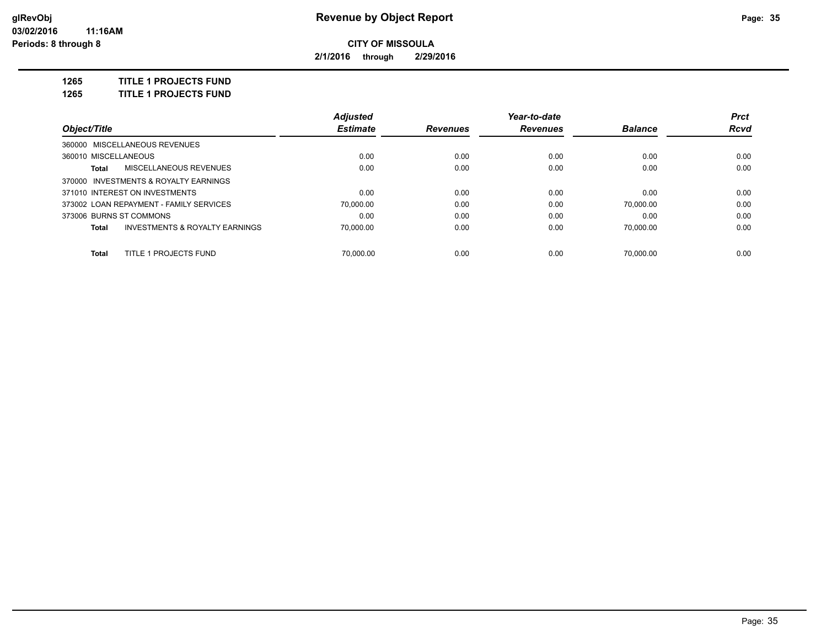**2/1/2016 through 2/29/2016**

**1265 TITLE 1 PROJECTS FUND**

**1265 TITLE 1 PROJECTS FUND**

|                                |                                           | <b>Adjusted</b> |                 | Year-to-date    |                | <b>Prct</b> |
|--------------------------------|-------------------------------------------|-----------------|-----------------|-----------------|----------------|-------------|
| Object/Title                   |                                           | <b>Estimate</b> | <b>Revenues</b> | <b>Revenues</b> | <b>Balance</b> | Rcvd        |
| 360000 MISCELLANEOUS REVENUES  |                                           |                 |                 |                 |                |             |
| 360010 MISCELLANEOUS           |                                           | 0.00            | 0.00            | 0.00            | 0.00           | 0.00        |
| Total                          | MISCELLANEOUS REVENUES                    | 0.00            | 0.00            | 0.00            | 0.00           | 0.00        |
|                                | 370000 INVESTMENTS & ROYALTY EARNINGS     |                 |                 |                 |                |             |
| 371010 INTEREST ON INVESTMENTS |                                           | 0.00            | 0.00            | 0.00            | 0.00           | 0.00        |
|                                | 373002 LOAN REPAYMENT - FAMILY SERVICES   | 70.000.00       | 0.00            | 0.00            | 70.000.00      | 0.00        |
| 373006 BURNS ST COMMONS        |                                           | 0.00            | 0.00            | 0.00            | 0.00           | 0.00        |
| Total                          | <b>INVESTMENTS &amp; ROYALTY EARNINGS</b> | 70.000.00       | 0.00            | 0.00            | 70.000.00      | 0.00        |
| Total                          | TITLE 1 PROJECTS FUND                     | 70.000.00       | 0.00            | 0.00            | 70.000.00      | 0.00        |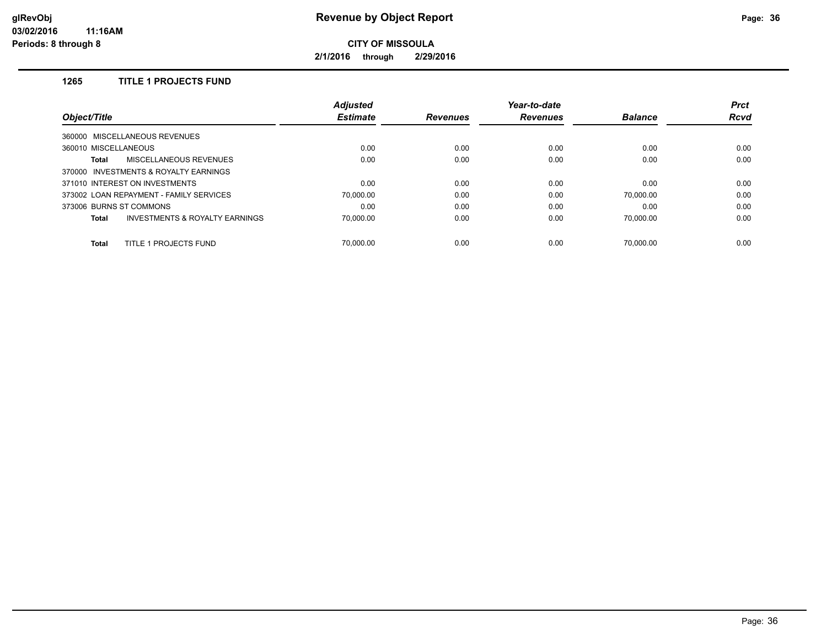**2/1/2016 through 2/29/2016**

## **1265 TITLE 1 PROJECTS FUND**

| <i><b>Object/Title</b></i>                                | <b>Adjusted</b> |                 | Year-to-date    |                | <b>Prct</b> |
|-----------------------------------------------------------|-----------------|-----------------|-----------------|----------------|-------------|
|                                                           | <b>Estimate</b> | <b>Revenues</b> | <b>Revenues</b> | <b>Balance</b> | <b>Rcvd</b> |
| 360000 MISCELLANEOUS REVENUES                             |                 |                 |                 |                |             |
| 360010 MISCELLANEOUS                                      | 0.00            | 0.00            | 0.00            | 0.00           | 0.00        |
| MISCELLANEOUS REVENUES<br><b>Total</b>                    | 0.00            | 0.00            | 0.00            | 0.00           | 0.00        |
| 370000 INVESTMENTS & ROYALTY EARNINGS                     |                 |                 |                 |                |             |
| 371010 INTEREST ON INVESTMENTS                            | 0.00            | 0.00            | 0.00            | 0.00           | 0.00        |
| 373002 LOAN REPAYMENT - FAMILY SERVICES                   | 70.000.00       | 0.00            | 0.00            | 70.000.00      | 0.00        |
| 373006 BURNS ST COMMONS                                   | 0.00            | 0.00            | 0.00            | 0.00           | 0.00        |
| <b>INVESTMENTS &amp; ROYALTY EARNINGS</b><br><b>Total</b> | 70.000.00       | 0.00            | 0.00            | 70.000.00      | 0.00        |
| TITLE 1 PROJECTS FUND<br><b>Total</b>                     | 70.000.00       | 0.00            | 0.00            | 70.000.00      | 0.00        |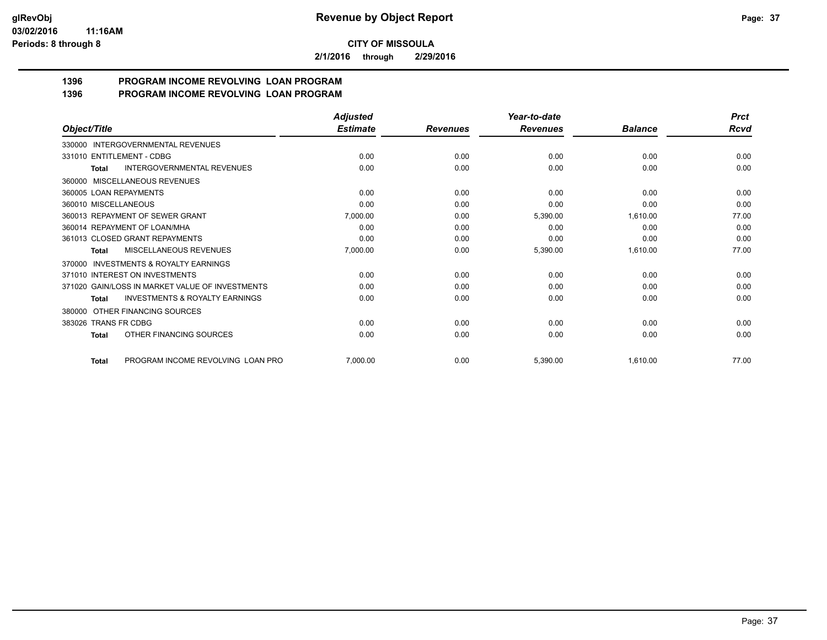**2/1/2016 through 2/29/2016**

#### **1396 PROGRAM INCOME REVOLVING LOAN PROGRAM 1396 PROGRAM INCOME REVOLVING LOAN PROGRAM**

|                                                    | <b>Adjusted</b> |                 | Year-to-date    |                | <b>Prct</b> |
|----------------------------------------------------|-----------------|-----------------|-----------------|----------------|-------------|
| Object/Title                                       | <b>Estimate</b> | <b>Revenues</b> | <b>Revenues</b> | <b>Balance</b> | Rcvd        |
| 330000 INTERGOVERNMENTAL REVENUES                  |                 |                 |                 |                |             |
| 331010 ENTITLEMENT - CDBG                          | 0.00            | 0.00            | 0.00            | 0.00           | 0.00        |
| <b>INTERGOVERNMENTAL REVENUES</b><br><b>Total</b>  | 0.00            | 0.00            | 0.00            | 0.00           | 0.00        |
| 360000 MISCELLANEOUS REVENUES                      |                 |                 |                 |                |             |
| 360005 LOAN REPAYMENTS                             | 0.00            | 0.00            | 0.00            | 0.00           | 0.00        |
| 360010 MISCELLANEOUS                               | 0.00            | 0.00            | 0.00            | 0.00           | 0.00        |
| 360013 REPAYMENT OF SEWER GRANT                    | 7,000.00        | 0.00            | 5,390.00        | 1,610.00       | 77.00       |
| 360014 REPAYMENT OF LOAN/MHA                       | 0.00            | 0.00            | 0.00            | 0.00           | 0.00        |
| 361013 CLOSED GRANT REPAYMENTS                     | 0.00            | 0.00            | 0.00            | 0.00           | 0.00        |
| MISCELLANEOUS REVENUES<br>Total                    | 7,000.00        | 0.00            | 5,390.00        | 1,610.00       | 77.00       |
| 370000 INVESTMENTS & ROYALTY EARNINGS              |                 |                 |                 |                |             |
| 371010 INTEREST ON INVESTMENTS                     | 0.00            | 0.00            | 0.00            | 0.00           | 0.00        |
| 371020 GAIN/LOSS IN MARKET VALUE OF INVESTMENTS    | 0.00            | 0.00            | 0.00            | 0.00           | 0.00        |
| <b>INVESTMENTS &amp; ROYALTY EARNINGS</b><br>Total | 0.00            | 0.00            | 0.00            | 0.00           | 0.00        |
| 380000 OTHER FINANCING SOURCES                     |                 |                 |                 |                |             |
| 383026 TRANS FR CDBG                               | 0.00            | 0.00            | 0.00            | 0.00           | 0.00        |
| OTHER FINANCING SOURCES<br>Total                   | 0.00            | 0.00            | 0.00            | 0.00           | 0.00        |
| PROGRAM INCOME REVOLVING LOAN PRO<br><b>Total</b>  | 7,000.00        | 0.00            | 5,390.00        | 1,610.00       | 77.00       |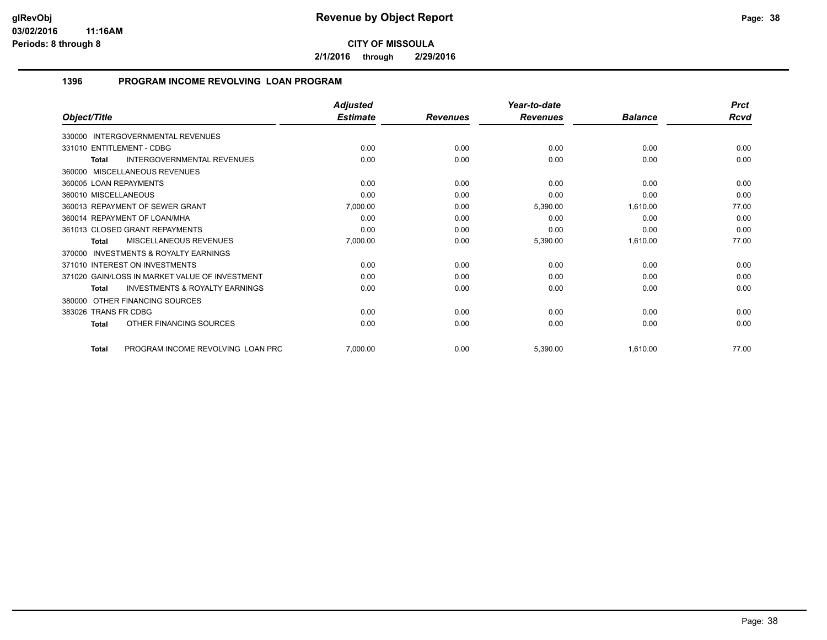**2/1/2016 through 2/29/2016**

## **1396 PROGRAM INCOME REVOLVING LOAN PROGRAM**

|                                                           | <b>Adjusted</b> |                 | Year-to-date    |                | <b>Prct</b> |
|-----------------------------------------------------------|-----------------|-----------------|-----------------|----------------|-------------|
| Object/Title                                              | <b>Estimate</b> | <b>Revenues</b> | <b>Revenues</b> | <b>Balance</b> | <b>Rcvd</b> |
| 330000 INTERGOVERNMENTAL REVENUES                         |                 |                 |                 |                |             |
| 331010 ENTITLEMENT - CDBG                                 | 0.00            | 0.00            | 0.00            | 0.00           | 0.00        |
| <b>INTERGOVERNMENTAL REVENUES</b><br>Total                | 0.00            | 0.00            | 0.00            | 0.00           | 0.00        |
| 360000 MISCELLANEOUS REVENUES                             |                 |                 |                 |                |             |
| 360005 LOAN REPAYMENTS                                    | 0.00            | 0.00            | 0.00            | 0.00           | 0.00        |
| 360010 MISCELLANEOUS                                      | 0.00            | 0.00            | 0.00            | 0.00           | 0.00        |
| 360013 REPAYMENT OF SEWER GRANT                           | 7,000.00        | 0.00            | 5,390.00        | 1,610.00       | 77.00       |
| 360014 REPAYMENT OF LOAN/MHA                              | 0.00            | 0.00            | 0.00            | 0.00           | 0.00        |
| 361013 CLOSED GRANT REPAYMENTS                            | 0.00            | 0.00            | 0.00            | 0.00           | 0.00        |
| MISCELLANEOUS REVENUES<br>Total                           | 7,000.00        | 0.00            | 5,390.00        | 1,610.00       | 77.00       |
| <b>INVESTMENTS &amp; ROYALTY EARNINGS</b><br>370000       |                 |                 |                 |                |             |
| 371010 INTEREST ON INVESTMENTS                            | 0.00            | 0.00            | 0.00            | 0.00           | 0.00        |
| 371020 GAIN/LOSS IN MARKET VALUE OF INVESTMENT            | 0.00            | 0.00            | 0.00            | 0.00           | 0.00        |
| <b>INVESTMENTS &amp; ROYALTY EARNINGS</b><br><b>Total</b> | 0.00            | 0.00            | 0.00            | 0.00           | 0.00        |
| 380000 OTHER FINANCING SOURCES                            |                 |                 |                 |                |             |
| 383026 TRANS FR CDBG                                      | 0.00            | 0.00            | 0.00            | 0.00           | 0.00        |
| OTHER FINANCING SOURCES<br>Total                          | 0.00            | 0.00            | 0.00            | 0.00           | 0.00        |
| PROGRAM INCOME REVOLVING LOAN PRC<br><b>Total</b>         | 7,000.00        | 0.00            | 5,390.00        | 1,610.00       | 77.00       |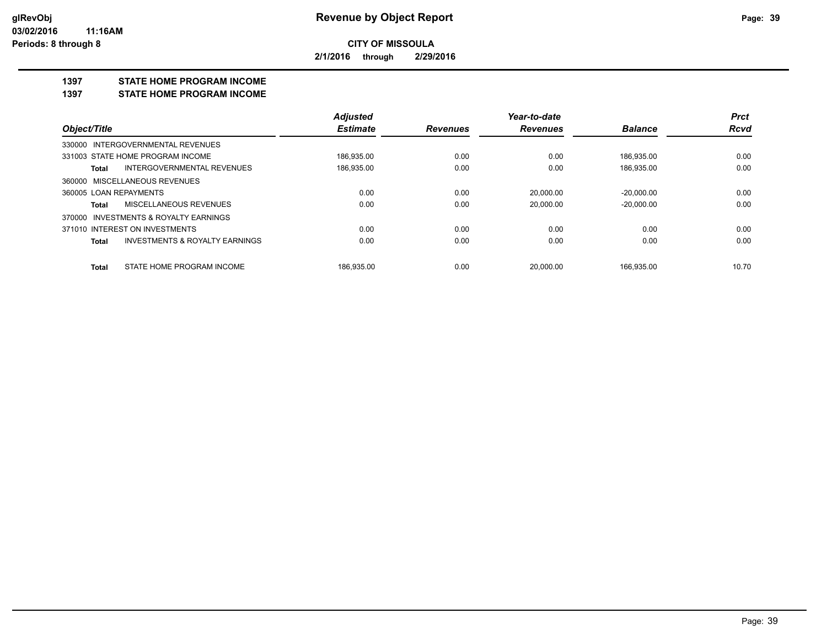**2/1/2016 through 2/29/2016**

#### **1397 STATE HOME PROGRAM INCOME**

**1397 STATE HOME PROGRAM INCOME**

|                                                    | <b>Adjusted</b> |                 | Year-to-date    |                | <b>Prct</b> |
|----------------------------------------------------|-----------------|-----------------|-----------------|----------------|-------------|
| Object/Title                                       | <b>Estimate</b> | <b>Revenues</b> | <b>Revenues</b> | <b>Balance</b> | <b>Rcvd</b> |
| INTERGOVERNMENTAL REVENUES<br>330000               |                 |                 |                 |                |             |
| 331003 STATE HOME PROGRAM INCOME                   | 186,935.00      | 0.00            | 0.00            | 186,935.00     | 0.00        |
| <b>INTERGOVERNMENTAL REVENUES</b><br>Total         | 186,935.00      | 0.00            | 0.00            | 186,935.00     | 0.00        |
| 360000 MISCELLANEOUS REVENUES                      |                 |                 |                 |                |             |
| 360005 LOAN REPAYMENTS                             | 0.00            | 0.00            | 20.000.00       | $-20.000.00$   | 0.00        |
| MISCELLANEOUS REVENUES<br>Total                    | 0.00            | 0.00            | 20.000.00       | $-20.000.00$   | 0.00        |
| INVESTMENTS & ROYALTY EARNINGS<br>370000           |                 |                 |                 |                |             |
| 371010 INTEREST ON INVESTMENTS                     | 0.00            | 0.00            | 0.00            | 0.00           | 0.00        |
| <b>INVESTMENTS &amp; ROYALTY EARNINGS</b><br>Total | 0.00            | 0.00            | 0.00            | 0.00           | 0.00        |
| STATE HOME PROGRAM INCOME<br>Total                 | 186.935.00      | 0.00            | 20.000.00       | 166.935.00     | 10.70       |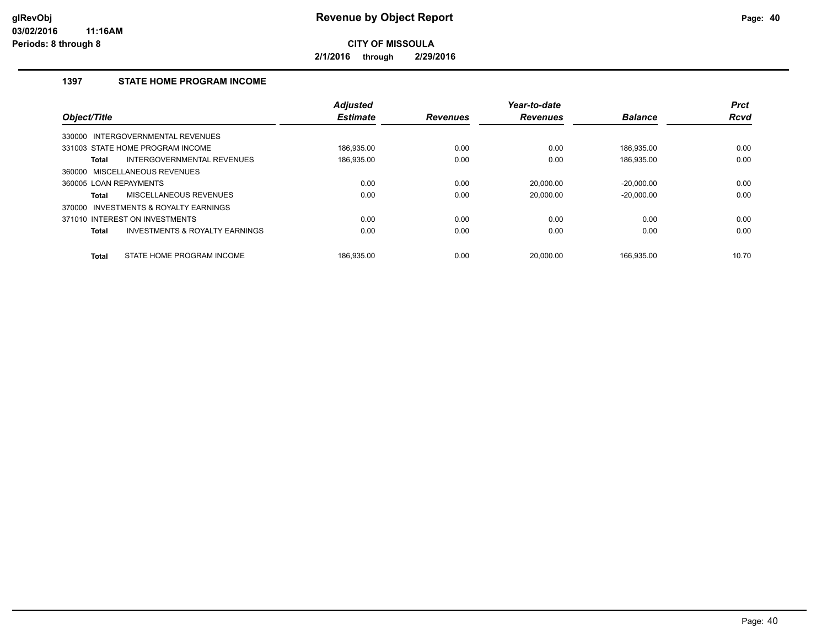**2/1/2016 through 2/29/2016**

## **1397 STATE HOME PROGRAM INCOME**

| Object/Title           |                                           | <b>Adjusted</b><br><b>Estimate</b> | <b>Revenues</b> | Year-to-date<br><b>Revenues</b> | <b>Balance</b> | <b>Prct</b><br><b>Rcvd</b> |
|------------------------|-------------------------------------------|------------------------------------|-----------------|---------------------------------|----------------|----------------------------|
|                        |                                           |                                    |                 |                                 |                |                            |
|                        | 330000 INTERGOVERNMENTAL REVENUES         |                                    |                 |                                 |                |                            |
|                        | 331003 STATE HOME PROGRAM INCOME          | 186.935.00                         | 0.00            | 0.00                            | 186.935.00     | 0.00                       |
| Total                  | INTERGOVERNMENTAL REVENUES                | 186,935.00                         | 0.00            | 0.00                            | 186,935.00     | 0.00                       |
|                        | 360000 MISCELLANEOUS REVENUES             |                                    |                 |                                 |                |                            |
| 360005 LOAN REPAYMENTS |                                           | 0.00                               | 0.00            | 20,000.00                       | $-20,000.00$   | 0.00                       |
| Total                  | MISCELLANEOUS REVENUES                    | 0.00                               | 0.00            | 20.000.00                       | $-20.000.00$   | 0.00                       |
| 370000                 | INVESTMENTS & ROYALTY EARNINGS            |                                    |                 |                                 |                |                            |
|                        | 371010 INTEREST ON INVESTMENTS            | 0.00                               | 0.00            | 0.00                            | 0.00           | 0.00                       |
| <b>Total</b>           | <b>INVESTMENTS &amp; ROYALTY EARNINGS</b> | 0.00                               | 0.00            | 0.00                            | 0.00           | 0.00                       |
| <b>Total</b>           | STATE HOME PROGRAM INCOME                 | 186.935.00                         | 0.00            | 20.000.00                       | 166.935.00     | 10.70                      |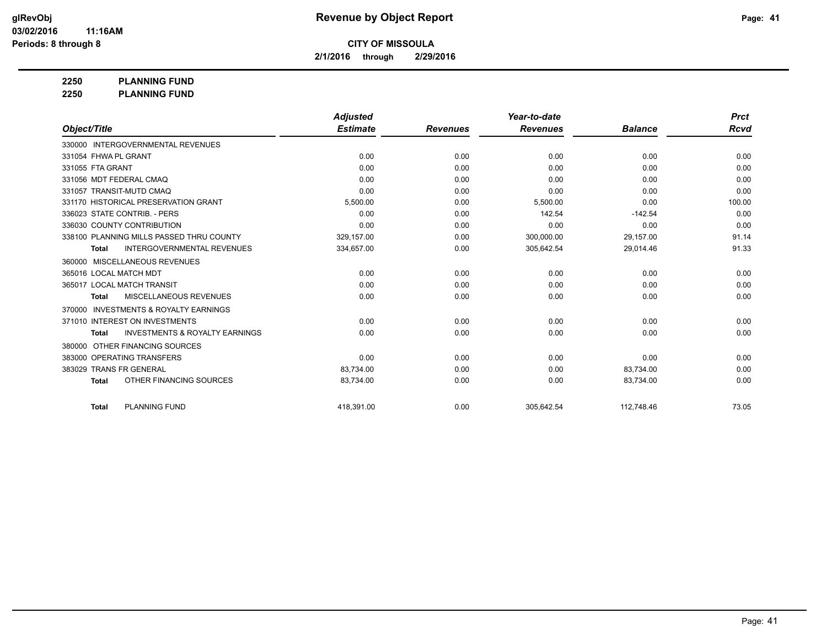**2/1/2016 through 2/29/2016**

**2250 PLANNING FUND**

**2250 PLANNING FUND**

|                                                           | <b>Adjusted</b> |                 | Year-to-date    |                | <b>Prct</b> |
|-----------------------------------------------------------|-----------------|-----------------|-----------------|----------------|-------------|
| Object/Title                                              | <b>Estimate</b> | <b>Revenues</b> | <b>Revenues</b> | <b>Balance</b> | <b>Rcvd</b> |
| 330000 INTERGOVERNMENTAL REVENUES                         |                 |                 |                 |                |             |
| 331054 FHWA PL GRANT                                      | 0.00            | 0.00            | 0.00            | 0.00           | 0.00        |
| 331055 FTA GRANT                                          | 0.00            | 0.00            | 0.00            | 0.00           | 0.00        |
| 331056 MDT FEDERAL CMAQ                                   | 0.00            | 0.00            | 0.00            | 0.00           | 0.00        |
| 331057 TRANSIT-MUTD CMAQ                                  | 0.00            | 0.00            | 0.00            | 0.00           | 0.00        |
| 331170 HISTORICAL PRESERVATION GRANT                      | 5,500.00        | 0.00            | 5,500.00        | 0.00           | 100.00      |
| 336023 STATE CONTRIB. - PERS                              | 0.00            | 0.00            | 142.54          | $-142.54$      | 0.00        |
| 336030 COUNTY CONTRIBUTION                                | 0.00            | 0.00            | 0.00            | 0.00           | 0.00        |
| 338100 PLANNING MILLS PASSED THRU COUNTY                  | 329,157.00      | 0.00            | 300,000.00      | 29,157.00      | 91.14       |
| <b>INTERGOVERNMENTAL REVENUES</b><br><b>Total</b>         | 334,657.00      | 0.00            | 305,642.54      | 29,014.46      | 91.33       |
| MISCELLANEOUS REVENUES<br>360000                          |                 |                 |                 |                |             |
| 365016 LOCAL MATCH MDT                                    | 0.00            | 0.00            | 0.00            | 0.00           | 0.00        |
| 365017 LOCAL MATCH TRANSIT                                | 0.00            | 0.00            | 0.00            | 0.00           | 0.00        |
| MISCELLANEOUS REVENUES<br><b>Total</b>                    | 0.00            | 0.00            | 0.00            | 0.00           | 0.00        |
| <b>INVESTMENTS &amp; ROYALTY EARNINGS</b><br>370000       |                 |                 |                 |                |             |
| 371010 INTEREST ON INVESTMENTS                            | 0.00            | 0.00            | 0.00            | 0.00           | 0.00        |
| <b>INVESTMENTS &amp; ROYALTY EARNINGS</b><br><b>Total</b> | 0.00            | 0.00            | 0.00            | 0.00           | 0.00        |
| OTHER FINANCING SOURCES<br>380000                         |                 |                 |                 |                |             |
| 383000 OPERATING TRANSFERS                                | 0.00            | 0.00            | 0.00            | 0.00           | 0.00        |
| 383029 TRANS FR GENERAL                                   | 83,734.00       | 0.00            | 0.00            | 83,734.00      | 0.00        |
| OTHER FINANCING SOURCES<br><b>Total</b>                   | 83,734.00       | 0.00            | 0.00            | 83,734.00      | 0.00        |
| <b>PLANNING FUND</b><br><b>Total</b>                      | 418,391.00      | 0.00            | 305,642.54      | 112,748.46     | 73.05       |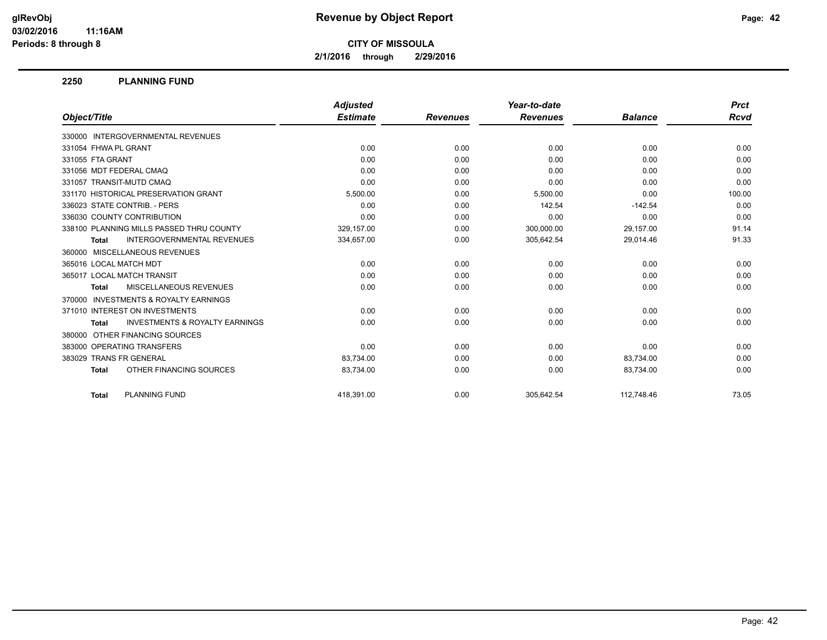**2/1/2016 through 2/29/2016**

#### **2250 PLANNING FUND**

|                                                           | <b>Adjusted</b> |                 | Year-to-date    |                | <b>Prct</b> |
|-----------------------------------------------------------|-----------------|-----------------|-----------------|----------------|-------------|
| Object/Title                                              | <b>Estimate</b> | <b>Revenues</b> | <b>Revenues</b> | <b>Balance</b> | Rcvd        |
| 330000 INTERGOVERNMENTAL REVENUES                         |                 |                 |                 |                |             |
| 331054 FHWA PL GRANT                                      | 0.00            | 0.00            | 0.00            | 0.00           | 0.00        |
| 331055 FTA GRANT                                          | 0.00            | 0.00            | 0.00            | 0.00           | 0.00        |
| 331056 MDT FEDERAL CMAQ                                   | 0.00            | 0.00            | 0.00            | 0.00           | 0.00        |
| 331057 TRANSIT-MUTD CMAQ                                  | 0.00            | 0.00            | 0.00            | 0.00           | 0.00        |
| 331170 HISTORICAL PRESERVATION GRANT                      | 5,500.00        | 0.00            | 5,500.00        | 0.00           | 100.00      |
| 336023 STATE CONTRIB. - PERS                              | 0.00            | 0.00            | 142.54          | $-142.54$      | 0.00        |
| 336030 COUNTY CONTRIBUTION                                | 0.00            | 0.00            | 0.00            | 0.00           | 0.00        |
| 338100 PLANNING MILLS PASSED THRU COUNTY                  | 329,157.00      | 0.00            | 300,000.00      | 29,157.00      | 91.14       |
| <b>INTERGOVERNMENTAL REVENUES</b><br>Total                | 334,657.00      | 0.00            | 305,642.54      | 29,014.46      | 91.33       |
| 360000 MISCELLANEOUS REVENUES                             |                 |                 |                 |                |             |
| 365016 LOCAL MATCH MDT                                    | 0.00            | 0.00            | 0.00            | 0.00           | 0.00        |
| 365017 LOCAL MATCH TRANSIT                                | 0.00            | 0.00            | 0.00            | 0.00           | 0.00        |
| MISCELLANEOUS REVENUES<br><b>Total</b>                    | 0.00            | 0.00            | 0.00            | 0.00           | 0.00        |
| <b>INVESTMENTS &amp; ROYALTY EARNINGS</b><br>370000       |                 |                 |                 |                |             |
| 371010 INTEREST ON INVESTMENTS                            | 0.00            | 0.00            | 0.00            | 0.00           | 0.00        |
| <b>INVESTMENTS &amp; ROYALTY EARNINGS</b><br><b>Total</b> | 0.00            | 0.00            | 0.00            | 0.00           | 0.00        |
| OTHER FINANCING SOURCES<br>380000                         |                 |                 |                 |                |             |
| 383000 OPERATING TRANSFERS                                | 0.00            | 0.00            | 0.00            | 0.00           | 0.00        |
| 383029 TRANS FR GENERAL                                   | 83,734.00       | 0.00            | 0.00            | 83,734.00      | 0.00        |
| OTHER FINANCING SOURCES<br><b>Total</b>                   | 83,734.00       | 0.00            | 0.00            | 83,734.00      | 0.00        |
| <b>PLANNING FUND</b><br><b>Total</b>                      | 418.391.00      | 0.00            | 305.642.54      | 112.748.46     | 73.05       |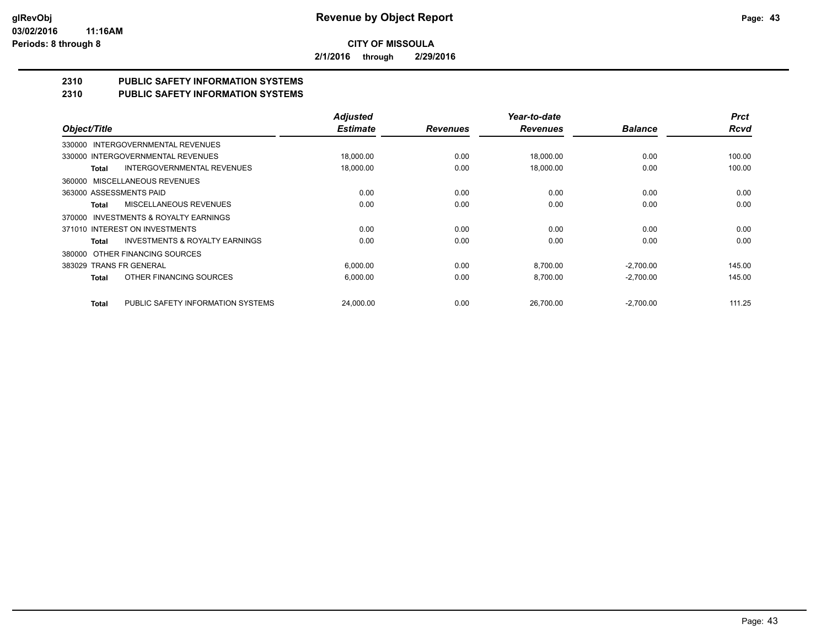**2/1/2016 through 2/29/2016**

# **2310 PUBLIC SAFETY INFORMATION SYSTEMS**

## **2310 PUBLIC SAFETY INFORMATION SYSTEMS**

|                                                    | <b>Adjusted</b> |                 | Year-to-date    |                | <b>Prct</b> |
|----------------------------------------------------|-----------------|-----------------|-----------------|----------------|-------------|
| Object/Title                                       | <b>Estimate</b> | <b>Revenues</b> | <b>Revenues</b> | <b>Balance</b> | <b>Rcvd</b> |
| INTERGOVERNMENTAL REVENUES<br>330000               |                 |                 |                 |                |             |
| 330000 INTERGOVERNMENTAL REVENUES                  | 18,000.00       | 0.00            | 18,000.00       | 0.00           | 100.00      |
| <b>INTERGOVERNMENTAL REVENUES</b><br>Total         | 18,000.00       | 0.00            | 18.000.00       | 0.00           | 100.00      |
| MISCELLANEOUS REVENUES<br>360000                   |                 |                 |                 |                |             |
| 363000 ASSESSMENTS PAID                            | 0.00            | 0.00            | 0.00            | 0.00           | 0.00        |
| MISCELLANEOUS REVENUES<br>Total                    | 0.00            | 0.00            | 0.00            | 0.00           | 0.00        |
| INVESTMENTS & ROYALTY EARNINGS<br>370000           |                 |                 |                 |                |             |
| 371010 INTEREST ON INVESTMENTS                     | 0.00            | 0.00            | 0.00            | 0.00           | 0.00        |
| <b>INVESTMENTS &amp; ROYALTY EARNINGS</b><br>Total | 0.00            | 0.00            | 0.00            | 0.00           | 0.00        |
| OTHER FINANCING SOURCES<br>380000                  |                 |                 |                 |                |             |
| 383029 TRANS FR GENERAL                            | 6,000.00        | 0.00            | 8,700.00        | $-2,700.00$    | 145.00      |
| OTHER FINANCING SOURCES<br><b>Total</b>            | 6,000.00        | 0.00            | 8,700.00        | $-2,700.00$    | 145.00      |
|                                                    |                 |                 |                 |                |             |
| PUBLIC SAFETY INFORMATION SYSTEMS<br><b>Total</b>  | 24.000.00       | 0.00            | 26.700.00       | $-2,700.00$    | 111.25      |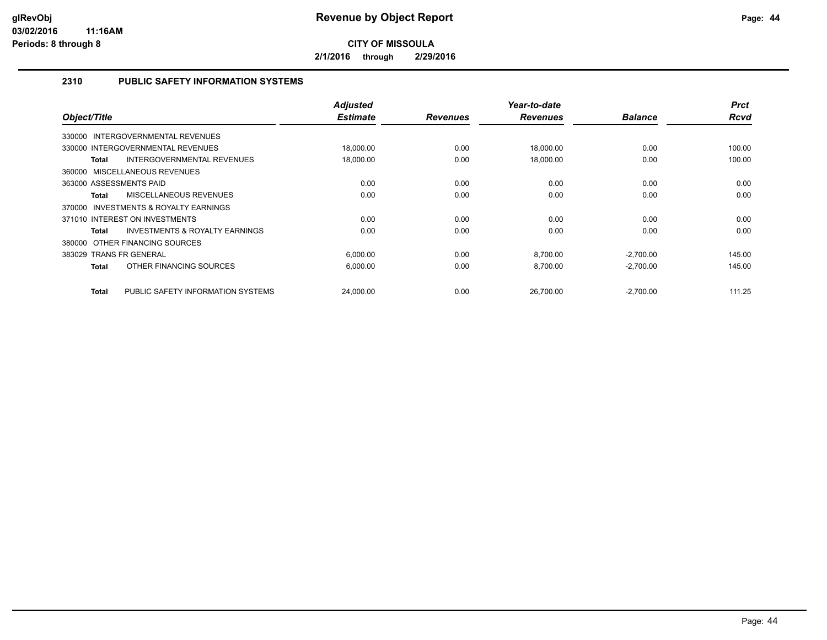**2/1/2016 through 2/29/2016**

## **2310 PUBLIC SAFETY INFORMATION SYSTEMS**

| Object/Title                                | <b>Adjusted</b><br><b>Estimate</b> | <b>Revenues</b> | Year-to-date<br><b>Revenues</b> | <b>Balance</b> | <b>Prct</b><br><b>Rcvd</b> |
|---------------------------------------------|------------------------------------|-----------------|---------------------------------|----------------|----------------------------|
|                                             |                                    |                 |                                 |                |                            |
| <b>INTERGOVERNMENTAL REVENUES</b><br>330000 |                                    |                 |                                 |                |                            |
| 330000 INTERGOVERNMENTAL REVENUES           | 18,000.00                          | 0.00            | 18,000.00                       | 0.00           | 100.00                     |
| INTERGOVERNMENTAL REVENUES<br>Total         | 18,000.00                          | 0.00            | 18,000.00                       | 0.00           | 100.00                     |
| 360000 MISCELLANEOUS REVENUES               |                                    |                 |                                 |                |                            |
| 363000 ASSESSMENTS PAID                     | 0.00                               | 0.00            | 0.00                            | 0.00           | 0.00                       |
| <b>MISCELLANEOUS REVENUES</b><br>Total      | 0.00                               | 0.00            | 0.00                            | 0.00           | 0.00                       |
| INVESTMENTS & ROYALTY EARNINGS<br>370000    |                                    |                 |                                 |                |                            |
| 371010 INTEREST ON INVESTMENTS              | 0.00                               | 0.00            | 0.00                            | 0.00           | 0.00                       |
| INVESTMENTS & ROYALTY EARNINGS<br>Total     | 0.00                               | 0.00            | 0.00                            | 0.00           | 0.00                       |
| OTHER FINANCING SOURCES<br>380000           |                                    |                 |                                 |                |                            |
| 383029 TRANS FR GENERAL                     | 6,000.00                           | 0.00            | 8,700.00                        | $-2,700.00$    | 145.00                     |
| OTHER FINANCING SOURCES<br>Total            | 6,000.00                           | 0.00            | 8,700.00                        | $-2,700.00$    | 145.00                     |
|                                             |                                    |                 |                                 |                |                            |
| PUBLIC SAFETY INFORMATION SYSTEMS<br>Total  | 24,000.00                          | 0.00            | 26,700.00                       | $-2,700.00$    | 111.25                     |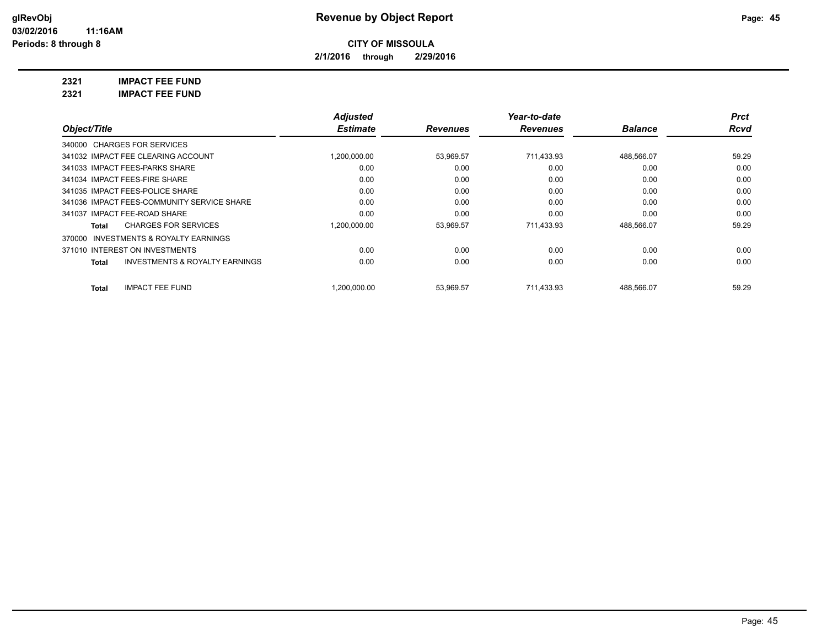**2/1/2016 through 2/29/2016**

**2321 IMPACT FEE FUND**

| <b>IMPACT FEE FUND</b><br>2321 |
|--------------------------------|
|--------------------------------|

|                                                           | <b>Adjusted</b> |                 | Year-to-date    |                | <b>Prct</b> |
|-----------------------------------------------------------|-----------------|-----------------|-----------------|----------------|-------------|
| Object/Title                                              | <b>Estimate</b> | <b>Revenues</b> | <b>Revenues</b> | <b>Balance</b> | Rcvd        |
| 340000 CHARGES FOR SERVICES                               |                 |                 |                 |                |             |
| 341032 IMPACT FEE CLEARING ACCOUNT                        | 1,200,000.00    | 53,969.57       | 711,433.93      | 488.566.07     | 59.29       |
| 341033 IMPACT FEES-PARKS SHARE                            | 0.00            | 0.00            | 0.00            | 0.00           | 0.00        |
| 341034 IMPACT FEES-FIRE SHARE                             | 0.00            | 0.00            | 0.00            | 0.00           | 0.00        |
| 341035 IMPACT FEES-POLICE SHARE                           | 0.00            | 0.00            | 0.00            | 0.00           | 0.00        |
| 341036 IMPACT FEES-COMMUNITY SERVICE SHARE                | 0.00            | 0.00            | 0.00            | 0.00           | 0.00        |
| 341037 IMPACT FEE-ROAD SHARE                              | 0.00            | 0.00            | 0.00            | 0.00           | 0.00        |
| <b>CHARGES FOR SERVICES</b><br>Total                      | 1,200,000.00    | 53,969.57       | 711,433.93      | 488,566.07     | 59.29       |
| 370000 INVESTMENTS & ROYALTY EARNINGS                     |                 |                 |                 |                |             |
| 371010 INTEREST ON INVESTMENTS                            | 0.00            | 0.00            | 0.00            | 0.00           | 0.00        |
| <b>INVESTMENTS &amp; ROYALTY EARNINGS</b><br><b>Total</b> | 0.00            | 0.00            | 0.00            | 0.00           | 0.00        |
| <b>IMPACT FEE FUND</b><br><b>Total</b>                    | .200.000.00     | 53.969.57       | 711.433.93      | 488.566.07     | 59.29       |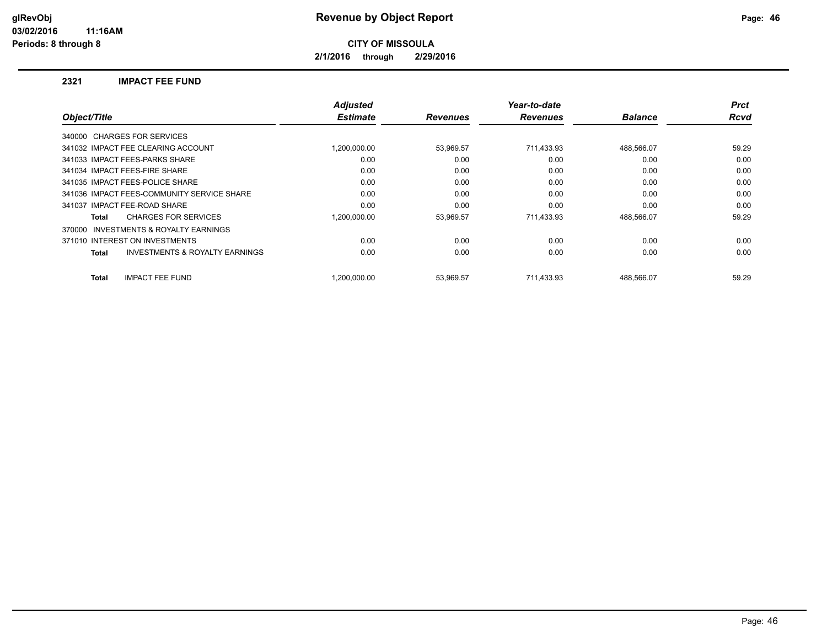**2/1/2016 through 2/29/2016**

#### **2321 IMPACT FEE FUND**

| Object/Title                                        | <b>Adjusted</b><br><b>Estimate</b> | <b>Revenues</b> | Year-to-date<br><b>Revenues</b> | <b>Balance</b> | <b>Prct</b><br><b>Rcvd</b> |
|-----------------------------------------------------|------------------------------------|-----------------|---------------------------------|----------------|----------------------------|
|                                                     |                                    |                 |                                 |                |                            |
| 340000 CHARGES FOR SERVICES                         |                                    |                 |                                 |                |                            |
| 341032 IMPACT FEE CLEARING ACCOUNT                  | 1.200.000.00                       | 53,969.57       | 711,433.93                      | 488,566.07     | 59.29                      |
| 341033 IMPACT FEES-PARKS SHARE                      | 0.00                               | 0.00            | 0.00                            | 0.00           | 0.00                       |
| 341034 IMPACT FEES-FIRE SHARE                       | 0.00                               | 0.00            | 0.00                            | 0.00           | 0.00                       |
| 341035 IMPACT FEES-POLICE SHARE                     | 0.00                               | 0.00            | 0.00                            | 0.00           | 0.00                       |
| 341036 IMPACT FEES-COMMUNITY SERVICE SHARE          | 0.00                               | 0.00            | 0.00                            | 0.00           | 0.00                       |
| 341037 IMPACT FEE-ROAD SHARE                        | 0.00                               | 0.00            | 0.00                            | 0.00           | 0.00                       |
| <b>CHARGES FOR SERVICES</b><br>Total                | 1.200.000.00                       | 53,969.57       | 711,433.93                      | 488,566.07     | 59.29                      |
| <b>INVESTMENTS &amp; ROYALTY EARNINGS</b><br>370000 |                                    |                 |                                 |                |                            |
| 371010 INTEREST ON INVESTMENTS                      | 0.00                               | 0.00            | 0.00                            | 0.00           | 0.00                       |
| <b>INVESTMENTS &amp; ROYALTY EARNINGS</b><br>Total  | 0.00                               | 0.00            | 0.00                            | 0.00           | 0.00                       |
| <b>IMPACT FEE FUND</b><br><b>Total</b>              | 1.200.000.00                       | 53,969.57       | 711.433.93                      | 488,566.07     | 59.29                      |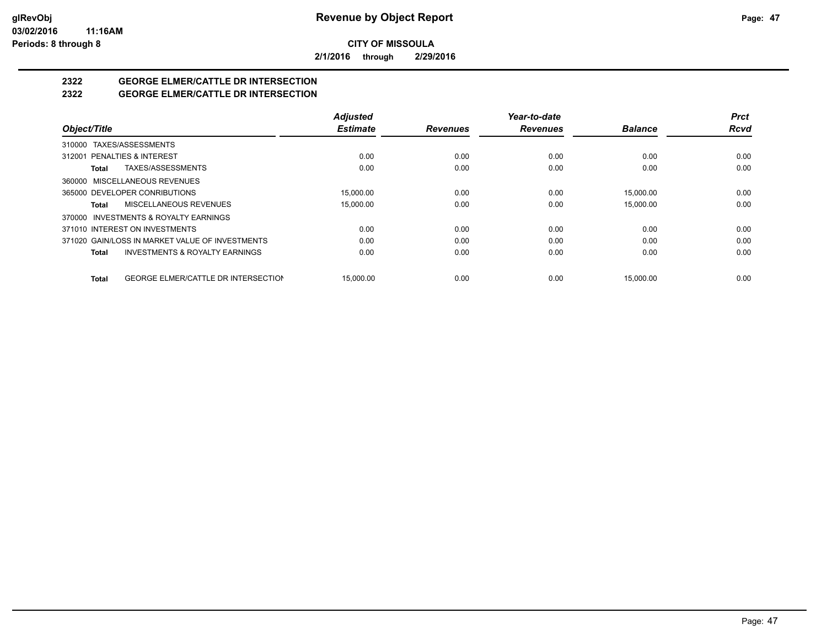**2/1/2016 through 2/29/2016**

## **2322 GEORGE ELMER/CATTLE DR INTERSECTION**

## **2322 GEORGE ELMER/CATTLE DR INTERSECTION**

|                                                     | <b>Adjusted</b> |                 | Year-to-date    |                | <b>Prct</b> |
|-----------------------------------------------------|-----------------|-----------------|-----------------|----------------|-------------|
| Object/Title                                        | <b>Estimate</b> | <b>Revenues</b> | <b>Revenues</b> | <b>Balance</b> | <b>Rcvd</b> |
| 310000 TAXES/ASSESSMENTS                            |                 |                 |                 |                |             |
| 312001 PENALTIES & INTEREST                         | 0.00            | 0.00            | 0.00            | 0.00           | 0.00        |
| TAXES/ASSESSMENTS<br>Total                          | 0.00            | 0.00            | 0.00            | 0.00           | 0.00        |
| 360000 MISCELLANEOUS REVENUES                       |                 |                 |                 |                |             |
| 365000 DEVELOPER CONRIBUTIONS                       | 15.000.00       | 0.00            | 0.00            | 15.000.00      | 0.00        |
| MISCELLANEOUS REVENUES<br>Total                     | 15,000.00       | 0.00            | 0.00            | 15,000.00      | 0.00        |
| 370000 INVESTMENTS & ROYALTY EARNINGS               |                 |                 |                 |                |             |
| 371010 INTEREST ON INVESTMENTS                      | 0.00            | 0.00            | 0.00            | 0.00           | 0.00        |
| 371020 GAIN/LOSS IN MARKET VALUE OF INVESTMENTS     | 0.00            | 0.00            | 0.00            | 0.00           | 0.00        |
| <b>INVESTMENTS &amp; ROYALTY EARNINGS</b><br>Total  | 0.00            | 0.00            | 0.00            | 0.00           | 0.00        |
| <b>GEORGE ELMER/CATTLE DR INTERSECTION</b><br>Total | 15.000.00       | 0.00            | 0.00            | 15.000.00      | 0.00        |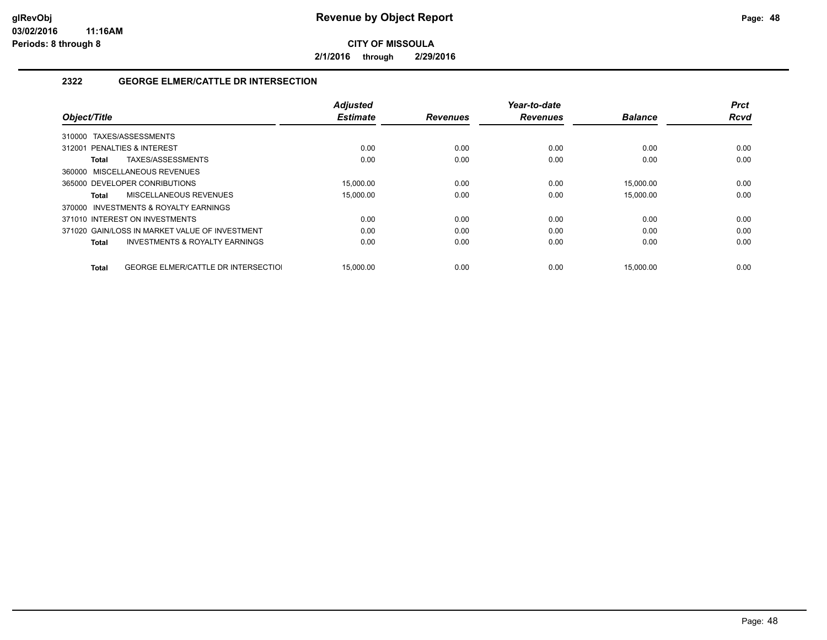**2/1/2016 through 2/29/2016**

## **2322 GEORGE ELMER/CATTLE DR INTERSECTION**

|                             |                                                | <b>Adjusted</b> |                 | Year-to-date    |                | <b>Prct</b> |
|-----------------------------|------------------------------------------------|-----------------|-----------------|-----------------|----------------|-------------|
| Object/Title                |                                                | <b>Estimate</b> | <b>Revenues</b> | <b>Revenues</b> | <b>Balance</b> | <b>Rcvd</b> |
| 310000                      | TAXES/ASSESSMENTS                              |                 |                 |                 |                |             |
| 312001 PENALTIES & INTEREST |                                                | 0.00            | 0.00            | 0.00            | 0.00           | 0.00        |
| Total                       | TAXES/ASSESSMENTS                              | 0.00            | 0.00            | 0.00            | 0.00           | 0.00        |
|                             | 360000 MISCELLANEOUS REVENUES                  |                 |                 |                 |                |             |
|                             | 365000 DEVELOPER CONRIBUTIONS                  | 15.000.00       | 0.00            | 0.00            | 15.000.00      | 0.00        |
| Total                       | MISCELLANEOUS REVENUES                         | 15,000.00       | 0.00            | 0.00            | 15,000.00      | 0.00        |
| 370000                      | INVESTMENTS & ROYALTY EARNINGS                 |                 |                 |                 |                |             |
|                             | 371010 INTEREST ON INVESTMENTS                 | 0.00            | 0.00            | 0.00            | 0.00           | 0.00        |
|                             | 371020 GAIN/LOSS IN MARKET VALUE OF INVESTMENT | 0.00            | 0.00            | 0.00            | 0.00           | 0.00        |
| Total                       | <b>INVESTMENTS &amp; ROYALTY EARNINGS</b>      | 0.00            | 0.00            | 0.00            | 0.00           | 0.00        |
|                             |                                                |                 |                 |                 |                |             |
| Total                       | <b>GEORGE ELMER/CATTLE DR INTERSECTIOL</b>     | 15.000.00       | 0.00            | 0.00            | 15.000.00      | 0.00        |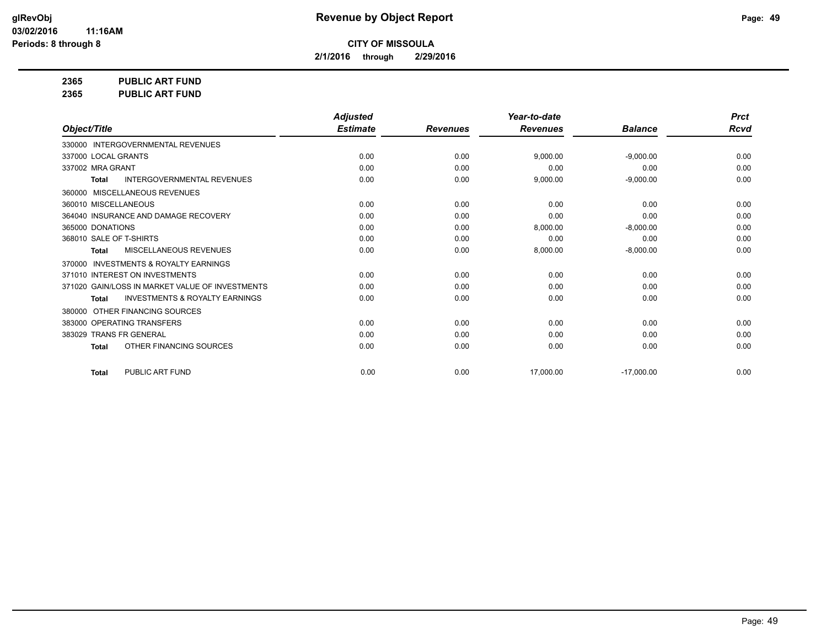**2/1/2016 through 2/29/2016**

**2365 PUBLIC ART FUND**

**2365 PUBLIC ART FUND**

|                                                           | <b>Adjusted</b> |                 | Year-to-date    |                | <b>Prct</b> |
|-----------------------------------------------------------|-----------------|-----------------|-----------------|----------------|-------------|
| Object/Title                                              | <b>Estimate</b> | <b>Revenues</b> | <b>Revenues</b> | <b>Balance</b> | <b>Rcvd</b> |
| 330000 INTERGOVERNMENTAL REVENUES                         |                 |                 |                 |                |             |
| 337000 LOCAL GRANTS                                       | 0.00            | 0.00            | 9.000.00        | $-9.000.00$    | 0.00        |
| 337002 MRA GRANT                                          | 0.00            | 0.00            | 0.00            | 0.00           | 0.00        |
| <b>INTERGOVERNMENTAL REVENUES</b><br><b>Total</b>         | 0.00            | 0.00            | 9,000.00        | $-9,000.00$    | 0.00        |
| MISCELLANEOUS REVENUES<br>360000                          |                 |                 |                 |                |             |
| 360010 MISCELLANEOUS                                      | 0.00            | 0.00            | 0.00            | 0.00           | 0.00        |
| 364040 INSURANCE AND DAMAGE RECOVERY                      | 0.00            | 0.00            | 0.00            | 0.00           | 0.00        |
| 365000 DONATIONS                                          | 0.00            | 0.00            | 8,000.00        | $-8,000.00$    | 0.00        |
| 368010 SALE OF T-SHIRTS                                   | 0.00            | 0.00            | 0.00            | 0.00           | 0.00        |
| <b>MISCELLANEOUS REVENUES</b><br><b>Total</b>             | 0.00            | 0.00            | 8,000.00        | $-8,000.00$    | 0.00        |
| <b>INVESTMENTS &amp; ROYALTY EARNINGS</b><br>370000       |                 |                 |                 |                |             |
| 371010 INTEREST ON INVESTMENTS                            | 0.00            | 0.00            | 0.00            | 0.00           | 0.00        |
| 371020 GAIN/LOSS IN MARKET VALUE OF INVESTMENTS           | 0.00            | 0.00            | 0.00            | 0.00           | 0.00        |
| <b>INVESTMENTS &amp; ROYALTY EARNINGS</b><br><b>Total</b> | 0.00            | 0.00            | 0.00            | 0.00           | 0.00        |
| OTHER FINANCING SOURCES<br>380000                         |                 |                 |                 |                |             |
| 383000 OPERATING TRANSFERS                                | 0.00            | 0.00            | 0.00            | 0.00           | 0.00        |
| 383029 TRANS FR GENERAL                                   | 0.00            | 0.00            | 0.00            | 0.00           | 0.00        |
| OTHER FINANCING SOURCES<br><b>Total</b>                   | 0.00            | 0.00            | 0.00            | 0.00           | 0.00        |
| PUBLIC ART FUND<br><b>Total</b>                           | 0.00            | 0.00            | 17,000.00       | $-17,000.00$   | 0.00        |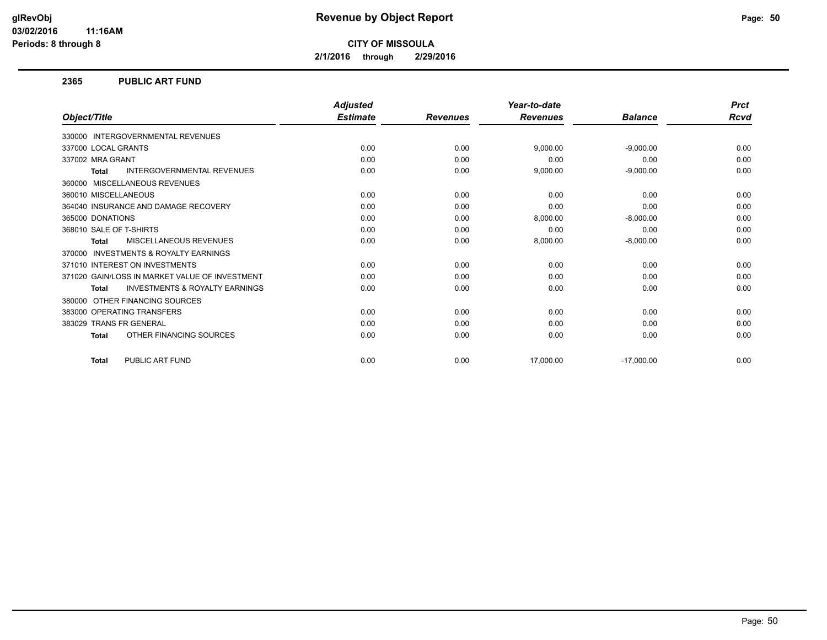**2/1/2016 through 2/29/2016**

#### **2365 PUBLIC ART FUND**

|                                                           | <b>Adjusted</b> |                 | Year-to-date    |                | <b>Prct</b> |
|-----------------------------------------------------------|-----------------|-----------------|-----------------|----------------|-------------|
| Object/Title                                              | <b>Estimate</b> | <b>Revenues</b> | <b>Revenues</b> | <b>Balance</b> | Rcvd        |
| 330000 INTERGOVERNMENTAL REVENUES                         |                 |                 |                 |                |             |
| 337000 LOCAL GRANTS                                       | 0.00            | 0.00            | 9,000.00        | $-9,000.00$    | 0.00        |
| 337002 MRA GRANT                                          | 0.00            | 0.00            | 0.00            | 0.00           | 0.00        |
| <b>INTERGOVERNMENTAL REVENUES</b><br><b>Total</b>         | 0.00            | 0.00            | 9,000.00        | $-9,000.00$    | 0.00        |
| MISCELLANEOUS REVENUES<br>360000                          |                 |                 |                 |                |             |
| 360010 MISCELLANEOUS                                      | 0.00            | 0.00            | 0.00            | 0.00           | 0.00        |
| 364040 INSURANCE AND DAMAGE RECOVERY                      | 0.00            | 0.00            | 0.00            | 0.00           | 0.00        |
| 365000 DONATIONS                                          | 0.00            | 0.00            | 8,000.00        | $-8,000.00$    | 0.00        |
| 368010 SALE OF T-SHIRTS                                   | 0.00            | 0.00            | 0.00            | 0.00           | 0.00        |
| <b>MISCELLANEOUS REVENUES</b><br><b>Total</b>             | 0.00            | 0.00            | 8,000.00        | $-8,000.00$    | 0.00        |
| <b>INVESTMENTS &amp; ROYALTY EARNINGS</b><br>370000       |                 |                 |                 |                |             |
| 371010 INTEREST ON INVESTMENTS                            | 0.00            | 0.00            | 0.00            | 0.00           | 0.00        |
| 371020 GAIN/LOSS IN MARKET VALUE OF INVESTMENT            | 0.00            | 0.00            | 0.00            | 0.00           | 0.00        |
| <b>INVESTMENTS &amp; ROYALTY EARNINGS</b><br><b>Total</b> | 0.00            | 0.00            | 0.00            | 0.00           | 0.00        |
| OTHER FINANCING SOURCES<br>380000                         |                 |                 |                 |                |             |
| 383000 OPERATING TRANSFERS                                | 0.00            | 0.00            | 0.00            | 0.00           | 0.00        |
| 383029 TRANS FR GENERAL                                   | 0.00            | 0.00            | 0.00            | 0.00           | 0.00        |
| OTHER FINANCING SOURCES<br><b>Total</b>                   | 0.00            | 0.00            | 0.00            | 0.00           | 0.00        |
| PUBLIC ART FUND<br><b>Total</b>                           | 0.00            | 0.00            | 17,000.00       | $-17,000.00$   | 0.00        |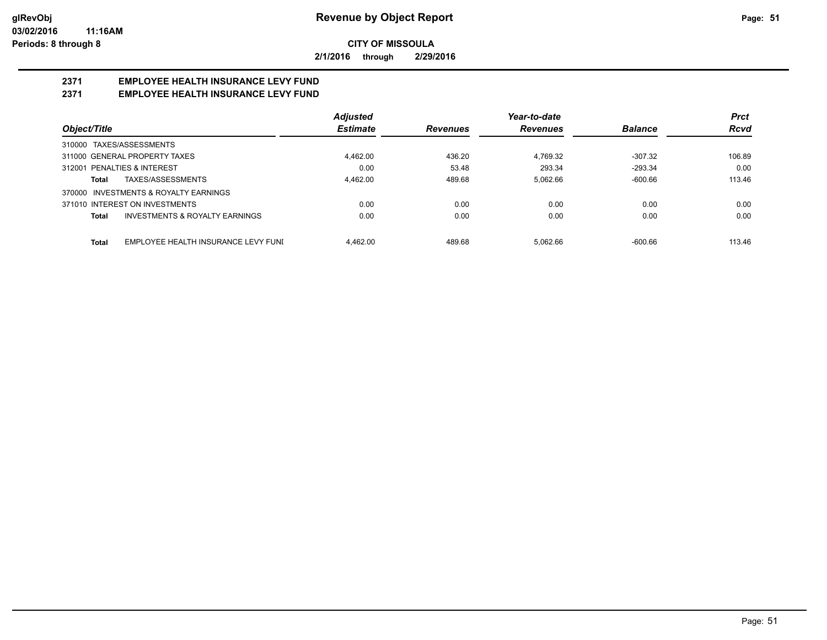**2/1/2016 through 2/29/2016**

## **2371 EMPLOYEE HEALTH INSURANCE LEVY FUND**

## **2371 EMPLOYEE HEALTH INSURANCE LEVY FUND**

|                                                     | <b>Adjusted</b> |                 | Year-to-date    |                | <b>Prct</b> |
|-----------------------------------------------------|-----------------|-----------------|-----------------|----------------|-------------|
| Object/Title                                        | <b>Estimate</b> | <b>Revenues</b> | <b>Revenues</b> | <b>Balance</b> | <b>Rcvd</b> |
| 310000 TAXES/ASSESSMENTS                            |                 |                 |                 |                |             |
| 311000 GENERAL PROPERTY TAXES                       | 4.462.00        | 436.20          | 4.769.32        | $-307.32$      | 106.89      |
| 312001 PENALTIES & INTEREST                         | 0.00            | 53.48           | 293.34          | $-293.34$      | 0.00        |
| TAXES/ASSESSMENTS<br>Total                          | 4.462.00        | 489.68          | 5,062.66        | $-600.66$      | 113.46      |
| 370000 INVESTMENTS & ROYALTY EARNINGS               |                 |                 |                 |                |             |
| 371010 INTEREST ON INVESTMENTS                      | 0.00            | 0.00            | 0.00            | 0.00           | 0.00        |
| <b>INVESTMENTS &amp; ROYALTY EARNINGS</b><br>Total  | 0.00            | 0.00            | 0.00            | 0.00           | 0.00        |
| EMPLOYEE HEALTH INSURANCE LEVY FUNI<br><b>Total</b> | 4.462.00        | 489.68          | 5.062.66        | $-600.66$      | 113.46      |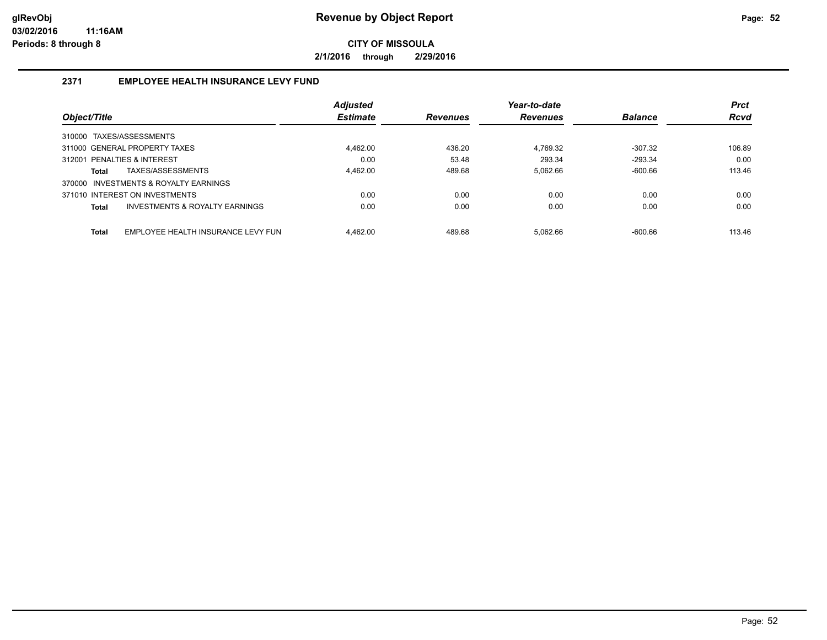**2/1/2016 through 2/29/2016**

## **2371 EMPLOYEE HEALTH INSURANCE LEVY FUND**

|                                                    | <b>Adjusted</b> |                 | Year-to-date    |                | <b>Prct</b> |
|----------------------------------------------------|-----------------|-----------------|-----------------|----------------|-------------|
| Object/Title                                       | <b>Estimate</b> | <b>Revenues</b> | <b>Revenues</b> | <b>Balance</b> | <b>Rcvd</b> |
| 310000 TAXES/ASSESSMENTS                           |                 |                 |                 |                |             |
| 311000 GENERAL PROPERTY TAXES                      | 4.462.00        | 436.20          | 4.769.32        | $-307.32$      | 106.89      |
| 312001 PENALTIES & INTEREST                        | 0.00            | 53.48           | 293.34          | $-293.34$      | 0.00        |
| TAXES/ASSESSMENTS<br>Total                         | 4.462.00        | 489.68          | 5.062.66        | $-600.66$      | 113.46      |
| 370000 INVESTMENTS & ROYALTY EARNINGS              |                 |                 |                 |                |             |
| 371010 INTEREST ON INVESTMENTS                     | 0.00            | 0.00            | 0.00            | 0.00           | 0.00        |
| INVESTMENTS & ROYALTY EARNINGS<br>Total            | 0.00            | 0.00            | 0.00            | 0.00           | 0.00        |
|                                                    |                 |                 |                 |                |             |
| <b>Total</b><br>EMPLOYEE HEALTH INSURANCE LEVY FUN | 4.462.00        | 489.68          | 5.062.66        | $-600.66$      | 113.46      |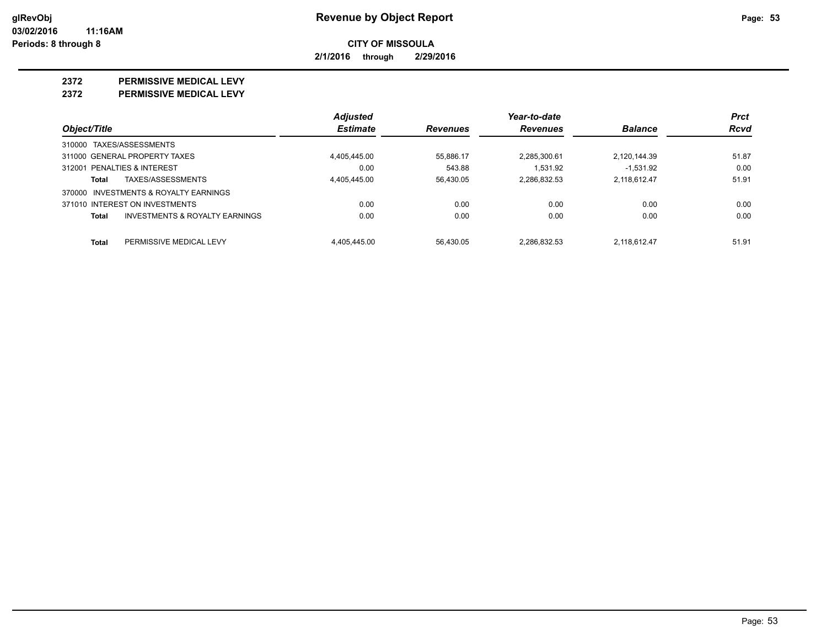**2/1/2016 through 2/29/2016**

#### **2372 PERMISSIVE MEDICAL LEVY**

**2372 PERMISSIVE MEDICAL LEVY**

|                                                    | <b>Adjusted</b> |                 | Year-to-date    |                | <b>Prct</b> |
|----------------------------------------------------|-----------------|-----------------|-----------------|----------------|-------------|
| Object/Title                                       | <b>Estimate</b> | <b>Revenues</b> | <b>Revenues</b> | <b>Balance</b> | Rcvd        |
| 310000 TAXES/ASSESSMENTS                           |                 |                 |                 |                |             |
| 311000 GENERAL PROPERTY TAXES                      | 4,405,445.00    | 55,886.17       | 2,285,300.61    | 2,120,144.39   | 51.87       |
| 312001 PENALTIES & INTEREST                        | 0.00            | 543.88          | 1.531.92        | $-1.531.92$    | 0.00        |
| TAXES/ASSESSMENTS<br>Total                         | 4.405.445.00    | 56.430.05       | 2.286.832.53    | 2.118.612.47   | 51.91       |
| 370000 INVESTMENTS & ROYALTY EARNINGS              |                 |                 |                 |                |             |
| 371010 INTEREST ON INVESTMENTS                     | 0.00            | 0.00            | 0.00            | 0.00           | 0.00        |
| <b>INVESTMENTS &amp; ROYALTY EARNINGS</b><br>Total | 0.00            | 0.00            | 0.00            | 0.00           | 0.00        |
| Total<br>PERMISSIVE MEDICAL LEVY                   | 4.405.445.00    | 56.430.05       | 2.286.832.53    | 2.118.612.47   | 51.91       |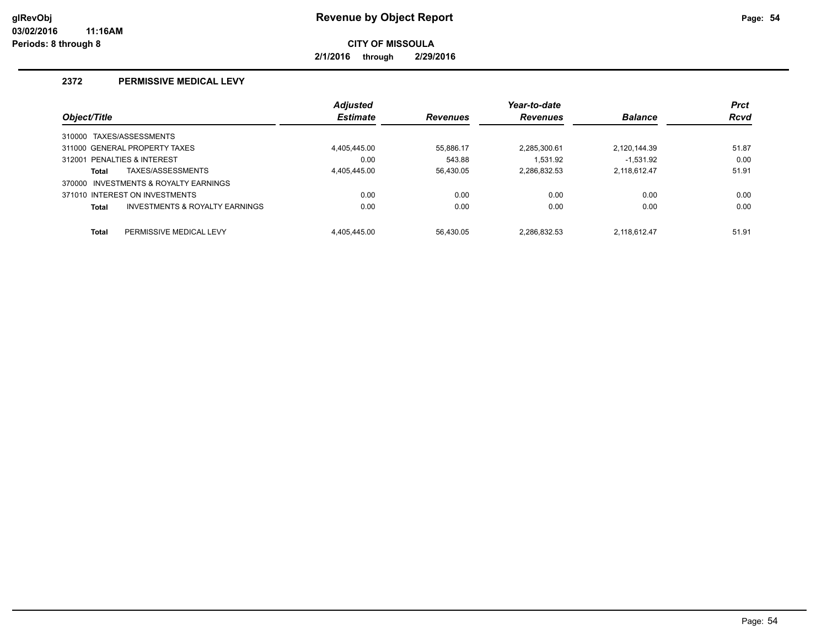**2/1/2016 through 2/29/2016**

### **2372 PERMISSIVE MEDICAL LEVY**

|                                         | <b>Adjusted</b> |                 | Year-to-date    |                | <b>Prct</b> |
|-----------------------------------------|-----------------|-----------------|-----------------|----------------|-------------|
| Object/Title                            | <b>Estimate</b> | <b>Revenues</b> | <b>Revenues</b> | <b>Balance</b> | <b>Rcvd</b> |
| 310000 TAXES/ASSESSMENTS                |                 |                 |                 |                |             |
| 311000 GENERAL PROPERTY TAXES           | 4.405.445.00    | 55.886.17       | 2.285.300.61    | 2.120.144.39   | 51.87       |
| 312001 PENALTIES & INTEREST             | 0.00            | 543.88          | 1.531.92        | $-1.531.92$    | 0.00        |
| TAXES/ASSESSMENTS<br><b>Total</b>       | 4,405,445.00    | 56.430.05       | 2,286,832.53    | 2,118,612.47   | 51.91       |
| 370000 INVESTMENTS & ROYALTY EARNINGS   |                 |                 |                 |                |             |
| 371010 INTEREST ON INVESTMENTS          | 0.00            | 0.00            | 0.00            | 0.00           | 0.00        |
| INVESTMENTS & ROYALTY EARNINGS<br>Total | 0.00            | 0.00            | 0.00            | 0.00           | 0.00        |
| <b>Total</b><br>PERMISSIVE MEDICAL LEVY | 4.405.445.00    | 56.430.05       | 2.286.832.53    | 2.118.612.47   | 51.91       |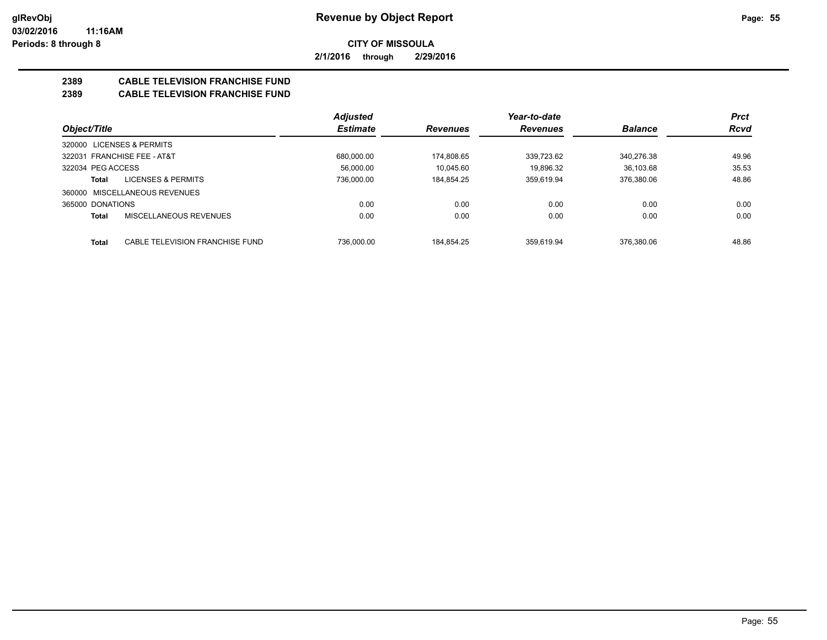**2/1/2016 through 2/29/2016**

## **2389 CABLE TELEVISION FRANCHISE FUND**

## **2389 CABLE TELEVISION FRANCHISE FUND**

|                                                 | <b>Adjusted</b> |                 | Year-to-date    |                | <b>Prct</b> |
|-------------------------------------------------|-----------------|-----------------|-----------------|----------------|-------------|
| Object/Title                                    | <b>Estimate</b> | <b>Revenues</b> | <b>Revenues</b> | <b>Balance</b> | <b>Rcvd</b> |
| LICENSES & PERMITS<br>320000                    |                 |                 |                 |                |             |
| 322031 FRANCHISE FEE - AT&T                     | 680.000.00      | 174.808.65      | 339.723.62      | 340.276.38     | 49.96       |
| 322034 PEG ACCESS                               | 56.000.00       | 10.045.60       | 19.896.32       | 36.103.68      | 35.53       |
| <b>LICENSES &amp; PERMITS</b><br>Total          | 736.000.00      | 184.854.25      | 359.619.94      | 376.380.06     | 48.86       |
| 360000 MISCELLANEOUS REVENUES                   |                 |                 |                 |                |             |
| 365000 DONATIONS                                | 0.00            | 0.00            | 0.00            | 0.00           | 0.00        |
| MISCELLANEOUS REVENUES<br><b>Total</b>          | 0.00            | 0.00            | 0.00            | 0.00           | 0.00        |
| <b>Total</b><br>CABLE TELEVISION FRANCHISE FUND | 736.000.00      | 184.854.25      | 359.619.94      | 376.380.06     | 48.86       |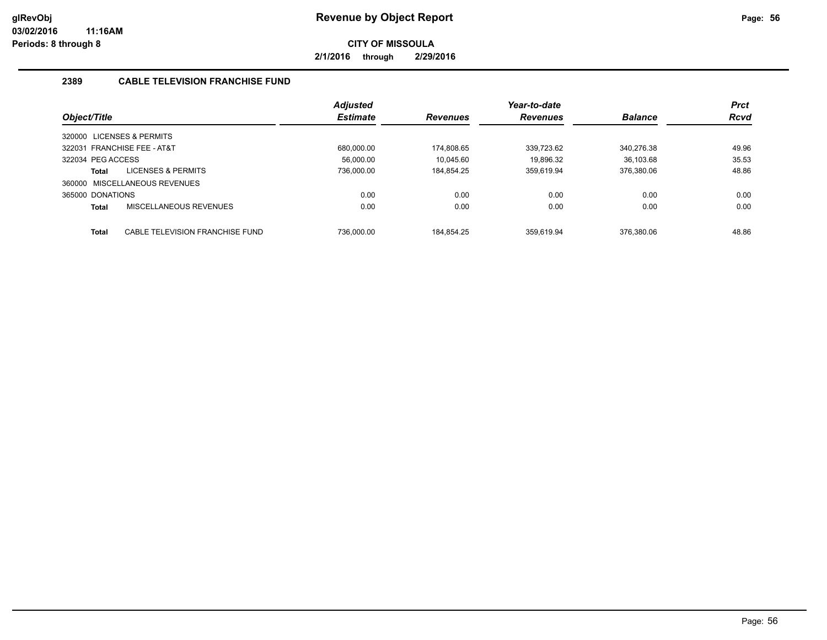**2/1/2016 through 2/29/2016**

## **2389 CABLE TELEVISION FRANCHISE FUND**

|                           |                                 | <b>Adjusted</b> |                 | Year-to-date    |                | <b>Prct</b> |
|---------------------------|---------------------------------|-----------------|-----------------|-----------------|----------------|-------------|
| Object/Title              |                                 | <b>Estimate</b> | <b>Revenues</b> | <b>Revenues</b> | <b>Balance</b> | <b>Rcvd</b> |
| 320000 LICENSES & PERMITS |                                 |                 |                 |                 |                |             |
|                           | 322031 FRANCHISE FEE - AT&T     | 680.000.00      | 174.808.65      | 339.723.62      | 340.276.38     | 49.96       |
| 322034 PEG ACCESS         |                                 | 56.000.00       | 10.045.60       | 19.896.32       | 36.103.68      | 35.53       |
| Total                     | LICENSES & PERMITS              | 736.000.00      | 184.854.25      | 359.619.94      | 376.380.06     | 48.86       |
|                           | 360000 MISCELLANEOUS REVENUES   |                 |                 |                 |                |             |
| 365000 DONATIONS          |                                 | 0.00            | 0.00            | 0.00            | 0.00           | 0.00        |
| Total                     | MISCELLANEOUS REVENUES          | 0.00            | 0.00            | 0.00            | 0.00           | 0.00        |
|                           |                                 |                 |                 |                 |                |             |
| Total                     | CABLE TELEVISION FRANCHISE FUND | 736.000.00      | 184.854.25      | 359.619.94      | 376.380.06     | 48.86       |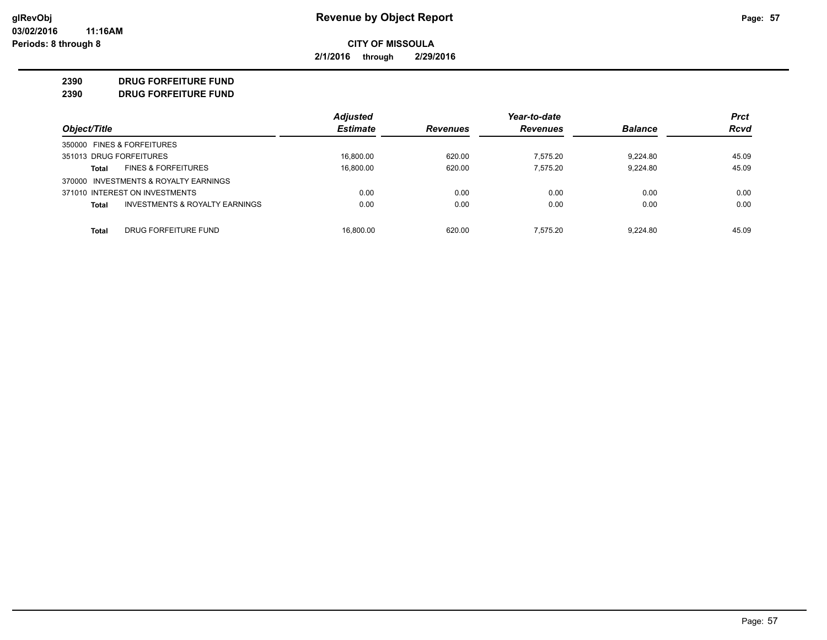**2/1/2016 through 2/29/2016**

### **2390 DRUG FORFEITURE FUND**

**2390 DRUG FORFEITURE FUND**

|                                                    | <b>Adjusted</b> |                 | Year-to-date |                | <b>Prct</b> |
|----------------------------------------------------|-----------------|-----------------|--------------|----------------|-------------|
| Object/Title                                       | <b>Estimate</b> | <b>Revenues</b> | Revenues     | <b>Balance</b> | <b>Rcvd</b> |
| 350000 FINES & FORFEITURES                         |                 |                 |              |                |             |
| 351013 DRUG FORFEITURES                            | 16.800.00       | 620.00          | 7.575.20     | 9.224.80       | 45.09       |
| <b>FINES &amp; FORFEITURES</b><br>Total            | 16,800.00       | 620.00          | 7.575.20     | 9.224.80       | 45.09       |
| 370000 INVESTMENTS & ROYALTY EARNINGS              |                 |                 |              |                |             |
| 371010 INTEREST ON INVESTMENTS                     | 0.00            | 0.00            | 0.00         | 0.00           | 0.00        |
| <b>INVESTMENTS &amp; ROYALTY EARNINGS</b><br>Total | 0.00            | 0.00            | 0.00         | 0.00           | 0.00        |
| DRUG FORFEITURE FUND<br>Total                      | 16.800.00       | 620.00          | 7.575.20     | 9.224.80       | 45.09       |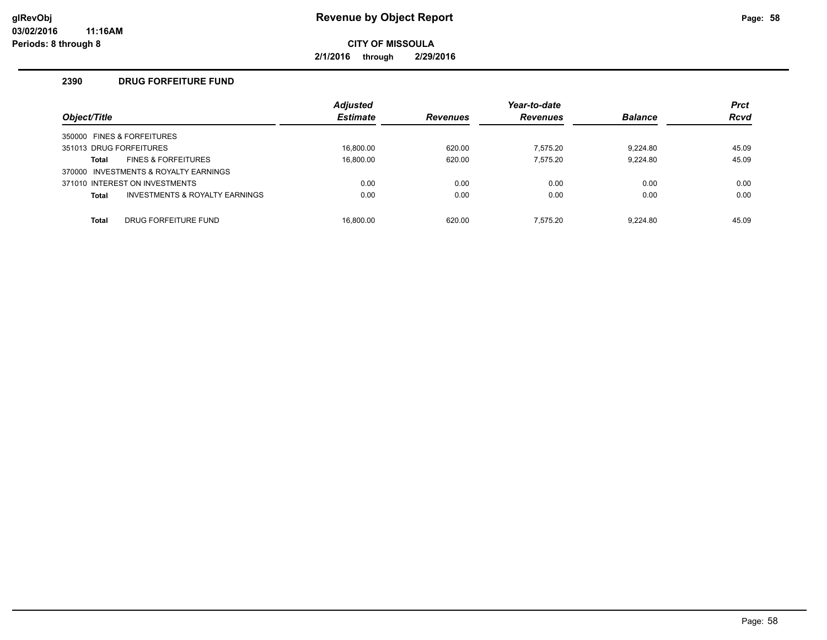**2/1/2016 through 2/29/2016**

### **2390 DRUG FORFEITURE FUND**

|                         |                                           | <b>Adjusted</b> |                 | Year-to-date    |                | <b>Prct</b> |
|-------------------------|-------------------------------------------|-----------------|-----------------|-----------------|----------------|-------------|
| Object/Title            |                                           | <b>Estimate</b> | <b>Revenues</b> | <b>Revenues</b> | <b>Balance</b> | <b>Rcvd</b> |
|                         | 350000 FINES & FORFEITURES                |                 |                 |                 |                |             |
| 351013 DRUG FORFEITURES |                                           | 16.800.00       | 620.00          | 7.575.20        | 9.224.80       | 45.09       |
| Total                   | <b>FINES &amp; FORFEITURES</b>            | 16.800.00       | 620.00          | 7.575.20        | 9.224.80       | 45.09       |
|                         | 370000 INVESTMENTS & ROYALTY EARNINGS     |                 |                 |                 |                |             |
|                         | 371010 INTEREST ON INVESTMENTS            | 0.00            | 0.00            | 0.00            | 0.00           | 0.00        |
| <b>Total</b>            | <b>INVESTMENTS &amp; ROYALTY EARNINGS</b> | 0.00            | 0.00            | 0.00            | 0.00           | 0.00        |
| <b>Total</b>            | DRUG FORFEITURE FUND                      | 16.800.00       | 620.00          | 7.575.20        | 9.224.80       | 45.09       |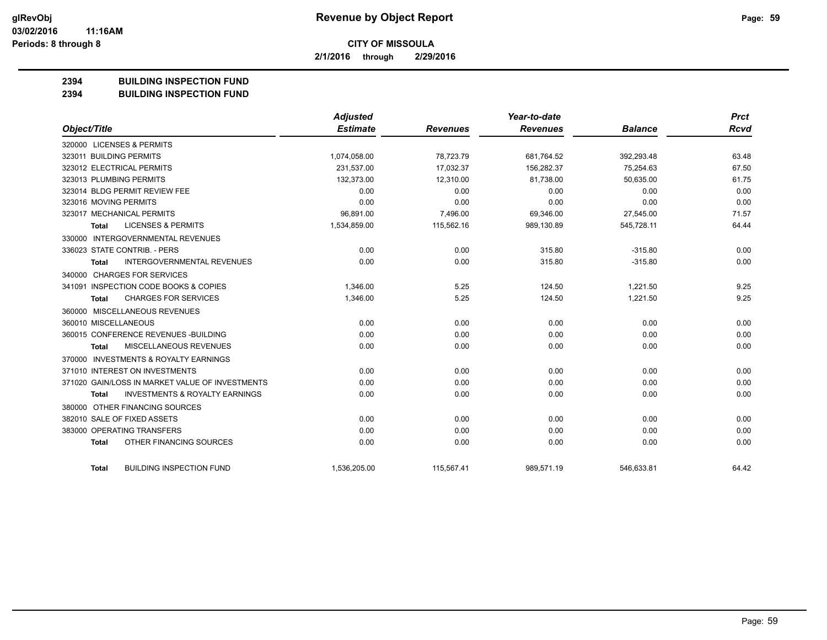**2/1/2016 through 2/29/2016**

## **2394 BUILDING INSPECTION FUND**

**2394 BUILDING INSPECTION FUND**

|                                                     | <b>Adjusted</b> |                 | Year-to-date    |                | <b>Prct</b> |
|-----------------------------------------------------|-----------------|-----------------|-----------------|----------------|-------------|
| Object/Title                                        | <b>Estimate</b> | <b>Revenues</b> | <b>Revenues</b> | <b>Balance</b> | <b>Rcvd</b> |
| 320000 LICENSES & PERMITS                           |                 |                 |                 |                |             |
| 323011 BUILDING PERMITS                             | 1,074,058.00    | 78,723.79       | 681,764.52      | 392,293.48     | 63.48       |
| 323012 ELECTRICAL PERMITS                           | 231,537.00      | 17,032.37       | 156,282.37      | 75,254.63      | 67.50       |
| 323013 PLUMBING PERMITS                             | 132,373.00      | 12,310.00       | 81,738.00       | 50,635.00      | 61.75       |
| 323014 BLDG PERMIT REVIEW FEE                       | 0.00            | 0.00            | 0.00            | 0.00           | 0.00        |
| 323016 MOVING PERMITS                               | 0.00            | 0.00            | 0.00            | 0.00           | 0.00        |
| 323017 MECHANICAL PERMITS                           | 96,891.00       | 7,496.00        | 69,346.00       | 27,545.00      | 71.57       |
| <b>LICENSES &amp; PERMITS</b><br>Total              | 1,534,859.00    | 115,562.16      | 989,130.89      | 545,728.11     | 64.44       |
| 330000 INTERGOVERNMENTAL REVENUES                   |                 |                 |                 |                |             |
| 336023 STATE CONTRIB. - PERS                        | 0.00            | 0.00            | 315.80          | $-315.80$      | 0.00        |
| <b>INTERGOVERNMENTAL REVENUES</b><br><b>Total</b>   | 0.00            | 0.00            | 315.80          | $-315.80$      | 0.00        |
| 340000 CHARGES FOR SERVICES                         |                 |                 |                 |                |             |
| 341091 INSPECTION CODE BOOKS & COPIES               | 1,346.00        | 5.25            | 124.50          | 1,221.50       | 9.25        |
| <b>CHARGES FOR SERVICES</b><br><b>Total</b>         | 1,346.00        | 5.25            | 124.50          | 1,221.50       | 9.25        |
| 360000 MISCELLANEOUS REVENUES                       |                 |                 |                 |                |             |
| 360010 MISCELLANEOUS                                | 0.00            | 0.00            | 0.00            | 0.00           | 0.00        |
| 360015 CONFERENCE REVENUES - BUILDING               | 0.00            | 0.00            | 0.00            | 0.00           | 0.00        |
| MISCELLANEOUS REVENUES<br><b>Total</b>              | 0.00            | 0.00            | 0.00            | 0.00           | 0.00        |
| <b>INVESTMENTS &amp; ROYALTY EARNINGS</b><br>370000 |                 |                 |                 |                |             |
| 371010 INTEREST ON INVESTMENTS                      | 0.00            | 0.00            | 0.00            | 0.00           | 0.00        |
| 371020 GAIN/LOSS IN MARKET VALUE OF INVESTMENTS     | 0.00            | 0.00            | 0.00            | 0.00           | 0.00        |
| <b>INVESTMENTS &amp; ROYALTY EARNINGS</b><br>Total  | 0.00            | 0.00            | 0.00            | 0.00           | 0.00        |
| 380000 OTHER FINANCING SOURCES                      |                 |                 |                 |                |             |
| 382010 SALE OF FIXED ASSETS                         | 0.00            | 0.00            | 0.00            | 0.00           | 0.00        |
| 383000 OPERATING TRANSFERS                          | 0.00            | 0.00            | 0.00            | 0.00           | 0.00        |
| OTHER FINANCING SOURCES<br><b>Total</b>             | 0.00            | 0.00            | 0.00            | 0.00           | 0.00        |
| <b>BUILDING INSPECTION FUND</b><br><b>Total</b>     | 1,536,205.00    | 115,567.41      | 989,571.19      | 546,633.81     | 64.42       |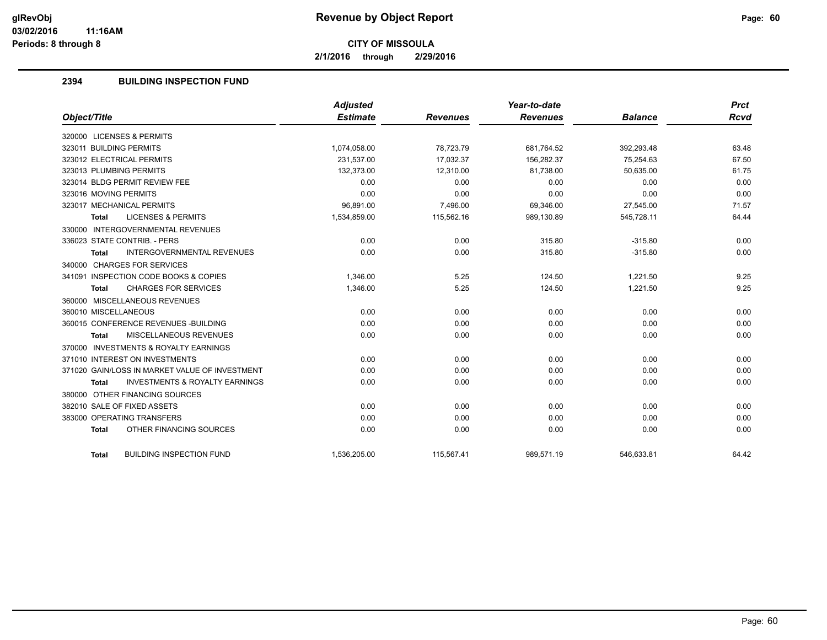**2/1/2016 through 2/29/2016**

## **2394 BUILDING INSPECTION FUND**

| Object/Title                                              | <b>Adjusted</b><br><b>Estimate</b> | <b>Revenues</b> | Year-to-date<br><b>Revenues</b> | <b>Balance</b> | <b>Prct</b><br><b>Rcvd</b> |
|-----------------------------------------------------------|------------------------------------|-----------------|---------------------------------|----------------|----------------------------|
|                                                           |                                    |                 |                                 |                |                            |
| 320000 LICENSES & PERMITS                                 |                                    |                 |                                 |                |                            |
| 323011 BUILDING PERMITS                                   | 1,074,058.00                       | 78,723.79       | 681,764.52                      | 392,293.48     | 63.48                      |
| 323012 ELECTRICAL PERMITS                                 | 231.537.00                         | 17.032.37       | 156.282.37                      | 75.254.63      | 67.50                      |
| 323013 PLUMBING PERMITS                                   | 132,373.00                         | 12,310.00       | 81,738.00                       | 50,635.00      | 61.75                      |
| 323014 BLDG PERMIT REVIEW FEE                             | 0.00                               | 0.00            | 0.00                            | 0.00           | 0.00                       |
| 323016 MOVING PERMITS                                     | 0.00                               | 0.00            | 0.00                            | 0.00           | 0.00                       |
| 323017 MECHANICAL PERMITS                                 | 96,891.00                          | 7,496.00        | 69,346.00                       | 27,545.00      | 71.57                      |
| <b>LICENSES &amp; PERMITS</b><br><b>Total</b>             | 1,534,859.00                       | 115,562.16      | 989,130.89                      | 545,728.11     | 64.44                      |
| 330000 INTERGOVERNMENTAL REVENUES                         |                                    |                 |                                 |                |                            |
| 336023 STATE CONTRIB. - PERS                              | 0.00                               | 0.00            | 315.80                          | $-315.80$      | 0.00                       |
| <b>INTERGOVERNMENTAL REVENUES</b><br><b>Total</b>         | 0.00                               | 0.00            | 315.80                          | $-315.80$      | 0.00                       |
| 340000 CHARGES FOR SERVICES                               |                                    |                 |                                 |                |                            |
| 341091 INSPECTION CODE BOOKS & COPIES                     | 1,346.00                           | 5.25            | 124.50                          | 1,221.50       | 9.25                       |
| <b>CHARGES FOR SERVICES</b><br><b>Total</b>               | 1,346.00                           | 5.25            | 124.50                          | 1,221.50       | 9.25                       |
| 360000 MISCELLANEOUS REVENUES                             |                                    |                 |                                 |                |                            |
| 360010 MISCELLANEOUS                                      | 0.00                               | 0.00            | 0.00                            | 0.00           | 0.00                       |
| 360015 CONFERENCE REVENUES - BUILDING                     | 0.00                               | 0.00            | 0.00                            | 0.00           | 0.00                       |
| MISCELLANEOUS REVENUES<br><b>Total</b>                    | 0.00                               | 0.00            | 0.00                            | 0.00           | 0.00                       |
| 370000 INVESTMENTS & ROYALTY EARNINGS                     |                                    |                 |                                 |                |                            |
| 371010 INTEREST ON INVESTMENTS                            | 0.00                               | 0.00            | 0.00                            | 0.00           | 0.00                       |
| 371020 GAIN/LOSS IN MARKET VALUE OF INVESTMENT            | 0.00                               | 0.00            | 0.00                            | 0.00           | 0.00                       |
| <b>INVESTMENTS &amp; ROYALTY EARNINGS</b><br><b>Total</b> | 0.00                               | 0.00            | 0.00                            | 0.00           | 0.00                       |
| 380000 OTHER FINANCING SOURCES                            |                                    |                 |                                 |                |                            |
| 382010 SALE OF FIXED ASSETS                               | 0.00                               | 0.00            | 0.00                            | 0.00           | 0.00                       |
| 383000 OPERATING TRANSFERS                                | 0.00                               | 0.00            | 0.00                            | 0.00           | 0.00                       |
| OTHER FINANCING SOURCES<br><b>Total</b>                   | 0.00                               | 0.00            | 0.00                            | 0.00           | 0.00                       |
| <b>BUILDING INSPECTION FUND</b><br><b>Total</b>           | 1,536,205.00                       | 115,567.41      | 989,571.19                      | 546,633.81     | 64.42                      |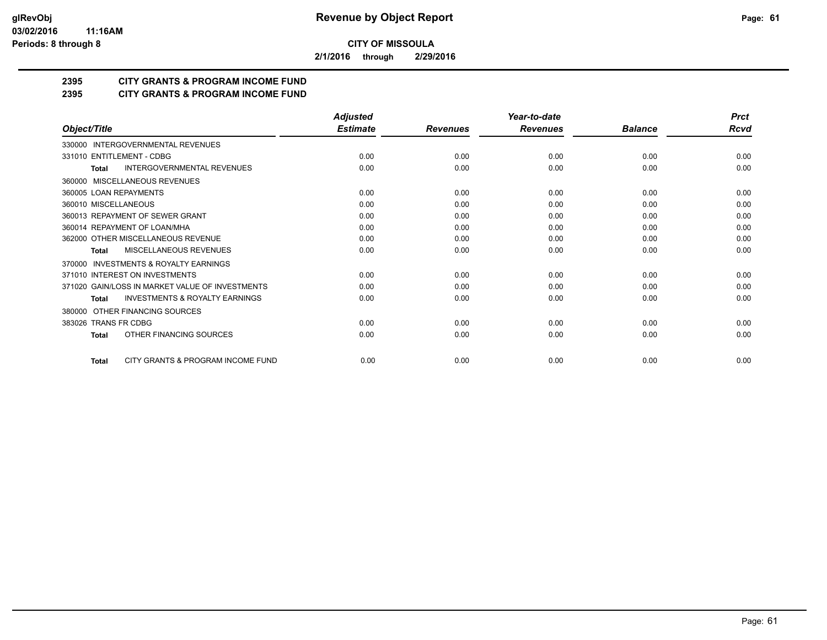**2/1/2016 through 2/29/2016**

## **2395 CITY GRANTS & PROGRAM INCOME FUND**

## **2395 CITY GRANTS & PROGRAM INCOME FUND**

|                                                           | <b>Adjusted</b> |                 | Year-to-date    |                | <b>Prct</b> |
|-----------------------------------------------------------|-----------------|-----------------|-----------------|----------------|-------------|
| Object/Title                                              | <b>Estimate</b> | <b>Revenues</b> | <b>Revenues</b> | <b>Balance</b> | Rcvd        |
| 330000 INTERGOVERNMENTAL REVENUES                         |                 |                 |                 |                |             |
| 331010 ENTITLEMENT - CDBG                                 | 0.00            | 0.00            | 0.00            | 0.00           | 0.00        |
| <b>INTERGOVERNMENTAL REVENUES</b><br><b>Total</b>         | 0.00            | 0.00            | 0.00            | 0.00           | 0.00        |
| MISCELLANEOUS REVENUES<br>360000                          |                 |                 |                 |                |             |
| 360005 LOAN REPAYMENTS                                    | 0.00            | 0.00            | 0.00            | 0.00           | 0.00        |
| 360010 MISCELLANEOUS                                      | 0.00            | 0.00            | 0.00            | 0.00           | 0.00        |
| 360013 REPAYMENT OF SEWER GRANT                           | 0.00            | 0.00            | 0.00            | 0.00           | 0.00        |
| 360014 REPAYMENT OF LOAN/MHA                              | 0.00            | 0.00            | 0.00            | 0.00           | 0.00        |
| 362000 OTHER MISCELLANEOUS REVENUE                        | 0.00            | 0.00            | 0.00            | 0.00           | 0.00        |
| <b>MISCELLANEOUS REVENUES</b><br><b>Total</b>             | 0.00            | 0.00            | 0.00            | 0.00           | 0.00        |
| <b>INVESTMENTS &amp; ROYALTY EARNINGS</b><br>370000       |                 |                 |                 |                |             |
| 371010 INTEREST ON INVESTMENTS                            | 0.00            | 0.00            | 0.00            | 0.00           | 0.00        |
| 371020 GAIN/LOSS IN MARKET VALUE OF INVESTMENTS           | 0.00            | 0.00            | 0.00            | 0.00           | 0.00        |
| <b>INVESTMENTS &amp; ROYALTY EARNINGS</b><br><b>Total</b> | 0.00            | 0.00            | 0.00            | 0.00           | 0.00        |
| OTHER FINANCING SOURCES<br>380000                         |                 |                 |                 |                |             |
| 383026 TRANS FR CDBG                                      | 0.00            | 0.00            | 0.00            | 0.00           | 0.00        |
| OTHER FINANCING SOURCES<br>Total                          | 0.00            | 0.00            | 0.00            | 0.00           | 0.00        |
| CITY GRANTS & PROGRAM INCOME FUND<br><b>Total</b>         | 0.00            | 0.00            | 0.00            | 0.00           | 0.00        |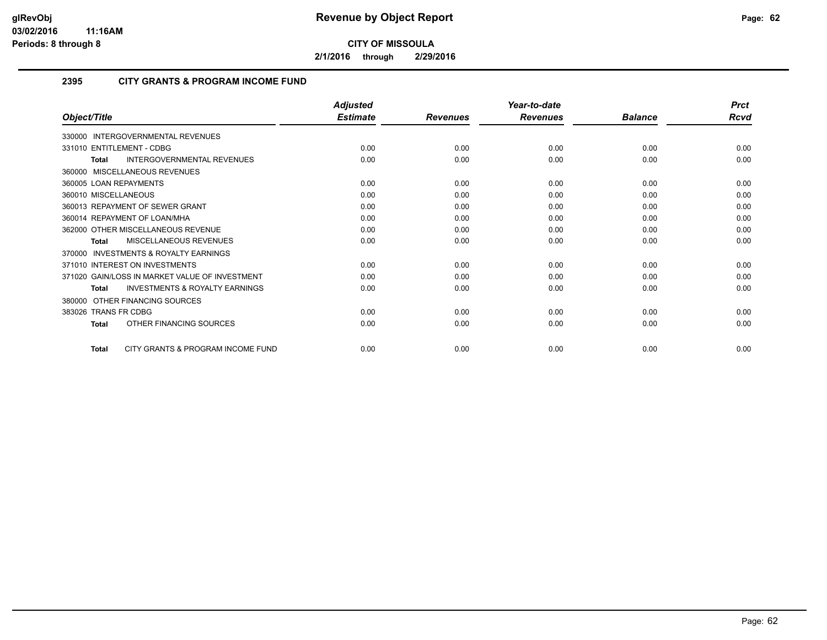**2/1/2016 through 2/29/2016**

## **2395 CITY GRANTS & PROGRAM INCOME FUND**

|                                                           | <b>Adjusted</b> |                 | Year-to-date    |                | <b>Prct</b> |
|-----------------------------------------------------------|-----------------|-----------------|-----------------|----------------|-------------|
| Object/Title                                              | <b>Estimate</b> | <b>Revenues</b> | <b>Revenues</b> | <b>Balance</b> | Rcvd        |
| 330000 INTERGOVERNMENTAL REVENUES                         |                 |                 |                 |                |             |
| 331010 ENTITLEMENT - CDBG                                 | 0.00            | 0.00            | 0.00            | 0.00           | 0.00        |
| INTERGOVERNMENTAL REVENUES<br><b>Total</b>                | 0.00            | 0.00            | 0.00            | 0.00           | 0.00        |
| 360000 MISCELLANEOUS REVENUES                             |                 |                 |                 |                |             |
| 360005 LOAN REPAYMENTS                                    | 0.00            | 0.00            | 0.00            | 0.00           | 0.00        |
| 360010 MISCELLANEOUS                                      | 0.00            | 0.00            | 0.00            | 0.00           | 0.00        |
| 360013 REPAYMENT OF SEWER GRANT                           | 0.00            | 0.00            | 0.00            | 0.00           | 0.00        |
| 360014 REPAYMENT OF LOAN/MHA                              | 0.00            | 0.00            | 0.00            | 0.00           | 0.00        |
| 362000 OTHER MISCELLANEOUS REVENUE                        | 0.00            | 0.00            | 0.00            | 0.00           | 0.00        |
| <b>MISCELLANEOUS REVENUES</b><br><b>Total</b>             | 0.00            | 0.00            | 0.00            | 0.00           | 0.00        |
| <b>INVESTMENTS &amp; ROYALTY EARNINGS</b><br>370000       |                 |                 |                 |                |             |
| 371010 INTEREST ON INVESTMENTS                            | 0.00            | 0.00            | 0.00            | 0.00           | 0.00        |
| 371020 GAIN/LOSS IN MARKET VALUE OF INVESTMENT            | 0.00            | 0.00            | 0.00            | 0.00           | 0.00        |
| <b>INVESTMENTS &amp; ROYALTY EARNINGS</b><br><b>Total</b> | 0.00            | 0.00            | 0.00            | 0.00           | 0.00        |
| 380000 OTHER FINANCING SOURCES                            |                 |                 |                 |                |             |
| 383026 TRANS FR CDBG                                      | 0.00            | 0.00            | 0.00            | 0.00           | 0.00        |
| OTHER FINANCING SOURCES<br><b>Total</b>                   | 0.00            | 0.00            | 0.00            | 0.00           | 0.00        |
| CITY GRANTS & PROGRAM INCOME FUND<br><b>Total</b>         | 0.00            | 0.00            | 0.00            | 0.00           | 0.00        |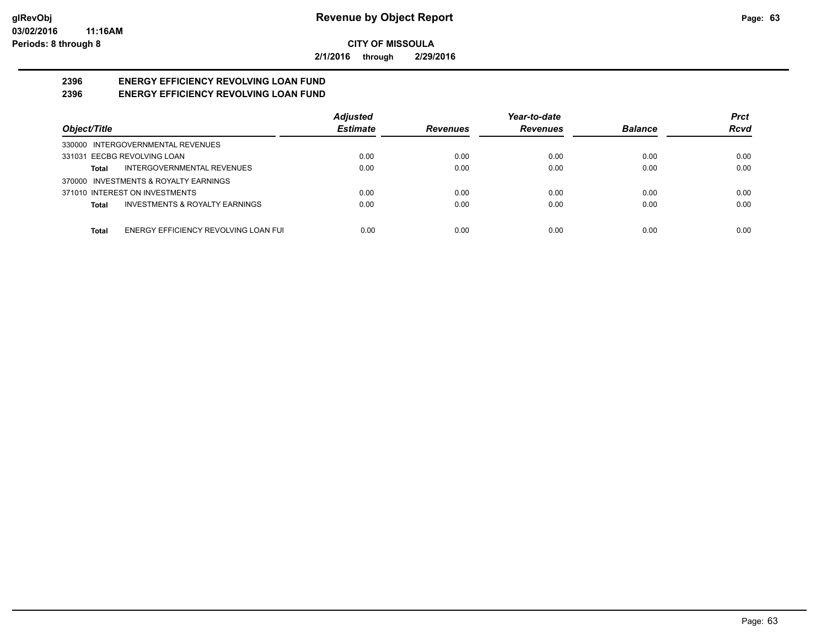**2/1/2016 through 2/29/2016**

#### **2396 ENERGY EFFICIENCY REVOLVING LOAN FUND 2396 ENERGY EFFICIENCY REVOLVING LOAN FUND**

|                                               | <b>Adjusted</b> |                                    | Year-to-date |                | <b>Prct</b> |
|-----------------------------------------------|-----------------|------------------------------------|--------------|----------------|-------------|
| Object/Title                                  | <b>Estimate</b> | <b>Revenues</b><br><b>Revenues</b> |              | <b>Balance</b> | <b>Rcvd</b> |
| 330000 INTERGOVERNMENTAL REVENUES             |                 |                                    |              |                |             |
| 331031 EECBG REVOLVING LOAN                   | 0.00            | 0.00                               | 0.00         | 0.00           | 0.00        |
| INTERGOVERNMENTAL REVENUES<br>Total           | 0.00            | 0.00                               | 0.00         | 0.00           | 0.00        |
| 370000 INVESTMENTS & ROYALTY EARNINGS         |                 |                                    |              |                |             |
| 371010 INTEREST ON INVESTMENTS                | 0.00            | 0.00                               | 0.00         | 0.00           | 0.00        |
| INVESTMENTS & ROYALTY EARNINGS<br>Total       | 0.00            | 0.00                               | 0.00         | 0.00           | 0.00        |
| ENERGY EFFICIENCY REVOLVING LOAN FUI<br>Total | 0.00            | 0.00                               | 0.00         | 0.00           | 0.00        |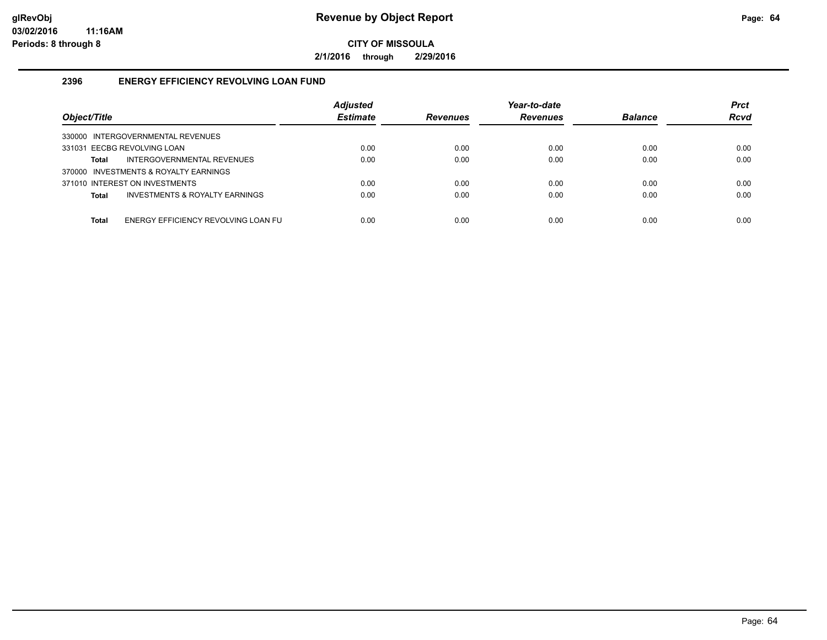**2/1/2016 through 2/29/2016**

## **2396 ENERGY EFFICIENCY REVOLVING LOAN FUND**

| Object/Title                                   | <b>Adjusted</b><br><b>Estimate</b> | Year-to-date<br><b>Revenues</b><br><b>Revenues</b> |      | <b>Balance</b> | <b>Prct</b><br><b>Rcvd</b> |
|------------------------------------------------|------------------------------------|----------------------------------------------------|------|----------------|----------------------------|
| 330000 INTERGOVERNMENTAL REVENUES              |                                    |                                                    |      |                |                            |
| 331031 EECBG REVOLVING LOAN                    | 0.00                               | 0.00                                               | 0.00 | 0.00           | 0.00                       |
| INTERGOVERNMENTAL REVENUES<br>Total            | 0.00                               | 0.00                                               | 0.00 | 0.00           | 0.00                       |
| 370000 INVESTMENTS & ROYALTY EARNINGS          |                                    |                                                    |      |                |                            |
| 371010 INTEREST ON INVESTMENTS                 | 0.00                               | 0.00                                               | 0.00 | 0.00           | 0.00                       |
| INVESTMENTS & ROYALTY EARNINGS<br><b>Total</b> | 0.00                               | 0.00                                               | 0.00 | 0.00           | 0.00                       |
|                                                |                                    |                                                    |      |                |                            |
| ENERGY EFFICIENCY REVOLVING LOAN FU<br>Total   | 0.00                               | 0.00                                               | 0.00 | 0.00           | 0.00                       |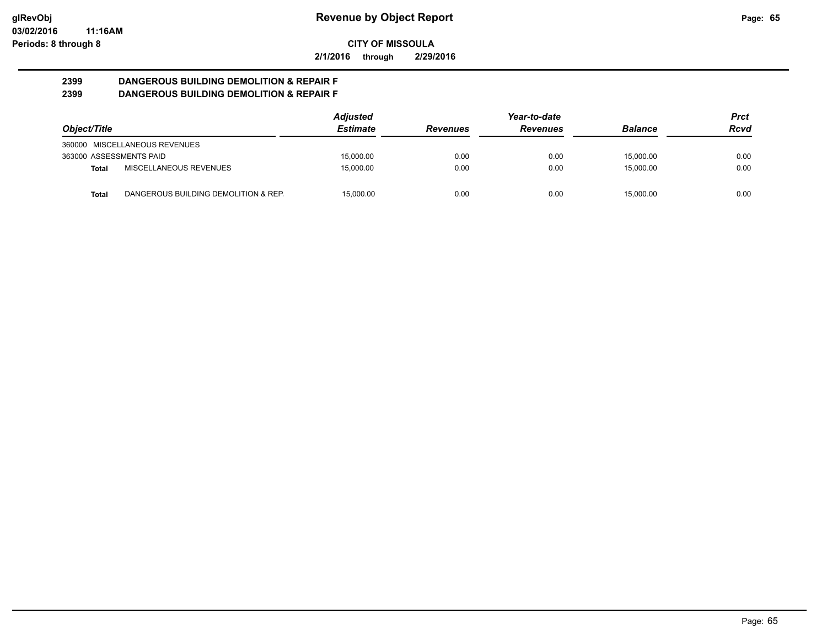**2/1/2016 through 2/29/2016**

#### **2399 DANGEROUS BUILDING DEMOLITION & REPAIR F 2399 DANGEROUS BUILDING DEMOLITION & REPAIR F**

|                         |                                      | <b>Adjusted</b> |                                    | Year-to-date |                | Prct |
|-------------------------|--------------------------------------|-----------------|------------------------------------|--------------|----------------|------|
| Object/Title            |                                      | <b>Estimate</b> | <b>Revenues</b><br><b>Revenues</b> |              | <b>Balance</b> | Rcvd |
|                         | 360000 MISCELLANEOUS REVENUES        |                 |                                    |              |                |      |
| 363000 ASSESSMENTS PAID |                                      | 15.000.00       | 0.00                               | 0.00         | 15,000.00      | 0.00 |
| <b>Total</b>            | MISCELLANEOUS REVENUES               | 15.000.00       | 0.00                               | 0.00         | 15,000.00      | 0.00 |
| <b>Total</b>            | DANGEROUS BUILDING DEMOLITION & REP. | 15.000.00       | 0.00                               | 0.00         | 15,000.00      | 0.00 |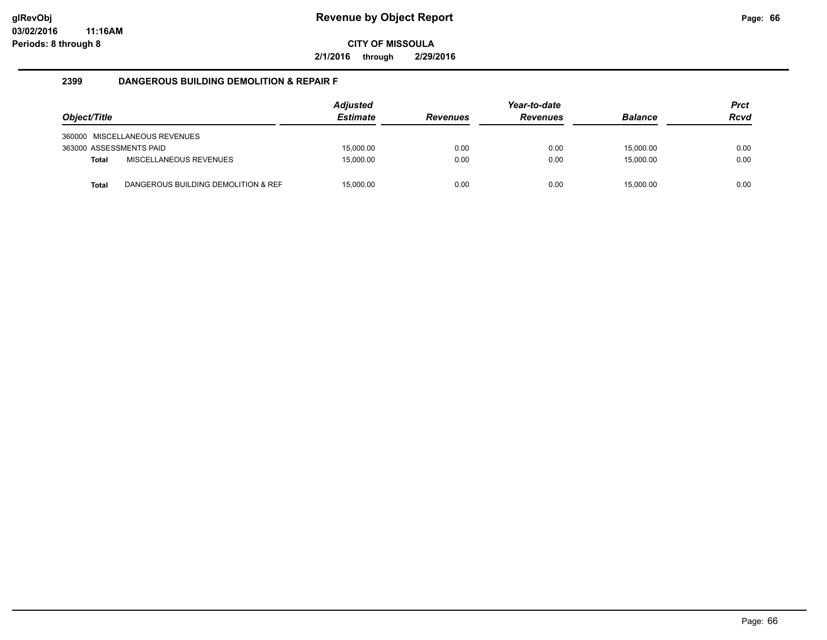**2/1/2016 through 2/29/2016**

#### **2399 DANGEROUS BUILDING DEMOLITION & REPAIR F**

| Object/Title            |                                     |           | <b>Revenues</b> | Year-to-date<br><b>Revenues</b> | <b>Balance</b> | <b>Prct</b><br><b>Rcvd</b> |
|-------------------------|-------------------------------------|-----------|-----------------|---------------------------------|----------------|----------------------------|
|                         | 360000 MISCELLANEOUS REVENUES       |           |                 |                                 |                |                            |
| 363000 ASSESSMENTS PAID |                                     | 15.000.00 | 0.00            | 0.00                            | 15.000.00      | 0.00                       |
| <b>Total</b>            | MISCELLANEOUS REVENUES              | 15.000.00 | 0.00            | 0.00                            | 15.000.00      | 0.00                       |
| <b>Total</b>            | DANGEROUS BUILDING DEMOLITION & REF | 15,000.00 | 0.00            | 0.00                            | 15,000.00      | 0.00                       |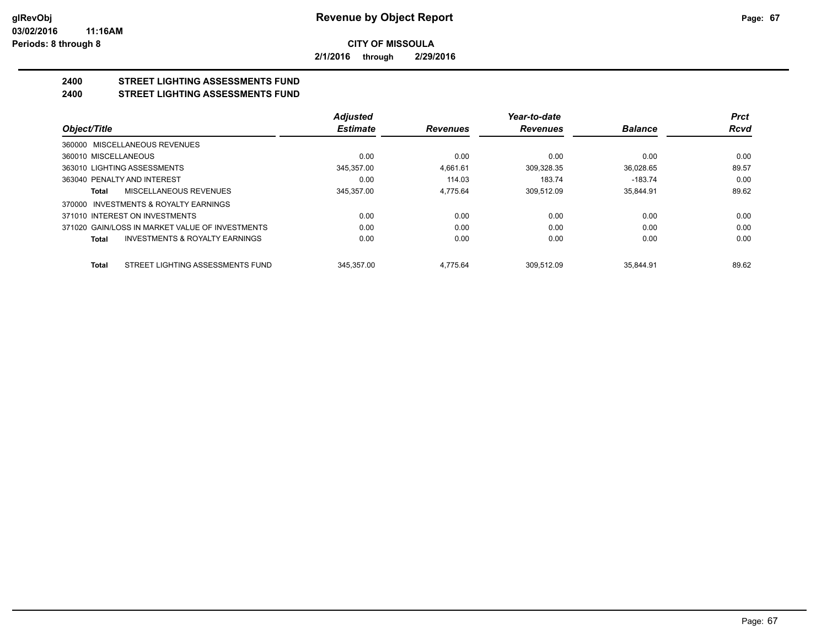**2/1/2016 through 2/29/2016**

#### **2400 STREET LIGHTING ASSESSMENTS FUND 2400 STREET LIGHTING ASSESSMENTS FUND**

|                                                    | <b>Adjusted</b> |                 | Year-to-date    |                | <b>Prct</b> |
|----------------------------------------------------|-----------------|-----------------|-----------------|----------------|-------------|
| Object/Title                                       | <b>Estimate</b> | <b>Revenues</b> | <b>Revenues</b> | <b>Balance</b> | <b>Rcvd</b> |
| 360000 MISCELLANEOUS REVENUES                      |                 |                 |                 |                |             |
| 360010 MISCELLANEOUS                               | 0.00            | 0.00            | 0.00            | 0.00           | 0.00        |
| 363010 LIGHTING ASSESSMENTS                        | 345.357.00      | 4.661.61        | 309,328.35      | 36.028.65      | 89.57       |
| 363040 PENALTY AND INTEREST                        | 0.00            | 114.03          | 183.74          | $-183.74$      | 0.00        |
| MISCELLANEOUS REVENUES<br>Total                    | 345.357.00      | 4.775.64        | 309.512.09      | 35.844.91      | 89.62       |
| 370000 INVESTMENTS & ROYALTY EARNINGS              |                 |                 |                 |                |             |
| 371010 INTEREST ON INVESTMENTS                     | 0.00            | 0.00            | 0.00            | 0.00           | 0.00        |
| 371020 GAIN/LOSS IN MARKET VALUE OF INVESTMENTS    | 0.00            | 0.00            | 0.00            | 0.00           | 0.00        |
| <b>INVESTMENTS &amp; ROYALTY EARNINGS</b><br>Total | 0.00            | 0.00            | 0.00            | 0.00           | 0.00        |
| STREET LIGHTING ASSESSMENTS FUND<br><b>Total</b>   | 345.357.00      | 4.775.64        | 309.512.09      | 35.844.91      | 89.62       |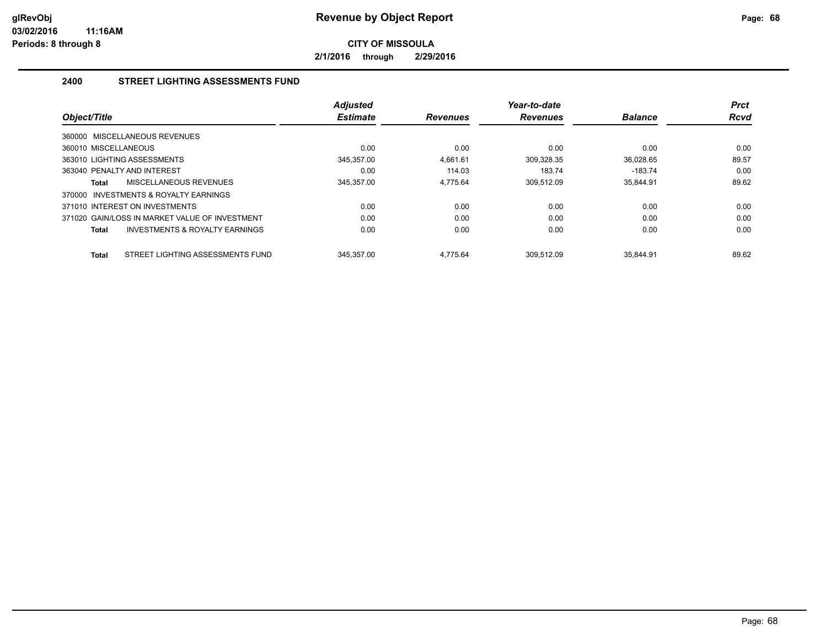**2/1/2016 through 2/29/2016**

## **2400 STREET LIGHTING ASSESSMENTS FUND**

| Object/Title                                     | <b>Adjusted</b><br><b>Estimate</b><br><b>Revenues</b> |          | Year-to-date<br><b>Revenues</b> | <b>Balance</b> | <b>Prct</b><br><b>Rcvd</b> |
|--------------------------------------------------|-------------------------------------------------------|----------|---------------------------------|----------------|----------------------------|
| 360000 MISCELLANEOUS REVENUES                    |                                                       |          |                                 |                |                            |
| 360010 MISCELLANEOUS                             | 0.00                                                  | 0.00     | 0.00                            | 0.00           | 0.00                       |
| 363010 LIGHTING ASSESSMENTS                      | 345,357.00                                            | 4.661.61 | 309.328.35                      | 36.028.65      | 89.57                      |
| 363040 PENALTY AND INTEREST                      | 0.00                                                  | 114.03   | 183.74                          | $-183.74$      | 0.00                       |
| MISCELLANEOUS REVENUES<br>Total                  | 345,357.00                                            | 4.775.64 | 309,512.09                      | 35,844.91      | 89.62                      |
| INVESTMENTS & ROYALTY EARNINGS<br>370000         |                                                       |          |                                 |                |                            |
| 371010 INTEREST ON INVESTMENTS                   | 0.00                                                  | 0.00     | 0.00                            | 0.00           | 0.00                       |
| 371020 GAIN/LOSS IN MARKET VALUE OF INVESTMENT   | 0.00                                                  | 0.00     | 0.00                            | 0.00           | 0.00                       |
| INVESTMENTS & ROYALTY EARNINGS<br>Total          | 0.00                                                  | 0.00     | 0.00                            | 0.00           | 0.00                       |
| STREET LIGHTING ASSESSMENTS FUND<br><b>Total</b> | 345.357.00                                            | 4.775.64 | 309.512.09                      | 35.844.91      | 89.62                      |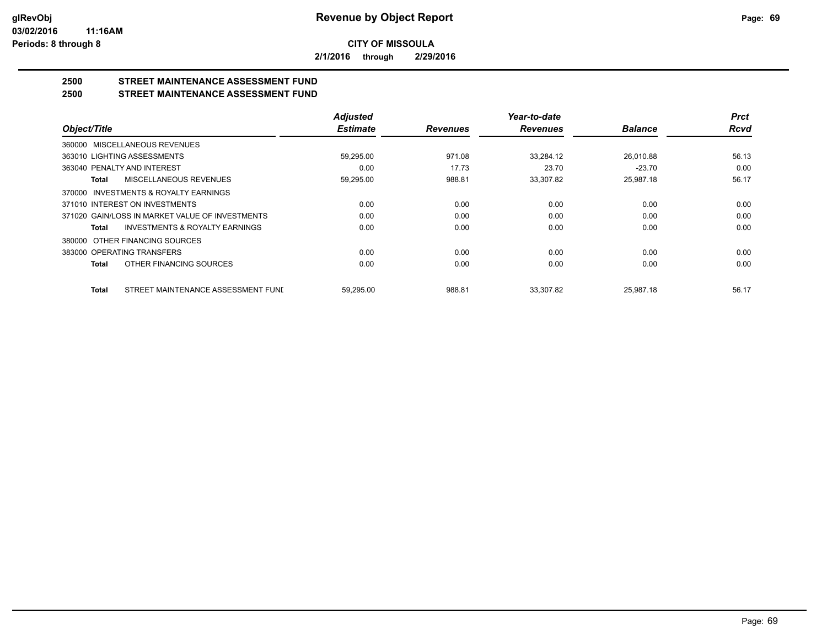**2/1/2016 through 2/29/2016**

## **2500 STREET MAINTENANCE ASSESSMENT FUND**

**2500 STREET MAINTENANCE ASSESSMENT FUND**

|                                                    | <b>Adjusted</b> |                 | Year-to-date    |                | <b>Prct</b> |
|----------------------------------------------------|-----------------|-----------------|-----------------|----------------|-------------|
| Object/Title                                       | <b>Estimate</b> | <b>Revenues</b> | <b>Revenues</b> | <b>Balance</b> | <b>Rcvd</b> |
| 360000 MISCELLANEOUS REVENUES                      |                 |                 |                 |                |             |
| 363010 LIGHTING ASSESSMENTS                        | 59,295.00       | 971.08          | 33,284.12       | 26,010.88      | 56.13       |
| 363040 PENALTY AND INTEREST                        | 0.00            | 17.73           | 23.70           | $-23.70$       | 0.00        |
| MISCELLANEOUS REVENUES<br>Total                    | 59,295.00       | 988.81          | 33,307.82       | 25,987.18      | 56.17       |
| 370000 INVESTMENTS & ROYALTY EARNINGS              |                 |                 |                 |                |             |
| 371010 INTEREST ON INVESTMENTS                     | 0.00            | 0.00            | 0.00            | 0.00           | 0.00        |
| 371020 GAIN/LOSS IN MARKET VALUE OF INVESTMENTS    | 0.00            | 0.00            | 0.00            | 0.00           | 0.00        |
| <b>INVESTMENTS &amp; ROYALTY EARNINGS</b><br>Total | 0.00            | 0.00            | 0.00            | 0.00           | 0.00        |
| 380000 OTHER FINANCING SOURCES                     |                 |                 |                 |                |             |
| 383000 OPERATING TRANSFERS                         | 0.00            | 0.00            | 0.00            | 0.00           | 0.00        |
| OTHER FINANCING SOURCES<br><b>Total</b>            | 0.00            | 0.00            | 0.00            | 0.00           | 0.00        |
| STREET MAINTENANCE ASSESSMENT FUNI<br><b>Total</b> | 59.295.00       | 988.81          | 33.307.82       | 25.987.18      | 56.17       |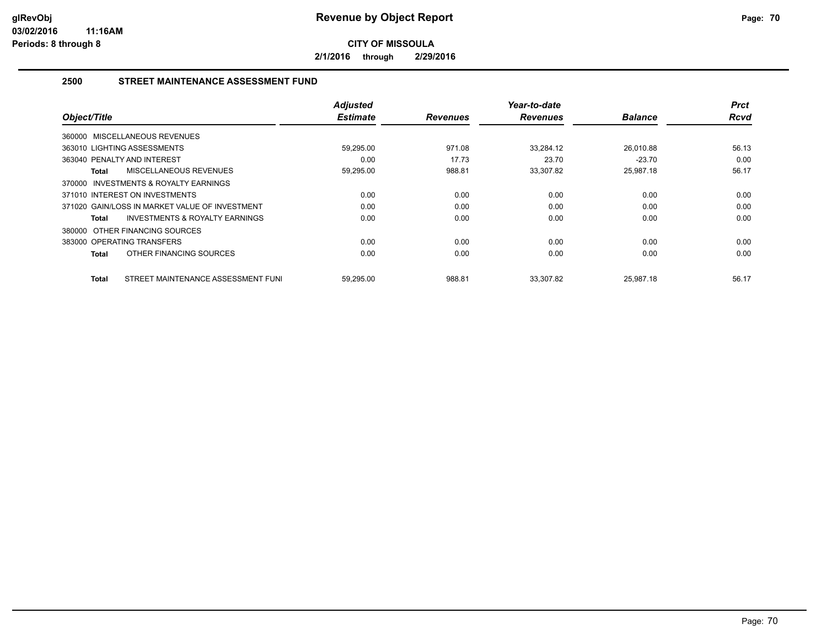**2/1/2016 through 2/29/2016**

## **2500 STREET MAINTENANCE ASSESSMENT FUND**

| Object/Title                                       | <b>Adjusted</b><br><b>Estimate</b> | <b>Revenues</b> | Year-to-date<br><b>Revenues</b> | <b>Balance</b> | <b>Prct</b><br><b>Rcvd</b> |
|----------------------------------------------------|------------------------------------|-----------------|---------------------------------|----------------|----------------------------|
| 360000 MISCELLANEOUS REVENUES                      |                                    |                 |                                 |                |                            |
| 363010 LIGHTING ASSESSMENTS                        | 59,295.00                          | 971.08          | 33,284.12                       | 26.010.88      | 56.13                      |
| 363040 PENALTY AND INTEREST                        | 0.00                               | 17.73           | 23.70                           | $-23.70$       | 0.00                       |
| MISCELLANEOUS REVENUES<br>Total                    | 59,295.00                          | 988.81          | 33,307.82                       | 25.987.18      | 56.17                      |
| 370000 INVESTMENTS & ROYALTY EARNINGS              |                                    |                 |                                 |                |                            |
| 371010 INTEREST ON INVESTMENTS                     | 0.00                               | 0.00            | 0.00                            | 0.00           | 0.00                       |
| 371020 GAIN/LOSS IN MARKET VALUE OF INVESTMENT     | 0.00                               | 0.00            | 0.00                            | 0.00           | 0.00                       |
| <b>INVESTMENTS &amp; ROYALTY EARNINGS</b><br>Total | 0.00                               | 0.00            | 0.00                            | 0.00           | 0.00                       |
| 380000 OTHER FINANCING SOURCES                     |                                    |                 |                                 |                |                            |
| 383000 OPERATING TRANSFERS                         | 0.00                               | 0.00            | 0.00                            | 0.00           | 0.00                       |
| OTHER FINANCING SOURCES<br><b>Total</b>            | 0.00                               | 0.00            | 0.00                            | 0.00           | 0.00                       |
| STREET MAINTENANCE ASSESSMENT FUNI<br><b>Total</b> | 59,295.00                          | 988.81          | 33,307.82                       | 25,987.18      | 56.17                      |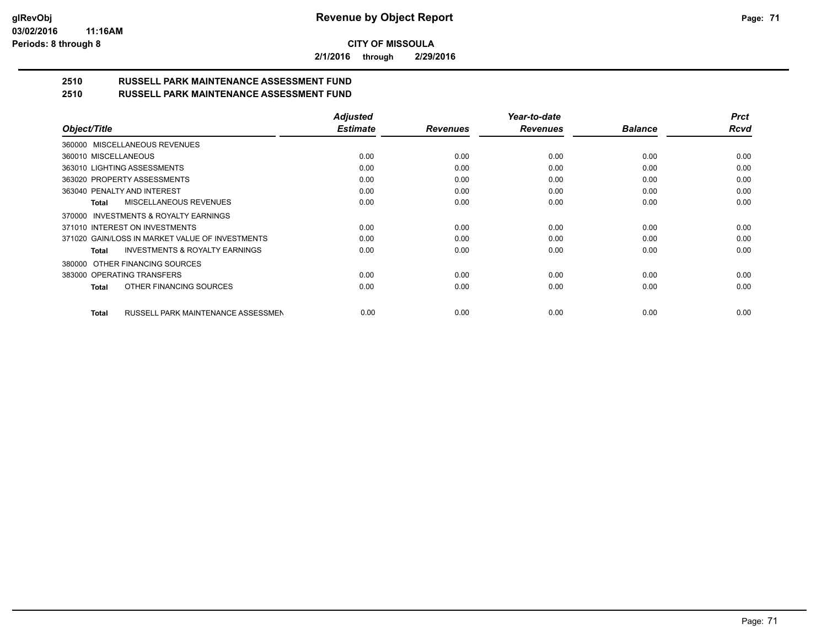**2/1/2016 through 2/29/2016**

#### **2510 RUSSELL PARK MAINTENANCE ASSESSMENT FUND 2510 RUSSELL PARK MAINTENANCE ASSESSMENT FUND**

| 67 I V | <b>INDOOLLE FAINN MAIN LENANGE ASSESSMENT LUND</b> |                 |
|--------|----------------------------------------------------|-----------------|
|        |                                                    | <b>Adiusted</b> |
|        |                                                    |                 |

|                                                    | <b>Adjusted</b><br><b>Estimate</b> |                 | Year-to-date<br><b>Revenues</b> | <b>Balance</b> | <b>Prct</b><br>Rcvd |
|----------------------------------------------------|------------------------------------|-----------------|---------------------------------|----------------|---------------------|
| Object/Title                                       |                                    | <b>Revenues</b> |                                 |                |                     |
| 360000 MISCELLANEOUS REVENUES                      |                                    |                 |                                 |                |                     |
| 360010 MISCELLANEOUS                               | 0.00                               | 0.00            | 0.00                            | 0.00           | 0.00                |
| 363010 LIGHTING ASSESSMENTS                        | 0.00                               | 0.00            | 0.00                            | 0.00           | 0.00                |
| 363020 PROPERTY ASSESSMENTS                        | 0.00                               | 0.00            | 0.00                            | 0.00           | 0.00                |
| 363040 PENALTY AND INTEREST                        | 0.00                               | 0.00            | 0.00                            | 0.00           | 0.00                |
| MISCELLANEOUS REVENUES<br>Total                    | 0.00                               | 0.00            | 0.00                            | 0.00           | 0.00                |
| INVESTMENTS & ROYALTY EARNINGS<br>370000           |                                    |                 |                                 |                |                     |
| 371010 INTEREST ON INVESTMENTS                     | 0.00                               | 0.00            | 0.00                            | 0.00           | 0.00                |
| 371020 GAIN/LOSS IN MARKET VALUE OF INVESTMENTS    | 0.00                               | 0.00            | 0.00                            | 0.00           | 0.00                |
| <b>INVESTMENTS &amp; ROYALTY EARNINGS</b><br>Total | 0.00                               | 0.00            | 0.00                            | 0.00           | 0.00                |
| OTHER FINANCING SOURCES<br>380000                  |                                    |                 |                                 |                |                     |
| 383000 OPERATING TRANSFERS                         | 0.00                               | 0.00            | 0.00                            | 0.00           | 0.00                |
| OTHER FINANCING SOURCES<br>Total                   | 0.00                               | 0.00            | 0.00                            | 0.00           | 0.00                |
| RUSSELL PARK MAINTENANCE ASSESSMEN<br>Total        | 0.00                               | 0.00            | 0.00                            | 0.00           | 0.00                |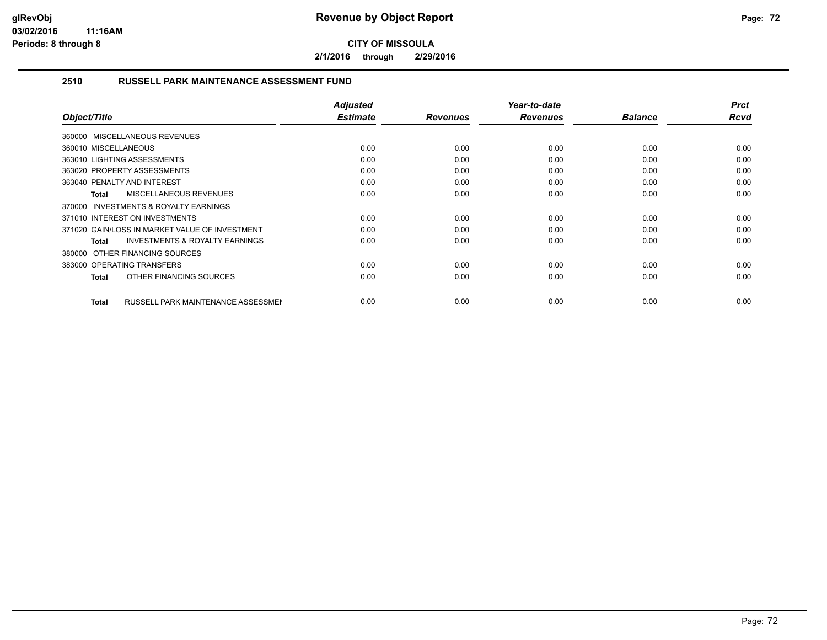**2/1/2016 through 2/29/2016**

## **2510 RUSSELL PARK MAINTENANCE ASSESSMENT FUND**

| Object/Title                                              | <b>Adjusted</b><br><b>Estimate</b> | <b>Revenues</b> | Year-to-date<br><b>Revenues</b> | <b>Balance</b> | <b>Prct</b><br>Rcvd |
|-----------------------------------------------------------|------------------------------------|-----------------|---------------------------------|----------------|---------------------|
| 360000 MISCELLANEOUS REVENUES                             |                                    |                 |                                 |                |                     |
| 360010 MISCELLANEOUS                                      | 0.00                               | 0.00            | 0.00                            | 0.00           | 0.00                |
| 363010 LIGHTING ASSESSMENTS                               | 0.00                               | 0.00            | 0.00                            | 0.00           | 0.00                |
| 363020 PROPERTY ASSESSMENTS                               | 0.00                               | 0.00            | 0.00                            | 0.00           | 0.00                |
| 363040 PENALTY AND INTEREST                               | 0.00                               | 0.00            | 0.00                            | 0.00           | 0.00                |
| <b>MISCELLANEOUS REVENUES</b><br>Total                    | 0.00                               | 0.00            | 0.00                            | 0.00           | 0.00                |
| <b>INVESTMENTS &amp; ROYALTY EARNINGS</b><br>370000       |                                    |                 |                                 |                |                     |
| 371010 INTEREST ON INVESTMENTS                            | 0.00                               | 0.00            | 0.00                            | 0.00           | 0.00                |
| 371020 GAIN/LOSS IN MARKET VALUE OF INVESTMENT            | 0.00                               | 0.00            | 0.00                            | 0.00           | 0.00                |
| <b>INVESTMENTS &amp; ROYALTY EARNINGS</b><br>Total        | 0.00                               | 0.00            | 0.00                            | 0.00           | 0.00                |
| 380000 OTHER FINANCING SOURCES                            |                                    |                 |                                 |                |                     |
| 383000 OPERATING TRANSFERS                                | 0.00                               | 0.00            | 0.00                            | 0.00           | 0.00                |
| OTHER FINANCING SOURCES<br><b>Total</b>                   | 0.00                               | 0.00            | 0.00                            | 0.00           | 0.00                |
|                                                           |                                    |                 |                                 |                |                     |
| <b>RUSSELL PARK MAINTENANCE ASSESSMEN</b><br><b>Total</b> | 0.00                               | 0.00            | 0.00                            | 0.00           | 0.00                |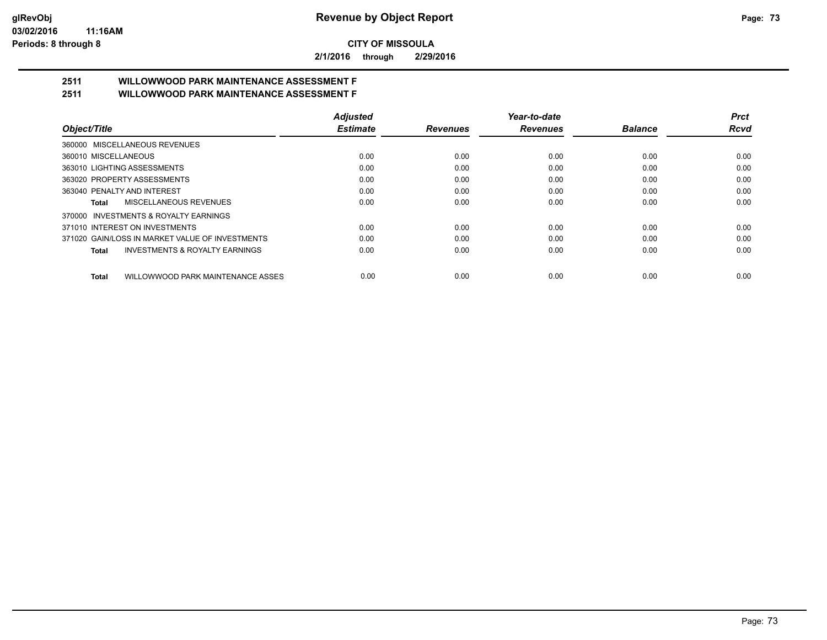**2/1/2016 through 2/29/2016**

# **2511 WILLOWWOOD PARK MAINTENANCE ASSESSMENT F**

**2511 WILLOWWOOD PARK MAINTENANCE ASSESSMENT F**

|                                                           | <b>Adjusted</b> |                 | Year-to-date    |                | <b>Prct</b> |
|-----------------------------------------------------------|-----------------|-----------------|-----------------|----------------|-------------|
| Object/Title                                              | <b>Estimate</b> | <b>Revenues</b> | <b>Revenues</b> | <b>Balance</b> | Rcvd        |
| 360000 MISCELLANEOUS REVENUES                             |                 |                 |                 |                |             |
| 360010 MISCELLANEOUS                                      | 0.00            | 0.00            | 0.00            | 0.00           | 0.00        |
| 363010 LIGHTING ASSESSMENTS                               | 0.00            | 0.00            | 0.00            | 0.00           | 0.00        |
| 363020 PROPERTY ASSESSMENTS                               | 0.00            | 0.00            | 0.00            | 0.00           | 0.00        |
| 363040 PENALTY AND INTEREST                               | 0.00            | 0.00            | 0.00            | 0.00           | 0.00        |
| MISCELLANEOUS REVENUES<br>Total                           | 0.00            | 0.00            | 0.00            | 0.00           | 0.00        |
| 370000 INVESTMENTS & ROYALTY EARNINGS                     |                 |                 |                 |                |             |
| 371010 INTEREST ON INVESTMENTS                            | 0.00            | 0.00            | 0.00            | 0.00           | 0.00        |
| 371020 GAIN/LOSS IN MARKET VALUE OF INVESTMENTS           | 0.00            | 0.00            | 0.00            | 0.00           | 0.00        |
| <b>INVESTMENTS &amp; ROYALTY EARNINGS</b><br><b>Total</b> | 0.00            | 0.00            | 0.00            | 0.00           | 0.00        |
| WILLOWWOOD PARK MAINTENANCE ASSES<br><b>Total</b>         | 0.00            | 0.00            | 0.00            | 0.00           | 0.00        |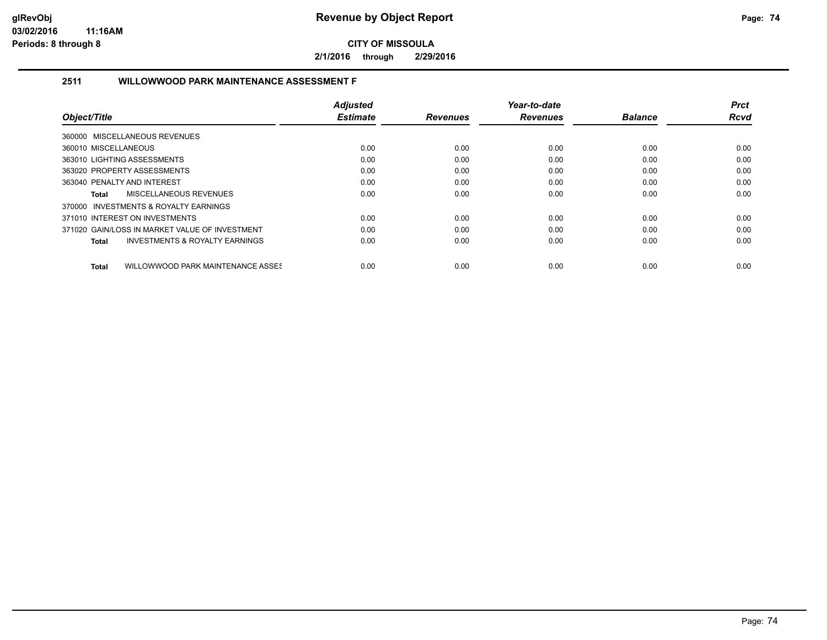**2/1/2016 through 2/29/2016**

## **2511 WILLOWWOOD PARK MAINTENANCE ASSESSMENT F**

|                                                    | <b>Adjusted</b> |                 | Year-to-date    |                | <b>Prct</b> |
|----------------------------------------------------|-----------------|-----------------|-----------------|----------------|-------------|
| Object/Title                                       | <b>Estimate</b> | <b>Revenues</b> | <b>Revenues</b> | <b>Balance</b> | <b>Rcvd</b> |
| 360000 MISCELLANEOUS REVENUES                      |                 |                 |                 |                |             |
| 360010 MISCELLANEOUS                               | 0.00            | 0.00            | 0.00            | 0.00           | 0.00        |
| 363010 LIGHTING ASSESSMENTS                        | 0.00            | 0.00            | 0.00            | 0.00           | 0.00        |
| 363020 PROPERTY ASSESSMENTS                        | 0.00            | 0.00            | 0.00            | 0.00           | 0.00        |
| 363040 PENALTY AND INTEREST                        | 0.00            | 0.00            | 0.00            | 0.00           | 0.00        |
| MISCELLANEOUS REVENUES<br>Total                    | 0.00            | 0.00            | 0.00            | 0.00           | 0.00        |
| 370000 INVESTMENTS & ROYALTY EARNINGS              |                 |                 |                 |                |             |
| 371010 INTEREST ON INVESTMENTS                     | 0.00            | 0.00            | 0.00            | 0.00           | 0.00        |
| 371020 GAIN/LOSS IN MARKET VALUE OF INVESTMENT     | 0.00            | 0.00            | 0.00            | 0.00           | 0.00        |
| <b>INVESTMENTS &amp; ROYALTY EARNINGS</b><br>Total | 0.00            | 0.00            | 0.00            | 0.00           | 0.00        |
| WILLOWWOOD PARK MAINTENANCE ASSES<br>Total         | 0.00            | 0.00            | 0.00            | 0.00           | 0.00        |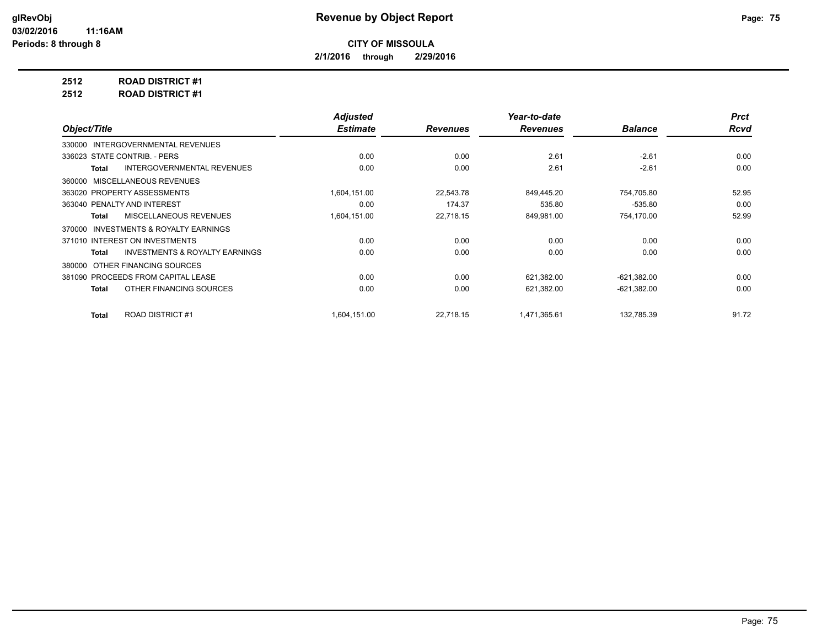**2/1/2016 through 2/29/2016**

**2512 ROAD DISTRICT #1**

**2512 ROAD DISTRICT #1**

|                                                    | <b>Adjusted</b> |                 | Year-to-date    |                | <b>Prct</b> |
|----------------------------------------------------|-----------------|-----------------|-----------------|----------------|-------------|
| Object/Title                                       | <b>Estimate</b> | <b>Revenues</b> | <b>Revenues</b> | <b>Balance</b> | <b>Rcvd</b> |
| 330000 INTERGOVERNMENTAL REVENUES                  |                 |                 |                 |                |             |
| 336023 STATE CONTRIB. - PERS                       | 0.00            | 0.00            | 2.61            | $-2.61$        | 0.00        |
| <b>INTERGOVERNMENTAL REVENUES</b><br>Total         | 0.00            | 0.00            | 2.61            | $-2.61$        | 0.00        |
| MISCELLANEOUS REVENUES<br>360000                   |                 |                 |                 |                |             |
| 363020 PROPERTY ASSESSMENTS                        | 1,604,151.00    | 22,543.78       | 849,445.20      | 754,705.80     | 52.95       |
| 363040 PENALTY AND INTEREST                        | 0.00            | 174.37          | 535.80          | $-535.80$      | 0.00        |
| <b>MISCELLANEOUS REVENUES</b><br>Total             | 1,604,151.00    | 22,718.15       | 849,981.00      | 754,170.00     | 52.99       |
| INVESTMENTS & ROYALTY EARNINGS<br>370000           |                 |                 |                 |                |             |
| 371010 INTEREST ON INVESTMENTS                     | 0.00            | 0.00            | 0.00            | 0.00           | 0.00        |
| <b>INVESTMENTS &amp; ROYALTY EARNINGS</b><br>Total | 0.00            | 0.00            | 0.00            | 0.00           | 0.00        |
| OTHER FINANCING SOURCES<br>380000                  |                 |                 |                 |                |             |
| 381090 PROCEEDS FROM CAPITAL LEASE                 | 0.00            | 0.00            | 621,382.00      | $-621,382.00$  | 0.00        |
| OTHER FINANCING SOURCES<br>Total                   | 0.00            | 0.00            | 621,382.00      | $-621,382.00$  | 0.00        |
| <b>ROAD DISTRICT #1</b><br><b>Total</b>            | 1.604.151.00    | 22.718.15       | 1,471,365.61    | 132,785.39     | 91.72       |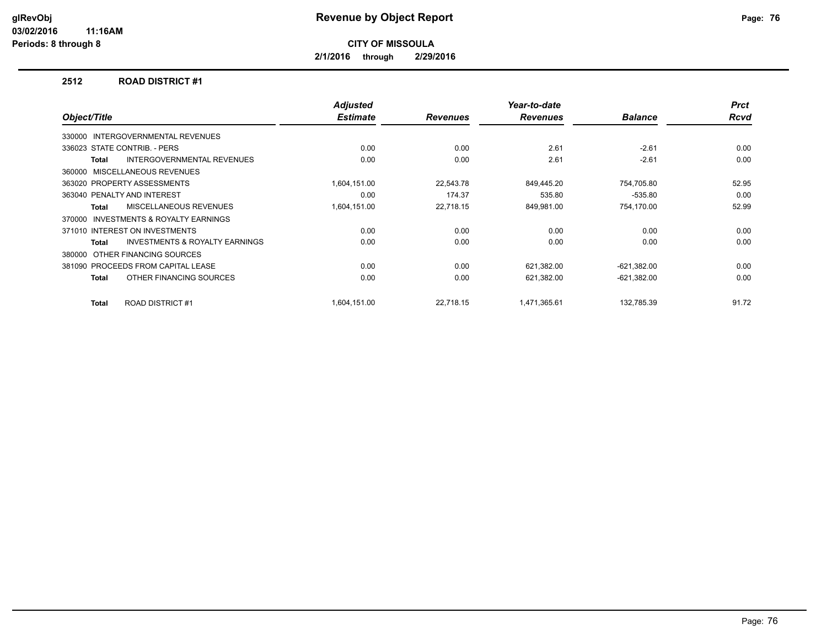**2/1/2016 through 2/29/2016**

#### **2512 ROAD DISTRICT #1**

| Object/Title |                                           | <b>Adjusted</b><br><b>Estimate</b> | <b>Revenues</b> | Year-to-date<br><b>Revenues</b> | <b>Balance</b> | <b>Prct</b><br><b>Rcvd</b> |
|--------------|-------------------------------------------|------------------------------------|-----------------|---------------------------------|----------------|----------------------------|
| 330000       | <b>INTERGOVERNMENTAL REVENUES</b>         |                                    |                 |                                 |                |                            |
|              | 336023 STATE CONTRIB. - PERS              | 0.00                               | 0.00            | 2.61                            | $-2.61$        | 0.00                       |
| Total        | <b>INTERGOVERNMENTAL REVENUES</b>         | 0.00                               | 0.00            | 2.61                            | $-2.61$        | 0.00                       |
|              | 360000 MISCELLANEOUS REVENUES             |                                    |                 |                                 |                |                            |
|              | 363020 PROPERTY ASSESSMENTS               | 1,604,151.00                       | 22,543.78       | 849,445.20                      | 754,705.80     | 52.95                      |
|              | 363040 PENALTY AND INTEREST               | 0.00                               | 174.37          | 535.80                          | $-535.80$      | 0.00                       |
| <b>Total</b> | <b>MISCELLANEOUS REVENUES</b>             | 1,604,151.00                       | 22,718.15       | 849,981.00                      | 754,170.00     | 52.99                      |
| 370000       | <b>INVESTMENTS &amp; ROYALTY EARNINGS</b> |                                    |                 |                                 |                |                            |
|              | 371010 INTEREST ON INVESTMENTS            | 0.00                               | 0.00            | 0.00                            | 0.00           | 0.00                       |
| Total        | INVESTMENTS & ROYALTY EARNINGS            | 0.00                               | 0.00            | 0.00                            | 0.00           | 0.00                       |
| 380000       | OTHER FINANCING SOURCES                   |                                    |                 |                                 |                |                            |
|              | 381090 PROCEEDS FROM CAPITAL LEASE        | 0.00                               | 0.00            | 621,382.00                      | $-621,382.00$  | 0.00                       |
| Total        | OTHER FINANCING SOURCES                   | 0.00                               | 0.00            | 621,382.00                      | $-621,382.00$  | 0.00                       |
| Total        | <b>ROAD DISTRICT #1</b>                   | 1,604,151.00                       | 22,718.15       | 1,471,365.61                    | 132,785.39     | 91.72                      |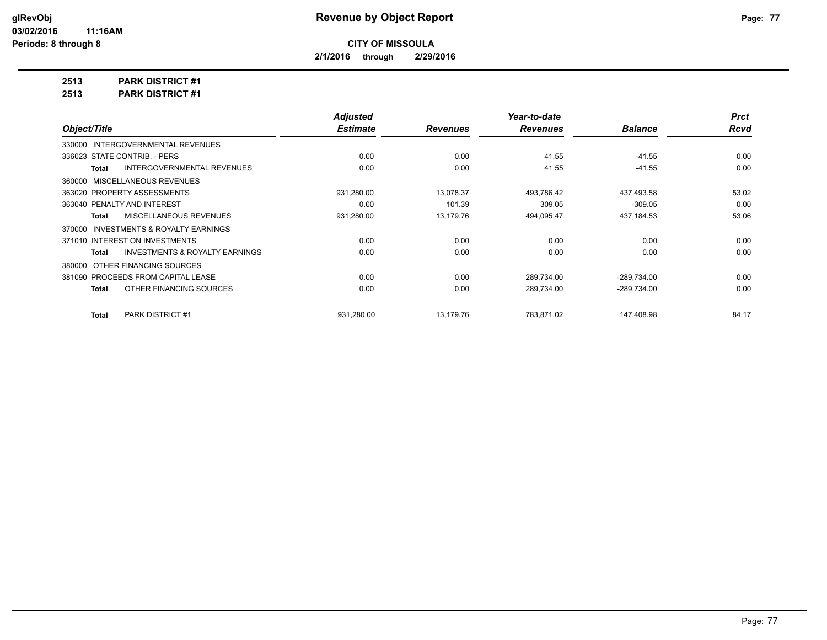**2/1/2016 through 2/29/2016**

**2513 PARK DISTRICT #1**

**2513 PARK DISTRICT #1**

|                                                    | <b>Adjusted</b> |                 | Year-to-date    |                | <b>Prct</b> |
|----------------------------------------------------|-----------------|-----------------|-----------------|----------------|-------------|
| Object/Title                                       | <b>Estimate</b> | <b>Revenues</b> | <b>Revenues</b> | <b>Balance</b> | <b>Rcvd</b> |
| 330000 INTERGOVERNMENTAL REVENUES                  |                 |                 |                 |                |             |
| 336023 STATE CONTRIB. - PERS                       | 0.00            | 0.00            | 41.55           | $-41.55$       | 0.00        |
| <b>INTERGOVERNMENTAL REVENUES</b><br>Total         | 0.00            | 0.00            | 41.55           | $-41.55$       | 0.00        |
| 360000 MISCELLANEOUS REVENUES                      |                 |                 |                 |                |             |
| 363020 PROPERTY ASSESSMENTS                        | 931,280.00      | 13,078.37       | 493,786.42      | 437,493.58     | 53.02       |
| 363040 PENALTY AND INTEREST                        | 0.00            | 101.39          | 309.05          | $-309.05$      | 0.00        |
| MISCELLANEOUS REVENUES<br>Total                    | 931,280.00      | 13,179.76       | 494,095.47      | 437,184.53     | 53.06       |
| 370000 INVESTMENTS & ROYALTY EARNINGS              |                 |                 |                 |                |             |
| 371010 INTEREST ON INVESTMENTS                     | 0.00            | 0.00            | 0.00            | 0.00           | 0.00        |
| <b>INVESTMENTS &amp; ROYALTY EARNINGS</b><br>Total | 0.00            | 0.00            | 0.00            | 0.00           | 0.00        |
| 380000 OTHER FINANCING SOURCES                     |                 |                 |                 |                |             |
| 381090 PROCEEDS FROM CAPITAL LEASE                 | 0.00            | 0.00            | 289,734.00      | $-289,734.00$  | 0.00        |
| OTHER FINANCING SOURCES<br>Total                   | 0.00            | 0.00            | 289,734.00      | -289,734.00    | 0.00        |
| PARK DISTRICT #1<br>Total                          | 931,280.00      | 13,179.76       | 783,871.02      | 147,408.98     | 84.17       |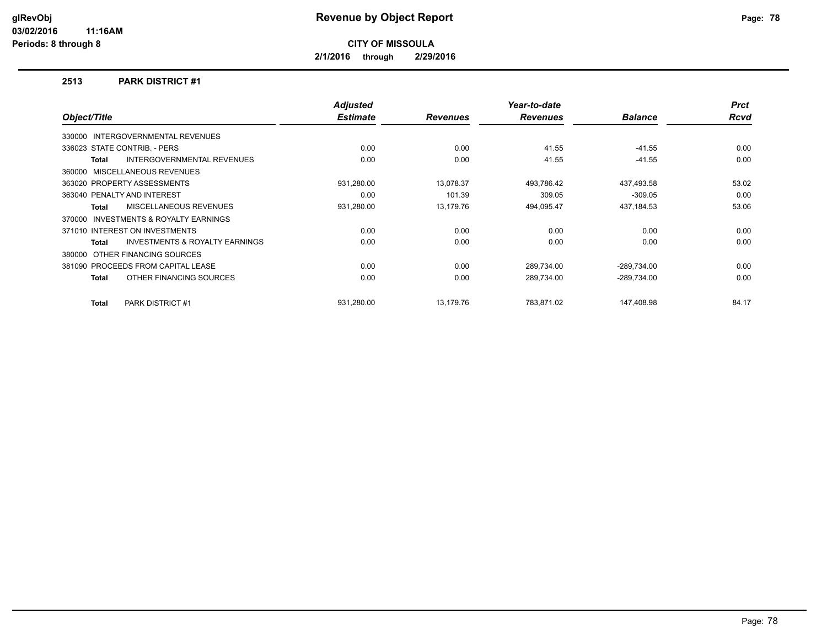**2/1/2016 through 2/29/2016**

### **2513 PARK DISTRICT #1**

|              |                                           | <b>Adjusted</b> |                 | Year-to-date    |                | <b>Prct</b> |
|--------------|-------------------------------------------|-----------------|-----------------|-----------------|----------------|-------------|
| Object/Title |                                           | <b>Estimate</b> | <b>Revenues</b> | <b>Revenues</b> | <b>Balance</b> | <b>Rcvd</b> |
|              | 330000 INTERGOVERNMENTAL REVENUES         |                 |                 |                 |                |             |
|              | 336023 STATE CONTRIB. - PERS              | 0.00            | 0.00            | 41.55           | $-41.55$       | 0.00        |
| Total        | <b>INTERGOVERNMENTAL REVENUES</b>         | 0.00            | 0.00            | 41.55           | $-41.55$       | 0.00        |
|              | 360000 MISCELLANEOUS REVENUES             |                 |                 |                 |                |             |
|              | 363020 PROPERTY ASSESSMENTS               | 931,280.00      | 13,078.37       | 493,786.42      | 437,493.58     | 53.02       |
|              | 363040 PENALTY AND INTEREST               | 0.00            | 101.39          | 309.05          | $-309.05$      | 0.00        |
| Total        | <b>MISCELLANEOUS REVENUES</b>             | 931,280.00      | 13.179.76       | 494,095.47      | 437,184.53     | 53.06       |
| 370000       | <b>INVESTMENTS &amp; ROYALTY EARNINGS</b> |                 |                 |                 |                |             |
|              | 371010 INTEREST ON INVESTMENTS            | 0.00            | 0.00            | 0.00            | 0.00           | 0.00        |
| Total        | <b>INVESTMENTS &amp; ROYALTY EARNINGS</b> | 0.00            | 0.00            | 0.00            | 0.00           | 0.00        |
|              | 380000 OTHER FINANCING SOURCES            |                 |                 |                 |                |             |
|              | 381090 PROCEEDS FROM CAPITAL LEASE        | 0.00            | 0.00            | 289,734.00      | $-289,734.00$  | 0.00        |
| Total        | OTHER FINANCING SOURCES                   | 0.00            | 0.00            | 289,734.00      | $-289,734.00$  | 0.00        |
| Total        | PARK DISTRICT #1                          | 931,280.00      | 13,179.76       | 783,871.02      | 147,408.98     | 84.17       |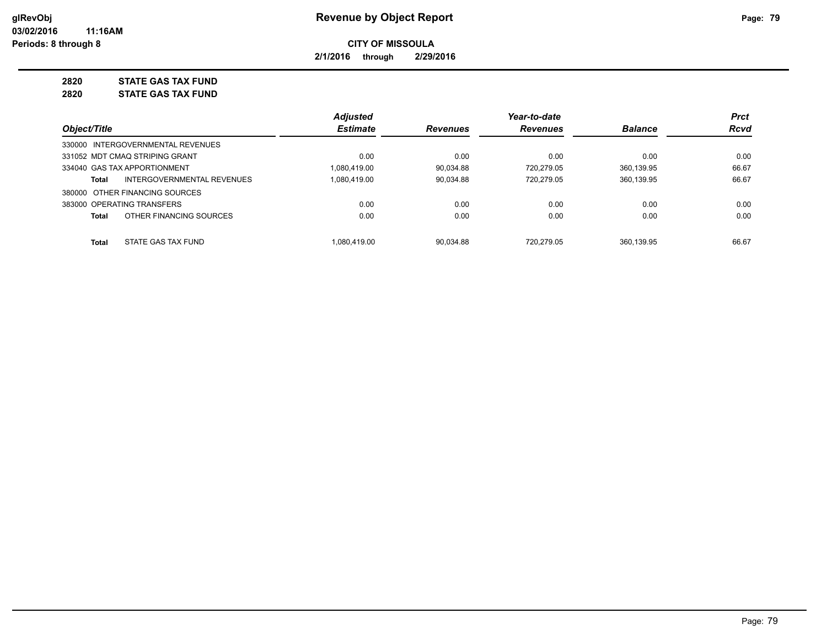**2/1/2016 through 2/29/2016**

**2820 STATE GAS TAX FUND**

**2820 STATE GAS TAX FUND**

|              |                                   | <b>Adjusted</b> |                 | Year-to-date    |                | <b>Prct</b> |
|--------------|-----------------------------------|-----------------|-----------------|-----------------|----------------|-------------|
| Object/Title |                                   | <b>Estimate</b> | <b>Revenues</b> | <b>Revenues</b> | <b>Balance</b> | Rcvd        |
|              | 330000 INTERGOVERNMENTAL REVENUES |                 |                 |                 |                |             |
|              | 331052 MDT CMAQ STRIPING GRANT    | 0.00            | 0.00            | 0.00            | 0.00           | 0.00        |
|              | 334040 GAS TAX APPORTIONMENT      | 1.080.419.00    | 90.034.88       | 720.279.05      | 360.139.95     | 66.67       |
| Total        | INTERGOVERNMENTAL REVENUES        | 1,080,419.00    | 90.034.88       | 720.279.05      | 360.139.95     | 66.67       |
|              | 380000 OTHER FINANCING SOURCES    |                 |                 |                 |                |             |
|              | 383000 OPERATING TRANSFERS        | 0.00            | 0.00            | 0.00            | 0.00           | 0.00        |
| Total        | OTHER FINANCING SOURCES           | 0.00            | 0.00            | 0.00            | 0.00           | 0.00        |
| Total        | STATE GAS TAX FUND                | 1.080.419.00    | 90.034.88       | 720.279.05      | 360.139.95     | 66.67       |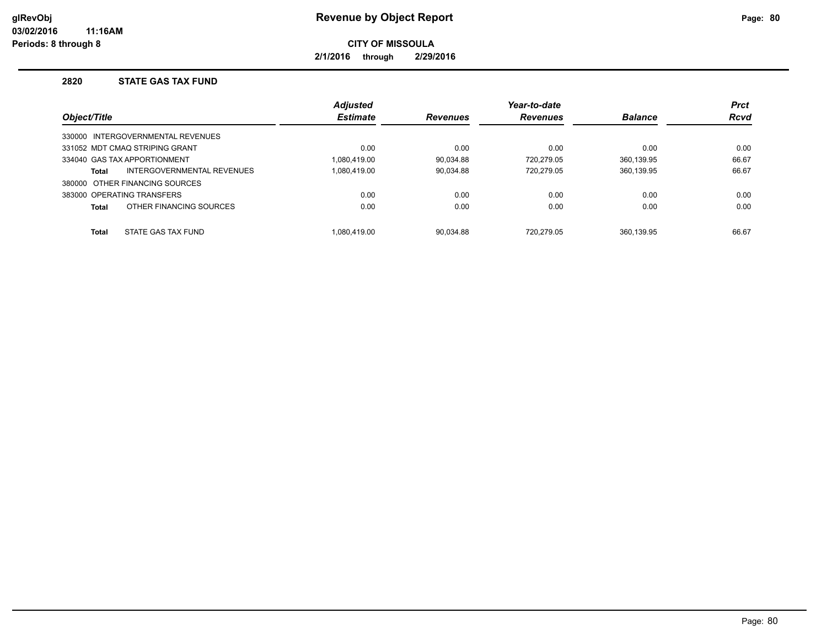**2/1/2016 through 2/29/2016**

## **2820 STATE GAS TAX FUND**

|              |                                   | <b>Adjusted</b> |                 | Year-to-date    |                | <b>Prct</b> |
|--------------|-----------------------------------|-----------------|-----------------|-----------------|----------------|-------------|
| Object/Title |                                   | <b>Estimate</b> | <b>Revenues</b> | <b>Revenues</b> | <b>Balance</b> | <b>Rcvd</b> |
|              | 330000 INTERGOVERNMENTAL REVENUES |                 |                 |                 |                |             |
|              | 331052 MDT CMAQ STRIPING GRANT    | 0.00            | 0.00            | 0.00            | 0.00           | 0.00        |
|              | 334040 GAS TAX APPORTIONMENT      | 1.080.419.00    | 90.034.88       | 720.279.05      | 360.139.95     | 66.67       |
| Total        | INTERGOVERNMENTAL REVENUES        | 1.080.419.00    | 90.034.88       | 720.279.05      | 360,139.95     | 66.67       |
|              | 380000 OTHER FINANCING SOURCES    |                 |                 |                 |                |             |
|              | 383000 OPERATING TRANSFERS        | 0.00            | 0.00            | 0.00            | 0.00           | 0.00        |
| <b>Total</b> | OTHER FINANCING SOURCES           | 0.00            | 0.00            | 0.00            | 0.00           | 0.00        |
| <b>Total</b> | STATE GAS TAX FUND                | 1.080.419.00    | 90.034.88       | 720.279.05      | 360.139.95     | 66.67       |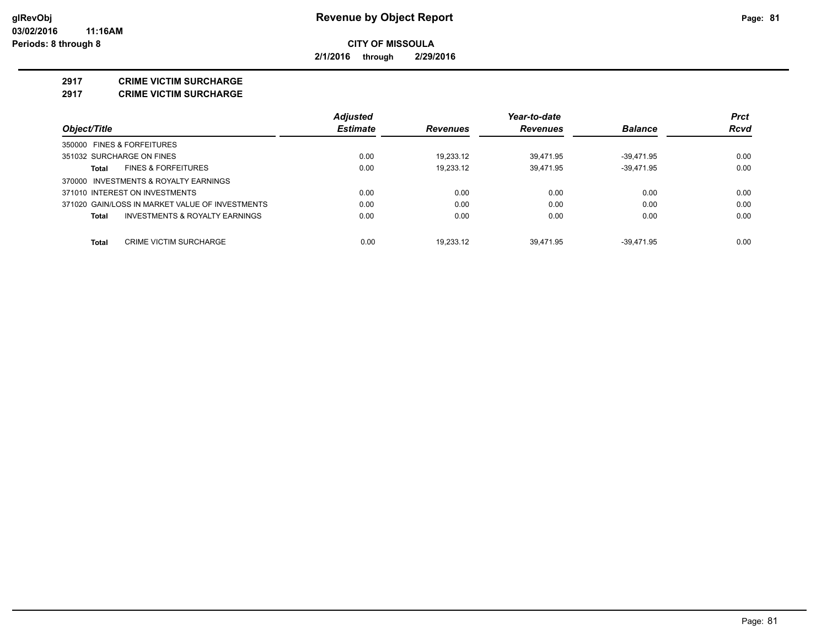**2/1/2016 through 2/29/2016**

#### **2917 CRIME VICTIM SURCHARGE**

**2917 CRIME VICTIM SURCHARGE**

|                                                 | <b>Adjusted</b> |                 | Year-to-date    |                | <b>Prct</b> |
|-------------------------------------------------|-----------------|-----------------|-----------------|----------------|-------------|
| Object/Title                                    | <b>Estimate</b> | <b>Revenues</b> | <b>Revenues</b> | <b>Balance</b> | Rcvd        |
| 350000 FINES & FORFEITURES                      |                 |                 |                 |                |             |
| 351032 SURCHARGE ON FINES                       | 0.00            | 19.233.12       | 39.471.95       | $-39.471.95$   | 0.00        |
| <b>FINES &amp; FORFEITURES</b><br>Total         | 0.00            | 19.233.12       | 39.471.95       | $-39.471.95$   | 0.00        |
| 370000 INVESTMENTS & ROYALTY EARNINGS           |                 |                 |                 |                |             |
| 371010 INTEREST ON INVESTMENTS                  | 0.00            | 0.00            | 0.00            | 0.00           | 0.00        |
| 371020 GAIN/LOSS IN MARKET VALUE OF INVESTMENTS | 0.00            | 0.00            | 0.00            | 0.00           | 0.00        |
| INVESTMENTS & ROYALTY EARNINGS<br>Total         | 0.00            | 0.00            | 0.00            | 0.00           | 0.00        |
| Total<br><b>CRIME VICTIM SURCHARGE</b>          | 0.00            | 19.233.12       | 39.471.95       | $-39.471.95$   | 0.00        |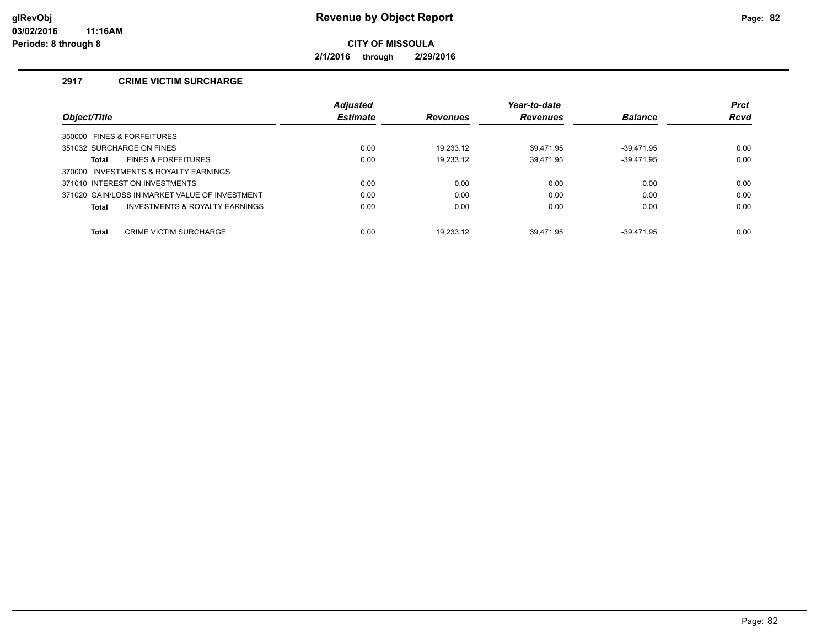**2/1/2016 through 2/29/2016**

## **2917 CRIME VICTIM SURCHARGE**

|                                                | <b>Adjusted</b> |                 | Year-to-date    |                | <b>Prct</b> |
|------------------------------------------------|-----------------|-----------------|-----------------|----------------|-------------|
| Object/Title                                   | <b>Estimate</b> | <b>Revenues</b> | <b>Revenues</b> | <b>Balance</b> | <b>Rcvd</b> |
| 350000 FINES & FORFEITURES                     |                 |                 |                 |                |             |
| 351032 SURCHARGE ON FINES                      | 0.00            | 19.233.12       | 39.471.95       | -39.471.95     | 0.00        |
| <b>FINES &amp; FORFEITURES</b><br><b>Total</b> | 0.00            | 19.233.12       | 39,471.95       | $-39,471.95$   | 0.00        |
| 370000 INVESTMENTS & ROYALTY EARNINGS          |                 |                 |                 |                |             |
| 371010 INTEREST ON INVESTMENTS                 | 0.00            | 0.00            | 0.00            | 0.00           | 0.00        |
| 371020 GAIN/LOSS IN MARKET VALUE OF INVESTMENT | 0.00            | 0.00            | 0.00            | 0.00           | 0.00        |
| INVESTMENTS & ROYALTY EARNINGS<br><b>Total</b> | 0.00            | 0.00            | 0.00            | 0.00           | 0.00        |
|                                                |                 |                 |                 |                |             |
| <b>CRIME VICTIM SURCHARGE</b><br><b>Total</b>  | 0.00            | 19.233.12       | 39.471.95       | -39.471.95     | 0.00        |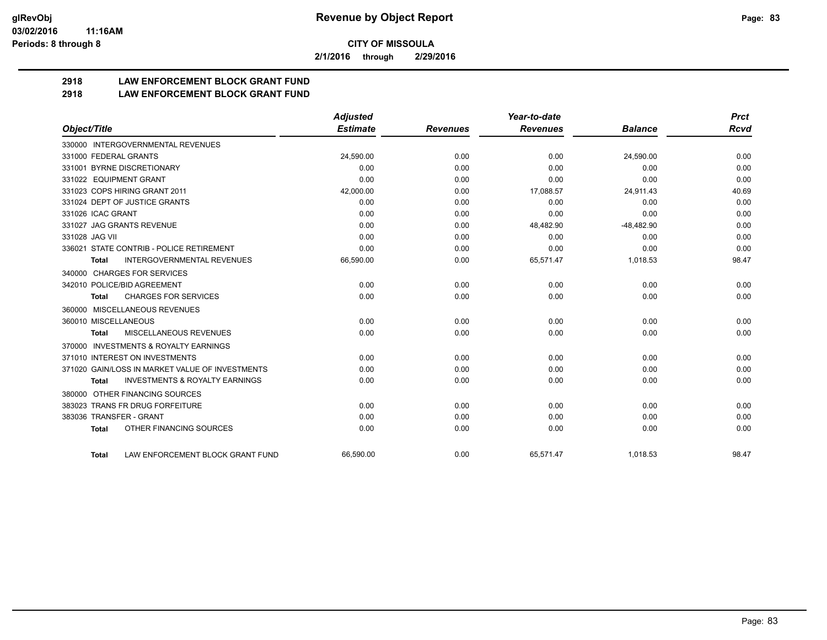**2/1/2016 through 2/29/2016**

# **2918 LAW ENFORCEMENT BLOCK GRANT FUND**

## **2918 LAW ENFORCEMENT BLOCK GRANT FUND**

|                         |                                                 | <b>Adjusted</b> |                 | Year-to-date    |                | <b>Prct</b> |
|-------------------------|-------------------------------------------------|-----------------|-----------------|-----------------|----------------|-------------|
| Object/Title            |                                                 | <b>Estimate</b> | <b>Revenues</b> | <b>Revenues</b> | <b>Balance</b> | <b>Rcvd</b> |
|                         | 330000 INTERGOVERNMENTAL REVENUES               |                 |                 |                 |                |             |
| 331000 FEDERAL GRANTS   |                                                 | 24,590.00       | 0.00            | 0.00            | 24,590.00      | 0.00        |
|                         | 331001 BYRNE DISCRETIONARY                      | 0.00            | 0.00            | 0.00            | 0.00           | 0.00        |
| 331022 EQUIPMENT GRANT  |                                                 | 0.00            | 0.00            | 0.00            | 0.00           | 0.00        |
|                         | 331023 COPS HIRING GRANT 2011                   | 42,000.00       | 0.00            | 17,088.57       | 24,911.43      | 40.69       |
|                         | 331024 DEPT OF JUSTICE GRANTS                   | 0.00            | 0.00            | 0.00            | 0.00           | 0.00        |
| 331026 ICAC GRANT       |                                                 | 0.00            | 0.00            | 0.00            | 0.00           | 0.00        |
|                         | 331027 JAG GRANTS REVENUE                       | 0.00            | 0.00            | 48,482.90       | $-48,482.90$   | 0.00        |
| 331028 JAG VII          |                                                 | 0.00            | 0.00            | 0.00            | 0.00           | 0.00        |
|                         | 336021 STATE CONTRIB - POLICE RETIREMENT        | 0.00            | 0.00            | 0.00            | 0.00           | 0.00        |
| Total                   | <b>INTERGOVERNMENTAL REVENUES</b>               | 66,590.00       | 0.00            | 65,571.47       | 1,018.53       | 98.47       |
|                         | 340000 CHARGES FOR SERVICES                     |                 |                 |                 |                |             |
|                         | 342010 POLICE/BID AGREEMENT                     | 0.00            | 0.00            | 0.00            | 0.00           | 0.00        |
| <b>Total</b>            | <b>CHARGES FOR SERVICES</b>                     | 0.00            | 0.00            | 0.00            | 0.00           | 0.00        |
| 360000                  | MISCELLANEOUS REVENUES                          |                 |                 |                 |                |             |
| 360010 MISCELLANEOUS    |                                                 | 0.00            | 0.00            | 0.00            | 0.00           | 0.00        |
| <b>Total</b>            | <b>MISCELLANEOUS REVENUES</b>                   | 0.00            | 0.00            | 0.00            | 0.00           | 0.00        |
| 370000                  | <b>INVESTMENTS &amp; ROYALTY EARNINGS</b>       |                 |                 |                 |                |             |
|                         | 371010 INTEREST ON INVESTMENTS                  | 0.00            | 0.00            | 0.00            | 0.00           | 0.00        |
|                         | 371020 GAIN/LOSS IN MARKET VALUE OF INVESTMENTS | 0.00            | 0.00            | 0.00            | 0.00           | 0.00        |
| <b>Total</b>            | <b>INVESTMENTS &amp; ROYALTY EARNINGS</b>       | 0.00            | 0.00            | 0.00            | 0.00           | 0.00        |
| 380000                  | OTHER FINANCING SOURCES                         |                 |                 |                 |                |             |
|                         | 383023 TRANS FR DRUG FORFEITURE                 | 0.00            | 0.00            | 0.00            | 0.00           | 0.00        |
| 383036 TRANSFER - GRANT |                                                 | 0.00            | 0.00            | 0.00            | 0.00           | 0.00        |
| <b>Total</b>            | OTHER FINANCING SOURCES                         | 0.00            | 0.00            | 0.00            | 0.00           | 0.00        |
| <b>Total</b>            | LAW ENFORCEMENT BLOCK GRANT FUND                | 66.590.00       | 0.00            | 65,571.47       | 1.018.53       | 98.47       |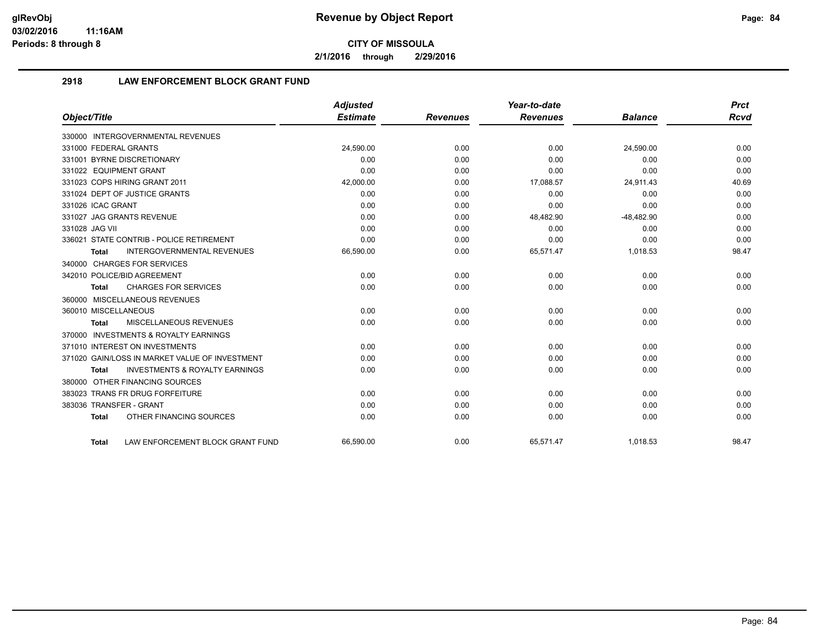**2/1/2016 through 2/29/2016**

## **2918 LAW ENFORCEMENT BLOCK GRANT FUND**

|                                                           | <b>Adjusted</b> |                 | Year-to-date    |                | <b>Prct</b> |
|-----------------------------------------------------------|-----------------|-----------------|-----------------|----------------|-------------|
| Object/Title                                              | <b>Estimate</b> | <b>Revenues</b> | <b>Revenues</b> | <b>Balance</b> | <b>Rcvd</b> |
| 330000 INTERGOVERNMENTAL REVENUES                         |                 |                 |                 |                |             |
| 331000 FEDERAL GRANTS                                     | 24,590.00       | 0.00            | 0.00            | 24,590.00      | 0.00        |
| 331001 BYRNE DISCRETIONARY                                | 0.00            | 0.00            | 0.00            | 0.00           | 0.00        |
| 331022 EQUIPMENT GRANT                                    | 0.00            | 0.00            | 0.00            | 0.00           | 0.00        |
| 331023 COPS HIRING GRANT 2011                             | 42,000.00       | 0.00            | 17,088.57       | 24,911.43      | 40.69       |
| 331024 DEPT OF JUSTICE GRANTS                             | 0.00            | 0.00            | 0.00            | 0.00           | 0.00        |
| 331026 ICAC GRANT                                         | 0.00            | 0.00            | 0.00            | 0.00           | 0.00        |
| 331027 JAG GRANTS REVENUE                                 | 0.00            | 0.00            | 48,482.90       | $-48,482.90$   | 0.00        |
| 331028 JAG VII                                            | 0.00            | 0.00            | 0.00            | 0.00           | 0.00        |
| 336021 STATE CONTRIB - POLICE RETIREMENT                  | 0.00            | 0.00            | 0.00            | 0.00           | 0.00        |
| <b>INTERGOVERNMENTAL REVENUES</b><br><b>Total</b>         | 66,590.00       | 0.00            | 65,571.47       | 1,018.53       | 98.47       |
| 340000 CHARGES FOR SERVICES                               |                 |                 |                 |                |             |
| 342010 POLICE/BID AGREEMENT                               | 0.00            | 0.00            | 0.00            | 0.00           | 0.00        |
| <b>CHARGES FOR SERVICES</b><br><b>Total</b>               | 0.00            | 0.00            | 0.00            | 0.00           | 0.00        |
| 360000 MISCELLANEOUS REVENUES                             |                 |                 |                 |                |             |
| 360010 MISCELLANEOUS                                      | 0.00            | 0.00            | 0.00            | 0.00           | 0.00        |
| MISCELLANEOUS REVENUES<br><b>Total</b>                    | 0.00            | 0.00            | 0.00            | 0.00           | 0.00        |
| 370000 INVESTMENTS & ROYALTY EARNINGS                     |                 |                 |                 |                |             |
| 371010 INTEREST ON INVESTMENTS                            | 0.00            | 0.00            | 0.00            | 0.00           | 0.00        |
| 371020 GAIN/LOSS IN MARKET VALUE OF INVESTMENT            | 0.00            | 0.00            | 0.00            | 0.00           | 0.00        |
| <b>INVESTMENTS &amp; ROYALTY EARNINGS</b><br><b>Total</b> | 0.00            | 0.00            | 0.00            | 0.00           | 0.00        |
| 380000 OTHER FINANCING SOURCES                            |                 |                 |                 |                |             |
| 383023 TRANS FR DRUG FORFEITURE                           | 0.00            | 0.00            | 0.00            | 0.00           | 0.00        |
| 383036 TRANSFER - GRANT                                   | 0.00            | 0.00            | 0.00            | 0.00           | 0.00        |
| OTHER FINANCING SOURCES<br><b>Total</b>                   | 0.00            | 0.00            | 0.00            | 0.00           | 0.00        |
| LAW ENFORCEMENT BLOCK GRANT FUND<br>Total                 | 66.590.00       | 0.00            | 65.571.47       | 1.018.53       | 98.47       |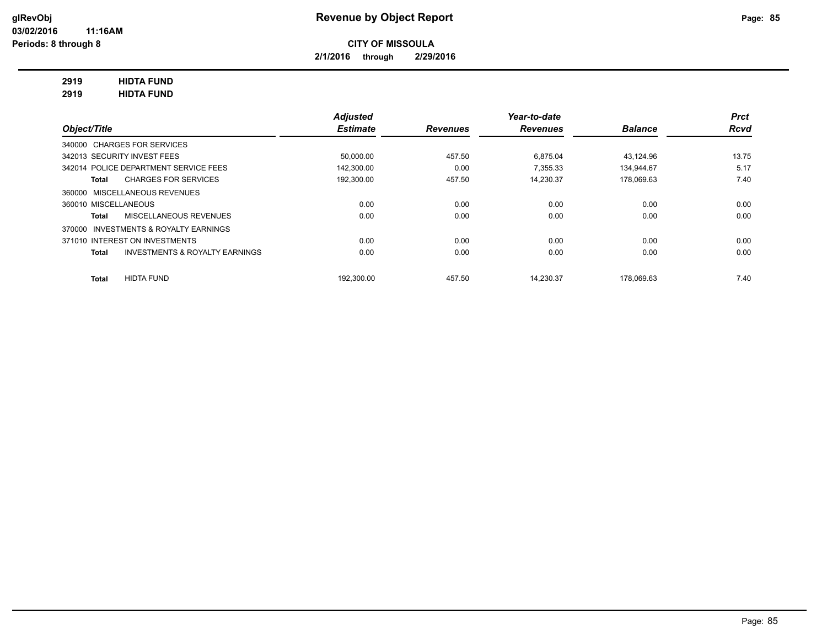**2/1/2016 through 2/29/2016**

## **2919 HIDTA FUND**

**2919 HIDTA FUND**

|                                                           | <b>Adjusted</b> |                 | Year-to-date    |                | <b>Prct</b> |
|-----------------------------------------------------------|-----------------|-----------------|-----------------|----------------|-------------|
| Object/Title                                              | <b>Estimate</b> | <b>Revenues</b> | <b>Revenues</b> | <b>Balance</b> | Rcvd        |
| 340000 CHARGES FOR SERVICES                               |                 |                 |                 |                |             |
| 342013 SECURITY INVEST FEES                               | 50,000.00       | 457.50          | 6.875.04        | 43,124.96      | 13.75       |
| 342014 POLICE DEPARTMENT SERVICE FEES                     | 142.300.00      | 0.00            | 7.355.33        | 134.944.67     | 5.17        |
| <b>CHARGES FOR SERVICES</b><br>Total                      | 192,300.00      | 457.50          | 14,230.37       | 178.069.63     | 7.40        |
| 360000 MISCELLANEOUS REVENUES                             |                 |                 |                 |                |             |
| 360010 MISCELLANEOUS                                      | 0.00            | 0.00            | 0.00            | 0.00           | 0.00        |
| <b>MISCELLANEOUS REVENUES</b><br><b>Total</b>             | 0.00            | 0.00            | 0.00            | 0.00           | 0.00        |
| 370000 INVESTMENTS & ROYALTY EARNINGS                     |                 |                 |                 |                |             |
| 371010 INTEREST ON INVESTMENTS                            | 0.00            | 0.00            | 0.00            | 0.00           | 0.00        |
| <b>INVESTMENTS &amp; ROYALTY EARNINGS</b><br><b>Total</b> | 0.00            | 0.00            | 0.00            | 0.00           | 0.00        |
| <b>HIDTA FUND</b><br><b>Total</b>                         | 192.300.00      | 457.50          | 14.230.37       | 178.069.63     | 7.40        |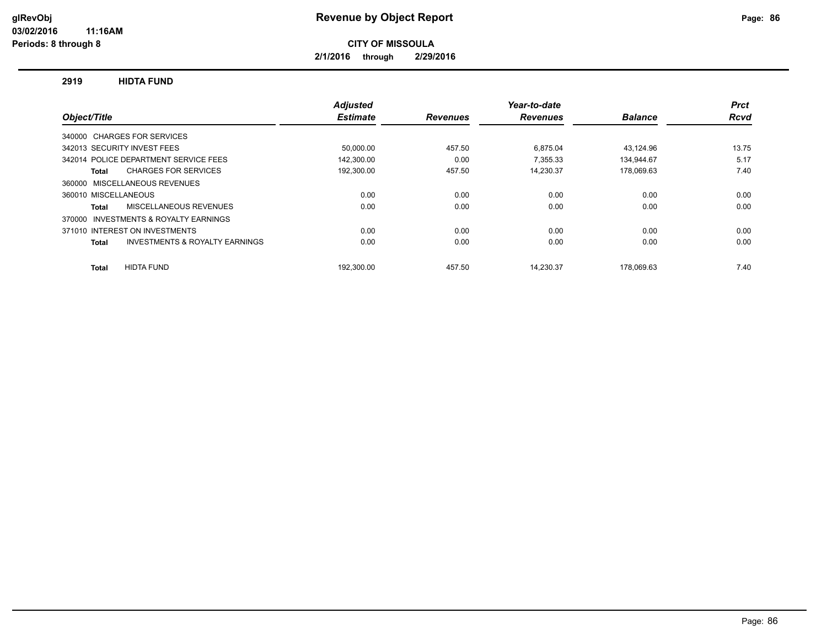**2/1/2016 through 2/29/2016**

#### **2919 HIDTA FUND**

|                                                           | <b>Adjusted</b> |                 | Year-to-date    |                | <b>Prct</b> |
|-----------------------------------------------------------|-----------------|-----------------|-----------------|----------------|-------------|
| Object/Title                                              | <b>Estimate</b> | <b>Revenues</b> | <b>Revenues</b> | <b>Balance</b> | Rcvd        |
| 340000 CHARGES FOR SERVICES                               |                 |                 |                 |                |             |
| 342013 SECURITY INVEST FEES                               | 50,000.00       | 457.50          | 6,875.04        | 43.124.96      | 13.75       |
| 342014 POLICE DEPARTMENT SERVICE FEES                     | 142,300.00      | 0.00            | 7.355.33        | 134,944.67     | 5.17        |
| <b>CHARGES FOR SERVICES</b><br>Total                      | 192,300.00      | 457.50          | 14,230.37       | 178,069.63     | 7.40        |
| MISCELLANEOUS REVENUES<br>360000                          |                 |                 |                 |                |             |
| 360010 MISCELLANEOUS                                      | 0.00            | 0.00            | 0.00            | 0.00           | 0.00        |
| MISCELLANEOUS REVENUES<br><b>Total</b>                    | 0.00            | 0.00            | 0.00            | 0.00           | 0.00        |
| INVESTMENTS & ROYALTY EARNINGS<br>370000                  |                 |                 |                 |                |             |
| 371010 INTEREST ON INVESTMENTS                            | 0.00            | 0.00            | 0.00            | 0.00           | 0.00        |
| <b>INVESTMENTS &amp; ROYALTY EARNINGS</b><br><b>Total</b> | 0.00            | 0.00            | 0.00            | 0.00           | 0.00        |
| <b>HIDTA FUND</b><br><b>Total</b>                         | 192.300.00      | 457.50          | 14.230.37       | 178.069.63     | 7.40        |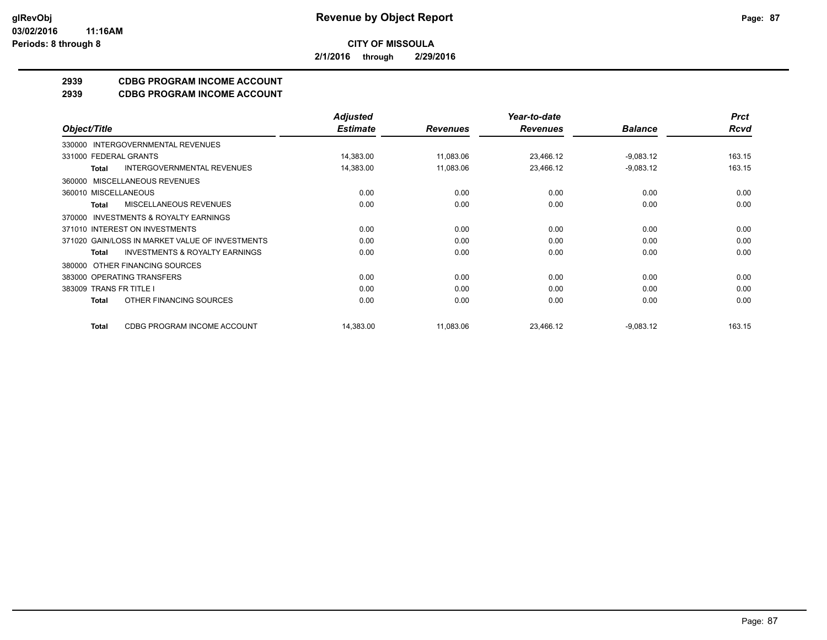**2/1/2016 through 2/29/2016**

## **2939 CDBG PROGRAM INCOME ACCOUNT**

**2939 CDBG PROGRAM INCOME ACCOUNT**

|                                                           | <b>Adjusted</b> |                 | Year-to-date    |                | <b>Prct</b> |
|-----------------------------------------------------------|-----------------|-----------------|-----------------|----------------|-------------|
| Object/Title                                              | <b>Estimate</b> | <b>Revenues</b> | <b>Revenues</b> | <b>Balance</b> | <b>Rcvd</b> |
| INTERGOVERNMENTAL REVENUES<br>330000                      |                 |                 |                 |                |             |
| 331000 FEDERAL GRANTS                                     | 14,383.00       | 11,083.06       | 23,466.12       | $-9,083.12$    | 163.15      |
| <b>INTERGOVERNMENTAL REVENUES</b><br><b>Total</b>         | 14,383.00       | 11,083.06       | 23,466.12       | $-9,083.12$    | 163.15      |
| MISCELLANEOUS REVENUES<br>360000                          |                 |                 |                 |                |             |
| 360010 MISCELLANEOUS                                      | 0.00            | 0.00            | 0.00            | 0.00           | 0.00        |
| <b>MISCELLANEOUS REVENUES</b><br>Total                    | 0.00            | 0.00            | 0.00            | 0.00           | 0.00        |
| <b>INVESTMENTS &amp; ROYALTY EARNINGS</b><br>370000       |                 |                 |                 |                |             |
| 371010 INTEREST ON INVESTMENTS                            | 0.00            | 0.00            | 0.00            | 0.00           | 0.00        |
| 371020 GAIN/LOSS IN MARKET VALUE OF INVESTMENTS           | 0.00            | 0.00            | 0.00            | 0.00           | 0.00        |
| <b>INVESTMENTS &amp; ROYALTY EARNINGS</b><br><b>Total</b> | 0.00            | 0.00            | 0.00            | 0.00           | 0.00        |
| OTHER FINANCING SOURCES<br>380000                         |                 |                 |                 |                |             |
| 383000 OPERATING TRANSFERS                                | 0.00            | 0.00            | 0.00            | 0.00           | 0.00        |
| 383009 TRANS FR TITLE I                                   | 0.00            | 0.00            | 0.00            | 0.00           | 0.00        |
| OTHER FINANCING SOURCES<br><b>Total</b>                   | 0.00            | 0.00            | 0.00            | 0.00           | 0.00        |
| CDBG PROGRAM INCOME ACCOUNT<br><b>Total</b>               | 14,383.00       | 11,083.06       | 23,466.12       | $-9,083.12$    | 163.15      |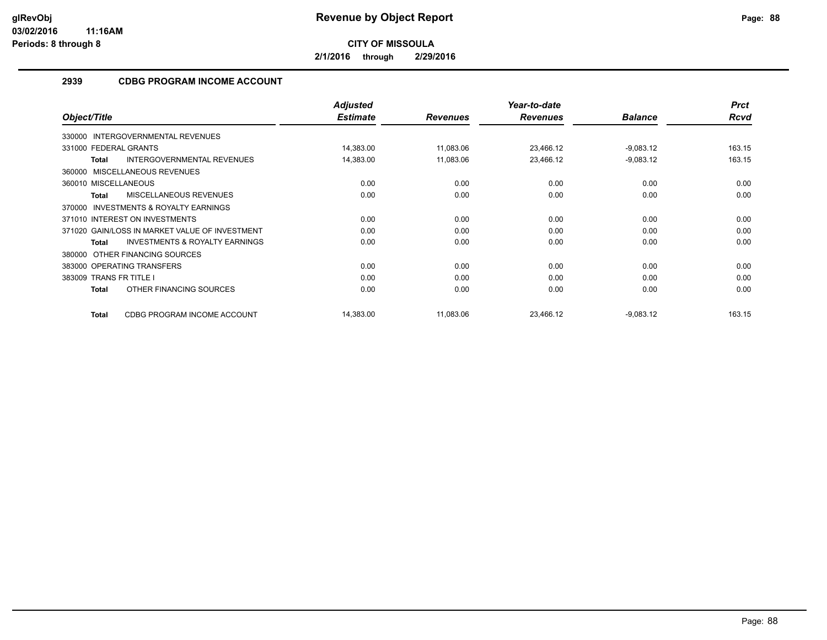**2/1/2016 through 2/29/2016**

## **2939 CDBG PROGRAM INCOME ACCOUNT**

|                                                           | <b>Adjusted</b> |                 | Year-to-date    |                | <b>Prct</b> |
|-----------------------------------------------------------|-----------------|-----------------|-----------------|----------------|-------------|
| Object/Title                                              | <b>Estimate</b> | <b>Revenues</b> | <b>Revenues</b> | <b>Balance</b> | Rcvd        |
| 330000 INTERGOVERNMENTAL REVENUES                         |                 |                 |                 |                |             |
| 331000 FEDERAL GRANTS                                     | 14,383.00       | 11,083.06       | 23,466.12       | $-9,083.12$    | 163.15      |
| <b>INTERGOVERNMENTAL REVENUES</b><br><b>Total</b>         | 14,383.00       | 11,083.06       | 23,466.12       | $-9,083.12$    | 163.15      |
| MISCELLANEOUS REVENUES<br>360000                          |                 |                 |                 |                |             |
| 360010 MISCELLANEOUS                                      | 0.00            | 0.00            | 0.00            | 0.00           | 0.00        |
| MISCELLANEOUS REVENUES<br><b>Total</b>                    | 0.00            | 0.00            | 0.00            | 0.00           | 0.00        |
| INVESTMENTS & ROYALTY EARNINGS<br>370000                  |                 |                 |                 |                |             |
| 371010 INTEREST ON INVESTMENTS                            | 0.00            | 0.00            | 0.00            | 0.00           | 0.00        |
| 371020 GAIN/LOSS IN MARKET VALUE OF INVESTMENT            | 0.00            | 0.00            | 0.00            | 0.00           | 0.00        |
| <b>INVESTMENTS &amp; ROYALTY EARNINGS</b><br><b>Total</b> | 0.00            | 0.00            | 0.00            | 0.00           | 0.00        |
| OTHER FINANCING SOURCES<br>380000                         |                 |                 |                 |                |             |
| 383000 OPERATING TRANSFERS                                | 0.00            | 0.00            | 0.00            | 0.00           | 0.00        |
| 383009 TRANS FR TITLE I                                   | 0.00            | 0.00            | 0.00            | 0.00           | 0.00        |
| OTHER FINANCING SOURCES<br>Total                          | 0.00            | 0.00            | 0.00            | 0.00           | 0.00        |
| CDBG PROGRAM INCOME ACCOUNT<br><b>Total</b>               | 14,383.00       | 11,083.06       | 23.466.12       | $-9,083.12$    | 163.15      |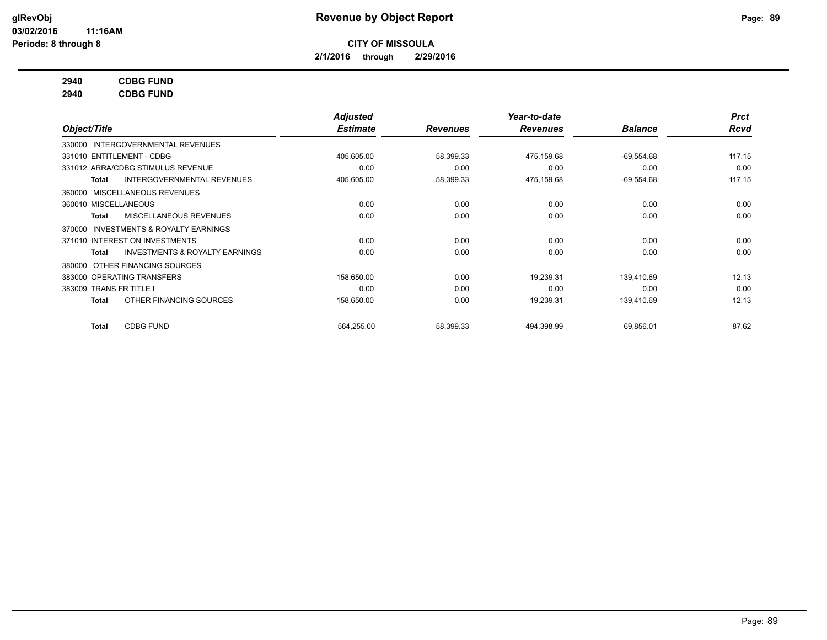**2/1/2016 through 2/29/2016**

## **2940 CDBG FUND**

**2940 CDBG FUND**

|                                                     | Adjusted        |                 | Year-to-date    |                | <b>Prct</b> |
|-----------------------------------------------------|-----------------|-----------------|-----------------|----------------|-------------|
| Object/Title                                        | <b>Estimate</b> | <b>Revenues</b> | <b>Revenues</b> | <b>Balance</b> | <b>Rcvd</b> |
| 330000 INTERGOVERNMENTAL REVENUES                   |                 |                 |                 |                |             |
| 331010 ENTITLEMENT - CDBG                           | 405,605.00      | 58,399.33       | 475,159.68      | $-69,554.68$   | 117.15      |
| 331012 ARRA/CDBG STIMULUS REVENUE                   | 0.00            | 0.00            | 0.00            | 0.00           | 0.00        |
| <b>INTERGOVERNMENTAL REVENUES</b><br>Total          | 405,605.00      | 58,399.33       | 475,159.68      | $-69,554.68$   | 117.15      |
| MISCELLANEOUS REVENUES<br>360000                    |                 |                 |                 |                |             |
| 360010 MISCELLANEOUS                                | 0.00            | 0.00            | 0.00            | 0.00           | 0.00        |
| MISCELLANEOUS REVENUES<br>Total                     | 0.00            | 0.00            | 0.00            | 0.00           | 0.00        |
| <b>INVESTMENTS &amp; ROYALTY EARNINGS</b><br>370000 |                 |                 |                 |                |             |
| 371010 INTEREST ON INVESTMENTS                      | 0.00            | 0.00            | 0.00            | 0.00           | 0.00        |
| <b>INVESTMENTS &amp; ROYALTY EARNINGS</b><br>Total  | 0.00            | 0.00            | 0.00            | 0.00           | 0.00        |
| OTHER FINANCING SOURCES<br>380000                   |                 |                 |                 |                |             |
| 383000 OPERATING TRANSFERS                          | 158,650.00      | 0.00            | 19,239.31       | 139.410.69     | 12.13       |
| 383009 TRANS FR TITLE I                             | 0.00            | 0.00            | 0.00            | 0.00           | 0.00        |
| OTHER FINANCING SOURCES<br>Total                    | 158,650.00      | 0.00            | 19,239.31       | 139,410.69     | 12.13       |
| <b>CDBG FUND</b><br>Total                           | 564,255.00      | 58,399.33       | 494,398.99      | 69,856.01      | 87.62       |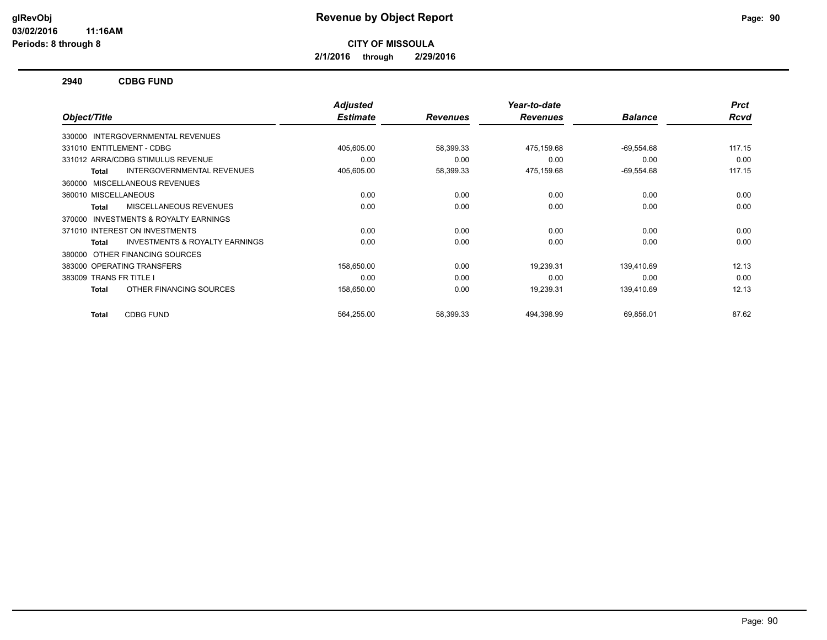**2/1/2016 through 2/29/2016**

#### **2940 CDBG FUND**

|                                                           | <b>Adjusted</b> |                 | Year-to-date    |                | <b>Prct</b> |
|-----------------------------------------------------------|-----------------|-----------------|-----------------|----------------|-------------|
| Object/Title                                              | <b>Estimate</b> | <b>Revenues</b> | <b>Revenues</b> | <b>Balance</b> | <b>Rcvd</b> |
| 330000 INTERGOVERNMENTAL REVENUES                         |                 |                 |                 |                |             |
| 331010 ENTITLEMENT - CDBG                                 | 405,605.00      | 58,399.33       | 475,159.68      | $-69,554.68$   | 117.15      |
| 331012 ARRA/CDBG STIMULUS REVENUE                         | 0.00            | 0.00            | 0.00            | 0.00           | 0.00        |
| <b>INTERGOVERNMENTAL REVENUES</b><br><b>Total</b>         | 405,605.00      | 58,399.33       | 475,159.68      | $-69,554.68$   | 117.15      |
| MISCELLANEOUS REVENUES<br>360000                          |                 |                 |                 |                |             |
| 360010 MISCELLANEOUS                                      | 0.00            | 0.00            | 0.00            | 0.00           | 0.00        |
| MISCELLANEOUS REVENUES<br><b>Total</b>                    | 0.00            | 0.00            | 0.00            | 0.00           | 0.00        |
| INVESTMENTS & ROYALTY EARNINGS<br>370000                  |                 |                 |                 |                |             |
| 371010 INTEREST ON INVESTMENTS                            | 0.00            | 0.00            | 0.00            | 0.00           | 0.00        |
| <b>INVESTMENTS &amp; ROYALTY EARNINGS</b><br><b>Total</b> | 0.00            | 0.00            | 0.00            | 0.00           | 0.00        |
| OTHER FINANCING SOURCES<br>380000                         |                 |                 |                 |                |             |
| 383000 OPERATING TRANSFERS                                | 158,650.00      | 0.00            | 19,239.31       | 139.410.69     | 12.13       |
| 383009 TRANS FR TITLE I                                   | 0.00            | 0.00            | 0.00            | 0.00           | 0.00        |
| OTHER FINANCING SOURCES<br><b>Total</b>                   | 158,650.00      | 0.00            | 19,239.31       | 139,410.69     | 12.13       |
|                                                           |                 |                 |                 |                |             |
| <b>CDBG FUND</b><br><b>Total</b>                          | 564,255.00      | 58,399.33       | 494,398.99      | 69,856.01      | 87.62       |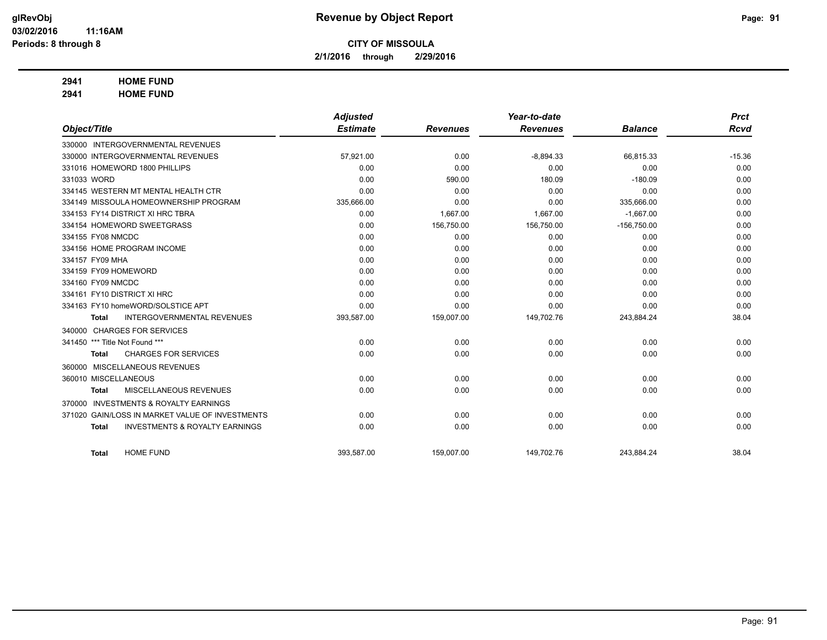**2/1/2016 through 2/29/2016**

## **2941 HOME FUND**

**2941 HOME FUND**

|                                |                                                 | <b>Adjusted</b> |                 | Year-to-date    |                | <b>Prct</b> |
|--------------------------------|-------------------------------------------------|-----------------|-----------------|-----------------|----------------|-------------|
| Object/Title                   |                                                 | <b>Estimate</b> | <b>Revenues</b> | <b>Revenues</b> | <b>Balance</b> | <b>Rcvd</b> |
|                                | 330000 INTERGOVERNMENTAL REVENUES               |                 |                 |                 |                |             |
|                                | 330000 INTERGOVERNMENTAL REVENUES               | 57,921.00       | 0.00            | $-8,894.33$     | 66,815.33      | $-15.36$    |
|                                | 331016 HOMEWORD 1800 PHILLIPS                   | 0.00            | 0.00            | 0.00            | 0.00           | 0.00        |
| 331033 WORD                    |                                                 | 0.00            | 590.00          | 180.09          | $-180.09$      | 0.00        |
|                                | 334145 WESTERN MT MENTAL HEALTH CTR             | 0.00            | 0.00            | 0.00            | 0.00           | 0.00        |
|                                | 334149 MISSOULA HOMEOWNERSHIP PROGRAM           | 335,666.00      | 0.00            | 0.00            | 335,666.00     | 0.00        |
|                                | 334153 FY14 DISTRICT XI HRC TBRA                | 0.00            | 1,667.00        | 1,667.00        | $-1,667.00$    | 0.00        |
|                                | 334154 HOMEWORD SWEETGRASS                      | 0.00            | 156,750.00      | 156,750.00      | $-156,750.00$  | 0.00        |
| 334155 FY08 NMCDC              |                                                 | 0.00            | 0.00            | 0.00            | 0.00           | 0.00        |
|                                | 334156 HOME PROGRAM INCOME                      | 0.00            | 0.00            | 0.00            | 0.00           | 0.00        |
| 334157 FY09 MHA                |                                                 | 0.00            | 0.00            | 0.00            | 0.00           | 0.00        |
| 334159 FY09 HOMEWORD           |                                                 | 0.00            | 0.00            | 0.00            | 0.00           | 0.00        |
| 334160 FY09 NMCDC              |                                                 | 0.00            | 0.00            | 0.00            | 0.00           | 0.00        |
| 334161 FY10 DISTRICT XI HRC    |                                                 | 0.00            | 0.00            | 0.00            | 0.00           | 0.00        |
|                                | 334163 FY10 homeWORD/SOLSTICE APT               | 0.00            | 0.00            | 0.00            | 0.00           | 0.00        |
| <b>Total</b>                   | <b>INTERGOVERNMENTAL REVENUES</b>               | 393,587.00      | 159,007.00      | 149,702.76      | 243,884.24     | 38.04       |
|                                | 340000 CHARGES FOR SERVICES                     |                 |                 |                 |                |             |
| 341450 *** Title Not Found *** |                                                 | 0.00            | 0.00            | 0.00            | 0.00           | 0.00        |
| <b>Total</b>                   | <b>CHARGES FOR SERVICES</b>                     | 0.00            | 0.00            | 0.00            | 0.00           | 0.00        |
|                                | 360000 MISCELLANEOUS REVENUES                   |                 |                 |                 |                |             |
| 360010 MISCELLANEOUS           |                                                 | 0.00            | 0.00            | 0.00            | 0.00           | 0.00        |
| Total                          | MISCELLANEOUS REVENUES                          | 0.00            | 0.00            | 0.00            | 0.00           | 0.00        |
| 370000                         | <b>INVESTMENTS &amp; ROYALTY EARNINGS</b>       |                 |                 |                 |                |             |
|                                | 371020 GAIN/LOSS IN MARKET VALUE OF INVESTMENTS | 0.00            | 0.00            | 0.00            | 0.00           | 0.00        |
| <b>Total</b>                   | <b>INVESTMENTS &amp; ROYALTY EARNINGS</b>       | 0.00            | 0.00            | 0.00            | 0.00           | 0.00        |
|                                |                                                 |                 |                 |                 |                |             |
| <b>Total</b>                   | <b>HOME FUND</b>                                | 393,587.00      | 159,007.00      | 149,702.76      | 243,884.24     | 38.04       |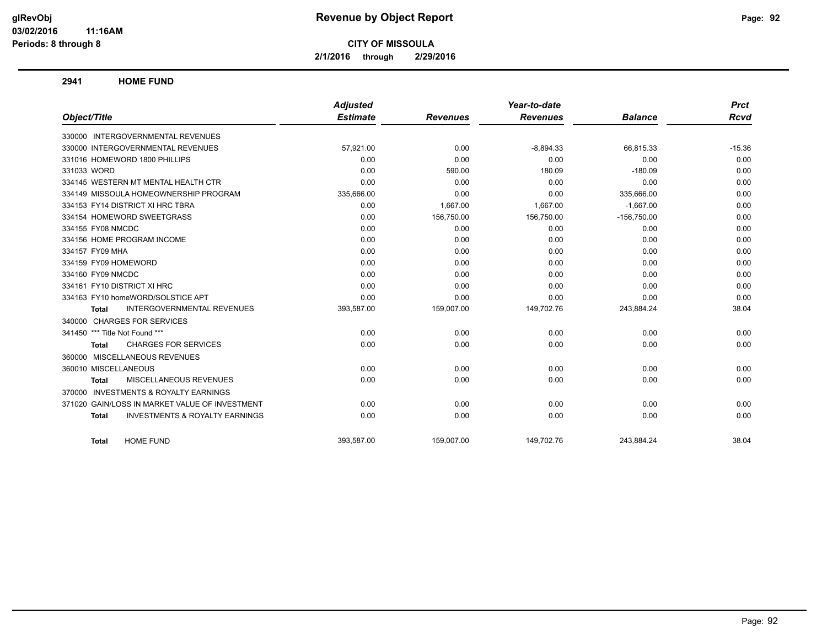**2/1/2016 through 2/29/2016**

**2941 HOME FUND**

|                                                           | <b>Adjusted</b> |                 | Year-to-date    |                | <b>Prct</b> |
|-----------------------------------------------------------|-----------------|-----------------|-----------------|----------------|-------------|
| Object/Title                                              | <b>Estimate</b> | <b>Revenues</b> | <b>Revenues</b> | <b>Balance</b> | Rcvd        |
| 330000 INTERGOVERNMENTAL REVENUES                         |                 |                 |                 |                |             |
| 330000 INTERGOVERNMENTAL REVENUES                         | 57,921.00       | 0.00            | $-8,894.33$     | 66,815.33      | $-15.36$    |
| 331016 HOMEWORD 1800 PHILLIPS                             | 0.00            | 0.00            | 0.00            | 0.00           | 0.00        |
| 331033 WORD                                               | 0.00            | 590.00          | 180.09          | $-180.09$      | 0.00        |
| 334145 WESTERN MT MENTAL HEALTH CTR                       | 0.00            | 0.00            | 0.00            | 0.00           | 0.00        |
| 334149 MISSOULA HOMEOWNERSHIP PROGRAM                     | 335,666.00      | 0.00            | 0.00            | 335,666.00     | 0.00        |
| 334153 FY14 DISTRICT XI HRC TBRA                          | 0.00            | 1,667.00        | 1,667.00        | $-1,667.00$    | 0.00        |
| 334154 HOMEWORD SWEETGRASS                                | 0.00            | 156,750.00      | 156,750.00      | $-156,750.00$  | 0.00        |
| 334155 FY08 NMCDC                                         | 0.00            | 0.00            | 0.00            | 0.00           | 0.00        |
| 334156 HOME PROGRAM INCOME                                | 0.00            | 0.00            | 0.00            | 0.00           | 0.00        |
| 334157 FY09 MHA                                           | 0.00            | 0.00            | 0.00            | 0.00           | 0.00        |
| 334159 FY09 HOMEWORD                                      | 0.00            | 0.00            | 0.00            | 0.00           | 0.00        |
| 334160 FY09 NMCDC                                         | 0.00            | 0.00            | 0.00            | 0.00           | 0.00        |
| 334161 FY10 DISTRICT XI HRC                               | 0.00            | 0.00            | 0.00            | 0.00           | 0.00        |
| 334163 FY10 homeWORD/SOLSTICE APT                         | 0.00            | 0.00            | 0.00            | 0.00           | 0.00        |
| <b>INTERGOVERNMENTAL REVENUES</b><br><b>Total</b>         | 393,587.00      | 159,007.00      | 149,702.76      | 243,884.24     | 38.04       |
| 340000 CHARGES FOR SERVICES                               |                 |                 |                 |                |             |
| 341450 *** Title Not Found ***                            | 0.00            | 0.00            | 0.00            | 0.00           | 0.00        |
| <b>CHARGES FOR SERVICES</b><br><b>Total</b>               | 0.00            | 0.00            | 0.00            | 0.00           | 0.00        |
| 360000 MISCELLANEOUS REVENUES                             |                 |                 |                 |                |             |
| 360010 MISCELLANEOUS                                      | 0.00            | 0.00            | 0.00            | 0.00           | 0.00        |
| MISCELLANEOUS REVENUES<br>Total                           | 0.00            | 0.00            | 0.00            | 0.00           | 0.00        |
| 370000 INVESTMENTS & ROYALTY EARNINGS                     |                 |                 |                 |                |             |
| 371020 GAIN/LOSS IN MARKET VALUE OF INVESTMENT            | 0.00            | 0.00            | 0.00            | 0.00           | 0.00        |
| <b>INVESTMENTS &amp; ROYALTY EARNINGS</b><br><b>Total</b> | 0.00            | 0.00            | 0.00            | 0.00           | 0.00        |
| <b>HOME FUND</b><br>Total                                 | 393.587.00      | 159.007.00      | 149.702.76      | 243.884.24     | 38.04       |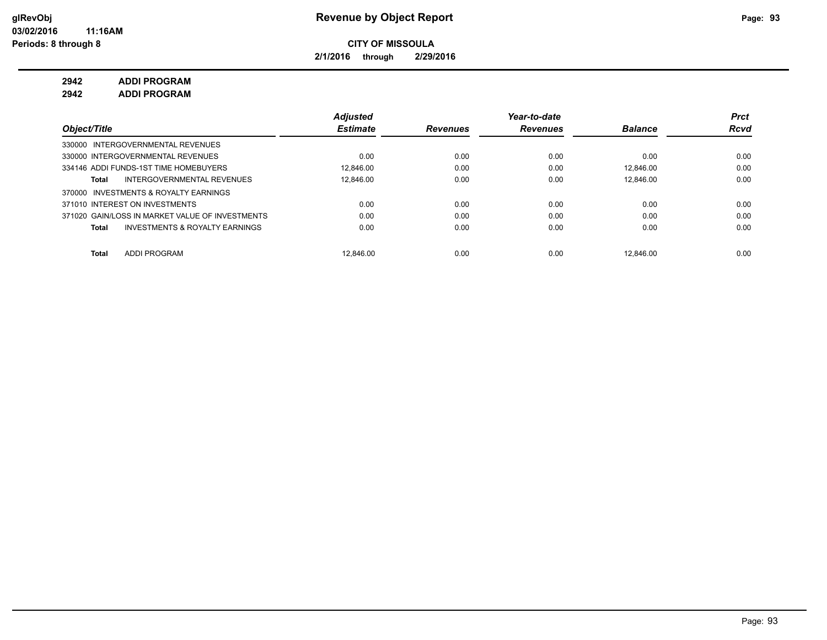**2/1/2016 through 2/29/2016**

**2942 ADDI PROGRAM 2942 ADDI PROGRAM**

|                                                    | <b>Adjusted</b> |                 | Year-to-date    |                | <b>Prct</b> |
|----------------------------------------------------|-----------------|-----------------|-----------------|----------------|-------------|
| Object/Title                                       | <b>Estimate</b> | <b>Revenues</b> | <b>Revenues</b> | <b>Balance</b> | <b>Rcvd</b> |
| 330000 INTERGOVERNMENTAL REVENUES                  |                 |                 |                 |                |             |
| 330000 INTERGOVERNMENTAL REVENUES                  | 0.00            | 0.00            | 0.00            | 0.00           | 0.00        |
| 334146 ADDI FUNDS-1ST TIME HOMEBUYERS              | 12.846.00       | 0.00            | 0.00            | 12.846.00      | 0.00        |
| INTERGOVERNMENTAL REVENUES<br>Total                | 12.846.00       | 0.00            | 0.00            | 12.846.00      | 0.00        |
| 370000 INVESTMENTS & ROYALTY EARNINGS              |                 |                 |                 |                |             |
| 371010 INTEREST ON INVESTMENTS                     | 0.00            | 0.00            | 0.00            | 0.00           | 0.00        |
| 371020 GAIN/LOSS IN MARKET VALUE OF INVESTMENTS    | 0.00            | 0.00            | 0.00            | 0.00           | 0.00        |
| <b>INVESTMENTS &amp; ROYALTY EARNINGS</b><br>Total | 0.00            | 0.00            | 0.00            | 0.00           | 0.00        |
|                                                    |                 |                 |                 |                |             |
| ADDI PROGRAM<br>Total                              | 12.846.00       | 0.00            | 0.00            | 12.846.00      | 0.00        |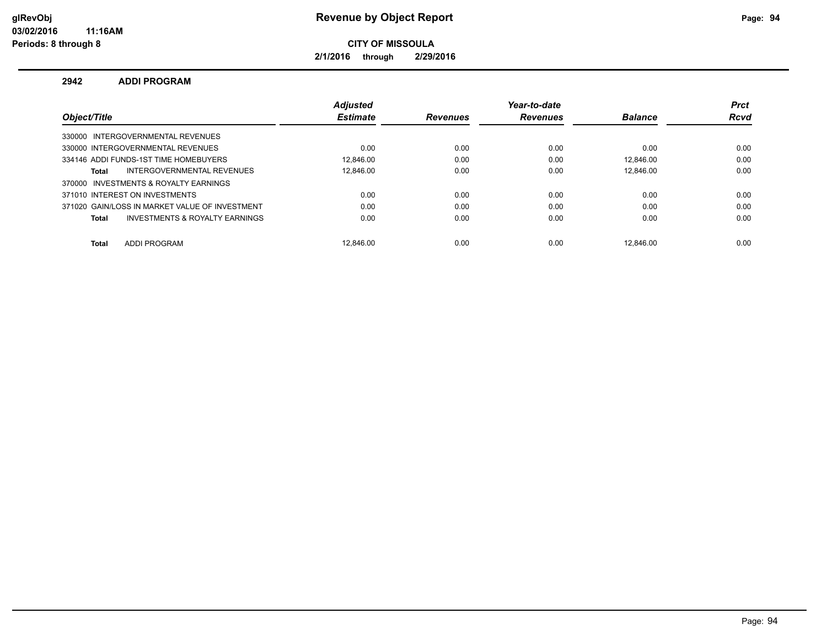**2/1/2016 through 2/29/2016**

#### **2942 ADDI PROGRAM**

|                                                | <b>Adiusted</b> |                 | Year-to-date    |                | <b>Prct</b> |
|------------------------------------------------|-----------------|-----------------|-----------------|----------------|-------------|
| Object/Title                                   | <b>Estimate</b> | <b>Revenues</b> | <b>Revenues</b> | <b>Balance</b> | <b>Rcvd</b> |
| 330000 INTERGOVERNMENTAL REVENUES              |                 |                 |                 |                |             |
| 330000 INTERGOVERNMENTAL REVENUES              | 0.00            | 0.00            | 0.00            | 0.00           | 0.00        |
| 334146 ADDI FUNDS-1ST TIME HOMEBUYERS          | 12.846.00       | 0.00            | 0.00            | 12.846.00      | 0.00        |
| INTERGOVERNMENTAL REVENUES<br>Total            | 12.846.00       | 0.00            | 0.00            | 12.846.00      | 0.00        |
| 370000 INVESTMENTS & ROYALTY EARNINGS          |                 |                 |                 |                |             |
| 371010 INTEREST ON INVESTMENTS                 | 0.00            | 0.00            | 0.00            | 0.00           | 0.00        |
| 371020 GAIN/LOSS IN MARKET VALUE OF INVESTMENT | 0.00            | 0.00            | 0.00            | 0.00           | 0.00        |
| INVESTMENTS & ROYALTY EARNINGS<br>Total        | 0.00            | 0.00            | 0.00            | 0.00           | 0.00        |
|                                                |                 |                 |                 |                |             |
| <b>ADDI PROGRAM</b><br><b>Total</b>            | 12.846.00       | 0.00            | 0.00            | 12.846.00      | 0.00        |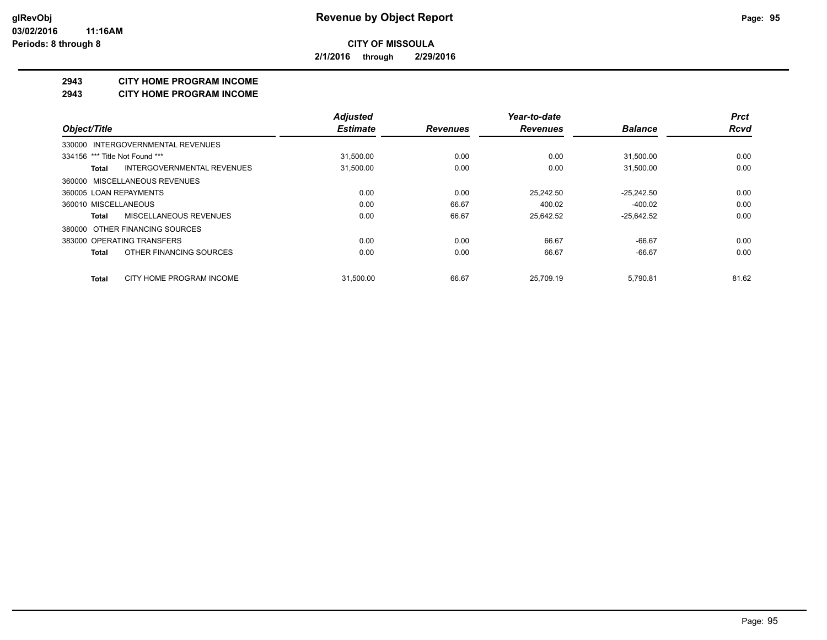**2/1/2016 through 2/29/2016**

#### **2943 CITY HOME PROGRAM INCOME**

#### **2943 CITY HOME PROGRAM INCOME**

|                                            | <b>Adjusted</b> |                 | Year-to-date    |                | <b>Prct</b> |
|--------------------------------------------|-----------------|-----------------|-----------------|----------------|-------------|
| Object/Title                               | <b>Estimate</b> | <b>Revenues</b> | <b>Revenues</b> | <b>Balance</b> | <b>Rcvd</b> |
| 330000 INTERGOVERNMENTAL REVENUES          |                 |                 |                 |                |             |
| 334156 *** Title Not Found ***             | 31,500.00       | 0.00            | 0.00            | 31,500.00      | 0.00        |
| <b>INTERGOVERNMENTAL REVENUES</b><br>Total | 31,500.00       | 0.00            | 0.00            | 31,500.00      | 0.00        |
| 360000 MISCELLANEOUS REVENUES              |                 |                 |                 |                |             |
| 360005 LOAN REPAYMENTS                     | 0.00            | 0.00            | 25.242.50       | $-25,242.50$   | 0.00        |
| 360010 MISCELLANEOUS                       | 0.00            | 66.67           | 400.02          | $-400.02$      | 0.00        |
| MISCELLANEOUS REVENUES<br>Total            | 0.00            | 66.67           | 25,642.52       | $-25,642.52$   | 0.00        |
| 380000 OTHER FINANCING SOURCES             |                 |                 |                 |                |             |
| 383000 OPERATING TRANSFERS                 | 0.00            | 0.00            | 66.67           | $-66.67$       | 0.00        |
| OTHER FINANCING SOURCES<br>Total           | 0.00            | 0.00            | 66.67           | $-66.67$       | 0.00        |
| CITY HOME PROGRAM INCOME<br><b>Total</b>   | 31.500.00       | 66.67           | 25.709.19       | 5.790.81       | 81.62       |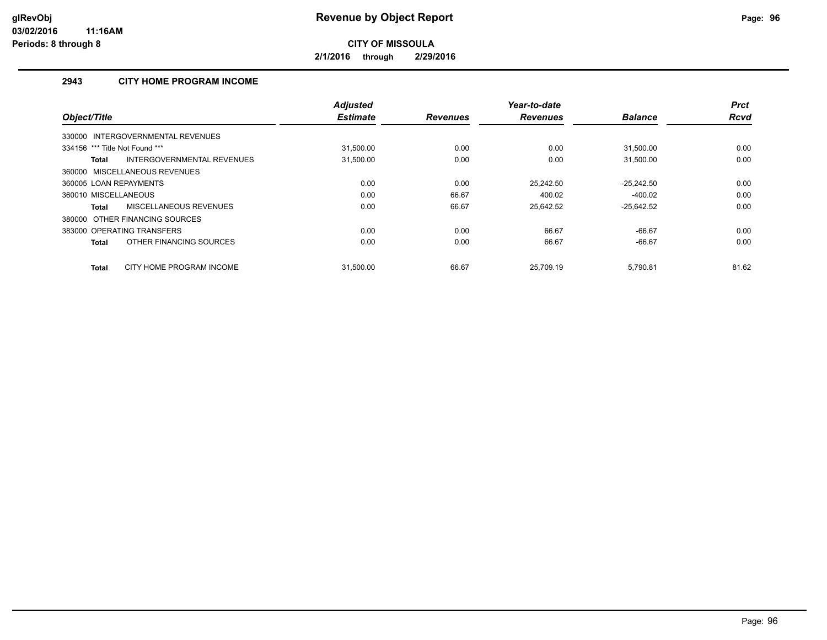**2/1/2016 through 2/29/2016**

## **2943 CITY HOME PROGRAM INCOME**

|                                            | <b>Adjusted</b> |                 | Year-to-date    |                | <b>Prct</b> |
|--------------------------------------------|-----------------|-----------------|-----------------|----------------|-------------|
| Object/Title                               | <b>Estimate</b> | <b>Revenues</b> | <b>Revenues</b> | <b>Balance</b> | <b>Rcvd</b> |
| 330000 INTERGOVERNMENTAL REVENUES          |                 |                 |                 |                |             |
| 334156 *** Title Not Found ***             | 31,500.00       | 0.00            | 0.00            | 31,500.00      | 0.00        |
| INTERGOVERNMENTAL REVENUES<br><b>Total</b> | 31,500.00       | 0.00            | 0.00            | 31,500.00      | 0.00        |
| 360000 MISCELLANEOUS REVENUES              |                 |                 |                 |                |             |
| 360005 LOAN REPAYMENTS                     | 0.00            | 0.00            | 25.242.50       | $-25,242.50$   | 0.00        |
| 360010 MISCELLANEOUS                       | 0.00            | 66.67           | 400.02          | $-400.02$      | 0.00        |
| MISCELLANEOUS REVENUES<br><b>Total</b>     | 0.00            | 66.67           | 25.642.52       | $-25,642.52$   | 0.00        |
| 380000 OTHER FINANCING SOURCES             |                 |                 |                 |                |             |
| 383000 OPERATING TRANSFERS                 | 0.00            | 0.00            | 66.67           | $-66.67$       | 0.00        |
| OTHER FINANCING SOURCES<br><b>Total</b>    | 0.00            | 0.00            | 66.67           | $-66.67$       | 0.00        |
| CITY HOME PROGRAM INCOME<br><b>Total</b>   | 31.500.00       | 66.67           | 25.709.19       | 5.790.81       | 81.62       |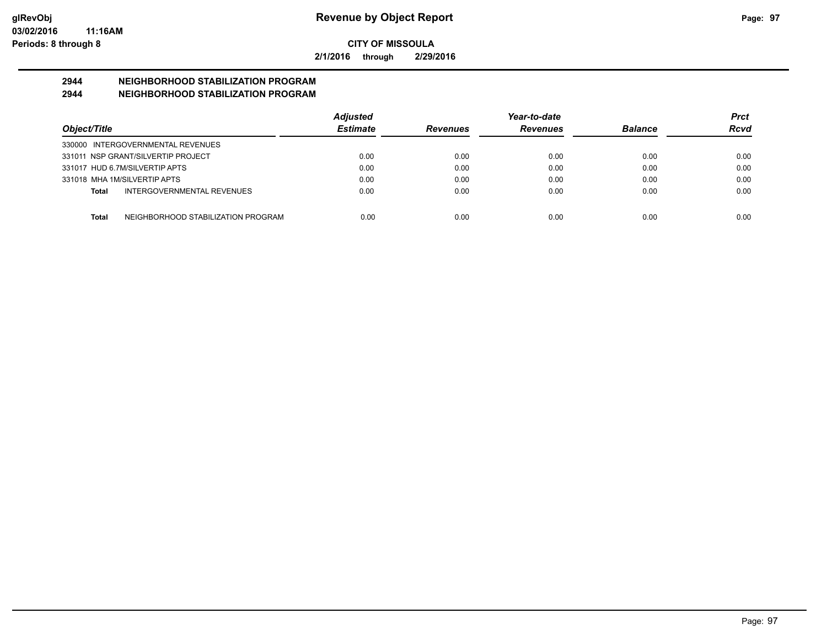**2/1/2016 through 2/29/2016**

# **2944 NEIGHBORHOOD STABILIZATION PROGRAM**

## **2944 NEIGHBORHOOD STABILIZATION PROGRAM**

|                                                    | <b>Adjusted</b> |                 | Year-to-date    |                | <b>Prct</b> |
|----------------------------------------------------|-----------------|-----------------|-----------------|----------------|-------------|
| Object/Title                                       | <b>Estimate</b> | <b>Revenues</b> | <b>Revenues</b> | <b>Balance</b> | Rcvd        |
| 330000 INTERGOVERNMENTAL REVENUES                  |                 |                 |                 |                |             |
| 331011 NSP GRANT/SILVERTIP PROJECT                 | 0.00            | 0.00            | 0.00            | 0.00           | 0.00        |
| 331017 HUD 6.7M/SILVERTIP APTS                     | 0.00            | 0.00            | 0.00            | 0.00           | 0.00        |
| 331018 MHA 1M/SILVERTIP APTS                       | 0.00            | 0.00            | 0.00            | 0.00           | 0.00        |
| INTERGOVERNMENTAL REVENUES<br><b>Total</b>         | 0.00            | 0.00            | 0.00            | 0.00           | 0.00        |
| NEIGHBORHOOD STABILIZATION PROGRAM<br><b>Total</b> | 0.00            | 0.00            | 0.00            | 0.00           | 0.00        |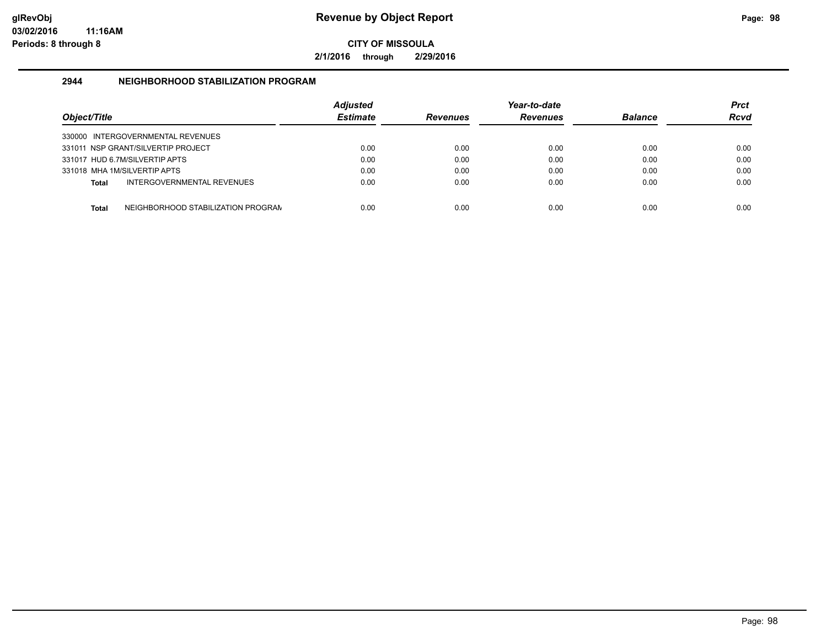**2/1/2016 through 2/29/2016**

## **2944 NEIGHBORHOOD STABILIZATION PROGRAM**

| Object/Title |                                    | Adjusted<br><b>Estimate</b> | <b>Revenues</b> | Year-to-date<br><b>Revenues</b> | <b>Balance</b> | Prct<br><b>Rcvd</b> |
|--------------|------------------------------------|-----------------------------|-----------------|---------------------------------|----------------|---------------------|
|              | 330000 INTERGOVERNMENTAL REVENUES  |                             |                 |                                 |                |                     |
|              | 331011 NSP GRANT/SILVERTIP PROJECT | 0.00                        | 0.00            | 0.00                            | 0.00           | 0.00                |
|              | 331017 HUD 6.7M/SILVERTIP APTS     | 0.00                        | 0.00            | 0.00                            | 0.00           | 0.00                |
|              | 331018 MHA 1M/SILVERTIP APTS       | 0.00                        | 0.00            | 0.00                            | 0.00           | 0.00                |
| <b>Total</b> | INTERGOVERNMENTAL REVENUES         | 0.00                        | 0.00            | 0.00                            | 0.00           | 0.00                |
| <b>Total</b> | NEIGHBORHOOD STABILIZATION PROGRAN | 0.00                        | 0.00            | 0.00                            | 0.00           | 0.00                |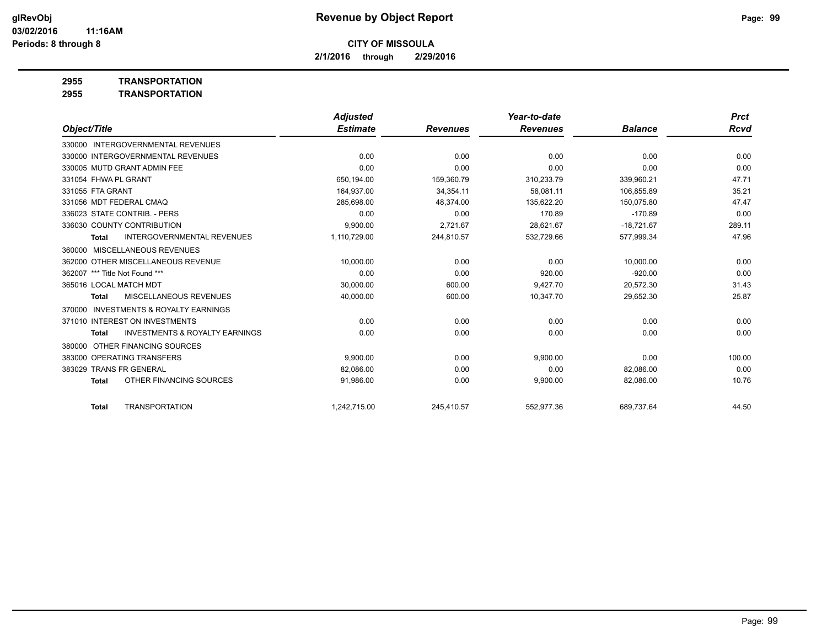**2/1/2016 through 2/29/2016**

**2955 TRANSPORTATION**

|                                                           | <b>Adjusted</b> |                 | Year-to-date    |                | <b>Prct</b> |
|-----------------------------------------------------------|-----------------|-----------------|-----------------|----------------|-------------|
| Object/Title                                              | <b>Estimate</b> | <b>Revenues</b> | <b>Revenues</b> | <b>Balance</b> | Rcvd        |
| 330000 INTERGOVERNMENTAL REVENUES                         |                 |                 |                 |                |             |
| 330000 INTERGOVERNMENTAL REVENUES                         | 0.00            | 0.00            | 0.00            | 0.00           | 0.00        |
| 330005 MUTD GRANT ADMIN FEE                               | 0.00            | 0.00            | 0.00            | 0.00           | 0.00        |
| 331054 FHWA PL GRANT                                      | 650.194.00      | 159.360.79      | 310,233.79      | 339.960.21     | 47.71       |
| 331055 FTA GRANT                                          | 164,937.00      | 34,354.11       | 58.081.11       | 106.855.89     | 35.21       |
| 331056 MDT FEDERAL CMAO                                   | 285,698.00      | 48,374.00       | 135,622.20      | 150.075.80     | 47.47       |
| 336023 STATE CONTRIB. - PERS                              | 0.00            | 0.00            | 170.89          | $-170.89$      | 0.00        |
| 336030 COUNTY CONTRIBUTION                                | 9,900.00        | 2,721.67        | 28,621.67       | $-18,721.67$   | 289.11      |
| <b>INTERGOVERNMENTAL REVENUES</b><br><b>Total</b>         | 1,110,729.00    | 244,810.57      | 532,729.66      | 577,999.34     | 47.96       |
| MISCELLANEOUS REVENUES<br>360000                          |                 |                 |                 |                |             |
| 362000 OTHER MISCELLANEOUS REVENUE                        | 10.000.00       | 0.00            | 0.00            | 10.000.00      | 0.00        |
| 362007 *** Title Not Found ***                            | 0.00            | 0.00            | 920.00          | $-920.00$      | 0.00        |
| 365016 LOCAL MATCH MDT                                    | 30,000.00       | 600.00          | 9,427.70        | 20,572.30      | 31.43       |
| <b>MISCELLANEOUS REVENUES</b><br><b>Total</b>             | 40,000.00       | 600.00          | 10,347.70       | 29,652.30      | 25.87       |
| <b>INVESTMENTS &amp; ROYALTY EARNINGS</b><br>370000       |                 |                 |                 |                |             |
| 371010 INTEREST ON INVESTMENTS                            | 0.00            | 0.00            | 0.00            | 0.00           | 0.00        |
| <b>INVESTMENTS &amp; ROYALTY EARNINGS</b><br><b>Total</b> | 0.00            | 0.00            | 0.00            | 0.00           | 0.00        |
| OTHER FINANCING SOURCES<br>380000                         |                 |                 |                 |                |             |
| 383000 OPERATING TRANSFERS                                | 9.900.00        | 0.00            | 9,900.00        | 0.00           | 100.00      |
| 383029 TRANS FR GENERAL                                   | 82,086.00       | 0.00            | 0.00            | 82,086.00      | 0.00        |
| OTHER FINANCING SOURCES<br><b>Total</b>                   | 91,986.00       | 0.00            | 9,900.00        | 82,086.00      | 10.76       |
| <b>TRANSPORTATION</b><br><b>Total</b>                     | 1.242.715.00    | 245,410.57      | 552,977.36      | 689,737.64     | 44.50       |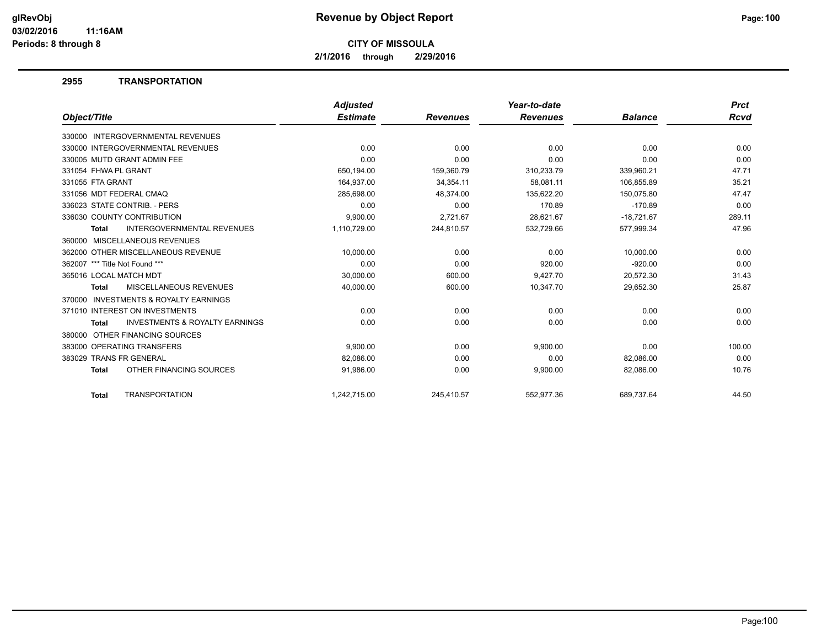**2/1/2016 through 2/29/2016**

#### **2955 TRANSPORTATION**

|                                                           | <b>Adjusted</b> |                 | Year-to-date    |                | <b>Prct</b> |
|-----------------------------------------------------------|-----------------|-----------------|-----------------|----------------|-------------|
| Object/Title                                              | <b>Estimate</b> | <b>Revenues</b> | <b>Revenues</b> | <b>Balance</b> | Rcvd        |
| 330000 INTERGOVERNMENTAL REVENUES                         |                 |                 |                 |                |             |
| 330000 INTERGOVERNMENTAL REVENUES                         | 0.00            | 0.00            | 0.00            | 0.00           | 0.00        |
| 330005 MUTD GRANT ADMIN FEE                               | 0.00            | 0.00            | 0.00            | 0.00           | 0.00        |
| 331054 FHWA PL GRANT                                      | 650,194.00      | 159,360.79      | 310,233.79      | 339,960.21     | 47.71       |
| 331055 FTA GRANT                                          | 164,937.00      | 34,354.11       | 58.081.11       | 106,855.89     | 35.21       |
| 331056 MDT FEDERAL CMAQ                                   | 285,698.00      | 48,374.00       | 135,622.20      | 150,075.80     | 47.47       |
| 336023 STATE CONTRIB. - PERS                              | 0.00            | 0.00            | 170.89          | $-170.89$      | 0.00        |
| 336030 COUNTY CONTRIBUTION                                | 9,900.00        | 2,721.67        | 28,621.67       | $-18,721.67$   | 289.11      |
| <b>INTERGOVERNMENTAL REVENUES</b><br><b>Total</b>         | 1,110,729.00    | 244,810.57      | 532,729.66      | 577,999.34     | 47.96       |
| 360000 MISCELLANEOUS REVENUES                             |                 |                 |                 |                |             |
| 362000 OTHER MISCELLANEOUS REVENUE                        | 10.000.00       | 0.00            | 0.00            | 10.000.00      | 0.00        |
| 362007 *** Title Not Found ***                            | 0.00            | 0.00            | 920.00          | $-920.00$      | 0.00        |
| 365016 LOCAL MATCH MDT                                    | 30,000.00       | 600.00          | 9,427.70        | 20,572.30      | 31.43       |
| MISCELLANEOUS REVENUES<br><b>Total</b>                    | 40,000.00       | 600.00          | 10,347.70       | 29,652.30      | 25.87       |
| INVESTMENTS & ROYALTY EARNINGS<br>370000                  |                 |                 |                 |                |             |
| 371010 INTEREST ON INVESTMENTS                            | 0.00            | 0.00            | 0.00            | 0.00           | 0.00        |
| <b>INVESTMENTS &amp; ROYALTY EARNINGS</b><br><b>Total</b> | 0.00            | 0.00            | 0.00            | 0.00           | 0.00        |
| OTHER FINANCING SOURCES<br>380000                         |                 |                 |                 |                |             |
| 383000 OPERATING TRANSFERS                                | 9,900.00        | 0.00            | 9,900.00        | 0.00           | 100.00      |
| 383029 TRANS FR GENERAL                                   | 82,086.00       | 0.00            | 0.00            | 82,086.00      | 0.00        |
| OTHER FINANCING SOURCES<br><b>Total</b>                   | 91,986.00       | 0.00            | 9,900.00        | 82,086.00      | 10.76       |
| <b>TRANSPORTATION</b><br><b>Total</b>                     | 1.242.715.00    | 245.410.57      | 552.977.36      | 689.737.64     | 44.50       |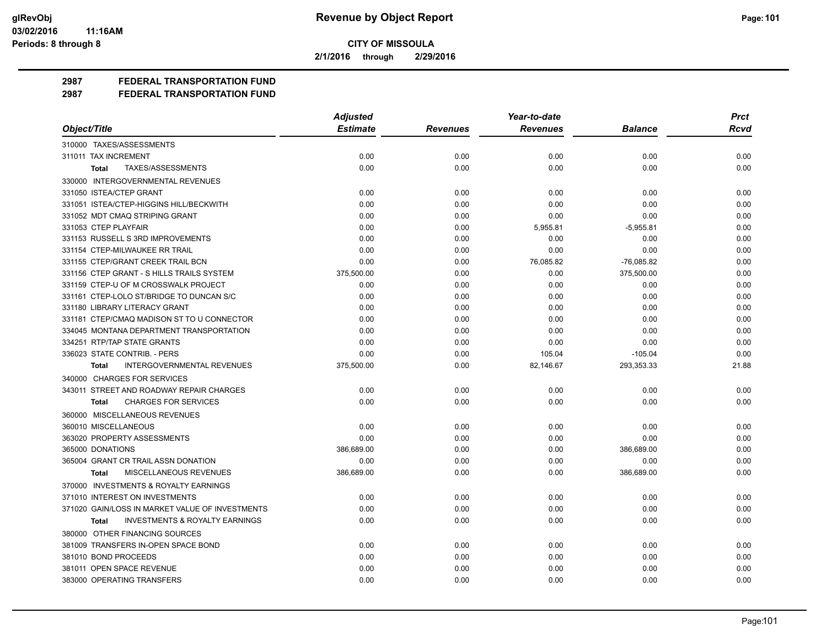**2/1/2016 through 2/29/2016**

**2987 FEDERAL TRANSPORTATION FUND**

|                                                           | <b>Adjusted</b> |                 | Year-to-date    |                | <b>Prct</b> |
|-----------------------------------------------------------|-----------------|-----------------|-----------------|----------------|-------------|
| Object/Title                                              | <b>Estimate</b> | <b>Revenues</b> | <b>Revenues</b> | <b>Balance</b> | <b>Rcvd</b> |
| 310000 TAXES/ASSESSMENTS                                  |                 |                 |                 |                |             |
| 311011 TAX INCREMENT                                      | 0.00            | 0.00            | 0.00            | 0.00           | 0.00        |
| TAXES/ASSESSMENTS<br><b>Total</b>                         | 0.00            | 0.00            | 0.00            | 0.00           | 0.00        |
| 330000 INTERGOVERNMENTAL REVENUES                         |                 |                 |                 |                |             |
| 331050 ISTEA/CTEP GRANT                                   | 0.00            | 0.00            | 0.00            | 0.00           | 0.00        |
| 331051 ISTEA/CTEP-HIGGINS HILL/BECKWITH                   | 0.00            | 0.00            | 0.00            | 0.00           | 0.00        |
| 331052 MDT CMAQ STRIPING GRANT                            | 0.00            | 0.00            | 0.00            | 0.00           | 0.00        |
| 331053 CTEP PLAYFAIR                                      | 0.00            | 0.00            | 5,955.81        | $-5,955.81$    | 0.00        |
| 331153 RUSSELL S 3RD IMPROVEMENTS                         | 0.00            | 0.00            | 0.00            | 0.00           | 0.00        |
| 331154 CTEP-MILWAUKEE RR TRAIL                            | 0.00            | 0.00            | 0.00            | 0.00           | 0.00        |
| 331155 CTEP/GRANT CREEK TRAIL BCN                         | 0.00            | 0.00            | 76,085.82       | $-76,085.82$   | 0.00        |
| 331156 CTEP GRANT - S HILLS TRAILS SYSTEM                 | 375,500.00      | 0.00            | 0.00            | 375,500.00     | 0.00        |
| 331159 CTEP-U OF M CROSSWALK PROJECT                      | 0.00            | 0.00            | 0.00            | 0.00           | 0.00        |
| 331161 CTEP-LOLO ST/BRIDGE TO DUNCAN S/C                  | 0.00            | 0.00            | 0.00            | 0.00           | 0.00        |
| 331180 LIBRARY LITERACY GRANT                             | 0.00            | 0.00            | 0.00            | 0.00           | 0.00        |
| 331181 CTEP/CMAQ MADISON ST TO U CONNECTOR                | 0.00            | 0.00            | 0.00            | 0.00           | 0.00        |
| 334045 MONTANA DEPARTMENT TRANSPORTATION                  | 0.00            | 0.00            | 0.00            | 0.00           | 0.00        |
| 334251 RTP/TAP STATE GRANTS                               | 0.00            | 0.00            | 0.00            | 0.00           | 0.00        |
| 336023 STATE CONTRIB. - PERS                              | 0.00            | 0.00            | 105.04          | $-105.04$      | 0.00        |
| <b>INTERGOVERNMENTAL REVENUES</b><br><b>Total</b>         | 375,500.00      | 0.00            | 82,146.67       | 293,353.33     | 21.88       |
| 340000 CHARGES FOR SERVICES                               |                 |                 |                 |                |             |
| 343011 STREET AND ROADWAY REPAIR CHARGES                  | 0.00            | 0.00            | 0.00            | 0.00           | 0.00        |
| <b>CHARGES FOR SERVICES</b><br><b>Total</b>               | 0.00            | 0.00            | 0.00            | 0.00           | 0.00        |
| 360000 MISCELLANEOUS REVENUES                             |                 |                 |                 |                |             |
| 360010 MISCELLANEOUS                                      | 0.00            | 0.00            | 0.00            | 0.00           | 0.00        |
| 363020 PROPERTY ASSESSMENTS                               | 0.00            | 0.00            | 0.00            | 0.00           | 0.00        |
| 365000 DONATIONS                                          | 386,689.00      | 0.00            | 0.00            | 386,689.00     | 0.00        |
| 365004 GRANT CR TRAIL ASSN DONATION                       | 0.00            | 0.00            | 0.00            | 0.00           | 0.00        |
| MISCELLANEOUS REVENUES<br><b>Total</b>                    | 386,689.00      | 0.00            | 0.00            | 386,689.00     | 0.00        |
| 370000 INVESTMENTS & ROYALTY EARNINGS                     |                 |                 |                 |                |             |
| 371010 INTEREST ON INVESTMENTS                            | 0.00            | 0.00            | 0.00            | 0.00           | 0.00        |
| 371020 GAIN/LOSS IN MARKET VALUE OF INVESTMENTS           | 0.00            | 0.00            | 0.00            | 0.00           | 0.00        |
| <b>INVESTMENTS &amp; ROYALTY EARNINGS</b><br><b>Total</b> | 0.00            | 0.00            | 0.00            | 0.00           | 0.00        |
| 380000 OTHER FINANCING SOURCES                            |                 |                 |                 |                |             |
| 381009 TRANSFERS IN-OPEN SPACE BOND                       | 0.00            | 0.00            | 0.00            | 0.00           | 0.00        |
| 381010 BOND PROCEEDS                                      | 0.00            | 0.00            | 0.00            | 0.00           | 0.00        |
| 381011 OPEN SPACE REVENUE                                 | 0.00            | 0.00            | 0.00            | 0.00           | 0.00        |
| 383000 OPERATING TRANSFERS                                | 0.00            | 0.00            | 0.00            | 0.00           | 0.00        |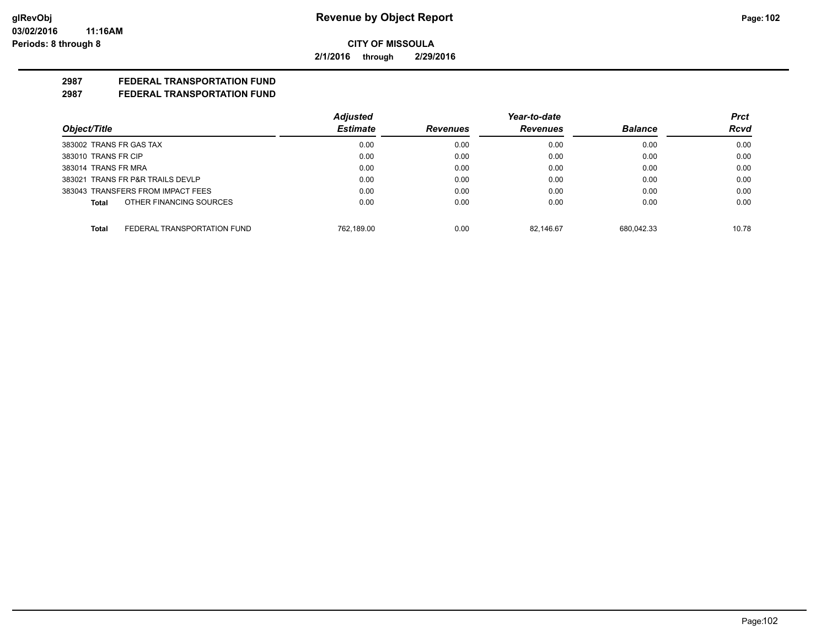**2/1/2016 through 2/29/2016**

## **2987 FEDERAL TRANSPORTATION FUND**

|                                             | <b>Adjusted</b> |                 | Year-to-date    |                | <b>Prct</b> |
|---------------------------------------------|-----------------|-----------------|-----------------|----------------|-------------|
| Object/Title                                | <b>Estimate</b> | <b>Revenues</b> | <b>Revenues</b> | <b>Balance</b> | Rcvd        |
| 383002 TRANS FR GAS TAX                     | 0.00            | 0.00            | 0.00            | 0.00           | 0.00        |
| 383010 TRANS FR CIP                         | 0.00            | 0.00            | 0.00            | 0.00           | 0.00        |
| 383014 TRANS FR MRA                         | 0.00            | 0.00            | 0.00            | 0.00           | 0.00        |
| 383021 TRANS FR P&R TRAILS DEVLP            | 0.00            | 0.00            | 0.00            | 0.00           | 0.00        |
| 383043 TRANSFERS FROM IMPACT FEES           | 0.00            | 0.00            | 0.00            | 0.00           | 0.00        |
| OTHER FINANCING SOURCES<br><b>Total</b>     | 0.00            | 0.00            | 0.00            | 0.00           | 0.00        |
| FEDERAL TRANSPORTATION FUND<br><b>Total</b> | 762.189.00      | 0.00            | 82.146.67       | 680.042.33     | 10.78       |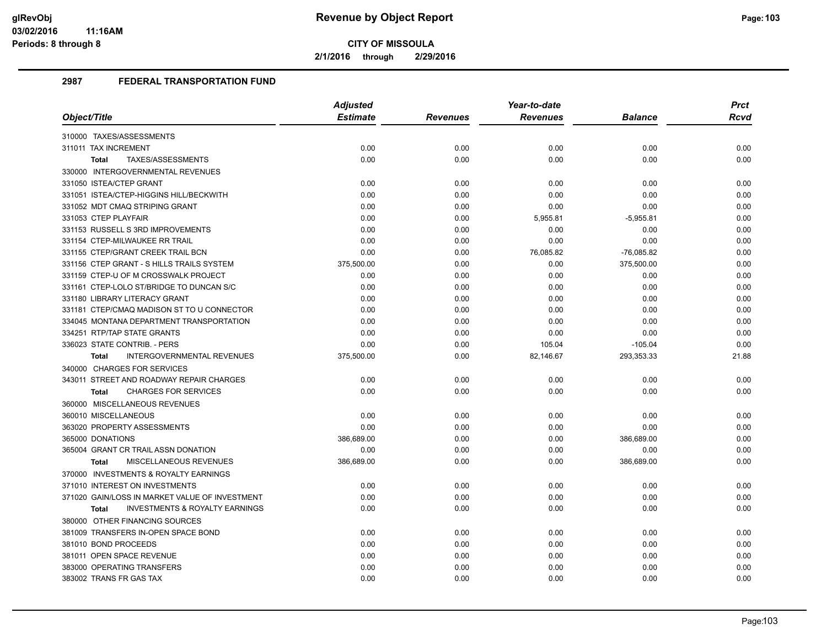**2/1/2016 through 2/29/2016**

|                                                           | <b>Adjusted</b> |                 | Year-to-date    |                | <b>Prct</b> |
|-----------------------------------------------------------|-----------------|-----------------|-----------------|----------------|-------------|
| Object/Title                                              | <b>Estimate</b> | <b>Revenues</b> | <b>Revenues</b> | <b>Balance</b> | <b>Rcvd</b> |
| 310000 TAXES/ASSESSMENTS                                  |                 |                 |                 |                |             |
| 311011 TAX INCREMENT                                      | 0.00            | 0.00            | 0.00            | 0.00           | 0.00        |
| TAXES/ASSESSMENTS<br><b>Total</b>                         | 0.00            | 0.00            | 0.00            | 0.00           | 0.00        |
| 330000 INTERGOVERNMENTAL REVENUES                         |                 |                 |                 |                |             |
| 331050 ISTEA/CTEP GRANT                                   | 0.00            | 0.00            | 0.00            | 0.00           | 0.00        |
| 331051 ISTEA/CTEP-HIGGINS HILL/BECKWITH                   | 0.00            | 0.00            | 0.00            | 0.00           | 0.00        |
| 331052 MDT CMAQ STRIPING GRANT                            | 0.00            | 0.00            | 0.00            | 0.00           | 0.00        |
| 331053 CTEP PLAYFAIR                                      | 0.00            | 0.00            | 5,955.81        | $-5,955.81$    | 0.00        |
| 331153 RUSSELL S 3RD IMPROVEMENTS                         | 0.00            | 0.00            | 0.00            | 0.00           | 0.00        |
| 331154 CTEP-MILWAUKEE RR TRAIL                            | 0.00            | 0.00            | 0.00            | 0.00           | 0.00        |
| 331155 CTEP/GRANT CREEK TRAIL BCN                         | 0.00            | 0.00            | 76,085.82       | $-76,085.82$   | 0.00        |
| 331156 CTEP GRANT - S HILLS TRAILS SYSTEM                 | 375,500.00      | 0.00            | 0.00            | 375,500.00     | 0.00        |
| 331159 CTEP-U OF M CROSSWALK PROJECT                      | 0.00            | 0.00            | 0.00            | 0.00           | 0.00        |
| 331161 CTEP-LOLO ST/BRIDGE TO DUNCAN S/C                  | 0.00            | 0.00            | 0.00            | 0.00           | 0.00        |
| 331180 LIBRARY LITERACY GRANT                             | 0.00            | 0.00            | 0.00            | 0.00           | 0.00        |
| 331181 CTEP/CMAQ MADISON ST TO U CONNECTOR                | 0.00            | 0.00            | 0.00            | 0.00           | 0.00        |
| 334045 MONTANA DEPARTMENT TRANSPORTATION                  | 0.00            | 0.00            | 0.00            | 0.00           | 0.00        |
| 334251 RTP/TAP STATE GRANTS                               | 0.00            | 0.00            | 0.00            | 0.00           | 0.00        |
| 336023 STATE CONTRIB. - PERS                              | 0.00            | 0.00            | 105.04          | $-105.04$      | 0.00        |
| INTERGOVERNMENTAL REVENUES<br><b>Total</b>                | 375,500.00      | 0.00            | 82,146.67       | 293,353.33     | 21.88       |
| 340000 CHARGES FOR SERVICES                               |                 |                 |                 |                |             |
| 343011 STREET AND ROADWAY REPAIR CHARGES                  | 0.00            | 0.00            | 0.00            | 0.00           | 0.00        |
| <b>CHARGES FOR SERVICES</b><br><b>Total</b>               | 0.00            | 0.00            | 0.00            | 0.00           | 0.00        |
| 360000 MISCELLANEOUS REVENUES                             |                 |                 |                 |                |             |
| 360010 MISCELLANEOUS                                      | 0.00            | 0.00            | 0.00            | 0.00           | 0.00        |
| 363020 PROPERTY ASSESSMENTS                               | 0.00            | 0.00            | 0.00            | 0.00           | 0.00        |
| 365000 DONATIONS                                          | 386,689.00      | 0.00            | 0.00            | 386,689.00     | 0.00        |
| 365004 GRANT CR TRAIL ASSN DONATION                       | 0.00            | 0.00            | 0.00            | 0.00           | 0.00        |
| MISCELLANEOUS REVENUES<br><b>Total</b>                    | 386,689.00      | 0.00            | 0.00            | 386,689.00     | 0.00        |
| 370000 INVESTMENTS & ROYALTY EARNINGS                     |                 |                 |                 |                |             |
| 371010 INTEREST ON INVESTMENTS                            | 0.00            | 0.00            | 0.00            | 0.00           | 0.00        |
| 371020 GAIN/LOSS IN MARKET VALUE OF INVESTMENT            | 0.00            | 0.00            | 0.00            | 0.00           | 0.00        |
| <b>INVESTMENTS &amp; ROYALTY EARNINGS</b><br><b>Total</b> | 0.00            | 0.00            | 0.00            | 0.00           | 0.00        |
| 380000 OTHER FINANCING SOURCES                            |                 |                 |                 |                |             |
| 381009 TRANSFERS IN-OPEN SPACE BOND                       | 0.00            | 0.00            | 0.00            | 0.00           | 0.00        |
| 381010 BOND PROCEEDS                                      | 0.00            | 0.00            | 0.00            | 0.00           | 0.00        |
| 381011 OPEN SPACE REVENUE                                 | 0.00            | 0.00            | 0.00            | 0.00           | 0.00        |
| 383000 OPERATING TRANSFERS                                | 0.00            | 0.00            | 0.00            | 0.00           | 0.00        |
| 383002 TRANS FR GAS TAX                                   | 0.00            | 0.00            | 0.00            | 0.00           | 0.00        |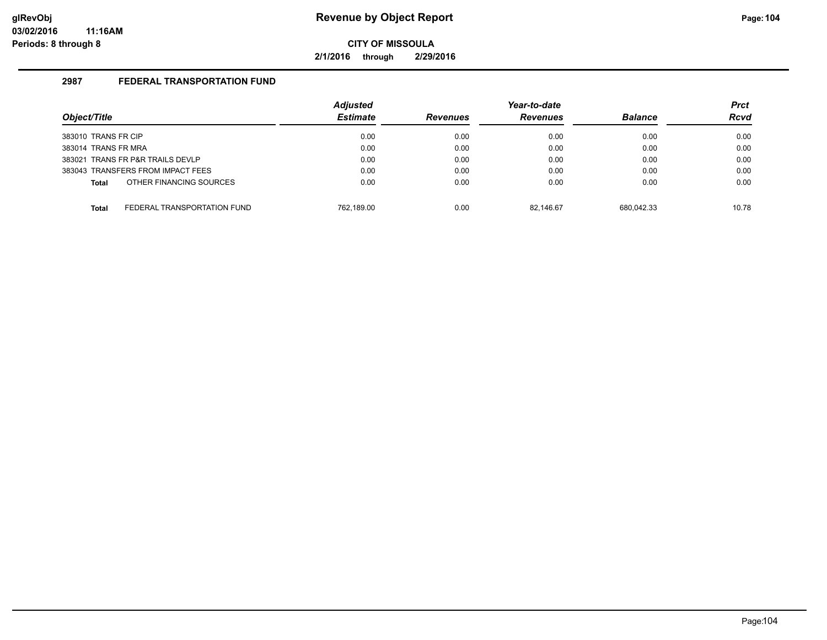**2/1/2016 through 2/29/2016**

|                                      |  | <b>Adjusted</b> |                 | Year-to-date    |                | <b>Prct</b> |
|--------------------------------------|--|-----------------|-----------------|-----------------|----------------|-------------|
| Object/Title                         |  | <b>Estimate</b> | <b>Revenues</b> | <b>Revenues</b> | <b>Balance</b> | <b>Rcvd</b> |
| 383010 TRANS FR CIP                  |  | 0.00            | 0.00            | 0.00            | 0.00           | 0.00        |
| 383014 TRANS FR MRA                  |  | 0.00            | 0.00            | 0.00            | 0.00           | 0.00        |
| 383021 TRANS FR P&R TRAILS DEVLP     |  | 0.00            | 0.00            | 0.00            | 0.00           | 0.00        |
| 383043 TRANSFERS FROM IMPACT FEES    |  | 0.00            | 0.00            | 0.00            | 0.00           | 0.00        |
| OTHER FINANCING SOURCES<br>Total     |  | 0.00            | 0.00            | 0.00            | 0.00           | 0.00        |
| FEDERAL TRANSPORTATION FUND<br>Total |  | 762.189.00      | 0.00            | 82.146.67       | 680.042.33     | 10.78       |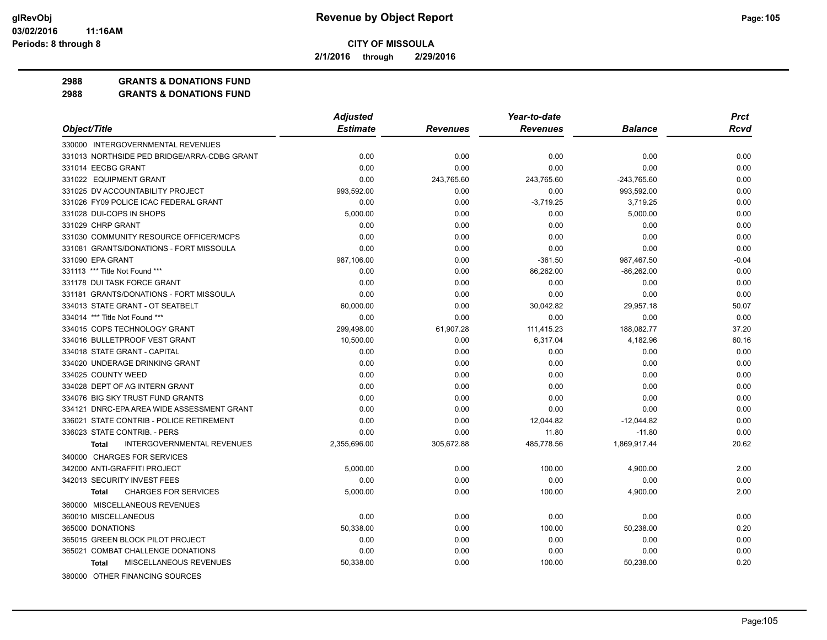**2/1/2016 through 2/29/2016**

**2988 GRANTS & DONATIONS FUND**

|                                                   | <b>Adjusted</b> |                 | Year-to-date    |                | <b>Prct</b> |
|---------------------------------------------------|-----------------|-----------------|-----------------|----------------|-------------|
| Object/Title                                      | <b>Estimate</b> | <b>Revenues</b> | <b>Revenues</b> | <b>Balance</b> | Rcvd        |
| 330000 INTERGOVERNMENTAL REVENUES                 |                 |                 |                 |                |             |
| 331013 NORTHSIDE PED BRIDGE/ARRA-CDBG GRANT       | 0.00            | 0.00            | 0.00            | 0.00           | 0.00        |
| 331014 EECBG GRANT                                | 0.00            | 0.00            | 0.00            | 0.00           | 0.00        |
| 331022 EQUIPMENT GRANT                            | 0.00            | 243,765.60      | 243,765.60      | -243,765.60    | 0.00        |
| 331025 DV ACCOUNTABILITY PROJECT                  | 993,592.00      | 0.00            | 0.00            | 993,592.00     | 0.00        |
| 331026 FY09 POLICE ICAC FEDERAL GRANT             | 0.00            | 0.00            | $-3,719.25$     | 3,719.25       | 0.00        |
| 331028 DUI-COPS IN SHOPS                          | 5,000.00        | 0.00            | 0.00            | 5,000.00       | 0.00        |
| 331029 CHRP GRANT                                 | 0.00            | 0.00            | 0.00            | 0.00           | 0.00        |
| 331030 COMMUNITY RESOURCE OFFICER/MCPS            | 0.00            | 0.00            | 0.00            | 0.00           | 0.00        |
| 331081 GRANTS/DONATIONS - FORT MISSOULA           | 0.00            | 0.00            | 0.00            | 0.00           | 0.00        |
| 331090 EPA GRANT                                  | 987.106.00      | 0.00            | $-361.50$       | 987,467.50     | $-0.04$     |
| 331113 *** Title Not Found ***                    | 0.00            | 0.00            | 86,262.00       | $-86,262.00$   | 0.00        |
| 331178 DUI TASK FORCE GRANT                       | 0.00            | 0.00            | 0.00            | 0.00           | 0.00        |
| 331181 GRANTS/DONATIONS - FORT MISSOULA           | 0.00            | 0.00            | 0.00            | 0.00           | 0.00        |
| 334013 STATE GRANT - OT SEATBELT                  | 60,000.00       | 0.00            | 30,042.82       | 29,957.18      | 50.07       |
| 334014 *** Title Not Found ***                    | 0.00            | 0.00            | 0.00            | 0.00           | 0.00        |
| 334015 COPS TECHNOLOGY GRANT                      | 299.498.00      | 61,907.28       | 111,415.23      | 188,082.77     | 37.20       |
| 334016 BULLETPROOF VEST GRANT                     | 10.500.00       | 0.00            | 6,317.04        | 4,182.96       | 60.16       |
| 334018 STATE GRANT - CAPITAL                      | 0.00            | 0.00            | 0.00            | 0.00           | 0.00        |
| 334020 UNDERAGE DRINKING GRANT                    | 0.00            | 0.00            | 0.00            | 0.00           | 0.00        |
| 334025 COUNTY WEED                                | 0.00            | 0.00            | 0.00            | 0.00           | 0.00        |
| 334028 DEPT OF AG INTERN GRANT                    | 0.00            | 0.00            | 0.00            | 0.00           | 0.00        |
| 334076 BIG SKY TRUST FUND GRANTS                  | 0.00            | 0.00            | 0.00            | 0.00           | 0.00        |
| 334121 DNRC-EPA AREA WIDE ASSESSMENT GRANT        | 0.00            | 0.00            | 0.00            | 0.00           | 0.00        |
| 336021 STATE CONTRIB - POLICE RETIREMENT          | 0.00            | 0.00            | 12,044.82       | $-12,044.82$   | 0.00        |
| 336023 STATE CONTRIB. - PERS                      | 0.00            | 0.00            | 11.80           | $-11.80$       | 0.00        |
| <b>INTERGOVERNMENTAL REVENUES</b><br><b>Total</b> | 2,355,696.00    | 305,672.88      | 485,778.56      | 1,869,917.44   | 20.62       |
| 340000 CHARGES FOR SERVICES                       |                 |                 |                 |                |             |
| 342000 ANTI-GRAFFITI PROJECT                      | 5,000.00        | 0.00            | 100.00          | 4,900.00       | 2.00        |
| 342013 SECURITY INVEST FEES                       | 0.00            | 0.00            | 0.00            | 0.00           | 0.00        |
| <b>CHARGES FOR SERVICES</b><br><b>Total</b>       | 5,000.00        | 0.00            | 100.00          | 4,900.00       | 2.00        |
| 360000 MISCELLANEOUS REVENUES                     |                 |                 |                 |                |             |
| 360010 MISCELLANEOUS                              | 0.00            | 0.00            | 0.00            | 0.00           | 0.00        |
| 365000 DONATIONS                                  | 50.338.00       | 0.00            | 100.00          | 50,238.00      | 0.20        |
| 365015 GREEN BLOCK PILOT PROJECT                  | 0.00            | 0.00            | 0.00            | 0.00           | 0.00        |
| 365021 COMBAT CHALLENGE DONATIONS                 | 0.00            | 0.00            | 0.00            | 0.00           | 0.00        |
| MISCELLANEOUS REVENUES<br>Total                   | 50,338.00       | 0.00            | 100.00          | 50,238.00      | 0.20        |
| 380000 OTHER FINANCING SOURCES                    |                 |                 |                 |                |             |
|                                                   |                 |                 |                 |                |             |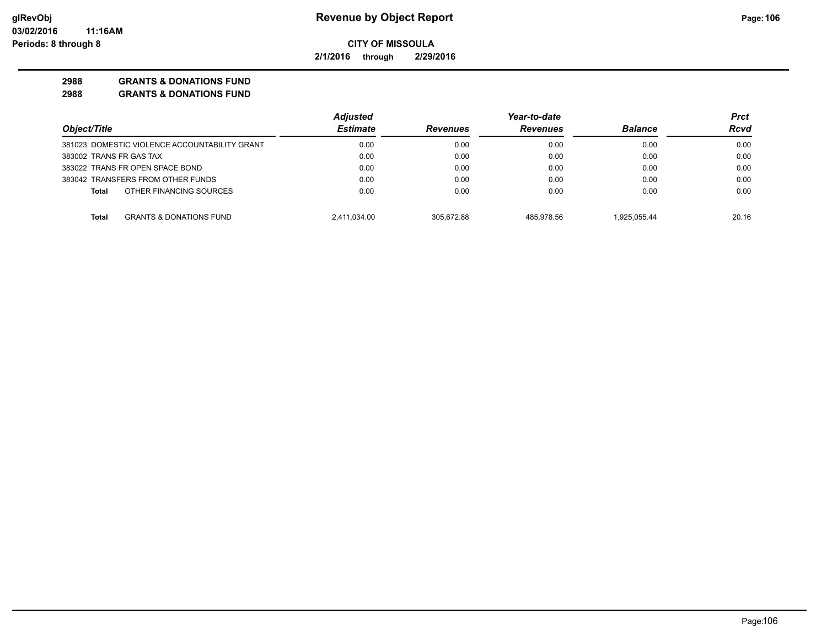**2/1/2016 through 2/29/2016**

## **2988 GRANTS & DONATIONS FUND**

|                                                    | <b>Adjusted</b> |                 | Year-to-date    |                | Prct  |
|----------------------------------------------------|-----------------|-----------------|-----------------|----------------|-------|
| Object/Title                                       | <b>Estimate</b> | <b>Revenues</b> | <b>Revenues</b> | <b>Balance</b> | Rcvd  |
| 381023 DOMESTIC VIOLENCE ACCOUNTABILITY GRANT      | 0.00            | 0.00            | 0.00            | 0.00           | 0.00  |
| 383002 TRANS FR GAS TAX                            | 0.00            | 0.00            | 0.00            | 0.00           | 0.00  |
| 383022 TRANS FR OPEN SPACE BOND                    | 0.00            | 0.00            | 0.00            | 0.00           | 0.00  |
| 383042 TRANSFERS FROM OTHER FUNDS                  | 0.00            | 0.00            | 0.00            | 0.00           | 0.00  |
| OTHER FINANCING SOURCES<br>Total                   | 0.00            | 0.00            | 0.00            | 0.00           | 0.00  |
| <b>GRANTS &amp; DONATIONS FUND</b><br><b>Total</b> | 2,411,034.00    | 305.672.88      | 485.978.56      | 1.925.055.44   | 20.16 |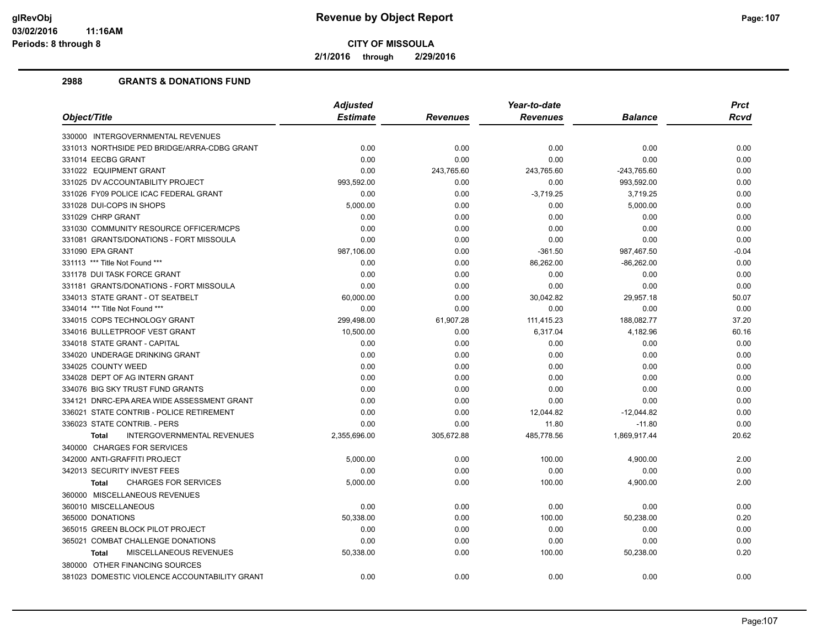**2/1/2016 through 2/29/2016**

|                                                   |                 |            | Year-to-date    |                | <b>Prct</b> |
|---------------------------------------------------|-----------------|------------|-----------------|----------------|-------------|
| Object/Title                                      | <b>Estimate</b> | Revenues   | <b>Revenues</b> | <b>Balance</b> | <b>Rcvd</b> |
| 330000 INTERGOVERNMENTAL REVENUES                 |                 |            |                 |                |             |
| 331013 NORTHSIDE PED BRIDGE/ARRA-CDBG GRANT       | 0.00            | 0.00       | 0.00            | 0.00           | 0.00        |
| 331014 EECBG GRANT                                | 0.00            | 0.00       | 0.00            | 0.00           | 0.00        |
| 331022 EQUIPMENT GRANT                            | 0.00            | 243,765.60 | 243,765.60      | $-243,765.60$  | 0.00        |
| 331025 DV ACCOUNTABILITY PROJECT                  | 993,592.00      | 0.00       | 0.00            | 993,592.00     | 0.00        |
| 331026 FY09 POLICE ICAC FEDERAL GRANT             | 0.00            | 0.00       | $-3,719.25$     | 3,719.25       | 0.00        |
| 331028 DUI-COPS IN SHOPS                          | 5,000.00        | 0.00       | 0.00            | 5,000.00       | 0.00        |
| 331029 CHRP GRANT                                 | 0.00            | 0.00       | 0.00            | 0.00           | 0.00        |
| 331030 COMMUNITY RESOURCE OFFICER/MCPS            | 0.00            | 0.00       | 0.00            | 0.00           | 0.00        |
| 331081 GRANTS/DONATIONS - FORT MISSOULA           | 0.00            | 0.00       | 0.00            | 0.00           | 0.00        |
| 331090 EPA GRANT                                  | 987,106.00      | 0.00       | $-361.50$       | 987,467.50     | $-0.04$     |
| 331113 *** Title Not Found ***                    | 0.00            | 0.00       | 86,262.00       | $-86,262.00$   | 0.00        |
| 331178 DUI TASK FORCE GRANT                       | 0.00            | 0.00       | 0.00            | 0.00           | 0.00        |
| 331181 GRANTS/DONATIONS - FORT MISSOULA           | 0.00            | 0.00       | 0.00            | 0.00           | 0.00        |
| 334013 STATE GRANT - OT SEATBELT                  | 60,000.00       | 0.00       | 30,042.82       | 29,957.18      | 50.07       |
| 334014 *** Title Not Found ***                    | 0.00            | 0.00       | 0.00            | 0.00           | 0.00        |
| 334015 COPS TECHNOLOGY GRANT                      | 299,498.00      | 61,907.28  | 111,415.23      | 188,082.77     | 37.20       |
| 334016 BULLETPROOF VEST GRANT                     | 10,500.00       | 0.00       | 6,317.04        | 4,182.96       | 60.16       |
| 334018 STATE GRANT - CAPITAL                      | 0.00            | 0.00       | 0.00            | 0.00           | 0.00        |
| 334020 UNDERAGE DRINKING GRANT                    | 0.00            | 0.00       | 0.00            | 0.00           | 0.00        |
| 334025 COUNTY WEED                                | 0.00            | 0.00       | 0.00            | 0.00           | 0.00        |
| 334028 DEPT OF AG INTERN GRANT                    | 0.00            | 0.00       | 0.00            | 0.00           | 0.00        |
| 334076 BIG SKY TRUST FUND GRANTS                  | 0.00            | 0.00       | 0.00            | 0.00           | 0.00        |
| 334121 DNRC-EPA AREA WIDE ASSESSMENT GRANT        | 0.00            | 0.00       | 0.00            | 0.00           | 0.00        |
| 336021 STATE CONTRIB - POLICE RETIREMENT          | 0.00            | 0.00       | 12,044.82       | $-12,044.82$   | 0.00        |
| 336023 STATE CONTRIB. - PERS                      | 0.00            | 0.00       | 11.80           | $-11.80$       | 0.00        |
| <b>INTERGOVERNMENTAL REVENUES</b><br><b>Total</b> | 2,355,696.00    | 305,672.88 | 485,778.56      | 1,869,917.44   | 20.62       |
| 340000 CHARGES FOR SERVICES                       |                 |            |                 |                |             |
| 342000 ANTI-GRAFFITI PROJECT                      | 5,000.00        | 0.00       | 100.00          | 4,900.00       | 2.00        |
| 342013 SECURITY INVEST FEES                       | 0.00            | 0.00       | 0.00            | 0.00           | 0.00        |
| <b>CHARGES FOR SERVICES</b><br><b>Total</b>       | 5,000.00        | 0.00       | 100.00          | 4,900.00       | 2.00        |
| 360000 MISCELLANEOUS REVENUES                     |                 |            |                 |                |             |
| 360010 MISCELLANEOUS                              | 0.00            | 0.00       | 0.00            | 0.00           | 0.00        |
| 365000 DONATIONS                                  | 50,338.00       | 0.00       | 100.00          | 50,238.00      | 0.20        |
| 365015 GREEN BLOCK PILOT PROJECT                  | 0.00            | 0.00       | 0.00            | 0.00           | 0.00        |
| 365021 COMBAT CHALLENGE DONATIONS                 | 0.00            | 0.00       | 0.00            | 0.00           | 0.00        |
| MISCELLANEOUS REVENUES<br><b>Total</b>            | 50,338.00       | 0.00       | 100.00          | 50,238.00      | 0.20        |
| 380000 OTHER FINANCING SOURCES                    |                 |            |                 |                |             |
| 381023 DOMESTIC VIOLENCE ACCOUNTABILITY GRANT     | 0.00            | 0.00       | 0.00            | 0.00           | 0.00        |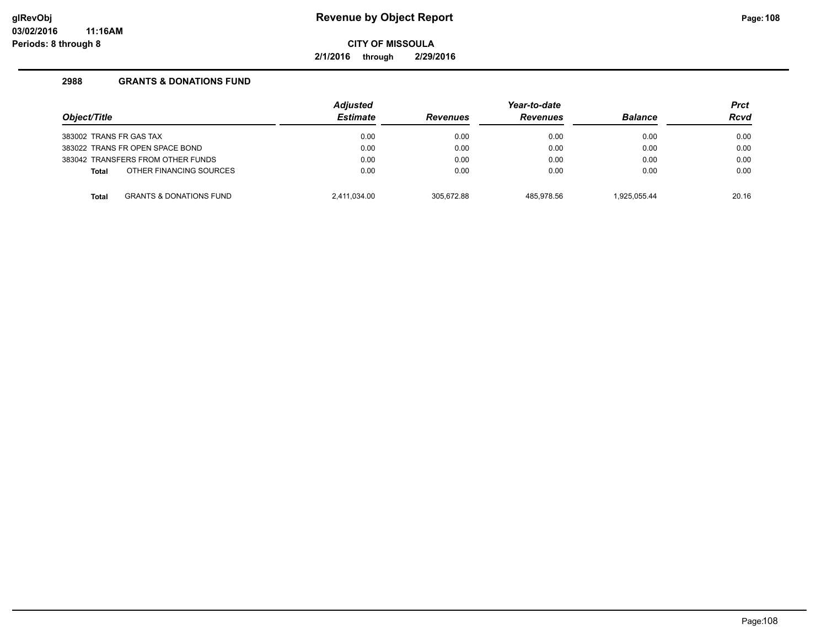**2/1/2016 through 2/29/2016**

| Object/Title<br>383002 TRANS FR GAS TAX |                                    | <b>Adjusted</b><br><b>Estimate</b><br>0.00 | <b>Revenues</b> | Year-to-date<br><b>Revenues</b> | <b>Balance</b><br>0.00 | <b>Prct</b><br><b>Rcvd</b><br>0.00 |
|-----------------------------------------|------------------------------------|--------------------------------------------|-----------------|---------------------------------|------------------------|------------------------------------|
|                                         |                                    |                                            | 0.00            | 0.00                            |                        |                                    |
| 383022 TRANS FR OPEN SPACE BOND         |                                    | 0.00                                       | 0.00            | 0.00                            | 0.00                   | 0.00                               |
| 383042 TRANSFERS FROM OTHER FUNDS       |                                    | 0.00                                       | 0.00            | 0.00                            | 0.00                   | 0.00                               |
| Total                                   | OTHER FINANCING SOURCES            | 0.00                                       | 0.00            | 0.00                            | 0.00                   | 0.00                               |
| <b>Total</b>                            | <b>GRANTS &amp; DONATIONS FUND</b> | 2.411.034.00                               | 305.672.88      | 485.978.56                      | 1.925.055.44           | 20.16                              |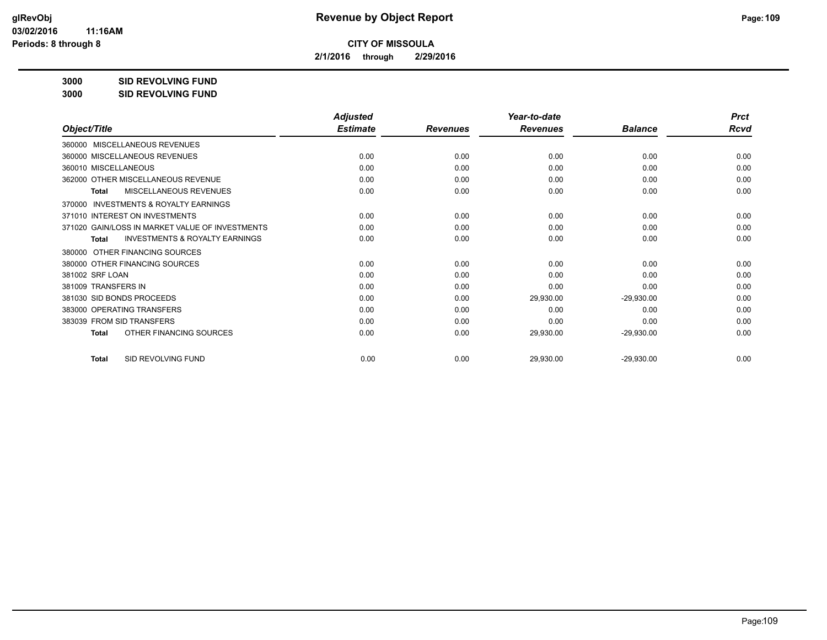**2/1/2016 through 2/29/2016**

**3000 SID REVOLVING FUND**

| 3000 | <b>SID REVOLVING FUND</b> |
|------|---------------------------|
|      |                           |

|                                                           | <b>Adjusted</b> |                 | Year-to-date    |                | <b>Prct</b> |
|-----------------------------------------------------------|-----------------|-----------------|-----------------|----------------|-------------|
| Object/Title                                              | <b>Estimate</b> | <b>Revenues</b> | <b>Revenues</b> | <b>Balance</b> | <b>Rcvd</b> |
| 360000 MISCELLANEOUS REVENUES                             |                 |                 |                 |                |             |
| 360000 MISCELLANEOUS REVENUES                             | 0.00            | 0.00            | 0.00            | 0.00           | 0.00        |
| 360010 MISCELLANEOUS                                      | 0.00            | 0.00            | 0.00            | 0.00           | 0.00        |
| 362000 OTHER MISCELLANEOUS REVENUE                        | 0.00            | 0.00            | 0.00            | 0.00           | 0.00        |
| <b>MISCELLANEOUS REVENUES</b><br><b>Total</b>             | 0.00            | 0.00            | 0.00            | 0.00           | 0.00        |
| <b>INVESTMENTS &amp; ROYALTY EARNINGS</b><br>370000       |                 |                 |                 |                |             |
| 371010 INTEREST ON INVESTMENTS                            | 0.00            | 0.00            | 0.00            | 0.00           | 0.00        |
| 371020 GAIN/LOSS IN MARKET VALUE OF INVESTMENTS           | 0.00            | 0.00            | 0.00            | 0.00           | 0.00        |
| <b>INVESTMENTS &amp; ROYALTY EARNINGS</b><br><b>Total</b> | 0.00            | 0.00            | 0.00            | 0.00           | 0.00        |
| OTHER FINANCING SOURCES<br>380000                         |                 |                 |                 |                |             |
| 380000 OTHER FINANCING SOURCES                            | 0.00            | 0.00            | 0.00            | 0.00           | 0.00        |
| 381002 SRF LOAN                                           | 0.00            | 0.00            | 0.00            | 0.00           | 0.00        |
| 381009 TRANSFERS IN                                       | 0.00            | 0.00            | 0.00            | 0.00           | 0.00        |
| 381030 SID BONDS PROCEEDS                                 | 0.00            | 0.00            | 29,930.00       | $-29,930.00$   | 0.00        |
| 383000 OPERATING TRANSFERS                                | 0.00            | 0.00            | 0.00            | 0.00           | 0.00        |
| 383039 FROM SID TRANSFERS                                 | 0.00            | 0.00            | 0.00            | 0.00           | 0.00        |
| OTHER FINANCING SOURCES<br><b>Total</b>                   | 0.00            | 0.00            | 29,930.00       | $-29,930.00$   | 0.00        |
| SID REVOLVING FUND<br><b>Total</b>                        | 0.00            | 0.00            | 29,930.00       | $-29,930.00$   | 0.00        |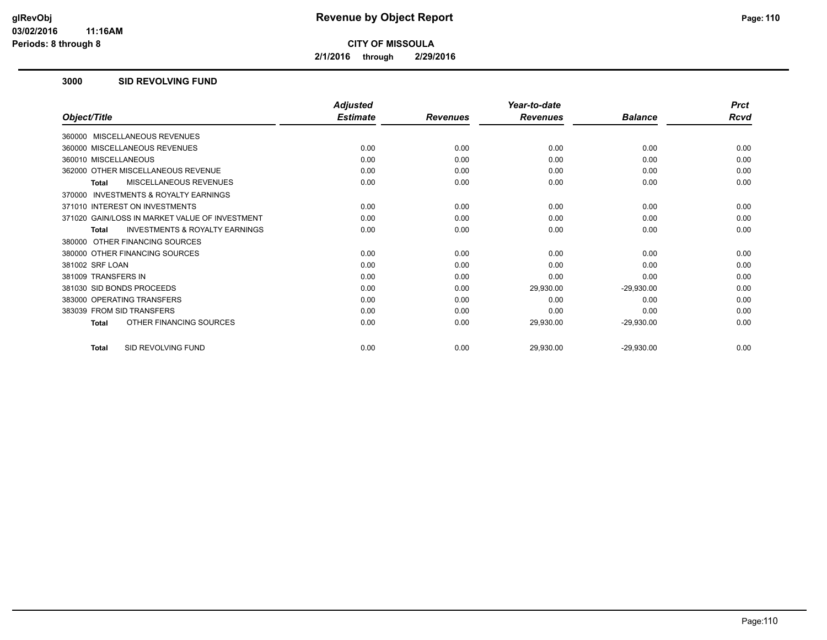**2/1/2016 through 2/29/2016**

#### **3000 SID REVOLVING FUND**

|                                                           | <b>Adjusted</b> |                 | Year-to-date    |                | <b>Prct</b> |
|-----------------------------------------------------------|-----------------|-----------------|-----------------|----------------|-------------|
| Object/Title                                              | <b>Estimate</b> | <b>Revenues</b> | <b>Revenues</b> | <b>Balance</b> | Rcvd        |
| 360000 MISCELLANEOUS REVENUES                             |                 |                 |                 |                |             |
| 360000 MISCELLANEOUS REVENUES                             | 0.00            | 0.00            | 0.00            | 0.00           | 0.00        |
| 360010 MISCELLANEOUS                                      | 0.00            | 0.00            | 0.00            | 0.00           | 0.00        |
| 362000 OTHER MISCELLANEOUS REVENUE                        | 0.00            | 0.00            | 0.00            | 0.00           | 0.00        |
| <b>MISCELLANEOUS REVENUES</b><br><b>Total</b>             | 0.00            | 0.00            | 0.00            | 0.00           | 0.00        |
| INVESTMENTS & ROYALTY EARNINGS<br>370000                  |                 |                 |                 |                |             |
| 371010 INTEREST ON INVESTMENTS                            | 0.00            | 0.00            | 0.00            | 0.00           | 0.00        |
| 371020 GAIN/LOSS IN MARKET VALUE OF INVESTMENT            | 0.00            | 0.00            | 0.00            | 0.00           | 0.00        |
| <b>INVESTMENTS &amp; ROYALTY EARNINGS</b><br><b>Total</b> | 0.00            | 0.00            | 0.00            | 0.00           | 0.00        |
| 380000 OTHER FINANCING SOURCES                            |                 |                 |                 |                |             |
| 380000 OTHER FINANCING SOURCES                            | 0.00            | 0.00            | 0.00            | 0.00           | 0.00        |
| 381002 SRF LOAN                                           | 0.00            | 0.00            | 0.00            | 0.00           | 0.00        |
| 381009 TRANSFERS IN                                       | 0.00            | 0.00            | 0.00            | 0.00           | 0.00        |
| 381030 SID BONDS PROCEEDS                                 | 0.00            | 0.00            | 29,930.00       | $-29,930.00$   | 0.00        |
| 383000 OPERATING TRANSFERS                                | 0.00            | 0.00            | 0.00            | 0.00           | 0.00        |
| 383039 FROM SID TRANSFERS                                 | 0.00            | 0.00            | 0.00            | 0.00           | 0.00        |
| OTHER FINANCING SOURCES<br><b>Total</b>                   | 0.00            | 0.00            | 29,930.00       | $-29,930.00$   | 0.00        |
| SID REVOLVING FUND<br><b>Total</b>                        | 0.00            | 0.00            | 29,930.00       | $-29,930.00$   | 0.00        |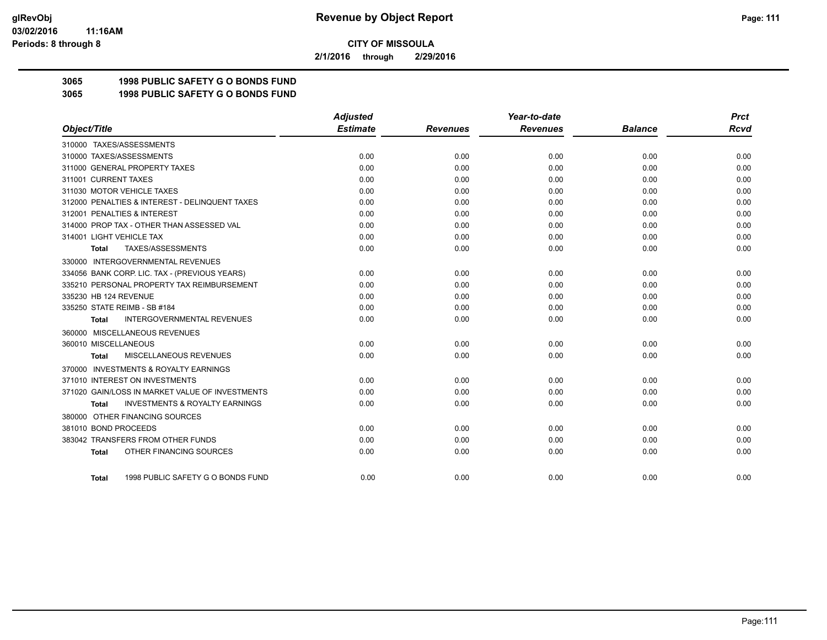**2/1/2016 through 2/29/2016**

# **3065 1998 PUBLIC SAFETY G O BONDS FUND**

**3065 1998 PUBLIC SAFETY G O BONDS FUND**

|                                                    | <b>Adjusted</b> |                 | Year-to-date    |                | <b>Prct</b> |
|----------------------------------------------------|-----------------|-----------------|-----------------|----------------|-------------|
| Object/Title                                       | <b>Estimate</b> | <b>Revenues</b> | <b>Revenues</b> | <b>Balance</b> | Rcvd        |
| 310000 TAXES/ASSESSMENTS                           |                 |                 |                 |                |             |
| 310000 TAXES/ASSESSMENTS                           | 0.00            | 0.00            | 0.00            | 0.00           | 0.00        |
| 311000 GENERAL PROPERTY TAXES                      | 0.00            | 0.00            | 0.00            | 0.00           | 0.00        |
| 311001 CURRENT TAXES                               | 0.00            | 0.00            | 0.00            | 0.00           | 0.00        |
| 311030 MOTOR VEHICLE TAXES                         | 0.00            | 0.00            | 0.00            | 0.00           | 0.00        |
| 312000 PENALTIES & INTEREST - DELINQUENT TAXES     | 0.00            | 0.00            | 0.00            | 0.00           | 0.00        |
| 312001 PENALTIES & INTEREST                        | 0.00            | 0.00            | 0.00            | 0.00           | 0.00        |
| 314000 PROP TAX - OTHER THAN ASSESSED VAL          | 0.00            | 0.00            | 0.00            | 0.00           | 0.00        |
| 314001 LIGHT VEHICLE TAX                           | 0.00            | 0.00            | 0.00            | 0.00           | 0.00        |
| TAXES/ASSESSMENTS<br>Total                         | 0.00            | 0.00            | 0.00            | 0.00           | 0.00        |
| 330000 INTERGOVERNMENTAL REVENUES                  |                 |                 |                 |                |             |
| 334056 BANK CORP. LIC. TAX - (PREVIOUS YEARS)      | 0.00            | 0.00            | 0.00            | 0.00           | 0.00        |
| 335210 PERSONAL PROPERTY TAX REIMBURSEMENT         | 0.00            | 0.00            | 0.00            | 0.00           | 0.00        |
| 335230 HB 124 REVENUE                              | 0.00            | 0.00            | 0.00            | 0.00           | 0.00        |
| 335250 STATE REIMB - SB #184                       | 0.00            | 0.00            | 0.00            | 0.00           | 0.00        |
| <b>INTERGOVERNMENTAL REVENUES</b><br><b>Total</b>  | 0.00            | 0.00            | 0.00            | 0.00           | 0.00        |
| 360000 MISCELLANEOUS REVENUES                      |                 |                 |                 |                |             |
| 360010 MISCELLANEOUS                               | 0.00            | 0.00            | 0.00            | 0.00           | 0.00        |
| MISCELLANEOUS REVENUES<br><b>Total</b>             | 0.00            | 0.00            | 0.00            | 0.00           | 0.00        |
| 370000 INVESTMENTS & ROYALTY EARNINGS              |                 |                 |                 |                |             |
| 371010 INTEREST ON INVESTMENTS                     | 0.00            | 0.00            | 0.00            | 0.00           | 0.00        |
| 371020 GAIN/LOSS IN MARKET VALUE OF INVESTMENTS    | 0.00            | 0.00            | 0.00            | 0.00           | 0.00        |
| <b>INVESTMENTS &amp; ROYALTY EARNINGS</b><br>Total | 0.00            | 0.00            | 0.00            | 0.00           | 0.00        |
| 380000 OTHER FINANCING SOURCES                     |                 |                 |                 |                |             |
| 381010 BOND PROCEEDS                               | 0.00            | 0.00            | 0.00            | 0.00           | 0.00        |
| 383042 TRANSFERS FROM OTHER FUNDS                  | 0.00            | 0.00            | 0.00            | 0.00           | 0.00        |
| OTHER FINANCING SOURCES<br><b>Total</b>            | 0.00            | 0.00            | 0.00            | 0.00           | 0.00        |
| 1998 PUBLIC SAFETY G O BONDS FUND<br>Total         | 0.00            | 0.00            | 0.00            | 0.00           | 0.00        |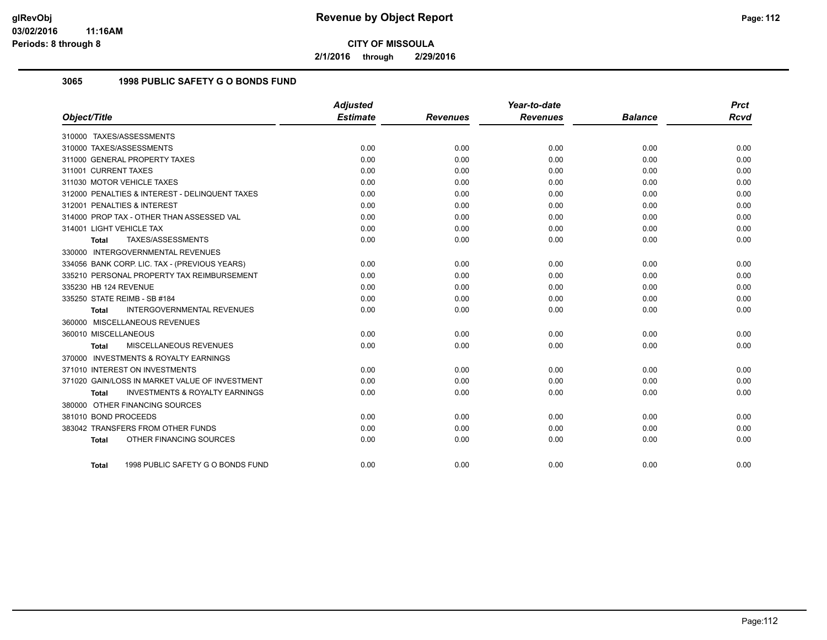**2/1/2016 through 2/29/2016**

## **3065 1998 PUBLIC SAFETY G O BONDS FUND**

|                                                    | <b>Adjusted</b> |                 | Year-to-date    |                | <b>Prct</b> |
|----------------------------------------------------|-----------------|-----------------|-----------------|----------------|-------------|
| Object/Title                                       | <b>Estimate</b> | <b>Revenues</b> | <b>Revenues</b> | <b>Balance</b> | <b>Rcvd</b> |
| 310000 TAXES/ASSESSMENTS                           |                 |                 |                 |                |             |
| 310000 TAXES/ASSESSMENTS                           | 0.00            | 0.00            | 0.00            | 0.00           | 0.00        |
| 311000 GENERAL PROPERTY TAXES                      | 0.00            | 0.00            | 0.00            | 0.00           | 0.00        |
| 311001 CURRENT TAXES                               | 0.00            | 0.00            | 0.00            | 0.00           | 0.00        |
| 311030 MOTOR VEHICLE TAXES                         | 0.00            | 0.00            | 0.00            | 0.00           | 0.00        |
| 312000 PENALTIES & INTEREST - DELINQUENT TAXES     | 0.00            | 0.00            | 0.00            | 0.00           | 0.00        |
| 312001 PENALTIES & INTEREST                        | 0.00            | 0.00            | 0.00            | 0.00           | 0.00        |
| 314000 PROP TAX - OTHER THAN ASSESSED VAL          | 0.00            | 0.00            | 0.00            | 0.00           | 0.00        |
| 314001 LIGHT VEHICLE TAX                           | 0.00            | 0.00            | 0.00            | 0.00           | 0.00        |
| TAXES/ASSESSMENTS<br>Total                         | 0.00            | 0.00            | 0.00            | 0.00           | 0.00        |
| 330000 INTERGOVERNMENTAL REVENUES                  |                 |                 |                 |                |             |
| 334056 BANK CORP. LIC. TAX - (PREVIOUS YEARS)      | 0.00            | 0.00            | 0.00            | 0.00           | 0.00        |
| 335210 PERSONAL PROPERTY TAX REIMBURSEMENT         | 0.00            | 0.00            | 0.00            | 0.00           | 0.00        |
| 335230 HB 124 REVENUE                              | 0.00            | 0.00            | 0.00            | 0.00           | 0.00        |
| 335250 STATE REIMB - SB #184                       | 0.00            | 0.00            | 0.00            | 0.00           | 0.00        |
| INTERGOVERNMENTAL REVENUES<br><b>Total</b>         | 0.00            | 0.00            | 0.00            | 0.00           | 0.00        |
| 360000 MISCELLANEOUS REVENUES                      |                 |                 |                 |                |             |
| 360010 MISCELLANEOUS                               | 0.00            | 0.00            | 0.00            | 0.00           | 0.00        |
| <b>MISCELLANEOUS REVENUES</b><br>Total             | 0.00            | 0.00            | 0.00            | 0.00           | 0.00        |
| 370000 INVESTMENTS & ROYALTY EARNINGS              |                 |                 |                 |                |             |
| 371010 INTEREST ON INVESTMENTS                     | 0.00            | 0.00            | 0.00            | 0.00           | 0.00        |
| 371020 GAIN/LOSS IN MARKET VALUE OF INVESTMENT     | 0.00            | 0.00            | 0.00            | 0.00           | 0.00        |
| <b>INVESTMENTS &amp; ROYALTY EARNINGS</b><br>Total | 0.00            | 0.00            | 0.00            | 0.00           | 0.00        |
| 380000 OTHER FINANCING SOURCES                     |                 |                 |                 |                |             |
| 381010 BOND PROCEEDS                               | 0.00            | 0.00            | 0.00            | 0.00           | 0.00        |
| 383042 TRANSFERS FROM OTHER FUNDS                  | 0.00            | 0.00            | 0.00            | 0.00           | 0.00        |
| OTHER FINANCING SOURCES<br><b>Total</b>            | 0.00            | 0.00            | 0.00            | 0.00           | 0.00        |
| 1998 PUBLIC SAFETY G O BONDS FUND<br>Total         | 0.00            | 0.00            | 0.00            | 0.00           | 0.00        |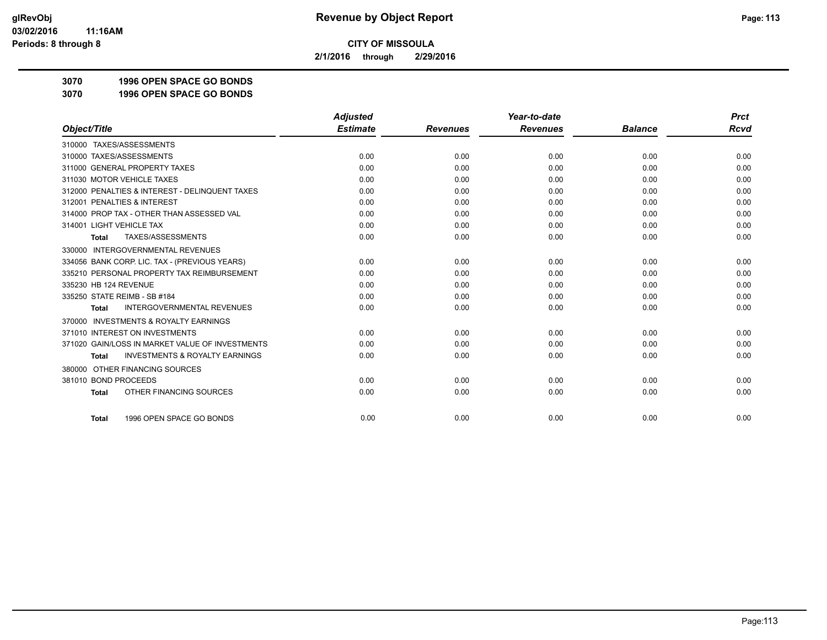**2/1/2016 through 2/29/2016**

**3070 1996 OPEN SPACE GO BONDS**

**3070 1996 OPEN SPACE GO BONDS**

|                                                     | <b>Adjusted</b> |                 | Year-to-date    |                | <b>Prct</b> |
|-----------------------------------------------------|-----------------|-----------------|-----------------|----------------|-------------|
| Object/Title                                        | <b>Estimate</b> | <b>Revenues</b> | <b>Revenues</b> | <b>Balance</b> | Rcvd        |
| 310000 TAXES/ASSESSMENTS                            |                 |                 |                 |                |             |
| 310000 TAXES/ASSESSMENTS                            | 0.00            | 0.00            | 0.00            | 0.00           | 0.00        |
| 311000 GENERAL PROPERTY TAXES                       | 0.00            | 0.00            | 0.00            | 0.00           | 0.00        |
| 311030 MOTOR VEHICLE TAXES                          | 0.00            | 0.00            | 0.00            | 0.00           | 0.00        |
| 312000 PENALTIES & INTEREST - DELINQUENT TAXES      | 0.00            | 0.00            | 0.00            | 0.00           | 0.00        |
| 312001 PENALTIES & INTEREST                         | 0.00            | 0.00            | 0.00            | 0.00           | 0.00        |
| 314000 PROP TAX - OTHER THAN ASSESSED VAL           | 0.00            | 0.00            | 0.00            | 0.00           | 0.00        |
| 314001 LIGHT VEHICLE TAX                            | 0.00            | 0.00            | 0.00            | 0.00           | 0.00        |
| <b>TAXES/ASSESSMENTS</b><br><b>Total</b>            | 0.00            | 0.00            | 0.00            | 0.00           | 0.00        |
| 330000 INTERGOVERNMENTAL REVENUES                   |                 |                 |                 |                |             |
| 334056 BANK CORP. LIC. TAX - (PREVIOUS YEARS)       | 0.00            | 0.00            | 0.00            | 0.00           | 0.00        |
| 335210 PERSONAL PROPERTY TAX REIMBURSEMENT          | 0.00            | 0.00            | 0.00            | 0.00           | 0.00        |
| 335230 HB 124 REVENUE                               | 0.00            | 0.00            | 0.00            | 0.00           | 0.00        |
| 335250 STATE REIMB - SB #184                        | 0.00            | 0.00            | 0.00            | 0.00           | 0.00        |
| <b>INTERGOVERNMENTAL REVENUES</b><br><b>Total</b>   | 0.00            | 0.00            | 0.00            | 0.00           | 0.00        |
| <b>INVESTMENTS &amp; ROYALTY EARNINGS</b><br>370000 |                 |                 |                 |                |             |
| 371010 INTEREST ON INVESTMENTS                      | 0.00            | 0.00            | 0.00            | 0.00           | 0.00        |
| 371020 GAIN/LOSS IN MARKET VALUE OF INVESTMENTS     | 0.00            | 0.00            | 0.00            | 0.00           | 0.00        |
| <b>INVESTMENTS &amp; ROYALTY EARNINGS</b><br>Total  | 0.00            | 0.00            | 0.00            | 0.00           | 0.00        |
| OTHER FINANCING SOURCES<br>380000                   |                 |                 |                 |                |             |
| 381010 BOND PROCEEDS                                | 0.00            | 0.00            | 0.00            | 0.00           | 0.00        |
| OTHER FINANCING SOURCES<br><b>Total</b>             | 0.00            | 0.00            | 0.00            | 0.00           | 0.00        |
| 1996 OPEN SPACE GO BONDS<br><b>Total</b>            | 0.00            | 0.00            | 0.00            | 0.00           | 0.00        |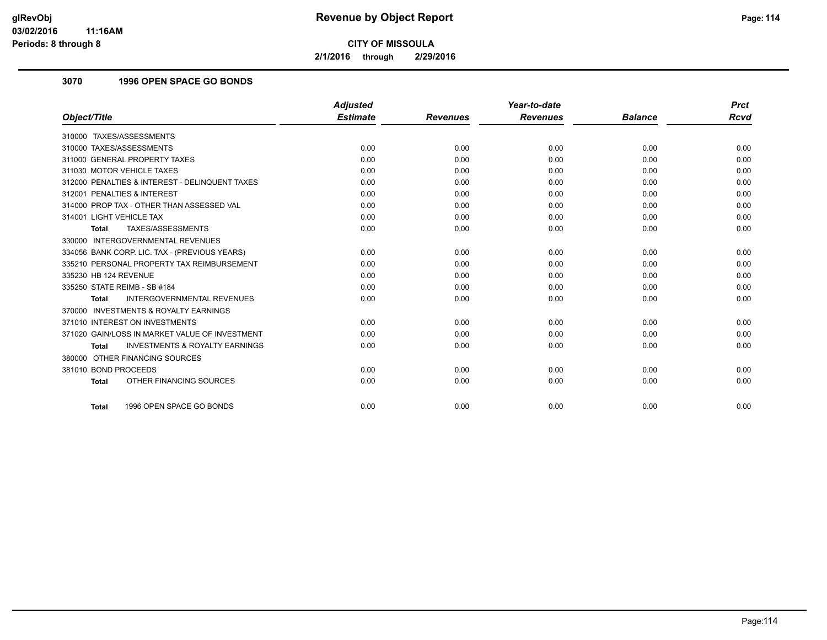**2/1/2016 through 2/29/2016**

## **3070 1996 OPEN SPACE GO BONDS**

|                                                           | <b>Adjusted</b> |                 | Year-to-date    |                | <b>Prct</b> |
|-----------------------------------------------------------|-----------------|-----------------|-----------------|----------------|-------------|
| Object/Title                                              | <b>Estimate</b> | <b>Revenues</b> | <b>Revenues</b> | <b>Balance</b> | <b>Rcvd</b> |
| 310000 TAXES/ASSESSMENTS                                  |                 |                 |                 |                |             |
| 310000 TAXES/ASSESSMENTS                                  | 0.00            | 0.00            | 0.00            | 0.00           | 0.00        |
| 311000 GENERAL PROPERTY TAXES                             | 0.00            | 0.00            | 0.00            | 0.00           | 0.00        |
| 311030 MOTOR VEHICLE TAXES                                | 0.00            | 0.00            | 0.00            | 0.00           | 0.00        |
| 312000 PENALTIES & INTEREST - DELINQUENT TAXES            | 0.00            | 0.00            | 0.00            | 0.00           | 0.00        |
| 312001 PENALTIES & INTEREST                               | 0.00            | 0.00            | 0.00            | 0.00           | 0.00        |
| 314000 PROP TAX - OTHER THAN ASSESSED VAL                 | 0.00            | 0.00            | 0.00            | 0.00           | 0.00        |
| 314001 LIGHT VEHICLE TAX                                  | 0.00            | 0.00            | 0.00            | 0.00           | 0.00        |
| TAXES/ASSESSMENTS<br><b>Total</b>                         | 0.00            | 0.00            | 0.00            | 0.00           | 0.00        |
| 330000 INTERGOVERNMENTAL REVENUES                         |                 |                 |                 |                |             |
| 334056 BANK CORP. LIC. TAX - (PREVIOUS YEARS)             | 0.00            | 0.00            | 0.00            | 0.00           | 0.00        |
| 335210 PERSONAL PROPERTY TAX REIMBURSEMENT                | 0.00            | 0.00            | 0.00            | 0.00           | 0.00        |
| 335230 HB 124 REVENUE                                     | 0.00            | 0.00            | 0.00            | 0.00           | 0.00        |
| 335250 STATE REIMB - SB #184                              | 0.00            | 0.00            | 0.00            | 0.00           | 0.00        |
| <b>INTERGOVERNMENTAL REVENUES</b><br><b>Total</b>         | 0.00            | 0.00            | 0.00            | 0.00           | 0.00        |
| 370000 INVESTMENTS & ROYALTY EARNINGS                     |                 |                 |                 |                |             |
| 371010 INTEREST ON INVESTMENTS                            | 0.00            | 0.00            | 0.00            | 0.00           | 0.00        |
| 371020 GAIN/LOSS IN MARKET VALUE OF INVESTMENT            | 0.00            | 0.00            | 0.00            | 0.00           | 0.00        |
| <b>INVESTMENTS &amp; ROYALTY EARNINGS</b><br><b>Total</b> | 0.00            | 0.00            | 0.00            | 0.00           | 0.00        |
| 380000 OTHER FINANCING SOURCES                            |                 |                 |                 |                |             |
| 381010 BOND PROCEEDS                                      | 0.00            | 0.00            | 0.00            | 0.00           | 0.00        |
| OTHER FINANCING SOURCES<br><b>Total</b>                   | 0.00            | 0.00            | 0.00            | 0.00           | 0.00        |
|                                                           |                 |                 |                 |                |             |
| 1996 OPEN SPACE GO BONDS<br><b>Total</b>                  | 0.00            | 0.00            | 0.00            | 0.00           | 0.00        |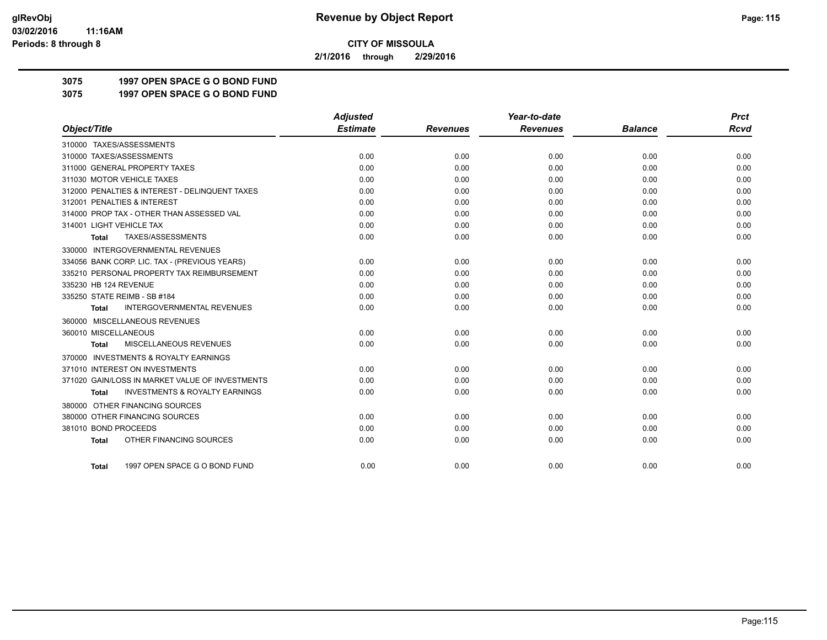**2/1/2016 through 2/29/2016**

**3075 1997 OPEN SPACE G O BOND FUND**

**3075 1997 OPEN SPACE G O BOND FUND**

|                                                           | <b>Adjusted</b> |                 | Year-to-date    |                | <b>Prct</b> |
|-----------------------------------------------------------|-----------------|-----------------|-----------------|----------------|-------------|
| Object/Title                                              | <b>Estimate</b> | <b>Revenues</b> | <b>Revenues</b> | <b>Balance</b> | <b>Rcvd</b> |
| 310000 TAXES/ASSESSMENTS                                  |                 |                 |                 |                |             |
| 310000 TAXES/ASSESSMENTS                                  | 0.00            | 0.00            | 0.00            | 0.00           | 0.00        |
| 311000 GENERAL PROPERTY TAXES                             | 0.00            | 0.00            | 0.00            | 0.00           | 0.00        |
| 311030 MOTOR VEHICLE TAXES                                | 0.00            | 0.00            | 0.00            | 0.00           | 0.00        |
| 312000 PENALTIES & INTEREST - DELINQUENT TAXES            | 0.00            | 0.00            | 0.00            | 0.00           | 0.00        |
| 312001 PENALTIES & INTEREST                               | 0.00            | 0.00            | 0.00            | 0.00           | 0.00        |
| 314000 PROP TAX - OTHER THAN ASSESSED VAL                 | 0.00            | 0.00            | 0.00            | 0.00           | 0.00        |
| 314001 LIGHT VEHICLE TAX                                  | 0.00            | 0.00            | 0.00            | 0.00           | 0.00        |
| TAXES/ASSESSMENTS<br>Total                                | 0.00            | 0.00            | 0.00            | 0.00           | 0.00        |
| 330000 INTERGOVERNMENTAL REVENUES                         |                 |                 |                 |                |             |
| 334056 BANK CORP. LIC. TAX - (PREVIOUS YEARS)             | 0.00            | 0.00            | 0.00            | 0.00           | 0.00        |
| 335210 PERSONAL PROPERTY TAX REIMBURSEMENT                | 0.00            | 0.00            | 0.00            | 0.00           | 0.00        |
| 335230 HB 124 REVENUE                                     | 0.00            | 0.00            | 0.00            | 0.00           | 0.00        |
| 335250 STATE REIMB - SB #184                              | 0.00            | 0.00            | 0.00            | 0.00           | 0.00        |
| <b>INTERGOVERNMENTAL REVENUES</b><br><b>Total</b>         | 0.00            | 0.00            | 0.00            | 0.00           | 0.00        |
| 360000 MISCELLANEOUS REVENUES                             |                 |                 |                 |                |             |
| 360010 MISCELLANEOUS                                      | 0.00            | 0.00            | 0.00            | 0.00           | 0.00        |
| MISCELLANEOUS REVENUES<br><b>Total</b>                    | 0.00            | 0.00            | 0.00            | 0.00           | 0.00        |
| 370000 INVESTMENTS & ROYALTY EARNINGS                     |                 |                 |                 |                |             |
| 371010 INTEREST ON INVESTMENTS                            | 0.00            | 0.00            | 0.00            | 0.00           | 0.00        |
| 371020 GAIN/LOSS IN MARKET VALUE OF INVESTMENTS           | 0.00            | 0.00            | 0.00            | 0.00           | 0.00        |
| <b>INVESTMENTS &amp; ROYALTY EARNINGS</b><br><b>Total</b> | 0.00            | 0.00            | 0.00            | 0.00           | 0.00        |
| 380000 OTHER FINANCING SOURCES                            |                 |                 |                 |                |             |
| 380000 OTHER FINANCING SOURCES                            | 0.00            | 0.00            | 0.00            | 0.00           | 0.00        |
| 381010 BOND PROCEEDS                                      | 0.00            | 0.00            | 0.00            | 0.00           | 0.00        |
| OTHER FINANCING SOURCES<br><b>Total</b>                   | 0.00            | 0.00            | 0.00            | 0.00           | 0.00        |
|                                                           |                 |                 |                 |                |             |
| 1997 OPEN SPACE G O BOND FUND<br><b>Total</b>             | 0.00            | 0.00            | 0.00            | 0.00           | 0.00        |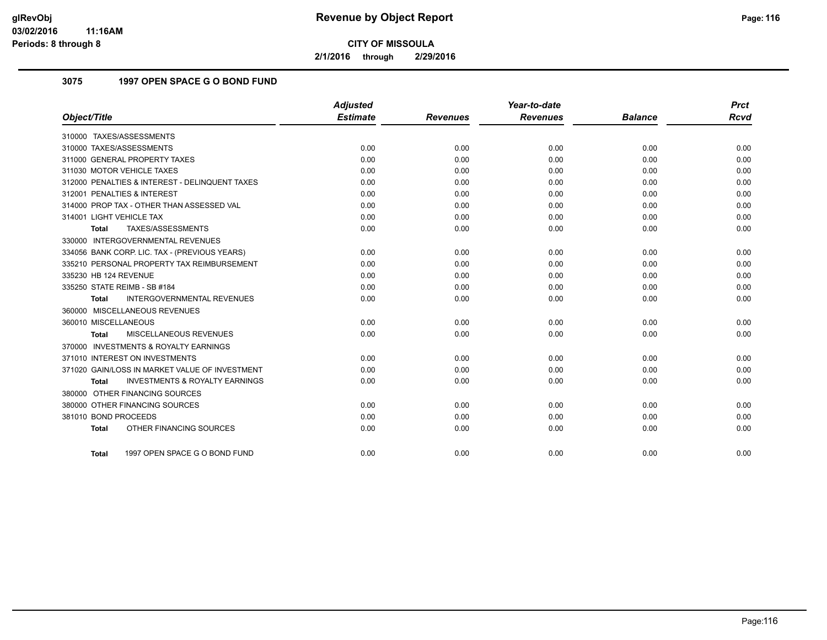**2/1/2016 through 2/29/2016**

# **3075 1997 OPEN SPACE G O BOND FUND**

|                                                           | <b>Adjusted</b> |                 | Year-to-date    |                | <b>Prct</b> |
|-----------------------------------------------------------|-----------------|-----------------|-----------------|----------------|-------------|
| Object/Title                                              | <b>Estimate</b> | <b>Revenues</b> | <b>Revenues</b> | <b>Balance</b> | <b>Rcvd</b> |
| 310000 TAXES/ASSESSMENTS                                  |                 |                 |                 |                |             |
| 310000 TAXES/ASSESSMENTS                                  | 0.00            | 0.00            | 0.00            | 0.00           | 0.00        |
| 311000 GENERAL PROPERTY TAXES                             | 0.00            | 0.00            | 0.00            | 0.00           | 0.00        |
| 311030 MOTOR VEHICLE TAXES                                | 0.00            | 0.00            | 0.00            | 0.00           | 0.00        |
| 312000 PENALTIES & INTEREST - DELINQUENT TAXES            | 0.00            | 0.00            | 0.00            | 0.00           | 0.00        |
| 312001 PENALTIES & INTEREST                               | 0.00            | 0.00            | 0.00            | 0.00           | 0.00        |
| 314000 PROP TAX - OTHER THAN ASSESSED VAL                 | 0.00            | 0.00            | 0.00            | 0.00           | 0.00        |
| 314001 LIGHT VEHICLE TAX                                  | 0.00            | 0.00            | 0.00            | 0.00           | 0.00        |
| TAXES/ASSESSMENTS<br><b>Total</b>                         | 0.00            | 0.00            | 0.00            | 0.00           | 0.00        |
| 330000 INTERGOVERNMENTAL REVENUES                         |                 |                 |                 |                |             |
| 334056 BANK CORP. LIC. TAX - (PREVIOUS YEARS)             | 0.00            | 0.00            | 0.00            | 0.00           | 0.00        |
| 335210 PERSONAL PROPERTY TAX REIMBURSEMENT                | 0.00            | 0.00            | 0.00            | 0.00           | 0.00        |
| 335230 HB 124 REVENUE                                     | 0.00            | 0.00            | 0.00            | 0.00           | 0.00        |
| 335250 STATE REIMB - SB #184                              | 0.00            | 0.00            | 0.00            | 0.00           | 0.00        |
| INTERGOVERNMENTAL REVENUES<br><b>Total</b>                | 0.00            | 0.00            | 0.00            | 0.00           | 0.00        |
| 360000 MISCELLANEOUS REVENUES                             |                 |                 |                 |                |             |
| 360010 MISCELLANEOUS                                      | 0.00            | 0.00            | 0.00            | 0.00           | 0.00        |
| <b>MISCELLANEOUS REVENUES</b><br>Total                    | 0.00            | 0.00            | 0.00            | 0.00           | 0.00        |
| 370000 INVESTMENTS & ROYALTY EARNINGS                     |                 |                 |                 |                |             |
| 371010 INTEREST ON INVESTMENTS                            | 0.00            | 0.00            | 0.00            | 0.00           | 0.00        |
| 371020 GAIN/LOSS IN MARKET VALUE OF INVESTMENT            | 0.00            | 0.00            | 0.00            | 0.00           | 0.00        |
| <b>INVESTMENTS &amp; ROYALTY EARNINGS</b><br><b>Total</b> | 0.00            | 0.00            | 0.00            | 0.00           | 0.00        |
| 380000 OTHER FINANCING SOURCES                            |                 |                 |                 |                |             |
| 380000 OTHER FINANCING SOURCES                            | 0.00            | 0.00            | 0.00            | 0.00           | 0.00        |
| 381010 BOND PROCEEDS                                      | 0.00            | 0.00            | 0.00            | 0.00           | 0.00        |
| OTHER FINANCING SOURCES<br><b>Total</b>                   | 0.00            | 0.00            | 0.00            | 0.00           | 0.00        |
| 1997 OPEN SPACE G O BOND FUND<br>Total                    | 0.00            | 0.00            | 0.00            | 0.00           | 0.00        |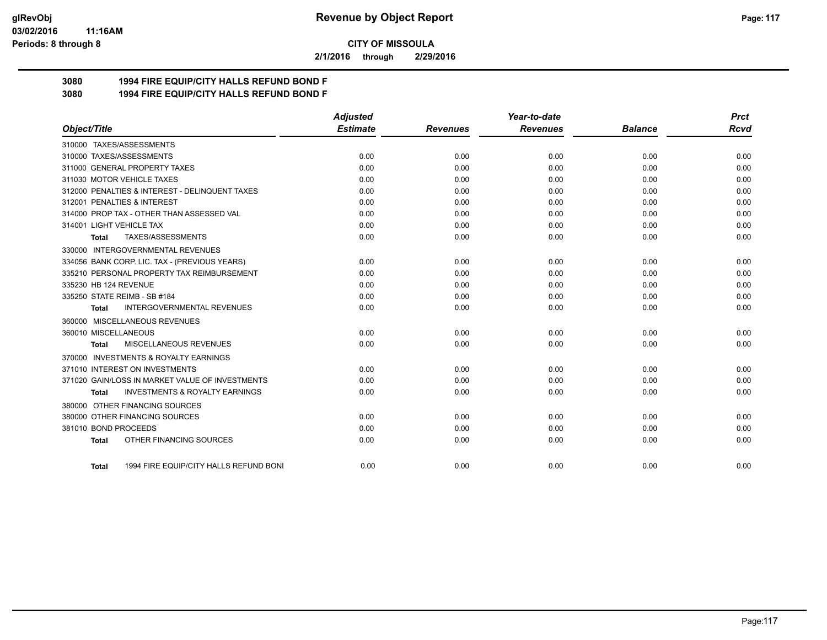#### **03/02/2016 11:16AM Periods: 8 through 8**

**CITY OF MISSOULA**

**2/1/2016 through 2/29/2016**

# **3080 1994 FIRE EQUIP/CITY HALLS REFUND BOND F**

**3080 1994 FIRE EQUIP/CITY HALLS REFUND BOND F**

|                                                           | <b>Adjusted</b> |                 | Year-to-date    |                | <b>Prct</b> |
|-----------------------------------------------------------|-----------------|-----------------|-----------------|----------------|-------------|
| Object/Title                                              | <b>Estimate</b> | <b>Revenues</b> | <b>Revenues</b> | <b>Balance</b> | Rcvd        |
| 310000 TAXES/ASSESSMENTS                                  |                 |                 |                 |                |             |
| 310000 TAXES/ASSESSMENTS                                  | 0.00            | 0.00            | 0.00            | 0.00           | 0.00        |
| 311000 GENERAL PROPERTY TAXES                             | 0.00            | 0.00            | 0.00            | 0.00           | 0.00        |
| 311030 MOTOR VEHICLE TAXES                                | 0.00            | 0.00            | 0.00            | 0.00           | 0.00        |
| 312000 PENALTIES & INTEREST - DELINQUENT TAXES            | 0.00            | 0.00            | 0.00            | 0.00           | 0.00        |
| 312001 PENALTIES & INTEREST                               | 0.00            | 0.00            | 0.00            | 0.00           | 0.00        |
| 314000 PROP TAX - OTHER THAN ASSESSED VAL                 | 0.00            | 0.00            | 0.00            | 0.00           | 0.00        |
| 314001 LIGHT VEHICLE TAX                                  | 0.00            | 0.00            | 0.00            | 0.00           | 0.00        |
| TAXES/ASSESSMENTS<br><b>Total</b>                         | 0.00            | 0.00            | 0.00            | 0.00           | 0.00        |
| 330000 INTERGOVERNMENTAL REVENUES                         |                 |                 |                 |                |             |
| 334056 BANK CORP. LIC. TAX - (PREVIOUS YEARS)             | 0.00            | 0.00            | 0.00            | 0.00           | 0.00        |
| 335210 PERSONAL PROPERTY TAX REIMBURSEMENT                | 0.00            | 0.00            | 0.00            | 0.00           | 0.00        |
| 335230 HB 124 REVENUE                                     | 0.00            | 0.00            | 0.00            | 0.00           | 0.00        |
| 335250 STATE REIMB - SB #184                              | 0.00            | 0.00            | 0.00            | 0.00           | 0.00        |
| <b>INTERGOVERNMENTAL REVENUES</b><br>Total                | 0.00            | 0.00            | 0.00            | 0.00           | 0.00        |
| 360000 MISCELLANEOUS REVENUES                             |                 |                 |                 |                |             |
| 360010 MISCELLANEOUS                                      | 0.00            | 0.00            | 0.00            | 0.00           | 0.00        |
| MISCELLANEOUS REVENUES<br><b>Total</b>                    | 0.00            | 0.00            | 0.00            | 0.00           | 0.00        |
| 370000 INVESTMENTS & ROYALTY EARNINGS                     |                 |                 |                 |                |             |
| 371010 INTEREST ON INVESTMENTS                            | 0.00            | 0.00            | 0.00            | 0.00           | 0.00        |
| 371020 GAIN/LOSS IN MARKET VALUE OF INVESTMENTS           | 0.00            | 0.00            | 0.00            | 0.00           | 0.00        |
| <b>INVESTMENTS &amp; ROYALTY EARNINGS</b><br><b>Total</b> | 0.00            | 0.00            | 0.00            | 0.00           | 0.00        |
| 380000 OTHER FINANCING SOURCES                            |                 |                 |                 |                |             |
| 380000 OTHER FINANCING SOURCES                            | 0.00            | 0.00            | 0.00            | 0.00           | 0.00        |
| 381010 BOND PROCEEDS                                      | 0.00            | 0.00            | 0.00            | 0.00           | 0.00        |
| OTHER FINANCING SOURCES<br><b>Total</b>                   | 0.00            | 0.00            | 0.00            | 0.00           | 0.00        |
| 1994 FIRE EQUIP/CITY HALLS REFUND BONI<br>Total           | 0.00            | 0.00            | 0.00            | 0.00           | 0.00        |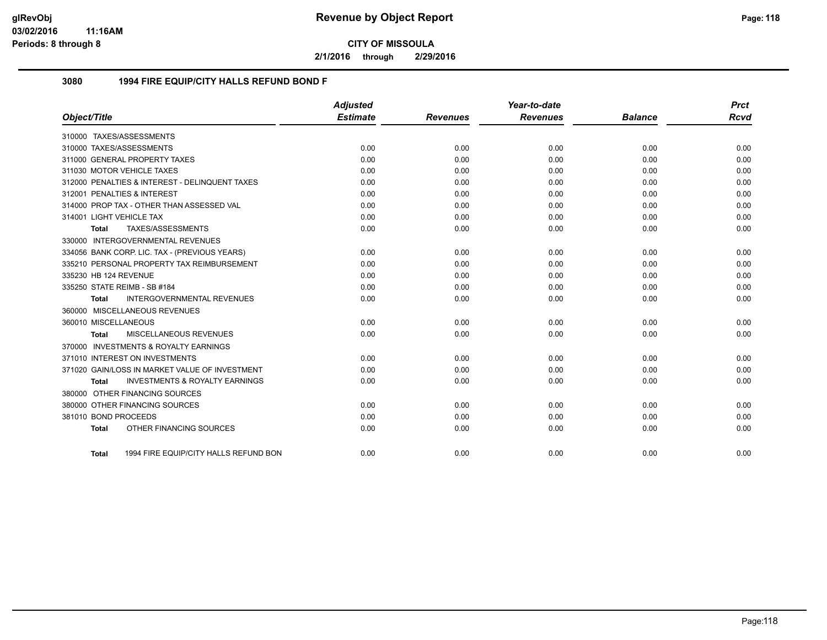**2/1/2016 through 2/29/2016**

#### **3080 1994 FIRE EQUIP/CITY HALLS REFUND BOND F**

|                          |                                                | <b>Adjusted</b> |                 | Year-to-date    |                | <b>Prct</b> |
|--------------------------|------------------------------------------------|-----------------|-----------------|-----------------|----------------|-------------|
| Object/Title             |                                                | <b>Estimate</b> | <b>Revenues</b> | <b>Revenues</b> | <b>Balance</b> | <b>Rcvd</b> |
|                          | 310000 TAXES/ASSESSMENTS                       |                 |                 |                 |                |             |
|                          | 310000 TAXES/ASSESSMENTS                       | 0.00            | 0.00            | 0.00            | 0.00           | 0.00        |
|                          | 311000 GENERAL PROPERTY TAXES                  | 0.00            | 0.00            | 0.00            | 0.00           | 0.00        |
|                          | 311030 MOTOR VEHICLE TAXES                     | 0.00            | 0.00            | 0.00            | 0.00           | 0.00        |
|                          | 312000 PENALTIES & INTEREST - DELINQUENT TAXES | 0.00            | 0.00            | 0.00            | 0.00           | 0.00        |
|                          | 312001 PENALTIES & INTEREST                    | 0.00            | 0.00            | 0.00            | 0.00           | 0.00        |
|                          | 314000 PROP TAX - OTHER THAN ASSESSED VAL      | 0.00            | 0.00            | 0.00            | 0.00           | 0.00        |
| 314001 LIGHT VEHICLE TAX |                                                | 0.00            | 0.00            | 0.00            | 0.00           | 0.00        |
| <b>Total</b>             | TAXES/ASSESSMENTS                              | 0.00            | 0.00            | 0.00            | 0.00           | 0.00        |
|                          | 330000 INTERGOVERNMENTAL REVENUES              |                 |                 |                 |                |             |
|                          | 334056 BANK CORP. LIC. TAX - (PREVIOUS YEARS)  | 0.00            | 0.00            | 0.00            | 0.00           | 0.00        |
|                          | 335210 PERSONAL PROPERTY TAX REIMBURSEMENT     | 0.00            | 0.00            | 0.00            | 0.00           | 0.00        |
| 335230 HB 124 REVENUE    |                                                | 0.00            | 0.00            | 0.00            | 0.00           | 0.00        |
|                          | 335250 STATE REIMB - SB #184                   | 0.00            | 0.00            | 0.00            | 0.00           | 0.00        |
| <b>Total</b>             | INTERGOVERNMENTAL REVENUES                     | 0.00            | 0.00            | 0.00            | 0.00           | 0.00        |
|                          | 360000 MISCELLANEOUS REVENUES                  |                 |                 |                 |                |             |
| 360010 MISCELLANEOUS     |                                                | 0.00            | 0.00            | 0.00            | 0.00           | 0.00        |
| Total                    | MISCELLANEOUS REVENUES                         | 0.00            | 0.00            | 0.00            | 0.00           | 0.00        |
|                          | 370000 INVESTMENTS & ROYALTY EARNINGS          |                 |                 |                 |                |             |
|                          | 371010 INTEREST ON INVESTMENTS                 | 0.00            | 0.00            | 0.00            | 0.00           | 0.00        |
|                          | 371020 GAIN/LOSS IN MARKET VALUE OF INVESTMENT | 0.00            | 0.00            | 0.00            | 0.00           | 0.00        |
| Total                    | <b>INVESTMENTS &amp; ROYALTY EARNINGS</b>      | 0.00            | 0.00            | 0.00            | 0.00           | 0.00        |
|                          | 380000 OTHER FINANCING SOURCES                 |                 |                 |                 |                |             |
|                          | 380000 OTHER FINANCING SOURCES                 | 0.00            | 0.00            | 0.00            | 0.00           | 0.00        |
| 381010 BOND PROCEEDS     |                                                | 0.00            | 0.00            | 0.00            | 0.00           | 0.00        |
| <b>Total</b>             | OTHER FINANCING SOURCES                        | 0.00            | 0.00            | 0.00            | 0.00           | 0.00        |
|                          |                                                |                 |                 |                 |                |             |
| Total                    | 1994 FIRE EQUIP/CITY HALLS REFUND BON          | 0.00            | 0.00            | 0.00            | 0.00           | 0.00        |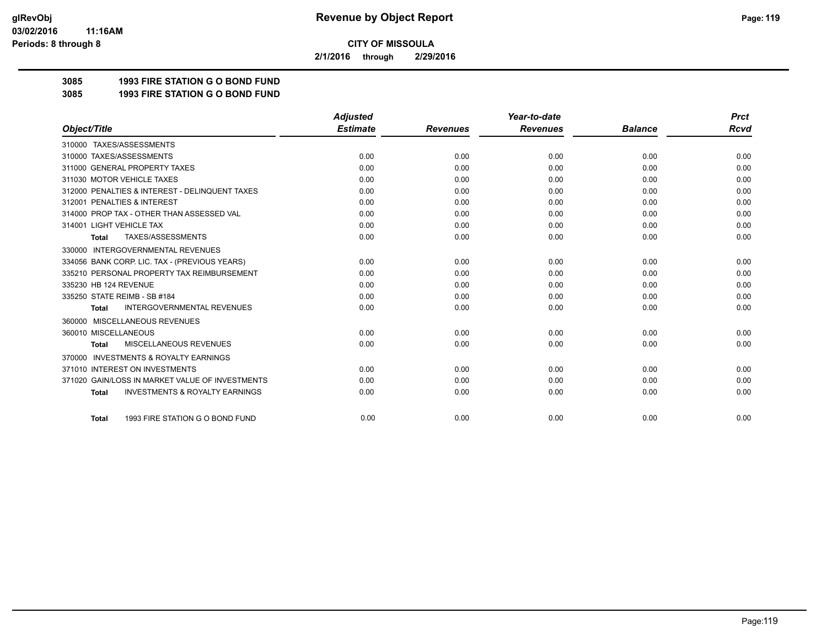**2/1/2016 through 2/29/2016**

# **3085 1993 FIRE STATION G O BOND FUND**

**3085 1993 FIRE STATION G O BOND FUND**

|                                                           | <b>Adjusted</b> |                 | Year-to-date    |                | <b>Prct</b> |
|-----------------------------------------------------------|-----------------|-----------------|-----------------|----------------|-------------|
| Object/Title                                              | <b>Estimate</b> | <b>Revenues</b> | <b>Revenues</b> | <b>Balance</b> | <b>Rcvd</b> |
| 310000 TAXES/ASSESSMENTS                                  |                 |                 |                 |                |             |
| 310000 TAXES/ASSESSMENTS                                  | 0.00            | 0.00            | 0.00            | 0.00           | 0.00        |
| 311000 GENERAL PROPERTY TAXES                             | 0.00            | 0.00            | 0.00            | 0.00           | 0.00        |
| 311030 MOTOR VEHICLE TAXES                                | 0.00            | 0.00            | 0.00            | 0.00           | 0.00        |
| 312000 PENALTIES & INTEREST - DELINQUENT TAXES            | 0.00            | 0.00            | 0.00            | 0.00           | 0.00        |
| 312001 PENALTIES & INTEREST                               | 0.00            | 0.00            | 0.00            | 0.00           | 0.00        |
| 314000 PROP TAX - OTHER THAN ASSESSED VAL                 | 0.00            | 0.00            | 0.00            | 0.00           | 0.00        |
| 314001 LIGHT VEHICLE TAX                                  | 0.00            | 0.00            | 0.00            | 0.00           | 0.00        |
| TAXES/ASSESSMENTS<br><b>Total</b>                         | 0.00            | 0.00            | 0.00            | 0.00           | 0.00        |
| <b>INTERGOVERNMENTAL REVENUES</b><br>330000               |                 |                 |                 |                |             |
| 334056 BANK CORP. LIC. TAX - (PREVIOUS YEARS)             | 0.00            | 0.00            | 0.00            | 0.00           | 0.00        |
| 335210 PERSONAL PROPERTY TAX REIMBURSEMENT                | 0.00            | 0.00            | 0.00            | 0.00           | 0.00        |
| 335230 HB 124 REVENUE                                     | 0.00            | 0.00            | 0.00            | 0.00           | 0.00        |
| 335250 STATE REIMB - SB #184                              | 0.00            | 0.00            | 0.00            | 0.00           | 0.00        |
| <b>INTERGOVERNMENTAL REVENUES</b><br><b>Total</b>         | 0.00            | 0.00            | 0.00            | 0.00           | 0.00        |
| MISCELLANEOUS REVENUES<br>360000                          |                 |                 |                 |                |             |
| 360010 MISCELLANEOUS                                      | 0.00            | 0.00            | 0.00            | 0.00           | 0.00        |
| <b>MISCELLANEOUS REVENUES</b><br><b>Total</b>             | 0.00            | 0.00            | 0.00            | 0.00           | 0.00        |
| <b>INVESTMENTS &amp; ROYALTY EARNINGS</b><br>370000       |                 |                 |                 |                |             |
| 371010 INTEREST ON INVESTMENTS                            | 0.00            | 0.00            | 0.00            | 0.00           | 0.00        |
| 371020 GAIN/LOSS IN MARKET VALUE OF INVESTMENTS           | 0.00            | 0.00            | 0.00            | 0.00           | 0.00        |
| <b>INVESTMENTS &amp; ROYALTY EARNINGS</b><br><b>Total</b> | 0.00            | 0.00            | 0.00            | 0.00           | 0.00        |
|                                                           |                 |                 |                 |                |             |
| 1993 FIRE STATION G O BOND FUND<br><b>Total</b>           | 0.00            | 0.00            | 0.00            | 0.00           | 0.00        |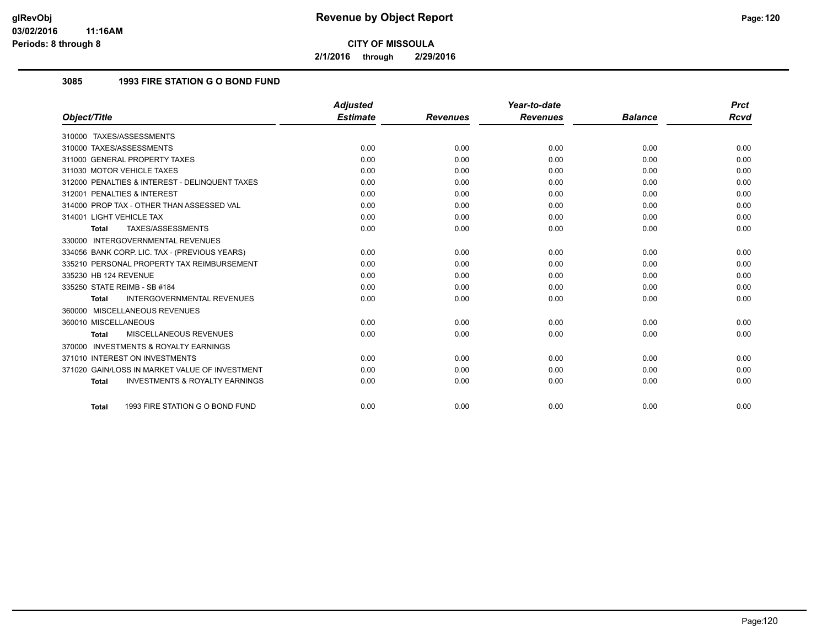**2/1/2016 through 2/29/2016**

## **3085 1993 FIRE STATION G O BOND FUND**

|                                                           | <b>Adjusted</b> |                 | Year-to-date    |                | <b>Prct</b> |
|-----------------------------------------------------------|-----------------|-----------------|-----------------|----------------|-------------|
| Object/Title                                              | <b>Estimate</b> | <b>Revenues</b> | <b>Revenues</b> | <b>Balance</b> | <b>Rcvd</b> |
| 310000 TAXES/ASSESSMENTS                                  |                 |                 |                 |                |             |
| 310000 TAXES/ASSESSMENTS                                  | 0.00            | 0.00            | 0.00            | 0.00           | 0.00        |
| 311000 GENERAL PROPERTY TAXES                             | 0.00            | 0.00            | 0.00            | 0.00           | 0.00        |
| 311030 MOTOR VEHICLE TAXES                                | 0.00            | 0.00            | 0.00            | 0.00           | 0.00        |
| 312000 PENALTIES & INTEREST - DELINQUENT TAXES            | 0.00            | 0.00            | 0.00            | 0.00           | 0.00        |
| 312001 PENALTIES & INTEREST                               | 0.00            | 0.00            | 0.00            | 0.00           | 0.00        |
| 314000 PROP TAX - OTHER THAN ASSESSED VAL                 | 0.00            | 0.00            | 0.00            | 0.00           | 0.00        |
| 314001 LIGHT VEHICLE TAX                                  | 0.00            | 0.00            | 0.00            | 0.00           | 0.00        |
| TAXES/ASSESSMENTS<br>Total                                | 0.00            | 0.00            | 0.00            | 0.00           | 0.00        |
| 330000 INTERGOVERNMENTAL REVENUES                         |                 |                 |                 |                |             |
| 334056 BANK CORP. LIC. TAX - (PREVIOUS YEARS)             | 0.00            | 0.00            | 0.00            | 0.00           | 0.00        |
| 335210 PERSONAL PROPERTY TAX REIMBURSEMENT                | 0.00            | 0.00            | 0.00            | 0.00           | 0.00        |
| 335230 HB 124 REVENUE                                     | 0.00            | 0.00            | 0.00            | 0.00           | 0.00        |
| 335250 STATE REIMB - SB #184                              | 0.00            | 0.00            | 0.00            | 0.00           | 0.00        |
| INTERGOVERNMENTAL REVENUES<br><b>Total</b>                | 0.00            | 0.00            | 0.00            | 0.00           | 0.00        |
| 360000 MISCELLANEOUS REVENUES                             |                 |                 |                 |                |             |
| 360010 MISCELLANEOUS                                      | 0.00            | 0.00            | 0.00            | 0.00           | 0.00        |
| MISCELLANEOUS REVENUES<br><b>Total</b>                    | 0.00            | 0.00            | 0.00            | 0.00           | 0.00        |
| 370000 INVESTMENTS & ROYALTY EARNINGS                     |                 |                 |                 |                |             |
| 371010 INTEREST ON INVESTMENTS                            | 0.00            | 0.00            | 0.00            | 0.00           | 0.00        |
| 371020 GAIN/LOSS IN MARKET VALUE OF INVESTMENT            | 0.00            | 0.00            | 0.00            | 0.00           | 0.00        |
| <b>INVESTMENTS &amp; ROYALTY EARNINGS</b><br><b>Total</b> | 0.00            | 0.00            | 0.00            | 0.00           | 0.00        |
| 1993 FIRE STATION G O BOND FUND<br><b>Total</b>           | 0.00            | 0.00            | 0.00            | 0.00           | 0.00        |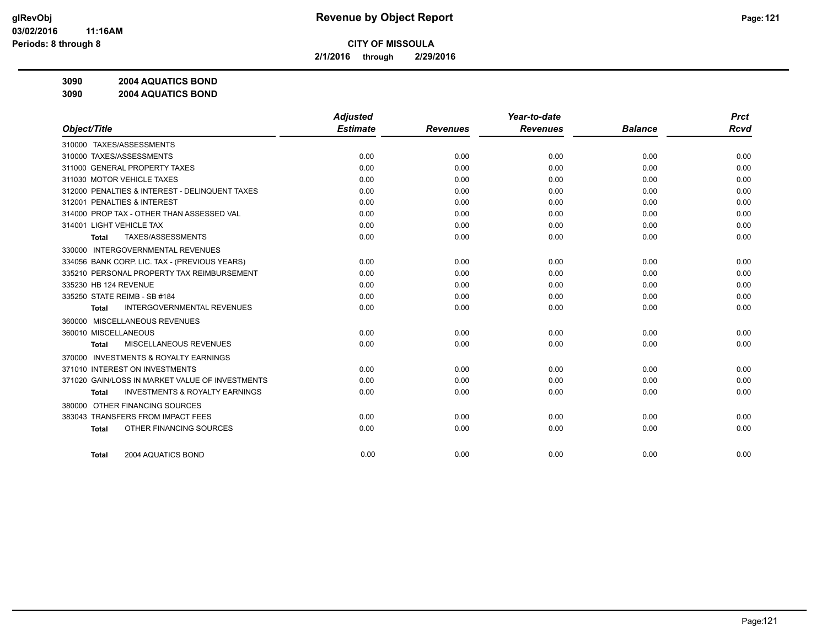**2/1/2016 through 2/29/2016**

**3090 2004 AQUATICS BOND**

**3090 2004 AQUATICS BOND**

|                                                     | <b>Adjusted</b> |                 | Year-to-date    |                | <b>Prct</b> |
|-----------------------------------------------------|-----------------|-----------------|-----------------|----------------|-------------|
| Object/Title                                        | <b>Estimate</b> | <b>Revenues</b> | <b>Revenues</b> | <b>Balance</b> | <b>Rcvd</b> |
| 310000 TAXES/ASSESSMENTS                            |                 |                 |                 |                |             |
| 310000 TAXES/ASSESSMENTS                            | 0.00            | 0.00            | 0.00            | 0.00           | 0.00        |
| 311000 GENERAL PROPERTY TAXES                       | 0.00            | 0.00            | 0.00            | 0.00           | 0.00        |
| 311030 MOTOR VEHICLE TAXES                          | 0.00            | 0.00            | 0.00            | 0.00           | 0.00        |
| 312000 PENALTIES & INTEREST - DELINQUENT TAXES      | 0.00            | 0.00            | 0.00            | 0.00           | 0.00        |
| 312001 PENALTIES & INTEREST                         | 0.00            | 0.00            | 0.00            | 0.00           | 0.00        |
| 314000 PROP TAX - OTHER THAN ASSESSED VAL           | 0.00            | 0.00            | 0.00            | 0.00           | 0.00        |
| 314001 LIGHT VEHICLE TAX                            | 0.00            | 0.00            | 0.00            | 0.00           | 0.00        |
| TAXES/ASSESSMENTS<br>Total                          | 0.00            | 0.00            | 0.00            | 0.00           | 0.00        |
| <b>INTERGOVERNMENTAL REVENUES</b><br>330000         |                 |                 |                 |                |             |
| 334056 BANK CORP. LIC. TAX - (PREVIOUS YEARS)       | 0.00            | 0.00            | 0.00            | 0.00           | 0.00        |
| 335210 PERSONAL PROPERTY TAX REIMBURSEMENT          | 0.00            | 0.00            | 0.00            | 0.00           | 0.00        |
| 335230 HB 124 REVENUE                               | 0.00            | 0.00            | 0.00            | 0.00           | 0.00        |
| 335250 STATE REIMB - SB #184                        | 0.00            | 0.00            | 0.00            | 0.00           | 0.00        |
| <b>INTERGOVERNMENTAL REVENUES</b><br><b>Total</b>   | 0.00            | 0.00            | 0.00            | 0.00           | 0.00        |
| 360000 MISCELLANEOUS REVENUES                       |                 |                 |                 |                |             |
| 360010 MISCELLANEOUS                                | 0.00            | 0.00            | 0.00            | 0.00           | 0.00        |
| MISCELLANEOUS REVENUES<br><b>Total</b>              | 0.00            | 0.00            | 0.00            | 0.00           | 0.00        |
| <b>INVESTMENTS &amp; ROYALTY EARNINGS</b><br>370000 |                 |                 |                 |                |             |
| 371010 INTEREST ON INVESTMENTS                      | 0.00            | 0.00            | 0.00            | 0.00           | 0.00        |
| 371020 GAIN/LOSS IN MARKET VALUE OF INVESTMENTS     | 0.00            | 0.00            | 0.00            | 0.00           | 0.00        |
| <b>INVESTMENTS &amp; ROYALTY EARNINGS</b><br>Total  | 0.00            | 0.00            | 0.00            | 0.00           | 0.00        |
| OTHER FINANCING SOURCES<br>380000                   |                 |                 |                 |                |             |
| 383043 TRANSFERS FROM IMPACT FEES                   | 0.00            | 0.00            | 0.00            | 0.00           | 0.00        |
| OTHER FINANCING SOURCES<br><b>Total</b>             | 0.00            | 0.00            | 0.00            | 0.00           | 0.00        |
|                                                     |                 |                 |                 |                |             |
| 2004 AQUATICS BOND<br><b>Total</b>                  | 0.00            | 0.00            | 0.00            | 0.00           | 0.00        |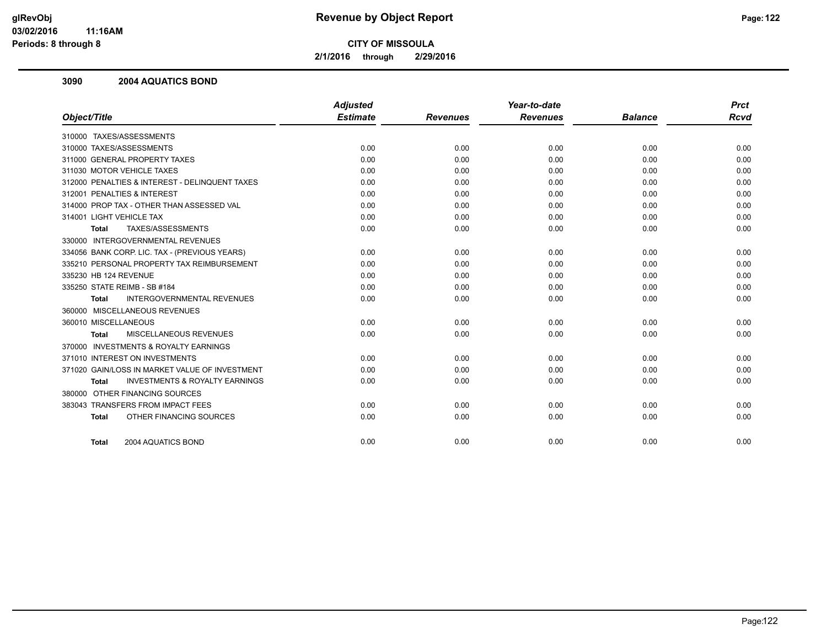**2/1/2016 through 2/29/2016**

#### **3090 2004 AQUATICS BOND**

|                                                           | <b>Adjusted</b> |                 | Year-to-date    |                | <b>Prct</b> |
|-----------------------------------------------------------|-----------------|-----------------|-----------------|----------------|-------------|
| Object/Title                                              | <b>Estimate</b> | <b>Revenues</b> | <b>Revenues</b> | <b>Balance</b> | <b>Rcvd</b> |
| 310000 TAXES/ASSESSMENTS                                  |                 |                 |                 |                |             |
| 310000 TAXES/ASSESSMENTS                                  | 0.00            | 0.00            | 0.00            | 0.00           | 0.00        |
| 311000 GENERAL PROPERTY TAXES                             | 0.00            | 0.00            | 0.00            | 0.00           | 0.00        |
| 311030 MOTOR VEHICLE TAXES                                | 0.00            | 0.00            | 0.00            | 0.00           | 0.00        |
| 312000 PENALTIES & INTEREST - DELINQUENT TAXES            | 0.00            | 0.00            | 0.00            | 0.00           | 0.00        |
| 312001 PENALTIES & INTEREST                               | 0.00            | 0.00            | 0.00            | 0.00           | 0.00        |
| 314000 PROP TAX - OTHER THAN ASSESSED VAL                 | 0.00            | 0.00            | 0.00            | 0.00           | 0.00        |
| 314001 LIGHT VEHICLE TAX                                  | 0.00            | 0.00            | 0.00            | 0.00           | 0.00        |
| TAXES/ASSESSMENTS<br><b>Total</b>                         | 0.00            | 0.00            | 0.00            | 0.00           | 0.00        |
| 330000 INTERGOVERNMENTAL REVENUES                         |                 |                 |                 |                |             |
| 334056 BANK CORP. LIC. TAX - (PREVIOUS YEARS)             | 0.00            | 0.00            | 0.00            | 0.00           | 0.00        |
| 335210 PERSONAL PROPERTY TAX REIMBURSEMENT                | 0.00            | 0.00            | 0.00            | 0.00           | 0.00        |
| 335230 HB 124 REVENUE                                     | 0.00            | 0.00            | 0.00            | 0.00           | 0.00        |
| 335250 STATE REIMB - SB #184                              | 0.00            | 0.00            | 0.00            | 0.00           | 0.00        |
| <b>INTERGOVERNMENTAL REVENUES</b><br><b>Total</b>         | 0.00            | 0.00            | 0.00            | 0.00           | 0.00        |
| 360000 MISCELLANEOUS REVENUES                             |                 |                 |                 |                |             |
| 360010 MISCELLANEOUS                                      | 0.00            | 0.00            | 0.00            | 0.00           | 0.00        |
| MISCELLANEOUS REVENUES<br><b>Total</b>                    | 0.00            | 0.00            | 0.00            | 0.00           | 0.00        |
| 370000 INVESTMENTS & ROYALTY EARNINGS                     |                 |                 |                 |                |             |
| 371010 INTEREST ON INVESTMENTS                            | 0.00            | 0.00            | 0.00            | 0.00           | 0.00        |
| 371020 GAIN/LOSS IN MARKET VALUE OF INVESTMENT            | 0.00            | 0.00            | 0.00            | 0.00           | 0.00        |
| <b>INVESTMENTS &amp; ROYALTY EARNINGS</b><br><b>Total</b> | 0.00            | 0.00            | 0.00            | 0.00           | 0.00        |
| 380000 OTHER FINANCING SOURCES                            |                 |                 |                 |                |             |
| 383043 TRANSFERS FROM IMPACT FEES                         | 0.00            | 0.00            | 0.00            | 0.00           | 0.00        |
| OTHER FINANCING SOURCES<br><b>Total</b>                   | 0.00            | 0.00            | 0.00            | 0.00           | 0.00        |
| 2004 AQUATICS BOND<br><b>Total</b>                        | 0.00            | 0.00            | 0.00            | 0.00           | 0.00        |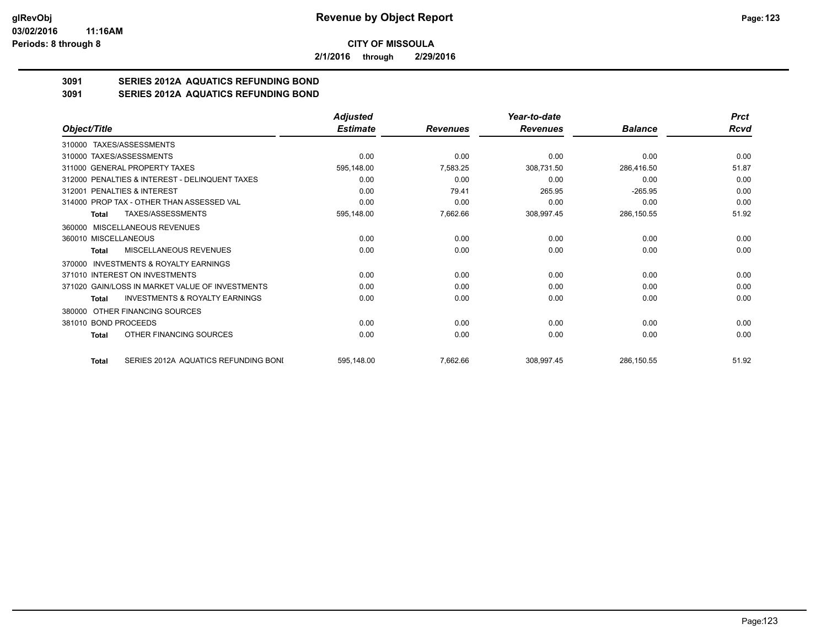**2/1/2016 through 2/29/2016**

# **3091 SERIES 2012A AQUATICS REFUNDING BOND**

**3091 SERIES 2012A AQUATICS REFUNDING BOND**

|                                                     | <b>Adjusted</b> |                 | Year-to-date    |                | <b>Prct</b> |
|-----------------------------------------------------|-----------------|-----------------|-----------------|----------------|-------------|
| Object/Title                                        | <b>Estimate</b> | <b>Revenues</b> | <b>Revenues</b> | <b>Balance</b> | Rcvd        |
| 310000 TAXES/ASSESSMENTS                            |                 |                 |                 |                |             |
| 310000 TAXES/ASSESSMENTS                            | 0.00            | 0.00            | 0.00            | 0.00           | 0.00        |
| 311000 GENERAL PROPERTY TAXES                       | 595,148.00      | 7,583.25        | 308,731.50      | 286,416.50     | 51.87       |
| 312000 PENALTIES & INTEREST - DELINQUENT TAXES      | 0.00            | 0.00            | 0.00            | 0.00           | 0.00        |
| 312001 PENALTIES & INTEREST                         | 0.00            | 79.41           | 265.95          | $-265.95$      | 0.00        |
| 314000 PROP TAX - OTHER THAN ASSESSED VAL           | 0.00            | 0.00            | 0.00            | 0.00           | 0.00        |
| <b>TAXES/ASSESSMENTS</b><br>Total                   | 595,148.00      | 7,662.66        | 308,997.45      | 286,150.55     | 51.92       |
| 360000 MISCELLANEOUS REVENUES                       |                 |                 |                 |                |             |
| 360010 MISCELLANEOUS                                | 0.00            | 0.00            | 0.00            | 0.00           | 0.00        |
| MISCELLANEOUS REVENUES<br>Total                     | 0.00            | 0.00            | 0.00            | 0.00           | 0.00        |
| <b>INVESTMENTS &amp; ROYALTY EARNINGS</b><br>370000 |                 |                 |                 |                |             |
| 371010 INTEREST ON INVESTMENTS                      | 0.00            | 0.00            | 0.00            | 0.00           | 0.00        |
| 371020 GAIN/LOSS IN MARKET VALUE OF INVESTMENTS     | 0.00            | 0.00            | 0.00            | 0.00           | 0.00        |
| <b>INVESTMENTS &amp; ROYALTY EARNINGS</b><br>Total  | 0.00            | 0.00            | 0.00            | 0.00           | 0.00        |
| OTHER FINANCING SOURCES<br>380000                   |                 |                 |                 |                |             |
| 381010 BOND PROCEEDS                                | 0.00            | 0.00            | 0.00            | 0.00           | 0.00        |
| OTHER FINANCING SOURCES<br>Total                    | 0.00            | 0.00            | 0.00            | 0.00           | 0.00        |
| SERIES 2012A AQUATICS REFUNDING BONI<br>Total       | 595,148.00      | 7,662.66        | 308,997.45      | 286,150.55     | 51.92       |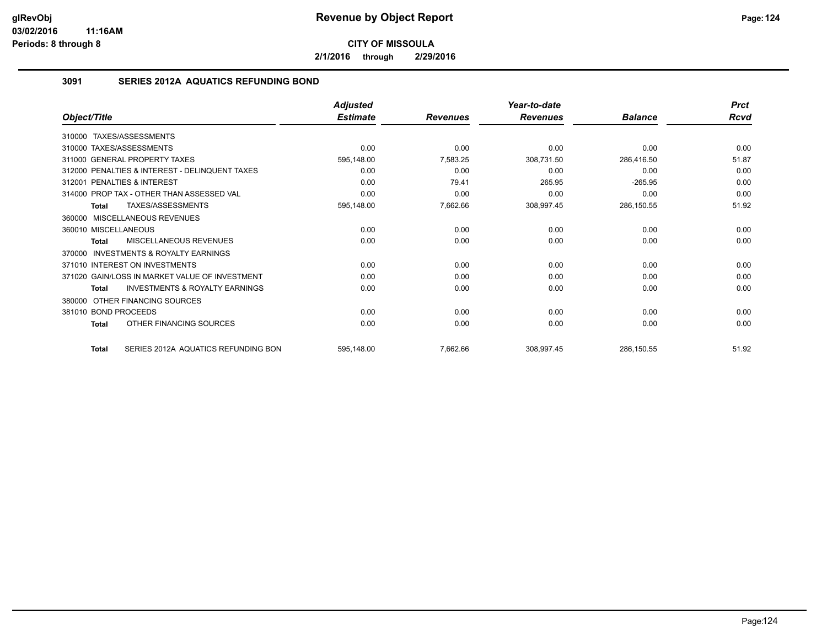**2/1/2016 through 2/29/2016**

## **3091 SERIES 2012A AQUATICS REFUNDING BOND**

|                                                           | <b>Adjusted</b> |                 | Year-to-date    |                | <b>Prct</b> |
|-----------------------------------------------------------|-----------------|-----------------|-----------------|----------------|-------------|
| Object/Title                                              | <b>Estimate</b> | <b>Revenues</b> | <b>Revenues</b> | <b>Balance</b> | Rcvd        |
| 310000 TAXES/ASSESSMENTS                                  |                 |                 |                 |                |             |
| 310000 TAXES/ASSESSMENTS                                  | 0.00            | 0.00            | 0.00            | 0.00           | 0.00        |
| 311000 GENERAL PROPERTY TAXES                             | 595,148.00      | 7,583.25        | 308,731.50      | 286,416.50     | 51.87       |
| 312000 PENALTIES & INTEREST - DELINQUENT TAXES            | 0.00            | 0.00            | 0.00            | 0.00           | 0.00        |
| 312001 PENALTIES & INTEREST                               | 0.00            | 79.41           | 265.95          | $-265.95$      | 0.00        |
| 314000 PROP TAX - OTHER THAN ASSESSED VAL                 | 0.00            | 0.00            | 0.00            | 0.00           | 0.00        |
| TAXES/ASSESSMENTS<br><b>Total</b>                         | 595,148.00      | 7,662.66        | 308,997.45      | 286,150.55     | 51.92       |
| 360000 MISCELLANEOUS REVENUES                             |                 |                 |                 |                |             |
| 360010 MISCELLANEOUS                                      | 0.00            | 0.00            | 0.00            | 0.00           | 0.00        |
| <b>MISCELLANEOUS REVENUES</b><br>Total                    | 0.00            | 0.00            | 0.00            | 0.00           | 0.00        |
| <b>INVESTMENTS &amp; ROYALTY EARNINGS</b><br>370000       |                 |                 |                 |                |             |
| 371010 INTEREST ON INVESTMENTS                            | 0.00            | 0.00            | 0.00            | 0.00           | 0.00        |
| 371020 GAIN/LOSS IN MARKET VALUE OF INVESTMENT            | 0.00            | 0.00            | 0.00            | 0.00           | 0.00        |
| <b>INVESTMENTS &amp; ROYALTY EARNINGS</b><br><b>Total</b> | 0.00            | 0.00            | 0.00            | 0.00           | 0.00        |
| OTHER FINANCING SOURCES<br>380000                         |                 |                 |                 |                |             |
| 381010 BOND PROCEEDS                                      | 0.00            | 0.00            | 0.00            | 0.00           | 0.00        |
| OTHER FINANCING SOURCES<br><b>Total</b>                   | 0.00            | 0.00            | 0.00            | 0.00           | 0.00        |
| SERIES 2012A AQUATICS REFUNDING BON<br><b>Total</b>       | 595,148.00      | 7,662.66        | 308,997.45      | 286,150.55     | 51.92       |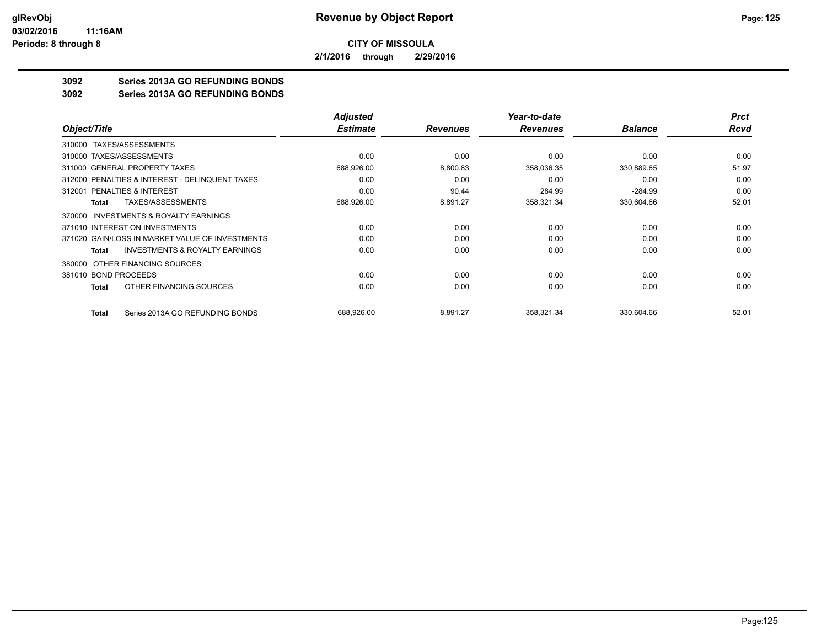**2/1/2016 through 2/29/2016**

# **3092 Series 2013A GO REFUNDING BONDS**

#### **3092 Series 2013A GO REFUNDING BONDS**

|                                                     | <b>Adjusted</b> |                 | Year-to-date    |                | <b>Prct</b> |
|-----------------------------------------------------|-----------------|-----------------|-----------------|----------------|-------------|
| Object/Title                                        | <b>Estimate</b> | <b>Revenues</b> | <b>Revenues</b> | <b>Balance</b> | Rcvd        |
| TAXES/ASSESSMENTS<br>310000                         |                 |                 |                 |                |             |
| 310000 TAXES/ASSESSMENTS                            | 0.00            | 0.00            | 0.00            | 0.00           | 0.00        |
| 311000 GENERAL PROPERTY TAXES                       | 688,926.00      | 8,800.83        | 358,036.35      | 330,889.65     | 51.97       |
| 312000 PENALTIES & INTEREST - DELINQUENT TAXES      | 0.00            | 0.00            | 0.00            | 0.00           | 0.00        |
| 312001 PENALTIES & INTEREST                         | 0.00            | 90.44           | 284.99          | $-284.99$      | 0.00        |
| <b>TAXES/ASSESSMENTS</b><br>Total                   | 688,926.00      | 8,891.27        | 358,321.34      | 330,604.66     | 52.01       |
| <b>INVESTMENTS &amp; ROYALTY EARNINGS</b><br>370000 |                 |                 |                 |                |             |
| 371010 INTEREST ON INVESTMENTS                      | 0.00            | 0.00            | 0.00            | 0.00           | 0.00        |
| 371020 GAIN/LOSS IN MARKET VALUE OF INVESTMENTS     | 0.00            | 0.00            | 0.00            | 0.00           | 0.00        |
| <b>INVESTMENTS &amp; ROYALTY EARNINGS</b><br>Total  | 0.00            | 0.00            | 0.00            | 0.00           | 0.00        |
| OTHER FINANCING SOURCES<br>380000                   |                 |                 |                 |                |             |
| 381010 BOND PROCEEDS                                | 0.00            | 0.00            | 0.00            | 0.00           | 0.00        |
| OTHER FINANCING SOURCES<br>Total                    | 0.00            | 0.00            | 0.00            | 0.00           | 0.00        |
| Series 2013A GO REFUNDING BONDS<br>Total            | 688,926.00      | 8,891.27        | 358,321.34      | 330,604.66     | 52.01       |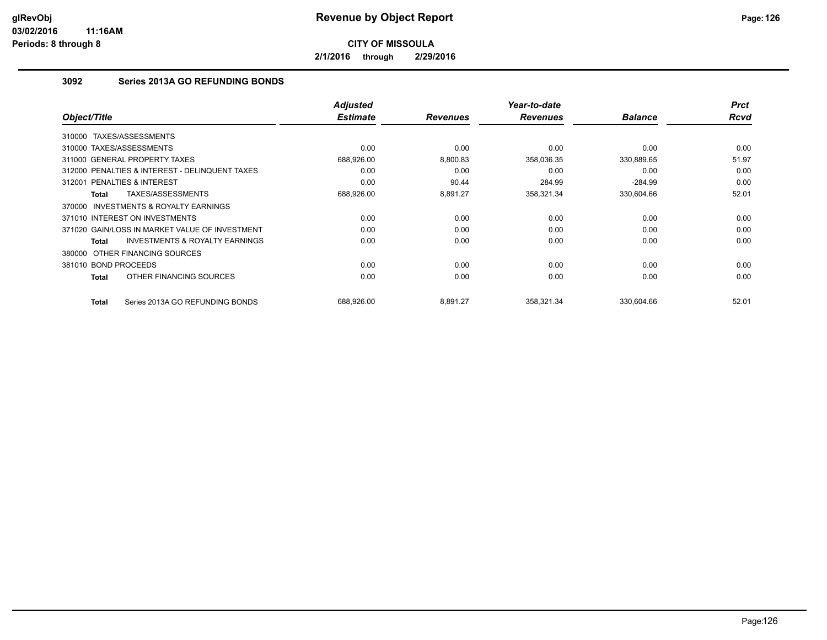**2/1/2016 through 2/29/2016**

# **3092 Series 2013A GO REFUNDING BONDS**

| Object/Title                                        | <b>Adjusted</b><br><b>Estimate</b> | <b>Revenues</b> | Year-to-date<br><b>Revenues</b> | <b>Balance</b> | <b>Prct</b><br><b>Rcvd</b> |
|-----------------------------------------------------|------------------------------------|-----------------|---------------------------------|----------------|----------------------------|
| TAXES/ASSESSMENTS<br>310000                         |                                    |                 |                                 |                |                            |
| 310000 TAXES/ASSESSMENTS                            | 0.00                               | 0.00            | 0.00                            | 0.00           | 0.00                       |
| 311000 GENERAL PROPERTY TAXES                       | 688,926.00                         | 8,800.83        | 358,036.35                      | 330,889.65     | 51.97                      |
| 312000 PENALTIES & INTEREST - DELINQUENT TAXES      | 0.00                               | 0.00            | 0.00                            | 0.00           | 0.00                       |
| PENALTIES & INTEREST<br>312001                      | 0.00                               | 90.44           | 284.99                          | $-284.99$      | 0.00                       |
| TAXES/ASSESSMENTS<br>Total                          | 688,926.00                         | 8,891.27        | 358,321.34                      | 330,604.66     | 52.01                      |
| <b>INVESTMENTS &amp; ROYALTY EARNINGS</b><br>370000 |                                    |                 |                                 |                |                            |
| 371010 INTEREST ON INVESTMENTS                      | 0.00                               | 0.00            | 0.00                            | 0.00           | 0.00                       |
| 371020 GAIN/LOSS IN MARKET VALUE OF INVESTMENT      | 0.00                               | 0.00            | 0.00                            | 0.00           | 0.00                       |
| <b>INVESTMENTS &amp; ROYALTY EARNINGS</b><br>Total  | 0.00                               | 0.00            | 0.00                            | 0.00           | 0.00                       |
| 380000 OTHER FINANCING SOURCES                      |                                    |                 |                                 |                |                            |
| 381010 BOND PROCEEDS                                | 0.00                               | 0.00            | 0.00                            | 0.00           | 0.00                       |
| OTHER FINANCING SOURCES<br>Total                    | 0.00                               | 0.00            | 0.00                            | 0.00           | 0.00                       |
| Series 2013A GO REFUNDING BONDS<br>Total            | 688.926.00                         | 8,891.27        | 358.321.34                      | 330,604.66     | 52.01                      |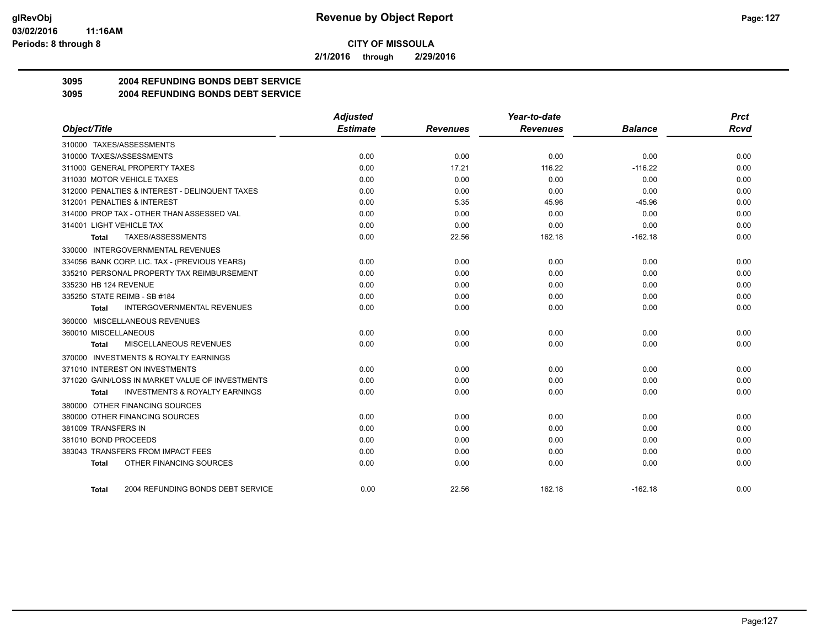**2/1/2016 through 2/29/2016**

# **3095 2004 REFUNDING BONDS DEBT SERVICE**

**3095 2004 REFUNDING BONDS DEBT SERVICE**

|                                                           | <b>Adjusted</b> |                 | Year-to-date    |                | <b>Prct</b> |
|-----------------------------------------------------------|-----------------|-----------------|-----------------|----------------|-------------|
| Object/Title                                              | <b>Estimate</b> | <b>Revenues</b> | <b>Revenues</b> | <b>Balance</b> | <b>Rcvd</b> |
| 310000 TAXES/ASSESSMENTS                                  |                 |                 |                 |                |             |
| 310000 TAXES/ASSESSMENTS                                  | 0.00            | 0.00            | 0.00            | 0.00           | 0.00        |
| 311000 GENERAL PROPERTY TAXES                             | 0.00            | 17.21           | 116.22          | $-116.22$      | 0.00        |
| 311030 MOTOR VEHICLE TAXES                                | 0.00            | 0.00            | 0.00            | 0.00           | 0.00        |
| 312000 PENALTIES & INTEREST - DELINQUENT TAXES            | 0.00            | 0.00            | 0.00            | 0.00           | 0.00        |
| 312001 PENALTIES & INTEREST                               | 0.00            | 5.35            | 45.96           | $-45.96$       | 0.00        |
| 314000 PROP TAX - OTHER THAN ASSESSED VAL                 | 0.00            | 0.00            | 0.00            | 0.00           | 0.00        |
| 314001 LIGHT VEHICLE TAX                                  | 0.00            | 0.00            | 0.00            | 0.00           | 0.00        |
| TAXES/ASSESSMENTS<br>Total                                | 0.00            | 22.56           | 162.18          | $-162.18$      | 0.00        |
| 330000 INTERGOVERNMENTAL REVENUES                         |                 |                 |                 |                |             |
| 334056 BANK CORP. LIC. TAX - (PREVIOUS YEARS)             | 0.00            | 0.00            | 0.00            | 0.00           | 0.00        |
| 335210 PERSONAL PROPERTY TAX REIMBURSEMENT                | 0.00            | 0.00            | 0.00            | 0.00           | 0.00        |
| 335230 HB 124 REVENUE                                     | 0.00            | 0.00            | 0.00            | 0.00           | 0.00        |
| 335250 STATE REIMB - SB #184                              | 0.00            | 0.00            | 0.00            | 0.00           | 0.00        |
| <b>INTERGOVERNMENTAL REVENUES</b><br>Total                | 0.00            | 0.00            | 0.00            | 0.00           | 0.00        |
| 360000 MISCELLANEOUS REVENUES                             |                 |                 |                 |                |             |
| 360010 MISCELLANEOUS                                      | 0.00            | 0.00            | 0.00            | 0.00           | 0.00        |
| MISCELLANEOUS REVENUES<br>Total                           | 0.00            | 0.00            | 0.00            | 0.00           | 0.00        |
| 370000 INVESTMENTS & ROYALTY EARNINGS                     |                 |                 |                 |                |             |
| 371010 INTEREST ON INVESTMENTS                            | 0.00            | 0.00            | 0.00            | 0.00           | 0.00        |
| 371020 GAIN/LOSS IN MARKET VALUE OF INVESTMENTS           | 0.00            | 0.00            | 0.00            | 0.00           | 0.00        |
| <b>INVESTMENTS &amp; ROYALTY EARNINGS</b><br><b>Total</b> | 0.00            | 0.00            | 0.00            | 0.00           | 0.00        |
| 380000 OTHER FINANCING SOURCES                            |                 |                 |                 |                |             |
| 380000 OTHER FINANCING SOURCES                            | 0.00            | 0.00            | 0.00            | 0.00           | 0.00        |
| 381009 TRANSFERS IN                                       | 0.00            | 0.00            | 0.00            | 0.00           | 0.00        |
| 381010 BOND PROCEEDS                                      | 0.00            | 0.00            | 0.00            | 0.00           | 0.00        |
| 383043 TRANSFERS FROM IMPACT FEES                         | 0.00            | 0.00            | 0.00            | 0.00           | 0.00        |
| OTHER FINANCING SOURCES<br><b>Total</b>                   | 0.00            | 0.00            | 0.00            | 0.00           | 0.00        |
| 2004 REFUNDING BONDS DEBT SERVICE<br><b>Total</b>         | 0.00            | 22.56           | 162.18          | $-162.18$      | 0.00        |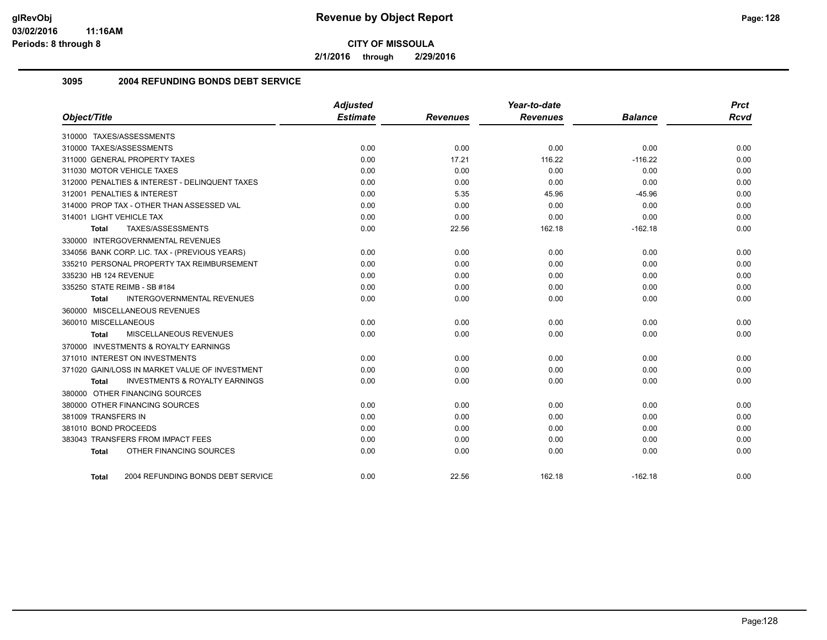**2/1/2016 through 2/29/2016**

## **3095 2004 REFUNDING BONDS DEBT SERVICE**

| Object/Title                                       | <b>Adjusted</b><br><b>Estimate</b> | <b>Revenues</b> | Year-to-date<br><b>Revenues</b> | <b>Balance</b> | <b>Prct</b><br><b>Rcvd</b> |
|----------------------------------------------------|------------------------------------|-----------------|---------------------------------|----------------|----------------------------|
| 310000 TAXES/ASSESSMENTS                           |                                    |                 |                                 |                |                            |
| 310000 TAXES/ASSESSMENTS                           | 0.00                               | 0.00            | 0.00                            | 0.00           | 0.00                       |
| 311000 GENERAL PROPERTY TAXES                      | 0.00                               | 17.21           | 116.22                          | $-116.22$      | 0.00                       |
| 311030 MOTOR VEHICLE TAXES                         | 0.00                               | 0.00            | 0.00                            | 0.00           | 0.00                       |
| 312000 PENALTIES & INTEREST - DELINQUENT TAXES     | 0.00                               | 0.00            | 0.00                            | 0.00           | 0.00                       |
| 312001 PENALTIES & INTEREST                        | 0.00                               | 5.35            | 45.96                           | $-45.96$       | 0.00                       |
| 314000 PROP TAX - OTHER THAN ASSESSED VAL          | 0.00                               | 0.00            | 0.00                            | 0.00           | 0.00                       |
| 314001 LIGHT VEHICLE TAX                           | 0.00                               | 0.00            | 0.00                            | 0.00           | 0.00                       |
| TAXES/ASSESSMENTS<br><b>Total</b>                  | 0.00                               | 22.56           | 162.18                          | $-162.18$      | 0.00                       |
| 330000 INTERGOVERNMENTAL REVENUES                  |                                    |                 |                                 |                |                            |
| 334056 BANK CORP. LIC. TAX - (PREVIOUS YEARS)      | 0.00                               | 0.00            | 0.00                            | 0.00           | 0.00                       |
| 335210 PERSONAL PROPERTY TAX REIMBURSEMENT         | 0.00                               | 0.00            | 0.00                            | 0.00           | 0.00                       |
| 335230 HB 124 REVENUE                              | 0.00                               | 0.00            | 0.00                            | 0.00           | 0.00                       |
| 335250 STATE REIMB - SB #184                       | 0.00                               | 0.00            | 0.00                            | 0.00           | 0.00                       |
| <b>INTERGOVERNMENTAL REVENUES</b><br>Total         | 0.00                               | 0.00            | 0.00                            | 0.00           | 0.00                       |
| 360000 MISCELLANEOUS REVENUES                      |                                    |                 |                                 |                |                            |
| 360010 MISCELLANEOUS                               | 0.00                               | 0.00            | 0.00                            | 0.00           | 0.00                       |
| MISCELLANEOUS REVENUES<br>Total                    | 0.00                               | 0.00            | 0.00                            | 0.00           | 0.00                       |
| 370000 INVESTMENTS & ROYALTY EARNINGS              |                                    |                 |                                 |                |                            |
| 371010 INTEREST ON INVESTMENTS                     | 0.00                               | 0.00            | 0.00                            | 0.00           | 0.00                       |
| 371020 GAIN/LOSS IN MARKET VALUE OF INVESTMENT     | 0.00                               | 0.00            | 0.00                            | 0.00           | 0.00                       |
| <b>INVESTMENTS &amp; ROYALTY EARNINGS</b><br>Total | 0.00                               | 0.00            | 0.00                            | 0.00           | 0.00                       |
| 380000 OTHER FINANCING SOURCES                     |                                    |                 |                                 |                |                            |
| 380000 OTHER FINANCING SOURCES                     | 0.00                               | 0.00            | 0.00                            | 0.00           | 0.00                       |
| 381009 TRANSFERS IN                                | 0.00                               | 0.00            | 0.00                            | 0.00           | 0.00                       |
| 381010 BOND PROCEEDS                               | 0.00                               | 0.00            | 0.00                            | 0.00           | 0.00                       |
| 383043 TRANSFERS FROM IMPACT FEES                  | 0.00                               | 0.00            | 0.00                            | 0.00           | 0.00                       |
| OTHER FINANCING SOURCES<br><b>Total</b>            | 0.00                               | 0.00            | 0.00                            | 0.00           | 0.00                       |
| 2004 REFUNDING BONDS DEBT SERVICE<br>Total         | 0.00                               | 22.56           | 162.18                          | $-162.18$      | 0.00                       |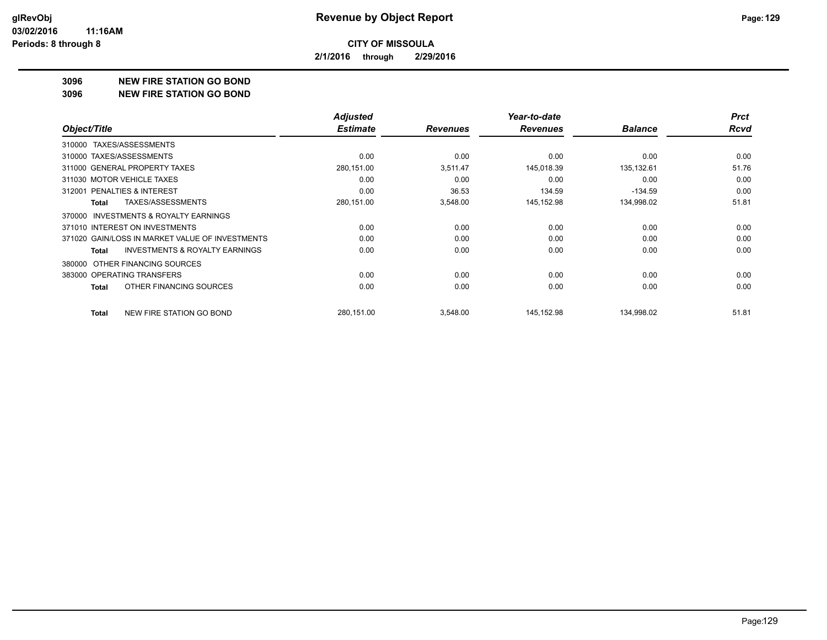**2/1/2016 through 2/29/2016**

#### **3096 NEW FIRE STATION GO BOND**

#### **3096 NEW FIRE STATION GO BOND**

|                                                     | <b>Adjusted</b> |                 | Year-to-date    |                | <b>Prct</b> |
|-----------------------------------------------------|-----------------|-----------------|-----------------|----------------|-------------|
| Object/Title                                        | <b>Estimate</b> | <b>Revenues</b> | <b>Revenues</b> | <b>Balance</b> | Rcvd        |
| TAXES/ASSESSMENTS<br>310000                         |                 |                 |                 |                |             |
| 310000 TAXES/ASSESSMENTS                            | 0.00            | 0.00            | 0.00            | 0.00           | 0.00        |
| 311000 GENERAL PROPERTY TAXES                       | 280,151.00      | 3,511.47        | 145,018.39      | 135,132.61     | 51.76       |
| 311030 MOTOR VEHICLE TAXES                          | 0.00            | 0.00            | 0.00            | 0.00           | 0.00        |
| 312001 PENALTIES & INTEREST                         | 0.00            | 36.53           | 134.59          | $-134.59$      | 0.00        |
| TAXES/ASSESSMENTS<br>Total                          | 280,151.00      | 3,548.00        | 145,152.98      | 134,998.02     | 51.81       |
| <b>INVESTMENTS &amp; ROYALTY EARNINGS</b><br>370000 |                 |                 |                 |                |             |
| 371010 INTEREST ON INVESTMENTS                      | 0.00            | 0.00            | 0.00            | 0.00           | 0.00        |
| 371020 GAIN/LOSS IN MARKET VALUE OF INVESTMENTS     | 0.00            | 0.00            | 0.00            | 0.00           | 0.00        |
| <b>INVESTMENTS &amp; ROYALTY EARNINGS</b><br>Total  | 0.00            | 0.00            | 0.00            | 0.00           | 0.00        |
| OTHER FINANCING SOURCES<br>380000                   |                 |                 |                 |                |             |
| 383000 OPERATING TRANSFERS                          | 0.00            | 0.00            | 0.00            | 0.00           | 0.00        |
| OTHER FINANCING SOURCES<br>Total                    | 0.00            | 0.00            | 0.00            | 0.00           | 0.00        |
| NEW FIRE STATION GO BOND<br>Total                   | 280,151.00      | 3,548.00        | 145,152.98      | 134,998.02     | 51.81       |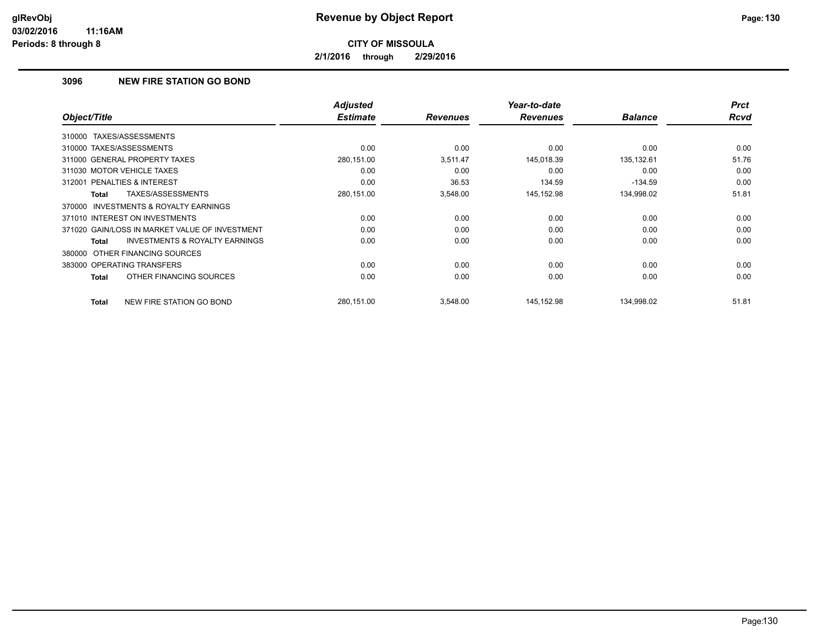**2/1/2016 through 2/29/2016**

# **3096 NEW FIRE STATION GO BOND**

| Object/Title                                        | <b>Adjusted</b><br><b>Estimate</b> | <b>Revenues</b> | Year-to-date<br><b>Revenues</b> | <b>Balance</b> | <b>Prct</b><br><b>Rcvd</b> |
|-----------------------------------------------------|------------------------------------|-----------------|---------------------------------|----------------|----------------------------|
|                                                     |                                    |                 |                                 |                |                            |
| TAXES/ASSESSMENTS<br>310000                         |                                    |                 |                                 |                |                            |
| 310000 TAXES/ASSESSMENTS                            | 0.00                               | 0.00            | 0.00                            | 0.00           | 0.00                       |
| 311000 GENERAL PROPERTY TAXES                       | 280,151.00                         | 3,511.47        | 145,018.39                      | 135,132.61     | 51.76                      |
| 311030 MOTOR VEHICLE TAXES                          | 0.00                               | 0.00            | 0.00                            | 0.00           | 0.00                       |
| 312001 PENALTIES & INTEREST                         | 0.00                               | 36.53           | 134.59                          | $-134.59$      | 0.00                       |
| TAXES/ASSESSMENTS<br>Total                          | 280,151.00                         | 3,548.00        | 145,152.98                      | 134,998.02     | 51.81                      |
| <b>INVESTMENTS &amp; ROYALTY EARNINGS</b><br>370000 |                                    |                 |                                 |                |                            |
| 371010 INTEREST ON INVESTMENTS                      | 0.00                               | 0.00            | 0.00                            | 0.00           | 0.00                       |
| 371020 GAIN/LOSS IN MARKET VALUE OF INVESTMENT      | 0.00                               | 0.00            | 0.00                            | 0.00           | 0.00                       |
| <b>INVESTMENTS &amp; ROYALTY EARNINGS</b><br>Total  | 0.00                               | 0.00            | 0.00                            | 0.00           | 0.00                       |
| 380000 OTHER FINANCING SOURCES                      |                                    |                 |                                 |                |                            |
| 383000 OPERATING TRANSFERS                          | 0.00                               | 0.00            | 0.00                            | 0.00           | 0.00                       |
| OTHER FINANCING SOURCES<br>Total                    | 0.00                               | 0.00            | 0.00                            | 0.00           | 0.00                       |
| NEW FIRE STATION GO BOND<br>Total                   | 280,151.00                         | 3,548.00        | 145,152.98                      | 134,998.02     | 51.81                      |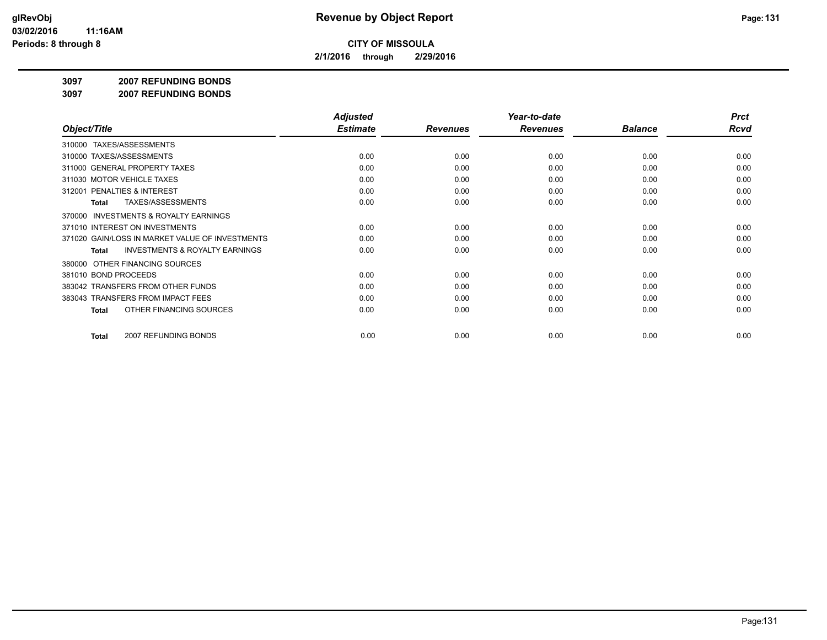**2/1/2016 through 2/29/2016**

#### **3097 2007 REFUNDING BONDS**

**3097 2007 REFUNDING BONDS**

|                                                     | <b>Adjusted</b> |                 | Year-to-date    |                | <b>Prct</b> |
|-----------------------------------------------------|-----------------|-----------------|-----------------|----------------|-------------|
| Object/Title                                        | <b>Estimate</b> | <b>Revenues</b> | <b>Revenues</b> | <b>Balance</b> | <b>Rcvd</b> |
| 310000 TAXES/ASSESSMENTS                            |                 |                 |                 |                |             |
| 310000 TAXES/ASSESSMENTS                            | 0.00            | 0.00            | 0.00            | 0.00           | 0.00        |
| 311000 GENERAL PROPERTY TAXES                       | 0.00            | 0.00            | 0.00            | 0.00           | 0.00        |
| 311030 MOTOR VEHICLE TAXES                          | 0.00            | 0.00            | 0.00            | 0.00           | 0.00        |
| 312001 PENALTIES & INTEREST                         | 0.00            | 0.00            | 0.00            | 0.00           | 0.00        |
| TAXES/ASSESSMENTS<br>Total                          | 0.00            | 0.00            | 0.00            | 0.00           | 0.00        |
| <b>INVESTMENTS &amp; ROYALTY EARNINGS</b><br>370000 |                 |                 |                 |                |             |
| 371010 INTEREST ON INVESTMENTS                      | 0.00            | 0.00            | 0.00            | 0.00           | 0.00        |
| 371020 GAIN/LOSS IN MARKET VALUE OF INVESTMENTS     | 0.00            | 0.00            | 0.00            | 0.00           | 0.00        |
| <b>INVESTMENTS &amp; ROYALTY EARNINGS</b><br>Total  | 0.00            | 0.00            | 0.00            | 0.00           | 0.00        |
| OTHER FINANCING SOURCES<br>380000                   |                 |                 |                 |                |             |
| 381010 BOND PROCEEDS                                | 0.00            | 0.00            | 0.00            | 0.00           | 0.00        |
| 383042 TRANSFERS FROM OTHER FUNDS                   | 0.00            | 0.00            | 0.00            | 0.00           | 0.00        |
| 383043 TRANSFERS FROM IMPACT FEES                   | 0.00            | 0.00            | 0.00            | 0.00           | 0.00        |
| OTHER FINANCING SOURCES<br>Total                    | 0.00            | 0.00            | 0.00            | 0.00           | 0.00        |
|                                                     |                 |                 |                 |                |             |
| 2007 REFUNDING BONDS<br>Total                       | 0.00            | 0.00            | 0.00            | 0.00           | 0.00        |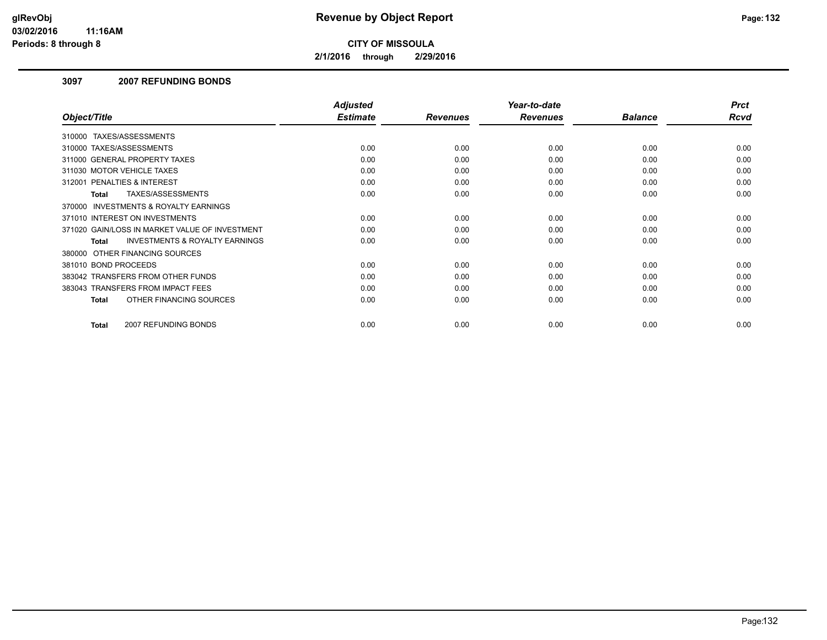**2/1/2016 through 2/29/2016**

### **3097 2007 REFUNDING BONDS**

|                                                    | <b>Adjusted</b> |                 | Year-to-date    |                | <b>Prct</b> |
|----------------------------------------------------|-----------------|-----------------|-----------------|----------------|-------------|
| Object/Title                                       | <b>Estimate</b> | <b>Revenues</b> | <b>Revenues</b> | <b>Balance</b> | Rcvd        |
| 310000 TAXES/ASSESSMENTS                           |                 |                 |                 |                |             |
| 310000 TAXES/ASSESSMENTS                           | 0.00            | 0.00            | 0.00            | 0.00           | 0.00        |
| 311000 GENERAL PROPERTY TAXES                      | 0.00            | 0.00            | 0.00            | 0.00           | 0.00        |
| 311030 MOTOR VEHICLE TAXES                         | 0.00            | 0.00            | 0.00            | 0.00           | 0.00        |
| 312001 PENALTIES & INTEREST                        | 0.00            | 0.00            | 0.00            | 0.00           | 0.00        |
| TAXES/ASSESSMENTS<br><b>Total</b>                  | 0.00            | 0.00            | 0.00            | 0.00           | 0.00        |
| 370000 INVESTMENTS & ROYALTY EARNINGS              |                 |                 |                 |                |             |
| 371010 INTEREST ON INVESTMENTS                     | 0.00            | 0.00            | 0.00            | 0.00           | 0.00        |
| 371020 GAIN/LOSS IN MARKET VALUE OF INVESTMENT     | 0.00            | 0.00            | 0.00            | 0.00           | 0.00        |
| <b>INVESTMENTS &amp; ROYALTY EARNINGS</b><br>Total | 0.00            | 0.00            | 0.00            | 0.00           | 0.00        |
| 380000 OTHER FINANCING SOURCES                     |                 |                 |                 |                |             |
| 381010 BOND PROCEEDS                               | 0.00            | 0.00            | 0.00            | 0.00           | 0.00        |
| 383042 TRANSFERS FROM OTHER FUNDS                  | 0.00            | 0.00            | 0.00            | 0.00           | 0.00        |
| 383043 TRANSFERS FROM IMPACT FEES                  | 0.00            | 0.00            | 0.00            | 0.00           | 0.00        |
| OTHER FINANCING SOURCES<br>Total                   | 0.00            | 0.00            | 0.00            | 0.00           | 0.00        |
|                                                    |                 |                 |                 |                |             |
| 2007 REFUNDING BONDS<br>Total                      | 0.00            | 0.00            | 0.00            | 0.00           | 0.00        |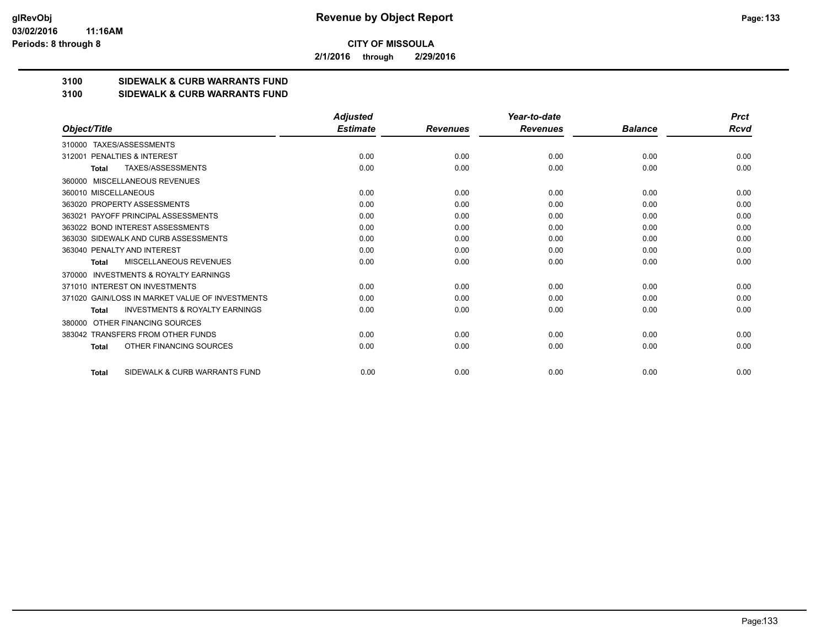**2/1/2016 through 2/29/2016**

## **3100 SIDEWALK & CURB WARRANTS FUND**

#### **3100 SIDEWALK & CURB WARRANTS FUND**

|                                                           | <b>Adjusted</b> |                 | Year-to-date    |                | <b>Prct</b> |
|-----------------------------------------------------------|-----------------|-----------------|-----------------|----------------|-------------|
| Object/Title                                              | <b>Estimate</b> | <b>Revenues</b> | <b>Revenues</b> | <b>Balance</b> | Rcvd        |
| TAXES/ASSESSMENTS<br>310000                               |                 |                 |                 |                |             |
| PENALTIES & INTEREST<br>312001                            | 0.00            | 0.00            | 0.00            | 0.00           | 0.00        |
| TAXES/ASSESSMENTS<br><b>Total</b>                         | 0.00            | 0.00            | 0.00            | 0.00           | 0.00        |
| MISCELLANEOUS REVENUES<br>360000                          |                 |                 |                 |                |             |
| 360010 MISCELLANEOUS                                      | 0.00            | 0.00            | 0.00            | 0.00           | 0.00        |
| 363020 PROPERTY ASSESSMENTS                               | 0.00            | 0.00            | 0.00            | 0.00           | 0.00        |
| 363021 PAYOFF PRINCIPAL ASSESSMENTS                       | 0.00            | 0.00            | 0.00            | 0.00           | 0.00        |
| 363022 BOND INTEREST ASSESSMENTS                          | 0.00            | 0.00            | 0.00            | 0.00           | 0.00        |
| 363030 SIDEWALK AND CURB ASSESSMENTS                      | 0.00            | 0.00            | 0.00            | 0.00           | 0.00        |
| 363040 PENALTY AND INTEREST                               | 0.00            | 0.00            | 0.00            | 0.00           | 0.00        |
| MISCELLANEOUS REVENUES<br><b>Total</b>                    | 0.00            | 0.00            | 0.00            | 0.00           | 0.00        |
| <b>INVESTMENTS &amp; ROYALTY EARNINGS</b><br>370000       |                 |                 |                 |                |             |
| 371010 INTEREST ON INVESTMENTS                            | 0.00            | 0.00            | 0.00            | 0.00           | 0.00        |
| 371020 GAIN/LOSS IN MARKET VALUE OF INVESTMENTS           | 0.00            | 0.00            | 0.00            | 0.00           | 0.00        |
| <b>INVESTMENTS &amp; ROYALTY EARNINGS</b><br><b>Total</b> | 0.00            | 0.00            | 0.00            | 0.00           | 0.00        |
| OTHER FINANCING SOURCES<br>380000                         |                 |                 |                 |                |             |
| 383042 TRANSFERS FROM OTHER FUNDS                         | 0.00            | 0.00            | 0.00            | 0.00           | 0.00        |
| OTHER FINANCING SOURCES<br><b>Total</b>                   | 0.00            | 0.00            | 0.00            | 0.00           | 0.00        |
| SIDEWALK & CURB WARRANTS FUND<br><b>Total</b>             | 0.00            | 0.00            | 0.00            | 0.00           | 0.00        |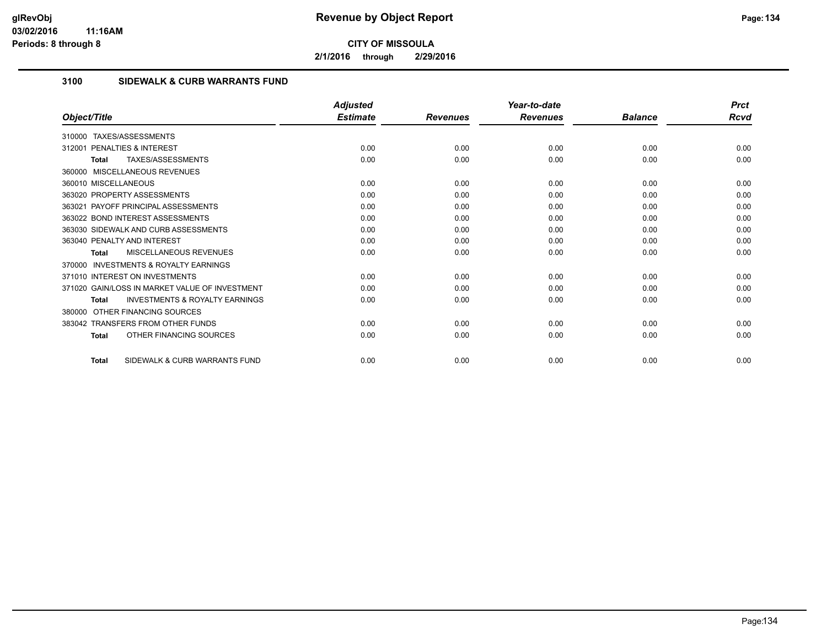**2/1/2016 through 2/29/2016**

# **3100 SIDEWALK & CURB WARRANTS FUND**

|                                                           | <b>Adjusted</b> |                 | Year-to-date    |                | <b>Prct</b> |
|-----------------------------------------------------------|-----------------|-----------------|-----------------|----------------|-------------|
| Object/Title                                              | <b>Estimate</b> | <b>Revenues</b> | <b>Revenues</b> | <b>Balance</b> | Rcvd        |
| TAXES/ASSESSMENTS<br>310000                               |                 |                 |                 |                |             |
| <b>PENALTIES &amp; INTEREST</b><br>312001                 | 0.00            | 0.00            | 0.00            | 0.00           | 0.00        |
| TAXES/ASSESSMENTS<br>Total                                | 0.00            | 0.00            | 0.00            | 0.00           | 0.00        |
| 360000 MISCELLANEOUS REVENUES                             |                 |                 |                 |                |             |
| 360010 MISCELLANEOUS                                      | 0.00            | 0.00            | 0.00            | 0.00           | 0.00        |
| 363020 PROPERTY ASSESSMENTS                               | 0.00            | 0.00            | 0.00            | 0.00           | 0.00        |
| 363021 PAYOFF PRINCIPAL ASSESSMENTS                       | 0.00            | 0.00            | 0.00            | 0.00           | 0.00        |
| 363022 BOND INTEREST ASSESSMENTS                          | 0.00            | 0.00            | 0.00            | 0.00           | 0.00        |
| 363030 SIDEWALK AND CURB ASSESSMENTS                      | 0.00            | 0.00            | 0.00            | 0.00           | 0.00        |
| 363040 PENALTY AND INTEREST                               | 0.00            | 0.00            | 0.00            | 0.00           | 0.00        |
| MISCELLANEOUS REVENUES<br>Total                           | 0.00            | 0.00            | 0.00            | 0.00           | 0.00        |
| <b>INVESTMENTS &amp; ROYALTY EARNINGS</b><br>370000       |                 |                 |                 |                |             |
| 371010 INTEREST ON INVESTMENTS                            | 0.00            | 0.00            | 0.00            | 0.00           | 0.00        |
| 371020 GAIN/LOSS IN MARKET VALUE OF INVESTMENT            | 0.00            | 0.00            | 0.00            | 0.00           | 0.00        |
| <b>INVESTMENTS &amp; ROYALTY EARNINGS</b><br><b>Total</b> | 0.00            | 0.00            | 0.00            | 0.00           | 0.00        |
| OTHER FINANCING SOURCES<br>380000                         |                 |                 |                 |                |             |
| 383042 TRANSFERS FROM OTHER FUNDS                         | 0.00            | 0.00            | 0.00            | 0.00           | 0.00        |
| OTHER FINANCING SOURCES<br><b>Total</b>                   | 0.00            | 0.00            | 0.00            | 0.00           | 0.00        |
| SIDEWALK & CURB WARRANTS FUND<br><b>Total</b>             | 0.00            | 0.00            | 0.00            | 0.00           | 0.00        |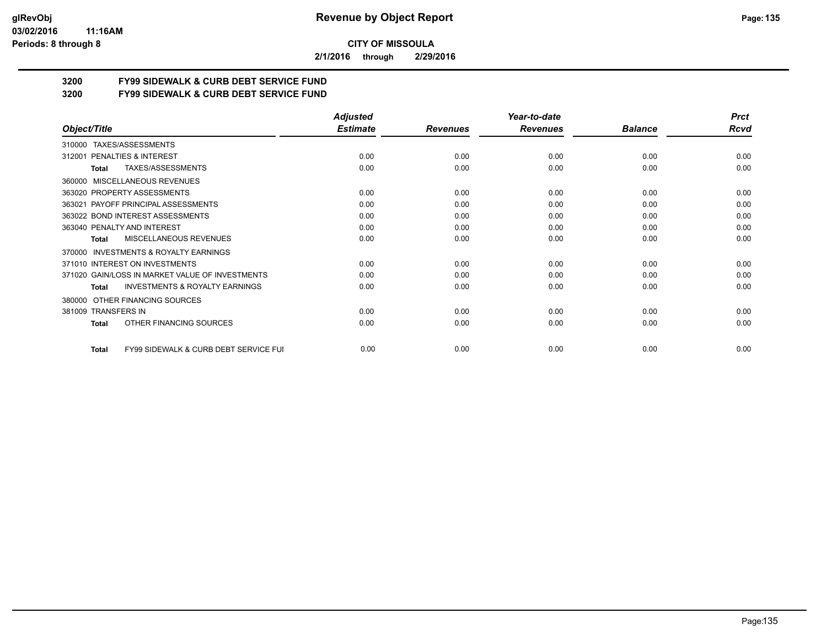#### **03/02/2016 11:16AM Periods: 8 through 8**

**CITY OF MISSOULA**

**2/1/2016 through 2/29/2016**

# **3200 FY99 SIDEWALK & CURB DEBT SERVICE FUND**

**3200 FY99 SIDEWALK & CURB DEBT SERVICE FUND**

|                                                                  | <b>Adjusted</b> |                 | Year-to-date    |                | <b>Prct</b> |
|------------------------------------------------------------------|-----------------|-----------------|-----------------|----------------|-------------|
| Object/Title                                                     | <b>Estimate</b> | <b>Revenues</b> | <b>Revenues</b> | <b>Balance</b> | <b>Rcvd</b> |
| TAXES/ASSESSMENTS<br>310000                                      |                 |                 |                 |                |             |
| PENALTIES & INTEREST<br>312001                                   | 0.00            | 0.00            | 0.00            | 0.00           | 0.00        |
| TAXES/ASSESSMENTS<br>Total                                       | 0.00            | 0.00            | 0.00            | 0.00           | 0.00        |
| <b>MISCELLANEOUS REVENUES</b><br>360000                          |                 |                 |                 |                |             |
| 363020 PROPERTY ASSESSMENTS                                      | 0.00            | 0.00            | 0.00            | 0.00           | 0.00        |
| 363021 PAYOFF PRINCIPAL ASSESSMENTS                              | 0.00            | 0.00            | 0.00            | 0.00           | 0.00        |
| 363022 BOND INTEREST ASSESSMENTS                                 | 0.00            | 0.00            | 0.00            | 0.00           | 0.00        |
| 363040 PENALTY AND INTEREST                                      | 0.00            | 0.00            | 0.00            | 0.00           | 0.00        |
| MISCELLANEOUS REVENUES<br>Total                                  | 0.00            | 0.00            | 0.00            | 0.00           | 0.00        |
| <b>INVESTMENTS &amp; ROYALTY EARNINGS</b><br>370000              |                 |                 |                 |                |             |
| 371010 INTEREST ON INVESTMENTS                                   | 0.00            | 0.00            | 0.00            | 0.00           | 0.00        |
| 371020 GAIN/LOSS IN MARKET VALUE OF INVESTMENTS                  | 0.00            | 0.00            | 0.00            | 0.00           | 0.00        |
| <b>INVESTMENTS &amp; ROYALTY EARNINGS</b><br><b>Total</b>        | 0.00            | 0.00            | 0.00            | 0.00           | 0.00        |
| OTHER FINANCING SOURCES<br>380000                                |                 |                 |                 |                |             |
| 381009 TRANSFERS IN                                              | 0.00            | 0.00            | 0.00            | 0.00           | 0.00        |
| OTHER FINANCING SOURCES<br><b>Total</b>                          | 0.00            | 0.00            | 0.00            | 0.00           | 0.00        |
| <b>FY99 SIDEWALK &amp; CURB DEBT SERVICE FUI</b><br><b>Total</b> | 0.00            | 0.00            | 0.00            | 0.00           | 0.00        |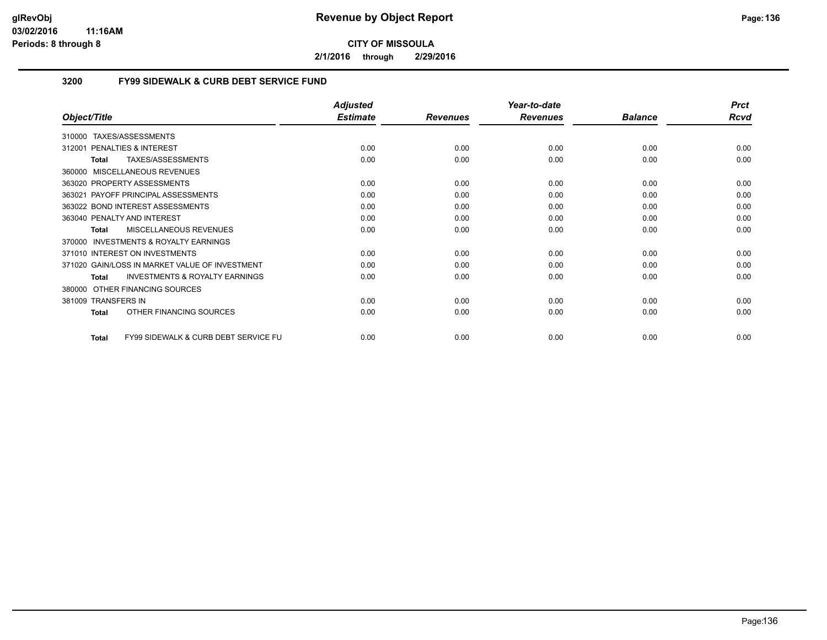**2/1/2016 through 2/29/2016**

# **3200 FY99 SIDEWALK & CURB DEBT SERVICE FUND**

|                                                                 | <b>Adjusted</b> |                 | Year-to-date    |                | <b>Prct</b> |
|-----------------------------------------------------------------|-----------------|-----------------|-----------------|----------------|-------------|
| Object/Title                                                    | <b>Estimate</b> | <b>Revenues</b> | <b>Revenues</b> | <b>Balance</b> | <b>Rcvd</b> |
| TAXES/ASSESSMENTS<br>310000                                     |                 |                 |                 |                |             |
| <b>PENALTIES &amp; INTEREST</b><br>312001                       | 0.00            | 0.00            | 0.00            | 0.00           | 0.00        |
| TAXES/ASSESSMENTS<br><b>Total</b>                               | 0.00            | 0.00            | 0.00            | 0.00           | 0.00        |
| 360000 MISCELLANEOUS REVENUES                                   |                 |                 |                 |                |             |
| 363020 PROPERTY ASSESSMENTS                                     | 0.00            | 0.00            | 0.00            | 0.00           | 0.00        |
| 363021 PAYOFF PRINCIPAL ASSESSMENTS                             | 0.00            | 0.00            | 0.00            | 0.00           | 0.00        |
| 363022 BOND INTEREST ASSESSMENTS                                | 0.00            | 0.00            | 0.00            | 0.00           | 0.00        |
| 363040 PENALTY AND INTEREST                                     | 0.00            | 0.00            | 0.00            | 0.00           | 0.00        |
| <b>MISCELLANEOUS REVENUES</b><br>Total                          | 0.00            | 0.00            | 0.00            | 0.00           | 0.00        |
| <b>INVESTMENTS &amp; ROYALTY EARNINGS</b><br>370000             |                 |                 |                 |                |             |
| 371010 INTEREST ON INVESTMENTS                                  | 0.00            | 0.00            | 0.00            | 0.00           | 0.00        |
| 371020 GAIN/LOSS IN MARKET VALUE OF INVESTMENT                  | 0.00            | 0.00            | 0.00            | 0.00           | 0.00        |
| <b>INVESTMENTS &amp; ROYALTY EARNINGS</b><br><b>Total</b>       | 0.00            | 0.00            | 0.00            | 0.00           | 0.00        |
| OTHER FINANCING SOURCES<br>380000                               |                 |                 |                 |                |             |
| 381009 TRANSFERS IN                                             | 0.00            | 0.00            | 0.00            | 0.00           | 0.00        |
| OTHER FINANCING SOURCES<br><b>Total</b>                         | 0.00            | 0.00            | 0.00            | 0.00           | 0.00        |
| <b>FY99 SIDEWALK &amp; CURB DEBT SERVICE FU</b><br><b>Total</b> | 0.00            | 0.00            | 0.00            | 0.00           | 0.00        |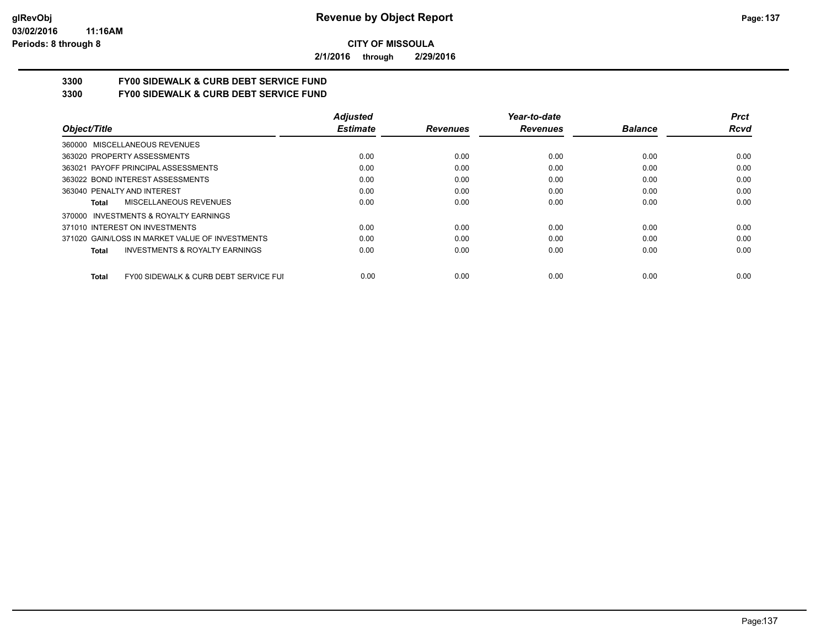**2/1/2016 through 2/29/2016**

# **3300 FY00 SIDEWALK & CURB DEBT SERVICE FUND**

**3300 FY00 SIDEWALK & CURB DEBT SERVICE FUND**

|                                                       | <b>Adjusted</b> |                 | Year-to-date    |                | <b>Prct</b> |
|-------------------------------------------------------|-----------------|-----------------|-----------------|----------------|-------------|
| Object/Title                                          | <b>Estimate</b> | <b>Revenues</b> | <b>Revenues</b> | <b>Balance</b> | <b>Rcvd</b> |
| 360000 MISCELLANEOUS REVENUES                         |                 |                 |                 |                |             |
| 363020 PROPERTY ASSESSMENTS                           | 0.00            | 0.00            | 0.00            | 0.00           | 0.00        |
| 363021 PAYOFF PRINCIPAL ASSESSMENTS                   | 0.00            | 0.00            | 0.00            | 0.00           | 0.00        |
| 363022 BOND INTEREST ASSESSMENTS                      | 0.00            | 0.00            | 0.00            | 0.00           | 0.00        |
| 363040 PENALTY AND INTEREST                           | 0.00            | 0.00            | 0.00            | 0.00           | 0.00        |
| MISCELLANEOUS REVENUES<br>Total                       | 0.00            | 0.00            | 0.00            | 0.00           | 0.00        |
| INVESTMENTS & ROYALTY EARNINGS<br>370000              |                 |                 |                 |                |             |
| 371010 INTEREST ON INVESTMENTS                        | 0.00            | 0.00            | 0.00            | 0.00           | 0.00        |
| 371020 GAIN/LOSS IN MARKET VALUE OF INVESTMENTS       | 0.00            | 0.00            | 0.00            | 0.00           | 0.00        |
| <b>INVESTMENTS &amp; ROYALTY EARNINGS</b><br>Total    | 0.00            | 0.00            | 0.00            | 0.00           | 0.00        |
| FY00 SIDEWALK & CURB DEBT SERVICE FUI<br><b>Total</b> | 0.00            | 0.00            | 0.00            | 0.00           | 0.00        |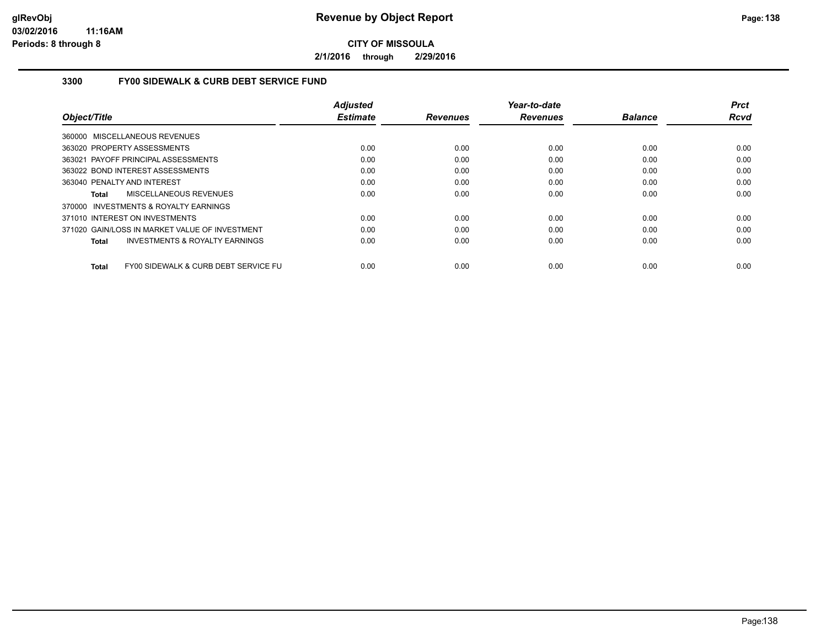**2/1/2016 through 2/29/2016**

## **3300 FY00 SIDEWALK & CURB DEBT SERVICE FUND**

|                                                    | <b>Adjusted</b> |                 | Year-to-date    |                | <b>Prct</b> |
|----------------------------------------------------|-----------------|-----------------|-----------------|----------------|-------------|
| Object/Title                                       | <b>Estimate</b> | <b>Revenues</b> | <b>Revenues</b> | <b>Balance</b> | Rcvd        |
| 360000 MISCELLANEOUS REVENUES                      |                 |                 |                 |                |             |
| 363020 PROPERTY ASSESSMENTS                        | 0.00            | 0.00            | 0.00            | 0.00           | 0.00        |
| 363021 PAYOFF PRINCIPAL ASSESSMENTS                | 0.00            | 0.00            | 0.00            | 0.00           | 0.00        |
| 363022 BOND INTEREST ASSESSMENTS                   | 0.00            | 0.00            | 0.00            | 0.00           | 0.00        |
| 363040 PENALTY AND INTEREST                        | 0.00            | 0.00            | 0.00            | 0.00           | 0.00        |
| MISCELLANEOUS REVENUES<br>Total                    | 0.00            | 0.00            | 0.00            | 0.00           | 0.00        |
| 370000 INVESTMENTS & ROYALTY EARNINGS              |                 |                 |                 |                |             |
| 371010 INTEREST ON INVESTMENTS                     | 0.00            | 0.00            | 0.00            | 0.00           | 0.00        |
| 371020 GAIN/LOSS IN MARKET VALUE OF INVESTMENT     | 0.00            | 0.00            | 0.00            | 0.00           | 0.00        |
| <b>INVESTMENTS &amp; ROYALTY EARNINGS</b><br>Total | 0.00            | 0.00            | 0.00            | 0.00           | 0.00        |
| FY00 SIDEWALK & CURB DEBT SERVICE FU<br>Total      | 0.00            | 0.00            | 0.00            | 0.00           | 0.00        |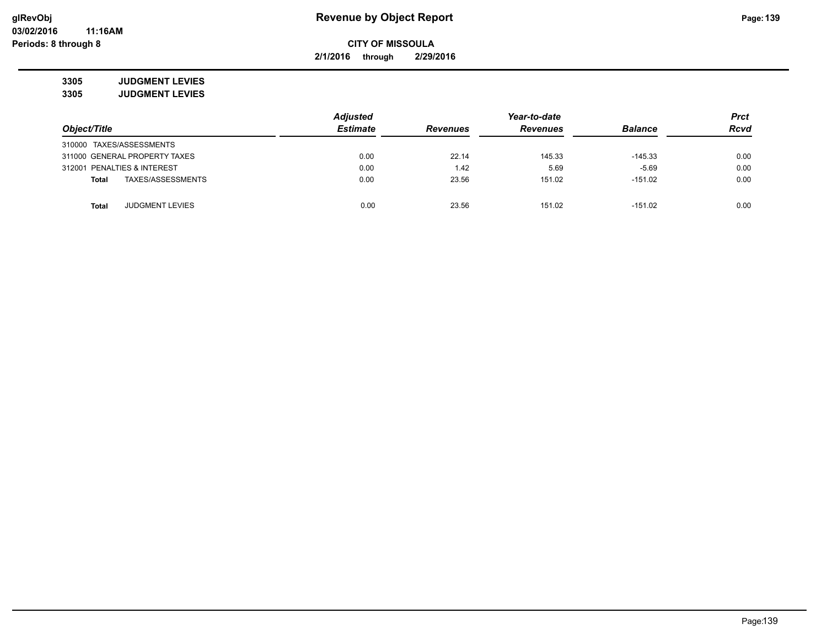**2/1/2016 through 2/29/2016**

**3305 JUDGMENT LEVIES 3305 JUDGMENT LEVIES**

|                                 | <b>Adjusted</b> |                 | Year-to-date    |                | <b>Prct</b> |
|---------------------------------|-----------------|-----------------|-----------------|----------------|-------------|
| Object/Title                    | <b>Estimate</b> | <b>Revenues</b> | <b>Revenues</b> | <b>Balance</b> | <b>Rcvd</b> |
| 310000 TAXES/ASSESSMENTS        |                 |                 |                 |                |             |
| 311000 GENERAL PROPERTY TAXES   | 0.00            | 22.14           | 145.33          | $-145.33$      | 0.00        |
| 312001 PENALTIES & INTEREST     | 0.00            | 1.42            | 5.69            | $-5.69$        | 0.00        |
| TAXES/ASSESSMENTS<br>Total      | 0.00            | 23.56           | 151.02          | $-151.02$      | 0.00        |
| <b>JUDGMENT LEVIES</b><br>Total | 0.00            | 23.56           | 151.02          | $-151.02$      | 0.00        |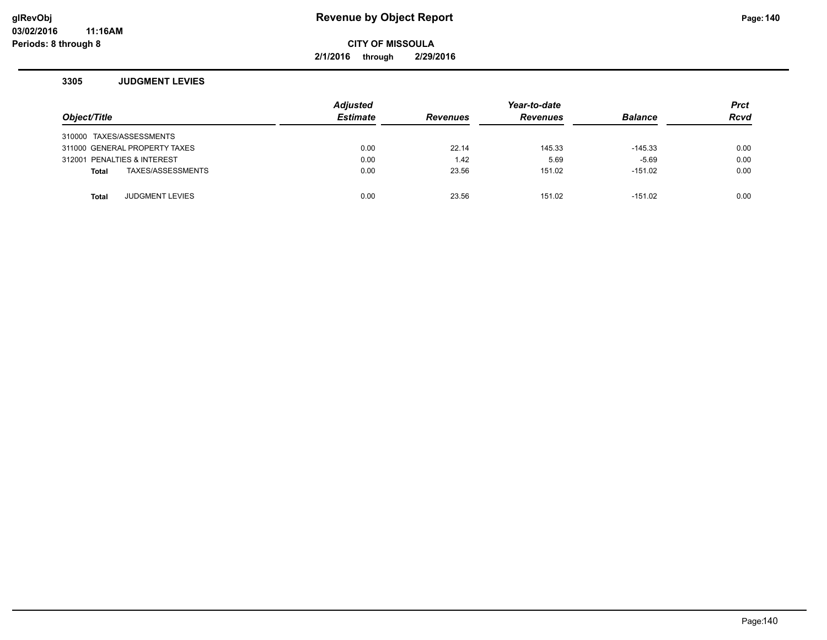**2/1/2016 through 2/29/2016**

#### **3305 JUDGMENT LEVIES**

| Object/Title                           | <b>Adjusted</b><br><b>Estimate</b> | <b>Revenues</b> | Year-to-date<br><b>Revenues</b> | <b>Balance</b> | <b>Prct</b><br><b>Rcvd</b> |
|----------------------------------------|------------------------------------|-----------------|---------------------------------|----------------|----------------------------|
| 310000 TAXES/ASSESSMENTS               |                                    |                 |                                 |                |                            |
| 311000 GENERAL PROPERTY TAXES          | 0.00                               | 22.14           | 145.33                          | $-145.33$      | 0.00                       |
| 312001 PENALTIES & INTEREST            | 0.00                               | 1.42            | 5.69                            | $-5.69$        | 0.00                       |
| TAXES/ASSESSMENTS<br>Total             | 0.00                               | 23.56           | 151.02                          | $-151.02$      | 0.00                       |
|                                        |                                    |                 |                                 |                |                            |
| <b>JUDGMENT LEVIES</b><br><b>Total</b> | 0.00                               | 23.56           | 151.02                          | $-151.02$      | 0.00                       |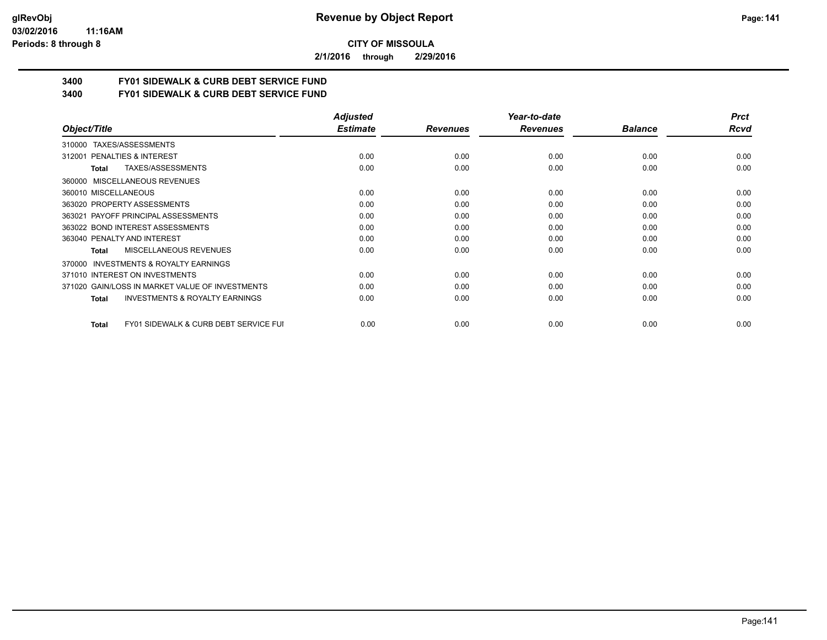#### **03/02/2016 11:16AM Periods: 8 through 8**

**CITY OF MISSOULA**

**2/1/2016 through 2/29/2016**

# **3400 FY01 SIDEWALK & CURB DEBT SERVICE FUND**

**3400 FY01 SIDEWALK & CURB DEBT SERVICE FUND**

|                                                           | <b>Adjusted</b> |                 | Year-to-date    |                | <b>Prct</b> |
|-----------------------------------------------------------|-----------------|-----------------|-----------------|----------------|-------------|
| Object/Title                                              | <b>Estimate</b> | <b>Revenues</b> | <b>Revenues</b> | <b>Balance</b> | <b>Rcvd</b> |
| TAXES/ASSESSMENTS<br>310000                               |                 |                 |                 |                |             |
| 312001 PENALTIES & INTEREST                               | 0.00            | 0.00            | 0.00            | 0.00           | 0.00        |
| TAXES/ASSESSMENTS<br>Total                                | 0.00            | 0.00            | 0.00            | 0.00           | 0.00        |
| 360000 MISCELLANEOUS REVENUES                             |                 |                 |                 |                |             |
| 360010 MISCELLANEOUS                                      | 0.00            | 0.00            | 0.00            | 0.00           | 0.00        |
| 363020 PROPERTY ASSESSMENTS                               | 0.00            | 0.00            | 0.00            | 0.00           | 0.00        |
| 363021 PAYOFF PRINCIPAL ASSESSMENTS                       | 0.00            | 0.00            | 0.00            | 0.00           | 0.00        |
| 363022 BOND INTEREST ASSESSMENTS                          | 0.00            | 0.00            | 0.00            | 0.00           | 0.00        |
| 363040 PENALTY AND INTEREST                               | 0.00            | 0.00            | 0.00            | 0.00           | 0.00        |
| MISCELLANEOUS REVENUES<br>Total                           | 0.00            | 0.00            | 0.00            | 0.00           | 0.00        |
| <b>INVESTMENTS &amp; ROYALTY EARNINGS</b><br>370000       |                 |                 |                 |                |             |
| 371010 INTEREST ON INVESTMENTS                            | 0.00            | 0.00            | 0.00            | 0.00           | 0.00        |
| 371020 GAIN/LOSS IN MARKET VALUE OF INVESTMENTS           | 0.00            | 0.00            | 0.00            | 0.00           | 0.00        |
| <b>INVESTMENTS &amp; ROYALTY EARNINGS</b><br>Total        | 0.00            | 0.00            | 0.00            | 0.00           | 0.00        |
| <b>FY01 SIDEWALK &amp; CURB DEBT SERVICE FUI</b><br>Total | 0.00            | 0.00            | 0.00            | 0.00           | 0.00        |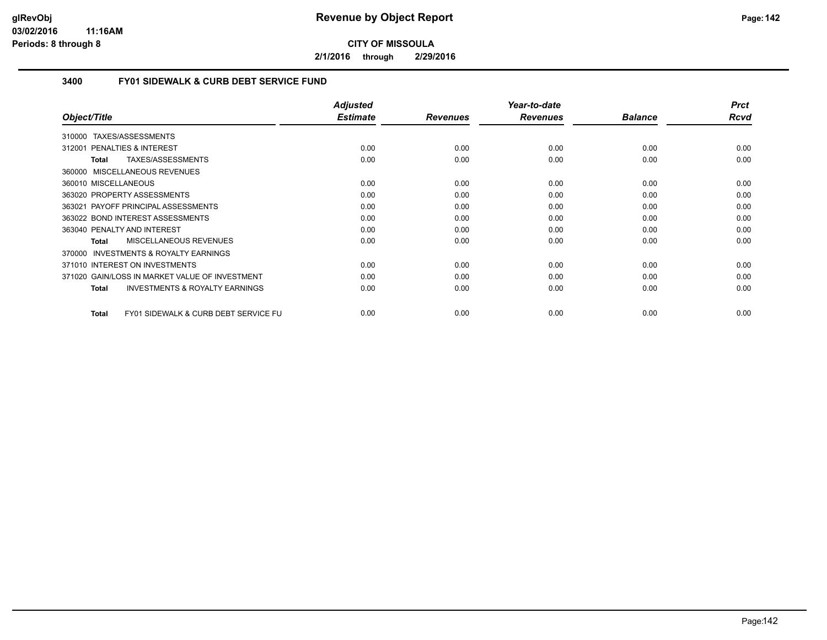**2/1/2016 through 2/29/2016**

## **3400 FY01 SIDEWALK & CURB DEBT SERVICE FUND**

|                                                      | <b>Adjusted</b> |                 | Year-to-date    |                | <b>Prct</b> |
|------------------------------------------------------|-----------------|-----------------|-----------------|----------------|-------------|
| Object/Title                                         | <b>Estimate</b> | <b>Revenues</b> | <b>Revenues</b> | <b>Balance</b> | Rcvd        |
| 310000 TAXES/ASSESSMENTS                             |                 |                 |                 |                |             |
| 312001 PENALTIES & INTEREST                          | 0.00            | 0.00            | 0.00            | 0.00           | 0.00        |
| TAXES/ASSESSMENTS<br>Total                           | 0.00            | 0.00            | 0.00            | 0.00           | 0.00        |
| 360000 MISCELLANEOUS REVENUES                        |                 |                 |                 |                |             |
| 360010 MISCELLANEOUS                                 | 0.00            | 0.00            | 0.00            | 0.00           | 0.00        |
| 363020 PROPERTY ASSESSMENTS                          | 0.00            | 0.00            | 0.00            | 0.00           | 0.00        |
| 363021 PAYOFF PRINCIPAL ASSESSMENTS                  | 0.00            | 0.00            | 0.00            | 0.00           | 0.00        |
| 363022 BOND INTEREST ASSESSMENTS                     | 0.00            | 0.00            | 0.00            | 0.00           | 0.00        |
| 363040 PENALTY AND INTEREST                          | 0.00            | 0.00            | 0.00            | 0.00           | 0.00        |
| <b>MISCELLANEOUS REVENUES</b><br><b>Total</b>        | 0.00            | 0.00            | 0.00            | 0.00           | 0.00        |
| <b>INVESTMENTS &amp; ROYALTY EARNINGS</b><br>370000  |                 |                 |                 |                |             |
| 371010 INTEREST ON INVESTMENTS                       | 0.00            | 0.00            | 0.00            | 0.00           | 0.00        |
| 371020 GAIN/LOSS IN MARKET VALUE OF INVESTMENT       | 0.00            | 0.00            | 0.00            | 0.00           | 0.00        |
| <b>INVESTMENTS &amp; ROYALTY EARNINGS</b><br>Total   | 0.00            | 0.00            | 0.00            | 0.00           | 0.00        |
| FY01 SIDEWALK & CURB DEBT SERVICE FU<br><b>Total</b> | 0.00            | 0.00            | 0.00            | 0.00           | 0.00        |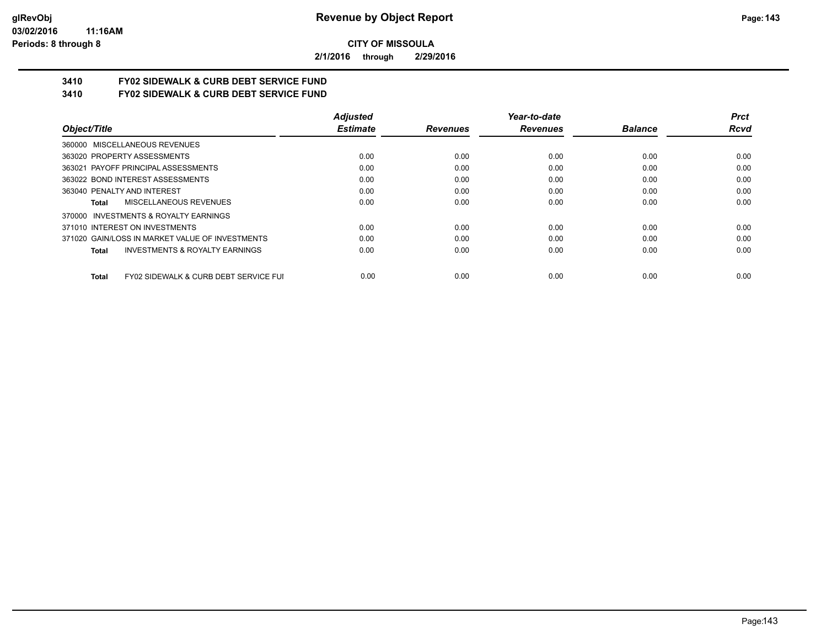**2/1/2016 through 2/29/2016**

# **3410 FY02 SIDEWALK & CURB DEBT SERVICE FUND**

**3410 FY02 SIDEWALK & CURB DEBT SERVICE FUND**

|                                                                  | <b>Adjusted</b> |                 | Year-to-date    |                | <b>Prct</b> |
|------------------------------------------------------------------|-----------------|-----------------|-----------------|----------------|-------------|
| Object/Title                                                     | <b>Estimate</b> | <b>Revenues</b> | <b>Revenues</b> | <b>Balance</b> | Rcvd        |
| 360000 MISCELLANEOUS REVENUES                                    |                 |                 |                 |                |             |
| 363020 PROPERTY ASSESSMENTS                                      | 0.00            | 0.00            | 0.00            | 0.00           | 0.00        |
| 363021 PAYOFF PRINCIPAL ASSESSMENTS                              | 0.00            | 0.00            | 0.00            | 0.00           | 0.00        |
| 363022 BOND INTEREST ASSESSMENTS                                 | 0.00            | 0.00            | 0.00            | 0.00           | 0.00        |
| 363040 PENALTY AND INTEREST                                      | 0.00            | 0.00            | 0.00            | 0.00           | 0.00        |
| MISCELLANEOUS REVENUES<br>Total                                  | 0.00            | 0.00            | 0.00            | 0.00           | 0.00        |
| INVESTMENTS & ROYALTY EARNINGS<br>370000                         |                 |                 |                 |                |             |
| 371010 INTEREST ON INVESTMENTS                                   | 0.00            | 0.00            | 0.00            | 0.00           | 0.00        |
| 371020 GAIN/LOSS IN MARKET VALUE OF INVESTMENTS                  | 0.00            | 0.00            | 0.00            | 0.00           | 0.00        |
| <b>INVESTMENTS &amp; ROYALTY EARNINGS</b><br><b>Total</b>        | 0.00            | 0.00            | 0.00            | 0.00           | 0.00        |
| <b>FY02 SIDEWALK &amp; CURB DEBT SERVICE FUI</b><br><b>Total</b> | 0.00            | 0.00            | 0.00            | 0.00           | 0.00        |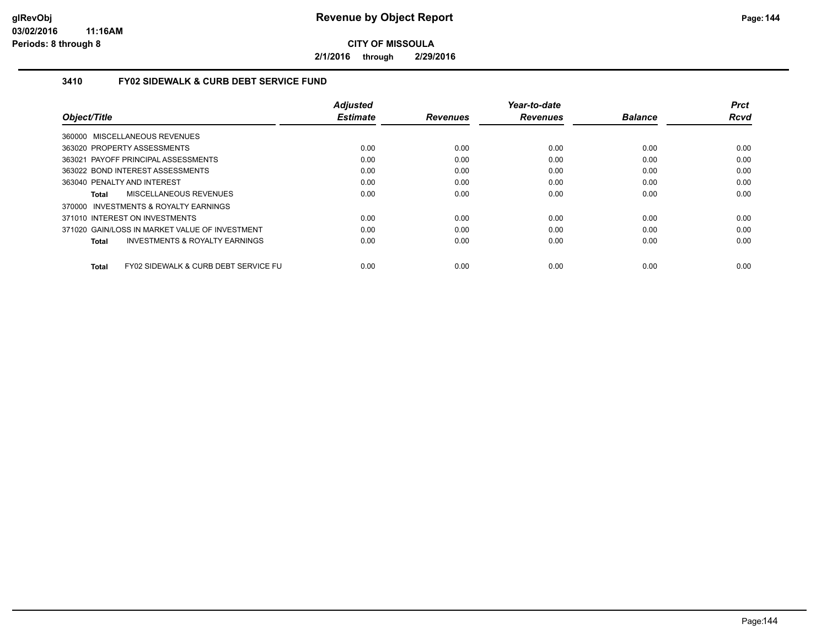**2/1/2016 through 2/29/2016**

# **3410 FY02 SIDEWALK & CURB DEBT SERVICE FUND**

|                                                                 | <b>Adjusted</b> |                 | Year-to-date    |                | <b>Prct</b> |
|-----------------------------------------------------------------|-----------------|-----------------|-----------------|----------------|-------------|
| Object/Title                                                    | <b>Estimate</b> | <b>Revenues</b> | <b>Revenues</b> | <b>Balance</b> | <b>Rcvd</b> |
| 360000 MISCELLANEOUS REVENUES                                   |                 |                 |                 |                |             |
| 363020 PROPERTY ASSESSMENTS                                     | 0.00            | 0.00            | 0.00            | 0.00           | 0.00        |
| 363021 PAYOFF PRINCIPAL ASSESSMENTS                             | 0.00            | 0.00            | 0.00            | 0.00           | 0.00        |
| 363022 BOND INTEREST ASSESSMENTS                                | 0.00            | 0.00            | 0.00            | 0.00           | 0.00        |
| 363040 PENALTY AND INTEREST                                     | 0.00            | 0.00            | 0.00            | 0.00           | 0.00        |
| MISCELLANEOUS REVENUES<br>Total                                 | 0.00            | 0.00            | 0.00            | 0.00           | 0.00        |
| 370000 INVESTMENTS & ROYALTY EARNINGS                           |                 |                 |                 |                |             |
| 371010 INTEREST ON INVESTMENTS                                  | 0.00            | 0.00            | 0.00            | 0.00           | 0.00        |
| 371020 GAIN/LOSS IN MARKET VALUE OF INVESTMENT                  | 0.00            | 0.00            | 0.00            | 0.00           | 0.00        |
| <b>INVESTMENTS &amp; ROYALTY EARNINGS</b><br>Total              | 0.00            | 0.00            | 0.00            | 0.00           | 0.00        |
| <b>FY02 SIDEWALK &amp; CURB DEBT SERVICE FU</b><br><b>Total</b> | 0.00            | 0.00            | 0.00            | 0.00           | 0.00        |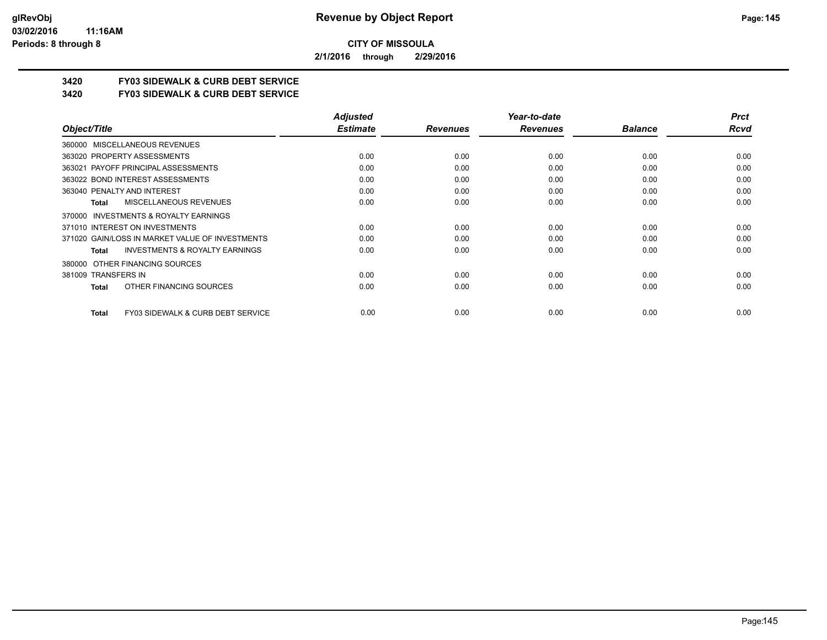**2/1/2016 through 2/29/2016**

# **3420 FY03 SIDEWALK & CURB DEBT SERVICE**

**3420 FY03 SIDEWALK & CURB DEBT SERVICE**

|                                                           | <b>Adjusted</b> |                 | Year-to-date    |                | <b>Prct</b> |
|-----------------------------------------------------------|-----------------|-----------------|-----------------|----------------|-------------|
| Object/Title                                              | <b>Estimate</b> | <b>Revenues</b> | <b>Revenues</b> | <b>Balance</b> | <b>Rcvd</b> |
| 360000 MISCELLANEOUS REVENUES                             |                 |                 |                 |                |             |
| 363020 PROPERTY ASSESSMENTS                               | 0.00            | 0.00            | 0.00            | 0.00           | 0.00        |
| 363021 PAYOFF PRINCIPAL ASSESSMENTS                       | 0.00            | 0.00            | 0.00            | 0.00           | 0.00        |
| 363022 BOND INTEREST ASSESSMENTS                          | 0.00            | 0.00            | 0.00            | 0.00           | 0.00        |
| 363040 PENALTY AND INTEREST                               | 0.00            | 0.00            | 0.00            | 0.00           | 0.00        |
| MISCELLANEOUS REVENUES<br><b>Total</b>                    | 0.00            | 0.00            | 0.00            | 0.00           | 0.00        |
| 370000 INVESTMENTS & ROYALTY EARNINGS                     |                 |                 |                 |                |             |
| 371010 INTEREST ON INVESTMENTS                            | 0.00            | 0.00            | 0.00            | 0.00           | 0.00        |
| 371020 GAIN/LOSS IN MARKET VALUE OF INVESTMENTS           | 0.00            | 0.00            | 0.00            | 0.00           | 0.00        |
| <b>INVESTMENTS &amp; ROYALTY EARNINGS</b><br><b>Total</b> | 0.00            | 0.00            | 0.00            | 0.00           | 0.00        |
| OTHER FINANCING SOURCES<br>380000                         |                 |                 |                 |                |             |
| 381009 TRANSFERS IN                                       | 0.00            | 0.00            | 0.00            | 0.00           | 0.00        |
| OTHER FINANCING SOURCES<br><b>Total</b>                   | 0.00            | 0.00            | 0.00            | 0.00           | 0.00        |
| FY03 SIDEWALK & CURB DEBT SERVICE<br><b>Total</b>         | 0.00            | 0.00            | 0.00            | 0.00           | 0.00        |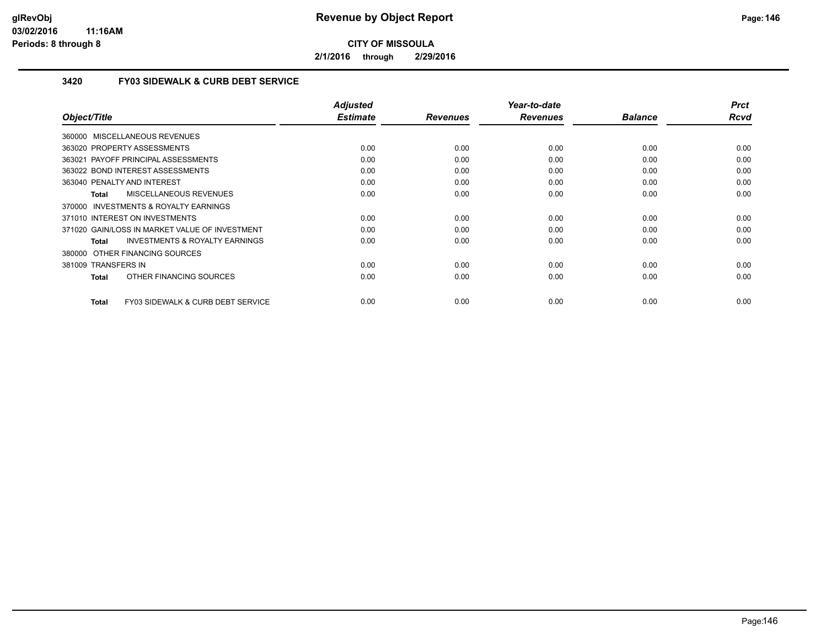**2/1/2016 through 2/29/2016**

## **3420 FY03 SIDEWALK & CURB DEBT SERVICE**

| Object/Title                                       | <b>Adjusted</b><br><b>Estimate</b> | <b>Revenues</b> | Year-to-date<br><b>Revenues</b> | <b>Balance</b> | <b>Prct</b><br><b>Rcvd</b> |
|----------------------------------------------------|------------------------------------|-----------------|---------------------------------|----------------|----------------------------|
| 360000 MISCELLANEOUS REVENUES                      |                                    |                 |                                 |                |                            |
|                                                    |                                    |                 |                                 |                |                            |
| 363020 PROPERTY ASSESSMENTS                        | 0.00                               | 0.00            | 0.00                            | 0.00           | 0.00                       |
| 363021 PAYOFF PRINCIPAL ASSESSMENTS                | 0.00                               | 0.00            | 0.00                            | 0.00           | 0.00                       |
| 363022 BOND INTEREST ASSESSMENTS                   | 0.00                               | 0.00            | 0.00                            | 0.00           | 0.00                       |
| 363040 PENALTY AND INTEREST                        | 0.00                               | 0.00            | 0.00                            | 0.00           | 0.00                       |
| <b>MISCELLANEOUS REVENUES</b><br>Total             | 0.00                               | 0.00            | 0.00                            | 0.00           | 0.00                       |
| 370000 INVESTMENTS & ROYALTY EARNINGS              |                                    |                 |                                 |                |                            |
| 371010 INTEREST ON INVESTMENTS                     | 0.00                               | 0.00            | 0.00                            | 0.00           | 0.00                       |
| 371020 GAIN/LOSS IN MARKET VALUE OF INVESTMENT     | 0.00                               | 0.00            | 0.00                            | 0.00           | 0.00                       |
| <b>INVESTMENTS &amp; ROYALTY EARNINGS</b><br>Total | 0.00                               | 0.00            | 0.00                            | 0.00           | 0.00                       |
| 380000 OTHER FINANCING SOURCES                     |                                    |                 |                                 |                |                            |
| 381009 TRANSFERS IN                                | 0.00                               | 0.00            | 0.00                            | 0.00           | 0.00                       |
| OTHER FINANCING SOURCES<br>Total                   | 0.00                               | 0.00            | 0.00                            | 0.00           | 0.00                       |
|                                                    |                                    |                 |                                 |                |                            |
| FY03 SIDEWALK & CURB DEBT SERVICE<br>Total         | 0.00                               | 0.00            | 0.00                            | 0.00           | 0.00                       |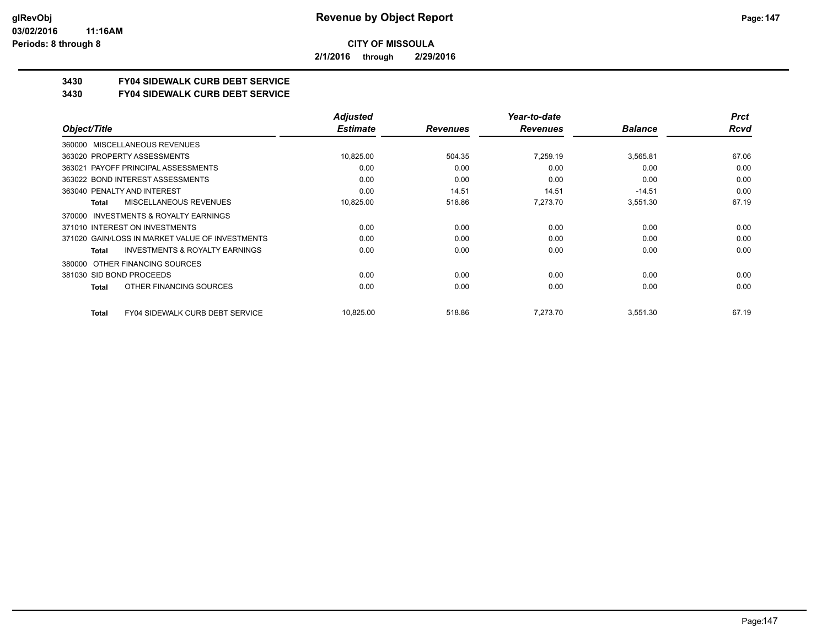**2/1/2016 through 2/29/2016**

# **3430 FY04 SIDEWALK CURB DEBT SERVICE**

### **3430 FY04 SIDEWALK CURB DEBT SERVICE**

|                                                    | <b>Adjusted</b> |                 | Year-to-date    |                | <b>Prct</b> |
|----------------------------------------------------|-----------------|-----------------|-----------------|----------------|-------------|
| Object/Title                                       | <b>Estimate</b> | <b>Revenues</b> | <b>Revenues</b> | <b>Balance</b> | <b>Rcvd</b> |
| 360000 MISCELLANEOUS REVENUES                      |                 |                 |                 |                |             |
| 363020 PROPERTY ASSESSMENTS                        | 10,825.00       | 504.35          | 7.259.19        | 3,565.81       | 67.06       |
| 363021 PAYOFF PRINCIPAL ASSESSMENTS                | 0.00            | 0.00            | 0.00            | 0.00           | 0.00        |
| 363022 BOND INTEREST ASSESSMENTS                   | 0.00            | 0.00            | 0.00            | 0.00           | 0.00        |
| 363040 PENALTY AND INTEREST                        | 0.00            | 14.51           | 14.51           | $-14.51$       | 0.00        |
| MISCELLANEOUS REVENUES<br>Total                    | 10,825.00       | 518.86          | 7,273.70        | 3,551.30       | 67.19       |
| INVESTMENTS & ROYALTY EARNINGS<br>370000           |                 |                 |                 |                |             |
| 371010 INTEREST ON INVESTMENTS                     | 0.00            | 0.00            | 0.00            | 0.00           | 0.00        |
| 371020 GAIN/LOSS IN MARKET VALUE OF INVESTMENTS    | 0.00            | 0.00            | 0.00            | 0.00           | 0.00        |
| <b>INVESTMENTS &amp; ROYALTY EARNINGS</b><br>Total | 0.00            | 0.00            | 0.00            | 0.00           | 0.00        |
| OTHER FINANCING SOURCES<br>380000                  |                 |                 |                 |                |             |
| 381030 SID BOND PROCEEDS                           | 0.00            | 0.00            | 0.00            | 0.00           | 0.00        |
| OTHER FINANCING SOURCES<br>Total                   | 0.00            | 0.00            | 0.00            | 0.00           | 0.00        |
| <b>FY04 SIDEWALK CURB DEBT SERVICE</b><br>Total    | 10,825.00       | 518.86          | 7.273.70        | 3,551.30       | 67.19       |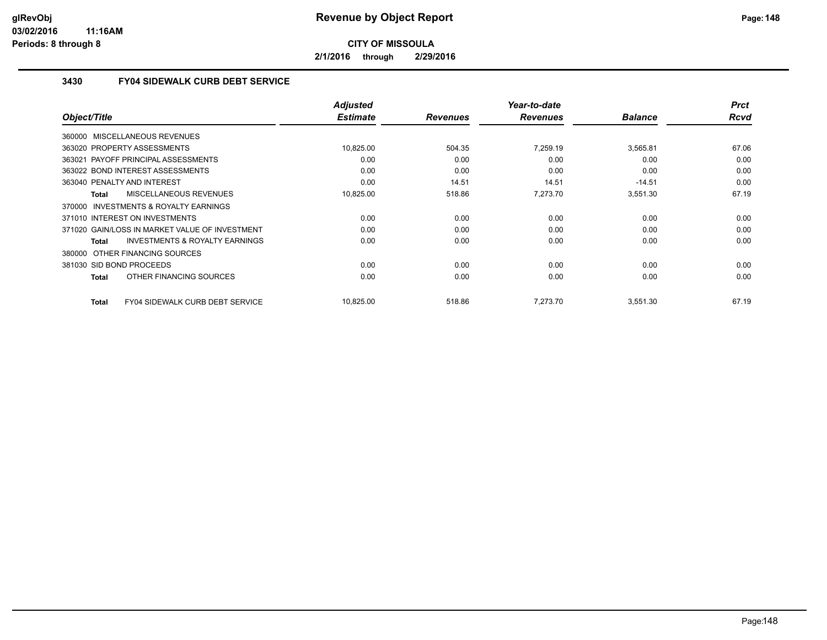**2/1/2016 through 2/29/2016**

## **3430 FY04 SIDEWALK CURB DEBT SERVICE**

|                                                    | <b>Adjusted</b> |                 | Year-to-date    |                | <b>Prct</b> |
|----------------------------------------------------|-----------------|-----------------|-----------------|----------------|-------------|
| Object/Title                                       | <b>Estimate</b> | <b>Revenues</b> | <b>Revenues</b> | <b>Balance</b> | <b>Rcvd</b> |
| 360000 MISCELLANEOUS REVENUES                      |                 |                 |                 |                |             |
| 363020 PROPERTY ASSESSMENTS                        | 10,825.00       | 504.35          | 7.259.19        | 3,565.81       | 67.06       |
| 363021 PAYOFF PRINCIPAL ASSESSMENTS                | 0.00            | 0.00            | 0.00            | 0.00           | 0.00        |
| 363022 BOND INTEREST ASSESSMENTS                   | 0.00            | 0.00            | 0.00            | 0.00           | 0.00        |
| 363040 PENALTY AND INTEREST                        | 0.00            | 14.51           | 14.51           | $-14.51$       | 0.00        |
| <b>MISCELLANEOUS REVENUES</b><br>Total             | 10,825.00       | 518.86          | 7.273.70        | 3,551.30       | 67.19       |
| 370000 INVESTMENTS & ROYALTY EARNINGS              |                 |                 |                 |                |             |
| 371010 INTEREST ON INVESTMENTS                     | 0.00            | 0.00            | 0.00            | 0.00           | 0.00        |
| 371020 GAIN/LOSS IN MARKET VALUE OF INVESTMENT     | 0.00            | 0.00            | 0.00            | 0.00           | 0.00        |
| <b>INVESTMENTS &amp; ROYALTY EARNINGS</b><br>Total | 0.00            | 0.00            | 0.00            | 0.00           | 0.00        |
| 380000 OTHER FINANCING SOURCES                     |                 |                 |                 |                |             |
| 381030 SID BOND PROCEEDS                           | 0.00            | 0.00            | 0.00            | 0.00           | 0.00        |
| OTHER FINANCING SOURCES<br>Total                   | 0.00            | 0.00            | 0.00            | 0.00           | 0.00        |
| FY04 SIDEWALK CURB DEBT SERVICE<br>Total           | 10.825.00       | 518.86          | 7.273.70        | 3,551.30       | 67.19       |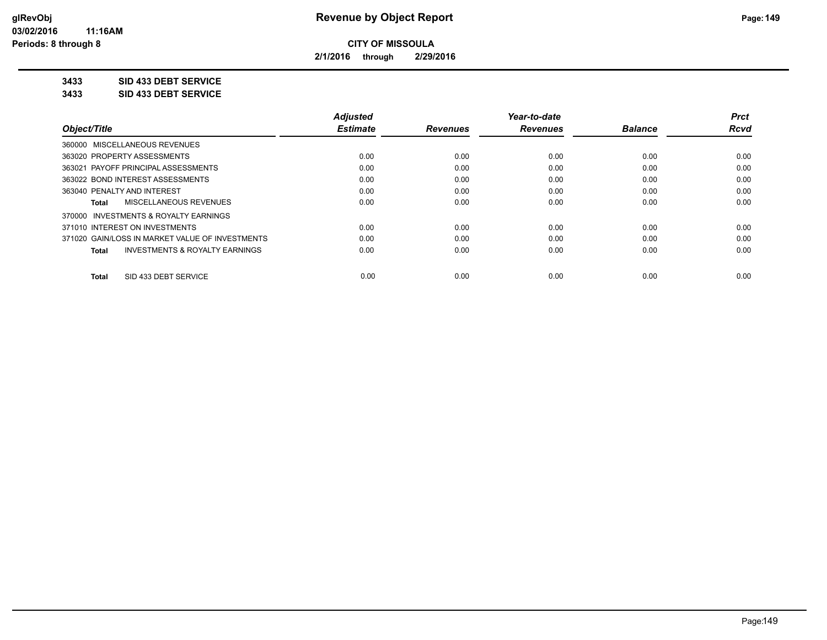**2/1/2016 through 2/29/2016**

## **3433 SID 433 DEBT SERVICE**

**3433 SID 433 DEBT SERVICE**

|                                                    | <b>Adjusted</b> |                 | Year-to-date    |                | <b>Prct</b> |
|----------------------------------------------------|-----------------|-----------------|-----------------|----------------|-------------|
| Object/Title                                       | <b>Estimate</b> | <b>Revenues</b> | <b>Revenues</b> | <b>Balance</b> | <b>Rcvd</b> |
| 360000 MISCELLANEOUS REVENUES                      |                 |                 |                 |                |             |
| 363020 PROPERTY ASSESSMENTS                        | 0.00            | 0.00            | 0.00            | 0.00           | 0.00        |
| PAYOFF PRINCIPAL ASSESSMENTS<br>363021             | 0.00            | 0.00            | 0.00            | 0.00           | 0.00        |
| 363022 BOND INTEREST ASSESSMENTS                   | 0.00            | 0.00            | 0.00            | 0.00           | 0.00        |
| 363040 PENALTY AND INTEREST                        | 0.00            | 0.00            | 0.00            | 0.00           | 0.00        |
| MISCELLANEOUS REVENUES<br>Total                    | 0.00            | 0.00            | 0.00            | 0.00           | 0.00        |
| 370000 INVESTMENTS & ROYALTY EARNINGS              |                 |                 |                 |                |             |
| 371010 INTEREST ON INVESTMENTS                     | 0.00            | 0.00            | 0.00            | 0.00           | 0.00        |
| 371020 GAIN/LOSS IN MARKET VALUE OF INVESTMENTS    | 0.00            | 0.00            | 0.00            | 0.00           | 0.00        |
| <b>INVESTMENTS &amp; ROYALTY EARNINGS</b><br>Total | 0.00            | 0.00            | 0.00            | 0.00           | 0.00        |
| SID 433 DEBT SERVICE<br><b>Total</b>               | 0.00            | 0.00            | 0.00            | 0.00           | 0.00        |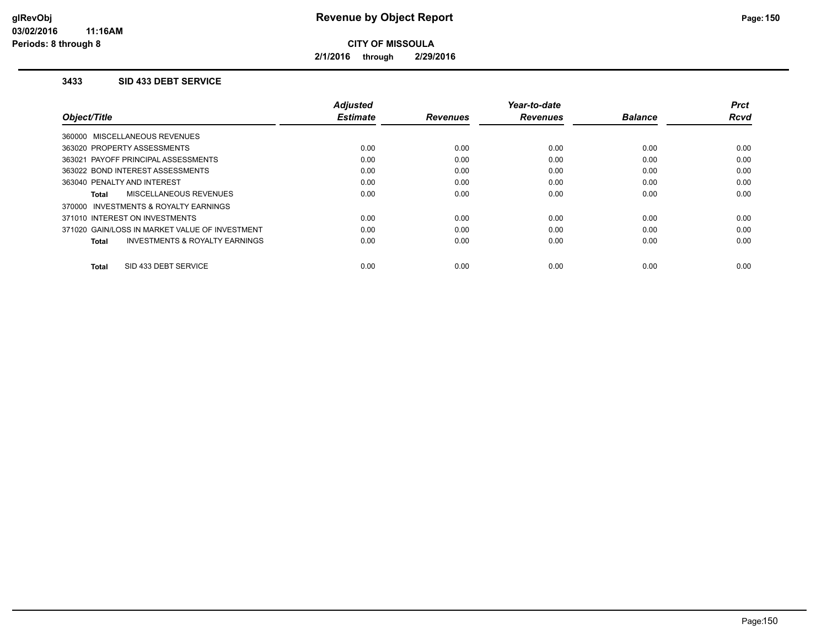**2/1/2016 through 2/29/2016**

### **3433 SID 433 DEBT SERVICE**

|                                                    | <b>Adjusted</b> |                 | Year-to-date    |                | <b>Prct</b> |
|----------------------------------------------------|-----------------|-----------------|-----------------|----------------|-------------|
| Object/Title                                       | <b>Estimate</b> | <b>Revenues</b> | <b>Revenues</b> | <b>Balance</b> | <b>Rcvd</b> |
| 360000 MISCELLANEOUS REVENUES                      |                 |                 |                 |                |             |
| 363020 PROPERTY ASSESSMENTS                        | 0.00            | 0.00            | 0.00            | 0.00           | 0.00        |
| 363021 PAYOFF PRINCIPAL ASSESSMENTS                | 0.00            | 0.00            | 0.00            | 0.00           | 0.00        |
| 363022 BOND INTEREST ASSESSMENTS                   | 0.00            | 0.00            | 0.00            | 0.00           | 0.00        |
| 363040 PENALTY AND INTEREST                        | 0.00            | 0.00            | 0.00            | 0.00           | 0.00        |
| MISCELLANEOUS REVENUES<br>Total                    | 0.00            | 0.00            | 0.00            | 0.00           | 0.00        |
| 370000 INVESTMENTS & ROYALTY EARNINGS              |                 |                 |                 |                |             |
| 371010 INTEREST ON INVESTMENTS                     | 0.00            | 0.00            | 0.00            | 0.00           | 0.00        |
| 371020 GAIN/LOSS IN MARKET VALUE OF INVESTMENT     | 0.00            | 0.00            | 0.00            | 0.00           | 0.00        |
| <b>INVESTMENTS &amp; ROYALTY EARNINGS</b><br>Total | 0.00            | 0.00            | 0.00            | 0.00           | 0.00        |
|                                                    |                 |                 |                 |                |             |
| SID 433 DEBT SERVICE<br>Total                      | 0.00            | 0.00            | 0.00            | 0.00           | 0.00        |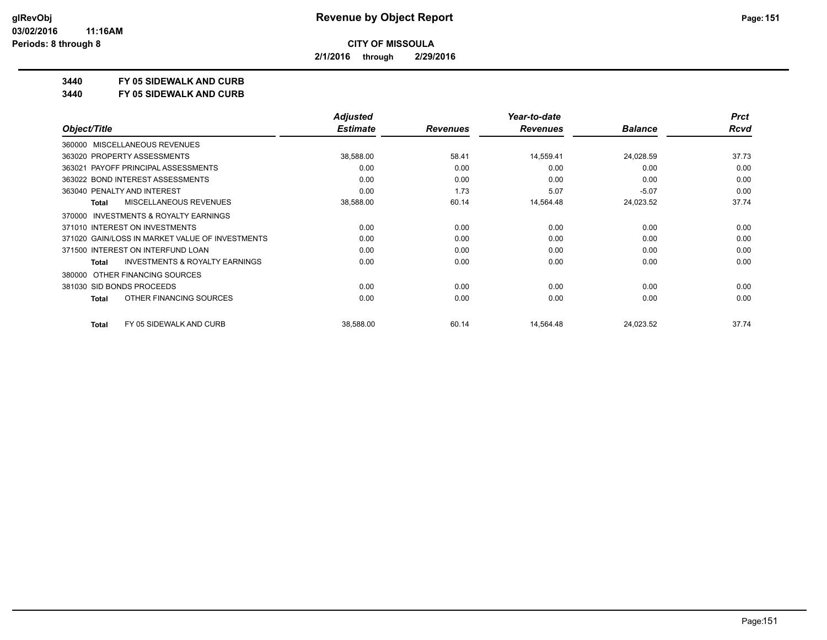**2/1/2016 through 2/29/2016**

## **3440 FY 05 SIDEWALK AND CURB**

**3440 FY 05 SIDEWALK AND CURB**

|                                                    | <b>Adjusted</b> |                 | Year-to-date    |                | <b>Prct</b> |
|----------------------------------------------------|-----------------|-----------------|-----------------|----------------|-------------|
| Object/Title                                       | <b>Estimate</b> | <b>Revenues</b> | <b>Revenues</b> | <b>Balance</b> | <b>Rcvd</b> |
| MISCELLANEOUS REVENUES<br>360000                   |                 |                 |                 |                |             |
| 363020 PROPERTY ASSESSMENTS                        | 38,588.00       | 58.41           | 14,559.41       | 24,028.59      | 37.73       |
| 363021 PAYOFF PRINCIPAL ASSESSMENTS                | 0.00            | 0.00            | 0.00            | 0.00           | 0.00        |
| 363022 BOND INTEREST ASSESSMENTS                   | 0.00            | 0.00            | 0.00            | 0.00           | 0.00        |
| 363040 PENALTY AND INTEREST                        | 0.00            | 1.73            | 5.07            | $-5.07$        | 0.00        |
| <b>MISCELLANEOUS REVENUES</b><br>Total             | 38,588.00       | 60.14           | 14,564.48       | 24,023.52      | 37.74       |
| INVESTMENTS & ROYALTY EARNINGS<br>370000           |                 |                 |                 |                |             |
| 371010 INTEREST ON INVESTMENTS                     | 0.00            | 0.00            | 0.00            | 0.00           | 0.00        |
| 371020 GAIN/LOSS IN MARKET VALUE OF INVESTMENTS    | 0.00            | 0.00            | 0.00            | 0.00           | 0.00        |
| 371500 INTEREST ON INTERFUND LOAN                  | 0.00            | 0.00            | 0.00            | 0.00           | 0.00        |
| <b>INVESTMENTS &amp; ROYALTY EARNINGS</b><br>Total | 0.00            | 0.00            | 0.00            | 0.00           | 0.00        |
| OTHER FINANCING SOURCES<br>380000                  |                 |                 |                 |                |             |
| 381030 SID BONDS PROCEEDS                          | 0.00            | 0.00            | 0.00            | 0.00           | 0.00        |
| OTHER FINANCING SOURCES<br><b>Total</b>            | 0.00            | 0.00            | 0.00            | 0.00           | 0.00        |
| FY 05 SIDEWALK AND CURB<br><b>Total</b>            | 38,588.00       | 60.14           | 14,564.48       | 24,023.52      | 37.74       |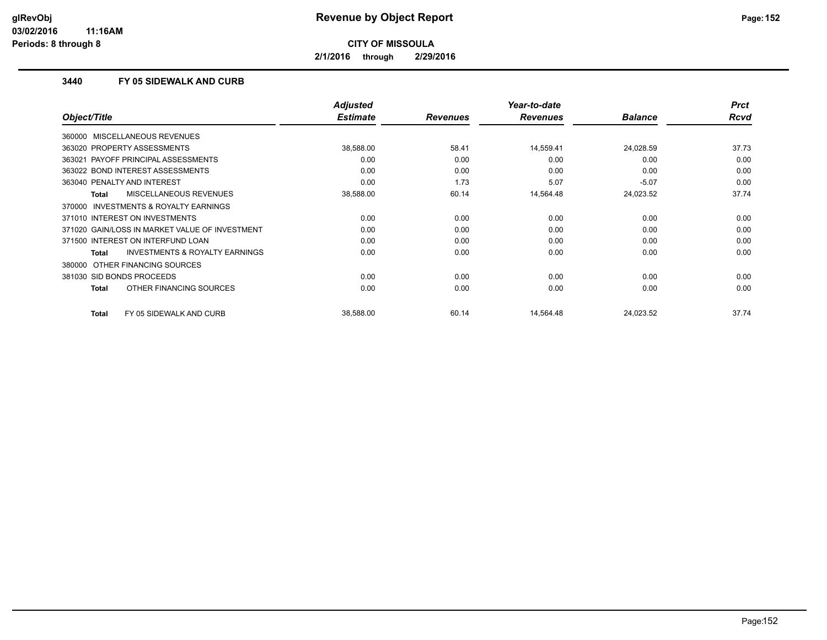**2/1/2016 through 2/29/2016**

## **3440 FY 05 SIDEWALK AND CURB**

|                                                     | <b>Adjusted</b> |                 | Year-to-date    |                | <b>Prct</b> |
|-----------------------------------------------------|-----------------|-----------------|-----------------|----------------|-------------|
| Object/Title                                        | <b>Estimate</b> | <b>Revenues</b> | <b>Revenues</b> | <b>Balance</b> | <b>Rcvd</b> |
| 360000 MISCELLANEOUS REVENUES                       |                 |                 |                 |                |             |
| 363020 PROPERTY ASSESSMENTS                         | 38,588.00       | 58.41           | 14,559.41       | 24,028.59      | 37.73       |
| 363021 PAYOFF PRINCIPAL ASSESSMENTS                 | 0.00            | 0.00            | 0.00            | 0.00           | 0.00        |
| 363022 BOND INTEREST ASSESSMENTS                    | 0.00            | 0.00            | 0.00            | 0.00           | 0.00        |
| 363040 PENALTY AND INTEREST                         | 0.00            | 1.73            | 5.07            | $-5.07$        | 0.00        |
| <b>MISCELLANEOUS REVENUES</b><br>Total              | 38,588.00       | 60.14           | 14,564.48       | 24,023.52      | 37.74       |
| <b>INVESTMENTS &amp; ROYALTY EARNINGS</b><br>370000 |                 |                 |                 |                |             |
| 371010 INTEREST ON INVESTMENTS                      | 0.00            | 0.00            | 0.00            | 0.00           | 0.00        |
| 371020 GAIN/LOSS IN MARKET VALUE OF INVESTMENT      | 0.00            | 0.00            | 0.00            | 0.00           | 0.00        |
| 371500 INTEREST ON INTERFUND LOAN                   | 0.00            | 0.00            | 0.00            | 0.00           | 0.00        |
| <b>INVESTMENTS &amp; ROYALTY EARNINGS</b><br>Total  | 0.00            | 0.00            | 0.00            | 0.00           | 0.00        |
| 380000 OTHER FINANCING SOURCES                      |                 |                 |                 |                |             |
| 381030 SID BONDS PROCEEDS                           | 0.00            | 0.00            | 0.00            | 0.00           | 0.00        |
| OTHER FINANCING SOURCES<br>Total                    | 0.00            | 0.00            | 0.00            | 0.00           | 0.00        |
| <b>Total</b><br>FY 05 SIDEWALK AND CURB             | 38,588.00       | 60.14           | 14,564.48       | 24,023.52      | 37.74       |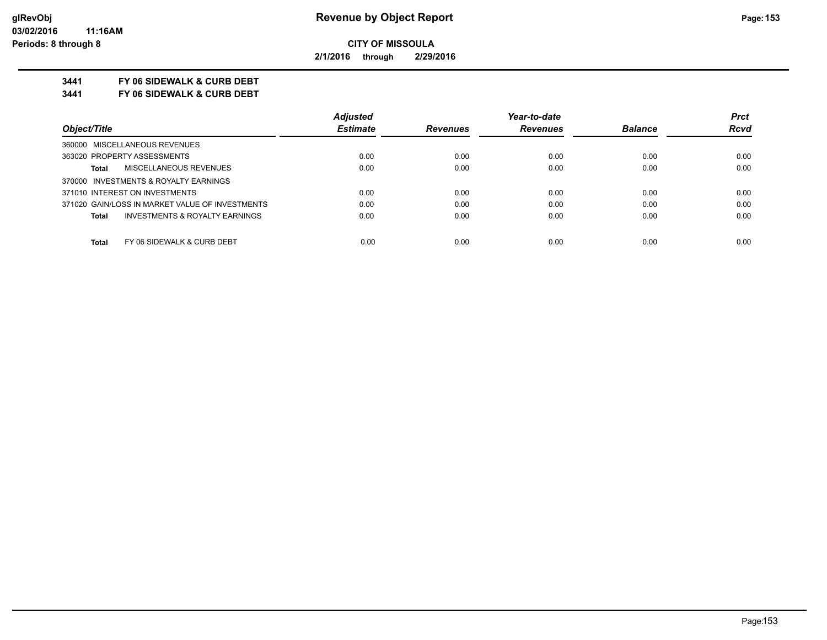**2/1/2016 through 2/29/2016**

## **3441 FY 06 SIDEWALK & CURB DEBT**

**3441 FY 06 SIDEWALK & CURB DEBT**

|                                                    | <b>Adjusted</b> |                 | Year-to-date    |                | <b>Prct</b> |
|----------------------------------------------------|-----------------|-----------------|-----------------|----------------|-------------|
| Object/Title                                       | <b>Estimate</b> | <b>Revenues</b> | <b>Revenues</b> | <b>Balance</b> | <b>Rcvd</b> |
| 360000 MISCELLANEOUS REVENUES                      |                 |                 |                 |                |             |
| 363020 PROPERTY ASSESSMENTS                        | 0.00            | 0.00            | 0.00            | 0.00           | 0.00        |
| MISCELLANEOUS REVENUES<br><b>Total</b>             | 0.00            | 0.00            | 0.00            | 0.00           | 0.00        |
| 370000 INVESTMENTS & ROYALTY EARNINGS              |                 |                 |                 |                |             |
| 371010 INTEREST ON INVESTMENTS                     | 0.00            | 0.00            | 0.00            | 0.00           | 0.00        |
| 371020 GAIN/LOSS IN MARKET VALUE OF INVESTMENTS    | 0.00            | 0.00            | 0.00            | 0.00           | 0.00        |
| <b>INVESTMENTS &amp; ROYALTY EARNINGS</b><br>Total | 0.00            | 0.00            | 0.00            | 0.00           | 0.00        |
|                                                    |                 |                 |                 |                |             |
| Total<br>FY 06 SIDEWALK & CURB DEBT                | 0.00            | 0.00            | 0.00            | 0.00           | 0.00        |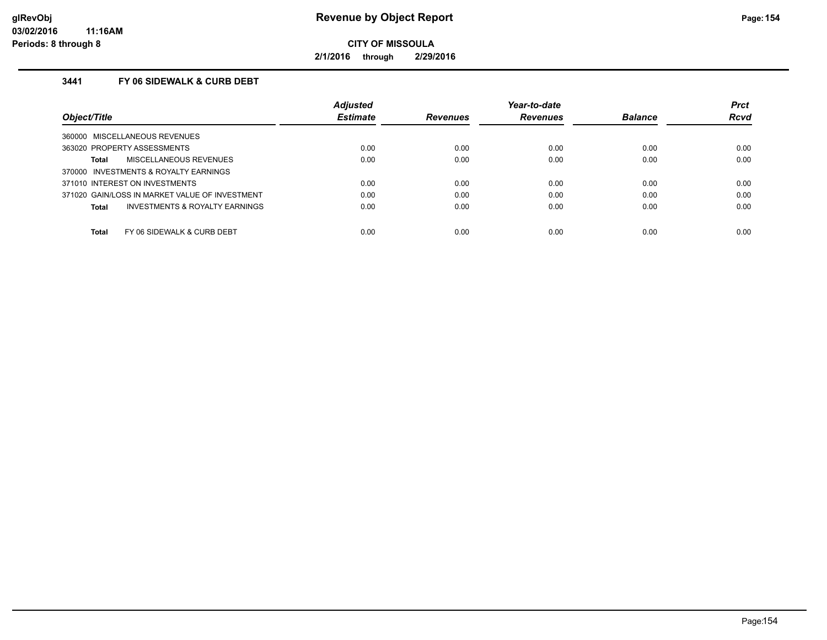**2/1/2016 through 2/29/2016**

## **3441 FY 06 SIDEWALK & CURB DEBT**

|                                                | <b>Adjusted</b> |                 | Year-to-date    |                | <b>Prct</b> |
|------------------------------------------------|-----------------|-----------------|-----------------|----------------|-------------|
| Object/Title                                   | <b>Estimate</b> | <b>Revenues</b> | <b>Revenues</b> | <b>Balance</b> | <b>Rcvd</b> |
| 360000 MISCELLANEOUS REVENUES                  |                 |                 |                 |                |             |
| 363020 PROPERTY ASSESSMENTS                    | 0.00            | 0.00            | 0.00            | 0.00           | 0.00        |
| <b>MISCELLANEOUS REVENUES</b><br>Total         | 0.00            | 0.00            | 0.00            | 0.00           | 0.00        |
| 370000 INVESTMENTS & ROYALTY EARNINGS          |                 |                 |                 |                |             |
| 371010 INTEREST ON INVESTMENTS                 | 0.00            | 0.00            | 0.00            | 0.00           | 0.00        |
| 371020 GAIN/LOSS IN MARKET VALUE OF INVESTMENT | 0.00            | 0.00            | 0.00            | 0.00           | 0.00        |
| INVESTMENTS & ROYALTY EARNINGS<br>Total        | 0.00            | 0.00            | 0.00            | 0.00           | 0.00        |
|                                                |                 |                 |                 |                |             |
| Total<br>FY 06 SIDEWALK & CURB DEBT            | 0.00            | 0.00            | 0.00            | 0.00           | 0.00        |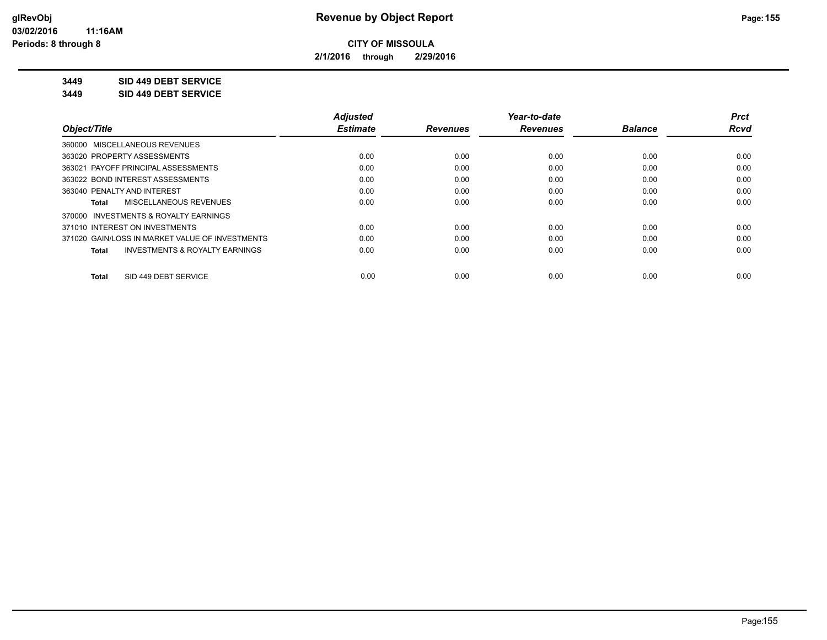**2/1/2016 through 2/29/2016**

## **3449 SID 449 DEBT SERVICE**

**3449 SID 449 DEBT SERVICE**

|                                                    | <b>Adjusted</b> |                 | Year-to-date    |                | <b>Prct</b> |
|----------------------------------------------------|-----------------|-----------------|-----------------|----------------|-------------|
| Object/Title                                       | <b>Estimate</b> | <b>Revenues</b> | <b>Revenues</b> | <b>Balance</b> | <b>Rcvd</b> |
| 360000 MISCELLANEOUS REVENUES                      |                 |                 |                 |                |             |
| 363020 PROPERTY ASSESSMENTS                        | 0.00            | 0.00            | 0.00            | 0.00           | 0.00        |
| 363021 PAYOFF PRINCIPAL ASSESSMENTS                | 0.00            | 0.00            | 0.00            | 0.00           | 0.00        |
| 363022 BOND INTEREST ASSESSMENTS                   | 0.00            | 0.00            | 0.00            | 0.00           | 0.00        |
| 363040 PENALTY AND INTEREST                        | 0.00            | 0.00            | 0.00            | 0.00           | 0.00        |
| MISCELLANEOUS REVENUES<br>Total                    | 0.00            | 0.00            | 0.00            | 0.00           | 0.00        |
| 370000 INVESTMENTS & ROYALTY EARNINGS              |                 |                 |                 |                |             |
| 371010 INTEREST ON INVESTMENTS                     | 0.00            | 0.00            | 0.00            | 0.00           | 0.00        |
| 371020 GAIN/LOSS IN MARKET VALUE OF INVESTMENTS    | 0.00            | 0.00            | 0.00            | 0.00           | 0.00        |
| <b>INVESTMENTS &amp; ROYALTY EARNINGS</b><br>Total | 0.00            | 0.00            | 0.00            | 0.00           | 0.00        |
| SID 449 DEBT SERVICE<br>Total                      | 0.00            | 0.00            | 0.00            | 0.00           | 0.00        |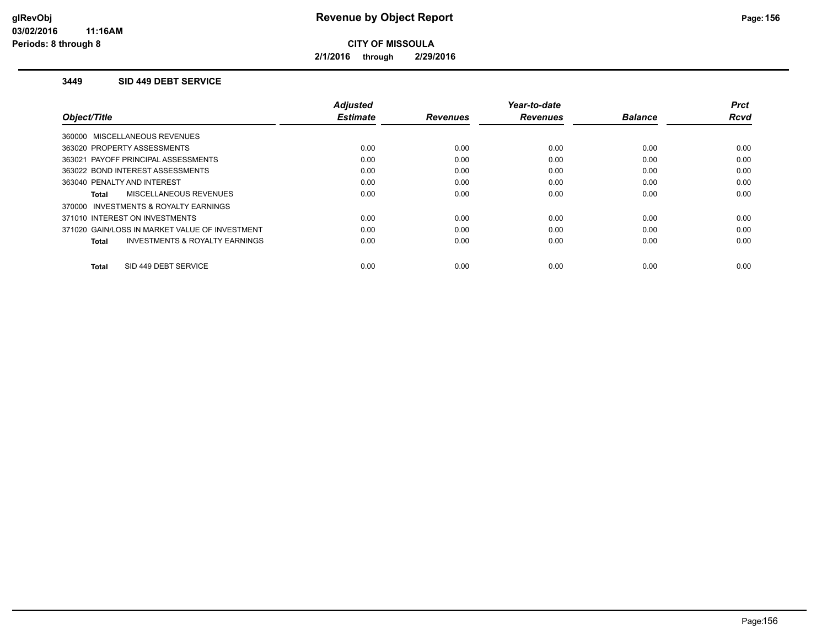**2/1/2016 through 2/29/2016**

### **3449 SID 449 DEBT SERVICE**

|                                                | Adjusted        |                 | Year-to-date    |                | Prct        |
|------------------------------------------------|-----------------|-----------------|-----------------|----------------|-------------|
| Object/Title                                   | <b>Estimate</b> | <b>Revenues</b> | <b>Revenues</b> | <b>Balance</b> | <b>Rcvd</b> |
| 360000 MISCELLANEOUS REVENUES                  |                 |                 |                 |                |             |
| 363020 PROPERTY ASSESSMENTS                    | 0.00            | 0.00            | 0.00            | 0.00           | 0.00        |
| 363021 PAYOFF PRINCIPAL ASSESSMENTS            | 0.00            | 0.00            | 0.00            | 0.00           | 0.00        |
| 363022 BOND INTEREST ASSESSMENTS               | 0.00            | 0.00            | 0.00            | 0.00           | 0.00        |
| 363040 PENALTY AND INTEREST                    | 0.00            | 0.00            | 0.00            | 0.00           | 0.00        |
| MISCELLANEOUS REVENUES<br><b>Total</b>         | 0.00            | 0.00            | 0.00            | 0.00           | 0.00        |
| 370000 INVESTMENTS & ROYALTY EARNINGS          |                 |                 |                 |                |             |
| 371010 INTEREST ON INVESTMENTS                 | 0.00            | 0.00            | 0.00            | 0.00           | 0.00        |
| 371020 GAIN/LOSS IN MARKET VALUE OF INVESTMENT | 0.00            | 0.00            | 0.00            | 0.00           | 0.00        |
| INVESTMENTS & ROYALTY EARNINGS<br><b>Total</b> | 0.00            | 0.00            | 0.00            | 0.00           | 0.00        |
|                                                |                 |                 |                 |                |             |
| SID 449 DEBT SERVICE<br><b>Total</b>           | 0.00            | 0.00            | 0.00            | 0.00           | 0.00        |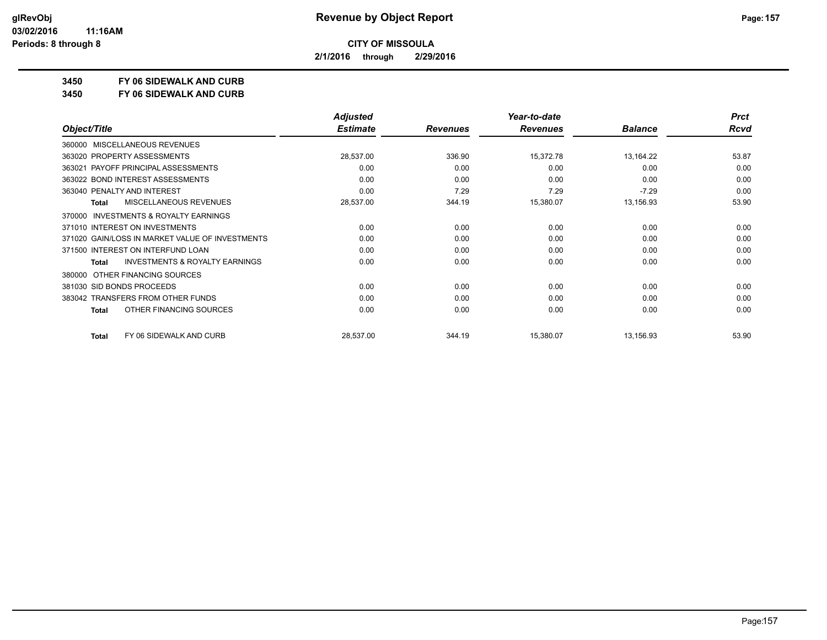**2/1/2016 through 2/29/2016**

**3450 FY 06 SIDEWALK AND CURB**

**3450 FY 06 SIDEWALK AND CURB**

|                                                     | <b>Adjusted</b> |                 | Year-to-date    |                | <b>Prct</b> |
|-----------------------------------------------------|-----------------|-----------------|-----------------|----------------|-------------|
| Object/Title                                        | <b>Estimate</b> | <b>Revenues</b> | <b>Revenues</b> | <b>Balance</b> | <b>Rcvd</b> |
| MISCELLANEOUS REVENUES<br>360000                    |                 |                 |                 |                |             |
| 363020 PROPERTY ASSESSMENTS                         | 28,537.00       | 336.90          | 15,372.78       | 13,164.22      | 53.87       |
| 363021 PAYOFF PRINCIPAL ASSESSMENTS                 | 0.00            | 0.00            | 0.00            | 0.00           | 0.00        |
| 363022 BOND INTEREST ASSESSMENTS                    | 0.00            | 0.00            | 0.00            | 0.00           | 0.00        |
| 363040 PENALTY AND INTEREST                         | 0.00            | 7.29            | 7.29            | $-7.29$        | 0.00        |
| MISCELLANEOUS REVENUES<br>Total                     | 28,537.00       | 344.19          | 15,380.07       | 13,156.93      | 53.90       |
| <b>INVESTMENTS &amp; ROYALTY EARNINGS</b><br>370000 |                 |                 |                 |                |             |
| 371010 INTEREST ON INVESTMENTS                      | 0.00            | 0.00            | 0.00            | 0.00           | 0.00        |
| 371020 GAIN/LOSS IN MARKET VALUE OF INVESTMENTS     | 0.00            | 0.00            | 0.00            | 0.00           | 0.00        |
| 371500 INTEREST ON INTERFUND LOAN                   | 0.00            | 0.00            | 0.00            | 0.00           | 0.00        |
| <b>INVESTMENTS &amp; ROYALTY EARNINGS</b><br>Total  | 0.00            | 0.00            | 0.00            | 0.00           | 0.00        |
| OTHER FINANCING SOURCES<br>380000                   |                 |                 |                 |                |             |
| 381030 SID BONDS PROCEEDS                           | 0.00            | 0.00            | 0.00            | 0.00           | 0.00        |
| 383042 TRANSFERS FROM OTHER FUNDS                   | 0.00            | 0.00            | 0.00            | 0.00           | 0.00        |
| OTHER FINANCING SOURCES<br>Total                    | 0.00            | 0.00            | 0.00            | 0.00           | 0.00        |
| FY 06 SIDEWALK AND CURB<br><b>Total</b>             | 28,537.00       | 344.19          | 15,380.07       | 13,156.93      | 53.90       |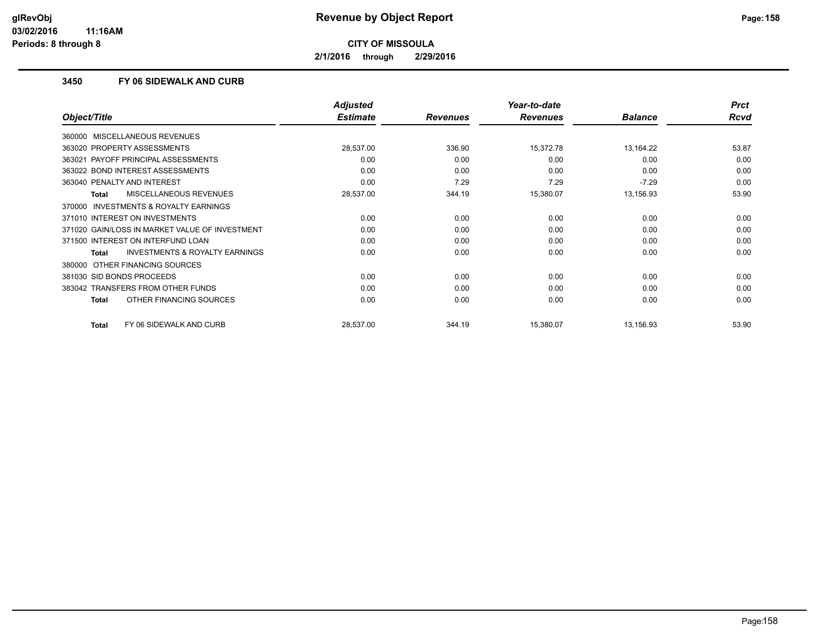**2/1/2016 through 2/29/2016**

## **3450 FY 06 SIDEWALK AND CURB**

|                                                    | <b>Adjusted</b> |                 | Year-to-date    |                | <b>Prct</b> |
|----------------------------------------------------|-----------------|-----------------|-----------------|----------------|-------------|
| Object/Title                                       | <b>Estimate</b> | <b>Revenues</b> | <b>Revenues</b> | <b>Balance</b> | <b>Rcvd</b> |
| 360000 MISCELLANEOUS REVENUES                      |                 |                 |                 |                |             |
| 363020 PROPERTY ASSESSMENTS                        | 28,537.00       | 336.90          | 15,372.78       | 13,164.22      | 53.87       |
| PAYOFF PRINCIPAL ASSESSMENTS<br>363021             | 0.00            | 0.00            | 0.00            | 0.00           | 0.00        |
| 363022 BOND INTEREST ASSESSMENTS                   | 0.00            | 0.00            | 0.00            | 0.00           | 0.00        |
| 363040 PENALTY AND INTEREST                        | 0.00            | 7.29            | 7.29            | $-7.29$        | 0.00        |
| MISCELLANEOUS REVENUES<br><b>Total</b>             | 28,537.00       | 344.19          | 15,380.07       | 13,156.93      | 53.90       |
| INVESTMENTS & ROYALTY EARNINGS<br>370000           |                 |                 |                 |                |             |
| 371010 INTEREST ON INVESTMENTS                     | 0.00            | 0.00            | 0.00            | 0.00           | 0.00        |
| 371020 GAIN/LOSS IN MARKET VALUE OF INVESTMENT     | 0.00            | 0.00            | 0.00            | 0.00           | 0.00        |
| 371500 INTEREST ON INTERFUND LOAN                  | 0.00            | 0.00            | 0.00            | 0.00           | 0.00        |
| <b>INVESTMENTS &amp; ROYALTY EARNINGS</b><br>Total | 0.00            | 0.00            | 0.00            | 0.00           | 0.00        |
| OTHER FINANCING SOURCES<br>380000                  |                 |                 |                 |                |             |
| 381030 SID BONDS PROCEEDS                          | 0.00            | 0.00            | 0.00            | 0.00           | 0.00        |
| 383042 TRANSFERS FROM OTHER FUNDS                  | 0.00            | 0.00            | 0.00            | 0.00           | 0.00        |
| OTHER FINANCING SOURCES<br><b>Total</b>            | 0.00            | 0.00            | 0.00            | 0.00           | 0.00        |
| FY 06 SIDEWALK AND CURB<br><b>Total</b>            | 28,537.00       | 344.19          | 15,380.07       | 13,156.93      | 53.90       |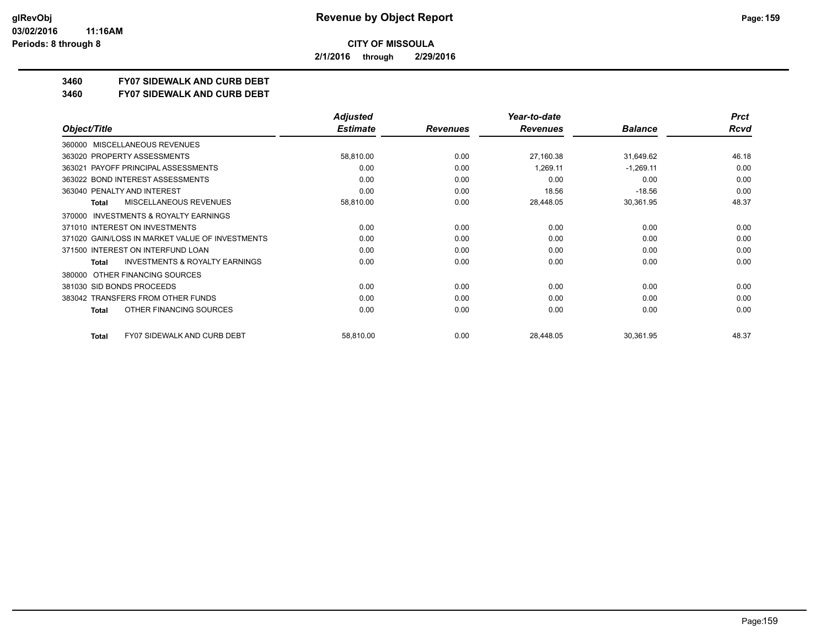**2/1/2016 through 2/29/2016**

# **3460 FY07 SIDEWALK AND CURB DEBT**

#### **3460 FY07 SIDEWALK AND CURB DEBT**

|                                                           | <b>Adjusted</b> |                 | Year-to-date    |                | <b>Prct</b> |
|-----------------------------------------------------------|-----------------|-----------------|-----------------|----------------|-------------|
| Object/Title                                              | <b>Estimate</b> | <b>Revenues</b> | <b>Revenues</b> | <b>Balance</b> | <b>Rcvd</b> |
| MISCELLANEOUS REVENUES<br>360000                          |                 |                 |                 |                |             |
| 363020 PROPERTY ASSESSMENTS                               | 58,810.00       | 0.00            | 27,160.38       | 31,649.62      | 46.18       |
| PAYOFF PRINCIPAL ASSESSMENTS<br>363021                    | 0.00            | 0.00            | 1,269.11        | $-1,269.11$    | 0.00        |
| 363022 BOND INTEREST ASSESSMENTS                          | 0.00            | 0.00            | 0.00            | 0.00           | 0.00        |
| 363040 PENALTY AND INTEREST                               | 0.00            | 0.00            | 18.56           | $-18.56$       | 0.00        |
| MISCELLANEOUS REVENUES<br><b>Total</b>                    | 58,810.00       | 0.00            | 28,448.05       | 30,361.95      | 48.37       |
| <b>INVESTMENTS &amp; ROYALTY EARNINGS</b><br>370000       |                 |                 |                 |                |             |
| 371010 INTEREST ON INVESTMENTS                            | 0.00            | 0.00            | 0.00            | 0.00           | 0.00        |
| 371020 GAIN/LOSS IN MARKET VALUE OF INVESTMENTS           | 0.00            | 0.00            | 0.00            | 0.00           | 0.00        |
| 371500 INTEREST ON INTERFUND LOAN                         | 0.00            | 0.00            | 0.00            | 0.00           | 0.00        |
| <b>INVESTMENTS &amp; ROYALTY EARNINGS</b><br><b>Total</b> | 0.00            | 0.00            | 0.00            | 0.00           | 0.00        |
| OTHER FINANCING SOURCES<br>380000                         |                 |                 |                 |                |             |
| 381030 SID BONDS PROCEEDS                                 | 0.00            | 0.00            | 0.00            | 0.00           | 0.00        |
| 383042 TRANSFERS FROM OTHER FUNDS                         | 0.00            | 0.00            | 0.00            | 0.00           | 0.00        |
| OTHER FINANCING SOURCES<br>Total                          | 0.00            | 0.00            | 0.00            | 0.00           | 0.00        |
| <b>FY07 SIDEWALK AND CURB DEBT</b><br><b>Total</b>        | 58,810.00       | 0.00            | 28,448.05       | 30,361.95      | 48.37       |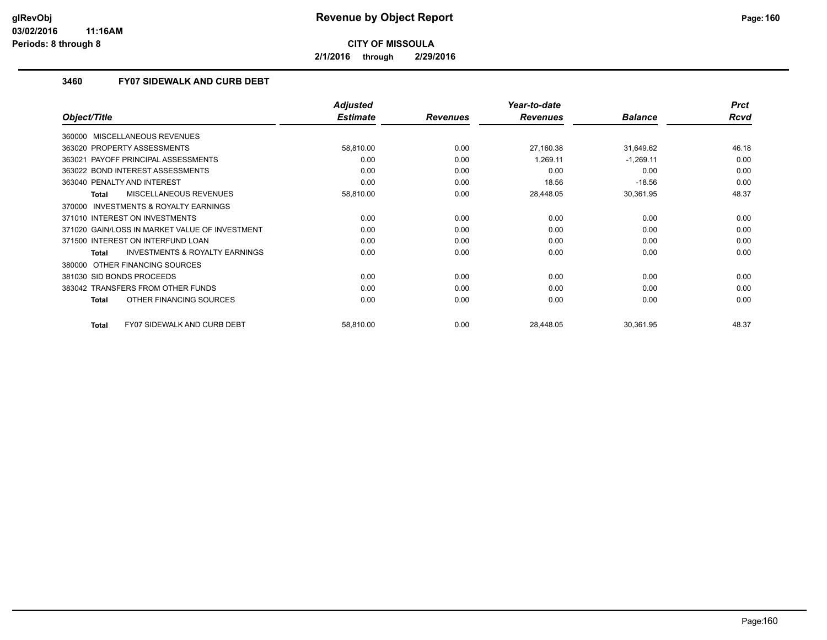**2/1/2016 through 2/29/2016**

## **3460 FY07 SIDEWALK AND CURB DEBT**

|                                                    | <b>Adjusted</b> |                 | Year-to-date    |                | <b>Prct</b> |
|----------------------------------------------------|-----------------|-----------------|-----------------|----------------|-------------|
| Object/Title                                       | <b>Estimate</b> | <b>Revenues</b> | <b>Revenues</b> | <b>Balance</b> | <b>Rcvd</b> |
| 360000 MISCELLANEOUS REVENUES                      |                 |                 |                 |                |             |
| 363020 PROPERTY ASSESSMENTS                        | 58,810.00       | 0.00            | 27,160.38       | 31,649.62      | 46.18       |
| PAYOFF PRINCIPAL ASSESSMENTS<br>363021             | 0.00            | 0.00            | 1,269.11        | $-1,269.11$    | 0.00        |
| 363022 BOND INTEREST ASSESSMENTS                   | 0.00            | 0.00            | 0.00            | 0.00           | 0.00        |
| 363040 PENALTY AND INTEREST                        | 0.00            | 0.00            | 18.56           | $-18.56$       | 0.00        |
| MISCELLANEOUS REVENUES<br>Total                    | 58,810.00       | 0.00            | 28,448.05       | 30,361.95      | 48.37       |
| 370000 INVESTMENTS & ROYALTY EARNINGS              |                 |                 |                 |                |             |
| 371010 INTEREST ON INVESTMENTS                     | 0.00            | 0.00            | 0.00            | 0.00           | 0.00        |
| 371020 GAIN/LOSS IN MARKET VALUE OF INVESTMENT     | 0.00            | 0.00            | 0.00            | 0.00           | 0.00        |
| 371500 INTEREST ON INTERFUND LOAN                  | 0.00            | 0.00            | 0.00            | 0.00           | 0.00        |
| <b>INVESTMENTS &amp; ROYALTY EARNINGS</b><br>Total | 0.00            | 0.00            | 0.00            | 0.00           | 0.00        |
| OTHER FINANCING SOURCES<br>380000                  |                 |                 |                 |                |             |
| 381030 SID BONDS PROCEEDS                          | 0.00            | 0.00            | 0.00            | 0.00           | 0.00        |
| 383042 TRANSFERS FROM OTHER FUNDS                  | 0.00            | 0.00            | 0.00            | 0.00           | 0.00        |
| OTHER FINANCING SOURCES<br><b>Total</b>            | 0.00            | 0.00            | 0.00            | 0.00           | 0.00        |
| <b>FY07 SIDEWALK AND CURB DEBT</b><br><b>Total</b> | 58,810.00       | 0.00            | 28,448.05       | 30,361.95      | 48.37       |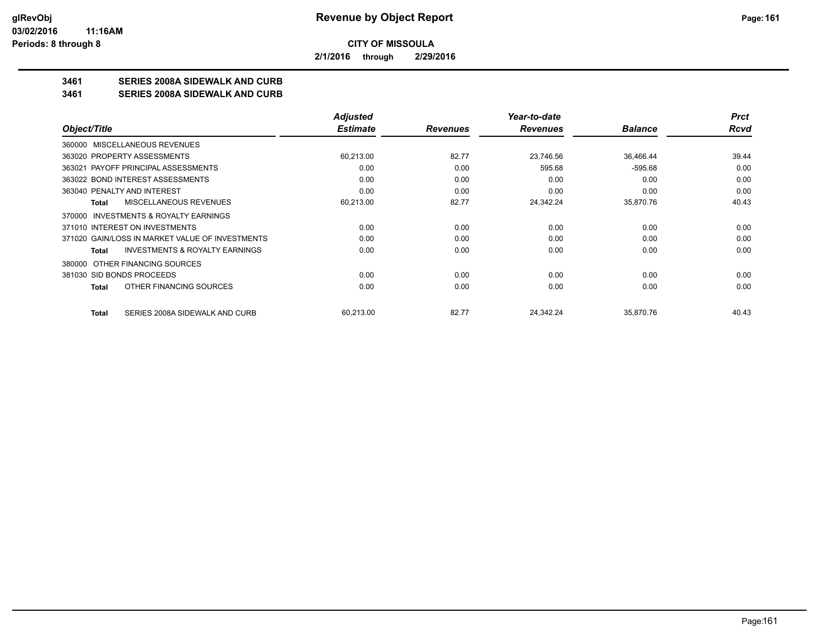**2/1/2016 through 2/29/2016**

## **3461 SERIES 2008A SIDEWALK AND CURB**

**3461 SERIES 2008A SIDEWALK AND CURB**

|                                                    | <b>Adjusted</b> |                 | Year-to-date    |                | <b>Prct</b> |
|----------------------------------------------------|-----------------|-----------------|-----------------|----------------|-------------|
| Object/Title                                       | <b>Estimate</b> | <b>Revenues</b> | <b>Revenues</b> | <b>Balance</b> | Rcvd        |
| 360000 MISCELLANEOUS REVENUES                      |                 |                 |                 |                |             |
| 363020 PROPERTY ASSESSMENTS                        | 60,213.00       | 82.77           | 23,746.56       | 36,466.44      | 39.44       |
| 363021 PAYOFF PRINCIPAL ASSESSMENTS                | 0.00            | 0.00            | 595.68          | $-595.68$      | 0.00        |
| 363022 BOND INTEREST ASSESSMENTS                   | 0.00            | 0.00            | 0.00            | 0.00           | 0.00        |
| 363040 PENALTY AND INTEREST                        | 0.00            | 0.00            | 0.00            | 0.00           | 0.00        |
| MISCELLANEOUS REVENUES<br>Total                    | 60,213.00       | 82.77           | 24,342.24       | 35,870.76      | 40.43       |
| 370000 INVESTMENTS & ROYALTY EARNINGS              |                 |                 |                 |                |             |
| 371010 INTEREST ON INVESTMENTS                     | 0.00            | 0.00            | 0.00            | 0.00           | 0.00        |
| 371020 GAIN/LOSS IN MARKET VALUE OF INVESTMENTS    | 0.00            | 0.00            | 0.00            | 0.00           | 0.00        |
| <b>INVESTMENTS &amp; ROYALTY EARNINGS</b><br>Total | 0.00            | 0.00            | 0.00            | 0.00           | 0.00        |
| OTHER FINANCING SOURCES<br>380000                  |                 |                 |                 |                |             |
| 381030 SID BONDS PROCEEDS                          | 0.00            | 0.00            | 0.00            | 0.00           | 0.00        |
| OTHER FINANCING SOURCES<br>Total                   | 0.00            | 0.00            | 0.00            | 0.00           | 0.00        |
| SERIES 2008A SIDEWALK AND CURB<br><b>Total</b>     | 60,213.00       | 82.77           | 24,342.24       | 35,870.76      | 40.43       |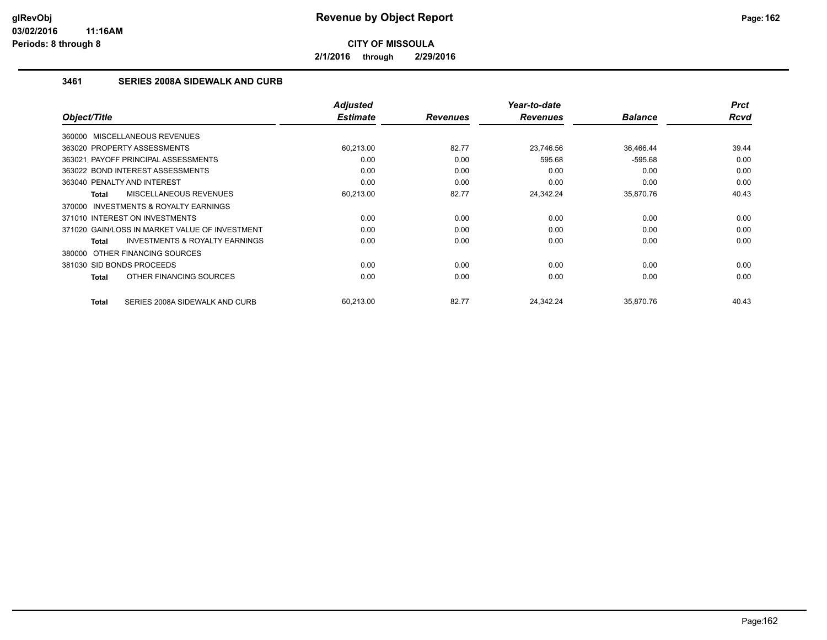**2/1/2016 through 2/29/2016**

## **3461 SERIES 2008A SIDEWALK AND CURB**

|              |                                                | <b>Adjusted</b> |                 | Year-to-date    |                | <b>Prct</b> |
|--------------|------------------------------------------------|-----------------|-----------------|-----------------|----------------|-------------|
| Object/Title |                                                | <b>Estimate</b> | <b>Revenues</b> | <b>Revenues</b> | <b>Balance</b> | <b>Rcvd</b> |
|              | 360000 MISCELLANEOUS REVENUES                  |                 |                 |                 |                |             |
|              | 363020 PROPERTY ASSESSMENTS                    | 60,213.00       | 82.77           | 23.746.56       | 36,466.44      | 39.44       |
|              | 363021 PAYOFF PRINCIPAL ASSESSMENTS            | 0.00            | 0.00            | 595.68          | $-595.68$      | 0.00        |
|              | 363022 BOND INTEREST ASSESSMENTS               | 0.00            | 0.00            | 0.00            | 0.00           | 0.00        |
|              | 363040 PENALTY AND INTEREST                    | 0.00            | 0.00            | 0.00            | 0.00           | 0.00        |
| Total        | MISCELLANEOUS REVENUES                         | 60,213.00       | 82.77           | 24,342.24       | 35,870.76      | 40.43       |
|              | 370000 INVESTMENTS & ROYALTY EARNINGS          |                 |                 |                 |                |             |
|              | 371010 INTEREST ON INVESTMENTS                 | 0.00            | 0.00            | 0.00            | 0.00           | 0.00        |
|              | 371020 GAIN/LOSS IN MARKET VALUE OF INVESTMENT | 0.00            | 0.00            | 0.00            | 0.00           | 0.00        |
| Total        | <b>INVESTMENTS &amp; ROYALTY EARNINGS</b>      | 0.00            | 0.00            | 0.00            | 0.00           | 0.00        |
|              | 380000 OTHER FINANCING SOURCES                 |                 |                 |                 |                |             |
|              | 381030 SID BONDS PROCEEDS                      | 0.00            | 0.00            | 0.00            | 0.00           | 0.00        |
| Total        | OTHER FINANCING SOURCES                        | 0.00            | 0.00            | 0.00            | 0.00           | 0.00        |
| Total        | SERIES 2008A SIDEWALK AND CURB                 | 60,213.00       | 82.77           | 24,342.24       | 35,870.76      | 40.43       |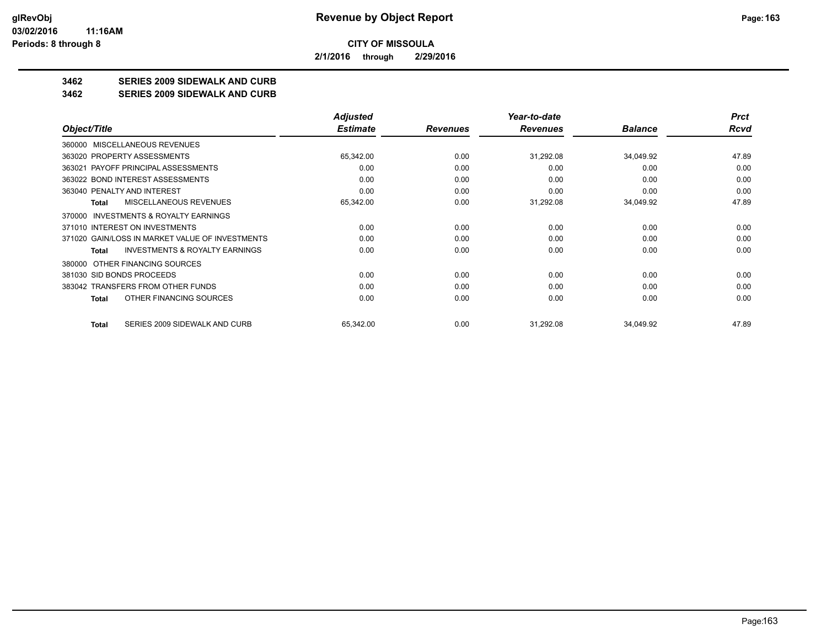**2/1/2016 through 2/29/2016**

# **3462 SERIES 2009 SIDEWALK AND CURB**

### **3462 SERIES 2009 SIDEWALK AND CURB**

|                                                     | <b>Adjusted</b> |                 | Year-to-date    |                | <b>Prct</b> |
|-----------------------------------------------------|-----------------|-----------------|-----------------|----------------|-------------|
| Object/Title                                        | <b>Estimate</b> | <b>Revenues</b> | <b>Revenues</b> | <b>Balance</b> | Rcvd        |
| MISCELLANEOUS REVENUES<br>360000                    |                 |                 |                 |                |             |
| 363020 PROPERTY ASSESSMENTS                         | 65,342.00       | 0.00            | 31,292.08       | 34,049.92      | 47.89       |
| 363021 PAYOFF PRINCIPAL ASSESSMENTS                 | 0.00            | 0.00            | 0.00            | 0.00           | 0.00        |
| 363022 BOND INTEREST ASSESSMENTS                    | 0.00            | 0.00            | 0.00            | 0.00           | 0.00        |
| 363040 PENALTY AND INTEREST                         | 0.00            | 0.00            | 0.00            | 0.00           | 0.00        |
| MISCELLANEOUS REVENUES<br>Total                     | 65,342.00       | 0.00            | 31,292.08       | 34,049.92      | 47.89       |
| <b>INVESTMENTS &amp; ROYALTY EARNINGS</b><br>370000 |                 |                 |                 |                |             |
| 371010 INTEREST ON INVESTMENTS                      | 0.00            | 0.00            | 0.00            | 0.00           | 0.00        |
| 371020 GAIN/LOSS IN MARKET VALUE OF INVESTMENTS     | 0.00            | 0.00            | 0.00            | 0.00           | 0.00        |
| <b>INVESTMENTS &amp; ROYALTY EARNINGS</b><br>Total  | 0.00            | 0.00            | 0.00            | 0.00           | 0.00        |
| OTHER FINANCING SOURCES<br>380000                   |                 |                 |                 |                |             |
| 381030 SID BONDS PROCEEDS                           | 0.00            | 0.00            | 0.00            | 0.00           | 0.00        |
| 383042 TRANSFERS FROM OTHER FUNDS                   | 0.00            | 0.00            | 0.00            | 0.00           | 0.00        |
| OTHER FINANCING SOURCES<br>Total                    | 0.00            | 0.00            | 0.00            | 0.00           | 0.00        |
| SERIES 2009 SIDEWALK AND CURB<br>Total              | 65,342.00       | 0.00            | 31,292.08       | 34,049.92      | 47.89       |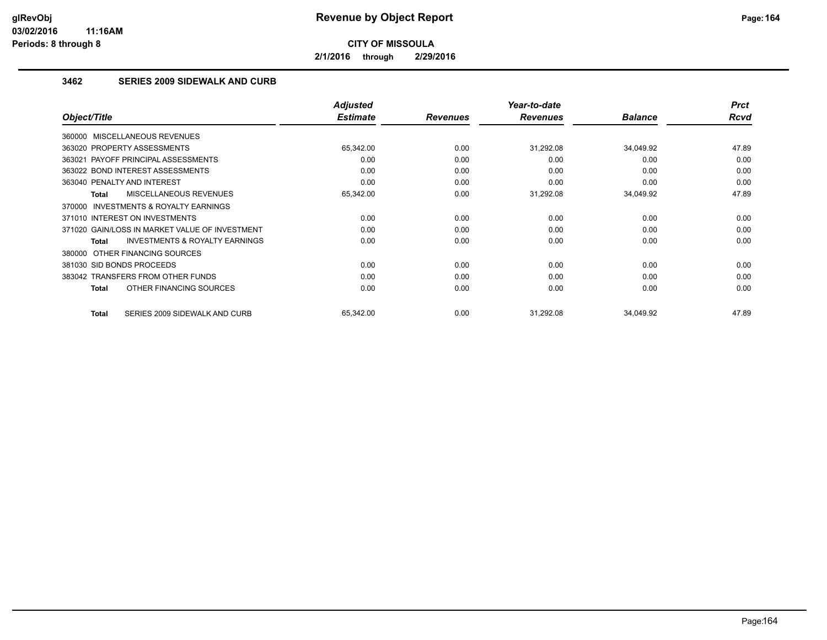**2/1/2016 through 2/29/2016**

## **3462 SERIES 2009 SIDEWALK AND CURB**

|                                                           | <b>Adjusted</b> |                 | Year-to-date    |                | <b>Prct</b> |
|-----------------------------------------------------------|-----------------|-----------------|-----------------|----------------|-------------|
| Object/Title                                              | <b>Estimate</b> | <b>Revenues</b> | <b>Revenues</b> | <b>Balance</b> | Rcvd        |
| 360000 MISCELLANEOUS REVENUES                             |                 |                 |                 |                |             |
| 363020 PROPERTY ASSESSMENTS                               | 65,342.00       | 0.00            | 31,292.08       | 34,049.92      | 47.89       |
| 363021 PAYOFF PRINCIPAL ASSESSMENTS                       | 0.00            | 0.00            | 0.00            | 0.00           | 0.00        |
| 363022 BOND INTEREST ASSESSMENTS                          | 0.00            | 0.00            | 0.00            | 0.00           | 0.00        |
| 363040 PENALTY AND INTEREST                               | 0.00            | 0.00            | 0.00            | 0.00           | 0.00        |
| MISCELLANEOUS REVENUES<br><b>Total</b>                    | 65,342.00       | 0.00            | 31,292.08       | 34,049.92      | 47.89       |
| <b>INVESTMENTS &amp; ROYALTY EARNINGS</b><br>370000       |                 |                 |                 |                |             |
| 371010 INTEREST ON INVESTMENTS                            | 0.00            | 0.00            | 0.00            | 0.00           | 0.00        |
| 371020 GAIN/LOSS IN MARKET VALUE OF INVESTMENT            | 0.00            | 0.00            | 0.00            | 0.00           | 0.00        |
| <b>INVESTMENTS &amp; ROYALTY EARNINGS</b><br><b>Total</b> | 0.00            | 0.00            | 0.00            | 0.00           | 0.00        |
| 380000 OTHER FINANCING SOURCES                            |                 |                 |                 |                |             |
| 381030 SID BONDS PROCEEDS                                 | 0.00            | 0.00            | 0.00            | 0.00           | 0.00        |
| 383042 TRANSFERS FROM OTHER FUNDS                         | 0.00            | 0.00            | 0.00            | 0.00           | 0.00        |
| OTHER FINANCING SOURCES<br>Total                          | 0.00            | 0.00            | 0.00            | 0.00           | 0.00        |
| SERIES 2009 SIDEWALK AND CURB<br>Total                    | 65,342.00       | 0.00            | 31,292.08       | 34,049.92      | 47.89       |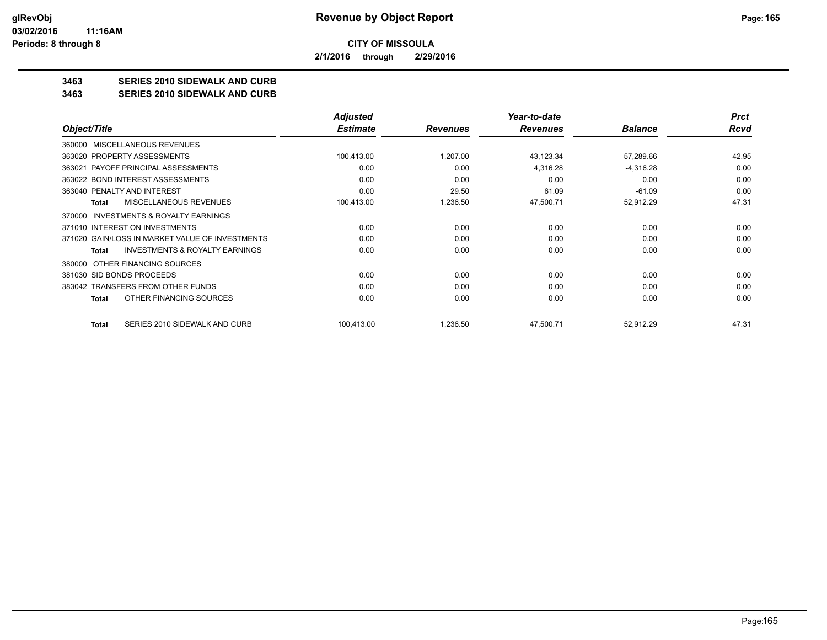**2/1/2016 through 2/29/2016**

## **3463 SERIES 2010 SIDEWALK AND CURB**

### **3463 SERIES 2010 SIDEWALK AND CURB**

|                                                    | <b>Adjusted</b> |                 | Year-to-date    |                | <b>Prct</b> |
|----------------------------------------------------|-----------------|-----------------|-----------------|----------------|-------------|
| Object/Title                                       | <b>Estimate</b> | <b>Revenues</b> | <b>Revenues</b> | <b>Balance</b> | Rcvd        |
| MISCELLANEOUS REVENUES<br>360000                   |                 |                 |                 |                |             |
| 363020 PROPERTY ASSESSMENTS                        | 100,413.00      | 1,207.00        | 43,123.34       | 57,289.66      | 42.95       |
| 363021 PAYOFF PRINCIPAL ASSESSMENTS                | 0.00            | 0.00            | 4.316.28        | $-4,316.28$    | 0.00        |
| 363022 BOND INTEREST ASSESSMENTS                   | 0.00            | 0.00            | 0.00            | 0.00           | 0.00        |
| 363040 PENALTY AND INTEREST                        | 0.00            | 29.50           | 61.09           | $-61.09$       | 0.00        |
| MISCELLANEOUS REVENUES<br><b>Total</b>             | 100,413.00      | 1,236.50        | 47,500.71       | 52,912.29      | 47.31       |
| INVESTMENTS & ROYALTY EARNINGS<br>370000           |                 |                 |                 |                |             |
| 371010 INTEREST ON INVESTMENTS                     | 0.00            | 0.00            | 0.00            | 0.00           | 0.00        |
| 371020 GAIN/LOSS IN MARKET VALUE OF INVESTMENTS    | 0.00            | 0.00            | 0.00            | 0.00           | 0.00        |
| <b>INVESTMENTS &amp; ROYALTY EARNINGS</b><br>Total | 0.00            | 0.00            | 0.00            | 0.00           | 0.00        |
| OTHER FINANCING SOURCES<br>380000                  |                 |                 |                 |                |             |
| 381030 SID BONDS PROCEEDS                          | 0.00            | 0.00            | 0.00            | 0.00           | 0.00        |
| 383042 TRANSFERS FROM OTHER FUNDS                  | 0.00            | 0.00            | 0.00            | 0.00           | 0.00        |
| OTHER FINANCING SOURCES<br><b>Total</b>            | 0.00            | 0.00            | 0.00            | 0.00           | 0.00        |
| SERIES 2010 SIDEWALK AND CURB<br>Total             | 100,413.00      | 1,236.50        | 47,500.71       | 52,912.29      | 47.31       |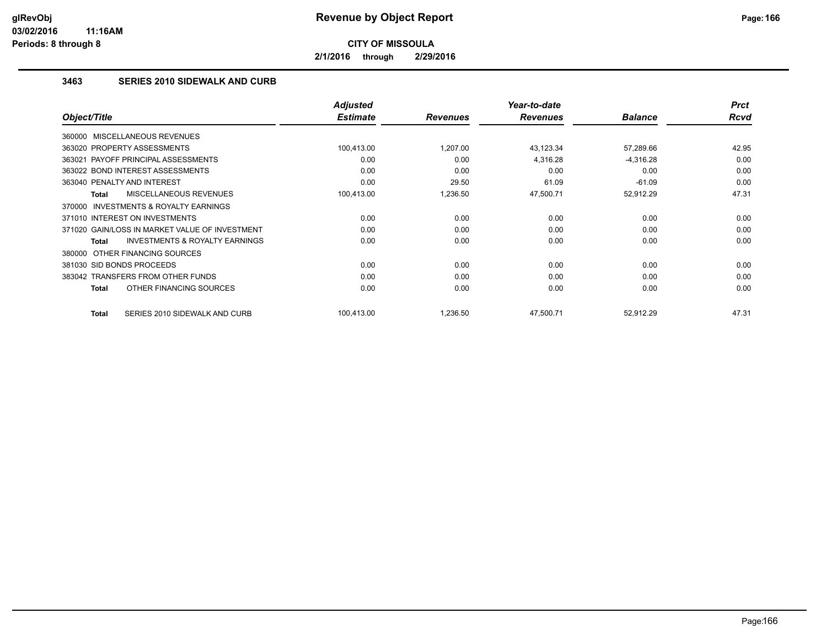**2/1/2016 through 2/29/2016**

## **3463 SERIES 2010 SIDEWALK AND CURB**

|                                                           | <b>Adjusted</b> |                 | Year-to-date    |                | <b>Prct</b> |
|-----------------------------------------------------------|-----------------|-----------------|-----------------|----------------|-------------|
| Object/Title                                              | <b>Estimate</b> | <b>Revenues</b> | <b>Revenues</b> | <b>Balance</b> | <b>Rcvd</b> |
| 360000 MISCELLANEOUS REVENUES                             |                 |                 |                 |                |             |
| 363020 PROPERTY ASSESSMENTS                               | 100,413.00      | 1,207.00        | 43,123.34       | 57,289.66      | 42.95       |
| PAYOFF PRINCIPAL ASSESSMENTS<br>363021                    | 0.00            | 0.00            | 4,316.28        | $-4,316.28$    | 0.00        |
| 363022 BOND INTEREST ASSESSMENTS                          | 0.00            | 0.00            | 0.00            | 0.00           | 0.00        |
| 363040 PENALTY AND INTEREST                               | 0.00            | 29.50           | 61.09           | $-61.09$       | 0.00        |
| MISCELLANEOUS REVENUES<br><b>Total</b>                    | 100,413.00      | 1,236.50        | 47,500.71       | 52,912.29      | 47.31       |
| 370000 INVESTMENTS & ROYALTY EARNINGS                     |                 |                 |                 |                |             |
| 371010 INTEREST ON INVESTMENTS                            | 0.00            | 0.00            | 0.00            | 0.00           | 0.00        |
| 371020 GAIN/LOSS IN MARKET VALUE OF INVESTMENT            | 0.00            | 0.00            | 0.00            | 0.00           | 0.00        |
| <b>INVESTMENTS &amp; ROYALTY EARNINGS</b><br><b>Total</b> | 0.00            | 0.00            | 0.00            | 0.00           | 0.00        |
| OTHER FINANCING SOURCES<br>380000                         |                 |                 |                 |                |             |
| 381030 SID BONDS PROCEEDS                                 | 0.00            | 0.00            | 0.00            | 0.00           | 0.00        |
| 383042 TRANSFERS FROM OTHER FUNDS                         | 0.00            | 0.00            | 0.00            | 0.00           | 0.00        |
| OTHER FINANCING SOURCES<br><b>Total</b>                   | 0.00            | 0.00            | 0.00            | 0.00           | 0.00        |
| SERIES 2010 SIDEWALK AND CURB<br><b>Total</b>             | 100,413.00      | 1,236.50        | 47,500.71       | 52,912.29      | 47.31       |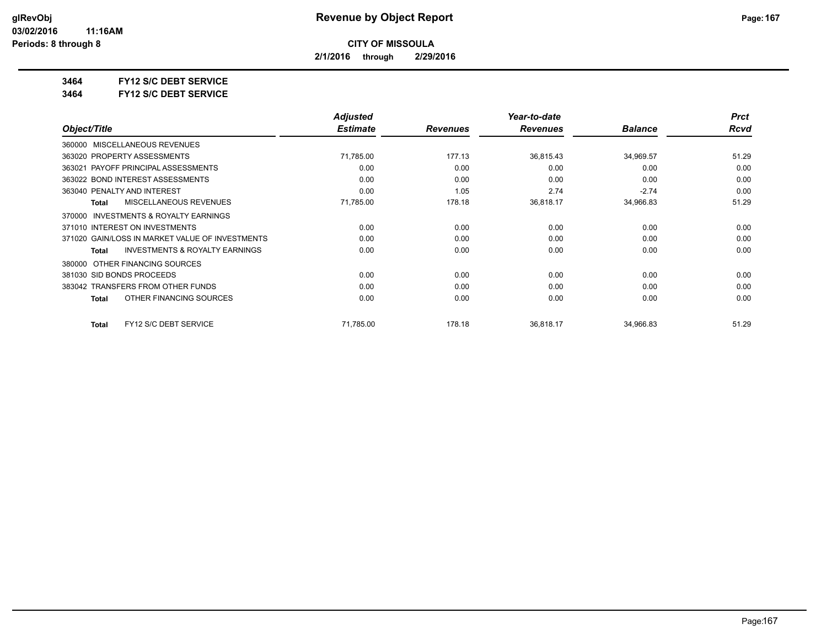**2/1/2016 through 2/29/2016**

**3464 FY12 S/C DEBT SERVICE**

**3464 FY12 S/C DEBT SERVICE**

|                                                           | <b>Adjusted</b> |                 | Year-to-date    |                | <b>Prct</b> |
|-----------------------------------------------------------|-----------------|-----------------|-----------------|----------------|-------------|
| Object/Title                                              | <b>Estimate</b> | <b>Revenues</b> | <b>Revenues</b> | <b>Balance</b> | Rcvd        |
| MISCELLANEOUS REVENUES<br>360000                          |                 |                 |                 |                |             |
| 363020 PROPERTY ASSESSMENTS                               | 71,785.00       | 177.13          | 36,815.43       | 34,969.57      | 51.29       |
| 363021 PAYOFF PRINCIPAL ASSESSMENTS                       | 0.00            | 0.00            | 0.00            | 0.00           | 0.00        |
| 363022 BOND INTEREST ASSESSMENTS                          | 0.00            | 0.00            | 0.00            | 0.00           | 0.00        |
| 363040 PENALTY AND INTEREST                               | 0.00            | 1.05            | 2.74            | $-2.74$        | 0.00        |
| MISCELLANEOUS REVENUES<br><b>Total</b>                    | 71,785.00       | 178.18          | 36,818.17       | 34,966.83      | 51.29       |
| INVESTMENTS & ROYALTY EARNINGS<br>370000                  |                 |                 |                 |                |             |
| 371010 INTEREST ON INVESTMENTS                            | 0.00            | 0.00            | 0.00            | 0.00           | 0.00        |
| 371020 GAIN/LOSS IN MARKET VALUE OF INVESTMENTS           | 0.00            | 0.00            | 0.00            | 0.00           | 0.00        |
| <b>INVESTMENTS &amp; ROYALTY EARNINGS</b><br><b>Total</b> | 0.00            | 0.00            | 0.00            | 0.00           | 0.00        |
| OTHER FINANCING SOURCES<br>380000                         |                 |                 |                 |                |             |
| 381030 SID BONDS PROCEEDS                                 | 0.00            | 0.00            | 0.00            | 0.00           | 0.00        |
| 383042 TRANSFERS FROM OTHER FUNDS                         | 0.00            | 0.00            | 0.00            | 0.00           | 0.00        |
| OTHER FINANCING SOURCES<br><b>Total</b>                   | 0.00            | 0.00            | 0.00            | 0.00           | 0.00        |
| FY12 S/C DEBT SERVICE<br>Total                            | 71,785.00       | 178.18          | 36,818.17       | 34,966.83      | 51.29       |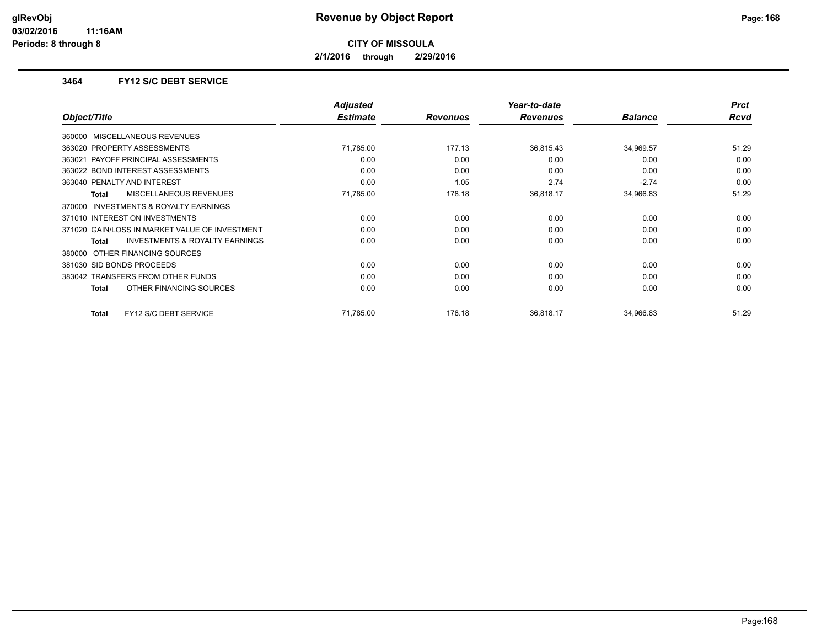**2/1/2016 through 2/29/2016**

### **3464 FY12 S/C DEBT SERVICE**

|                                                | <b>Adjusted</b> |                 | Year-to-date    |                | <b>Prct</b> |
|------------------------------------------------|-----------------|-----------------|-----------------|----------------|-------------|
| Object/Title                                   | <b>Estimate</b> | <b>Revenues</b> | <b>Revenues</b> | <b>Balance</b> | Rcvd        |
| 360000 MISCELLANEOUS REVENUES                  |                 |                 |                 |                |             |
| 363020 PROPERTY ASSESSMENTS                    | 71,785.00       | 177.13          | 36,815.43       | 34,969.57      | 51.29       |
| 363021 PAYOFF PRINCIPAL ASSESSMENTS            | 0.00            | 0.00            | 0.00            | 0.00           | 0.00        |
| 363022 BOND INTEREST ASSESSMENTS               | 0.00            | 0.00            | 0.00            | 0.00           | 0.00        |
| 363040 PENALTY AND INTEREST                    | 0.00            | 1.05            | 2.74            | $-2.74$        | 0.00        |
| <b>MISCELLANEOUS REVENUES</b><br>Total         | 71,785.00       | 178.18          | 36,818.17       | 34,966.83      | 51.29       |
| INVESTMENTS & ROYALTY EARNINGS<br>370000       |                 |                 |                 |                |             |
| 371010 INTEREST ON INVESTMENTS                 | 0.00            | 0.00            | 0.00            | 0.00           | 0.00        |
| 371020 GAIN/LOSS IN MARKET VALUE OF INVESTMENT | 0.00            | 0.00            | 0.00            | 0.00           | 0.00        |
| INVESTMENTS & ROYALTY EARNINGS<br><b>Total</b> | 0.00            | 0.00            | 0.00            | 0.00           | 0.00        |
| 380000 OTHER FINANCING SOURCES                 |                 |                 |                 |                |             |
| 381030 SID BONDS PROCEEDS                      | 0.00            | 0.00            | 0.00            | 0.00           | 0.00        |
| 383042 TRANSFERS FROM OTHER FUNDS              | 0.00            | 0.00            | 0.00            | 0.00           | 0.00        |
| OTHER FINANCING SOURCES<br>Total               | 0.00            | 0.00            | 0.00            | 0.00           | 0.00        |
| FY12 S/C DEBT SERVICE<br>Total                 | 71,785.00       | 178.18          | 36.818.17       | 34,966.83      | 51.29       |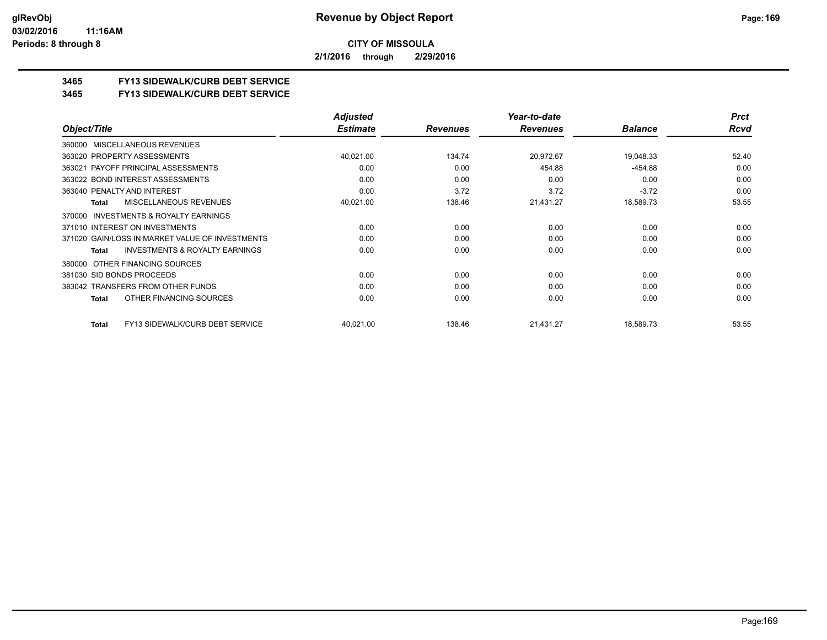**2/1/2016 through 2/29/2016**

## **3465 FY13 SIDEWALK/CURB DEBT SERVICE**

### **3465 FY13 SIDEWALK/CURB DEBT SERVICE**

|                                                           | <b>Adjusted</b> |                 | Year-to-date    |                | <b>Prct</b> |
|-----------------------------------------------------------|-----------------|-----------------|-----------------|----------------|-------------|
| Object/Title                                              | <b>Estimate</b> | <b>Revenues</b> | <b>Revenues</b> | <b>Balance</b> | Rcvd        |
| 360000 MISCELLANEOUS REVENUES                             |                 |                 |                 |                |             |
| 363020 PROPERTY ASSESSMENTS                               | 40,021.00       | 134.74          | 20,972.67       | 19,048.33      | 52.40       |
| PAYOFF PRINCIPAL ASSESSMENTS<br>363021                    | 0.00            | 0.00            | 454.88          | $-454.88$      | 0.00        |
| 363022 BOND INTEREST ASSESSMENTS                          | 0.00            | 0.00            | 0.00            | 0.00           | 0.00        |
| 363040 PENALTY AND INTEREST                               | 0.00            | 3.72            | 3.72            | $-3.72$        | 0.00        |
| <b>MISCELLANEOUS REVENUES</b><br>Total                    | 40,021.00       | 138.46          | 21,431.27       | 18,589.73      | 53.55       |
| <b>INVESTMENTS &amp; ROYALTY EARNINGS</b><br>370000       |                 |                 |                 |                |             |
| 371010 INTEREST ON INVESTMENTS                            | 0.00            | 0.00            | 0.00            | 0.00           | 0.00        |
| 371020 GAIN/LOSS IN MARKET VALUE OF INVESTMENTS           | 0.00            | 0.00            | 0.00            | 0.00           | 0.00        |
| <b>INVESTMENTS &amp; ROYALTY EARNINGS</b><br><b>Total</b> | 0.00            | 0.00            | 0.00            | 0.00           | 0.00        |
| 380000 OTHER FINANCING SOURCES                            |                 |                 |                 |                |             |
| 381030 SID BONDS PROCEEDS                                 | 0.00            | 0.00            | 0.00            | 0.00           | 0.00        |
| 383042 TRANSFERS FROM OTHER FUNDS                         | 0.00            | 0.00            | 0.00            | 0.00           | 0.00        |
| OTHER FINANCING SOURCES<br>Total                          | 0.00            | 0.00            | 0.00            | 0.00           | 0.00        |
| FY13 SIDEWALK/CURB DEBT SERVICE<br>Total                  | 40,021.00       | 138.46          | 21,431.27       | 18,589.73      | 53.55       |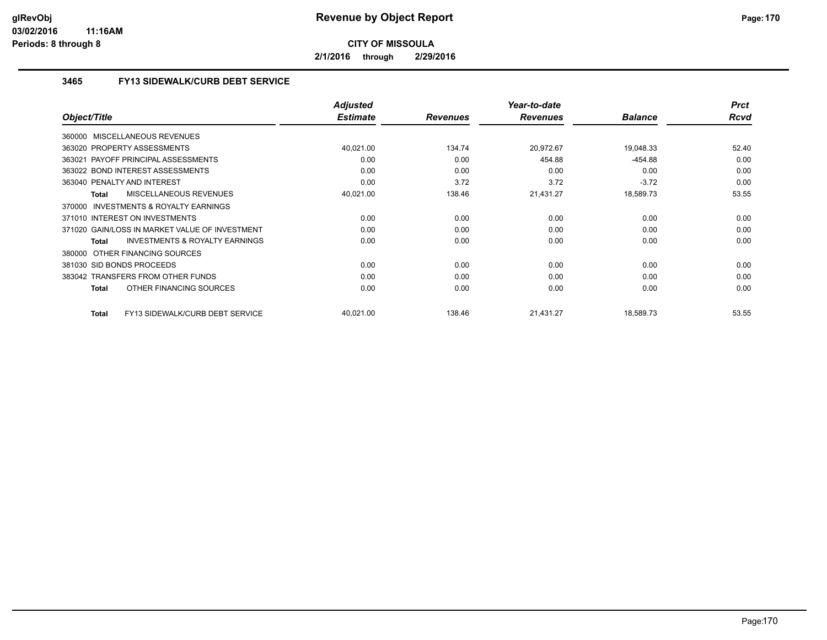**2/1/2016 through 2/29/2016**

## **3465 FY13 SIDEWALK/CURB DEBT SERVICE**

|                                                           | <b>Adjusted</b> |                 | Year-to-date    |                | <b>Prct</b> |
|-----------------------------------------------------------|-----------------|-----------------|-----------------|----------------|-------------|
| Object/Title                                              | <b>Estimate</b> | <b>Revenues</b> | <b>Revenues</b> | <b>Balance</b> | <b>Rcvd</b> |
| 360000 MISCELLANEOUS REVENUES                             |                 |                 |                 |                |             |
| 363020 PROPERTY ASSESSMENTS                               | 40,021.00       | 134.74          | 20,972.67       | 19,048.33      | 52.40       |
| 363021 PAYOFF PRINCIPAL ASSESSMENTS                       | 0.00            | 0.00            | 454.88          | $-454.88$      | 0.00        |
| 363022 BOND INTEREST ASSESSMENTS                          | 0.00            | 0.00            | 0.00            | 0.00           | 0.00        |
| 363040 PENALTY AND INTEREST                               | 0.00            | 3.72            | 3.72            | $-3.72$        | 0.00        |
| MISCELLANEOUS REVENUES<br><b>Total</b>                    | 40,021.00       | 138.46          | 21,431.27       | 18,589.73      | 53.55       |
| <b>INVESTMENTS &amp; ROYALTY EARNINGS</b><br>370000       |                 |                 |                 |                |             |
| 371010 INTEREST ON INVESTMENTS                            | 0.00            | 0.00            | 0.00            | 0.00           | 0.00        |
| 371020 GAIN/LOSS IN MARKET VALUE OF INVESTMENT            | 0.00            | 0.00            | 0.00            | 0.00           | 0.00        |
| <b>INVESTMENTS &amp; ROYALTY EARNINGS</b><br><b>Total</b> | 0.00            | 0.00            | 0.00            | 0.00           | 0.00        |
| OTHER FINANCING SOURCES<br>380000                         |                 |                 |                 |                |             |
| 381030 SID BONDS PROCEEDS                                 | 0.00            | 0.00            | 0.00            | 0.00           | 0.00        |
| 383042 TRANSFERS FROM OTHER FUNDS                         | 0.00            | 0.00            | 0.00            | 0.00           | 0.00        |
| OTHER FINANCING SOURCES<br><b>Total</b>                   | 0.00            | 0.00            | 0.00            | 0.00           | 0.00        |
| <b>FY13 SIDEWALK/CURB DEBT SERVICE</b><br>Total           | 40,021.00       | 138.46          | 21,431.27       | 18,589.73      | 53.55       |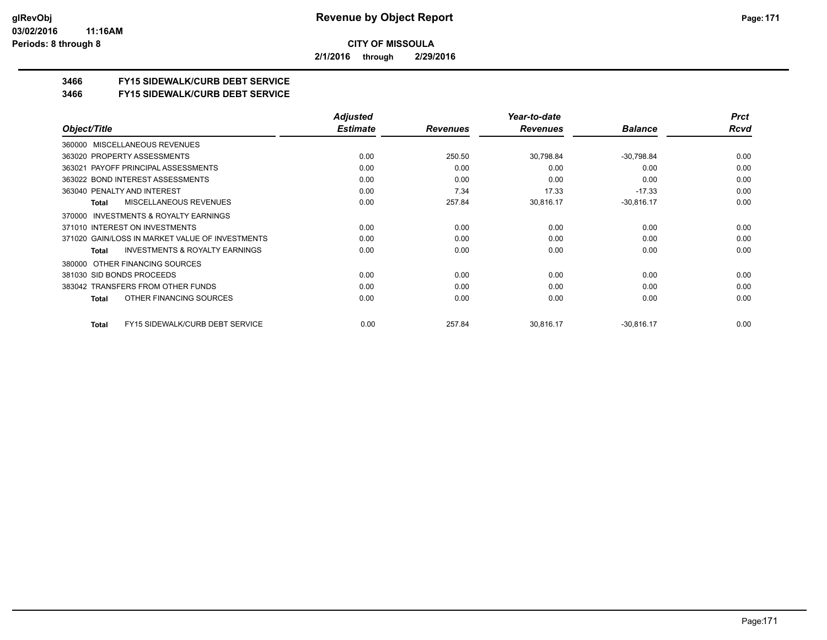**2/1/2016 through 2/29/2016**

## **3466 FY15 SIDEWALK/CURB DEBT SERVICE**

### **3466 FY15 SIDEWALK/CURB DEBT SERVICE**

|                                                           | <b>Adjusted</b> |                 | Year-to-date    |                | <b>Prct</b> |
|-----------------------------------------------------------|-----------------|-----------------|-----------------|----------------|-------------|
| Object/Title                                              | <b>Estimate</b> | <b>Revenues</b> | <b>Revenues</b> | <b>Balance</b> | Rcvd        |
| MISCELLANEOUS REVENUES<br>360000                          |                 |                 |                 |                |             |
| 363020 PROPERTY ASSESSMENTS                               | 0.00            | 250.50          | 30,798.84       | $-30,798.84$   | 0.00        |
| 363021 PAYOFF PRINCIPAL ASSESSMENTS                       | 0.00            | 0.00            | 0.00            | 0.00           | 0.00        |
| 363022 BOND INTEREST ASSESSMENTS                          | 0.00            | 0.00            | 0.00            | 0.00           | 0.00        |
| 363040 PENALTY AND INTEREST                               | 0.00            | 7.34            | 17.33           | $-17.33$       | 0.00        |
| MISCELLANEOUS REVENUES<br><b>Total</b>                    | 0.00            | 257.84          | 30,816.17       | $-30,816.17$   | 0.00        |
| INVESTMENTS & ROYALTY EARNINGS<br>370000                  |                 |                 |                 |                |             |
| 371010 INTEREST ON INVESTMENTS                            | 0.00            | 0.00            | 0.00            | 0.00           | 0.00        |
| 371020 GAIN/LOSS IN MARKET VALUE OF INVESTMENTS           | 0.00            | 0.00            | 0.00            | 0.00           | 0.00        |
| <b>INVESTMENTS &amp; ROYALTY EARNINGS</b><br><b>Total</b> | 0.00            | 0.00            | 0.00            | 0.00           | 0.00        |
| OTHER FINANCING SOURCES<br>380000                         |                 |                 |                 |                |             |
| 381030 SID BONDS PROCEEDS                                 | 0.00            | 0.00            | 0.00            | 0.00           | 0.00        |
| 383042 TRANSFERS FROM OTHER FUNDS                         | 0.00            | 0.00            | 0.00            | 0.00           | 0.00        |
| OTHER FINANCING SOURCES<br><b>Total</b>                   | 0.00            | 0.00            | 0.00            | 0.00           | 0.00        |
| <b>FY15 SIDEWALK/CURB DEBT SERVICE</b><br>Total           | 0.00            | 257.84          | 30,816.17       | $-30,816.17$   | 0.00        |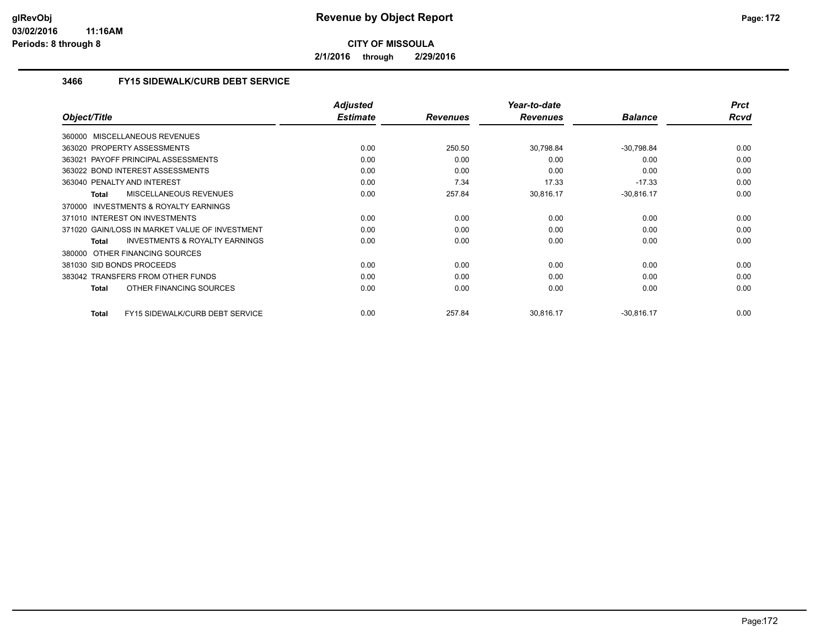**2/1/2016 through 2/29/2016**

## **3466 FY15 SIDEWALK/CURB DEBT SERVICE**

|                                                    | <b>Adjusted</b> |                 | Year-to-date    |                | <b>Prct</b> |
|----------------------------------------------------|-----------------|-----------------|-----------------|----------------|-------------|
| Object/Title                                       | <b>Estimate</b> | <b>Revenues</b> | <b>Revenues</b> | <b>Balance</b> | Rcvd        |
| 360000 MISCELLANEOUS REVENUES                      |                 |                 |                 |                |             |
| 363020 PROPERTY ASSESSMENTS                        | 0.00            | 250.50          | 30,798.84       | $-30,798.84$   | 0.00        |
| 363021 PAYOFF PRINCIPAL ASSESSMENTS                | 0.00            | 0.00            | 0.00            | 0.00           | 0.00        |
| 363022 BOND INTEREST ASSESSMENTS                   | 0.00            | 0.00            | 0.00            | 0.00           | 0.00        |
| 363040 PENALTY AND INTEREST                        | 0.00            | 7.34            | 17.33           | $-17.33$       | 0.00        |
| <b>MISCELLANEOUS REVENUES</b><br><b>Total</b>      | 0.00            | 257.84          | 30,816.17       | $-30,816.17$   | 0.00        |
| 370000 INVESTMENTS & ROYALTY EARNINGS              |                 |                 |                 |                |             |
| 371010 INTEREST ON INVESTMENTS                     | 0.00            | 0.00            | 0.00            | 0.00           | 0.00        |
| 371020 GAIN/LOSS IN MARKET VALUE OF INVESTMENT     | 0.00            | 0.00            | 0.00            | 0.00           | 0.00        |
| <b>INVESTMENTS &amp; ROYALTY EARNINGS</b><br>Total | 0.00            | 0.00            | 0.00            | 0.00           | 0.00        |
| OTHER FINANCING SOURCES<br>380000                  |                 |                 |                 |                |             |
| 381030 SID BONDS PROCEEDS                          | 0.00            | 0.00            | 0.00            | 0.00           | 0.00        |
| 383042 TRANSFERS FROM OTHER FUNDS                  | 0.00            | 0.00            | 0.00            | 0.00           | 0.00        |
| OTHER FINANCING SOURCES<br><b>Total</b>            | 0.00            | 0.00            | 0.00            | 0.00           | 0.00        |
| FY15 SIDEWALK/CURB DEBT SERVICE<br><b>Total</b>    | 0.00            | 257.84          | 30.816.17       | $-30,816.17$   | 0.00        |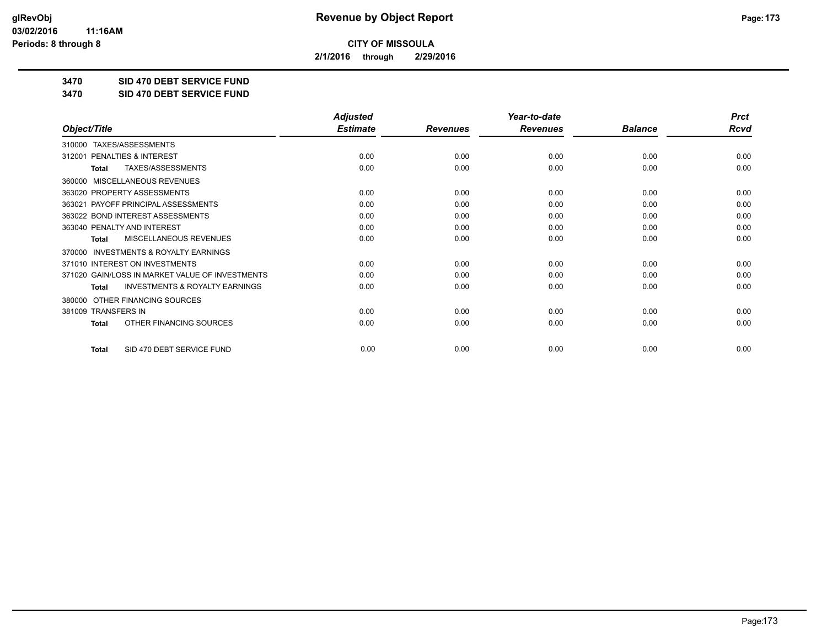**2/1/2016 through 2/29/2016**

**3470 SID 470 DEBT SERVICE FUND**

**3470 SID 470 DEBT SERVICE FUND**

|                                                           | <b>Adjusted</b> |                 | Year-to-date    |                | <b>Prct</b> |
|-----------------------------------------------------------|-----------------|-----------------|-----------------|----------------|-------------|
| Object/Title                                              | <b>Estimate</b> | <b>Revenues</b> | <b>Revenues</b> | <b>Balance</b> | <b>Rcvd</b> |
| <b>TAXES/ASSESSMENTS</b><br>310000                        |                 |                 |                 |                |             |
| <b>PENALTIES &amp; INTEREST</b><br>312001                 | 0.00            | 0.00            | 0.00            | 0.00           | 0.00        |
| TAXES/ASSESSMENTS<br><b>Total</b>                         | 0.00            | 0.00            | 0.00            | 0.00           | 0.00        |
| 360000 MISCELLANEOUS REVENUES                             |                 |                 |                 |                |             |
| 363020 PROPERTY ASSESSMENTS                               | 0.00            | 0.00            | 0.00            | 0.00           | 0.00        |
| PAYOFF PRINCIPAL ASSESSMENTS<br>363021                    | 0.00            | 0.00            | 0.00            | 0.00           | 0.00        |
| 363022 BOND INTEREST ASSESSMENTS                          | 0.00            | 0.00            | 0.00            | 0.00           | 0.00        |
| 363040 PENALTY AND INTEREST                               | 0.00            | 0.00            | 0.00            | 0.00           | 0.00        |
| MISCELLANEOUS REVENUES<br><b>Total</b>                    | 0.00            | 0.00            | 0.00            | 0.00           | 0.00        |
| <b>INVESTMENTS &amp; ROYALTY EARNINGS</b><br>370000       |                 |                 |                 |                |             |
| 371010 INTEREST ON INVESTMENTS                            | 0.00            | 0.00            | 0.00            | 0.00           | 0.00        |
| 371020 GAIN/LOSS IN MARKET VALUE OF INVESTMENTS           | 0.00            | 0.00            | 0.00            | 0.00           | 0.00        |
| <b>INVESTMENTS &amp; ROYALTY EARNINGS</b><br><b>Total</b> | 0.00            | 0.00            | 0.00            | 0.00           | 0.00        |
| OTHER FINANCING SOURCES<br>380000                         |                 |                 |                 |                |             |
| 381009 TRANSFERS IN                                       | 0.00            | 0.00            | 0.00            | 0.00           | 0.00        |
| OTHER FINANCING SOURCES<br><b>Total</b>                   | 0.00            | 0.00            | 0.00            | 0.00           | 0.00        |
| SID 470 DEBT SERVICE FUND<br><b>Total</b>                 | 0.00            | 0.00            | 0.00            | 0.00           | 0.00        |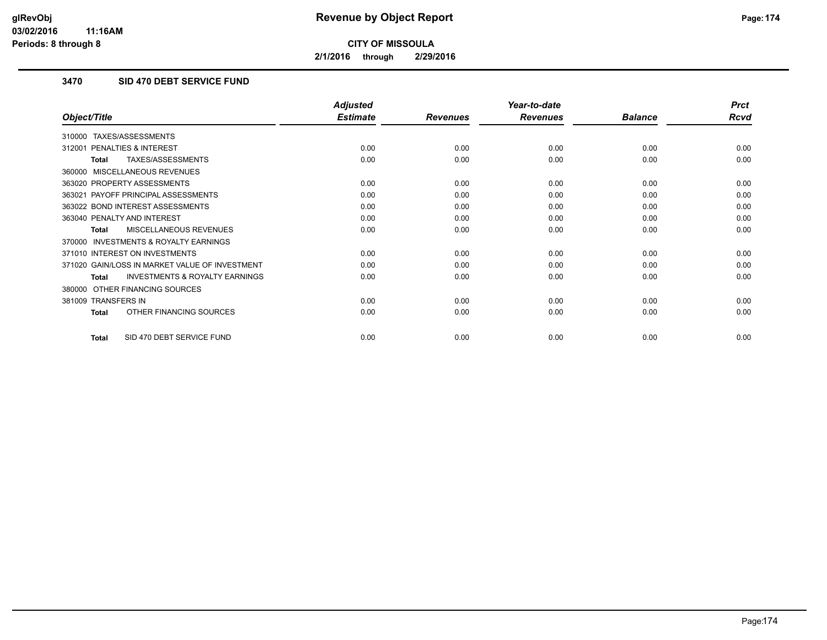**2/1/2016 through 2/29/2016**

## **3470 SID 470 DEBT SERVICE FUND**

|                                                           | <b>Adjusted</b> |                 | Year-to-date    |                | <b>Prct</b> |
|-----------------------------------------------------------|-----------------|-----------------|-----------------|----------------|-------------|
| Object/Title                                              | <b>Estimate</b> | <b>Revenues</b> | <b>Revenues</b> | <b>Balance</b> | <b>Rcvd</b> |
| TAXES/ASSESSMENTS<br>310000                               |                 |                 |                 |                |             |
| PENALTIES & INTEREST<br>312001                            | 0.00            | 0.00            | 0.00            | 0.00           | 0.00        |
| TAXES/ASSESSMENTS<br>Total                                | 0.00            | 0.00            | 0.00            | 0.00           | 0.00        |
| MISCELLANEOUS REVENUES<br>360000                          |                 |                 |                 |                |             |
| 363020 PROPERTY ASSESSMENTS                               | 0.00            | 0.00            | 0.00            | 0.00           | 0.00        |
| 363021 PAYOFF PRINCIPAL ASSESSMENTS                       | 0.00            | 0.00            | 0.00            | 0.00           | 0.00        |
| 363022 BOND INTEREST ASSESSMENTS                          | 0.00            | 0.00            | 0.00            | 0.00           | 0.00        |
| 363040 PENALTY AND INTEREST                               | 0.00            | 0.00            | 0.00            | 0.00           | 0.00        |
| <b>MISCELLANEOUS REVENUES</b><br><b>Total</b>             | 0.00            | 0.00            | 0.00            | 0.00           | 0.00        |
| <b>INVESTMENTS &amp; ROYALTY EARNINGS</b><br>370000       |                 |                 |                 |                |             |
| 371010 INTEREST ON INVESTMENTS                            | 0.00            | 0.00            | 0.00            | 0.00           | 0.00        |
| 371020 GAIN/LOSS IN MARKET VALUE OF INVESTMENT            | 0.00            | 0.00            | 0.00            | 0.00           | 0.00        |
| <b>INVESTMENTS &amp; ROYALTY EARNINGS</b><br><b>Total</b> | 0.00            | 0.00            | 0.00            | 0.00           | 0.00        |
| OTHER FINANCING SOURCES<br>380000                         |                 |                 |                 |                |             |
| 381009 TRANSFERS IN                                       | 0.00            | 0.00            | 0.00            | 0.00           | 0.00        |
| OTHER FINANCING SOURCES<br><b>Total</b>                   | 0.00            | 0.00            | 0.00            | 0.00           | 0.00        |
| SID 470 DEBT SERVICE FUND<br><b>Total</b>                 | 0.00            | 0.00            | 0.00            | 0.00           | 0.00        |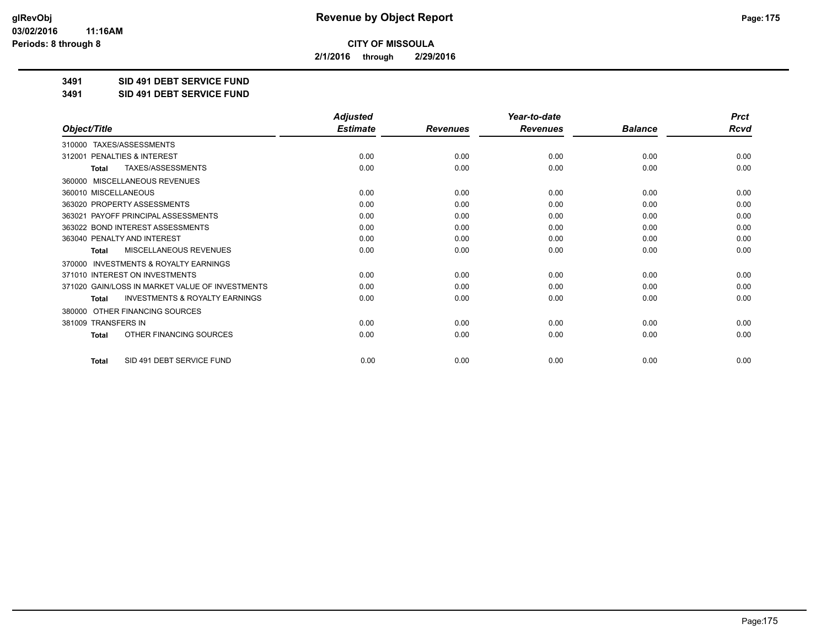**2/1/2016 through 2/29/2016**

**3491 SID 491 DEBT SERVICE FUND**

**3491 SID 491 DEBT SERVICE FUND**

|                                                           | <b>Adjusted</b> |                 | Year-to-date    |                | <b>Prct</b> |
|-----------------------------------------------------------|-----------------|-----------------|-----------------|----------------|-------------|
| Object/Title                                              | <b>Estimate</b> | <b>Revenues</b> | <b>Revenues</b> | <b>Balance</b> | <b>Rcvd</b> |
| TAXES/ASSESSMENTS<br>310000                               |                 |                 |                 |                |             |
| 312001 PENALTIES & INTEREST                               | 0.00            | 0.00            | 0.00            | 0.00           | 0.00        |
| TAXES/ASSESSMENTS<br><b>Total</b>                         | 0.00            | 0.00            | 0.00            | 0.00           | 0.00        |
| MISCELLANEOUS REVENUES<br>360000                          |                 |                 |                 |                |             |
| 360010 MISCELLANEOUS                                      | 0.00            | 0.00            | 0.00            | 0.00           | 0.00        |
| 363020 PROPERTY ASSESSMENTS                               | 0.00            | 0.00            | 0.00            | 0.00           | 0.00        |
| 363021 PAYOFF PRINCIPAL ASSESSMENTS                       | 0.00            | 0.00            | 0.00            | 0.00           | 0.00        |
| 363022 BOND INTEREST ASSESSMENTS                          | 0.00            | 0.00            | 0.00            | 0.00           | 0.00        |
| 363040 PENALTY AND INTEREST                               | 0.00            | 0.00            | 0.00            | 0.00           | 0.00        |
| <b>MISCELLANEOUS REVENUES</b><br><b>Total</b>             | 0.00            | 0.00            | 0.00            | 0.00           | 0.00        |
| <b>INVESTMENTS &amp; ROYALTY EARNINGS</b><br>370000       |                 |                 |                 |                |             |
| 371010 INTEREST ON INVESTMENTS                            | 0.00            | 0.00            | 0.00            | 0.00           | 0.00        |
| 371020 GAIN/LOSS IN MARKET VALUE OF INVESTMENTS           | 0.00            | 0.00            | 0.00            | 0.00           | 0.00        |
| <b>INVESTMENTS &amp; ROYALTY EARNINGS</b><br><b>Total</b> | 0.00            | 0.00            | 0.00            | 0.00           | 0.00        |
| OTHER FINANCING SOURCES<br>380000                         |                 |                 |                 |                |             |
| 381009 TRANSFERS IN                                       | 0.00            | 0.00            | 0.00            | 0.00           | 0.00        |
| OTHER FINANCING SOURCES<br><b>Total</b>                   | 0.00            | 0.00            | 0.00            | 0.00           | 0.00        |
| SID 491 DEBT SERVICE FUND<br><b>Total</b>                 | 0.00            | 0.00            | 0.00            | 0.00           | 0.00        |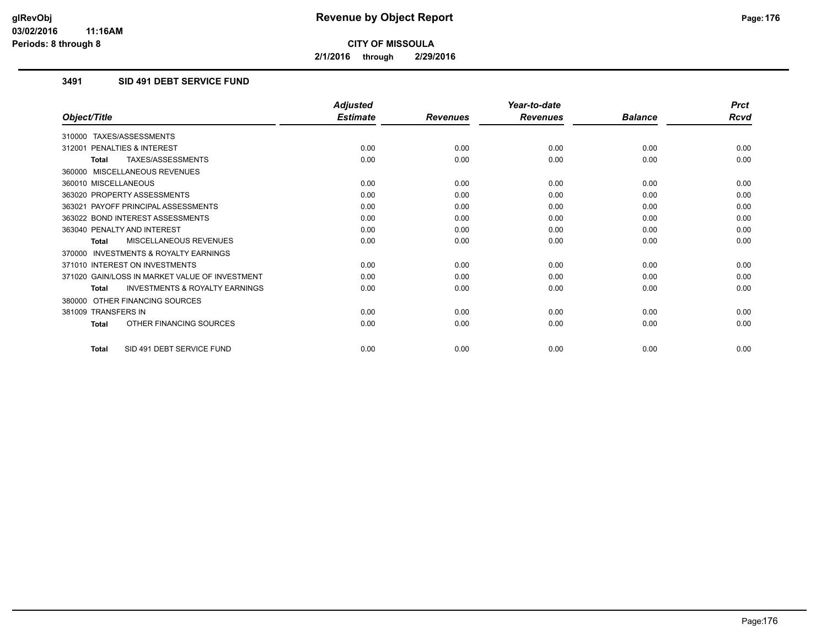**2/1/2016 through 2/29/2016**

## **3491 SID 491 DEBT SERVICE FUND**

|                                                           | <b>Adjusted</b> |                 | Year-to-date    |                | <b>Prct</b> |
|-----------------------------------------------------------|-----------------|-----------------|-----------------|----------------|-------------|
| Object/Title                                              | <b>Estimate</b> | <b>Revenues</b> | <b>Revenues</b> | <b>Balance</b> | <b>Rcvd</b> |
| 310000 TAXES/ASSESSMENTS                                  |                 |                 |                 |                |             |
| 312001 PENALTIES & INTEREST                               | 0.00            | 0.00            | 0.00            | 0.00           | 0.00        |
| TAXES/ASSESSMENTS<br><b>Total</b>                         | 0.00            | 0.00            | 0.00            | 0.00           | 0.00        |
| 360000 MISCELLANEOUS REVENUES                             |                 |                 |                 |                |             |
| 360010 MISCELLANEOUS                                      | 0.00            | 0.00            | 0.00            | 0.00           | 0.00        |
| 363020 PROPERTY ASSESSMENTS                               | 0.00            | 0.00            | 0.00            | 0.00           | 0.00        |
| 363021 PAYOFF PRINCIPAL ASSESSMENTS                       | 0.00            | 0.00            | 0.00            | 0.00           | 0.00        |
| 363022 BOND INTEREST ASSESSMENTS                          | 0.00            | 0.00            | 0.00            | 0.00           | 0.00        |
| 363040 PENALTY AND INTEREST                               | 0.00            | 0.00            | 0.00            | 0.00           | 0.00        |
| MISCELLANEOUS REVENUES<br><b>Total</b>                    | 0.00            | 0.00            | 0.00            | 0.00           | 0.00        |
| <b>INVESTMENTS &amp; ROYALTY EARNINGS</b><br>370000       |                 |                 |                 |                |             |
| 371010 INTEREST ON INVESTMENTS                            | 0.00            | 0.00            | 0.00            | 0.00           | 0.00        |
| 371020 GAIN/LOSS IN MARKET VALUE OF INVESTMENT            | 0.00            | 0.00            | 0.00            | 0.00           | 0.00        |
| <b>INVESTMENTS &amp; ROYALTY EARNINGS</b><br><b>Total</b> | 0.00            | 0.00            | 0.00            | 0.00           | 0.00        |
| 380000 OTHER FINANCING SOURCES                            |                 |                 |                 |                |             |
| 381009 TRANSFERS IN                                       | 0.00            | 0.00            | 0.00            | 0.00           | 0.00        |
| OTHER FINANCING SOURCES<br>Total                          | 0.00            | 0.00            | 0.00            | 0.00           | 0.00        |
| SID 491 DEBT SERVICE FUND<br>Total                        | 0.00            | 0.00            | 0.00            | 0.00           | 0.00        |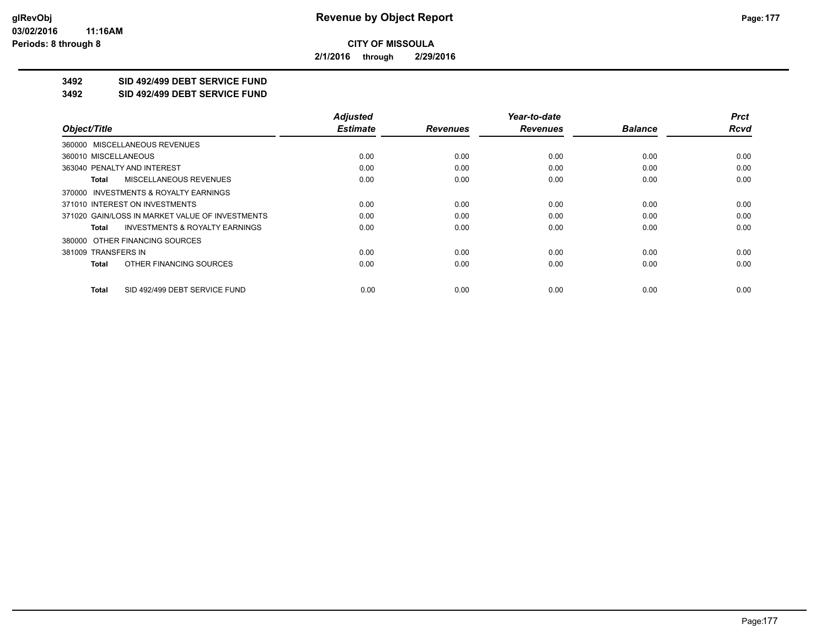**2/1/2016 through 2/29/2016**

# **3492 SID 492/499 DEBT SERVICE FUND**

**3492 SID 492/499 DEBT SERVICE FUND**

|                                                    | <b>Adjusted</b> |                 | Year-to-date    |                | <b>Prct</b> |
|----------------------------------------------------|-----------------|-----------------|-----------------|----------------|-------------|
| Object/Title                                       | <b>Estimate</b> | <b>Revenues</b> | <b>Revenues</b> | <b>Balance</b> | <b>Rcvd</b> |
| 360000 MISCELLANEOUS REVENUES                      |                 |                 |                 |                |             |
| 360010 MISCELLANEOUS                               | 0.00            | 0.00            | 0.00            | 0.00           | 0.00        |
| 363040 PENALTY AND INTEREST                        | 0.00            | 0.00            | 0.00            | 0.00           | 0.00        |
| <b>MISCELLANEOUS REVENUES</b><br>Total             | 0.00            | 0.00            | 0.00            | 0.00           | 0.00        |
| 370000 INVESTMENTS & ROYALTY EARNINGS              |                 |                 |                 |                |             |
| 371010 INTEREST ON INVESTMENTS                     | 0.00            | 0.00            | 0.00            | 0.00           | 0.00        |
| 371020 GAIN/LOSS IN MARKET VALUE OF INVESTMENTS    | 0.00            | 0.00            | 0.00            | 0.00           | 0.00        |
| <b>INVESTMENTS &amp; ROYALTY EARNINGS</b><br>Total | 0.00            | 0.00            | 0.00            | 0.00           | 0.00        |
| 380000 OTHER FINANCING SOURCES                     |                 |                 |                 |                |             |
| 381009 TRANSFERS IN                                | 0.00            | 0.00            | 0.00            | 0.00           | 0.00        |
| OTHER FINANCING SOURCES<br>Total                   | 0.00            | 0.00            | 0.00            | 0.00           | 0.00        |
| SID 492/499 DEBT SERVICE FUND<br>Total             | 0.00            | 0.00            | 0.00            | 0.00           | 0.00        |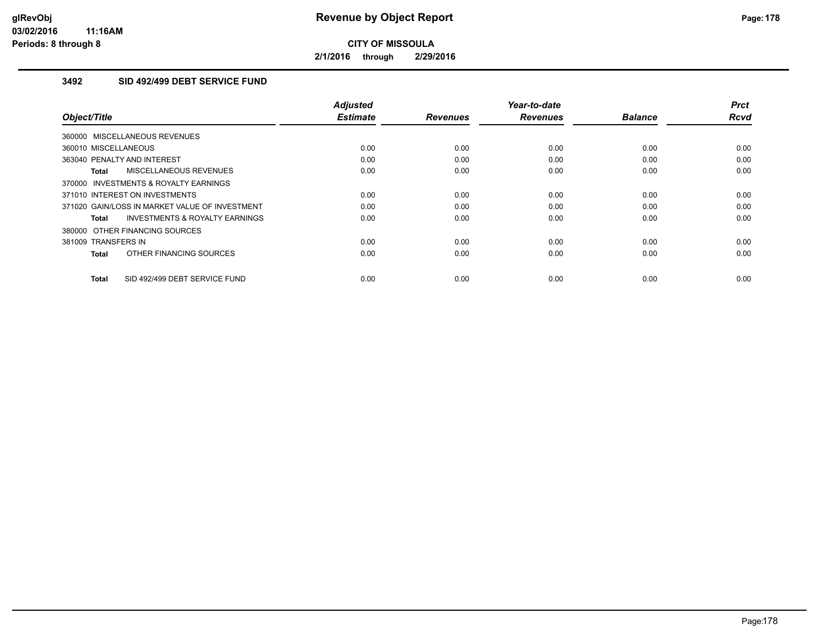**2/1/2016 through 2/29/2016**

## **3492 SID 492/499 DEBT SERVICE FUND**

| Object/Title                                       | <b>Adjusted</b><br><b>Estimate</b> | <b>Revenues</b> | Year-to-date<br><b>Revenues</b> | <b>Balance</b> | <b>Prct</b><br><b>Rcvd</b> |
|----------------------------------------------------|------------------------------------|-----------------|---------------------------------|----------------|----------------------------|
| 360000 MISCELLANEOUS REVENUES                      |                                    |                 |                                 |                |                            |
| 360010 MISCELLANEOUS                               | 0.00                               | 0.00            | 0.00                            | 0.00           | 0.00                       |
| 363040 PENALTY AND INTEREST                        | 0.00                               | 0.00            | 0.00                            | 0.00           | 0.00                       |
| MISCELLANEOUS REVENUES<br>Total                    | 0.00                               | 0.00            | 0.00                            | 0.00           | 0.00                       |
| 370000 INVESTMENTS & ROYALTY EARNINGS              |                                    |                 |                                 |                |                            |
| 371010 INTEREST ON INVESTMENTS                     | 0.00                               | 0.00            | 0.00                            | 0.00           | 0.00                       |
| 371020 GAIN/LOSS IN MARKET VALUE OF INVESTMENT     | 0.00                               | 0.00            | 0.00                            | 0.00           | 0.00                       |
| <b>INVESTMENTS &amp; ROYALTY EARNINGS</b><br>Total | 0.00                               | 0.00            | 0.00                            | 0.00           | 0.00                       |
| 380000 OTHER FINANCING SOURCES                     |                                    |                 |                                 |                |                            |
| 381009 TRANSFERS IN                                | 0.00                               | 0.00            | 0.00                            | 0.00           | 0.00                       |
| OTHER FINANCING SOURCES<br><b>Total</b>            | 0.00                               | 0.00            | 0.00                            | 0.00           | 0.00                       |
| SID 492/499 DEBT SERVICE FUND<br><b>Total</b>      | 0.00                               | 0.00            | 0.00                            | 0.00           | 0.00                       |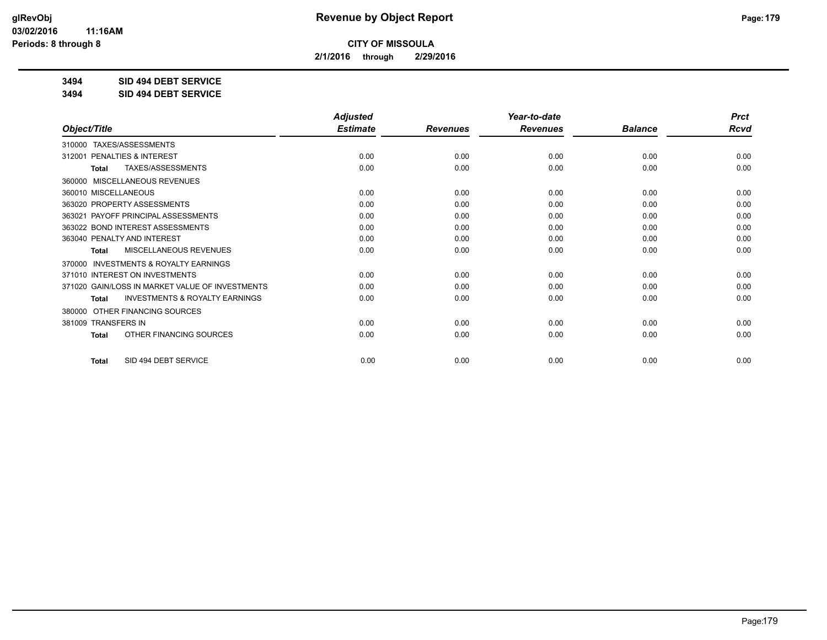**2/1/2016 through 2/29/2016**

**3494 SID 494 DEBT SERVICE**

**3494 SID 494 DEBT SERVICE**

|                                                           | <b>Adjusted</b> |                 | Year-to-date    |                | <b>Prct</b> |
|-----------------------------------------------------------|-----------------|-----------------|-----------------|----------------|-------------|
| Object/Title                                              | <b>Estimate</b> | <b>Revenues</b> | <b>Revenues</b> | <b>Balance</b> | Rcvd        |
| 310000 TAXES/ASSESSMENTS                                  |                 |                 |                 |                |             |
| 312001 PENALTIES & INTEREST                               | 0.00            | 0.00            | 0.00            | 0.00           | 0.00        |
| TAXES/ASSESSMENTS<br><b>Total</b>                         | 0.00            | 0.00            | 0.00            | 0.00           | 0.00        |
| MISCELLANEOUS REVENUES<br>360000                          |                 |                 |                 |                |             |
| 360010 MISCELLANEOUS                                      | 0.00            | 0.00            | 0.00            | 0.00           | 0.00        |
| 363020 PROPERTY ASSESSMENTS                               | 0.00            | 0.00            | 0.00            | 0.00           | 0.00        |
| 363021 PAYOFF PRINCIPAL ASSESSMENTS                       | 0.00            | 0.00            | 0.00            | 0.00           | 0.00        |
| 363022 BOND INTEREST ASSESSMENTS                          | 0.00            | 0.00            | 0.00            | 0.00           | 0.00        |
| 363040 PENALTY AND INTEREST                               | 0.00            | 0.00            | 0.00            | 0.00           | 0.00        |
| <b>MISCELLANEOUS REVENUES</b><br><b>Total</b>             | 0.00            | 0.00            | 0.00            | 0.00           | 0.00        |
| <b>INVESTMENTS &amp; ROYALTY EARNINGS</b><br>370000       |                 |                 |                 |                |             |
| 371010 INTEREST ON INVESTMENTS                            | 0.00            | 0.00            | 0.00            | 0.00           | 0.00        |
| 371020 GAIN/LOSS IN MARKET VALUE OF INVESTMENTS           | 0.00            | 0.00            | 0.00            | 0.00           | 0.00        |
| <b>INVESTMENTS &amp; ROYALTY EARNINGS</b><br><b>Total</b> | 0.00            | 0.00            | 0.00            | 0.00           | 0.00        |
| OTHER FINANCING SOURCES<br>380000                         |                 |                 |                 |                |             |
| 381009 TRANSFERS IN                                       | 0.00            | 0.00            | 0.00            | 0.00           | 0.00        |
| OTHER FINANCING SOURCES<br><b>Total</b>                   | 0.00            | 0.00            | 0.00            | 0.00           | 0.00        |
| SID 494 DEBT SERVICE<br><b>Total</b>                      | 0.00            | 0.00            | 0.00            | 0.00           | 0.00        |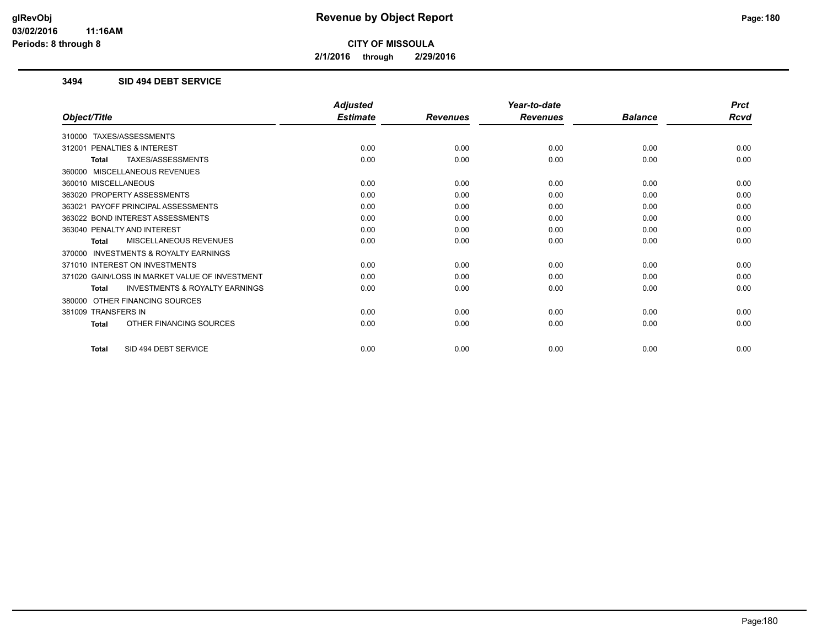**2/1/2016 through 2/29/2016**

### **3494 SID 494 DEBT SERVICE**

|                                                    | <b>Adjusted</b> |                 | Year-to-date    |                | <b>Prct</b> |
|----------------------------------------------------|-----------------|-----------------|-----------------|----------------|-------------|
| Object/Title                                       | <b>Estimate</b> | <b>Revenues</b> | <b>Revenues</b> | <b>Balance</b> | <b>Rcvd</b> |
| 310000 TAXES/ASSESSMENTS                           |                 |                 |                 |                |             |
| PENALTIES & INTEREST<br>312001                     | 0.00            | 0.00            | 0.00            | 0.00           | 0.00        |
| TAXES/ASSESSMENTS<br>Total                         | 0.00            | 0.00            | 0.00            | 0.00           | 0.00        |
| 360000 MISCELLANEOUS REVENUES                      |                 |                 |                 |                |             |
| 360010 MISCELLANEOUS                               | 0.00            | 0.00            | 0.00            | 0.00           | 0.00        |
| 363020 PROPERTY ASSESSMENTS                        | 0.00            | 0.00            | 0.00            | 0.00           | 0.00        |
| 363021 PAYOFF PRINCIPAL ASSESSMENTS                | 0.00            | 0.00            | 0.00            | 0.00           | 0.00        |
| 363022 BOND INTEREST ASSESSMENTS                   | 0.00            | 0.00            | 0.00            | 0.00           | 0.00        |
| 363040 PENALTY AND INTEREST                        | 0.00            | 0.00            | 0.00            | 0.00           | 0.00        |
| <b>MISCELLANEOUS REVENUES</b><br>Total             | 0.00            | 0.00            | 0.00            | 0.00           | 0.00        |
| 370000 INVESTMENTS & ROYALTY EARNINGS              |                 |                 |                 |                |             |
| 371010 INTEREST ON INVESTMENTS                     | 0.00            | 0.00            | 0.00            | 0.00           | 0.00        |
| 371020 GAIN/LOSS IN MARKET VALUE OF INVESTMENT     | 0.00            | 0.00            | 0.00            | 0.00           | 0.00        |
| <b>INVESTMENTS &amp; ROYALTY EARNINGS</b><br>Total | 0.00            | 0.00            | 0.00            | 0.00           | 0.00        |
| 380000 OTHER FINANCING SOURCES                     |                 |                 |                 |                |             |
| 381009 TRANSFERS IN                                | 0.00            | 0.00            | 0.00            | 0.00           | 0.00        |
| OTHER FINANCING SOURCES<br>Total                   | 0.00            | 0.00            | 0.00            | 0.00           | 0.00        |
| SID 494 DEBT SERVICE<br><b>Total</b>               | 0.00            | 0.00            | 0.00            | 0.00           | 0.00        |
|                                                    |                 |                 |                 |                |             |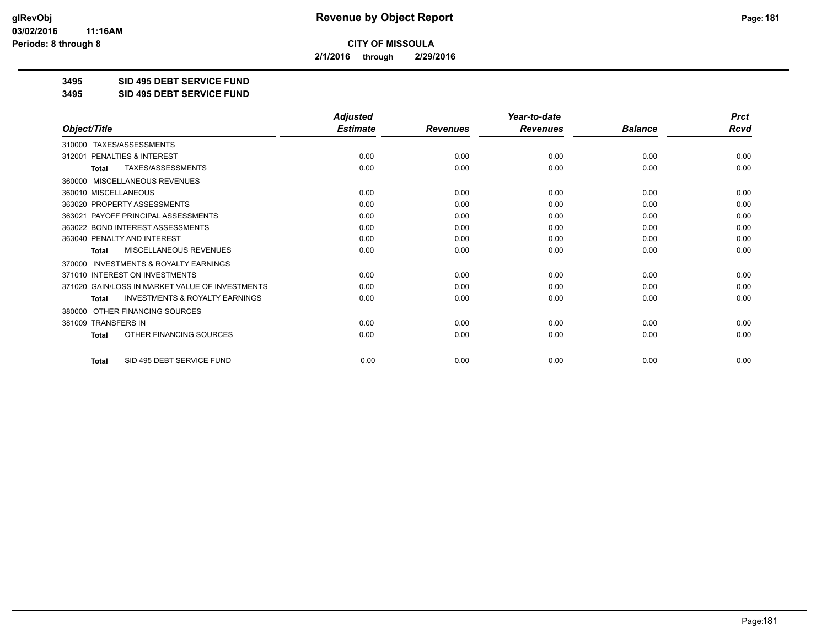**2/1/2016 through 2/29/2016**

**3495 SID 495 DEBT SERVICE FUND**

**3495 SID 495 DEBT SERVICE FUND**

|                                                           | <b>Adjusted</b> |                 | Year-to-date    |                | <b>Prct</b> |
|-----------------------------------------------------------|-----------------|-----------------|-----------------|----------------|-------------|
| Object/Title                                              | <b>Estimate</b> | <b>Revenues</b> | <b>Revenues</b> | <b>Balance</b> | <b>Rcvd</b> |
| TAXES/ASSESSMENTS<br>310000                               |                 |                 |                 |                |             |
| 312001 PENALTIES & INTEREST                               | 0.00            | 0.00            | 0.00            | 0.00           | 0.00        |
| TAXES/ASSESSMENTS<br><b>Total</b>                         | 0.00            | 0.00            | 0.00            | 0.00           | 0.00        |
| MISCELLANEOUS REVENUES<br>360000                          |                 |                 |                 |                |             |
| 360010 MISCELLANEOUS                                      | 0.00            | 0.00            | 0.00            | 0.00           | 0.00        |
| 363020 PROPERTY ASSESSMENTS                               | 0.00            | 0.00            | 0.00            | 0.00           | 0.00        |
| 363021 PAYOFF PRINCIPAL ASSESSMENTS                       | 0.00            | 0.00            | 0.00            | 0.00           | 0.00        |
| 363022 BOND INTEREST ASSESSMENTS                          | 0.00            | 0.00            | 0.00            | 0.00           | 0.00        |
| 363040 PENALTY AND INTEREST                               | 0.00            | 0.00            | 0.00            | 0.00           | 0.00        |
| <b>MISCELLANEOUS REVENUES</b><br><b>Total</b>             | 0.00            | 0.00            | 0.00            | 0.00           | 0.00        |
| <b>INVESTMENTS &amp; ROYALTY EARNINGS</b><br>370000       |                 |                 |                 |                |             |
| 371010 INTEREST ON INVESTMENTS                            | 0.00            | 0.00            | 0.00            | 0.00           | 0.00        |
| 371020 GAIN/LOSS IN MARKET VALUE OF INVESTMENTS           | 0.00            | 0.00            | 0.00            | 0.00           | 0.00        |
| <b>INVESTMENTS &amp; ROYALTY EARNINGS</b><br><b>Total</b> | 0.00            | 0.00            | 0.00            | 0.00           | 0.00        |
| OTHER FINANCING SOURCES<br>380000                         |                 |                 |                 |                |             |
| 381009 TRANSFERS IN                                       | 0.00            | 0.00            | 0.00            | 0.00           | 0.00        |
| OTHER FINANCING SOURCES<br>Total                          | 0.00            | 0.00            | 0.00            | 0.00           | 0.00        |
| SID 495 DEBT SERVICE FUND<br><b>Total</b>                 | 0.00            | 0.00            | 0.00            | 0.00           | 0.00        |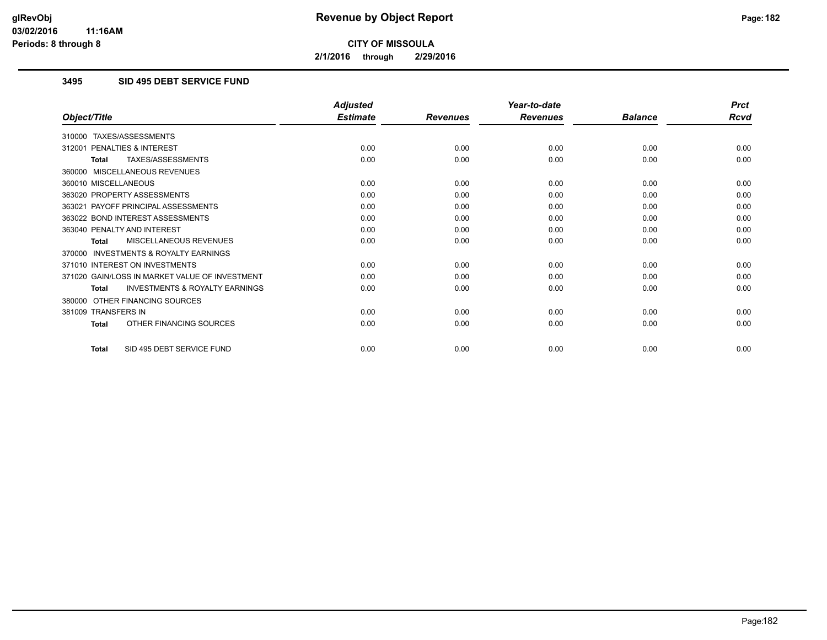**2/1/2016 through 2/29/2016**

## **3495 SID 495 DEBT SERVICE FUND**

|                                                           | <b>Adjusted</b> |                 | Year-to-date    |                | <b>Prct</b> |
|-----------------------------------------------------------|-----------------|-----------------|-----------------|----------------|-------------|
| Object/Title                                              | <b>Estimate</b> | <b>Revenues</b> | <b>Revenues</b> | <b>Balance</b> | <b>Rcvd</b> |
| 310000 TAXES/ASSESSMENTS                                  |                 |                 |                 |                |             |
| PENALTIES & INTEREST<br>312001                            | 0.00            | 0.00            | 0.00            | 0.00           | 0.00        |
| TAXES/ASSESSMENTS<br><b>Total</b>                         | 0.00            | 0.00            | 0.00            | 0.00           | 0.00        |
| 360000 MISCELLANEOUS REVENUES                             |                 |                 |                 |                |             |
| 360010 MISCELLANEOUS                                      | 0.00            | 0.00            | 0.00            | 0.00           | 0.00        |
| 363020 PROPERTY ASSESSMENTS                               | 0.00            | 0.00            | 0.00            | 0.00           | 0.00        |
| 363021 PAYOFF PRINCIPAL ASSESSMENTS                       | 0.00            | 0.00            | 0.00            | 0.00           | 0.00        |
| 363022 BOND INTEREST ASSESSMENTS                          | 0.00            | 0.00            | 0.00            | 0.00           | 0.00        |
| 363040 PENALTY AND INTEREST                               | 0.00            | 0.00            | 0.00            | 0.00           | 0.00        |
| MISCELLANEOUS REVENUES<br><b>Total</b>                    | 0.00            | 0.00            | 0.00            | 0.00           | 0.00        |
| <b>INVESTMENTS &amp; ROYALTY EARNINGS</b><br>370000       |                 |                 |                 |                |             |
| 371010 INTEREST ON INVESTMENTS                            | 0.00            | 0.00            | 0.00            | 0.00           | 0.00        |
| 371020 GAIN/LOSS IN MARKET VALUE OF INVESTMENT            | 0.00            | 0.00            | 0.00            | 0.00           | 0.00        |
| <b>INVESTMENTS &amp; ROYALTY EARNINGS</b><br><b>Total</b> | 0.00            | 0.00            | 0.00            | 0.00           | 0.00        |
| OTHER FINANCING SOURCES<br>380000                         |                 |                 |                 |                |             |
| 381009 TRANSFERS IN                                       | 0.00            | 0.00            | 0.00            | 0.00           | 0.00        |
| OTHER FINANCING SOURCES<br><b>Total</b>                   | 0.00            | 0.00            | 0.00            | 0.00           | 0.00        |
| SID 495 DEBT SERVICE FUND<br><b>Total</b>                 | 0.00            | 0.00            | 0.00            | 0.00           | 0.00        |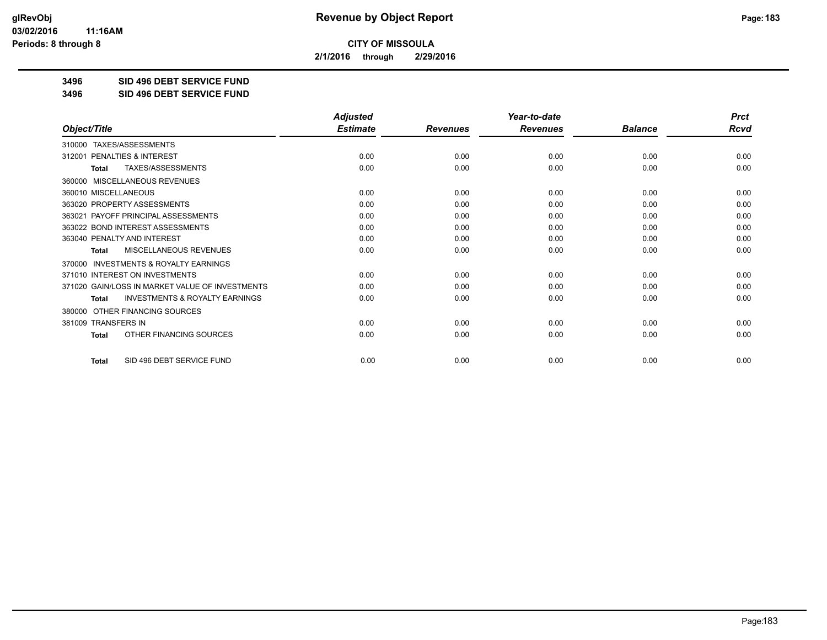**2/1/2016 through 2/29/2016**

**3496 SID 496 DEBT SERVICE FUND**

**3496 SID 496 DEBT SERVICE FUND**

|                                                           | <b>Adjusted</b> |                 | Year-to-date    |                | <b>Prct</b> |
|-----------------------------------------------------------|-----------------|-----------------|-----------------|----------------|-------------|
| Object/Title                                              | <b>Estimate</b> | <b>Revenues</b> | <b>Revenues</b> | <b>Balance</b> | <b>Rcvd</b> |
| TAXES/ASSESSMENTS<br>310000                               |                 |                 |                 |                |             |
| 312001 PENALTIES & INTEREST                               | 0.00            | 0.00            | 0.00            | 0.00           | 0.00        |
| TAXES/ASSESSMENTS<br><b>Total</b>                         | 0.00            | 0.00            | 0.00            | 0.00           | 0.00        |
| MISCELLANEOUS REVENUES<br>360000                          |                 |                 |                 |                |             |
| 360010 MISCELLANEOUS                                      | 0.00            | 0.00            | 0.00            | 0.00           | 0.00        |
| 363020 PROPERTY ASSESSMENTS                               | 0.00            | 0.00            | 0.00            | 0.00           | 0.00        |
| 363021 PAYOFF PRINCIPAL ASSESSMENTS                       | 0.00            | 0.00            | 0.00            | 0.00           | 0.00        |
| 363022 BOND INTEREST ASSESSMENTS                          | 0.00            | 0.00            | 0.00            | 0.00           | 0.00        |
| 363040 PENALTY AND INTEREST                               | 0.00            | 0.00            | 0.00            | 0.00           | 0.00        |
| MISCELLANEOUS REVENUES<br><b>Total</b>                    | 0.00            | 0.00            | 0.00            | 0.00           | 0.00        |
| <b>INVESTMENTS &amp; ROYALTY EARNINGS</b><br>370000       |                 |                 |                 |                |             |
| 371010 INTEREST ON INVESTMENTS                            | 0.00            | 0.00            | 0.00            | 0.00           | 0.00        |
| 371020 GAIN/LOSS IN MARKET VALUE OF INVESTMENTS           | 0.00            | 0.00            | 0.00            | 0.00           | 0.00        |
| <b>INVESTMENTS &amp; ROYALTY EARNINGS</b><br><b>Total</b> | 0.00            | 0.00            | 0.00            | 0.00           | 0.00        |
| OTHER FINANCING SOURCES<br>380000                         |                 |                 |                 |                |             |
| 381009 TRANSFERS IN                                       | 0.00            | 0.00            | 0.00            | 0.00           | 0.00        |
| OTHER FINANCING SOURCES<br><b>Total</b>                   | 0.00            | 0.00            | 0.00            | 0.00           | 0.00        |
| SID 496 DEBT SERVICE FUND<br><b>Total</b>                 | 0.00            | 0.00            | 0.00            | 0.00           | 0.00        |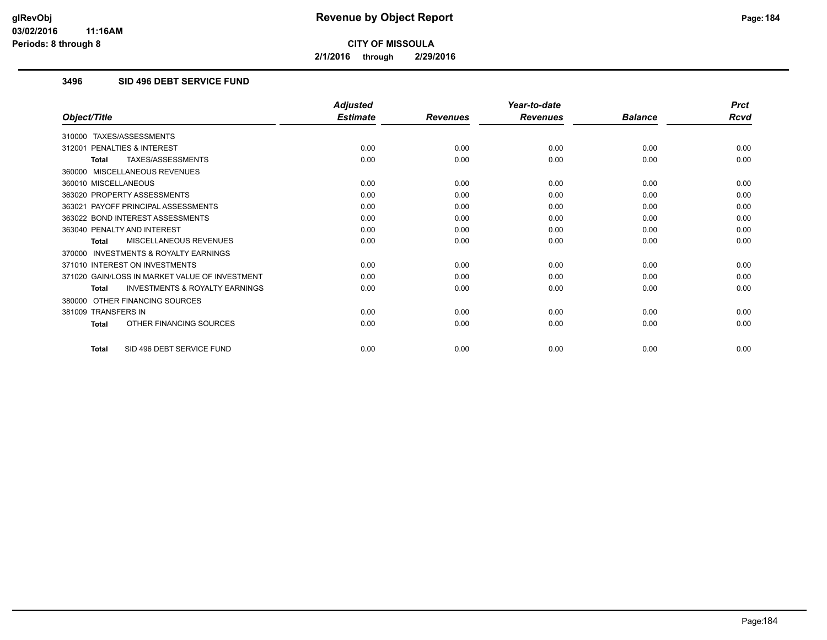**2/1/2016 through 2/29/2016**

## **3496 SID 496 DEBT SERVICE FUND**

|                                                           | <b>Adjusted</b> |                 | Year-to-date    |                | <b>Prct</b> |
|-----------------------------------------------------------|-----------------|-----------------|-----------------|----------------|-------------|
| Object/Title                                              | <b>Estimate</b> | <b>Revenues</b> | <b>Revenues</b> | <b>Balance</b> | <b>Rcvd</b> |
| 310000 TAXES/ASSESSMENTS                                  |                 |                 |                 |                |             |
| PENALTIES & INTEREST<br>312001                            | 0.00            | 0.00            | 0.00            | 0.00           | 0.00        |
| TAXES/ASSESSMENTS<br><b>Total</b>                         | 0.00            | 0.00            | 0.00            | 0.00           | 0.00        |
| 360000 MISCELLANEOUS REVENUES                             |                 |                 |                 |                |             |
| 360010 MISCELLANEOUS                                      | 0.00            | 0.00            | 0.00            | 0.00           | 0.00        |
| 363020 PROPERTY ASSESSMENTS                               | 0.00            | 0.00            | 0.00            | 0.00           | 0.00        |
| 363021 PAYOFF PRINCIPAL ASSESSMENTS                       | 0.00            | 0.00            | 0.00            | 0.00           | 0.00        |
| 363022 BOND INTEREST ASSESSMENTS                          | 0.00            | 0.00            | 0.00            | 0.00           | 0.00        |
| 363040 PENALTY AND INTEREST                               | 0.00            | 0.00            | 0.00            | 0.00           | 0.00        |
| MISCELLANEOUS REVENUES<br><b>Total</b>                    | 0.00            | 0.00            | 0.00            | 0.00           | 0.00        |
| <b>INVESTMENTS &amp; ROYALTY EARNINGS</b><br>370000       |                 |                 |                 |                |             |
| 371010 INTEREST ON INVESTMENTS                            | 0.00            | 0.00            | 0.00            | 0.00           | 0.00        |
| 371020 GAIN/LOSS IN MARKET VALUE OF INVESTMENT            | 0.00            | 0.00            | 0.00            | 0.00           | 0.00        |
| <b>INVESTMENTS &amp; ROYALTY EARNINGS</b><br><b>Total</b> | 0.00            | 0.00            | 0.00            | 0.00           | 0.00        |
| OTHER FINANCING SOURCES<br>380000                         |                 |                 |                 |                |             |
| 381009 TRANSFERS IN                                       | 0.00            | 0.00            | 0.00            | 0.00           | 0.00        |
| OTHER FINANCING SOURCES<br><b>Total</b>                   | 0.00            | 0.00            | 0.00            | 0.00           | 0.00        |
| SID 496 DEBT SERVICE FUND<br><b>Total</b>                 | 0.00            | 0.00            | 0.00            | 0.00           | 0.00        |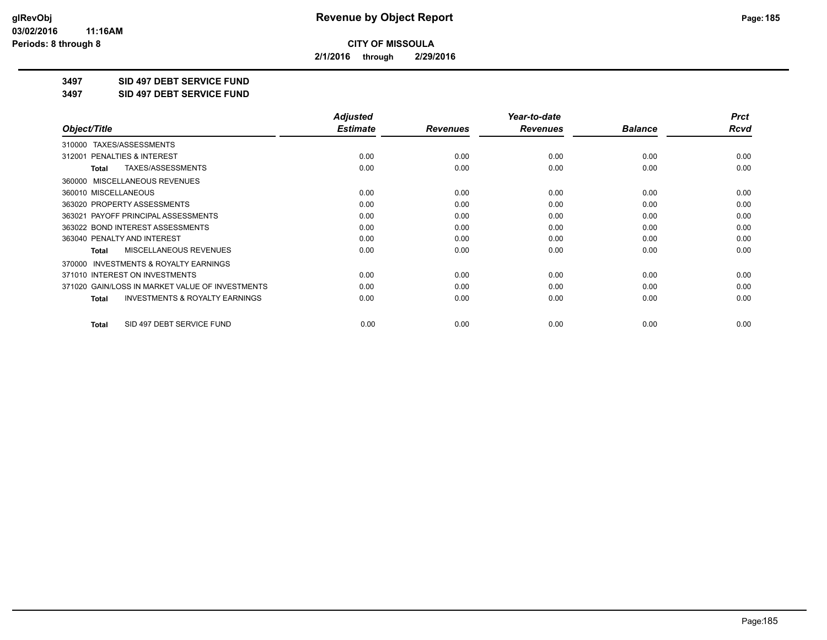**2/1/2016 through 2/29/2016**

**3497 SID 497 DEBT SERVICE FUND**

**3497 SID 497 DEBT SERVICE FUND**

|                                                           | <b>Adjusted</b> |                 | Year-to-date    |                | <b>Prct</b> |
|-----------------------------------------------------------|-----------------|-----------------|-----------------|----------------|-------------|
| Object/Title                                              | <b>Estimate</b> | <b>Revenues</b> | <b>Revenues</b> | <b>Balance</b> | Rcvd        |
| TAXES/ASSESSMENTS<br>310000                               |                 |                 |                 |                |             |
| 312001 PENALTIES & INTEREST                               | 0.00            | 0.00            | 0.00            | 0.00           | 0.00        |
| TAXES/ASSESSMENTS<br>Total                                | 0.00            | 0.00            | 0.00            | 0.00           | 0.00        |
| MISCELLANEOUS REVENUES<br>360000                          |                 |                 |                 |                |             |
| 360010 MISCELLANEOUS                                      | 0.00            | 0.00            | 0.00            | 0.00           | 0.00        |
| 363020 PROPERTY ASSESSMENTS                               | 0.00            | 0.00            | 0.00            | 0.00           | 0.00        |
| 363021 PAYOFF PRINCIPAL ASSESSMENTS                       | 0.00            | 0.00            | 0.00            | 0.00           | 0.00        |
| 363022 BOND INTEREST ASSESSMENTS                          | 0.00            | 0.00            | 0.00            | 0.00           | 0.00        |
| 363040 PENALTY AND INTEREST                               | 0.00            | 0.00            | 0.00            | 0.00           | 0.00        |
| MISCELLANEOUS REVENUES<br><b>Total</b>                    | 0.00            | 0.00            | 0.00            | 0.00           | 0.00        |
| <b>INVESTMENTS &amp; ROYALTY EARNINGS</b><br>370000       |                 |                 |                 |                |             |
| 371010 INTEREST ON INVESTMENTS                            | 0.00            | 0.00            | 0.00            | 0.00           | 0.00        |
| 371020 GAIN/LOSS IN MARKET VALUE OF INVESTMENTS           | 0.00            | 0.00            | 0.00            | 0.00           | 0.00        |
| <b>INVESTMENTS &amp; ROYALTY EARNINGS</b><br><b>Total</b> | 0.00            | 0.00            | 0.00            | 0.00           | 0.00        |
| SID 497 DEBT SERVICE FUND<br>Total                        | 0.00            | 0.00            | 0.00            | 0.00           | 0.00        |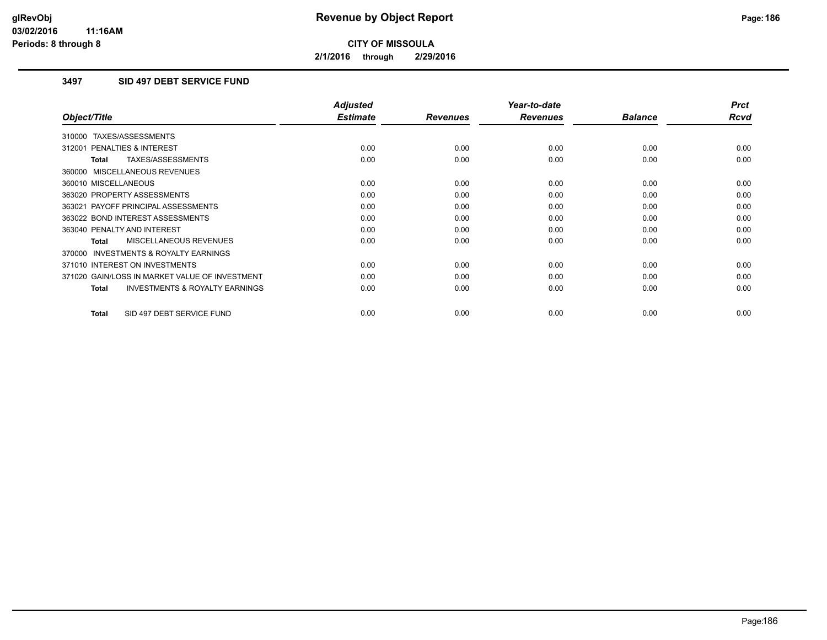**2/1/2016 through 2/29/2016**

## **3497 SID 497 DEBT SERVICE FUND**

|                                                     | <b>Adjusted</b> |                 | Year-to-date    |                | <b>Prct</b> |
|-----------------------------------------------------|-----------------|-----------------|-----------------|----------------|-------------|
| Object/Title                                        | <b>Estimate</b> | <b>Revenues</b> | <b>Revenues</b> | <b>Balance</b> | <b>Rcvd</b> |
| 310000 TAXES/ASSESSMENTS                            |                 |                 |                 |                |             |
| 312001 PENALTIES & INTEREST                         | 0.00            | 0.00            | 0.00            | 0.00           | 0.00        |
| TAXES/ASSESSMENTS<br><b>Total</b>                   | 0.00            | 0.00            | 0.00            | 0.00           | 0.00        |
| 360000 MISCELLANEOUS REVENUES                       |                 |                 |                 |                |             |
| 360010 MISCELLANEOUS                                | 0.00            | 0.00            | 0.00            | 0.00           | 0.00        |
| 363020 PROPERTY ASSESSMENTS                         | 0.00            | 0.00            | 0.00            | 0.00           | 0.00        |
| 363021 PAYOFF PRINCIPAL ASSESSMENTS                 | 0.00            | 0.00            | 0.00            | 0.00           | 0.00        |
| 363022 BOND INTEREST ASSESSMENTS                    | 0.00            | 0.00            | 0.00            | 0.00           | 0.00        |
| 363040 PENALTY AND INTEREST                         | 0.00            | 0.00            | 0.00            | 0.00           | 0.00        |
| <b>MISCELLANEOUS REVENUES</b><br>Total              | 0.00            | 0.00            | 0.00            | 0.00           | 0.00        |
| <b>INVESTMENTS &amp; ROYALTY EARNINGS</b><br>370000 |                 |                 |                 |                |             |
| 371010 INTEREST ON INVESTMENTS                      | 0.00            | 0.00            | 0.00            | 0.00           | 0.00        |
| 371020 GAIN/LOSS IN MARKET VALUE OF INVESTMENT      | 0.00            | 0.00            | 0.00            | 0.00           | 0.00        |
| <b>INVESTMENTS &amp; ROYALTY EARNINGS</b><br>Total  | 0.00            | 0.00            | 0.00            | 0.00           | 0.00        |
| SID 497 DEBT SERVICE FUND<br><b>Total</b>           | 0.00            | 0.00            | 0.00            | 0.00           | 0.00        |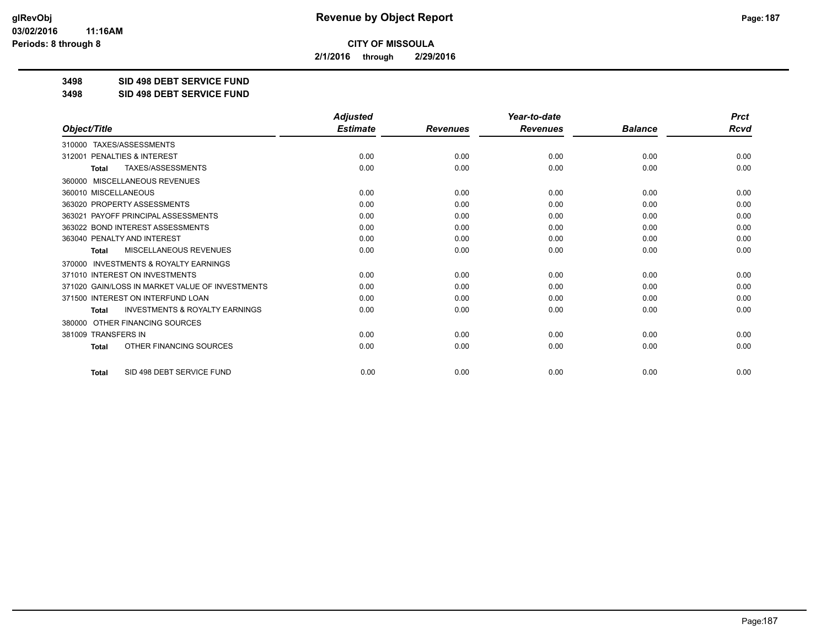**2/1/2016 through 2/29/2016**

**3498 SID 498 DEBT SERVICE FUND**

**3498 SID 498 DEBT SERVICE FUND**

|                                                           | <b>Adjusted</b> |                 | Year-to-date    | <b>Prct</b>    |      |
|-----------------------------------------------------------|-----------------|-----------------|-----------------|----------------|------|
| Object/Title                                              | <b>Estimate</b> | <b>Revenues</b> | <b>Revenues</b> | <b>Balance</b> | Rcvd |
| TAXES/ASSESSMENTS<br>310000                               |                 |                 |                 |                |      |
| PENALTIES & INTEREST<br>312001                            | 0.00            | 0.00            | 0.00            | 0.00           | 0.00 |
| TAXES/ASSESSMENTS<br><b>Total</b>                         | 0.00            | 0.00            | 0.00            | 0.00           | 0.00 |
| 360000 MISCELLANEOUS REVENUES                             |                 |                 |                 |                |      |
| 360010 MISCELLANEOUS                                      | 0.00            | 0.00            | 0.00            | 0.00           | 0.00 |
| 363020 PROPERTY ASSESSMENTS                               | 0.00            | 0.00            | 0.00            | 0.00           | 0.00 |
| PAYOFF PRINCIPAL ASSESSMENTS<br>363021                    | 0.00            | 0.00            | 0.00            | 0.00           | 0.00 |
| 363022 BOND INTEREST ASSESSMENTS                          | 0.00            | 0.00            | 0.00            | 0.00           | 0.00 |
| 363040 PENALTY AND INTEREST                               | 0.00            | 0.00            | 0.00            | 0.00           | 0.00 |
| <b>MISCELLANEOUS REVENUES</b><br><b>Total</b>             | 0.00            | 0.00            | 0.00            | 0.00           | 0.00 |
| 370000 INVESTMENTS & ROYALTY EARNINGS                     |                 |                 |                 |                |      |
| 371010 INTEREST ON INVESTMENTS                            | 0.00            | 0.00            | 0.00            | 0.00           | 0.00 |
| 371020 GAIN/LOSS IN MARKET VALUE OF INVESTMENTS           | 0.00            | 0.00            | 0.00            | 0.00           | 0.00 |
| 371500 INTEREST ON INTERFUND LOAN                         | 0.00            | 0.00            | 0.00            | 0.00           | 0.00 |
| <b>INVESTMENTS &amp; ROYALTY EARNINGS</b><br><b>Total</b> | 0.00            | 0.00            | 0.00            | 0.00           | 0.00 |
| OTHER FINANCING SOURCES<br>380000                         |                 |                 |                 |                |      |
| 381009 TRANSFERS IN                                       | 0.00            | 0.00            | 0.00            | 0.00           | 0.00 |
| OTHER FINANCING SOURCES<br><b>Total</b>                   | 0.00            | 0.00            | 0.00            | 0.00           | 0.00 |
| SID 498 DEBT SERVICE FUND<br>Total                        | 0.00            | 0.00            | 0.00            | 0.00           | 0.00 |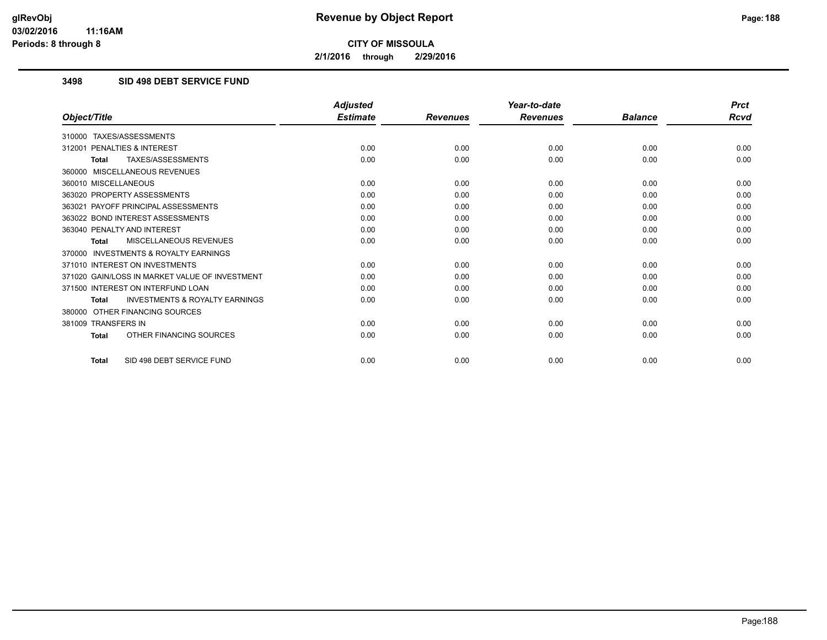**2/1/2016 through 2/29/2016**

## **3498 SID 498 DEBT SERVICE FUND**

|                                                           | <b>Adjusted</b> |                 | Year-to-date    |                | <b>Prct</b> |
|-----------------------------------------------------------|-----------------|-----------------|-----------------|----------------|-------------|
| Object/Title                                              | <b>Estimate</b> | <b>Revenues</b> | <b>Revenues</b> | <b>Balance</b> | Rcvd        |
| TAXES/ASSESSMENTS<br>310000                               |                 |                 |                 |                |             |
| 312001 PENALTIES & INTEREST                               | 0.00            | 0.00            | 0.00            | 0.00           | 0.00        |
| <b>TAXES/ASSESSMENTS</b><br><b>Total</b>                  | 0.00            | 0.00            | 0.00            | 0.00           | 0.00        |
| 360000 MISCELLANEOUS REVENUES                             |                 |                 |                 |                |             |
| 360010 MISCELLANEOUS                                      | 0.00            | 0.00            | 0.00            | 0.00           | 0.00        |
| 363020 PROPERTY ASSESSMENTS                               | 0.00            | 0.00            | 0.00            | 0.00           | 0.00        |
| 363021 PAYOFF PRINCIPAL ASSESSMENTS                       | 0.00            | 0.00            | 0.00            | 0.00           | 0.00        |
| 363022 BOND INTEREST ASSESSMENTS                          | 0.00            | 0.00            | 0.00            | 0.00           | 0.00        |
| 363040 PENALTY AND INTEREST                               | 0.00            | 0.00            | 0.00            | 0.00           | 0.00        |
| MISCELLANEOUS REVENUES<br><b>Total</b>                    | 0.00            | 0.00            | 0.00            | 0.00           | 0.00        |
| <b>INVESTMENTS &amp; ROYALTY EARNINGS</b><br>370000       |                 |                 |                 |                |             |
| 371010 INTEREST ON INVESTMENTS                            | 0.00            | 0.00            | 0.00            | 0.00           | 0.00        |
| 371020 GAIN/LOSS IN MARKET VALUE OF INVESTMENT            | 0.00            | 0.00            | 0.00            | 0.00           | 0.00        |
| 371500 INTEREST ON INTERFUND LOAN                         | 0.00            | 0.00            | 0.00            | 0.00           | 0.00        |
| <b>INVESTMENTS &amp; ROYALTY EARNINGS</b><br><b>Total</b> | 0.00            | 0.00            | 0.00            | 0.00           | 0.00        |
| OTHER FINANCING SOURCES<br>380000                         |                 |                 |                 |                |             |
| 381009 TRANSFERS IN                                       | 0.00            | 0.00            | 0.00            | 0.00           | 0.00        |
| OTHER FINANCING SOURCES<br><b>Total</b>                   | 0.00            | 0.00            | 0.00            | 0.00           | 0.00        |
| SID 498 DEBT SERVICE FUND<br><b>Total</b>                 | 0.00            | 0.00            | 0.00            | 0.00           | 0.00        |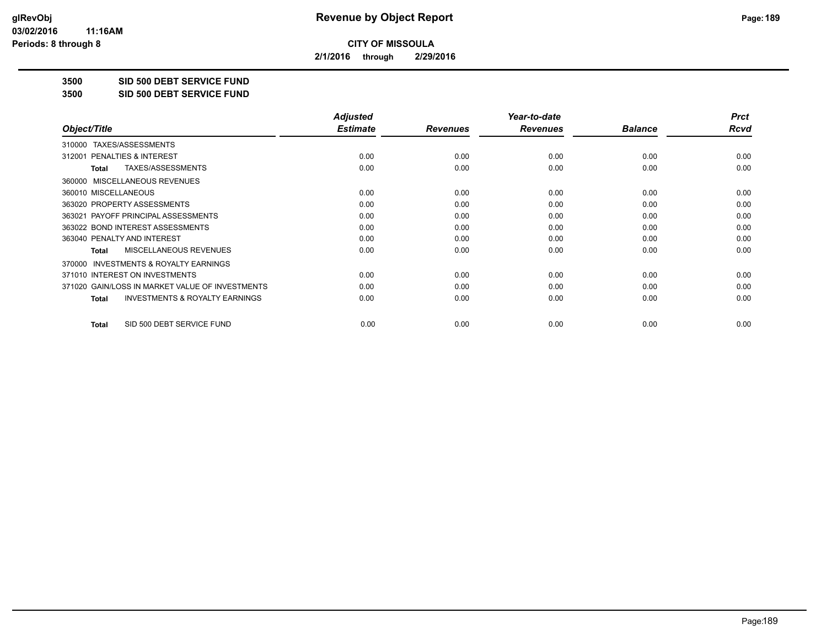**2/1/2016 through 2/29/2016**

**3500 SID 500 DEBT SERVICE FUND**

**3500 SID 500 DEBT SERVICE FUND**

|                                                    | <b>Adjusted</b> |                 | Year-to-date    |                | <b>Prct</b> |
|----------------------------------------------------|-----------------|-----------------|-----------------|----------------|-------------|
| Object/Title                                       | <b>Estimate</b> | <b>Revenues</b> | <b>Revenues</b> | <b>Balance</b> | Rcvd        |
| TAXES/ASSESSMENTS<br>310000                        |                 |                 |                 |                |             |
| <b>PENALTIES &amp; INTEREST</b><br>312001          | 0.00            | 0.00            | 0.00            | 0.00           | 0.00        |
| TAXES/ASSESSMENTS<br>Total                         | 0.00            | 0.00            | 0.00            | 0.00           | 0.00        |
| 360000 MISCELLANEOUS REVENUES                      |                 |                 |                 |                |             |
| 360010 MISCELLANEOUS                               | 0.00            | 0.00            | 0.00            | 0.00           | 0.00        |
| 363020 PROPERTY ASSESSMENTS                        | 0.00            | 0.00            | 0.00            | 0.00           | 0.00        |
| 363021 PAYOFF PRINCIPAL ASSESSMENTS                | 0.00            | 0.00            | 0.00            | 0.00           | 0.00        |
| 363022 BOND INTEREST ASSESSMENTS                   | 0.00            | 0.00            | 0.00            | 0.00           | 0.00        |
| 363040 PENALTY AND INTEREST                        | 0.00            | 0.00            | 0.00            | 0.00           | 0.00        |
| MISCELLANEOUS REVENUES<br>Total                    | 0.00            | 0.00            | 0.00            | 0.00           | 0.00        |
| 370000 INVESTMENTS & ROYALTY EARNINGS              |                 |                 |                 |                |             |
| 371010 INTEREST ON INVESTMENTS                     | 0.00            | 0.00            | 0.00            | 0.00           | 0.00        |
| 371020 GAIN/LOSS IN MARKET VALUE OF INVESTMENTS    | 0.00            | 0.00            | 0.00            | 0.00           | 0.00        |
| <b>INVESTMENTS &amp; ROYALTY EARNINGS</b><br>Total | 0.00            | 0.00            | 0.00            | 0.00           | 0.00        |
| SID 500 DEBT SERVICE FUND<br><b>Total</b>          | 0.00            | 0.00            | 0.00            | 0.00           | 0.00        |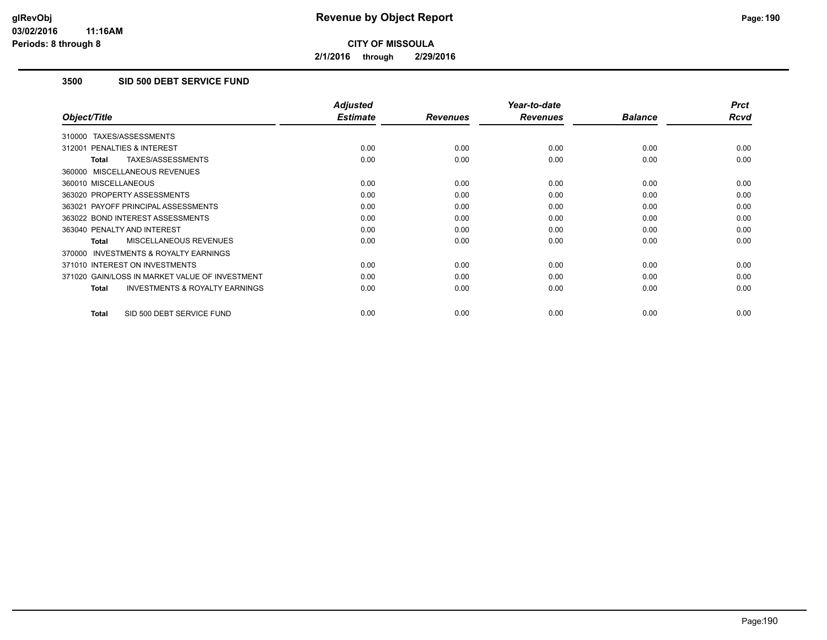**2/1/2016 through 2/29/2016**

## **3500 SID 500 DEBT SERVICE FUND**

|                                                           | <b>Adjusted</b> |                 | Year-to-date    |                | <b>Prct</b> |
|-----------------------------------------------------------|-----------------|-----------------|-----------------|----------------|-------------|
| Object/Title                                              | <b>Estimate</b> | <b>Revenues</b> | <b>Revenues</b> | <b>Balance</b> | <b>Rcvd</b> |
| 310000 TAXES/ASSESSMENTS                                  |                 |                 |                 |                |             |
| 312001 PENALTIES & INTEREST                               | 0.00            | 0.00            | 0.00            | 0.00           | 0.00        |
| TAXES/ASSESSMENTS<br><b>Total</b>                         | 0.00            | 0.00            | 0.00            | 0.00           | 0.00        |
| 360000 MISCELLANEOUS REVENUES                             |                 |                 |                 |                |             |
| 360010 MISCELLANEOUS                                      | 0.00            | 0.00            | 0.00            | 0.00           | 0.00        |
| 363020 PROPERTY ASSESSMENTS                               | 0.00            | 0.00            | 0.00            | 0.00           | 0.00        |
| 363021 PAYOFF PRINCIPAL ASSESSMENTS                       | 0.00            | 0.00            | 0.00            | 0.00           | 0.00        |
| 363022 BOND INTEREST ASSESSMENTS                          | 0.00            | 0.00            | 0.00            | 0.00           | 0.00        |
| 363040 PENALTY AND INTEREST                               | 0.00            | 0.00            | 0.00            | 0.00           | 0.00        |
| <b>MISCELLANEOUS REVENUES</b><br>Total                    | 0.00            | 0.00            | 0.00            | 0.00           | 0.00        |
| <b>INVESTMENTS &amp; ROYALTY EARNINGS</b><br>370000       |                 |                 |                 |                |             |
| 371010 INTEREST ON INVESTMENTS                            | 0.00            | 0.00            | 0.00            | 0.00           | 0.00        |
| 371020 GAIN/LOSS IN MARKET VALUE OF INVESTMENT            | 0.00            | 0.00            | 0.00            | 0.00           | 0.00        |
| <b>INVESTMENTS &amp; ROYALTY EARNINGS</b><br><b>Total</b> | 0.00            | 0.00            | 0.00            | 0.00           | 0.00        |
| SID 500 DEBT SERVICE FUND<br><b>Total</b>                 | 0.00            | 0.00            | 0.00            | 0.00           | 0.00        |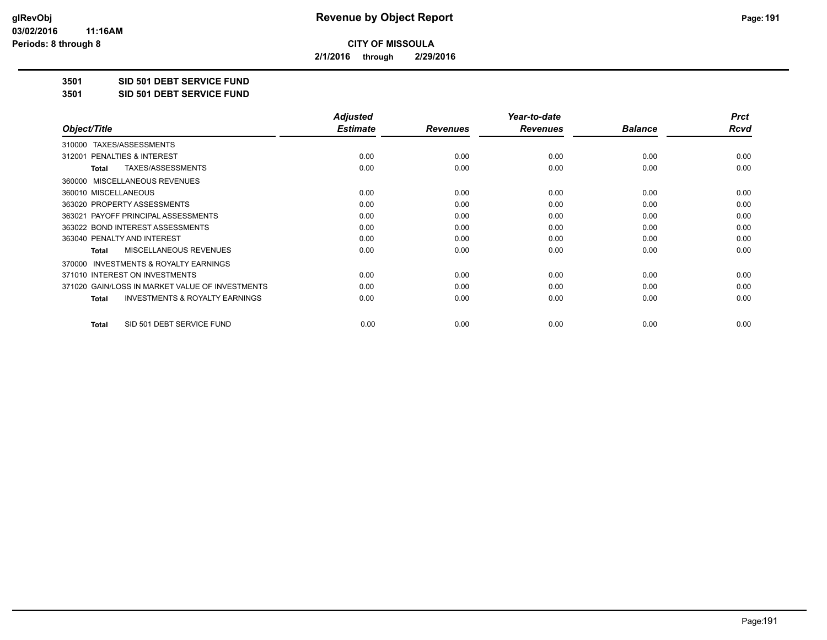**2/1/2016 through 2/29/2016**

**3501 SID 501 DEBT SERVICE FUND**

**3501 SID 501 DEBT SERVICE FUND**

|                                                    | <b>Adjusted</b> |                 | Year-to-date    |                | <b>Prct</b> |
|----------------------------------------------------|-----------------|-----------------|-----------------|----------------|-------------|
| Object/Title                                       | <b>Estimate</b> | <b>Revenues</b> | <b>Revenues</b> | <b>Balance</b> | Rcvd        |
| TAXES/ASSESSMENTS<br>310000                        |                 |                 |                 |                |             |
| <b>PENALTIES &amp; INTEREST</b><br>312001          | 0.00            | 0.00            | 0.00            | 0.00           | 0.00        |
| TAXES/ASSESSMENTS<br>Total                         | 0.00            | 0.00            | 0.00            | 0.00           | 0.00        |
| 360000 MISCELLANEOUS REVENUES                      |                 |                 |                 |                |             |
| 360010 MISCELLANEOUS                               | 0.00            | 0.00            | 0.00            | 0.00           | 0.00        |
| 363020 PROPERTY ASSESSMENTS                        | 0.00            | 0.00            | 0.00            | 0.00           | 0.00        |
| 363021 PAYOFF PRINCIPAL ASSESSMENTS                | 0.00            | 0.00            | 0.00            | 0.00           | 0.00        |
| 363022 BOND INTEREST ASSESSMENTS                   | 0.00            | 0.00            | 0.00            | 0.00           | 0.00        |
| 363040 PENALTY AND INTEREST                        | 0.00            | 0.00            | 0.00            | 0.00           | 0.00        |
| MISCELLANEOUS REVENUES<br>Total                    | 0.00            | 0.00            | 0.00            | 0.00           | 0.00        |
| 370000 INVESTMENTS & ROYALTY EARNINGS              |                 |                 |                 |                |             |
| 371010 INTEREST ON INVESTMENTS                     | 0.00            | 0.00            | 0.00            | 0.00           | 0.00        |
| 371020 GAIN/LOSS IN MARKET VALUE OF INVESTMENTS    | 0.00            | 0.00            | 0.00            | 0.00           | 0.00        |
| <b>INVESTMENTS &amp; ROYALTY EARNINGS</b><br>Total | 0.00            | 0.00            | 0.00            | 0.00           | 0.00        |
|                                                    |                 |                 |                 |                |             |
| SID 501 DEBT SERVICE FUND<br><b>Total</b>          | 0.00            | 0.00            | 0.00            | 0.00           | 0.00        |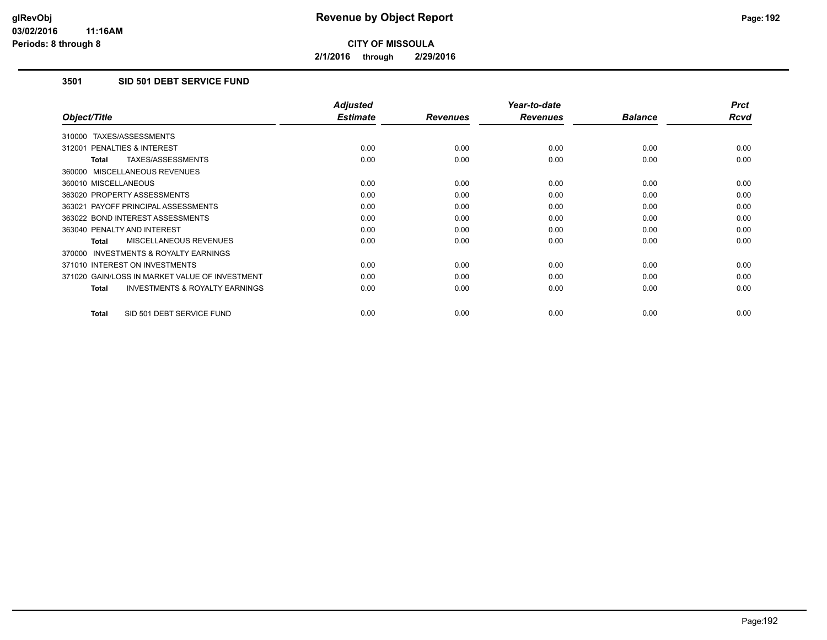**2/1/2016 through 2/29/2016**

## **3501 SID 501 DEBT SERVICE FUND**

|                                                           | <b>Adjusted</b> |                 | Year-to-date    |                | <b>Prct</b> |
|-----------------------------------------------------------|-----------------|-----------------|-----------------|----------------|-------------|
| Object/Title                                              | <b>Estimate</b> | <b>Revenues</b> | <b>Revenues</b> | <b>Balance</b> | <b>Rcvd</b> |
| 310000 TAXES/ASSESSMENTS                                  |                 |                 |                 |                |             |
| 312001 PENALTIES & INTEREST                               | 0.00            | 0.00            | 0.00            | 0.00           | 0.00        |
| TAXES/ASSESSMENTS<br><b>Total</b>                         | 0.00            | 0.00            | 0.00            | 0.00           | 0.00        |
| 360000 MISCELLANEOUS REVENUES                             |                 |                 |                 |                |             |
| 360010 MISCELLANEOUS                                      | 0.00            | 0.00            | 0.00            | 0.00           | 0.00        |
| 363020 PROPERTY ASSESSMENTS                               | 0.00            | 0.00            | 0.00            | 0.00           | 0.00        |
| 363021 PAYOFF PRINCIPAL ASSESSMENTS                       | 0.00            | 0.00            | 0.00            | 0.00           | 0.00        |
| 363022 BOND INTEREST ASSESSMENTS                          | 0.00            | 0.00            | 0.00            | 0.00           | 0.00        |
| 363040 PENALTY AND INTEREST                               | 0.00            | 0.00            | 0.00            | 0.00           | 0.00        |
| MISCELLANEOUS REVENUES<br><b>Total</b>                    | 0.00            | 0.00            | 0.00            | 0.00           | 0.00        |
| <b>INVESTMENTS &amp; ROYALTY EARNINGS</b><br>370000       |                 |                 |                 |                |             |
| 371010 INTEREST ON INVESTMENTS                            | 0.00            | 0.00            | 0.00            | 0.00           | 0.00        |
| 371020 GAIN/LOSS IN MARKET VALUE OF INVESTMENT            | 0.00            | 0.00            | 0.00            | 0.00           | 0.00        |
| <b>INVESTMENTS &amp; ROYALTY EARNINGS</b><br><b>Total</b> | 0.00            | 0.00            | 0.00            | 0.00           | 0.00        |
| SID 501 DEBT SERVICE FUND<br><b>Total</b>                 | 0.00            | 0.00            | 0.00            | 0.00           | 0.00        |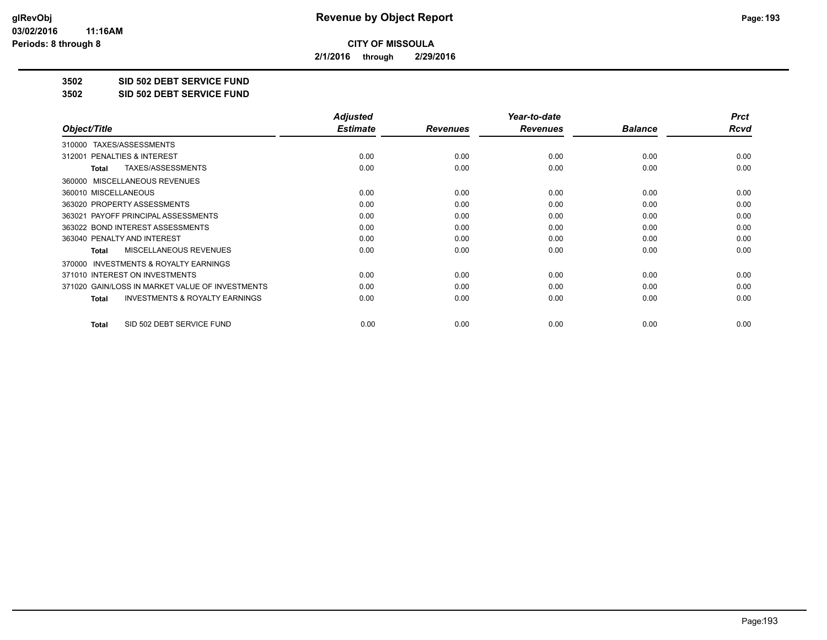**2/1/2016 through 2/29/2016**

**3502 SID 502 DEBT SERVICE FUND**

**3502 SID 502 DEBT SERVICE FUND**

|                                                           | <b>Adjusted</b> |                 | Year-to-date    |                | <b>Prct</b> |
|-----------------------------------------------------------|-----------------|-----------------|-----------------|----------------|-------------|
| Object/Title                                              | <b>Estimate</b> | <b>Revenues</b> | <b>Revenues</b> | <b>Balance</b> | Rcvd        |
| TAXES/ASSESSMENTS<br>310000                               |                 |                 |                 |                |             |
| 312001 PENALTIES & INTEREST                               | 0.00            | 0.00            | 0.00            | 0.00           | 0.00        |
| TAXES/ASSESSMENTS<br><b>Total</b>                         | 0.00            | 0.00            | 0.00            | 0.00           | 0.00        |
| MISCELLANEOUS REVENUES<br>360000                          |                 |                 |                 |                |             |
| 360010 MISCELLANEOUS                                      | 0.00            | 0.00            | 0.00            | 0.00           | 0.00        |
| 363020 PROPERTY ASSESSMENTS                               | 0.00            | 0.00            | 0.00            | 0.00           | 0.00        |
| 363021 PAYOFF PRINCIPAL ASSESSMENTS                       | 0.00            | 0.00            | 0.00            | 0.00           | 0.00        |
| 363022 BOND INTEREST ASSESSMENTS                          | 0.00            | 0.00            | 0.00            | 0.00           | 0.00        |
| 363040 PENALTY AND INTEREST                               | 0.00            | 0.00            | 0.00            | 0.00           | 0.00        |
| MISCELLANEOUS REVENUES<br><b>Total</b>                    | 0.00            | 0.00            | 0.00            | 0.00           | 0.00        |
| <b>INVESTMENTS &amp; ROYALTY EARNINGS</b><br>370000       |                 |                 |                 |                |             |
| 371010 INTEREST ON INVESTMENTS                            | 0.00            | 0.00            | 0.00            | 0.00           | 0.00        |
| 371020 GAIN/LOSS IN MARKET VALUE OF INVESTMENTS           | 0.00            | 0.00            | 0.00            | 0.00           | 0.00        |
| <b>INVESTMENTS &amp; ROYALTY EARNINGS</b><br><b>Total</b> | 0.00            | 0.00            | 0.00            | 0.00           | 0.00        |
| SID 502 DEBT SERVICE FUND<br><b>Total</b>                 | 0.00            | 0.00            | 0.00            | 0.00           | 0.00        |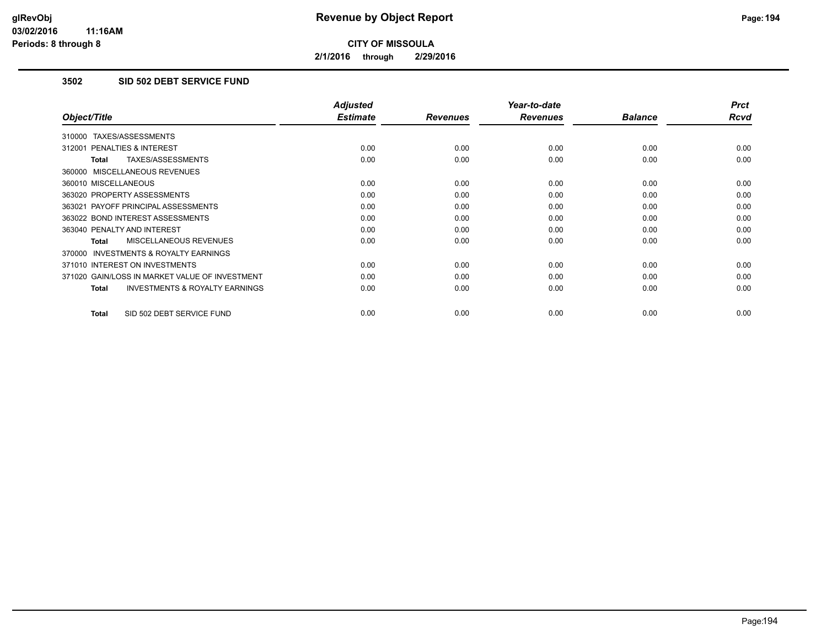**2/1/2016 through 2/29/2016**

## **3502 SID 502 DEBT SERVICE FUND**

|                                                           | <b>Adjusted</b> |                 | Year-to-date    |                | <b>Prct</b> |
|-----------------------------------------------------------|-----------------|-----------------|-----------------|----------------|-------------|
| Object/Title                                              | <b>Estimate</b> | <b>Revenues</b> | <b>Revenues</b> | <b>Balance</b> | <b>Rcvd</b> |
| 310000 TAXES/ASSESSMENTS                                  |                 |                 |                 |                |             |
| 312001 PENALTIES & INTEREST                               | 0.00            | 0.00            | 0.00            | 0.00           | 0.00        |
| TAXES/ASSESSMENTS<br><b>Total</b>                         | 0.00            | 0.00            | 0.00            | 0.00           | 0.00        |
| 360000 MISCELLANEOUS REVENUES                             |                 |                 |                 |                |             |
| 360010 MISCELLANEOUS                                      | 0.00            | 0.00            | 0.00            | 0.00           | 0.00        |
| 363020 PROPERTY ASSESSMENTS                               | 0.00            | 0.00            | 0.00            | 0.00           | 0.00        |
| 363021 PAYOFF PRINCIPAL ASSESSMENTS                       | 0.00            | 0.00            | 0.00            | 0.00           | 0.00        |
| 363022 BOND INTEREST ASSESSMENTS                          | 0.00            | 0.00            | 0.00            | 0.00           | 0.00        |
| 363040 PENALTY AND INTEREST                               | 0.00            | 0.00            | 0.00            | 0.00           | 0.00        |
| MISCELLANEOUS REVENUES<br>Total                           | 0.00            | 0.00            | 0.00            | 0.00           | 0.00        |
| INVESTMENTS & ROYALTY EARNINGS<br>370000                  |                 |                 |                 |                |             |
| 371010 INTEREST ON INVESTMENTS                            | 0.00            | 0.00            | 0.00            | 0.00           | 0.00        |
| 371020 GAIN/LOSS IN MARKET VALUE OF INVESTMENT            | 0.00            | 0.00            | 0.00            | 0.00           | 0.00        |
| <b>INVESTMENTS &amp; ROYALTY EARNINGS</b><br><b>Total</b> | 0.00            | 0.00            | 0.00            | 0.00           | 0.00        |
| SID 502 DEBT SERVICE FUND<br><b>Total</b>                 | 0.00            | 0.00            | 0.00            | 0.00           | 0.00        |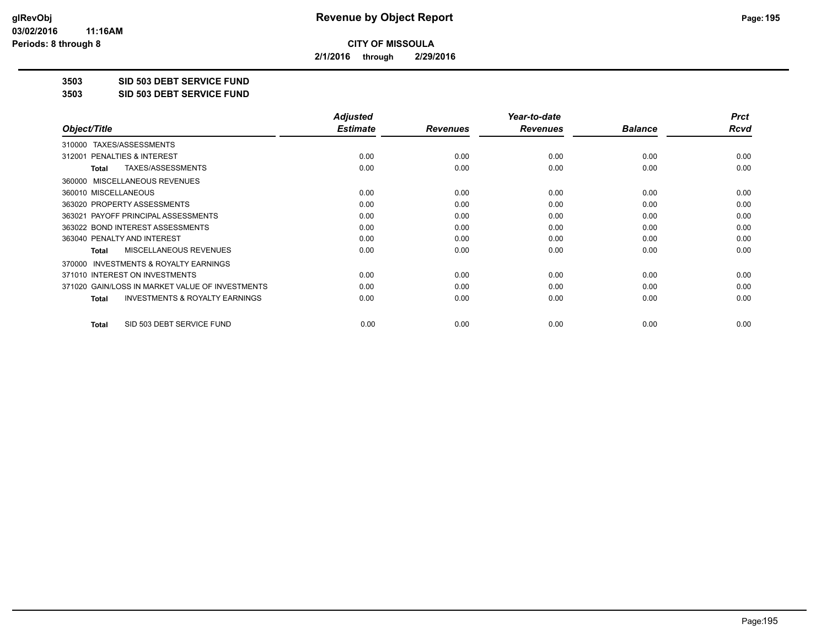**2/1/2016 through 2/29/2016**

**3503 SID 503 DEBT SERVICE FUND**

**3503 SID 503 DEBT SERVICE FUND**

|                                                           | <b>Adjusted</b> |                 | Year-to-date    |                | <b>Prct</b> |
|-----------------------------------------------------------|-----------------|-----------------|-----------------|----------------|-------------|
| Object/Title                                              | <b>Estimate</b> | <b>Revenues</b> | <b>Revenues</b> | <b>Balance</b> | Rcvd        |
| TAXES/ASSESSMENTS<br>310000                               |                 |                 |                 |                |             |
| 312001 PENALTIES & INTEREST                               | 0.00            | 0.00            | 0.00            | 0.00           | 0.00        |
| TAXES/ASSESSMENTS<br>Total                                | 0.00            | 0.00            | 0.00            | 0.00           | 0.00        |
| MISCELLANEOUS REVENUES<br>360000                          |                 |                 |                 |                |             |
| 360010 MISCELLANEOUS                                      | 0.00            | 0.00            | 0.00            | 0.00           | 0.00        |
| 363020 PROPERTY ASSESSMENTS                               | 0.00            | 0.00            | 0.00            | 0.00           | 0.00        |
| 363021 PAYOFF PRINCIPAL ASSESSMENTS                       | 0.00            | 0.00            | 0.00            | 0.00           | 0.00        |
| 363022 BOND INTEREST ASSESSMENTS                          | 0.00            | 0.00            | 0.00            | 0.00           | 0.00        |
| 363040 PENALTY AND INTEREST                               | 0.00            | 0.00            | 0.00            | 0.00           | 0.00        |
| MISCELLANEOUS REVENUES<br><b>Total</b>                    | 0.00            | 0.00            | 0.00            | 0.00           | 0.00        |
| <b>INVESTMENTS &amp; ROYALTY EARNINGS</b><br>370000       |                 |                 |                 |                |             |
| 371010 INTEREST ON INVESTMENTS                            | 0.00            | 0.00            | 0.00            | 0.00           | 0.00        |
| 371020 GAIN/LOSS IN MARKET VALUE OF INVESTMENTS           | 0.00            | 0.00            | 0.00            | 0.00           | 0.00        |
| <b>INVESTMENTS &amp; ROYALTY EARNINGS</b><br><b>Total</b> | 0.00            | 0.00            | 0.00            | 0.00           | 0.00        |
| SID 503 DEBT SERVICE FUND<br>Total                        | 0.00            | 0.00            | 0.00            | 0.00           | 0.00        |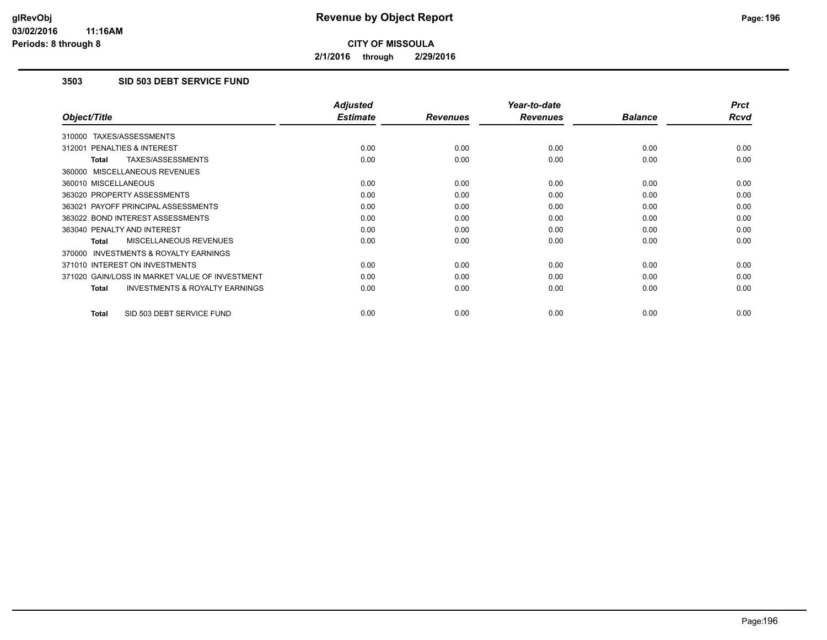**2/1/2016 through 2/29/2016**

## **3503 SID 503 DEBT SERVICE FUND**

|                                                           | <b>Adjusted</b> |                 | Year-to-date    |                | <b>Prct</b> |
|-----------------------------------------------------------|-----------------|-----------------|-----------------|----------------|-------------|
| Object/Title                                              | <b>Estimate</b> | <b>Revenues</b> | <b>Revenues</b> | <b>Balance</b> | <b>Rcvd</b> |
| 310000 TAXES/ASSESSMENTS                                  |                 |                 |                 |                |             |
| 312001 PENALTIES & INTEREST                               | 0.00            | 0.00            | 0.00            | 0.00           | 0.00        |
| <b>TAXES/ASSESSMENTS</b><br><b>Total</b>                  | 0.00            | 0.00            | 0.00            | 0.00           | 0.00        |
| 360000 MISCELLANEOUS REVENUES                             |                 |                 |                 |                |             |
| 360010 MISCELLANEOUS                                      | 0.00            | 0.00            | 0.00            | 0.00           | 0.00        |
| 363020 PROPERTY ASSESSMENTS                               | 0.00            | 0.00            | 0.00            | 0.00           | 0.00        |
| 363021 PAYOFF PRINCIPAL ASSESSMENTS                       | 0.00            | 0.00            | 0.00            | 0.00           | 0.00        |
| 363022 BOND INTEREST ASSESSMENTS                          | 0.00            | 0.00            | 0.00            | 0.00           | 0.00        |
| 363040 PENALTY AND INTEREST                               | 0.00            | 0.00            | 0.00            | 0.00           | 0.00        |
| MISCELLANEOUS REVENUES<br><b>Total</b>                    | 0.00            | 0.00            | 0.00            | 0.00           | 0.00        |
| <b>INVESTMENTS &amp; ROYALTY EARNINGS</b><br>370000       |                 |                 |                 |                |             |
| 371010 INTEREST ON INVESTMENTS                            | 0.00            | 0.00            | 0.00            | 0.00           | 0.00        |
| 371020 GAIN/LOSS IN MARKET VALUE OF INVESTMENT            | 0.00            | 0.00            | 0.00            | 0.00           | 0.00        |
| <b>INVESTMENTS &amp; ROYALTY EARNINGS</b><br><b>Total</b> | 0.00            | 0.00            | 0.00            | 0.00           | 0.00        |
| SID 503 DEBT SERVICE FUND<br><b>Total</b>                 | 0.00            | 0.00            | 0.00            | 0.00           | 0.00        |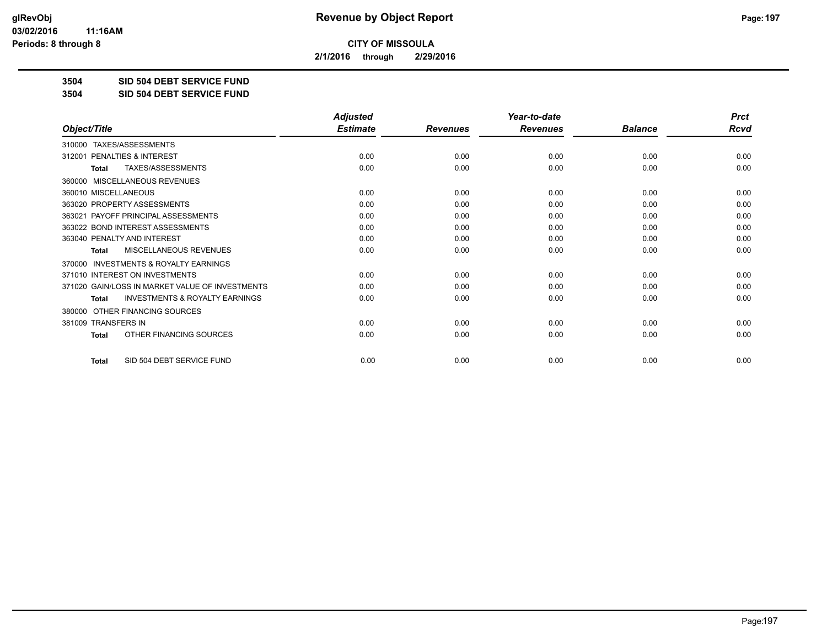**2/1/2016 through 2/29/2016**

**3504 SID 504 DEBT SERVICE FUND**

**3504 SID 504 DEBT SERVICE FUND**

|                                                           | <b>Adjusted</b> |                 | Year-to-date    |                | <b>Prct</b> |
|-----------------------------------------------------------|-----------------|-----------------|-----------------|----------------|-------------|
| Object/Title                                              | <b>Estimate</b> | <b>Revenues</b> | <b>Revenues</b> | <b>Balance</b> | <b>Rcvd</b> |
| TAXES/ASSESSMENTS<br>310000                               |                 |                 |                 |                |             |
| 312001 PENALTIES & INTEREST                               | 0.00            | 0.00            | 0.00            | 0.00           | 0.00        |
| TAXES/ASSESSMENTS<br><b>Total</b>                         | 0.00            | 0.00            | 0.00            | 0.00           | 0.00        |
| MISCELLANEOUS REVENUES<br>360000                          |                 |                 |                 |                |             |
| 360010 MISCELLANEOUS                                      | 0.00            | 0.00            | 0.00            | 0.00           | 0.00        |
| 363020 PROPERTY ASSESSMENTS                               | 0.00            | 0.00            | 0.00            | 0.00           | 0.00        |
| 363021 PAYOFF PRINCIPAL ASSESSMENTS                       | 0.00            | 0.00            | 0.00            | 0.00           | 0.00        |
| 363022 BOND INTEREST ASSESSMENTS                          | 0.00            | 0.00            | 0.00            | 0.00           | 0.00        |
| 363040 PENALTY AND INTEREST                               | 0.00            | 0.00            | 0.00            | 0.00           | 0.00        |
| MISCELLANEOUS REVENUES<br><b>Total</b>                    | 0.00            | 0.00            | 0.00            | 0.00           | 0.00        |
| <b>INVESTMENTS &amp; ROYALTY EARNINGS</b><br>370000       |                 |                 |                 |                |             |
| 371010 INTEREST ON INVESTMENTS                            | 0.00            | 0.00            | 0.00            | 0.00           | 0.00        |
| 371020 GAIN/LOSS IN MARKET VALUE OF INVESTMENTS           | 0.00            | 0.00            | 0.00            | 0.00           | 0.00        |
| <b>INVESTMENTS &amp; ROYALTY EARNINGS</b><br><b>Total</b> | 0.00            | 0.00            | 0.00            | 0.00           | 0.00        |
| OTHER FINANCING SOURCES<br>380000                         |                 |                 |                 |                |             |
| 381009 TRANSFERS IN                                       | 0.00            | 0.00            | 0.00            | 0.00           | 0.00        |
| OTHER FINANCING SOURCES<br><b>Total</b>                   | 0.00            | 0.00            | 0.00            | 0.00           | 0.00        |
| SID 504 DEBT SERVICE FUND<br><b>Total</b>                 | 0.00            | 0.00            | 0.00            | 0.00           | 0.00        |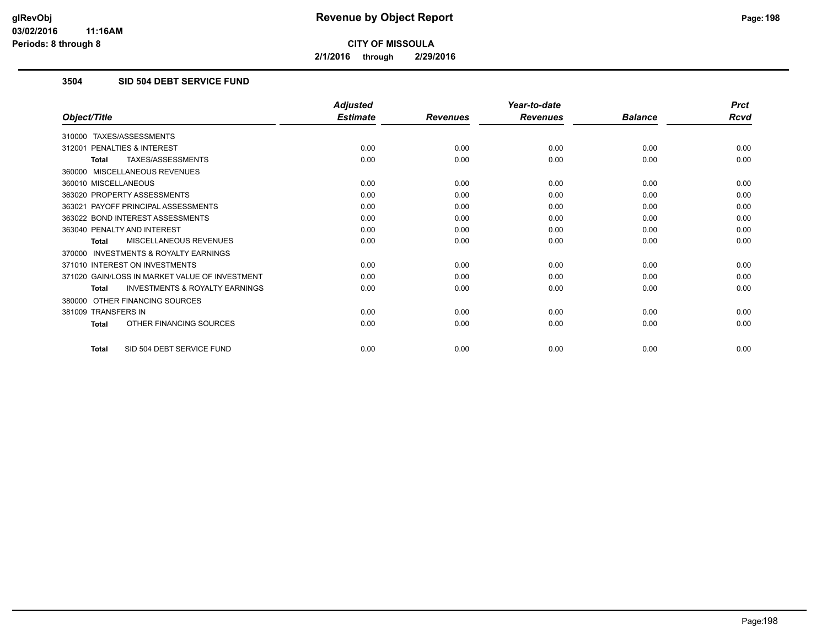**2/1/2016 through 2/29/2016**

## **3504 SID 504 DEBT SERVICE FUND**

|                                                           | <b>Adjusted</b> |                 | Year-to-date    |                | <b>Prct</b> |
|-----------------------------------------------------------|-----------------|-----------------|-----------------|----------------|-------------|
| Object/Title                                              | <b>Estimate</b> | <b>Revenues</b> | <b>Revenues</b> | <b>Balance</b> | <b>Rcvd</b> |
| 310000 TAXES/ASSESSMENTS                                  |                 |                 |                 |                |             |
| 312001 PENALTIES & INTEREST                               | 0.00            | 0.00            | 0.00            | 0.00           | 0.00        |
| TAXES/ASSESSMENTS<br><b>Total</b>                         | 0.00            | 0.00            | 0.00            | 0.00           | 0.00        |
| 360000 MISCELLANEOUS REVENUES                             |                 |                 |                 |                |             |
| 360010 MISCELLANEOUS                                      | 0.00            | 0.00            | 0.00            | 0.00           | 0.00        |
| 363020 PROPERTY ASSESSMENTS                               | 0.00            | 0.00            | 0.00            | 0.00           | 0.00        |
| 363021 PAYOFF PRINCIPAL ASSESSMENTS                       | 0.00            | 0.00            | 0.00            | 0.00           | 0.00        |
| 363022 BOND INTEREST ASSESSMENTS                          | 0.00            | 0.00            | 0.00            | 0.00           | 0.00        |
| 363040 PENALTY AND INTEREST                               | 0.00            | 0.00            | 0.00            | 0.00           | 0.00        |
| MISCELLANEOUS REVENUES<br>Total                           | 0.00            | 0.00            | 0.00            | 0.00           | 0.00        |
| 370000 INVESTMENTS & ROYALTY EARNINGS                     |                 |                 |                 |                |             |
| 371010 INTEREST ON INVESTMENTS                            | 0.00            | 0.00            | 0.00            | 0.00           | 0.00        |
| 371020 GAIN/LOSS IN MARKET VALUE OF INVESTMENT            | 0.00            | 0.00            | 0.00            | 0.00           | 0.00        |
| <b>INVESTMENTS &amp; ROYALTY EARNINGS</b><br><b>Total</b> | 0.00            | 0.00            | 0.00            | 0.00           | 0.00        |
| 380000 OTHER FINANCING SOURCES                            |                 |                 |                 |                |             |
| 381009 TRANSFERS IN                                       | 0.00            | 0.00            | 0.00            | 0.00           | 0.00        |
| OTHER FINANCING SOURCES<br><b>Total</b>                   | 0.00            | 0.00            | 0.00            | 0.00           | 0.00        |
| SID 504 DEBT SERVICE FUND<br><b>Total</b>                 | 0.00            | 0.00            | 0.00            | 0.00           | 0.00        |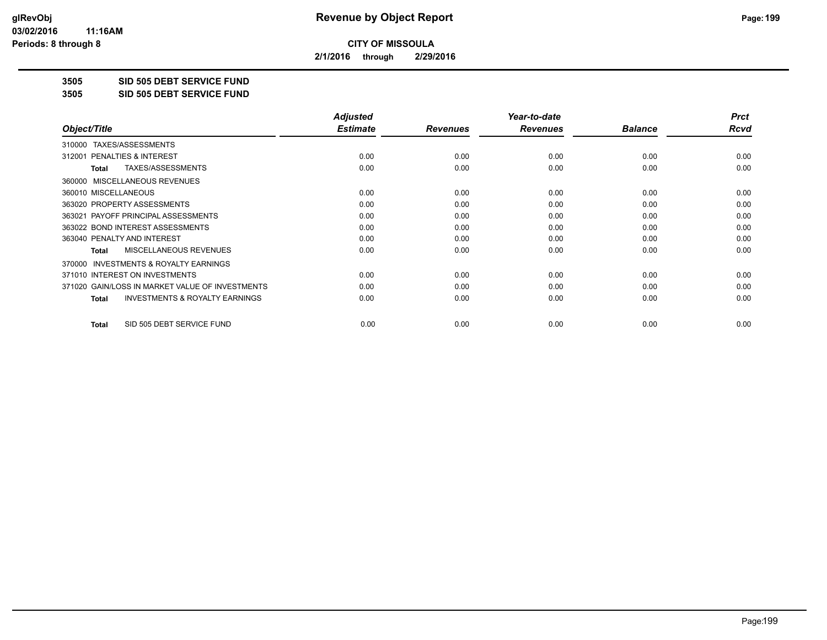**2/1/2016 through 2/29/2016**

**3505 SID 505 DEBT SERVICE FUND**

**3505 SID 505 DEBT SERVICE FUND**

|                                                    | <b>Adjusted</b> |                 | Year-to-date    |                | <b>Prct</b> |
|----------------------------------------------------|-----------------|-----------------|-----------------|----------------|-------------|
| Object/Title                                       | <b>Estimate</b> | <b>Revenues</b> | <b>Revenues</b> | <b>Balance</b> | Rcvd        |
| TAXES/ASSESSMENTS<br>310000                        |                 |                 |                 |                |             |
| <b>PENALTIES &amp; INTEREST</b><br>312001          | 0.00            | 0.00            | 0.00            | 0.00           | 0.00        |
| TAXES/ASSESSMENTS<br>Total                         | 0.00            | 0.00            | 0.00            | 0.00           | 0.00        |
| 360000 MISCELLANEOUS REVENUES                      |                 |                 |                 |                |             |
| 360010 MISCELLANEOUS                               | 0.00            | 0.00            | 0.00            | 0.00           | 0.00        |
| 363020 PROPERTY ASSESSMENTS                        | 0.00            | 0.00            | 0.00            | 0.00           | 0.00        |
| 363021 PAYOFF PRINCIPAL ASSESSMENTS                | 0.00            | 0.00            | 0.00            | 0.00           | 0.00        |
| 363022 BOND INTEREST ASSESSMENTS                   | 0.00            | 0.00            | 0.00            | 0.00           | 0.00        |
| 363040 PENALTY AND INTEREST                        | 0.00            | 0.00            | 0.00            | 0.00           | 0.00        |
| MISCELLANEOUS REVENUES<br>Total                    | 0.00            | 0.00            | 0.00            | 0.00           | 0.00        |
| 370000 INVESTMENTS & ROYALTY EARNINGS              |                 |                 |                 |                |             |
| 371010 INTEREST ON INVESTMENTS                     | 0.00            | 0.00            | 0.00            | 0.00           | 0.00        |
| 371020 GAIN/LOSS IN MARKET VALUE OF INVESTMENTS    | 0.00            | 0.00            | 0.00            | 0.00           | 0.00        |
| <b>INVESTMENTS &amp; ROYALTY EARNINGS</b><br>Total | 0.00            | 0.00            | 0.00            | 0.00           | 0.00        |
| SID 505 DEBT SERVICE FUND<br><b>Total</b>          | 0.00            | 0.00            | 0.00            | 0.00           | 0.00        |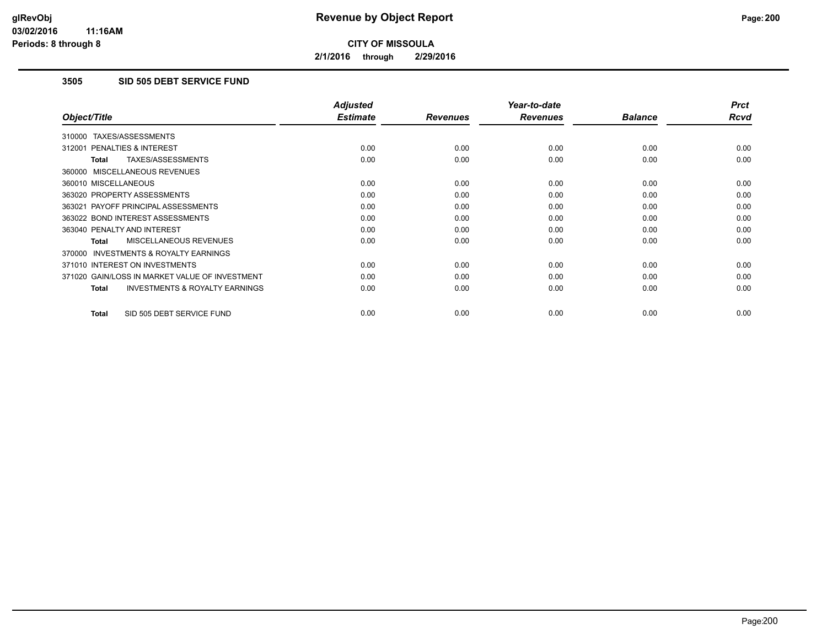**2/1/2016 through 2/29/2016**

## **3505 SID 505 DEBT SERVICE FUND**

|                                                           | <b>Adjusted</b> |                 | Year-to-date    |                | <b>Prct</b> |
|-----------------------------------------------------------|-----------------|-----------------|-----------------|----------------|-------------|
| Object/Title                                              | <b>Estimate</b> | <b>Revenues</b> | <b>Revenues</b> | <b>Balance</b> | <b>Rcvd</b> |
| 310000 TAXES/ASSESSMENTS                                  |                 |                 |                 |                |             |
| 312001 PENALTIES & INTEREST                               | 0.00            | 0.00            | 0.00            | 0.00           | 0.00        |
| TAXES/ASSESSMENTS<br><b>Total</b>                         | 0.00            | 0.00            | 0.00            | 0.00           | 0.00        |
| 360000 MISCELLANEOUS REVENUES                             |                 |                 |                 |                |             |
| 360010 MISCELLANEOUS                                      | 0.00            | 0.00            | 0.00            | 0.00           | 0.00        |
| 363020 PROPERTY ASSESSMENTS                               | 0.00            | 0.00            | 0.00            | 0.00           | 0.00        |
| 363021 PAYOFF PRINCIPAL ASSESSMENTS                       | 0.00            | 0.00            | 0.00            | 0.00           | 0.00        |
| 363022 BOND INTEREST ASSESSMENTS                          | 0.00            | 0.00            | 0.00            | 0.00           | 0.00        |
| 363040 PENALTY AND INTEREST                               | 0.00            | 0.00            | 0.00            | 0.00           | 0.00        |
| MISCELLANEOUS REVENUES<br>Total                           | 0.00            | 0.00            | 0.00            | 0.00           | 0.00        |
| <b>INVESTMENTS &amp; ROYALTY EARNINGS</b><br>370000       |                 |                 |                 |                |             |
| 371010 INTEREST ON INVESTMENTS                            | 0.00            | 0.00            | 0.00            | 0.00           | 0.00        |
| 371020 GAIN/LOSS IN MARKET VALUE OF INVESTMENT            | 0.00            | 0.00            | 0.00            | 0.00           | 0.00        |
| <b>INVESTMENTS &amp; ROYALTY EARNINGS</b><br><b>Total</b> | 0.00            | 0.00            | 0.00            | 0.00           | 0.00        |
|                                                           |                 |                 |                 |                |             |
| SID 505 DEBT SERVICE FUND<br><b>Total</b>                 | 0.00            | 0.00            | 0.00            | 0.00           | 0.00        |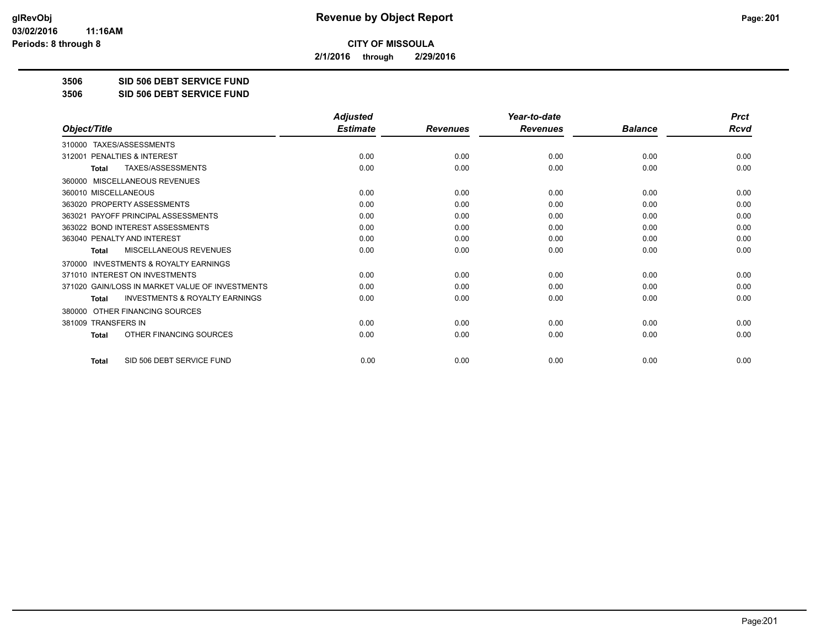**2/1/2016 through 2/29/2016**

**3506 SID 506 DEBT SERVICE FUND**

**3506 SID 506 DEBT SERVICE FUND**

|                                                           | <b>Adjusted</b> |                 | Year-to-date    |                | <b>Prct</b> |
|-----------------------------------------------------------|-----------------|-----------------|-----------------|----------------|-------------|
| Object/Title                                              | <b>Estimate</b> | <b>Revenues</b> | <b>Revenues</b> | <b>Balance</b> | Rcvd        |
| TAXES/ASSESSMENTS<br>310000                               |                 |                 |                 |                |             |
| PENALTIES & INTEREST<br>312001                            | 0.00            | 0.00            | 0.00            | 0.00           | 0.00        |
| TAXES/ASSESSMENTS<br>Total                                | 0.00            | 0.00            | 0.00            | 0.00           | 0.00        |
| MISCELLANEOUS REVENUES<br>360000                          |                 |                 |                 |                |             |
| 360010 MISCELLANEOUS                                      | 0.00            | 0.00            | 0.00            | 0.00           | 0.00        |
| 363020 PROPERTY ASSESSMENTS                               | 0.00            | 0.00            | 0.00            | 0.00           | 0.00        |
| 363021 PAYOFF PRINCIPAL ASSESSMENTS                       | 0.00            | 0.00            | 0.00            | 0.00           | 0.00        |
| 363022 BOND INTEREST ASSESSMENTS                          | 0.00            | 0.00            | 0.00            | 0.00           | 0.00        |
| 363040 PENALTY AND INTEREST                               | 0.00            | 0.00            | 0.00            | 0.00           | 0.00        |
| <b>MISCELLANEOUS REVENUES</b><br><b>Total</b>             | 0.00            | 0.00            | 0.00            | 0.00           | 0.00        |
| <b>INVESTMENTS &amp; ROYALTY EARNINGS</b><br>370000       |                 |                 |                 |                |             |
| 371010 INTEREST ON INVESTMENTS                            | 0.00            | 0.00            | 0.00            | 0.00           | 0.00        |
| 371020 GAIN/LOSS IN MARKET VALUE OF INVESTMENTS           | 0.00            | 0.00            | 0.00            | 0.00           | 0.00        |
| <b>INVESTMENTS &amp; ROYALTY EARNINGS</b><br><b>Total</b> | 0.00            | 0.00            | 0.00            | 0.00           | 0.00        |
| OTHER FINANCING SOURCES<br>380000                         |                 |                 |                 |                |             |
| 381009 TRANSFERS IN                                       | 0.00            | 0.00            | 0.00            | 0.00           | 0.00        |
| OTHER FINANCING SOURCES<br><b>Total</b>                   | 0.00            | 0.00            | 0.00            | 0.00           | 0.00        |
| SID 506 DEBT SERVICE FUND<br><b>Total</b>                 | 0.00            | 0.00            | 0.00            | 0.00           | 0.00        |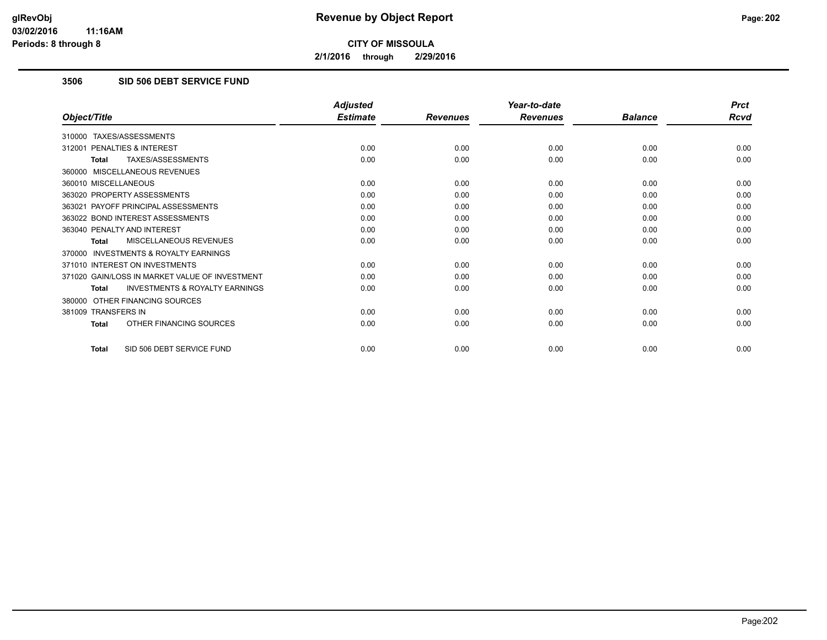**2/1/2016 through 2/29/2016**

## **3506 SID 506 DEBT SERVICE FUND**

|                                                           | <b>Adjusted</b> |                 | Year-to-date    |                | <b>Prct</b> |
|-----------------------------------------------------------|-----------------|-----------------|-----------------|----------------|-------------|
| Object/Title                                              | <b>Estimate</b> | <b>Revenues</b> | <b>Revenues</b> | <b>Balance</b> | <b>Rcvd</b> |
| 310000 TAXES/ASSESSMENTS                                  |                 |                 |                 |                |             |
| 312001 PENALTIES & INTEREST                               | 0.00            | 0.00            | 0.00            | 0.00           | 0.00        |
| TAXES/ASSESSMENTS<br><b>Total</b>                         | 0.00            | 0.00            | 0.00            | 0.00           | 0.00        |
| 360000 MISCELLANEOUS REVENUES                             |                 |                 |                 |                |             |
| 360010 MISCELLANEOUS                                      | 0.00            | 0.00            | 0.00            | 0.00           | 0.00        |
| 363020 PROPERTY ASSESSMENTS                               | 0.00            | 0.00            | 0.00            | 0.00           | 0.00        |
| 363021 PAYOFF PRINCIPAL ASSESSMENTS                       | 0.00            | 0.00            | 0.00            | 0.00           | 0.00        |
| 363022 BOND INTEREST ASSESSMENTS                          | 0.00            | 0.00            | 0.00            | 0.00           | 0.00        |
| 363040 PENALTY AND INTEREST                               | 0.00            | 0.00            | 0.00            | 0.00           | 0.00        |
| MISCELLANEOUS REVENUES<br>Total                           | 0.00            | 0.00            | 0.00            | 0.00           | 0.00        |
| 370000 INVESTMENTS & ROYALTY EARNINGS                     |                 |                 |                 |                |             |
| 371010 INTEREST ON INVESTMENTS                            | 0.00            | 0.00            | 0.00            | 0.00           | 0.00        |
| 371020 GAIN/LOSS IN MARKET VALUE OF INVESTMENT            | 0.00            | 0.00            | 0.00            | 0.00           | 0.00        |
| <b>INVESTMENTS &amp; ROYALTY EARNINGS</b><br><b>Total</b> | 0.00            | 0.00            | 0.00            | 0.00           | 0.00        |
| 380000 OTHER FINANCING SOURCES                            |                 |                 |                 |                |             |
| 381009 TRANSFERS IN                                       | 0.00            | 0.00            | 0.00            | 0.00           | 0.00        |
| OTHER FINANCING SOURCES<br><b>Total</b>                   | 0.00            | 0.00            | 0.00            | 0.00           | 0.00        |
| SID 506 DEBT SERVICE FUND<br><b>Total</b>                 | 0.00            | 0.00            | 0.00            | 0.00           | 0.00        |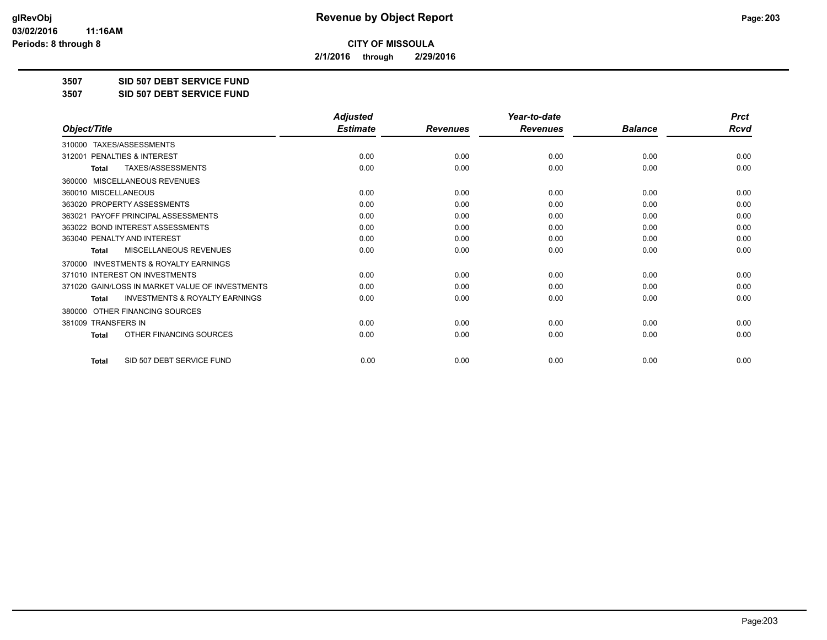**2/1/2016 through 2/29/2016**

**3507 SID 507 DEBT SERVICE FUND**

**3507 SID 507 DEBT SERVICE FUND**

|                                                           | <b>Adjusted</b> |                 | Year-to-date    |                | <b>Prct</b> |
|-----------------------------------------------------------|-----------------|-----------------|-----------------|----------------|-------------|
| Object/Title                                              | <b>Estimate</b> | <b>Revenues</b> | <b>Revenues</b> | <b>Balance</b> | <b>Rcvd</b> |
| TAXES/ASSESSMENTS<br>310000                               |                 |                 |                 |                |             |
| 312001 PENALTIES & INTEREST                               | 0.00            | 0.00            | 0.00            | 0.00           | 0.00        |
| TAXES/ASSESSMENTS<br><b>Total</b>                         | 0.00            | 0.00            | 0.00            | 0.00           | 0.00        |
| MISCELLANEOUS REVENUES<br>360000                          |                 |                 |                 |                |             |
| 360010 MISCELLANEOUS                                      | 0.00            | 0.00            | 0.00            | 0.00           | 0.00        |
| 363020 PROPERTY ASSESSMENTS                               | 0.00            | 0.00            | 0.00            | 0.00           | 0.00        |
| 363021 PAYOFF PRINCIPAL ASSESSMENTS                       | 0.00            | 0.00            | 0.00            | 0.00           | 0.00        |
| 363022 BOND INTEREST ASSESSMENTS                          | 0.00            | 0.00            | 0.00            | 0.00           | 0.00        |
| 363040 PENALTY AND INTEREST                               | 0.00            | 0.00            | 0.00            | 0.00           | 0.00        |
| MISCELLANEOUS REVENUES<br><b>Total</b>                    | 0.00            | 0.00            | 0.00            | 0.00           | 0.00        |
| <b>INVESTMENTS &amp; ROYALTY EARNINGS</b><br>370000       |                 |                 |                 |                |             |
| 371010 INTEREST ON INVESTMENTS                            | 0.00            | 0.00            | 0.00            | 0.00           | 0.00        |
| 371020 GAIN/LOSS IN MARKET VALUE OF INVESTMENTS           | 0.00            | 0.00            | 0.00            | 0.00           | 0.00        |
| <b>INVESTMENTS &amp; ROYALTY EARNINGS</b><br><b>Total</b> | 0.00            | 0.00            | 0.00            | 0.00           | 0.00        |
| OTHER FINANCING SOURCES<br>380000                         |                 |                 |                 |                |             |
| 381009 TRANSFERS IN                                       | 0.00            | 0.00            | 0.00            | 0.00           | 0.00        |
| OTHER FINANCING SOURCES<br><b>Total</b>                   | 0.00            | 0.00            | 0.00            | 0.00           | 0.00        |
| SID 507 DEBT SERVICE FUND<br><b>Total</b>                 | 0.00            | 0.00            | 0.00            | 0.00           | 0.00        |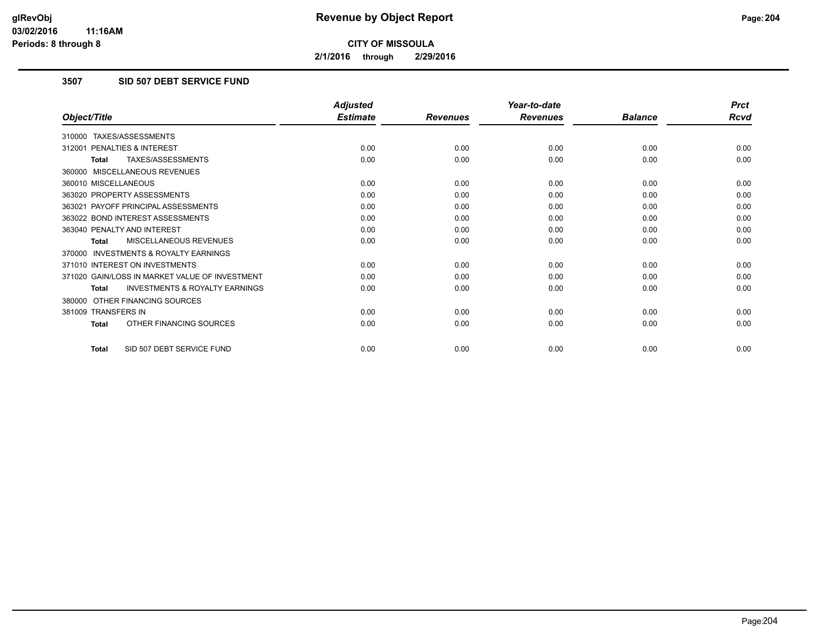**2/1/2016 through 2/29/2016**

## **3507 SID 507 DEBT SERVICE FUND**

|                                                           | <b>Adjusted</b> |                 | Year-to-date    |                | <b>Prct</b> |
|-----------------------------------------------------------|-----------------|-----------------|-----------------|----------------|-------------|
| Object/Title                                              | <b>Estimate</b> | <b>Revenues</b> | <b>Revenues</b> | <b>Balance</b> | <b>Rcvd</b> |
| 310000 TAXES/ASSESSMENTS                                  |                 |                 |                 |                |             |
| 312001 PENALTIES & INTEREST                               | 0.00            | 0.00            | 0.00            | 0.00           | 0.00        |
| TAXES/ASSESSMENTS<br><b>Total</b>                         | 0.00            | 0.00            | 0.00            | 0.00           | 0.00        |
| 360000 MISCELLANEOUS REVENUES                             |                 |                 |                 |                |             |
| 360010 MISCELLANEOUS                                      | 0.00            | 0.00            | 0.00            | 0.00           | 0.00        |
| 363020 PROPERTY ASSESSMENTS                               | 0.00            | 0.00            | 0.00            | 0.00           | 0.00        |
| 363021 PAYOFF PRINCIPAL ASSESSMENTS                       | 0.00            | 0.00            | 0.00            | 0.00           | 0.00        |
| 363022 BOND INTEREST ASSESSMENTS                          | 0.00            | 0.00            | 0.00            | 0.00           | 0.00        |
| 363040 PENALTY AND INTEREST                               | 0.00            | 0.00            | 0.00            | 0.00           | 0.00        |
| MISCELLANEOUS REVENUES<br><b>Total</b>                    | 0.00            | 0.00            | 0.00            | 0.00           | 0.00        |
| <b>INVESTMENTS &amp; ROYALTY EARNINGS</b><br>370000       |                 |                 |                 |                |             |
| 371010 INTEREST ON INVESTMENTS                            | 0.00            | 0.00            | 0.00            | 0.00           | 0.00        |
| 371020 GAIN/LOSS IN MARKET VALUE OF INVESTMENT            | 0.00            | 0.00            | 0.00            | 0.00           | 0.00        |
| <b>INVESTMENTS &amp; ROYALTY EARNINGS</b><br><b>Total</b> | 0.00            | 0.00            | 0.00            | 0.00           | 0.00        |
| OTHER FINANCING SOURCES<br>380000                         |                 |                 |                 |                |             |
| 381009 TRANSFERS IN                                       | 0.00            | 0.00            | 0.00            | 0.00           | 0.00        |
| OTHER FINANCING SOURCES<br><b>Total</b>                   | 0.00            | 0.00            | 0.00            | 0.00           | 0.00        |
| SID 507 DEBT SERVICE FUND<br><b>Total</b>                 | 0.00            | 0.00            | 0.00            | 0.00           | 0.00        |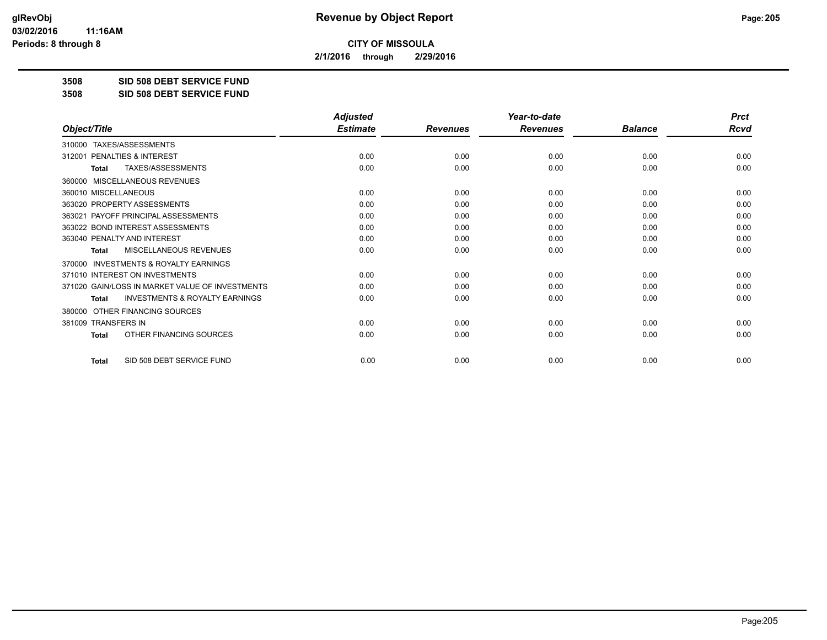**2/1/2016 through 2/29/2016**

**3508 SID 508 DEBT SERVICE FUND**

**3508 SID 508 DEBT SERVICE FUND**

|                                                           | <b>Adjusted</b> |                 | Year-to-date    |                | <b>Prct</b> |
|-----------------------------------------------------------|-----------------|-----------------|-----------------|----------------|-------------|
| Object/Title                                              | <b>Estimate</b> | <b>Revenues</b> | <b>Revenues</b> | <b>Balance</b> | <b>Rcvd</b> |
| TAXES/ASSESSMENTS<br>310000                               |                 |                 |                 |                |             |
| 312001 PENALTIES & INTEREST                               | 0.00            | 0.00            | 0.00            | 0.00           | 0.00        |
| TAXES/ASSESSMENTS<br><b>Total</b>                         | 0.00            | 0.00            | 0.00            | 0.00           | 0.00        |
| MISCELLANEOUS REVENUES<br>360000                          |                 |                 |                 |                |             |
| 360010 MISCELLANEOUS                                      | 0.00            | 0.00            | 0.00            | 0.00           | 0.00        |
| 363020 PROPERTY ASSESSMENTS                               | 0.00            | 0.00            | 0.00            | 0.00           | 0.00        |
| 363021 PAYOFF PRINCIPAL ASSESSMENTS                       | 0.00            | 0.00            | 0.00            | 0.00           | 0.00        |
| 363022 BOND INTEREST ASSESSMENTS                          | 0.00            | 0.00            | 0.00            | 0.00           | 0.00        |
| 363040 PENALTY AND INTEREST                               | 0.00            | 0.00            | 0.00            | 0.00           | 0.00        |
| MISCELLANEOUS REVENUES<br><b>Total</b>                    | 0.00            | 0.00            | 0.00            | 0.00           | 0.00        |
| <b>INVESTMENTS &amp; ROYALTY EARNINGS</b><br>370000       |                 |                 |                 |                |             |
| 371010 INTEREST ON INVESTMENTS                            | 0.00            | 0.00            | 0.00            | 0.00           | 0.00        |
| 371020 GAIN/LOSS IN MARKET VALUE OF INVESTMENTS           | 0.00            | 0.00            | 0.00            | 0.00           | 0.00        |
| <b>INVESTMENTS &amp; ROYALTY EARNINGS</b><br><b>Total</b> | 0.00            | 0.00            | 0.00            | 0.00           | 0.00        |
| OTHER FINANCING SOURCES<br>380000                         |                 |                 |                 |                |             |
| 381009 TRANSFERS IN                                       | 0.00            | 0.00            | 0.00            | 0.00           | 0.00        |
| OTHER FINANCING SOURCES<br><b>Total</b>                   | 0.00            | 0.00            | 0.00            | 0.00           | 0.00        |
| SID 508 DEBT SERVICE FUND<br><b>Total</b>                 | 0.00            | 0.00            | 0.00            | 0.00           | 0.00        |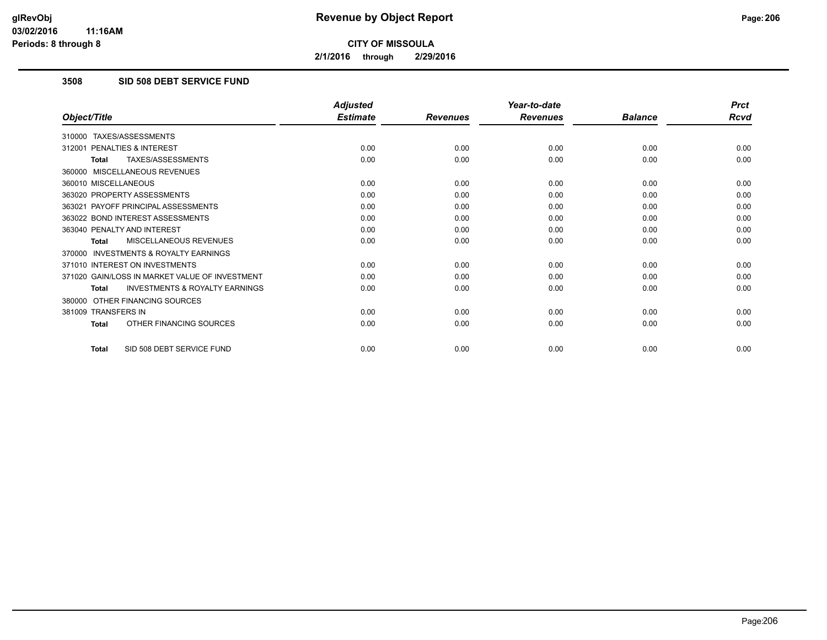**2/1/2016 through 2/29/2016**

## **3508 SID 508 DEBT SERVICE FUND**

|                                                           | <b>Adjusted</b> |                 | Year-to-date    |                | <b>Prct</b> |
|-----------------------------------------------------------|-----------------|-----------------|-----------------|----------------|-------------|
| Object/Title                                              | <b>Estimate</b> | <b>Revenues</b> | <b>Revenues</b> | <b>Balance</b> | <b>Rcvd</b> |
| 310000 TAXES/ASSESSMENTS                                  |                 |                 |                 |                |             |
| 312001 PENALTIES & INTEREST                               | 0.00            | 0.00            | 0.00            | 0.00           | 0.00        |
| TAXES/ASSESSMENTS<br><b>Total</b>                         | 0.00            | 0.00            | 0.00            | 0.00           | 0.00        |
| 360000 MISCELLANEOUS REVENUES                             |                 |                 |                 |                |             |
| 360010 MISCELLANEOUS                                      | 0.00            | 0.00            | 0.00            | 0.00           | 0.00        |
| 363020 PROPERTY ASSESSMENTS                               | 0.00            | 0.00            | 0.00            | 0.00           | 0.00        |
| 363021 PAYOFF PRINCIPAL ASSESSMENTS                       | 0.00            | 0.00            | 0.00            | 0.00           | 0.00        |
| 363022 BOND INTEREST ASSESSMENTS                          | 0.00            | 0.00            | 0.00            | 0.00           | 0.00        |
| 363040 PENALTY AND INTEREST                               | 0.00            | 0.00            | 0.00            | 0.00           | 0.00        |
| MISCELLANEOUS REVENUES<br>Total                           | 0.00            | 0.00            | 0.00            | 0.00           | 0.00        |
| 370000 INVESTMENTS & ROYALTY EARNINGS                     |                 |                 |                 |                |             |
| 371010 INTEREST ON INVESTMENTS                            | 0.00            | 0.00            | 0.00            | 0.00           | 0.00        |
| 371020 GAIN/LOSS IN MARKET VALUE OF INVESTMENT            | 0.00            | 0.00            | 0.00            | 0.00           | 0.00        |
| <b>INVESTMENTS &amp; ROYALTY EARNINGS</b><br><b>Total</b> | 0.00            | 0.00            | 0.00            | 0.00           | 0.00        |
| 380000 OTHER FINANCING SOURCES                            |                 |                 |                 |                |             |
| 381009 TRANSFERS IN                                       | 0.00            | 0.00            | 0.00            | 0.00           | 0.00        |
| OTHER FINANCING SOURCES<br><b>Total</b>                   | 0.00            | 0.00            | 0.00            | 0.00           | 0.00        |
| SID 508 DEBT SERVICE FUND<br><b>Total</b>                 | 0.00            | 0.00            | 0.00            | 0.00           | 0.00        |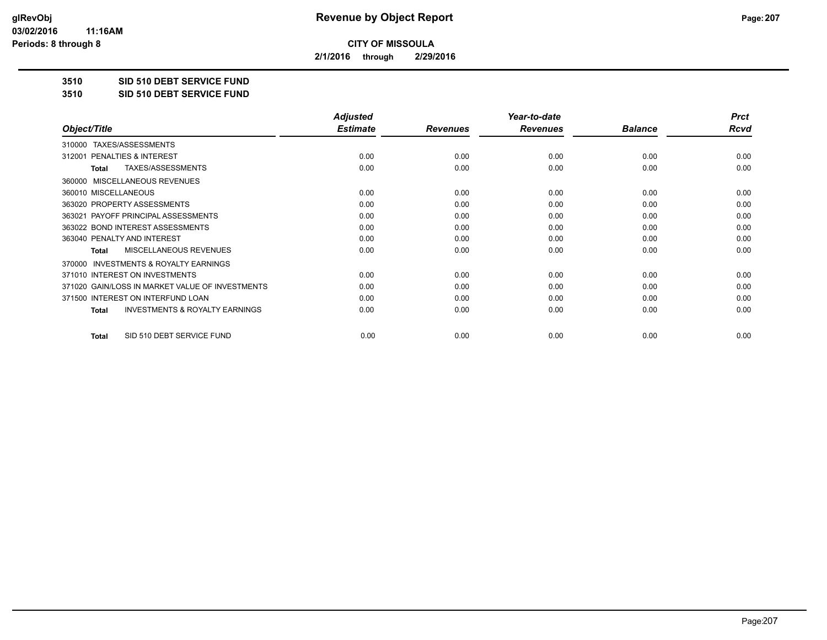**2/1/2016 through 2/29/2016**

**3510 SID 510 DEBT SERVICE FUND**

**3510 SID 510 DEBT SERVICE FUND**

|                                                           | <b>Adjusted</b> |                 | Year-to-date    |                | <b>Prct</b> |
|-----------------------------------------------------------|-----------------|-----------------|-----------------|----------------|-------------|
| Object/Title                                              | <b>Estimate</b> | <b>Revenues</b> | <b>Revenues</b> | <b>Balance</b> | <b>Rcvd</b> |
| TAXES/ASSESSMENTS<br>310000                               |                 |                 |                 |                |             |
| 312001 PENALTIES & INTEREST                               | 0.00            | 0.00            | 0.00            | 0.00           | 0.00        |
| TAXES/ASSESSMENTS<br><b>Total</b>                         | 0.00            | 0.00            | 0.00            | 0.00           | 0.00        |
| MISCELLANEOUS REVENUES<br>360000                          |                 |                 |                 |                |             |
| 360010 MISCELLANEOUS                                      | 0.00            | 0.00            | 0.00            | 0.00           | 0.00        |
| 363020 PROPERTY ASSESSMENTS                               | 0.00            | 0.00            | 0.00            | 0.00           | 0.00        |
| 363021 PAYOFF PRINCIPAL ASSESSMENTS                       | 0.00            | 0.00            | 0.00            | 0.00           | 0.00        |
| 363022 BOND INTEREST ASSESSMENTS                          | 0.00            | 0.00            | 0.00            | 0.00           | 0.00        |
| 363040 PENALTY AND INTEREST                               | 0.00            | 0.00            | 0.00            | 0.00           | 0.00        |
| <b>MISCELLANEOUS REVENUES</b><br>Total                    | 0.00            | 0.00            | 0.00            | 0.00           | 0.00        |
| INVESTMENTS & ROYALTY EARNINGS<br>370000                  |                 |                 |                 |                |             |
| 371010 INTEREST ON INVESTMENTS                            | 0.00            | 0.00            | 0.00            | 0.00           | 0.00        |
| 371020 GAIN/LOSS IN MARKET VALUE OF INVESTMENTS           | 0.00            | 0.00            | 0.00            | 0.00           | 0.00        |
| 371500 INTEREST ON INTERFUND LOAN                         | 0.00            | 0.00            | 0.00            | 0.00           | 0.00        |
| <b>INVESTMENTS &amp; ROYALTY EARNINGS</b><br><b>Total</b> | 0.00            | 0.00            | 0.00            | 0.00           | 0.00        |
| SID 510 DEBT SERVICE FUND<br><b>Total</b>                 | 0.00            | 0.00            | 0.00            | 0.00           | 0.00        |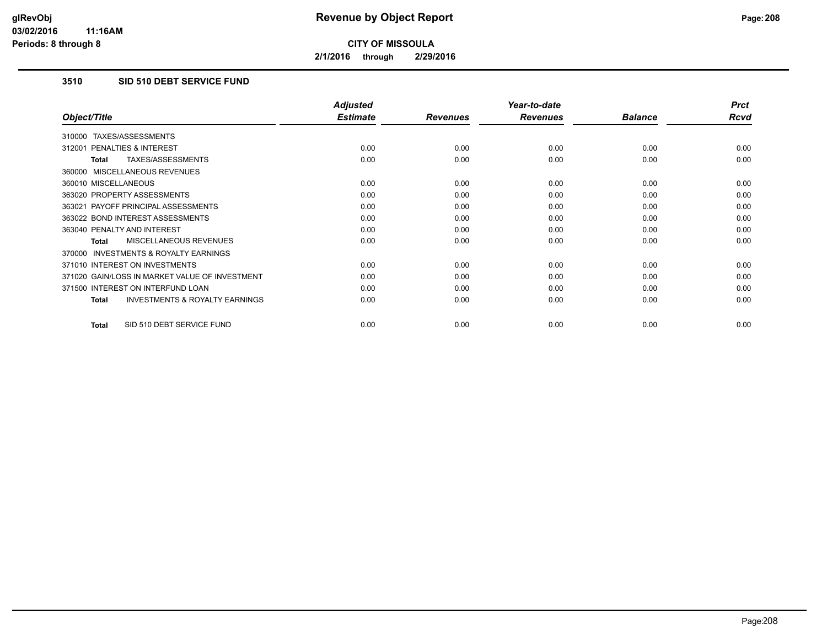**2/1/2016 through 2/29/2016**

## **3510 SID 510 DEBT SERVICE FUND**

|                                                           | <b>Adjusted</b> |                 | Year-to-date    |                | <b>Prct</b> |
|-----------------------------------------------------------|-----------------|-----------------|-----------------|----------------|-------------|
| Object/Title                                              | <b>Estimate</b> | <b>Revenues</b> | <b>Revenues</b> | <b>Balance</b> | Rcvd        |
| TAXES/ASSESSMENTS<br>310000                               |                 |                 |                 |                |             |
| <b>PENALTIES &amp; INTEREST</b><br>312001                 | 0.00            | 0.00            | 0.00            | 0.00           | 0.00        |
| TAXES/ASSESSMENTS<br>Total                                | 0.00            | 0.00            | 0.00            | 0.00           | 0.00        |
| 360000 MISCELLANEOUS REVENUES                             |                 |                 |                 |                |             |
| 360010 MISCELLANEOUS                                      | 0.00            | 0.00            | 0.00            | 0.00           | 0.00        |
| 363020 PROPERTY ASSESSMENTS                               | 0.00            | 0.00            | 0.00            | 0.00           | 0.00        |
| 363021 PAYOFF PRINCIPAL ASSESSMENTS                       | 0.00            | 0.00            | 0.00            | 0.00           | 0.00        |
| 363022 BOND INTEREST ASSESSMENTS                          | 0.00            | 0.00            | 0.00            | 0.00           | 0.00        |
| 363040 PENALTY AND INTEREST                               | 0.00            | 0.00            | 0.00            | 0.00           | 0.00        |
| <b>MISCELLANEOUS REVENUES</b><br><b>Total</b>             | 0.00            | 0.00            | 0.00            | 0.00           | 0.00        |
| <b>INVESTMENTS &amp; ROYALTY EARNINGS</b><br>370000       |                 |                 |                 |                |             |
| 371010 INTEREST ON INVESTMENTS                            | 0.00            | 0.00            | 0.00            | 0.00           | 0.00        |
| 371020 GAIN/LOSS IN MARKET VALUE OF INVESTMENT            | 0.00            | 0.00            | 0.00            | 0.00           | 0.00        |
| 371500 INTEREST ON INTERFUND LOAN                         | 0.00            | 0.00            | 0.00            | 0.00           | 0.00        |
| <b>INVESTMENTS &amp; ROYALTY EARNINGS</b><br><b>Total</b> | 0.00            | 0.00            | 0.00            | 0.00           | 0.00        |
|                                                           |                 |                 |                 |                |             |
| SID 510 DEBT SERVICE FUND<br><b>Total</b>                 | 0.00            | 0.00            | 0.00            | 0.00           | 0.00        |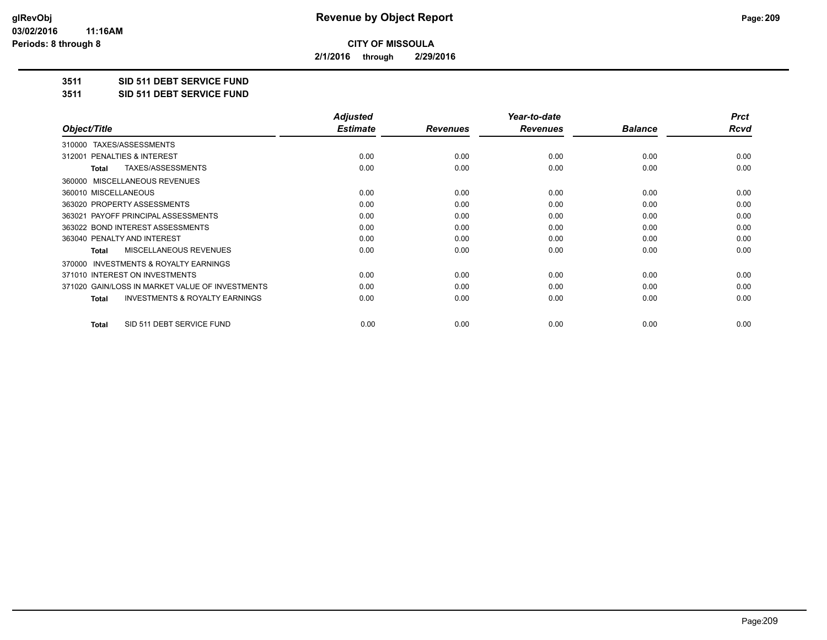**2/1/2016 through 2/29/2016**

**3511 SID 511 DEBT SERVICE FUND**

**3511 SID 511 DEBT SERVICE FUND**

|                                                    | <b>Adjusted</b> |                 | Year-to-date    |                | <b>Prct</b> |
|----------------------------------------------------|-----------------|-----------------|-----------------|----------------|-------------|
| Object/Title                                       | <b>Estimate</b> | <b>Revenues</b> | <b>Revenues</b> | <b>Balance</b> | Rcvd        |
| TAXES/ASSESSMENTS<br>310000                        |                 |                 |                 |                |             |
| <b>PENALTIES &amp; INTEREST</b><br>312001          | 0.00            | 0.00            | 0.00            | 0.00           | 0.00        |
| TAXES/ASSESSMENTS<br>Total                         | 0.00            | 0.00            | 0.00            | 0.00           | 0.00        |
| 360000 MISCELLANEOUS REVENUES                      |                 |                 |                 |                |             |
| 360010 MISCELLANEOUS                               | 0.00            | 0.00            | 0.00            | 0.00           | 0.00        |
| 363020 PROPERTY ASSESSMENTS                        | 0.00            | 0.00            | 0.00            | 0.00           | 0.00        |
| 363021 PAYOFF PRINCIPAL ASSESSMENTS                | 0.00            | 0.00            | 0.00            | 0.00           | 0.00        |
| 363022 BOND INTEREST ASSESSMENTS                   | 0.00            | 0.00            | 0.00            | 0.00           | 0.00        |
| 363040 PENALTY AND INTEREST                        | 0.00            | 0.00            | 0.00            | 0.00           | 0.00        |
| MISCELLANEOUS REVENUES<br>Total                    | 0.00            | 0.00            | 0.00            | 0.00           | 0.00        |
| 370000 INVESTMENTS & ROYALTY EARNINGS              |                 |                 |                 |                |             |
| 371010 INTEREST ON INVESTMENTS                     | 0.00            | 0.00            | 0.00            | 0.00           | 0.00        |
| 371020 GAIN/LOSS IN MARKET VALUE OF INVESTMENTS    | 0.00            | 0.00            | 0.00            | 0.00           | 0.00        |
| <b>INVESTMENTS &amp; ROYALTY EARNINGS</b><br>Total | 0.00            | 0.00            | 0.00            | 0.00           | 0.00        |
| SID 511 DEBT SERVICE FUND<br>Total                 | 0.00            | 0.00            | 0.00            | 0.00           | 0.00        |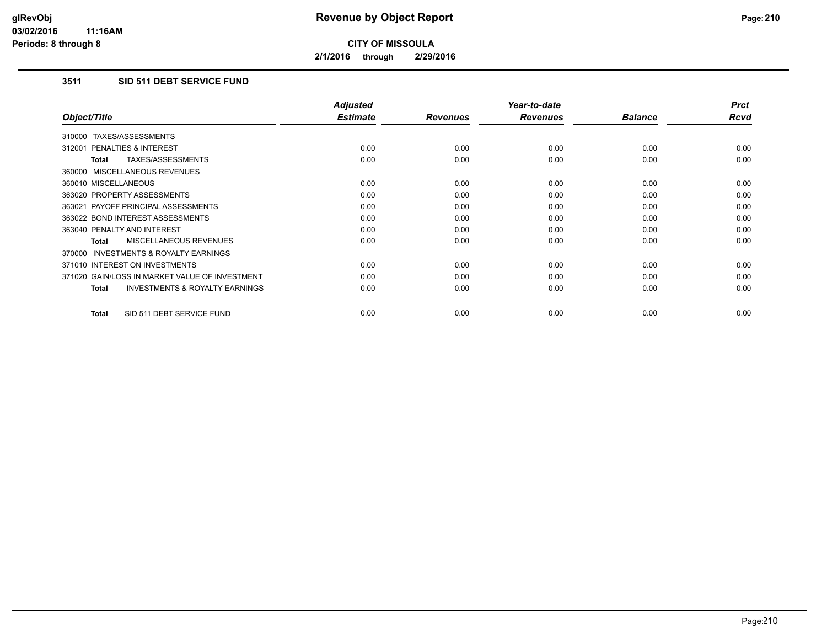**2/1/2016 through 2/29/2016**

# **3511 SID 511 DEBT SERVICE FUND**

|                                                           | <b>Adjusted</b> |                 | Year-to-date    |                | <b>Prct</b> |
|-----------------------------------------------------------|-----------------|-----------------|-----------------|----------------|-------------|
| Object/Title                                              | <b>Estimate</b> | <b>Revenues</b> | <b>Revenues</b> | <b>Balance</b> | <b>Rcvd</b> |
| 310000 TAXES/ASSESSMENTS                                  |                 |                 |                 |                |             |
| 312001 PENALTIES & INTEREST                               | 0.00            | 0.00            | 0.00            | 0.00           | 0.00        |
| TAXES/ASSESSMENTS<br><b>Total</b>                         | 0.00            | 0.00            | 0.00            | 0.00           | 0.00        |
| 360000 MISCELLANEOUS REVENUES                             |                 |                 |                 |                |             |
| 360010 MISCELLANEOUS                                      | 0.00            | 0.00            | 0.00            | 0.00           | 0.00        |
| 363020 PROPERTY ASSESSMENTS                               | 0.00            | 0.00            | 0.00            | 0.00           | 0.00        |
| 363021 PAYOFF PRINCIPAL ASSESSMENTS                       | 0.00            | 0.00            | 0.00            | 0.00           | 0.00        |
| 363022 BOND INTEREST ASSESSMENTS                          | 0.00            | 0.00            | 0.00            | 0.00           | 0.00        |
| 363040 PENALTY AND INTEREST                               | 0.00            | 0.00            | 0.00            | 0.00           | 0.00        |
| MISCELLANEOUS REVENUES<br>Total                           | 0.00            | 0.00            | 0.00            | 0.00           | 0.00        |
| <b>INVESTMENTS &amp; ROYALTY EARNINGS</b><br>370000       |                 |                 |                 |                |             |
| 371010 INTEREST ON INVESTMENTS                            | 0.00            | 0.00            | 0.00            | 0.00           | 0.00        |
| 371020 GAIN/LOSS IN MARKET VALUE OF INVESTMENT            | 0.00            | 0.00            | 0.00            | 0.00           | 0.00        |
| <b>INVESTMENTS &amp; ROYALTY EARNINGS</b><br><b>Total</b> | 0.00            | 0.00            | 0.00            | 0.00           | 0.00        |
| SID 511 DEBT SERVICE FUND<br><b>Total</b>                 | 0.00            | 0.00            | 0.00            | 0.00           | 0.00        |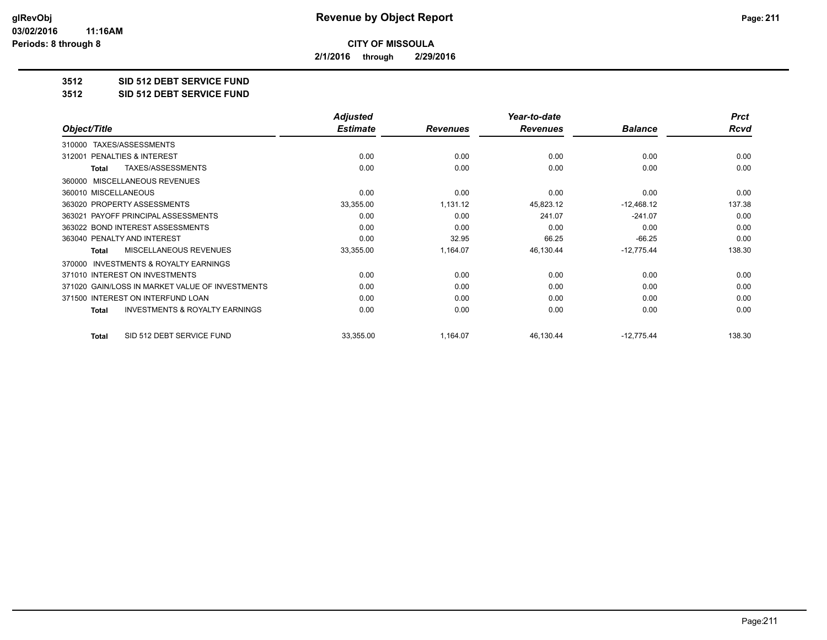**2/1/2016 through 2/29/2016**

**3512 SID 512 DEBT SERVICE FUND**

**3512 SID 512 DEBT SERVICE FUND**

|                                                           | <b>Adjusted</b> |                 | Year-to-date    |                | <b>Prct</b> |
|-----------------------------------------------------------|-----------------|-----------------|-----------------|----------------|-------------|
| Object/Title                                              | <b>Estimate</b> | <b>Revenues</b> | <b>Revenues</b> | <b>Balance</b> | Rcvd        |
| TAXES/ASSESSMENTS<br>310000                               |                 |                 |                 |                |             |
| PENALTIES & INTEREST<br>312001                            | 0.00            | 0.00            | 0.00            | 0.00           | 0.00        |
| TAXES/ASSESSMENTS<br><b>Total</b>                         | 0.00            | 0.00            | 0.00            | 0.00           | 0.00        |
| MISCELLANEOUS REVENUES<br>360000                          |                 |                 |                 |                |             |
| 360010 MISCELLANEOUS                                      | 0.00            | 0.00            | 0.00            | 0.00           | 0.00        |
| 363020 PROPERTY ASSESSMENTS                               | 33,355.00       | 1,131.12        | 45,823.12       | $-12,468.12$   | 137.38      |
| 363021 PAYOFF PRINCIPAL ASSESSMENTS                       | 0.00            | 0.00            | 241.07          | $-241.07$      | 0.00        |
| 363022 BOND INTEREST ASSESSMENTS                          | 0.00            | 0.00            | 0.00            | 0.00           | 0.00        |
| 363040 PENALTY AND INTEREST                               | 0.00            | 32.95           | 66.25           | $-66.25$       | 0.00        |
| <b>MISCELLANEOUS REVENUES</b><br>Total                    | 33,355.00       | 1,164.07        | 46,130.44       | $-12,775.44$   | 138.30      |
| <b>INVESTMENTS &amp; ROYALTY EARNINGS</b><br>370000       |                 |                 |                 |                |             |
| 371010 INTEREST ON INVESTMENTS                            | 0.00            | 0.00            | 0.00            | 0.00           | 0.00        |
| 371020 GAIN/LOSS IN MARKET VALUE OF INVESTMENTS           | 0.00            | 0.00            | 0.00            | 0.00           | 0.00        |
| 371500 INTEREST ON INTERFUND LOAN                         | 0.00            | 0.00            | 0.00            | 0.00           | 0.00        |
| <b>INVESTMENTS &amp; ROYALTY EARNINGS</b><br><b>Total</b> | 0.00            | 0.00            | 0.00            | 0.00           | 0.00        |
| SID 512 DEBT SERVICE FUND<br><b>Total</b>                 | 33,355.00       | 1,164.07        | 46,130.44       | $-12,775.44$   | 138.30      |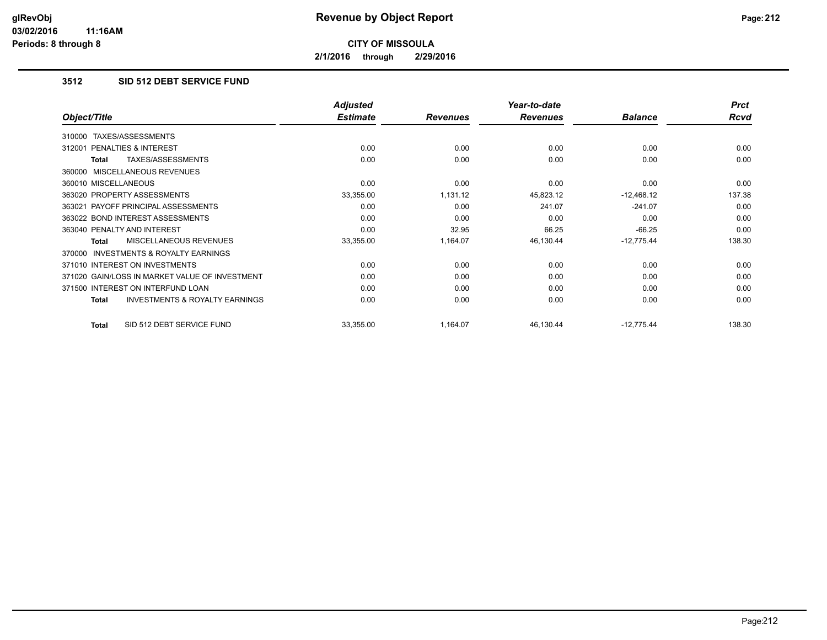**2/1/2016 through 2/29/2016**

## **3512 SID 512 DEBT SERVICE FUND**

|                                                           | <b>Adjusted</b> |                 | Year-to-date    |                | <b>Prct</b> |
|-----------------------------------------------------------|-----------------|-----------------|-----------------|----------------|-------------|
| Object/Title                                              | <b>Estimate</b> | <b>Revenues</b> | <b>Revenues</b> | <b>Balance</b> | Rcvd        |
| TAXES/ASSESSMENTS<br>310000                               |                 |                 |                 |                |             |
| 312001 PENALTIES & INTEREST                               | 0.00            | 0.00            | 0.00            | 0.00           | 0.00        |
| TAXES/ASSESSMENTS<br>Total                                | 0.00            | 0.00            | 0.00            | 0.00           | 0.00        |
| 360000 MISCELLANEOUS REVENUES                             |                 |                 |                 |                |             |
| 360010 MISCELLANEOUS                                      | 0.00            | 0.00            | 0.00            | 0.00           | 0.00        |
| 363020 PROPERTY ASSESSMENTS                               | 33,355.00       | 1,131.12        | 45,823.12       | $-12,468.12$   | 137.38      |
| 363021 PAYOFF PRINCIPAL ASSESSMENTS                       | 0.00            | 0.00            | 241.07          | $-241.07$      | 0.00        |
| 363022 BOND INTEREST ASSESSMENTS                          | 0.00            | 0.00            | 0.00            | 0.00           | 0.00        |
| 363040 PENALTY AND INTEREST                               | 0.00            | 32.95           | 66.25           | $-66.25$       | 0.00        |
| MISCELLANEOUS REVENUES<br>Total                           | 33,355.00       | 1,164.07        | 46,130.44       | $-12,775.44$   | 138.30      |
| <b>INVESTMENTS &amp; ROYALTY EARNINGS</b><br>370000       |                 |                 |                 |                |             |
| 371010 INTEREST ON INVESTMENTS                            | 0.00            | 0.00            | 0.00            | 0.00           | 0.00        |
| 371020 GAIN/LOSS IN MARKET VALUE OF INVESTMENT            | 0.00            | 0.00            | 0.00            | 0.00           | 0.00        |
| 371500 INTEREST ON INTERFUND LOAN                         | 0.00            | 0.00            | 0.00            | 0.00           | 0.00        |
| <b>INVESTMENTS &amp; ROYALTY EARNINGS</b><br><b>Total</b> | 0.00            | 0.00            | 0.00            | 0.00           | 0.00        |
| SID 512 DEBT SERVICE FUND<br><b>Total</b>                 | 33,355.00       | 1,164.07        | 46,130.44       | $-12,775.44$   | 138.30      |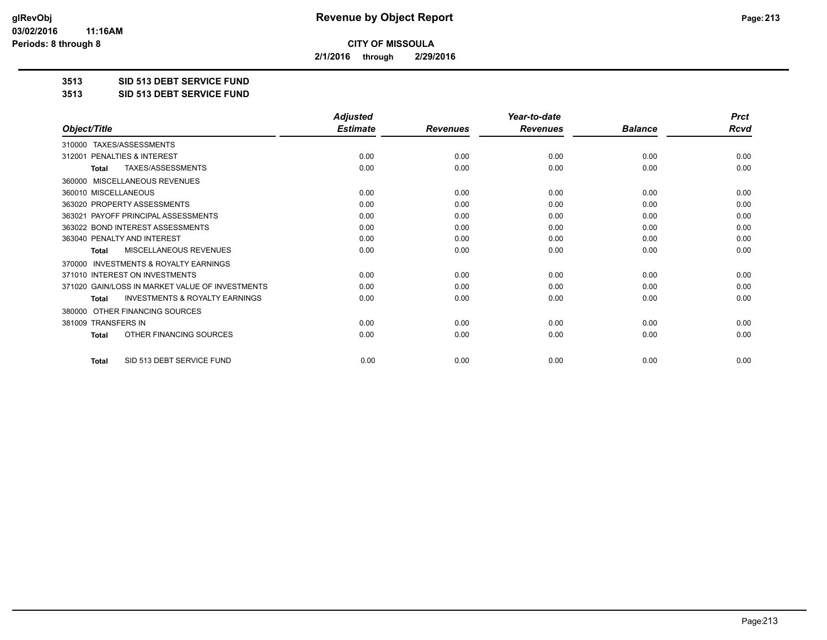**2/1/2016 through 2/29/2016**

**3513 SID 513 DEBT SERVICE FUND**

**3513 SID 513 DEBT SERVICE FUND**

|                                                           | <b>Adjusted</b> |                 | Year-to-date    |                | <b>Prct</b> |
|-----------------------------------------------------------|-----------------|-----------------|-----------------|----------------|-------------|
| Object/Title                                              | <b>Estimate</b> | <b>Revenues</b> | <b>Revenues</b> | <b>Balance</b> | <b>Rcvd</b> |
| TAXES/ASSESSMENTS<br>310000                               |                 |                 |                 |                |             |
| 312001 PENALTIES & INTEREST                               | 0.00            | 0.00            | 0.00            | 0.00           | 0.00        |
| TAXES/ASSESSMENTS<br><b>Total</b>                         | 0.00            | 0.00            | 0.00            | 0.00           | 0.00        |
| MISCELLANEOUS REVENUES<br>360000                          |                 |                 |                 |                |             |
| 360010 MISCELLANEOUS                                      | 0.00            | 0.00            | 0.00            | 0.00           | 0.00        |
| 363020 PROPERTY ASSESSMENTS                               | 0.00            | 0.00            | 0.00            | 0.00           | 0.00        |
| 363021 PAYOFF PRINCIPAL ASSESSMENTS                       | 0.00            | 0.00            | 0.00            | 0.00           | 0.00        |
| 363022 BOND INTEREST ASSESSMENTS                          | 0.00            | 0.00            | 0.00            | 0.00           | 0.00        |
| 363040 PENALTY AND INTEREST                               | 0.00            | 0.00            | 0.00            | 0.00           | 0.00        |
| <b>MISCELLANEOUS REVENUES</b><br><b>Total</b>             | 0.00            | 0.00            | 0.00            | 0.00           | 0.00        |
| <b>INVESTMENTS &amp; ROYALTY EARNINGS</b><br>370000       |                 |                 |                 |                |             |
| 371010 INTEREST ON INVESTMENTS                            | 0.00            | 0.00            | 0.00            | 0.00           | 0.00        |
| 371020 GAIN/LOSS IN MARKET VALUE OF INVESTMENTS           | 0.00            | 0.00            | 0.00            | 0.00           | 0.00        |
| <b>INVESTMENTS &amp; ROYALTY EARNINGS</b><br><b>Total</b> | 0.00            | 0.00            | 0.00            | 0.00           | 0.00        |
| OTHER FINANCING SOURCES<br>380000                         |                 |                 |                 |                |             |
| 381009 TRANSFERS IN                                       | 0.00            | 0.00            | 0.00            | 0.00           | 0.00        |
| OTHER FINANCING SOURCES<br>Total                          | 0.00            | 0.00            | 0.00            | 0.00           | 0.00        |
| SID 513 DEBT SERVICE FUND<br><b>Total</b>                 | 0.00            | 0.00            | 0.00            | 0.00           | 0.00        |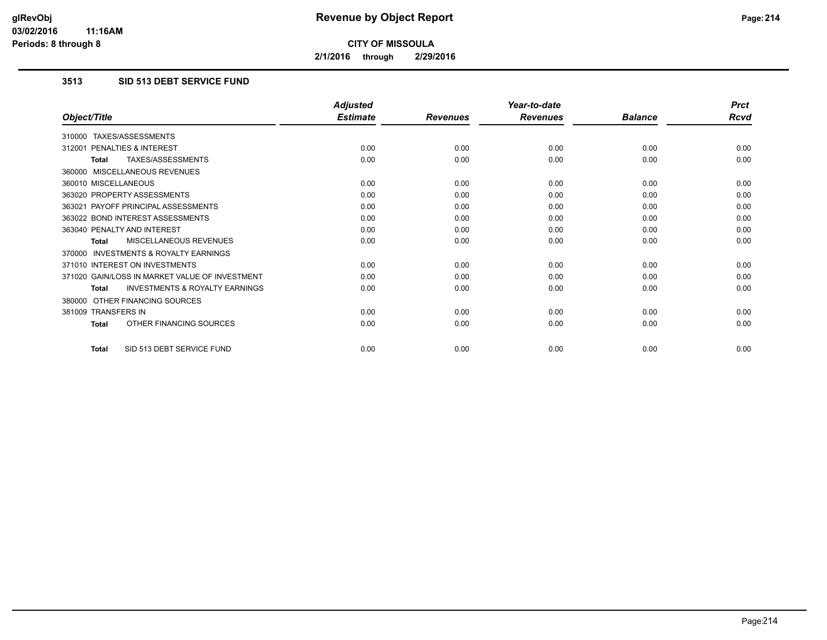**2/1/2016 through 2/29/2016**

## **3513 SID 513 DEBT SERVICE FUND**

|                                                           | <b>Adjusted</b> |                 | Year-to-date    |                | <b>Prct</b> |
|-----------------------------------------------------------|-----------------|-----------------|-----------------|----------------|-------------|
| Object/Title                                              | <b>Estimate</b> | <b>Revenues</b> | <b>Revenues</b> | <b>Balance</b> | <b>Rcvd</b> |
| 310000 TAXES/ASSESSMENTS                                  |                 |                 |                 |                |             |
| 312001 PENALTIES & INTEREST                               | 0.00            | 0.00            | 0.00            | 0.00           | 0.00        |
| TAXES/ASSESSMENTS<br><b>Total</b>                         | 0.00            | 0.00            | 0.00            | 0.00           | 0.00        |
| 360000 MISCELLANEOUS REVENUES                             |                 |                 |                 |                |             |
| 360010 MISCELLANEOUS                                      | 0.00            | 0.00            | 0.00            | 0.00           | 0.00        |
| 363020 PROPERTY ASSESSMENTS                               | 0.00            | 0.00            | 0.00            | 0.00           | 0.00        |
| 363021 PAYOFF PRINCIPAL ASSESSMENTS                       | 0.00            | 0.00            | 0.00            | 0.00           | 0.00        |
| 363022 BOND INTEREST ASSESSMENTS                          | 0.00            | 0.00            | 0.00            | 0.00           | 0.00        |
| 363040 PENALTY AND INTEREST                               | 0.00            | 0.00            | 0.00            | 0.00           | 0.00        |
| MISCELLANEOUS REVENUES<br><b>Total</b>                    | 0.00            | 0.00            | 0.00            | 0.00           | 0.00        |
| <b>INVESTMENTS &amp; ROYALTY EARNINGS</b><br>370000       |                 |                 |                 |                |             |
| 371010 INTEREST ON INVESTMENTS                            | 0.00            | 0.00            | 0.00            | 0.00           | 0.00        |
| 371020 GAIN/LOSS IN MARKET VALUE OF INVESTMENT            | 0.00            | 0.00            | 0.00            | 0.00           | 0.00        |
| <b>INVESTMENTS &amp; ROYALTY EARNINGS</b><br><b>Total</b> | 0.00            | 0.00            | 0.00            | 0.00           | 0.00        |
| 380000 OTHER FINANCING SOURCES                            |                 |                 |                 |                |             |
| 381009 TRANSFERS IN                                       | 0.00            | 0.00            | 0.00            | 0.00           | 0.00        |
| OTHER FINANCING SOURCES<br><b>Total</b>                   | 0.00            | 0.00            | 0.00            | 0.00           | 0.00        |
| SID 513 DEBT SERVICE FUND<br>Total                        | 0.00            | 0.00            | 0.00            | 0.00           | 0.00        |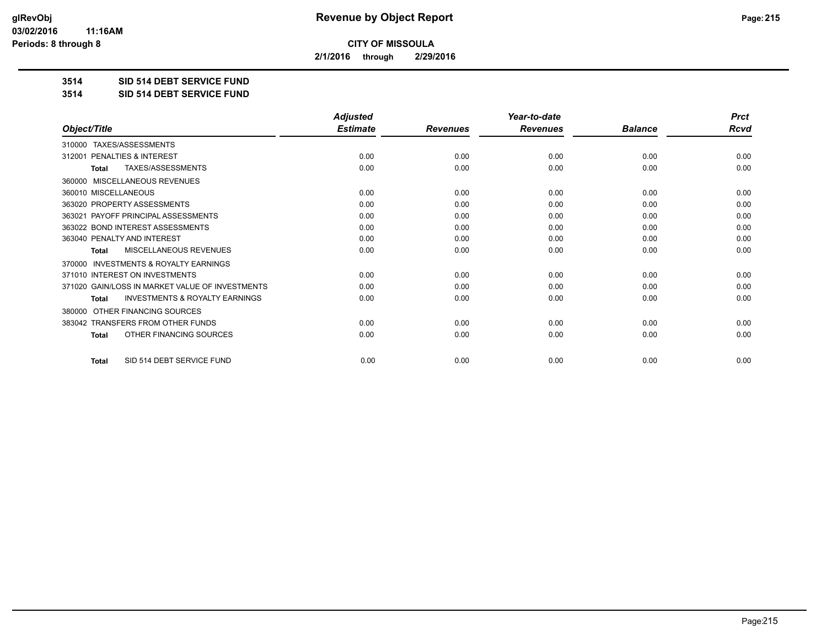**2/1/2016 through 2/29/2016**

**3514 SID 514 DEBT SERVICE FUND**

**3514 SID 514 DEBT SERVICE FUND**

|                                                     | <b>Adjusted</b> |                 | Year-to-date    |                | <b>Prct</b> |
|-----------------------------------------------------|-----------------|-----------------|-----------------|----------------|-------------|
| Object/Title                                        | <b>Estimate</b> | <b>Revenues</b> | <b>Revenues</b> | <b>Balance</b> | <b>Rcvd</b> |
| 310000 TAXES/ASSESSMENTS                            |                 |                 |                 |                |             |
| <b>PENALTIES &amp; INTEREST</b><br>312001           | 0.00            | 0.00            | 0.00            | 0.00           | 0.00        |
| TAXES/ASSESSMENTS<br><b>Total</b>                   | 0.00            | 0.00            | 0.00            | 0.00           | 0.00        |
| MISCELLANEOUS REVENUES<br>360000                    |                 |                 |                 |                |             |
| 360010 MISCELLANEOUS                                | 0.00            | 0.00            | 0.00            | 0.00           | 0.00        |
| 363020 PROPERTY ASSESSMENTS                         | 0.00            | 0.00            | 0.00            | 0.00           | 0.00        |
| 363021 PAYOFF PRINCIPAL ASSESSMENTS                 | 0.00            | 0.00            | 0.00            | 0.00           | 0.00        |
| 363022 BOND INTEREST ASSESSMENTS                    | 0.00            | 0.00            | 0.00            | 0.00           | 0.00        |
| 363040 PENALTY AND INTEREST                         | 0.00            | 0.00            | 0.00            | 0.00           | 0.00        |
| MISCELLANEOUS REVENUES<br><b>Total</b>              | 0.00            | 0.00            | 0.00            | 0.00           | 0.00        |
| <b>INVESTMENTS &amp; ROYALTY EARNINGS</b><br>370000 |                 |                 |                 |                |             |
| 371010 INTEREST ON INVESTMENTS                      | 0.00            | 0.00            | 0.00            | 0.00           | 0.00        |
| 371020 GAIN/LOSS IN MARKET VALUE OF INVESTMENTS     | 0.00            | 0.00            | 0.00            | 0.00           | 0.00        |
| <b>INVESTMENTS &amp; ROYALTY EARNINGS</b><br>Total  | 0.00            | 0.00            | 0.00            | 0.00           | 0.00        |
| OTHER FINANCING SOURCES<br>380000                   |                 |                 |                 |                |             |
| 383042 TRANSFERS FROM OTHER FUNDS                   | 0.00            | 0.00            | 0.00            | 0.00           | 0.00        |
| OTHER FINANCING SOURCES<br>Total                    | 0.00            | 0.00            | 0.00            | 0.00           | 0.00        |
| SID 514 DEBT SERVICE FUND<br><b>Total</b>           | 0.00            | 0.00            | 0.00            | 0.00           | 0.00        |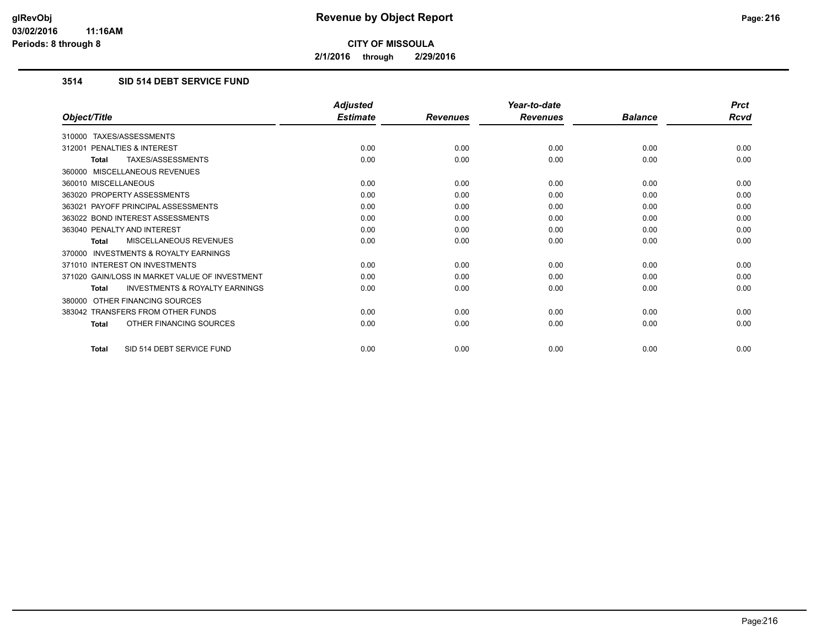**2/1/2016 through 2/29/2016**

## **3514 SID 514 DEBT SERVICE FUND**

|                                                           | <b>Adjusted</b> |                 | Year-to-date    |                | <b>Prct</b> |
|-----------------------------------------------------------|-----------------|-----------------|-----------------|----------------|-------------|
| Object/Title                                              | <b>Estimate</b> | <b>Revenues</b> | <b>Revenues</b> | <b>Balance</b> | Rcvd        |
| 310000 TAXES/ASSESSMENTS                                  |                 |                 |                 |                |             |
| 312001 PENALTIES & INTEREST                               | 0.00            | 0.00            | 0.00            | 0.00           | 0.00        |
| <b>TAXES/ASSESSMENTS</b><br><b>Total</b>                  | 0.00            | 0.00            | 0.00            | 0.00           | 0.00        |
| 360000 MISCELLANEOUS REVENUES                             |                 |                 |                 |                |             |
| 360010 MISCELLANEOUS                                      | 0.00            | 0.00            | 0.00            | 0.00           | 0.00        |
| 363020 PROPERTY ASSESSMENTS                               | 0.00            | 0.00            | 0.00            | 0.00           | 0.00        |
| 363021 PAYOFF PRINCIPAL ASSESSMENTS                       | 0.00            | 0.00            | 0.00            | 0.00           | 0.00        |
| 363022 BOND INTEREST ASSESSMENTS                          | 0.00            | 0.00            | 0.00            | 0.00           | 0.00        |
| 363040 PENALTY AND INTEREST                               | 0.00            | 0.00            | 0.00            | 0.00           | 0.00        |
| <b>MISCELLANEOUS REVENUES</b><br><b>Total</b>             | 0.00            | 0.00            | 0.00            | 0.00           | 0.00        |
| <b>INVESTMENTS &amp; ROYALTY EARNINGS</b><br>370000       |                 |                 |                 |                |             |
| 371010 INTEREST ON INVESTMENTS                            | 0.00            | 0.00            | 0.00            | 0.00           | 0.00        |
| 371020 GAIN/LOSS IN MARKET VALUE OF INVESTMENT            | 0.00            | 0.00            | 0.00            | 0.00           | 0.00        |
| <b>INVESTMENTS &amp; ROYALTY EARNINGS</b><br><b>Total</b> | 0.00            | 0.00            | 0.00            | 0.00           | 0.00        |
| OTHER FINANCING SOURCES<br>380000                         |                 |                 |                 |                |             |
| 383042 TRANSFERS FROM OTHER FUNDS                         | 0.00            | 0.00            | 0.00            | 0.00           | 0.00        |
| OTHER FINANCING SOURCES<br><b>Total</b>                   | 0.00            | 0.00            | 0.00            | 0.00           | 0.00        |
| SID 514 DEBT SERVICE FUND<br>Total                        | 0.00            | 0.00            | 0.00            | 0.00           | 0.00        |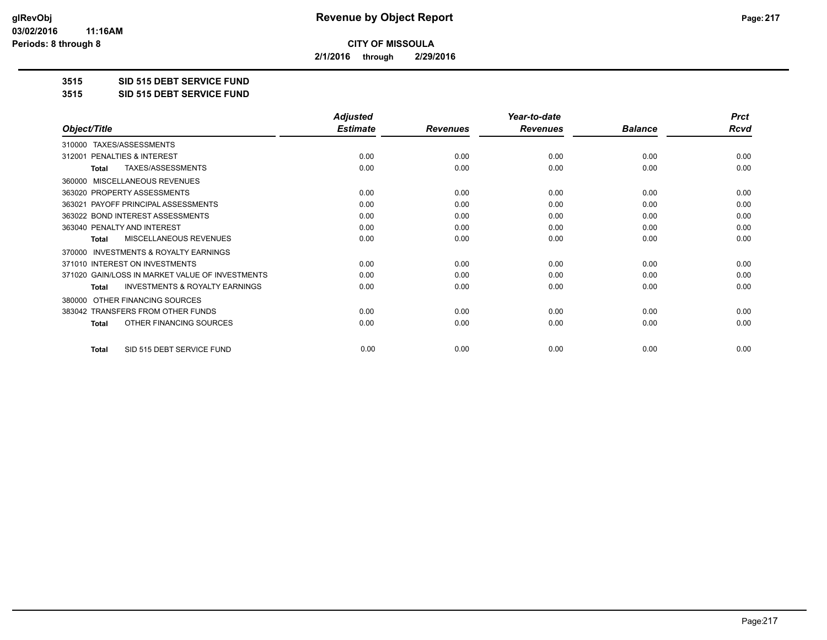**2/1/2016 through 2/29/2016**

**3515 SID 515 DEBT SERVICE FUND**

**3515 SID 515 DEBT SERVICE FUND**

|                                                           | <b>Adjusted</b> |                 | Year-to-date    |                | <b>Prct</b> |
|-----------------------------------------------------------|-----------------|-----------------|-----------------|----------------|-------------|
| Object/Title                                              | <b>Estimate</b> | <b>Revenues</b> | <b>Revenues</b> | <b>Balance</b> | <b>Rcvd</b> |
| TAXES/ASSESSMENTS<br>310000                               |                 |                 |                 |                |             |
| PENALTIES & INTEREST<br>312001                            | 0.00            | 0.00            | 0.00            | 0.00           | 0.00        |
| TAXES/ASSESSMENTS<br>Total                                | 0.00            | 0.00            | 0.00            | 0.00           | 0.00        |
| MISCELLANEOUS REVENUES<br>360000                          |                 |                 |                 |                |             |
| 363020 PROPERTY ASSESSMENTS                               | 0.00            | 0.00            | 0.00            | 0.00           | 0.00        |
| 363021 PAYOFF PRINCIPAL ASSESSMENTS                       | 0.00            | 0.00            | 0.00            | 0.00           | 0.00        |
| 363022 BOND INTEREST ASSESSMENTS                          | 0.00            | 0.00            | 0.00            | 0.00           | 0.00        |
| 363040 PENALTY AND INTEREST                               | 0.00            | 0.00            | 0.00            | 0.00           | 0.00        |
| MISCELLANEOUS REVENUES<br><b>Total</b>                    | 0.00            | 0.00            | 0.00            | 0.00           | 0.00        |
| <b>INVESTMENTS &amp; ROYALTY EARNINGS</b><br>370000       |                 |                 |                 |                |             |
| 371010 INTEREST ON INVESTMENTS                            | 0.00            | 0.00            | 0.00            | 0.00           | 0.00        |
| 371020 GAIN/LOSS IN MARKET VALUE OF INVESTMENTS           | 0.00            | 0.00            | 0.00            | 0.00           | 0.00        |
| <b>INVESTMENTS &amp; ROYALTY EARNINGS</b><br><b>Total</b> | 0.00            | 0.00            | 0.00            | 0.00           | 0.00        |
| OTHER FINANCING SOURCES<br>380000                         |                 |                 |                 |                |             |
| 383042 TRANSFERS FROM OTHER FUNDS                         | 0.00            | 0.00            | 0.00            | 0.00           | 0.00        |
| OTHER FINANCING SOURCES<br><b>Total</b>                   | 0.00            | 0.00            | 0.00            | 0.00           | 0.00        |
|                                                           |                 |                 |                 |                |             |
| SID 515 DEBT SERVICE FUND<br><b>Total</b>                 | 0.00            | 0.00            | 0.00            | 0.00           | 0.00        |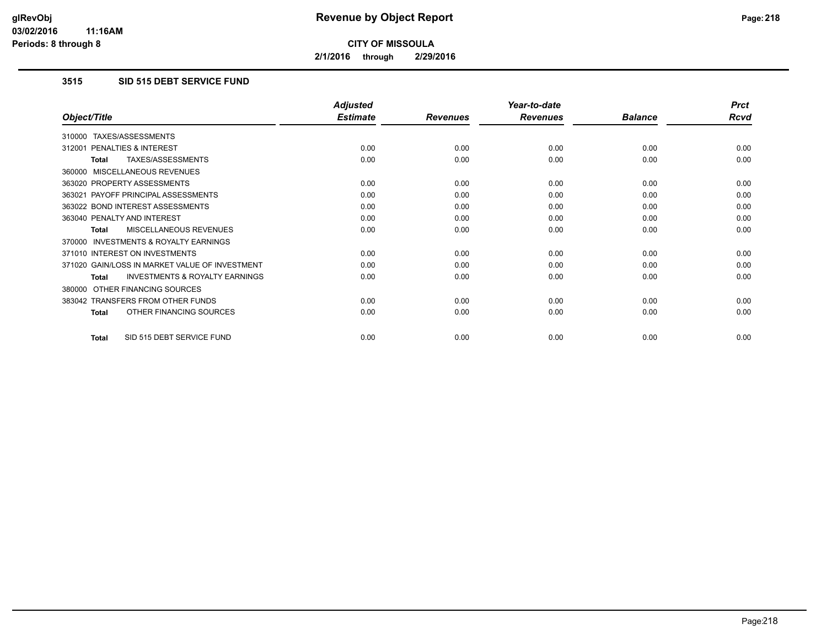**2/1/2016 through 2/29/2016**

## **3515 SID 515 DEBT SERVICE FUND**

|                                                    | <b>Adjusted</b> |                 | Year-to-date    |                | <b>Prct</b> |
|----------------------------------------------------|-----------------|-----------------|-----------------|----------------|-------------|
| Object/Title                                       | <b>Estimate</b> | <b>Revenues</b> | <b>Revenues</b> | <b>Balance</b> | <b>Rcvd</b> |
| TAXES/ASSESSMENTS<br>310000                        |                 |                 |                 |                |             |
| <b>PENALTIES &amp; INTEREST</b><br>312001          | 0.00            | 0.00            | 0.00            | 0.00           | 0.00        |
| TAXES/ASSESSMENTS<br>Total                         | 0.00            | 0.00            | 0.00            | 0.00           | 0.00        |
| MISCELLANEOUS REVENUES<br>360000                   |                 |                 |                 |                |             |
| 363020 PROPERTY ASSESSMENTS                        | 0.00            | 0.00            | 0.00            | 0.00           | 0.00        |
| 363021 PAYOFF PRINCIPAL ASSESSMENTS                | 0.00            | 0.00            | 0.00            | 0.00           | 0.00        |
| 363022 BOND INTEREST ASSESSMENTS                   | 0.00            | 0.00            | 0.00            | 0.00           | 0.00        |
| 363040 PENALTY AND INTEREST                        | 0.00            | 0.00            | 0.00            | 0.00           | 0.00        |
| <b>MISCELLANEOUS REVENUES</b><br><b>Total</b>      | 0.00            | 0.00            | 0.00            | 0.00           | 0.00        |
| INVESTMENTS & ROYALTY EARNINGS<br>370000           |                 |                 |                 |                |             |
| 371010 INTEREST ON INVESTMENTS                     | 0.00            | 0.00            | 0.00            | 0.00           | 0.00        |
| 371020 GAIN/LOSS IN MARKET VALUE OF INVESTMENT     | 0.00            | 0.00            | 0.00            | 0.00           | 0.00        |
| <b>INVESTMENTS &amp; ROYALTY EARNINGS</b><br>Total | 0.00            | 0.00            | 0.00            | 0.00           | 0.00        |
| OTHER FINANCING SOURCES<br>380000                  |                 |                 |                 |                |             |
| 383042 TRANSFERS FROM OTHER FUNDS                  | 0.00            | 0.00            | 0.00            | 0.00           | 0.00        |
| OTHER FINANCING SOURCES<br><b>Total</b>            | 0.00            | 0.00            | 0.00            | 0.00           | 0.00        |
| SID 515 DEBT SERVICE FUND<br>Total                 | 0.00            | 0.00            | 0.00            | 0.00           | 0.00        |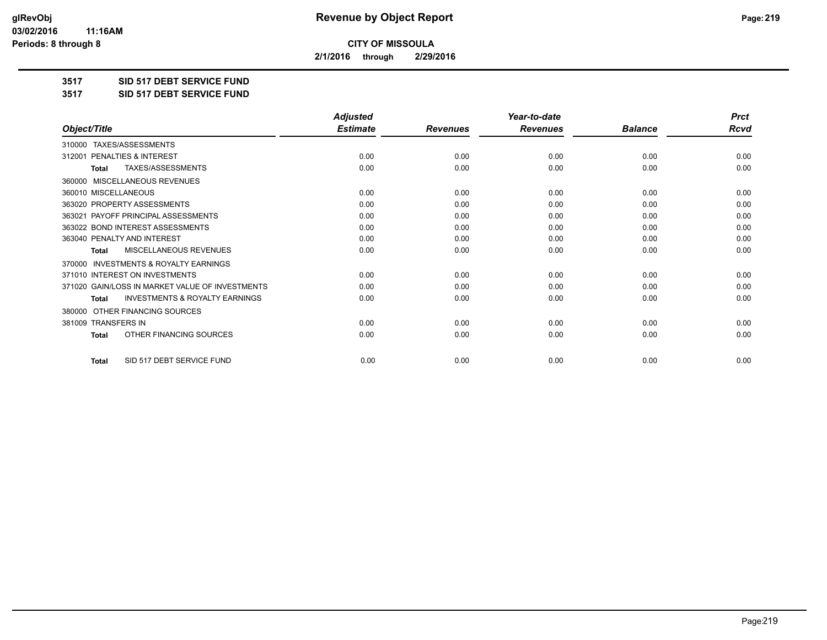**2/1/2016 through 2/29/2016**

**3517 SID 517 DEBT SERVICE FUND**

**3517 SID 517 DEBT SERVICE FUND**

|                                                           | <b>Adjusted</b> |                 | Year-to-date    |                | <b>Prct</b> |
|-----------------------------------------------------------|-----------------|-----------------|-----------------|----------------|-------------|
| Object/Title                                              | <b>Estimate</b> | <b>Revenues</b> | <b>Revenues</b> | <b>Balance</b> | <b>Rcvd</b> |
| TAXES/ASSESSMENTS<br>310000                               |                 |                 |                 |                |             |
| PENALTIES & INTEREST<br>312001                            | 0.00            | 0.00            | 0.00            | 0.00           | 0.00        |
| <b>TAXES/ASSESSMENTS</b><br><b>Total</b>                  | 0.00            | 0.00            | 0.00            | 0.00           | 0.00        |
| MISCELLANEOUS REVENUES<br>360000                          |                 |                 |                 |                |             |
| 360010 MISCELLANEOUS                                      | 0.00            | 0.00            | 0.00            | 0.00           | 0.00        |
| 363020 PROPERTY ASSESSMENTS                               | 0.00            | 0.00            | 0.00            | 0.00           | 0.00        |
| PAYOFF PRINCIPAL ASSESSMENTS<br>363021                    | 0.00            | 0.00            | 0.00            | 0.00           | 0.00        |
| 363022 BOND INTEREST ASSESSMENTS                          | 0.00            | 0.00            | 0.00            | 0.00           | 0.00        |
| 363040 PENALTY AND INTEREST                               | 0.00            | 0.00            | 0.00            | 0.00           | 0.00        |
| <b>MISCELLANEOUS REVENUES</b><br><b>Total</b>             | 0.00            | 0.00            | 0.00            | 0.00           | 0.00        |
| <b>INVESTMENTS &amp; ROYALTY EARNINGS</b><br>370000       |                 |                 |                 |                |             |
| 371010 INTEREST ON INVESTMENTS                            | 0.00            | 0.00            | 0.00            | 0.00           | 0.00        |
| 371020 GAIN/LOSS IN MARKET VALUE OF INVESTMENTS           | 0.00            | 0.00            | 0.00            | 0.00           | 0.00        |
| <b>INVESTMENTS &amp; ROYALTY EARNINGS</b><br><b>Total</b> | 0.00            | 0.00            | 0.00            | 0.00           | 0.00        |
| OTHER FINANCING SOURCES<br>380000                         |                 |                 |                 |                |             |
| 381009 TRANSFERS IN                                       | 0.00            | 0.00            | 0.00            | 0.00           | 0.00        |
| OTHER FINANCING SOURCES<br><b>Total</b>                   | 0.00            | 0.00            | 0.00            | 0.00           | 0.00        |
| SID 517 DEBT SERVICE FUND<br><b>Total</b>                 | 0.00            | 0.00            | 0.00            | 0.00           | 0.00        |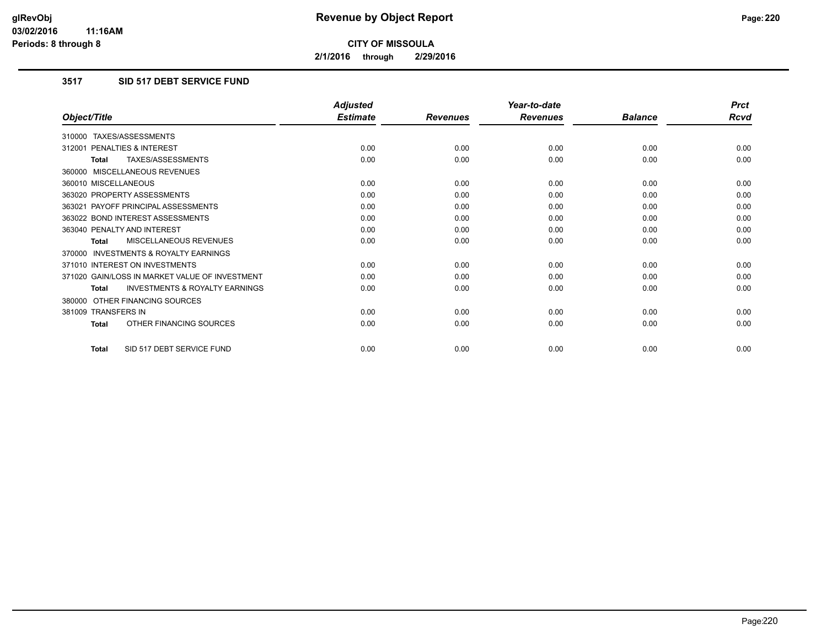**2/1/2016 through 2/29/2016**

### **3517 SID 517 DEBT SERVICE FUND**

|                                                           | <b>Adjusted</b> |                 | Year-to-date    |                | <b>Prct</b> |
|-----------------------------------------------------------|-----------------|-----------------|-----------------|----------------|-------------|
| Object/Title                                              | <b>Estimate</b> | <b>Revenues</b> | <b>Revenues</b> | <b>Balance</b> | <b>Rcvd</b> |
| 310000 TAXES/ASSESSMENTS                                  |                 |                 |                 |                |             |
| 312001 PENALTIES & INTEREST                               | 0.00            | 0.00            | 0.00            | 0.00           | 0.00        |
| TAXES/ASSESSMENTS<br><b>Total</b>                         | 0.00            | 0.00            | 0.00            | 0.00           | 0.00        |
| 360000 MISCELLANEOUS REVENUES                             |                 |                 |                 |                |             |
| 360010 MISCELLANEOUS                                      | 0.00            | 0.00            | 0.00            | 0.00           | 0.00        |
| 363020 PROPERTY ASSESSMENTS                               | 0.00            | 0.00            | 0.00            | 0.00           | 0.00        |
| 363021 PAYOFF PRINCIPAL ASSESSMENTS                       | 0.00            | 0.00            | 0.00            | 0.00           | 0.00        |
| 363022 BOND INTEREST ASSESSMENTS                          | 0.00            | 0.00            | 0.00            | 0.00           | 0.00        |
| 363040 PENALTY AND INTEREST                               | 0.00            | 0.00            | 0.00            | 0.00           | 0.00        |
| MISCELLANEOUS REVENUES<br><b>Total</b>                    | 0.00            | 0.00            | 0.00            | 0.00           | 0.00        |
| <b>INVESTMENTS &amp; ROYALTY EARNINGS</b><br>370000       |                 |                 |                 |                |             |
| 371010 INTEREST ON INVESTMENTS                            | 0.00            | 0.00            | 0.00            | 0.00           | 0.00        |
| 371020 GAIN/LOSS IN MARKET VALUE OF INVESTMENT            | 0.00            | 0.00            | 0.00            | 0.00           | 0.00        |
| <b>INVESTMENTS &amp; ROYALTY EARNINGS</b><br><b>Total</b> | 0.00            | 0.00            | 0.00            | 0.00           | 0.00        |
| OTHER FINANCING SOURCES<br>380000                         |                 |                 |                 |                |             |
| 381009 TRANSFERS IN                                       | 0.00            | 0.00            | 0.00            | 0.00           | 0.00        |
| OTHER FINANCING SOURCES<br><b>Total</b>                   | 0.00            | 0.00            | 0.00            | 0.00           | 0.00        |
| SID 517 DEBT SERVICE FUND<br><b>Total</b>                 | 0.00            | 0.00            | 0.00            | 0.00           | 0.00        |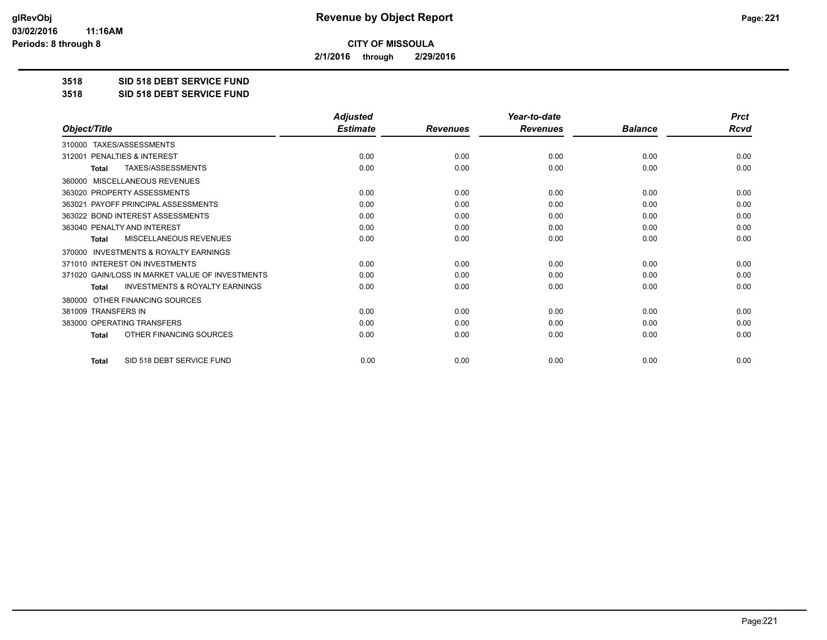**2/1/2016 through 2/29/2016**

**3518 SID 518 DEBT SERVICE FUND**

**3518 SID 518 DEBT SERVICE FUND**

|                                                           | <b>Adjusted</b> |                 | Year-to-date    |                | <b>Prct</b> |
|-----------------------------------------------------------|-----------------|-----------------|-----------------|----------------|-------------|
| Object/Title                                              | <b>Estimate</b> | <b>Revenues</b> | <b>Revenues</b> | <b>Balance</b> | <b>Rcvd</b> |
| 310000 TAXES/ASSESSMENTS                                  |                 |                 |                 |                |             |
| PENALTIES & INTEREST<br>312001                            | 0.00            | 0.00            | 0.00            | 0.00           | 0.00        |
| TAXES/ASSESSMENTS<br><b>Total</b>                         | 0.00            | 0.00            | 0.00            | 0.00           | 0.00        |
| <b>MISCELLANEOUS REVENUES</b><br>360000                   |                 |                 |                 |                |             |
| 363020 PROPERTY ASSESSMENTS                               | 0.00            | 0.00            | 0.00            | 0.00           | 0.00        |
| 363021 PAYOFF PRINCIPAL ASSESSMENTS                       | 0.00            | 0.00            | 0.00            | 0.00           | 0.00        |
| 363022 BOND INTEREST ASSESSMENTS                          | 0.00            | 0.00            | 0.00            | 0.00           | 0.00        |
| 363040 PENALTY AND INTEREST                               | 0.00            | 0.00            | 0.00            | 0.00           | 0.00        |
| <b>MISCELLANEOUS REVENUES</b><br><b>Total</b>             | 0.00            | 0.00            | 0.00            | 0.00           | 0.00        |
| <b>INVESTMENTS &amp; ROYALTY EARNINGS</b><br>370000       |                 |                 |                 |                |             |
| 371010 INTEREST ON INVESTMENTS                            | 0.00            | 0.00            | 0.00            | 0.00           | 0.00        |
| 371020 GAIN/LOSS IN MARKET VALUE OF INVESTMENTS           | 0.00            | 0.00            | 0.00            | 0.00           | 0.00        |
| <b>INVESTMENTS &amp; ROYALTY EARNINGS</b><br><b>Total</b> | 0.00            | 0.00            | 0.00            | 0.00           | 0.00        |
| OTHER FINANCING SOURCES<br>380000                         |                 |                 |                 |                |             |
| 381009 TRANSFERS IN                                       | 0.00            | 0.00            | 0.00            | 0.00           | 0.00        |
| 383000 OPERATING TRANSFERS                                | 0.00            | 0.00            | 0.00            | 0.00           | 0.00        |
| OTHER FINANCING SOURCES<br><b>Total</b>                   | 0.00            | 0.00            | 0.00            | 0.00           | 0.00        |
| SID 518 DEBT SERVICE FUND<br><b>Total</b>                 | 0.00            | 0.00            | 0.00            | 0.00           | 0.00        |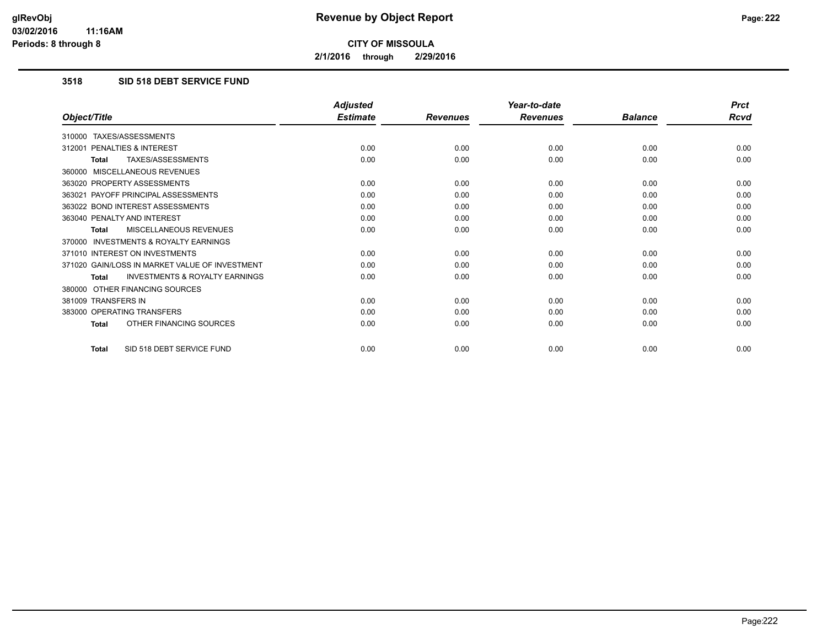**2/1/2016 through 2/29/2016**

### **3518 SID 518 DEBT SERVICE FUND**

|                                                           | <b>Adjusted</b> |                 | Year-to-date    |                | <b>Prct</b> |
|-----------------------------------------------------------|-----------------|-----------------|-----------------|----------------|-------------|
| Object/Title                                              | <b>Estimate</b> | <b>Revenues</b> | <b>Revenues</b> | <b>Balance</b> | <b>Rcvd</b> |
| 310000 TAXES/ASSESSMENTS                                  |                 |                 |                 |                |             |
| 312001 PENALTIES & INTEREST                               | 0.00            | 0.00            | 0.00            | 0.00           | 0.00        |
| <b>TAXES/ASSESSMENTS</b><br><b>Total</b>                  | 0.00            | 0.00            | 0.00            | 0.00           | 0.00        |
| 360000 MISCELLANEOUS REVENUES                             |                 |                 |                 |                |             |
| 363020 PROPERTY ASSESSMENTS                               | 0.00            | 0.00            | 0.00            | 0.00           | 0.00        |
| 363021 PAYOFF PRINCIPAL ASSESSMENTS                       | 0.00            | 0.00            | 0.00            | 0.00           | 0.00        |
| 363022 BOND INTEREST ASSESSMENTS                          | 0.00            | 0.00            | 0.00            | 0.00           | 0.00        |
| 363040 PENALTY AND INTEREST                               | 0.00            | 0.00            | 0.00            | 0.00           | 0.00        |
| MISCELLANEOUS REVENUES<br>Total                           | 0.00            | 0.00            | 0.00            | 0.00           | 0.00        |
| <b>INVESTMENTS &amp; ROYALTY EARNINGS</b><br>370000       |                 |                 |                 |                |             |
| 371010 INTEREST ON INVESTMENTS                            | 0.00            | 0.00            | 0.00            | 0.00           | 0.00        |
| 371020 GAIN/LOSS IN MARKET VALUE OF INVESTMENT            | 0.00            | 0.00            | 0.00            | 0.00           | 0.00        |
| <b>INVESTMENTS &amp; ROYALTY EARNINGS</b><br><b>Total</b> | 0.00            | 0.00            | 0.00            | 0.00           | 0.00        |
| 380000 OTHER FINANCING SOURCES                            |                 |                 |                 |                |             |
| 381009 TRANSFERS IN                                       | 0.00            | 0.00            | 0.00            | 0.00           | 0.00        |
| 383000 OPERATING TRANSFERS                                | 0.00            | 0.00            | 0.00            | 0.00           | 0.00        |
| OTHER FINANCING SOURCES<br><b>Total</b>                   | 0.00            | 0.00            | 0.00            | 0.00           | 0.00        |
| SID 518 DEBT SERVICE FUND<br><b>Total</b>                 | 0.00            | 0.00            | 0.00            | 0.00           | 0.00        |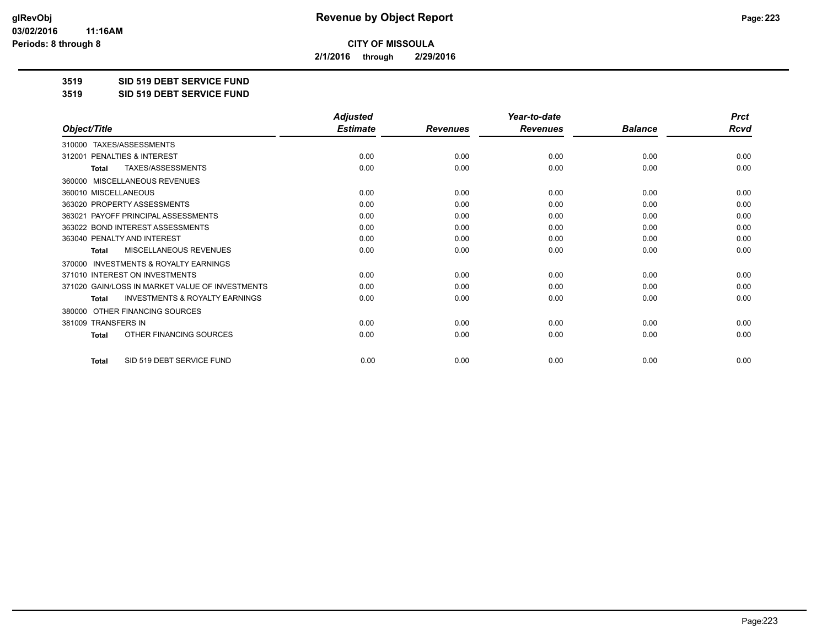**2/1/2016 through 2/29/2016**

**3519 SID 519 DEBT SERVICE FUND**

**3519 SID 519 DEBT SERVICE FUND**

|                                                     | <b>Adjusted</b> |                 | Year-to-date    |                | <b>Prct</b> |
|-----------------------------------------------------|-----------------|-----------------|-----------------|----------------|-------------|
| Object/Title                                        | <b>Estimate</b> | <b>Revenues</b> | <b>Revenues</b> | <b>Balance</b> | <b>Rcvd</b> |
| 310000 TAXES/ASSESSMENTS                            |                 |                 |                 |                |             |
| <b>PENALTIES &amp; INTEREST</b><br>312001           | 0.00            | 0.00            | 0.00            | 0.00           | 0.00        |
| TAXES/ASSESSMENTS<br><b>Total</b>                   | 0.00            | 0.00            | 0.00            | 0.00           | 0.00        |
| MISCELLANEOUS REVENUES<br>360000                    |                 |                 |                 |                |             |
| 360010 MISCELLANEOUS                                | 0.00            | 0.00            | 0.00            | 0.00           | 0.00        |
| 363020 PROPERTY ASSESSMENTS                         | 0.00            | 0.00            | 0.00            | 0.00           | 0.00        |
| 363021 PAYOFF PRINCIPAL ASSESSMENTS                 | 0.00            | 0.00            | 0.00            | 0.00           | 0.00        |
| 363022 BOND INTEREST ASSESSMENTS                    | 0.00            | 0.00            | 0.00            | 0.00           | 0.00        |
| 363040 PENALTY AND INTEREST                         | 0.00            | 0.00            | 0.00            | 0.00           | 0.00        |
| MISCELLANEOUS REVENUES<br><b>Total</b>              | 0.00            | 0.00            | 0.00            | 0.00           | 0.00        |
| <b>INVESTMENTS &amp; ROYALTY EARNINGS</b><br>370000 |                 |                 |                 |                |             |
| 371010 INTEREST ON INVESTMENTS                      | 0.00            | 0.00            | 0.00            | 0.00           | 0.00        |
| 371020 GAIN/LOSS IN MARKET VALUE OF INVESTMENTS     | 0.00            | 0.00            | 0.00            | 0.00           | 0.00        |
| <b>INVESTMENTS &amp; ROYALTY EARNINGS</b><br>Total  | 0.00            | 0.00            | 0.00            | 0.00           | 0.00        |
| OTHER FINANCING SOURCES<br>380000                   |                 |                 |                 |                |             |
| 381009 TRANSFERS IN                                 | 0.00            | 0.00            | 0.00            | 0.00           | 0.00        |
| OTHER FINANCING SOURCES<br>Total                    | 0.00            | 0.00            | 0.00            | 0.00           | 0.00        |
| SID 519 DEBT SERVICE FUND<br><b>Total</b>           | 0.00            | 0.00            | 0.00            | 0.00           | 0.00        |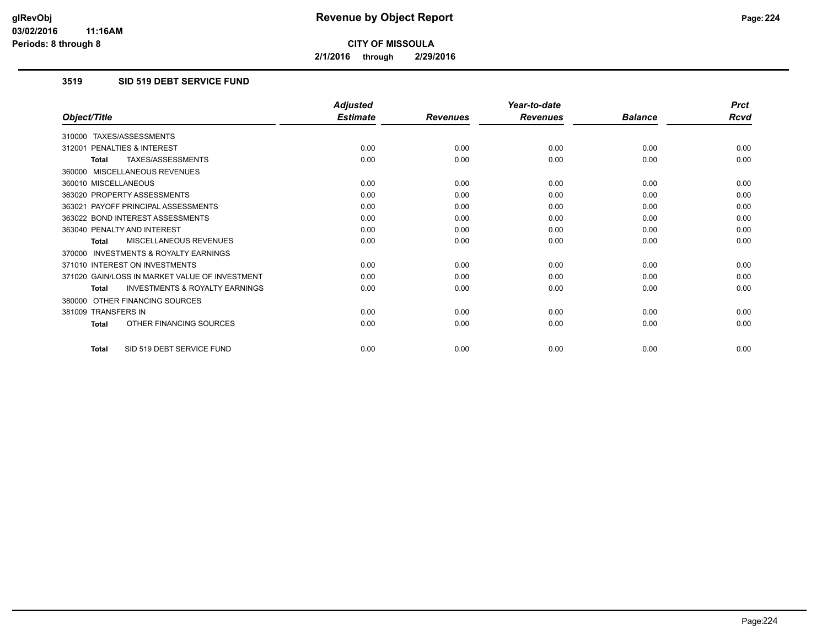**2/1/2016 through 2/29/2016**

## **3519 SID 519 DEBT SERVICE FUND**

|                                                           | <b>Adjusted</b> |                 | Year-to-date    |                | <b>Prct</b> |
|-----------------------------------------------------------|-----------------|-----------------|-----------------|----------------|-------------|
| Object/Title                                              | <b>Estimate</b> | <b>Revenues</b> | <b>Revenues</b> | <b>Balance</b> | <b>Rcvd</b> |
| 310000 TAXES/ASSESSMENTS                                  |                 |                 |                 |                |             |
| 312001 PENALTIES & INTEREST                               | 0.00            | 0.00            | 0.00            | 0.00           | 0.00        |
| TAXES/ASSESSMENTS<br><b>Total</b>                         | 0.00            | 0.00            | 0.00            | 0.00           | 0.00        |
| 360000 MISCELLANEOUS REVENUES                             |                 |                 |                 |                |             |
| 360010 MISCELLANEOUS                                      | 0.00            | 0.00            | 0.00            | 0.00           | 0.00        |
| 363020 PROPERTY ASSESSMENTS                               | 0.00            | 0.00            | 0.00            | 0.00           | 0.00        |
| 363021 PAYOFF PRINCIPAL ASSESSMENTS                       | 0.00            | 0.00            | 0.00            | 0.00           | 0.00        |
| 363022 BOND INTEREST ASSESSMENTS                          | 0.00            | 0.00            | 0.00            | 0.00           | 0.00        |
| 363040 PENALTY AND INTEREST                               | 0.00            | 0.00            | 0.00            | 0.00           | 0.00        |
| MISCELLANEOUS REVENUES<br><b>Total</b>                    | 0.00            | 0.00            | 0.00            | 0.00           | 0.00        |
| <b>INVESTMENTS &amp; ROYALTY EARNINGS</b><br>370000       |                 |                 |                 |                |             |
| 371010 INTEREST ON INVESTMENTS                            | 0.00            | 0.00            | 0.00            | 0.00           | 0.00        |
| 371020 GAIN/LOSS IN MARKET VALUE OF INVESTMENT            | 0.00            | 0.00            | 0.00            | 0.00           | 0.00        |
| <b>INVESTMENTS &amp; ROYALTY EARNINGS</b><br><b>Total</b> | 0.00            | 0.00            | 0.00            | 0.00           | 0.00        |
| 380000 OTHER FINANCING SOURCES                            |                 |                 |                 |                |             |
| 381009 TRANSFERS IN                                       | 0.00            | 0.00            | 0.00            | 0.00           | 0.00        |
| OTHER FINANCING SOURCES<br><b>Total</b>                   | 0.00            | 0.00            | 0.00            | 0.00           | 0.00        |
| SID 519 DEBT SERVICE FUND<br>Total                        | 0.00            | 0.00            | 0.00            | 0.00           | 0.00        |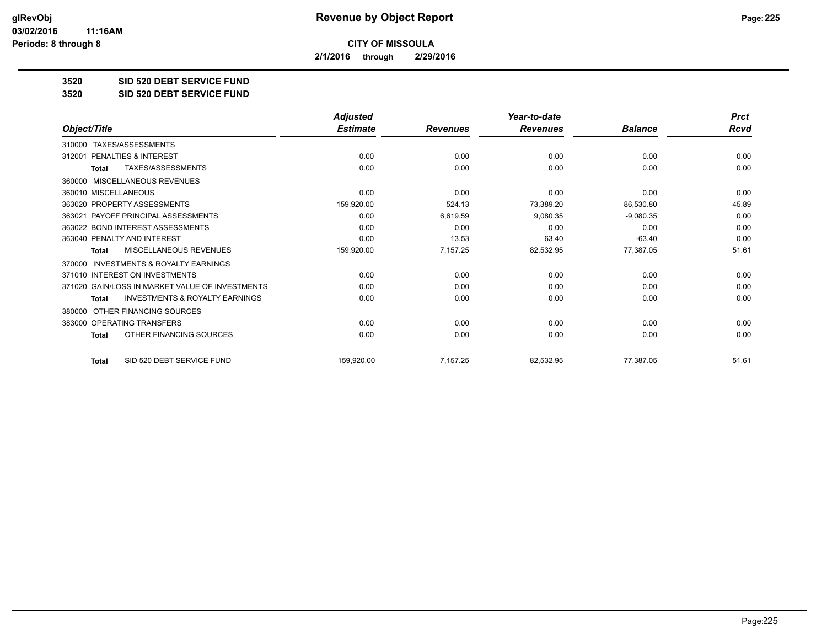**2/1/2016 through 2/29/2016**

**3520 SID 520 DEBT SERVICE FUND**

**3520 SID 520 DEBT SERVICE FUND**

|                                                           | <b>Adjusted</b> |                 | Year-to-date    |                | <b>Prct</b> |
|-----------------------------------------------------------|-----------------|-----------------|-----------------|----------------|-------------|
| Object/Title                                              | <b>Estimate</b> | <b>Revenues</b> | <b>Revenues</b> | <b>Balance</b> | <b>Rcvd</b> |
| TAXES/ASSESSMENTS<br>310000                               |                 |                 |                 |                |             |
| 312001 PENALTIES & INTEREST                               | 0.00            | 0.00            | 0.00            | 0.00           | 0.00        |
| TAXES/ASSESSMENTS<br><b>Total</b>                         | 0.00            | 0.00            | 0.00            | 0.00           | 0.00        |
| <b>MISCELLANEOUS REVENUES</b><br>360000                   |                 |                 |                 |                |             |
| 360010 MISCELLANEOUS                                      | 0.00            | 0.00            | 0.00            | 0.00           | 0.00        |
| 363020 PROPERTY ASSESSMENTS                               | 159,920.00      | 524.13          | 73,389.20       | 86,530.80      | 45.89       |
| 363021 PAYOFF PRINCIPAL ASSESSMENTS                       | 0.00            | 6,619.59        | 9,080.35        | $-9,080.35$    | 0.00        |
| 363022 BOND INTEREST ASSESSMENTS                          | 0.00            | 0.00            | 0.00            | 0.00           | 0.00        |
| 363040 PENALTY AND INTEREST                               | 0.00            | 13.53           | 63.40           | $-63.40$       | 0.00        |
| <b>MISCELLANEOUS REVENUES</b><br><b>Total</b>             | 159,920.00      | 7,157.25        | 82,532.95       | 77,387.05      | 51.61       |
| <b>INVESTMENTS &amp; ROYALTY EARNINGS</b><br>370000       |                 |                 |                 |                |             |
| 371010 INTEREST ON INVESTMENTS                            | 0.00            | 0.00            | 0.00            | 0.00           | 0.00        |
| 371020 GAIN/LOSS IN MARKET VALUE OF INVESTMENTS           | 0.00            | 0.00            | 0.00            | 0.00           | 0.00        |
| <b>INVESTMENTS &amp; ROYALTY EARNINGS</b><br><b>Total</b> | 0.00            | 0.00            | 0.00            | 0.00           | 0.00        |
| OTHER FINANCING SOURCES<br>380000                         |                 |                 |                 |                |             |
| 383000 OPERATING TRANSFERS                                | 0.00            | 0.00            | 0.00            | 0.00           | 0.00        |
| OTHER FINANCING SOURCES<br><b>Total</b>                   | 0.00            | 0.00            | 0.00            | 0.00           | 0.00        |
| SID 520 DEBT SERVICE FUND<br><b>Total</b>                 | 159,920.00      | 7,157.25        | 82,532.95       | 77,387.05      | 51.61       |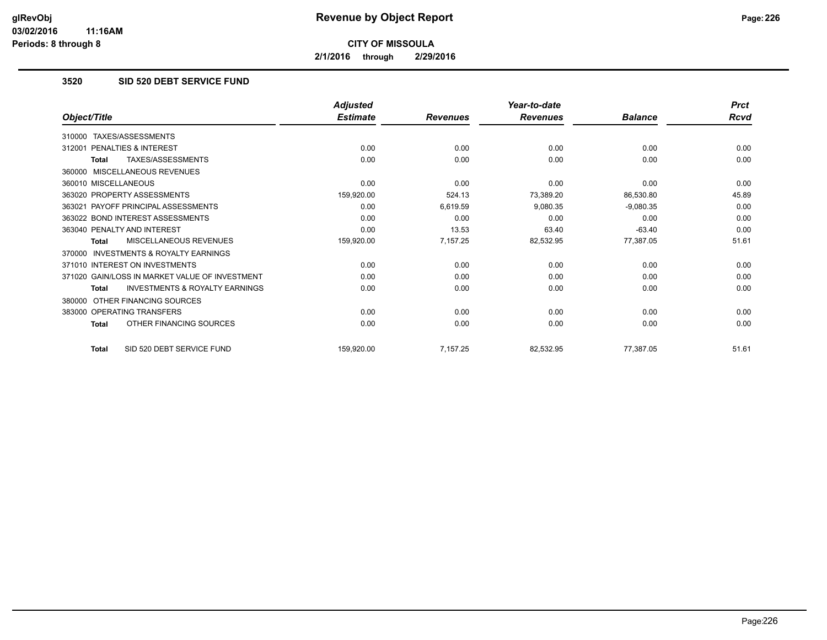**2/1/2016 through 2/29/2016**

# **3520 SID 520 DEBT SERVICE FUND**

|                                                           | <b>Adjusted</b> |                 | Year-to-date    |                | <b>Prct</b> |
|-----------------------------------------------------------|-----------------|-----------------|-----------------|----------------|-------------|
| Object/Title                                              | <b>Estimate</b> | <b>Revenues</b> | <b>Revenues</b> | <b>Balance</b> | <b>Rcvd</b> |
| TAXES/ASSESSMENTS<br>310000                               |                 |                 |                 |                |             |
| PENALTIES & INTEREST<br>312001                            | 0.00            | 0.00            | 0.00            | 0.00           | 0.00        |
| TAXES/ASSESSMENTS<br><b>Total</b>                         | 0.00            | 0.00            | 0.00            | 0.00           | 0.00        |
| MISCELLANEOUS REVENUES<br>360000                          |                 |                 |                 |                |             |
| 360010 MISCELLANEOUS                                      | 0.00            | 0.00            | 0.00            | 0.00           | 0.00        |
| 363020 PROPERTY ASSESSMENTS                               | 159,920.00      | 524.13          | 73,389.20       | 86,530.80      | 45.89       |
| PAYOFF PRINCIPAL ASSESSMENTS<br>363021                    | 0.00            | 6,619.59        | 9,080.35        | $-9,080.35$    | 0.00        |
| 363022 BOND INTEREST ASSESSMENTS                          | 0.00            | 0.00            | 0.00            | 0.00           | 0.00        |
| 363040 PENALTY AND INTEREST                               | 0.00            | 13.53           | 63.40           | $-63.40$       | 0.00        |
| MISCELLANEOUS REVENUES<br><b>Total</b>                    | 159,920.00      | 7,157.25        | 82,532.95       | 77,387.05      | 51.61       |
| <b>INVESTMENTS &amp; ROYALTY EARNINGS</b><br>370000       |                 |                 |                 |                |             |
| 371010 INTEREST ON INVESTMENTS                            | 0.00            | 0.00            | 0.00            | 0.00           | 0.00        |
| 371020 GAIN/LOSS IN MARKET VALUE OF INVESTMENT            | 0.00            | 0.00            | 0.00            | 0.00           | 0.00        |
| <b>INVESTMENTS &amp; ROYALTY EARNINGS</b><br><b>Total</b> | 0.00            | 0.00            | 0.00            | 0.00           | 0.00        |
| OTHER FINANCING SOURCES<br>380000                         |                 |                 |                 |                |             |
| 383000 OPERATING TRANSFERS                                | 0.00            | 0.00            | 0.00            | 0.00           | 0.00        |
| OTHER FINANCING SOURCES<br><b>Total</b>                   | 0.00            | 0.00            | 0.00            | 0.00           | 0.00        |
| SID 520 DEBT SERVICE FUND<br><b>Total</b>                 | 159,920.00      | 7,157.25        | 82,532.95       | 77,387.05      | 51.61       |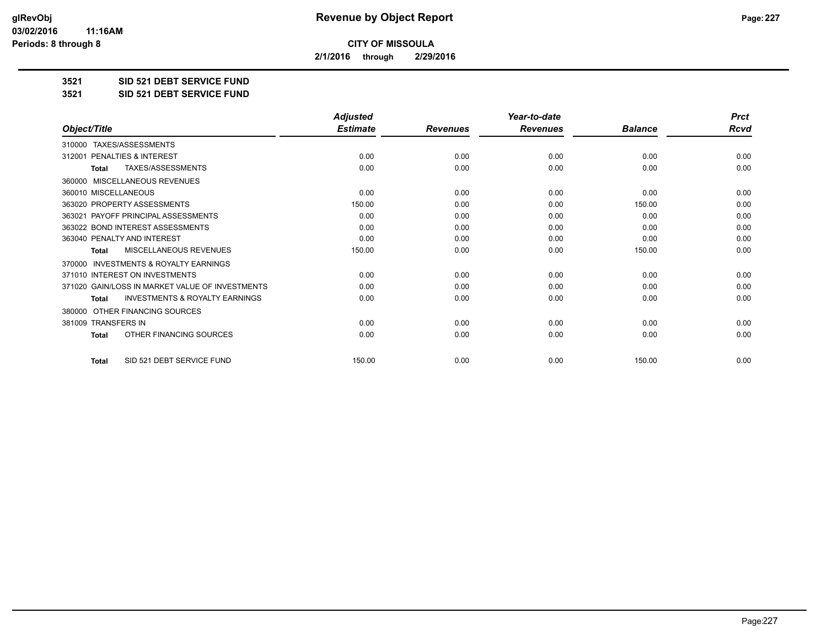**2/1/2016 through 2/29/2016**

**3521 SID 521 DEBT SERVICE FUND**

**3521 SID 521 DEBT SERVICE FUND**

|                                                           | <b>Adjusted</b> |                 | Year-to-date    |                | <b>Prct</b> |
|-----------------------------------------------------------|-----------------|-----------------|-----------------|----------------|-------------|
| Object/Title                                              | <b>Estimate</b> | <b>Revenues</b> | <b>Revenues</b> | <b>Balance</b> | <b>Rcvd</b> |
| TAXES/ASSESSMENTS<br>310000                               |                 |                 |                 |                |             |
| PENALTIES & INTEREST<br>312001                            | 0.00            | 0.00            | 0.00            | 0.00           | 0.00        |
| TAXES/ASSESSMENTS<br><b>Total</b>                         | 0.00            | 0.00            | 0.00            | 0.00           | 0.00        |
| <b>MISCELLANEOUS REVENUES</b><br>360000                   |                 |                 |                 |                |             |
| 360010 MISCELLANEOUS                                      | 0.00            | 0.00            | 0.00            | 0.00           | 0.00        |
| 363020 PROPERTY ASSESSMENTS                               | 150.00          | 0.00            | 0.00            | 150.00         | 0.00        |
| 363021 PAYOFF PRINCIPAL ASSESSMENTS                       | 0.00            | 0.00            | 0.00            | 0.00           | 0.00        |
| 363022 BOND INTEREST ASSESSMENTS                          | 0.00            | 0.00            | 0.00            | 0.00           | 0.00        |
| 363040 PENALTY AND INTEREST                               | 0.00            | 0.00            | 0.00            | 0.00           | 0.00        |
| MISCELLANEOUS REVENUES<br><b>Total</b>                    | 150.00          | 0.00            | 0.00            | 150.00         | 0.00        |
| <b>INVESTMENTS &amp; ROYALTY EARNINGS</b><br>370000       |                 |                 |                 |                |             |
| 371010 INTEREST ON INVESTMENTS                            | 0.00            | 0.00            | 0.00            | 0.00           | 0.00        |
| 371020 GAIN/LOSS IN MARKET VALUE OF INVESTMENTS           | 0.00            | 0.00            | 0.00            | 0.00           | 0.00        |
| <b>INVESTMENTS &amp; ROYALTY EARNINGS</b><br><b>Total</b> | 0.00            | 0.00            | 0.00            | 0.00           | 0.00        |
| OTHER FINANCING SOURCES<br>380000                         |                 |                 |                 |                |             |
| 381009 TRANSFERS IN                                       | 0.00            | 0.00            | 0.00            | 0.00           | 0.00        |
| OTHER FINANCING SOURCES<br><b>Total</b>                   | 0.00            | 0.00            | 0.00            | 0.00           | 0.00        |
| SID 521 DEBT SERVICE FUND<br><b>Total</b>                 | 150.00          | 0.00            | 0.00            | 150.00         | 0.00        |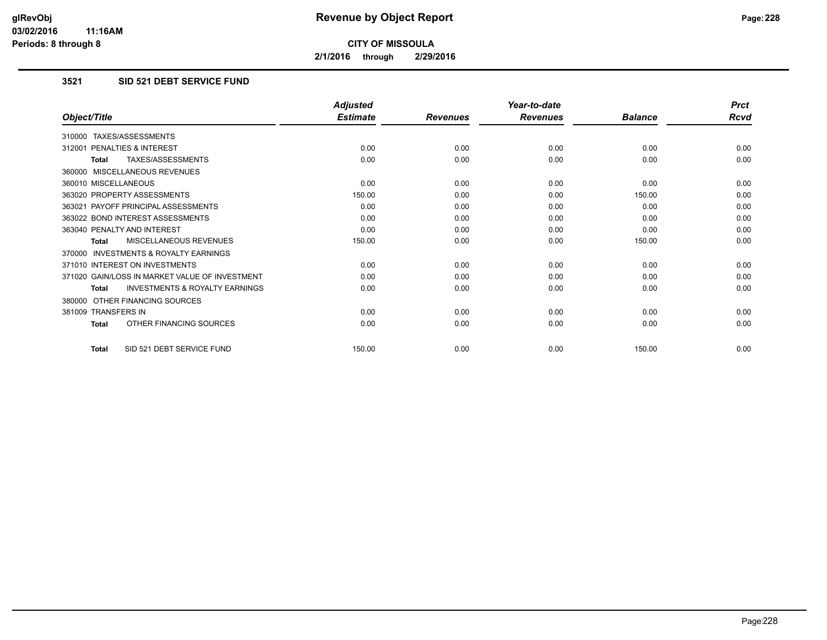**2/1/2016 through 2/29/2016**

## **3521 SID 521 DEBT SERVICE FUND**

|                                                           | <b>Adjusted</b> |                 | Year-to-date    |                | <b>Prct</b> |
|-----------------------------------------------------------|-----------------|-----------------|-----------------|----------------|-------------|
| Object/Title                                              | <b>Estimate</b> | <b>Revenues</b> | <b>Revenues</b> | <b>Balance</b> | <b>Rcvd</b> |
| 310000 TAXES/ASSESSMENTS                                  |                 |                 |                 |                |             |
| 312001 PENALTIES & INTEREST                               | 0.00            | 0.00            | 0.00            | 0.00           | 0.00        |
| TAXES/ASSESSMENTS<br><b>Total</b>                         | 0.00            | 0.00            | 0.00            | 0.00           | 0.00        |
| 360000 MISCELLANEOUS REVENUES                             |                 |                 |                 |                |             |
| 360010 MISCELLANEOUS                                      | 0.00            | 0.00            | 0.00            | 0.00           | 0.00        |
| 363020 PROPERTY ASSESSMENTS                               | 150.00          | 0.00            | 0.00            | 150.00         | 0.00        |
| 363021 PAYOFF PRINCIPAL ASSESSMENTS                       | 0.00            | 0.00            | 0.00            | 0.00           | 0.00        |
| 363022 BOND INTEREST ASSESSMENTS                          | 0.00            | 0.00            | 0.00            | 0.00           | 0.00        |
| 363040 PENALTY AND INTEREST                               | 0.00            | 0.00            | 0.00            | 0.00           | 0.00        |
| MISCELLANEOUS REVENUES<br><b>Total</b>                    | 150.00          | 0.00            | 0.00            | 150.00         | 0.00        |
| <b>INVESTMENTS &amp; ROYALTY EARNINGS</b><br>370000       |                 |                 |                 |                |             |
| 371010 INTEREST ON INVESTMENTS                            | 0.00            | 0.00            | 0.00            | 0.00           | 0.00        |
| 371020 GAIN/LOSS IN MARKET VALUE OF INVESTMENT            | 0.00            | 0.00            | 0.00            | 0.00           | 0.00        |
| <b>INVESTMENTS &amp; ROYALTY EARNINGS</b><br><b>Total</b> | 0.00            | 0.00            | 0.00            | 0.00           | 0.00        |
| 380000 OTHER FINANCING SOURCES                            |                 |                 |                 |                |             |
| 381009 TRANSFERS IN                                       | 0.00            | 0.00            | 0.00            | 0.00           | 0.00        |
| OTHER FINANCING SOURCES<br>Total                          | 0.00            | 0.00            | 0.00            | 0.00           | 0.00        |
| SID 521 DEBT SERVICE FUND<br><b>Total</b>                 | 150.00          | 0.00            | 0.00            | 150.00         | 0.00        |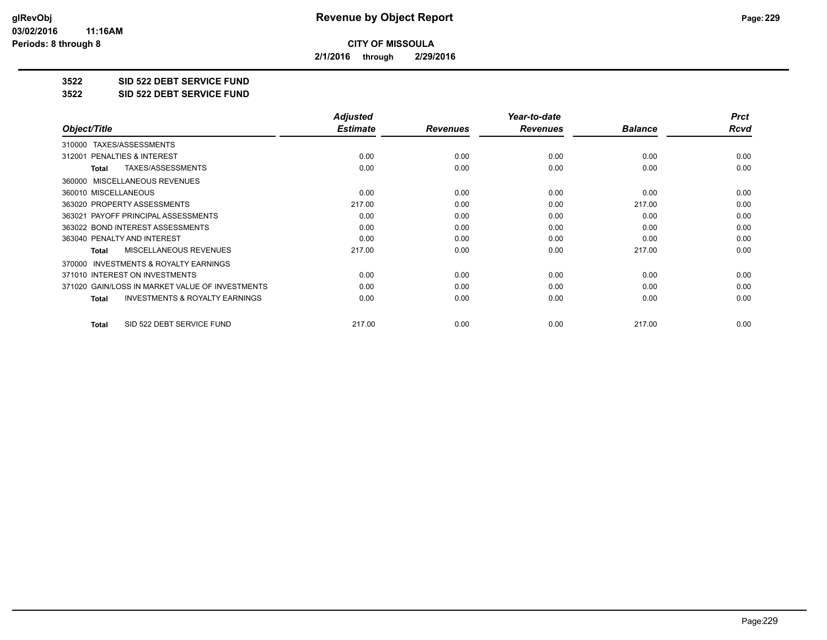**2/1/2016 through 2/29/2016**

**3522 SID 522 DEBT SERVICE FUND**

**3522 SID 522 DEBT SERVICE FUND**

|                                                           | <b>Adjusted</b> |                 | Year-to-date    |                | <b>Prct</b> |
|-----------------------------------------------------------|-----------------|-----------------|-----------------|----------------|-------------|
| Object/Title                                              | <b>Estimate</b> | <b>Revenues</b> | <b>Revenues</b> | <b>Balance</b> | Rcvd        |
| TAXES/ASSESSMENTS<br>310000                               |                 |                 |                 |                |             |
| 312001 PENALTIES & INTEREST                               | 0.00            | 0.00            | 0.00            | 0.00           | 0.00        |
| TAXES/ASSESSMENTS<br><b>Total</b>                         | 0.00            | 0.00            | 0.00            | 0.00           | 0.00        |
| MISCELLANEOUS REVENUES<br>360000                          |                 |                 |                 |                |             |
| 360010 MISCELLANEOUS                                      | 0.00            | 0.00            | 0.00            | 0.00           | 0.00        |
| 363020 PROPERTY ASSESSMENTS                               | 217.00          | 0.00            | 0.00            | 217.00         | 0.00        |
| 363021 PAYOFF PRINCIPAL ASSESSMENTS                       | 0.00            | 0.00            | 0.00            | 0.00           | 0.00        |
| 363022 BOND INTEREST ASSESSMENTS                          | 0.00            | 0.00            | 0.00            | 0.00           | 0.00        |
| 363040 PENALTY AND INTEREST                               | 0.00            | 0.00            | 0.00            | 0.00           | 0.00        |
| MISCELLANEOUS REVENUES<br>Total                           | 217.00          | 0.00            | 0.00            | 217.00         | 0.00        |
| INVESTMENTS & ROYALTY EARNINGS<br>370000                  |                 |                 |                 |                |             |
| 371010 INTEREST ON INVESTMENTS                            | 0.00            | 0.00            | 0.00            | 0.00           | 0.00        |
| 371020 GAIN/LOSS IN MARKET VALUE OF INVESTMENTS           | 0.00            | 0.00            | 0.00            | 0.00           | 0.00        |
| <b>INVESTMENTS &amp; ROYALTY EARNINGS</b><br><b>Total</b> | 0.00            | 0.00            | 0.00            | 0.00           | 0.00        |
| SID 522 DEBT SERVICE FUND<br>Total                        | 217.00          | 0.00            | 0.00            | 217.00         | 0.00        |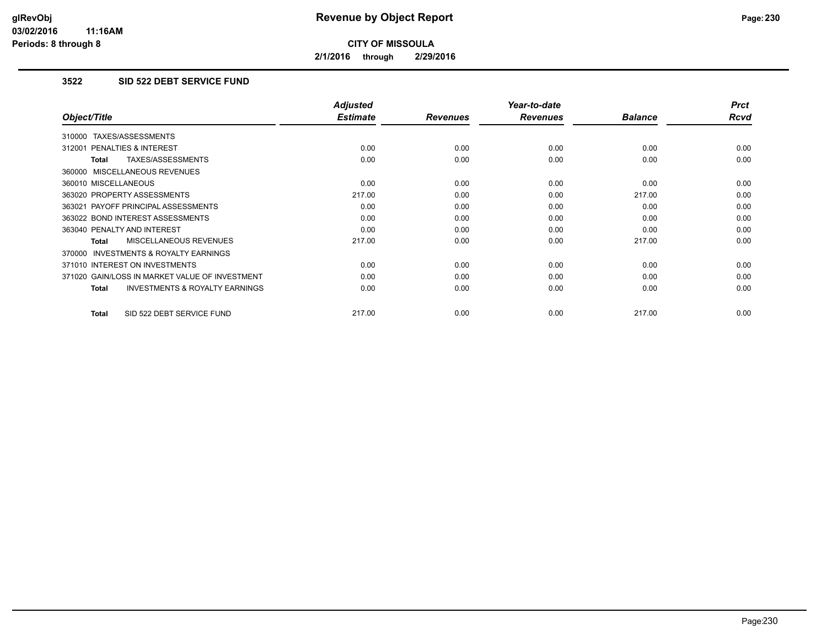**2/1/2016 through 2/29/2016**

### **3522 SID 522 DEBT SERVICE FUND**

|                                                           | <b>Adjusted</b> |                 | Year-to-date    |                | <b>Prct</b> |
|-----------------------------------------------------------|-----------------|-----------------|-----------------|----------------|-------------|
| Object/Title                                              | <b>Estimate</b> | <b>Revenues</b> | <b>Revenues</b> | <b>Balance</b> | <b>Rcvd</b> |
| 310000 TAXES/ASSESSMENTS                                  |                 |                 |                 |                |             |
| 312001 PENALTIES & INTEREST                               | 0.00            | 0.00            | 0.00            | 0.00           | 0.00        |
| TAXES/ASSESSMENTS<br><b>Total</b>                         | 0.00            | 0.00            | 0.00            | 0.00           | 0.00        |
| 360000 MISCELLANEOUS REVENUES                             |                 |                 |                 |                |             |
| 360010 MISCELLANEOUS                                      | 0.00            | 0.00            | 0.00            | 0.00           | 0.00        |
| 363020 PROPERTY ASSESSMENTS                               | 217.00          | 0.00            | 0.00            | 217.00         | 0.00        |
| 363021 PAYOFF PRINCIPAL ASSESSMENTS                       | 0.00            | 0.00            | 0.00            | 0.00           | 0.00        |
| 363022 BOND INTEREST ASSESSMENTS                          | 0.00            | 0.00            | 0.00            | 0.00           | 0.00        |
| 363040 PENALTY AND INTEREST                               | 0.00            | 0.00            | 0.00            | 0.00           | 0.00        |
| MISCELLANEOUS REVENUES<br><b>Total</b>                    | 217.00          | 0.00            | 0.00            | 217.00         | 0.00        |
| <b>INVESTMENTS &amp; ROYALTY EARNINGS</b><br>370000       |                 |                 |                 |                |             |
| 371010 INTEREST ON INVESTMENTS                            | 0.00            | 0.00            | 0.00            | 0.00           | 0.00        |
| 371020 GAIN/LOSS IN MARKET VALUE OF INVESTMENT            | 0.00            | 0.00            | 0.00            | 0.00           | 0.00        |
| <b>INVESTMENTS &amp; ROYALTY EARNINGS</b><br><b>Total</b> | 0.00            | 0.00            | 0.00            | 0.00           | 0.00        |
| SID 522 DEBT SERVICE FUND<br><b>Total</b>                 | 217.00          | 0.00            | 0.00            | 217.00         | 0.00        |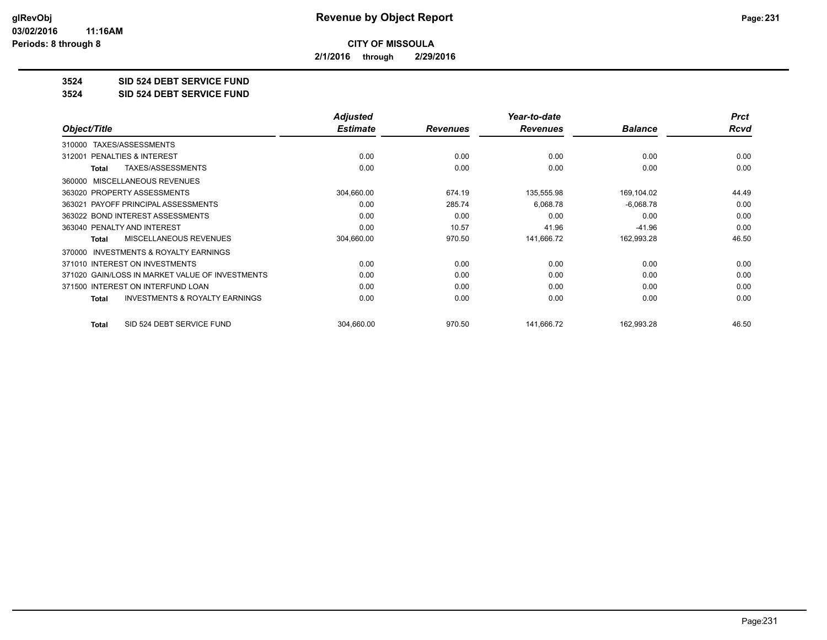**2/1/2016 through 2/29/2016**

**3524 SID 524 DEBT SERVICE FUND**

**3524 SID 524 DEBT SERVICE FUND**

|                                                     | <b>Adjusted</b> |                 | Year-to-date    |                | <b>Prct</b> |
|-----------------------------------------------------|-----------------|-----------------|-----------------|----------------|-------------|
| Object/Title                                        | <b>Estimate</b> | <b>Revenues</b> | <b>Revenues</b> | <b>Balance</b> | Rcvd        |
| TAXES/ASSESSMENTS<br>310000                         |                 |                 |                 |                |             |
| <b>PENALTIES &amp; INTEREST</b><br>312001           | 0.00            | 0.00            | 0.00            | 0.00           | 0.00        |
| TAXES/ASSESSMENTS<br>Total                          | 0.00            | 0.00            | 0.00            | 0.00           | 0.00        |
| 360000 MISCELLANEOUS REVENUES                       |                 |                 |                 |                |             |
| 363020 PROPERTY ASSESSMENTS                         | 304,660.00      | 674.19          | 135,555.98      | 169,104.02     | 44.49       |
| 363021 PAYOFF PRINCIPAL ASSESSMENTS                 | 0.00            | 285.74          | 6,068.78        | $-6,068.78$    | 0.00        |
| 363022 BOND INTEREST ASSESSMENTS                    | 0.00            | 0.00            | 0.00            | 0.00           | 0.00        |
| 363040 PENALTY AND INTEREST                         | 0.00            | 10.57           | 41.96           | $-41.96$       | 0.00        |
| <b>MISCELLANEOUS REVENUES</b><br>Total              | 304,660.00      | 970.50          | 141,666.72      | 162,993.28     | 46.50       |
| <b>INVESTMENTS &amp; ROYALTY EARNINGS</b><br>370000 |                 |                 |                 |                |             |
| 371010 INTEREST ON INVESTMENTS                      | 0.00            | 0.00            | 0.00            | 0.00           | 0.00        |
| 371020 GAIN/LOSS IN MARKET VALUE OF INVESTMENTS     | 0.00            | 0.00            | 0.00            | 0.00           | 0.00        |
| 371500 INTEREST ON INTERFUND LOAN                   | 0.00            | 0.00            | 0.00            | 0.00           | 0.00        |
| <b>INVESTMENTS &amp; ROYALTY EARNINGS</b><br>Total  | 0.00            | 0.00            | 0.00            | 0.00           | 0.00        |
| SID 524 DEBT SERVICE FUND<br><b>Total</b>           | 304,660.00      | 970.50          | 141,666.72      | 162,993.28     | 46.50       |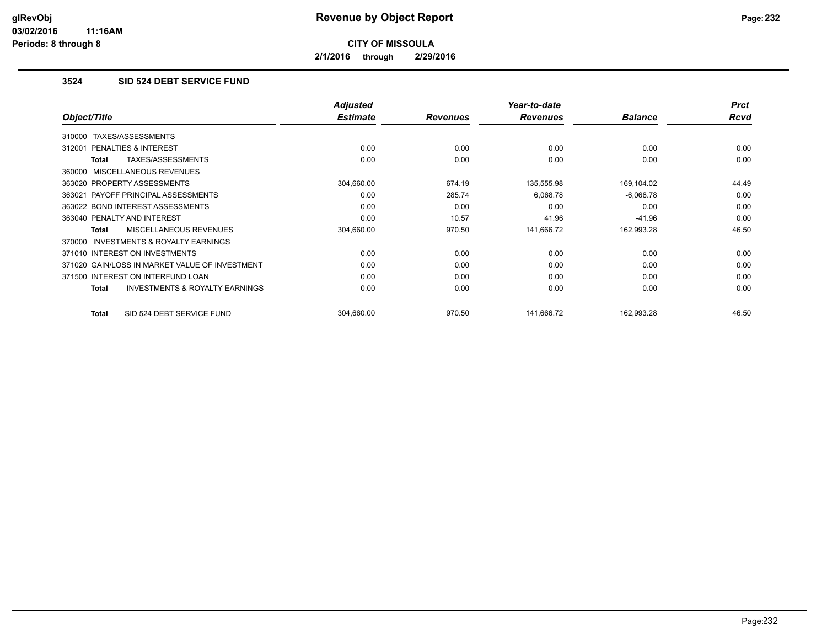**2/1/2016 through 2/29/2016**

## **3524 SID 524 DEBT SERVICE FUND**

|                                                     | <b>Adjusted</b> |                 | Year-to-date    |                | <b>Prct</b> |
|-----------------------------------------------------|-----------------|-----------------|-----------------|----------------|-------------|
| Object/Title                                        | <b>Estimate</b> | <b>Revenues</b> | <b>Revenues</b> | <b>Balance</b> | Rcvd        |
| 310000 TAXES/ASSESSMENTS                            |                 |                 |                 |                |             |
| 312001 PENALTIES & INTEREST                         | 0.00            | 0.00            | 0.00            | 0.00           | 0.00        |
| TAXES/ASSESSMENTS<br>Total                          | 0.00            | 0.00            | 0.00            | 0.00           | 0.00        |
| 360000 MISCELLANEOUS REVENUES                       |                 |                 |                 |                |             |
| 363020 PROPERTY ASSESSMENTS                         | 304,660.00      | 674.19          | 135,555.98      | 169,104.02     | 44.49       |
| 363021 PAYOFF PRINCIPAL ASSESSMENTS                 | 0.00            | 285.74          | 6,068.78        | $-6,068.78$    | 0.00        |
| 363022 BOND INTEREST ASSESSMENTS                    | 0.00            | 0.00            | 0.00            | 0.00           | 0.00        |
| 363040 PENALTY AND INTEREST                         | 0.00            | 10.57           | 41.96           | $-41.96$       | 0.00        |
| <b>MISCELLANEOUS REVENUES</b><br>Total              | 304,660.00      | 970.50          | 141,666.72      | 162,993.28     | 46.50       |
| <b>INVESTMENTS &amp; ROYALTY EARNINGS</b><br>370000 |                 |                 |                 |                |             |
| 371010 INTEREST ON INVESTMENTS                      | 0.00            | 0.00            | 0.00            | 0.00           | 0.00        |
| 371020 GAIN/LOSS IN MARKET VALUE OF INVESTMENT      | 0.00            | 0.00            | 0.00            | 0.00           | 0.00        |
| 371500 INTEREST ON INTERFUND LOAN                   | 0.00            | 0.00            | 0.00            | 0.00           | 0.00        |
| <b>INVESTMENTS &amp; ROYALTY EARNINGS</b><br>Total  | 0.00            | 0.00            | 0.00            | 0.00           | 0.00        |
| SID 524 DEBT SERVICE FUND<br>Total                  | 304,660.00      | 970.50          | 141,666.72      | 162,993.28     | 46.50       |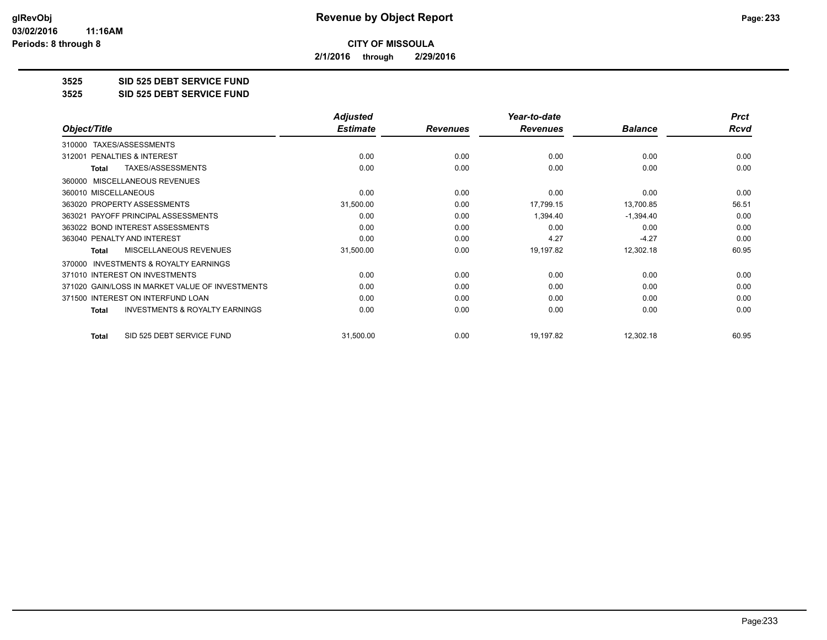**2/1/2016 through 2/29/2016**

**3525 SID 525 DEBT SERVICE FUND**

**3525 SID 525 DEBT SERVICE FUND**

|                                                    | <b>Adjusted</b> |                 | Year-to-date    |                | <b>Prct</b> |
|----------------------------------------------------|-----------------|-----------------|-----------------|----------------|-------------|
| Object/Title                                       | <b>Estimate</b> | <b>Revenues</b> | <b>Revenues</b> | <b>Balance</b> | <b>Rcvd</b> |
| TAXES/ASSESSMENTS<br>310000                        |                 |                 |                 |                |             |
| <b>PENALTIES &amp; INTEREST</b><br>312001          | 0.00            | 0.00            | 0.00            | 0.00           | 0.00        |
| TAXES/ASSESSMENTS<br><b>Total</b>                  | 0.00            | 0.00            | 0.00            | 0.00           | 0.00        |
| MISCELLANEOUS REVENUES<br>360000                   |                 |                 |                 |                |             |
| 360010 MISCELLANEOUS                               | 0.00            | 0.00            | 0.00            | 0.00           | 0.00        |
| 363020 PROPERTY ASSESSMENTS                        | 31,500.00       | 0.00            | 17,799.15       | 13,700.85      | 56.51       |
| 363021 PAYOFF PRINCIPAL ASSESSMENTS                | 0.00            | 0.00            | 1,394.40        | $-1,394.40$    | 0.00        |
| 363022 BOND INTEREST ASSESSMENTS                   | 0.00            | 0.00            | 0.00            | 0.00           | 0.00        |
| 363040 PENALTY AND INTEREST                        | 0.00            | 0.00            | 4.27            | $-4.27$        | 0.00        |
| <b>MISCELLANEOUS REVENUES</b><br>Total             | 31,500.00       | 0.00            | 19,197.82       | 12,302.18      | 60.95       |
| INVESTMENTS & ROYALTY EARNINGS<br>370000           |                 |                 |                 |                |             |
| 371010 INTEREST ON INVESTMENTS                     | 0.00            | 0.00            | 0.00            | 0.00           | 0.00        |
| 371020 GAIN/LOSS IN MARKET VALUE OF INVESTMENTS    | 0.00            | 0.00            | 0.00            | 0.00           | 0.00        |
| 371500 INTEREST ON INTERFUND LOAN                  | 0.00            | 0.00            | 0.00            | 0.00           | 0.00        |
| <b>INVESTMENTS &amp; ROYALTY EARNINGS</b><br>Total | 0.00            | 0.00            | 0.00            | 0.00           | 0.00        |
| SID 525 DEBT SERVICE FUND<br><b>Total</b>          | 31,500.00       | 0.00            | 19,197.82       | 12,302.18      | 60.95       |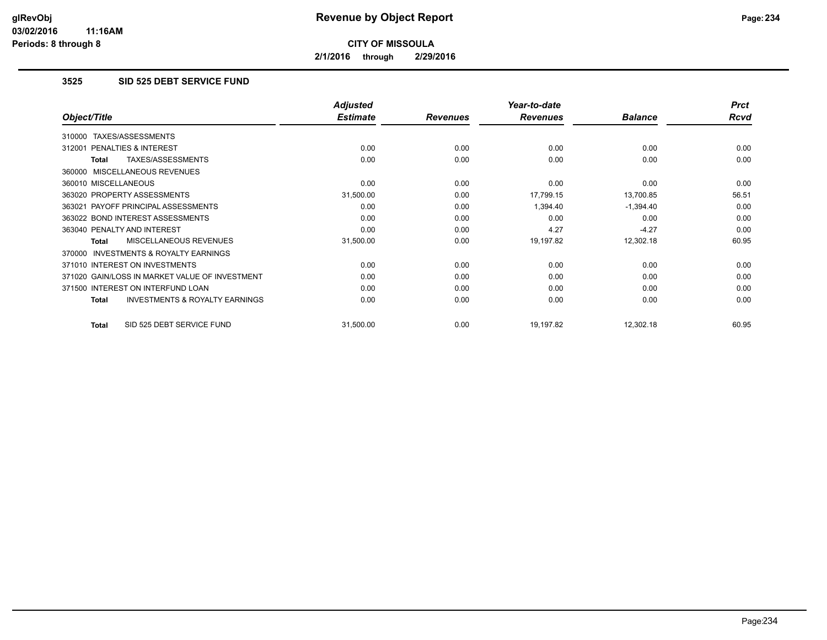**2/1/2016 through 2/29/2016**

### **3525 SID 525 DEBT SERVICE FUND**

|                                                     | <b>Adjusted</b> |                 | Year-to-date    |                | <b>Prct</b> |
|-----------------------------------------------------|-----------------|-----------------|-----------------|----------------|-------------|
| Object/Title                                        | <b>Estimate</b> | <b>Revenues</b> | <b>Revenues</b> | <b>Balance</b> | Rcvd        |
| TAXES/ASSESSMENTS<br>310000                         |                 |                 |                 |                |             |
| 312001 PENALTIES & INTEREST                         | 0.00            | 0.00            | 0.00            | 0.00           | 0.00        |
| TAXES/ASSESSMENTS<br>Total                          | 0.00            | 0.00            | 0.00            | 0.00           | 0.00        |
| 360000 MISCELLANEOUS REVENUES                       |                 |                 |                 |                |             |
| 360010 MISCELLANEOUS                                | 0.00            | 0.00            | 0.00            | 0.00           | 0.00        |
| 363020 PROPERTY ASSESSMENTS                         | 31,500.00       | 0.00            | 17,799.15       | 13,700.85      | 56.51       |
| 363021 PAYOFF PRINCIPAL ASSESSMENTS                 | 0.00            | 0.00            | 1,394.40        | $-1,394.40$    | 0.00        |
| 363022 BOND INTEREST ASSESSMENTS                    | 0.00            | 0.00            | 0.00            | 0.00           | 0.00        |
| 363040 PENALTY AND INTEREST                         | 0.00            | 0.00            | 4.27            | $-4.27$        | 0.00        |
| MISCELLANEOUS REVENUES<br>Total                     | 31,500.00       | 0.00            | 19,197.82       | 12,302.18      | 60.95       |
| <b>INVESTMENTS &amp; ROYALTY EARNINGS</b><br>370000 |                 |                 |                 |                |             |
| 371010 INTEREST ON INVESTMENTS                      | 0.00            | 0.00            | 0.00            | 0.00           | 0.00        |
| 371020 GAIN/LOSS IN MARKET VALUE OF INVESTMENT      | 0.00            | 0.00            | 0.00            | 0.00           | 0.00        |
| 371500 INTEREST ON INTERFUND LOAN                   | 0.00            | 0.00            | 0.00            | 0.00           | 0.00        |
| <b>INVESTMENTS &amp; ROYALTY EARNINGS</b><br>Total  | 0.00            | 0.00            | 0.00            | 0.00           | 0.00        |
| SID 525 DEBT SERVICE FUND<br>Total                  | 31,500.00       | 0.00            | 19,197.82       | 12,302.18      | 60.95       |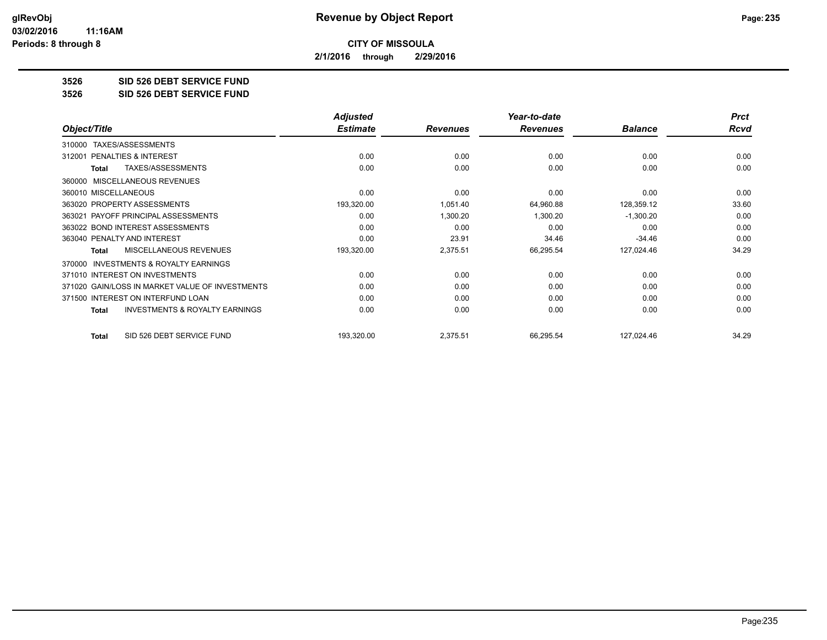**2/1/2016 through 2/29/2016**

**3526 SID 526 DEBT SERVICE FUND**

**3526 SID 526 DEBT SERVICE FUND**

|                                                           | <b>Adjusted</b> |                 | Year-to-date    |                | <b>Prct</b> |
|-----------------------------------------------------------|-----------------|-----------------|-----------------|----------------|-------------|
| Object/Title                                              | <b>Estimate</b> | <b>Revenues</b> | <b>Revenues</b> | <b>Balance</b> | <b>Rcvd</b> |
| TAXES/ASSESSMENTS<br>310000                               |                 |                 |                 |                |             |
| PENALTIES & INTEREST<br>312001                            | 0.00            | 0.00            | 0.00            | 0.00           | 0.00        |
| TAXES/ASSESSMENTS<br><b>Total</b>                         | 0.00            | 0.00            | 0.00            | 0.00           | 0.00        |
| MISCELLANEOUS REVENUES<br>360000                          |                 |                 |                 |                |             |
| 360010 MISCELLANEOUS                                      | 0.00            | 0.00            | 0.00            | 0.00           | 0.00        |
| 363020 PROPERTY ASSESSMENTS                               | 193,320.00      | 1,051.40        | 64,960.88       | 128,359.12     | 33.60       |
| 363021 PAYOFF PRINCIPAL ASSESSMENTS                       | 0.00            | 1,300.20        | 1,300.20        | $-1,300.20$    | 0.00        |
| 363022 BOND INTEREST ASSESSMENTS                          | 0.00            | 0.00            | 0.00            | 0.00           | 0.00        |
| 363040 PENALTY AND INTEREST                               | 0.00            | 23.91           | 34.46           | $-34.46$       | 0.00        |
| <b>MISCELLANEOUS REVENUES</b><br>Total                    | 193,320.00      | 2,375.51        | 66,295.54       | 127,024.46     | 34.29       |
| <b>INVESTMENTS &amp; ROYALTY EARNINGS</b><br>370000       |                 |                 |                 |                |             |
| 371010 INTEREST ON INVESTMENTS                            | 0.00            | 0.00            | 0.00            | 0.00           | 0.00        |
| 371020 GAIN/LOSS IN MARKET VALUE OF INVESTMENTS           | 0.00            | 0.00            | 0.00            | 0.00           | 0.00        |
| 371500 INTEREST ON INTERFUND LOAN                         | 0.00            | 0.00            | 0.00            | 0.00           | 0.00        |
| <b>INVESTMENTS &amp; ROYALTY EARNINGS</b><br><b>Total</b> | 0.00            | 0.00            | 0.00            | 0.00           | 0.00        |
| SID 526 DEBT SERVICE FUND<br><b>Total</b>                 | 193,320.00      | 2,375.51        | 66,295.54       | 127,024.46     | 34.29       |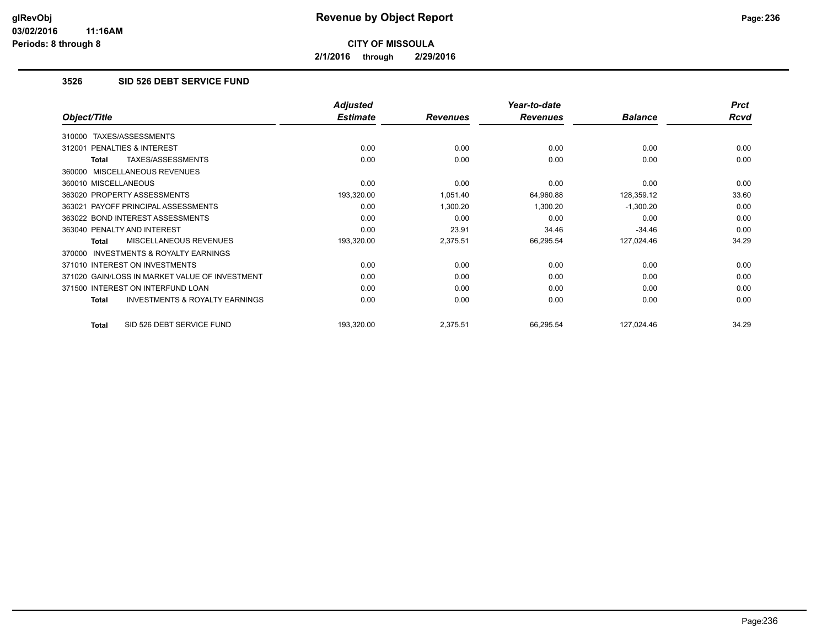**2/1/2016 through 2/29/2016**

## **3526 SID 526 DEBT SERVICE FUND**

| Object/Title                                              | <b>Adjusted</b><br><b>Estimate</b> | <b>Revenues</b> | Year-to-date<br><b>Revenues</b> | <b>Balance</b> | <b>Prct</b><br>Rcvd |
|-----------------------------------------------------------|------------------------------------|-----------------|---------------------------------|----------------|---------------------|
|                                                           |                                    |                 |                                 |                |                     |
| TAXES/ASSESSMENTS<br>310000                               |                                    |                 |                                 |                |                     |
| <b>PENALTIES &amp; INTEREST</b><br>312001                 | 0.00                               | 0.00            | 0.00                            | 0.00           | 0.00                |
| TAXES/ASSESSMENTS<br>Total                                | 0.00                               | 0.00            | 0.00                            | 0.00           | 0.00                |
| 360000 MISCELLANEOUS REVENUES                             |                                    |                 |                                 |                |                     |
| 360010 MISCELLANEOUS                                      | 0.00                               | 0.00            | 0.00                            | 0.00           | 0.00                |
| 363020 PROPERTY ASSESSMENTS                               | 193,320.00                         | 1,051.40        | 64,960.88                       | 128,359.12     | 33.60               |
| 363021 PAYOFF PRINCIPAL ASSESSMENTS                       | 0.00                               | 1,300.20        | 1,300.20                        | $-1,300.20$    | 0.00                |
| 363022 BOND INTEREST ASSESSMENTS                          | 0.00                               | 0.00            | 0.00                            | 0.00           | 0.00                |
| 363040 PENALTY AND INTEREST                               | 0.00                               | 23.91           | 34.46                           | $-34.46$       | 0.00                |
| <b>MISCELLANEOUS REVENUES</b><br>Total                    | 193,320.00                         | 2,375.51        | 66,295.54                       | 127,024.46     | 34.29               |
| 370000 INVESTMENTS & ROYALTY EARNINGS                     |                                    |                 |                                 |                |                     |
| 371010 INTEREST ON INVESTMENTS                            | 0.00                               | 0.00            | 0.00                            | 0.00           | 0.00                |
| 371020 GAIN/LOSS IN MARKET VALUE OF INVESTMENT            | 0.00                               | 0.00            | 0.00                            | 0.00           | 0.00                |
| 371500 INTEREST ON INTERFUND LOAN                         | 0.00                               | 0.00            | 0.00                            | 0.00           | 0.00                |
| <b>INVESTMENTS &amp; ROYALTY EARNINGS</b><br><b>Total</b> | 0.00                               | 0.00            | 0.00                            | 0.00           | 0.00                |
| SID 526 DEBT SERVICE FUND<br><b>Total</b>                 | 193,320.00                         | 2,375.51        | 66,295.54                       | 127,024.46     | 34.29               |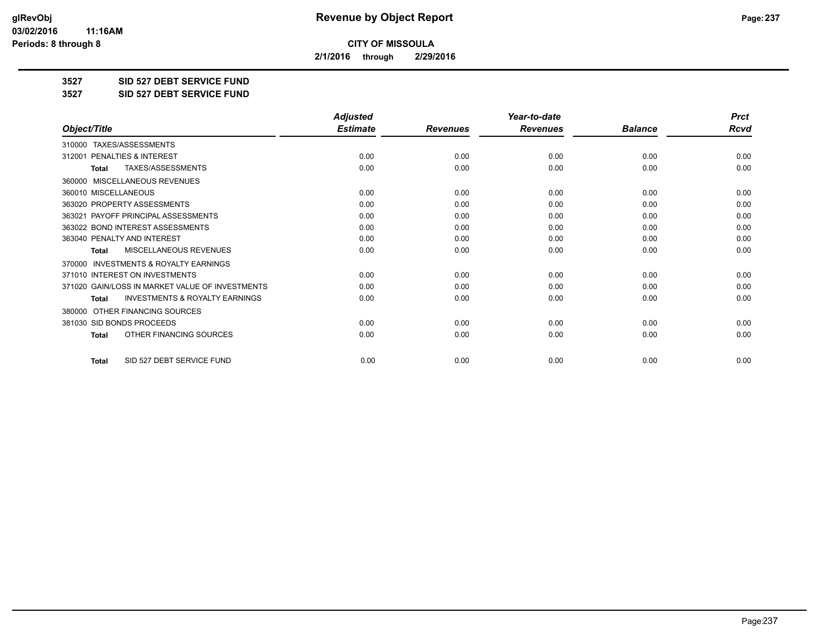**2/1/2016 through 2/29/2016**

**3527 SID 527 DEBT SERVICE FUND**

**3527 SID 527 DEBT SERVICE FUND**

|                                                           | <b>Adjusted</b> |                 | Year-to-date    |                | <b>Prct</b> |
|-----------------------------------------------------------|-----------------|-----------------|-----------------|----------------|-------------|
| Object/Title                                              | <b>Estimate</b> | <b>Revenues</b> | <b>Revenues</b> | <b>Balance</b> | <b>Rcvd</b> |
| TAXES/ASSESSMENTS<br>310000                               |                 |                 |                 |                |             |
| 312001 PENALTIES & INTEREST                               | 0.00            | 0.00            | 0.00            | 0.00           | 0.00        |
| TAXES/ASSESSMENTS<br><b>Total</b>                         | 0.00            | 0.00            | 0.00            | 0.00           | 0.00        |
| <b>MISCELLANEOUS REVENUES</b><br>360000                   |                 |                 |                 |                |             |
| 360010 MISCELLANEOUS                                      | 0.00            | 0.00            | 0.00            | 0.00           | 0.00        |
| 363020 PROPERTY ASSESSMENTS                               | 0.00            | 0.00            | 0.00            | 0.00           | 0.00        |
| 363021 PAYOFF PRINCIPAL ASSESSMENTS                       | 0.00            | 0.00            | 0.00            | 0.00           | 0.00        |
| 363022 BOND INTEREST ASSESSMENTS                          | 0.00            | 0.00            | 0.00            | 0.00           | 0.00        |
| 363040 PENALTY AND INTEREST                               | 0.00            | 0.00            | 0.00            | 0.00           | 0.00        |
| MISCELLANEOUS REVENUES<br><b>Total</b>                    | 0.00            | 0.00            | 0.00            | 0.00           | 0.00        |
| <b>INVESTMENTS &amp; ROYALTY EARNINGS</b><br>370000       |                 |                 |                 |                |             |
| 371010 INTEREST ON INVESTMENTS                            | 0.00            | 0.00            | 0.00            | 0.00           | 0.00        |
| 371020 GAIN/LOSS IN MARKET VALUE OF INVESTMENTS           | 0.00            | 0.00            | 0.00            | 0.00           | 0.00        |
| <b>INVESTMENTS &amp; ROYALTY EARNINGS</b><br><b>Total</b> | 0.00            | 0.00            | 0.00            | 0.00           | 0.00        |
| OTHER FINANCING SOURCES<br>380000                         |                 |                 |                 |                |             |
| 381030 SID BONDS PROCEEDS                                 | 0.00            | 0.00            | 0.00            | 0.00           | 0.00        |
| OTHER FINANCING SOURCES<br>Total                          | 0.00            | 0.00            | 0.00            | 0.00           | 0.00        |
| SID 527 DEBT SERVICE FUND<br><b>Total</b>                 | 0.00            | 0.00            | 0.00            | 0.00           | 0.00        |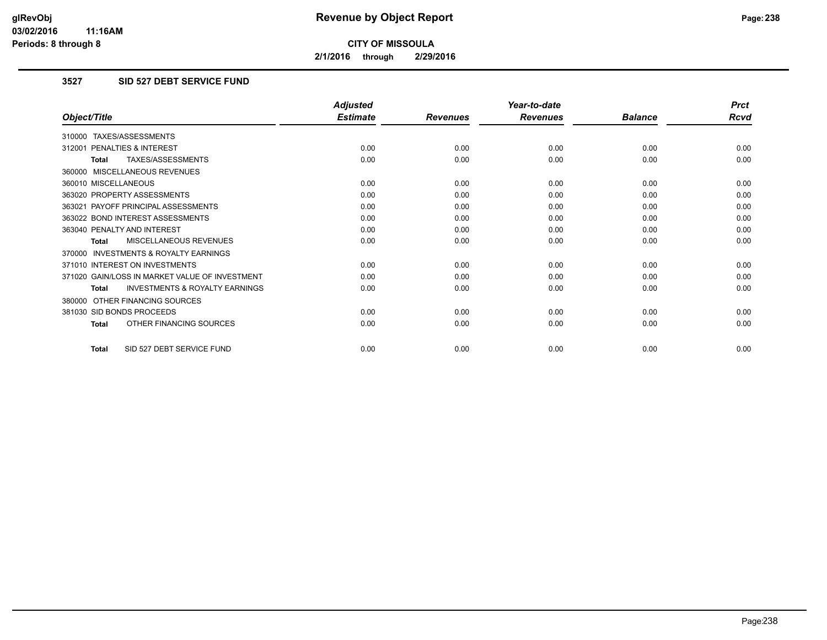**2/1/2016 through 2/29/2016**

## **3527 SID 527 DEBT SERVICE FUND**

|                                                           | <b>Adjusted</b> |                 | Year-to-date    |                | <b>Prct</b> |
|-----------------------------------------------------------|-----------------|-----------------|-----------------|----------------|-------------|
| Object/Title                                              | <b>Estimate</b> | <b>Revenues</b> | <b>Revenues</b> | <b>Balance</b> | <b>Rcvd</b> |
| 310000 TAXES/ASSESSMENTS                                  |                 |                 |                 |                |             |
| 312001 PENALTIES & INTEREST                               | 0.00            | 0.00            | 0.00            | 0.00           | 0.00        |
| TAXES/ASSESSMENTS<br><b>Total</b>                         | 0.00            | 0.00            | 0.00            | 0.00           | 0.00        |
| 360000 MISCELLANEOUS REVENUES                             |                 |                 |                 |                |             |
| 360010 MISCELLANEOUS                                      | 0.00            | 0.00            | 0.00            | 0.00           | 0.00        |
| 363020 PROPERTY ASSESSMENTS                               | 0.00            | 0.00            | 0.00            | 0.00           | 0.00        |
| 363021 PAYOFF PRINCIPAL ASSESSMENTS                       | 0.00            | 0.00            | 0.00            | 0.00           | 0.00        |
| 363022 BOND INTEREST ASSESSMENTS                          | 0.00            | 0.00            | 0.00            | 0.00           | 0.00        |
| 363040 PENALTY AND INTEREST                               | 0.00            | 0.00            | 0.00            | 0.00           | 0.00        |
| MISCELLANEOUS REVENUES<br>Total                           | 0.00            | 0.00            | 0.00            | 0.00           | 0.00        |
| 370000 INVESTMENTS & ROYALTY EARNINGS                     |                 |                 |                 |                |             |
| 371010 INTEREST ON INVESTMENTS                            | 0.00            | 0.00            | 0.00            | 0.00           | 0.00        |
| 371020 GAIN/LOSS IN MARKET VALUE OF INVESTMENT            | 0.00            | 0.00            | 0.00            | 0.00           | 0.00        |
| <b>INVESTMENTS &amp; ROYALTY EARNINGS</b><br><b>Total</b> | 0.00            | 0.00            | 0.00            | 0.00           | 0.00        |
| 380000 OTHER FINANCING SOURCES                            |                 |                 |                 |                |             |
| 381030 SID BONDS PROCEEDS                                 | 0.00            | 0.00            | 0.00            | 0.00           | 0.00        |
| OTHER FINANCING SOURCES<br><b>Total</b>                   | 0.00            | 0.00            | 0.00            | 0.00           | 0.00        |
| SID 527 DEBT SERVICE FUND<br><b>Total</b>                 | 0.00            | 0.00            | 0.00            | 0.00           | 0.00        |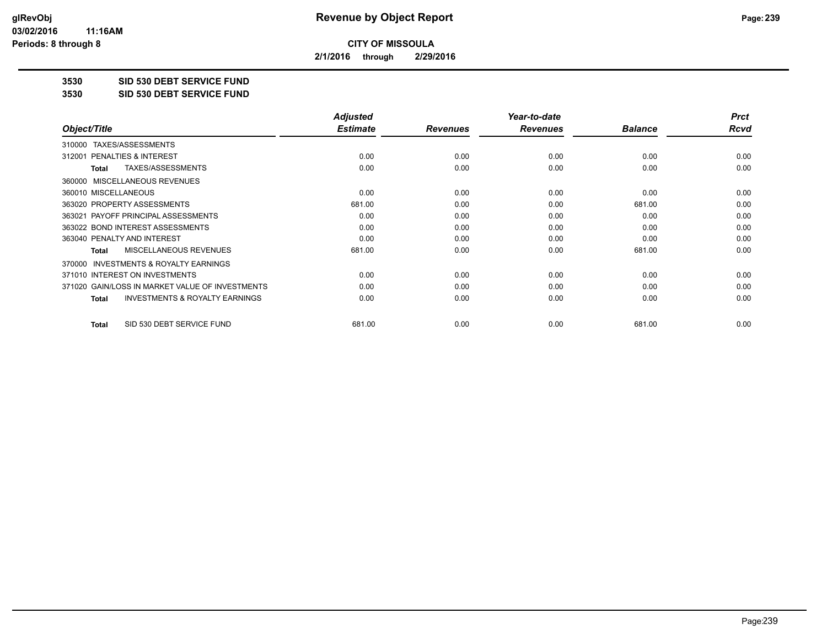**2/1/2016 through 2/29/2016**

**3530 SID 530 DEBT SERVICE FUND**

**3530 SID 530 DEBT SERVICE FUND**

|                                                           | <b>Adjusted</b> |                 | Year-to-date    |                | <b>Prct</b> |
|-----------------------------------------------------------|-----------------|-----------------|-----------------|----------------|-------------|
| Object/Title                                              | <b>Estimate</b> | <b>Revenues</b> | <b>Revenues</b> | <b>Balance</b> | Rcvd        |
| TAXES/ASSESSMENTS<br>310000                               |                 |                 |                 |                |             |
| 312001 PENALTIES & INTEREST                               | 0.00            | 0.00            | 0.00            | 0.00           | 0.00        |
| TAXES/ASSESSMENTS<br><b>Total</b>                         | 0.00            | 0.00            | 0.00            | 0.00           | 0.00        |
| MISCELLANEOUS REVENUES<br>360000                          |                 |                 |                 |                |             |
| 360010 MISCELLANEOUS                                      | 0.00            | 0.00            | 0.00            | 0.00           | 0.00        |
| 363020 PROPERTY ASSESSMENTS                               | 681.00          | 0.00            | 0.00            | 681.00         | 0.00        |
| 363021 PAYOFF PRINCIPAL ASSESSMENTS                       | 0.00            | 0.00            | 0.00            | 0.00           | 0.00        |
| 363022 BOND INTEREST ASSESSMENTS                          | 0.00            | 0.00            | 0.00            | 0.00           | 0.00        |
| 363040 PENALTY AND INTEREST                               | 0.00            | 0.00            | 0.00            | 0.00           | 0.00        |
| MISCELLANEOUS REVENUES<br><b>Total</b>                    | 681.00          | 0.00            | 0.00            | 681.00         | 0.00        |
| INVESTMENTS & ROYALTY EARNINGS<br>370000                  |                 |                 |                 |                |             |
| 371010 INTEREST ON INVESTMENTS                            | 0.00            | 0.00            | 0.00            | 0.00           | 0.00        |
| 371020 GAIN/LOSS IN MARKET VALUE OF INVESTMENTS           | 0.00            | 0.00            | 0.00            | 0.00           | 0.00        |
| <b>INVESTMENTS &amp; ROYALTY EARNINGS</b><br><b>Total</b> | 0.00            | 0.00            | 0.00            | 0.00           | 0.00        |
| SID 530 DEBT SERVICE FUND<br><b>Total</b>                 | 681.00          | 0.00            | 0.00            | 681.00         | 0.00        |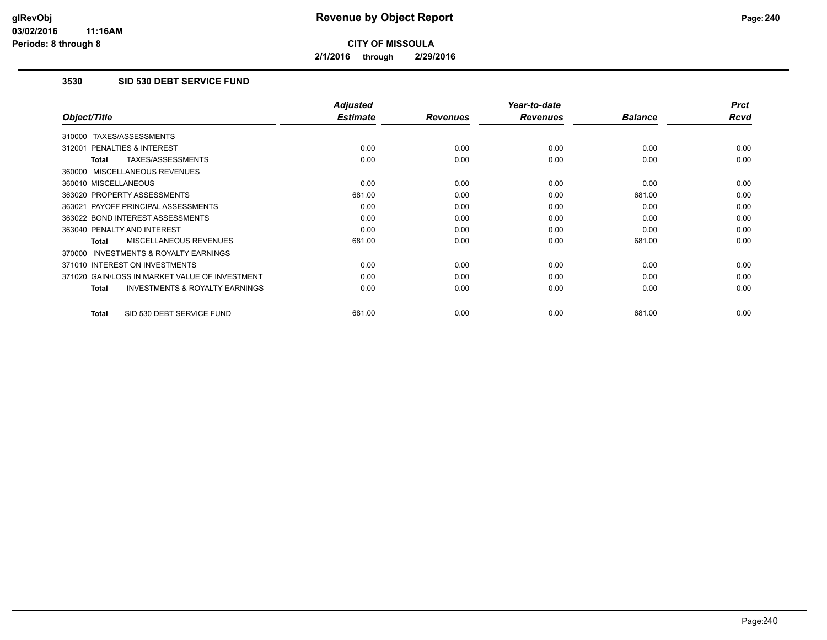**2/1/2016 through 2/29/2016**

### **3530 SID 530 DEBT SERVICE FUND**

|                                                           | <b>Adjusted</b> |                 | Year-to-date    |                | <b>Prct</b> |
|-----------------------------------------------------------|-----------------|-----------------|-----------------|----------------|-------------|
| Object/Title                                              | <b>Estimate</b> | <b>Revenues</b> | <b>Revenues</b> | <b>Balance</b> | <b>Rcvd</b> |
| 310000 TAXES/ASSESSMENTS                                  |                 |                 |                 |                |             |
| 312001 PENALTIES & INTEREST                               | 0.00            | 0.00            | 0.00            | 0.00           | 0.00        |
| <b>TAXES/ASSESSMENTS</b><br><b>Total</b>                  | 0.00            | 0.00            | 0.00            | 0.00           | 0.00        |
| 360000 MISCELLANEOUS REVENUES                             |                 |                 |                 |                |             |
| 360010 MISCELLANEOUS                                      | 0.00            | 0.00            | 0.00            | 0.00           | 0.00        |
| 363020 PROPERTY ASSESSMENTS                               | 681.00          | 0.00            | 0.00            | 681.00         | 0.00        |
| 363021 PAYOFF PRINCIPAL ASSESSMENTS                       | 0.00            | 0.00            | 0.00            | 0.00           | 0.00        |
| 363022 BOND INTEREST ASSESSMENTS                          | 0.00            | 0.00            | 0.00            | 0.00           | 0.00        |
| 363040 PENALTY AND INTEREST                               | 0.00            | 0.00            | 0.00            | 0.00           | 0.00        |
| MISCELLANEOUS REVENUES<br><b>Total</b>                    | 681.00          | 0.00            | 0.00            | 681.00         | 0.00        |
| <b>INVESTMENTS &amp; ROYALTY EARNINGS</b><br>370000       |                 |                 |                 |                |             |
| 371010 INTEREST ON INVESTMENTS                            | 0.00            | 0.00            | 0.00            | 0.00           | 0.00        |
| 371020 GAIN/LOSS IN MARKET VALUE OF INVESTMENT            | 0.00            | 0.00            | 0.00            | 0.00           | 0.00        |
| <b>INVESTMENTS &amp; ROYALTY EARNINGS</b><br><b>Total</b> | 0.00            | 0.00            | 0.00            | 0.00           | 0.00        |
| SID 530 DEBT SERVICE FUND<br><b>Total</b>                 | 681.00          | 0.00            | 0.00            | 681.00         | 0.00        |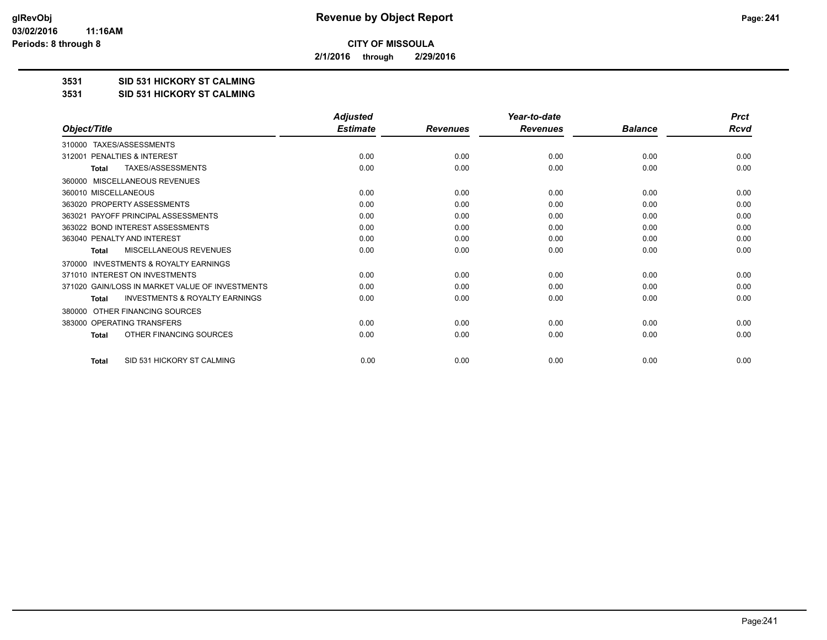**2/1/2016 through 2/29/2016**

**3531 SID 531 HICKORY ST CALMING**

**3531 SID 531 HICKORY ST CALMING**

|                                                           | <b>Adjusted</b> |                 | Year-to-date    |                | <b>Prct</b> |
|-----------------------------------------------------------|-----------------|-----------------|-----------------|----------------|-------------|
| Object/Title                                              | <b>Estimate</b> | <b>Revenues</b> | <b>Revenues</b> | <b>Balance</b> | <b>Rcvd</b> |
| 310000 TAXES/ASSESSMENTS                                  |                 |                 |                 |                |             |
| PENALTIES & INTEREST<br>312001                            | 0.00            | 0.00            | 0.00            | 0.00           | 0.00        |
| TAXES/ASSESSMENTS<br><b>Total</b>                         | 0.00            | 0.00            | 0.00            | 0.00           | 0.00        |
| MISCELLANEOUS REVENUES<br>360000                          |                 |                 |                 |                |             |
| 360010 MISCELLANEOUS                                      | 0.00            | 0.00            | 0.00            | 0.00           | 0.00        |
| 363020 PROPERTY ASSESSMENTS                               | 0.00            | 0.00            | 0.00            | 0.00           | 0.00        |
| 363021 PAYOFF PRINCIPAL ASSESSMENTS                       | 0.00            | 0.00            | 0.00            | 0.00           | 0.00        |
| 363022 BOND INTEREST ASSESSMENTS                          | 0.00            | 0.00            | 0.00            | 0.00           | 0.00        |
| 363040 PENALTY AND INTEREST                               | 0.00            | 0.00            | 0.00            | 0.00           | 0.00        |
| MISCELLANEOUS REVENUES<br><b>Total</b>                    | 0.00            | 0.00            | 0.00            | 0.00           | 0.00        |
| <b>INVESTMENTS &amp; ROYALTY EARNINGS</b><br>370000       |                 |                 |                 |                |             |
| 371010 INTEREST ON INVESTMENTS                            | 0.00            | 0.00            | 0.00            | 0.00           | 0.00        |
| 371020 GAIN/LOSS IN MARKET VALUE OF INVESTMENTS           | 0.00            | 0.00            | 0.00            | 0.00           | 0.00        |
| <b>INVESTMENTS &amp; ROYALTY EARNINGS</b><br><b>Total</b> | 0.00            | 0.00            | 0.00            | 0.00           | 0.00        |
| OTHER FINANCING SOURCES<br>380000                         |                 |                 |                 |                |             |
| 383000 OPERATING TRANSFERS                                | 0.00            | 0.00            | 0.00            | 0.00           | 0.00        |
| OTHER FINANCING SOURCES<br><b>Total</b>                   | 0.00            | 0.00            | 0.00            | 0.00           | 0.00        |
| SID 531 HICKORY ST CALMING<br><b>Total</b>                | 0.00            | 0.00            | 0.00            | 0.00           | 0.00        |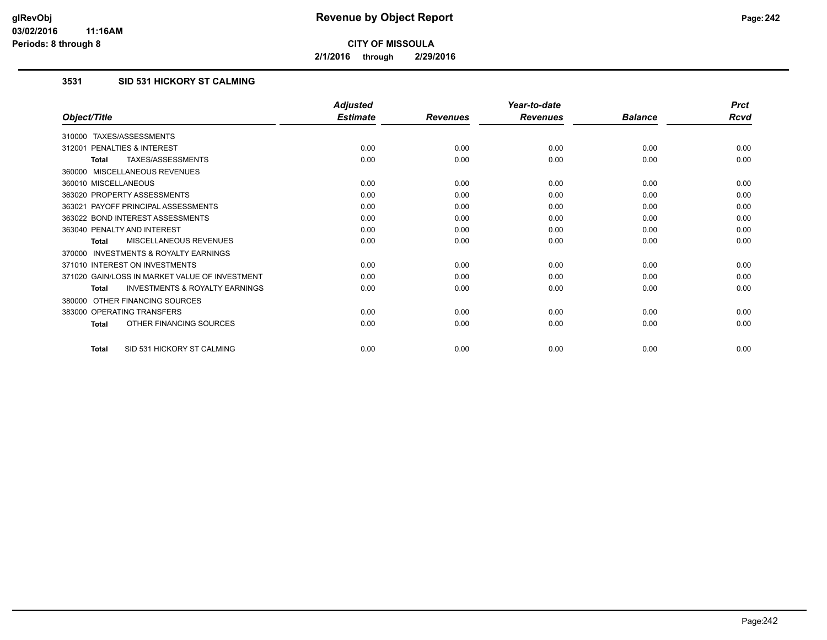**2/1/2016 through 2/29/2016**

# **3531 SID 531 HICKORY ST CALMING**

|                                                           | <b>Adjusted</b> |                 | Year-to-date    |                | <b>Prct</b> |
|-----------------------------------------------------------|-----------------|-----------------|-----------------|----------------|-------------|
| Object/Title                                              | <b>Estimate</b> | <b>Revenues</b> | <b>Revenues</b> | <b>Balance</b> | <b>Rcvd</b> |
| 310000 TAXES/ASSESSMENTS                                  |                 |                 |                 |                |             |
| 312001 PENALTIES & INTEREST                               | 0.00            | 0.00            | 0.00            | 0.00           | 0.00        |
| TAXES/ASSESSMENTS<br><b>Total</b>                         | 0.00            | 0.00            | 0.00            | 0.00           | 0.00        |
| 360000 MISCELLANEOUS REVENUES                             |                 |                 |                 |                |             |
| 360010 MISCELLANEOUS                                      | 0.00            | 0.00            | 0.00            | 0.00           | 0.00        |
| 363020 PROPERTY ASSESSMENTS                               | 0.00            | 0.00            | 0.00            | 0.00           | 0.00        |
| 363021 PAYOFF PRINCIPAL ASSESSMENTS                       | 0.00            | 0.00            | 0.00            | 0.00           | 0.00        |
| 363022 BOND INTEREST ASSESSMENTS                          | 0.00            | 0.00            | 0.00            | 0.00           | 0.00        |
| 363040 PENALTY AND INTEREST                               | 0.00            | 0.00            | 0.00            | 0.00           | 0.00        |
| MISCELLANEOUS REVENUES<br><b>Total</b>                    | 0.00            | 0.00            | 0.00            | 0.00           | 0.00        |
| <b>INVESTMENTS &amp; ROYALTY EARNINGS</b><br>370000       |                 |                 |                 |                |             |
| 371010 INTEREST ON INVESTMENTS                            | 0.00            | 0.00            | 0.00            | 0.00           | 0.00        |
| 371020 GAIN/LOSS IN MARKET VALUE OF INVESTMENT            | 0.00            | 0.00            | 0.00            | 0.00           | 0.00        |
| <b>INVESTMENTS &amp; ROYALTY EARNINGS</b><br><b>Total</b> | 0.00            | 0.00            | 0.00            | 0.00           | 0.00        |
| OTHER FINANCING SOURCES<br>380000                         |                 |                 |                 |                |             |
| 383000 OPERATING TRANSFERS                                | 0.00            | 0.00            | 0.00            | 0.00           | 0.00        |
| OTHER FINANCING SOURCES<br>Total                          | 0.00            | 0.00            | 0.00            | 0.00           | 0.00        |
| SID 531 HICKORY ST CALMING<br><b>Total</b>                | 0.00            | 0.00            | 0.00            | 0.00           | 0.00        |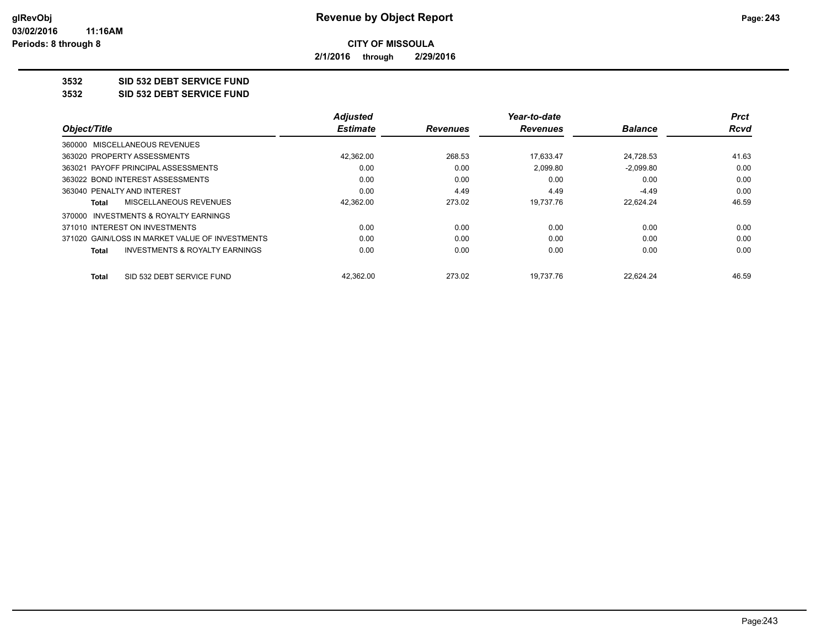**2/1/2016 through 2/29/2016**

**3532 SID 532 DEBT SERVICE FUND**

**3532 SID 532 DEBT SERVICE FUND**

|                                                           | <b>Adjusted</b> |                 | Year-to-date    |                | Prct  |
|-----------------------------------------------------------|-----------------|-----------------|-----------------|----------------|-------|
| Object/Title                                              | <b>Estimate</b> | <b>Revenues</b> | <b>Revenues</b> | <b>Balance</b> | Rcvd  |
| 360000 MISCELLANEOUS REVENUES                             |                 |                 |                 |                |       |
| 363020 PROPERTY ASSESSMENTS                               | 42,362.00       | 268.53          | 17.633.47       | 24,728.53      | 41.63 |
| 363021 PAYOFF PRINCIPAL ASSESSMENTS                       | 0.00            | 0.00            | 2.099.80        | $-2.099.80$    | 0.00  |
| 363022 BOND INTEREST ASSESSMENTS                          | 0.00            | 0.00            | 0.00            | 0.00           | 0.00  |
| 363040 PENALTY AND INTEREST                               | 0.00            | 4.49            | 4.49            | $-4.49$        | 0.00  |
| MISCELLANEOUS REVENUES<br>Total                           | 42,362.00       | 273.02          | 19.737.76       | 22.624.24      | 46.59 |
| 370000 INVESTMENTS & ROYALTY EARNINGS                     |                 |                 |                 |                |       |
| 371010 INTEREST ON INVESTMENTS                            | 0.00            | 0.00            | 0.00            | 0.00           | 0.00  |
| 371020 GAIN/LOSS IN MARKET VALUE OF INVESTMENTS           | 0.00            | 0.00            | 0.00            | 0.00           | 0.00  |
| <b>INVESTMENTS &amp; ROYALTY EARNINGS</b><br><b>Total</b> | 0.00            | 0.00            | 0.00            | 0.00           | 0.00  |
| SID 532 DEBT SERVICE FUND<br>Total                        | 42,362.00       | 273.02          | 19,737.76       | 22,624.24      | 46.59 |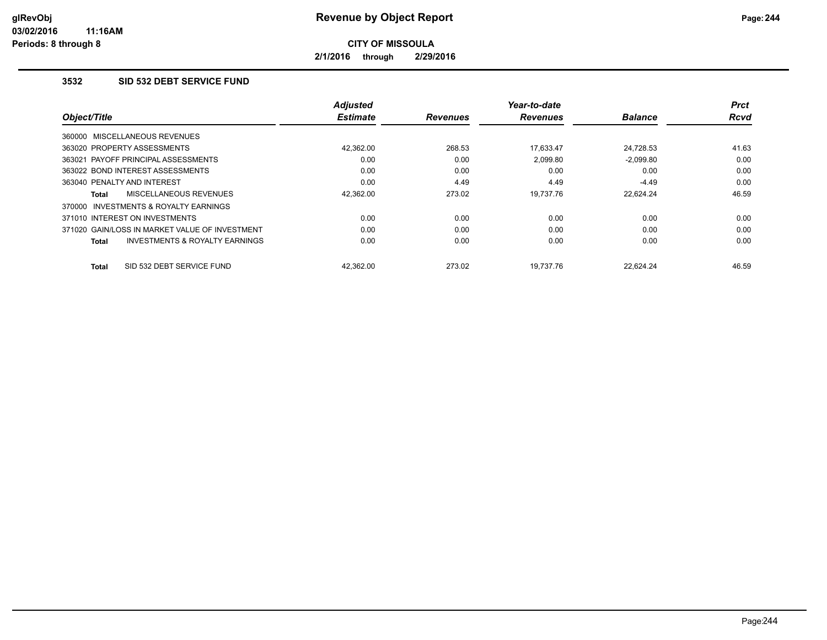**2/1/2016 through 2/29/2016**

### **3532 SID 532 DEBT SERVICE FUND**

|                                                    | <b>Adjusted</b> |                 | Year-to-date    |                | Prct        |
|----------------------------------------------------|-----------------|-----------------|-----------------|----------------|-------------|
| Object/Title                                       | <b>Estimate</b> | <b>Revenues</b> | <b>Revenues</b> | <b>Balance</b> | <b>Rcvd</b> |
| 360000 MISCELLANEOUS REVENUES                      |                 |                 |                 |                |             |
| 363020 PROPERTY ASSESSMENTS                        | 42.362.00       | 268.53          | 17.633.47       | 24.728.53      | 41.63       |
| 363021 PAYOFF PRINCIPAL ASSESSMENTS                | 0.00            | 0.00            | 2.099.80        | $-2.099.80$    | 0.00        |
| 363022 BOND INTEREST ASSESSMENTS                   | 0.00            | 0.00            | 0.00            | 0.00           | 0.00        |
| 363040 PENALTY AND INTEREST                        | 0.00            | 4.49            | 4.49            | $-4.49$        | 0.00        |
| MISCELLANEOUS REVENUES<br>Total                    | 42,362.00       | 273.02          | 19.737.76       | 22.624.24      | 46.59       |
| INVESTMENTS & ROYALTY EARNINGS<br>370000           |                 |                 |                 |                |             |
| 371010 INTEREST ON INVESTMENTS                     | 0.00            | 0.00            | 0.00            | 0.00           | 0.00        |
| 371020 GAIN/LOSS IN MARKET VALUE OF INVESTMENT     | 0.00            | 0.00            | 0.00            | 0.00           | 0.00        |
| <b>INVESTMENTS &amp; ROYALTY EARNINGS</b><br>Total | 0.00            | 0.00            | 0.00            | 0.00           | 0.00        |
| SID 532 DEBT SERVICE FUND<br><b>Total</b>          | 42.362.00       | 273.02          | 19.737.76       | 22.624.24      | 46.59       |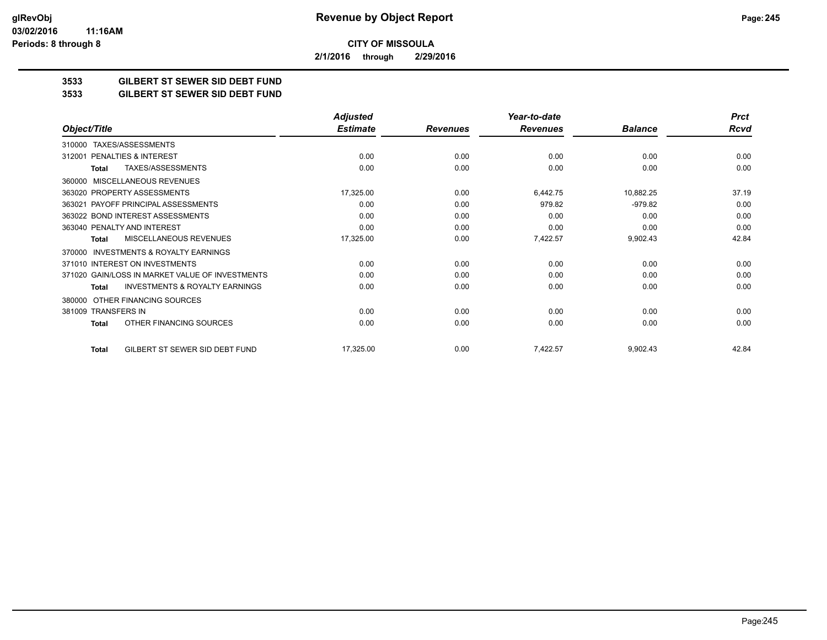**2/1/2016 through 2/29/2016**

### **3533 GILBERT ST SEWER SID DEBT FUND**

#### **3533 GILBERT ST SEWER SID DEBT FUND**

|                                                    | <b>Adjusted</b> |                 | Year-to-date    |                | <b>Prct</b> |
|----------------------------------------------------|-----------------|-----------------|-----------------|----------------|-------------|
| Object/Title                                       | <b>Estimate</b> | <b>Revenues</b> | <b>Revenues</b> | <b>Balance</b> | <b>Rcvd</b> |
| TAXES/ASSESSMENTS<br>310000                        |                 |                 |                 |                |             |
| PENALTIES & INTEREST<br>312001                     | 0.00            | 0.00            | 0.00            | 0.00           | 0.00        |
| TAXES/ASSESSMENTS<br>Total                         | 0.00            | 0.00            | 0.00            | 0.00           | 0.00        |
| <b>MISCELLANEOUS REVENUES</b><br>360000            |                 |                 |                 |                |             |
| 363020 PROPERTY ASSESSMENTS                        | 17,325.00       | 0.00            | 6,442.75        | 10,882.25      | 37.19       |
| 363021 PAYOFF PRINCIPAL ASSESSMENTS                | 0.00            | 0.00            | 979.82          | $-979.82$      | 0.00        |
| 363022 BOND INTEREST ASSESSMENTS                   | 0.00            | 0.00            | 0.00            | 0.00           | 0.00        |
| 363040 PENALTY AND INTEREST                        | 0.00            | 0.00            | 0.00            | 0.00           | 0.00        |
| MISCELLANEOUS REVENUES<br>Total                    | 17,325.00       | 0.00            | 7,422.57        | 9,902.43       | 42.84       |
| INVESTMENTS & ROYALTY EARNINGS<br>370000           |                 |                 |                 |                |             |
| 371010 INTEREST ON INVESTMENTS                     | 0.00            | 0.00            | 0.00            | 0.00           | 0.00        |
| 371020 GAIN/LOSS IN MARKET VALUE OF INVESTMENTS    | 0.00            | 0.00            | 0.00            | 0.00           | 0.00        |
| <b>INVESTMENTS &amp; ROYALTY EARNINGS</b><br>Total | 0.00            | 0.00            | 0.00            | 0.00           | 0.00        |
| OTHER FINANCING SOURCES<br>380000                  |                 |                 |                 |                |             |
| 381009 TRANSFERS IN                                | 0.00            | 0.00            | 0.00            | 0.00           | 0.00        |
| OTHER FINANCING SOURCES<br><b>Total</b>            | 0.00            | 0.00            | 0.00            | 0.00           | 0.00        |
| GILBERT ST SEWER SID DEBT FUND<br><b>Total</b>     | 17,325.00       | 0.00            | 7,422.57        | 9,902.43       | 42.84       |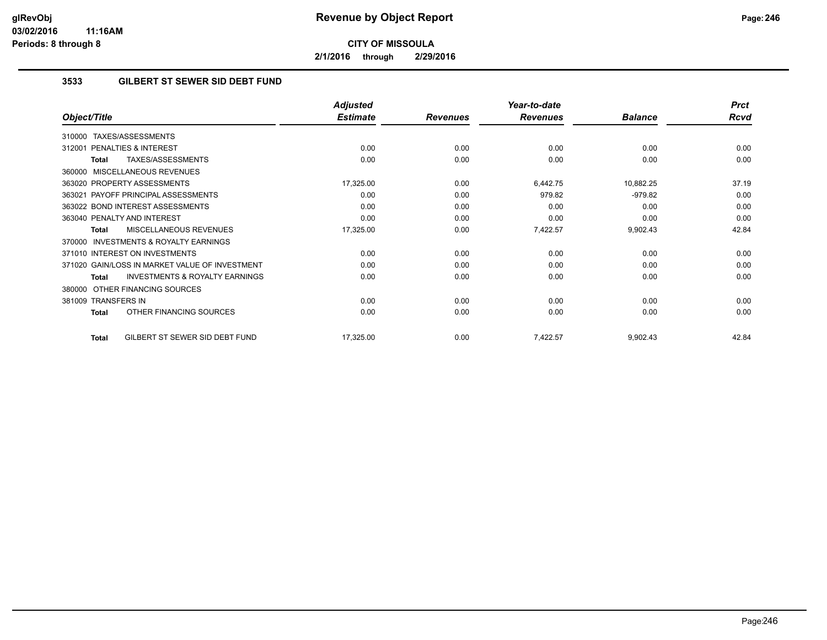**2/1/2016 through 2/29/2016**

### **3533 GILBERT ST SEWER SID DEBT FUND**

|                                                    | <b>Adjusted</b> |                 | Year-to-date    |                | <b>Prct</b> |
|----------------------------------------------------|-----------------|-----------------|-----------------|----------------|-------------|
| Object/Title                                       | <b>Estimate</b> | <b>Revenues</b> | <b>Revenues</b> | <b>Balance</b> | <b>Rcvd</b> |
| TAXES/ASSESSMENTS<br>310000                        |                 |                 |                 |                |             |
| <b>PENALTIES &amp; INTEREST</b><br>312001          | 0.00            | 0.00            | 0.00            | 0.00           | 0.00        |
| TAXES/ASSESSMENTS<br>Total                         | 0.00            | 0.00            | 0.00            | 0.00           | 0.00        |
| MISCELLANEOUS REVENUES<br>360000                   |                 |                 |                 |                |             |
| 363020 PROPERTY ASSESSMENTS                        | 17,325.00       | 0.00            | 6,442.75        | 10,882.25      | 37.19       |
| PAYOFF PRINCIPAL ASSESSMENTS<br>363021             | 0.00            | 0.00            | 979.82          | $-979.82$      | 0.00        |
| 363022 BOND INTEREST ASSESSMENTS                   | 0.00            | 0.00            | 0.00            | 0.00           | 0.00        |
| 363040 PENALTY AND INTEREST                        | 0.00            | 0.00            | 0.00            | 0.00           | 0.00        |
| MISCELLANEOUS REVENUES<br>Total                    | 17,325.00       | 0.00            | 7,422.57        | 9,902.43       | 42.84       |
| INVESTMENTS & ROYALTY EARNINGS<br>370000           |                 |                 |                 |                |             |
| 371010 INTEREST ON INVESTMENTS                     | 0.00            | 0.00            | 0.00            | 0.00           | 0.00        |
| 371020 GAIN/LOSS IN MARKET VALUE OF INVESTMENT     | 0.00            | 0.00            | 0.00            | 0.00           | 0.00        |
| <b>INVESTMENTS &amp; ROYALTY EARNINGS</b><br>Total | 0.00            | 0.00            | 0.00            | 0.00           | 0.00        |
| OTHER FINANCING SOURCES<br>380000                  |                 |                 |                 |                |             |
| 381009 TRANSFERS IN                                | 0.00            | 0.00            | 0.00            | 0.00           | 0.00        |
| OTHER FINANCING SOURCES<br><b>Total</b>            | 0.00            | 0.00            | 0.00            | 0.00           | 0.00        |
| GILBERT ST SEWER SID DEBT FUND<br><b>Total</b>     | 17,325.00       | 0.00            | 7,422.57        | 9,902.43       | 42.84       |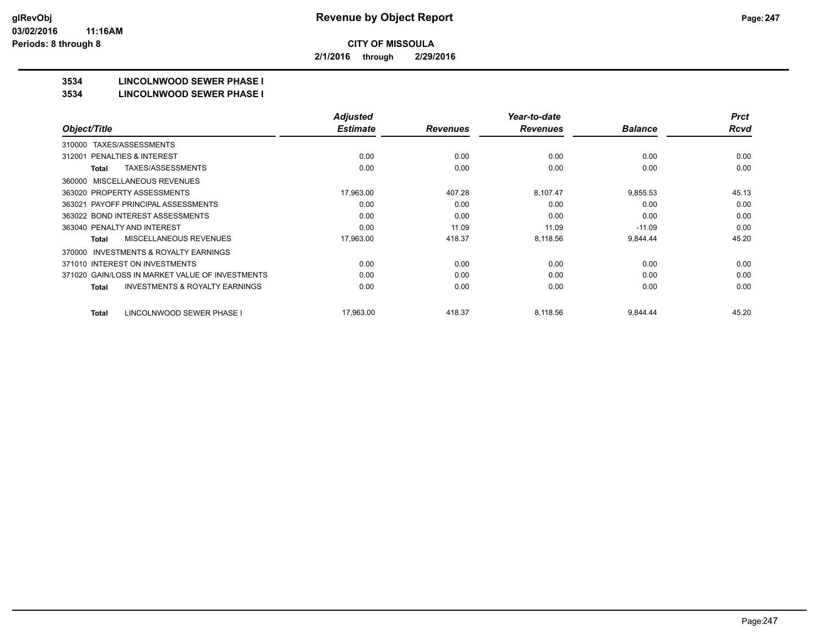**2/1/2016 through 2/29/2016**

# **3534 LINCOLNWOOD SEWER PHASE I**

#### **3534 LINCOLNWOOD SEWER PHASE I**

|                                                     | <b>Adjusted</b> |                 | Year-to-date    |                | <b>Prct</b> |
|-----------------------------------------------------|-----------------|-----------------|-----------------|----------------|-------------|
| Object/Title                                        | <b>Estimate</b> | <b>Revenues</b> | <b>Revenues</b> | <b>Balance</b> | <b>Rcvd</b> |
| TAXES/ASSESSMENTS<br>310000                         |                 |                 |                 |                |             |
| <b>PENALTIES &amp; INTEREST</b><br>312001           | 0.00            | 0.00            | 0.00            | 0.00           | 0.00        |
| TAXES/ASSESSMENTS<br><b>Total</b>                   | 0.00            | 0.00            | 0.00            | 0.00           | 0.00        |
| MISCELLANEOUS REVENUES<br>360000                    |                 |                 |                 |                |             |
| 363020 PROPERTY ASSESSMENTS                         | 17,963.00       | 407.28          | 8,107.47        | 9,855.53       | 45.13       |
| 363021 PAYOFF PRINCIPAL ASSESSMENTS                 | 0.00            | 0.00            | 0.00            | 0.00           | 0.00        |
| 363022 BOND INTEREST ASSESSMENTS                    | 0.00            | 0.00            | 0.00            | 0.00           | 0.00        |
| 363040 PENALTY AND INTEREST                         | 0.00            | 11.09           | 11.09           | $-11.09$       | 0.00        |
| <b>MISCELLANEOUS REVENUES</b><br>Total              | 17,963.00       | 418.37          | 8,118.56        | 9,844.44       | 45.20       |
| <b>INVESTMENTS &amp; ROYALTY EARNINGS</b><br>370000 |                 |                 |                 |                |             |
| 371010 INTEREST ON INVESTMENTS                      | 0.00            | 0.00            | 0.00            | 0.00           | 0.00        |
| 371020 GAIN/LOSS IN MARKET VALUE OF INVESTMENTS     | 0.00            | 0.00            | 0.00            | 0.00           | 0.00        |
| <b>INVESTMENTS &amp; ROYALTY EARNINGS</b><br>Total  | 0.00            | 0.00            | 0.00            | 0.00           | 0.00        |
| LINCOLNWOOD SEWER PHASE I<br><b>Total</b>           | 17,963.00       | 418.37          | 8,118.56        | 9,844.44       | 45.20       |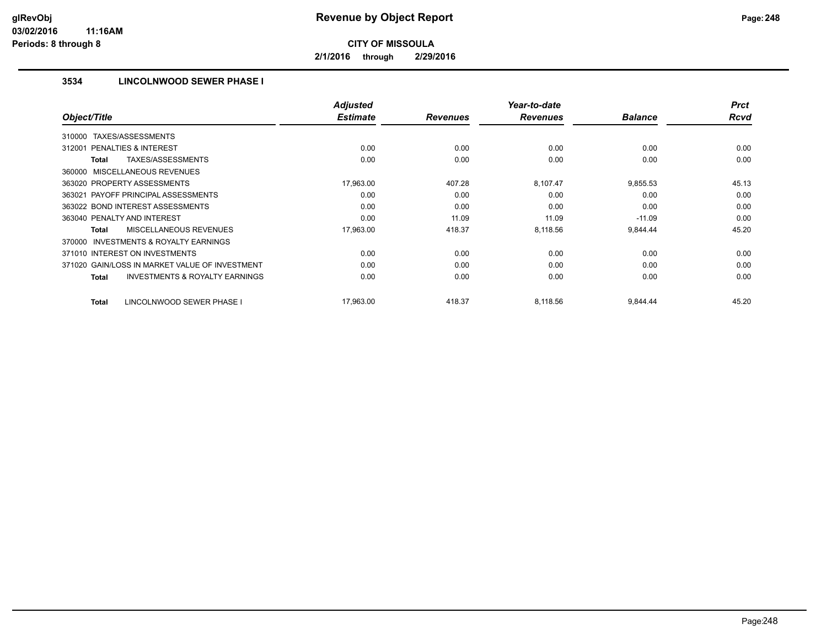**2/1/2016 through 2/29/2016**

# **3534 LINCOLNWOOD SEWER PHASE I**

|                                                           | <b>Adjusted</b> |                 | Year-to-date    |                | <b>Prct</b> |
|-----------------------------------------------------------|-----------------|-----------------|-----------------|----------------|-------------|
| Object/Title                                              | <b>Estimate</b> | <b>Revenues</b> | <b>Revenues</b> | <b>Balance</b> | <b>Rcvd</b> |
| TAXES/ASSESSMENTS<br>310000                               |                 |                 |                 |                |             |
| PENALTIES & INTEREST<br>312001                            | 0.00            | 0.00            | 0.00            | 0.00           | 0.00        |
| TAXES/ASSESSMENTS<br>Total                                | 0.00            | 0.00            | 0.00            | 0.00           | 0.00        |
| 360000 MISCELLANEOUS REVENUES                             |                 |                 |                 |                |             |
| 363020 PROPERTY ASSESSMENTS                               | 17,963.00       | 407.28          | 8,107.47        | 9,855.53       | 45.13       |
| 363021 PAYOFF PRINCIPAL ASSESSMENTS                       | 0.00            | 0.00            | 0.00            | 0.00           | 0.00        |
| 363022 BOND INTEREST ASSESSMENTS                          | 0.00            | 0.00            | 0.00            | 0.00           | 0.00        |
| 363040 PENALTY AND INTEREST                               | 0.00            | 11.09           | 11.09           | $-11.09$       | 0.00        |
| <b>MISCELLANEOUS REVENUES</b><br>Total                    | 17,963.00       | 418.37          | 8,118.56        | 9,844.44       | 45.20       |
| <b>INVESTMENTS &amp; ROYALTY EARNINGS</b><br>370000       |                 |                 |                 |                |             |
| 371010 INTEREST ON INVESTMENTS                            | 0.00            | 0.00            | 0.00            | 0.00           | 0.00        |
| 371020 GAIN/LOSS IN MARKET VALUE OF INVESTMENT            | 0.00            | 0.00            | 0.00            | 0.00           | 0.00        |
| <b>INVESTMENTS &amp; ROYALTY EARNINGS</b><br><b>Total</b> | 0.00            | 0.00            | 0.00            | 0.00           | 0.00        |
| LINCOLNWOOD SEWER PHASE I<br>Total                        | 17,963.00       | 418.37          | 8,118.56        | 9,844.44       | 45.20       |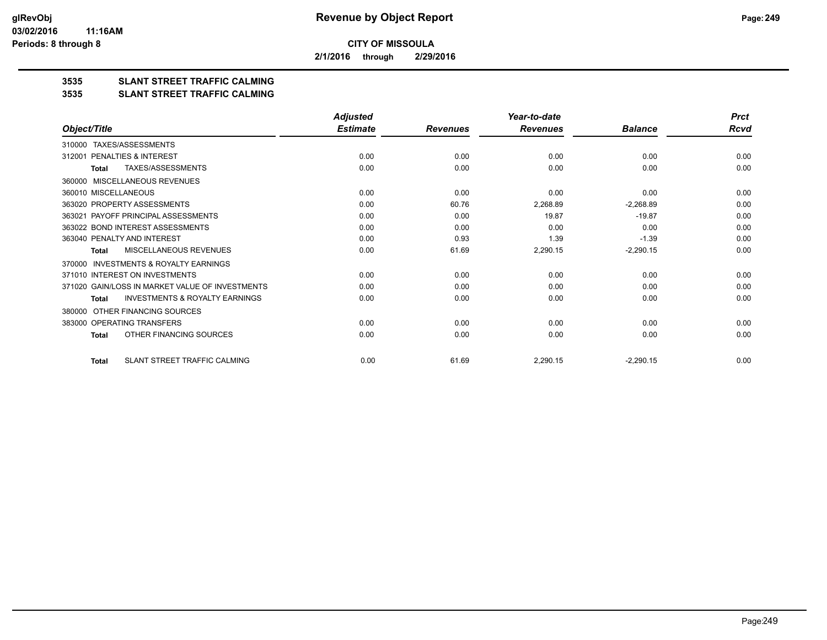**2/1/2016 through 2/29/2016**

# **3535 SLANT STREET TRAFFIC CALMING**

#### **3535 SLANT STREET TRAFFIC CALMING**

|                                                           | <b>Adjusted</b> |                 | Year-to-date    |                | <b>Prct</b> |
|-----------------------------------------------------------|-----------------|-----------------|-----------------|----------------|-------------|
| Object/Title                                              | <b>Estimate</b> | <b>Revenues</b> | <b>Revenues</b> | <b>Balance</b> | Rcvd        |
| TAXES/ASSESSMENTS<br>310000                               |                 |                 |                 |                |             |
| PENALTIES & INTEREST<br>312001                            | 0.00            | 0.00            | 0.00            | 0.00           | 0.00        |
| <b>TAXES/ASSESSMENTS</b><br><b>Total</b>                  | 0.00            | 0.00            | 0.00            | 0.00           | 0.00        |
| <b>MISCELLANEOUS REVENUES</b><br>360000                   |                 |                 |                 |                |             |
| 360010 MISCELLANEOUS                                      | 0.00            | 0.00            | 0.00            | 0.00           | 0.00        |
| 363020 PROPERTY ASSESSMENTS                               | 0.00            | 60.76           | 2,268.89        | $-2,268.89$    | 0.00        |
| PAYOFF PRINCIPAL ASSESSMENTS<br>363021                    | 0.00            | 0.00            | 19.87           | $-19.87$       | 0.00        |
| 363022 BOND INTEREST ASSESSMENTS                          | 0.00            | 0.00            | 0.00            | 0.00           | 0.00        |
| 363040 PENALTY AND INTEREST                               | 0.00            | 0.93            | 1.39            | $-1.39$        | 0.00        |
| MISCELLANEOUS REVENUES<br><b>Total</b>                    | 0.00            | 61.69           | 2,290.15        | $-2,290.15$    | 0.00        |
| INVESTMENTS & ROYALTY EARNINGS<br>370000                  |                 |                 |                 |                |             |
| 371010 INTEREST ON INVESTMENTS                            | 0.00            | 0.00            | 0.00            | 0.00           | 0.00        |
| 371020 GAIN/LOSS IN MARKET VALUE OF INVESTMENTS           | 0.00            | 0.00            | 0.00            | 0.00           | 0.00        |
| <b>INVESTMENTS &amp; ROYALTY EARNINGS</b><br><b>Total</b> | 0.00            | 0.00            | 0.00            | 0.00           | 0.00        |
| OTHER FINANCING SOURCES<br>380000                         |                 |                 |                 |                |             |
| 383000 OPERATING TRANSFERS                                | 0.00            | 0.00            | 0.00            | 0.00           | 0.00        |
| OTHER FINANCING SOURCES<br><b>Total</b>                   | 0.00            | 0.00            | 0.00            | 0.00           | 0.00        |
| SLANT STREET TRAFFIC CALMING<br><b>Total</b>              | 0.00            | 61.69           | 2,290.15        | $-2,290.15$    | 0.00        |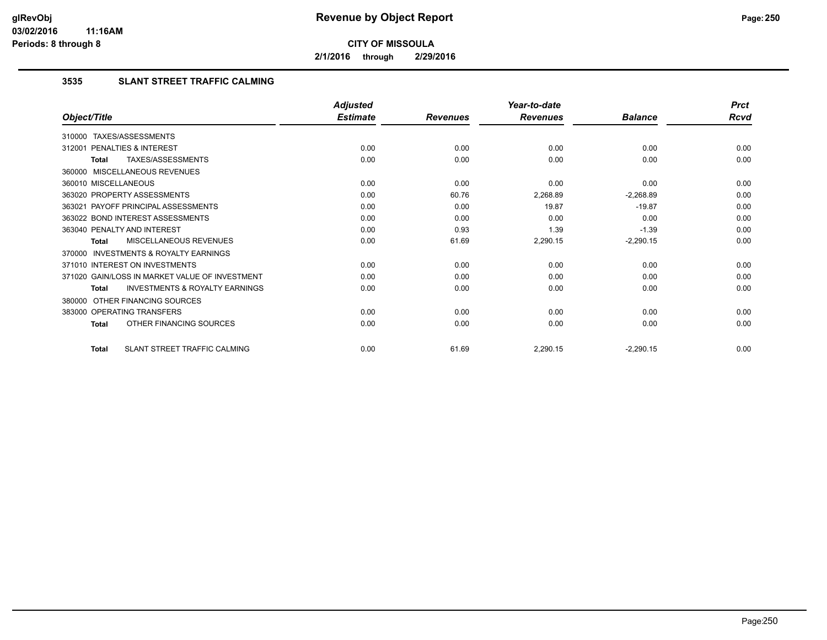**2/1/2016 through 2/29/2016**

## **3535 SLANT STREET TRAFFIC CALMING**

|                                                     | <b>Adjusted</b> |                 | Year-to-date    |                | <b>Prct</b> |
|-----------------------------------------------------|-----------------|-----------------|-----------------|----------------|-------------|
| Object/Title                                        | <b>Estimate</b> | <b>Revenues</b> | <b>Revenues</b> | <b>Balance</b> | <b>Rcvd</b> |
| 310000 TAXES/ASSESSMENTS                            |                 |                 |                 |                |             |
| PENALTIES & INTEREST<br>312001                      | 0.00            | 0.00            | 0.00            | 0.00           | 0.00        |
| TAXES/ASSESSMENTS<br><b>Total</b>                   | 0.00            | 0.00            | 0.00            | 0.00           | 0.00        |
| 360000 MISCELLANEOUS REVENUES                       |                 |                 |                 |                |             |
| 360010 MISCELLANEOUS                                | 0.00            | 0.00            | 0.00            | 0.00           | 0.00        |
| 363020 PROPERTY ASSESSMENTS                         | 0.00            | 60.76           | 2,268.89        | $-2,268.89$    | 0.00        |
| 363021 PAYOFF PRINCIPAL ASSESSMENTS                 | 0.00            | 0.00            | 19.87           | $-19.87$       | 0.00        |
| 363022 BOND INTEREST ASSESSMENTS                    | 0.00            | 0.00            | 0.00            | 0.00           | 0.00        |
| 363040 PENALTY AND INTEREST                         | 0.00            | 0.93            | 1.39            | $-1.39$        | 0.00        |
| MISCELLANEOUS REVENUES<br><b>Total</b>              | 0.00            | 61.69           | 2,290.15        | $-2,290.15$    | 0.00        |
| <b>INVESTMENTS &amp; ROYALTY EARNINGS</b><br>370000 |                 |                 |                 |                |             |
| 371010 INTEREST ON INVESTMENTS                      | 0.00            | 0.00            | 0.00            | 0.00           | 0.00        |
| 371020 GAIN/LOSS IN MARKET VALUE OF INVESTMENT      | 0.00            | 0.00            | 0.00            | 0.00           | 0.00        |
| <b>INVESTMENTS &amp; ROYALTY EARNINGS</b><br>Total  | 0.00            | 0.00            | 0.00            | 0.00           | 0.00        |
| OTHER FINANCING SOURCES<br>380000                   |                 |                 |                 |                |             |
| 383000 OPERATING TRANSFERS                          | 0.00            | 0.00            | 0.00            | 0.00           | 0.00        |
| OTHER FINANCING SOURCES<br><b>Total</b>             | 0.00            | 0.00            | 0.00            | 0.00           | 0.00        |
| <b>SLANT STREET TRAFFIC CALMING</b><br><b>Total</b> | 0.00            | 61.69           | 2,290.15        | $-2,290.15$    | 0.00        |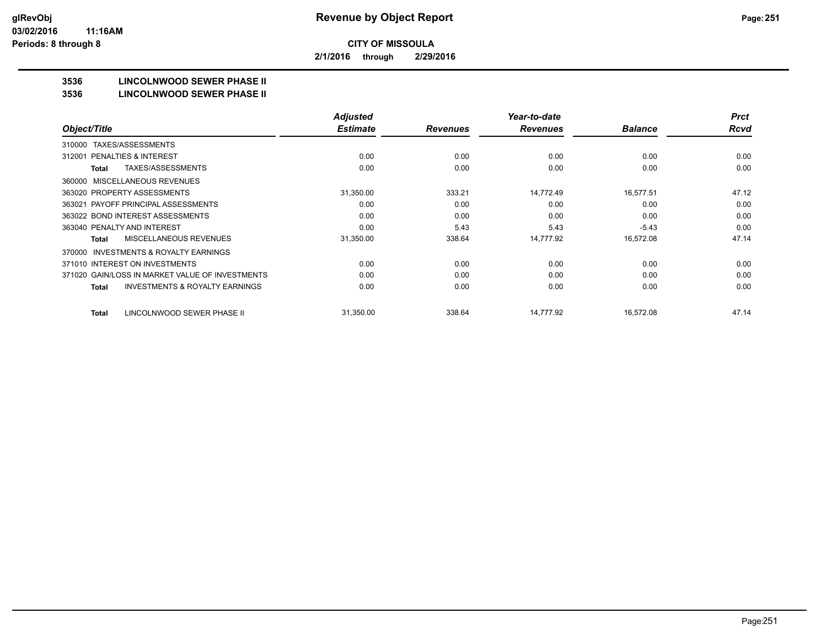**2/1/2016 through 2/29/2016**

# **3536 LINCOLNWOOD SEWER PHASE II**

#### **3536 LINCOLNWOOD SEWER PHASE II**

|                                                     | <b>Adjusted</b> |                 | Year-to-date    |                | <b>Prct</b> |
|-----------------------------------------------------|-----------------|-----------------|-----------------|----------------|-------------|
| Object/Title                                        | <b>Estimate</b> | <b>Revenues</b> | <b>Revenues</b> | <b>Balance</b> | Rcvd        |
| TAXES/ASSESSMENTS<br>310000                         |                 |                 |                 |                |             |
| <b>PENALTIES &amp; INTEREST</b><br>312001           | 0.00            | 0.00            | 0.00            | 0.00           | 0.00        |
| TAXES/ASSESSMENTS<br>Total                          | 0.00            | 0.00            | 0.00            | 0.00           | 0.00        |
| MISCELLANEOUS REVENUES<br>360000                    |                 |                 |                 |                |             |
| 363020 PROPERTY ASSESSMENTS                         | 31,350.00       | 333.21          | 14,772.49       | 16,577.51      | 47.12       |
| 363021 PAYOFF PRINCIPAL ASSESSMENTS                 | 0.00            | 0.00            | 0.00            | 0.00           | 0.00        |
| 363022 BOND INTEREST ASSESSMENTS                    | 0.00            | 0.00            | 0.00            | 0.00           | 0.00        |
| 363040 PENALTY AND INTEREST                         | 0.00            | 5.43            | 5.43            | $-5.43$        | 0.00        |
| <b>MISCELLANEOUS REVENUES</b><br>Total              | 31,350.00       | 338.64          | 14,777.92       | 16,572.08      | 47.14       |
| <b>INVESTMENTS &amp; ROYALTY EARNINGS</b><br>370000 |                 |                 |                 |                |             |
| 371010 INTEREST ON INVESTMENTS                      | 0.00            | 0.00            | 0.00            | 0.00           | 0.00        |
| 371020 GAIN/LOSS IN MARKET VALUE OF INVESTMENTS     | 0.00            | 0.00            | 0.00            | 0.00           | 0.00        |
| <b>INVESTMENTS &amp; ROYALTY EARNINGS</b><br>Total  | 0.00            | 0.00            | 0.00            | 0.00           | 0.00        |
| LINCOLNWOOD SEWER PHASE II<br><b>Total</b>          | 31,350.00       | 338.64          | 14,777.92       | 16,572.08      | 47.14       |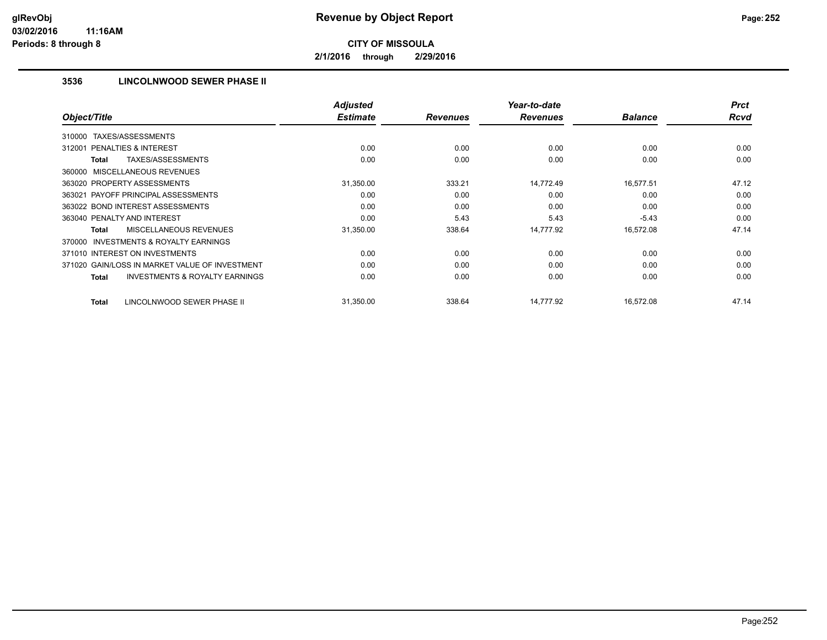**2/1/2016 through 2/29/2016**

## **3536 LINCOLNWOOD SEWER PHASE II**

|                                                           | <b>Adjusted</b> |                 | Year-to-date    |                | <b>Prct</b> |
|-----------------------------------------------------------|-----------------|-----------------|-----------------|----------------|-------------|
| Object/Title                                              | <b>Estimate</b> | <b>Revenues</b> | <b>Revenues</b> | <b>Balance</b> | <b>Rcvd</b> |
| TAXES/ASSESSMENTS<br>310000                               |                 |                 |                 |                |             |
| PENALTIES & INTEREST<br>312001                            | 0.00            | 0.00            | 0.00            | 0.00           | 0.00        |
| TAXES/ASSESSMENTS<br>Total                                | 0.00            | 0.00            | 0.00            | 0.00           | 0.00        |
| 360000 MISCELLANEOUS REVENUES                             |                 |                 |                 |                |             |
| 363020 PROPERTY ASSESSMENTS                               | 31,350.00       | 333.21          | 14,772.49       | 16,577.51      | 47.12       |
| 363021 PAYOFF PRINCIPAL ASSESSMENTS                       | 0.00            | 0.00            | 0.00            | 0.00           | 0.00        |
| 363022 BOND INTEREST ASSESSMENTS                          | 0.00            | 0.00            | 0.00            | 0.00           | 0.00        |
| 363040 PENALTY AND INTEREST                               | 0.00            | 5.43            | 5.43            | $-5.43$        | 0.00        |
| <b>MISCELLANEOUS REVENUES</b><br>Total                    | 31,350.00       | 338.64          | 14,777.92       | 16,572.08      | 47.14       |
| <b>INVESTMENTS &amp; ROYALTY EARNINGS</b><br>370000       |                 |                 |                 |                |             |
| 371010 INTEREST ON INVESTMENTS                            | 0.00            | 0.00            | 0.00            | 0.00           | 0.00        |
| 371020 GAIN/LOSS IN MARKET VALUE OF INVESTMENT            | 0.00            | 0.00            | 0.00            | 0.00           | 0.00        |
| <b>INVESTMENTS &amp; ROYALTY EARNINGS</b><br><b>Total</b> | 0.00            | 0.00            | 0.00            | 0.00           | 0.00        |
| LINCOLNWOOD SEWER PHASE II<br><b>Total</b>                | 31,350.00       | 338.64          | 14,777.92       | 16,572.08      | 47.14       |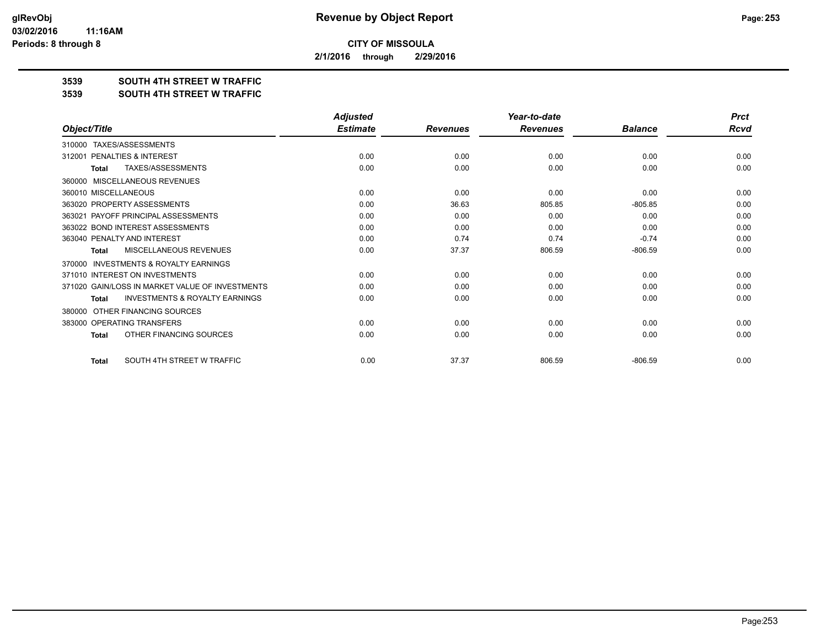**2/1/2016 through 2/29/2016**

## **3539 SOUTH 4TH STREET W TRAFFIC**

#### **3539 SOUTH 4TH STREET W TRAFFIC**

|                                                     | <b>Adjusted</b> |                 | Year-to-date    |                | <b>Prct</b> |
|-----------------------------------------------------|-----------------|-----------------|-----------------|----------------|-------------|
| Object/Title                                        | <b>Estimate</b> | <b>Revenues</b> | <b>Revenues</b> | <b>Balance</b> | Rcvd        |
| TAXES/ASSESSMENTS<br>310000                         |                 |                 |                 |                |             |
| PENALTIES & INTEREST<br>312001                      | 0.00            | 0.00            | 0.00            | 0.00           | 0.00        |
| TAXES/ASSESSMENTS<br><b>Total</b>                   | 0.00            | 0.00            | 0.00            | 0.00           | 0.00        |
| MISCELLANEOUS REVENUES<br>360000                    |                 |                 |                 |                |             |
| 360010 MISCELLANEOUS                                | 0.00            | 0.00            | 0.00            | 0.00           | 0.00        |
| 363020 PROPERTY ASSESSMENTS                         | 0.00            | 36.63           | 805.85          | $-805.85$      | 0.00        |
| PAYOFF PRINCIPAL ASSESSMENTS<br>363021              | 0.00            | 0.00            | 0.00            | 0.00           | 0.00        |
| 363022 BOND INTEREST ASSESSMENTS                    | 0.00            | 0.00            | 0.00            | 0.00           | 0.00        |
| 363040 PENALTY AND INTEREST                         | 0.00            | 0.74            | 0.74            | $-0.74$        | 0.00        |
| MISCELLANEOUS REVENUES<br>Total                     | 0.00            | 37.37           | 806.59          | $-806.59$      | 0.00        |
| <b>INVESTMENTS &amp; ROYALTY EARNINGS</b><br>370000 |                 |                 |                 |                |             |
| 371010 INTEREST ON INVESTMENTS                      | 0.00            | 0.00            | 0.00            | 0.00           | 0.00        |
| 371020 GAIN/LOSS IN MARKET VALUE OF INVESTMENTS     | 0.00            | 0.00            | 0.00            | 0.00           | 0.00        |
| <b>INVESTMENTS &amp; ROYALTY EARNINGS</b><br>Total  | 0.00            | 0.00            | 0.00            | 0.00           | 0.00        |
| OTHER FINANCING SOURCES<br>380000                   |                 |                 |                 |                |             |
| 383000 OPERATING TRANSFERS                          | 0.00            | 0.00            | 0.00            | 0.00           | 0.00        |
| OTHER FINANCING SOURCES<br><b>Total</b>             | 0.00            | 0.00            | 0.00            | 0.00           | 0.00        |
| SOUTH 4TH STREET W TRAFFIC<br>Total                 | 0.00            | 37.37           | 806.59          | $-806.59$      | 0.00        |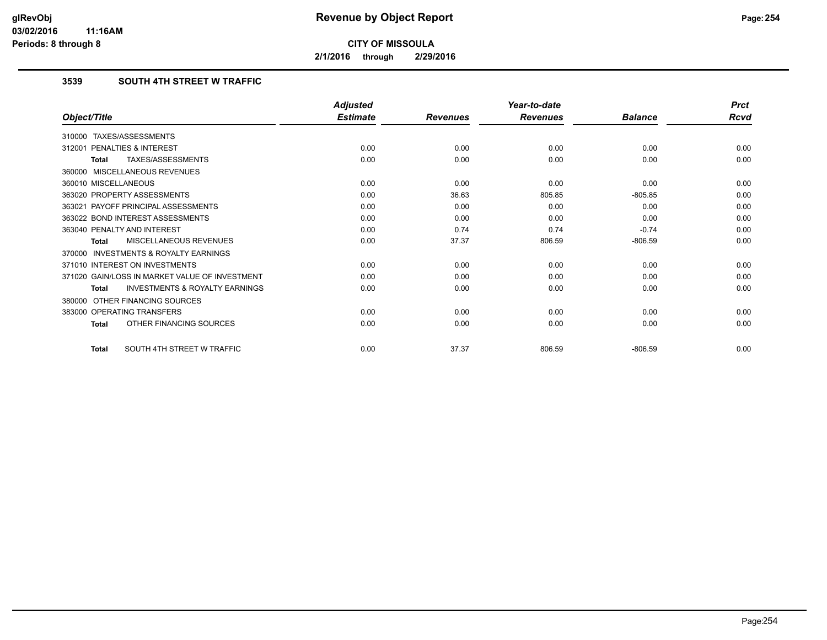**2/1/2016 through 2/29/2016**

## **3539 SOUTH 4TH STREET W TRAFFIC**

|                                                           | <b>Adjusted</b> |                 | Year-to-date    |                | <b>Prct</b> |
|-----------------------------------------------------------|-----------------|-----------------|-----------------|----------------|-------------|
| Object/Title                                              | <b>Estimate</b> | <b>Revenues</b> | <b>Revenues</b> | <b>Balance</b> | Rcvd        |
| 310000 TAXES/ASSESSMENTS                                  |                 |                 |                 |                |             |
| PENALTIES & INTEREST<br>312001                            | 0.00            | 0.00            | 0.00            | 0.00           | 0.00        |
| TAXES/ASSESSMENTS<br><b>Total</b>                         | 0.00            | 0.00            | 0.00            | 0.00           | 0.00        |
| 360000 MISCELLANEOUS REVENUES                             |                 |                 |                 |                |             |
| 360010 MISCELLANEOUS                                      | 0.00            | 0.00            | 0.00            | 0.00           | 0.00        |
| 363020 PROPERTY ASSESSMENTS                               | 0.00            | 36.63           | 805.85          | $-805.85$      | 0.00        |
| 363021 PAYOFF PRINCIPAL ASSESSMENTS                       | 0.00            | 0.00            | 0.00            | 0.00           | 0.00        |
| 363022 BOND INTEREST ASSESSMENTS                          | 0.00            | 0.00            | 0.00            | 0.00           | 0.00        |
| 363040 PENALTY AND INTEREST                               | 0.00            | 0.74            | 0.74            | $-0.74$        | 0.00        |
| MISCELLANEOUS REVENUES<br><b>Total</b>                    | 0.00            | 37.37           | 806.59          | $-806.59$      | 0.00        |
| <b>INVESTMENTS &amp; ROYALTY EARNINGS</b><br>370000       |                 |                 |                 |                |             |
| 371010 INTEREST ON INVESTMENTS                            | 0.00            | 0.00            | 0.00            | 0.00           | 0.00        |
| 371020 GAIN/LOSS IN MARKET VALUE OF INVESTMENT            | 0.00            | 0.00            | 0.00            | 0.00           | 0.00        |
| <b>INVESTMENTS &amp; ROYALTY EARNINGS</b><br><b>Total</b> | 0.00            | 0.00            | 0.00            | 0.00           | 0.00        |
| OTHER FINANCING SOURCES<br>380000                         |                 |                 |                 |                |             |
| 383000 OPERATING TRANSFERS                                | 0.00            | 0.00            | 0.00            | 0.00           | 0.00        |
| OTHER FINANCING SOURCES<br><b>Total</b>                   | 0.00            | 0.00            | 0.00            | 0.00           | 0.00        |
| SOUTH 4TH STREET W TRAFFIC<br><b>Total</b>                | 0.00            | 37.37           | 806.59          | $-806.59$      | 0.00        |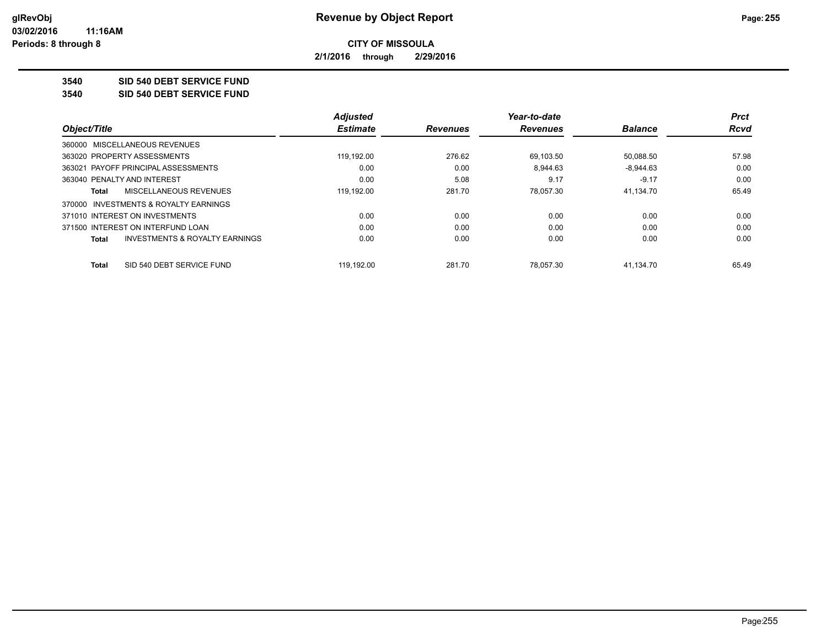**2/1/2016 through 2/29/2016**

**3540 SID 540 DEBT SERVICE FUND**

**3540 SID 540 DEBT SERVICE FUND**

|                                                | <b>Adiusted</b> |                 | Year-to-date    |                | <b>Prct</b> |
|------------------------------------------------|-----------------|-----------------|-----------------|----------------|-------------|
| Object/Title                                   | <b>Estimate</b> | <b>Revenues</b> | <b>Revenues</b> | <b>Balance</b> | Rcvd        |
| 360000 MISCELLANEOUS REVENUES                  |                 |                 |                 |                |             |
| 363020 PROPERTY ASSESSMENTS                    | 119.192.00      | 276.62          | 69.103.50       | 50.088.50      | 57.98       |
| 363021 PAYOFF PRINCIPAL ASSESSMENTS            | 0.00            | 0.00            | 8.944.63        | $-8.944.63$    | 0.00        |
| 363040 PENALTY AND INTEREST                    | 0.00            | 5.08            | 9.17            | $-9.17$        | 0.00        |
| <b>MISCELLANEOUS REVENUES</b><br>Total         | 119,192.00      | 281.70          | 78.057.30       | 41,134.70      | 65.49       |
| 370000 INVESTMENTS & ROYALTY EARNINGS          |                 |                 |                 |                |             |
| 371010 INTEREST ON INVESTMENTS                 | 0.00            | 0.00            | 0.00            | 0.00           | 0.00        |
| 371500 INTEREST ON INTERFUND LOAN              | 0.00            | 0.00            | 0.00            | 0.00           | 0.00        |
| INVESTMENTS & ROYALTY EARNINGS<br><b>Total</b> | 0.00            | 0.00            | 0.00            | 0.00           | 0.00        |
| SID 540 DEBT SERVICE FUND<br>Total             | 119.192.00      | 281.70          | 78.057.30       | 41.134.70      | 65.49       |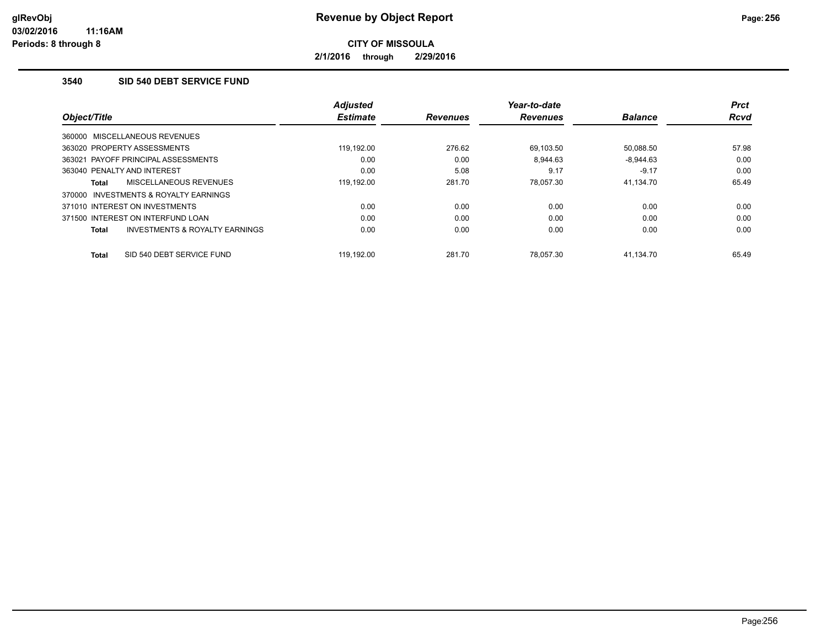**2/1/2016 through 2/29/2016**

## **3540 SID 540 DEBT SERVICE FUND**

| Object/Title                                              | <b>Adiusted</b><br><b>Estimate</b> | <b>Revenues</b> | Year-to-date<br><b>Revenues</b> | <b>Balance</b> | <b>Prct</b><br><b>Rcvd</b> |
|-----------------------------------------------------------|------------------------------------|-----------------|---------------------------------|----------------|----------------------------|
| 360000 MISCELLANEOUS REVENUES                             |                                    |                 |                                 |                |                            |
| 363020 PROPERTY ASSESSMENTS                               | 119.192.00                         | 276.62          | 69.103.50                       | 50,088.50      | 57.98                      |
| 363021 PAYOFF PRINCIPAL ASSESSMENTS                       | 0.00                               | 0.00            | 8.944.63                        | $-8.944.63$    | 0.00                       |
| 363040 PENALTY AND INTEREST                               | 0.00                               | 5.08            | 9.17                            | $-9.17$        | 0.00                       |
| MISCELLANEOUS REVENUES<br><b>Total</b>                    | 119,192.00                         | 281.70          | 78.057.30                       | 41.134.70      | 65.49                      |
| INVESTMENTS & ROYALTY EARNINGS<br>370000                  |                                    |                 |                                 |                |                            |
| 371010 INTEREST ON INVESTMENTS                            | 0.00                               | 0.00            | 0.00                            | 0.00           | 0.00                       |
| 371500 INTEREST ON INTERFUND LOAN                         | 0.00                               | 0.00            | 0.00                            | 0.00           | 0.00                       |
| <b>INVESTMENTS &amp; ROYALTY EARNINGS</b><br><b>Total</b> | 0.00                               | 0.00            | 0.00                            | 0.00           | 0.00                       |
| SID 540 DEBT SERVICE FUND<br><b>Total</b>                 | 119.192.00                         | 281.70          | 78.057.30                       | 41.134.70      | 65.49                      |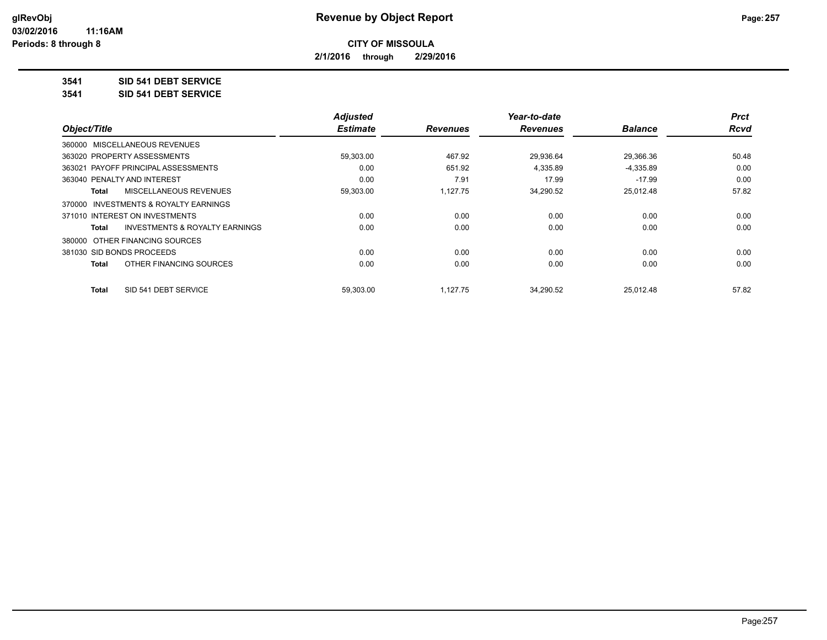**2/1/2016 through 2/29/2016**

## **3541 SID 541 DEBT SERVICE**

**3541 SID 541 DEBT SERVICE**

|                                         | <b>Adjusted</b> |                 | Year-to-date    |                | <b>Prct</b> |
|-----------------------------------------|-----------------|-----------------|-----------------|----------------|-------------|
| Object/Title                            | <b>Estimate</b> | <b>Revenues</b> | <b>Revenues</b> | <b>Balance</b> | <b>Rcvd</b> |
| 360000 MISCELLANEOUS REVENUES           |                 |                 |                 |                |             |
| 363020 PROPERTY ASSESSMENTS             | 59,303.00       | 467.92          | 29,936.64       | 29,366.36      | 50.48       |
| 363021 PAYOFF PRINCIPAL ASSESSMENTS     | 0.00            | 651.92          | 4,335.89        | $-4,335.89$    | 0.00        |
| 363040 PENALTY AND INTEREST             | 0.00            | 7.91            | 17.99           | $-17.99$       | 0.00        |
| MISCELLANEOUS REVENUES<br>Total         | 59,303.00       | 1,127.75        | 34,290.52       | 25,012.48      | 57.82       |
| 370000 INVESTMENTS & ROYALTY EARNINGS   |                 |                 |                 |                |             |
| 371010 INTEREST ON INVESTMENTS          | 0.00            | 0.00            | 0.00            | 0.00           | 0.00        |
| INVESTMENTS & ROYALTY EARNINGS<br>Total | 0.00            | 0.00            | 0.00            | 0.00           | 0.00        |
| 380000 OTHER FINANCING SOURCES          |                 |                 |                 |                |             |
| 381030 SID BONDS PROCEEDS               | 0.00            | 0.00            | 0.00            | 0.00           | 0.00        |
| OTHER FINANCING SOURCES<br>Total        | 0.00            | 0.00            | 0.00            | 0.00           | 0.00        |
| SID 541 DEBT SERVICE<br>Total           | 59.303.00       | 1.127.75        | 34.290.52       | 25.012.48      | 57.82       |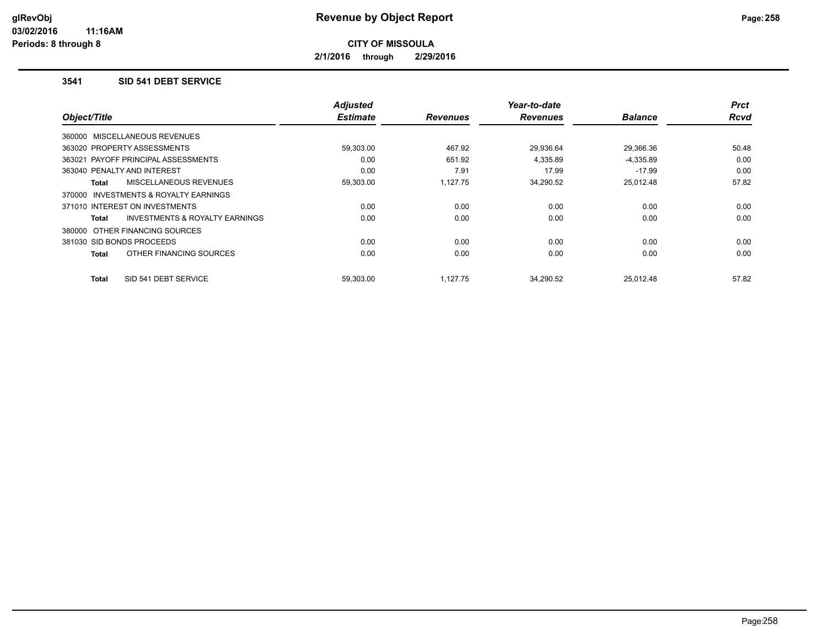**2/1/2016 through 2/29/2016**

## **3541 SID 541 DEBT SERVICE**

| Object/Title                                        | <b>Adjusted</b><br><b>Estimate</b> | <b>Revenues</b> | Year-to-date<br><b>Revenues</b> | <b>Balance</b> | <b>Prct</b><br>Rcvd |
|-----------------------------------------------------|------------------------------------|-----------------|---------------------------------|----------------|---------------------|
|                                                     |                                    |                 |                                 |                |                     |
| 360000 MISCELLANEOUS REVENUES                       |                                    |                 |                                 |                |                     |
| 363020 PROPERTY ASSESSMENTS                         | 59,303.00                          | 467.92          | 29,936.64                       | 29,366.36      | 50.48               |
| 363021 PAYOFF PRINCIPAL ASSESSMENTS                 | 0.00                               | 651.92          | 4,335.89                        | $-4,335.89$    | 0.00                |
| 363040 PENALTY AND INTEREST                         | 0.00                               | 7.91            | 17.99                           | $-17.99$       | 0.00                |
| MISCELLANEOUS REVENUES<br>Total                     | 59,303.00                          | 1.127.75        | 34,290.52                       | 25,012.48      | 57.82               |
| <b>INVESTMENTS &amp; ROYALTY EARNINGS</b><br>370000 |                                    |                 |                                 |                |                     |
| 371010 INTEREST ON INVESTMENTS                      | 0.00                               | 0.00            | 0.00                            | 0.00           | 0.00                |
| INVESTMENTS & ROYALTY EARNINGS<br>Total             | 0.00                               | 0.00            | 0.00                            | 0.00           | 0.00                |
| 380000 OTHER FINANCING SOURCES                      |                                    |                 |                                 |                |                     |
| 381030 SID BONDS PROCEEDS                           | 0.00                               | 0.00            | 0.00                            | 0.00           | 0.00                |
| OTHER FINANCING SOURCES<br><b>Total</b>             | 0.00                               | 0.00            | 0.00                            | 0.00           | 0.00                |
| SID 541 DEBT SERVICE<br><b>Total</b>                | 59.303.00                          | 1.127.75        | 34.290.52                       | 25.012.48      | 57.82               |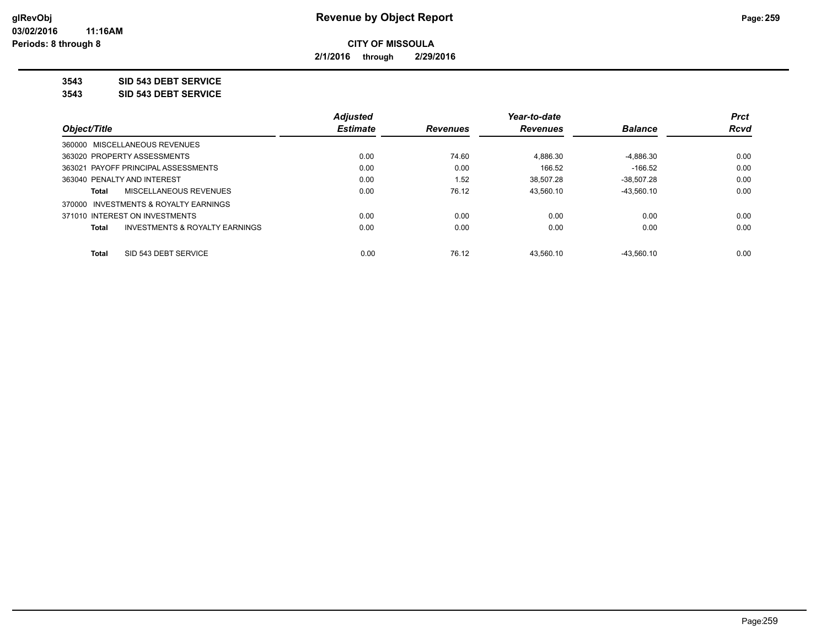**2/1/2016 through 2/29/2016**

**3543 SID 543 DEBT SERVICE**

**3543 SID 543 DEBT SERVICE**

|                                                           | <b>Adjusted</b> |                 | Year-to-date    |                | <b>Prct</b> |
|-----------------------------------------------------------|-----------------|-----------------|-----------------|----------------|-------------|
| Object/Title                                              | <b>Estimate</b> | <b>Revenues</b> | <b>Revenues</b> | <b>Balance</b> | Rcvd        |
| 360000 MISCELLANEOUS REVENUES                             |                 |                 |                 |                |             |
| 363020 PROPERTY ASSESSMENTS                               | 0.00            | 74.60           | 4,886.30        | $-4,886.30$    | 0.00        |
| 363021 PAYOFF PRINCIPAL ASSESSMENTS                       | 0.00            | 0.00            | 166.52          | $-166.52$      | 0.00        |
| 363040 PENALTY AND INTEREST                               | 0.00            | 1.52            | 38.507.28       | $-38.507.28$   | 0.00        |
| MISCELLANEOUS REVENUES<br>Total                           | 0.00            | 76.12           | 43.560.10       | $-43.560.10$   | 0.00        |
| 370000 INVESTMENTS & ROYALTY EARNINGS                     |                 |                 |                 |                |             |
| 371010 INTEREST ON INVESTMENTS                            | 0.00            | 0.00            | 0.00            | 0.00           | 0.00        |
| <b>INVESTMENTS &amp; ROYALTY EARNINGS</b><br><b>Total</b> | 0.00            | 0.00            | 0.00            | 0.00           | 0.00        |
| SID 543 DEBT SERVICE<br><b>Total</b>                      | 0.00            | 76.12           | 43.560.10       | $-43.560.10$   | 0.00        |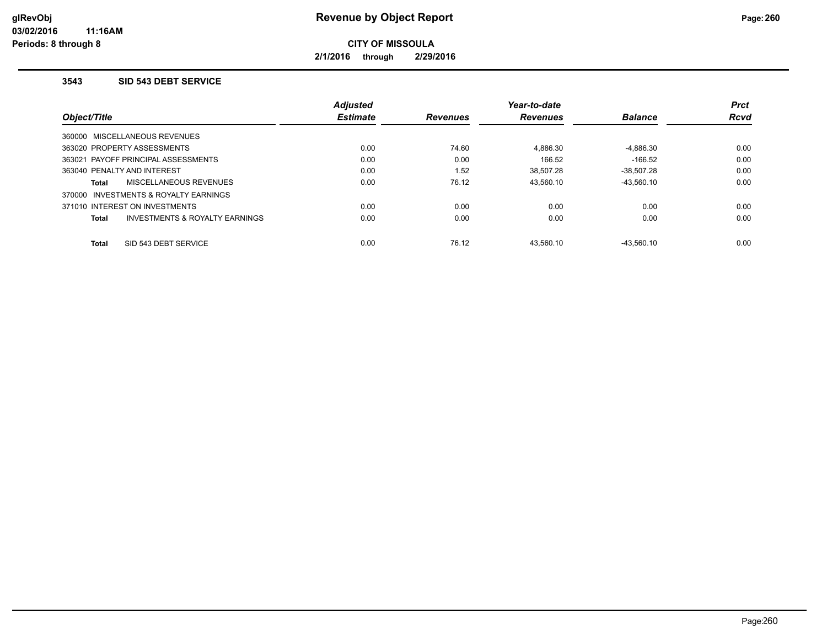**2/1/2016 through 2/29/2016**

## **3543 SID 543 DEBT SERVICE**

|                                          |                                           | <b>Adjusted</b> |                 | Year-to-date    |                | <b>Prct</b> |
|------------------------------------------|-------------------------------------------|-----------------|-----------------|-----------------|----------------|-------------|
| <i><b>Object/Title</b></i>               |                                           | <b>Estimate</b> | <b>Revenues</b> | <b>Revenues</b> | <b>Balance</b> | <b>Rcvd</b> |
| 360000 MISCELLANEOUS REVENUES            |                                           |                 |                 |                 |                |             |
| 363020 PROPERTY ASSESSMENTS              |                                           | 0.00            | 74.60           | 4,886.30        | $-4,886.30$    | 0.00        |
| 363021 PAYOFF PRINCIPAL ASSESSMENTS      |                                           | 0.00            | 0.00            | 166.52          | $-166.52$      | 0.00        |
| 363040 PENALTY AND INTEREST              |                                           | 0.00            | 1.52            | 38.507.28       | $-38.507.28$   | 0.00        |
| Total                                    | MISCELLANEOUS REVENUES                    | 0.00            | 76.12           | 43.560.10       | $-43.560.10$   | 0.00        |
| INVESTMENTS & ROYALTY EARNINGS<br>370000 |                                           |                 |                 |                 |                |             |
| 371010 INTEREST ON INVESTMENTS           |                                           | 0.00            | 0.00            | 0.00            | 0.00           | 0.00        |
| Total                                    | <b>INVESTMENTS &amp; ROYALTY EARNINGS</b> | 0.00            | 0.00            | 0.00            | 0.00           | 0.00        |
| <b>Total</b>                             | SID 543 DEBT SERVICE                      | 0.00            | 76.12           | 43.560.10       | $-43.560.10$   | 0.00        |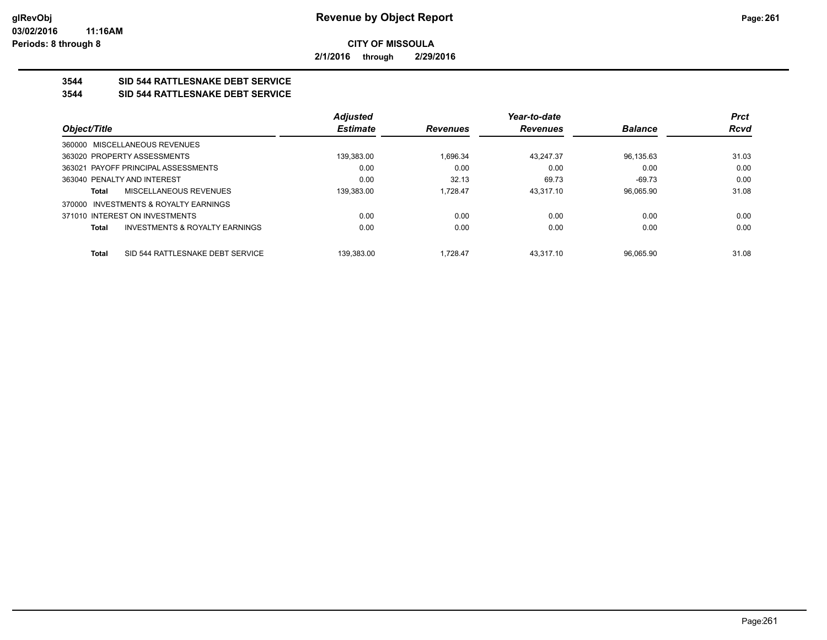**2/1/2016 through 2/29/2016**

# **3544 SID 544 RATTLESNAKE DEBT SERVICE**

## **3544 SID 544 RATTLESNAKE DEBT SERVICE**

|                                                    | <b>Adjusted</b> |                 | Year-to-date    |                | <b>Prct</b> |
|----------------------------------------------------|-----------------|-----------------|-----------------|----------------|-------------|
| Object/Title                                       | <b>Estimate</b> | <b>Revenues</b> | <b>Revenues</b> | <b>Balance</b> | <b>Rcvd</b> |
| 360000 MISCELLANEOUS REVENUES                      |                 |                 |                 |                |             |
| 363020 PROPERTY ASSESSMENTS                        | 139.383.00      | 1.696.34        | 43,247.37       | 96,135.63      | 31.03       |
| 363021 PAYOFF PRINCIPAL ASSESSMENTS                | 0.00            | 0.00            | 0.00            | 0.00           | 0.00        |
| 363040 PENALTY AND INTEREST                        | 0.00            | 32.13           | 69.73           | $-69.73$       | 0.00        |
| MISCELLANEOUS REVENUES<br>Total                    | 139.383.00      | 1.728.47        | 43.317.10       | 96.065.90      | 31.08       |
| 370000 INVESTMENTS & ROYALTY EARNINGS              |                 |                 |                 |                |             |
| 371010 INTEREST ON INVESTMENTS                     | 0.00            | 0.00            | 0.00            | 0.00           | 0.00        |
| <b>INVESTMENTS &amp; ROYALTY EARNINGS</b><br>Total | 0.00            | 0.00            | 0.00            | 0.00           | 0.00        |
|                                                    |                 |                 |                 |                |             |
| SID 544 RATTLESNAKE DEBT SERVICE<br>Total          | 139.383.00      | 1.728.47        | 43.317.10       | 96.065.90      | 31.08       |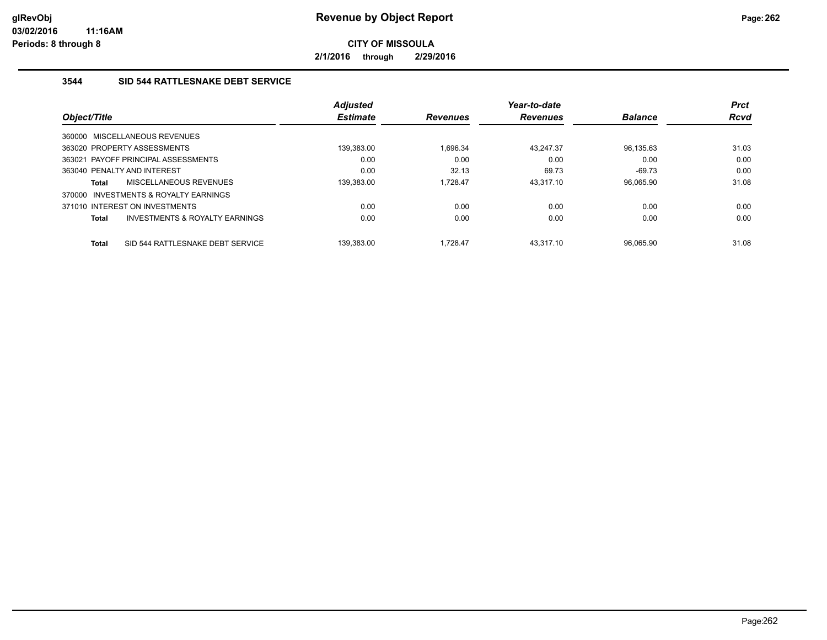**2/1/2016 through 2/29/2016**

## **3544 SID 544 RATTLESNAKE DEBT SERVICE**

|              |                                     | <b>Adjusted</b> |                 | Year-to-date    |                | <b>Prct</b> |
|--------------|-------------------------------------|-----------------|-----------------|-----------------|----------------|-------------|
| Object/Title |                                     | <b>Estimate</b> | <b>Revenues</b> | <b>Revenues</b> | <b>Balance</b> | <b>Rcvd</b> |
|              | 360000 MISCELLANEOUS REVENUES       |                 |                 |                 |                |             |
|              | 363020 PROPERTY ASSESSMENTS         | 139,383.00      | 1.696.34        | 43.247.37       | 96,135.63      | 31.03       |
|              | 363021 PAYOFF PRINCIPAL ASSESSMENTS | 0.00            | 0.00            | 0.00            | 0.00           | 0.00        |
|              | 363040 PENALTY AND INTEREST         | 0.00            | 32.13           | 69.73           | $-69.73$       | 0.00        |
| <b>Total</b> | MISCELLANEOUS REVENUES              | 139.383.00      | 1.728.47        | 43.317.10       | 96.065.90      | 31.08       |
| 370000       | INVESTMENTS & ROYALTY EARNINGS      |                 |                 |                 |                |             |
|              | 371010 INTEREST ON INVESTMENTS      | 0.00            | 0.00            | 0.00            | 0.00           | 0.00        |
| <b>Total</b> | INVESTMENTS & ROYALTY EARNINGS      | 0.00            | 0.00            | 0.00            | 0.00           | 0.00        |
| <b>Total</b> | SID 544 RATTLESNAKE DEBT SERVICE    | 139.383.00      | 1.728.47        | 43.317.10       | 96.065.90      | 31.08       |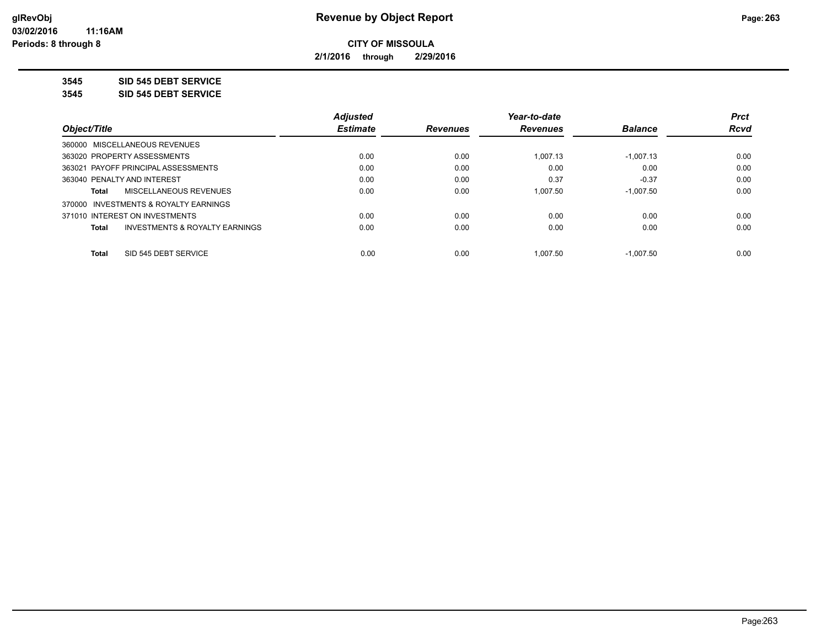**2/1/2016 through 2/29/2016**

**3545 SID 545 DEBT SERVICE**

**3545 SID 545 DEBT SERVICE**

|                                                | <b>Adjusted</b> |                 | Year-to-date    |                | <b>Prct</b> |
|------------------------------------------------|-----------------|-----------------|-----------------|----------------|-------------|
| Object/Title                                   | <b>Estimate</b> | <b>Revenues</b> | <b>Revenues</b> | <b>Balance</b> | <b>Rcvd</b> |
| 360000 MISCELLANEOUS REVENUES                  |                 |                 |                 |                |             |
| 363020 PROPERTY ASSESSMENTS                    | 0.00            | 0.00            | 1.007.13        | $-1,007.13$    | 0.00        |
| 363021 PAYOFF PRINCIPAL ASSESSMENTS            | 0.00            | 0.00            | 0.00            | 0.00           | 0.00        |
| 363040 PENALTY AND INTEREST                    | 0.00            | 0.00            | 0.37            | $-0.37$        | 0.00        |
| MISCELLANEOUS REVENUES<br>Total                | 0.00            | 0.00            | 1.007.50        | $-1.007.50$    | 0.00        |
| 370000 INVESTMENTS & ROYALTY EARNINGS          |                 |                 |                 |                |             |
| 371010 INTEREST ON INVESTMENTS                 | 0.00            | 0.00            | 0.00            | 0.00           | 0.00        |
| INVESTMENTS & ROYALTY EARNINGS<br><b>Total</b> | 0.00            | 0.00            | 0.00            | 0.00           | 0.00        |
|                                                |                 |                 |                 |                |             |
| SID 545 DEBT SERVICE<br><b>Total</b>           | 0.00            | 0.00            | 1.007.50        | $-1.007.50$    | 0.00        |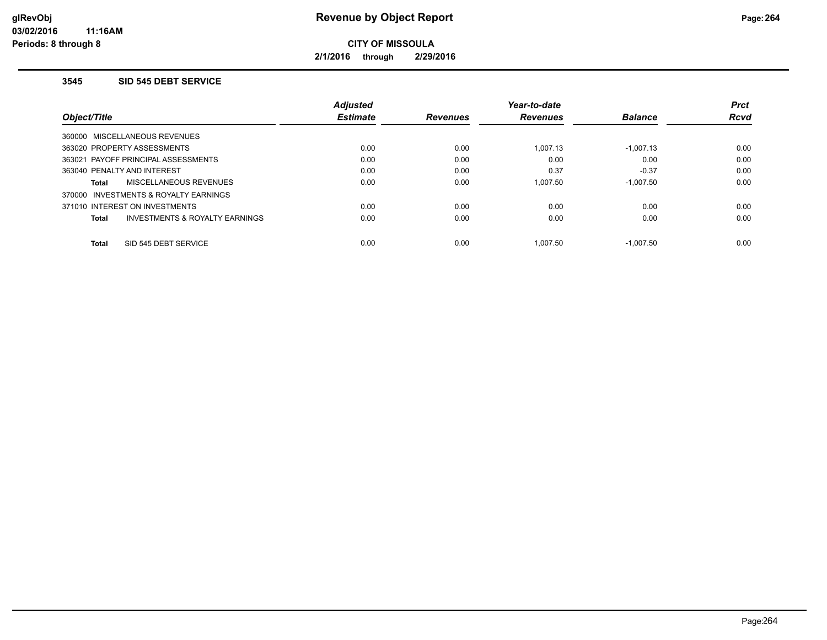**2/1/2016 through 2/29/2016**

## **3545 SID 545 DEBT SERVICE**

|                                     |                                | <b>Adiusted</b> |                 | Year-to-date    |                | <b>Prct</b> |
|-------------------------------------|--------------------------------|-----------------|-----------------|-----------------|----------------|-------------|
| Object/Title                        |                                | <b>Estimate</b> | <b>Revenues</b> | <b>Revenues</b> | <b>Balance</b> | <b>Rcvd</b> |
| 360000 MISCELLANEOUS REVENUES       |                                |                 |                 |                 |                |             |
| 363020 PROPERTY ASSESSMENTS         |                                | 0.00            | 0.00            | 1.007.13        | $-1.007.13$    | 0.00        |
| 363021 PAYOFF PRINCIPAL ASSESSMENTS |                                | 0.00            | 0.00            | 0.00            | 0.00           | 0.00        |
| 363040 PENALTY AND INTEREST         |                                | 0.00            | 0.00            | 0.37            | $-0.37$        | 0.00        |
| Total                               | MISCELLANEOUS REVENUES         | 0.00            | 0.00            | 1.007.50        | $-1.007.50$    | 0.00        |
| 370000                              | INVESTMENTS & ROYALTY EARNINGS |                 |                 |                 |                |             |
| 371010 INTEREST ON INVESTMENTS      |                                | 0.00            | 0.00            | 0.00            | 0.00           | 0.00        |
| Total                               | INVESTMENTS & ROYALTY EARNINGS | 0.00            | 0.00            | 0.00            | 0.00           | 0.00        |
| <b>Total</b>                        | SID 545 DEBT SERVICE           | 0.00            | 0.00            | 1.007.50        | $-1.007.50$    | 0.00        |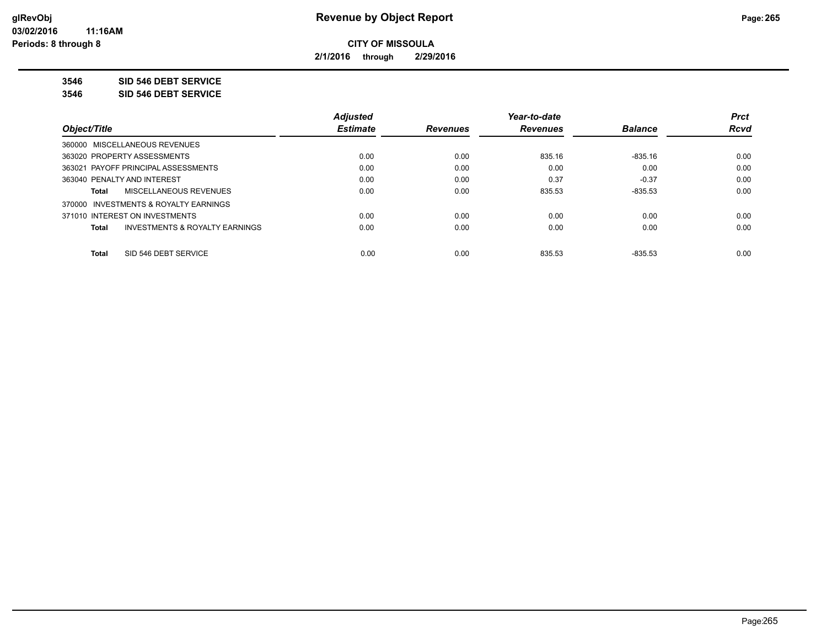**2/1/2016 through 2/29/2016**

**3546 SID 546 DEBT SERVICE**

**3546 SID 546 DEBT SERVICE**

|                                                | <b>Adjusted</b> |                 | Year-to-date    |                | <b>Prct</b> |
|------------------------------------------------|-----------------|-----------------|-----------------|----------------|-------------|
| Object/Title                                   | <b>Estimate</b> | <b>Revenues</b> | <b>Revenues</b> | <b>Balance</b> | <b>Rcvd</b> |
| 360000 MISCELLANEOUS REVENUES                  |                 |                 |                 |                |             |
| 363020 PROPERTY ASSESSMENTS                    | 0.00            | 0.00            | 835.16          | $-835.16$      | 0.00        |
| 363021 PAYOFF PRINCIPAL ASSESSMENTS            | 0.00            | 0.00            | 0.00            | 0.00           | 0.00        |
| 363040 PENALTY AND INTEREST                    | 0.00            | 0.00            | 0.37            | $-0.37$        | 0.00        |
| MISCELLANEOUS REVENUES<br>Total                | 0.00            | 0.00            | 835.53          | $-835.53$      | 0.00        |
| 370000 INVESTMENTS & ROYALTY EARNINGS          |                 |                 |                 |                |             |
| 371010 INTEREST ON INVESTMENTS                 | 0.00            | 0.00            | 0.00            | 0.00           | 0.00        |
| INVESTMENTS & ROYALTY EARNINGS<br><b>Total</b> | 0.00            | 0.00            | 0.00            | 0.00           | 0.00        |
| SID 546 DEBT SERVICE<br><b>Total</b>           | 0.00            | 0.00            | 835.53          | $-835.53$      | 0.00        |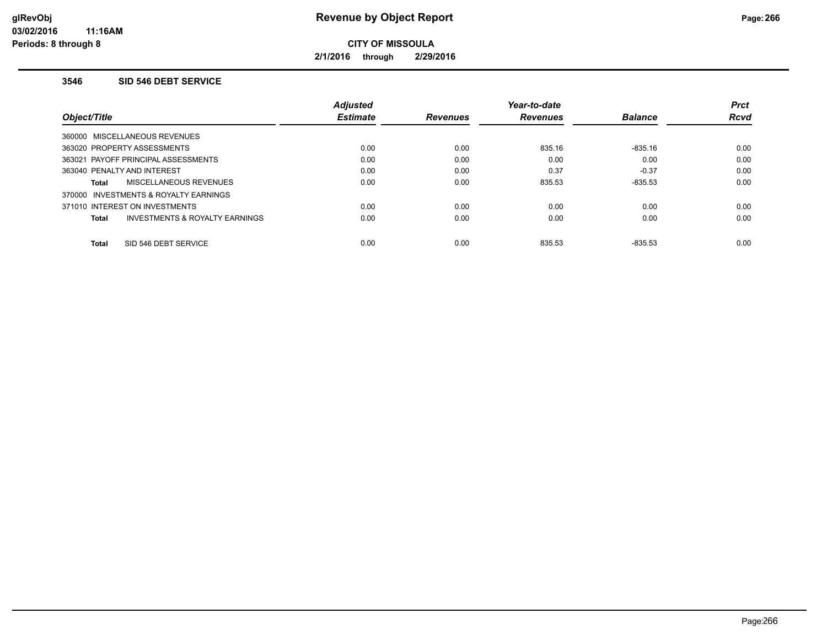**2/1/2016 through 2/29/2016**

## **3546 SID 546 DEBT SERVICE**

|                                          | Adjusted        |                 | Year-to-date    |                | <b>Prct</b> |
|------------------------------------------|-----------------|-----------------|-----------------|----------------|-------------|
| Object/Title                             | <b>Estimate</b> | <b>Revenues</b> | <b>Revenues</b> | <b>Balance</b> | <b>Rcvd</b> |
| 360000 MISCELLANEOUS REVENUES            |                 |                 |                 |                |             |
| 363020 PROPERTY ASSESSMENTS              | 0.00            | 0.00            | 835.16          | $-835.16$      | 0.00        |
| 363021 PAYOFF PRINCIPAL ASSESSMENTS      | 0.00            | 0.00            | 0.00            | 0.00           | 0.00        |
| 363040 PENALTY AND INTEREST              | 0.00            | 0.00            | 0.37            | $-0.37$        | 0.00        |
| MISCELLANEOUS REVENUES<br>Total          | 0.00            | 0.00            | 835.53          | $-835.53$      | 0.00        |
| INVESTMENTS & ROYALTY EARNINGS<br>370000 |                 |                 |                 |                |             |
| 371010 INTEREST ON INVESTMENTS           | 0.00            | 0.00            | 0.00            | 0.00           | 0.00        |
| INVESTMENTS & ROYALTY EARNINGS<br>Total  | 0.00            | 0.00            | 0.00            | 0.00           | 0.00        |
| SID 546 DEBT SERVICE<br><b>Total</b>     | 0.00            | 0.00            | 835.53          | $-835.53$      | 0.00        |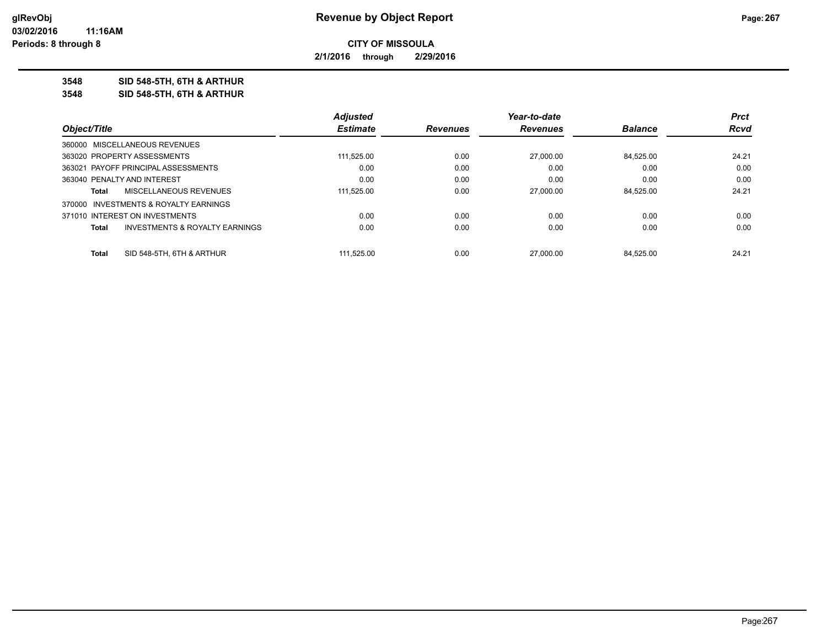**2/1/2016 through 2/29/2016**

**3548 SID 548-5TH, 6TH & ARTHUR**

**3548 SID 548-5TH, 6TH & ARTHUR**

|                             |                                           | <b>Adjusted</b> |                 | Year-to-date   |           | <b>Prct</b> |
|-----------------------------|-------------------------------------------|-----------------|-----------------|----------------|-----------|-------------|
| Object/Title                | <b>Estimate</b>                           | <b>Revenues</b> | <b>Revenues</b> | <b>Balance</b> | Rcvd      |             |
|                             | 360000 MISCELLANEOUS REVENUES             |                 |                 |                |           |             |
|                             | 363020 PROPERTY ASSESSMENTS               | 111.525.00      | 0.00            | 27,000.00      | 84.525.00 | 24.21       |
|                             | 363021 PAYOFF PRINCIPAL ASSESSMENTS       | 0.00            | 0.00            | 0.00           | 0.00      | 0.00        |
| 363040 PENALTY AND INTEREST |                                           | 0.00            | 0.00            | 0.00           | 0.00      | 0.00        |
| Total                       | MISCELLANEOUS REVENUES                    | 111,525.00      | 0.00            | 27,000.00      | 84.525.00 | 24.21       |
|                             | 370000 INVESTMENTS & ROYALTY EARNINGS     |                 |                 |                |           |             |
|                             | 371010 INTEREST ON INVESTMENTS            | 0.00            | 0.00            | 0.00           | 0.00      | 0.00        |
| <b>Total</b>                | <b>INVESTMENTS &amp; ROYALTY EARNINGS</b> | 0.00            | 0.00            | 0.00           | 0.00      | 0.00        |
| Total                       | SID 548-5TH, 6TH & ARTHUR                 | 111.525.00      | 0.00            | 27,000.00      | 84.525.00 | 24.21       |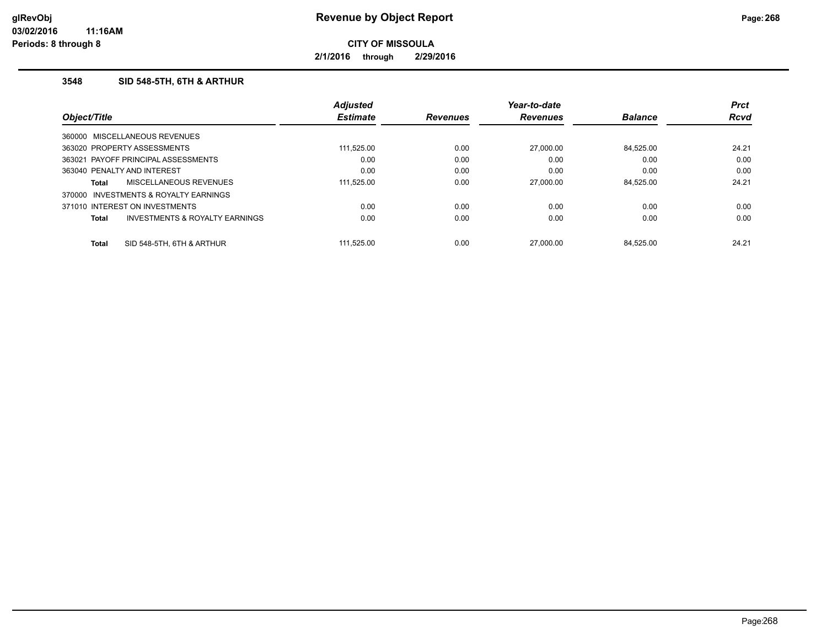**2/1/2016 through 2/29/2016**

## **3548 SID 548-5TH, 6TH & ARTHUR**

|              |                                     | <b>Adjusted</b> |                 | Year-to-date    |                | <b>Prct</b> |
|--------------|-------------------------------------|-----------------|-----------------|-----------------|----------------|-------------|
|              | Object/Title                        | <b>Estimate</b> | <b>Revenues</b> | <b>Revenues</b> | <b>Balance</b> | <b>Rcvd</b> |
|              | 360000 MISCELLANEOUS REVENUES       |                 |                 |                 |                |             |
|              | 363020 PROPERTY ASSESSMENTS         | 111,525.00      | 0.00            | 27,000.00       | 84.525.00      | 24.21       |
|              | 363021 PAYOFF PRINCIPAL ASSESSMENTS | 0.00            | 0.00            | 0.00            | 0.00           | 0.00        |
|              | 363040 PENALTY AND INTEREST         | 0.00            | 0.00            | 0.00            | 0.00           | 0.00        |
| Total        | MISCELLANEOUS REVENUES              | 111.525.00      | 0.00            | 27,000.00       | 84.525.00      | 24.21       |
| 370000       | INVESTMENTS & ROYALTY EARNINGS      |                 |                 |                 |                |             |
|              | 371010 INTEREST ON INVESTMENTS      | 0.00            | 0.00            | 0.00            | 0.00           | 0.00        |
| Total        | INVESTMENTS & ROYALTY EARNINGS      | 0.00            | 0.00            | 0.00            | 0.00           | 0.00        |
| <b>Total</b> | SID 548-5TH, 6TH & ARTHUR           | 111.525.00      | 0.00            | 27.000.00       | 84.525.00      | 24.21       |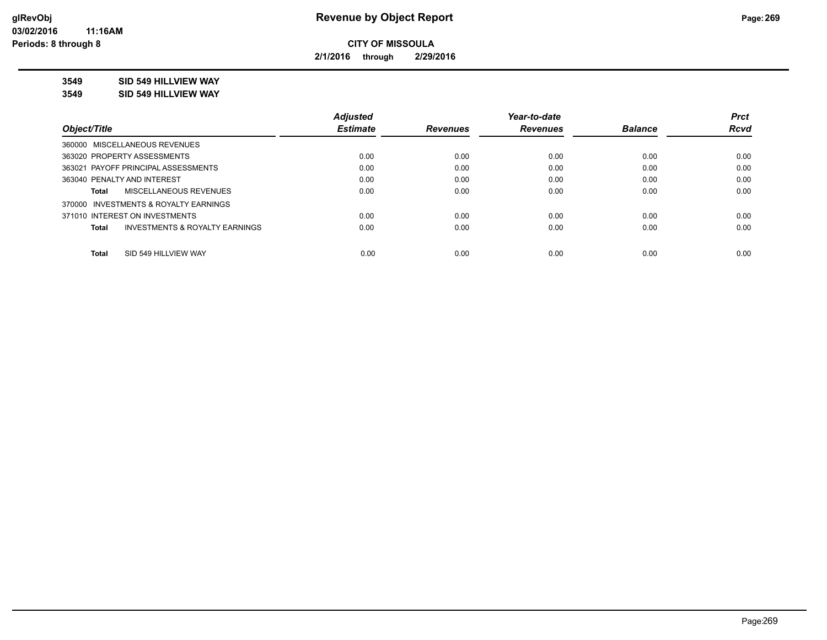**2/1/2016 through 2/29/2016**

**3549 SID 549 HILLVIEW WAY**

**3549 SID 549 HILLVIEW WAY**

|                                                | <b>Adjusted</b> |                 | Year-to-date    |                | <b>Prct</b> |
|------------------------------------------------|-----------------|-----------------|-----------------|----------------|-------------|
| Object/Title                                   | <b>Estimate</b> | <b>Revenues</b> | <b>Revenues</b> | <b>Balance</b> | Rcvd        |
| 360000 MISCELLANEOUS REVENUES                  |                 |                 |                 |                |             |
| 363020 PROPERTY ASSESSMENTS                    | 0.00            | 0.00            | 0.00            | 0.00           | 0.00        |
| 363021 PAYOFF PRINCIPAL ASSESSMENTS            | 0.00            | 0.00            | 0.00            | 0.00           | 0.00        |
| 363040 PENALTY AND INTEREST                    | 0.00            | 0.00            | 0.00            | 0.00           | 0.00        |
| MISCELLANEOUS REVENUES<br>Total                | 0.00            | 0.00            | 0.00            | 0.00           | 0.00        |
| 370000 INVESTMENTS & ROYALTY EARNINGS          |                 |                 |                 |                |             |
| 371010 INTEREST ON INVESTMENTS                 | 0.00            | 0.00            | 0.00            | 0.00           | 0.00        |
| INVESTMENTS & ROYALTY EARNINGS<br><b>Total</b> | 0.00            | 0.00            | 0.00            | 0.00           | 0.00        |
| SID 549 HILLVIEW WAY<br><b>Total</b>           | 0.00            | 0.00            | 0.00            | 0.00           | 0.00        |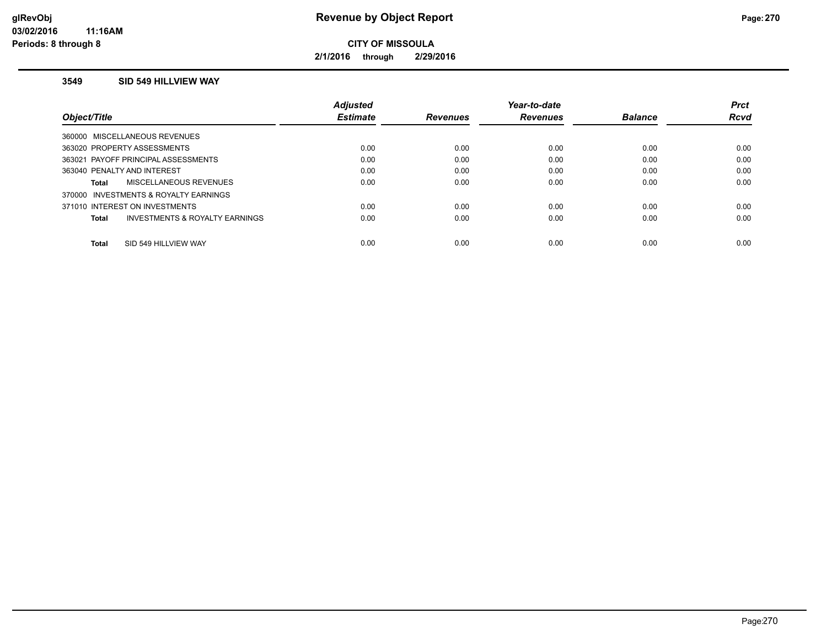**2/1/2016 through 2/29/2016**

## **3549 SID 549 HILLVIEW WAY**

|                                                | <b>Adiusted</b> |                 | Year-to-date    |                | <b>Prct</b> |
|------------------------------------------------|-----------------|-----------------|-----------------|----------------|-------------|
| Obiect/Title                                   | <b>Estimate</b> | <b>Revenues</b> | <b>Revenues</b> | <b>Balance</b> | <b>Rcvd</b> |
| 360000 MISCELLANEOUS REVENUES                  |                 |                 |                 |                |             |
| 363020 PROPERTY ASSESSMENTS                    | 0.00            | 0.00            | 0.00            | 0.00           | 0.00        |
| 363021 PAYOFF PRINCIPAL ASSESSMENTS            | 0.00            | 0.00            | 0.00            | 0.00           | 0.00        |
| 363040 PENALTY AND INTEREST                    | 0.00            | 0.00            | 0.00            | 0.00           | 0.00        |
| MISCELLANEOUS REVENUES<br><b>Total</b>         | 0.00            | 0.00            | 0.00            | 0.00           | 0.00        |
| 370000 INVESTMENTS & ROYALTY EARNINGS          |                 |                 |                 |                |             |
| 371010 INTEREST ON INVESTMENTS                 | 0.00            | 0.00            | 0.00            | 0.00           | 0.00        |
| INVESTMENTS & ROYALTY EARNINGS<br><b>Total</b> | 0.00            | 0.00            | 0.00            | 0.00           | 0.00        |
| SID 549 HILLVIEW WAY<br><b>Total</b>           | 0.00            | 0.00            | 0.00            | 0.00           | 0.00        |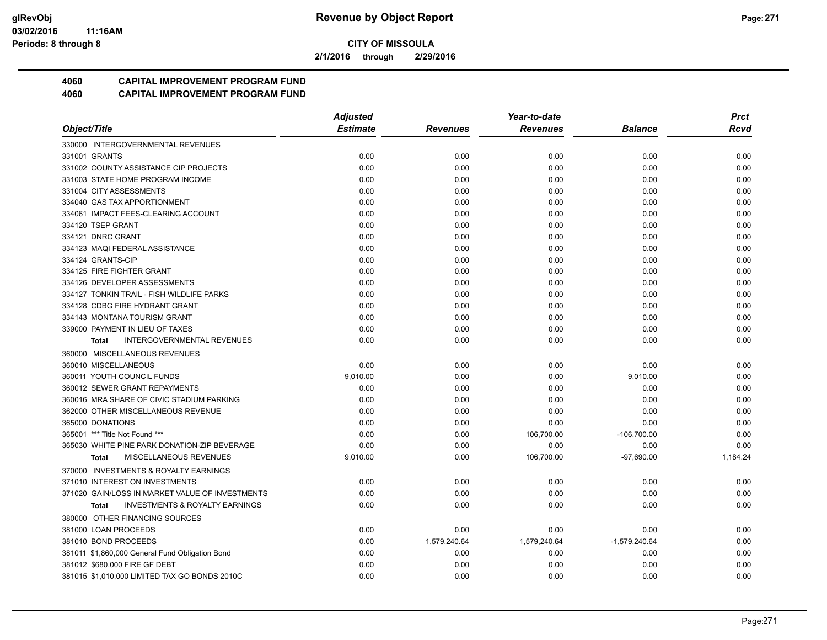**2/1/2016 through 2/29/2016**

## **4060 CAPITAL IMPROVEMENT PROGRAM FUND**

|                                                    | <b>Adjusted</b> |                 | Year-to-date    |                 | <b>Prct</b> |
|----------------------------------------------------|-----------------|-----------------|-----------------|-----------------|-------------|
| Object/Title                                       | <b>Estimate</b> | <b>Revenues</b> | <b>Revenues</b> | Balance         | Rcvd        |
| 330000 INTERGOVERNMENTAL REVENUES                  |                 |                 |                 |                 |             |
| 331001 GRANTS                                      | 0.00            | 0.00            | 0.00            | 0.00            | 0.00        |
| 331002 COUNTY ASSISTANCE CIP PROJECTS              | 0.00            | 0.00            | 0.00            | 0.00            | 0.00        |
| 331003 STATE HOME PROGRAM INCOME                   | 0.00            | 0.00            | 0.00            | 0.00            | 0.00        |
| 331004 CITY ASSESSMENTS                            | 0.00            | 0.00            | 0.00            | 0.00            | 0.00        |
| 334040 GAS TAX APPORTIONMENT                       | 0.00            | 0.00            | 0.00            | 0.00            | 0.00        |
| 334061 IMPACT FEES-CLEARING ACCOUNT                | 0.00            | 0.00            | 0.00            | 0.00            | 0.00        |
| 334120 TSEP GRANT                                  | 0.00            | 0.00            | 0.00            | 0.00            | 0.00        |
| 334121 DNRC GRANT                                  | 0.00            | 0.00            | 0.00            | 0.00            | 0.00        |
| 334123 MAQI FEDERAL ASSISTANCE                     | 0.00            | 0.00            | 0.00            | 0.00            | 0.00        |
| 334124 GRANTS-CIP                                  | 0.00            | 0.00            | 0.00            | 0.00            | 0.00        |
| 334125 FIRE FIGHTER GRANT                          | 0.00            | 0.00            | 0.00            | 0.00            | 0.00        |
| 334126 DEVELOPER ASSESSMENTS                       | 0.00            | 0.00            | 0.00            | 0.00            | 0.00        |
| 334127 TONKIN TRAIL - FISH WILDLIFE PARKS          | 0.00            | 0.00            | 0.00            | 0.00            | 0.00        |
| 334128 CDBG FIRE HYDRANT GRANT                     | 0.00            | 0.00            | 0.00            | 0.00            | 0.00        |
| 334143 MONTANA TOURISM GRANT                       | 0.00            | 0.00            | 0.00            | 0.00            | 0.00        |
| 339000 PAYMENT IN LIEU OF TAXES                    | 0.00            | 0.00            | 0.00            | 0.00            | 0.00        |
| <b>INTERGOVERNMENTAL REVENUES</b><br><b>Total</b>  | 0.00            | 0.00            | 0.00            | 0.00            | 0.00        |
| 360000 MISCELLANEOUS REVENUES                      |                 |                 |                 |                 |             |
| 360010 MISCELLANEOUS                               | 0.00            | 0.00            | 0.00            | 0.00            | 0.00        |
| 360011 YOUTH COUNCIL FUNDS                         | 9,010.00        | 0.00            | 0.00            | 9,010.00        | 0.00        |
| 360012 SEWER GRANT REPAYMENTS                      | 0.00            | 0.00            | 0.00            | 0.00            | 0.00        |
| 360016 MRA SHARE OF CIVIC STADIUM PARKING          | 0.00            | 0.00            | 0.00            | 0.00            | 0.00        |
| 362000 OTHER MISCELLANEOUS REVENUE                 | 0.00            | 0.00            | 0.00            | 0.00            | 0.00        |
| 365000 DONATIONS                                   | 0.00            | 0.00            | 0.00            | 0.00            | 0.00        |
| 365001 *** Title Not Found ***                     | 0.00            | 0.00            | 106,700.00      | $-106,700.00$   | 0.00        |
| 365030 WHITE PINE PARK DONATION-ZIP BEVERAGE       | 0.00            | 0.00            | 0.00            | 0.00            | 0.00        |
| <b>MISCELLANEOUS REVENUES</b><br><b>Total</b>      | 9,010.00        | 0.00            | 106,700.00      | $-97,690.00$    | 1.184.24    |
| 370000 INVESTMENTS & ROYALTY EARNINGS              |                 |                 |                 |                 |             |
| 371010 INTEREST ON INVESTMENTS                     | 0.00            | 0.00            | 0.00            | 0.00            | 0.00        |
| 371020 GAIN/LOSS IN MARKET VALUE OF INVESTMENTS    | 0.00            | 0.00            | 0.00            | 0.00            | 0.00        |
| <b>INVESTMENTS &amp; ROYALTY EARNINGS</b><br>Total | 0.00            | 0.00            | 0.00            | 0.00            | 0.00        |
| 380000 OTHER FINANCING SOURCES                     |                 |                 |                 |                 |             |
| 381000 LOAN PROCEEDS                               | 0.00            | 0.00            | 0.00            | 0.00            | 0.00        |
| 381010 BOND PROCEEDS                               | 0.00            | 1,579,240.64    | 1,579,240.64    | $-1,579,240.64$ | 0.00        |
| 381011 \$1,860,000 General Fund Obligation Bond    | 0.00            | 0.00            | 0.00            | 0.00            | 0.00        |
| 381012 \$680,000 FIRE GF DEBT                      | 0.00            | 0.00            | 0.00            | 0.00            | 0.00        |
| 381015 \$1,010,000 LIMITED TAX GO BONDS 2010C      | 0.00            | 0.00            | 0.00            | 0.00            | 0.00        |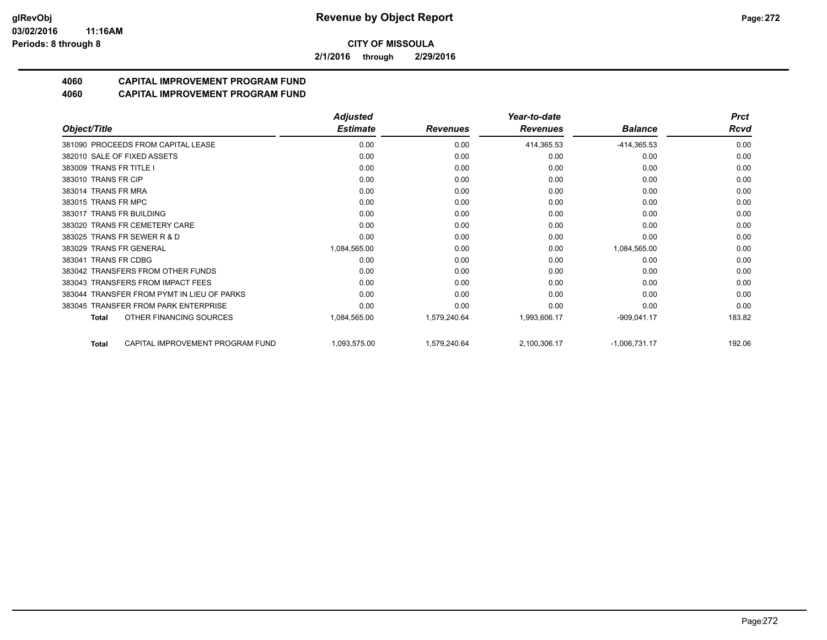**2/1/2016 through 2/29/2016**

# **4060 CAPITAL IMPROVEMENT PROGRAM FUND**

|                                                  | <b>Adjusted</b> |                 | Year-to-date    |                 | <b>Prct</b> |
|--------------------------------------------------|-----------------|-----------------|-----------------|-----------------|-------------|
| Object/Title                                     | <b>Estimate</b> | <b>Revenues</b> | <b>Revenues</b> | <b>Balance</b>  | Rcvd        |
| 381090 PROCEEDS FROM CAPITAL LEASE               | 0.00            | 0.00            | 414,365.53      | $-414,365.53$   | 0.00        |
| 382010 SALE OF FIXED ASSETS                      | 0.00            | 0.00            | 0.00            | 0.00            | 0.00        |
| 383009 TRANS FR TITLE I                          | 0.00            | 0.00            | 0.00            | 0.00            | 0.00        |
| 383010 TRANS FR CIP                              | 0.00            | 0.00            | 0.00            | 0.00            | 0.00        |
| 383014 TRANS FR MRA                              | 0.00            | 0.00            | 0.00            | 0.00            | 0.00        |
| 383015 TRANS FR MPC                              | 0.00            | 0.00            | 0.00            | 0.00            | 0.00        |
| 383017 TRANS FR BUILDING                         | 0.00            | 0.00            | 0.00            | 0.00            | 0.00        |
| 383020 TRANS FR CEMETERY CARE                    | 0.00            | 0.00            | 0.00            | 0.00            | 0.00        |
| 383025 TRANS FR SEWER R & D                      | 0.00            | 0.00            | 0.00            | 0.00            | 0.00        |
| 383029 TRANS FR GENERAL                          | 1,084,565.00    | 0.00            | 0.00            | 1,084,565.00    | 0.00        |
| 383041 TRANS FR CDBG                             | 0.00            | 0.00            | 0.00            | 0.00            | 0.00        |
| 383042 TRANSFERS FROM OTHER FUNDS                | 0.00            | 0.00            | 0.00            | 0.00            | 0.00        |
| 383043 TRANSFERS FROM IMPACT FEES                | 0.00            | 0.00            | 0.00            | 0.00            | 0.00        |
| 383044 TRANSFER FROM PYMT IN LIEU OF PARKS       | 0.00            | 0.00            | 0.00            | 0.00            | 0.00        |
| 383045 TRANSFER FROM PARK ENTERPRISE             | 0.00            | 0.00            | 0.00            | 0.00            | 0.00        |
| OTHER FINANCING SOURCES<br>Total                 | 1,084,565.00    | 1,579,240.64    | 1,993,606.17    | $-909,041.17$   | 183.82      |
| CAPITAL IMPROVEMENT PROGRAM FUND<br><b>Total</b> | 1,093,575.00    | 1,579,240.64    | 2,100,306.17    | $-1,006,731.17$ | 192.06      |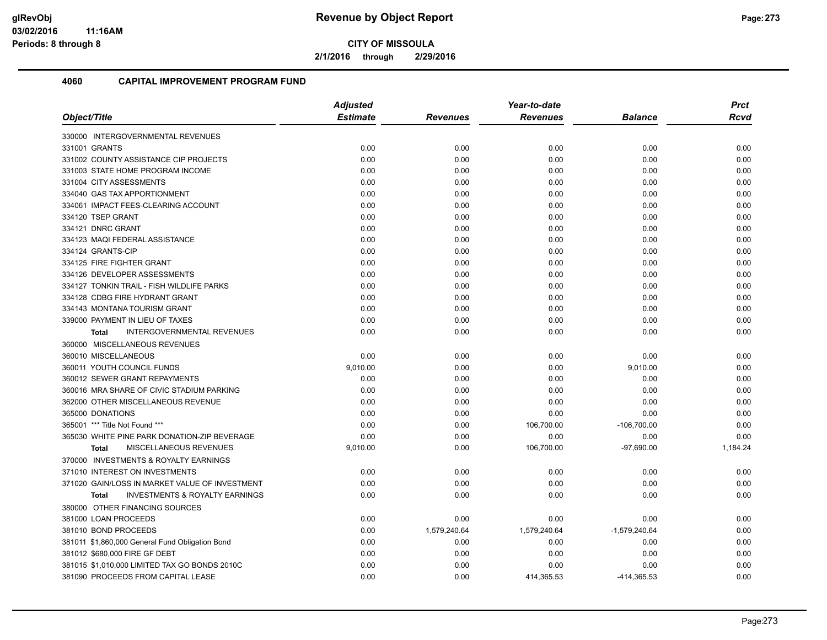**2/1/2016 through 2/29/2016**

|                                                           | <b>Adjusted</b> |                 | Year-to-date    |                 | <b>Prct</b> |
|-----------------------------------------------------------|-----------------|-----------------|-----------------|-----------------|-------------|
| Object/Title                                              | <b>Estimate</b> | <b>Revenues</b> | <b>Revenues</b> | <b>Balance</b>  | <b>Rcvd</b> |
| 330000 INTERGOVERNMENTAL REVENUES                         |                 |                 |                 |                 |             |
| 331001 GRANTS                                             | 0.00            | 0.00            | 0.00            | 0.00            | 0.00        |
| 331002 COUNTY ASSISTANCE CIP PROJECTS                     | 0.00            | 0.00            | 0.00            | 0.00            | 0.00        |
| 331003 STATE HOME PROGRAM INCOME                          | 0.00            | 0.00            | 0.00            | 0.00            | 0.00        |
| 331004 CITY ASSESSMENTS                                   | 0.00            | 0.00            | 0.00            | 0.00            | 0.00        |
| 334040 GAS TAX APPORTIONMENT                              | 0.00            | 0.00            | 0.00            | 0.00            | 0.00        |
| 334061 IMPACT FEES-CLEARING ACCOUNT                       | 0.00            | 0.00            | 0.00            | 0.00            | 0.00        |
| 334120 TSEP GRANT                                         | 0.00            | 0.00            | 0.00            | 0.00            | 0.00        |
| 334121 DNRC GRANT                                         | 0.00            | 0.00            | 0.00            | 0.00            | 0.00        |
| 334123 MAQI FEDERAL ASSISTANCE                            | 0.00            | 0.00            | 0.00            | 0.00            | 0.00        |
| 334124 GRANTS-CIP                                         | 0.00            | 0.00            | 0.00            | 0.00            | 0.00        |
| 334125 FIRE FIGHTER GRANT                                 | 0.00            | 0.00            | 0.00            | 0.00            | 0.00        |
| 334126 DEVELOPER ASSESSMENTS                              | 0.00            | 0.00            | 0.00            | 0.00            | 0.00        |
| 334127 TONKIN TRAIL - FISH WILDLIFE PARKS                 | 0.00            | 0.00            | 0.00            | 0.00            | 0.00        |
| 334128 CDBG FIRE HYDRANT GRANT                            | 0.00            | 0.00            | 0.00            | 0.00            | 0.00        |
| 334143 MONTANA TOURISM GRANT                              | 0.00            | 0.00            | 0.00            | 0.00            | 0.00        |
| 339000 PAYMENT IN LIEU OF TAXES                           | 0.00            | 0.00            | 0.00            | 0.00            | 0.00        |
| <b>INTERGOVERNMENTAL REVENUES</b><br><b>Total</b>         | 0.00            | 0.00            | 0.00            | 0.00            | 0.00        |
| 360000 MISCELLANEOUS REVENUES                             |                 |                 |                 |                 |             |
| 360010 MISCELLANEOUS                                      | 0.00            | 0.00            | 0.00            | 0.00            | 0.00        |
| 360011 YOUTH COUNCIL FUNDS                                | 9,010.00        | 0.00            | 0.00            | 9,010.00        | 0.00        |
| 360012 SEWER GRANT REPAYMENTS                             | 0.00            | 0.00            | 0.00            | 0.00            | 0.00        |
| 360016 MRA SHARE OF CIVIC STADIUM PARKING                 | 0.00            | 0.00            | 0.00            | 0.00            | 0.00        |
| 362000 OTHER MISCELLANEOUS REVENUE                        | 0.00            | 0.00            | 0.00            | 0.00            | 0.00        |
| 365000 DONATIONS                                          | 0.00            | 0.00            | 0.00            | 0.00            | 0.00        |
| 365001 *** Title Not Found ***                            | 0.00            | 0.00            | 106,700.00      | $-106,700.00$   | 0.00        |
| 365030 WHITE PINE PARK DONATION-ZIP BEVERAGE              | 0.00            | 0.00            | 0.00            | 0.00            | 0.00        |
| MISCELLANEOUS REVENUES<br><b>Total</b>                    | 9,010.00        | 0.00            | 106,700.00      | $-97,690.00$    | 1,184.24    |
| 370000 INVESTMENTS & ROYALTY EARNINGS                     |                 |                 |                 |                 |             |
| 371010 INTEREST ON INVESTMENTS                            | 0.00            | 0.00            | 0.00            | 0.00            | 0.00        |
| 371020 GAIN/LOSS IN MARKET VALUE OF INVESTMENT            | 0.00            | 0.00            | 0.00            | 0.00            | 0.00        |
| <b>INVESTMENTS &amp; ROYALTY EARNINGS</b><br><b>Total</b> | 0.00            | 0.00            | 0.00            | 0.00            | 0.00        |
| 380000 OTHER FINANCING SOURCES                            |                 |                 |                 |                 |             |
| 381000 LOAN PROCEEDS                                      | 0.00            | 0.00            | 0.00            | 0.00            | 0.00        |
| 381010 BOND PROCEEDS                                      | 0.00            | 1,579,240.64    | 1,579,240.64    | $-1,579,240.64$ | 0.00        |
| 381011 \$1,860,000 General Fund Obligation Bond           | 0.00            | 0.00            | 0.00            | 0.00            | 0.00        |
| 381012 \$680,000 FIRE GF DEBT                             | 0.00            | 0.00            | 0.00            | 0.00            | 0.00        |
| 381015 \$1,010,000 LIMITED TAX GO BONDS 2010C             | 0.00            | 0.00            | 0.00            | 0.00            | 0.00        |
| 381090 PROCEEDS FROM CAPITAL LEASE                        | 0.00            | 0.00            | 414,365.53      | -414,365.53     | 0.00        |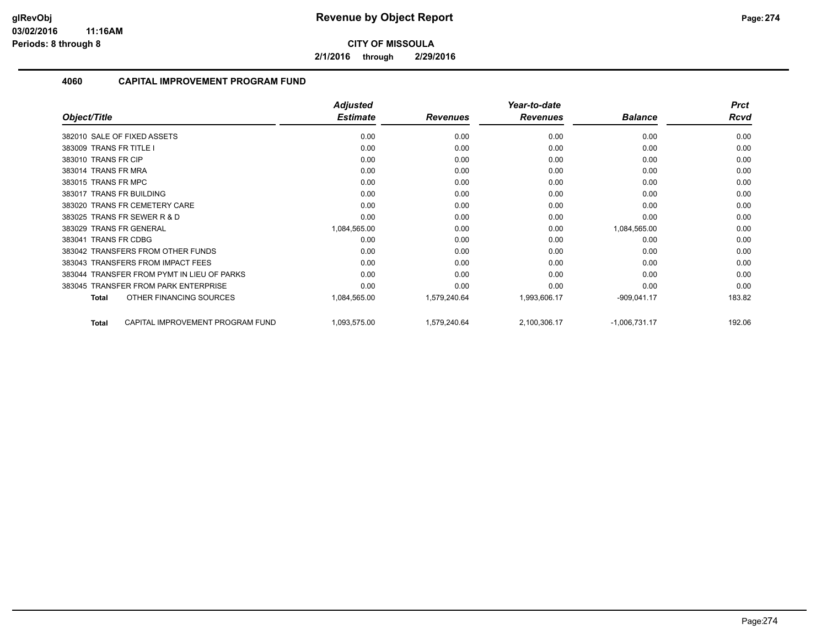**2/1/2016 through 2/29/2016**

|                                                  | <b>Adjusted</b> |                 | Year-to-date    |                 | <b>Prct</b> |
|--------------------------------------------------|-----------------|-----------------|-----------------|-----------------|-------------|
| Object/Title                                     | <b>Estimate</b> | <b>Revenues</b> | <b>Revenues</b> | <b>Balance</b>  | <b>Rcvd</b> |
| 382010 SALE OF FIXED ASSETS                      | 0.00            | 0.00            | 0.00            | 0.00            | 0.00        |
| 383009 TRANS FR TITLE I                          | 0.00            | 0.00            | 0.00            | 0.00            | 0.00        |
| 383010 TRANS FR CIP                              | 0.00            | 0.00            | 0.00            | 0.00            | 0.00        |
| 383014 TRANS FR MRA                              | 0.00            | 0.00            | 0.00            | 0.00            | 0.00        |
| 383015 TRANS FR MPC                              | 0.00            | 0.00            | 0.00            | 0.00            | 0.00        |
| 383017 TRANS FR BUILDING                         | 0.00            | 0.00            | 0.00            | 0.00            | 0.00        |
| 383020 TRANS FR CEMETERY CARE                    | 0.00            | 0.00            | 0.00            | 0.00            | 0.00        |
| 383025 TRANS FR SEWER R & D                      | 0.00            | 0.00            | 0.00            | 0.00            | 0.00        |
| 383029 TRANS FR GENERAL                          | 1,084,565.00    | 0.00            | 0.00            | 1,084,565.00    | 0.00        |
| <b>TRANS FR CDBG</b><br>383041                   | 0.00            | 0.00            | 0.00            | 0.00            | 0.00        |
| 383042 TRANSFERS FROM OTHER FUNDS                | 0.00            | 0.00            | 0.00            | 0.00            | 0.00        |
| 383043 TRANSFERS FROM IMPACT FEES                | 0.00            | 0.00            | 0.00            | 0.00            | 0.00        |
| 383044 TRANSFER FROM PYMT IN LIEU OF PARKS       | 0.00            | 0.00            | 0.00            | 0.00            | 0.00        |
| 383045 TRANSFER FROM PARK ENTERPRISE             | 0.00            | 0.00            | 0.00            | 0.00            | 0.00        |
| OTHER FINANCING SOURCES<br>Total                 | 1,084,565.00    | 1,579,240.64    | 1,993,606.17    | $-909,041.17$   | 183.82      |
| CAPITAL IMPROVEMENT PROGRAM FUND<br><b>Total</b> | 1,093,575.00    | 1,579,240.64    | 2,100,306.17    | $-1,006,731.17$ | 192.06      |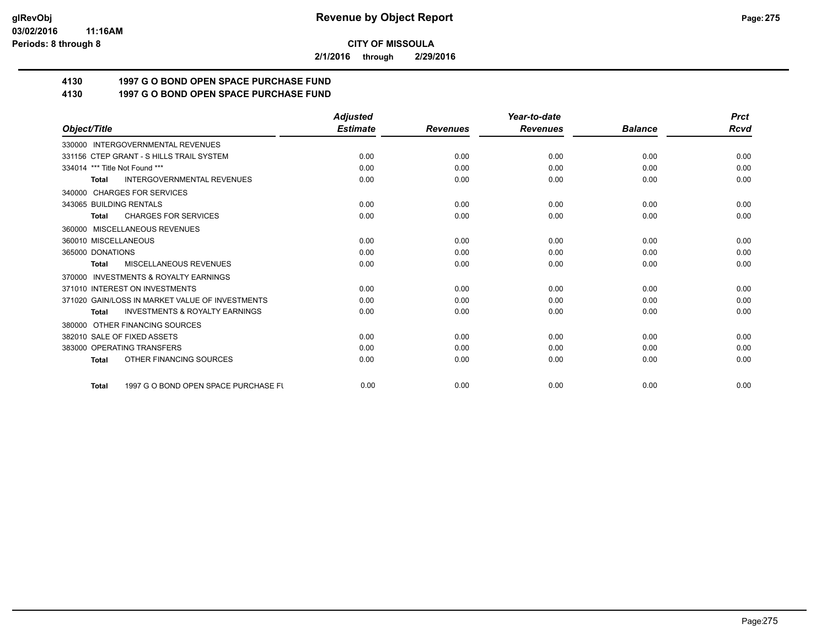**2/1/2016 through 2/29/2016**

# **4130 1997 G O BOND OPEN SPACE PURCHASE FUND**

## **4130 1997 G O BOND OPEN SPACE PURCHASE FUND**

|                                                           | <b>Adjusted</b> |                 | Year-to-date    |                | <b>Prct</b> |
|-----------------------------------------------------------|-----------------|-----------------|-----------------|----------------|-------------|
| Object/Title                                              | <b>Estimate</b> | <b>Revenues</b> | <b>Revenues</b> | <b>Balance</b> | <b>Rcvd</b> |
| 330000 INTERGOVERNMENTAL REVENUES                         |                 |                 |                 |                |             |
| 331156 CTEP GRANT - S HILLS TRAIL SYSTEM                  | 0.00            | 0.00            | 0.00            | 0.00           | 0.00        |
| 334014 *** Title Not Found ***                            | 0.00            | 0.00            | 0.00            | 0.00           | 0.00        |
| <b>INTERGOVERNMENTAL REVENUES</b><br><b>Total</b>         | 0.00            | 0.00            | 0.00            | 0.00           | 0.00        |
| 340000 CHARGES FOR SERVICES                               |                 |                 |                 |                |             |
| 343065 BUILDING RENTALS                                   | 0.00            | 0.00            | 0.00            | 0.00           | 0.00        |
| <b>CHARGES FOR SERVICES</b><br>Total                      | 0.00            | 0.00            | 0.00            | 0.00           | 0.00        |
| 360000 MISCELLANEOUS REVENUES                             |                 |                 |                 |                |             |
| 360010 MISCELLANEOUS                                      | 0.00            | 0.00            | 0.00            | 0.00           | 0.00        |
| 365000 DONATIONS                                          | 0.00            | 0.00            | 0.00            | 0.00           | 0.00        |
| MISCELLANEOUS REVENUES<br><b>Total</b>                    | 0.00            | 0.00            | 0.00            | 0.00           | 0.00        |
| 370000 INVESTMENTS & ROYALTY EARNINGS                     |                 |                 |                 |                |             |
| 371010 INTEREST ON INVESTMENTS                            | 0.00            | 0.00            | 0.00            | 0.00           | 0.00        |
| 371020 GAIN/LOSS IN MARKET VALUE OF INVESTMENTS           | 0.00            | 0.00            | 0.00            | 0.00           | 0.00        |
| <b>INVESTMENTS &amp; ROYALTY EARNINGS</b><br><b>Total</b> | 0.00            | 0.00            | 0.00            | 0.00           | 0.00        |
| 380000 OTHER FINANCING SOURCES                            |                 |                 |                 |                |             |
| 382010 SALE OF FIXED ASSETS                               | 0.00            | 0.00            | 0.00            | 0.00           | 0.00        |
| 383000 OPERATING TRANSFERS                                | 0.00            | 0.00            | 0.00            | 0.00           | 0.00        |
| OTHER FINANCING SOURCES<br><b>Total</b>                   | 0.00            | 0.00            | 0.00            | 0.00           | 0.00        |
| 1997 G O BOND OPEN SPACE PURCHASE FU<br>Total             | 0.00            | 0.00            | 0.00            | 0.00           | 0.00        |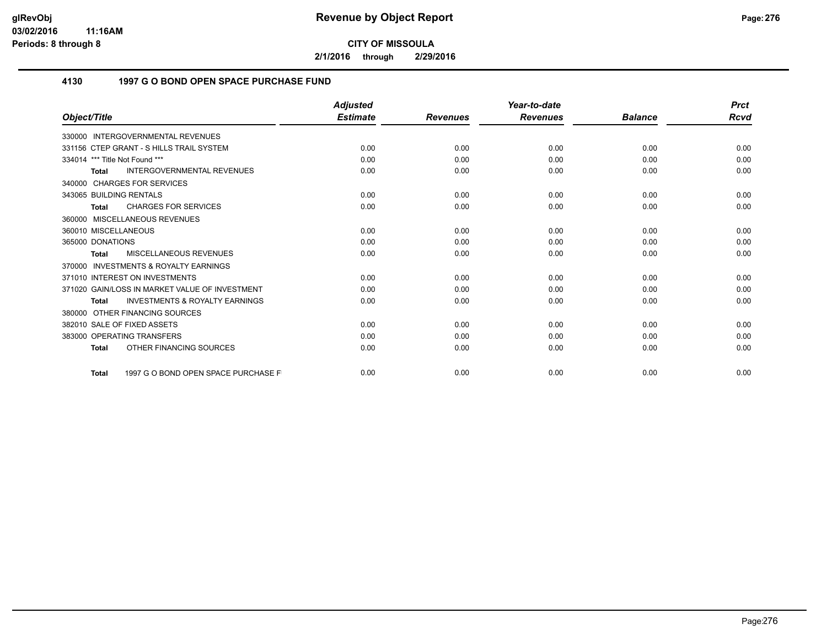**2/1/2016 through 2/29/2016**

## **4130 1997 G O BOND OPEN SPACE PURCHASE FUND**

|                                                           | <b>Adjusted</b> |                 | Year-to-date    |                | <b>Prct</b> |
|-----------------------------------------------------------|-----------------|-----------------|-----------------|----------------|-------------|
| Object/Title                                              | <b>Estimate</b> | <b>Revenues</b> | <b>Revenues</b> | <b>Balance</b> | Rcvd        |
| 330000 INTERGOVERNMENTAL REVENUES                         |                 |                 |                 |                |             |
| 331156 CTEP GRANT - S HILLS TRAIL SYSTEM                  | 0.00            | 0.00            | 0.00            | 0.00           | 0.00        |
| 334014 *** Title Not Found ***                            | 0.00            | 0.00            | 0.00            | 0.00           | 0.00        |
| <b>INTERGOVERNMENTAL REVENUES</b><br>Total                | 0.00            | 0.00            | 0.00            | 0.00           | 0.00        |
| 340000 CHARGES FOR SERVICES                               |                 |                 |                 |                |             |
| 343065 BUILDING RENTALS                                   | 0.00            | 0.00            | 0.00            | 0.00           | 0.00        |
| <b>CHARGES FOR SERVICES</b><br><b>Total</b>               | 0.00            | 0.00            | 0.00            | 0.00           | 0.00        |
| 360000 MISCELLANEOUS REVENUES                             |                 |                 |                 |                |             |
| 360010 MISCELLANEOUS                                      | 0.00            | 0.00            | 0.00            | 0.00           | 0.00        |
| 365000 DONATIONS                                          | 0.00            | 0.00            | 0.00            | 0.00           | 0.00        |
| MISCELLANEOUS REVENUES<br><b>Total</b>                    | 0.00            | 0.00            | 0.00            | 0.00           | 0.00        |
| <b>INVESTMENTS &amp; ROYALTY EARNINGS</b><br>370000       |                 |                 |                 |                |             |
| 371010 INTEREST ON INVESTMENTS                            | 0.00            | 0.00            | 0.00            | 0.00           | 0.00        |
| 371020 GAIN/LOSS IN MARKET VALUE OF INVESTMENT            | 0.00            | 0.00            | 0.00            | 0.00           | 0.00        |
| <b>INVESTMENTS &amp; ROYALTY EARNINGS</b><br><b>Total</b> | 0.00            | 0.00            | 0.00            | 0.00           | 0.00        |
| 380000 OTHER FINANCING SOURCES                            |                 |                 |                 |                |             |
| 382010 SALE OF FIXED ASSETS                               | 0.00            | 0.00            | 0.00            | 0.00           | 0.00        |
| 383000 OPERATING TRANSFERS                                | 0.00            | 0.00            | 0.00            | 0.00           | 0.00        |
| OTHER FINANCING SOURCES<br><b>Total</b>                   | 0.00            | 0.00            | 0.00            | 0.00           | 0.00        |
| 1997 G O BOND OPEN SPACE PURCHASE F<br><b>Total</b>       | 0.00            | 0.00            | 0.00            | 0.00           | 0.00        |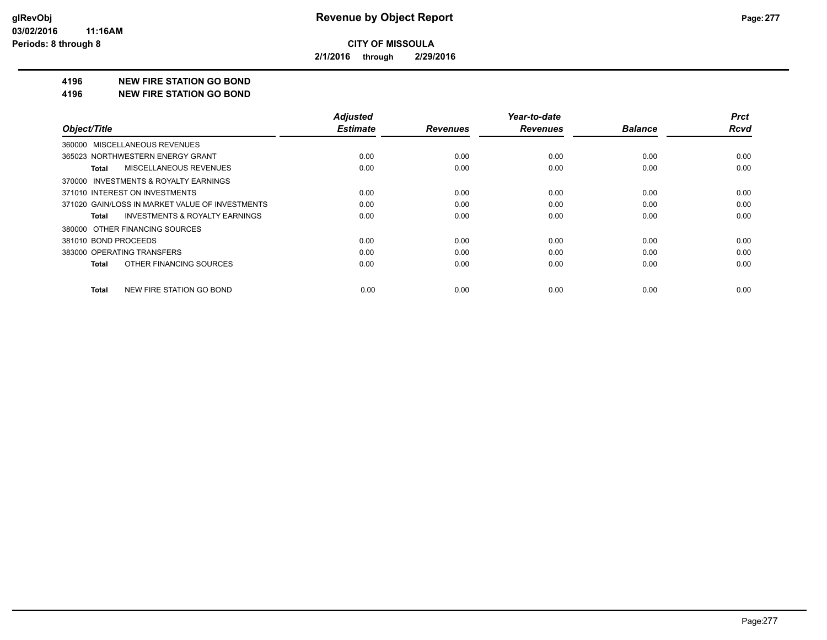**2/1/2016 through 2/29/2016**

#### **4196 NEW FIRE STATION GO BOND**

#### **4196 NEW FIRE STATION GO BOND**

|                                                    | <b>Adjusted</b> |                 | Year-to-date    |                | <b>Prct</b> |
|----------------------------------------------------|-----------------|-----------------|-----------------|----------------|-------------|
| Object/Title                                       | <b>Estimate</b> | <b>Revenues</b> | <b>Revenues</b> | <b>Balance</b> | <b>Rcvd</b> |
| 360000 MISCELLANEOUS REVENUES                      |                 |                 |                 |                |             |
| 365023 NORTHWESTERN ENERGY GRANT                   | 0.00            | 0.00            | 0.00            | 0.00           | 0.00        |
| <b>MISCELLANEOUS REVENUES</b><br>Total             | 0.00            | 0.00            | 0.00            | 0.00           | 0.00        |
| 370000 INVESTMENTS & ROYALTY EARNINGS              |                 |                 |                 |                |             |
| 371010 INTEREST ON INVESTMENTS                     | 0.00            | 0.00            | 0.00            | 0.00           | 0.00        |
| 371020 GAIN/LOSS IN MARKET VALUE OF INVESTMENTS    | 0.00            | 0.00            | 0.00            | 0.00           | 0.00        |
| <b>INVESTMENTS &amp; ROYALTY EARNINGS</b><br>Total | 0.00            | 0.00            | 0.00            | 0.00           | 0.00        |
| 380000 OTHER FINANCING SOURCES                     |                 |                 |                 |                |             |
| 381010 BOND PROCEEDS                               | 0.00            | 0.00            | 0.00            | 0.00           | 0.00        |
| 383000 OPERATING TRANSFERS                         | 0.00            | 0.00            | 0.00            | 0.00           | 0.00        |
| OTHER FINANCING SOURCES<br>Total                   | 0.00            | 0.00            | 0.00            | 0.00           | 0.00        |
| NEW FIRE STATION GO BOND<br><b>Total</b>           | 0.00            | 0.00            | 0.00            | 0.00           | 0.00        |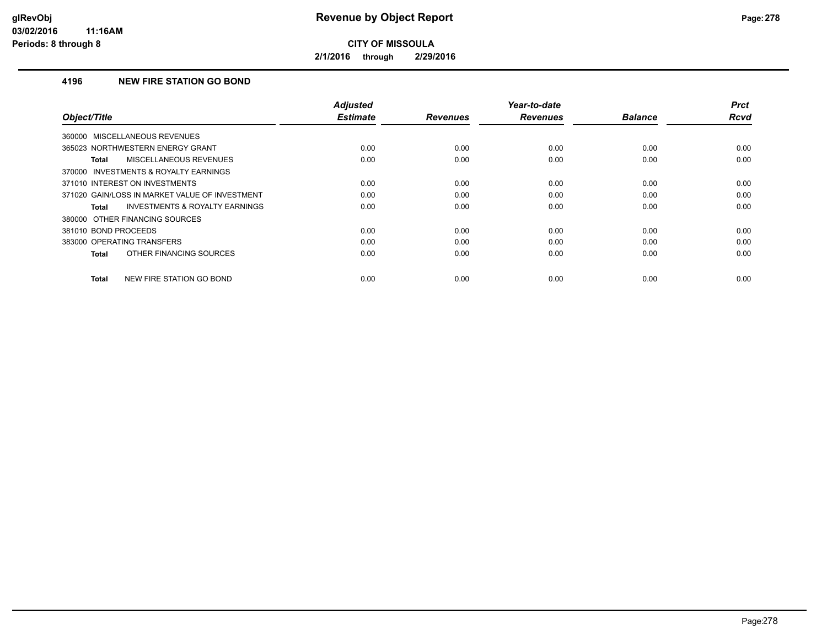**2/1/2016 through 2/29/2016**

## **4196 NEW FIRE STATION GO BOND**

| Object/Title                                       | <b>Adjusted</b><br><b>Estimate</b> | <b>Revenues</b> | Year-to-date<br><b>Revenues</b> | <b>Balance</b> | <b>Prct</b><br>Rcvd |
|----------------------------------------------------|------------------------------------|-----------------|---------------------------------|----------------|---------------------|
| 360000 MISCELLANEOUS REVENUES                      |                                    |                 |                                 |                |                     |
| 365023 NORTHWESTERN ENERGY GRANT                   | 0.00                               | 0.00            | 0.00                            | 0.00           | 0.00                |
| MISCELLANEOUS REVENUES<br>Total                    | 0.00                               | 0.00            | 0.00                            | 0.00           | 0.00                |
| 370000 INVESTMENTS & ROYALTY EARNINGS              |                                    |                 |                                 |                |                     |
| 371010 INTEREST ON INVESTMENTS                     | 0.00                               | 0.00            | 0.00                            | 0.00           | 0.00                |
| 371020 GAIN/LOSS IN MARKET VALUE OF INVESTMENT     | 0.00                               | 0.00            | 0.00                            | 0.00           | 0.00                |
| <b>INVESTMENTS &amp; ROYALTY EARNINGS</b><br>Total | 0.00                               | 0.00            | 0.00                            | 0.00           | 0.00                |
| 380000 OTHER FINANCING SOURCES                     |                                    |                 |                                 |                |                     |
| 381010 BOND PROCEEDS                               | 0.00                               | 0.00            | 0.00                            | 0.00           | 0.00                |
| 383000 OPERATING TRANSFERS                         | 0.00                               | 0.00            | 0.00                            | 0.00           | 0.00                |
| OTHER FINANCING SOURCES<br><b>Total</b>            | 0.00                               | 0.00            | 0.00                            | 0.00           | 0.00                |
| NEW FIRE STATION GO BOND<br><b>Total</b>           | 0.00                               | 0.00            | 0.00                            | 0.00           | 0.00                |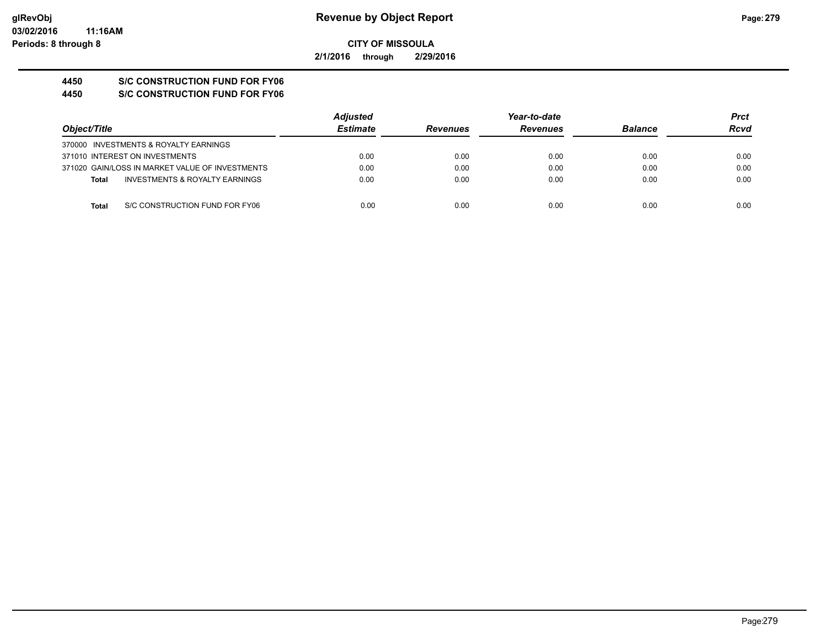**2/1/2016 through 2/29/2016**

# **4450 S/C CONSTRUCTION FUND FOR FY06**

**4450 S/C CONSTRUCTION FUND FOR FY06**

|                                                 | <b>Adjusted</b> |                 | Year-to-date    |                | Prct |  |
|-------------------------------------------------|-----------------|-----------------|-----------------|----------------|------|--|
| Object/Title                                    | <b>Estimate</b> | <b>Revenues</b> | <b>Revenues</b> | <b>Balance</b> | Rcvd |  |
| 370000 INVESTMENTS & ROYALTY EARNINGS           |                 |                 |                 |                |      |  |
| 371010 INTEREST ON INVESTMENTS                  | 0.00            | 0.00            | 0.00            | 0.00           | 0.00 |  |
| 371020 GAIN/LOSS IN MARKET VALUE OF INVESTMENTS | 0.00            | 0.00            | 0.00            | 0.00           | 0.00 |  |
| INVESTMENTS & ROYALTY EARNINGS<br><b>Total</b>  | 0.00            | 0.00            | 0.00            | 0.00           | 0.00 |  |
| S/C CONSTRUCTION FUND FOR FY06<br><b>Total</b>  | 0.00            | 0.00            | 0.00            | 0.00           | 0.00 |  |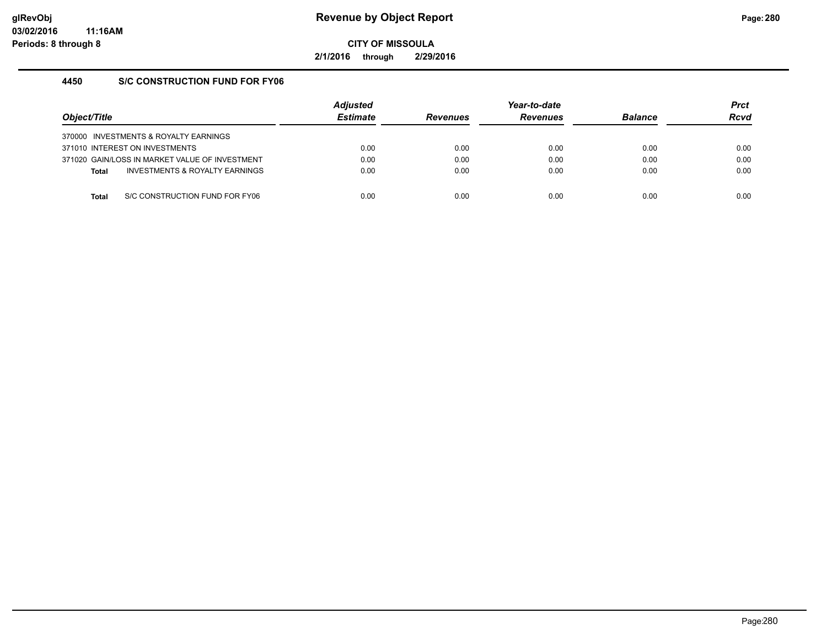**2/1/2016 through 2/29/2016**

## **4450 S/C CONSTRUCTION FUND FOR FY06**

| Obiect/Title |                                                | <b>Adjusted</b><br><b>Estimate</b> | <b>Revenues</b> | Year-to-date<br><b>Revenues</b> | <b>Balance</b> | <b>Prct</b><br><b>Rcvd</b> |
|--------------|------------------------------------------------|------------------------------------|-----------------|---------------------------------|----------------|----------------------------|
|              | 370000 INVESTMENTS & ROYALTY EARNINGS          |                                    |                 |                                 |                |                            |
|              | 371010 INTEREST ON INVESTMENTS                 | 0.00                               | 0.00            | 0.00                            | 0.00           | 0.00                       |
|              | 371020 GAIN/LOSS IN MARKET VALUE OF INVESTMENT | 0.00                               | 0.00            | 0.00                            | 0.00           | 0.00                       |
| <b>Total</b> | INVESTMENTS & ROYALTY EARNINGS                 | 0.00                               | 0.00            | 0.00                            | 0.00           | 0.00                       |
|              |                                                |                                    |                 |                                 |                |                            |
| Total        | S/C CONSTRUCTION FUND FOR FY06                 | 0.00                               | 0.00            | 0.00                            | 0.00           | 0.00                       |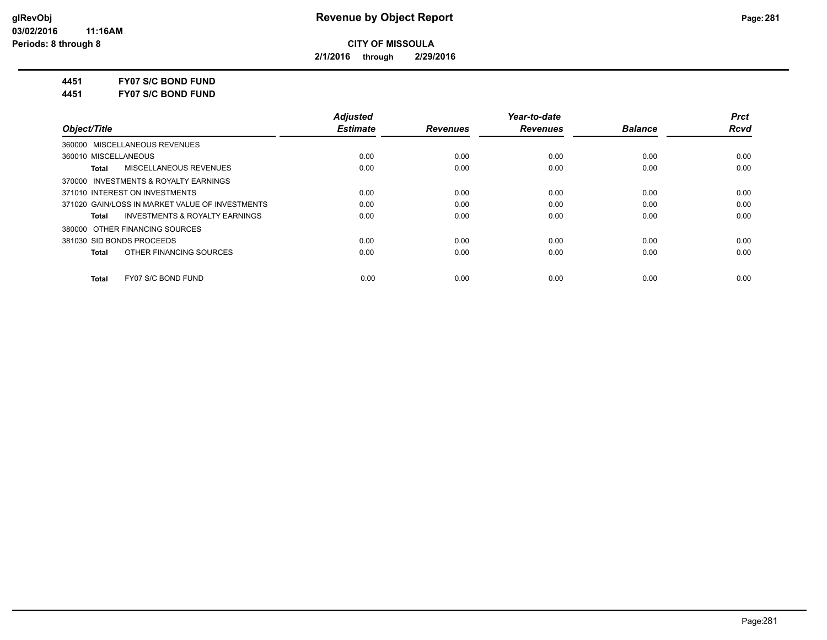**2/1/2016 through 2/29/2016**

**4451 FY07 S/C BOND FUND**

**4451 FY07 S/C BOND FUND**

|                                                    | <b>Adjusted</b> |                 | Year-to-date    |                | <b>Prct</b> |
|----------------------------------------------------|-----------------|-----------------|-----------------|----------------|-------------|
| Object/Title                                       | <b>Estimate</b> | <b>Revenues</b> | <b>Revenues</b> | <b>Balance</b> | <b>Rcvd</b> |
| 360000 MISCELLANEOUS REVENUES                      |                 |                 |                 |                |             |
| 360010 MISCELLANEOUS                               | 0.00            | 0.00            | 0.00            | 0.00           | 0.00        |
| MISCELLANEOUS REVENUES<br><b>Total</b>             | 0.00            | 0.00            | 0.00            | 0.00           | 0.00        |
| 370000 INVESTMENTS & ROYALTY EARNINGS              |                 |                 |                 |                |             |
| 371010 INTEREST ON INVESTMENTS                     | 0.00            | 0.00            | 0.00            | 0.00           | 0.00        |
| 371020 GAIN/LOSS IN MARKET VALUE OF INVESTMENTS    | 0.00            | 0.00            | 0.00            | 0.00           | 0.00        |
| <b>INVESTMENTS &amp; ROYALTY EARNINGS</b><br>Total | 0.00            | 0.00            | 0.00            | 0.00           | 0.00        |
| 380000 OTHER FINANCING SOURCES                     |                 |                 |                 |                |             |
| 381030 SID BONDS PROCEEDS                          | 0.00            | 0.00            | 0.00            | 0.00           | 0.00        |
| OTHER FINANCING SOURCES<br><b>Total</b>            | 0.00            | 0.00            | 0.00            | 0.00           | 0.00        |
| FY07 S/C BOND FUND<br><b>Total</b>                 | 0.00            | 0.00            | 0.00            | 0.00           | 0.00        |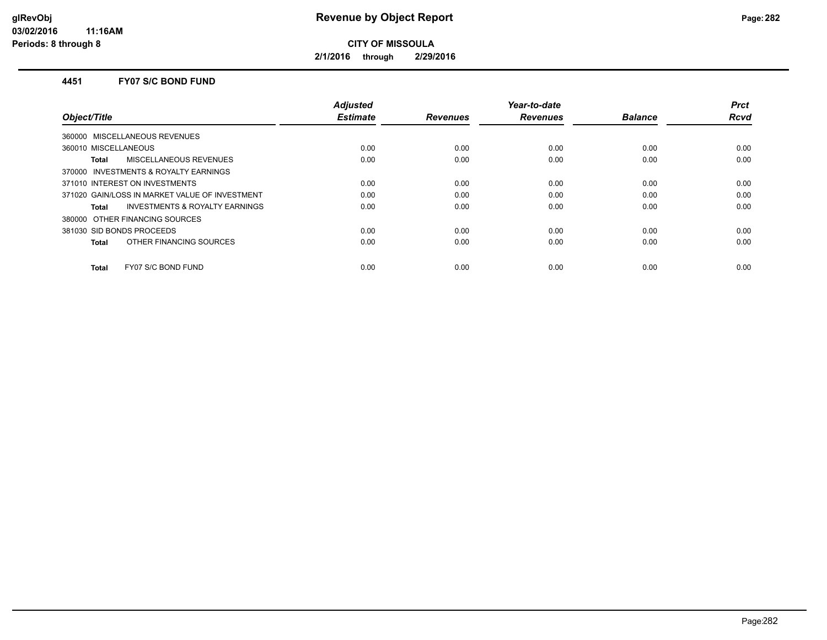**2/1/2016 through 2/29/2016**

### **4451 FY07 S/C BOND FUND**

| Object/Title                                              | <b>Adjusted</b><br><b>Estimate</b> | <b>Revenues</b> | Year-to-date<br><b>Revenues</b> | <b>Balance</b> | <b>Prct</b><br>Rcvd |
|-----------------------------------------------------------|------------------------------------|-----------------|---------------------------------|----------------|---------------------|
| 360000 MISCELLANEOUS REVENUES                             |                                    |                 |                                 |                |                     |
| 360010 MISCELLANEOUS                                      | 0.00                               | 0.00            | 0.00                            | 0.00           | 0.00                |
| <b>MISCELLANEOUS REVENUES</b><br><b>Total</b>             | 0.00                               | 0.00            | 0.00                            | 0.00           | 0.00                |
| 370000 INVESTMENTS & ROYALTY EARNINGS                     |                                    |                 |                                 |                |                     |
| 371010 INTEREST ON INVESTMENTS                            | 0.00                               | 0.00            | 0.00                            | 0.00           | 0.00                |
| 371020 GAIN/LOSS IN MARKET VALUE OF INVESTMENT            | 0.00                               | 0.00            | 0.00                            | 0.00           | 0.00                |
| <b>INVESTMENTS &amp; ROYALTY EARNINGS</b><br><b>Total</b> | 0.00                               | 0.00            | 0.00                            | 0.00           | 0.00                |
| 380000 OTHER FINANCING SOURCES                            |                                    |                 |                                 |                |                     |
| 381030 SID BONDS PROCEEDS                                 | 0.00                               | 0.00            | 0.00                            | 0.00           | 0.00                |
| OTHER FINANCING SOURCES<br><b>Total</b>                   | 0.00                               | 0.00            | 0.00                            | 0.00           | 0.00                |
| FY07 S/C BOND FUND<br><b>Total</b>                        | 0.00                               | 0.00            | 0.00                            | 0.00           | 0.00                |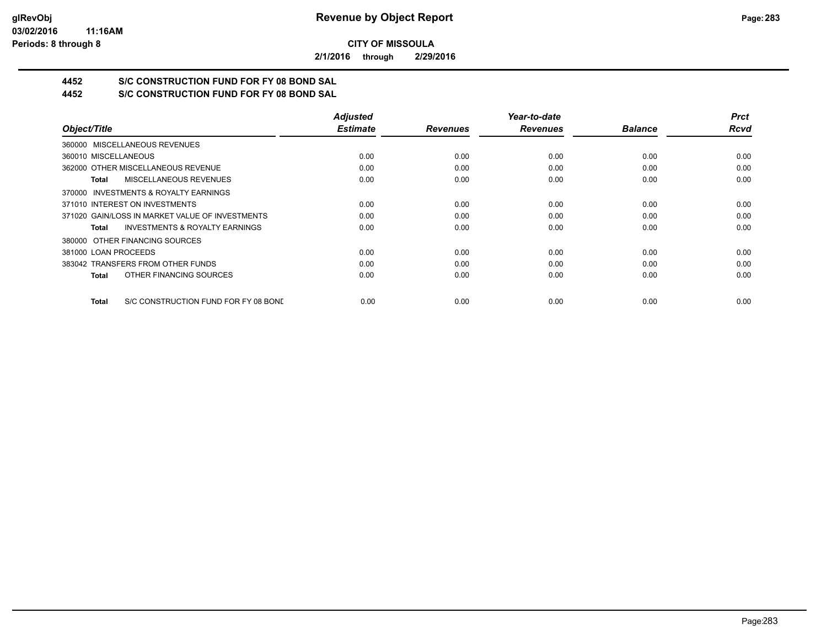**2/1/2016 through 2/29/2016**

# **4452 S/C CONSTRUCTION FUND FOR FY 08 BOND SAL**

**4452 S/C CONSTRUCTION FUND FOR FY 08 BOND SAL**

|                                                      | <b>Adjusted</b> |                 | Year-to-date    |                | <b>Prct</b> |
|------------------------------------------------------|-----------------|-----------------|-----------------|----------------|-------------|
| Object/Title                                         | <b>Estimate</b> | <b>Revenues</b> | <b>Revenues</b> | <b>Balance</b> | <b>Rcvd</b> |
| 360000 MISCELLANEOUS REVENUES                        |                 |                 |                 |                |             |
| 360010 MISCELLANEOUS                                 | 0.00            | 0.00            | 0.00            | 0.00           | 0.00        |
| 362000 OTHER MISCELLANEOUS REVENUE                   | 0.00            | 0.00            | 0.00            | 0.00           | 0.00        |
| <b>MISCELLANEOUS REVENUES</b><br>Total               | 0.00            | 0.00            | 0.00            | 0.00           | 0.00        |
| 370000 INVESTMENTS & ROYALTY EARNINGS                |                 |                 |                 |                |             |
| 371010 INTEREST ON INVESTMENTS                       | 0.00            | 0.00            | 0.00            | 0.00           | 0.00        |
| 371020 GAIN/LOSS IN MARKET VALUE OF INVESTMENTS      | 0.00            | 0.00            | 0.00            | 0.00           | 0.00        |
| <b>INVESTMENTS &amp; ROYALTY EARNINGS</b><br>Total   | 0.00            | 0.00            | 0.00            | 0.00           | 0.00        |
| 380000 OTHER FINANCING SOURCES                       |                 |                 |                 |                |             |
| 381000 LOAN PROCEEDS                                 | 0.00            | 0.00            | 0.00            | 0.00           | 0.00        |
| 383042 TRANSFERS FROM OTHER FUNDS                    | 0.00            | 0.00            | 0.00            | 0.00           | 0.00        |
| OTHER FINANCING SOURCES<br><b>Total</b>              | 0.00            | 0.00            | 0.00            | 0.00           | 0.00        |
| S/C CONSTRUCTION FUND FOR FY 08 BOND<br><b>Total</b> | 0.00            | 0.00            | 0.00            | 0.00           | 0.00        |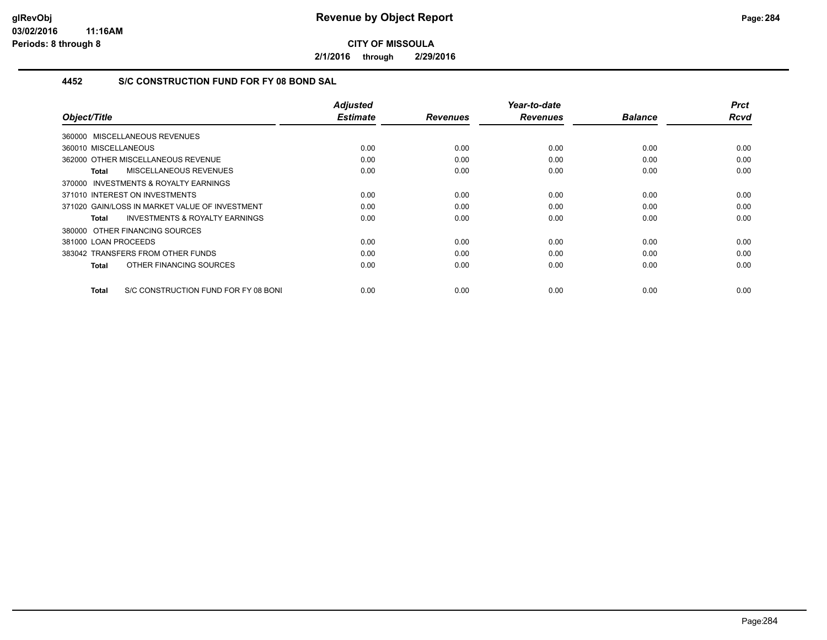**2/1/2016 through 2/29/2016**

## **4452 S/C CONSTRUCTION FUND FOR FY 08 BOND SAL**

|                                                           | <b>Adjusted</b><br><b>Estimate</b> | <b>Revenues</b> | Year-to-date<br><b>Revenues</b> | <b>Balance</b> | <b>Prct</b><br><b>Rcvd</b> |
|-----------------------------------------------------------|------------------------------------|-----------------|---------------------------------|----------------|----------------------------|
| Object/Title                                              |                                    |                 |                                 |                |                            |
| 360000 MISCELLANEOUS REVENUES                             |                                    |                 |                                 |                |                            |
| 360010 MISCELLANEOUS                                      | 0.00                               | 0.00            | 0.00                            | 0.00           | 0.00                       |
| 362000 OTHER MISCELLANEOUS REVENUE                        | 0.00                               | 0.00            | 0.00                            | 0.00           | 0.00                       |
| MISCELLANEOUS REVENUES<br><b>Total</b>                    | 0.00                               | 0.00            | 0.00                            | 0.00           | 0.00                       |
| <b>INVESTMENTS &amp; ROYALTY EARNINGS</b><br>370000       |                                    |                 |                                 |                |                            |
| 371010 INTEREST ON INVESTMENTS                            | 0.00                               | 0.00            | 0.00                            | 0.00           | 0.00                       |
| 371020 GAIN/LOSS IN MARKET VALUE OF INVESTMENT            | 0.00                               | 0.00            | 0.00                            | 0.00           | 0.00                       |
| <b>INVESTMENTS &amp; ROYALTY EARNINGS</b><br><b>Total</b> | 0.00                               | 0.00            | 0.00                            | 0.00           | 0.00                       |
| 380000 OTHER FINANCING SOURCES                            |                                    |                 |                                 |                |                            |
| 381000 LOAN PROCEEDS                                      | 0.00                               | 0.00            | 0.00                            | 0.00           | 0.00                       |
| 383042 TRANSFERS FROM OTHER FUNDS                         | 0.00                               | 0.00            | 0.00                            | 0.00           | 0.00                       |
| OTHER FINANCING SOURCES<br><b>Total</b>                   | 0.00                               | 0.00            | 0.00                            | 0.00           | 0.00                       |
|                                                           |                                    |                 |                                 |                |                            |
| S/C CONSTRUCTION FUND FOR FY 08 BONI<br><b>Total</b>      | 0.00                               | 0.00            | 0.00                            | 0.00           | 0.00                       |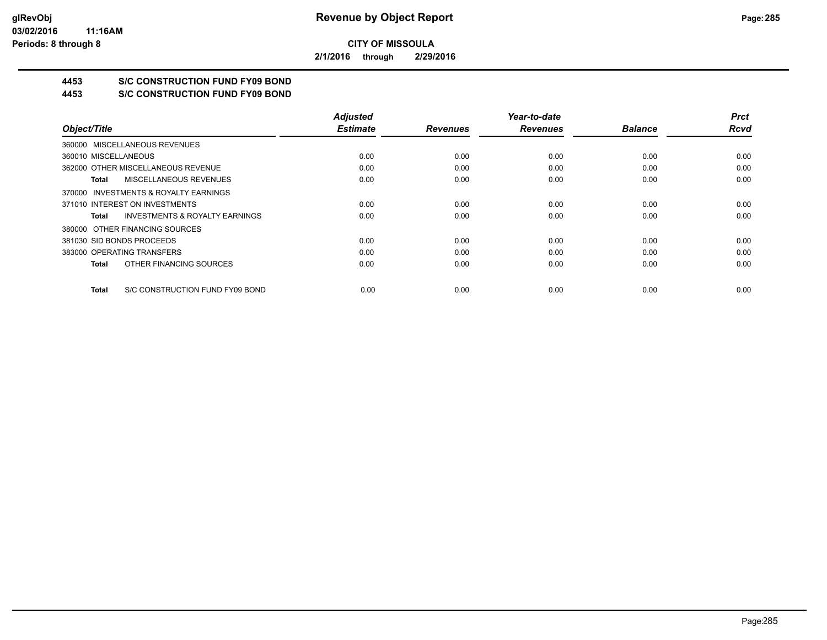**2/1/2016 through 2/29/2016**

# **4453 S/C CONSTRUCTION FUND FY09 BOND**

**4453 S/C CONSTRUCTION FUND FY09 BOND**

|                                                    | <b>Adjusted</b> |                 | Year-to-date    |                | <b>Prct</b> |
|----------------------------------------------------|-----------------|-----------------|-----------------|----------------|-------------|
| Object/Title                                       | <b>Estimate</b> | <b>Revenues</b> | <b>Revenues</b> | <b>Balance</b> | <b>Rcvd</b> |
| 360000 MISCELLANEOUS REVENUES                      |                 |                 |                 |                |             |
| 360010 MISCELLANEOUS                               | 0.00            | 0.00            | 0.00            | 0.00           | 0.00        |
| 362000 OTHER MISCELLANEOUS REVENUE                 | 0.00            | 0.00            | 0.00            | 0.00           | 0.00        |
| MISCELLANEOUS REVENUES<br>Total                    | 0.00            | 0.00            | 0.00            | 0.00           | 0.00        |
| 370000 INVESTMENTS & ROYALTY EARNINGS              |                 |                 |                 |                |             |
| 371010 INTEREST ON INVESTMENTS                     | 0.00            | 0.00            | 0.00            | 0.00           | 0.00        |
| <b>INVESTMENTS &amp; ROYALTY EARNINGS</b><br>Total | 0.00            | 0.00            | 0.00            | 0.00           | 0.00        |
| 380000 OTHER FINANCING SOURCES                     |                 |                 |                 |                |             |
| 381030 SID BONDS PROCEEDS                          | 0.00            | 0.00            | 0.00            | 0.00           | 0.00        |
| 383000 OPERATING TRANSFERS                         | 0.00            | 0.00            | 0.00            | 0.00           | 0.00        |
| OTHER FINANCING SOURCES<br>Total                   | 0.00            | 0.00            | 0.00            | 0.00           | 0.00        |
| S/C CONSTRUCTION FUND FY09 BOND<br><b>Total</b>    | 0.00            | 0.00            | 0.00            | 0.00           | 0.00        |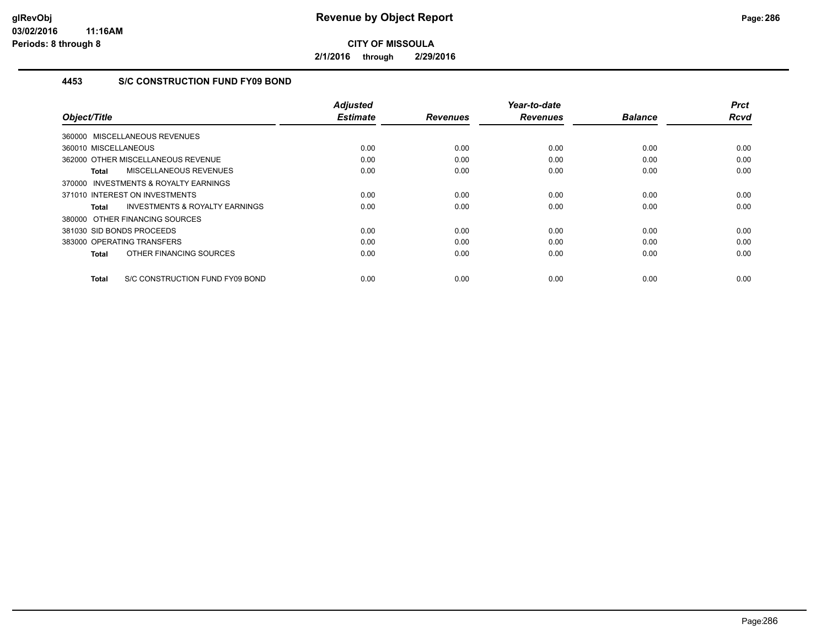**2/1/2016 through 2/29/2016**

## **4453 S/C CONSTRUCTION FUND FY09 BOND**

|                                                     | <b>Adjusted</b><br><b>Estimate</b> | <b>Revenues</b> | Year-to-date<br><b>Revenues</b> | <b>Balance</b> | <b>Prct</b><br><b>Rcvd</b> |
|-----------------------------------------------------|------------------------------------|-----------------|---------------------------------|----------------|----------------------------|
| Object/Title                                        |                                    |                 |                                 |                |                            |
| 360000 MISCELLANEOUS REVENUES                       |                                    |                 |                                 |                |                            |
| 360010 MISCELLANEOUS                                | 0.00                               | 0.00            | 0.00                            | 0.00           | 0.00                       |
| 362000 OTHER MISCELLANEOUS REVENUE                  | 0.00                               | 0.00            | 0.00                            | 0.00           | 0.00                       |
| MISCELLANEOUS REVENUES<br><b>Total</b>              | 0.00                               | 0.00            | 0.00                            | 0.00           | 0.00                       |
| <b>INVESTMENTS &amp; ROYALTY EARNINGS</b><br>370000 |                                    |                 |                                 |                |                            |
| 371010 INTEREST ON INVESTMENTS                      | 0.00                               | 0.00            | 0.00                            | 0.00           | 0.00                       |
| <b>INVESTMENTS &amp; ROYALTY EARNINGS</b><br>Total  | 0.00                               | 0.00            | 0.00                            | 0.00           | 0.00                       |
| 380000 OTHER FINANCING SOURCES                      |                                    |                 |                                 |                |                            |
| 381030 SID BONDS PROCEEDS                           | 0.00                               | 0.00            | 0.00                            | 0.00           | 0.00                       |
| 383000 OPERATING TRANSFERS                          | 0.00                               | 0.00            | 0.00                            | 0.00           | 0.00                       |
| OTHER FINANCING SOURCES<br><b>Total</b>             | 0.00                               | 0.00            | 0.00                            | 0.00           | 0.00                       |
| S/C CONSTRUCTION FUND FY09 BOND<br><b>Total</b>     | 0.00                               | 0.00            | 0.00                            | 0.00           | 0.00                       |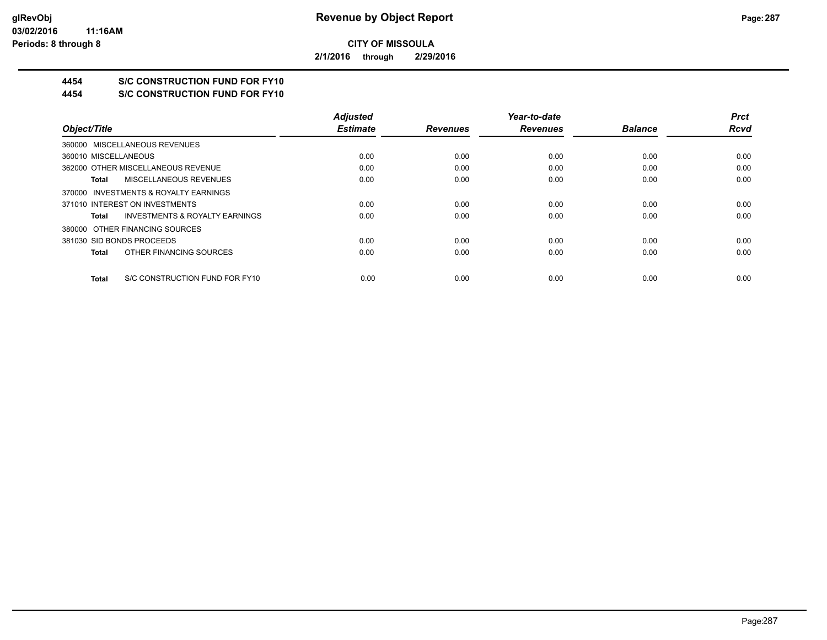**2/1/2016 through 2/29/2016**

# **4454 S/C CONSTRUCTION FUND FOR FY10**

**4454 S/C CONSTRUCTION FUND FOR FY10**

|                                                    | <b>Adjusted</b> |                 | Year-to-date    |                | <b>Prct</b> |
|----------------------------------------------------|-----------------|-----------------|-----------------|----------------|-------------|
| Object/Title                                       | <b>Estimate</b> | <b>Revenues</b> | <b>Revenues</b> | <b>Balance</b> | <b>Rcvd</b> |
| 360000 MISCELLANEOUS REVENUES                      |                 |                 |                 |                |             |
| 360010 MISCELLANEOUS                               | 0.00            | 0.00            | 0.00            | 0.00           | 0.00        |
| 362000 OTHER MISCELLANEOUS REVENUE                 | 0.00            | 0.00            | 0.00            | 0.00           | 0.00        |
| MISCELLANEOUS REVENUES<br>Total                    | 0.00            | 0.00            | 0.00            | 0.00           | 0.00        |
| 370000 INVESTMENTS & ROYALTY EARNINGS              |                 |                 |                 |                |             |
| 371010 INTEREST ON INVESTMENTS                     | 0.00            | 0.00            | 0.00            | 0.00           | 0.00        |
| <b>INVESTMENTS &amp; ROYALTY EARNINGS</b><br>Total | 0.00            | 0.00            | 0.00            | 0.00           | 0.00        |
| 380000 OTHER FINANCING SOURCES                     |                 |                 |                 |                |             |
| 381030 SID BONDS PROCEEDS                          | 0.00            | 0.00            | 0.00            | 0.00           | 0.00        |
| OTHER FINANCING SOURCES<br>Total                   | 0.00            | 0.00            | 0.00            | 0.00           | 0.00        |
| S/C CONSTRUCTION FUND FOR FY10<br>Total            | 0.00            | 0.00            | 0.00            | 0.00           | 0.00        |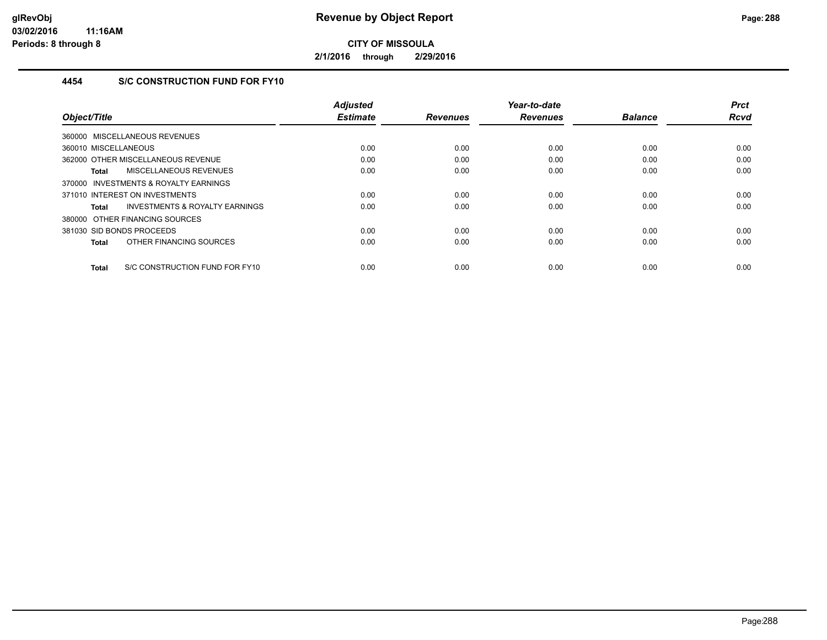**2/1/2016 through 2/29/2016**

## **4454 S/C CONSTRUCTION FUND FOR FY10**

|                                                | <b>Adjusted</b> |                 | Year-to-date    |                | <b>Prct</b> |
|------------------------------------------------|-----------------|-----------------|-----------------|----------------|-------------|
| Object/Title                                   | <b>Estimate</b> | <b>Revenues</b> | <b>Revenues</b> | <b>Balance</b> | <b>Rcvd</b> |
| 360000 MISCELLANEOUS REVENUES                  |                 |                 |                 |                |             |
| 360010 MISCELLANEOUS                           | 0.00            | 0.00            | 0.00            | 0.00           | 0.00        |
| 362000 OTHER MISCELLANEOUS REVENUE             | 0.00            | 0.00            | 0.00            | 0.00           | 0.00        |
| <b>MISCELLANEOUS REVENUES</b><br>Total         | 0.00            | 0.00            | 0.00            | 0.00           | 0.00        |
| INVESTMENTS & ROYALTY EARNINGS<br>370000       |                 |                 |                 |                |             |
| 371010 INTEREST ON INVESTMENTS                 | 0.00            | 0.00            | 0.00            | 0.00           | 0.00        |
| INVESTMENTS & ROYALTY EARNINGS<br>Total        | 0.00            | 0.00            | 0.00            | 0.00           | 0.00        |
| 380000 OTHER FINANCING SOURCES                 |                 |                 |                 |                |             |
| 381030 SID BONDS PROCEEDS                      | 0.00            | 0.00            | 0.00            | 0.00           | 0.00        |
| OTHER FINANCING SOURCES<br><b>Total</b>        | 0.00            | 0.00            | 0.00            | 0.00           | 0.00        |
| S/C CONSTRUCTION FUND FOR FY10<br><b>Total</b> | 0.00            | 0.00            | 0.00            | 0.00           | 0.00        |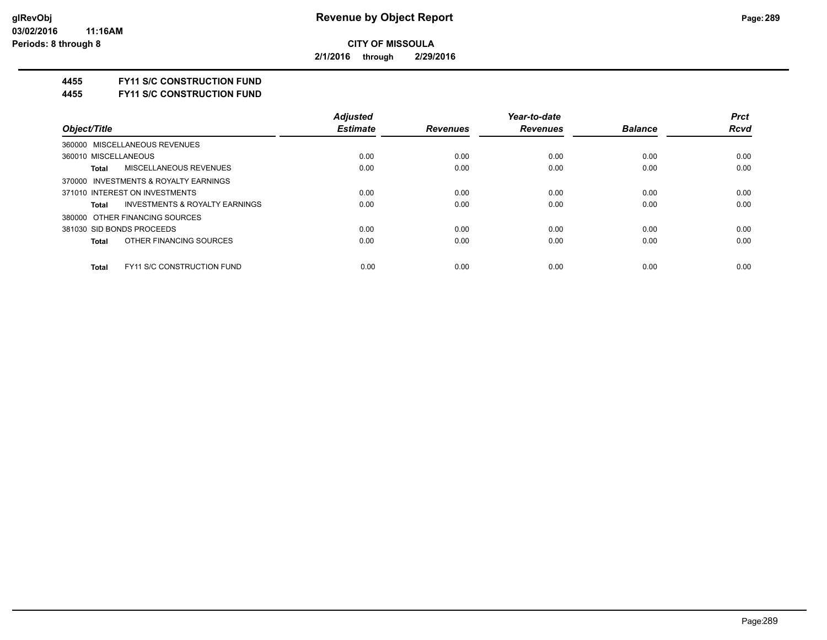**2/1/2016 through 2/29/2016**

#### **4455 FY11 S/C CONSTRUCTION FUND**

**4455 FY11 S/C CONSTRUCTION FUND**

|                                                           | <b>Adjusted</b> |                 | Year-to-date    |                | <b>Prct</b> |
|-----------------------------------------------------------|-----------------|-----------------|-----------------|----------------|-------------|
| Object/Title                                              | <b>Estimate</b> | <b>Revenues</b> | <b>Revenues</b> | <b>Balance</b> | <b>Rcvd</b> |
| 360000 MISCELLANEOUS REVENUES                             |                 |                 |                 |                |             |
| 360010 MISCELLANEOUS                                      | 0.00            | 0.00            | 0.00            | 0.00           | 0.00        |
| <b>MISCELLANEOUS REVENUES</b><br><b>Total</b>             | 0.00            | 0.00            | 0.00            | 0.00           | 0.00        |
| 370000 INVESTMENTS & ROYALTY EARNINGS                     |                 |                 |                 |                |             |
| 371010 INTEREST ON INVESTMENTS                            | 0.00            | 0.00            | 0.00            | 0.00           | 0.00        |
| <b>INVESTMENTS &amp; ROYALTY EARNINGS</b><br><b>Total</b> | 0.00            | 0.00            | 0.00            | 0.00           | 0.00        |
| 380000 OTHER FINANCING SOURCES                            |                 |                 |                 |                |             |
| 381030 SID BONDS PROCEEDS                                 | 0.00            | 0.00            | 0.00            | 0.00           | 0.00        |
| OTHER FINANCING SOURCES<br><b>Total</b>                   | 0.00            | 0.00            | 0.00            | 0.00           | 0.00        |
|                                                           |                 |                 |                 |                |             |
| <b>FY11 S/C CONSTRUCTION FUND</b><br><b>Total</b>         | 0.00            | 0.00            | 0.00            | 0.00           | 0.00        |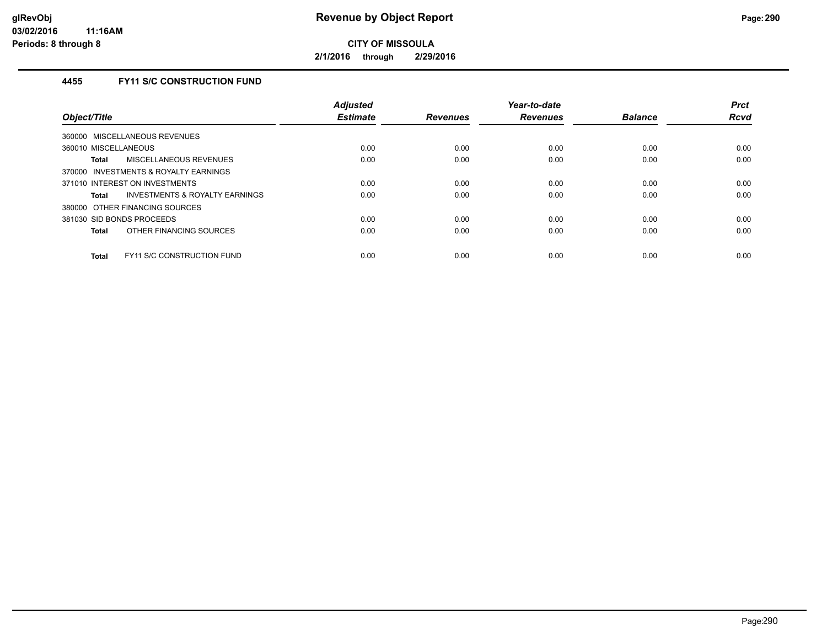**2/1/2016 through 2/29/2016**

# **4455 FY11 S/C CONSTRUCTION FUND**

| Object/Title                                       | <b>Adjusted</b><br><b>Estimate</b> | <b>Revenues</b> | Year-to-date<br><b>Revenues</b> | <b>Balance</b> | <b>Prct</b><br><b>Rcvd</b> |
|----------------------------------------------------|------------------------------------|-----------------|---------------------------------|----------------|----------------------------|
| 360000 MISCELLANEOUS REVENUES                      |                                    |                 |                                 |                |                            |
| 360010 MISCELLANEOUS                               | 0.00                               | 0.00            | 0.00                            | 0.00           | 0.00                       |
| MISCELLANEOUS REVENUES<br>Total                    | 0.00                               | 0.00            | 0.00                            | 0.00           | 0.00                       |
| 370000 INVESTMENTS & ROYALTY EARNINGS              |                                    |                 |                                 |                |                            |
| 371010 INTEREST ON INVESTMENTS                     | 0.00                               | 0.00            | 0.00                            | 0.00           | 0.00                       |
| <b>INVESTMENTS &amp; ROYALTY EARNINGS</b><br>Total | 0.00                               | 0.00            | 0.00                            | 0.00           | 0.00                       |
| 380000 OTHER FINANCING SOURCES                     |                                    |                 |                                 |                |                            |
| 381030 SID BONDS PROCEEDS                          | 0.00                               | 0.00            | 0.00                            | 0.00           | 0.00                       |
| OTHER FINANCING SOURCES<br>Total                   | 0.00                               | 0.00            | 0.00                            | 0.00           | 0.00                       |
| <b>FY11 S/C CONSTRUCTION FUND</b><br>Total         | 0.00                               | 0.00            | 0.00                            | 0.00           | 0.00                       |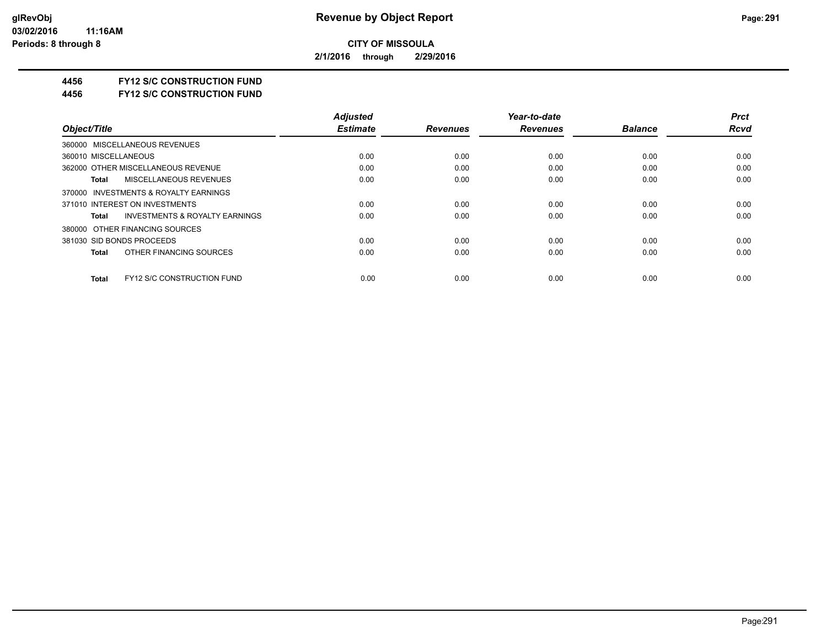**2/1/2016 through 2/29/2016**

### **4456 FY12 S/C CONSTRUCTION FUND**

**4456 FY12 S/C CONSTRUCTION FUND**

|                                                    | <b>Adjusted</b> |                 | Year-to-date    |                | <b>Prct</b> |
|----------------------------------------------------|-----------------|-----------------|-----------------|----------------|-------------|
| Object/Title                                       | <b>Estimate</b> | <b>Revenues</b> | <b>Revenues</b> | <b>Balance</b> | <b>Rcvd</b> |
| 360000 MISCELLANEOUS REVENUES                      |                 |                 |                 |                |             |
| 360010 MISCELLANEOUS                               | 0.00            | 0.00            | 0.00            | 0.00           | 0.00        |
| 362000 OTHER MISCELLANEOUS REVENUE                 | 0.00            | 0.00            | 0.00            | 0.00           | 0.00        |
| MISCELLANEOUS REVENUES<br>Total                    | 0.00            | 0.00            | 0.00            | 0.00           | 0.00        |
| 370000 INVESTMENTS & ROYALTY EARNINGS              |                 |                 |                 |                |             |
| 371010 INTEREST ON INVESTMENTS                     | 0.00            | 0.00            | 0.00            | 0.00           | 0.00        |
| <b>INVESTMENTS &amp; ROYALTY EARNINGS</b><br>Total | 0.00            | 0.00            | 0.00            | 0.00           | 0.00        |
| 380000 OTHER FINANCING SOURCES                     |                 |                 |                 |                |             |
| 381030 SID BONDS PROCEEDS                          | 0.00            | 0.00            | 0.00            | 0.00           | 0.00        |
| OTHER FINANCING SOURCES<br>Total                   | 0.00            | 0.00            | 0.00            | 0.00           | 0.00        |
| <b>FY12 S/C CONSTRUCTION FUND</b><br><b>Total</b>  | 0.00            | 0.00            | 0.00            | 0.00           | 0.00        |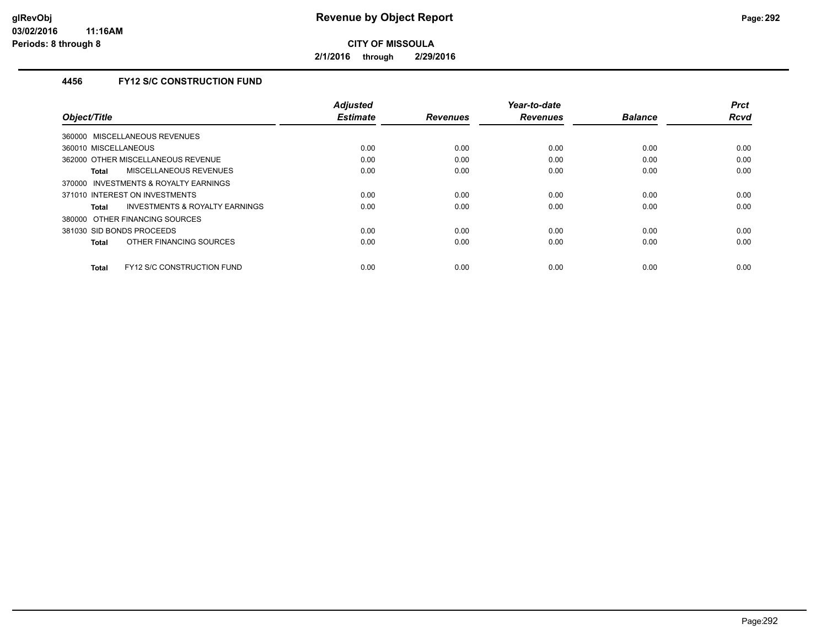**2/1/2016 through 2/29/2016**

# **4456 FY12 S/C CONSTRUCTION FUND**

|                                                   | <b>Adjusted</b> |                 | Year-to-date    |                | <b>Prct</b> |
|---------------------------------------------------|-----------------|-----------------|-----------------|----------------|-------------|
| Object/Title                                      | <b>Estimate</b> | <b>Revenues</b> | <b>Revenues</b> | <b>Balance</b> | <b>Rcvd</b> |
| 360000 MISCELLANEOUS REVENUES                     |                 |                 |                 |                |             |
| 360010 MISCELLANEOUS                              | 0.00            | 0.00            | 0.00            | 0.00           | 0.00        |
| 362000 OTHER MISCELLANEOUS REVENUE                | 0.00            | 0.00            | 0.00            | 0.00           | 0.00        |
| <b>MISCELLANEOUS REVENUES</b><br>Total            | 0.00            | 0.00            | 0.00            | 0.00           | 0.00        |
| INVESTMENTS & ROYALTY EARNINGS<br>370000          |                 |                 |                 |                |             |
| 371010 INTEREST ON INVESTMENTS                    | 0.00            | 0.00            | 0.00            | 0.00           | 0.00        |
| INVESTMENTS & ROYALTY EARNINGS<br>Total           | 0.00            | 0.00            | 0.00            | 0.00           | 0.00        |
| 380000 OTHER FINANCING SOURCES                    |                 |                 |                 |                |             |
| 381030 SID BONDS PROCEEDS                         | 0.00            | 0.00            | 0.00            | 0.00           | 0.00        |
| OTHER FINANCING SOURCES<br><b>Total</b>           | 0.00            | 0.00            | 0.00            | 0.00           | 0.00        |
|                                                   |                 |                 |                 |                |             |
| <b>FY12 S/C CONSTRUCTION FUND</b><br><b>Total</b> | 0.00            | 0.00            | 0.00            | 0.00           | 0.00        |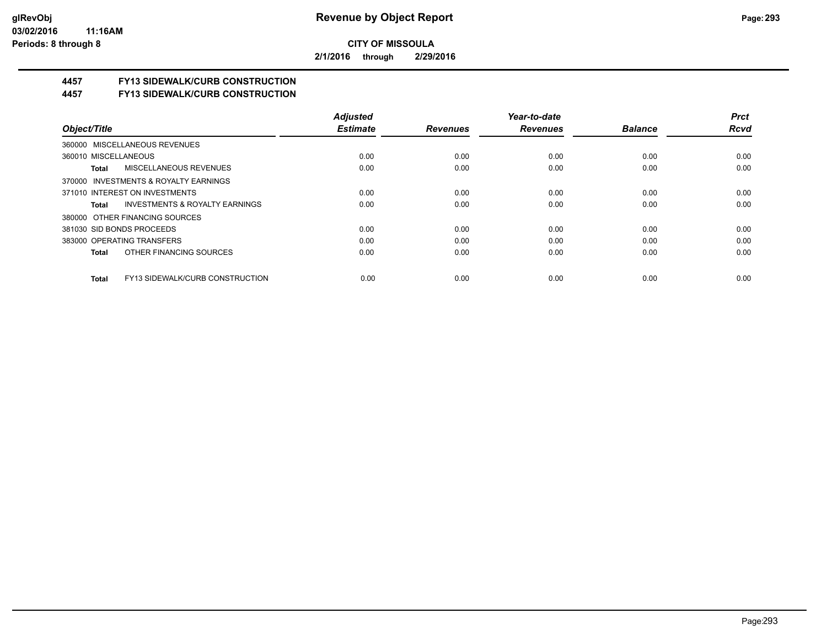**2/1/2016 through 2/29/2016**

# **4457 FY13 SIDEWALK/CURB CONSTRUCTION**

**4457 FY13 SIDEWALK/CURB CONSTRUCTION**

|                                                    | <b>Adjusted</b> |                 | Year-to-date    |                | <b>Prct</b> |
|----------------------------------------------------|-----------------|-----------------|-----------------|----------------|-------------|
| Object/Title                                       | <b>Estimate</b> | <b>Revenues</b> | <b>Revenues</b> | <b>Balance</b> | <b>Rcvd</b> |
| 360000 MISCELLANEOUS REVENUES                      |                 |                 |                 |                |             |
| 360010 MISCELLANEOUS                               | 0.00            | 0.00            | 0.00            | 0.00           | 0.00        |
| <b>MISCELLANEOUS REVENUES</b><br>Total             | 0.00            | 0.00            | 0.00            | 0.00           | 0.00        |
| 370000 INVESTMENTS & ROYALTY EARNINGS              |                 |                 |                 |                |             |
| 371010 INTEREST ON INVESTMENTS                     | 0.00            | 0.00            | 0.00            | 0.00           | 0.00        |
| <b>INVESTMENTS &amp; ROYALTY EARNINGS</b><br>Total | 0.00            | 0.00            | 0.00            | 0.00           | 0.00        |
| 380000 OTHER FINANCING SOURCES                     |                 |                 |                 |                |             |
| 381030 SID BONDS PROCEEDS                          | 0.00            | 0.00            | 0.00            | 0.00           | 0.00        |
| 383000 OPERATING TRANSFERS                         | 0.00            | 0.00            | 0.00            | 0.00           | 0.00        |
| OTHER FINANCING SOURCES<br>Total                   | 0.00            | 0.00            | 0.00            | 0.00           | 0.00        |
| FY13 SIDEWALK/CURB CONSTRUCTION<br><b>Total</b>    | 0.00            | 0.00            | 0.00            | 0.00           | 0.00        |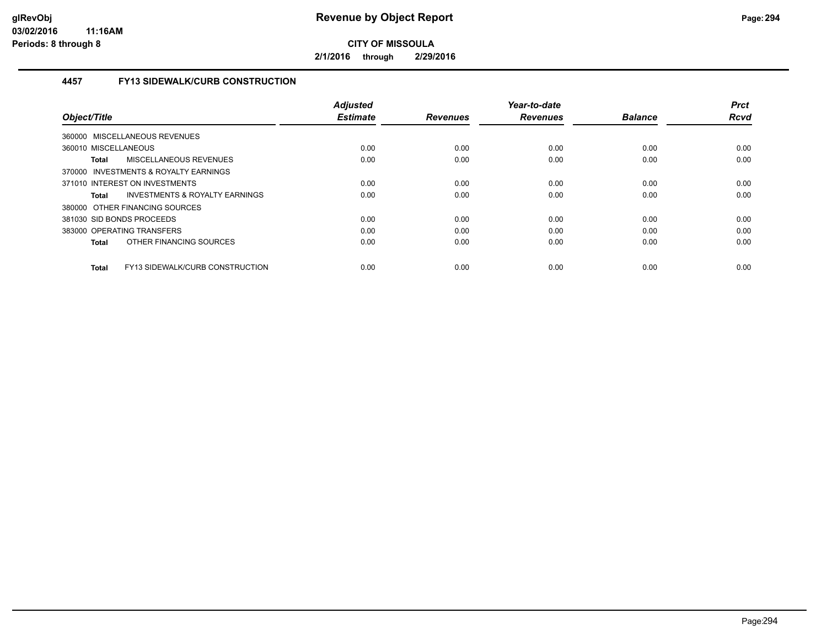**2/1/2016 through 2/29/2016**

## **4457 FY13 SIDEWALK/CURB CONSTRUCTION**

| Object/Title                                    | <b>Adjusted</b><br><b>Estimate</b> | <b>Revenues</b> | Year-to-date<br><b>Revenues</b> | <b>Balance</b> | <b>Prct</b><br><b>Rcvd</b> |
|-------------------------------------------------|------------------------------------|-----------------|---------------------------------|----------------|----------------------------|
| <b>MISCELLANEOUS REVENUES</b><br>360000         |                                    |                 |                                 |                |                            |
| 360010 MISCELLANEOUS                            | 0.00                               | 0.00            | 0.00                            | 0.00           | 0.00                       |
| MISCELLANEOUS REVENUES<br>Total                 | 0.00                               | 0.00            | 0.00                            | 0.00           | 0.00                       |
| 370000 INVESTMENTS & ROYALTY EARNINGS           |                                    |                 |                                 |                |                            |
| 371010 INTEREST ON INVESTMENTS                  | 0.00                               | 0.00            | 0.00                            | 0.00           | 0.00                       |
| INVESTMENTS & ROYALTY EARNINGS<br>Total         | 0.00                               | 0.00            | 0.00                            | 0.00           | 0.00                       |
| 380000 OTHER FINANCING SOURCES                  |                                    |                 |                                 |                |                            |
| 381030 SID BONDS PROCEEDS                       | 0.00                               | 0.00            | 0.00                            | 0.00           | 0.00                       |
| 383000 OPERATING TRANSFERS                      | 0.00                               | 0.00            | 0.00                            | 0.00           | 0.00                       |
| OTHER FINANCING SOURCES<br><b>Total</b>         | 0.00                               | 0.00            | 0.00                            | 0.00           | 0.00                       |
| FY13 SIDEWALK/CURB CONSTRUCTION<br><b>Total</b> | 0.00                               | 0.00            | 0.00                            | 0.00           | 0.00                       |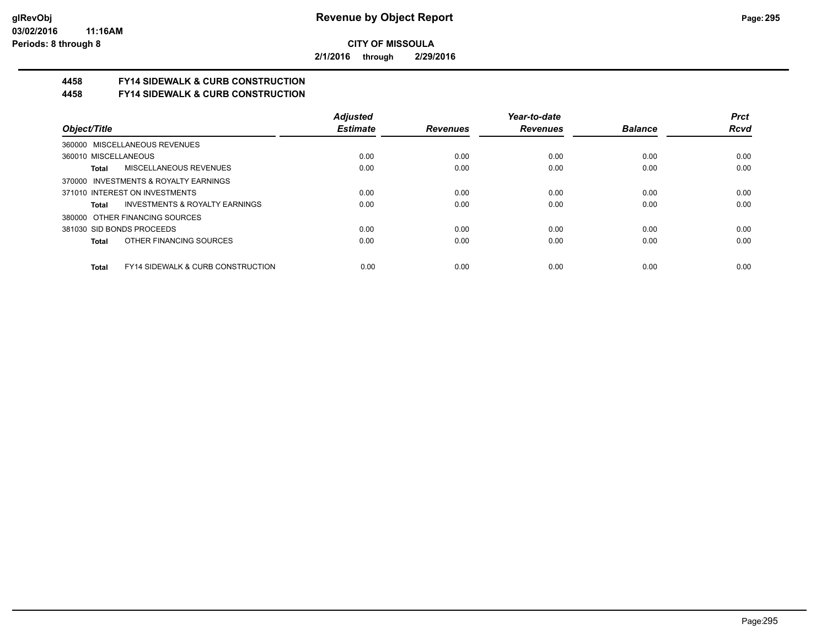**2/1/2016 through 2/29/2016**

# **4458 FY14 SIDEWALK & CURB CONSTRUCTION**

**4458 FY14 SIDEWALK & CURB CONSTRUCTION**

|                                                              | <b>Adjusted</b> |                 | Year-to-date    |                | <b>Prct</b> |
|--------------------------------------------------------------|-----------------|-----------------|-----------------|----------------|-------------|
| Object/Title                                                 | <b>Estimate</b> | <b>Revenues</b> | <b>Revenues</b> | <b>Balance</b> | <b>Rcvd</b> |
| 360000 MISCELLANEOUS REVENUES                                |                 |                 |                 |                |             |
| 360010 MISCELLANEOUS                                         | 0.00            | 0.00            | 0.00            | 0.00           | 0.00        |
| MISCELLANEOUS REVENUES<br>Total                              | 0.00            | 0.00            | 0.00            | 0.00           | 0.00        |
| 370000 INVESTMENTS & ROYALTY EARNINGS                        |                 |                 |                 |                |             |
| 371010 INTEREST ON INVESTMENTS                               | 0.00            | 0.00            | 0.00            | 0.00           | 0.00        |
| INVESTMENTS & ROYALTY EARNINGS<br>Total                      | 0.00            | 0.00            | 0.00            | 0.00           | 0.00        |
| 380000 OTHER FINANCING SOURCES                               |                 |                 |                 |                |             |
| 381030 SID BONDS PROCEEDS                                    | 0.00            | 0.00            | 0.00            | 0.00           | 0.00        |
| OTHER FINANCING SOURCES<br><b>Total</b>                      | 0.00            | 0.00            | 0.00            | 0.00           | 0.00        |
|                                                              |                 |                 |                 |                |             |
| <b>FY14 SIDEWALK &amp; CURB CONSTRUCTION</b><br><b>Total</b> | 0.00            | 0.00            | 0.00            | 0.00           | 0.00        |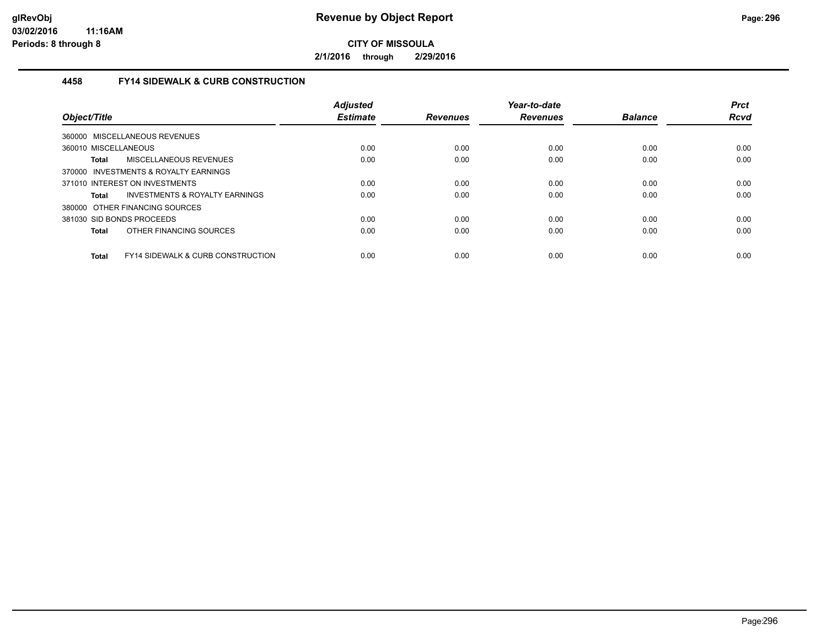**2/1/2016 through 2/29/2016**

## **4458 FY14 SIDEWALK & CURB CONSTRUCTION**

| Object/Title         |                                              | <b>Adjusted</b><br><b>Estimate</b> | <b>Revenues</b> | Year-to-date<br><b>Revenues</b> | <b>Balance</b> | <b>Prct</b><br><b>Rcvd</b> |
|----------------------|----------------------------------------------|------------------------------------|-----------------|---------------------------------|----------------|----------------------------|
|                      | 360000 MISCELLANEOUS REVENUES                |                                    |                 |                                 |                |                            |
| 360010 MISCELLANEOUS |                                              | 0.00                               | 0.00            | 0.00                            | 0.00           | 0.00                       |
| Total                | MISCELLANEOUS REVENUES                       | 0.00                               | 0.00            | 0.00                            | 0.00           | 0.00                       |
|                      | 370000 INVESTMENTS & ROYALTY EARNINGS        |                                    |                 |                                 |                |                            |
|                      | 371010 INTEREST ON INVESTMENTS               | 0.00                               | 0.00            | 0.00                            | 0.00           | 0.00                       |
| Total                | INVESTMENTS & ROYALTY EARNINGS               | 0.00                               | 0.00            | 0.00                            | 0.00           | 0.00                       |
|                      | 380000 OTHER FINANCING SOURCES               |                                    |                 |                                 |                |                            |
|                      | 381030 SID BONDS PROCEEDS                    | 0.00                               | 0.00            | 0.00                            | 0.00           | 0.00                       |
| <b>Total</b>         | OTHER FINANCING SOURCES                      | 0.00                               | 0.00            | 0.00                            | 0.00           | 0.00                       |
| <b>Total</b>         | <b>FY14 SIDEWALK &amp; CURB CONSTRUCTION</b> | 0.00                               | 0.00            | 0.00                            | 0.00           | 0.00                       |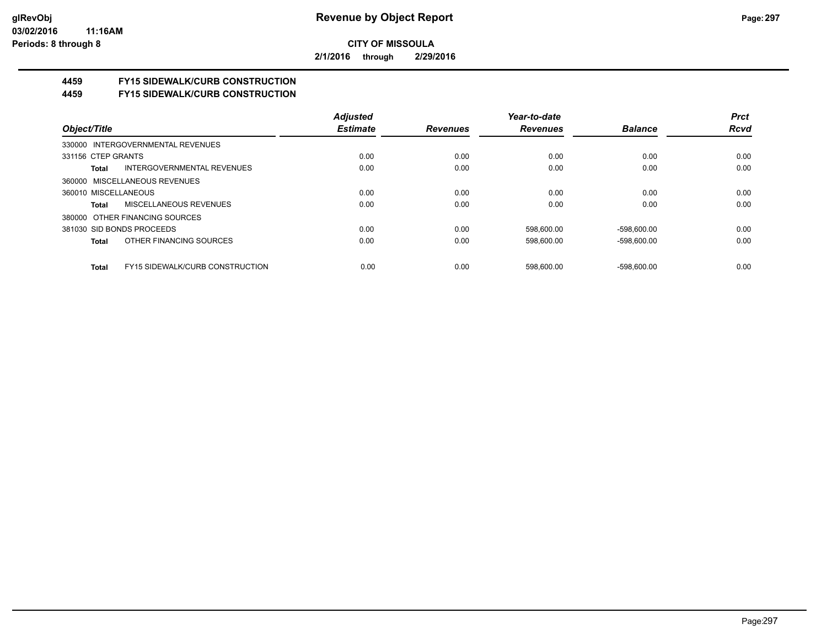**2/1/2016 through 2/29/2016**

# **4459 FY15 SIDEWALK/CURB CONSTRUCTION**

**4459 FY15 SIDEWALK/CURB CONSTRUCTION**

|                                                        | <b>Adjusted</b> |                 | Year-to-date    |                | <b>Prct</b> |
|--------------------------------------------------------|-----------------|-----------------|-----------------|----------------|-------------|
| Object/Title                                           | <b>Estimate</b> | <b>Revenues</b> | <b>Revenues</b> | <b>Balance</b> | <b>Rcvd</b> |
| 330000 INTERGOVERNMENTAL REVENUES                      |                 |                 |                 |                |             |
| 331156 CTEP GRANTS                                     | 0.00            | 0.00            | 0.00            | 0.00           | 0.00        |
| INTERGOVERNMENTAL REVENUES<br>Total                    | 0.00            | 0.00            | 0.00            | 0.00           | 0.00        |
| 360000 MISCELLANEOUS REVENUES                          |                 |                 |                 |                |             |
| 360010 MISCELLANEOUS                                   | 0.00            | 0.00            | 0.00            | 0.00           | 0.00        |
| MISCELLANEOUS REVENUES<br>Total                        | 0.00            | 0.00            | 0.00            | 0.00           | 0.00        |
| 380000 OTHER FINANCING SOURCES                         |                 |                 |                 |                |             |
| 381030 SID BONDS PROCEEDS                              | 0.00            | 0.00            | 598.600.00      | $-598.600.00$  | 0.00        |
| OTHER FINANCING SOURCES<br>Total                       | 0.00            | 0.00            | 598.600.00      | $-598.600.00$  | 0.00        |
| <b>FY15 SIDEWALK/CURB CONSTRUCTION</b><br><b>Total</b> | 0.00            | 0.00            | 598.600.00      | $-598.600.00$  | 0.00        |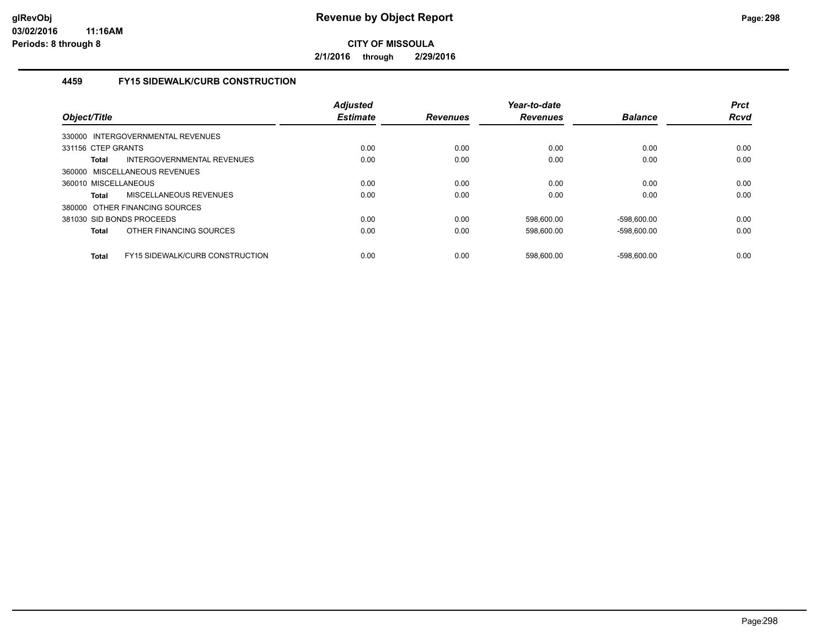**2/1/2016 through 2/29/2016**

## **4459 FY15 SIDEWALK/CURB CONSTRUCTION**

| Object/Title         |                                        | <b>Adjusted</b><br><b>Estimate</b> | <b>Revenues</b> | Year-to-date<br><b>Revenues</b> | <b>Balance</b> | <b>Prct</b><br><b>Rcvd</b> |
|----------------------|----------------------------------------|------------------------------------|-----------------|---------------------------------|----------------|----------------------------|
|                      | 330000 INTERGOVERNMENTAL REVENUES      |                                    |                 |                                 |                |                            |
| 331156 CTEP GRANTS   |                                        | 0.00                               | 0.00            | 0.00                            | 0.00           | 0.00                       |
| Total                | INTERGOVERNMENTAL REVENUES             | 0.00                               | 0.00            | 0.00                            | 0.00           | 0.00                       |
|                      | 360000 MISCELLANEOUS REVENUES          |                                    |                 |                                 |                |                            |
| 360010 MISCELLANEOUS |                                        | 0.00                               | 0.00            | 0.00                            | 0.00           | 0.00                       |
| Total                | <b>MISCELLANEOUS REVENUES</b>          | 0.00                               | 0.00            | 0.00                            | 0.00           | 0.00                       |
|                      | 380000 OTHER FINANCING SOURCES         |                                    |                 |                                 |                |                            |
|                      | 381030 SID BONDS PROCEEDS              | 0.00                               | 0.00            | 598,600.00                      | $-598,600.00$  | 0.00                       |
| <b>Total</b>         | OTHER FINANCING SOURCES                | 0.00                               | 0.00            | 598,600.00                      | $-598,600.00$  | 0.00                       |
| <b>Total</b>         | <b>FY15 SIDEWALK/CURB CONSTRUCTION</b> | 0.00                               | 0.00            | 598.600.00                      | $-598.600.00$  | 0.00                       |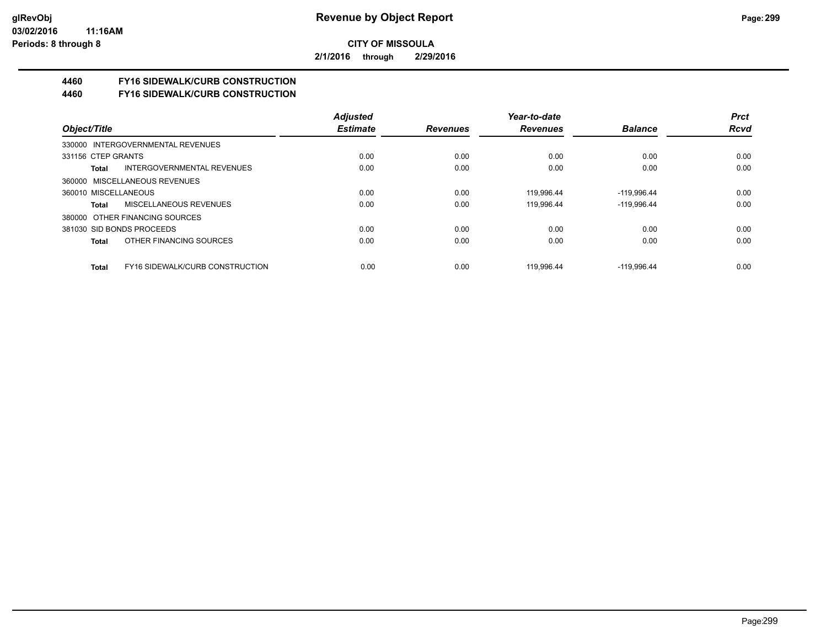**2/1/2016 through 2/29/2016**

# **4460 FY16 SIDEWALK/CURB CONSTRUCTION**

**4460 FY16 SIDEWALK/CURB CONSTRUCTION**

|                                                 | <b>Adjusted</b> |                 | Year-to-date    |                | <b>Prct</b> |
|-------------------------------------------------|-----------------|-----------------|-----------------|----------------|-------------|
| Object/Title                                    | <b>Estimate</b> | <b>Revenues</b> | <b>Revenues</b> | <b>Balance</b> | <b>Rcvd</b> |
| 330000 INTERGOVERNMENTAL REVENUES               |                 |                 |                 |                |             |
| 331156 CTEP GRANTS                              | 0.00            | 0.00            | 0.00            | 0.00           | 0.00        |
| INTERGOVERNMENTAL REVENUES<br>Total             | 0.00            | 0.00            | 0.00            | 0.00           | 0.00        |
| 360000 MISCELLANEOUS REVENUES                   |                 |                 |                 |                |             |
| 360010 MISCELLANEOUS                            | 0.00            | 0.00            | 119.996.44      | $-119,996.44$  | 0.00        |
| MISCELLANEOUS REVENUES<br>Total                 | 0.00            | 0.00            | 119.996.44      | $-119,996.44$  | 0.00        |
| 380000 OTHER FINANCING SOURCES                  |                 |                 |                 |                |             |
| 381030 SID BONDS PROCEEDS                       | 0.00            | 0.00            | 0.00            | 0.00           | 0.00        |
| OTHER FINANCING SOURCES<br>Total                | 0.00            | 0.00            | 0.00            | 0.00           | 0.00        |
| FY16 SIDEWALK/CURB CONSTRUCTION<br><b>Total</b> | 0.00            | 0.00            | 119.996.44      | $-119.996.44$  | 0.00        |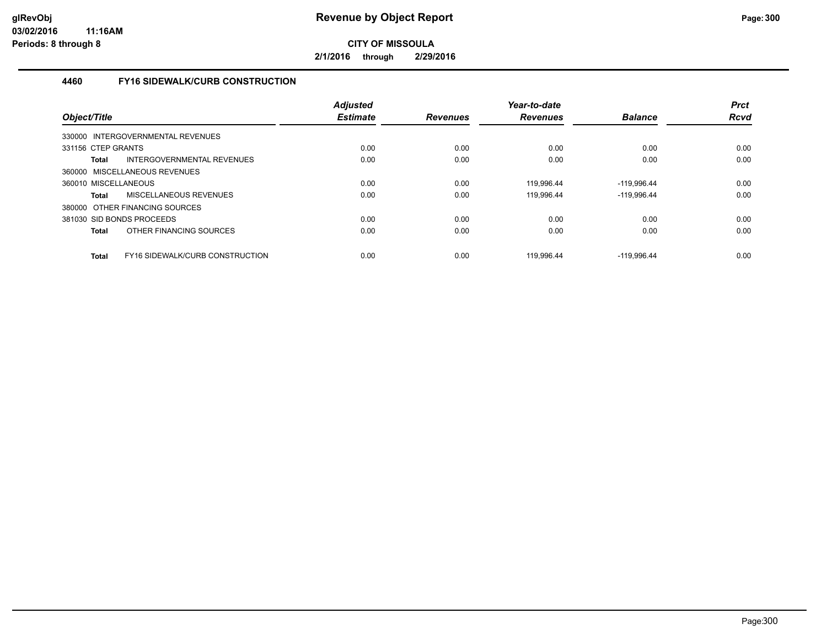**2/1/2016 through 2/29/2016**

### **4460 FY16 SIDEWALK/CURB CONSTRUCTION**

| Object/Title                                           | <b>Adjusted</b><br><b>Estimate</b> | <b>Revenues</b> | Year-to-date<br><b>Revenues</b> | <b>Balance</b> | <b>Prct</b><br><b>Rcvd</b> |
|--------------------------------------------------------|------------------------------------|-----------------|---------------------------------|----------------|----------------------------|
| 330000 INTERGOVERNMENTAL REVENUES                      |                                    |                 |                                 |                |                            |
| 331156 CTEP GRANTS                                     | 0.00                               | 0.00            | 0.00                            | 0.00           | 0.00                       |
| INTERGOVERNMENTAL REVENUES<br>Total                    | 0.00                               | 0.00            | 0.00                            | 0.00           | 0.00                       |
| 360000 MISCELLANEOUS REVENUES                          |                                    |                 |                                 |                |                            |
| 360010 MISCELLANEOUS                                   | 0.00                               | 0.00            | 119,996.44                      | $-119,996.44$  | 0.00                       |
| MISCELLANEOUS REVENUES<br><b>Total</b>                 | 0.00                               | 0.00            | 119.996.44                      | $-119.996.44$  | 0.00                       |
| 380000 OTHER FINANCING SOURCES                         |                                    |                 |                                 |                |                            |
| 381030 SID BONDS PROCEEDS                              | 0.00                               | 0.00            | 0.00                            | 0.00           | 0.00                       |
| OTHER FINANCING SOURCES<br><b>Total</b>                | 0.00                               | 0.00            | 0.00                            | 0.00           | 0.00                       |
| <b>FY16 SIDEWALK/CURB CONSTRUCTION</b><br><b>Total</b> | 0.00                               | 0.00            | 119.996.44                      | $-119.996.44$  | 0.00                       |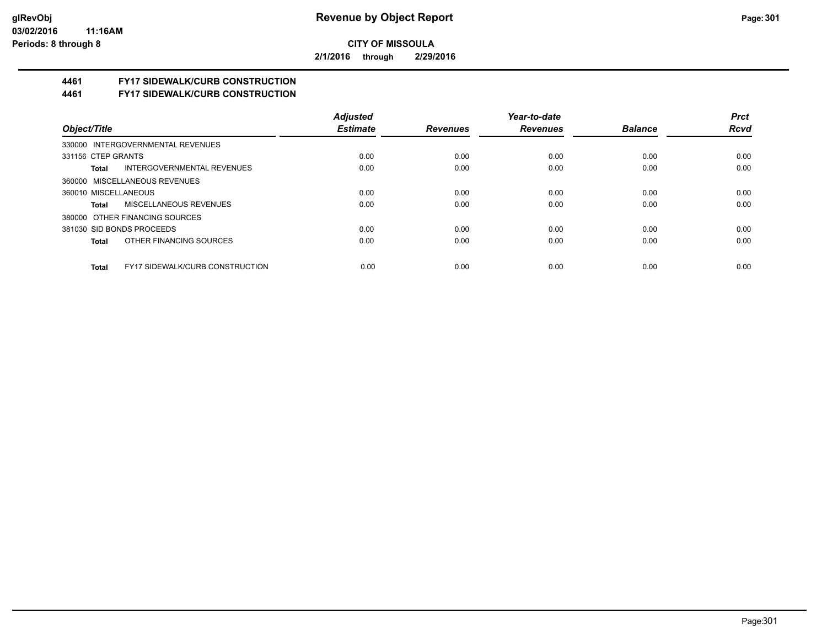**2/1/2016 through 2/29/2016**

# **4461 FY17 SIDEWALK/CURB CONSTRUCTION**

**4461 FY17 SIDEWALK/CURB CONSTRUCTION**

|                                                        | <b>Adjusted</b> |                 | Year-to-date    |                | <b>Prct</b> |
|--------------------------------------------------------|-----------------|-----------------|-----------------|----------------|-------------|
| Object/Title                                           | <b>Estimate</b> | <b>Revenues</b> | <b>Revenues</b> | <b>Balance</b> | <b>Rcvd</b> |
| 330000 INTERGOVERNMENTAL REVENUES                      |                 |                 |                 |                |             |
| 331156 CTEP GRANTS                                     | 0.00            | 0.00            | 0.00            | 0.00           | 0.00        |
| INTERGOVERNMENTAL REVENUES<br>Total                    | 0.00            | 0.00            | 0.00            | 0.00           | 0.00        |
| 360000 MISCELLANEOUS REVENUES                          |                 |                 |                 |                |             |
| 360010 MISCELLANEOUS                                   | 0.00            | 0.00            | 0.00            | 0.00           | 0.00        |
| MISCELLANEOUS REVENUES<br>Total                        | 0.00            | 0.00            | 0.00            | 0.00           | 0.00        |
| 380000 OTHER FINANCING SOURCES                         |                 |                 |                 |                |             |
| 381030 SID BONDS PROCEEDS                              | 0.00            | 0.00            | 0.00            | 0.00           | 0.00        |
| OTHER FINANCING SOURCES<br>Total                       | 0.00            | 0.00            | 0.00            | 0.00           | 0.00        |
|                                                        |                 |                 |                 |                |             |
| <b>FY17 SIDEWALK/CURB CONSTRUCTION</b><br><b>Total</b> | 0.00            | 0.00            | 0.00            | 0.00           | 0.00        |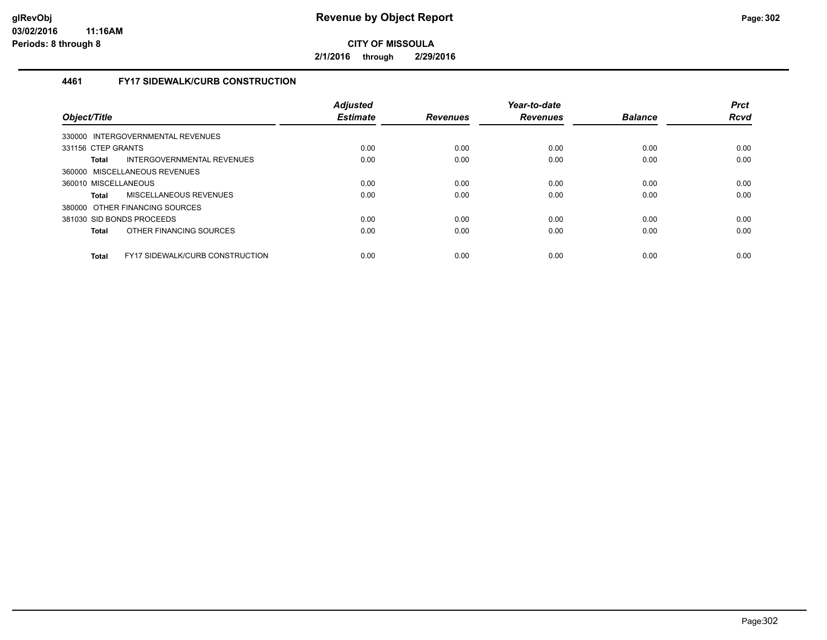**2/1/2016 through 2/29/2016**

## **4461 FY17 SIDEWALK/CURB CONSTRUCTION**

| Object/Title                                           | <b>Adjusted</b><br><b>Estimate</b> | <b>Revenues</b> | Year-to-date<br><b>Revenues</b> | <b>Balance</b> | <b>Prct</b><br><b>Rcvd</b> |
|--------------------------------------------------------|------------------------------------|-----------------|---------------------------------|----------------|----------------------------|
| INTERGOVERNMENTAL REVENUES<br>330000                   |                                    |                 |                                 |                |                            |
| 331156 CTEP GRANTS                                     | 0.00                               | 0.00            | 0.00                            | 0.00           | 0.00                       |
| INTERGOVERNMENTAL REVENUES<br>Total                    | 0.00                               | 0.00            | 0.00                            | 0.00           | 0.00                       |
| 360000 MISCELLANEOUS REVENUES                          |                                    |                 |                                 |                |                            |
| 360010 MISCELLANEOUS                                   | 0.00                               | 0.00            | 0.00                            | 0.00           | 0.00                       |
| MISCELLANEOUS REVENUES<br>Total                        | 0.00                               | 0.00            | 0.00                            | 0.00           | 0.00                       |
| 380000 OTHER FINANCING SOURCES                         |                                    |                 |                                 |                |                            |
| 381030 SID BONDS PROCEEDS                              | 0.00                               | 0.00            | 0.00                            | 0.00           | 0.00                       |
| OTHER FINANCING SOURCES<br>Total                       | 0.00                               | 0.00            | 0.00                            | 0.00           | 0.00                       |
| <b>FY17 SIDEWALK/CURB CONSTRUCTION</b><br><b>Total</b> | 0.00                               | 0.00            | 0.00                            | 0.00           | 0.00                       |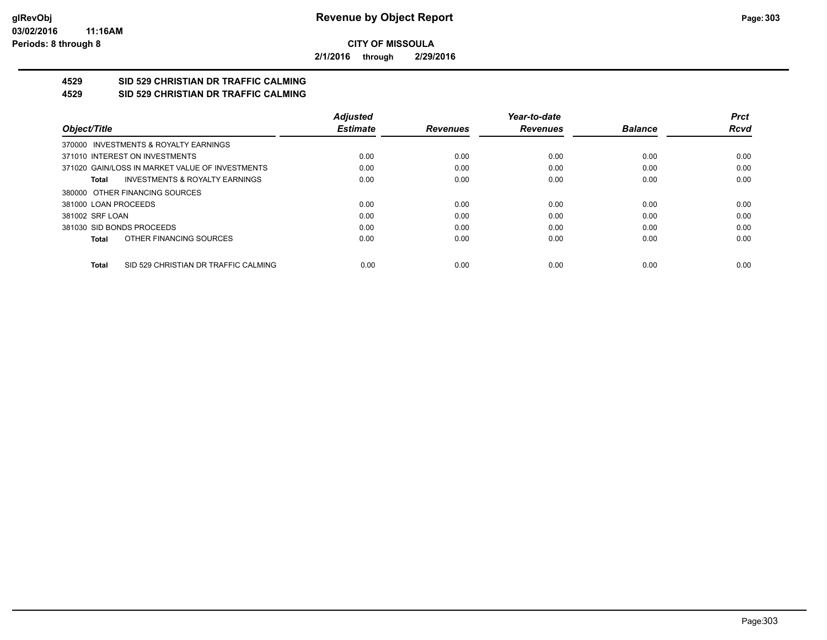**2/1/2016 through 2/29/2016**

#### **4529 SID 529 CHRISTIAN DR TRAFFIC CALMING 4529 SID 529 CHRISTIAN DR TRAFFIC CALMING**

|                                                      | <b>Adjusted</b> |                 | Year-to-date    |                | <b>Prct</b> |
|------------------------------------------------------|-----------------|-----------------|-----------------|----------------|-------------|
| Object/Title                                         | <b>Estimate</b> | <b>Revenues</b> | <b>Revenues</b> | <b>Balance</b> | <b>Rcvd</b> |
| 370000 INVESTMENTS & ROYALTY EARNINGS                |                 |                 |                 |                |             |
| 371010 INTEREST ON INVESTMENTS                       | 0.00            | 0.00            | 0.00            | 0.00           | 0.00        |
| 371020 GAIN/LOSS IN MARKET VALUE OF INVESTMENTS      | 0.00            | 0.00            | 0.00            | 0.00           | 0.00        |
| <b>INVESTMENTS &amp; ROYALTY EARNINGS</b><br>Total   | 0.00            | 0.00            | 0.00            | 0.00           | 0.00        |
| 380000 OTHER FINANCING SOURCES                       |                 |                 |                 |                |             |
| 381000 LOAN PROCEEDS                                 | 0.00            | 0.00            | 0.00            | 0.00           | 0.00        |
| 381002 SRF LOAN                                      | 0.00            | 0.00            | 0.00            | 0.00           | 0.00        |
| 381030 SID BONDS PROCEEDS                            | 0.00            | 0.00            | 0.00            | 0.00           | 0.00        |
| OTHER FINANCING SOURCES<br>Total                     | 0.00            | 0.00            | 0.00            | 0.00           | 0.00        |
|                                                      |                 |                 |                 |                |             |
| SID 529 CHRISTIAN DR TRAFFIC CALMING<br><b>Total</b> | 0.00            | 0.00            | 0.00            | 0.00           | 0.00        |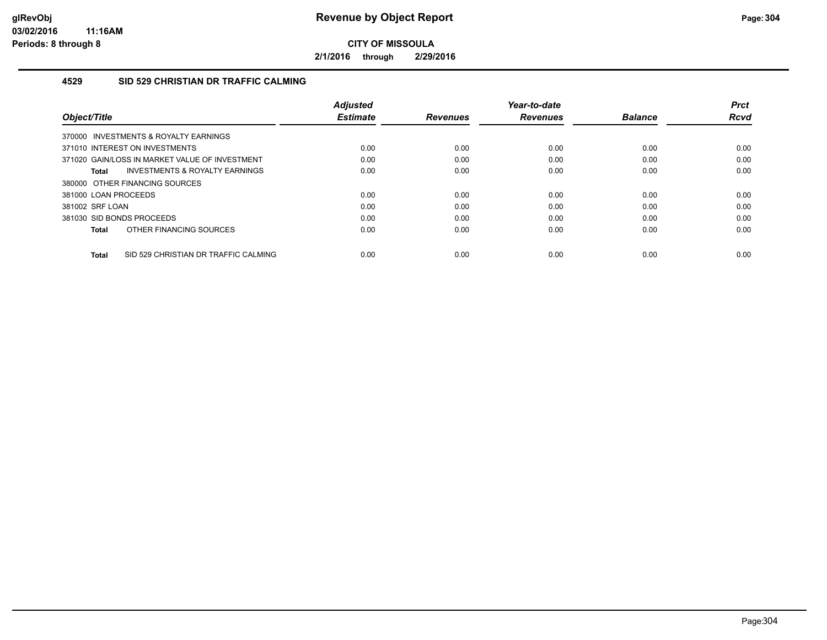**2/1/2016 through 2/29/2016**

### **4529 SID 529 CHRISTIAN DR TRAFFIC CALMING**

| Object/Title                                         | <b>Adjusted</b><br><b>Estimate</b> | <b>Revenues</b> | Year-to-date<br><b>Revenues</b> | <b>Balance</b> | <b>Prct</b><br>Rcvd |
|------------------------------------------------------|------------------------------------|-----------------|---------------------------------|----------------|---------------------|
| 370000 INVESTMENTS & ROYALTY EARNINGS                |                                    |                 |                                 |                |                     |
| 371010 INTEREST ON INVESTMENTS                       | 0.00                               | 0.00            | 0.00                            | 0.00           | 0.00                |
| 371020 GAIN/LOSS IN MARKET VALUE OF INVESTMENT       | 0.00                               | 0.00            | 0.00                            | 0.00           | 0.00                |
| <b>INVESTMENTS &amp; ROYALTY EARNINGS</b><br>Total   | 0.00                               | 0.00            | 0.00                            | 0.00           | 0.00                |
| 380000 OTHER FINANCING SOURCES                       |                                    |                 |                                 |                |                     |
| 381000 LOAN PROCEEDS                                 | 0.00                               | 0.00            | 0.00                            | 0.00           | 0.00                |
| 381002 SRF LOAN                                      | 0.00                               | 0.00            | 0.00                            | 0.00           | 0.00                |
| 381030 SID BONDS PROCEEDS                            | 0.00                               | 0.00            | 0.00                            | 0.00           | 0.00                |
| OTHER FINANCING SOURCES<br>Total                     | 0.00                               | 0.00            | 0.00                            | 0.00           | 0.00                |
| SID 529 CHRISTIAN DR TRAFFIC CALMING<br><b>Total</b> | 0.00                               | 0.00            | 0.00                            | 0.00           | 0.00                |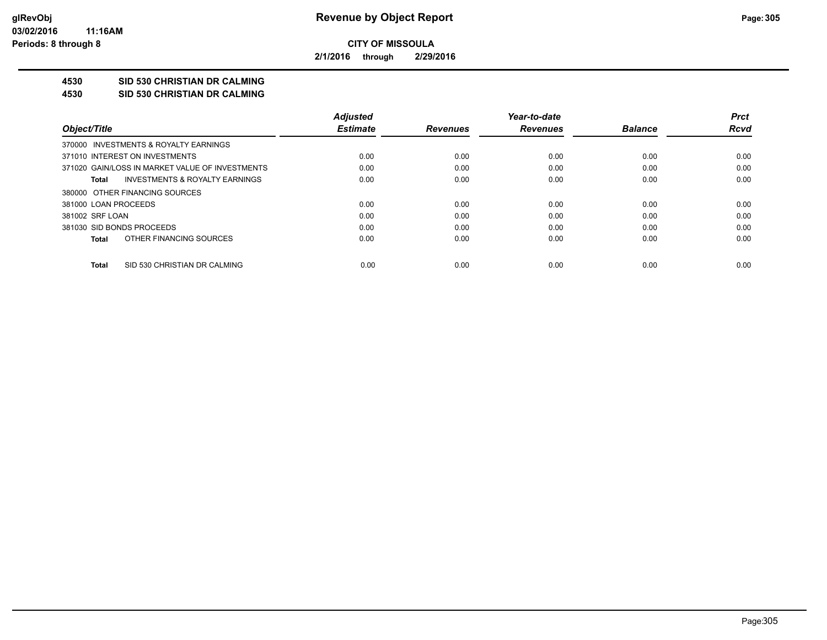**2/1/2016 through 2/29/2016**

# **4530 SID 530 CHRISTIAN DR CALMING**

**4530 SID 530 CHRISTIAN DR CALMING**

|                                                 | <b>Adjusted</b> |                 | Year-to-date    |                | <b>Prct</b> |
|-------------------------------------------------|-----------------|-----------------|-----------------|----------------|-------------|
| Object/Title                                    | <b>Estimate</b> | <b>Revenues</b> | <b>Revenues</b> | <b>Balance</b> | Rcvd        |
| 370000 INVESTMENTS & ROYALTY EARNINGS           |                 |                 |                 |                |             |
| 371010 INTEREST ON INVESTMENTS                  | 0.00            | 0.00            | 0.00            | 0.00           | 0.00        |
| 371020 GAIN/LOSS IN MARKET VALUE OF INVESTMENTS | 0.00            | 0.00            | 0.00            | 0.00           | 0.00        |
| INVESTMENTS & ROYALTY EARNINGS<br>Total         | 0.00            | 0.00            | 0.00            | 0.00           | 0.00        |
| 380000 OTHER FINANCING SOURCES                  |                 |                 |                 |                |             |
| 381000 LOAN PROCEEDS                            | 0.00            | 0.00            | 0.00            | 0.00           | 0.00        |
| 381002 SRF LOAN                                 | 0.00            | 0.00            | 0.00            | 0.00           | 0.00        |
| 381030 SID BONDS PROCEEDS                       | 0.00            | 0.00            | 0.00            | 0.00           | 0.00        |
| OTHER FINANCING SOURCES<br>Total                | 0.00            | 0.00            | 0.00            | 0.00           | 0.00        |
| SID 530 CHRISTIAN DR CALMING<br>Total           | 0.00            | 0.00            | 0.00            | 0.00           | 0.00        |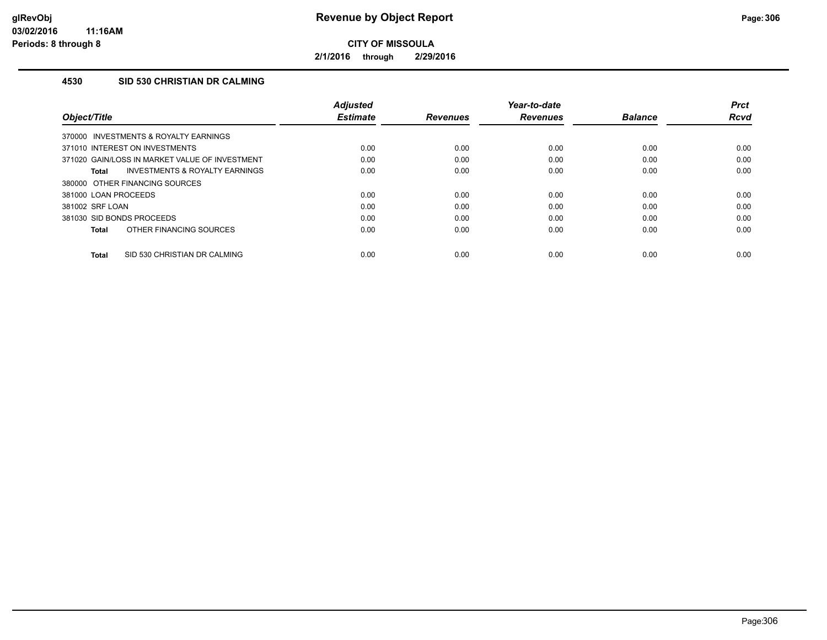**2/1/2016 through 2/29/2016**

## **4530 SID 530 CHRISTIAN DR CALMING**

| Object/Title                                       | <b>Adjusted</b><br><b>Estimate</b> | <b>Revenues</b> | Year-to-date<br><b>Revenues</b> | <b>Balance</b> | <b>Prct</b><br><b>Rcvd</b> |
|----------------------------------------------------|------------------------------------|-----------------|---------------------------------|----------------|----------------------------|
| 370000 INVESTMENTS & ROYALTY EARNINGS              |                                    |                 |                                 |                |                            |
| 371010 INTEREST ON INVESTMENTS                     | 0.00                               | 0.00            | 0.00                            | 0.00           | 0.00                       |
| 371020 GAIN/LOSS IN MARKET VALUE OF INVESTMENT     | 0.00                               | 0.00            | 0.00                            | 0.00           | 0.00                       |
| <b>INVESTMENTS &amp; ROYALTY EARNINGS</b><br>Total | 0.00                               | 0.00            | 0.00                            | 0.00           | 0.00                       |
| 380000 OTHER FINANCING SOURCES                     |                                    |                 |                                 |                |                            |
| 381000 LOAN PROCEEDS                               | 0.00                               | 0.00            | 0.00                            | 0.00           | 0.00                       |
| 381002 SRF LOAN                                    | 0.00                               | 0.00            | 0.00                            | 0.00           | 0.00                       |
| 381030 SID BONDS PROCEEDS                          | 0.00                               | 0.00            | 0.00                            | 0.00           | 0.00                       |
| OTHER FINANCING SOURCES<br><b>Total</b>            | 0.00                               | 0.00            | 0.00                            | 0.00           | 0.00                       |
| SID 530 CHRISTIAN DR CALMING<br><b>Total</b>       | 0.00                               | 0.00            | 0.00                            | 0.00           | 0.00                       |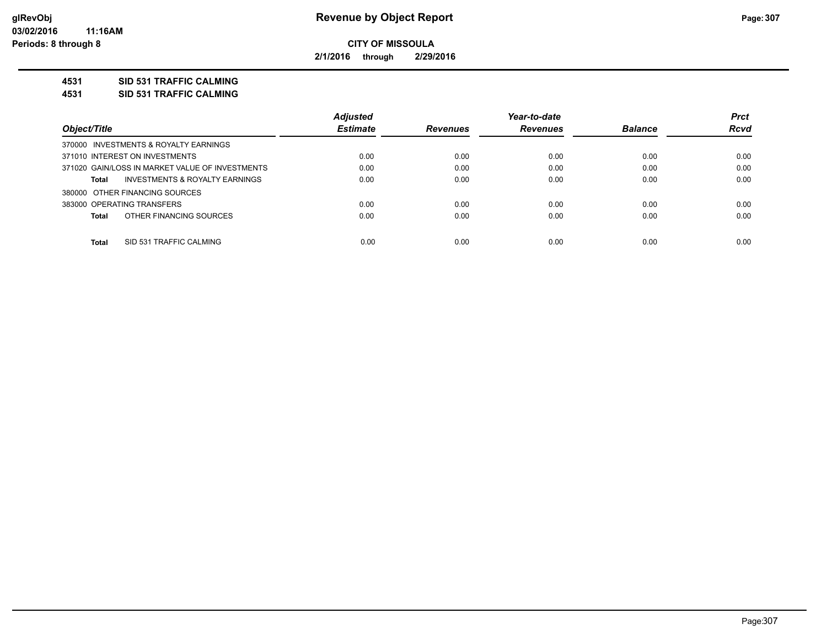**2/1/2016 through 2/29/2016**

### **4531 SID 531 TRAFFIC CALMING**

**4531 SID 531 TRAFFIC CALMING**

|                                                 | <b>Adjusted</b> |                 | Year-to-date    |                | <b>Prct</b> |
|-------------------------------------------------|-----------------|-----------------|-----------------|----------------|-------------|
| Object/Title                                    | <b>Estimate</b> | <b>Revenues</b> | <b>Revenues</b> | <b>Balance</b> | <b>Rcvd</b> |
| 370000 INVESTMENTS & ROYALTY EARNINGS           |                 |                 |                 |                |             |
| 371010 INTEREST ON INVESTMENTS                  | 0.00            | 0.00            | 0.00            | 0.00           | 0.00        |
| 371020 GAIN/LOSS IN MARKET VALUE OF INVESTMENTS | 0.00            | 0.00            | 0.00            | 0.00           | 0.00        |
| INVESTMENTS & ROYALTY EARNINGS<br>Total         | 0.00            | 0.00            | 0.00            | 0.00           | 0.00        |
| 380000 OTHER FINANCING SOURCES                  |                 |                 |                 |                |             |
| 383000 OPERATING TRANSFERS                      | 0.00            | 0.00            | 0.00            | 0.00           | 0.00        |
| OTHER FINANCING SOURCES<br><b>Total</b>         | 0.00            | 0.00            | 0.00            | 0.00           | 0.00        |
| <b>Total</b><br>SID 531 TRAFFIC CALMING         | 0.00            | 0.00            | 0.00            | 0.00           | 0.00        |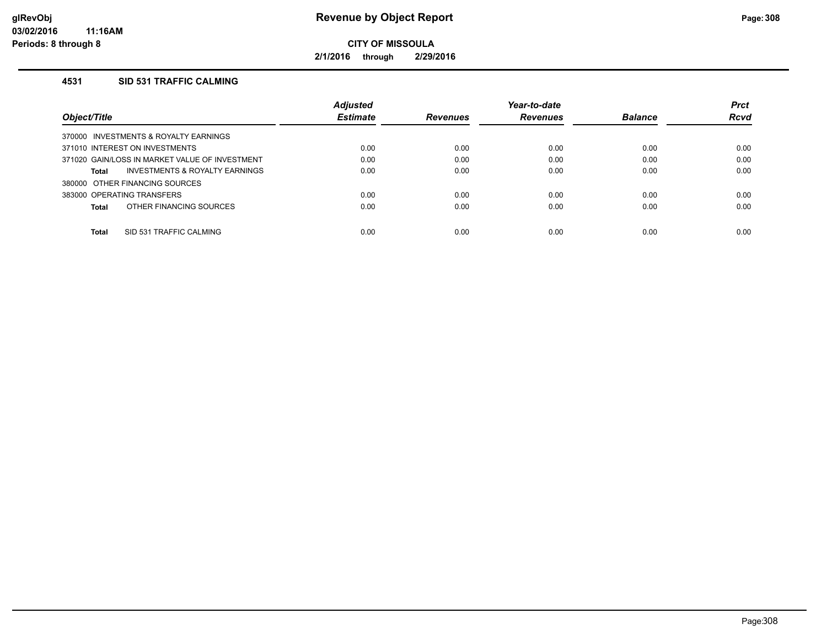**2/1/2016 through 2/29/2016**

### **4531 SID 531 TRAFFIC CALMING**

|                                                | <b>Adjusted</b> |                 | Year-to-date    |                | <b>Prct</b> |
|------------------------------------------------|-----------------|-----------------|-----------------|----------------|-------------|
| Object/Title                                   | <b>Estimate</b> | <b>Revenues</b> | <b>Revenues</b> | <b>Balance</b> | <b>Rcvd</b> |
| 370000 INVESTMENTS & ROYALTY EARNINGS          |                 |                 |                 |                |             |
| 371010 INTEREST ON INVESTMENTS                 | 0.00            | 0.00            | 0.00            | 0.00           | 0.00        |
| 371020 GAIN/LOSS IN MARKET VALUE OF INVESTMENT | 0.00            | 0.00            | 0.00            | 0.00           | 0.00        |
| INVESTMENTS & ROYALTY EARNINGS<br>Total        | 0.00            | 0.00            | 0.00            | 0.00           | 0.00        |
| 380000 OTHER FINANCING SOURCES                 |                 |                 |                 |                |             |
| 383000 OPERATING TRANSFERS                     | 0.00            | 0.00            | 0.00            | 0.00           | 0.00        |
| OTHER FINANCING SOURCES<br>Total               | 0.00            | 0.00            | 0.00            | 0.00           | 0.00        |
| Total<br>SID 531 TRAFFIC CALMING               | 0.00            | 0.00            | 0.00            | 0.00           | 0.00        |
|                                                |                 |                 |                 |                |             |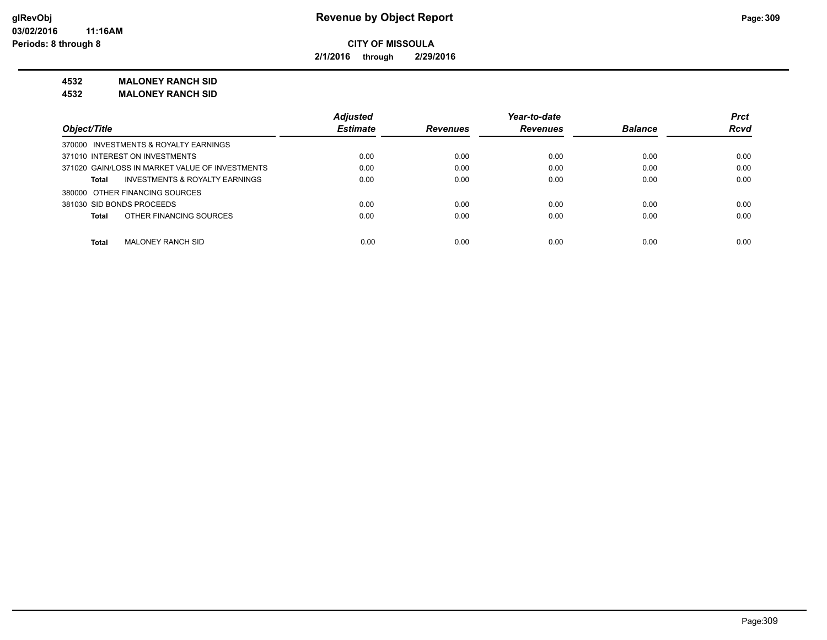**2/1/2016 through 2/29/2016**

# **4532 MALONEY RANCH SID**

**4532 MALONEY RANCH SID**

|                                                 | <b>Adjusted</b> |                 | Year-to-date    |                | <b>Prct</b> |
|-------------------------------------------------|-----------------|-----------------|-----------------|----------------|-------------|
| Object/Title                                    | <b>Estimate</b> | <b>Revenues</b> | <b>Revenues</b> | <b>Balance</b> | <b>Rcvd</b> |
| 370000 INVESTMENTS & ROYALTY EARNINGS           |                 |                 |                 |                |             |
| 371010 INTEREST ON INVESTMENTS                  | 0.00            | 0.00            | 0.00            | 0.00           | 0.00        |
| 371020 GAIN/LOSS IN MARKET VALUE OF INVESTMENTS | 0.00            | 0.00            | 0.00            | 0.00           | 0.00        |
| INVESTMENTS & ROYALTY EARNINGS<br>Total         | 0.00            | 0.00            | 0.00            | 0.00           | 0.00        |
| 380000 OTHER FINANCING SOURCES                  |                 |                 |                 |                |             |
| 381030 SID BONDS PROCEEDS                       | 0.00            | 0.00            | 0.00            | 0.00           | 0.00        |
| OTHER FINANCING SOURCES<br>Total                | 0.00            | 0.00            | 0.00            | 0.00           | 0.00        |
|                                                 |                 |                 |                 |                |             |
| <b>Total</b><br>MALONEY RANCH SID               | 0.00            | 0.00            | 0.00            | 0.00           | 0.00        |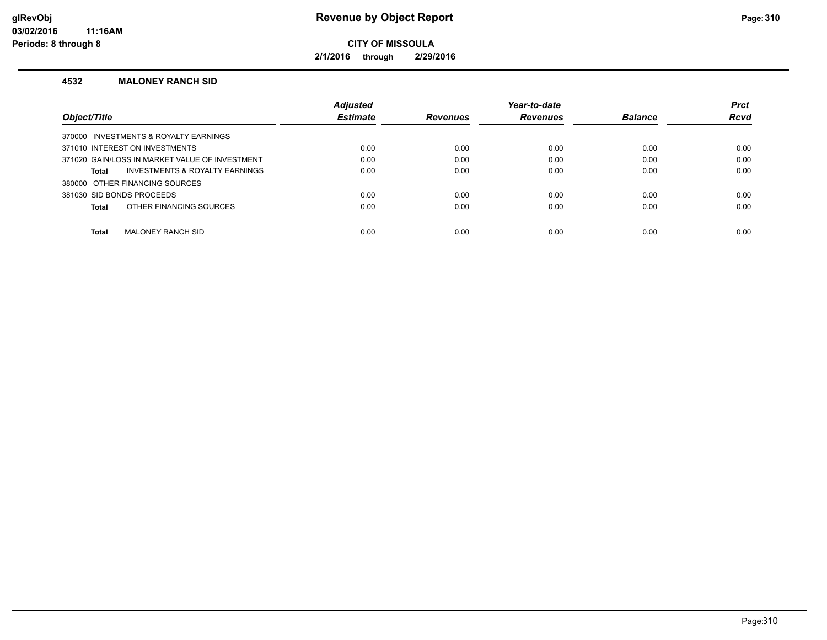**2/1/2016 through 2/29/2016**

#### **4532 MALONEY RANCH SID**

|                                                | <b>Adjusted</b> |                 | Year-to-date    |                | <b>Prct</b> |
|------------------------------------------------|-----------------|-----------------|-----------------|----------------|-------------|
| Object/Title                                   | <b>Estimate</b> | <b>Revenues</b> | <b>Revenues</b> | <b>Balance</b> | <b>Rcvd</b> |
| 370000 INVESTMENTS & ROYALTY EARNINGS          |                 |                 |                 |                |             |
| 371010 INTEREST ON INVESTMENTS                 | 0.00            | 0.00            | 0.00            | 0.00           | 0.00        |
| 371020 GAIN/LOSS IN MARKET VALUE OF INVESTMENT | 0.00            | 0.00            | 0.00            | 0.00           | 0.00        |
| INVESTMENTS & ROYALTY EARNINGS<br>Total        | 0.00            | 0.00            | 0.00            | 0.00           | 0.00        |
| 380000 OTHER FINANCING SOURCES                 |                 |                 |                 |                |             |
| 381030 SID BONDS PROCEEDS                      | 0.00            | 0.00            | 0.00            | 0.00           | 0.00        |
| OTHER FINANCING SOURCES<br>Total               | 0.00            | 0.00            | 0.00            | 0.00           | 0.00        |
|                                                |                 |                 |                 |                |             |
| <b>Total</b><br>MALONEY RANCH SID              | 0.00            | 0.00            | 0.00            | 0.00           | 0.00        |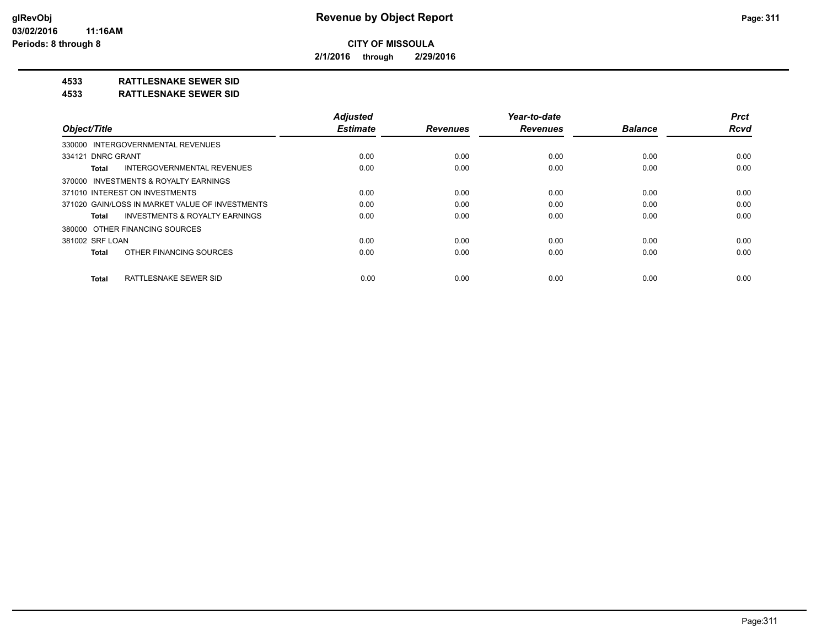**2/1/2016 through 2/29/2016**

# **4533 RATTLESNAKE SEWER SID**

#### **4533 RATTLESNAKE SEWER SID**

| Object/Title                                       | <b>Adjusted</b><br><b>Estimate</b> | <b>Revenues</b> | Year-to-date<br><b>Revenues</b> | <b>Balance</b> | <b>Prct</b><br><b>Rcvd</b> |
|----------------------------------------------------|------------------------------------|-----------------|---------------------------------|----------------|----------------------------|
| 330000 INTERGOVERNMENTAL REVENUES                  |                                    |                 |                                 |                |                            |
| 334121 DNRC GRANT                                  | 0.00                               | 0.00            | 0.00                            | 0.00           | 0.00                       |
| INTERGOVERNMENTAL REVENUES<br><b>Total</b>         | 0.00                               | 0.00            | 0.00                            | 0.00           | 0.00                       |
| 370000 INVESTMENTS & ROYALTY EARNINGS              |                                    |                 |                                 |                |                            |
| 371010 INTEREST ON INVESTMENTS                     | 0.00                               | 0.00            | 0.00                            | 0.00           | 0.00                       |
| 371020 GAIN/LOSS IN MARKET VALUE OF INVESTMENTS    | 0.00                               | 0.00            | 0.00                            | 0.00           | 0.00                       |
| <b>INVESTMENTS &amp; ROYALTY EARNINGS</b><br>Total | 0.00                               | 0.00            | 0.00                            | 0.00           | 0.00                       |
| 380000 OTHER FINANCING SOURCES                     |                                    |                 |                                 |                |                            |
| 381002 SRF LOAN                                    | 0.00                               | 0.00            | 0.00                            | 0.00           | 0.00                       |
| OTHER FINANCING SOURCES<br><b>Total</b>            | 0.00                               | 0.00            | 0.00                            | 0.00           | 0.00                       |
| RATTLESNAKE SEWER SID<br><b>Total</b>              | 0.00                               | 0.00            | 0.00                            | 0.00           | 0.00                       |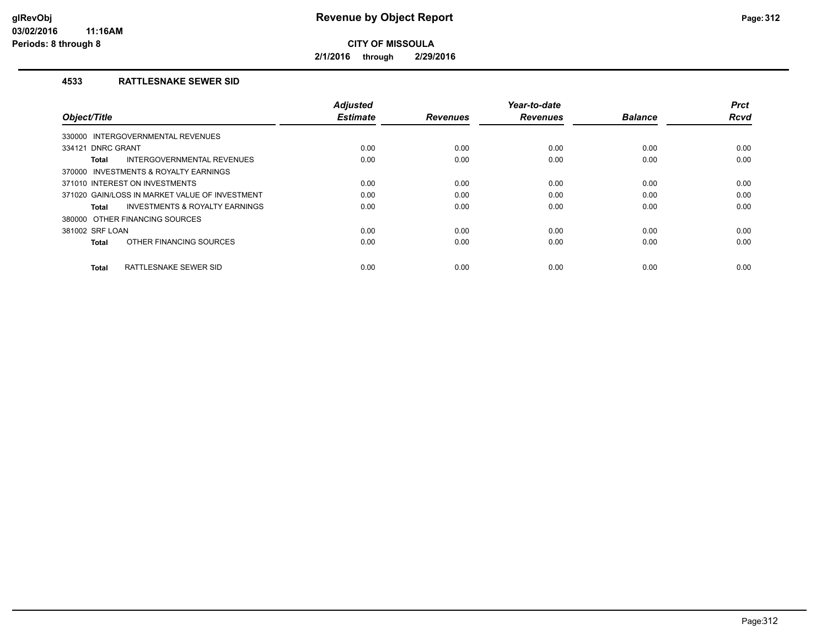**2/1/2016 through 2/29/2016**

### **4533 RATTLESNAKE SEWER SID**

| Object/Title                                   | <b>Adjusted</b><br><b>Estimate</b> | <b>Revenues</b> | Year-to-date<br><b>Revenues</b> | <b>Balance</b> | <b>Prct</b><br><b>Rcvd</b> |
|------------------------------------------------|------------------------------------|-----------------|---------------------------------|----------------|----------------------------|
| INTERGOVERNMENTAL REVENUES<br>330000           |                                    |                 |                                 |                |                            |
| 334121 DNRC GRANT                              | 0.00                               | 0.00            | 0.00                            | 0.00           | 0.00                       |
| INTERGOVERNMENTAL REVENUES<br>Total            | 0.00                               | 0.00            | 0.00                            | 0.00           | 0.00                       |
| 370000 INVESTMENTS & ROYALTY EARNINGS          |                                    |                 |                                 |                |                            |
| 371010 INTEREST ON INVESTMENTS                 | 0.00                               | 0.00            | 0.00                            | 0.00           | 0.00                       |
| 371020 GAIN/LOSS IN MARKET VALUE OF INVESTMENT | 0.00                               | 0.00            | 0.00                            | 0.00           | 0.00                       |
| INVESTMENTS & ROYALTY EARNINGS<br>Total        | 0.00                               | 0.00            | 0.00                            | 0.00           | 0.00                       |
| 380000 OTHER FINANCING SOURCES                 |                                    |                 |                                 |                |                            |
| 381002 SRF LOAN                                | 0.00                               | 0.00            | 0.00                            | 0.00           | 0.00                       |
| OTHER FINANCING SOURCES<br><b>Total</b>        | 0.00                               | 0.00            | 0.00                            | 0.00           | 0.00                       |
| RATTLESNAKE SEWER SID<br><b>Total</b>          | 0.00                               | 0.00            | 0.00                            | 0.00           | 0.00                       |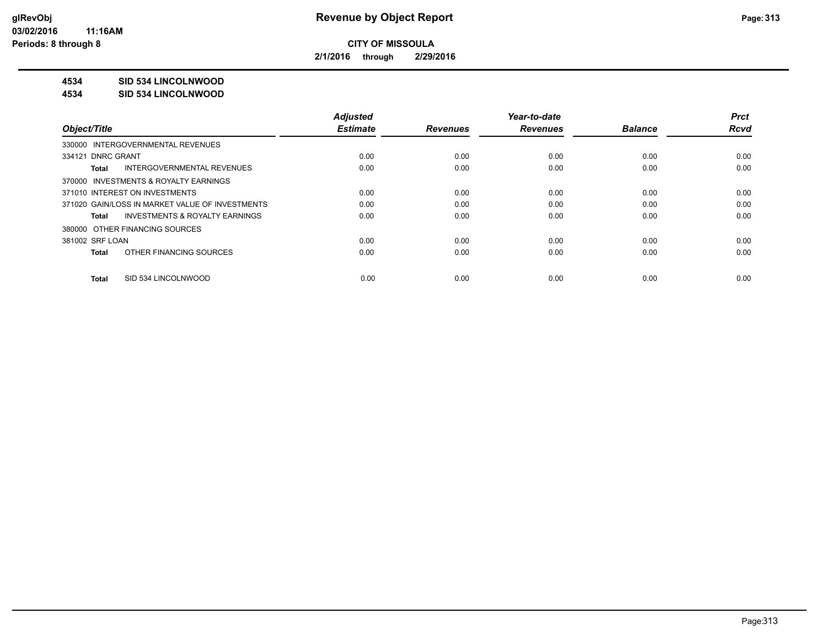**2/1/2016 through 2/29/2016**

# **4534 SID 534 LINCOLNWOOD**

#### **4534 SID 534 LINCOLNWOOD**

|                                                    | <b>Adjusted</b> |                 | Year-to-date    |                | <b>Prct</b> |
|----------------------------------------------------|-----------------|-----------------|-----------------|----------------|-------------|
| Object/Title                                       | <b>Estimate</b> | <b>Revenues</b> | <b>Revenues</b> | <b>Balance</b> | <b>Rcvd</b> |
| 330000 INTERGOVERNMENTAL REVENUES                  |                 |                 |                 |                |             |
| 334121 DNRC GRANT                                  | 0.00            | 0.00            | 0.00            | 0.00           | 0.00        |
| INTERGOVERNMENTAL REVENUES<br>Total                | 0.00            | 0.00            | 0.00            | 0.00           | 0.00        |
| 370000 INVESTMENTS & ROYALTY EARNINGS              |                 |                 |                 |                |             |
| 371010 INTEREST ON INVESTMENTS                     | 0.00            | 0.00            | 0.00            | 0.00           | 0.00        |
| 371020 GAIN/LOSS IN MARKET VALUE OF INVESTMENTS    | 0.00            | 0.00            | 0.00            | 0.00           | 0.00        |
| <b>INVESTMENTS &amp; ROYALTY EARNINGS</b><br>Total | 0.00            | 0.00            | 0.00            | 0.00           | 0.00        |
| 380000 OTHER FINANCING SOURCES                     |                 |                 |                 |                |             |
| 381002 SRF LOAN                                    | 0.00            | 0.00            | 0.00            | 0.00           | 0.00        |
| OTHER FINANCING SOURCES<br>Total                   | 0.00            | 0.00            | 0.00            | 0.00           | 0.00        |
| SID 534 LINCOLNWOOD<br>Total                       | 0.00            | 0.00            | 0.00            | 0.00           | 0.00        |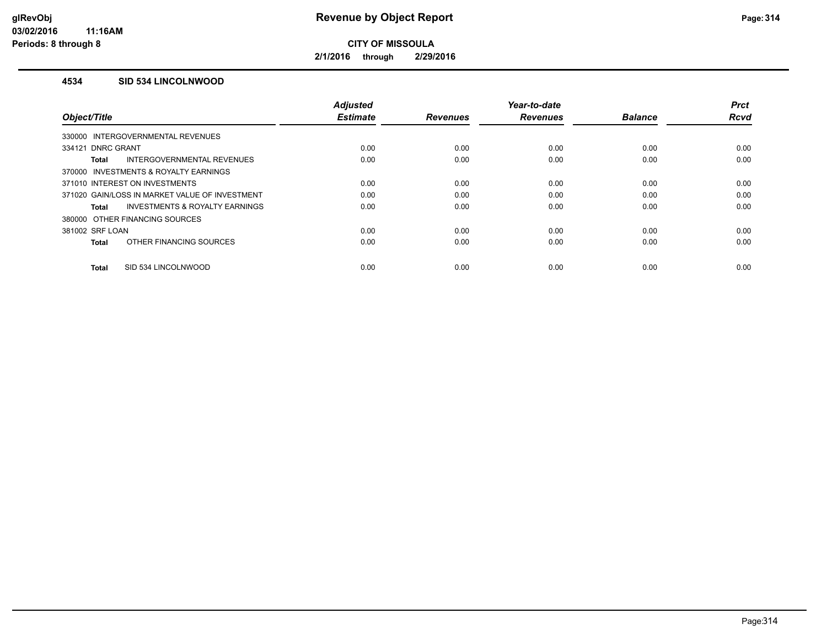**2/1/2016 through 2/29/2016**

#### **4534 SID 534 LINCOLNWOOD**

|                                                | <b>Adjusted</b> |                 | Year-to-date    |                | <b>Prct</b> |
|------------------------------------------------|-----------------|-----------------|-----------------|----------------|-------------|
| Object/Title                                   | <b>Estimate</b> | <b>Revenues</b> | <b>Revenues</b> | <b>Balance</b> | <b>Rcvd</b> |
| 330000 INTERGOVERNMENTAL REVENUES              |                 |                 |                 |                |             |
| 334121 DNRC GRANT                              | 0.00            | 0.00            | 0.00            | 0.00           | 0.00        |
| INTERGOVERNMENTAL REVENUES<br>Total            | 0.00            | 0.00            | 0.00            | 0.00           | 0.00        |
| 370000 INVESTMENTS & ROYALTY EARNINGS          |                 |                 |                 |                |             |
| 371010 INTEREST ON INVESTMENTS                 | 0.00            | 0.00            | 0.00            | 0.00           | 0.00        |
| 371020 GAIN/LOSS IN MARKET VALUE OF INVESTMENT | 0.00            | 0.00            | 0.00            | 0.00           | 0.00        |
| INVESTMENTS & ROYALTY EARNINGS<br>Total        | 0.00            | 0.00            | 0.00            | 0.00           | 0.00        |
| 380000 OTHER FINANCING SOURCES                 |                 |                 |                 |                |             |
| 381002 SRF LOAN                                | 0.00            | 0.00            | 0.00            | 0.00           | 0.00        |
| OTHER FINANCING SOURCES<br><b>Total</b>        | 0.00            | 0.00            | 0.00            | 0.00           | 0.00        |
|                                                |                 |                 |                 |                |             |
| SID 534 LINCOLNWOOD<br><b>Total</b>            | 0.00            | 0.00            | 0.00            | 0.00           | 0.00        |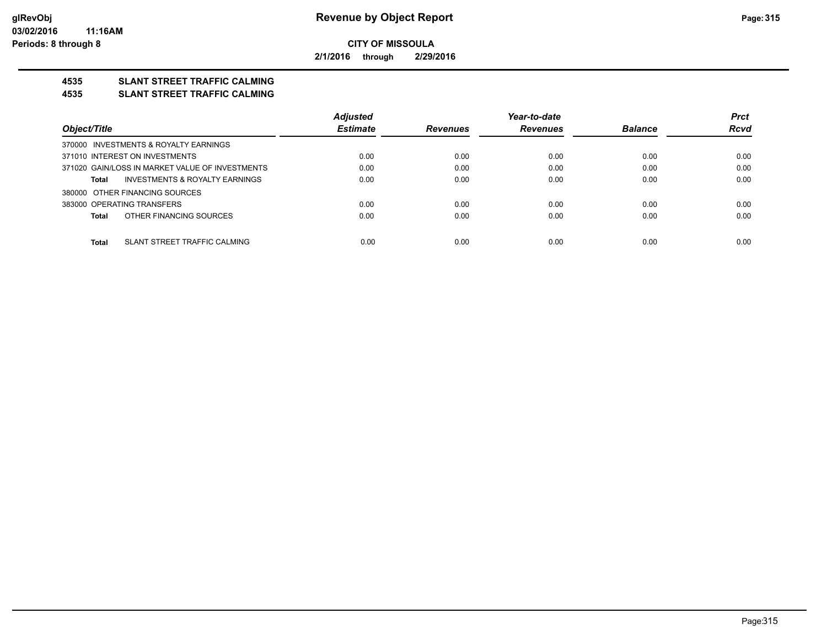**2/1/2016 through 2/29/2016**

# **4535 SLANT STREET TRAFFIC CALMING**

#### **4535 SLANT STREET TRAFFIC CALMING**

|                                                    | <b>Adjusted</b> |                 | Year-to-date    |                | <b>Prct</b> |
|----------------------------------------------------|-----------------|-----------------|-----------------|----------------|-------------|
| Object/Title                                       | <b>Estimate</b> | <b>Revenues</b> | <b>Revenues</b> | <b>Balance</b> | <b>Rcvd</b> |
| 370000 INVESTMENTS & ROYALTY EARNINGS              |                 |                 |                 |                |             |
| 371010 INTEREST ON INVESTMENTS                     | 0.00            | 0.00            | 0.00            | 0.00           | 0.00        |
| 371020 GAIN/LOSS IN MARKET VALUE OF INVESTMENTS    | 0.00            | 0.00            | 0.00            | 0.00           | 0.00        |
| <b>INVESTMENTS &amp; ROYALTY EARNINGS</b><br>Total | 0.00            | 0.00            | 0.00            | 0.00           | 0.00        |
| 380000 OTHER FINANCING SOURCES                     |                 |                 |                 |                |             |
| 383000 OPERATING TRANSFERS                         | 0.00            | 0.00            | 0.00            | 0.00           | 0.00        |
| OTHER FINANCING SOURCES<br><b>Total</b>            | 0.00            | 0.00            | 0.00            | 0.00           | 0.00        |
| <b>Total</b><br>SLANT STREET TRAFFIC CALMING       | 0.00            | 0.00            | 0.00            | 0.00           | 0.00        |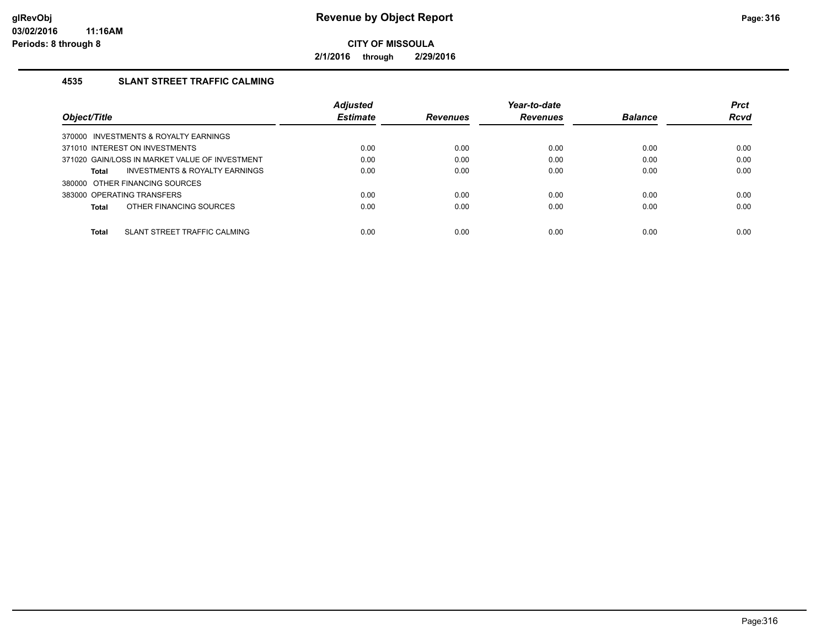**2/1/2016 through 2/29/2016**

## **4535 SLANT STREET TRAFFIC CALMING**

|                                                    | <b>Adjusted</b> |                 | Year-to-date    |                | <b>Prct</b> |
|----------------------------------------------------|-----------------|-----------------|-----------------|----------------|-------------|
| Object/Title                                       | <b>Estimate</b> | <b>Revenues</b> | <b>Revenues</b> | <b>Balance</b> | <b>Rcvd</b> |
| 370000 INVESTMENTS & ROYALTY EARNINGS              |                 |                 |                 |                |             |
| 371010 INTEREST ON INVESTMENTS                     | 0.00            | 0.00            | 0.00            | 0.00           | 0.00        |
| 371020 GAIN/LOSS IN MARKET VALUE OF INVESTMENT     | 0.00            | 0.00            | 0.00            | 0.00           | 0.00        |
| <b>INVESTMENTS &amp; ROYALTY EARNINGS</b><br>Total | 0.00            | 0.00            | 0.00            | 0.00           | 0.00        |
| 380000 OTHER FINANCING SOURCES                     |                 |                 |                 |                |             |
| 383000 OPERATING TRANSFERS                         | 0.00            | 0.00            | 0.00            | 0.00           | 0.00        |
| OTHER FINANCING SOURCES<br>Total                   | 0.00            | 0.00            | 0.00            | 0.00           | 0.00        |
|                                                    |                 |                 |                 |                |             |
| SLANT STREET TRAFFIC CALMING<br>Total              | 0.00            | 0.00            | 0.00            | 0.00           | 0.00        |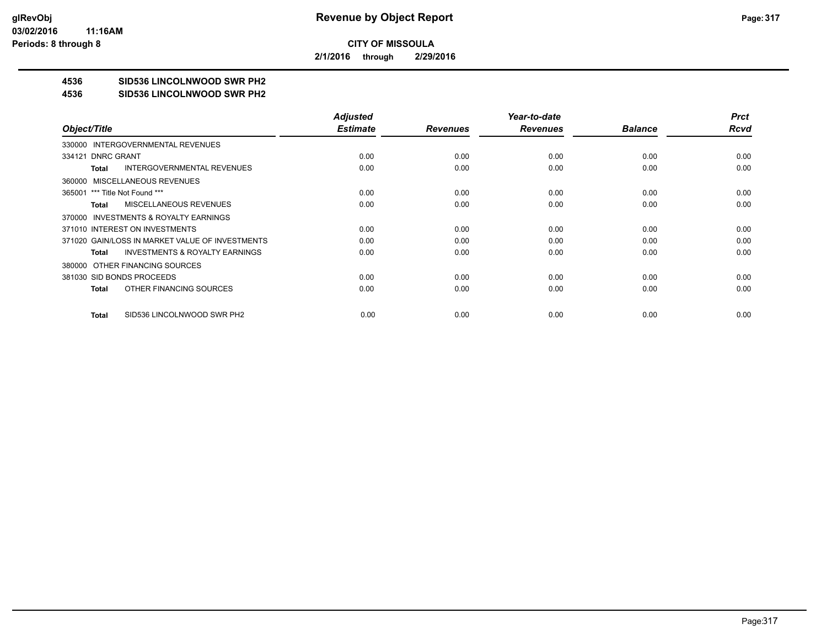**2/1/2016 through 2/29/2016**

# **4536 SID536 LINCOLNWOOD SWR PH2**

#### **4536 SID536 LINCOLNWOOD SWR PH2**

|                                                    | <b>Adjusted</b> |                 | Year-to-date    |                | <b>Prct</b> |
|----------------------------------------------------|-----------------|-----------------|-----------------|----------------|-------------|
| Object/Title                                       | <b>Estimate</b> | <b>Revenues</b> | <b>Revenues</b> | <b>Balance</b> | Rcvd        |
| 330000 INTERGOVERNMENTAL REVENUES                  |                 |                 |                 |                |             |
| 334121 DNRC GRANT                                  | 0.00            | 0.00            | 0.00            | 0.00           | 0.00        |
| <b>INTERGOVERNMENTAL REVENUES</b><br>Total         | 0.00            | 0.00            | 0.00            | 0.00           | 0.00        |
| 360000 MISCELLANEOUS REVENUES                      |                 |                 |                 |                |             |
| 365001 *** Title Not Found ***                     | 0.00            | 0.00            | 0.00            | 0.00           | 0.00        |
| <b>MISCELLANEOUS REVENUES</b><br>Total             | 0.00            | 0.00            | 0.00            | 0.00           | 0.00        |
| 370000 INVESTMENTS & ROYALTY EARNINGS              |                 |                 |                 |                |             |
| 371010 INTEREST ON INVESTMENTS                     | 0.00            | 0.00            | 0.00            | 0.00           | 0.00        |
| 371020 GAIN/LOSS IN MARKET VALUE OF INVESTMENTS    | 0.00            | 0.00            | 0.00            | 0.00           | 0.00        |
| <b>INVESTMENTS &amp; ROYALTY EARNINGS</b><br>Total | 0.00            | 0.00            | 0.00            | 0.00           | 0.00        |
| 380000 OTHER FINANCING SOURCES                     |                 |                 |                 |                |             |
| 381030 SID BONDS PROCEEDS                          | 0.00            | 0.00            | 0.00            | 0.00           | 0.00        |
| OTHER FINANCING SOURCES<br>Total                   | 0.00            | 0.00            | 0.00            | 0.00           | 0.00        |
|                                                    |                 |                 |                 |                |             |
| SID536 LINCOLNWOOD SWR PH2<br>Total                | 0.00            | 0.00            | 0.00            | 0.00           | 0.00        |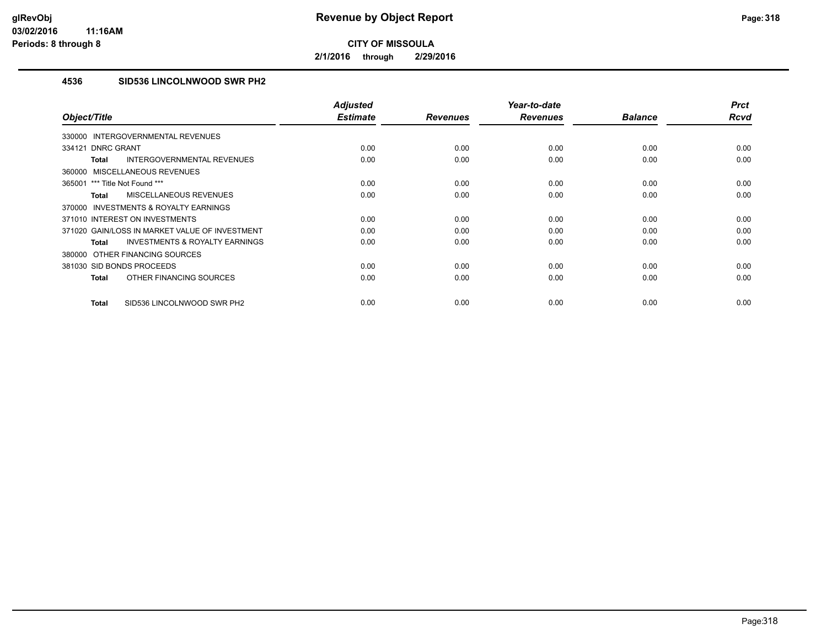**2/1/2016 through 2/29/2016**

# **4536 SID536 LINCOLNWOOD SWR PH2**

| Object/Title                                              | <b>Adjusted</b><br><b>Estimate</b> | <b>Revenues</b> | Year-to-date<br><b>Revenues</b> | <b>Balance</b> | <b>Prct</b><br><b>Rcvd</b> |
|-----------------------------------------------------------|------------------------------------|-----------------|---------------------------------|----------------|----------------------------|
| 330000 INTERGOVERNMENTAL REVENUES                         |                                    |                 |                                 |                |                            |
| <b>DNRC GRANT</b><br>334121                               | 0.00                               | 0.00            | 0.00                            | 0.00           | 0.00                       |
| <b>INTERGOVERNMENTAL REVENUES</b><br><b>Total</b>         | 0.00                               | 0.00            | 0.00                            | 0.00           | 0.00                       |
| 360000 MISCELLANEOUS REVENUES                             |                                    |                 |                                 |                |                            |
| 365001 *** Title Not Found ***                            | 0.00                               | 0.00            | 0.00                            | 0.00           | 0.00                       |
| <b>MISCELLANEOUS REVENUES</b><br><b>Total</b>             | 0.00                               | 0.00            | 0.00                            | 0.00           | 0.00                       |
| 370000 INVESTMENTS & ROYALTY EARNINGS                     |                                    |                 |                                 |                |                            |
| 371010 INTEREST ON INVESTMENTS                            | 0.00                               | 0.00            | 0.00                            | 0.00           | 0.00                       |
| 371020 GAIN/LOSS IN MARKET VALUE OF INVESTMENT            | 0.00                               | 0.00            | 0.00                            | 0.00           | 0.00                       |
| <b>INVESTMENTS &amp; ROYALTY EARNINGS</b><br><b>Total</b> | 0.00                               | 0.00            | 0.00                            | 0.00           | 0.00                       |
| 380000 OTHER FINANCING SOURCES                            |                                    |                 |                                 |                |                            |
| 381030 SID BONDS PROCEEDS                                 | 0.00                               | 0.00            | 0.00                            | 0.00           | 0.00                       |
| OTHER FINANCING SOURCES<br><b>Total</b>                   | 0.00                               | 0.00            | 0.00                            | 0.00           | 0.00                       |
| SID536 LINCOLNWOOD SWR PH2<br><b>Total</b>                | 0.00                               | 0.00            | 0.00                            | 0.00           | 0.00                       |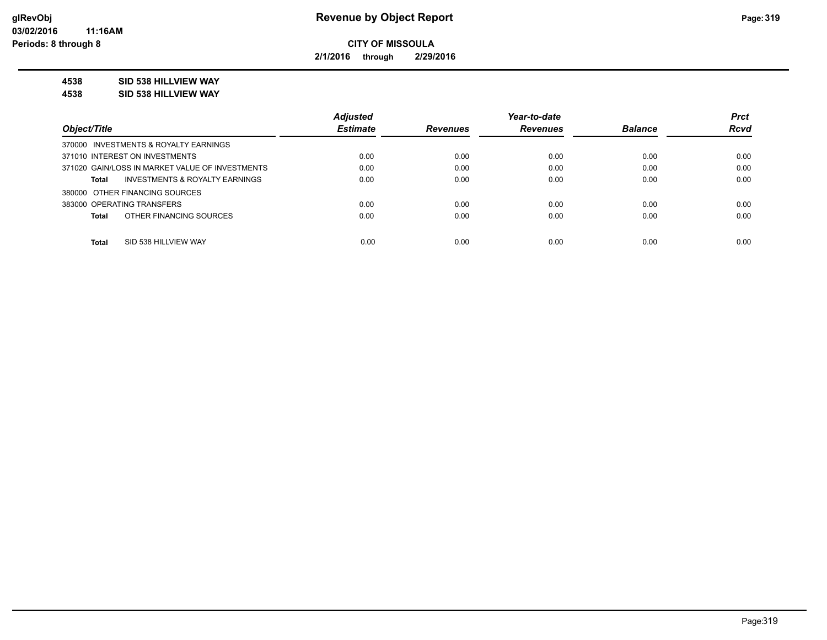**2/1/2016 through 2/29/2016**

### **4538 SID 538 HILLVIEW WAY**

**4538 SID 538 HILLVIEW WAY**

|                                                    | <b>Adjusted</b> |                 | Year-to-date    |                | <b>Prct</b> |
|----------------------------------------------------|-----------------|-----------------|-----------------|----------------|-------------|
| Object/Title                                       | <b>Estimate</b> | <b>Revenues</b> | <b>Revenues</b> | <b>Balance</b> | <b>Rcvd</b> |
| 370000 INVESTMENTS & ROYALTY EARNINGS              |                 |                 |                 |                |             |
| 371010 INTEREST ON INVESTMENTS                     | 0.00            | 0.00            | 0.00            | 0.00           | 0.00        |
| 371020 GAIN/LOSS IN MARKET VALUE OF INVESTMENTS    | 0.00            | 0.00            | 0.00            | 0.00           | 0.00        |
| <b>INVESTMENTS &amp; ROYALTY EARNINGS</b><br>Total | 0.00            | 0.00            | 0.00            | 0.00           | 0.00        |
| 380000 OTHER FINANCING SOURCES                     |                 |                 |                 |                |             |
| 383000 OPERATING TRANSFERS                         | 0.00            | 0.00            | 0.00            | 0.00           | 0.00        |
| OTHER FINANCING SOURCES<br><b>Total</b>            | 0.00            | 0.00            | 0.00            | 0.00           | 0.00        |
|                                                    |                 |                 |                 |                |             |
| <b>Total</b><br>SID 538 HILLVIEW WAY               | 0.00            | 0.00            | 0.00            | 0.00           | 0.00        |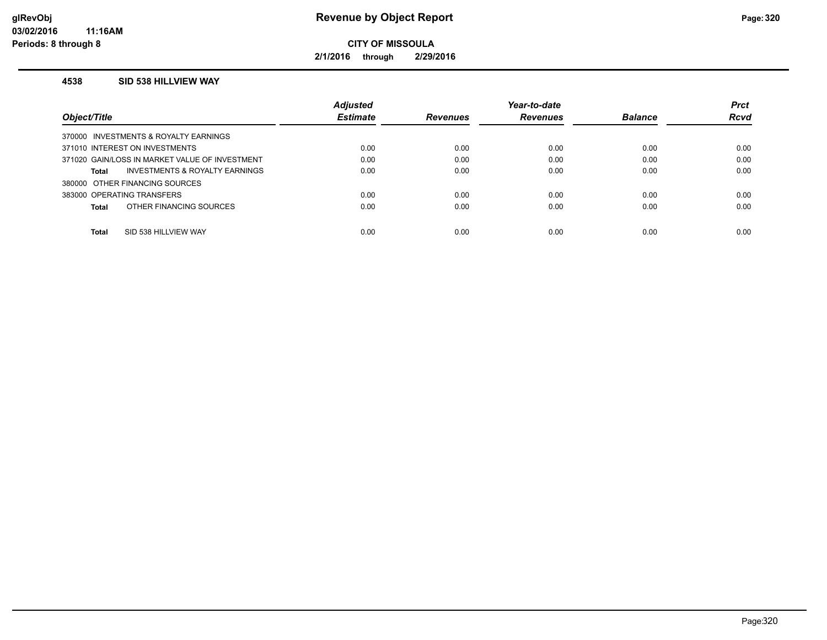**2/1/2016 through 2/29/2016**

#### **4538 SID 538 HILLVIEW WAY**

|                                                | <b>Adjusted</b> |                 | Year-to-date    |                | <b>Prct</b> |
|------------------------------------------------|-----------------|-----------------|-----------------|----------------|-------------|
| Object/Title                                   | <b>Estimate</b> | <b>Revenues</b> | <b>Revenues</b> | <b>Balance</b> | <b>Rcvd</b> |
| 370000 INVESTMENTS & ROYALTY EARNINGS          |                 |                 |                 |                |             |
| 371010 INTEREST ON INVESTMENTS                 | 0.00            | 0.00            | 0.00            | 0.00           | 0.00        |
| 371020 GAIN/LOSS IN MARKET VALUE OF INVESTMENT | 0.00            | 0.00            | 0.00            | 0.00           | 0.00        |
| INVESTMENTS & ROYALTY EARNINGS<br>Total        | 0.00            | 0.00            | 0.00            | 0.00           | 0.00        |
| 380000 OTHER FINANCING SOURCES                 |                 |                 |                 |                |             |
| 383000 OPERATING TRANSFERS                     | 0.00            | 0.00            | 0.00            | 0.00           | 0.00        |
| OTHER FINANCING SOURCES<br>Total               | 0.00            | 0.00            | 0.00            | 0.00           | 0.00        |
|                                                |                 |                 |                 |                |             |
| Total<br>SID 538 HILLVIEW WAY                  | 0.00            | 0.00            | 0.00            | 0.00           | 0.00        |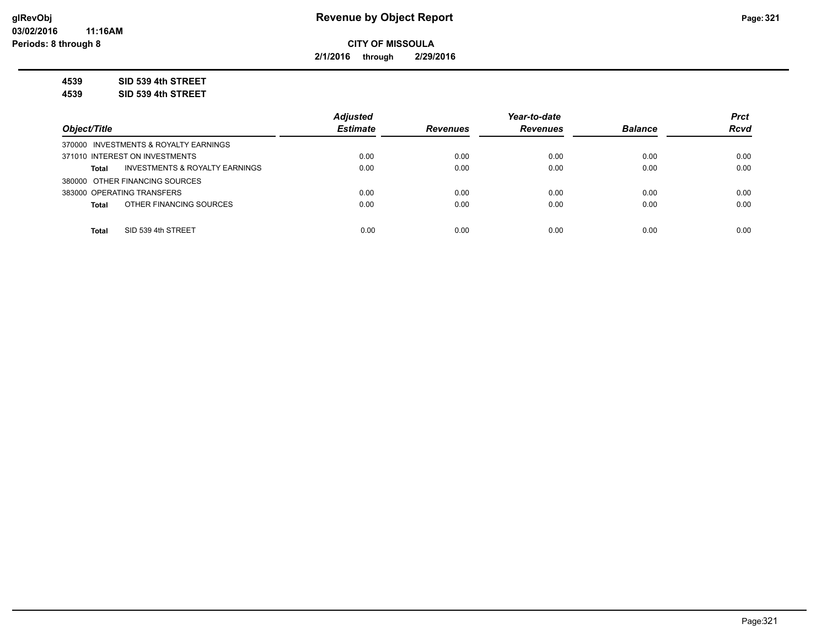**2/1/2016 through 2/29/2016**

**4539 SID 539 4th STREET**

**4539 SID 539 4th STREET**

|                                                           | <b>Adjusted</b> |                 | Year-to-date    |                | <b>Prct</b> |
|-----------------------------------------------------------|-----------------|-----------------|-----------------|----------------|-------------|
| Object/Title                                              | <b>Estimate</b> | <b>Revenues</b> | <b>Revenues</b> | <b>Balance</b> | <b>Rcvd</b> |
| 370000 INVESTMENTS & ROYALTY EARNINGS                     |                 |                 |                 |                |             |
| 371010 INTEREST ON INVESTMENTS                            | 0.00            | 0.00            | 0.00            | 0.00           | 0.00        |
| <b>INVESTMENTS &amp; ROYALTY EARNINGS</b><br><b>Total</b> | 0.00            | 0.00            | 0.00            | 0.00           | 0.00        |
| 380000 OTHER FINANCING SOURCES                            |                 |                 |                 |                |             |
| 383000 OPERATING TRANSFERS                                | 0.00            | 0.00            | 0.00            | 0.00           | 0.00        |
| OTHER FINANCING SOURCES<br><b>Total</b>                   | 0.00            | 0.00            | 0.00            | 0.00           | 0.00        |
|                                                           |                 |                 |                 |                |             |
| SID 539 4th STREET<br><b>Total</b>                        | 0.00            | 0.00            | 0.00            | 0.00           | 0.00        |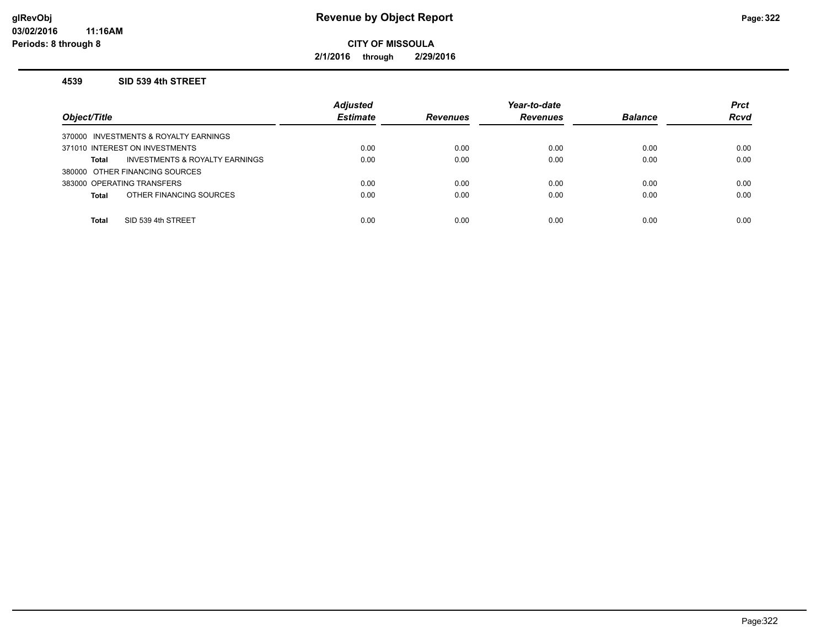**2/1/2016 through 2/29/2016**

#### **4539 SID 539 4th STREET**

| Object/Title                                   | <b>Adjusted</b><br><b>Estimate</b> | <b>Revenues</b> | Year-to-date<br><b>Revenues</b> | <b>Balance</b> | <b>Prct</b><br><b>Rcvd</b> |
|------------------------------------------------|------------------------------------|-----------------|---------------------------------|----------------|----------------------------|
| 370000 INVESTMENTS & ROYALTY EARNINGS          |                                    |                 |                                 |                |                            |
| 371010 INTEREST ON INVESTMENTS                 | 0.00                               | 0.00            | 0.00                            | 0.00           | 0.00                       |
| INVESTMENTS & ROYALTY EARNINGS<br><b>Total</b> | 0.00                               | 0.00            | 0.00                            | 0.00           | 0.00                       |
| 380000 OTHER FINANCING SOURCES                 |                                    |                 |                                 |                |                            |
| 383000 OPERATING TRANSFERS                     | 0.00                               | 0.00            | 0.00                            | 0.00           | 0.00                       |
| OTHER FINANCING SOURCES<br><b>Total</b>        | 0.00                               | 0.00            | 0.00                            | 0.00           | 0.00                       |
|                                                |                                    |                 |                                 |                |                            |
| SID 539 4th STREET<br><b>Total</b>             | 0.00                               | 0.00            | 0.00                            | 0.00           | 0.00                       |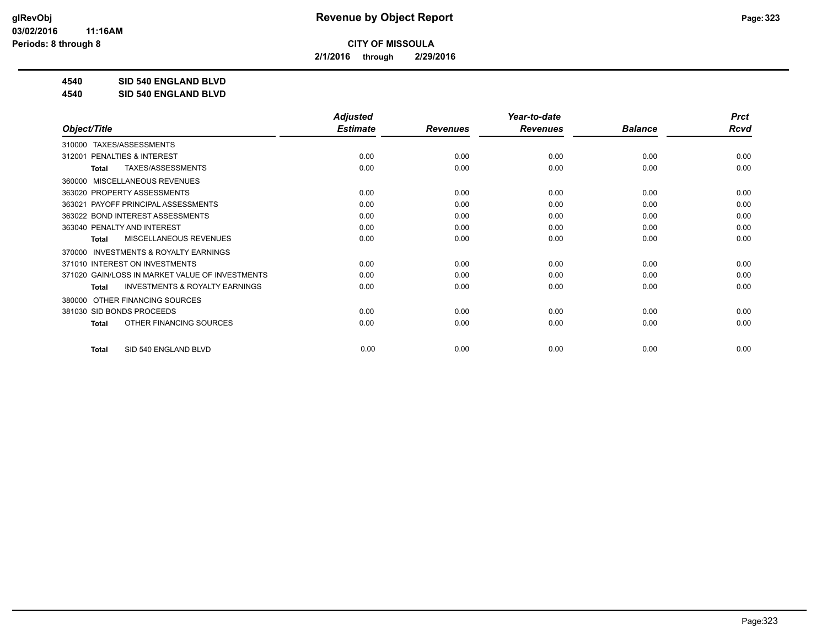**2/1/2016 through 2/29/2016**

**4540 SID 540 ENGLAND BLVD**

**4540 SID 540 ENGLAND BLVD**

|                                                           | <b>Adjusted</b> |                 | Year-to-date    |                | <b>Prct</b> |
|-----------------------------------------------------------|-----------------|-----------------|-----------------|----------------|-------------|
| Object/Title                                              | <b>Estimate</b> | <b>Revenues</b> | <b>Revenues</b> | <b>Balance</b> | <b>Rcvd</b> |
| TAXES/ASSESSMENTS<br>310000                               |                 |                 |                 |                |             |
| <b>PENALTIES &amp; INTEREST</b><br>312001                 | 0.00            | 0.00            | 0.00            | 0.00           | 0.00        |
| TAXES/ASSESSMENTS<br><b>Total</b>                         | 0.00            | 0.00            | 0.00            | 0.00           | 0.00        |
| MISCELLANEOUS REVENUES<br>360000                          |                 |                 |                 |                |             |
| 363020 PROPERTY ASSESSMENTS                               | 0.00            | 0.00            | 0.00            | 0.00           | 0.00        |
| PAYOFF PRINCIPAL ASSESSMENTS<br>363021                    | 0.00            | 0.00            | 0.00            | 0.00           | 0.00        |
| 363022 BOND INTEREST ASSESSMENTS                          | 0.00            | 0.00            | 0.00            | 0.00           | 0.00        |
| 363040 PENALTY AND INTEREST                               | 0.00            | 0.00            | 0.00            | 0.00           | 0.00        |
| <b>MISCELLANEOUS REVENUES</b><br><b>Total</b>             | 0.00            | 0.00            | 0.00            | 0.00           | 0.00        |
| <b>INVESTMENTS &amp; ROYALTY EARNINGS</b><br>370000       |                 |                 |                 |                |             |
| 371010 INTEREST ON INVESTMENTS                            | 0.00            | 0.00            | 0.00            | 0.00           | 0.00        |
| 371020 GAIN/LOSS IN MARKET VALUE OF INVESTMENTS           | 0.00            | 0.00            | 0.00            | 0.00           | 0.00        |
| <b>INVESTMENTS &amp; ROYALTY EARNINGS</b><br><b>Total</b> | 0.00            | 0.00            | 0.00            | 0.00           | 0.00        |
| OTHER FINANCING SOURCES<br>380000                         |                 |                 |                 |                |             |
| 381030 SID BONDS PROCEEDS                                 | 0.00            | 0.00            | 0.00            | 0.00           | 0.00        |
| OTHER FINANCING SOURCES<br><b>Total</b>                   | 0.00            | 0.00            | 0.00            | 0.00           | 0.00        |
|                                                           |                 |                 |                 |                |             |
| SID 540 ENGLAND BLVD<br><b>Total</b>                      | 0.00            | 0.00            | 0.00            | 0.00           | 0.00        |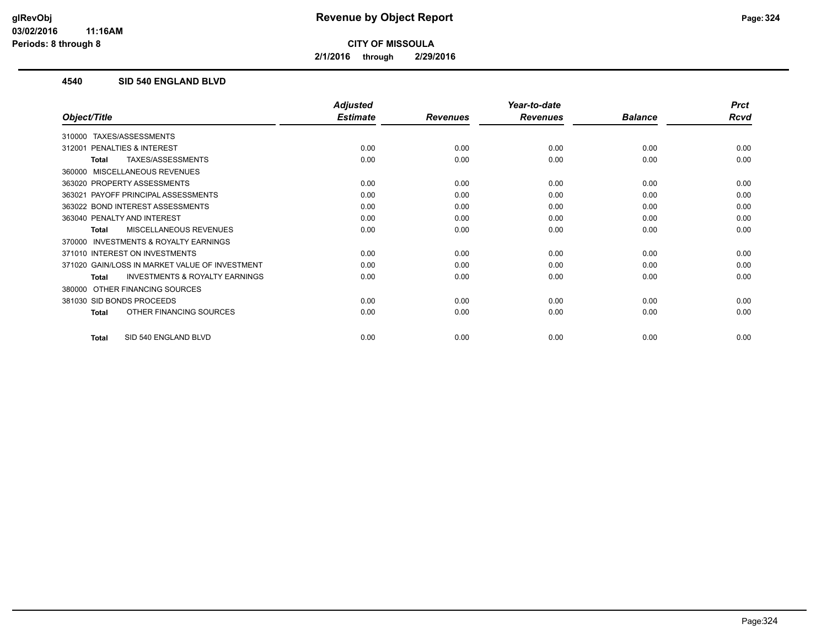**2/1/2016 through 2/29/2016**

### **4540 SID 540 ENGLAND BLVD**

|                                                           | <b>Adjusted</b> |                 | Year-to-date    |                | <b>Prct</b> |
|-----------------------------------------------------------|-----------------|-----------------|-----------------|----------------|-------------|
| Object/Title                                              | <b>Estimate</b> | <b>Revenues</b> | <b>Revenues</b> | <b>Balance</b> | <b>Rcvd</b> |
| TAXES/ASSESSMENTS<br>310000                               |                 |                 |                 |                |             |
| <b>PENALTIES &amp; INTEREST</b><br>312001                 | 0.00            | 0.00            | 0.00            | 0.00           | 0.00        |
| TAXES/ASSESSMENTS<br><b>Total</b>                         | 0.00            | 0.00            | 0.00            | 0.00           | 0.00        |
| 360000 MISCELLANEOUS REVENUES                             |                 |                 |                 |                |             |
| 363020 PROPERTY ASSESSMENTS                               | 0.00            | 0.00            | 0.00            | 0.00           | 0.00        |
| 363021 PAYOFF PRINCIPAL ASSESSMENTS                       | 0.00            | 0.00            | 0.00            | 0.00           | 0.00        |
| 363022 BOND INTEREST ASSESSMENTS                          | 0.00            | 0.00            | 0.00            | 0.00           | 0.00        |
| 363040 PENALTY AND INTEREST                               | 0.00            | 0.00            | 0.00            | 0.00           | 0.00        |
| <b>MISCELLANEOUS REVENUES</b><br><b>Total</b>             | 0.00            | 0.00            | 0.00            | 0.00           | 0.00        |
| <b>INVESTMENTS &amp; ROYALTY EARNINGS</b><br>370000       |                 |                 |                 |                |             |
| 371010 INTEREST ON INVESTMENTS                            | 0.00            | 0.00            | 0.00            | 0.00           | 0.00        |
| 371020 GAIN/LOSS IN MARKET VALUE OF INVESTMENT            | 0.00            | 0.00            | 0.00            | 0.00           | 0.00        |
| <b>INVESTMENTS &amp; ROYALTY EARNINGS</b><br><b>Total</b> | 0.00            | 0.00            | 0.00            | 0.00           | 0.00        |
| OTHER FINANCING SOURCES<br>380000                         |                 |                 |                 |                |             |
| 381030 SID BONDS PROCEEDS                                 | 0.00            | 0.00            | 0.00            | 0.00           | 0.00        |
| OTHER FINANCING SOURCES<br><b>Total</b>                   | 0.00            | 0.00            | 0.00            | 0.00           | 0.00        |
|                                                           |                 |                 |                 |                |             |
| SID 540 ENGLAND BLVD<br><b>Total</b>                      | 0.00            | 0.00            | 0.00            | 0.00           | 0.00        |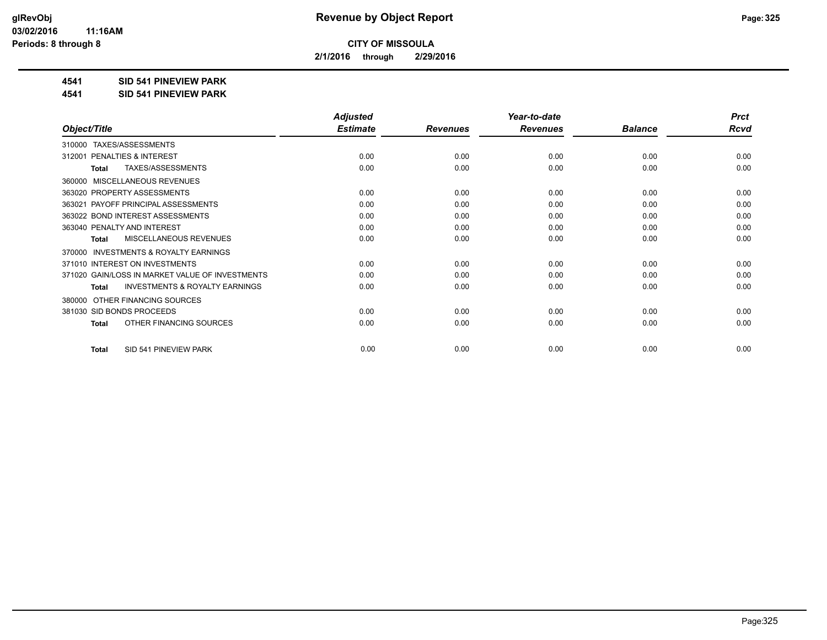**2/1/2016 through 2/29/2016**

#### **4541 SID 541 PINEVIEW PARK**

**4541 SID 541 PINEVIEW PARK**

|                                                           | <b>Adjusted</b> |                 | Year-to-date    |                | <b>Prct</b> |
|-----------------------------------------------------------|-----------------|-----------------|-----------------|----------------|-------------|
| Object/Title                                              | <b>Estimate</b> | <b>Revenues</b> | <b>Revenues</b> | <b>Balance</b> | <b>Rcvd</b> |
| TAXES/ASSESSMENTS<br>310000                               |                 |                 |                 |                |             |
| <b>PENALTIES &amp; INTEREST</b><br>312001                 | 0.00            | 0.00            | 0.00            | 0.00           | 0.00        |
| TAXES/ASSESSMENTS<br><b>Total</b>                         | 0.00            | 0.00            | 0.00            | 0.00           | 0.00        |
| MISCELLANEOUS REVENUES<br>360000                          |                 |                 |                 |                |             |
| 363020 PROPERTY ASSESSMENTS                               | 0.00            | 0.00            | 0.00            | 0.00           | 0.00        |
| PAYOFF PRINCIPAL ASSESSMENTS<br>363021                    | 0.00            | 0.00            | 0.00            | 0.00           | 0.00        |
| 363022 BOND INTEREST ASSESSMENTS                          | 0.00            | 0.00            | 0.00            | 0.00           | 0.00        |
| 363040 PENALTY AND INTEREST                               | 0.00            | 0.00            | 0.00            | 0.00           | 0.00        |
| <b>MISCELLANEOUS REVENUES</b><br><b>Total</b>             | 0.00            | 0.00            | 0.00            | 0.00           | 0.00        |
| <b>INVESTMENTS &amp; ROYALTY EARNINGS</b><br>370000       |                 |                 |                 |                |             |
| 371010 INTEREST ON INVESTMENTS                            | 0.00            | 0.00            | 0.00            | 0.00           | 0.00        |
| 371020 GAIN/LOSS IN MARKET VALUE OF INVESTMENTS           | 0.00            | 0.00            | 0.00            | 0.00           | 0.00        |
| <b>INVESTMENTS &amp; ROYALTY EARNINGS</b><br><b>Total</b> | 0.00            | 0.00            | 0.00            | 0.00           | 0.00        |
| OTHER FINANCING SOURCES<br>380000                         |                 |                 |                 |                |             |
| 381030 SID BONDS PROCEEDS                                 | 0.00            | 0.00            | 0.00            | 0.00           | 0.00        |
| OTHER FINANCING SOURCES<br><b>Total</b>                   | 0.00            | 0.00            | 0.00            | 0.00           | 0.00        |
| SID 541 PINEVIEW PARK<br><b>Total</b>                     | 0.00            | 0.00            | 0.00            | 0.00           | 0.00        |
|                                                           |                 |                 |                 |                |             |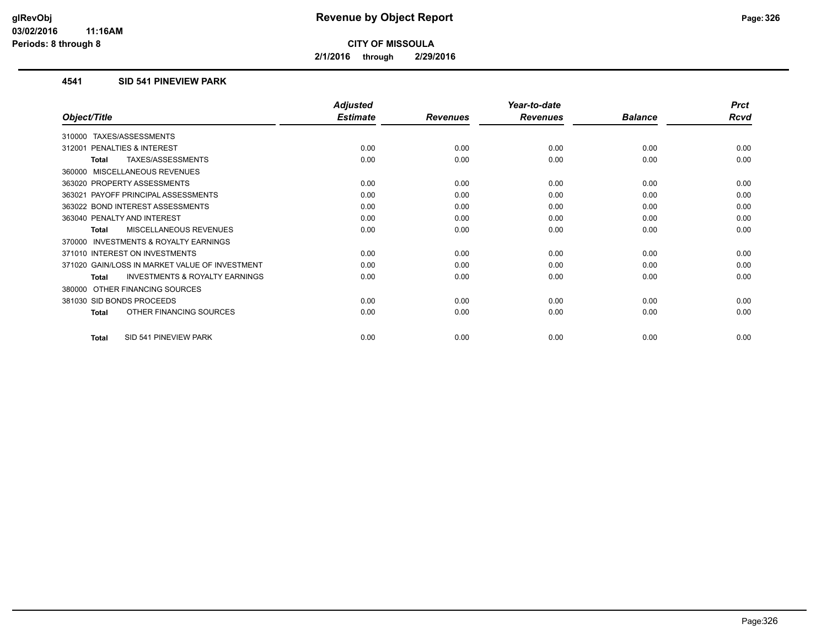**2/1/2016 through 2/29/2016**

#### **4541 SID 541 PINEVIEW PARK**

|                                                           | <b>Adjusted</b> |                 | Year-to-date    |                | <b>Prct</b> |
|-----------------------------------------------------------|-----------------|-----------------|-----------------|----------------|-------------|
| Object/Title                                              | <b>Estimate</b> | <b>Revenues</b> | <b>Revenues</b> | <b>Balance</b> | <b>Rcvd</b> |
| TAXES/ASSESSMENTS<br>310000                               |                 |                 |                 |                |             |
| <b>PENALTIES &amp; INTEREST</b><br>312001                 | 0.00            | 0.00            | 0.00            | 0.00           | 0.00        |
| TAXES/ASSESSMENTS<br><b>Total</b>                         | 0.00            | 0.00            | 0.00            | 0.00           | 0.00        |
| MISCELLANEOUS REVENUES<br>360000                          |                 |                 |                 |                |             |
| 363020 PROPERTY ASSESSMENTS                               | 0.00            | 0.00            | 0.00            | 0.00           | 0.00        |
| PAYOFF PRINCIPAL ASSESSMENTS<br>363021                    | 0.00            | 0.00            | 0.00            | 0.00           | 0.00        |
| 363022 BOND INTEREST ASSESSMENTS                          | 0.00            | 0.00            | 0.00            | 0.00           | 0.00        |
| 363040 PENALTY AND INTEREST                               | 0.00            | 0.00            | 0.00            | 0.00           | 0.00        |
| <b>MISCELLANEOUS REVENUES</b><br>Total                    | 0.00            | 0.00            | 0.00            | 0.00           | 0.00        |
| INVESTMENTS & ROYALTY EARNINGS<br>370000                  |                 |                 |                 |                |             |
| 371010 INTEREST ON INVESTMENTS                            | 0.00            | 0.00            | 0.00            | 0.00           | 0.00        |
| 371020 GAIN/LOSS IN MARKET VALUE OF INVESTMENT            | 0.00            | 0.00            | 0.00            | 0.00           | 0.00        |
| <b>INVESTMENTS &amp; ROYALTY EARNINGS</b><br><b>Total</b> | 0.00            | 0.00            | 0.00            | 0.00           | 0.00        |
| OTHER FINANCING SOURCES<br>380000                         |                 |                 |                 |                |             |
| 381030 SID BONDS PROCEEDS                                 | 0.00            | 0.00            | 0.00            | 0.00           | 0.00        |
| OTHER FINANCING SOURCES<br>Total                          | 0.00            | 0.00            | 0.00            | 0.00           | 0.00        |
| SID 541 PINEVIEW PARK<br><b>Total</b>                     | 0.00            | 0.00            | 0.00            | 0.00           | 0.00        |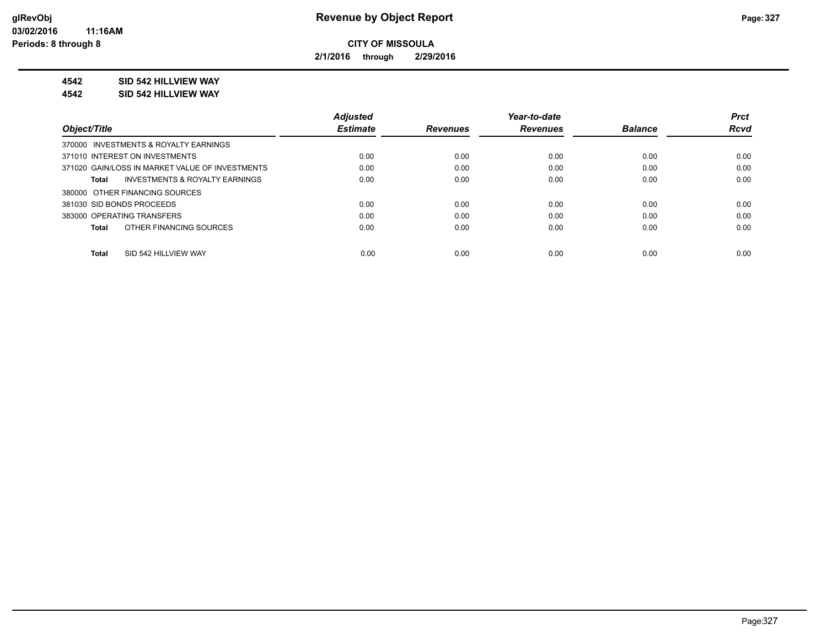**2/1/2016 through 2/29/2016**

#### **4542 SID 542 HILLVIEW WAY**

**4542 SID 542 HILLVIEW WAY**

|                                                    | <b>Adjusted</b> |                 | Year-to-date    |                | <b>Prct</b> |
|----------------------------------------------------|-----------------|-----------------|-----------------|----------------|-------------|
| Object/Title                                       | <b>Estimate</b> | <b>Revenues</b> | <b>Revenues</b> | <b>Balance</b> | <b>Rcvd</b> |
| 370000 INVESTMENTS & ROYALTY EARNINGS              |                 |                 |                 |                |             |
| 371010 INTEREST ON INVESTMENTS                     | 0.00            | 0.00            | 0.00            | 0.00           | 0.00        |
| 371020 GAIN/LOSS IN MARKET VALUE OF INVESTMENTS    | 0.00            | 0.00            | 0.00            | 0.00           | 0.00        |
| <b>INVESTMENTS &amp; ROYALTY EARNINGS</b><br>Total | 0.00            | 0.00            | 0.00            | 0.00           | 0.00        |
| 380000 OTHER FINANCING SOURCES                     |                 |                 |                 |                |             |
| 381030 SID BONDS PROCEEDS                          | 0.00            | 0.00            | 0.00            | 0.00           | 0.00        |
| 383000 OPERATING TRANSFERS                         | 0.00            | 0.00            | 0.00            | 0.00           | 0.00        |
| OTHER FINANCING SOURCES<br>Total                   | 0.00            | 0.00            | 0.00            | 0.00           | 0.00        |
|                                                    |                 |                 |                 |                |             |
| SID 542 HILLVIEW WAY<br>Total                      | 0.00            | 0.00            | 0.00            | 0.00           | 0.00        |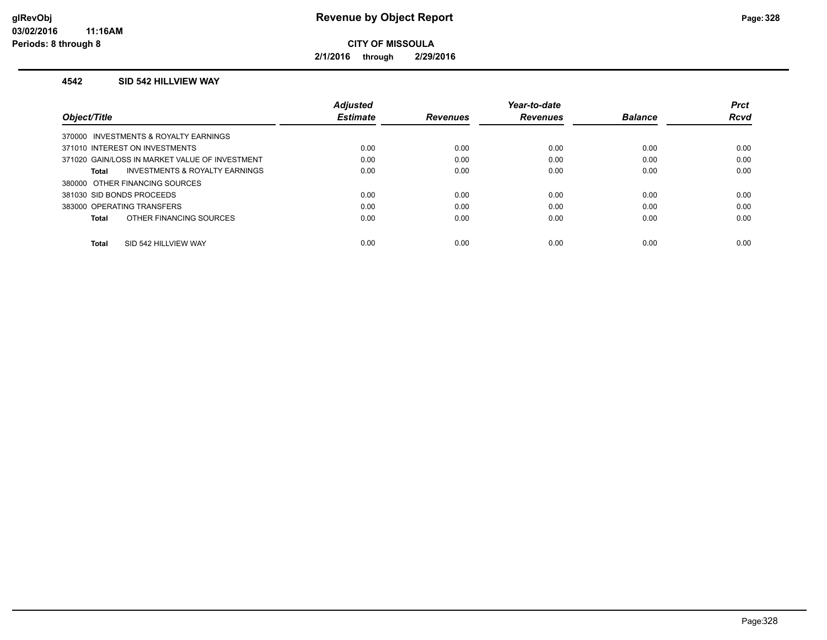**2/1/2016 through 2/29/2016**

#### **4542 SID 542 HILLVIEW WAY**

|                                                | <b>Adjusted</b> |                 | Year-to-date    |                | <b>Prct</b> |
|------------------------------------------------|-----------------|-----------------|-----------------|----------------|-------------|
| Object/Title                                   | <b>Estimate</b> | <b>Revenues</b> | <b>Revenues</b> | <b>Balance</b> | Rcvd        |
| 370000 INVESTMENTS & ROYALTY EARNINGS          |                 |                 |                 |                |             |
| 371010 INTEREST ON INVESTMENTS                 | 0.00            | 0.00            | 0.00            | 0.00           | 0.00        |
| 371020 GAIN/LOSS IN MARKET VALUE OF INVESTMENT | 0.00            | 0.00            | 0.00            | 0.00           | 0.00        |
| INVESTMENTS & ROYALTY EARNINGS<br>Total        | 0.00            | 0.00            | 0.00            | 0.00           | 0.00        |
| 380000 OTHER FINANCING SOURCES                 |                 |                 |                 |                |             |
| 381030 SID BONDS PROCEEDS                      | 0.00            | 0.00            | 0.00            | 0.00           | 0.00        |
| 383000 OPERATING TRANSFERS                     | 0.00            | 0.00            | 0.00            | 0.00           | 0.00        |
| OTHER FINANCING SOURCES<br>Total               | 0.00            | 0.00            | 0.00            | 0.00           | 0.00        |
|                                                |                 |                 |                 |                |             |
| SID 542 HILLVIEW WAY<br><b>Total</b>           | 0.00            | 0.00            | 0.00            | 0.00           | 0.00        |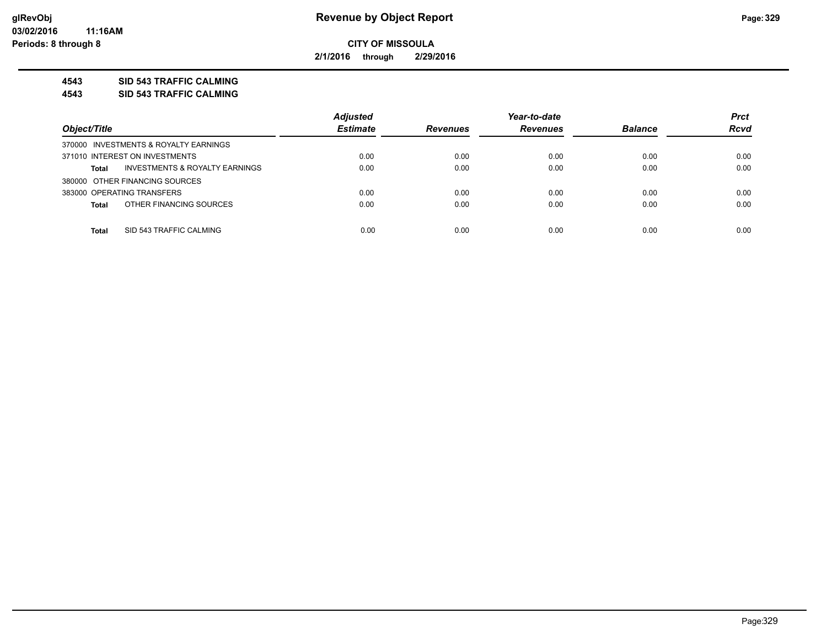**2/1/2016 through 2/29/2016**

#### **4543 SID 543 TRAFFIC CALMING**

**4543 SID 543 TRAFFIC CALMING**

|                                                | <b>Adjusted</b> |                 | Year-to-date    |                | <b>Prct</b> |
|------------------------------------------------|-----------------|-----------------|-----------------|----------------|-------------|
| Object/Title                                   | <b>Estimate</b> | <b>Revenues</b> | <b>Revenues</b> | <b>Balance</b> | <b>Rcvd</b> |
| 370000 INVESTMENTS & ROYALTY EARNINGS          |                 |                 |                 |                |             |
| 371010 INTEREST ON INVESTMENTS                 | 0.00            | 0.00            | 0.00            | 0.00           | 0.00        |
| INVESTMENTS & ROYALTY EARNINGS<br><b>Total</b> | 0.00            | 0.00            | 0.00            | 0.00           | 0.00        |
| 380000 OTHER FINANCING SOURCES                 |                 |                 |                 |                |             |
| 383000 OPERATING TRANSFERS                     | 0.00            | 0.00            | 0.00            | 0.00           | 0.00        |
| OTHER FINANCING SOURCES<br><b>Total</b>        | 0.00            | 0.00            | 0.00            | 0.00           | 0.00        |
|                                                |                 |                 |                 |                |             |
| SID 543 TRAFFIC CALMING<br><b>Total</b>        | 0.00            | 0.00            | 0.00            | 0.00           | 0.00        |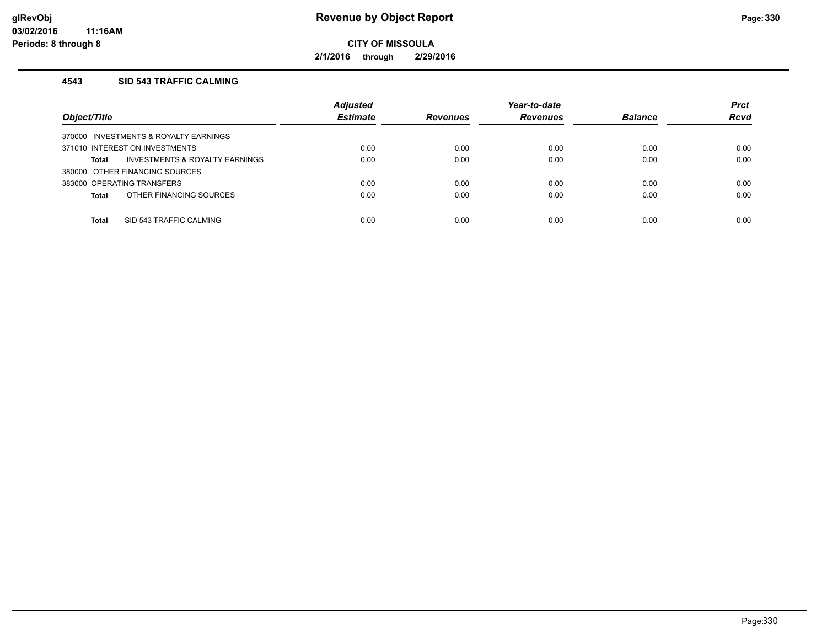**2/1/2016 through 2/29/2016**

## **4543 SID 543 TRAFFIC CALMING**

| Object/Title                            | <b>Adjusted</b><br><b>Estimate</b> | <b>Revenues</b> | Year-to-date<br><b>Revenues</b> | <b>Balance</b> | <b>Prct</b><br><b>Rcvd</b> |
|-----------------------------------------|------------------------------------|-----------------|---------------------------------|----------------|----------------------------|
| 370000 INVESTMENTS & ROYALTY EARNINGS   |                                    |                 |                                 |                |                            |
| 371010 INTEREST ON INVESTMENTS          | 0.00                               | 0.00            | 0.00                            | 0.00           | 0.00                       |
| INVESTMENTS & ROYALTY EARNINGS<br>Total | 0.00                               | 0.00            | 0.00                            | 0.00           | 0.00                       |
| 380000 OTHER FINANCING SOURCES          |                                    |                 |                                 |                |                            |
| 383000 OPERATING TRANSFERS              | 0.00                               | 0.00            | 0.00                            | 0.00           | 0.00                       |
| OTHER FINANCING SOURCES<br><b>Total</b> | 0.00                               | 0.00            | 0.00                            | 0.00           | 0.00                       |
|                                         |                                    |                 |                                 |                |                            |
| SID 543 TRAFFIC CALMING<br><b>Total</b> | 0.00                               | 0.00            | 0.00                            | 0.00           | 0.00                       |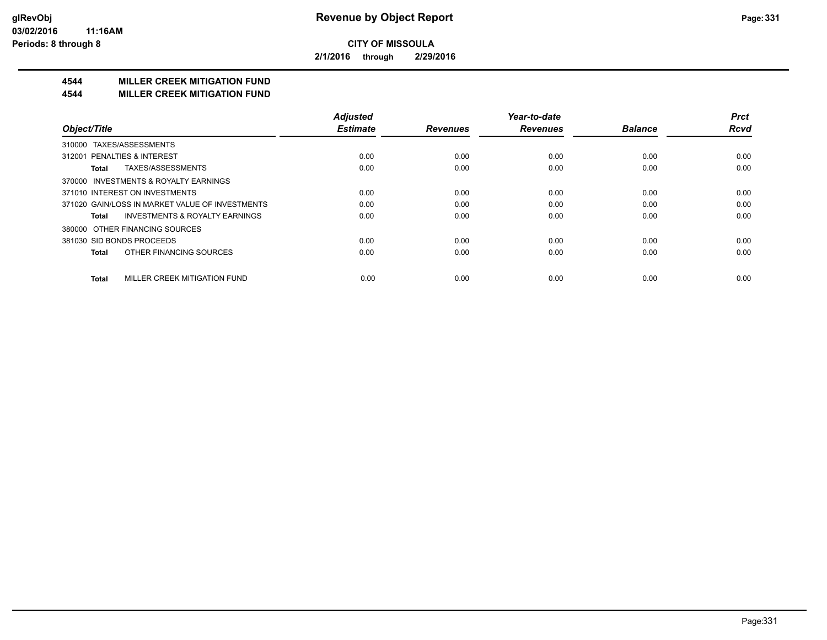**2/1/2016 through 2/29/2016**

## **4544 MILLER CREEK MITIGATION FUND**

#### **4544 MILLER CREEK MITIGATION FUND**

|                                                    | <b>Adjusted</b> |                 | Year-to-date    |                | <b>Prct</b> |
|----------------------------------------------------|-----------------|-----------------|-----------------|----------------|-------------|
| Object/Title                                       | <b>Estimate</b> | <b>Revenues</b> | <b>Revenues</b> | <b>Balance</b> | <b>Rcvd</b> |
| TAXES/ASSESSMENTS<br>310000                        |                 |                 |                 |                |             |
| 312001 PENALTIES & INTEREST                        | 0.00            | 0.00            | 0.00            | 0.00           | 0.00        |
| TAXES/ASSESSMENTS<br>Total                         | 0.00            | 0.00            | 0.00            | 0.00           | 0.00        |
| 370000 INVESTMENTS & ROYALTY EARNINGS              |                 |                 |                 |                |             |
| 371010 INTEREST ON INVESTMENTS                     | 0.00            | 0.00            | 0.00            | 0.00           | 0.00        |
| 371020 GAIN/LOSS IN MARKET VALUE OF INVESTMENTS    | 0.00            | 0.00            | 0.00            | 0.00           | 0.00        |
| <b>INVESTMENTS &amp; ROYALTY EARNINGS</b><br>Total | 0.00            | 0.00            | 0.00            | 0.00           | 0.00        |
| OTHER FINANCING SOURCES<br>380000                  |                 |                 |                 |                |             |
| 381030 SID BONDS PROCEEDS                          | 0.00            | 0.00            | 0.00            | 0.00           | 0.00        |
| OTHER FINANCING SOURCES<br><b>Total</b>            | 0.00            | 0.00            | 0.00            | 0.00           | 0.00        |
| MILLER CREEK MITIGATION FUND<br><b>Total</b>       | 0.00            | 0.00            | 0.00            | 0.00           | 0.00        |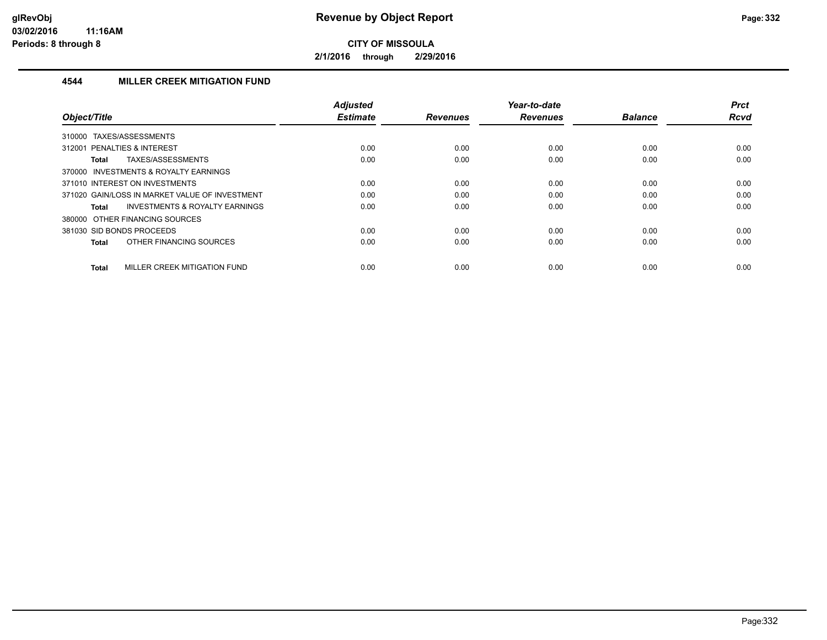**2/1/2016 through 2/29/2016**

## **4544 MILLER CREEK MITIGATION FUND**

| Object/Title                                       | Adjusted<br><b>Estimate</b> | <b>Revenues</b> | Year-to-date<br><b>Revenues</b> | <b>Balance</b> | <b>Prct</b><br><b>Rcvd</b> |
|----------------------------------------------------|-----------------------------|-----------------|---------------------------------|----------------|----------------------------|
| TAXES/ASSESSMENTS<br>310000                        |                             |                 |                                 |                |                            |
| 312001 PENALTIES & INTEREST                        | 0.00                        | 0.00            | 0.00                            | 0.00           | 0.00                       |
| TAXES/ASSESSMENTS<br>Total                         | 0.00                        | 0.00            | 0.00                            | 0.00           | 0.00                       |
| 370000 INVESTMENTS & ROYALTY EARNINGS              |                             |                 |                                 |                |                            |
| 371010 INTEREST ON INVESTMENTS                     | 0.00                        | 0.00            | 0.00                            | 0.00           | 0.00                       |
| 371020 GAIN/LOSS IN MARKET VALUE OF INVESTMENT     | 0.00                        | 0.00            | 0.00                            | 0.00           | 0.00                       |
| <b>INVESTMENTS &amp; ROYALTY EARNINGS</b><br>Total | 0.00                        | 0.00            | 0.00                            | 0.00           | 0.00                       |
| 380000 OTHER FINANCING SOURCES                     |                             |                 |                                 |                |                            |
| 381030 SID BONDS PROCEEDS                          | 0.00                        | 0.00            | 0.00                            | 0.00           | 0.00                       |
| OTHER FINANCING SOURCES<br>Total                   | 0.00                        | 0.00            | 0.00                            | 0.00           | 0.00                       |
| MILLER CREEK MITIGATION FUND<br><b>Total</b>       | 0.00                        | 0.00            | 0.00                            | 0.00           | 0.00                       |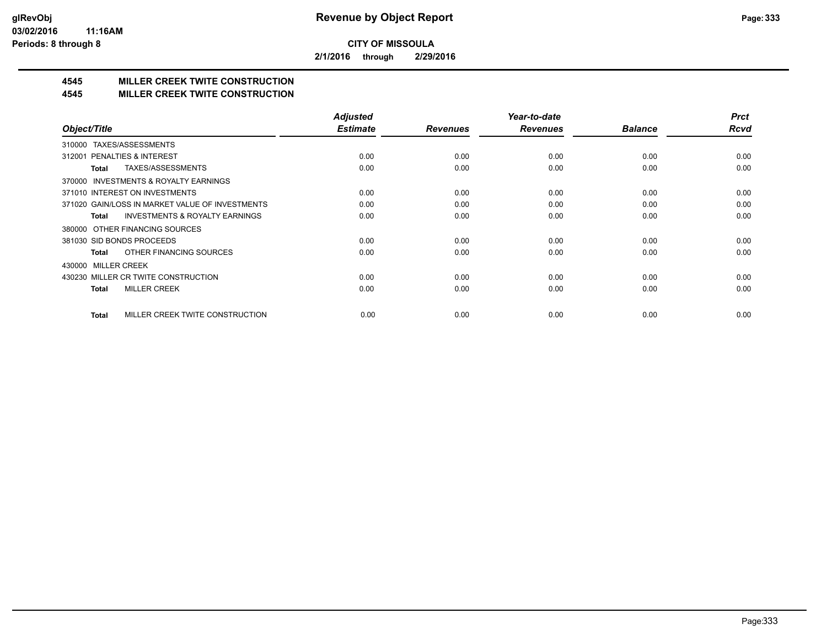**2/1/2016 through 2/29/2016**

## **4545 MILLER CREEK TWITE CONSTRUCTION**

#### **4545 MILLER CREEK TWITE CONSTRUCTION**

|                                                    | <b>Adjusted</b> |                 | Year-to-date    |                | <b>Prct</b> |
|----------------------------------------------------|-----------------|-----------------|-----------------|----------------|-------------|
| Object/Title                                       | <b>Estimate</b> | <b>Revenues</b> | <b>Revenues</b> | <b>Balance</b> | <b>Rcvd</b> |
| 310000 TAXES/ASSESSMENTS                           |                 |                 |                 |                |             |
| PENALTIES & INTEREST<br>312001                     | 0.00            | 0.00            | 0.00            | 0.00           | 0.00        |
| TAXES/ASSESSMENTS<br>Total                         | 0.00            | 0.00            | 0.00            | 0.00           | 0.00        |
| 370000 INVESTMENTS & ROYALTY EARNINGS              |                 |                 |                 |                |             |
| 371010 INTEREST ON INVESTMENTS                     | 0.00            | 0.00            | 0.00            | 0.00           | 0.00        |
| 371020 GAIN/LOSS IN MARKET VALUE OF INVESTMENTS    | 0.00            | 0.00            | 0.00            | 0.00           | 0.00        |
| <b>INVESTMENTS &amp; ROYALTY EARNINGS</b><br>Total | 0.00            | 0.00            | 0.00            | 0.00           | 0.00        |
| OTHER FINANCING SOURCES<br>380000                  |                 |                 |                 |                |             |
| 381030 SID BONDS PROCEEDS                          | 0.00            | 0.00            | 0.00            | 0.00           | 0.00        |
| OTHER FINANCING SOURCES<br>Total                   | 0.00            | 0.00            | 0.00            | 0.00           | 0.00        |
| 430000 MILLER CREEK                                |                 |                 |                 |                |             |
| 430230 MILLER CR TWITE CONSTRUCTION                | 0.00            | 0.00            | 0.00            | 0.00           | 0.00        |
| <b>MILLER CREEK</b><br>Total                       | 0.00            | 0.00            | 0.00            | 0.00           | 0.00        |
|                                                    |                 |                 |                 |                |             |
| MILLER CREEK TWITE CONSTRUCTION<br><b>Total</b>    | 0.00            | 0.00            | 0.00            | 0.00           | 0.00        |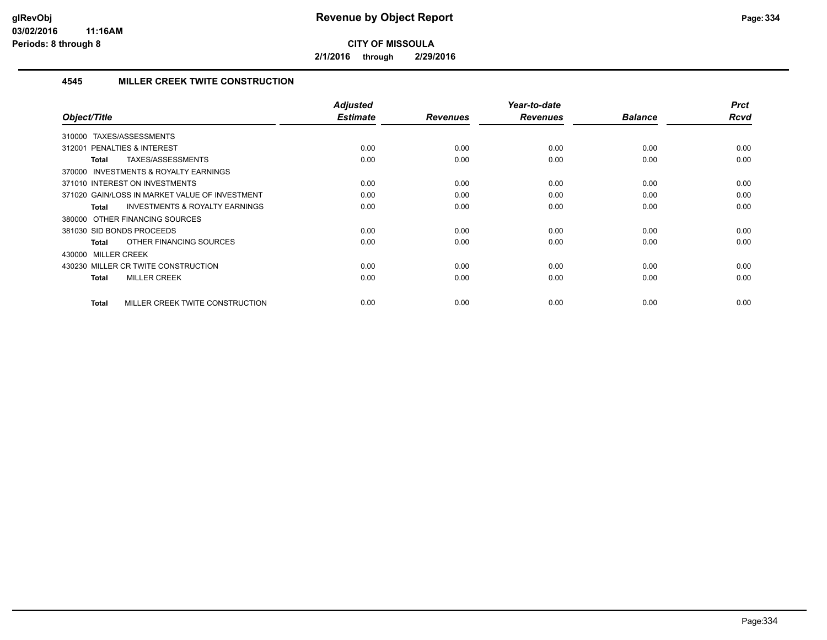**2/1/2016 through 2/29/2016**

## **4545 MILLER CREEK TWITE CONSTRUCTION**

| Object/Title                                              | Adjusted<br><b>Estimate</b> | <b>Revenues</b> | Year-to-date<br><b>Revenues</b> | <b>Balance</b> | <b>Prct</b><br>Rcvd |
|-----------------------------------------------------------|-----------------------------|-----------------|---------------------------------|----------------|---------------------|
|                                                           |                             |                 |                                 |                |                     |
| TAXES/ASSESSMENTS<br>310000                               |                             |                 |                                 |                |                     |
| PENALTIES & INTEREST<br>312001                            | 0.00                        | 0.00            | 0.00                            | 0.00           | 0.00                |
| TAXES/ASSESSMENTS<br>Total                                | 0.00                        | 0.00            | 0.00                            | 0.00           | 0.00                |
| 370000 INVESTMENTS & ROYALTY EARNINGS                     |                             |                 |                                 |                |                     |
| 371010 INTEREST ON INVESTMENTS                            | 0.00                        | 0.00            | 0.00                            | 0.00           | 0.00                |
| 371020 GAIN/LOSS IN MARKET VALUE OF INVESTMENT            | 0.00                        | 0.00            | 0.00                            | 0.00           | 0.00                |
| <b>INVESTMENTS &amp; ROYALTY EARNINGS</b><br><b>Total</b> | 0.00                        | 0.00            | 0.00                            | 0.00           | 0.00                |
| 380000 OTHER FINANCING SOURCES                            |                             |                 |                                 |                |                     |
| 381030 SID BONDS PROCEEDS                                 | 0.00                        | 0.00            | 0.00                            | 0.00           | 0.00                |
| OTHER FINANCING SOURCES<br><b>Total</b>                   | 0.00                        | 0.00            | 0.00                            | 0.00           | 0.00                |
| 430000 MILLER CREEK                                       |                             |                 |                                 |                |                     |
| 430230 MILLER CR TWITE CONSTRUCTION                       | 0.00                        | 0.00            | 0.00                            | 0.00           | 0.00                |
| <b>MILLER CREEK</b><br><b>Total</b>                       | 0.00                        | 0.00            | 0.00                            | 0.00           | 0.00                |
|                                                           |                             |                 |                                 |                |                     |
| MILLER CREEK TWITE CONSTRUCTION<br><b>Total</b>           | 0.00                        | 0.00            | 0.00                            | 0.00           | 0.00                |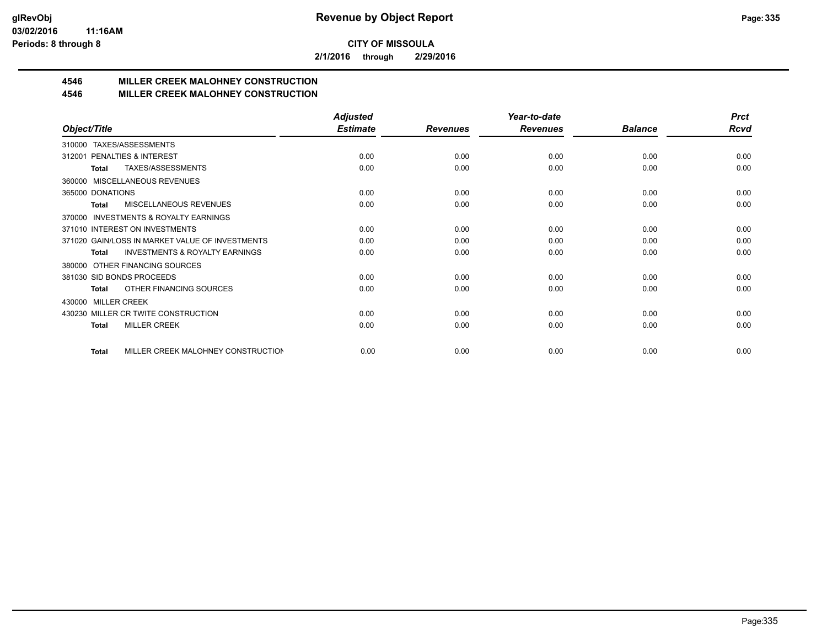**2/1/2016 through 2/29/2016**

## **4546 MILLER CREEK MALOHNEY CONSTRUCTION**

## **4546 MILLER CREEK MALOHNEY CONSTRUCTION**

|                                                           | <b>Adjusted</b> |                 | Year-to-date    |                | <b>Prct</b> |
|-----------------------------------------------------------|-----------------|-----------------|-----------------|----------------|-------------|
| Object/Title                                              | <b>Estimate</b> | <b>Revenues</b> | <b>Revenues</b> | <b>Balance</b> | Rcvd        |
| TAXES/ASSESSMENTS<br>310000                               |                 |                 |                 |                |             |
| PENALTIES & INTEREST<br>312001                            | 0.00            | 0.00            | 0.00            | 0.00           | 0.00        |
| TAXES/ASSESSMENTS<br>Total                                | 0.00            | 0.00            | 0.00            | 0.00           | 0.00        |
| MISCELLANEOUS REVENUES<br>360000                          |                 |                 |                 |                |             |
| 365000 DONATIONS                                          | 0.00            | 0.00            | 0.00            | 0.00           | 0.00        |
| <b>MISCELLANEOUS REVENUES</b><br><b>Total</b>             | 0.00            | 0.00            | 0.00            | 0.00           | 0.00        |
| <b>INVESTMENTS &amp; ROYALTY EARNINGS</b><br>370000       |                 |                 |                 |                |             |
| 371010 INTEREST ON INVESTMENTS                            | 0.00            | 0.00            | 0.00            | 0.00           | 0.00        |
| 371020 GAIN/LOSS IN MARKET VALUE OF INVESTMENTS           | 0.00            | 0.00            | 0.00            | 0.00           | 0.00        |
| <b>INVESTMENTS &amp; ROYALTY EARNINGS</b><br><b>Total</b> | 0.00            | 0.00            | 0.00            | 0.00           | 0.00        |
| OTHER FINANCING SOURCES<br>380000                         |                 |                 |                 |                |             |
| 381030 SID BONDS PROCEEDS                                 | 0.00            | 0.00            | 0.00            | 0.00           | 0.00        |
| OTHER FINANCING SOURCES<br>Total                          | 0.00            | 0.00            | 0.00            | 0.00           | 0.00        |
| <b>MILLER CREEK</b><br>430000                             |                 |                 |                 |                |             |
| 430230 MILLER CR TWITE CONSTRUCTION                       | 0.00            | 0.00            | 0.00            | 0.00           | 0.00        |
| <b>MILLER CREEK</b><br><b>Total</b>                       | 0.00            | 0.00            | 0.00            | 0.00           | 0.00        |
|                                                           |                 |                 |                 |                |             |
| MILLER CREEK MALOHNEY CONSTRUCTION<br><b>Total</b>        | 0.00            | 0.00            | 0.00            | 0.00           | 0.00        |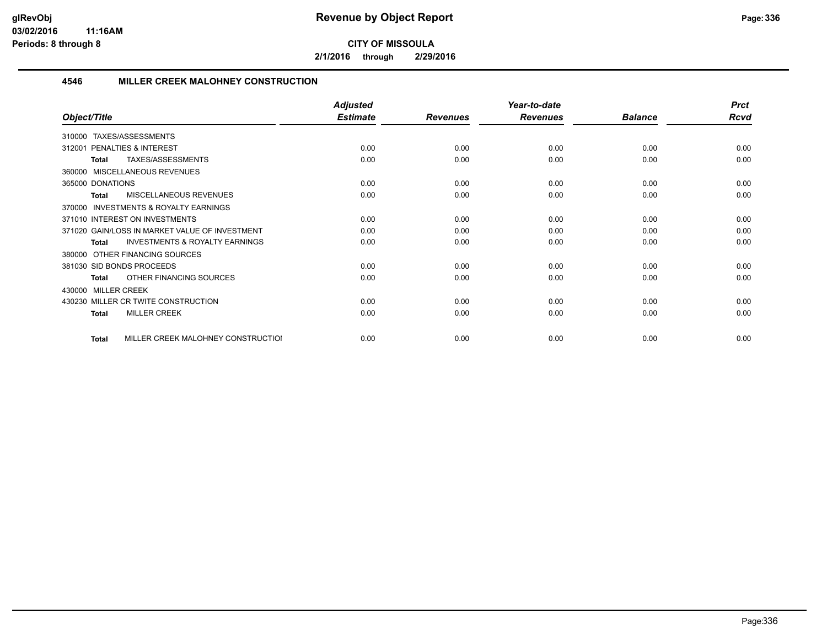**2/1/2016 through 2/29/2016**

## **4546 MILLER CREEK MALOHNEY CONSTRUCTION**

|                                                           | <b>Adjusted</b> |                 | Year-to-date    |                | <b>Prct</b> |
|-----------------------------------------------------------|-----------------|-----------------|-----------------|----------------|-------------|
| Object/Title                                              | <b>Estimate</b> | <b>Revenues</b> | <b>Revenues</b> | <b>Balance</b> | <b>Rcvd</b> |
| <b>TAXES/ASSESSMENTS</b><br>310000                        |                 |                 |                 |                |             |
| PENALTIES & INTEREST<br>312001                            | 0.00            | 0.00            | 0.00            | 0.00           | 0.00        |
| TAXES/ASSESSMENTS<br><b>Total</b>                         | 0.00            | 0.00            | 0.00            | 0.00           | 0.00        |
| 360000 MISCELLANEOUS REVENUES                             |                 |                 |                 |                |             |
| 365000 DONATIONS                                          | 0.00            | 0.00            | 0.00            | 0.00           | 0.00        |
| <b>MISCELLANEOUS REVENUES</b><br><b>Total</b>             | 0.00            | 0.00            | 0.00            | 0.00           | 0.00        |
| INVESTMENTS & ROYALTY EARNINGS<br>370000                  |                 |                 |                 |                |             |
| 371010 INTEREST ON INVESTMENTS                            | 0.00            | 0.00            | 0.00            | 0.00           | 0.00        |
| 371020 GAIN/LOSS IN MARKET VALUE OF INVESTMENT            | 0.00            | 0.00            | 0.00            | 0.00           | 0.00        |
| <b>INVESTMENTS &amp; ROYALTY EARNINGS</b><br><b>Total</b> | 0.00            | 0.00            | 0.00            | 0.00           | 0.00        |
| 380000 OTHER FINANCING SOURCES                            |                 |                 |                 |                |             |
| 381030 SID BONDS PROCEEDS                                 | 0.00            | 0.00            | 0.00            | 0.00           | 0.00        |
| OTHER FINANCING SOURCES<br><b>Total</b>                   | 0.00            | 0.00            | 0.00            | 0.00           | 0.00        |
| <b>MILLER CREEK</b><br>430000                             |                 |                 |                 |                |             |
| 430230 MILLER CR TWITE CONSTRUCTION                       | 0.00            | 0.00            | 0.00            | 0.00           | 0.00        |
| <b>MILLER CREEK</b><br><b>Total</b>                       | 0.00            | 0.00            | 0.00            | 0.00           | 0.00        |
|                                                           |                 |                 |                 |                |             |
| MILLER CREEK MALOHNEY CONSTRUCTIOI<br><b>Total</b>        | 0.00            | 0.00            | 0.00            | 0.00           | 0.00        |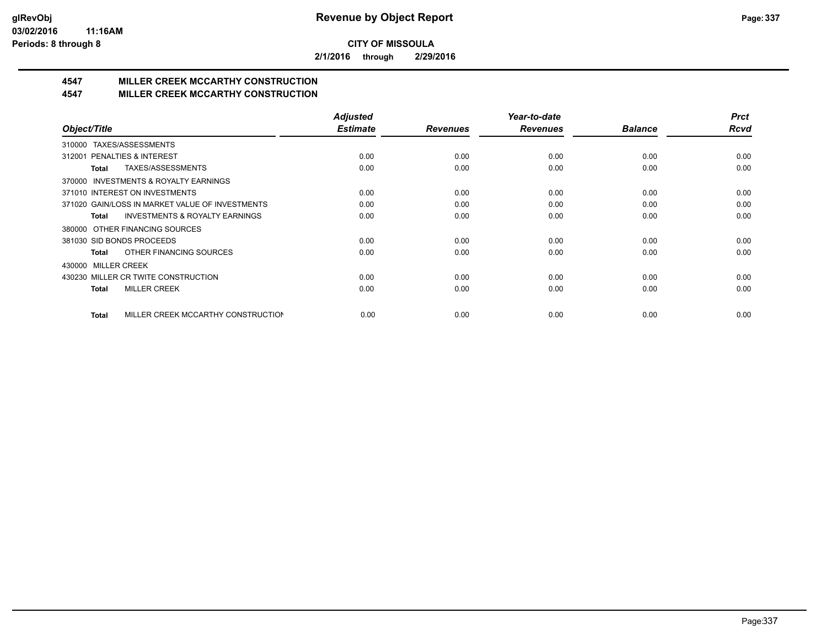**2/1/2016 through 2/29/2016**

## **4547 MILLER CREEK MCCARTHY CONSTRUCTION**

## **4547 MILLER CREEK MCCARTHY CONSTRUCTION**

|                                                    | <b>Adjusted</b> |                 | Year-to-date    |                | <b>Prct</b> |
|----------------------------------------------------|-----------------|-----------------|-----------------|----------------|-------------|
| Object/Title                                       | <b>Estimate</b> | <b>Revenues</b> | <b>Revenues</b> | <b>Balance</b> | <b>Rcvd</b> |
| TAXES/ASSESSMENTS<br>310000                        |                 |                 |                 |                |             |
| <b>PENALTIES &amp; INTEREST</b><br>312001          | 0.00            | 0.00            | 0.00            | 0.00           | 0.00        |
| TAXES/ASSESSMENTS<br>Total                         | 0.00            | 0.00            | 0.00            | 0.00           | 0.00        |
| INVESTMENTS & ROYALTY EARNINGS<br>370000           |                 |                 |                 |                |             |
| 371010 INTEREST ON INVESTMENTS                     | 0.00            | 0.00            | 0.00            | 0.00           | 0.00        |
| 371020 GAIN/LOSS IN MARKET VALUE OF INVESTMENTS    | 0.00            | 0.00            | 0.00            | 0.00           | 0.00        |
| <b>INVESTMENTS &amp; ROYALTY EARNINGS</b><br>Total | 0.00            | 0.00            | 0.00            | 0.00           | 0.00        |
| OTHER FINANCING SOURCES<br>380000                  |                 |                 |                 |                |             |
| 381030 SID BONDS PROCEEDS                          | 0.00            | 0.00            | 0.00            | 0.00           | 0.00        |
| OTHER FINANCING SOURCES<br>Total                   | 0.00            | 0.00            | 0.00            | 0.00           | 0.00        |
| 430000 MILLER CREEK                                |                 |                 |                 |                |             |
| 430230 MILLER CR TWITE CONSTRUCTION                | 0.00            | 0.00            | 0.00            | 0.00           | 0.00        |
| <b>MILLER CREEK</b><br><b>Total</b>                | 0.00            | 0.00            | 0.00            | 0.00           | 0.00        |
|                                                    |                 |                 |                 |                |             |
| MILLER CREEK MCCARTHY CONSTRUCTION<br><b>Total</b> | 0.00            | 0.00            | 0.00            | 0.00           | 0.00        |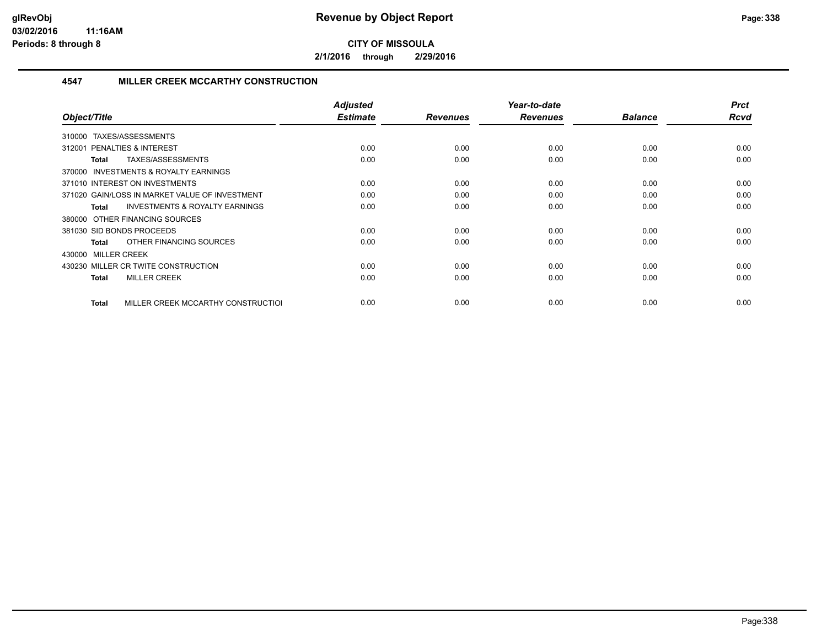**2/1/2016 through 2/29/2016**

#### **4547 MILLER CREEK MCCARTHY CONSTRUCTION**

| Object/Title                                              | <b>Adjusted</b><br><b>Estimate</b> | <b>Revenues</b> | Year-to-date<br><b>Revenues</b> | <b>Balance</b> | <b>Prct</b><br><b>Rcvd</b> |
|-----------------------------------------------------------|------------------------------------|-----------------|---------------------------------|----------------|----------------------------|
| TAXES/ASSESSMENTS<br>310000                               |                                    |                 |                                 |                |                            |
| PENALTIES & INTEREST<br>312001                            | 0.00                               | 0.00            | 0.00                            | 0.00           | 0.00                       |
| TAXES/ASSESSMENTS<br>Total                                | 0.00                               | 0.00            | 0.00                            | 0.00           | 0.00                       |
| 370000 INVESTMENTS & ROYALTY EARNINGS                     |                                    |                 |                                 |                |                            |
| 371010 INTEREST ON INVESTMENTS                            | 0.00                               | 0.00            | 0.00                            | 0.00           | 0.00                       |
| 371020 GAIN/LOSS IN MARKET VALUE OF INVESTMENT            | 0.00                               | 0.00            | 0.00                            | 0.00           | 0.00                       |
| <b>INVESTMENTS &amp; ROYALTY EARNINGS</b><br><b>Total</b> | 0.00                               | 0.00            | 0.00                            | 0.00           | 0.00                       |
| 380000 OTHER FINANCING SOURCES                            |                                    |                 |                                 |                |                            |
| 381030 SID BONDS PROCEEDS                                 | 0.00                               | 0.00            | 0.00                            | 0.00           | 0.00                       |
| OTHER FINANCING SOURCES<br>Total                          | 0.00                               | 0.00            | 0.00                            | 0.00           | 0.00                       |
| 430000 MILLER CREEK                                       |                                    |                 |                                 |                |                            |
| 430230 MILLER CR TWITE CONSTRUCTION                       | 0.00                               | 0.00            | 0.00                            | 0.00           | 0.00                       |
| <b>MILLER CREEK</b><br>Total                              | 0.00                               | 0.00            | 0.00                            | 0.00           | 0.00                       |
|                                                           |                                    |                 |                                 |                |                            |
| MILLER CREEK MCCARTHY CONSTRUCTIOL<br>Total               | 0.00                               | 0.00            | 0.00                            | 0.00           | 0.00                       |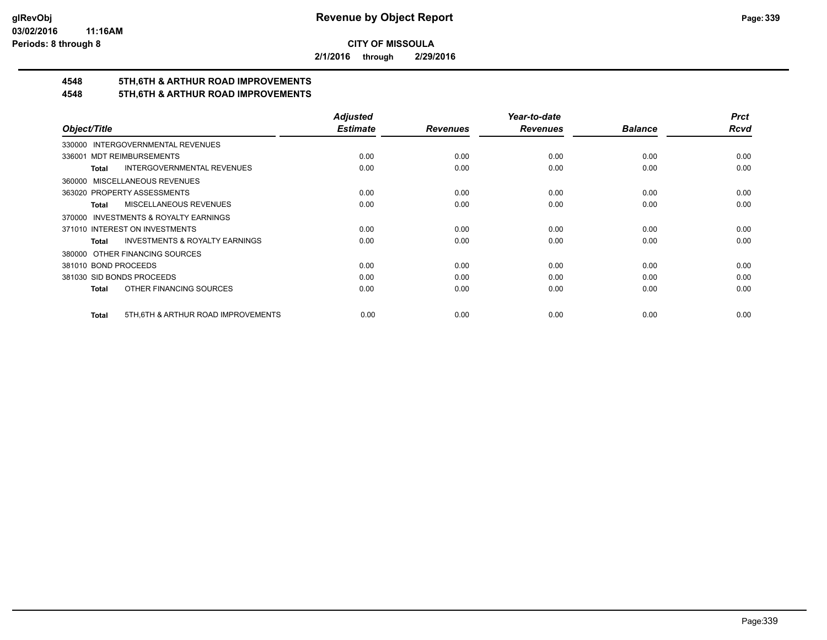**2/1/2016 through 2/29/2016**

## **4548 5TH,6TH & ARTHUR ROAD IMPROVEMENTS**

## **4548 5TH,6TH & ARTHUR ROAD IMPROVEMENTS**

|                                                           | <b>Adjusted</b> |                 | Year-to-date    |                | <b>Prct</b> |
|-----------------------------------------------------------|-----------------|-----------------|-----------------|----------------|-------------|
| Object/Title                                              | <b>Estimate</b> | <b>Revenues</b> | <b>Revenues</b> | <b>Balance</b> | <b>Rcvd</b> |
| 330000 INTERGOVERNMENTAL REVENUES                         |                 |                 |                 |                |             |
| <b>MDT REIMBURSEMENTS</b><br>336001                       | 0.00            | 0.00            | 0.00            | 0.00           | 0.00        |
| <b>INTERGOVERNMENTAL REVENUES</b><br><b>Total</b>         | 0.00            | 0.00            | 0.00            | 0.00           | 0.00        |
| 360000 MISCELLANEOUS REVENUES                             |                 |                 |                 |                |             |
| 363020 PROPERTY ASSESSMENTS                               | 0.00            | 0.00            | 0.00            | 0.00           | 0.00        |
| MISCELLANEOUS REVENUES<br>Total                           | 0.00            | 0.00            | 0.00            | 0.00           | 0.00        |
| 370000 INVESTMENTS & ROYALTY EARNINGS                     |                 |                 |                 |                |             |
| 371010 INTEREST ON INVESTMENTS                            | 0.00            | 0.00            | 0.00            | 0.00           | 0.00        |
| <b>INVESTMENTS &amp; ROYALTY EARNINGS</b><br><b>Total</b> | 0.00            | 0.00            | 0.00            | 0.00           | 0.00        |
| 380000 OTHER FINANCING SOURCES                            |                 |                 |                 |                |             |
| 381010 BOND PROCEEDS                                      | 0.00            | 0.00            | 0.00            | 0.00           | 0.00        |
| 381030 SID BONDS PROCEEDS                                 | 0.00            | 0.00            | 0.00            | 0.00           | 0.00        |
| OTHER FINANCING SOURCES<br>Total                          | 0.00            | 0.00            | 0.00            | 0.00           | 0.00        |
|                                                           |                 |                 |                 |                |             |
| 5TH, 6TH & ARTHUR ROAD IMPROVEMENTS<br><b>Total</b>       | 0.00            | 0.00            | 0.00            | 0.00           | 0.00        |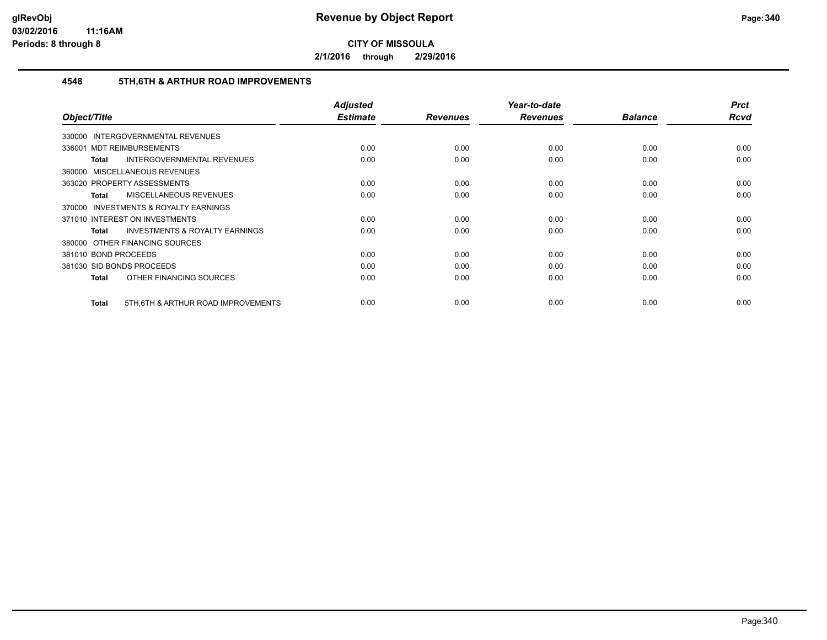**2/1/2016 through 2/29/2016**

#### **4548 5TH,6TH & ARTHUR ROAD IMPROVEMENTS**

|                                                    | <b>Adjusted</b><br><b>Estimate</b> |                 | Year-to-date    | <b>Balance</b> | <b>Prct</b><br>Rcvd |
|----------------------------------------------------|------------------------------------|-----------------|-----------------|----------------|---------------------|
| Object/Title                                       |                                    | <b>Revenues</b> | <b>Revenues</b> |                |                     |
| <b>INTERGOVERNMENTAL REVENUES</b><br>330000        |                                    |                 |                 |                |                     |
| 336001 MDT REIMBURSEMENTS                          | 0.00                               | 0.00            | 0.00            | 0.00           | 0.00                |
| INTERGOVERNMENTAL REVENUES<br>Total                | 0.00                               | 0.00            | 0.00            | 0.00           | 0.00                |
| 360000 MISCELLANEOUS REVENUES                      |                                    |                 |                 |                |                     |
| 363020 PROPERTY ASSESSMENTS                        | 0.00                               | 0.00            | 0.00            | 0.00           | 0.00                |
| <b>MISCELLANEOUS REVENUES</b><br>Total             | 0.00                               | 0.00            | 0.00            | 0.00           | 0.00                |
| 370000 INVESTMENTS & ROYALTY EARNINGS              |                                    |                 |                 |                |                     |
| 371010 INTEREST ON INVESTMENTS                     | 0.00                               | 0.00            | 0.00            | 0.00           | 0.00                |
| <b>INVESTMENTS &amp; ROYALTY EARNINGS</b><br>Total | 0.00                               | 0.00            | 0.00            | 0.00           | 0.00                |
| 380000 OTHER FINANCING SOURCES                     |                                    |                 |                 |                |                     |
| 381010 BOND PROCEEDS                               | 0.00                               | 0.00            | 0.00            | 0.00           | 0.00                |
| 381030 SID BONDS PROCEEDS                          | 0.00                               | 0.00            | 0.00            | 0.00           | 0.00                |
| OTHER FINANCING SOURCES<br><b>Total</b>            | 0.00                               | 0.00            | 0.00            | 0.00           | 0.00                |
|                                                    |                                    |                 |                 |                |                     |
| 5TH, 6TH & ARTHUR ROAD IMPROVEMENTS<br>Total       | 0.00                               | 0.00            | 0.00            | 0.00           | 0.00                |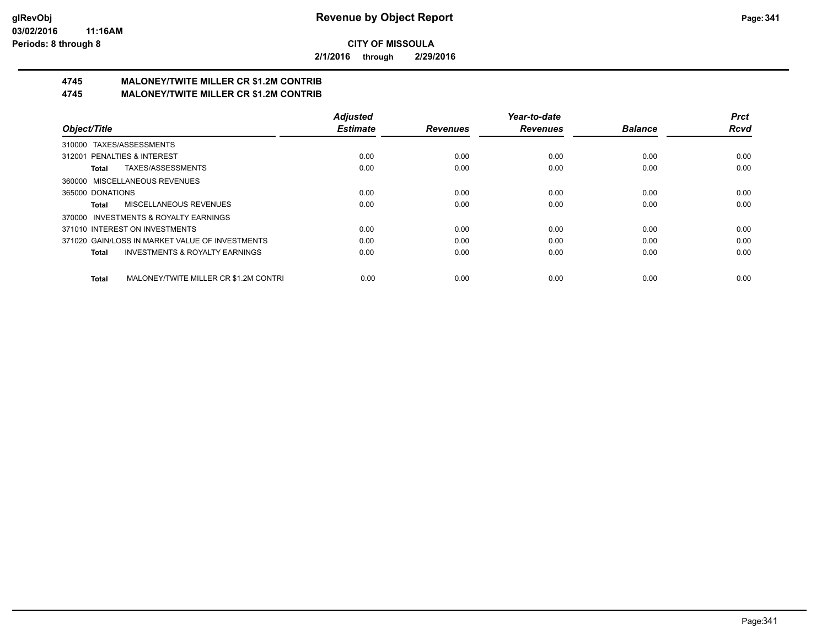**2/1/2016 through 2/29/2016**

# **4745 MALONEY/TWITE MILLER CR \$1.2M CONTRIB**

**4745 MALONEY/TWITE MILLER CR \$1.2M CONTRIB**

|                                                           | <b>Adjusted</b> |                 | Year-to-date    |                | <b>Prct</b> |
|-----------------------------------------------------------|-----------------|-----------------|-----------------|----------------|-------------|
| Object/Title                                              | <b>Estimate</b> | <b>Revenues</b> | <b>Revenues</b> | <b>Balance</b> | <b>Rcvd</b> |
| 310000 TAXES/ASSESSMENTS                                  |                 |                 |                 |                |             |
| 312001 PENALTIES & INTEREST                               | 0.00            | 0.00            | 0.00            | 0.00           | 0.00        |
| TAXES/ASSESSMENTS<br>Total                                | 0.00            | 0.00            | 0.00            | 0.00           | 0.00        |
| 360000 MISCELLANEOUS REVENUES                             |                 |                 |                 |                |             |
| 365000 DONATIONS                                          | 0.00            | 0.00            | 0.00            | 0.00           | 0.00        |
| MISCELLANEOUS REVENUES<br>Total                           | 0.00            | 0.00            | 0.00            | 0.00           | 0.00        |
| 370000 INVESTMENTS & ROYALTY EARNINGS                     |                 |                 |                 |                |             |
| 371010 INTEREST ON INVESTMENTS                            | 0.00            | 0.00            | 0.00            | 0.00           | 0.00        |
| 371020 GAIN/LOSS IN MARKET VALUE OF INVESTMENTS           | 0.00            | 0.00            | 0.00            | 0.00           | 0.00        |
| <b>INVESTMENTS &amp; ROYALTY EARNINGS</b><br><b>Total</b> | 0.00            | 0.00            | 0.00            | 0.00           | 0.00        |
| MALONEY/TWITE MILLER CR \$1.2M CONTRI<br><b>Total</b>     | 0.00            | 0.00            | 0.00            | 0.00           | 0.00        |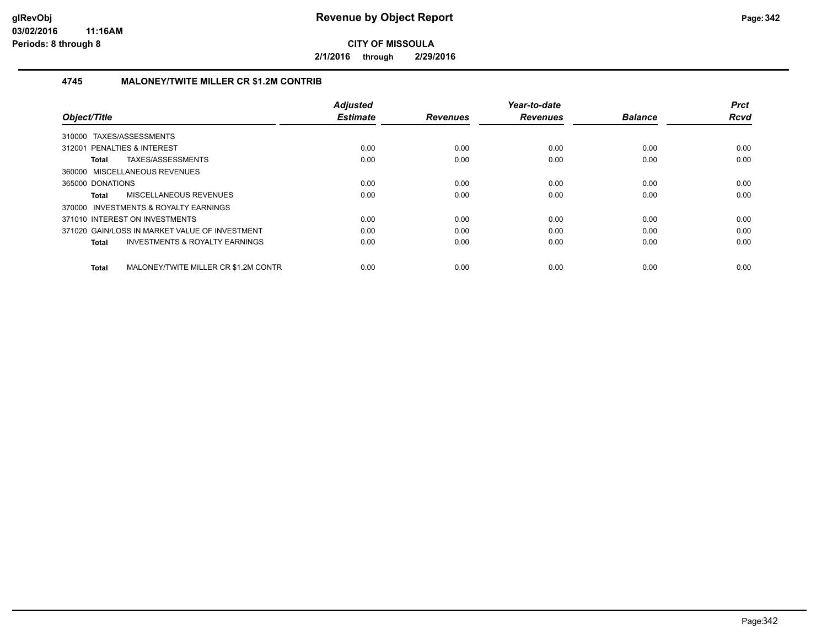**2/1/2016 through 2/29/2016**

## **4745 MALONEY/TWITE MILLER CR \$1.2M CONTRIB**

| Object/Title                                              | <b>Adjusted</b><br><b>Estimate</b> | <b>Revenues</b> | Year-to-date<br><b>Revenues</b> | <b>Balance</b> | <b>Prct</b><br><b>Rcvd</b> |
|-----------------------------------------------------------|------------------------------------|-----------------|---------------------------------|----------------|----------------------------|
| 310000 TAXES/ASSESSMENTS                                  |                                    |                 |                                 |                |                            |
| 312001 PENALTIES & INTEREST                               | 0.00                               | 0.00            | 0.00                            | 0.00           | 0.00                       |
| TAXES/ASSESSMENTS<br>Total                                | 0.00                               | 0.00            | 0.00                            | 0.00           | 0.00                       |
| 360000 MISCELLANEOUS REVENUES                             |                                    |                 |                                 |                |                            |
| 365000 DONATIONS                                          | 0.00                               | 0.00            | 0.00                            | 0.00           | 0.00                       |
| MISCELLANEOUS REVENUES<br>Total                           | 0.00                               | 0.00            | 0.00                            | 0.00           | 0.00                       |
| 370000 INVESTMENTS & ROYALTY EARNINGS                     |                                    |                 |                                 |                |                            |
| 371010 INTEREST ON INVESTMENTS                            | 0.00                               | 0.00            | 0.00                            | 0.00           | 0.00                       |
| 371020 GAIN/LOSS IN MARKET VALUE OF INVESTMENT            | 0.00                               | 0.00            | 0.00                            | 0.00           | 0.00                       |
| <b>INVESTMENTS &amp; ROYALTY EARNINGS</b><br><b>Total</b> | 0.00                               | 0.00            | 0.00                            | 0.00           | 0.00                       |
| MALONEY/TWITE MILLER CR \$1.2M CONTR<br>Total             | 0.00                               | 0.00            | 0.00                            | 0.00           | 0.00                       |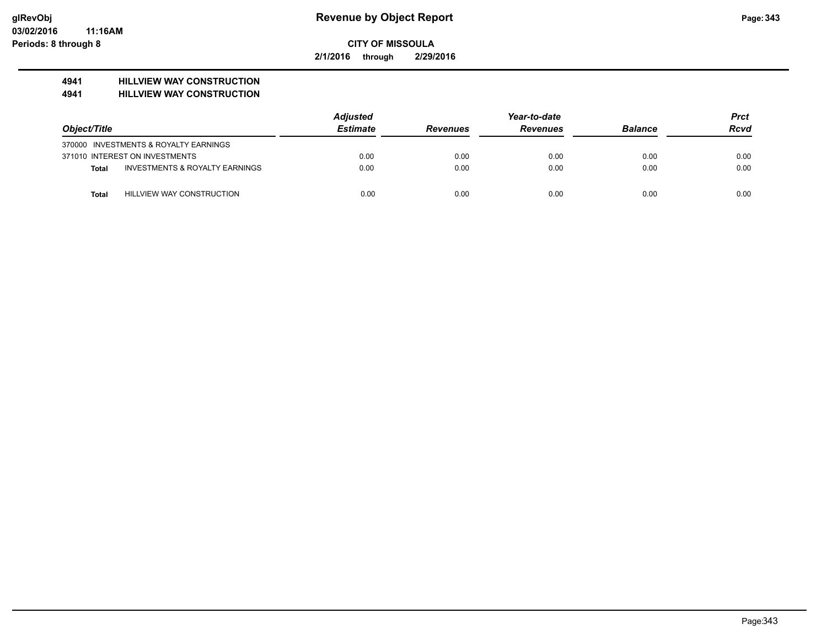**2/1/2016 through 2/29/2016**

## **4941 HILLVIEW WAY CONSTRUCTION**

#### **4941 HILLVIEW WAY CONSTRUCTION**

|              |                                           | <b>Adjusted</b> |                 |                 | <b>Prct</b>    |             |
|--------------|-------------------------------------------|-----------------|-----------------|-----------------|----------------|-------------|
| Object/Title |                                           | <b>Estimate</b> | <b>Revenues</b> | <b>Revenues</b> | <b>Balance</b> | <b>Rcvd</b> |
|              | 370000 INVESTMENTS & ROYALTY EARNINGS     |                 |                 |                 |                |             |
|              | 371010 INTEREST ON INVESTMENTS            | 0.00            | 0.00            | 0.00            | 0.00           | 0.00        |
| Total        | <b>INVESTMENTS &amp; ROYALTY EARNINGS</b> | 0.00            | 0.00            | 0.00            | 0.00           | 0.00        |
| Total        | HILLVIEW WAY CONSTRUCTION                 | 0.00            | 0.00            | 0.00            | 0.00           | 0.00        |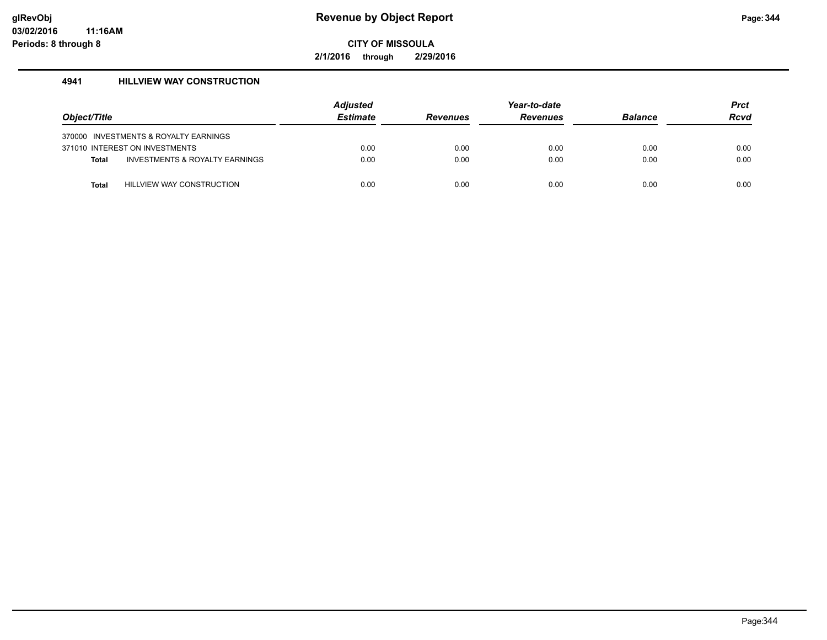**2/1/2016 through 2/29/2016**

## **4941 HILLVIEW WAY CONSTRUCTION**

| Object/Title |                                       | Adjusted<br><b>Estimate</b> | <b>Revenues</b> | Year-to-date<br><b>Revenues</b> | <b>Balance</b> | <b>Prct</b><br><b>Rcvd</b> |
|--------------|---------------------------------------|-----------------------------|-----------------|---------------------------------|----------------|----------------------------|
|              | 370000 INVESTMENTS & ROYALTY EARNINGS |                             |                 |                                 |                |                            |
|              | 371010 INTEREST ON INVESTMENTS        | 0.00                        | 0.00            | 0.00                            | 0.00           | 0.00                       |
| <b>Total</b> | INVESTMENTS & ROYALTY EARNINGS        | 0.00                        | 0.00            | 0.00                            | 0.00           | 0.00                       |
| Total        | <b>HILLVIEW WAY CONSTRUCTION</b>      | 0.00                        | 0.00            | 0.00                            | 0.00           | 0.00                       |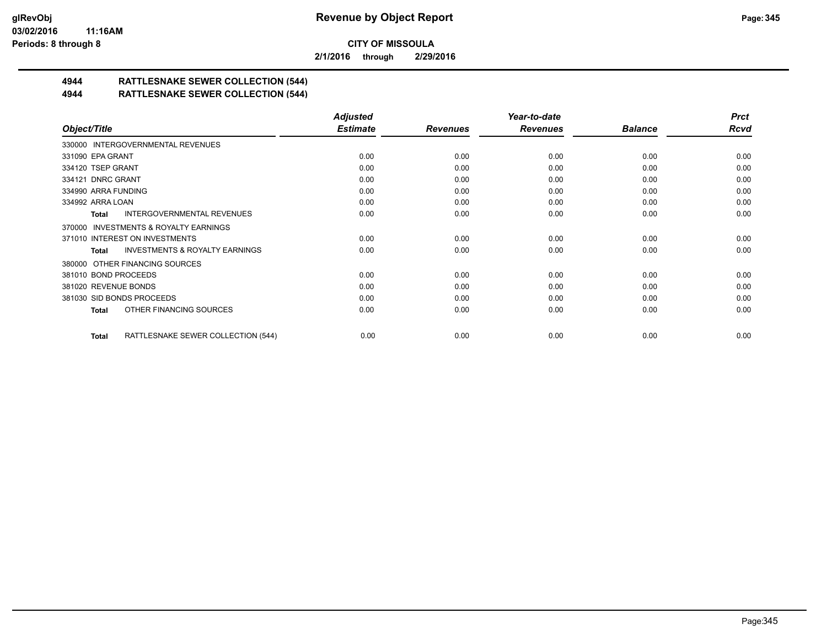**2/1/2016 through 2/29/2016**

## **4944 RATTLESNAKE SEWER COLLECTION (544)**

## **4944 RATTLESNAKE SEWER COLLECTION (544)**

|                                                     | <b>Adjusted</b> |                 | Year-to-date    |                | <b>Prct</b> |
|-----------------------------------------------------|-----------------|-----------------|-----------------|----------------|-------------|
| Object/Title                                        | <b>Estimate</b> | <b>Revenues</b> | <b>Revenues</b> | <b>Balance</b> | <b>Rcvd</b> |
| 330000 INTERGOVERNMENTAL REVENUES                   |                 |                 |                 |                |             |
| 331090 EPA GRANT                                    | 0.00            | 0.00            | 0.00            | 0.00           | 0.00        |
| 334120 TSEP GRANT                                   | 0.00            | 0.00            | 0.00            | 0.00           | 0.00        |
| 334121 DNRC GRANT                                   | 0.00            | 0.00            | 0.00            | 0.00           | 0.00        |
| 334990 ARRA FUNDING                                 | 0.00            | 0.00            | 0.00            | 0.00           | 0.00        |
| 334992 ARRA LOAN                                    | 0.00            | 0.00            | 0.00            | 0.00           | 0.00        |
| INTERGOVERNMENTAL REVENUES<br>Total                 | 0.00            | 0.00            | 0.00            | 0.00           | 0.00        |
| <b>INVESTMENTS &amp; ROYALTY EARNINGS</b><br>370000 |                 |                 |                 |                |             |
| 371010 INTEREST ON INVESTMENTS                      | 0.00            | 0.00            | 0.00            | 0.00           | 0.00        |
| <b>INVESTMENTS &amp; ROYALTY EARNINGS</b><br>Total  | 0.00            | 0.00            | 0.00            | 0.00           | 0.00        |
| 380000 OTHER FINANCING SOURCES                      |                 |                 |                 |                |             |
| 381010 BOND PROCEEDS                                | 0.00            | 0.00            | 0.00            | 0.00           | 0.00        |
| 381020 REVENUE BONDS                                | 0.00            | 0.00            | 0.00            | 0.00           | 0.00        |
| 381030 SID BONDS PROCEEDS                           | 0.00            | 0.00            | 0.00            | 0.00           | 0.00        |
| OTHER FINANCING SOURCES<br>Total                    | 0.00            | 0.00            | 0.00            | 0.00           | 0.00        |
| RATTLESNAKE SEWER COLLECTION (544)<br>Total         | 0.00            | 0.00            | 0.00            | 0.00           | 0.00        |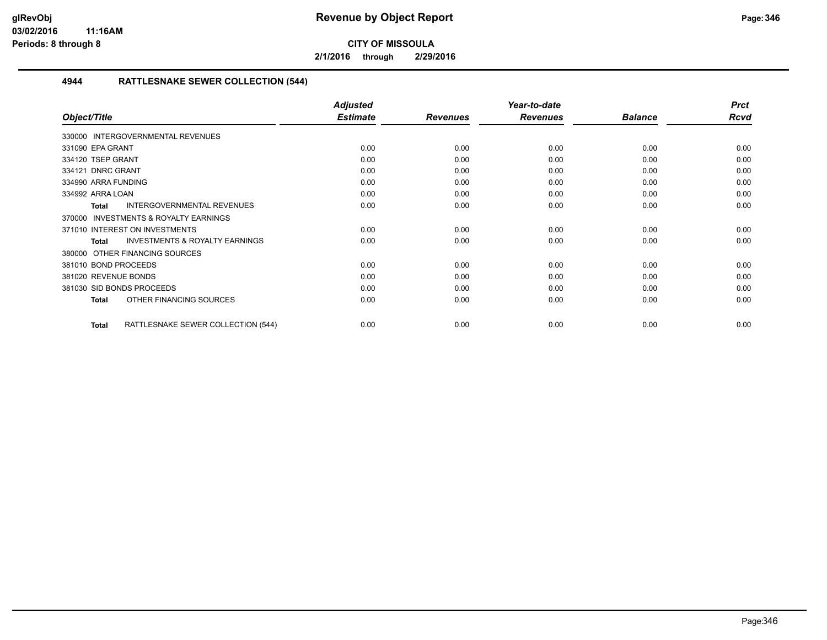**2/1/2016 through 2/29/2016**

## **4944 RATTLESNAKE SEWER COLLECTION (544)**

|                                                     | <b>Adjusted</b> |                 | Year-to-date    |                | <b>Prct</b> |
|-----------------------------------------------------|-----------------|-----------------|-----------------|----------------|-------------|
| Object/Title                                        | <b>Estimate</b> | <b>Revenues</b> | <b>Revenues</b> | <b>Balance</b> | <b>Rcvd</b> |
| 330000 INTERGOVERNMENTAL REVENUES                   |                 |                 |                 |                |             |
| 331090 EPA GRANT                                    | 0.00            | 0.00            | 0.00            | 0.00           | 0.00        |
| 334120 TSEP GRANT                                   | 0.00            | 0.00            | 0.00            | 0.00           | 0.00        |
| 334121 DNRC GRANT                                   | 0.00            | 0.00            | 0.00            | 0.00           | 0.00        |
| 334990 ARRA FUNDING                                 | 0.00            | 0.00            | 0.00            | 0.00           | 0.00        |
| 334992 ARRA LOAN                                    | 0.00            | 0.00            | 0.00            | 0.00           | 0.00        |
| <b>INTERGOVERNMENTAL REVENUES</b><br><b>Total</b>   | 0.00            | 0.00            | 0.00            | 0.00           | 0.00        |
| <b>INVESTMENTS &amp; ROYALTY EARNINGS</b><br>370000 |                 |                 |                 |                |             |
| 371010 INTEREST ON INVESTMENTS                      | 0.00            | 0.00            | 0.00            | 0.00           | 0.00        |
| <b>INVESTMENTS &amp; ROYALTY EARNINGS</b><br>Total  | 0.00            | 0.00            | 0.00            | 0.00           | 0.00        |
| 380000 OTHER FINANCING SOURCES                      |                 |                 |                 |                |             |
| 381010 BOND PROCEEDS                                | 0.00            | 0.00            | 0.00            | 0.00           | 0.00        |
| 381020 REVENUE BONDS                                | 0.00            | 0.00            | 0.00            | 0.00           | 0.00        |
| 381030 SID BONDS PROCEEDS                           | 0.00            | 0.00            | 0.00            | 0.00           | 0.00        |
| OTHER FINANCING SOURCES<br><b>Total</b>             | 0.00            | 0.00            | 0.00            | 0.00           | 0.00        |
| RATTLESNAKE SEWER COLLECTION (544)<br><b>Total</b>  | 0.00            | 0.00            | 0.00            | 0.00           | 0.00        |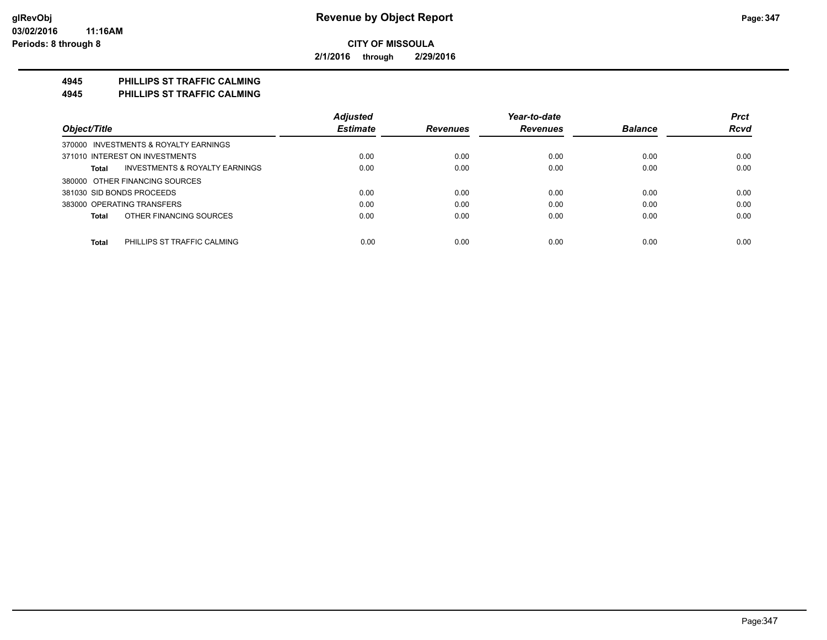**2/1/2016 through 2/29/2016**

## **4945 PHILLIPS ST TRAFFIC CALMING**

**4945 PHILLIPS ST TRAFFIC CALMING**

|                                             | <b>Adjusted</b> |                 | Year-to-date    |                | <b>Prct</b> |
|---------------------------------------------|-----------------|-----------------|-----------------|----------------|-------------|
| Object/Title                                | <b>Estimate</b> | <b>Revenues</b> | <b>Revenues</b> | <b>Balance</b> | <b>Rcvd</b> |
| 370000 INVESTMENTS & ROYALTY EARNINGS       |                 |                 |                 |                |             |
| 371010 INTEREST ON INVESTMENTS              | 0.00            | 0.00            | 0.00            | 0.00           | 0.00        |
| INVESTMENTS & ROYALTY EARNINGS<br>Total     | 0.00            | 0.00            | 0.00            | 0.00           | 0.00        |
| 380000 OTHER FINANCING SOURCES              |                 |                 |                 |                |             |
| 381030 SID BONDS PROCEEDS                   | 0.00            | 0.00            | 0.00            | 0.00           | 0.00        |
| 383000 OPERATING TRANSFERS                  | 0.00            | 0.00            | 0.00            | 0.00           | 0.00        |
| OTHER FINANCING SOURCES<br>Total            | 0.00            | 0.00            | 0.00            | 0.00           | 0.00        |
| <b>Total</b><br>PHILLIPS ST TRAFFIC CALMING | 0.00            | 0.00            | 0.00            | 0.00           | 0.00        |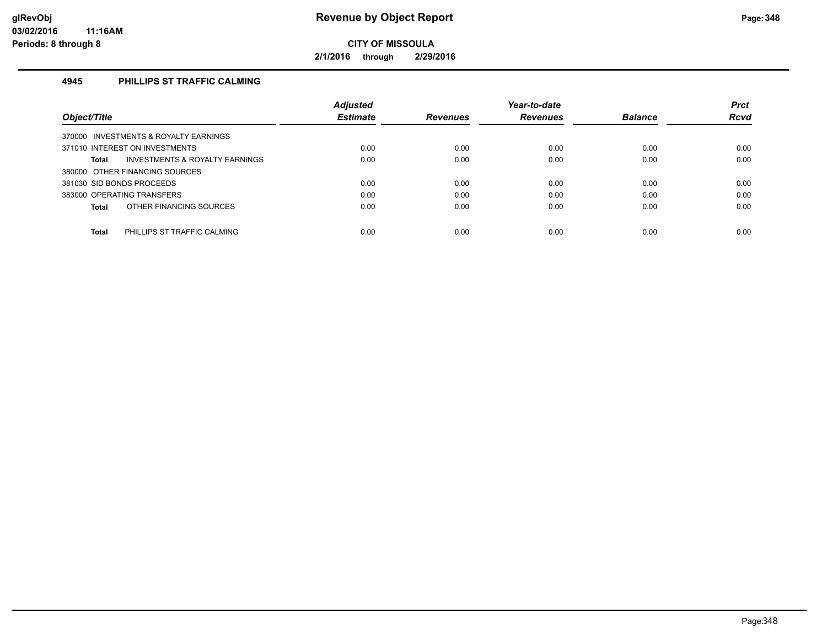**2/1/2016 through 2/29/2016**

## **4945 PHILLIPS ST TRAFFIC CALMING**

|                                                | <b>Adjusted</b> |                 | Year-to-date    |                | <b>Prct</b> |
|------------------------------------------------|-----------------|-----------------|-----------------|----------------|-------------|
| Object/Title                                   | <b>Estimate</b> | <b>Revenues</b> | <b>Revenues</b> | <b>Balance</b> | <b>Rcvd</b> |
| 370000 INVESTMENTS & ROYALTY EARNINGS          |                 |                 |                 |                |             |
| 371010 INTEREST ON INVESTMENTS                 | 0.00            | 0.00            | 0.00            | 0.00           | 0.00        |
| INVESTMENTS & ROYALTY EARNINGS<br><b>Total</b> | 0.00            | 0.00            | 0.00            | 0.00           | 0.00        |
| 380000 OTHER FINANCING SOURCES                 |                 |                 |                 |                |             |
| 381030 SID BONDS PROCEEDS                      | 0.00            | 0.00            | 0.00            | 0.00           | 0.00        |
| 383000 OPERATING TRANSFERS                     | 0.00            | 0.00            | 0.00            | 0.00           | 0.00        |
| OTHER FINANCING SOURCES<br><b>Total</b>        | 0.00            | 0.00            | 0.00            | 0.00           | 0.00        |
|                                                |                 |                 |                 |                |             |
| <b>Total</b><br>PHILLIPS ST TRAFFIC CALMING    | 0.00            | 0.00            | 0.00            | 0.00           | 0.00        |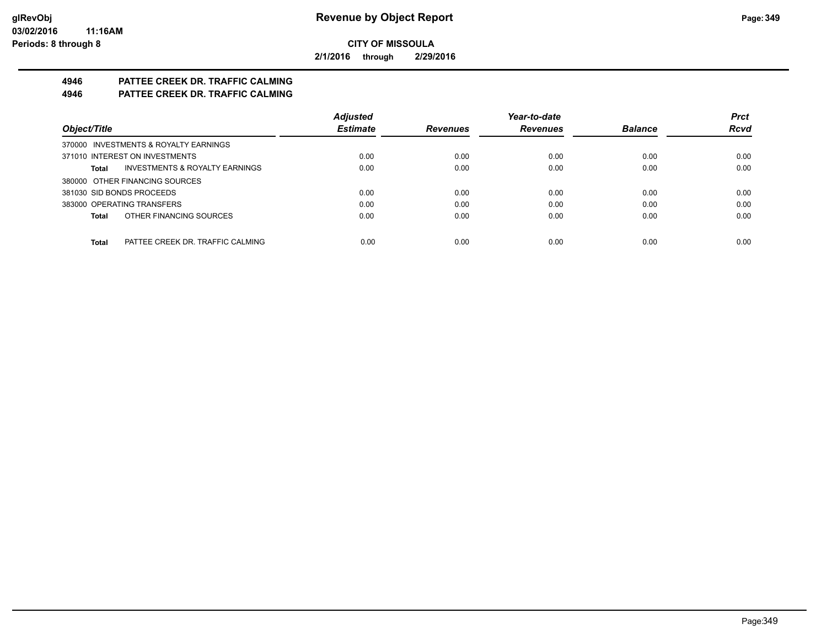**2/1/2016 through 2/29/2016**

# **4946 PATTEE CREEK DR. TRAFFIC CALMING**

**4946 PATTEE CREEK DR. TRAFFIC CALMING**

|                                                    | <b>Adjusted</b> |                 | Year-to-date    |                | <b>Prct</b> |
|----------------------------------------------------|-----------------|-----------------|-----------------|----------------|-------------|
| Object/Title                                       | <b>Estimate</b> | <b>Revenues</b> | <b>Revenues</b> | <b>Balance</b> | <b>Rcvd</b> |
| 370000 INVESTMENTS & ROYALTY EARNINGS              |                 |                 |                 |                |             |
| 371010 INTEREST ON INVESTMENTS                     | 0.00            | 0.00            | 0.00            | 0.00           | 0.00        |
| <b>INVESTMENTS &amp; ROYALTY EARNINGS</b><br>Total | 0.00            | 0.00            | 0.00            | 0.00           | 0.00        |
| 380000 OTHER FINANCING SOURCES                     |                 |                 |                 |                |             |
| 381030 SID BONDS PROCEEDS                          | 0.00            | 0.00            | 0.00            | 0.00           | 0.00        |
| 383000 OPERATING TRANSFERS                         | 0.00            | 0.00            | 0.00            | 0.00           | 0.00        |
| OTHER FINANCING SOURCES<br>Total                   | 0.00            | 0.00            | 0.00            | 0.00           | 0.00        |
|                                                    |                 |                 |                 |                |             |
| PATTEE CREEK DR. TRAFFIC CALMING<br><b>Total</b>   | 0.00            | 0.00            | 0.00            | 0.00           | 0.00        |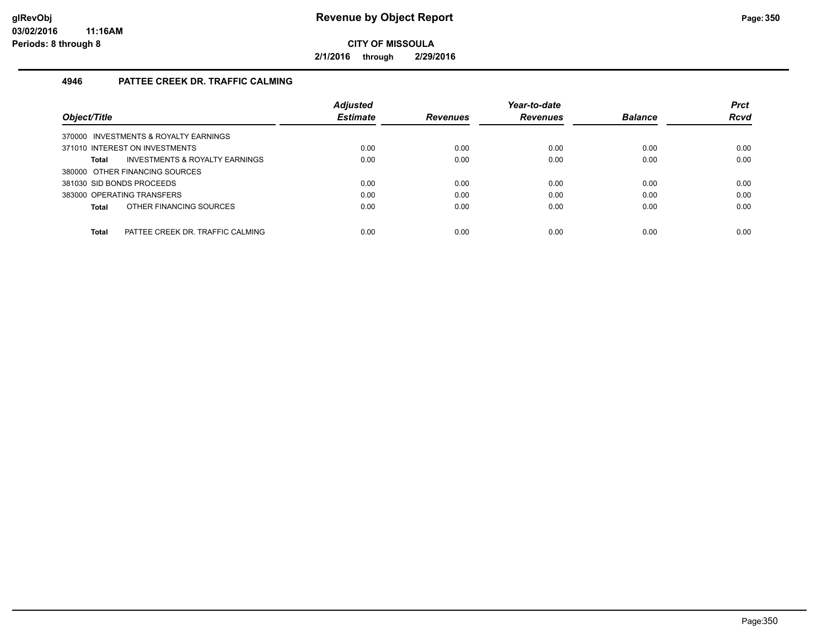**2/1/2016 through 2/29/2016**

## **4946 PATTEE CREEK DR. TRAFFIC CALMING**

| Object/Title                                     | <b>Adjusted</b><br><b>Estimate</b> | <b>Revenues</b> | Year-to-date<br><b>Revenues</b> | <b>Balance</b> | <b>Prct</b><br><b>Rcvd</b> |
|--------------------------------------------------|------------------------------------|-----------------|---------------------------------|----------------|----------------------------|
|                                                  |                                    |                 |                                 |                |                            |
| 370000 INVESTMENTS & ROYALTY EARNINGS            |                                    |                 |                                 |                |                            |
| 371010 INTEREST ON INVESTMENTS                   | 0.00                               | 0.00            | 0.00                            | 0.00           | 0.00                       |
| INVESTMENTS & ROYALTY EARNINGS<br><b>Total</b>   | 0.00                               | 0.00            | 0.00                            | 0.00           | 0.00                       |
| 380000 OTHER FINANCING SOURCES                   |                                    |                 |                                 |                |                            |
| 381030 SID BONDS PROCEEDS                        | 0.00                               | 0.00            | 0.00                            | 0.00           | 0.00                       |
| 383000 OPERATING TRANSFERS                       | 0.00                               | 0.00            | 0.00                            | 0.00           | 0.00                       |
| OTHER FINANCING SOURCES<br><b>Total</b>          | 0.00                               | 0.00            | 0.00                            | 0.00           | 0.00                       |
|                                                  |                                    |                 |                                 |                |                            |
| <b>Total</b><br>PATTEE CREEK DR. TRAFFIC CALMING | 0.00                               | 0.00            | 0.00                            | 0.00           | 0.00                       |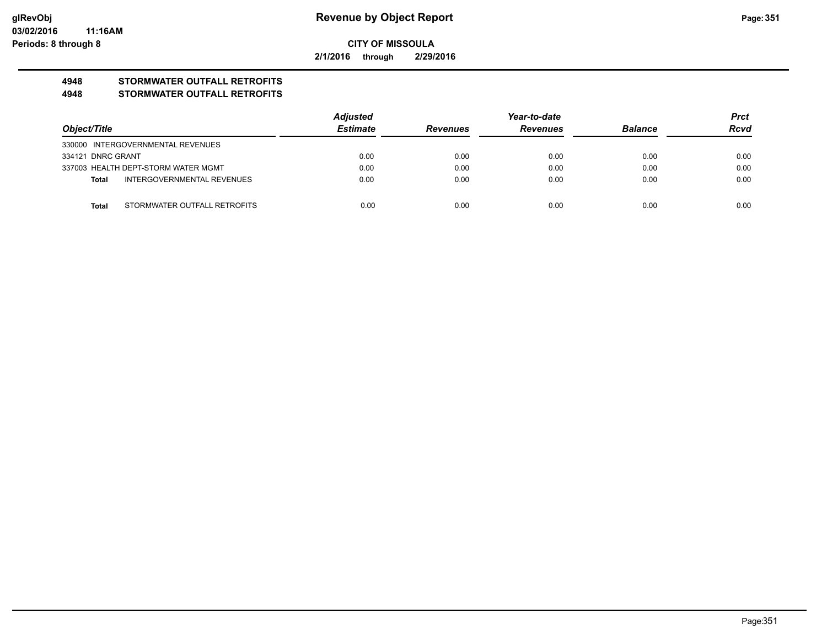**2/1/2016 through 2/29/2016**

## **4948 STORMWATER OUTFALL RETROFITS**

#### **4948 STORMWATER OUTFALL RETROFITS**

|                   |                                     | <b>Adjusted</b> |                 | Year-to-date    |                | <b>Prct</b> |
|-------------------|-------------------------------------|-----------------|-----------------|-----------------|----------------|-------------|
| Object/Title      |                                     | <b>Estimate</b> | <b>Revenues</b> | <b>Revenues</b> | <b>Balance</b> | <b>Rcvd</b> |
|                   | 330000 INTERGOVERNMENTAL REVENUES   |                 |                 |                 |                |             |
| 334121 DNRC GRANT |                                     | 0.00            | 0.00            | 0.00            | 0.00           | 0.00        |
|                   | 337003 HEALTH DEPT-STORM WATER MGMT | 0.00            | 0.00            | 0.00            | 0.00           | 0.00        |
| Total             | INTERGOVERNMENTAL REVENUES          | 0.00            | 0.00            | 0.00            | 0.00           | 0.00        |
|                   |                                     |                 |                 |                 |                |             |
| <b>Total</b>      | STORMWATER OUTFALL RETROFITS        | 0.00            | 0.00            | 0.00            | 0.00           | 0.00        |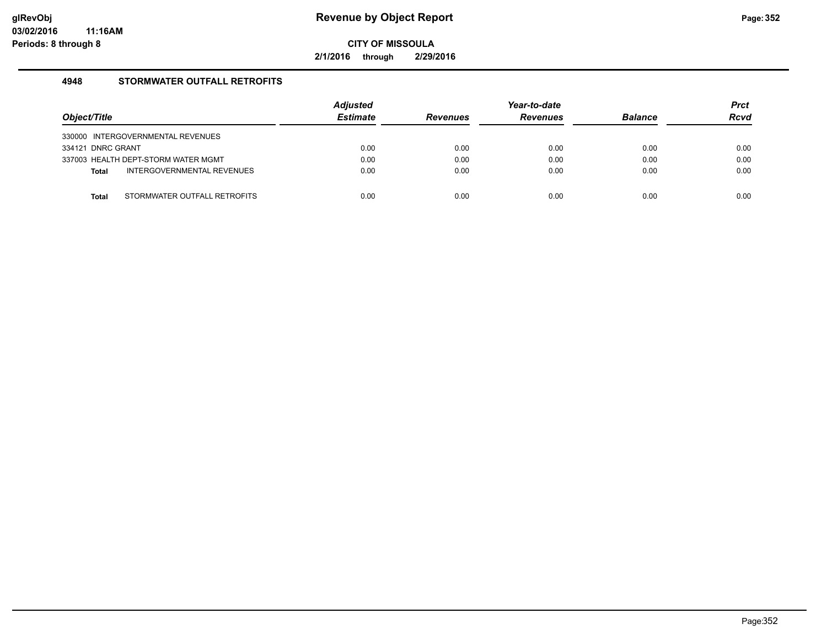**2/1/2016 through 2/29/2016**

## **4948 STORMWATER OUTFALL RETROFITS**

| Object/Title                               | <b>Adjusted</b><br><b>Estimate</b> | <b>Revenues</b> | Year-to-date<br><b>Revenues</b> | <b>Balance</b> | <b>Prct</b><br><b>Rcvd</b> |
|--------------------------------------------|------------------------------------|-----------------|---------------------------------|----------------|----------------------------|
| 330000 INTERGOVERNMENTAL REVENUES          |                                    |                 |                                 |                |                            |
| 334121 DNRC GRANT                          | 0.00                               | 0.00            | 0.00                            | 0.00           | 0.00                       |
| 337003 HEALTH DEPT-STORM WATER MGMT        | 0.00                               | 0.00            | 0.00                            | 0.00           | 0.00                       |
| INTERGOVERNMENTAL REVENUES<br><b>Total</b> | 0.00                               | 0.00            | 0.00                            | 0.00           | 0.00                       |
|                                            |                                    |                 |                                 |                |                            |
| STORMWATER OUTFALL RETROFITS<br>Total      | 0.00                               | 0.00            | 0.00                            | 0.00           | 0.00                       |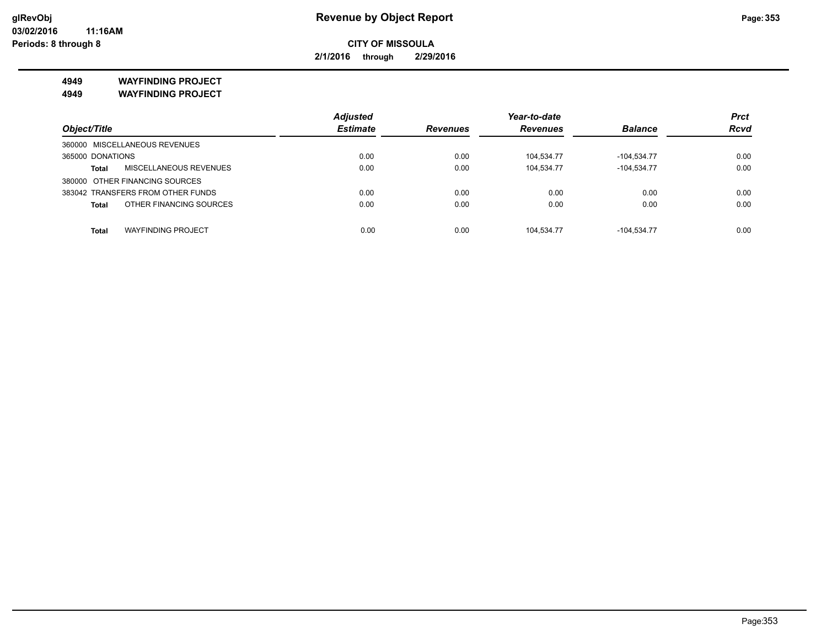*Prct Rcvd*

**CITY OF MISSOULA**

**2/1/2016 through 2/29/2016**

**4949 WAYFINDING PROJECT 4949 WAYFINDING PROJECT**

|                                         | <b>Adjusted</b> |                 | Year-to-date    |                | <b>Prct</b> |
|-----------------------------------------|-----------------|-----------------|-----------------|----------------|-------------|
| Object/Title                            | <b>Estimate</b> | <b>Revenues</b> | <b>Revenues</b> | <b>Balance</b> | Rcva        |
| 360000 MISCELLANEOUS REVENUES           |                 |                 |                 |                |             |
| 365000 DONATIONS                        | 0.00            | 0.00            | 104.534.77      | $-104.534.77$  | 0.00        |
| MISCELLANEOUS REVENUES<br><b>Total</b>  | 0.00            | 0.00            | 104.534.77      | $-104,534.77$  | 0.00        |
| 380000 OTHER FINANCING SOURCES          |                 |                 |                 |                |             |
| 383042 TRANSFERS FROM OTHER FUNDS       | 0.00            | 0.00            | 0.00            | 0.00           | 0.00        |
| OTHER FINANCING SOURCES<br><b>Total</b> | 0.00            | 0.00            | 0.00            | 0.00           | 0.00        |

**Total** WAYFINDING PROJECT 0.00 0.00 104,534.77 -104,534.77 0.00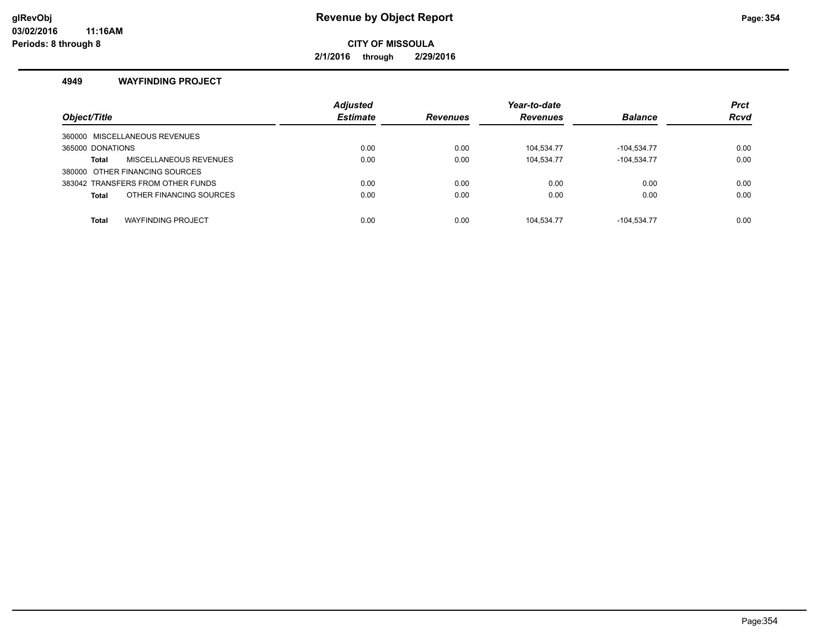## **glRevObj Revenue by Object Report Page:354**

**CITY OF MISSOULA**

**2/1/2016 through 2/29/2016**

#### **4949 WAYFINDING PROJECT**

| Object/Title                            | <b>Adjusted</b><br><b>Estimate</b> | <b>Revenues</b> | Year-to-date<br><b>Revenues</b> | <b>Balance</b> | <b>Prct</b><br><b>Rcvd</b> |
|-----------------------------------------|------------------------------------|-----------------|---------------------------------|----------------|----------------------------|
| 360000 MISCELLANEOUS REVENUES           |                                    |                 |                                 |                |                            |
| 365000 DONATIONS                        | 0.00                               | 0.00            | 104.534.77                      | -104.534.77    | 0.00                       |
| MISCELLANEOUS REVENUES<br>Total         | 0.00                               | 0.00            | 104.534.77                      | $-104.534.77$  | 0.00                       |
| 380000 OTHER FINANCING SOURCES          |                                    |                 |                                 |                |                            |
| 383042 TRANSFERS FROM OTHER FUNDS       | 0.00                               | 0.00            | 0.00                            | 0.00           | 0.00                       |
| OTHER FINANCING SOURCES<br><b>Total</b> | 0.00                               | 0.00            | 0.00                            | 0.00           | 0.00                       |
|                                         |                                    |                 |                                 |                |                            |
| <b>WAYFINDING PROJECT</b><br>Total      | 0.00                               | 0.00            | 104.534.77                      | $-104.534.77$  | 0.00                       |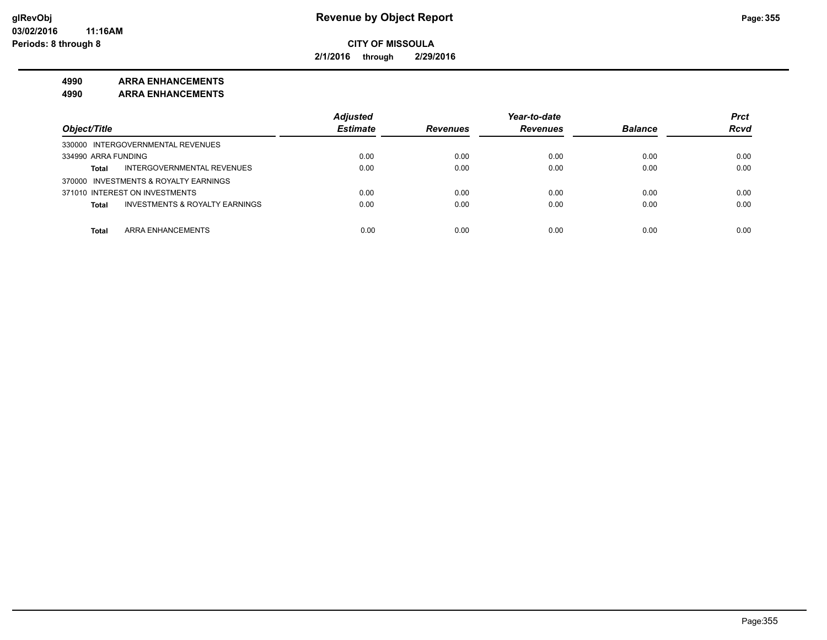**2/1/2016 through 2/29/2016**

#### **4990 ARRA ENHANCEMENTS**

**4990 ARRA ENHANCEMENTS**

|                                                           | <b>Adjusted</b> |                 | Year-to-date    |                | <b>Prct</b> |
|-----------------------------------------------------------|-----------------|-----------------|-----------------|----------------|-------------|
| Object/Title                                              | <b>Estimate</b> | <b>Revenues</b> | <b>Revenues</b> | <b>Balance</b> | <b>Rcvd</b> |
| 330000 INTERGOVERNMENTAL REVENUES                         |                 |                 |                 |                |             |
| 334990 ARRA FUNDING                                       | 0.00            | 0.00            | 0.00            | 0.00           | 0.00        |
| INTERGOVERNMENTAL REVENUES<br><b>Total</b>                | 0.00            | 0.00            | 0.00            | 0.00           | 0.00        |
| 370000 INVESTMENTS & ROYALTY EARNINGS                     |                 |                 |                 |                |             |
| 371010 INTEREST ON INVESTMENTS                            | 0.00            | 0.00            | 0.00            | 0.00           | 0.00        |
| <b>INVESTMENTS &amp; ROYALTY EARNINGS</b><br><b>Total</b> | 0.00            | 0.00            | 0.00            | 0.00           | 0.00        |
|                                                           |                 |                 |                 |                |             |
| ARRA ENHANCEMENTS<br>Total                                | 0.00            | 0.00            | 0.00            | 0.00           | 0.00        |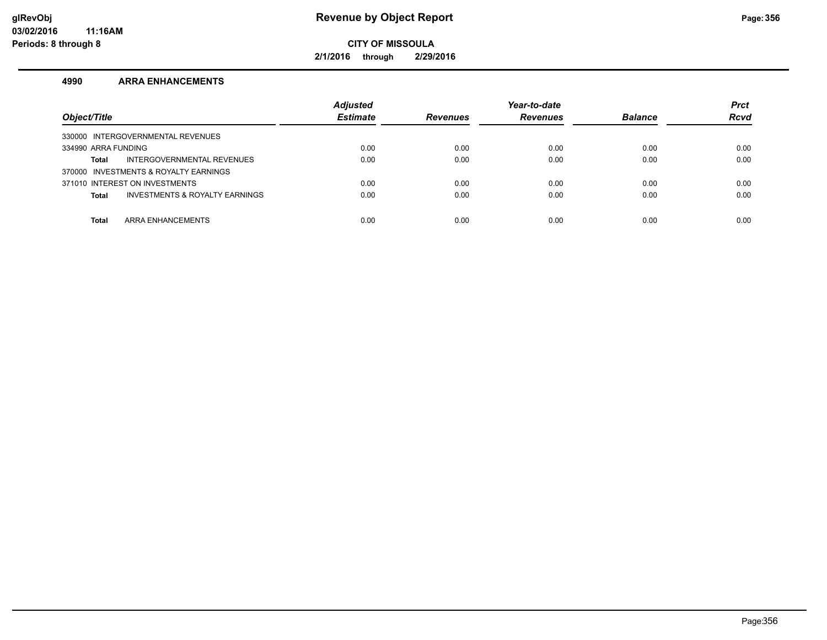**2/1/2016 through 2/29/2016**

#### **4990 ARRA ENHANCEMENTS**

| Object/Title                                   | <b>Adjusted</b><br><b>Estimate</b> | <b>Revenues</b> | Year-to-date<br><b>Revenues</b> | <b>Balance</b> | <b>Prct</b><br><b>Rcvd</b> |
|------------------------------------------------|------------------------------------|-----------------|---------------------------------|----------------|----------------------------|
| 330000 INTERGOVERNMENTAL REVENUES              |                                    |                 |                                 |                |                            |
| 334990 ARRA FUNDING                            | 0.00                               | 0.00            | 0.00                            | 0.00           | 0.00                       |
| INTERGOVERNMENTAL REVENUES<br>Total            | 0.00                               | 0.00            | 0.00                            | 0.00           | 0.00                       |
| 370000 INVESTMENTS & ROYALTY EARNINGS          |                                    |                 |                                 |                |                            |
| 371010 INTEREST ON INVESTMENTS                 | 0.00                               | 0.00            | 0.00                            | 0.00           | 0.00                       |
| INVESTMENTS & ROYALTY EARNINGS<br><b>Total</b> | 0.00                               | 0.00            | 0.00                            | 0.00           | 0.00                       |
|                                                |                                    |                 |                                 |                |                            |
| ARRA ENHANCEMENTS<br><b>Total</b>              | 0.00                               | 0.00            | 0.00                            | 0.00           | 0.00                       |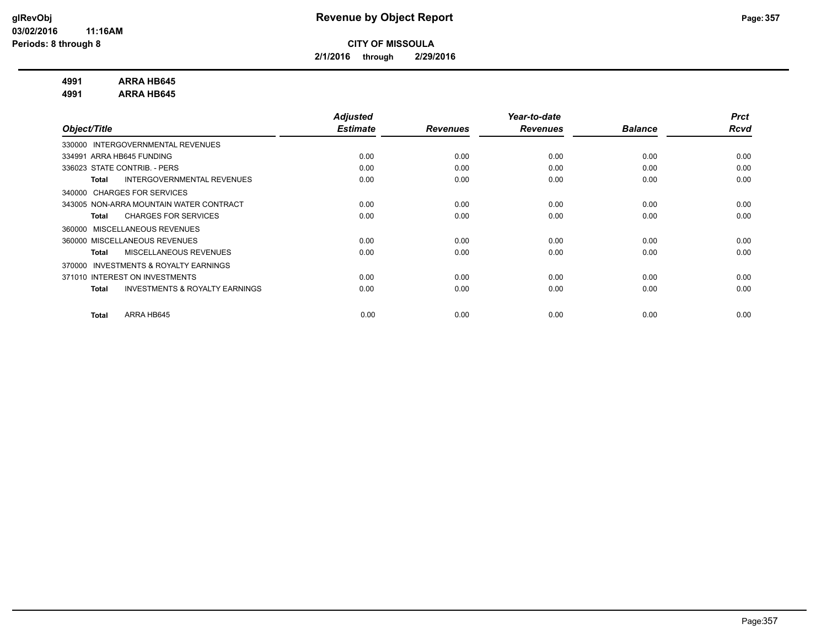**2/1/2016 through 2/29/2016**

#### **4991 ARRA HB645**

**4991 ARRA HB645**

|                                                           | <b>Adjusted</b> |                 | Year-to-date    |                | <b>Prct</b> |
|-----------------------------------------------------------|-----------------|-----------------|-----------------|----------------|-------------|
| Object/Title                                              | <b>Estimate</b> | <b>Revenues</b> | <b>Revenues</b> | <b>Balance</b> | Rcvd        |
| INTERGOVERNMENTAL REVENUES<br>330000                      |                 |                 |                 |                |             |
| 334991 ARRA HB645 FUNDING                                 | 0.00            | 0.00            | 0.00            | 0.00           | 0.00        |
| 336023 STATE CONTRIB. - PERS                              | 0.00            | 0.00            | 0.00            | 0.00           | 0.00        |
| INTERGOVERNMENTAL REVENUES<br><b>Total</b>                | 0.00            | 0.00            | 0.00            | 0.00           | 0.00        |
| 340000 CHARGES FOR SERVICES                               |                 |                 |                 |                |             |
| 343005 NON-ARRA MOUNTAIN WATER CONTRACT                   | 0.00            | 0.00            | 0.00            | 0.00           | 0.00        |
| <b>CHARGES FOR SERVICES</b><br><b>Total</b>               | 0.00            | 0.00            | 0.00            | 0.00           | 0.00        |
| MISCELLANEOUS REVENUES<br>360000                          |                 |                 |                 |                |             |
| 360000 MISCELLANEOUS REVENUES                             | 0.00            | 0.00            | 0.00            | 0.00           | 0.00        |
| MISCELLANEOUS REVENUES<br><b>Total</b>                    | 0.00            | 0.00            | 0.00            | 0.00           | 0.00        |
| <b>INVESTMENTS &amp; ROYALTY EARNINGS</b><br>370000       |                 |                 |                 |                |             |
| 371010 INTEREST ON INVESTMENTS                            | 0.00            | 0.00            | 0.00            | 0.00           | 0.00        |
| <b>INVESTMENTS &amp; ROYALTY EARNINGS</b><br><b>Total</b> | 0.00            | 0.00            | 0.00            | 0.00           | 0.00        |
|                                                           |                 |                 |                 |                |             |
| ARRA HB645<br><b>Total</b>                                | 0.00            | 0.00            | 0.00            | 0.00           | 0.00        |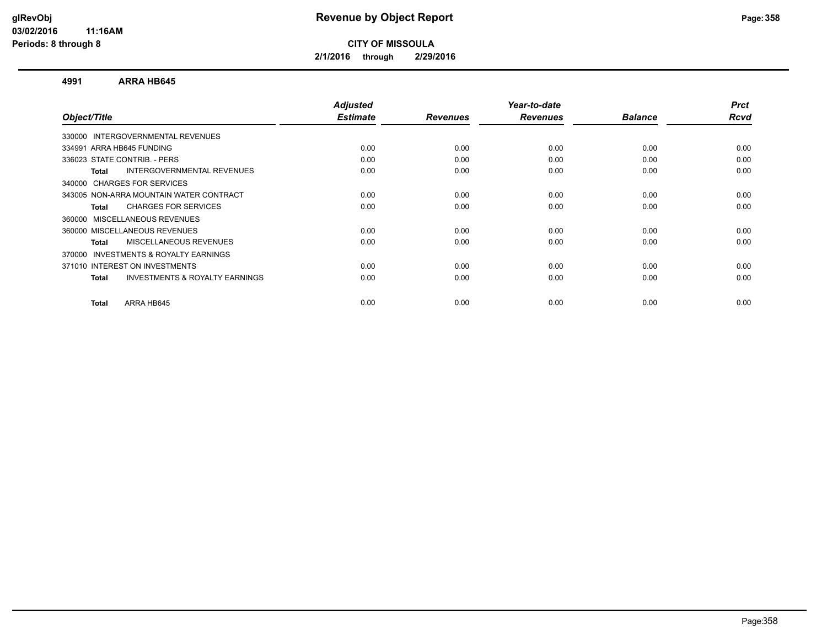**2/1/2016 through 2/29/2016**

#### **4991 ARRA HB645**

| Object/Title                                              | <b>Adjusted</b><br><b>Estimate</b> | <b>Revenues</b> | Year-to-date<br><b>Revenues</b> | <b>Balance</b> | <b>Prct</b><br>Rcvd |
|-----------------------------------------------------------|------------------------------------|-----------------|---------------------------------|----------------|---------------------|
|                                                           |                                    |                 |                                 |                |                     |
| 330000 INTERGOVERNMENTAL REVENUES                         |                                    |                 |                                 |                |                     |
| 334991 ARRA HB645 FUNDING                                 | 0.00                               | 0.00            | 0.00                            | 0.00           | 0.00                |
| 336023 STATE CONTRIB. - PERS                              | 0.00                               | 0.00            | 0.00                            | 0.00           | 0.00                |
| INTERGOVERNMENTAL REVENUES<br><b>Total</b>                | 0.00                               | 0.00            | 0.00                            | 0.00           | 0.00                |
| 340000 CHARGES FOR SERVICES                               |                                    |                 |                                 |                |                     |
| 343005 NON-ARRA MOUNTAIN WATER CONTRACT                   | 0.00                               | 0.00            | 0.00                            | 0.00           | 0.00                |
| <b>CHARGES FOR SERVICES</b><br><b>Total</b>               | 0.00                               | 0.00            | 0.00                            | 0.00           | 0.00                |
| 360000 MISCELLANEOUS REVENUES                             |                                    |                 |                                 |                |                     |
| 360000 MISCELLANEOUS REVENUES                             | 0.00                               | 0.00            | 0.00                            | 0.00           | 0.00                |
| MISCELLANEOUS REVENUES<br><b>Total</b>                    | 0.00                               | 0.00            | 0.00                            | 0.00           | 0.00                |
| <b>INVESTMENTS &amp; ROYALTY EARNINGS</b><br>370000       |                                    |                 |                                 |                |                     |
| 371010 INTEREST ON INVESTMENTS                            | 0.00                               | 0.00            | 0.00                            | 0.00           | 0.00                |
| <b>INVESTMENTS &amp; ROYALTY EARNINGS</b><br><b>Total</b> | 0.00                               | 0.00            | 0.00                            | 0.00           | 0.00                |
| ARRA HB645<br><b>Total</b>                                | 0.00                               | 0.00            | 0.00                            | 0.00           | 0.00                |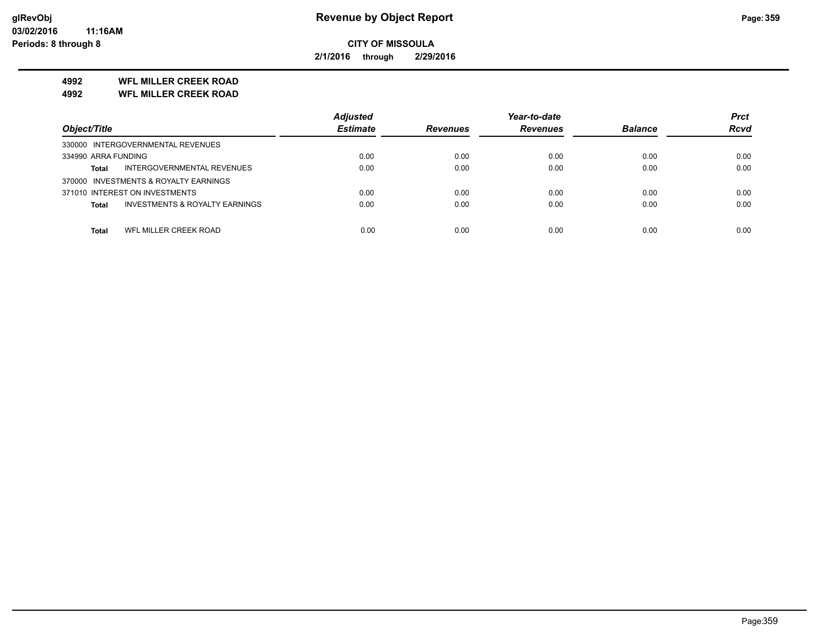**2/1/2016 through 2/29/2016**

## **4992 WFL MILLER CREEK ROAD**

**4992 WFL MILLER CREEK ROAD**

|                                                           | <b>Adiusted</b> |                 | Year-to-date    |                | <b>Prct</b> |
|-----------------------------------------------------------|-----------------|-----------------|-----------------|----------------|-------------|
| Object/Title                                              | <b>Estimate</b> | <b>Revenues</b> | <b>Revenues</b> | <b>Balance</b> | <b>Rcvd</b> |
| 330000 INTERGOVERNMENTAL REVENUES                         |                 |                 |                 |                |             |
| 334990 ARRA FUNDING                                       | 0.00            | 0.00            | 0.00            | 0.00           | 0.00        |
| INTERGOVERNMENTAL REVENUES<br><b>Total</b>                | 0.00            | 0.00            | 0.00            | 0.00           | 0.00        |
| 370000 INVESTMENTS & ROYALTY EARNINGS                     |                 |                 |                 |                |             |
| 371010 INTEREST ON INVESTMENTS                            | 0.00            | 0.00            | 0.00            | 0.00           | 0.00        |
| <b>INVESTMENTS &amp; ROYALTY EARNINGS</b><br><b>Total</b> | 0.00            | 0.00            | 0.00            | 0.00           | 0.00        |
|                                                           |                 |                 |                 |                |             |
| WFL MILLER CREEK ROAD<br><b>Total</b>                     | 0.00            | 0.00            | 0.00            | 0.00           | 0.00        |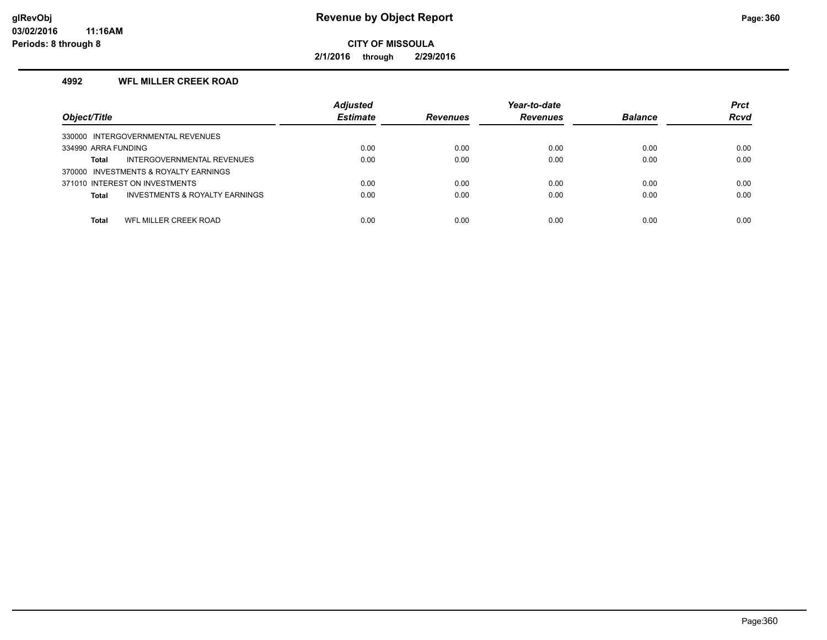**2/1/2016 through 2/29/2016**

## **4992 WFL MILLER CREEK ROAD**

| Object/Title                                              | <b>Adjusted</b><br><b>Estimate</b> | <b>Revenues</b> | Year-to-date<br><b>Revenues</b> | <b>Balance</b> | <b>Prct</b><br><b>Rcvd</b> |
|-----------------------------------------------------------|------------------------------------|-----------------|---------------------------------|----------------|----------------------------|
| 330000 INTERGOVERNMENTAL REVENUES                         |                                    |                 |                                 |                |                            |
| 334990 ARRA FUNDING                                       | 0.00                               | 0.00            | 0.00                            | 0.00           | 0.00                       |
| INTERGOVERNMENTAL REVENUES<br>Total                       | 0.00                               | 0.00            | 0.00                            | 0.00           | 0.00                       |
| 370000 INVESTMENTS & ROYALTY EARNINGS                     |                                    |                 |                                 |                |                            |
| 371010 INTEREST ON INVESTMENTS                            | 0.00                               | 0.00            | 0.00                            | 0.00           | 0.00                       |
| <b>INVESTMENTS &amp; ROYALTY EARNINGS</b><br><b>Total</b> | 0.00                               | 0.00            | 0.00                            | 0.00           | 0.00                       |
|                                                           |                                    |                 |                                 |                |                            |
| WFL MILLER CREEK ROAD<br><b>Total</b>                     | 0.00                               | 0.00            | 0.00                            | 0.00           | 0.00                       |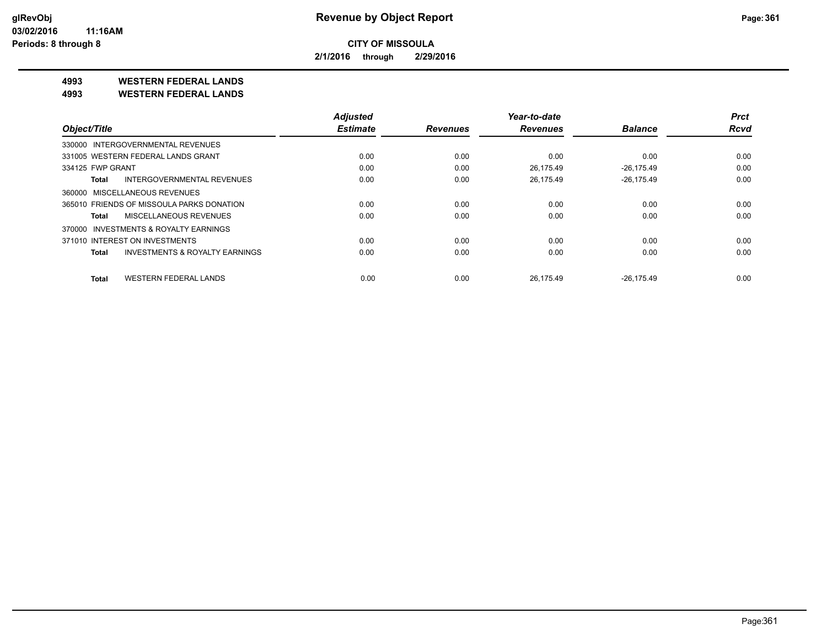**2/1/2016 through 2/29/2016**

**4993 WESTERN FEDERAL LANDS**

**4993 WESTERN FEDERAL LANDS**

|                                              | <b>Adjusted</b> |                 | Year-to-date    |                | <b>Prct</b> |
|----------------------------------------------|-----------------|-----------------|-----------------|----------------|-------------|
| Object/Title                                 | <b>Estimate</b> | <b>Revenues</b> | <b>Revenues</b> | <b>Balance</b> | <b>Rcvd</b> |
| 330000 INTERGOVERNMENTAL REVENUES            |                 |                 |                 |                |             |
| 331005 WESTERN FEDERAL LANDS GRANT           | 0.00            | 0.00            | 0.00            | 0.00           | 0.00        |
| 334125 FWP GRANT                             | 0.00            | 0.00            | 26.175.49       | $-26.175.49$   | 0.00        |
| <b>INTERGOVERNMENTAL REVENUES</b><br>Total   | 0.00            | 0.00            | 26.175.49       | $-26,175.49$   | 0.00        |
| 360000 MISCELLANEOUS REVENUES                |                 |                 |                 |                |             |
| 365010 FRIENDS OF MISSOULA PARKS DONATION    | 0.00            | 0.00            | 0.00            | 0.00           | 0.00        |
| MISCELLANEOUS REVENUES<br>Total              | 0.00            | 0.00            | 0.00            | 0.00           | 0.00        |
| INVESTMENTS & ROYALTY EARNINGS<br>370000     |                 |                 |                 |                |             |
| 371010 INTEREST ON INVESTMENTS               | 0.00            | 0.00            | 0.00            | 0.00           | 0.00        |
| INVESTMENTS & ROYALTY EARNINGS<br>Total      | 0.00            | 0.00            | 0.00            | 0.00           | 0.00        |
| <b>WESTERN FEDERAL LANDS</b><br><b>Total</b> | 0.00            | 0.00            | 26.175.49       | $-26.175.49$   | 0.00        |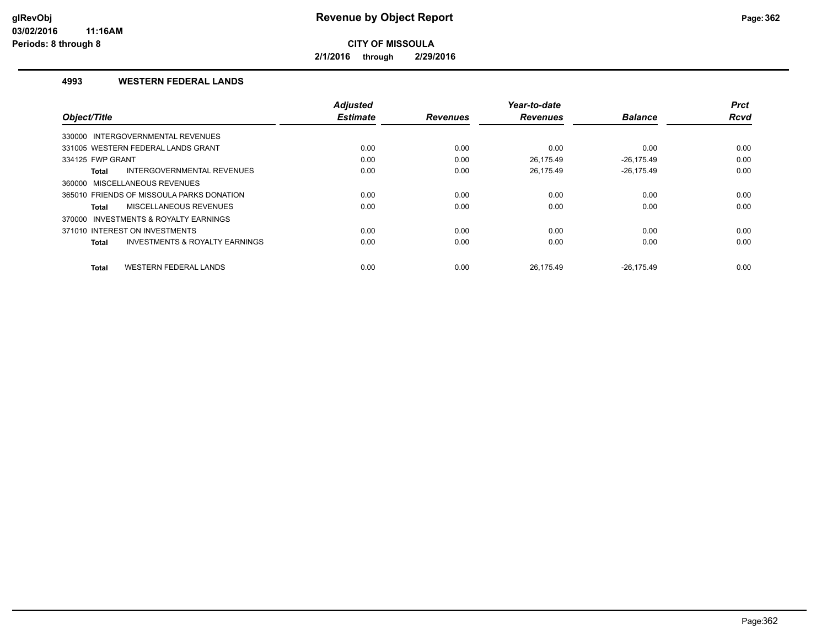**2/1/2016 through 2/29/2016**

#### **4993 WESTERN FEDERAL LANDS**

|                                                           | <b>Adjusted</b> |                 | Year-to-date    |                | <b>Prct</b> |
|-----------------------------------------------------------|-----------------|-----------------|-----------------|----------------|-------------|
| Object/Title                                              | <b>Estimate</b> | <b>Revenues</b> | <b>Revenues</b> | <b>Balance</b> | Rcvd        |
| 330000 INTERGOVERNMENTAL REVENUES                         |                 |                 |                 |                |             |
| 331005 WESTERN FEDERAL LANDS GRANT                        | 0.00            | 0.00            | 0.00            | 0.00           | 0.00        |
| 334125 FWP GRANT                                          | 0.00            | 0.00            | 26.175.49       | $-26.175.49$   | 0.00        |
| <b>INTERGOVERNMENTAL REVENUES</b><br><b>Total</b>         | 0.00            | 0.00            | 26,175.49       | $-26,175.49$   | 0.00        |
| 360000 MISCELLANEOUS REVENUES                             |                 |                 |                 |                |             |
| 365010 FRIENDS OF MISSOULA PARKS DONATION                 | 0.00            | 0.00            | 0.00            | 0.00           | 0.00        |
| MISCELLANEOUS REVENUES<br>Total                           | 0.00            | 0.00            | 0.00            | 0.00           | 0.00        |
| 370000 INVESTMENTS & ROYALTY EARNINGS                     |                 |                 |                 |                |             |
| 371010 INTEREST ON INVESTMENTS                            | 0.00            | 0.00            | 0.00            | 0.00           | 0.00        |
| <b>INVESTMENTS &amp; ROYALTY EARNINGS</b><br><b>Total</b> | 0.00            | 0.00            | 0.00            | 0.00           | 0.00        |
|                                                           |                 |                 |                 |                |             |
| <b>WESTERN FEDERAL LANDS</b><br><b>Total</b>              | 0.00            | 0.00            | 26.175.49       | $-26.175.49$   | 0.00        |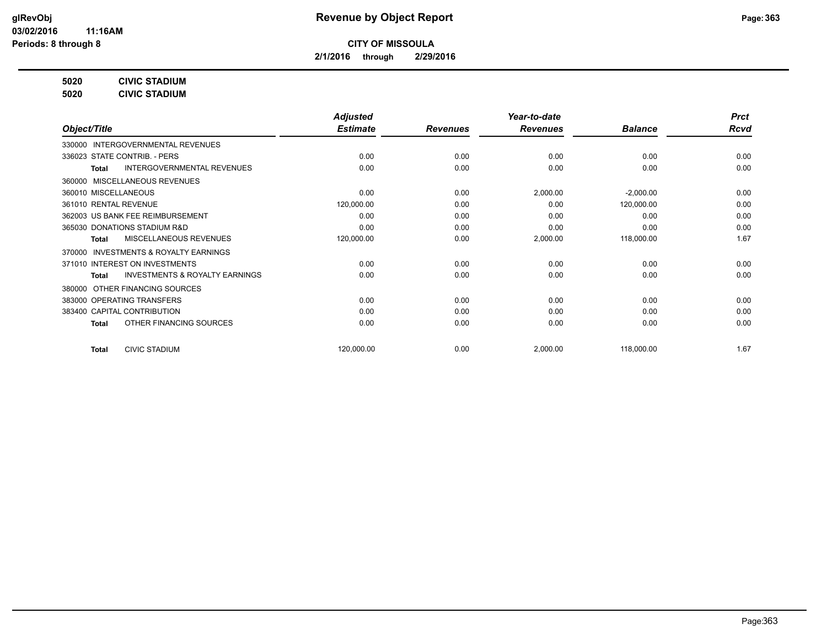**2/1/2016 through 2/29/2016**

**5020 CIVIC STADIUM**

**5020 CIVIC STADIUM**

|                                                    | <b>Adjusted</b> |                 | Year-to-date    |                | <b>Prct</b> |
|----------------------------------------------------|-----------------|-----------------|-----------------|----------------|-------------|
| Object/Title                                       | <b>Estimate</b> | <b>Revenues</b> | <b>Revenues</b> | <b>Balance</b> | <b>Rcvd</b> |
| INTERGOVERNMENTAL REVENUES<br>330000               |                 |                 |                 |                |             |
| 336023 STATE CONTRIB. - PERS                       | 0.00            | 0.00            | 0.00            | 0.00           | 0.00        |
| <b>INTERGOVERNMENTAL REVENUES</b><br>Total         | 0.00            | 0.00            | 0.00            | 0.00           | 0.00        |
| 360000 MISCELLANEOUS REVENUES                      |                 |                 |                 |                |             |
| 360010 MISCELLANEOUS                               | 0.00            | 0.00            | 2,000.00        | $-2,000.00$    | 0.00        |
| 361010 RENTAL REVENUE                              | 120,000.00      | 0.00            | 0.00            | 120,000.00     | 0.00        |
| 362003 US BANK FEE REIMBURSEMENT                   | 0.00            | 0.00            | 0.00            | 0.00           | 0.00        |
| 365030 DONATIONS STADIUM R&D                       | 0.00            | 0.00            | 0.00            | 0.00           | 0.00        |
| MISCELLANEOUS REVENUES<br><b>Total</b>             | 120,000.00      | 0.00            | 2,000.00        | 118,000.00     | 1.67        |
| 370000 INVESTMENTS & ROYALTY EARNINGS              |                 |                 |                 |                |             |
| 371010 INTEREST ON INVESTMENTS                     | 0.00            | 0.00            | 0.00            | 0.00           | 0.00        |
| <b>INVESTMENTS &amp; ROYALTY EARNINGS</b><br>Total | 0.00            | 0.00            | 0.00            | 0.00           | 0.00        |
| 380000 OTHER FINANCING SOURCES                     |                 |                 |                 |                |             |
| 383000 OPERATING TRANSFERS                         | 0.00            | 0.00            | 0.00            | 0.00           | 0.00        |
| 383400 CAPITAL CONTRIBUTION                        | 0.00            | 0.00            | 0.00            | 0.00           | 0.00        |
| OTHER FINANCING SOURCES<br><b>Total</b>            | 0.00            | 0.00            | 0.00            | 0.00           | 0.00        |
|                                                    |                 |                 |                 |                |             |
| <b>CIVIC STADIUM</b><br><b>Total</b>               | 120,000.00      | 0.00            | 2,000.00        | 118,000.00     | 1.67        |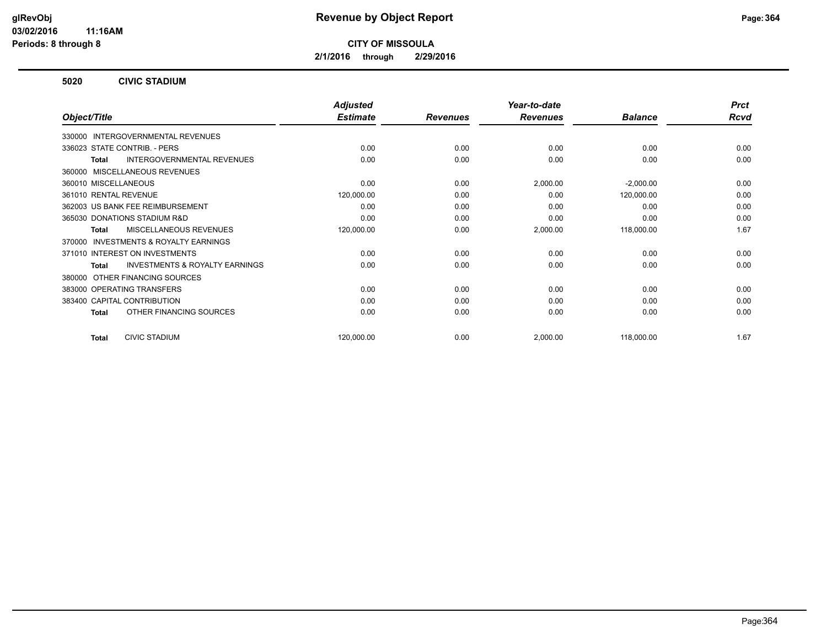**2/1/2016 through 2/29/2016**

#### **5020 CIVIC STADIUM**

|                                                           | <b>Adjusted</b> |                 | Year-to-date    |                | <b>Prct</b> |
|-----------------------------------------------------------|-----------------|-----------------|-----------------|----------------|-------------|
| Object/Title                                              | <b>Estimate</b> | <b>Revenues</b> | <b>Revenues</b> | <b>Balance</b> | <b>Rcvd</b> |
| 330000 INTERGOVERNMENTAL REVENUES                         |                 |                 |                 |                |             |
| 336023 STATE CONTRIB. - PERS                              | 0.00            | 0.00            | 0.00            | 0.00           | 0.00        |
| <b>INTERGOVERNMENTAL REVENUES</b><br>Total                | 0.00            | 0.00            | 0.00            | 0.00           | 0.00        |
| MISCELLANEOUS REVENUES<br>360000                          |                 |                 |                 |                |             |
| 360010 MISCELLANEOUS                                      | 0.00            | 0.00            | 2,000.00        | $-2,000.00$    | 0.00        |
| 361010 RENTAL REVENUE                                     | 120,000.00      | 0.00            | 0.00            | 120,000.00     | 0.00        |
| 362003 US BANK FEE REIMBURSEMENT                          | 0.00            | 0.00            | 0.00            | 0.00           | 0.00        |
| 365030 DONATIONS STADIUM R&D                              | 0.00            | 0.00            | 0.00            | 0.00           | 0.00        |
| <b>MISCELLANEOUS REVENUES</b><br><b>Total</b>             | 120,000.00      | 0.00            | 2,000.00        | 118,000.00     | 1.67        |
| INVESTMENTS & ROYALTY EARNINGS<br>370000                  |                 |                 |                 |                |             |
| 371010 INTEREST ON INVESTMENTS                            | 0.00            | 0.00            | 0.00            | 0.00           | 0.00        |
| <b>INVESTMENTS &amp; ROYALTY EARNINGS</b><br><b>Total</b> | 0.00            | 0.00            | 0.00            | 0.00           | 0.00        |
| OTHER FINANCING SOURCES<br>380000                         |                 |                 |                 |                |             |
| 383000 OPERATING TRANSFERS                                | 0.00            | 0.00            | 0.00            | 0.00           | 0.00        |
| 383400 CAPITAL CONTRIBUTION                               | 0.00            | 0.00            | 0.00            | 0.00           | 0.00        |
| OTHER FINANCING SOURCES<br>Total                          | 0.00            | 0.00            | 0.00            | 0.00           | 0.00        |
| <b>CIVIC STADIUM</b><br><b>Total</b>                      | 120,000.00      | 0.00            | 2,000.00        | 118,000.00     | 1.67        |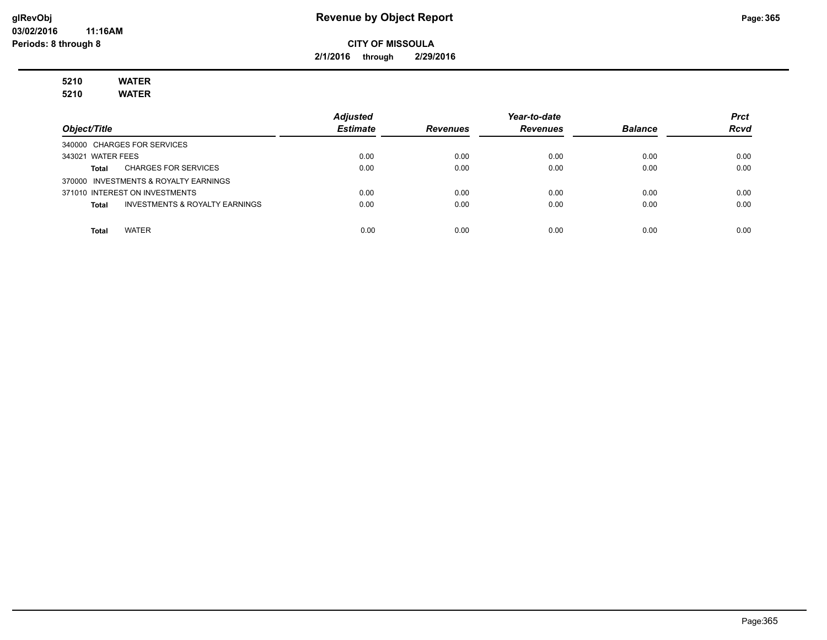#### **glRevObj Revenue by Object Report Page:365**

**CITY OF MISSOULA**

**2/1/2016 through 2/29/2016**

# **5210 WATER**

**5210 WATER**

|                                                | <b>Adjusted</b> |                 | Year-to-date    |                | <b>Prct</b> |
|------------------------------------------------|-----------------|-----------------|-----------------|----------------|-------------|
| Object/Title                                   | <b>Estimate</b> | <b>Revenues</b> | <b>Revenues</b> | <b>Balance</b> | <b>Rcvd</b> |
| 340000 CHARGES FOR SERVICES                    |                 |                 |                 |                |             |
| 343021 WATER FEES                              | 0.00            | 0.00            | 0.00            | 0.00           | 0.00        |
| <b>CHARGES FOR SERVICES</b><br>Total           | 0.00            | 0.00            | 0.00            | 0.00           | 0.00        |
| 370000 INVESTMENTS & ROYALTY EARNINGS          |                 |                 |                 |                |             |
| 371010 INTEREST ON INVESTMENTS                 | 0.00            | 0.00            | 0.00            | 0.00           | 0.00        |
| INVESTMENTS & ROYALTY EARNINGS<br><b>Total</b> | 0.00            | 0.00            | 0.00            | 0.00           | 0.00        |
|                                                |                 |                 |                 |                |             |
| <b>WATER</b><br>Total                          | 0.00            | 0.00            | 0.00            | 0.00           | 0.00        |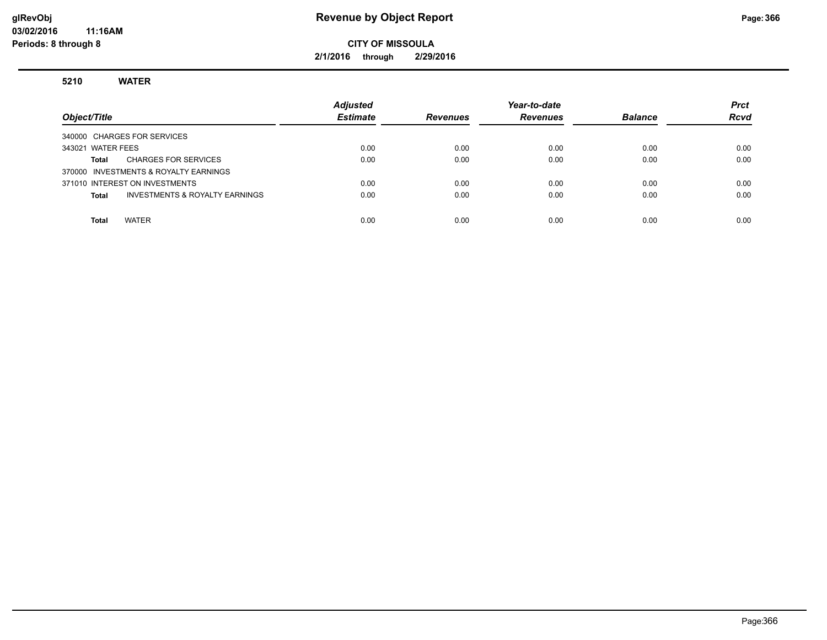#### **glRevObj Revenue by Object Report Page:366**

**CITY OF MISSOULA**

**2/1/2016 through 2/29/2016**

**5210 WATER**

| Object/Title                                       | <b>Adjusted</b><br><b>Estimate</b> | <b>Revenues</b> | Year-to-date<br><b>Revenues</b> | <b>Balance</b> | <b>Prct</b><br><b>Rcvd</b> |
|----------------------------------------------------|------------------------------------|-----------------|---------------------------------|----------------|----------------------------|
| 340000 CHARGES FOR SERVICES                        |                                    |                 |                                 |                |                            |
| 343021 WATER FEES                                  | 0.00                               | 0.00            | 0.00                            | 0.00           | 0.00                       |
| <b>CHARGES FOR SERVICES</b><br>Total               | 0.00                               | 0.00            | 0.00                            | 0.00           | 0.00                       |
| 370000 INVESTMENTS & ROYALTY EARNINGS              |                                    |                 |                                 |                |                            |
| 371010 INTEREST ON INVESTMENTS                     | 0.00                               | 0.00            | 0.00                            | 0.00           | 0.00                       |
| <b>INVESTMENTS &amp; ROYALTY EARNINGS</b><br>Total | 0.00                               | 0.00            | 0.00                            | 0.00           | 0.00                       |
|                                                    |                                    |                 |                                 |                |                            |
| <b>WATER</b><br>Total                              | 0.00                               | 0.00            | 0.00                            | 0.00           | 0.00                       |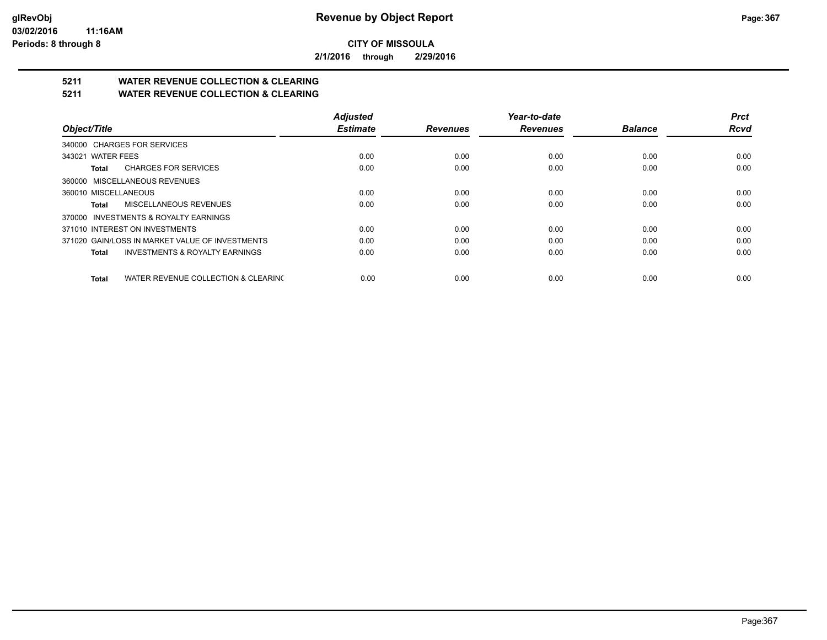**2/1/2016 through 2/29/2016**

## **5211 WATER REVENUE COLLECTION & CLEARING**

**5211 WATER REVENUE COLLECTION & CLEARING**

|                                                     | <b>Adjusted</b> |                 | Year-to-date    |                | <b>Prct</b> |
|-----------------------------------------------------|-----------------|-----------------|-----------------|----------------|-------------|
| Object/Title                                        | <b>Estimate</b> | <b>Revenues</b> | <b>Revenues</b> | <b>Balance</b> | <b>Rcvd</b> |
| 340000 CHARGES FOR SERVICES                         |                 |                 |                 |                |             |
| 343021 WATER FEES                                   | 0.00            | 0.00            | 0.00            | 0.00           | 0.00        |
| <b>CHARGES FOR SERVICES</b><br>Total                | 0.00            | 0.00            | 0.00            | 0.00           | 0.00        |
| 360000 MISCELLANEOUS REVENUES                       |                 |                 |                 |                |             |
| 360010 MISCELLANEOUS                                | 0.00            | 0.00            | 0.00            | 0.00           | 0.00        |
| MISCELLANEOUS REVENUES<br>Total                     | 0.00            | 0.00            | 0.00            | 0.00           | 0.00        |
| 370000 INVESTMENTS & ROYALTY EARNINGS               |                 |                 |                 |                |             |
| 371010 INTEREST ON INVESTMENTS                      | 0.00            | 0.00            | 0.00            | 0.00           | 0.00        |
| 371020 GAIN/LOSS IN MARKET VALUE OF INVESTMENTS     | 0.00            | 0.00            | 0.00            | 0.00           | 0.00        |
| <b>INVESTMENTS &amp; ROYALTY EARNINGS</b><br>Total  | 0.00            | 0.00            | 0.00            | 0.00           | 0.00        |
| WATER REVENUE COLLECTION & CLEARING<br><b>Total</b> | 0.00            | 0.00            | 0.00            | 0.00           | 0.00        |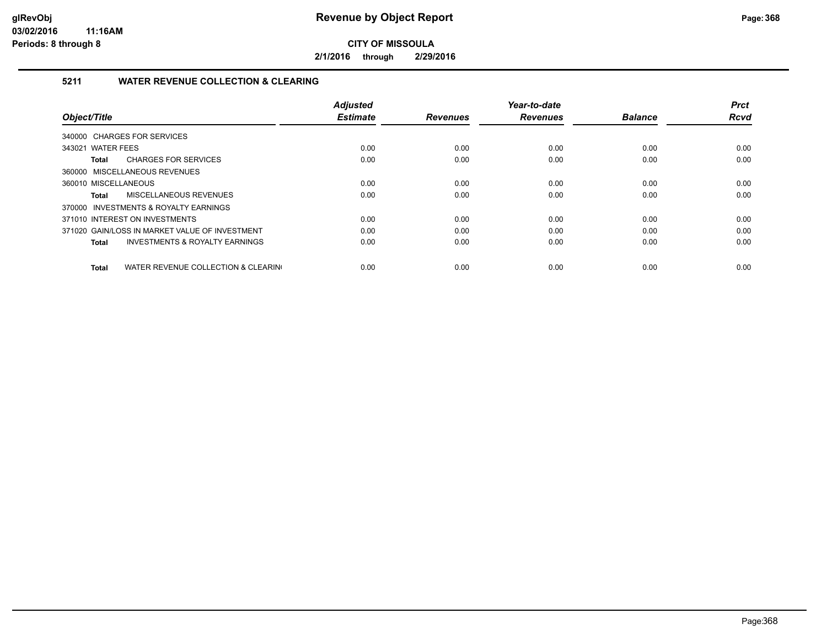**2/1/2016 through 2/29/2016**

#### **5211 WATER REVENUE COLLECTION & CLEARING**

|                                                     | <b>Adjusted</b> |                 | Year-to-date    |                | <b>Prct</b> |
|-----------------------------------------------------|-----------------|-----------------|-----------------|----------------|-------------|
| Object/Title                                        | <b>Estimate</b> | <b>Revenues</b> | <b>Revenues</b> | <b>Balance</b> | <b>Rcvd</b> |
| 340000 CHARGES FOR SERVICES                         |                 |                 |                 |                |             |
| 343021 WATER FEES                                   | 0.00            | 0.00            | 0.00            | 0.00           | 0.00        |
| <b>CHARGES FOR SERVICES</b><br>Total                | 0.00            | 0.00            | 0.00            | 0.00           | 0.00        |
| 360000 MISCELLANEOUS REVENUES                       |                 |                 |                 |                |             |
| 360010 MISCELLANEOUS                                | 0.00            | 0.00            | 0.00            | 0.00           | 0.00        |
| MISCELLANEOUS REVENUES<br><b>Total</b>              | 0.00            | 0.00            | 0.00            | 0.00           | 0.00        |
| 370000 INVESTMENTS & ROYALTY EARNINGS               |                 |                 |                 |                |             |
| 371010 INTEREST ON INVESTMENTS                      | 0.00            | 0.00            | 0.00            | 0.00           | 0.00        |
| 371020 GAIN/LOSS IN MARKET VALUE OF INVESTMENT      | 0.00            | 0.00            | 0.00            | 0.00           | 0.00        |
| <b>INVESTMENTS &amp; ROYALTY EARNINGS</b><br>Total  | 0.00            | 0.00            | 0.00            | 0.00           | 0.00        |
|                                                     |                 |                 |                 |                |             |
| WATER REVENUE COLLECTION & CLEARING<br><b>Total</b> | 0.00            | 0.00            | 0.00            | 0.00           | 0.00        |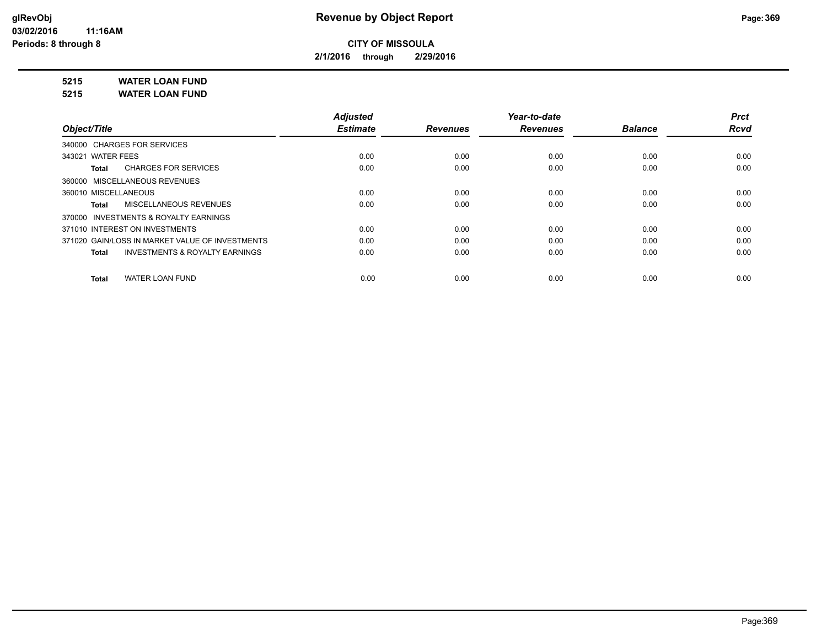**2/1/2016 through 2/29/2016**

**5215 WATER LOAN FUND**

**5215 WATER LOAN FUND**

|                                                    | <b>Adjusted</b> |                 | Year-to-date    |                | <b>Prct</b> |
|----------------------------------------------------|-----------------|-----------------|-----------------|----------------|-------------|
| Object/Title                                       | <b>Estimate</b> | <b>Revenues</b> | <b>Revenues</b> | <b>Balance</b> | <b>Rcvd</b> |
| 340000 CHARGES FOR SERVICES                        |                 |                 |                 |                |             |
| 343021 WATER FEES                                  | 0.00            | 0.00            | 0.00            | 0.00           | 0.00        |
| <b>CHARGES FOR SERVICES</b><br>Total               | 0.00            | 0.00            | 0.00            | 0.00           | 0.00        |
| 360000 MISCELLANEOUS REVENUES                      |                 |                 |                 |                |             |
| 360010 MISCELLANEOUS                               | 0.00            | 0.00            | 0.00            | 0.00           | 0.00        |
| MISCELLANEOUS REVENUES<br>Total                    | 0.00            | 0.00            | 0.00            | 0.00           | 0.00        |
| 370000 INVESTMENTS & ROYALTY EARNINGS              |                 |                 |                 |                |             |
| 371010 INTEREST ON INVESTMENTS                     | 0.00            | 0.00            | 0.00            | 0.00           | 0.00        |
| 371020 GAIN/LOSS IN MARKET VALUE OF INVESTMENTS    | 0.00            | 0.00            | 0.00            | 0.00           | 0.00        |
| <b>INVESTMENTS &amp; ROYALTY EARNINGS</b><br>Total | 0.00            | 0.00            | 0.00            | 0.00           | 0.00        |
| <b>WATER LOAN FUND</b><br>Total                    | 0.00            | 0.00            | 0.00            | 0.00           | 0.00        |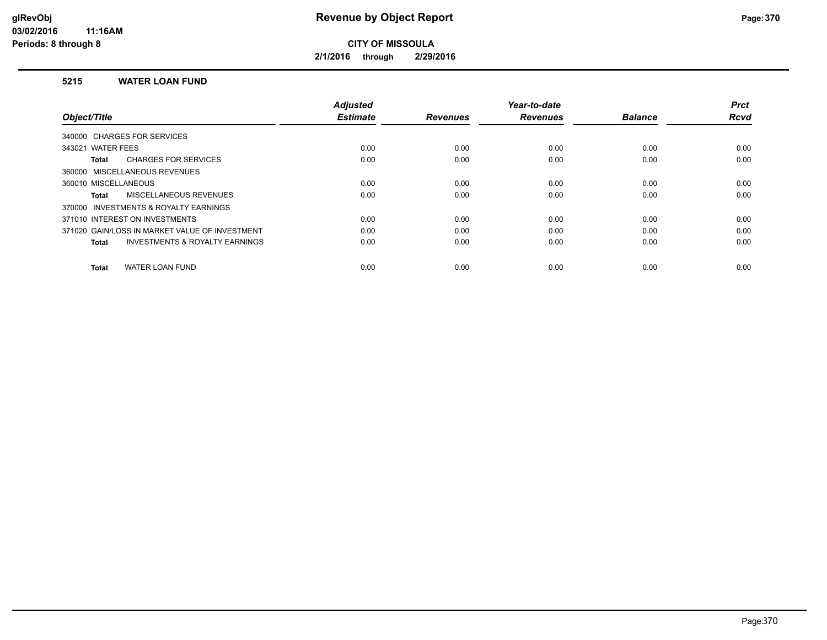**2/1/2016 through 2/29/2016**

#### **5215 WATER LOAN FUND**

|                                                           | <b>Adjusted</b> |                 | Year-to-date    |                | <b>Prct</b> |
|-----------------------------------------------------------|-----------------|-----------------|-----------------|----------------|-------------|
| Object/Title                                              | <b>Estimate</b> | <b>Revenues</b> | <b>Revenues</b> | <b>Balance</b> | <b>Rcvd</b> |
| 340000 CHARGES FOR SERVICES                               |                 |                 |                 |                |             |
| 343021 WATER FEES                                         | 0.00            | 0.00            | 0.00            | 0.00           | 0.00        |
| <b>CHARGES FOR SERVICES</b><br>Total                      | 0.00            | 0.00            | 0.00            | 0.00           | 0.00        |
| 360000 MISCELLANEOUS REVENUES                             |                 |                 |                 |                |             |
| 360010 MISCELLANEOUS                                      | 0.00            | 0.00            | 0.00            | 0.00           | 0.00        |
| MISCELLANEOUS REVENUES<br><b>Total</b>                    | 0.00            | 0.00            | 0.00            | 0.00           | 0.00        |
| 370000 INVESTMENTS & ROYALTY EARNINGS                     |                 |                 |                 |                |             |
| 371010 INTEREST ON INVESTMENTS                            | 0.00            | 0.00            | 0.00            | 0.00           | 0.00        |
| 371020 GAIN/LOSS IN MARKET VALUE OF INVESTMENT            | 0.00            | 0.00            | 0.00            | 0.00           | 0.00        |
| <b>INVESTMENTS &amp; ROYALTY EARNINGS</b><br><b>Total</b> | 0.00            | 0.00            | 0.00            | 0.00           | 0.00        |
|                                                           |                 |                 |                 |                |             |
| <b>WATER LOAN FUND</b><br><b>Total</b>                    | 0.00            | 0.00            | 0.00            | 0.00           | 0.00        |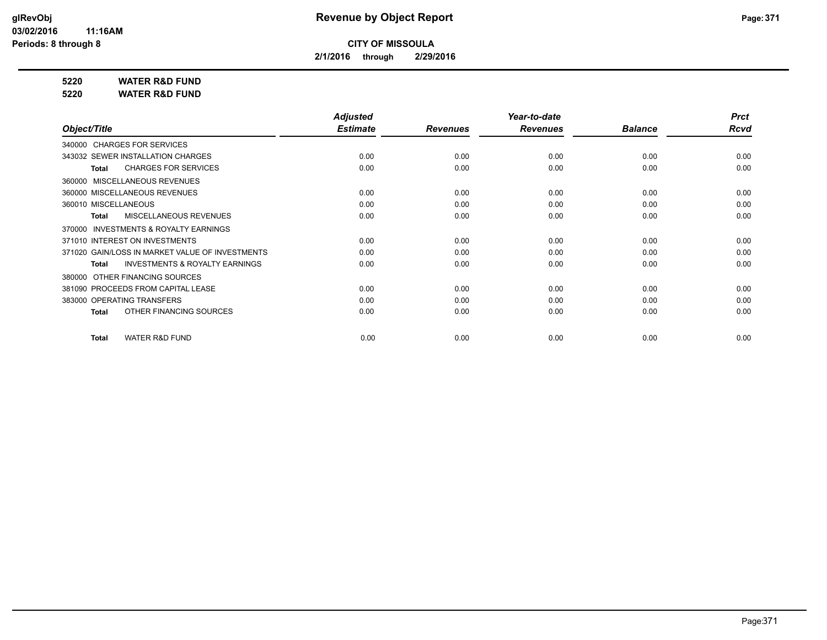**2/1/2016 through 2/29/2016**

**5220 WATER R&D FUND**

**5220 WATER R&D FUND**

|                                                           | <b>Adjusted</b> |                 | Year-to-date    |                | <b>Prct</b> |
|-----------------------------------------------------------|-----------------|-----------------|-----------------|----------------|-------------|
| Object/Title                                              | <b>Estimate</b> | <b>Revenues</b> | <b>Revenues</b> | <b>Balance</b> | <b>Rcvd</b> |
| 340000 CHARGES FOR SERVICES                               |                 |                 |                 |                |             |
| 343032 SEWER INSTALLATION CHARGES                         | 0.00            | 0.00            | 0.00            | 0.00           | 0.00        |
| <b>CHARGES FOR SERVICES</b><br>Total                      | 0.00            | 0.00            | 0.00            | 0.00           | 0.00        |
| 360000 MISCELLANEOUS REVENUES                             |                 |                 |                 |                |             |
| 360000 MISCELLANEOUS REVENUES                             | 0.00            | 0.00            | 0.00            | 0.00           | 0.00        |
| 360010 MISCELLANEOUS                                      | 0.00            | 0.00            | 0.00            | 0.00           | 0.00        |
| MISCELLANEOUS REVENUES<br>Total                           | 0.00            | 0.00            | 0.00            | 0.00           | 0.00        |
| INVESTMENTS & ROYALTY EARNINGS<br>370000                  |                 |                 |                 |                |             |
| 371010 INTEREST ON INVESTMENTS                            | 0.00            | 0.00            | 0.00            | 0.00           | 0.00        |
| 371020 GAIN/LOSS IN MARKET VALUE OF INVESTMENTS           | 0.00            | 0.00            | 0.00            | 0.00           | 0.00        |
| <b>INVESTMENTS &amp; ROYALTY EARNINGS</b><br><b>Total</b> | 0.00            | 0.00            | 0.00            | 0.00           | 0.00        |
| 380000 OTHER FINANCING SOURCES                            |                 |                 |                 |                |             |
| 381090 PROCEEDS FROM CAPITAL LEASE                        | 0.00            | 0.00            | 0.00            | 0.00           | 0.00        |
| 383000 OPERATING TRANSFERS                                | 0.00            | 0.00            | 0.00            | 0.00           | 0.00        |
| OTHER FINANCING SOURCES<br><b>Total</b>                   | 0.00            | 0.00            | 0.00            | 0.00           | 0.00        |
|                                                           |                 |                 |                 |                |             |
| <b>WATER R&amp;D FUND</b><br><b>Total</b>                 | 0.00            | 0.00            | 0.00            | 0.00           | 0.00        |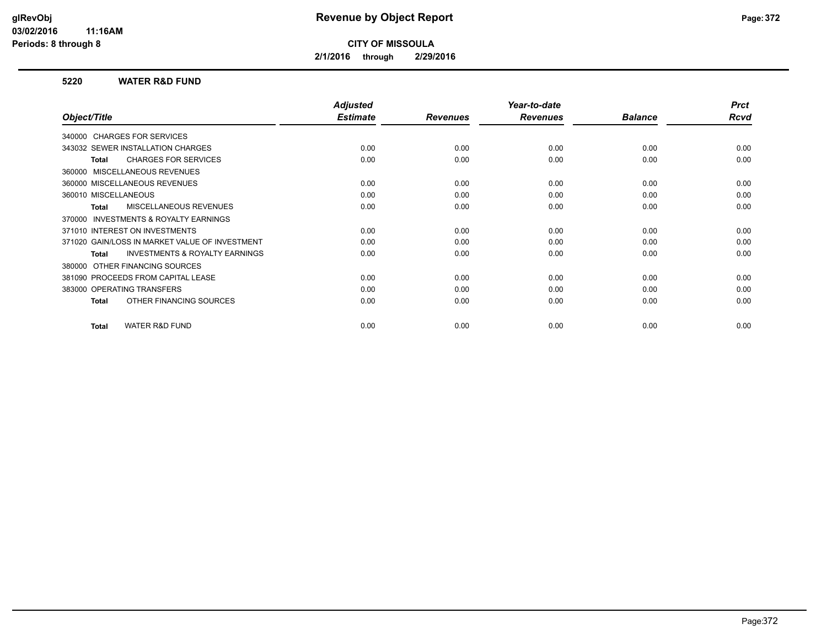**2/1/2016 through 2/29/2016**

#### **5220 WATER R&D FUND**

|                                                           | <b>Adjusted</b> |                 | Year-to-date    |                | <b>Prct</b> |
|-----------------------------------------------------------|-----------------|-----------------|-----------------|----------------|-------------|
| Object/Title                                              | <b>Estimate</b> | <b>Revenues</b> | <b>Revenues</b> | <b>Balance</b> | Rcvd        |
| 340000 CHARGES FOR SERVICES                               |                 |                 |                 |                |             |
| 343032 SEWER INSTALLATION CHARGES                         | 0.00            | 0.00            | 0.00            | 0.00           | 0.00        |
| <b>CHARGES FOR SERVICES</b><br>Total                      | 0.00            | 0.00            | 0.00            | 0.00           | 0.00        |
| 360000 MISCELLANEOUS REVENUES                             |                 |                 |                 |                |             |
| 360000 MISCELLANEOUS REVENUES                             | 0.00            | 0.00            | 0.00            | 0.00           | 0.00        |
| 360010 MISCELLANEOUS                                      | 0.00            | 0.00            | 0.00            | 0.00           | 0.00        |
| <b>MISCELLANEOUS REVENUES</b><br>Total                    | 0.00            | 0.00            | 0.00            | 0.00           | 0.00        |
| INVESTMENTS & ROYALTY EARNINGS<br>370000                  |                 |                 |                 |                |             |
| 371010 INTEREST ON INVESTMENTS                            | 0.00            | 0.00            | 0.00            | 0.00           | 0.00        |
| 371020 GAIN/LOSS IN MARKET VALUE OF INVESTMENT            | 0.00            | 0.00            | 0.00            | 0.00           | 0.00        |
| <b>INVESTMENTS &amp; ROYALTY EARNINGS</b><br><b>Total</b> | 0.00            | 0.00            | 0.00            | 0.00           | 0.00        |
| OTHER FINANCING SOURCES<br>380000                         |                 |                 |                 |                |             |
| 381090 PROCEEDS FROM CAPITAL LEASE                        | 0.00            | 0.00            | 0.00            | 0.00           | 0.00        |
| 383000 OPERATING TRANSFERS                                | 0.00            | 0.00            | 0.00            | 0.00           | 0.00        |
| OTHER FINANCING SOURCES<br><b>Total</b>                   | 0.00            | 0.00            | 0.00            | 0.00           | 0.00        |
|                                                           |                 |                 |                 |                |             |
| <b>WATER R&amp;D FUND</b><br>Total                        | 0.00            | 0.00            | 0.00            | 0.00           | 0.00        |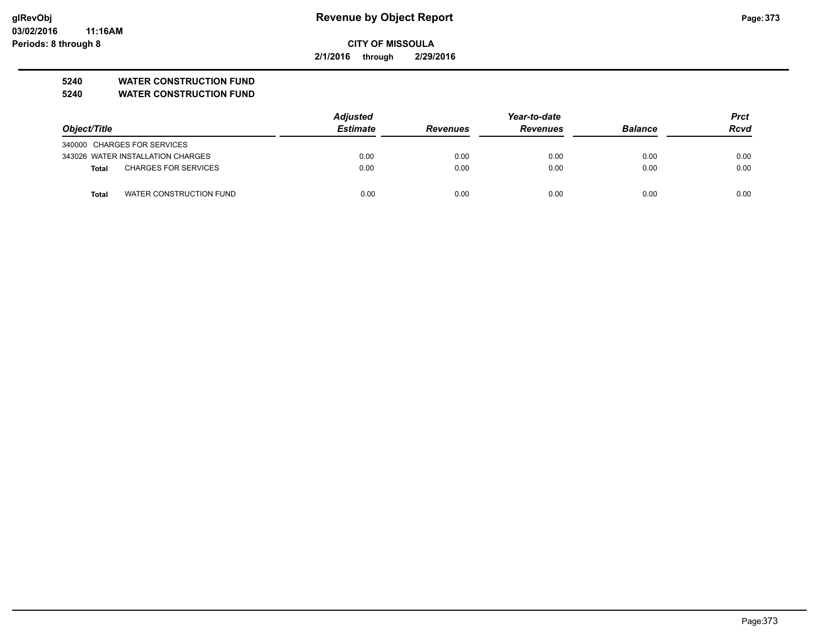**03/02/2016 11:16AM Periods: 8 through 8**

## **CITY OF MISSOULA**

**2/1/2016 through 2/29/2016**

### **5240 WATER CONSTRUCTION FUND**

**5240 WATER CONSTRUCTION FUND**

|                             |                                   | <b>Adjusted</b> | Year-to-date    |                 |                | <b>Prct</b> |
|-----------------------------|-----------------------------------|-----------------|-----------------|-----------------|----------------|-------------|
| Object/Title                |                                   | <b>Estimate</b> | <b>Revenues</b> | <b>Revenues</b> | <b>Balance</b> | <b>Rcvd</b> |
| 340000 CHARGES FOR SERVICES |                                   |                 |                 |                 |                |             |
|                             | 343026 WATER INSTALLATION CHARGES | 0.00            | 0.00            | 0.00            | 0.00           | 0.00        |
| Total                       | <b>CHARGES FOR SERVICES</b>       | 0.00            | 0.00            | 0.00            | 0.00           | 0.00        |
| <b>Total</b>                | WATER CONSTRUCTION FUND           | 0.00            | 0.00            | 0.00            | 0.00           | 0.00        |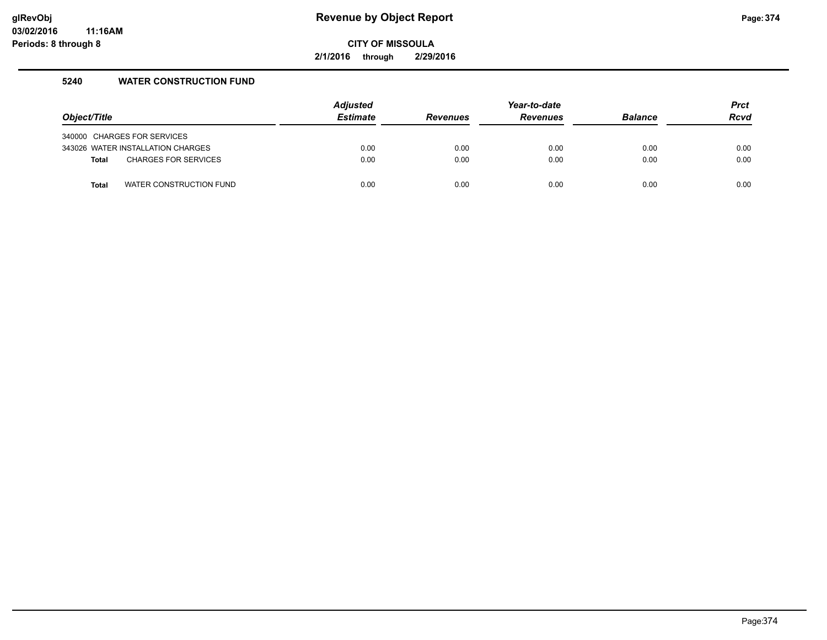**2/1/2016 through 2/29/2016**

#### **5240 WATER CONSTRUCTION FUND**

| Object/Title |                                                                  | <b>Adjusted</b><br><b>Estimate</b> | <b>Revenues</b> | Year-to-date<br><b>Revenues</b> | <b>Balance</b> | <b>Prct</b><br><b>Rcvd</b> |
|--------------|------------------------------------------------------------------|------------------------------------|-----------------|---------------------------------|----------------|----------------------------|
|              |                                                                  |                                    |                 |                                 |                |                            |
|              | 340000 CHARGES FOR SERVICES<br>343026 WATER INSTALLATION CHARGES | 0.00                               | 0.00            | 0.00                            | 0.00           | 0.00                       |
| <b>Total</b> | <b>CHARGES FOR SERVICES</b>                                      | 0.00                               | 0.00            | 0.00                            | 0.00           | 0.00                       |
|              |                                                                  |                                    |                 |                                 |                |                            |
| Total        | WATER CONSTRUCTION FUND                                          | 0.00                               | 0.00            | 0.00                            | 0.00           | 0.00                       |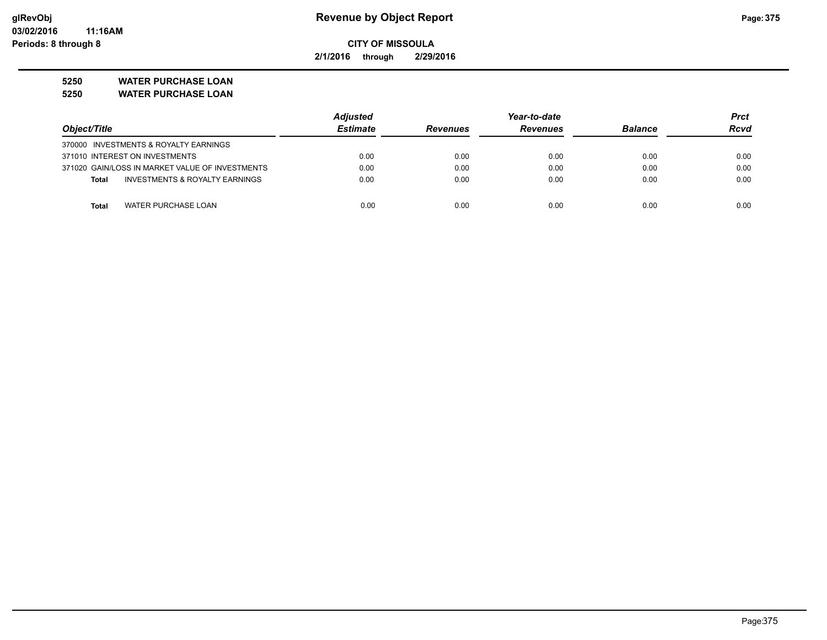**2/1/2016 through 2/29/2016**

**5250 WATER PURCHASE LOAN**

| 5250 | <b>WATER PURCHASE LOAN</b> |
|------|----------------------------|
|------|----------------------------|

|                                                           | <b>Adjusted</b> | Year-to-date                       |      |                | Prct |
|-----------------------------------------------------------|-----------------|------------------------------------|------|----------------|------|
| Object/Title                                              | <b>Estimate</b> | <b>Revenues</b><br><b>Revenues</b> |      | <b>Balance</b> | Rcvd |
| 370000 INVESTMENTS & ROYALTY EARNINGS                     |                 |                                    |      |                |      |
| 371010 INTEREST ON INVESTMENTS                            | 0.00            | 0.00                               | 0.00 | 0.00           | 0.00 |
| 371020 GAIN/LOSS IN MARKET VALUE OF INVESTMENTS           | 0.00            | 0.00                               | 0.00 | 0.00           | 0.00 |
| <b>INVESTMENTS &amp; ROYALTY EARNINGS</b><br><b>Total</b> | 0.00            | 0.00                               | 0.00 | 0.00           | 0.00 |
| <b>WATER PURCHASE LOAN</b><br><b>Total</b>                | 0.00            | 0.00                               | 0.00 | 0.00           | 0.00 |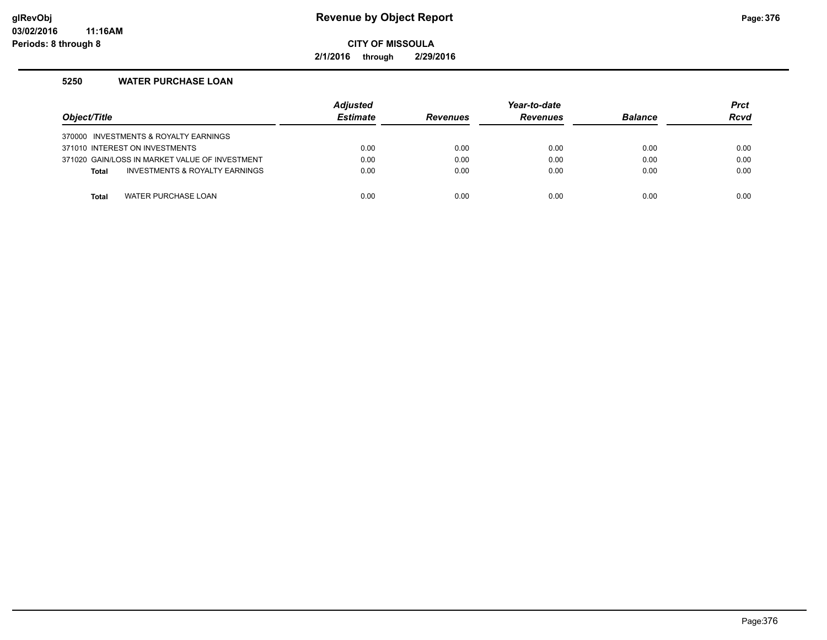#### **glRevObj Revenue by Object Report Page:376**

**CITY OF MISSOULA**

**2/1/2016 through 2/29/2016**

#### **5250 WATER PURCHASE LOAN**

| Object/Title |                                                | <b>Adjusted</b><br><b>Estimate</b> | <b>Revenues</b> | Year-to-date<br><b>Revenues</b> | <b>Balance</b> | <b>Prct</b><br><b>Rcvd</b> |
|--------------|------------------------------------------------|------------------------------------|-----------------|---------------------------------|----------------|----------------------------|
|              | 370000 INVESTMENTS & ROYALTY EARNINGS          |                                    |                 |                                 |                |                            |
|              | 371010 INTEREST ON INVESTMENTS                 | 0.00                               | 0.00            | 0.00                            | 0.00           | 0.00                       |
|              | 371020 GAIN/LOSS IN MARKET VALUE OF INVESTMENT | 0.00                               | 0.00            | 0.00                            | 0.00           | 0.00                       |
| <b>Total</b> | <b>INVESTMENTS &amp; ROYALTY EARNINGS</b>      | 0.00                               | 0.00            | 0.00                            | 0.00           | 0.00                       |
|              |                                                |                                    |                 |                                 |                |                            |
| <b>Total</b> | WATER PURCHASE LOAN                            | 0.00                               | 0.00            | 0.00                            | 0.00           | 0.00                       |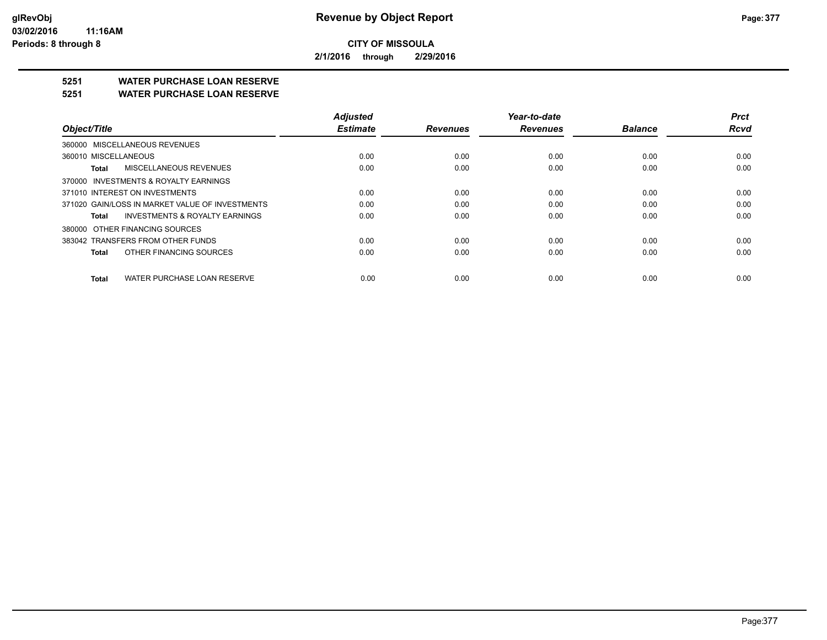**2/1/2016 through 2/29/2016**

## **5251 WATER PURCHASE LOAN RESERVE**

#### **5251 WATER PURCHASE LOAN RESERVE**

|                                                 | <b>Adjusted</b> |                 | Year-to-date    |                | <b>Prct</b> |
|-------------------------------------------------|-----------------|-----------------|-----------------|----------------|-------------|
| Object/Title                                    | <b>Estimate</b> | <b>Revenues</b> | <b>Revenues</b> | <b>Balance</b> | <b>Rcvd</b> |
| 360000 MISCELLANEOUS REVENUES                   |                 |                 |                 |                |             |
| 360010 MISCELLANEOUS                            | 0.00            | 0.00            | 0.00            | 0.00           | 0.00        |
| MISCELLANEOUS REVENUES<br>Total                 | 0.00            | 0.00            | 0.00            | 0.00           | 0.00        |
| 370000 INVESTMENTS & ROYALTY EARNINGS           |                 |                 |                 |                |             |
| 371010 INTEREST ON INVESTMENTS                  | 0.00            | 0.00            | 0.00            | 0.00           | 0.00        |
| 371020 GAIN/LOSS IN MARKET VALUE OF INVESTMENTS | 0.00            | 0.00            | 0.00            | 0.00           | 0.00        |
| INVESTMENTS & ROYALTY EARNINGS<br>Total         | 0.00            | 0.00            | 0.00            | 0.00           | 0.00        |
| 380000 OTHER FINANCING SOURCES                  |                 |                 |                 |                |             |
| 383042 TRANSFERS FROM OTHER FUNDS               | 0.00            | 0.00            | 0.00            | 0.00           | 0.00        |
| OTHER FINANCING SOURCES<br>Total                | 0.00            | 0.00            | 0.00            | 0.00           | 0.00        |
| WATER PURCHASE LOAN RESERVE<br>Total            | 0.00            | 0.00            | 0.00            | 0.00           | 0.00        |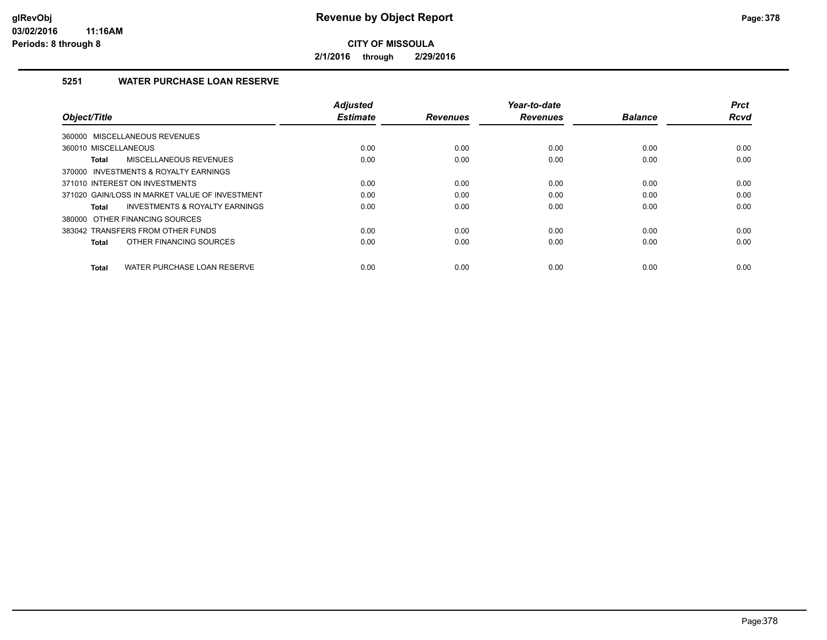**2/1/2016 through 2/29/2016**

#### **5251 WATER PURCHASE LOAN RESERVE**

| Object/Title                                       | <b>Adjusted</b><br><b>Estimate</b> | <b>Revenues</b> | Year-to-date<br><b>Revenues</b> | <b>Balance</b> | <b>Prct</b><br><b>Rcvd</b> |
|----------------------------------------------------|------------------------------------|-----------------|---------------------------------|----------------|----------------------------|
|                                                    |                                    |                 |                                 |                |                            |
| 360000 MISCELLANEOUS REVENUES                      |                                    |                 |                                 |                |                            |
| 360010 MISCELLANEOUS                               | 0.00                               | 0.00            | 0.00                            | 0.00           | 0.00                       |
| MISCELLANEOUS REVENUES<br>Total                    | 0.00                               | 0.00            | 0.00                            | 0.00           | 0.00                       |
| 370000 INVESTMENTS & ROYALTY EARNINGS              |                                    |                 |                                 |                |                            |
| 371010 INTEREST ON INVESTMENTS                     | 0.00                               | 0.00            | 0.00                            | 0.00           | 0.00                       |
| 371020 GAIN/LOSS IN MARKET VALUE OF INVESTMENT     | 0.00                               | 0.00            | 0.00                            | 0.00           | 0.00                       |
| <b>INVESTMENTS &amp; ROYALTY EARNINGS</b><br>Total | 0.00                               | 0.00            | 0.00                            | 0.00           | 0.00                       |
| 380000 OTHER FINANCING SOURCES                     |                                    |                 |                                 |                |                            |
| 383042 TRANSFERS FROM OTHER FUNDS                  | 0.00                               | 0.00            | 0.00                            | 0.00           | 0.00                       |
| OTHER FINANCING SOURCES<br>Total                   | 0.00                               | 0.00            | 0.00                            | 0.00           | 0.00                       |
| WATER PURCHASE LOAN RESERVE<br>Total               | 0.00                               | 0.00            | 0.00                            | 0.00           | 0.00                       |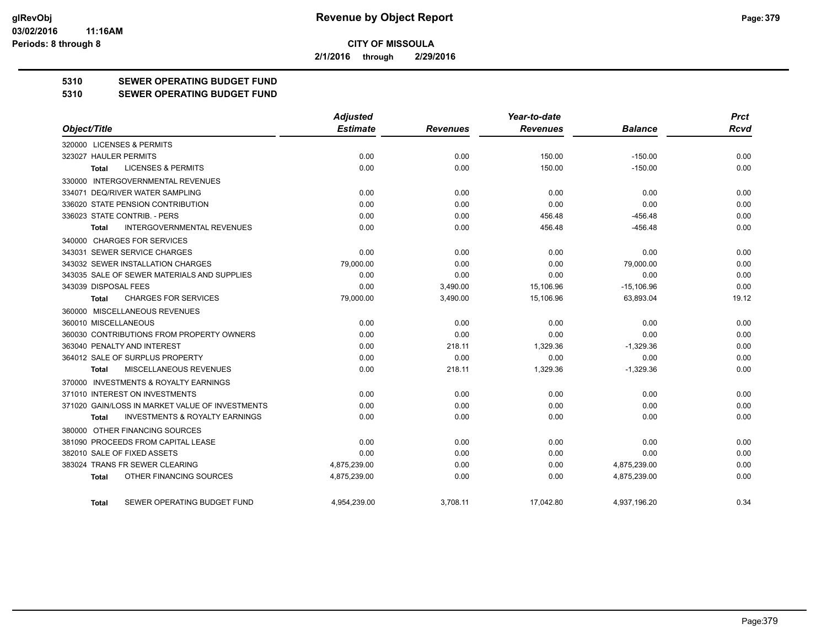**2/1/2016 through 2/29/2016**

### **5310 SEWER OPERATING BUDGET FUND**

#### **5310 SEWER OPERATING BUDGET FUND**

|                                                           | <b>Adjusted</b> |                 | Year-to-date    |                | <b>Prct</b> |
|-----------------------------------------------------------|-----------------|-----------------|-----------------|----------------|-------------|
| Object/Title                                              | <b>Estimate</b> | <b>Revenues</b> | <b>Revenues</b> | <b>Balance</b> | Rcvd        |
| 320000 LICENSES & PERMITS                                 |                 |                 |                 |                |             |
| 323027 HAULER PERMITS                                     | 0.00            | 0.00            | 150.00          | $-150.00$      | 0.00        |
| <b>LICENSES &amp; PERMITS</b><br><b>Total</b>             | 0.00            | 0.00            | 150.00          | $-150.00$      | 0.00        |
| 330000 INTERGOVERNMENTAL REVENUES                         |                 |                 |                 |                |             |
| 334071 DEQ/RIVER WATER SAMPLING                           | 0.00            | 0.00            | 0.00            | 0.00           | 0.00        |
| 336020 STATE PENSION CONTRIBUTION                         | 0.00            | 0.00            | 0.00            | 0.00           | 0.00        |
| 336023 STATE CONTRIB. - PERS                              | 0.00            | 0.00            | 456.48          | $-456.48$      | 0.00        |
| <b>INTERGOVERNMENTAL REVENUES</b><br>Total                | 0.00            | 0.00            | 456.48          | $-456.48$      | 0.00        |
| 340000 CHARGES FOR SERVICES                               |                 |                 |                 |                |             |
| 343031 SEWER SERVICE CHARGES                              | 0.00            | 0.00            | 0.00            | 0.00           | 0.00        |
| 343032 SEWER INSTALLATION CHARGES                         | 79,000.00       | 0.00            | 0.00            | 79,000.00      | 0.00        |
| 343035 SALE OF SEWER MATERIALS AND SUPPLIES               | 0.00            | 0.00            | 0.00            | 0.00           | 0.00        |
| 343039 DISPOSAL FEES                                      | 0.00            | 3,490.00        | 15,106.96       | $-15,106.96$   | 0.00        |
| <b>CHARGES FOR SERVICES</b><br><b>Total</b>               | 79,000.00       | 3,490.00        | 15,106.96       | 63,893.04      | 19.12       |
| 360000 MISCELLANEOUS REVENUES                             |                 |                 |                 |                |             |
| 360010 MISCELLANEOUS                                      | 0.00            | 0.00            | 0.00            | 0.00           | 0.00        |
| 360030 CONTRIBUTIONS FROM PROPERTY OWNERS                 | 0.00            | 0.00            | 0.00            | 0.00           | 0.00        |
| 363040 PENALTY AND INTEREST                               | 0.00            | 218.11          | 1,329.36        | $-1,329.36$    | 0.00        |
| 364012 SALE OF SURPLUS PROPERTY                           | 0.00            | 0.00            | 0.00            | 0.00           | 0.00        |
| MISCELLANEOUS REVENUES<br><b>Total</b>                    | 0.00            | 218.11          | 1,329.36        | $-1,329.36$    | 0.00        |
| 370000 INVESTMENTS & ROYALTY EARNINGS                     |                 |                 |                 |                |             |
| 371010 INTEREST ON INVESTMENTS                            | 0.00            | 0.00            | 0.00            | 0.00           | 0.00        |
| 371020 GAIN/LOSS IN MARKET VALUE OF INVESTMENTS           | 0.00            | 0.00            | 0.00            | 0.00           | 0.00        |
| <b>INVESTMENTS &amp; ROYALTY EARNINGS</b><br><b>Total</b> | 0.00            | 0.00            | 0.00            | 0.00           | 0.00        |
| 380000 OTHER FINANCING SOURCES                            |                 |                 |                 |                |             |
| 381090 PROCEEDS FROM CAPITAL LEASE                        | 0.00            | 0.00            | 0.00            | 0.00           | 0.00        |
| 382010 SALE OF FIXED ASSETS                               | 0.00            | 0.00            | 0.00            | 0.00           | 0.00        |
| 383024 TRANS FR SEWER CLEARING                            | 4,875,239.00    | 0.00            | 0.00            | 4,875,239.00   | 0.00        |
| OTHER FINANCING SOURCES<br><b>Total</b>                   | 4,875,239.00    | 0.00            | 0.00            | 4,875,239.00   | 0.00        |
| SEWER OPERATING BUDGET FUND<br>Total                      | 4.954.239.00    | 3.708.11        | 17.042.80       | 4.937.196.20   | 0.34        |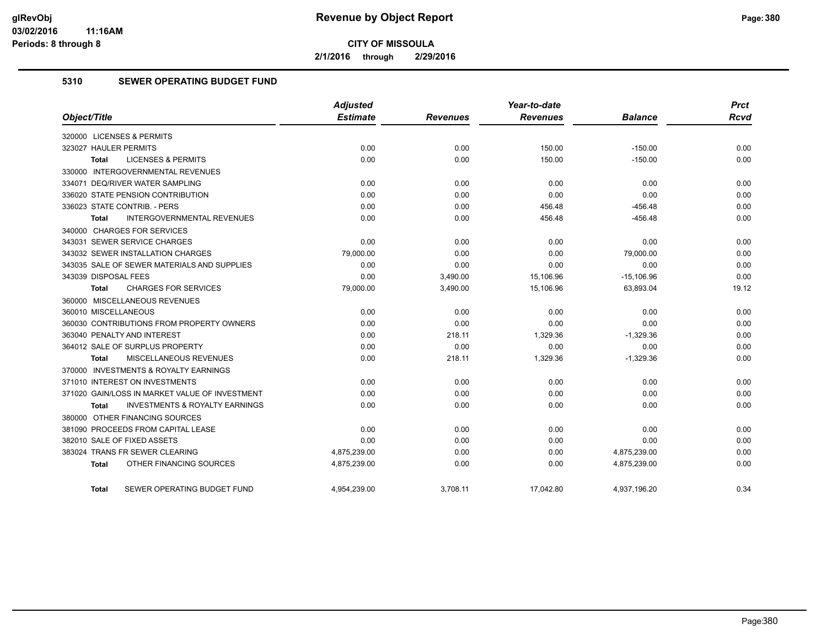**2/1/2016 through 2/29/2016**

#### **5310 SEWER OPERATING BUDGET FUND**

|                                                           | <b>Adjusted</b> |                 | Year-to-date    |                | <b>Prct</b> |
|-----------------------------------------------------------|-----------------|-----------------|-----------------|----------------|-------------|
| Object/Title                                              | <b>Estimate</b> | <b>Revenues</b> | <b>Revenues</b> | <b>Balance</b> | <b>Rcvd</b> |
| 320000 LICENSES & PERMITS                                 |                 |                 |                 |                |             |
| 323027 HAULER PERMITS                                     | 0.00            | 0.00            | 150.00          | $-150.00$      | 0.00        |
| <b>LICENSES &amp; PERMITS</b><br><b>Total</b>             | 0.00            | 0.00            | 150.00          | $-150.00$      | 0.00        |
| 330000 INTERGOVERNMENTAL REVENUES                         |                 |                 |                 |                |             |
| 334071 DEQ/RIVER WATER SAMPLING                           | 0.00            | 0.00            | 0.00            | 0.00           | 0.00        |
| 336020 STATE PENSION CONTRIBUTION                         | 0.00            | 0.00            | 0.00            | 0.00           | 0.00        |
| 336023 STATE CONTRIB. - PERS                              | 0.00            | 0.00            | 456.48          | $-456.48$      | 0.00        |
| <b>INTERGOVERNMENTAL REVENUES</b><br><b>Total</b>         | 0.00            | 0.00            | 456.48          | $-456.48$      | 0.00        |
| 340000 CHARGES FOR SERVICES                               |                 |                 |                 |                |             |
| 343031 SEWER SERVICE CHARGES                              | 0.00            | 0.00            | 0.00            | 0.00           | 0.00        |
| 343032 SEWER INSTALLATION CHARGES                         | 79,000.00       | 0.00            | 0.00            | 79,000.00      | 0.00        |
| 343035 SALE OF SEWER MATERIALS AND SUPPLIES               | 0.00            | 0.00            | 0.00            | 0.00           | 0.00        |
| 343039 DISPOSAL FEES                                      | 0.00            | 3,490.00        | 15,106.96       | $-15,106.96$   | 0.00        |
| <b>CHARGES FOR SERVICES</b><br>Total                      | 79,000.00       | 3,490.00        | 15,106.96       | 63,893.04      | 19.12       |
| 360000 MISCELLANEOUS REVENUES                             |                 |                 |                 |                |             |
| 360010 MISCELLANEOUS                                      | 0.00            | 0.00            | 0.00            | 0.00           | 0.00        |
| 360030 CONTRIBUTIONS FROM PROPERTY OWNERS                 | 0.00            | 0.00            | 0.00            | 0.00           | 0.00        |
| 363040 PENALTY AND INTEREST                               | 0.00            | 218.11          | 1,329.36        | $-1,329.36$    | 0.00        |
| 364012 SALE OF SURPLUS PROPERTY                           | 0.00            | 0.00            | 0.00            | 0.00           | 0.00        |
| MISCELLANEOUS REVENUES<br>Total                           | 0.00            | 218.11          | 1,329.36        | $-1,329.36$    | 0.00        |
| 370000 INVESTMENTS & ROYALTY EARNINGS                     |                 |                 |                 |                |             |
| 371010 INTEREST ON INVESTMENTS                            | 0.00            | 0.00            | 0.00            | 0.00           | 0.00        |
| 371020 GAIN/LOSS IN MARKET VALUE OF INVESTMENT            | 0.00            | 0.00            | 0.00            | 0.00           | 0.00        |
| <b>INVESTMENTS &amp; ROYALTY EARNINGS</b><br><b>Total</b> | 0.00            | 0.00            | 0.00            | 0.00           | 0.00        |
| 380000 OTHER FINANCING SOURCES                            |                 |                 |                 |                |             |
| 381090 PROCEEDS FROM CAPITAL LEASE                        | 0.00            | 0.00            | 0.00            | 0.00           | 0.00        |
| 382010 SALE OF FIXED ASSETS                               | 0.00            | 0.00            | 0.00            | 0.00           | 0.00        |
| 383024 TRANS FR SEWER CLEARING                            | 4,875,239.00    | 0.00            | 0.00            | 4,875,239.00   | 0.00        |
| OTHER FINANCING SOURCES<br>Total                          | 4,875,239.00    | 0.00            | 0.00            | 4,875,239.00   | 0.00        |
| SEWER OPERATING BUDGET FUND<br>Total                      | 4,954,239.00    | 3,708.11        | 17,042.80       | 4,937,196.20   | 0.34        |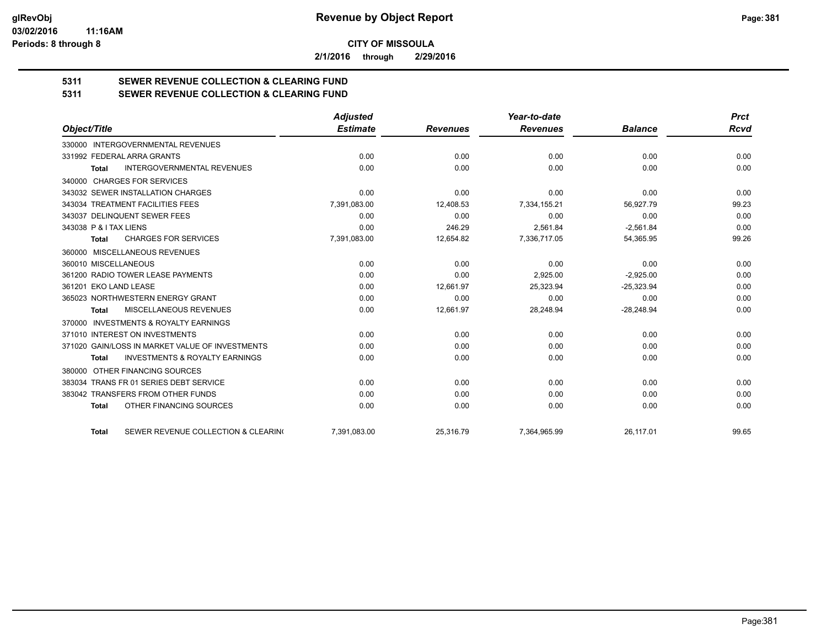**2/1/2016 through 2/29/2016**

# **5311 SEWER REVENUE COLLECTION & CLEARING FUND**

| 5311 | SEWER REVENUE COLLECTION & CLEARING FUND |
|------|------------------------------------------|
|------|------------------------------------------|

|                                                           | <b>Adjusted</b> |                 | Year-to-date    |                | <b>Prct</b> |
|-----------------------------------------------------------|-----------------|-----------------|-----------------|----------------|-------------|
| Object/Title                                              | <b>Estimate</b> | <b>Revenues</b> | <b>Revenues</b> | <b>Balance</b> | <b>Rcvd</b> |
| 330000 INTERGOVERNMENTAL REVENUES                         |                 |                 |                 |                |             |
| 331992 FEDERAL ARRA GRANTS                                | 0.00            | 0.00            | 0.00            | 0.00           | 0.00        |
| <b>INTERGOVERNMENTAL REVENUES</b><br><b>Total</b>         | 0.00            | 0.00            | 0.00            | 0.00           | 0.00        |
| 340000 CHARGES FOR SERVICES                               |                 |                 |                 |                |             |
| 343032 SEWER INSTALLATION CHARGES                         | 0.00            | 0.00            | 0.00            | 0.00           | 0.00        |
| 343034 TREATMENT FACILITIES FEES                          | 7,391,083.00    | 12.408.53       | 7,334,155.21    | 56.927.79      | 99.23       |
| 343037 DELINQUENT SEWER FEES                              | 0.00            | 0.00            | 0.00            | 0.00           | 0.00        |
| 343038 P & I TAX LIENS                                    | 0.00            | 246.29          | 2,561.84        | $-2,561.84$    | 0.00        |
| <b>CHARGES FOR SERVICES</b><br><b>Total</b>               | 7,391,083.00    | 12,654.82       | 7,336,717.05    | 54,365.95      | 99.26       |
| MISCELLANEOUS REVENUES<br>360000                          |                 |                 |                 |                |             |
| 360010 MISCELLANEOUS                                      | 0.00            | 0.00            | 0.00            | 0.00           | 0.00        |
| 361200 RADIO TOWER LEASE PAYMENTS                         | 0.00            | 0.00            | 2,925.00        | $-2,925.00$    | 0.00        |
| 361201 EKO LAND LEASE                                     | 0.00            | 12,661.97       | 25,323.94       | $-25,323.94$   | 0.00        |
| 365023 NORTHWESTERN ENERGY GRANT                          | 0.00            | 0.00            | 0.00            | 0.00           | 0.00        |
| <b>MISCELLANEOUS REVENUES</b><br><b>Total</b>             | 0.00            | 12,661.97       | 28,248.94       | $-28,248.94$   | 0.00        |
| 370000 INVESTMENTS & ROYALTY EARNINGS                     |                 |                 |                 |                |             |
| 371010 INTEREST ON INVESTMENTS                            | 0.00            | 0.00            | 0.00            | 0.00           | 0.00        |
| 371020 GAIN/LOSS IN MARKET VALUE OF INVESTMENTS           | 0.00            | 0.00            | 0.00            | 0.00           | 0.00        |
| <b>INVESTMENTS &amp; ROYALTY EARNINGS</b><br><b>Total</b> | 0.00            | 0.00            | 0.00            | 0.00           | 0.00        |
| OTHER FINANCING SOURCES<br>380000                         |                 |                 |                 |                |             |
| 383034 TRANS FR 01 SERIES DEBT SERVICE                    | 0.00            | 0.00            | 0.00            | 0.00           | 0.00        |
| 383042 TRANSFERS FROM OTHER FUNDS                         | 0.00            | 0.00            | 0.00            | 0.00           | 0.00        |
| OTHER FINANCING SOURCES<br><b>Total</b>                   | 0.00            | 0.00            | 0.00            | 0.00           | 0.00        |
| SEWER REVENUE COLLECTION & CLEARING<br><b>Total</b>       | 7,391,083.00    | 25,316.79       | 7,364,965.99    | 26,117.01      | 99.65       |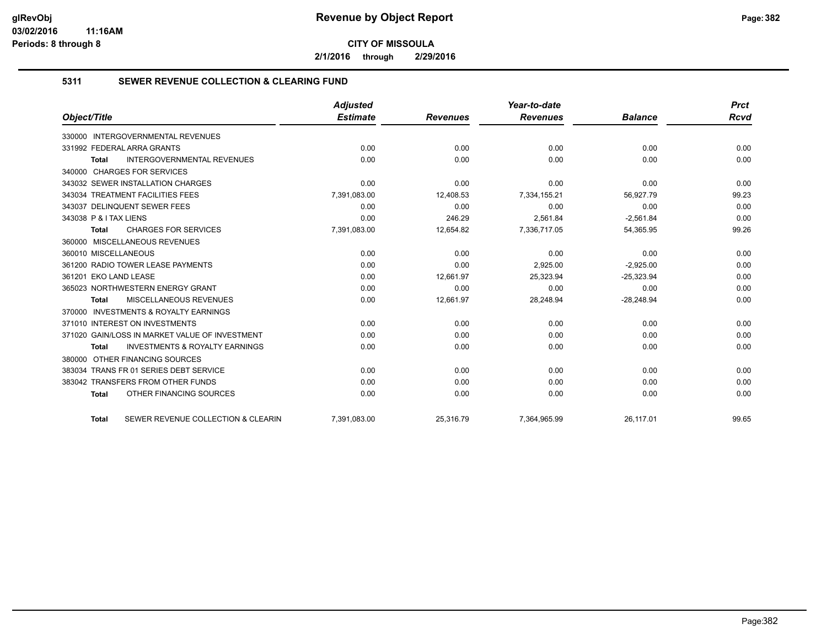**2/1/2016 through 2/29/2016**

#### **5311 SEWER REVENUE COLLECTION & CLEARING FUND**

|                                                           | <b>Adjusted</b> |                 | Year-to-date    |                | <b>Prct</b> |
|-----------------------------------------------------------|-----------------|-----------------|-----------------|----------------|-------------|
| Object/Title                                              | <b>Estimate</b> | <b>Revenues</b> | <b>Revenues</b> | <b>Balance</b> | <b>Rcvd</b> |
| <b>INTERGOVERNMENTAL REVENUES</b><br>330000               |                 |                 |                 |                |             |
| 331992 FEDERAL ARRA GRANTS                                | 0.00            | 0.00            | 0.00            | 0.00           | 0.00        |
| <b>INTERGOVERNMENTAL REVENUES</b><br><b>Total</b>         | 0.00            | 0.00            | 0.00            | 0.00           | 0.00        |
| 340000 CHARGES FOR SERVICES                               |                 |                 |                 |                |             |
| 343032 SEWER INSTALLATION CHARGES                         | 0.00            | 0.00            | 0.00            | 0.00           | 0.00        |
| 343034 TREATMENT FACILITIES FEES                          | 7,391,083.00    | 12,408.53       | 7,334,155.21    | 56,927.79      | 99.23       |
| 343037 DELINQUENT SEWER FEES                              | 0.00            | 0.00            | 0.00            | 0.00           | 0.00        |
| 343038 P & I TAX LIENS                                    | 0.00            | 246.29          | 2.561.84        | $-2.561.84$    | 0.00        |
| <b>CHARGES FOR SERVICES</b><br><b>Total</b>               | 7,391,083.00    | 12,654.82       | 7,336,717.05    | 54,365.95      | 99.26       |
| 360000 MISCELLANEOUS REVENUES                             |                 |                 |                 |                |             |
| 360010 MISCELLANEOUS                                      | 0.00            | 0.00            | 0.00            | 0.00           | 0.00        |
| 361200 RADIO TOWER LEASE PAYMENTS                         | 0.00            | 0.00            | 2,925.00        | $-2,925.00$    | 0.00        |
| 361201 EKO LAND LEASE                                     | 0.00            | 12.661.97       | 25.323.94       | $-25,323.94$   | 0.00        |
| 365023 NORTHWESTERN ENERGY GRANT                          | 0.00            | 0.00            | 0.00            | 0.00           | 0.00        |
| MISCELLANEOUS REVENUES<br><b>Total</b>                    | 0.00            | 12,661.97       | 28,248.94       | $-28,248.94$   | 0.00        |
| 370000 INVESTMENTS & ROYALTY EARNINGS                     |                 |                 |                 |                |             |
| 371010 INTEREST ON INVESTMENTS                            | 0.00            | 0.00            | 0.00            | 0.00           | 0.00        |
| 371020 GAIN/LOSS IN MARKET VALUE OF INVESTMENT            | 0.00            | 0.00            | 0.00            | 0.00           | 0.00        |
| <b>INVESTMENTS &amp; ROYALTY EARNINGS</b><br><b>Total</b> | 0.00            | 0.00            | 0.00            | 0.00           | 0.00        |
| OTHER FINANCING SOURCES<br>380000                         |                 |                 |                 |                |             |
| 383034 TRANS FR 01 SERIES DEBT SERVICE                    | 0.00            | 0.00            | 0.00            | 0.00           | 0.00        |
| 383042 TRANSFERS FROM OTHER FUNDS                         | 0.00            | 0.00            | 0.00            | 0.00           | 0.00        |
| OTHER FINANCING SOURCES<br><b>Total</b>                   | 0.00            | 0.00            | 0.00            | 0.00           | 0.00        |
| SEWER REVENUE COLLECTION & CLEARIN<br><b>Total</b>        | 7,391,083.00    | 25,316.79       | 7,364,965.99    | 26,117.01      | 99.65       |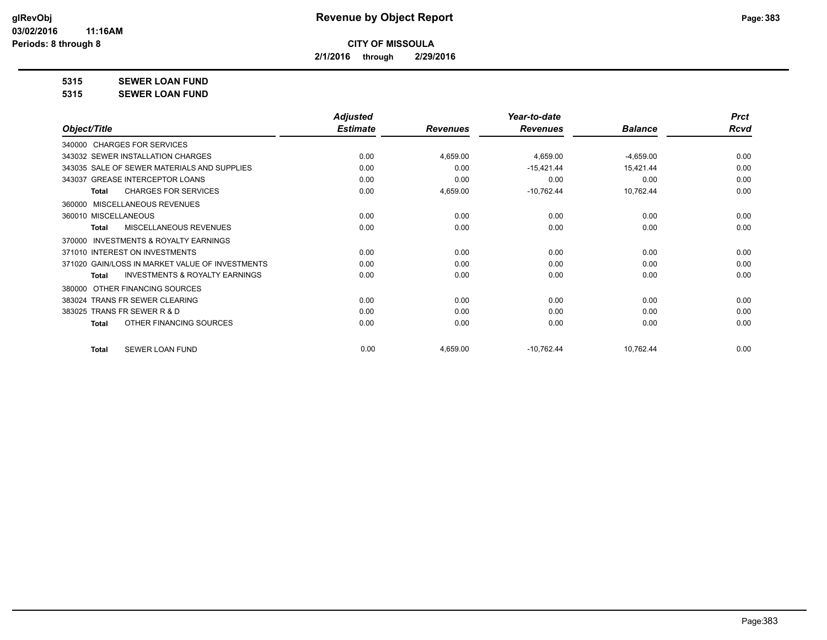**2/1/2016 through 2/29/2016**

**5315 SEWER LOAN FUND**

**5315 SEWER LOAN FUND**

|                                                    | <b>Adjusted</b> |                 | Year-to-date    |                | <b>Prct</b> |
|----------------------------------------------------|-----------------|-----------------|-----------------|----------------|-------------|
| Object/Title                                       | <b>Estimate</b> | <b>Revenues</b> | <b>Revenues</b> | <b>Balance</b> | <b>Rcvd</b> |
| 340000 CHARGES FOR SERVICES                        |                 |                 |                 |                |             |
| 343032 SEWER INSTALLATION CHARGES                  | 0.00            | 4,659.00        | 4,659.00        | $-4,659.00$    | 0.00        |
| 343035 SALE OF SEWER MATERIALS AND SUPPLIES        | 0.00            | 0.00            | $-15,421.44$    | 15,421.44      | 0.00        |
| 343037 GREASE INTERCEPTOR LOANS                    | 0.00            | 0.00            | 0.00            | 0.00           | 0.00        |
| <b>CHARGES FOR SERVICES</b><br>Total               | 0.00            | 4,659.00        | $-10,762.44$    | 10,762.44      | 0.00        |
| MISCELLANEOUS REVENUES<br>360000                   |                 |                 |                 |                |             |
| 360010 MISCELLANEOUS                               | 0.00            | 0.00            | 0.00            | 0.00           | 0.00        |
| MISCELLANEOUS REVENUES<br>Total                    | 0.00            | 0.00            | 0.00            | 0.00           | 0.00        |
| INVESTMENTS & ROYALTY EARNINGS<br>370000           |                 |                 |                 |                |             |
| 371010 INTEREST ON INVESTMENTS                     | 0.00            | 0.00            | 0.00            | 0.00           | 0.00        |
| 371020 GAIN/LOSS IN MARKET VALUE OF INVESTMENTS    | 0.00            | 0.00            | 0.00            | 0.00           | 0.00        |
| <b>INVESTMENTS &amp; ROYALTY EARNINGS</b><br>Total | 0.00            | 0.00            | 0.00            | 0.00           | 0.00        |
| OTHER FINANCING SOURCES<br>380000                  |                 |                 |                 |                |             |
| 383024 TRANS FR SEWER CLEARING                     | 0.00            | 0.00            | 0.00            | 0.00           | 0.00        |
| 383025 TRANS FR SEWER R & D                        | 0.00            | 0.00            | 0.00            | 0.00           | 0.00        |
| OTHER FINANCING SOURCES<br><b>Total</b>            | 0.00            | 0.00            | 0.00            | 0.00           | 0.00        |
| <b>SEWER LOAN FUND</b><br><b>Total</b>             | 0.00            | 4,659.00        | $-10,762.44$    | 10,762.44      | 0.00        |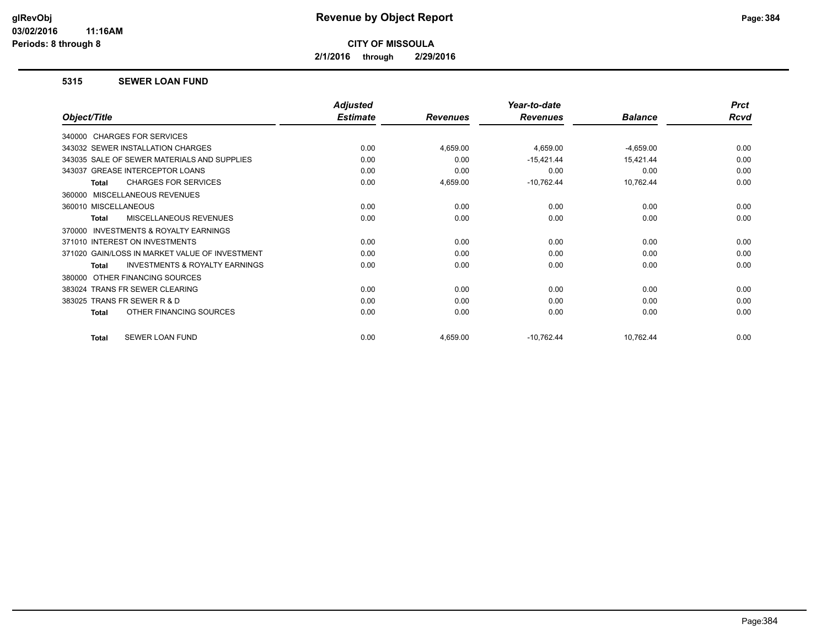**2/1/2016 through 2/29/2016**

#### **5315 SEWER LOAN FUND**

|                                                           | <b>Adjusted</b> |                 | Year-to-date    |                | <b>Prct</b> |
|-----------------------------------------------------------|-----------------|-----------------|-----------------|----------------|-------------|
| Object/Title                                              | <b>Estimate</b> | <b>Revenues</b> | <b>Revenues</b> | <b>Balance</b> | Rcvd        |
| 340000 CHARGES FOR SERVICES                               |                 |                 |                 |                |             |
| 343032 SEWER INSTALLATION CHARGES                         | 0.00            | 4,659.00        | 4,659.00        | $-4,659.00$    | 0.00        |
| 343035 SALE OF SEWER MATERIALS AND SUPPLIES               | 0.00            | 0.00            | $-15,421.44$    | 15,421.44      | 0.00        |
| 343037 GREASE INTERCEPTOR LOANS                           | 0.00            | 0.00            | 0.00            | 0.00           | 0.00        |
| <b>CHARGES FOR SERVICES</b><br><b>Total</b>               | 0.00            | 4,659.00        | $-10,762.44$    | 10,762.44      | 0.00        |
| MISCELLANEOUS REVENUES<br>360000                          |                 |                 |                 |                |             |
| 360010 MISCELLANEOUS                                      | 0.00            | 0.00            | 0.00            | 0.00           | 0.00        |
| <b>MISCELLANEOUS REVENUES</b><br><b>Total</b>             | 0.00            | 0.00            | 0.00            | 0.00           | 0.00        |
| INVESTMENTS & ROYALTY EARNINGS<br>370000                  |                 |                 |                 |                |             |
| 371010 INTEREST ON INVESTMENTS                            | 0.00            | 0.00            | 0.00            | 0.00           | 0.00        |
| 371020 GAIN/LOSS IN MARKET VALUE OF INVESTMENT            | 0.00            | 0.00            | 0.00            | 0.00           | 0.00        |
| <b>INVESTMENTS &amp; ROYALTY EARNINGS</b><br><b>Total</b> | 0.00            | 0.00            | 0.00            | 0.00           | 0.00        |
| OTHER FINANCING SOURCES<br>380000                         |                 |                 |                 |                |             |
| 383024 TRANS FR SEWER CLEARING                            | 0.00            | 0.00            | 0.00            | 0.00           | 0.00        |
| 383025 TRANS FR SEWER R & D                               | 0.00            | 0.00            | 0.00            | 0.00           | 0.00        |
| OTHER FINANCING SOURCES<br><b>Total</b>                   | 0.00            | 0.00            | 0.00            | 0.00           | 0.00        |
| SEWER LOAN FUND<br><b>Total</b>                           | 0.00            | 4,659.00        | $-10,762.44$    | 10,762.44      | 0.00        |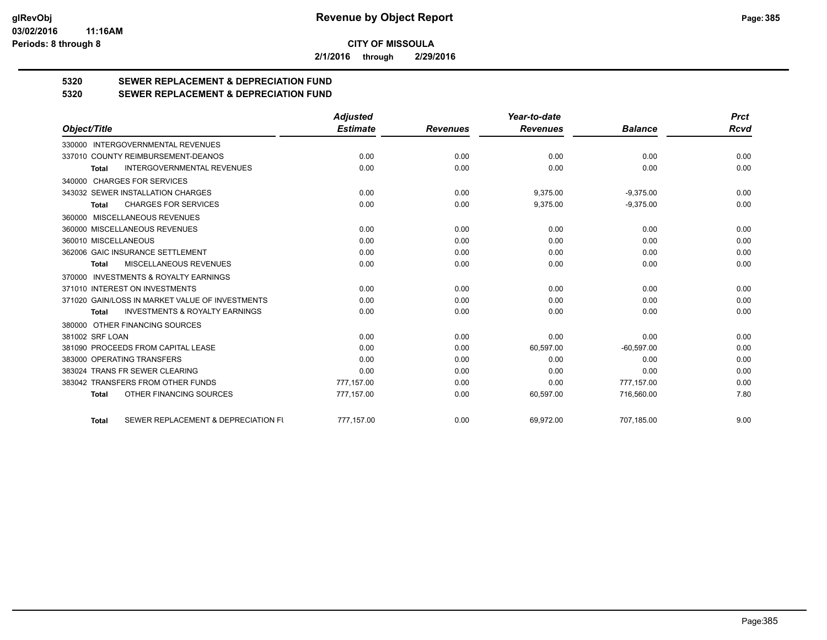**2/1/2016 through 2/29/2016**

# **5320 SEWER REPLACEMENT & DEPRECIATION FUND**

### **5320 SEWER REPLACEMENT & DEPRECIATION FUND**

|                                                           | <b>Adjusted</b> |                 | Year-to-date    |                | <b>Prct</b> |
|-----------------------------------------------------------|-----------------|-----------------|-----------------|----------------|-------------|
| Object/Title                                              | <b>Estimate</b> | <b>Revenues</b> | <b>Revenues</b> | <b>Balance</b> | Rcvd        |
| 330000 INTERGOVERNMENTAL REVENUES                         |                 |                 |                 |                |             |
| 337010 COUNTY REIMBURSEMENT-DEANOS                        | 0.00            | 0.00            | 0.00            | 0.00           | 0.00        |
| <b>INTERGOVERNMENTAL REVENUES</b><br><b>Total</b>         | 0.00            | 0.00            | 0.00            | 0.00           | 0.00        |
| 340000 CHARGES FOR SERVICES                               |                 |                 |                 |                |             |
| 343032 SEWER INSTALLATION CHARGES                         | 0.00            | 0.00            | 9,375.00        | $-9,375.00$    | 0.00        |
| <b>CHARGES FOR SERVICES</b><br><b>Total</b>               | 0.00            | 0.00            | 9,375.00        | $-9,375.00$    | 0.00        |
| 360000 MISCELLANEOUS REVENUES                             |                 |                 |                 |                |             |
| 360000 MISCELLANEOUS REVENUES                             | 0.00            | 0.00            | 0.00            | 0.00           | 0.00        |
| 360010 MISCELLANEOUS                                      | 0.00            | 0.00            | 0.00            | 0.00           | 0.00        |
| 362006 GAIC INSURANCE SETTLEMENT                          | 0.00            | 0.00            | 0.00            | 0.00           | 0.00        |
| MISCELLANEOUS REVENUES<br><b>Total</b>                    | 0.00            | 0.00            | 0.00            | 0.00           | 0.00        |
| 370000 INVESTMENTS & ROYALTY EARNINGS                     |                 |                 |                 |                |             |
| 371010 INTEREST ON INVESTMENTS                            | 0.00            | 0.00            | 0.00            | 0.00           | 0.00        |
| 371020 GAIN/LOSS IN MARKET VALUE OF INVESTMENTS           | 0.00            | 0.00            | 0.00            | 0.00           | 0.00        |
| <b>INVESTMENTS &amp; ROYALTY EARNINGS</b><br><b>Total</b> | 0.00            | 0.00            | 0.00            | 0.00           | 0.00        |
| 380000 OTHER FINANCING SOURCES                            |                 |                 |                 |                |             |
| 381002 SRF LOAN                                           | 0.00            | 0.00            | 0.00            | 0.00           | 0.00        |
| 381090 PROCEEDS FROM CAPITAL LEASE                        | 0.00            | 0.00            | 60,597.00       | $-60.597.00$   | 0.00        |
| 383000 OPERATING TRANSFERS                                | 0.00            | 0.00            | 0.00            | 0.00           | 0.00        |
| 383024 TRANS FR SEWER CLEARING                            | 0.00            | 0.00            | 0.00            | 0.00           | 0.00        |
| 383042 TRANSFERS FROM OTHER FUNDS                         | 777.157.00      | 0.00            | 0.00            | 777,157.00     | 0.00        |
| OTHER FINANCING SOURCES<br><b>Total</b>                   | 777,157.00      | 0.00            | 60,597.00       | 716,560.00     | 7.80        |
| SEWER REPLACEMENT & DEPRECIATION FU<br><b>Total</b>       | 777,157.00      | 0.00            | 69,972.00       | 707,185.00     | 9.00        |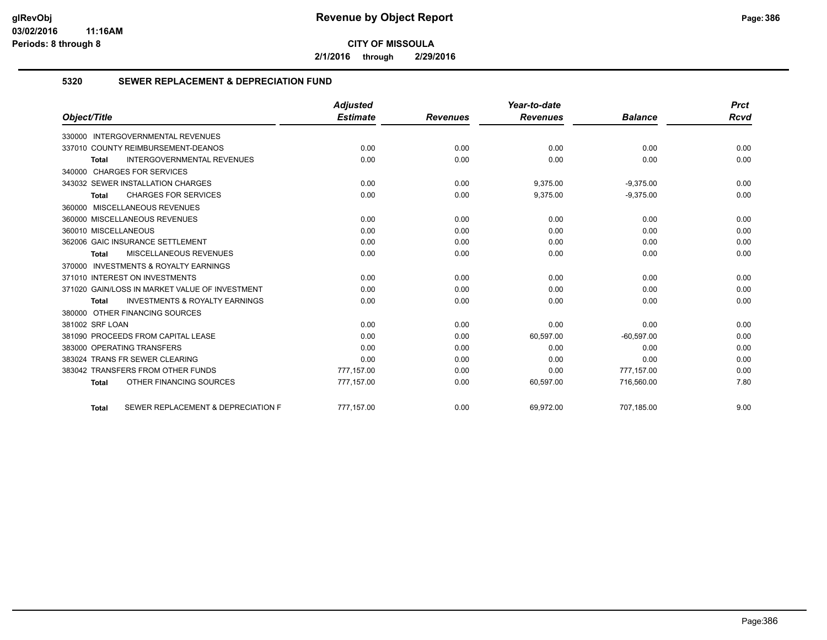**2/1/2016 through 2/29/2016**

#### **5320 SEWER REPLACEMENT & DEPRECIATION FUND**

|                                                           | <b>Adjusted</b> |                 | Year-to-date    |                | <b>Prct</b> |
|-----------------------------------------------------------|-----------------|-----------------|-----------------|----------------|-------------|
| Object/Title                                              | <b>Estimate</b> | <b>Revenues</b> | <b>Revenues</b> | <b>Balance</b> | <b>Rcvd</b> |
| 330000 INTERGOVERNMENTAL REVENUES                         |                 |                 |                 |                |             |
| 337010 COUNTY REIMBURSEMENT-DEANOS                        | 0.00            | 0.00            | 0.00            | 0.00           | 0.00        |
| <b>INTERGOVERNMENTAL REVENUES</b><br><b>Total</b>         | 0.00            | 0.00            | 0.00            | 0.00           | 0.00        |
| 340000 CHARGES FOR SERVICES                               |                 |                 |                 |                |             |
| 343032 SEWER INSTALLATION CHARGES                         | 0.00            | 0.00            | 9,375.00        | $-9,375.00$    | 0.00        |
| <b>CHARGES FOR SERVICES</b><br><b>Total</b>               | 0.00            | 0.00            | 9,375.00        | $-9,375.00$    | 0.00        |
| 360000 MISCELLANEOUS REVENUES                             |                 |                 |                 |                |             |
| 360000 MISCELLANEOUS REVENUES                             | 0.00            | 0.00            | 0.00            | 0.00           | 0.00        |
| 360010 MISCELLANEOUS                                      | 0.00            | 0.00            | 0.00            | 0.00           | 0.00        |
| 362006 GAIC INSURANCE SETTLEMENT                          | 0.00            | 0.00            | 0.00            | 0.00           | 0.00        |
| MISCELLANEOUS REVENUES<br><b>Total</b>                    | 0.00            | 0.00            | 0.00            | 0.00           | 0.00        |
| 370000 INVESTMENTS & ROYALTY EARNINGS                     |                 |                 |                 |                |             |
| 371010 INTEREST ON INVESTMENTS                            | 0.00            | 0.00            | 0.00            | 0.00           | 0.00        |
| 371020 GAIN/LOSS IN MARKET VALUE OF INVESTMENT            | 0.00            | 0.00            | 0.00            | 0.00           | 0.00        |
| <b>INVESTMENTS &amp; ROYALTY EARNINGS</b><br><b>Total</b> | 0.00            | 0.00            | 0.00            | 0.00           | 0.00        |
| 380000 OTHER FINANCING SOURCES                            |                 |                 |                 |                |             |
| 381002 SRF LOAN                                           | 0.00            | 0.00            | 0.00            | 0.00           | 0.00        |
| 381090 PROCEEDS FROM CAPITAL LEASE                        | 0.00            | 0.00            | 60,597.00       | $-60,597.00$   | 0.00        |
| 383000 OPERATING TRANSFERS                                | 0.00            | 0.00            | 0.00            | 0.00           | 0.00        |
| 383024 TRANS FR SEWER CLEARING                            | 0.00            | 0.00            | 0.00            | 0.00           | 0.00        |
| 383042 TRANSFERS FROM OTHER FUNDS                         | 777,157.00      | 0.00            | 0.00            | 777,157.00     | 0.00        |
| OTHER FINANCING SOURCES<br><b>Total</b>                   | 777,157.00      | 0.00            | 60,597.00       | 716,560.00     | 7.80        |
| SEWER REPLACEMENT & DEPRECIATION F<br><b>Total</b>        | 777.157.00      | 0.00            | 69.972.00       | 707.185.00     | 9.00        |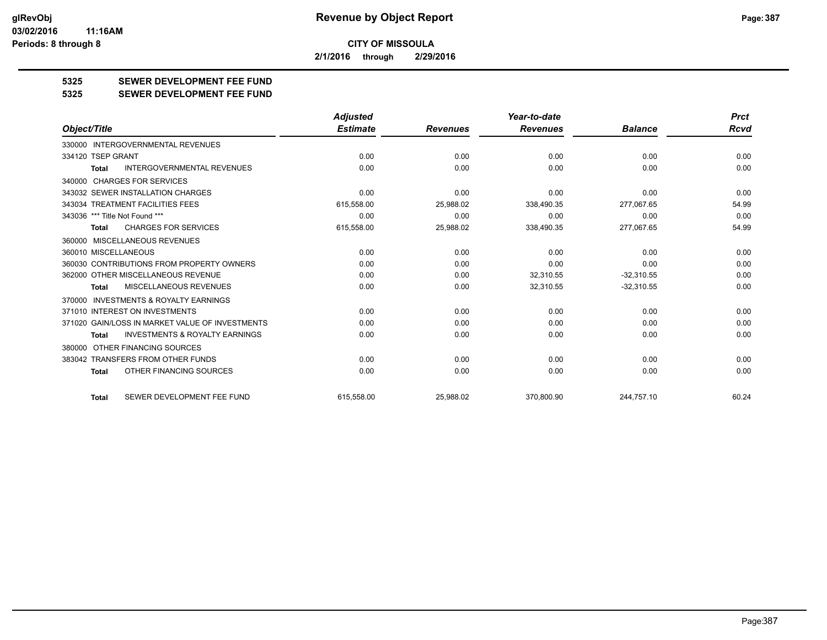**2/1/2016 through 2/29/2016**

**5325 SEWER DEVELOPMENT FEE FUND**

**5325 SEWER DEVELOPMENT FEE FUND**

|                                                           | <b>Adjusted</b> |                 | Year-to-date    |                | <b>Prct</b> |
|-----------------------------------------------------------|-----------------|-----------------|-----------------|----------------|-------------|
| Object/Title                                              | <b>Estimate</b> | <b>Revenues</b> | <b>Revenues</b> | <b>Balance</b> | Rcvd        |
| INTERGOVERNMENTAL REVENUES<br>330000                      |                 |                 |                 |                |             |
| 334120 TSEP GRANT                                         | 0.00            | 0.00            | 0.00            | 0.00           | 0.00        |
| <b>INTERGOVERNMENTAL REVENUES</b><br><b>Total</b>         | 0.00            | 0.00            | 0.00            | 0.00           | 0.00        |
| 340000 CHARGES FOR SERVICES                               |                 |                 |                 |                |             |
| 343032 SEWER INSTALLATION CHARGES                         | 0.00            | 0.00            | 0.00            | 0.00           | 0.00        |
| 343034 TREATMENT FACILITIES FEES                          | 615,558.00      | 25,988.02       | 338,490.35      | 277,067.65     | 54.99       |
| 343036 *** Title Not Found ***                            | 0.00            | 0.00            | 0.00            | 0.00           | 0.00        |
| <b>CHARGES FOR SERVICES</b><br><b>Total</b>               | 615,558.00      | 25,988.02       | 338,490.35      | 277,067.65     | 54.99       |
| 360000 MISCELLANEOUS REVENUES                             |                 |                 |                 |                |             |
| 360010 MISCELLANEOUS                                      | 0.00            | 0.00            | 0.00            | 0.00           | 0.00        |
| 360030 CONTRIBUTIONS FROM PROPERTY OWNERS                 | 0.00            | 0.00            | 0.00            | 0.00           | 0.00        |
| 362000 OTHER MISCELLANEOUS REVENUE                        | 0.00            | 0.00            | 32,310.55       | $-32,310.55$   | 0.00        |
| MISCELLANEOUS REVENUES<br>Total                           | 0.00            | 0.00            | 32,310.55       | $-32,310.55$   | 0.00        |
| <b>INVESTMENTS &amp; ROYALTY EARNINGS</b><br>370000       |                 |                 |                 |                |             |
| 371010 INTEREST ON INVESTMENTS                            | 0.00            | 0.00            | 0.00            | 0.00           | 0.00        |
| 371020 GAIN/LOSS IN MARKET VALUE OF INVESTMENTS           | 0.00            | 0.00            | 0.00            | 0.00           | 0.00        |
| <b>INVESTMENTS &amp; ROYALTY EARNINGS</b><br><b>Total</b> | 0.00            | 0.00            | 0.00            | 0.00           | 0.00        |
| 380000 OTHER FINANCING SOURCES                            |                 |                 |                 |                |             |
| 383042 TRANSFERS FROM OTHER FUNDS                         | 0.00            | 0.00            | 0.00            | 0.00           | 0.00        |
| OTHER FINANCING SOURCES<br>Total                          | 0.00            | 0.00            | 0.00            | 0.00           | 0.00        |
| SEWER DEVELOPMENT FEE FUND<br><b>Total</b>                | 615.558.00      | 25,988.02       | 370.800.90      | 244.757.10     | 60.24       |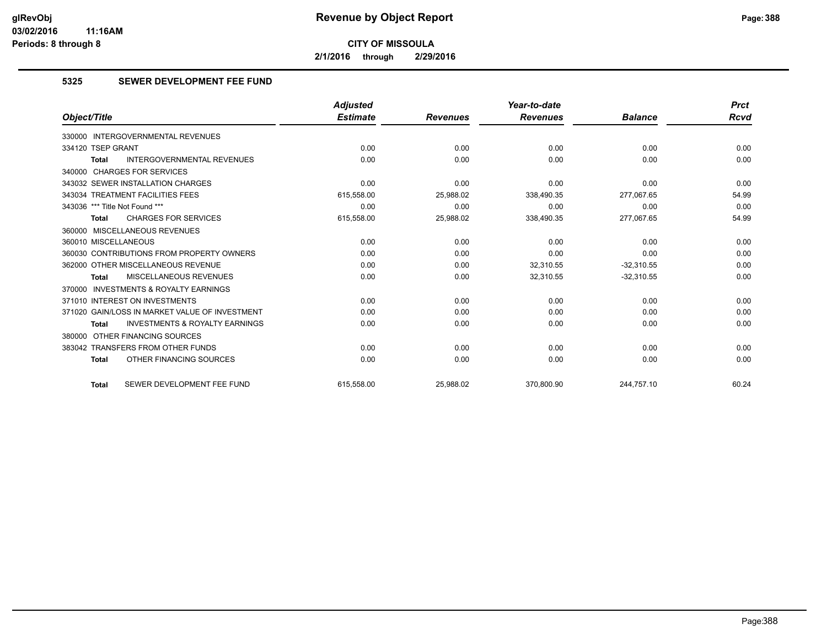**2/1/2016 through 2/29/2016**

#### **5325 SEWER DEVELOPMENT FEE FUND**

|                                                    | <b>Adjusted</b> |                 | Year-to-date    |                | <b>Prct</b> |
|----------------------------------------------------|-----------------|-----------------|-----------------|----------------|-------------|
| Object/Title                                       | <b>Estimate</b> | <b>Revenues</b> | <b>Revenues</b> | <b>Balance</b> | Rcvd        |
| 330000 INTERGOVERNMENTAL REVENUES                  |                 |                 |                 |                |             |
| 334120 TSEP GRANT                                  | 0.00            | 0.00            | 0.00            | 0.00           | 0.00        |
| <b>INTERGOVERNMENTAL REVENUES</b><br><b>Total</b>  | 0.00            | 0.00            | 0.00            | 0.00           | 0.00        |
| 340000 CHARGES FOR SERVICES                        |                 |                 |                 |                |             |
| 343032 SEWER INSTALLATION CHARGES                  | 0.00            | 0.00            | 0.00            | 0.00           | 0.00        |
| 343034 TREATMENT FACILITIES FEES                   | 615,558.00      | 25,988.02       | 338,490.35      | 277.067.65     | 54.99       |
| 343036 *** Title Not Found ***                     | 0.00            | 0.00            | 0.00            | 0.00           | 0.00        |
| <b>CHARGES FOR SERVICES</b><br><b>Total</b>        | 615,558.00      | 25,988.02       | 338,490.35      | 277,067.65     | 54.99       |
| 360000 MISCELLANEOUS REVENUES                      |                 |                 |                 |                |             |
| 360010 MISCELLANEOUS                               | 0.00            | 0.00            | 0.00            | 0.00           | 0.00        |
| 360030 CONTRIBUTIONS FROM PROPERTY OWNERS          | 0.00            | 0.00            | 0.00            | 0.00           | 0.00        |
| 362000 OTHER MISCELLANEOUS REVENUE                 | 0.00            | 0.00            | 32,310.55       | $-32,310.55$   | 0.00        |
| MISCELLANEOUS REVENUES<br><b>Total</b>             | 0.00            | 0.00            | 32,310.55       | $-32,310.55$   | 0.00        |
| 370000 INVESTMENTS & ROYALTY EARNINGS              |                 |                 |                 |                |             |
| 371010 INTEREST ON INVESTMENTS                     | 0.00            | 0.00            | 0.00            | 0.00           | 0.00        |
| 371020 GAIN/LOSS IN MARKET VALUE OF INVESTMENT     | 0.00            | 0.00            | 0.00            | 0.00           | 0.00        |
| <b>INVESTMENTS &amp; ROYALTY EARNINGS</b><br>Total | 0.00            | 0.00            | 0.00            | 0.00           | 0.00        |
| 380000 OTHER FINANCING SOURCES                     |                 |                 |                 |                |             |
| 383042 TRANSFERS FROM OTHER FUNDS                  | 0.00            | 0.00            | 0.00            | 0.00           | 0.00        |
| OTHER FINANCING SOURCES<br><b>Total</b>            | 0.00            | 0.00            | 0.00            | 0.00           | 0.00        |
| SEWER DEVELOPMENT FEE FUND<br><b>Total</b>         | 615.558.00      | 25,988.02       | 370,800.90      | 244,757.10     | 60.24       |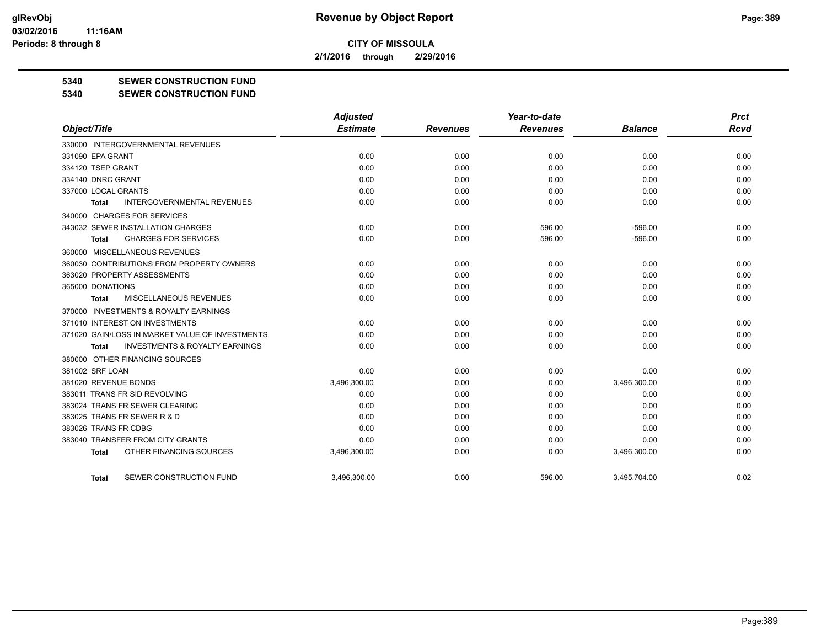**2/1/2016 through 2/29/2016**

#### **5340 SEWER CONSTRUCTION FUND**

**5340 SEWER CONSTRUCTION FUND**

|                                                     | <b>Adjusted</b> |                 | Year-to-date    |                | <b>Prct</b> |
|-----------------------------------------------------|-----------------|-----------------|-----------------|----------------|-------------|
| Object/Title                                        | <b>Estimate</b> | <b>Revenues</b> | <b>Revenues</b> | <b>Balance</b> | <b>Rcvd</b> |
| 330000 INTERGOVERNMENTAL REVENUES                   |                 |                 |                 |                |             |
| 331090 EPA GRANT                                    | 0.00            | 0.00            | 0.00            | 0.00           | 0.00        |
| 334120 TSEP GRANT                                   | 0.00            | 0.00            | 0.00            | 0.00           | 0.00        |
| 334140 DNRC GRANT                                   | 0.00            | 0.00            | 0.00            | 0.00           | 0.00        |
| 337000 LOCAL GRANTS                                 | 0.00            | 0.00            | 0.00            | 0.00           | 0.00        |
| <b>INTERGOVERNMENTAL REVENUES</b><br><b>Total</b>   | 0.00            | 0.00            | 0.00            | 0.00           | 0.00        |
| 340000 CHARGES FOR SERVICES                         |                 |                 |                 |                |             |
| 343032 SEWER INSTALLATION CHARGES                   | 0.00            | 0.00            | 596.00          | $-596.00$      | 0.00        |
| <b>CHARGES FOR SERVICES</b><br>Total                | 0.00            | 0.00            | 596.00          | $-596.00$      | 0.00        |
| 360000 MISCELLANEOUS REVENUES                       |                 |                 |                 |                |             |
| 360030 CONTRIBUTIONS FROM PROPERTY OWNERS           | 0.00            | 0.00            | 0.00            | 0.00           | 0.00        |
| 363020 PROPERTY ASSESSMENTS                         | 0.00            | 0.00            | 0.00            | 0.00           | 0.00        |
| 365000 DONATIONS                                    | 0.00            | 0.00            | 0.00            | 0.00           | 0.00        |
| MISCELLANEOUS REVENUES<br>Total                     | 0.00            | 0.00            | 0.00            | 0.00           | 0.00        |
| <b>INVESTMENTS &amp; ROYALTY EARNINGS</b><br>370000 |                 |                 |                 |                |             |
| 371010 INTEREST ON INVESTMENTS                      | 0.00            | 0.00            | 0.00            | 0.00           | 0.00        |
| 371020 GAIN/LOSS IN MARKET VALUE OF INVESTMENTS     | 0.00            | 0.00            | 0.00            | 0.00           | 0.00        |
| <b>INVESTMENTS &amp; ROYALTY EARNINGS</b><br>Total  | 0.00            | 0.00            | 0.00            | 0.00           | 0.00        |
| 380000 OTHER FINANCING SOURCES                      |                 |                 |                 |                |             |
| 381002 SRF LOAN                                     | 0.00            | 0.00            | 0.00            | 0.00           | 0.00        |
| 381020 REVENUE BONDS                                | 3,496,300.00    | 0.00            | 0.00            | 3,496,300.00   | 0.00        |
| 383011 TRANS FR SID REVOLVING                       | 0.00            | 0.00            | 0.00            | 0.00           | 0.00        |
| 383024 TRANS FR SEWER CLEARING                      | 0.00            | 0.00            | 0.00            | 0.00           | 0.00        |
| 383025 TRANS FR SEWER R & D                         | 0.00            | 0.00            | 0.00            | 0.00           | 0.00        |
| 383026 TRANS FR CDBG                                | 0.00            | 0.00            | 0.00            | 0.00           | 0.00        |
| 383040 TRANSFER FROM CITY GRANTS                    | 0.00            | 0.00            | 0.00            | 0.00           | 0.00        |
| OTHER FINANCING SOURCES<br><b>Total</b>             | 3,496,300.00    | 0.00            | 0.00            | 3,496,300.00   | 0.00        |
| SEWER CONSTRUCTION FUND<br>Total                    | 3.496.300.00    | 0.00            | 596.00          | 3.495.704.00   | 0.02        |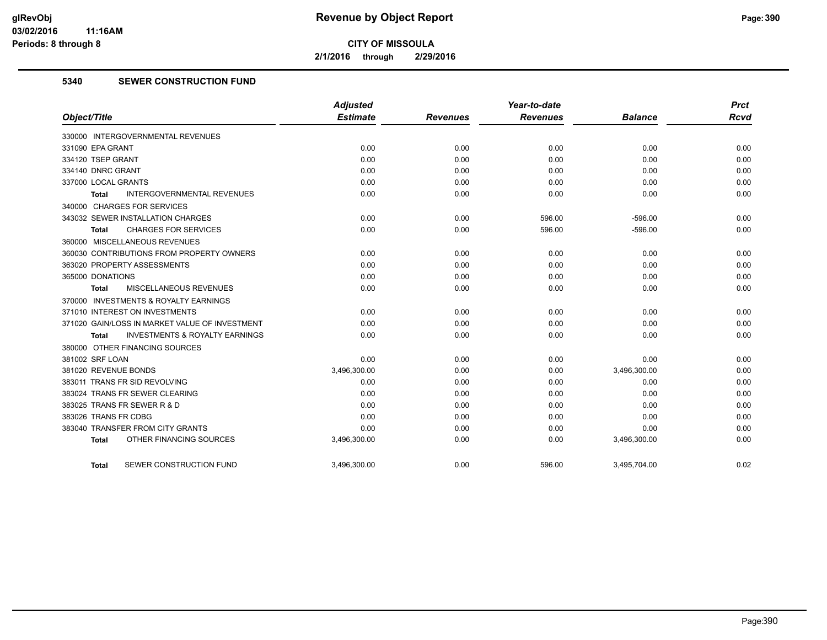**2/1/2016 through 2/29/2016**

#### **5340 SEWER CONSTRUCTION FUND**

|                                                    | <b>Adjusted</b> |                 | Year-to-date    |                | <b>Prct</b> |
|----------------------------------------------------|-----------------|-----------------|-----------------|----------------|-------------|
| Object/Title                                       | <b>Estimate</b> | <b>Revenues</b> | <b>Revenues</b> | <b>Balance</b> | <b>Rcvd</b> |
| 330000 INTERGOVERNMENTAL REVENUES                  |                 |                 |                 |                |             |
| 331090 EPA GRANT                                   | 0.00            | 0.00            | 0.00            | 0.00           | 0.00        |
| 334120 TSEP GRANT                                  | 0.00            | 0.00            | 0.00            | 0.00           | 0.00        |
| 334140 DNRC GRANT                                  | 0.00            | 0.00            | 0.00            | 0.00           | 0.00        |
| 337000 LOCAL GRANTS                                | 0.00            | 0.00            | 0.00            | 0.00           | 0.00        |
| <b>INTERGOVERNMENTAL REVENUES</b><br>Total         | 0.00            | 0.00            | 0.00            | 0.00           | 0.00        |
| 340000 CHARGES FOR SERVICES                        |                 |                 |                 |                |             |
| 343032 SEWER INSTALLATION CHARGES                  | 0.00            | 0.00            | 596.00          | $-596.00$      | 0.00        |
| <b>CHARGES FOR SERVICES</b><br>Total               | 0.00            | 0.00            | 596.00          | $-596.00$      | 0.00        |
| 360000 MISCELLANEOUS REVENUES                      |                 |                 |                 |                |             |
| 360030 CONTRIBUTIONS FROM PROPERTY OWNERS          | 0.00            | 0.00            | 0.00            | 0.00           | 0.00        |
| 363020 PROPERTY ASSESSMENTS                        | 0.00            | 0.00            | 0.00            | 0.00           | 0.00        |
| 365000 DONATIONS                                   | 0.00            | 0.00            | 0.00            | 0.00           | 0.00        |
| <b>MISCELLANEOUS REVENUES</b><br>Total             | 0.00            | 0.00            | 0.00            | 0.00           | 0.00        |
| 370000 INVESTMENTS & ROYALTY EARNINGS              |                 |                 |                 |                |             |
| 371010 INTEREST ON INVESTMENTS                     | 0.00            | 0.00            | 0.00            | 0.00           | 0.00        |
| 371020 GAIN/LOSS IN MARKET VALUE OF INVESTMENT     | 0.00            | 0.00            | 0.00            | 0.00           | 0.00        |
| <b>INVESTMENTS &amp; ROYALTY EARNINGS</b><br>Total | 0.00            | 0.00            | 0.00            | 0.00           | 0.00        |
| 380000 OTHER FINANCING SOURCES                     |                 |                 |                 |                |             |
| 381002 SRF LOAN                                    | 0.00            | 0.00            | 0.00            | 0.00           | 0.00        |
| 381020 REVENUE BONDS                               | 3,496,300.00    | 0.00            | 0.00            | 3,496,300.00   | 0.00        |
| 383011 TRANS FR SID REVOLVING                      | 0.00            | 0.00            | 0.00            | 0.00           | 0.00        |
| 383024 TRANS FR SEWER CLEARING                     | 0.00            | 0.00            | 0.00            | 0.00           | 0.00        |
| 383025 TRANS FR SEWER R & D                        | 0.00            | 0.00            | 0.00            | 0.00           | 0.00        |
| 383026 TRANS FR CDBG                               | 0.00            | 0.00            | 0.00            | 0.00           | 0.00        |
| 383040 TRANSFER FROM CITY GRANTS                   | 0.00            | 0.00            | 0.00            | 0.00           | 0.00        |
| OTHER FINANCING SOURCES<br><b>Total</b>            | 3,496,300.00    | 0.00            | 0.00            | 3,496,300.00   | 0.00        |
| SEWER CONSTRUCTION FUND<br><b>Total</b>            | 3,496,300.00    | 0.00            | 596.00          | 3,495,704.00   | 0.02        |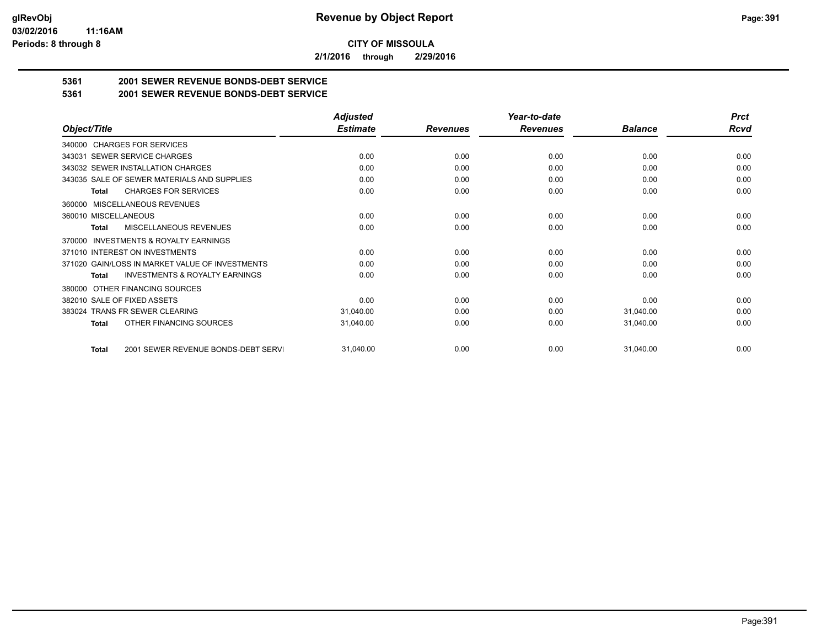**2/1/2016 through 2/29/2016**

## **5361 2001 SEWER REVENUE BONDS-DEBT SERVICE**

**5361 2001 SEWER REVENUE BONDS-DEBT SERVICE**

|                                                           | <b>Adjusted</b> |                 | Year-to-date    |                | <b>Prct</b> |
|-----------------------------------------------------------|-----------------|-----------------|-----------------|----------------|-------------|
| Object/Title                                              | <b>Estimate</b> | <b>Revenues</b> | <b>Revenues</b> | <b>Balance</b> | <b>Rcvd</b> |
| 340000 CHARGES FOR SERVICES                               |                 |                 |                 |                |             |
| SEWER SERVICE CHARGES<br>343031                           | 0.00            | 0.00            | 0.00            | 0.00           | 0.00        |
| 343032 SEWER INSTALLATION CHARGES                         | 0.00            | 0.00            | 0.00            | 0.00           | 0.00        |
| 343035 SALE OF SEWER MATERIALS AND SUPPLIES               | 0.00            | 0.00            | 0.00            | 0.00           | 0.00        |
| <b>CHARGES FOR SERVICES</b><br><b>Total</b>               | 0.00            | 0.00            | 0.00            | 0.00           | 0.00        |
| <b>MISCELLANEOUS REVENUES</b><br>360000                   |                 |                 |                 |                |             |
| 360010 MISCELLANEOUS                                      | 0.00            | 0.00            | 0.00            | 0.00           | 0.00        |
| <b>MISCELLANEOUS REVENUES</b><br>Total                    | 0.00            | 0.00            | 0.00            | 0.00           | 0.00        |
| INVESTMENTS & ROYALTY EARNINGS<br>370000                  |                 |                 |                 |                |             |
| 371010 INTEREST ON INVESTMENTS                            | 0.00            | 0.00            | 0.00            | 0.00           | 0.00        |
| 371020 GAIN/LOSS IN MARKET VALUE OF INVESTMENTS           | 0.00            | 0.00            | 0.00            | 0.00           | 0.00        |
| <b>INVESTMENTS &amp; ROYALTY EARNINGS</b><br><b>Total</b> | 0.00            | 0.00            | 0.00            | 0.00           | 0.00        |
| OTHER FINANCING SOURCES<br>380000                         |                 |                 |                 |                |             |
| 382010 SALE OF FIXED ASSETS                               | 0.00            | 0.00            | 0.00            | 0.00           | 0.00        |
| 383024 TRANS FR SEWER CLEARING                            | 31,040.00       | 0.00            | 0.00            | 31,040.00      | 0.00        |
| OTHER FINANCING SOURCES<br>Total                          | 31,040.00       | 0.00            | 0.00            | 31,040.00      | 0.00        |
| 2001 SEWER REVENUE BONDS-DEBT SERVI<br><b>Total</b>       | 31,040.00       | 0.00            | 0.00            | 31,040.00      | 0.00        |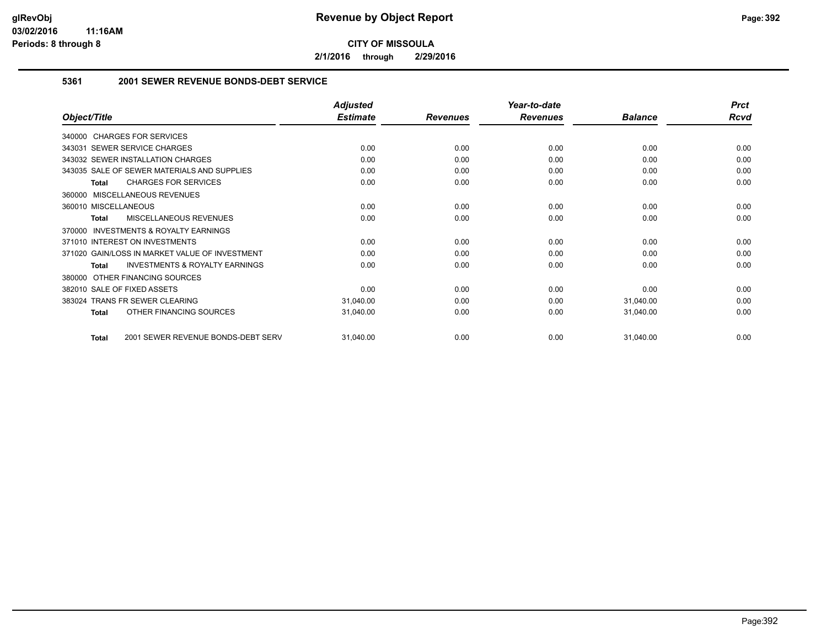**2/1/2016 through 2/29/2016**

#### **5361 2001 SEWER REVENUE BONDS-DEBT SERVICE**

|                                                           | <b>Adjusted</b> |                 | Year-to-date    |                | <b>Prct</b> |
|-----------------------------------------------------------|-----------------|-----------------|-----------------|----------------|-------------|
| Object/Title                                              | <b>Estimate</b> | <b>Revenues</b> | <b>Revenues</b> | <b>Balance</b> | <b>Rcvd</b> |
| 340000 CHARGES FOR SERVICES                               |                 |                 |                 |                |             |
| 343031 SEWER SERVICE CHARGES                              | 0.00            | 0.00            | 0.00            | 0.00           | 0.00        |
| 343032 SEWER INSTALLATION CHARGES                         | 0.00            | 0.00            | 0.00            | 0.00           | 0.00        |
| 343035 SALE OF SEWER MATERIALS AND SUPPLIES               | 0.00            | 0.00            | 0.00            | 0.00           | 0.00        |
| <b>CHARGES FOR SERVICES</b><br><b>Total</b>               | 0.00            | 0.00            | 0.00            | 0.00           | 0.00        |
| 360000 MISCELLANEOUS REVENUES                             |                 |                 |                 |                |             |
| 360010 MISCELLANEOUS                                      | 0.00            | 0.00            | 0.00            | 0.00           | 0.00        |
| MISCELLANEOUS REVENUES<br><b>Total</b>                    | 0.00            | 0.00            | 0.00            | 0.00           | 0.00        |
| <b>INVESTMENTS &amp; ROYALTY EARNINGS</b><br>370000       |                 |                 |                 |                |             |
| 371010 INTEREST ON INVESTMENTS                            | 0.00            | 0.00            | 0.00            | 0.00           | 0.00        |
| 371020 GAIN/LOSS IN MARKET VALUE OF INVESTMENT            | 0.00            | 0.00            | 0.00            | 0.00           | 0.00        |
| <b>INVESTMENTS &amp; ROYALTY EARNINGS</b><br><b>Total</b> | 0.00            | 0.00            | 0.00            | 0.00           | 0.00        |
| OTHER FINANCING SOURCES<br>380000                         |                 |                 |                 |                |             |
| 382010 SALE OF FIXED ASSETS                               | 0.00            | 0.00            | 0.00            | 0.00           | 0.00        |
| 383024 TRANS FR SEWER CLEARING                            | 31,040.00       | 0.00            | 0.00            | 31,040.00      | 0.00        |
| OTHER FINANCING SOURCES<br><b>Total</b>                   | 31,040.00       | 0.00            | 0.00            | 31,040.00      | 0.00        |
| 2001 SEWER REVENUE BONDS-DEBT SERV<br><b>Total</b>        | 31,040.00       | 0.00            | 0.00            | 31,040.00      | 0.00        |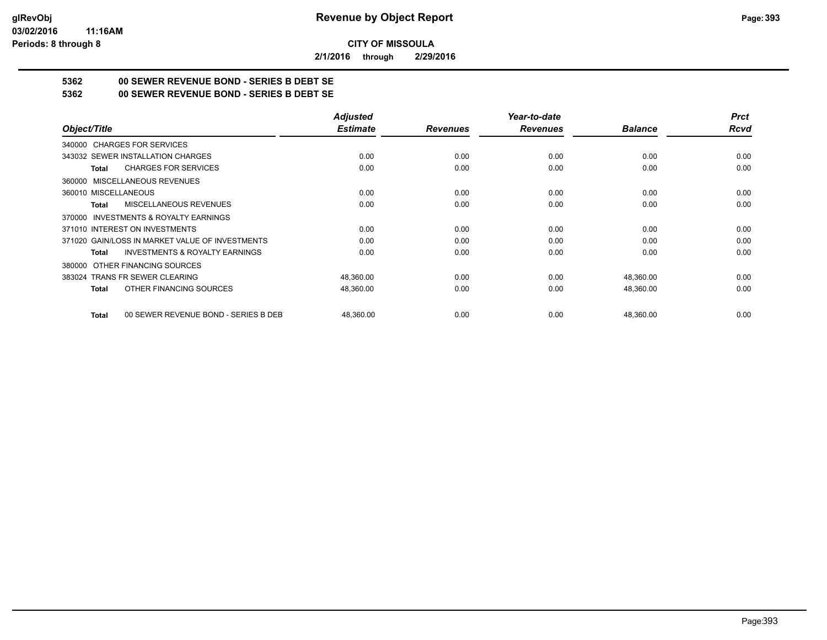**2/1/2016 through 2/29/2016**

## **5362 00 SEWER REVENUE BOND - SERIES B DEBT SE**

**5362 00 SEWER REVENUE BOND - SERIES B DEBT SE**

|                                                           | <b>Adjusted</b> |                 | Year-to-date    |                | <b>Prct</b> |
|-----------------------------------------------------------|-----------------|-----------------|-----------------|----------------|-------------|
| Object/Title                                              | <b>Estimate</b> | <b>Revenues</b> | <b>Revenues</b> | <b>Balance</b> | Rcvd        |
| 340000 CHARGES FOR SERVICES                               |                 |                 |                 |                |             |
| 343032 SEWER INSTALLATION CHARGES                         | 0.00            | 0.00            | 0.00            | 0.00           | 0.00        |
| <b>CHARGES FOR SERVICES</b><br><b>Total</b>               | 0.00            | 0.00            | 0.00            | 0.00           | 0.00        |
| MISCELLANEOUS REVENUES<br>360000                          |                 |                 |                 |                |             |
| 360010 MISCELLANEOUS                                      | 0.00            | 0.00            | 0.00            | 0.00           | 0.00        |
| MISCELLANEOUS REVENUES<br>Total                           | 0.00            | 0.00            | 0.00            | 0.00           | 0.00        |
| <b>INVESTMENTS &amp; ROYALTY EARNINGS</b><br>370000       |                 |                 |                 |                |             |
| 371010 INTEREST ON INVESTMENTS                            | 0.00            | 0.00            | 0.00            | 0.00           | 0.00        |
| 371020 GAIN/LOSS IN MARKET VALUE OF INVESTMENTS           | 0.00            | 0.00            | 0.00            | 0.00           | 0.00        |
| <b>INVESTMENTS &amp; ROYALTY EARNINGS</b><br><b>Total</b> | 0.00            | 0.00            | 0.00            | 0.00           | 0.00        |
| OTHER FINANCING SOURCES<br>380000                         |                 |                 |                 |                |             |
| 383024 TRANS FR SEWER CLEARING                            | 48,360.00       | 0.00            | 0.00            | 48,360.00      | 0.00        |
| OTHER FINANCING SOURCES<br><b>Total</b>                   | 48,360.00       | 0.00            | 0.00            | 48,360.00      | 0.00        |
| 00 SEWER REVENUE BOND - SERIES B DEB<br><b>Total</b>      | 48,360.00       | 0.00            | 0.00            | 48,360.00      | 0.00        |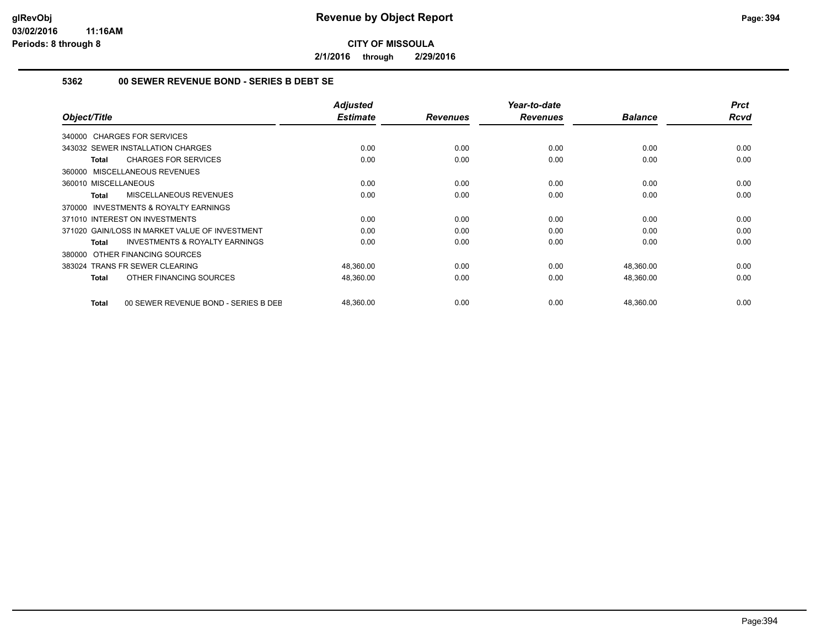**2/1/2016 through 2/29/2016**

#### **5362 00 SEWER REVENUE BOND - SERIES B DEBT SE**

| Object/Title                                              | <b>Adjusted</b><br><b>Estimate</b> | <b>Revenues</b> | Year-to-date<br><b>Revenues</b> | <b>Balance</b> | <b>Prct</b><br><b>Rcvd</b> |
|-----------------------------------------------------------|------------------------------------|-----------------|---------------------------------|----------------|----------------------------|
| 340000 CHARGES FOR SERVICES                               |                                    |                 |                                 |                |                            |
| 343032 SEWER INSTALLATION CHARGES                         | 0.00                               | 0.00            | 0.00                            | 0.00           | 0.00                       |
| <b>CHARGES FOR SERVICES</b><br>Total                      | 0.00                               | 0.00            | 0.00                            | 0.00           | 0.00                       |
| 360000 MISCELLANEOUS REVENUES                             |                                    |                 |                                 |                |                            |
| 360010 MISCELLANEOUS                                      | 0.00                               | 0.00            | 0.00                            | 0.00           | 0.00                       |
| MISCELLANEOUS REVENUES<br><b>Total</b>                    | 0.00                               | 0.00            | 0.00                            | 0.00           | 0.00                       |
| <b>INVESTMENTS &amp; ROYALTY EARNINGS</b><br>370000       |                                    |                 |                                 |                |                            |
| 371010 INTEREST ON INVESTMENTS                            | 0.00                               | 0.00            | 0.00                            | 0.00           | 0.00                       |
| 371020 GAIN/LOSS IN MARKET VALUE OF INVESTMENT            | 0.00                               | 0.00            | 0.00                            | 0.00           | 0.00                       |
| <b>INVESTMENTS &amp; ROYALTY EARNINGS</b><br><b>Total</b> | 0.00                               | 0.00            | 0.00                            | 0.00           | 0.00                       |
| OTHER FINANCING SOURCES<br>380000                         |                                    |                 |                                 |                |                            |
| 383024 TRANS FR SEWER CLEARING                            | 48,360.00                          | 0.00            | 0.00                            | 48,360.00      | 0.00                       |
| OTHER FINANCING SOURCES<br><b>Total</b>                   | 48,360.00                          | 0.00            | 0.00                            | 48,360.00      | 0.00                       |
| 00 SEWER REVENUE BOND - SERIES B DEE<br><b>Total</b>      | 48,360.00                          | 0.00            | 0.00                            | 48,360.00      | 0.00                       |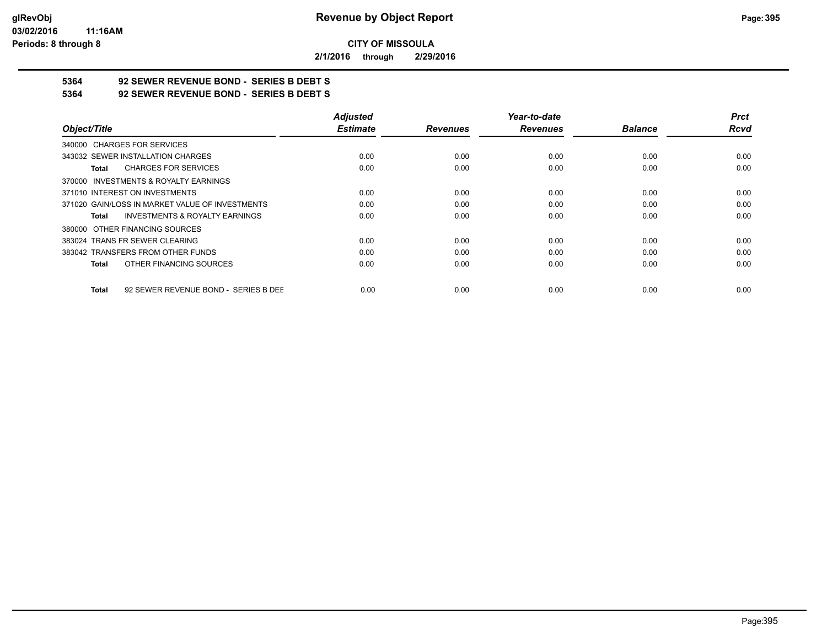**2/1/2016 through 2/29/2016**

## **5364 92 SEWER REVENUE BOND - SERIES B DEBT S**

**5364 92 SEWER REVENUE BOND - SERIES B DEBT S**

| Object/Title                                         | <b>Adjusted</b> |                 | Year-to-date    |                | <b>Prct</b> |
|------------------------------------------------------|-----------------|-----------------|-----------------|----------------|-------------|
|                                                      | <b>Estimate</b> | <b>Revenues</b> | <b>Revenues</b> | <b>Balance</b> | <b>Rcvd</b> |
| 340000 CHARGES FOR SERVICES                          |                 |                 |                 |                |             |
| 343032 SEWER INSTALLATION CHARGES                    | 0.00            | 0.00            | 0.00            | 0.00           | 0.00        |
| <b>CHARGES FOR SERVICES</b><br>Total                 | 0.00            | 0.00            | 0.00            | 0.00           | 0.00        |
| 370000 INVESTMENTS & ROYALTY EARNINGS                |                 |                 |                 |                |             |
| 371010 INTEREST ON INVESTMENTS                       | 0.00            | 0.00            | 0.00            | 0.00           | 0.00        |
| 371020 GAIN/LOSS IN MARKET VALUE OF INVESTMENTS      | 0.00            | 0.00            | 0.00            | 0.00           | 0.00        |
| <b>INVESTMENTS &amp; ROYALTY EARNINGS</b><br>Total   | 0.00            | 0.00            | 0.00            | 0.00           | 0.00        |
| 380000 OTHER FINANCING SOURCES                       |                 |                 |                 |                |             |
| 383024 TRANS FR SEWER CLEARING                       | 0.00            | 0.00            | 0.00            | 0.00           | 0.00        |
| 383042 TRANSFERS FROM OTHER FUNDS                    | 0.00            | 0.00            | 0.00            | 0.00           | 0.00        |
| OTHER FINANCING SOURCES<br><b>Total</b>              | 0.00            | 0.00            | 0.00            | 0.00           | 0.00        |
| 92 SEWER REVENUE BOND - SERIES B DEE<br><b>Total</b> | 0.00            | 0.00            | 0.00            | 0.00           | 0.00        |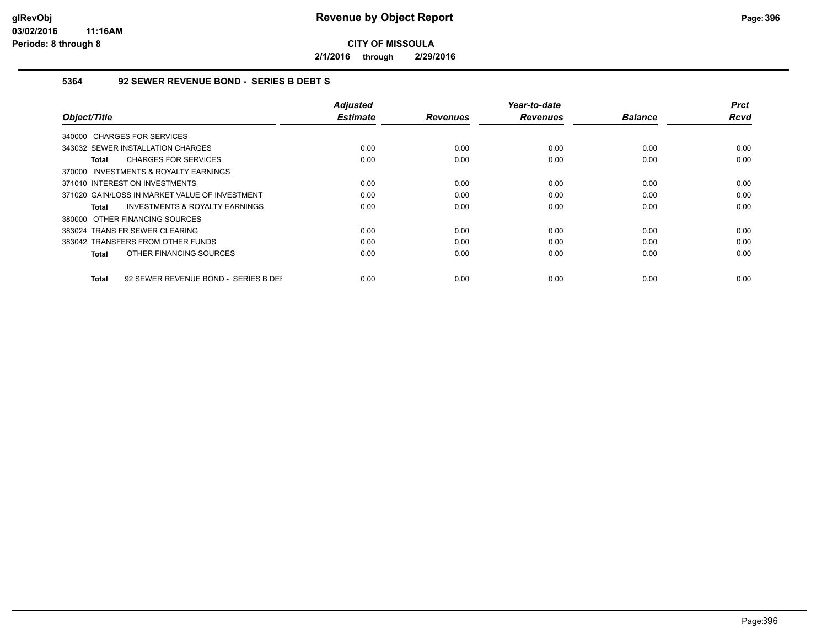**2/1/2016 through 2/29/2016**

#### **5364 92 SEWER REVENUE BOND - SERIES B DEBT S**

| Object/Title                                         | <b>Adjusted</b><br><b>Estimate</b> | <b>Revenues</b> | Year-to-date<br><b>Revenues</b> | <b>Balance</b> | <b>Prct</b><br>Rcvd |
|------------------------------------------------------|------------------------------------|-----------------|---------------------------------|----------------|---------------------|
| 340000 CHARGES FOR SERVICES                          |                                    |                 |                                 |                |                     |
| 343032 SEWER INSTALLATION CHARGES                    | 0.00                               | 0.00            | 0.00                            | 0.00           | 0.00                |
| <b>CHARGES FOR SERVICES</b><br>Total                 | 0.00                               | 0.00            | 0.00                            | 0.00           | 0.00                |
| 370000 INVESTMENTS & ROYALTY EARNINGS                |                                    |                 |                                 |                |                     |
| 371010 INTEREST ON INVESTMENTS                       | 0.00                               | 0.00            | 0.00                            | 0.00           | 0.00                |
| 371020 GAIN/LOSS IN MARKET VALUE OF INVESTMENT       | 0.00                               | 0.00            | 0.00                            | 0.00           | 0.00                |
| <b>INVESTMENTS &amp; ROYALTY EARNINGS</b><br>Total   | 0.00                               | 0.00            | 0.00                            | 0.00           | 0.00                |
| 380000 OTHER FINANCING SOURCES                       |                                    |                 |                                 |                |                     |
| 383024 TRANS FR SEWER CLEARING                       | 0.00                               | 0.00            | 0.00                            | 0.00           | 0.00                |
| 383042 TRANSFERS FROM OTHER FUNDS                    | 0.00                               | 0.00            | 0.00                            | 0.00           | 0.00                |
| OTHER FINANCING SOURCES<br>Total                     | 0.00                               | 0.00            | 0.00                            | 0.00           | 0.00                |
| 92 SEWER REVENUE BOND - SERIES B DEI<br><b>Total</b> | 0.00                               | 0.00            | 0.00                            | 0.00           | 0.00                |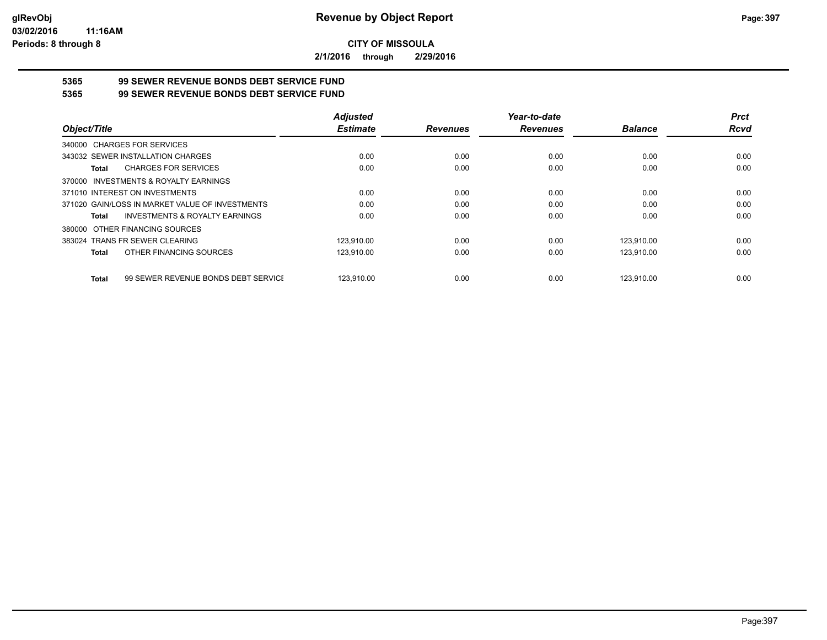**2/1/2016 through 2/29/2016**

# **5365 99 SEWER REVENUE BONDS DEBT SERVICE FUND**

**5365 99 SEWER REVENUE BONDS DEBT SERVICE FUND**

|                                                     | <b>Adjusted</b> |                 | Year-to-date    |                | <b>Prct</b> |
|-----------------------------------------------------|-----------------|-----------------|-----------------|----------------|-------------|
| Object/Title                                        | <b>Estimate</b> | <b>Revenues</b> | <b>Revenues</b> | <b>Balance</b> | <b>Rcvd</b> |
| 340000 CHARGES FOR SERVICES                         |                 |                 |                 |                |             |
| 343032 SEWER INSTALLATION CHARGES                   | 0.00            | 0.00            | 0.00            | 0.00           | 0.00        |
| <b>CHARGES FOR SERVICES</b><br>Total                | 0.00            | 0.00            | 0.00            | 0.00           | 0.00        |
| 370000 INVESTMENTS & ROYALTY EARNINGS               |                 |                 |                 |                |             |
| 371010 INTEREST ON INVESTMENTS                      | 0.00            | 0.00            | 0.00            | 0.00           | 0.00        |
| 371020 GAIN/LOSS IN MARKET VALUE OF INVESTMENTS     | 0.00            | 0.00            | 0.00            | 0.00           | 0.00        |
| <b>INVESTMENTS &amp; ROYALTY EARNINGS</b><br>Total  | 0.00            | 0.00            | 0.00            | 0.00           | 0.00        |
| 380000 OTHER FINANCING SOURCES                      |                 |                 |                 |                |             |
| 383024 TRANS FR SEWER CLEARING                      | 123.910.00      | 0.00            | 0.00            | 123.910.00     | 0.00        |
| OTHER FINANCING SOURCES<br>Total                    | 123,910.00      | 0.00            | 0.00            | 123,910.00     | 0.00        |
| 99 SEWER REVENUE BONDS DEBT SERVICE<br><b>Total</b> | 123.910.00      | 0.00            | 0.00            | 123.910.00     | 0.00        |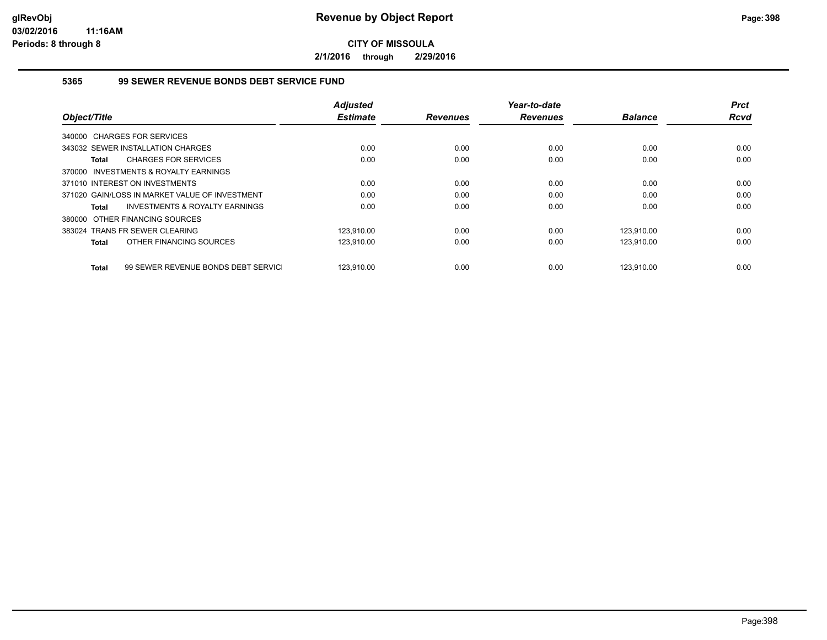**2/1/2016 through 2/29/2016**

#### **5365 99 SEWER REVENUE BONDS DEBT SERVICE FUND**

|              |                                                | <b>Adjusted</b> |                 | Year-to-date    |                | <b>Prct</b> |
|--------------|------------------------------------------------|-----------------|-----------------|-----------------|----------------|-------------|
| Object/Title |                                                | <b>Estimate</b> | <b>Revenues</b> | <b>Revenues</b> | <b>Balance</b> | <b>Rcvd</b> |
|              | 340000 CHARGES FOR SERVICES                    |                 |                 |                 |                |             |
|              | 343032 SEWER INSTALLATION CHARGES              | 0.00            | 0.00            | 0.00            | 0.00           | 0.00        |
| Total        | <b>CHARGES FOR SERVICES</b>                    | 0.00            | 0.00            | 0.00            | 0.00           | 0.00        |
|              | 370000 INVESTMENTS & ROYALTY EARNINGS          |                 |                 |                 |                |             |
|              | 371010 INTEREST ON INVESTMENTS                 | 0.00            | 0.00            | 0.00            | 0.00           | 0.00        |
|              | 371020 GAIN/LOSS IN MARKET VALUE OF INVESTMENT | 0.00            | 0.00            | 0.00            | 0.00           | 0.00        |
| Total        | INVESTMENTS & ROYALTY EARNINGS                 | 0.00            | 0.00            | 0.00            | 0.00           | 0.00        |
|              | 380000 OTHER FINANCING SOURCES                 |                 |                 |                 |                |             |
|              | 383024 TRANS FR SEWER CLEARING                 | 123.910.00      | 0.00            | 0.00            | 123.910.00     | 0.00        |
| Total        | OTHER FINANCING SOURCES                        | 123,910.00      | 0.00            | 0.00            | 123,910.00     | 0.00        |
| Total        | 99 SEWER REVENUE BONDS DEBT SERVIC             | 123.910.00      | 0.00            | 0.00            | 123.910.00     | 0.00        |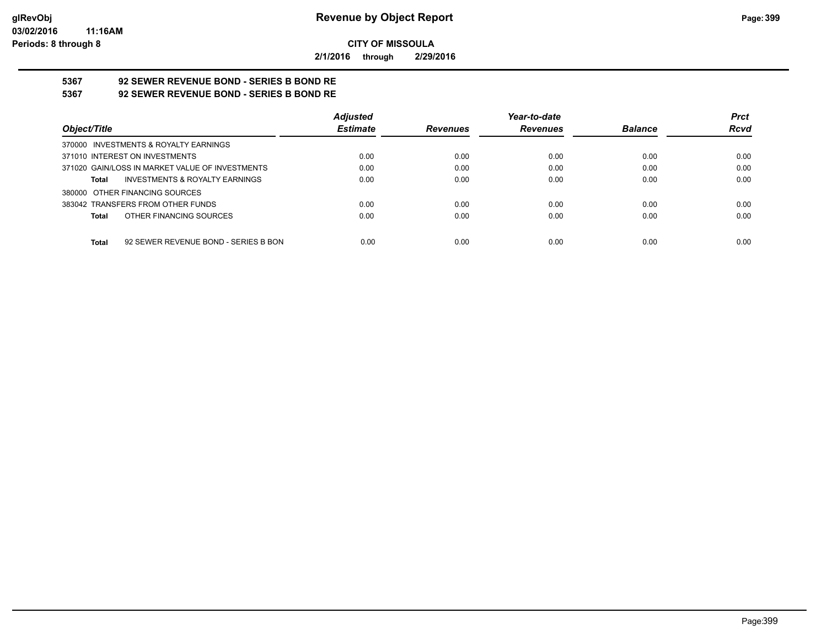**2/1/2016 through 2/29/2016**

# **5367 92 SEWER REVENUE BOND - SERIES B BOND RE**

**5367 92 SEWER REVENUE BOND - SERIES B BOND RE**

|                                                    | <b>Adjusted</b> |                 | Year-to-date    |                | <b>Prct</b> |
|----------------------------------------------------|-----------------|-----------------|-----------------|----------------|-------------|
| Object/Title                                       | <b>Estimate</b> | <b>Revenues</b> | <b>Revenues</b> | <b>Balance</b> | <b>Rcvd</b> |
| 370000 INVESTMENTS & ROYALTY EARNINGS              |                 |                 |                 |                |             |
| 371010 INTEREST ON INVESTMENTS                     | 0.00            | 0.00            | 0.00            | 0.00           | 0.00        |
| 371020 GAIN/LOSS IN MARKET VALUE OF INVESTMENTS    | 0.00            | 0.00            | 0.00            | 0.00           | 0.00        |
| <b>INVESTMENTS &amp; ROYALTY EARNINGS</b><br>Total | 0.00            | 0.00            | 0.00            | 0.00           | 0.00        |
| 380000 OTHER FINANCING SOURCES                     |                 |                 |                 |                |             |
| 383042 TRANSFERS FROM OTHER FUNDS                  | 0.00            | 0.00            | 0.00            | 0.00           | 0.00        |
| OTHER FINANCING SOURCES<br>Total                   | 0.00            | 0.00            | 0.00            | 0.00           | 0.00        |
|                                                    |                 |                 |                 |                |             |
| 92 SEWER REVENUE BOND - SERIES B BON<br>Total      | 0.00            | 0.00            | 0.00            | 0.00           | 0.00        |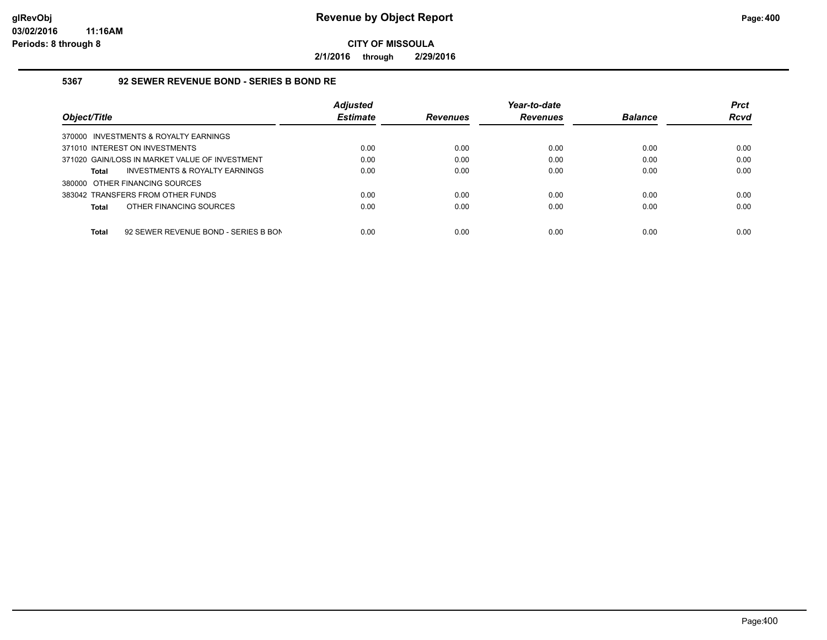**2/1/2016 through 2/29/2016**

#### **5367 92 SEWER REVENUE BOND - SERIES B BOND RE**

|                                                      | <b>Adjusted</b> |                 | Year-to-date    |                | <b>Prct</b> |
|------------------------------------------------------|-----------------|-----------------|-----------------|----------------|-------------|
| Object/Title                                         | <b>Estimate</b> | <b>Revenues</b> | <b>Revenues</b> | <b>Balance</b> | <b>Rcvd</b> |
| 370000 INVESTMENTS & ROYALTY EARNINGS                |                 |                 |                 |                |             |
| 371010 INTEREST ON INVESTMENTS                       | 0.00            | 0.00            | 0.00            | 0.00           | 0.00        |
| 371020 GAIN/LOSS IN MARKET VALUE OF INVESTMENT       | 0.00            | 0.00            | 0.00            | 0.00           | 0.00        |
| INVESTMENTS & ROYALTY EARNINGS<br><b>Total</b>       | 0.00            | 0.00            | 0.00            | 0.00           | 0.00        |
| 380000 OTHER FINANCING SOURCES                       |                 |                 |                 |                |             |
| 383042 TRANSFERS FROM OTHER FUNDS                    | 0.00            | 0.00            | 0.00            | 0.00           | 0.00        |
| OTHER FINANCING SOURCES<br><b>Total</b>              | 0.00            | 0.00            | 0.00            | 0.00           | 0.00        |
|                                                      |                 |                 |                 |                |             |
| 92 SEWER REVENUE BOND - SERIES B BON<br><b>Total</b> | 0.00            | 0.00            | 0.00            | 0.00           | 0.00        |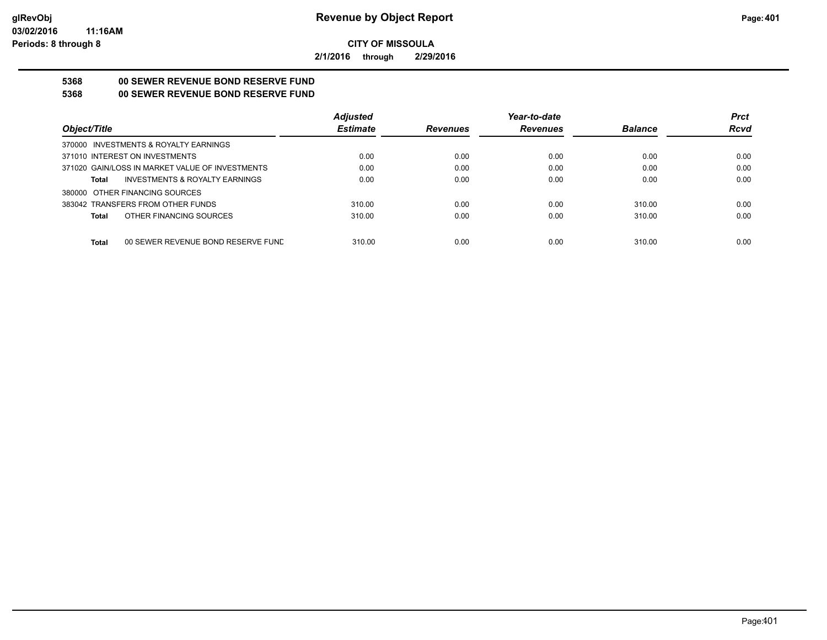**2/1/2016 through 2/29/2016**

## **5368 00 SEWER REVENUE BOND RESERVE FUND**

## **5368 00 SEWER REVENUE BOND RESERVE FUND**

|                                                    | <b>Adjusted</b> |                 | Year-to-date    |                | <b>Prct</b> |
|----------------------------------------------------|-----------------|-----------------|-----------------|----------------|-------------|
| Object/Title                                       | <b>Estimate</b> | <b>Revenues</b> | <b>Revenues</b> | <b>Balance</b> | <b>Rcvd</b> |
| 370000 INVESTMENTS & ROYALTY EARNINGS              |                 |                 |                 |                |             |
| 371010 INTEREST ON INVESTMENTS                     | 0.00            | 0.00            | 0.00            | 0.00           | 0.00        |
| 371020 GAIN/LOSS IN MARKET VALUE OF INVESTMENTS    | 0.00            | 0.00            | 0.00            | 0.00           | 0.00        |
| <b>INVESTMENTS &amp; ROYALTY EARNINGS</b><br>Total | 0.00            | 0.00            | 0.00            | 0.00           | 0.00        |
| 380000 OTHER FINANCING SOURCES                     |                 |                 |                 |                |             |
| 383042 TRANSFERS FROM OTHER FUNDS                  | 310.00          | 0.00            | 0.00            | 310.00         | 0.00        |
| OTHER FINANCING SOURCES<br>Total                   | 310.00          | 0.00            | 0.00            | 310.00         | 0.00        |
|                                                    |                 |                 |                 |                |             |
| <b>Total</b><br>00 SEWER REVENUE BOND RESERVE FUND | 310.00          | 0.00            | 0.00            | 310.00         | 0.00        |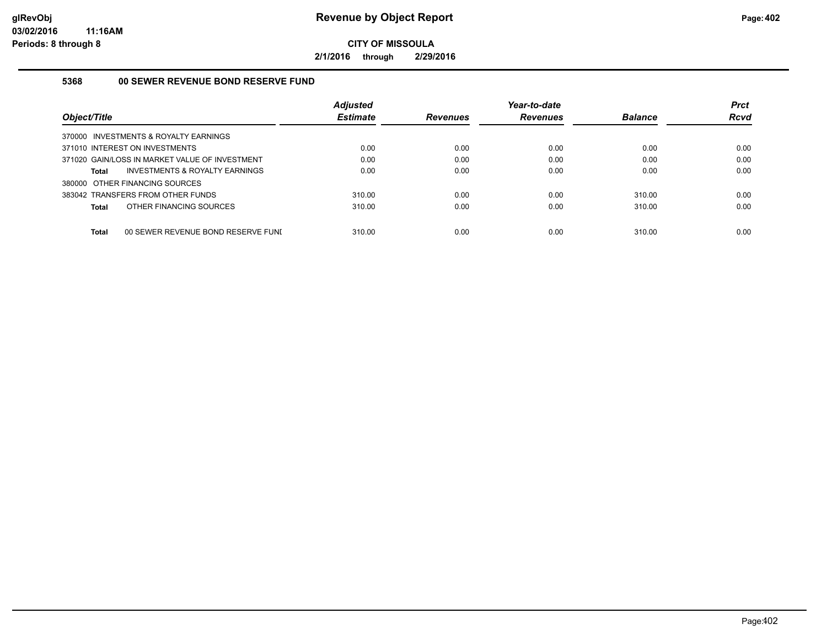**2/1/2016 through 2/29/2016**

#### **5368 00 SEWER REVENUE BOND RESERVE FUND**

| Object/Title                                       | <b>Adjusted</b><br><b>Estimate</b> | <b>Revenues</b> | Year-to-date<br><b>Revenues</b> | <b>Balance</b> | <b>Prct</b><br><b>Rcvd</b> |
|----------------------------------------------------|------------------------------------|-----------------|---------------------------------|----------------|----------------------------|
| 370000 INVESTMENTS & ROYALTY EARNINGS              |                                    |                 |                                 |                |                            |
| 371010 INTEREST ON INVESTMENTS                     | 0.00                               | 0.00            | 0.00                            | 0.00           | 0.00                       |
| 371020 GAIN/LOSS IN MARKET VALUE OF INVESTMENT     | 0.00                               | 0.00            | 0.00                            | 0.00           | 0.00                       |
| INVESTMENTS & ROYALTY EARNINGS<br>Total            | 0.00                               | 0.00            | 0.00                            | 0.00           | 0.00                       |
| 380000 OTHER FINANCING SOURCES                     |                                    |                 |                                 |                |                            |
| 383042 TRANSFERS FROM OTHER FUNDS                  | 310.00                             | 0.00            | 0.00                            | 310.00         | 0.00                       |
| OTHER FINANCING SOURCES<br>Total                   | 310.00                             | 0.00            | 0.00                            | 310.00         | 0.00                       |
| <b>Total</b><br>00 SEWER REVENUE BOND RESERVE FUNI | 310.00                             | 0.00            | 0.00                            | 310.00         | 0.00                       |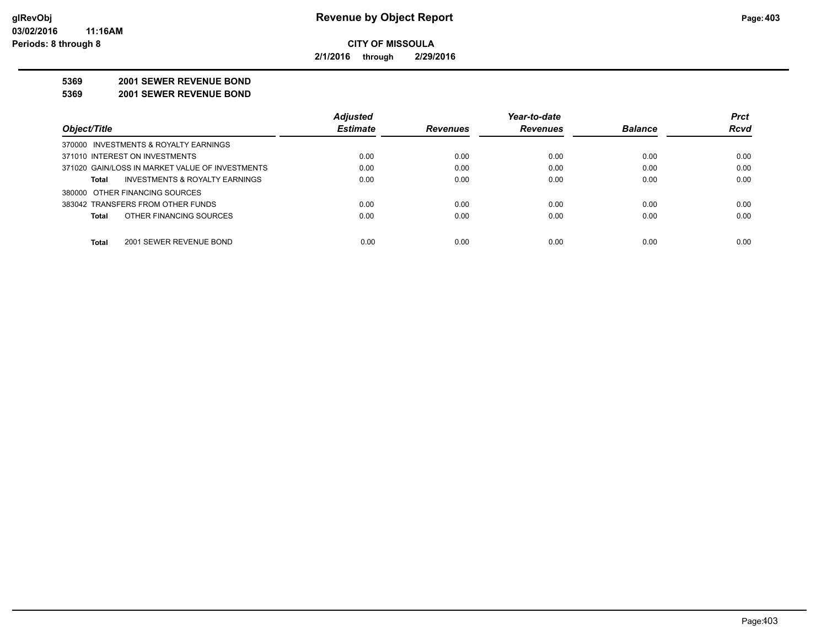**2/1/2016 through 2/29/2016**

#### **5369 2001 SEWER REVENUE BOND**

**5369 2001 SEWER REVENUE BOND**

|                                                 | <b>Adjusted</b> |                 | Year-to-date    |                | <b>Prct</b> |
|-------------------------------------------------|-----------------|-----------------|-----------------|----------------|-------------|
| Object/Title                                    | <b>Estimate</b> | <b>Revenues</b> | <b>Revenues</b> | <b>Balance</b> | <b>Rcvd</b> |
| 370000 INVESTMENTS & ROYALTY EARNINGS           |                 |                 |                 |                |             |
| 371010 INTEREST ON INVESTMENTS                  | 0.00            | 0.00            | 0.00            | 0.00           | 0.00        |
| 371020 GAIN/LOSS IN MARKET VALUE OF INVESTMENTS | 0.00            | 0.00            | 0.00            | 0.00           | 0.00        |
| INVESTMENTS & ROYALTY EARNINGS<br>Total         | 0.00            | 0.00            | 0.00            | 0.00           | 0.00        |
| 380000 OTHER FINANCING SOURCES                  |                 |                 |                 |                |             |
| 383042 TRANSFERS FROM OTHER FUNDS               | 0.00            | 0.00            | 0.00            | 0.00           | 0.00        |
| OTHER FINANCING SOURCES<br><b>Total</b>         | 0.00            | 0.00            | 0.00            | 0.00           | 0.00        |
|                                                 |                 |                 |                 |                |             |
| <b>Total</b><br>2001 SEWER REVENUE BOND         | 0.00            | 0.00            | 0.00            | 0.00           | 0.00        |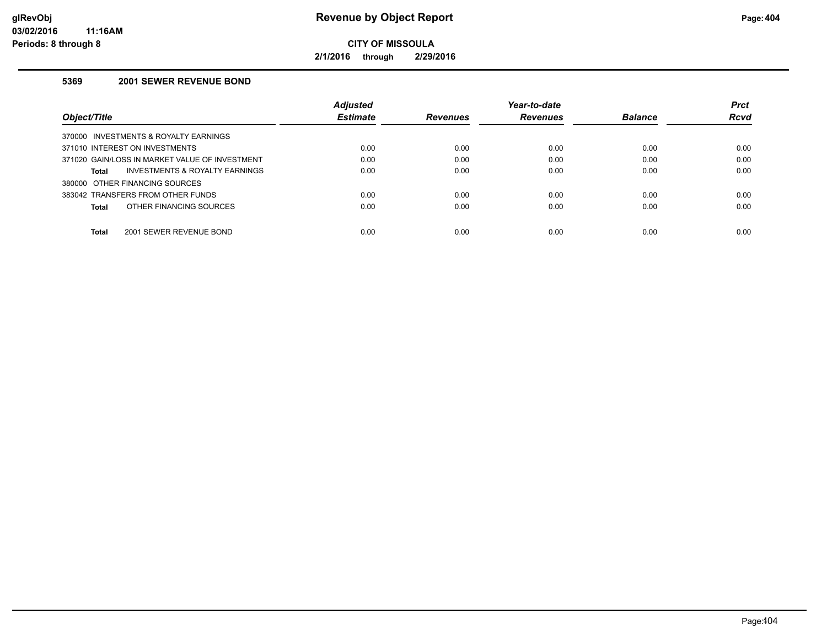**2/1/2016 through 2/29/2016**

## **5369 2001 SEWER REVENUE BOND**

|                                                    | <b>Adjusted</b> |                 | Year-to-date    |                | <b>Prct</b> |
|----------------------------------------------------|-----------------|-----------------|-----------------|----------------|-------------|
| Object/Title                                       | <b>Estimate</b> | <b>Revenues</b> | <b>Revenues</b> | <b>Balance</b> | <b>Rcvd</b> |
| 370000 INVESTMENTS & ROYALTY EARNINGS              |                 |                 |                 |                |             |
| 371010 INTEREST ON INVESTMENTS                     | 0.00            | 0.00            | 0.00            | 0.00           | 0.00        |
| 371020 GAIN/LOSS IN MARKET VALUE OF INVESTMENT     | 0.00            | 0.00            | 0.00            | 0.00           | 0.00        |
| <b>INVESTMENTS &amp; ROYALTY EARNINGS</b><br>Total | 0.00            | 0.00            | 0.00            | 0.00           | 0.00        |
| 380000 OTHER FINANCING SOURCES                     |                 |                 |                 |                |             |
| 383042 TRANSFERS FROM OTHER FUNDS                  | 0.00            | 0.00            | 0.00            | 0.00           | 0.00        |
| OTHER FINANCING SOURCES<br>Total                   | 0.00            | 0.00            | 0.00            | 0.00           | 0.00        |
| <b>Total</b><br>2001 SEWER REVENUE BOND            | 0.00            | 0.00            | 0.00            | 0.00           | 0.00        |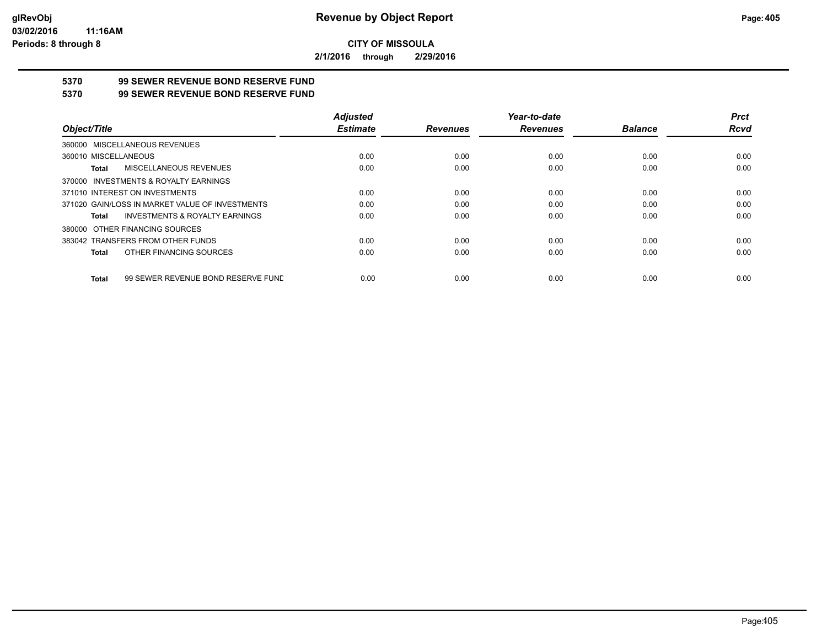**2/1/2016 through 2/29/2016**

## **5370 99 SEWER REVENUE BOND RESERVE FUND**

#### **5370 99 SEWER REVENUE BOND RESERVE FUND**

|                                                    | <b>Adjusted</b> |                 | Year-to-date    |                | <b>Prct</b> |
|----------------------------------------------------|-----------------|-----------------|-----------------|----------------|-------------|
| Object/Title                                       | <b>Estimate</b> | <b>Revenues</b> | <b>Revenues</b> | <b>Balance</b> | Rcvd        |
| 360000 MISCELLANEOUS REVENUES                      |                 |                 |                 |                |             |
| 360010 MISCELLANEOUS                               | 0.00            | 0.00            | 0.00            | 0.00           | 0.00        |
| MISCELLANEOUS REVENUES<br>Total                    | 0.00            | 0.00            | 0.00            | 0.00           | 0.00        |
| 370000 INVESTMENTS & ROYALTY EARNINGS              |                 |                 |                 |                |             |
| 371010 INTEREST ON INVESTMENTS                     | 0.00            | 0.00            | 0.00            | 0.00           | 0.00        |
| 371020 GAIN/LOSS IN MARKET VALUE OF INVESTMENTS    | 0.00            | 0.00            | 0.00            | 0.00           | 0.00        |
| <b>INVESTMENTS &amp; ROYALTY EARNINGS</b><br>Total | 0.00            | 0.00            | 0.00            | 0.00           | 0.00        |
| 380000 OTHER FINANCING SOURCES                     |                 |                 |                 |                |             |
| 383042 TRANSFERS FROM OTHER FUNDS                  | 0.00            | 0.00            | 0.00            | 0.00           | 0.00        |
| OTHER FINANCING SOURCES<br>Total                   | 0.00            | 0.00            | 0.00            | 0.00           | 0.00        |
| 99 SEWER REVENUE BOND RESERVE FUND<br>Total        | 0.00            | 0.00            | 0.00            | 0.00           | 0.00        |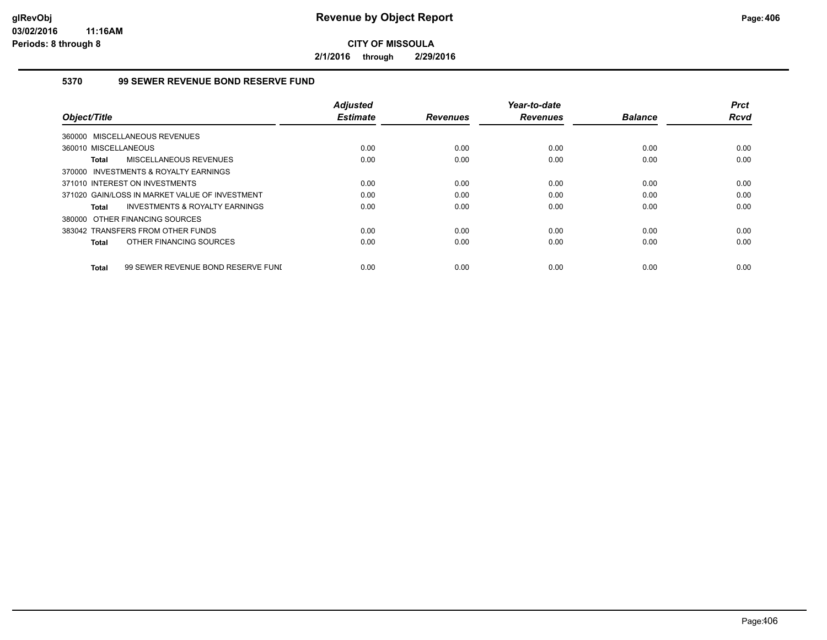**2/1/2016 through 2/29/2016**

### **5370 99 SEWER REVENUE BOND RESERVE FUND**

|                                                    | <b>Adjusted</b> |                 | Year-to-date    |                | <b>Prct</b> |
|----------------------------------------------------|-----------------|-----------------|-----------------|----------------|-------------|
| Object/Title                                       | <b>Estimate</b> | <b>Revenues</b> | <b>Revenues</b> | <b>Balance</b> | <b>Rcvd</b> |
| 360000 MISCELLANEOUS REVENUES                      |                 |                 |                 |                |             |
| 360010 MISCELLANEOUS                               | 0.00            | 0.00            | 0.00            | 0.00           | 0.00        |
| MISCELLANEOUS REVENUES<br><b>Total</b>             | 0.00            | 0.00            | 0.00            | 0.00           | 0.00        |
| 370000 INVESTMENTS & ROYALTY EARNINGS              |                 |                 |                 |                |             |
| 371010 INTEREST ON INVESTMENTS                     | 0.00            | 0.00            | 0.00            | 0.00           | 0.00        |
| 371020 GAIN/LOSS IN MARKET VALUE OF INVESTMENT     | 0.00            | 0.00            | 0.00            | 0.00           | 0.00        |
| INVESTMENTS & ROYALTY EARNINGS<br>Total            | 0.00            | 0.00            | 0.00            | 0.00           | 0.00        |
| 380000 OTHER FINANCING SOURCES                     |                 |                 |                 |                |             |
| 383042 TRANSFERS FROM OTHER FUNDS                  | 0.00            | 0.00            | 0.00            | 0.00           | 0.00        |
| OTHER FINANCING SOURCES<br><b>Total</b>            | 0.00            | 0.00            | 0.00            | 0.00           | 0.00        |
|                                                    |                 |                 |                 |                |             |
| 99 SEWER REVENUE BOND RESERVE FUNI<br><b>Total</b> | 0.00            | 0.00            | 0.00            | 0.00           | 0.00        |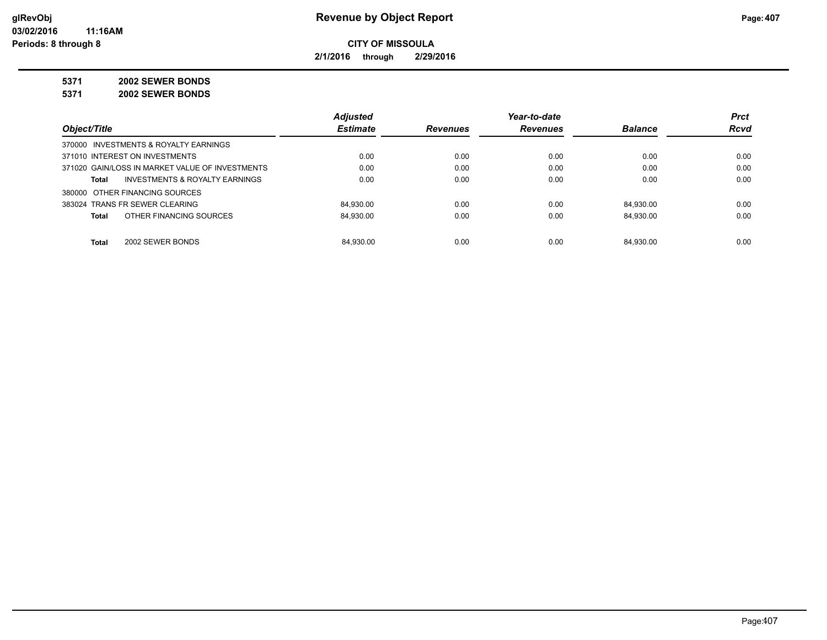**2/1/2016 through 2/29/2016**

**5371 2002 SEWER BONDS**

**5371 2002 SEWER BONDS**

|                                                 | <b>Adjusted</b> |                 | Year-to-date    |                | <b>Prct</b> |
|-------------------------------------------------|-----------------|-----------------|-----------------|----------------|-------------|
| Object/Title                                    | <b>Estimate</b> | <b>Revenues</b> | <b>Revenues</b> | <b>Balance</b> | <b>Rcvd</b> |
| 370000 INVESTMENTS & ROYALTY EARNINGS           |                 |                 |                 |                |             |
| 371010 INTEREST ON INVESTMENTS                  | 0.00            | 0.00            | 0.00            | 0.00           | 0.00        |
| 371020 GAIN/LOSS IN MARKET VALUE OF INVESTMENTS | 0.00            | 0.00            | 0.00            | 0.00           | 0.00        |
| INVESTMENTS & ROYALTY EARNINGS<br>Total         | 0.00            | 0.00            | 0.00            | 0.00           | 0.00        |
| 380000 OTHER FINANCING SOURCES                  |                 |                 |                 |                |             |
| 383024 TRANS FR SEWER CLEARING                  | 84.930.00       | 0.00            | 0.00            | 84.930.00      | 0.00        |
| OTHER FINANCING SOURCES<br>Total                | 84.930.00       | 0.00            | 0.00            | 84.930.00      | 0.00        |
|                                                 |                 |                 |                 |                |             |
| 2002 SEWER BONDS<br>Total                       | 84.930.00       | 0.00            | 0.00            | 84.930.00      | 0.00        |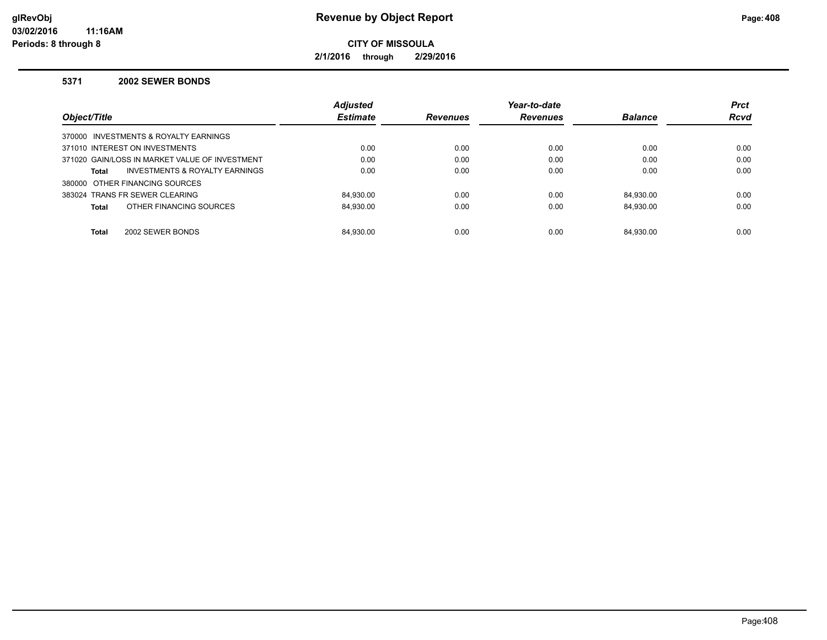**2/1/2016 through 2/29/2016**

#### **5371 2002 SEWER BONDS**

|                                                    | <b>Adjusted</b> |                 | Year-to-date    |                | <b>Prct</b> |
|----------------------------------------------------|-----------------|-----------------|-----------------|----------------|-------------|
| Object/Title                                       | <b>Estimate</b> | <b>Revenues</b> | <b>Revenues</b> | <b>Balance</b> | <b>Rcvd</b> |
| 370000 INVESTMENTS & ROYALTY EARNINGS              |                 |                 |                 |                |             |
| 371010 INTEREST ON INVESTMENTS                     | 0.00            | 0.00            | 0.00            | 0.00           | 0.00        |
| 371020 GAIN/LOSS IN MARKET VALUE OF INVESTMENT     | 0.00            | 0.00            | 0.00            | 0.00           | 0.00        |
| <b>INVESTMENTS &amp; ROYALTY EARNINGS</b><br>Total | 0.00            | 0.00            | 0.00            | 0.00           | 0.00        |
| 380000 OTHER FINANCING SOURCES                     |                 |                 |                 |                |             |
| 383024 TRANS FR SEWER CLEARING                     | 84.930.00       | 0.00            | 0.00            | 84.930.00      | 0.00        |
| OTHER FINANCING SOURCES<br><b>Total</b>            | 84.930.00       | 0.00            | 0.00            | 84.930.00      | 0.00        |
|                                                    |                 |                 |                 |                |             |
| <b>Total</b><br>2002 SEWER BONDS                   | 84.930.00       | 0.00            | 0.00            | 84.930.00      | 0.00        |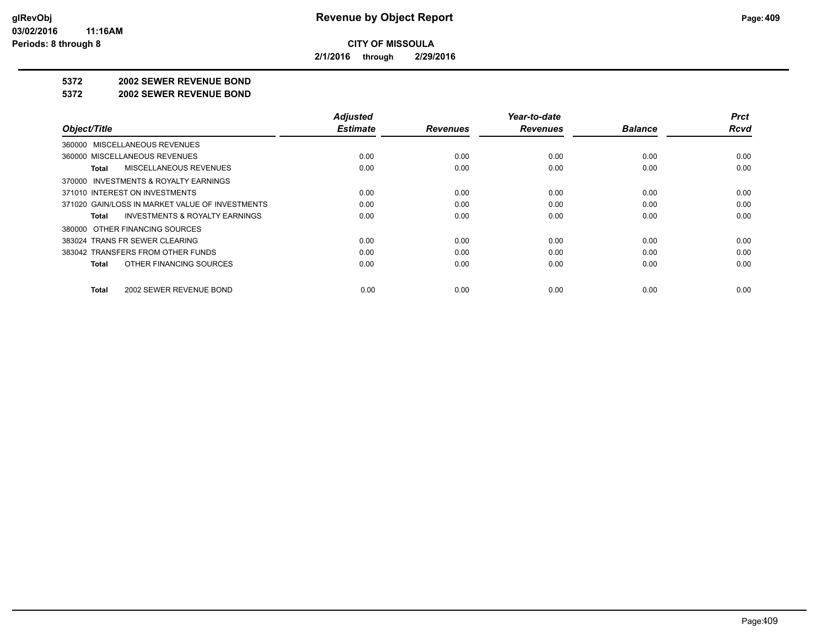**2/1/2016 through 2/29/2016**

#### **5372 2002 SEWER REVENUE BOND**

#### **5372 2002 SEWER REVENUE BOND**

| Object/Title                                       | <b>Adjusted</b><br><b>Estimate</b> | <b>Revenues</b> | Year-to-date<br><b>Revenues</b> | <b>Balance</b> | <b>Prct</b><br><b>Rcvd</b> |
|----------------------------------------------------|------------------------------------|-----------------|---------------------------------|----------------|----------------------------|
|                                                    |                                    |                 |                                 |                |                            |
| 360000 MISCELLANEOUS REVENUES                      |                                    |                 |                                 |                |                            |
| 360000 MISCELLANEOUS REVENUES                      | 0.00                               | 0.00            | 0.00                            | 0.00           | 0.00                       |
| MISCELLANEOUS REVENUES<br>Total                    | 0.00                               | 0.00            | 0.00                            | 0.00           | 0.00                       |
| 370000 INVESTMENTS & ROYALTY EARNINGS              |                                    |                 |                                 |                |                            |
| 371010 INTEREST ON INVESTMENTS                     | 0.00                               | 0.00            | 0.00                            | 0.00           | 0.00                       |
| 371020 GAIN/LOSS IN MARKET VALUE OF INVESTMENTS    | 0.00                               | 0.00            | 0.00                            | 0.00           | 0.00                       |
| <b>INVESTMENTS &amp; ROYALTY EARNINGS</b><br>Total | 0.00                               | 0.00            | 0.00                            | 0.00           | 0.00                       |
| 380000 OTHER FINANCING SOURCES                     |                                    |                 |                                 |                |                            |
| 383024 TRANS FR SEWER CLEARING                     | 0.00                               | 0.00            | 0.00                            | 0.00           | 0.00                       |
| 383042 TRANSFERS FROM OTHER FUNDS                  | 0.00                               | 0.00            | 0.00                            | 0.00           | 0.00                       |
| OTHER FINANCING SOURCES<br>Total                   | 0.00                               | 0.00            | 0.00                            | 0.00           | 0.00                       |
| 2002 SEWER REVENUE BOND<br>Total                   | 0.00                               | 0.00            | 0.00                            | 0.00           | 0.00                       |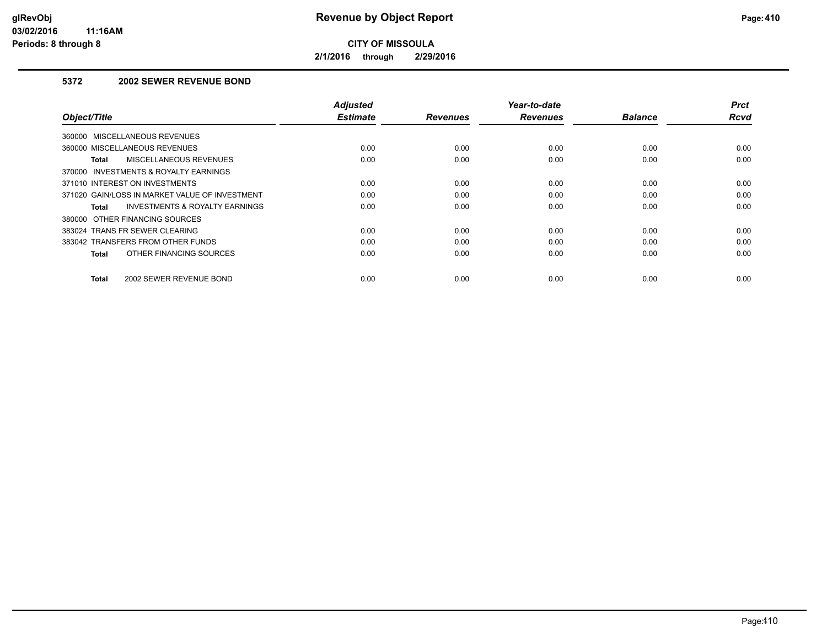**2/1/2016 through 2/29/2016**

## **5372 2002 SEWER REVENUE BOND**

| Object/Title                                   | <b>Adjusted</b><br><b>Estimate</b> | <b>Revenues</b> | Year-to-date<br><b>Revenues</b> | <b>Balance</b> | <b>Prct</b><br>Rcvd |
|------------------------------------------------|------------------------------------|-----------------|---------------------------------|----------------|---------------------|
| 360000 MISCELLANEOUS REVENUES                  |                                    |                 |                                 |                |                     |
| 360000 MISCELLANEOUS REVENUES                  | 0.00                               | 0.00            | 0.00                            | 0.00           | 0.00                |
| MISCELLANEOUS REVENUES<br>Total                | 0.00                               | 0.00            | 0.00                            | 0.00           | 0.00                |
| 370000 INVESTMENTS & ROYALTY EARNINGS          |                                    |                 |                                 |                |                     |
| 371010 INTEREST ON INVESTMENTS                 | 0.00                               | 0.00            | 0.00                            | 0.00           | 0.00                |
| 371020 GAIN/LOSS IN MARKET VALUE OF INVESTMENT | 0.00                               | 0.00            | 0.00                            | 0.00           | 0.00                |
| INVESTMENTS & ROYALTY EARNINGS<br>Total        | 0.00                               | 0.00            | 0.00                            | 0.00           | 0.00                |
| 380000 OTHER FINANCING SOURCES                 |                                    |                 |                                 |                |                     |
| 383024 TRANS FR SEWER CLEARING                 | 0.00                               | 0.00            | 0.00                            | 0.00           | 0.00                |
| 383042 TRANSFERS FROM OTHER FUNDS              | 0.00                               | 0.00            | 0.00                            | 0.00           | 0.00                |
| OTHER FINANCING SOURCES<br><b>Total</b>        | 0.00                               | 0.00            | 0.00                            | 0.00           | 0.00                |
| 2002 SEWER REVENUE BOND<br><b>Total</b>        | 0.00                               | 0.00            | 0.00                            | 0.00           | 0.00                |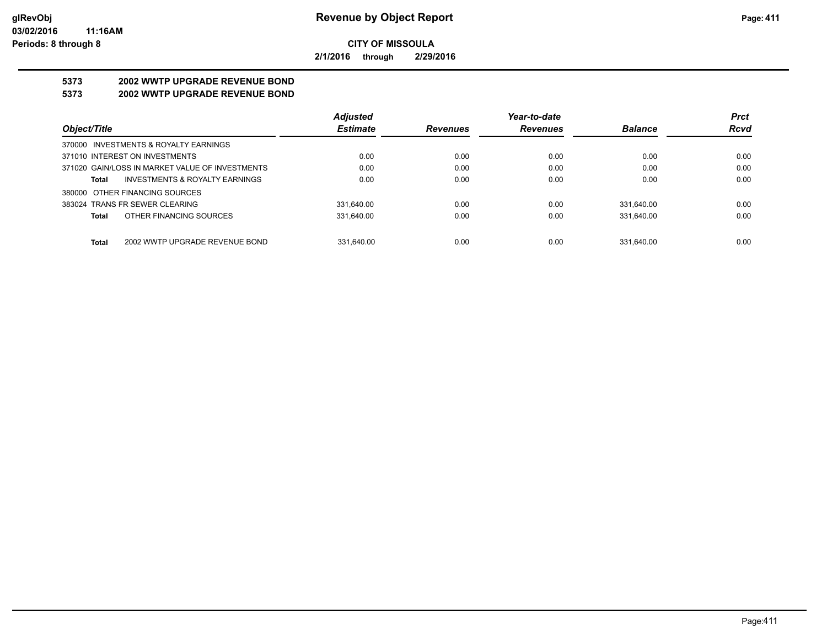**2/1/2016 through 2/29/2016**

## **5373 2002 WWTP UPGRADE REVENUE BOND**

### **5373 2002 WWTP UPGRADE REVENUE BOND**

|                                                 | <b>Adjusted</b> |                 | Year-to-date    |                | <b>Prct</b> |
|-------------------------------------------------|-----------------|-----------------|-----------------|----------------|-------------|
| Object/Title                                    | <b>Estimate</b> | <b>Revenues</b> | <b>Revenues</b> | <b>Balance</b> | <b>Rcvd</b> |
| 370000 INVESTMENTS & ROYALTY EARNINGS           |                 |                 |                 |                |             |
| 371010 INTEREST ON INVESTMENTS                  | 0.00            | 0.00            | 0.00            | 0.00           | 0.00        |
| 371020 GAIN/LOSS IN MARKET VALUE OF INVESTMENTS | 0.00            | 0.00            | 0.00            | 0.00           | 0.00        |
| INVESTMENTS & ROYALTY EARNINGS<br>Total         | 0.00            | 0.00            | 0.00            | 0.00           | 0.00        |
| 380000 OTHER FINANCING SOURCES                  |                 |                 |                 |                |             |
| 383024 TRANS FR SEWER CLEARING                  | 331.640.00      | 0.00            | 0.00            | 331.640.00     | 0.00        |
| OTHER FINANCING SOURCES<br>Total                | 331.640.00      | 0.00            | 0.00            | 331,640.00     | 0.00        |
|                                                 |                 |                 |                 |                |             |
| 2002 WWTP UPGRADE REVENUE BOND<br>Total         | 331.640.00      | 0.00            | 0.00            | 331.640.00     | 0.00        |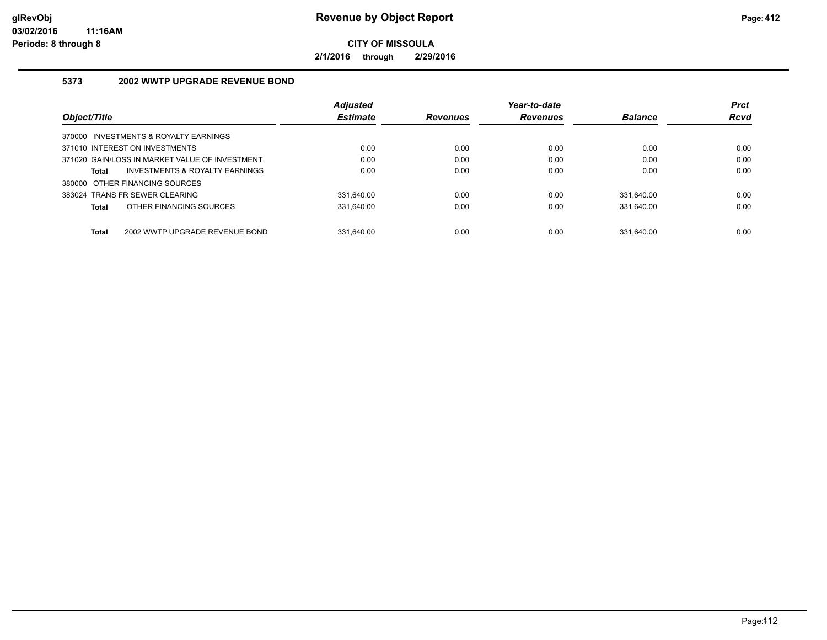**2/1/2016 through 2/29/2016**

## **5373 2002 WWTP UPGRADE REVENUE BOND**

|                                                    | <b>Adjusted</b> |                 | Year-to-date    |                | <b>Prct</b> |
|----------------------------------------------------|-----------------|-----------------|-----------------|----------------|-------------|
| Object/Title                                       | <b>Estimate</b> | <b>Revenues</b> | <b>Revenues</b> | <b>Balance</b> | <b>Rcvd</b> |
| 370000 INVESTMENTS & ROYALTY EARNINGS              |                 |                 |                 |                |             |
| 371010 INTEREST ON INVESTMENTS                     | 0.00            | 0.00            | 0.00            | 0.00           | 0.00        |
| 371020 GAIN/LOSS IN MARKET VALUE OF INVESTMENT     | 0.00            | 0.00            | 0.00            | 0.00           | 0.00        |
| <b>INVESTMENTS &amp; ROYALTY EARNINGS</b><br>Total | 0.00            | 0.00            | 0.00            | 0.00           | 0.00        |
| 380000 OTHER FINANCING SOURCES                     |                 |                 |                 |                |             |
| 383024 TRANS FR SEWER CLEARING                     | 331.640.00      | 0.00            | 0.00            | 331.640.00     | 0.00        |
| OTHER FINANCING SOURCES<br>Total                   | 331.640.00      | 0.00            | 0.00            | 331.640.00     | 0.00        |
|                                                    |                 |                 |                 |                |             |
| <b>Total</b><br>2002 WWTP UPGRADE REVENUE BOND     | 331.640.00      | 0.00            | 0.00            | 331.640.00     | 0.00        |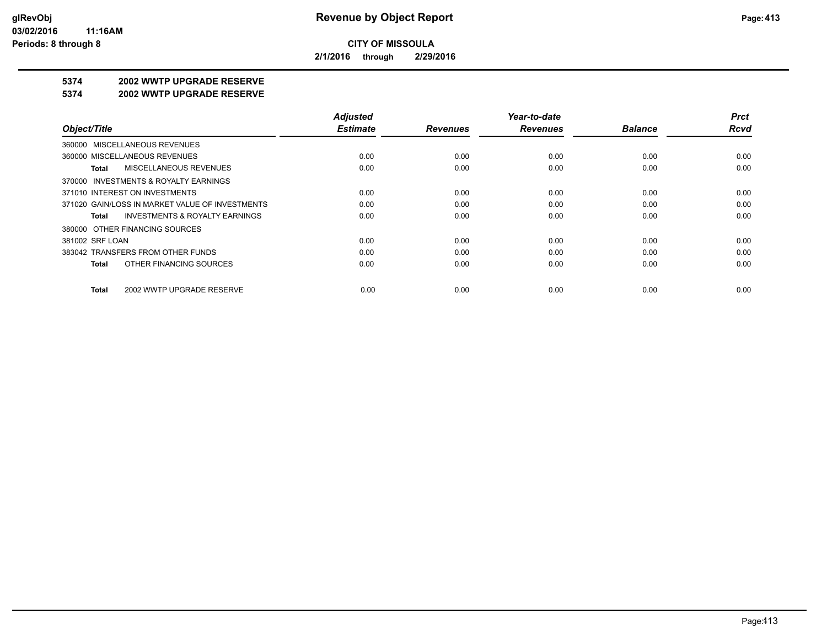**2/1/2016 through 2/29/2016**

## **5374 2002 WWTP UPGRADE RESERVE**

#### **5374 2002 WWTP UPGRADE RESERVE**

|                                                    | <b>Adjusted</b> |                 | Year-to-date    |                | <b>Prct</b> |
|----------------------------------------------------|-----------------|-----------------|-----------------|----------------|-------------|
| Object/Title                                       | <b>Estimate</b> | <b>Revenues</b> | <b>Revenues</b> | <b>Balance</b> | <b>Rcvd</b> |
| 360000 MISCELLANEOUS REVENUES                      |                 |                 |                 |                |             |
| 360000 MISCELLANEOUS REVENUES                      | 0.00            | 0.00            | 0.00            | 0.00           | 0.00        |
| <b>MISCELLANEOUS REVENUES</b><br>Total             | 0.00            | 0.00            | 0.00            | 0.00           | 0.00        |
| 370000 INVESTMENTS & ROYALTY EARNINGS              |                 |                 |                 |                |             |
| 371010 INTEREST ON INVESTMENTS                     | 0.00            | 0.00            | 0.00            | 0.00           | 0.00        |
| 371020 GAIN/LOSS IN MARKET VALUE OF INVESTMENTS    | 0.00            | 0.00            | 0.00            | 0.00           | 0.00        |
| <b>INVESTMENTS &amp; ROYALTY EARNINGS</b><br>Total | 0.00            | 0.00            | 0.00            | 0.00           | 0.00        |
| 380000 OTHER FINANCING SOURCES                     |                 |                 |                 |                |             |
| 381002 SRF LOAN                                    | 0.00            | 0.00            | 0.00            | 0.00           | 0.00        |
| 383042 TRANSFERS FROM OTHER FUNDS                  | 0.00            | 0.00            | 0.00            | 0.00           | 0.00        |
| OTHER FINANCING SOURCES<br>Total                   | 0.00            | 0.00            | 0.00            | 0.00           | 0.00        |
| 2002 WWTP UPGRADE RESERVE<br>Total                 | 0.00            | 0.00            | 0.00            | 0.00           | 0.00        |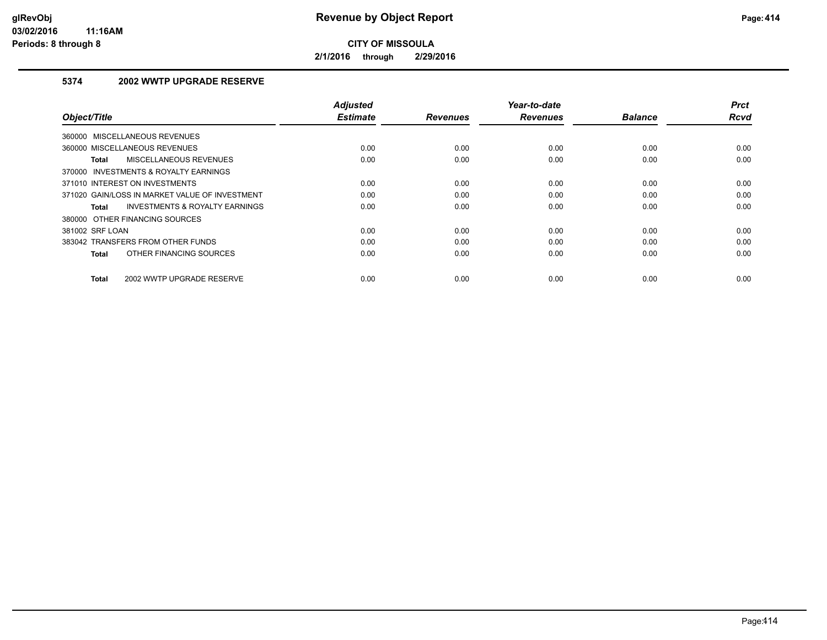**2/1/2016 through 2/29/2016**

## **5374 2002 WWTP UPGRADE RESERVE**

| Object/Title                                   | <b>Adjusted</b><br><b>Estimate</b> | <b>Revenues</b> | Year-to-date<br><b>Revenues</b> | <b>Balance</b> | <b>Prct</b><br><b>Rcvd</b> |
|------------------------------------------------|------------------------------------|-----------------|---------------------------------|----------------|----------------------------|
| 360000 MISCELLANEOUS REVENUES                  |                                    |                 |                                 |                |                            |
| 360000 MISCELLANEOUS REVENUES                  | 0.00                               | 0.00            | 0.00                            | 0.00           | 0.00                       |
| MISCELLANEOUS REVENUES<br>Total                | 0.00                               | 0.00            | 0.00                            | 0.00           | 0.00                       |
| 370000 INVESTMENTS & ROYALTY EARNINGS          |                                    |                 |                                 |                |                            |
| 371010 INTEREST ON INVESTMENTS                 | 0.00                               | 0.00            | 0.00                            | 0.00           | 0.00                       |
| 371020 GAIN/LOSS IN MARKET VALUE OF INVESTMENT | 0.00                               | 0.00            | 0.00                            | 0.00           | 0.00                       |
| INVESTMENTS & ROYALTY EARNINGS<br>Total        | 0.00                               | 0.00            | 0.00                            | 0.00           | 0.00                       |
| 380000 OTHER FINANCING SOURCES                 |                                    |                 |                                 |                |                            |
| 381002 SRF LOAN                                | 0.00                               | 0.00            | 0.00                            | 0.00           | 0.00                       |
| 383042 TRANSFERS FROM OTHER FUNDS              | 0.00                               | 0.00            | 0.00                            | 0.00           | 0.00                       |
| OTHER FINANCING SOURCES<br><b>Total</b>        | 0.00                               | 0.00            | 0.00                            | 0.00           | 0.00                       |
| 2002 WWTP UPGRADE RESERVE<br><b>Total</b>      | 0.00                               | 0.00            | 0.00                            | 0.00           | 0.00                       |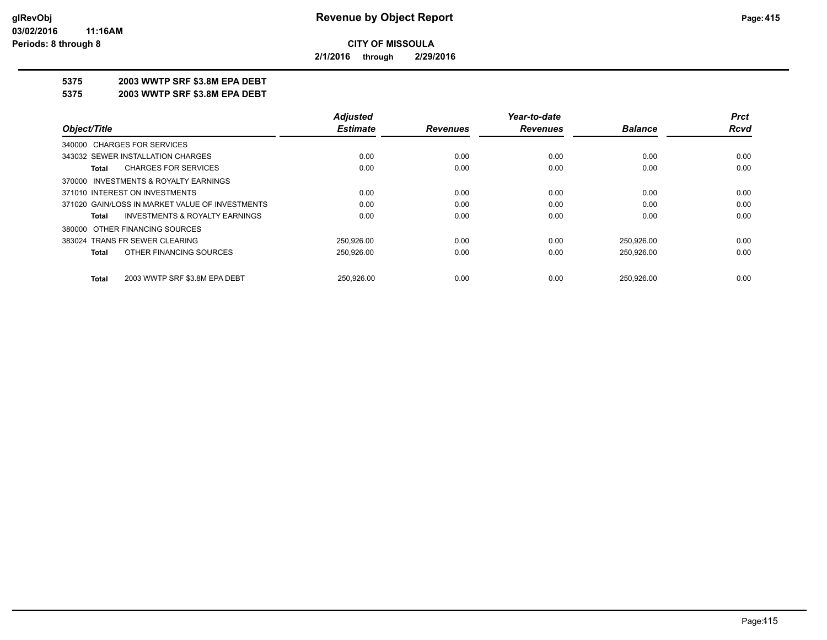**2/1/2016 through 2/29/2016**

### **5375 2003 WWTP SRF \$3.8M EPA DEBT**

**5375 2003 WWTP SRF \$3.8M EPA DEBT**

|                                                    | <b>Adjusted</b> |                 | Year-to-date    |                | <b>Prct</b> |
|----------------------------------------------------|-----------------|-----------------|-----------------|----------------|-------------|
| Object/Title                                       | <b>Estimate</b> | <b>Revenues</b> | <b>Revenues</b> | <b>Balance</b> | Rcvd        |
| 340000 CHARGES FOR SERVICES                        |                 |                 |                 |                |             |
| 343032 SEWER INSTALLATION CHARGES                  | 0.00            | 0.00            | 0.00            | 0.00           | 0.00        |
| <b>CHARGES FOR SERVICES</b><br>Total               | 0.00            | 0.00            | 0.00            | 0.00           | 0.00        |
| 370000 INVESTMENTS & ROYALTY EARNINGS              |                 |                 |                 |                |             |
| 371010 INTEREST ON INVESTMENTS                     | 0.00            | 0.00            | 0.00            | 0.00           | 0.00        |
| 371020 GAIN/LOSS IN MARKET VALUE OF INVESTMENTS    | 0.00            | 0.00            | 0.00            | 0.00           | 0.00        |
| <b>INVESTMENTS &amp; ROYALTY EARNINGS</b><br>Total | 0.00            | 0.00            | 0.00            | 0.00           | 0.00        |
| 380000 OTHER FINANCING SOURCES                     |                 |                 |                 |                |             |
| 383024 TRANS FR SEWER CLEARING                     | 250.926.00      | 0.00            | 0.00            | 250,926.00     | 0.00        |
| OTHER FINANCING SOURCES<br>Total                   | 250,926.00      | 0.00            | 0.00            | 250,926.00     | 0.00        |
| 2003 WWTP SRF \$3.8M EPA DEBT<br><b>Total</b>      | 250.926.00      | 0.00            | 0.00            | 250.926.00     | 0.00        |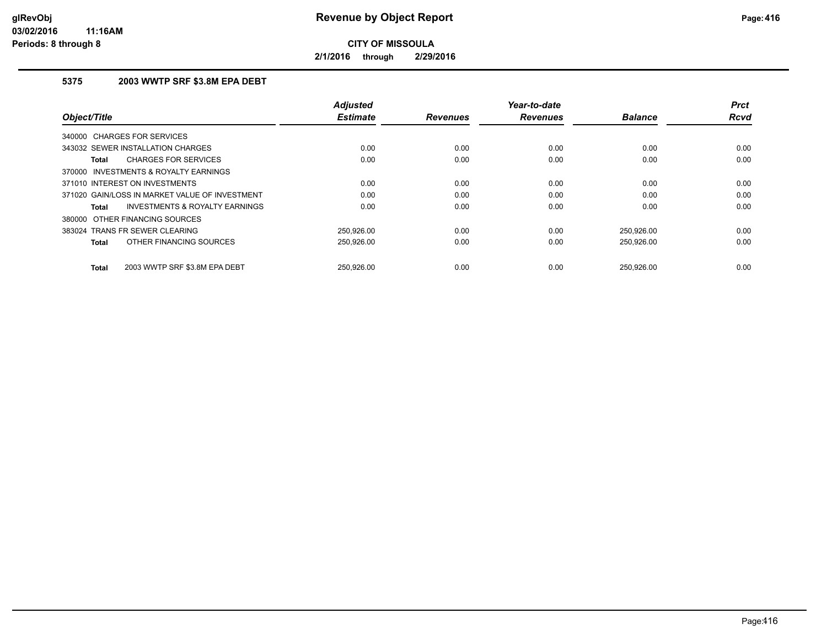**2/1/2016 through 2/29/2016**

## **5375 2003 WWTP SRF \$3.8M EPA DEBT**

| Object/Title                                       | <b>Adjusted</b><br><b>Estimate</b> | <b>Revenues</b> | Year-to-date<br><b>Revenues</b> | <b>Balance</b> | <b>Prct</b><br><b>Rcvd</b> |
|----------------------------------------------------|------------------------------------|-----------------|---------------------------------|----------------|----------------------------|
| 340000 CHARGES FOR SERVICES                        |                                    |                 |                                 |                |                            |
| 343032 SEWER INSTALLATION CHARGES                  | 0.00                               | 0.00            | 0.00                            | 0.00           | 0.00                       |
| <b>CHARGES FOR SERVICES</b><br>Total               | 0.00                               | 0.00            | 0.00                            | 0.00           | 0.00                       |
| 370000 INVESTMENTS & ROYALTY EARNINGS              |                                    |                 |                                 |                |                            |
| 371010 INTEREST ON INVESTMENTS                     | 0.00                               | 0.00            | 0.00                            | 0.00           | 0.00                       |
| 371020 GAIN/LOSS IN MARKET VALUE OF INVESTMENT     | 0.00                               | 0.00            | 0.00                            | 0.00           | 0.00                       |
| <b>INVESTMENTS &amp; ROYALTY EARNINGS</b><br>Total | 0.00                               | 0.00            | 0.00                            | 0.00           | 0.00                       |
| 380000 OTHER FINANCING SOURCES                     |                                    |                 |                                 |                |                            |
| 383024 TRANS FR SEWER CLEARING                     | 250.926.00                         | 0.00            | 0.00                            | 250.926.00     | 0.00                       |
| OTHER FINANCING SOURCES<br>Total                   | 250,926.00                         | 0.00            | 0.00                            | 250,926.00     | 0.00                       |
| 2003 WWTP SRF \$3.8M EPA DEBT<br>Total             | 250.926.00                         | 0.00            | 0.00                            | 250,926.00     | 0.00                       |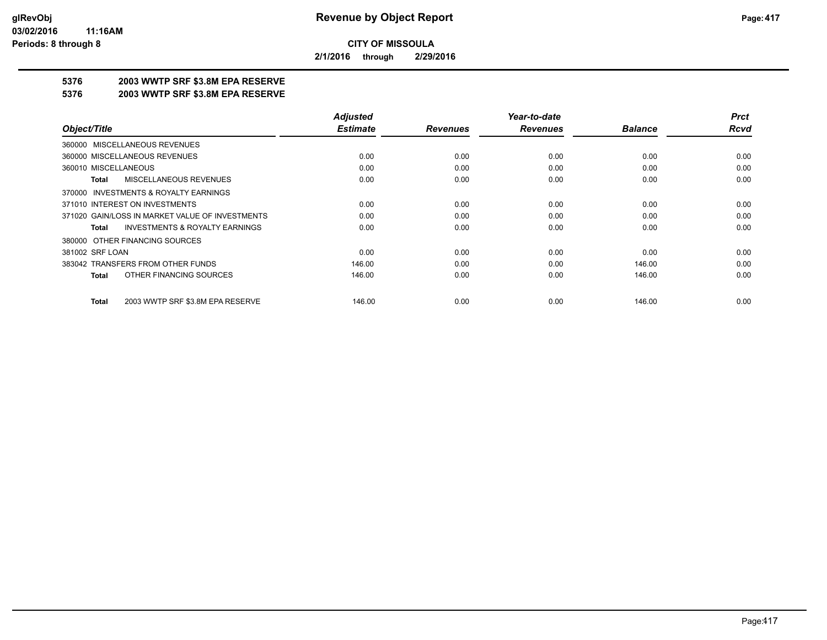**2/1/2016 through 2/29/2016**

## **5376 2003 WWTP SRF \$3.8M EPA RESERVE**

#### **5376 2003 WWTP SRF \$3.8M EPA RESERVE**

|                                                    | <b>Adjusted</b> |                 | Year-to-date    |                | <b>Prct</b> |
|----------------------------------------------------|-----------------|-----------------|-----------------|----------------|-------------|
| Object/Title                                       | <b>Estimate</b> | <b>Revenues</b> | <b>Revenues</b> | <b>Balance</b> | <b>Rcvd</b> |
| 360000 MISCELLANEOUS REVENUES                      |                 |                 |                 |                |             |
| 360000 MISCELLANEOUS REVENUES                      | 0.00            | 0.00            | 0.00            | 0.00           | 0.00        |
| 360010 MISCELLANEOUS                               | 0.00            | 0.00            | 0.00            | 0.00           | 0.00        |
| <b>MISCELLANEOUS REVENUES</b><br>Total             | 0.00            | 0.00            | 0.00            | 0.00           | 0.00        |
| 370000 INVESTMENTS & ROYALTY EARNINGS              |                 |                 |                 |                |             |
| 371010 INTEREST ON INVESTMENTS                     | 0.00            | 0.00            | 0.00            | 0.00           | 0.00        |
| 371020 GAIN/LOSS IN MARKET VALUE OF INVESTMENTS    | 0.00            | 0.00            | 0.00            | 0.00           | 0.00        |
| <b>INVESTMENTS &amp; ROYALTY EARNINGS</b><br>Total | 0.00            | 0.00            | 0.00            | 0.00           | 0.00        |
| 380000 OTHER FINANCING SOURCES                     |                 |                 |                 |                |             |
| 381002 SRF LOAN                                    | 0.00            | 0.00            | 0.00            | 0.00           | 0.00        |
| 383042 TRANSFERS FROM OTHER FUNDS                  | 146.00          | 0.00            | 0.00            | 146.00         | 0.00        |
| OTHER FINANCING SOURCES<br><b>Total</b>            | 146.00          | 0.00            | 0.00            | 146.00         | 0.00        |
| 2003 WWTP SRF \$3.8M EPA RESERVE<br><b>Total</b>   | 146.00          | 0.00            | 0.00            | 146.00         | 0.00        |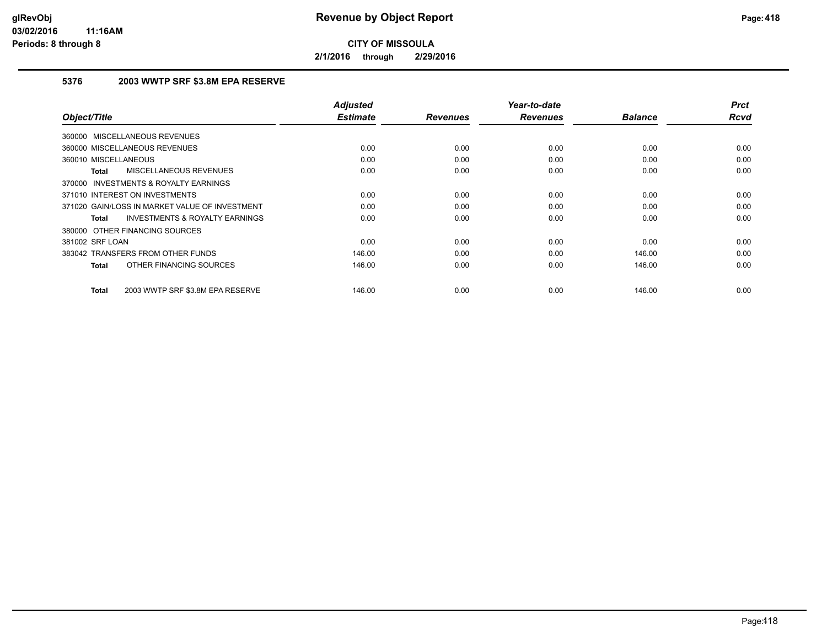**2/1/2016 through 2/29/2016**

## **5376 2003 WWTP SRF \$3.8M EPA RESERVE**

| Object/Title                                       | <b>Adjusted</b><br><b>Estimate</b> | <b>Revenues</b> | Year-to-date<br><b>Revenues</b> | <b>Balance</b> | <b>Prct</b><br><b>Rcvd</b> |
|----------------------------------------------------|------------------------------------|-----------------|---------------------------------|----------------|----------------------------|
|                                                    |                                    |                 |                                 |                |                            |
| 360000 MISCELLANEOUS REVENUES                      |                                    |                 |                                 |                |                            |
| 360000 MISCELLANEOUS REVENUES                      | 0.00                               | 0.00            | 0.00                            | 0.00           | 0.00                       |
| 360010 MISCELLANEOUS                               | 0.00                               | 0.00            | 0.00                            | 0.00           | 0.00                       |
| MISCELLANEOUS REVENUES<br>Total                    | 0.00                               | 0.00            | 0.00                            | 0.00           | 0.00                       |
| 370000 INVESTMENTS & ROYALTY EARNINGS              |                                    |                 |                                 |                |                            |
| 371010 INTEREST ON INVESTMENTS                     | 0.00                               | 0.00            | 0.00                            | 0.00           | 0.00                       |
| 371020 GAIN/LOSS IN MARKET VALUE OF INVESTMENT     | 0.00                               | 0.00            | 0.00                            | 0.00           | 0.00                       |
| <b>INVESTMENTS &amp; ROYALTY EARNINGS</b><br>Total | 0.00                               | 0.00            | 0.00                            | 0.00           | 0.00                       |
| 380000 OTHER FINANCING SOURCES                     |                                    |                 |                                 |                |                            |
| 381002 SRF LOAN                                    | 0.00                               | 0.00            | 0.00                            | 0.00           | 0.00                       |
| 383042 TRANSFERS FROM OTHER FUNDS                  | 146.00                             | 0.00            | 0.00                            | 146.00         | 0.00                       |
| OTHER FINANCING SOURCES<br><b>Total</b>            | 146.00                             | 0.00            | 0.00                            | 146.00         | 0.00                       |
|                                                    |                                    |                 |                                 |                |                            |
| 2003 WWTP SRF \$3.8M EPA RESERVE<br><b>Total</b>   | 146.00                             | 0.00            | 0.00                            | 146.00         | 0.00                       |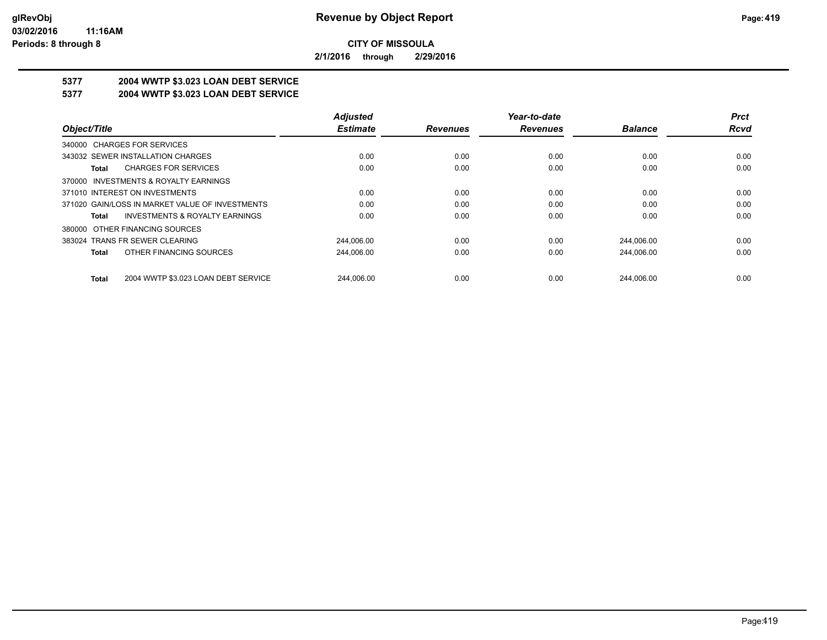**2/1/2016 through 2/29/2016**

## **5377 2004 WWTP \$3.023 LOAN DEBT SERVICE**

### **5377 2004 WWTP \$3.023 LOAN DEBT SERVICE**

|                                                     | <b>Adjusted</b> |                 | Year-to-date    |                | <b>Prct</b> |
|-----------------------------------------------------|-----------------|-----------------|-----------------|----------------|-------------|
| Object/Title                                        | <b>Estimate</b> | <b>Revenues</b> | <b>Revenues</b> | <b>Balance</b> | Rcvd        |
| 340000 CHARGES FOR SERVICES                         |                 |                 |                 |                |             |
| 343032 SEWER INSTALLATION CHARGES                   | 0.00            | 0.00            | 0.00            | 0.00           | 0.00        |
| <b>CHARGES FOR SERVICES</b><br>Total                | 0.00            | 0.00            | 0.00            | 0.00           | 0.00        |
| 370000 INVESTMENTS & ROYALTY EARNINGS               |                 |                 |                 |                |             |
| 371010 INTEREST ON INVESTMENTS                      | 0.00            | 0.00            | 0.00            | 0.00           | 0.00        |
| 371020 GAIN/LOSS IN MARKET VALUE OF INVESTMENTS     | 0.00            | 0.00            | 0.00            | 0.00           | 0.00        |
| <b>INVESTMENTS &amp; ROYALTY EARNINGS</b><br>Total  | 0.00            | 0.00            | 0.00            | 0.00           | 0.00        |
| 380000 OTHER FINANCING SOURCES                      |                 |                 |                 |                |             |
| 383024 TRANS FR SEWER CLEARING                      | 244.006.00      | 0.00            | 0.00            | 244,006.00     | 0.00        |
| OTHER FINANCING SOURCES<br>Total                    | 244,006.00      | 0.00            | 0.00            | 244,006.00     | 0.00        |
| 2004 WWTP \$3.023 LOAN DEBT SERVICE<br><b>Total</b> | 244.006.00      | 0.00            | 0.00            | 244.006.00     | 0.00        |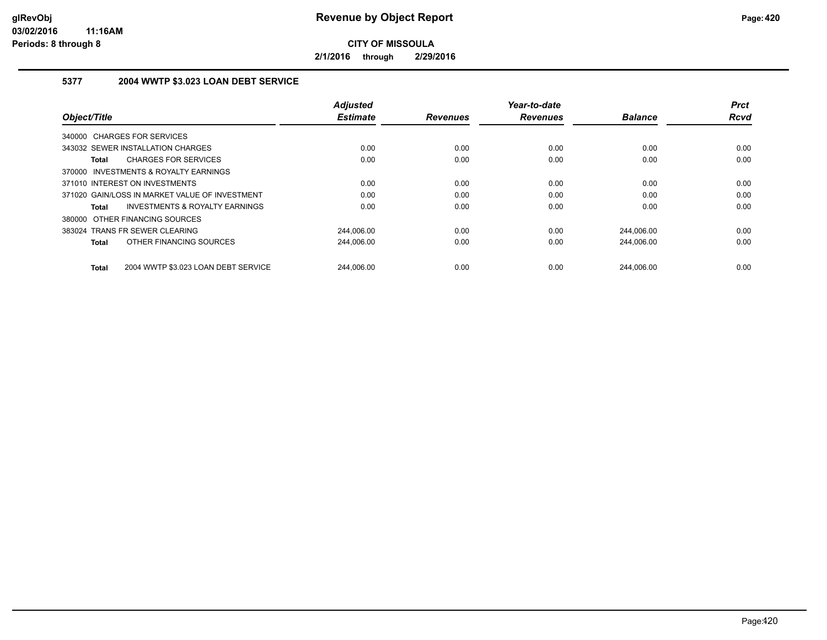**2/1/2016 through 2/29/2016**

## **5377 2004 WWTP \$3.023 LOAN DEBT SERVICE**

| Object/Title                                              | <b>Adjusted</b><br><b>Estimate</b> | <b>Revenues</b> | Year-to-date<br><b>Revenues</b> | <b>Balance</b> | <b>Prct</b><br><b>Rcvd</b> |
|-----------------------------------------------------------|------------------------------------|-----------------|---------------------------------|----------------|----------------------------|
|                                                           |                                    |                 |                                 |                |                            |
| 340000 CHARGES FOR SERVICES                               |                                    |                 |                                 |                |                            |
| 343032 SEWER INSTALLATION CHARGES                         | 0.00                               | 0.00            | 0.00                            | 0.00           | 0.00                       |
| <b>CHARGES FOR SERVICES</b><br>Total                      | 0.00                               | 0.00            | 0.00                            | 0.00           | 0.00                       |
| INVESTMENTS & ROYALTY EARNINGS<br>370000                  |                                    |                 |                                 |                |                            |
| 371010 INTEREST ON INVESTMENTS                            | 0.00                               | 0.00            | 0.00                            | 0.00           | 0.00                       |
| 371020 GAIN/LOSS IN MARKET VALUE OF INVESTMENT            | 0.00                               | 0.00            | 0.00                            | 0.00           | 0.00                       |
| <b>INVESTMENTS &amp; ROYALTY EARNINGS</b><br><b>Total</b> | 0.00                               | 0.00            | 0.00                            | 0.00           | 0.00                       |
| 380000 OTHER FINANCING SOURCES                            |                                    |                 |                                 |                |                            |
| 383024 TRANS FR SEWER CLEARING                            | 244.006.00                         | 0.00            | 0.00                            | 244.006.00     | 0.00                       |
| OTHER FINANCING SOURCES<br>Total                          | 244,006.00                         | 0.00            | 0.00                            | 244.006.00     | 0.00                       |
| 2004 WWTP \$3.023 LOAN DEBT SERVICE<br><b>Total</b>       | 244.006.00                         | 0.00            | 0.00                            | 244.006.00     | 0.00                       |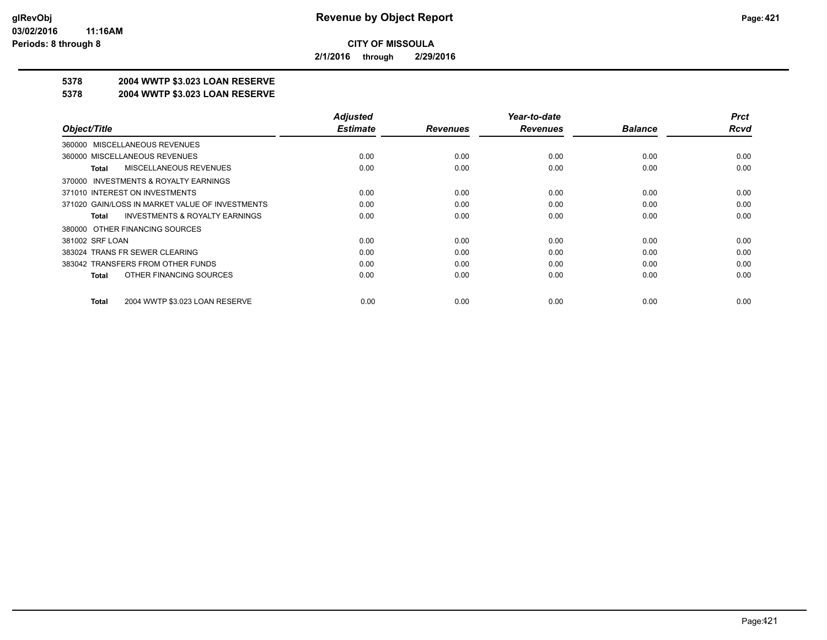**2/1/2016 through 2/29/2016**

## **5378 2004 WWTP \$3.023 LOAN RESERVE**

#### **5378 2004 WWTP \$3.023 LOAN RESERVE**

|                                                    | <b>Adjusted</b> |                 | Year-to-date    |                | <b>Prct</b> |
|----------------------------------------------------|-----------------|-----------------|-----------------|----------------|-------------|
| Object/Title                                       | <b>Estimate</b> | <b>Revenues</b> | <b>Revenues</b> | <b>Balance</b> | <b>Rcvd</b> |
| 360000 MISCELLANEOUS REVENUES                      |                 |                 |                 |                |             |
| 360000 MISCELLANEOUS REVENUES                      | 0.00            | 0.00            | 0.00            | 0.00           | 0.00        |
| MISCELLANEOUS REVENUES<br>Total                    | 0.00            | 0.00            | 0.00            | 0.00           | 0.00        |
| 370000 INVESTMENTS & ROYALTY EARNINGS              |                 |                 |                 |                |             |
| 371010 INTEREST ON INVESTMENTS                     | 0.00            | 0.00            | 0.00            | 0.00           | 0.00        |
| 371020 GAIN/LOSS IN MARKET VALUE OF INVESTMENTS    | 0.00            | 0.00            | 0.00            | 0.00           | 0.00        |
| <b>INVESTMENTS &amp; ROYALTY EARNINGS</b><br>Total | 0.00            | 0.00            | 0.00            | 0.00           | 0.00        |
| 380000 OTHER FINANCING SOURCES                     |                 |                 |                 |                |             |
| 381002 SRF LOAN                                    | 0.00            | 0.00            | 0.00            | 0.00           | 0.00        |
| 383024 TRANS FR SEWER CLEARING                     | 0.00            | 0.00            | 0.00            | 0.00           | 0.00        |
| 383042 TRANSFERS FROM OTHER FUNDS                  | 0.00            | 0.00            | 0.00            | 0.00           | 0.00        |
| OTHER FINANCING SOURCES<br>Total                   | 0.00            | 0.00            | 0.00            | 0.00           | 0.00        |
|                                                    |                 |                 |                 |                |             |
| 2004 WWTP \$3.023 LOAN RESERVE<br>Total            | 0.00            | 0.00            | 0.00            | 0.00           | 0.00        |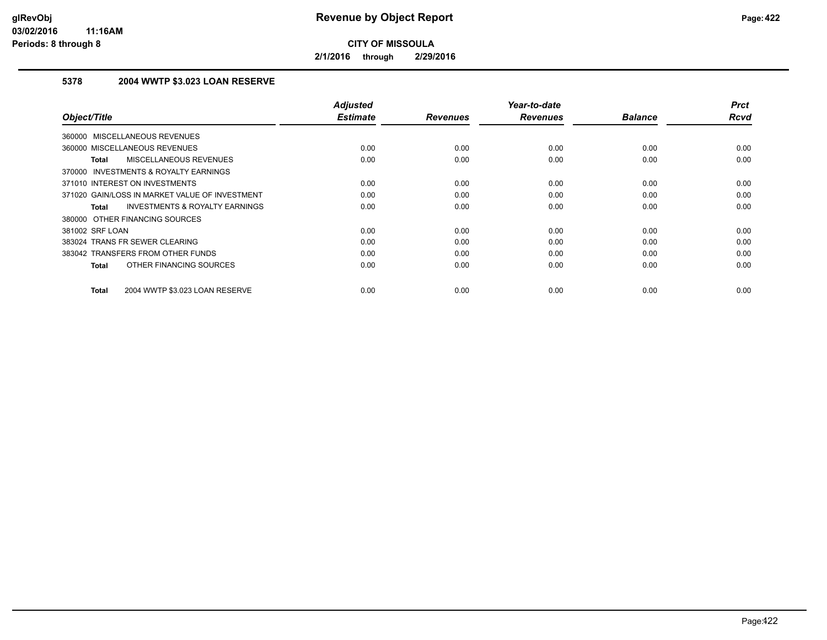**2/1/2016 through 2/29/2016**

## **5378 2004 WWTP \$3.023 LOAN RESERVE**

| Object/Title                                       | <b>Adjusted</b><br><b>Estimate</b> | <b>Revenues</b> | Year-to-date<br><b>Revenues</b> | <b>Balance</b> | <b>Prct</b><br><b>Rcvd</b> |
|----------------------------------------------------|------------------------------------|-----------------|---------------------------------|----------------|----------------------------|
|                                                    |                                    |                 |                                 |                |                            |
| <b>MISCELLANEOUS REVENUES</b><br>360000            |                                    |                 |                                 |                |                            |
| 360000 MISCELLANEOUS REVENUES                      | 0.00                               | 0.00            | 0.00                            | 0.00           | 0.00                       |
| MISCELLANEOUS REVENUES<br><b>Total</b>             | 0.00                               | 0.00            | 0.00                            | 0.00           | 0.00                       |
| INVESTMENTS & ROYALTY EARNINGS<br>370000           |                                    |                 |                                 |                |                            |
| 371010 INTEREST ON INVESTMENTS                     | 0.00                               | 0.00            | 0.00                            | 0.00           | 0.00                       |
| 371020 GAIN/LOSS IN MARKET VALUE OF INVESTMENT     | 0.00                               | 0.00            | 0.00                            | 0.00           | 0.00                       |
| <b>INVESTMENTS &amp; ROYALTY EARNINGS</b><br>Total | 0.00                               | 0.00            | 0.00                            | 0.00           | 0.00                       |
| 380000 OTHER FINANCING SOURCES                     |                                    |                 |                                 |                |                            |
| 381002 SRF LOAN                                    | 0.00                               | 0.00            | 0.00                            | 0.00           | 0.00                       |
| 383024 TRANS FR SEWER CLEARING                     | 0.00                               | 0.00            | 0.00                            | 0.00           | 0.00                       |
| 383042 TRANSFERS FROM OTHER FUNDS                  | 0.00                               | 0.00            | 0.00                            | 0.00           | 0.00                       |
| OTHER FINANCING SOURCES<br><b>Total</b>            | 0.00                               | 0.00            | 0.00                            | 0.00           | 0.00                       |
| 2004 WWTP \$3.023 LOAN RESERVE<br><b>Total</b>     | 0.00                               | 0.00            | 0.00                            | 0.00           | 0.00                       |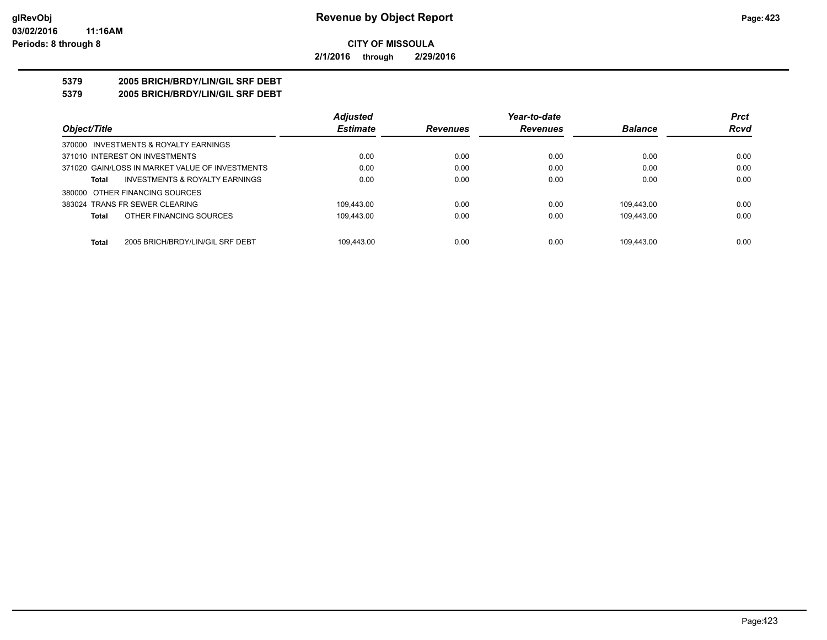**2/1/2016 through 2/29/2016**

## **5379 2005 BRICH/BRDY/LIN/GIL SRF DEBT**

**5379 2005 BRICH/BRDY/LIN/GIL SRF DEBT**

|                                                  | <b>Adjusted</b> |                 | Year-to-date    |                | <b>Prct</b> |
|--------------------------------------------------|-----------------|-----------------|-----------------|----------------|-------------|
| Object/Title                                     | <b>Estimate</b> | <b>Revenues</b> | <b>Revenues</b> | <b>Balance</b> | <b>Rcvd</b> |
| 370000 INVESTMENTS & ROYALTY EARNINGS            |                 |                 |                 |                |             |
| 371010 INTEREST ON INVESTMENTS                   | 0.00            | 0.00            | 0.00            | 0.00           | 0.00        |
| 371020 GAIN/LOSS IN MARKET VALUE OF INVESTMENTS  | 0.00            | 0.00            | 0.00            | 0.00           | 0.00        |
| INVESTMENTS & ROYALTY EARNINGS<br>Total          | 0.00            | 0.00            | 0.00            | 0.00           | 0.00        |
| 380000 OTHER FINANCING SOURCES                   |                 |                 |                 |                |             |
| 383024 TRANS FR SEWER CLEARING                   | 109.443.00      | 0.00            | 0.00            | 109.443.00     | 0.00        |
| OTHER FINANCING SOURCES<br>Total                 | 109.443.00      | 0.00            | 0.00            | 109.443.00     | 0.00        |
|                                                  |                 |                 |                 |                |             |
| <b>Total</b><br>2005 BRICH/BRDY/LIN/GIL SRF DEBT | 109.443.00      | 0.00            | 0.00            | 109.443.00     | 0.00        |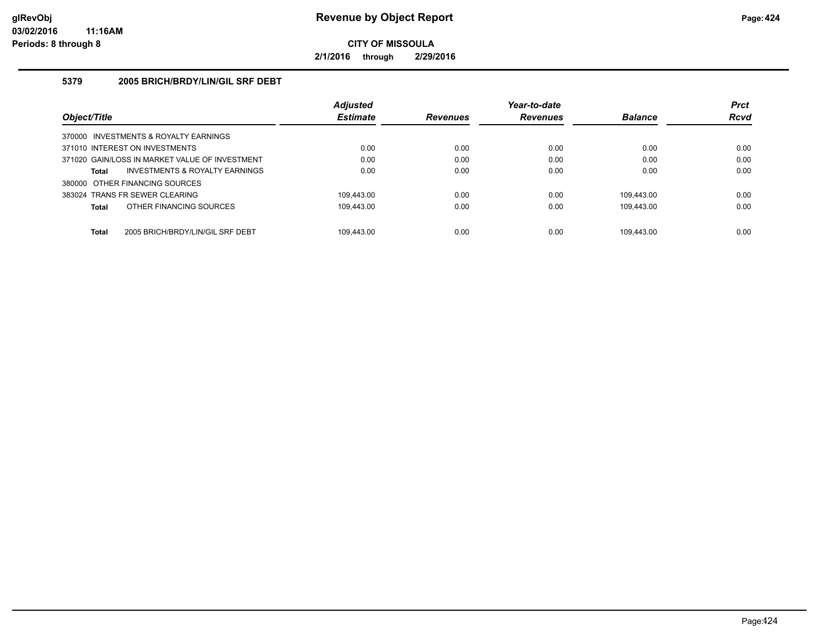**2/1/2016 through 2/29/2016**

#### **5379 2005 BRICH/BRDY/LIN/GIL SRF DEBT**

|                                       |                                                | <b>Adjusted</b> | Year-to-date    |                 |                | <b>Prct</b> |
|---------------------------------------|------------------------------------------------|-----------------|-----------------|-----------------|----------------|-------------|
| Object/Title                          |                                                | <b>Estimate</b> | <b>Revenues</b> | <b>Revenues</b> | <b>Balance</b> | <b>Rcvd</b> |
| 370000 INVESTMENTS & ROYALTY EARNINGS |                                                |                 |                 |                 |                |             |
| 371010 INTEREST ON INVESTMENTS        |                                                | 0.00            | 0.00            | 0.00            | 0.00           | 0.00        |
|                                       | 371020 GAIN/LOSS IN MARKET VALUE OF INVESTMENT | 0.00            | 0.00            | 0.00            | 0.00           | 0.00        |
| Total                                 | INVESTMENTS & ROYALTY EARNINGS                 | 0.00            | 0.00            | 0.00            | 0.00           | 0.00        |
| 380000 OTHER FINANCING SOURCES        |                                                |                 |                 |                 |                |             |
| 383024 TRANS FR SEWER CLEARING        |                                                | 109.443.00      | 0.00            | 0.00            | 109.443.00     | 0.00        |
| Total                                 | OTHER FINANCING SOURCES                        | 109.443.00      | 0.00            | 0.00            | 109.443.00     | 0.00        |
| <b>Total</b>                          | 2005 BRICH/BRDY/LIN/GIL SRF DEBT               | 109.443.00      | 0.00            | 0.00            | 109.443.00     | 0.00        |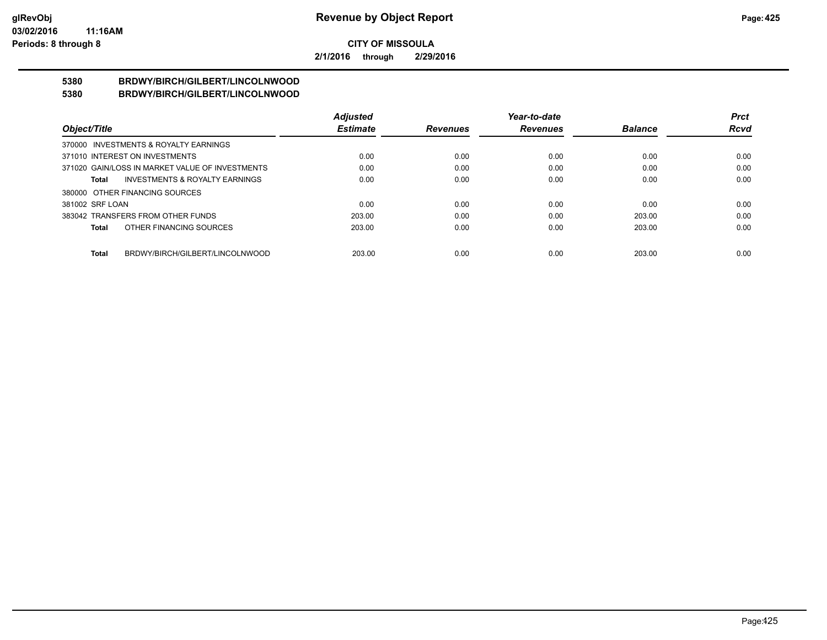**2/1/2016 through 2/29/2016**

#### **5380 BRDWY/BIRCH/GILBERT/LINCOLNWOOD 5380 BRDWY/BIRCH/GILBERT/LINCOLNWOOD**

|                                |                                                 | <b>Adjusted</b> |                 | Year-to-date    |                | Prct        |
|--------------------------------|-------------------------------------------------|-----------------|-----------------|-----------------|----------------|-------------|
| Object/Title                   |                                                 | <b>Estimate</b> | <b>Revenues</b> | <b>Revenues</b> | <b>Balance</b> | <b>Rcvd</b> |
|                                | 370000 INVESTMENTS & ROYALTY EARNINGS           |                 |                 |                 |                |             |
| 371010 INTEREST ON INVESTMENTS |                                                 | 0.00            | 0.00            | 0.00            | 0.00           | 0.00        |
|                                | 371020 GAIN/LOSS IN MARKET VALUE OF INVESTMENTS | 0.00            | 0.00            | 0.00            | 0.00           | 0.00        |
| Total                          | <b>INVESTMENTS &amp; ROYALTY EARNINGS</b>       | 0.00            | 0.00            | 0.00            | 0.00           | 0.00        |
| 380000 OTHER FINANCING SOURCES |                                                 |                 |                 |                 |                |             |
| 381002 SRF LOAN                |                                                 | 0.00            | 0.00            | 0.00            | 0.00           | 0.00        |
|                                | 383042 TRANSFERS FROM OTHER FUNDS               | 203.00          | 0.00            | 0.00            | 203.00         | 0.00        |
| Total                          | OTHER FINANCING SOURCES                         | 203.00          | 0.00            | 0.00            | 203.00         | 0.00        |
|                                |                                                 |                 |                 |                 |                |             |
| Total                          | BRDWY/BIRCH/GILBERT/LINCOLNWOOD                 | 203.00          | 0.00            | 0.00            | 203.00         | 0.00        |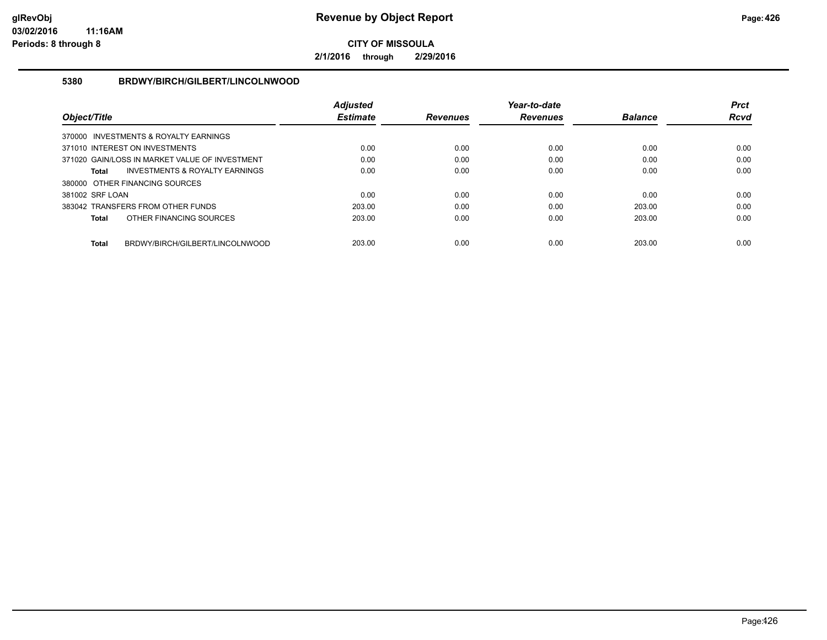**2/1/2016 through 2/29/2016**

#### **5380 BRDWY/BIRCH/GILBERT/LINCOLNWOOD**

|                                                 | <b>Adiusted</b> |                 | Year-to-date    |                | <b>Prct</b> |
|-------------------------------------------------|-----------------|-----------------|-----------------|----------------|-------------|
| Object/Title                                    | <b>Estimate</b> | <b>Revenues</b> | <b>Revenues</b> | <b>Balance</b> | <b>Rcvd</b> |
| 370000 INVESTMENTS & ROYALTY EARNINGS           |                 |                 |                 |                |             |
| 371010 INTEREST ON INVESTMENTS                  | 0.00            | 0.00            | 0.00            | 0.00           | 0.00        |
| 371020 GAIN/LOSS IN MARKET VALUE OF INVESTMENT  | 0.00            | 0.00            | 0.00            | 0.00           | 0.00        |
| INVESTMENTS & ROYALTY EARNINGS<br>Total         | 0.00            | 0.00            | 0.00            | 0.00           | 0.00        |
| 380000 OTHER FINANCING SOURCES                  |                 |                 |                 |                |             |
| 381002 SRF LOAN                                 | 0.00            | 0.00            | 0.00            | 0.00           | 0.00        |
| 383042 TRANSFERS FROM OTHER FUNDS               | 203.00          | 0.00            | 0.00            | 203.00         | 0.00        |
| OTHER FINANCING SOURCES<br><b>Total</b>         | 203.00          | 0.00            | 0.00            | 203.00         | 0.00        |
|                                                 |                 |                 |                 |                |             |
| BRDWY/BIRCH/GILBERT/LINCOLNWOOD<br><b>Total</b> | 203.00          | 0.00            | 0.00            | 203.00         | 0.00        |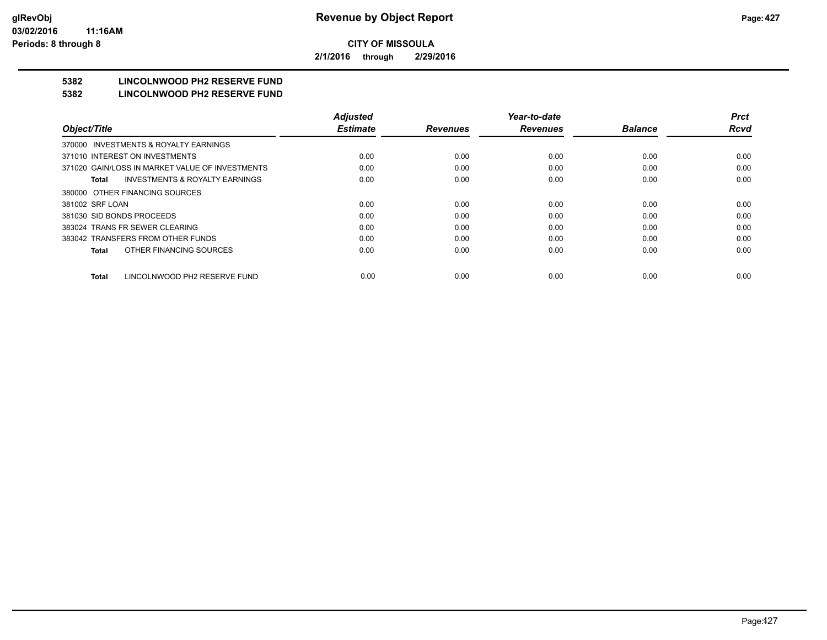**2/1/2016 through 2/29/2016**

## **5382 LINCOLNWOOD PH2 RESERVE FUND**

#### **5382 LINCOLNWOOD PH2 RESERVE FUND**

|                                                    | <b>Adjusted</b> |                 | Year-to-date    |                | <b>Prct</b> |
|----------------------------------------------------|-----------------|-----------------|-----------------|----------------|-------------|
| Object/Title                                       | <b>Estimate</b> | <b>Revenues</b> | <b>Revenues</b> | <b>Balance</b> | <b>Rcvd</b> |
| INVESTMENTS & ROYALTY EARNINGS<br>370000           |                 |                 |                 |                |             |
| 371010 INTEREST ON INVESTMENTS                     | 0.00            | 0.00            | 0.00            | 0.00           | 0.00        |
| 371020 GAIN/LOSS IN MARKET VALUE OF INVESTMENTS    | 0.00            | 0.00            | 0.00            | 0.00           | 0.00        |
| <b>INVESTMENTS &amp; ROYALTY EARNINGS</b><br>Total | 0.00            | 0.00            | 0.00            | 0.00           | 0.00        |
| 380000 OTHER FINANCING SOURCES                     |                 |                 |                 |                |             |
| 381002 SRF LOAN                                    | 0.00            | 0.00            | 0.00            | 0.00           | 0.00        |
| 381030 SID BONDS PROCEEDS                          | 0.00            | 0.00            | 0.00            | 0.00           | 0.00        |
| 383024 TRANS FR SEWER CLEARING                     | 0.00            | 0.00            | 0.00            | 0.00           | 0.00        |
| 383042 TRANSFERS FROM OTHER FUNDS                  | 0.00            | 0.00            | 0.00            | 0.00           | 0.00        |
| OTHER FINANCING SOURCES<br>Total                   | 0.00            | 0.00            | 0.00            | 0.00           | 0.00        |
| LINCOLNWOOD PH2 RESERVE FUND<br><b>Total</b>       | 0.00            | 0.00            | 0.00            | 0.00           | 0.00        |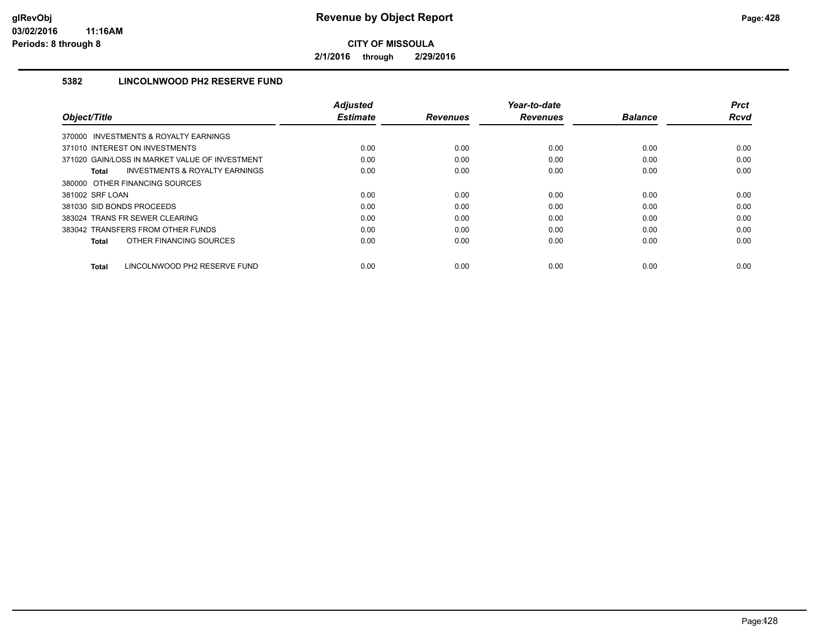**2/1/2016 through 2/29/2016**

## **5382 LINCOLNWOOD PH2 RESERVE FUND**

|                                                    | <b>Adjusted</b> |                 | Year-to-date    |                | <b>Prct</b> |
|----------------------------------------------------|-----------------|-----------------|-----------------|----------------|-------------|
| Object/Title                                       | <b>Estimate</b> | <b>Revenues</b> | <b>Revenues</b> | <b>Balance</b> | <b>Rcvd</b> |
| 370000 INVESTMENTS & ROYALTY EARNINGS              |                 |                 |                 |                |             |
| 371010 INTEREST ON INVESTMENTS                     | 0.00            | 0.00            | 0.00            | 0.00           | 0.00        |
| 371020 GAIN/LOSS IN MARKET VALUE OF INVESTMENT     | 0.00            | 0.00            | 0.00            | 0.00           | 0.00        |
| <b>INVESTMENTS &amp; ROYALTY EARNINGS</b><br>Total | 0.00            | 0.00            | 0.00            | 0.00           | 0.00        |
| 380000 OTHER FINANCING SOURCES                     |                 |                 |                 |                |             |
| 381002 SRF LOAN                                    | 0.00            | 0.00            | 0.00            | 0.00           | 0.00        |
| 381030 SID BONDS PROCEEDS                          | 0.00            | 0.00            | 0.00            | 0.00           | 0.00        |
| 383024 TRANS FR SEWER CLEARING                     | 0.00            | 0.00            | 0.00            | 0.00           | 0.00        |
| 383042 TRANSFERS FROM OTHER FUNDS                  | 0.00            | 0.00            | 0.00            | 0.00           | 0.00        |
| OTHER FINANCING SOURCES<br>Total                   | 0.00            | 0.00            | 0.00            | 0.00           | 0.00        |
|                                                    |                 |                 |                 |                |             |
| LINCOLNWOOD PH2 RESERVE FUND<br>Total              | 0.00            | 0.00            | 0.00            | 0.00           | 0.00        |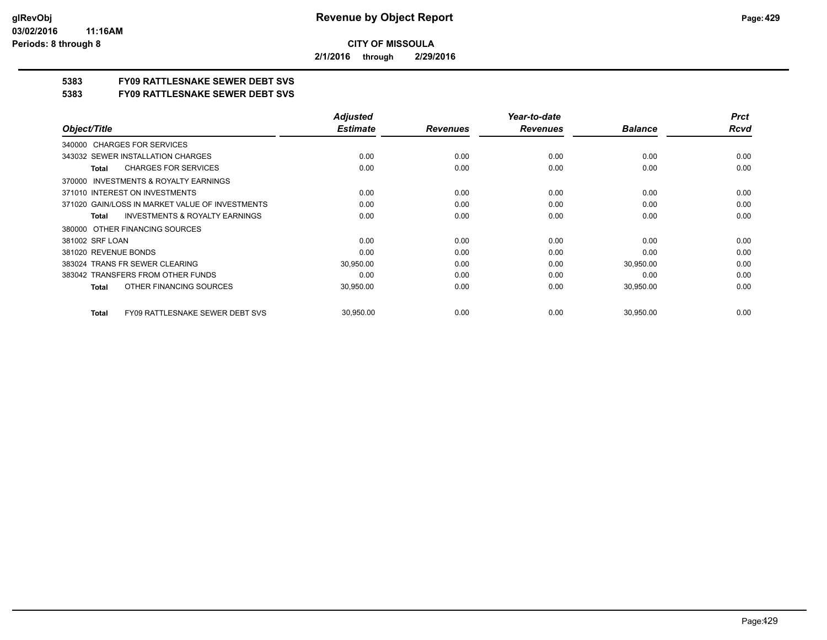**2/1/2016 through 2/29/2016**

## **5383 FY09 RATTLESNAKE SEWER DEBT SVS**

**5383 FY09 RATTLESNAKE SEWER DEBT SVS**

|                                                           | <b>Adjusted</b> |                 | Year-to-date    |                | <b>Prct</b> |
|-----------------------------------------------------------|-----------------|-----------------|-----------------|----------------|-------------|
| Object/Title                                              | <b>Estimate</b> | <b>Revenues</b> | <b>Revenues</b> | <b>Balance</b> | <b>Rcvd</b> |
| <b>CHARGES FOR SERVICES</b><br>340000                     |                 |                 |                 |                |             |
| 343032 SEWER INSTALLATION CHARGES                         | 0.00            | 0.00            | 0.00            | 0.00           | 0.00        |
| <b>CHARGES FOR SERVICES</b><br><b>Total</b>               | 0.00            | 0.00            | 0.00            | 0.00           | 0.00        |
| INVESTMENTS & ROYALTY EARNINGS<br>370000                  |                 |                 |                 |                |             |
| 371010 INTEREST ON INVESTMENTS                            | 0.00            | 0.00            | 0.00            | 0.00           | 0.00        |
| 371020 GAIN/LOSS IN MARKET VALUE OF INVESTMENTS           | 0.00            | 0.00            | 0.00            | 0.00           | 0.00        |
| <b>INVESTMENTS &amp; ROYALTY EARNINGS</b><br><b>Total</b> | 0.00            | 0.00            | 0.00            | 0.00           | 0.00        |
| OTHER FINANCING SOURCES<br>380000                         |                 |                 |                 |                |             |
| 381002 SRF LOAN                                           | 0.00            | 0.00            | 0.00            | 0.00           | 0.00        |
| 381020 REVENUE BONDS                                      | 0.00            | 0.00            | 0.00            | 0.00           | 0.00        |
| 383024 TRANS FR SEWER CLEARING                            | 30,950.00       | 0.00            | 0.00            | 30,950.00      | 0.00        |
| 383042 TRANSFERS FROM OTHER FUNDS                         | 0.00            | 0.00            | 0.00            | 0.00           | 0.00        |
| OTHER FINANCING SOURCES<br><b>Total</b>                   | 30,950.00       | 0.00            | 0.00            | 30,950.00      | 0.00        |
| <b>FY09 RATTLESNAKE SEWER DEBT SVS</b><br><b>Total</b>    | 30,950.00       | 0.00            | 0.00            | 30,950.00      | 0.00        |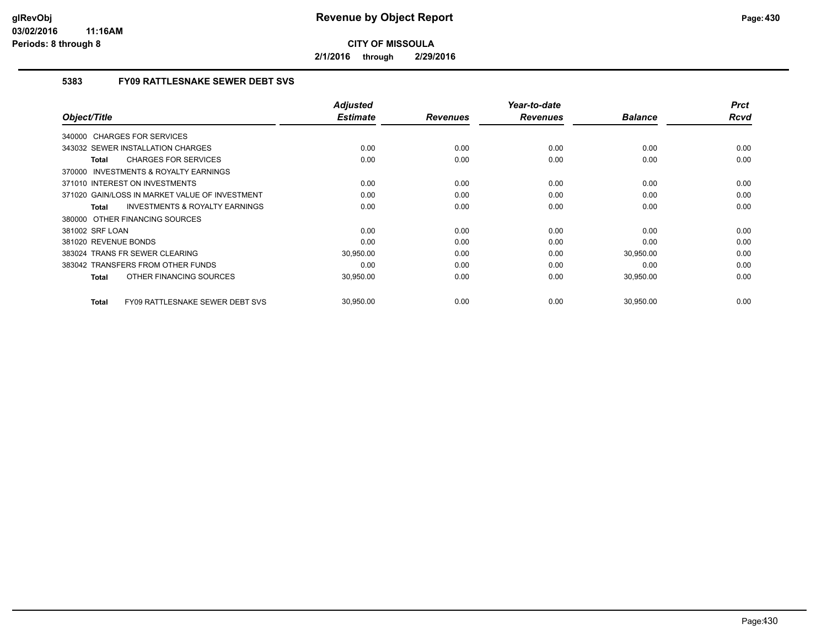**2/1/2016 through 2/29/2016**

### **5383 FY09 RATTLESNAKE SEWER DEBT SVS**

|                                                           | <b>Adjusted</b> |                 | Year-to-date    |                | <b>Prct</b> |
|-----------------------------------------------------------|-----------------|-----------------|-----------------|----------------|-------------|
| Object/Title                                              | <b>Estimate</b> | <b>Revenues</b> | <b>Revenues</b> | <b>Balance</b> | Rcvd        |
| 340000 CHARGES FOR SERVICES                               |                 |                 |                 |                |             |
| 343032 SEWER INSTALLATION CHARGES                         | 0.00            | 0.00            | 0.00            | 0.00           | 0.00        |
| <b>CHARGES FOR SERVICES</b><br><b>Total</b>               | 0.00            | 0.00            | 0.00            | 0.00           | 0.00        |
| <b>INVESTMENTS &amp; ROYALTY EARNINGS</b><br>370000       |                 |                 |                 |                |             |
| 371010 INTEREST ON INVESTMENTS                            | 0.00            | 0.00            | 0.00            | 0.00           | 0.00        |
| 371020 GAIN/LOSS IN MARKET VALUE OF INVESTMENT            | 0.00            | 0.00            | 0.00            | 0.00           | 0.00        |
| <b>INVESTMENTS &amp; ROYALTY EARNINGS</b><br><b>Total</b> | 0.00            | 0.00            | 0.00            | 0.00           | 0.00        |
| 380000 OTHER FINANCING SOURCES                            |                 |                 |                 |                |             |
| 381002 SRF LOAN                                           | 0.00            | 0.00            | 0.00            | 0.00           | 0.00        |
| 381020 REVENUE BONDS                                      | 0.00            | 0.00            | 0.00            | 0.00           | 0.00        |
| 383024 TRANS FR SEWER CLEARING                            | 30,950.00       | 0.00            | 0.00            | 30,950.00      | 0.00        |
| 383042 TRANSFERS FROM OTHER FUNDS                         | 0.00            | 0.00            | 0.00            | 0.00           | 0.00        |
| OTHER FINANCING SOURCES<br><b>Total</b>                   | 30,950.00       | 0.00            | 0.00            | 30,950.00      | 0.00        |
| FY09 RATTLESNAKE SEWER DEBT SVS<br><b>Total</b>           | 30,950.00       | 0.00            | 0.00            | 30,950.00      | 0.00        |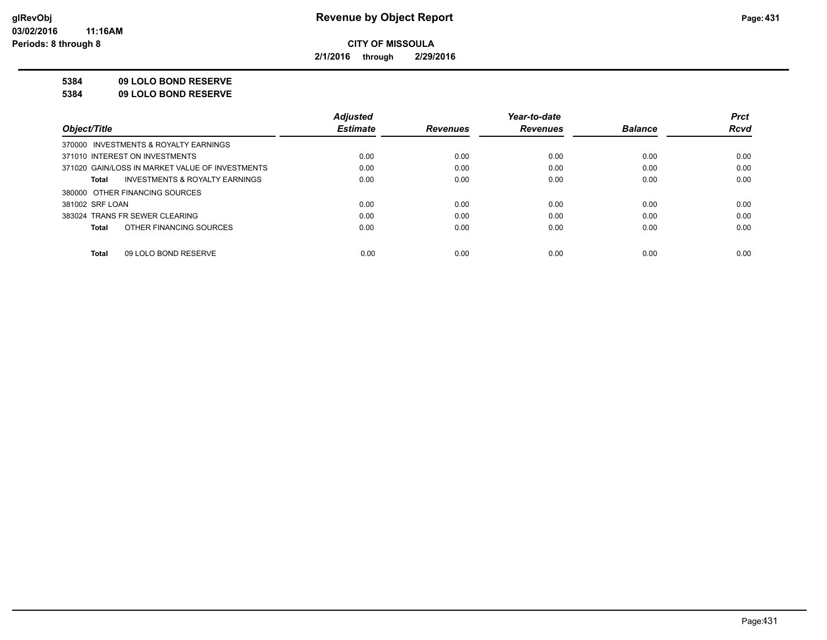**2/1/2016 through 2/29/2016**

#### **5384 09 LOLO BOND RESERVE**

**5384 09 LOLO BOND RESERVE**

|                                                    | <b>Adjusted</b> |                 | Year-to-date    |                | <b>Prct</b> |
|----------------------------------------------------|-----------------|-----------------|-----------------|----------------|-------------|
| Object/Title                                       | <b>Estimate</b> | <b>Revenues</b> | <b>Revenues</b> | <b>Balance</b> | <b>Rcvd</b> |
| 370000 INVESTMENTS & ROYALTY EARNINGS              |                 |                 |                 |                |             |
| 371010 INTEREST ON INVESTMENTS                     | 0.00            | 0.00            | 0.00            | 0.00           | 0.00        |
| 371020 GAIN/LOSS IN MARKET VALUE OF INVESTMENTS    | 0.00            | 0.00            | 0.00            | 0.00           | 0.00        |
| <b>INVESTMENTS &amp; ROYALTY EARNINGS</b><br>Total | 0.00            | 0.00            | 0.00            | 0.00           | 0.00        |
| 380000 OTHER FINANCING SOURCES                     |                 |                 |                 |                |             |
| 381002 SRF LOAN                                    | 0.00            | 0.00            | 0.00            | 0.00           | 0.00        |
| 383024 TRANS FR SEWER CLEARING                     | 0.00            | 0.00            | 0.00            | 0.00           | 0.00        |
| OTHER FINANCING SOURCES<br>Total                   | 0.00            | 0.00            | 0.00            | 0.00           | 0.00        |
|                                                    |                 |                 |                 |                |             |
| 09 LOLO BOND RESERVE<br>Total                      | 0.00            | 0.00            | 0.00            | 0.00           | 0.00        |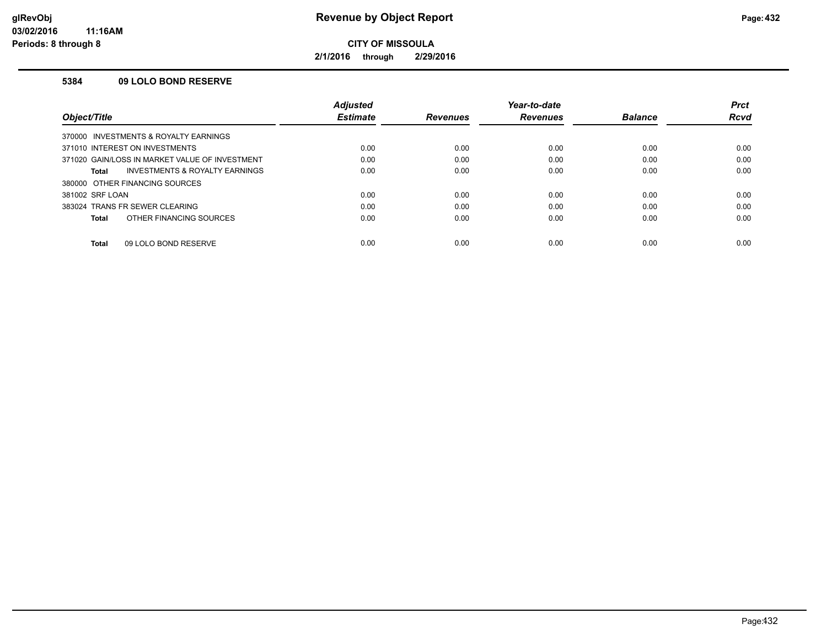**2/1/2016 through 2/29/2016**

#### **5384 09 LOLO BOND RESERVE**

| <b>Rcvd</b> |
|-------------|
|             |
|             |
| 0.00        |
| 0.00        |
| 0.00        |
|             |
| 0.00        |
| 0.00        |
| 0.00        |
| 0.00        |
|             |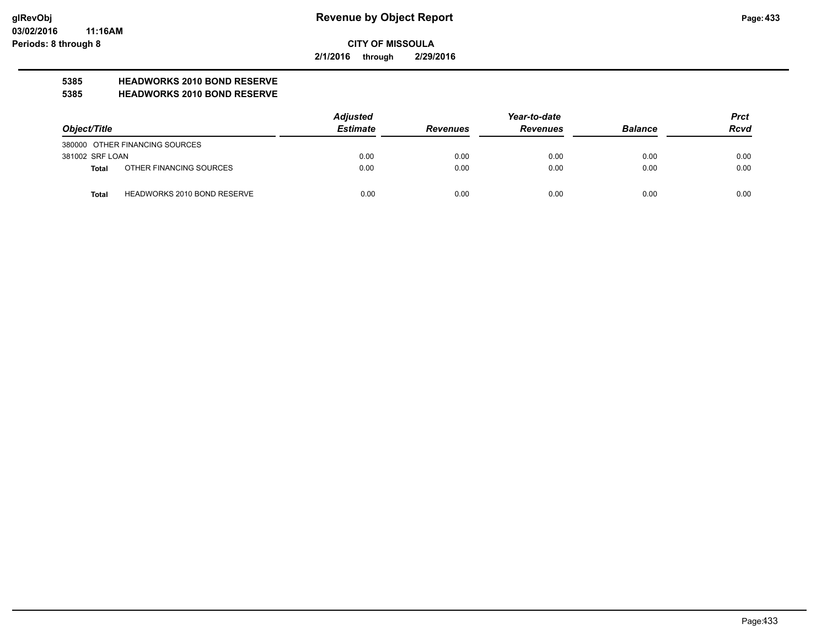**2/1/2016 through 2/29/2016**

## **5385 HEADWORKS 2010 BOND RESERVE**

### **5385 HEADWORKS 2010 BOND RESERVE**

| Object/Title    |                                    | <b>Adjusted</b> |                 | Year-to-date    |                | <b>Prct</b> |
|-----------------|------------------------------------|-----------------|-----------------|-----------------|----------------|-------------|
|                 |                                    | <b>Estimate</b> | <b>Revenues</b> | <b>Revenues</b> | <b>Balance</b> | <b>Rcvd</b> |
|                 | 380000 OTHER FINANCING SOURCES     |                 |                 |                 |                |             |
| 381002 SRF LOAN |                                    | 0.00            | 0.00            | 0.00            | 0.00           | 0.00        |
| Total           | OTHER FINANCING SOURCES            | 0.00            | 0.00            | 0.00            | 0.00           | 0.00        |
| <b>Total</b>    | <b>HEADWORKS 2010 BOND RESERVE</b> | 0.00            | 0.00            | 0.00            | 0.00           | 0.00        |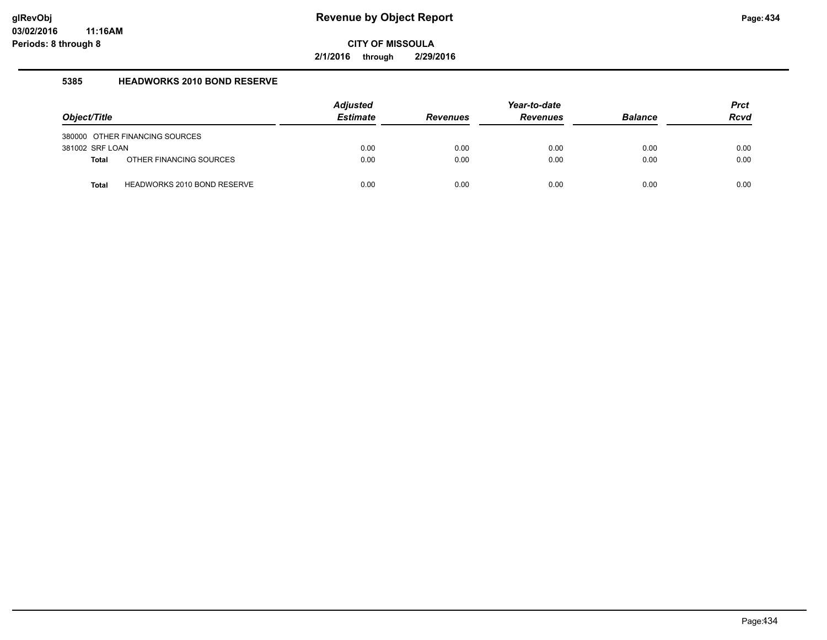**2/1/2016 through 2/29/2016**

### **5385 HEADWORKS 2010 BOND RESERVE**

| Object/Title    |                                | <b>Adjusted</b><br><b>Estimate</b> | <b>Revenues</b> | Year-to-date<br><b>Revenues</b> | <b>Balance</b> | <b>Prct</b><br><b>Rcvd</b> |
|-----------------|--------------------------------|------------------------------------|-----------------|---------------------------------|----------------|----------------------------|
|                 | 380000 OTHER FINANCING SOURCES |                                    |                 |                                 |                |                            |
| 381002 SRF LOAN |                                | 0.00                               | 0.00            | 0.00                            | 0.00           | 0.00                       |
| <b>Total</b>    | OTHER FINANCING SOURCES        | 0.00                               | 0.00            | 0.00                            | 0.00           | 0.00                       |
| <b>Total</b>    | HEADWORKS 2010 BOND RESERVE    | 0.00                               | 0.00            | 0.00                            | 0.00           | 0.00                       |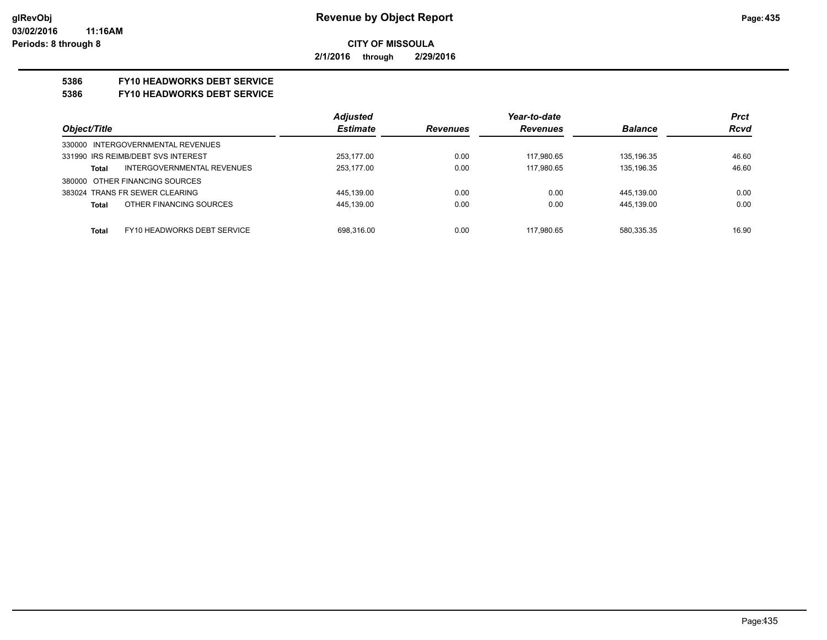**2/1/2016 through 2/29/2016**

## **5386 FY10 HEADWORKS DEBT SERVICE**

#### **5386 FY10 HEADWORKS DEBT SERVICE**

|                                             | <b>Adjusted</b> |                 | Year-to-date    |                | <b>Prct</b> |
|---------------------------------------------|-----------------|-----------------|-----------------|----------------|-------------|
| Object/Title                                | <b>Estimate</b> | <b>Revenues</b> | <b>Revenues</b> | <b>Balance</b> | <b>Rcvd</b> |
| 330000 INTERGOVERNMENTAL REVENUES           |                 |                 |                 |                |             |
| 331990 IRS REIMB/DEBT SVS INTEREST          | 253.177.00      | 0.00            | 117.980.65      | 135.196.35     | 46.60       |
| INTERGOVERNMENTAL REVENUES<br>Total         | 253,177.00      | 0.00            | 117,980.65      | 135,196.35     | 46.60       |
| 380000 OTHER FINANCING SOURCES              |                 |                 |                 |                |             |
| 383024 TRANS FR SEWER CLEARING              | 445.139.00      | 0.00            | 0.00            | 445.139.00     | 0.00        |
| OTHER FINANCING SOURCES<br><b>Total</b>     | 445.139.00      | 0.00            | 0.00            | 445.139.00     | 0.00        |
|                                             |                 |                 |                 |                |             |
| FY10 HEADWORKS DEBT SERVICE<br><b>Total</b> | 698.316.00      | 0.00            | 117.980.65      | 580.335.35     | 16.90       |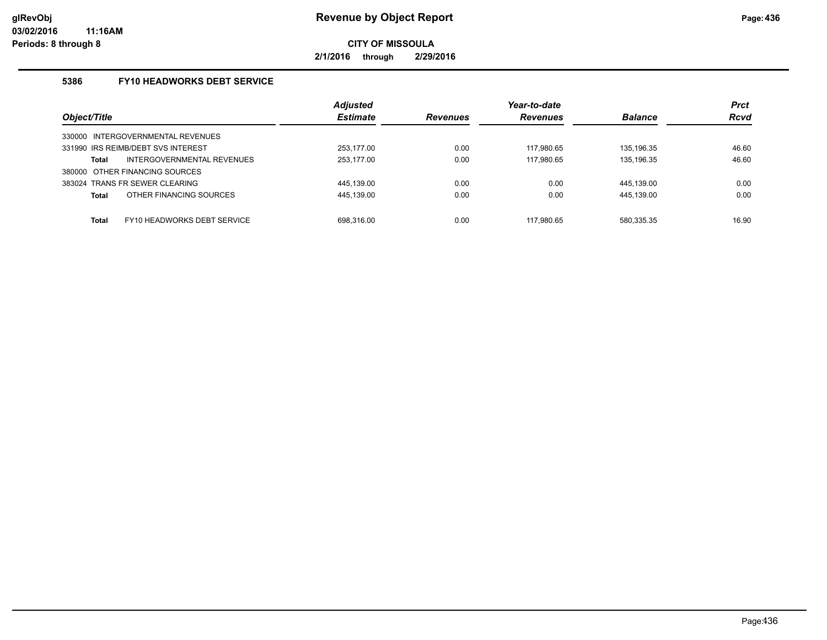**2/1/2016 through 2/29/2016**

### **5386 FY10 HEADWORKS DEBT SERVICE**

| Object/Title                                | <b>Adjusted</b><br><b>Estimate</b> | <b>Revenues</b> | Year-to-date<br><b>Revenues</b> | <b>Balance</b> | <b>Prct</b><br><b>Rcvd</b> |
|---------------------------------------------|------------------------------------|-----------------|---------------------------------|----------------|----------------------------|
| 330000 INTERGOVERNMENTAL REVENUES           |                                    |                 |                                 |                |                            |
| 331990 IRS REIMB/DEBT SVS INTEREST          | 253.177.00                         | 0.00            | 117.980.65                      | 135.196.35     | 46.60                      |
| INTERGOVERNMENTAL REVENUES<br><b>Total</b>  | 253,177.00                         | 0.00            | 117.980.65                      | 135.196.35     | 46.60                      |
| OTHER FINANCING SOURCES<br>380000           |                                    |                 |                                 |                |                            |
| 383024 TRANS FR SEWER CLEARING              | 445.139.00                         | 0.00            | 0.00                            | 445.139.00     | 0.00                       |
| OTHER FINANCING SOURCES<br><b>Total</b>     | 445,139.00                         | 0.00            | 0.00                            | 445,139.00     | 0.00                       |
|                                             |                                    |                 |                                 |                |                            |
| FY10 HEADWORKS DEBT SERVICE<br><b>Total</b> | 698.316.00                         | 0.00            | 117.980.65                      | 580,335.35     | 16.90                      |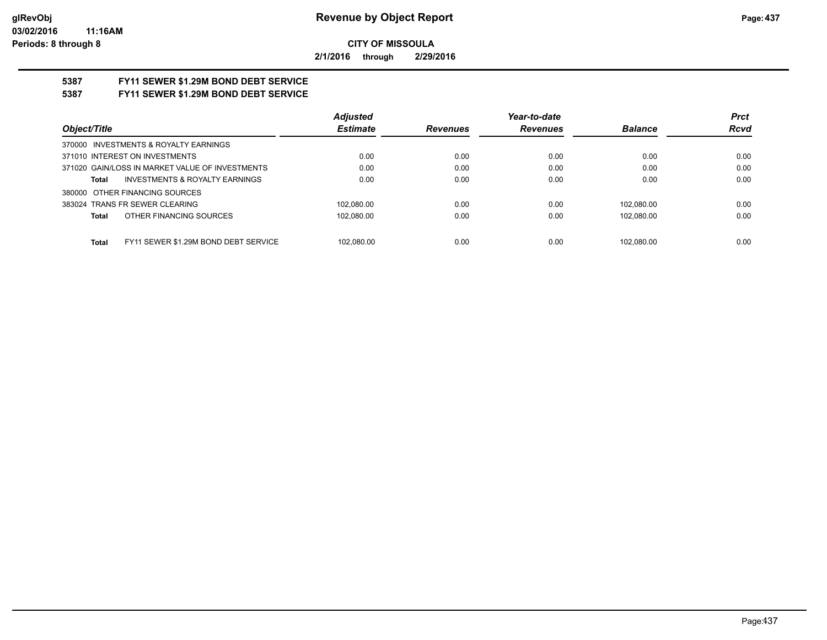**2/1/2016 through 2/29/2016**

# **5387 FY11 SEWER \$1.29M BOND DEBT SERVICE**

## **5387 FY11 SEWER \$1.29M BOND DEBT SERVICE**

|                                                      | <b>Adjusted</b> |                 | Year-to-date    |                | <b>Prct</b> |
|------------------------------------------------------|-----------------|-----------------|-----------------|----------------|-------------|
| Object/Title                                         | <b>Estimate</b> | <b>Revenues</b> | <b>Revenues</b> | <b>Balance</b> | <b>Rcvd</b> |
| 370000 INVESTMENTS & ROYALTY EARNINGS                |                 |                 |                 |                |             |
| 371010 INTEREST ON INVESTMENTS                       | 0.00            | 0.00            | 0.00            | 0.00           | 0.00        |
| 371020 GAIN/LOSS IN MARKET VALUE OF INVESTMENTS      | 0.00            | 0.00            | 0.00            | 0.00           | 0.00        |
| <b>INVESTMENTS &amp; ROYALTY EARNINGS</b><br>Total   | 0.00            | 0.00            | 0.00            | 0.00           | 0.00        |
| 380000 OTHER FINANCING SOURCES                       |                 |                 |                 |                |             |
| 383024 TRANS FR SEWER CLEARING                       | 102.080.00      | 0.00            | 0.00            | 102.080.00     | 0.00        |
| OTHER FINANCING SOURCES<br>Total                     | 102.080.00      | 0.00            | 0.00            | 102.080.00     | 0.00        |
|                                                      |                 |                 |                 |                |             |
| FY11 SEWER \$1.29M BOND DEBT SERVICE<br><b>Total</b> | 102.080.00      | 0.00            | 0.00            | 102.080.00     | 0.00        |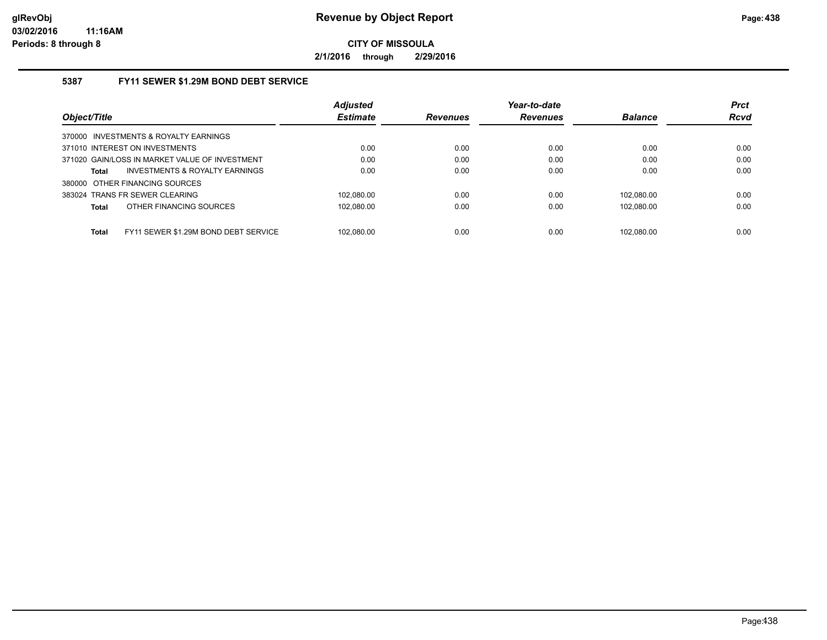**2/1/2016 through 2/29/2016**

### **5387 FY11 SEWER \$1.29M BOND DEBT SERVICE**

|                                                      | <b>Adjusted</b> |                 | Year-to-date    |                | <b>Prct</b> |
|------------------------------------------------------|-----------------|-----------------|-----------------|----------------|-------------|
| Object/Title                                         | <b>Estimate</b> | <b>Revenues</b> | <b>Revenues</b> | <b>Balance</b> | <b>Rcvd</b> |
| 370000 INVESTMENTS & ROYALTY EARNINGS                |                 |                 |                 |                |             |
| 371010 INTEREST ON INVESTMENTS                       | 0.00            | 0.00            | 0.00            | 0.00           | 0.00        |
| 371020 GAIN/LOSS IN MARKET VALUE OF INVESTMENT       | 0.00            | 0.00            | 0.00            | 0.00           | 0.00        |
| INVESTMENTS & ROYALTY EARNINGS<br><b>Total</b>       | 0.00            | 0.00            | 0.00            | 0.00           | 0.00        |
| 380000 OTHER FINANCING SOURCES                       |                 |                 |                 |                |             |
| 383024 TRANS FR SEWER CLEARING                       | 102.080.00      | 0.00            | 0.00            | 102.080.00     | 0.00        |
| OTHER FINANCING SOURCES<br><b>Total</b>              | 102.080.00      | 0.00            | 0.00            | 102.080.00     | 0.00        |
|                                                      |                 |                 |                 |                |             |
| FY11 SEWER \$1.29M BOND DEBT SERVICE<br><b>Total</b> | 102.080.00      | 0.00            | 0.00            | 102.080.00     | 0.00        |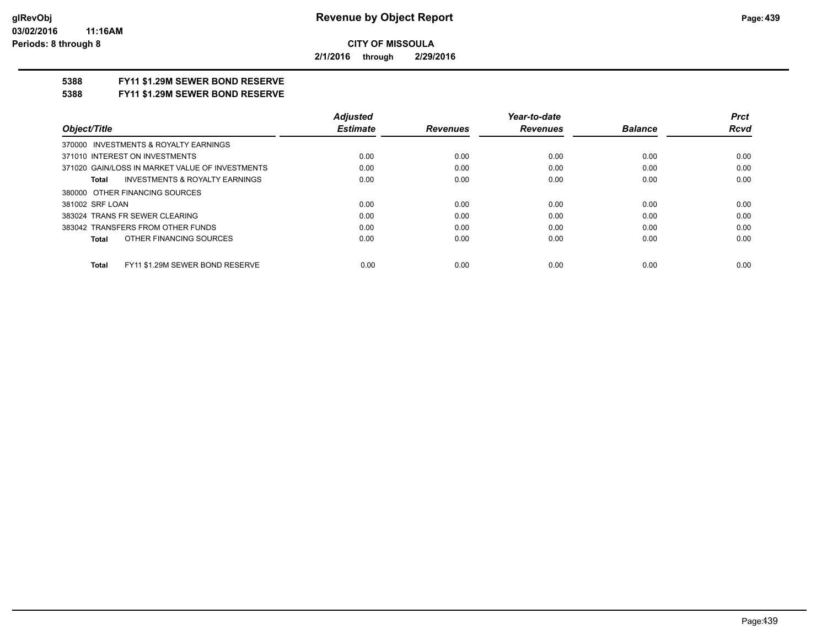**2/1/2016 through 2/29/2016**

## **5388 FY11 \$1.29M SEWER BOND RESERVE**

**5388 FY11 \$1.29M SEWER BOND RESERVE**

|                                                 | <b>Adiusted</b> |                 | Year-to-date    |                | <b>Prct</b> |
|-------------------------------------------------|-----------------|-----------------|-----------------|----------------|-------------|
| Object/Title                                    | <b>Estimate</b> | <b>Revenues</b> | <b>Revenues</b> | <b>Balance</b> | Rcvd        |
| 370000 INVESTMENTS & ROYALTY EARNINGS           |                 |                 |                 |                |             |
| 371010 INTEREST ON INVESTMENTS                  | 0.00            | 0.00            | 0.00            | 0.00           | 0.00        |
| 371020 GAIN/LOSS IN MARKET VALUE OF INVESTMENTS | 0.00            | 0.00            | 0.00            | 0.00           | 0.00        |
| INVESTMENTS & ROYALTY EARNINGS<br>Total         | 0.00            | 0.00            | 0.00            | 0.00           | 0.00        |
| 380000 OTHER FINANCING SOURCES                  |                 |                 |                 |                |             |
| 381002 SRF LOAN                                 | 0.00            | 0.00            | 0.00            | 0.00           | 0.00        |
| 383024 TRANS FR SEWER CLEARING                  | 0.00            | 0.00            | 0.00            | 0.00           | 0.00        |
| 383042 TRANSFERS FROM OTHER FUNDS               | 0.00            | 0.00            | 0.00            | 0.00           | 0.00        |
| OTHER FINANCING SOURCES<br>Total                | 0.00            | 0.00            | 0.00            | 0.00           | 0.00        |
| FY11 \$1.29M SEWER BOND RESERVE<br><b>Total</b> | 0.00            | 0.00            | 0.00            | 0.00           | 0.00        |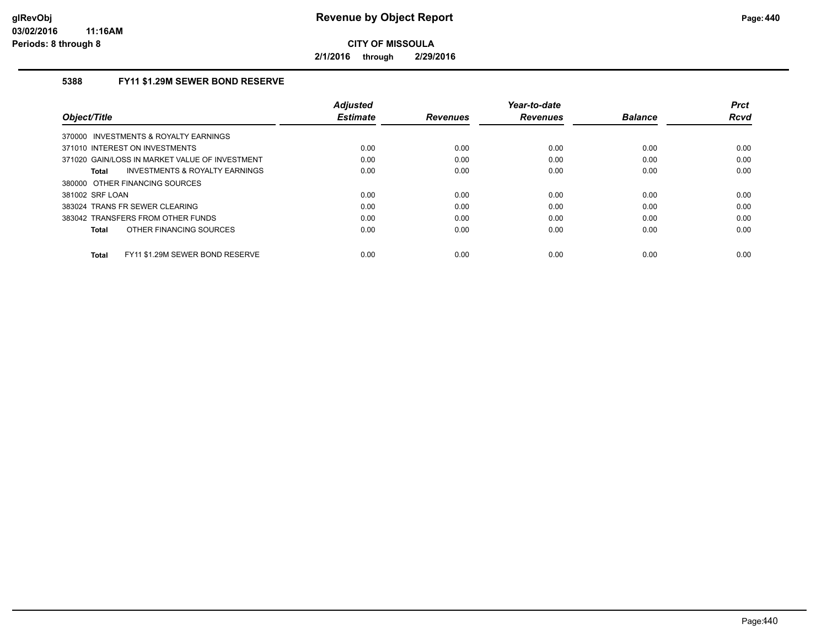**2/1/2016 through 2/29/2016**

### **5388 FY11 \$1.29M SEWER BOND RESERVE**

| Object/Title                                    | <b>Adjusted</b><br><b>Estimate</b> | <b>Revenues</b> | Year-to-date<br><b>Revenues</b> | <b>Balance</b> | <b>Prct</b><br>Rcvd |
|-------------------------------------------------|------------------------------------|-----------------|---------------------------------|----------------|---------------------|
| 370000 INVESTMENTS & ROYALTY EARNINGS           |                                    |                 |                                 |                |                     |
| 371010 INTEREST ON INVESTMENTS                  | 0.00                               | 0.00            | 0.00                            | 0.00           | 0.00                |
| 371020 GAIN/LOSS IN MARKET VALUE OF INVESTMENT  | 0.00                               | 0.00            | 0.00                            | 0.00           | 0.00                |
| INVESTMENTS & ROYALTY EARNINGS<br>Total         | 0.00                               | 0.00            | 0.00                            | 0.00           | 0.00                |
| 380000 OTHER FINANCING SOURCES                  |                                    |                 |                                 |                |                     |
| 381002 SRF LOAN                                 | 0.00                               | 0.00            | 0.00                            | 0.00           | 0.00                |
| 383024 TRANS FR SEWER CLEARING                  | 0.00                               | 0.00            | 0.00                            | 0.00           | 0.00                |
| 383042 TRANSFERS FROM OTHER FUNDS               | 0.00                               | 0.00            | 0.00                            | 0.00           | 0.00                |
| OTHER FINANCING SOURCES<br><b>Total</b>         | 0.00                               | 0.00            | 0.00                            | 0.00           | 0.00                |
| FY11 \$1.29M SEWER BOND RESERVE<br><b>Total</b> | 0.00                               | 0.00            | 0.00                            | 0.00           | 0.00                |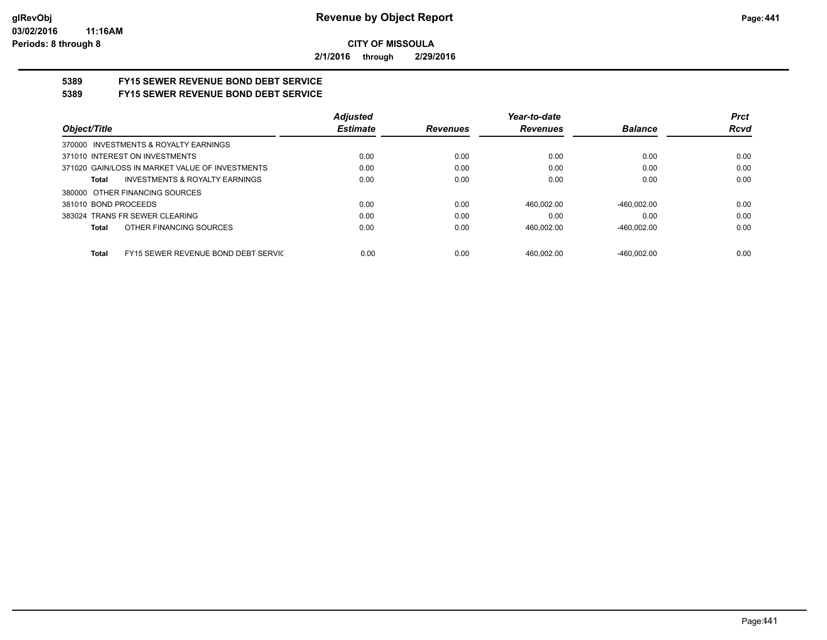**2/1/2016 through 2/29/2016**

# **5389 FY15 SEWER REVENUE BOND DEBT SERVICE**

## **5389 FY15 SEWER REVENUE BOND DEBT SERVICE**

|                                                 | <b>Adjusted</b> |                 | Year-to-date    |                | <b>Prct</b> |
|-------------------------------------------------|-----------------|-----------------|-----------------|----------------|-------------|
| Object/Title                                    | <b>Estimate</b> | <b>Revenues</b> | <b>Revenues</b> | <b>Balance</b> | <b>Rcvd</b> |
| 370000 INVESTMENTS & ROYALTY EARNINGS           |                 |                 |                 |                |             |
| 371010 INTEREST ON INVESTMENTS                  | 0.00            | 0.00            | 0.00            | 0.00           | 0.00        |
| 371020 GAIN/LOSS IN MARKET VALUE OF INVESTMENTS | 0.00            | 0.00            | 0.00            | 0.00           | 0.00        |
| INVESTMENTS & ROYALTY EARNINGS<br>Total         | 0.00            | 0.00            | 0.00            | 0.00           | 0.00        |
| 380000 OTHER FINANCING SOURCES                  |                 |                 |                 |                |             |
| 381010 BOND PROCEEDS                            | 0.00            | 0.00            | 460.002.00      | $-460.002.00$  | 0.00        |
| 383024 TRANS FR SEWER CLEARING                  | 0.00            | 0.00            | 0.00            | 0.00           | 0.00        |
| OTHER FINANCING SOURCES<br>Total                | 0.00            | 0.00            | 460,002.00      | $-460.002.00$  | 0.00        |
|                                                 |                 |                 |                 |                |             |
| FY15 SEWER REVENUE BOND DEBT SERVIC<br>Total    | 0.00            | 0.00            | 460.002.00      | $-460.002.00$  | 0.00        |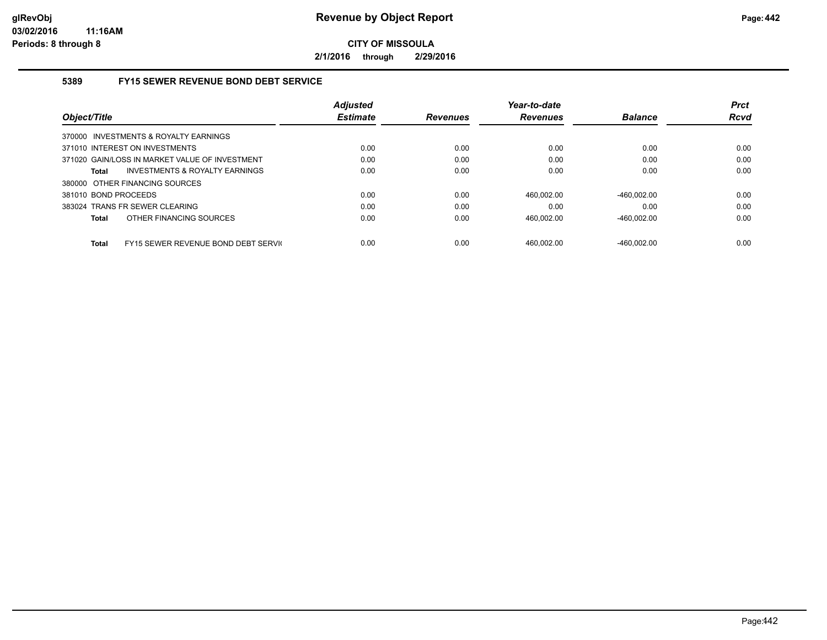**2/1/2016 through 2/29/2016**

### **5389 FY15 SEWER REVENUE BOND DEBT SERVICE**

|                                                     | <b>Adjusted</b> |                 | Year-to-date    |                | <b>Prct</b> |
|-----------------------------------------------------|-----------------|-----------------|-----------------|----------------|-------------|
| Object/Title                                        | <b>Estimate</b> | <b>Revenues</b> | <b>Revenues</b> | <b>Balance</b> | <b>Rcvd</b> |
| 370000 INVESTMENTS & ROYALTY EARNINGS               |                 |                 |                 |                |             |
| 371010 INTEREST ON INVESTMENTS                      | 0.00            | 0.00            | 0.00            | 0.00           | 0.00        |
| 371020 GAIN/LOSS IN MARKET VALUE OF INVESTMENT      | 0.00            | 0.00            | 0.00            | 0.00           | 0.00        |
| INVESTMENTS & ROYALTY EARNINGS<br><b>Total</b>      | 0.00            | 0.00            | 0.00            | 0.00           | 0.00        |
| 380000 OTHER FINANCING SOURCES                      |                 |                 |                 |                |             |
| 381010 BOND PROCEEDS                                | 0.00            | 0.00            | 460.002.00      | $-460.002.00$  | 0.00        |
| 383024 TRANS FR SEWER CLEARING                      | 0.00            | 0.00            | 0.00            | 0.00           | 0.00        |
| OTHER FINANCING SOURCES<br><b>Total</b>             | 0.00            | 0.00            | 460.002.00      | $-460.002.00$  | 0.00        |
| FY15 SEWER REVENUE BOND DEBT SERVIC<br><b>Total</b> | 0.00            | 0.00            | 460.002.00      | $-460.002.00$  | 0.00        |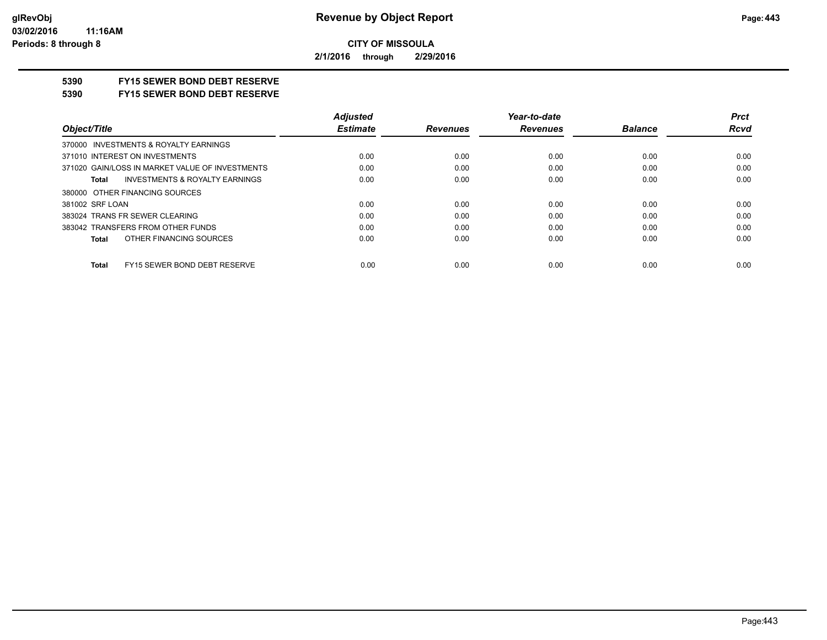**2/1/2016 through 2/29/2016**

## **5390 FY15 SEWER BOND DEBT RESERVE**

#### **5390 FY15 SEWER BOND DEBT RESERVE**

|                                                    | <b>Adjusted</b> |                 | Year-to-date    |                | <b>Prct</b> |
|----------------------------------------------------|-----------------|-----------------|-----------------|----------------|-------------|
| Object/Title                                       | <b>Estimate</b> | <b>Revenues</b> | <b>Revenues</b> | <b>Balance</b> | <b>Rcvd</b> |
| 370000 INVESTMENTS & ROYALTY EARNINGS              |                 |                 |                 |                |             |
| 371010 INTEREST ON INVESTMENTS                     | 0.00            | 0.00            | 0.00            | 0.00           | 0.00        |
| 371020 GAIN/LOSS IN MARKET VALUE OF INVESTMENTS    | 0.00            | 0.00            | 0.00            | 0.00           | 0.00        |
| <b>INVESTMENTS &amp; ROYALTY EARNINGS</b><br>Total | 0.00            | 0.00            | 0.00            | 0.00           | 0.00        |
| 380000 OTHER FINANCING SOURCES                     |                 |                 |                 |                |             |
| 381002 SRF LOAN                                    | 0.00            | 0.00            | 0.00            | 0.00           | 0.00        |
| 383024 TRANS FR SEWER CLEARING                     | 0.00            | 0.00            | 0.00            | 0.00           | 0.00        |
| 383042 TRANSFERS FROM OTHER FUNDS                  | 0.00            | 0.00            | 0.00            | 0.00           | 0.00        |
| OTHER FINANCING SOURCES<br>Total                   | 0.00            | 0.00            | 0.00            | 0.00           | 0.00        |
|                                                    |                 |                 |                 |                |             |
| FY15 SEWER BOND DEBT RESERVE<br><b>Total</b>       | 0.00            | 0.00            | 0.00            | 0.00           | 0.00        |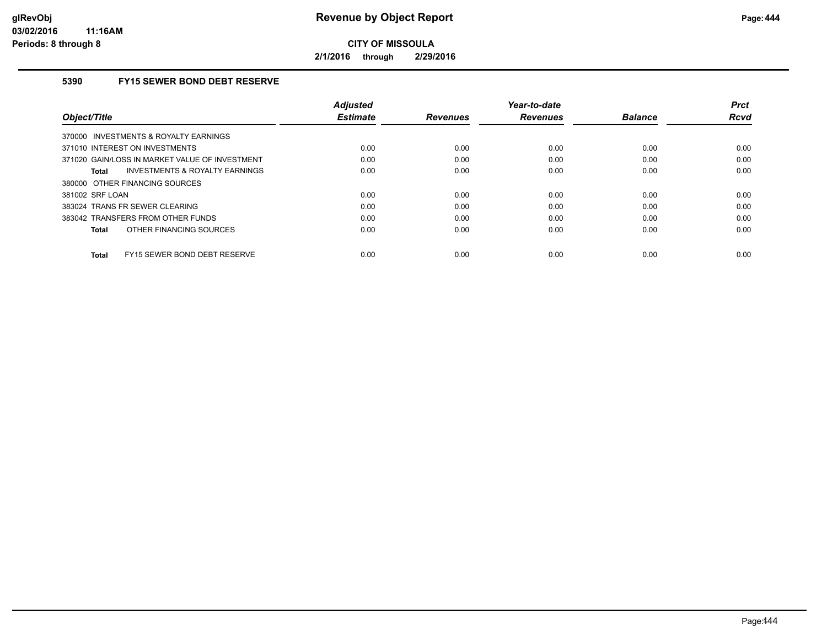**2/1/2016 through 2/29/2016**

### **5390 FY15 SEWER BOND DEBT RESERVE**

| Object/Title                                   | <b>Adiusted</b><br><b>Estimate</b> | <b>Revenues</b> | Year-to-date<br><b>Revenues</b> | <b>Balance</b> | <b>Prct</b><br><b>Rcvd</b> |
|------------------------------------------------|------------------------------------|-----------------|---------------------------------|----------------|----------------------------|
| 370000 INVESTMENTS & ROYALTY EARNINGS          |                                    |                 |                                 |                |                            |
| 371010 INTEREST ON INVESTMENTS                 | 0.00                               | 0.00            | 0.00                            | 0.00           | 0.00                       |
| 371020 GAIN/LOSS IN MARKET VALUE OF INVESTMENT | 0.00                               | 0.00            | 0.00                            | 0.00           | 0.00                       |
| INVESTMENTS & ROYALTY EARNINGS<br>Total        | 0.00                               | 0.00            | 0.00                            | 0.00           | 0.00                       |
| 380000 OTHER FINANCING SOURCES                 |                                    |                 |                                 |                |                            |
| 381002 SRF LOAN                                | 0.00                               | 0.00            | 0.00                            | 0.00           | 0.00                       |
| 383024 TRANS FR SEWER CLEARING                 | 0.00                               | 0.00            | 0.00                            | 0.00           | 0.00                       |
| 383042 TRANSFERS FROM OTHER FUNDS              | 0.00                               | 0.00            | 0.00                            | 0.00           | 0.00                       |
| OTHER FINANCING SOURCES<br>Total               | 0.00                               | 0.00            | 0.00                            | 0.00           | 0.00                       |
| FY15 SEWER BOND DEBT RESERVE<br>Total          | 0.00                               | 0.00            | 0.00                            | 0.00           | 0.00                       |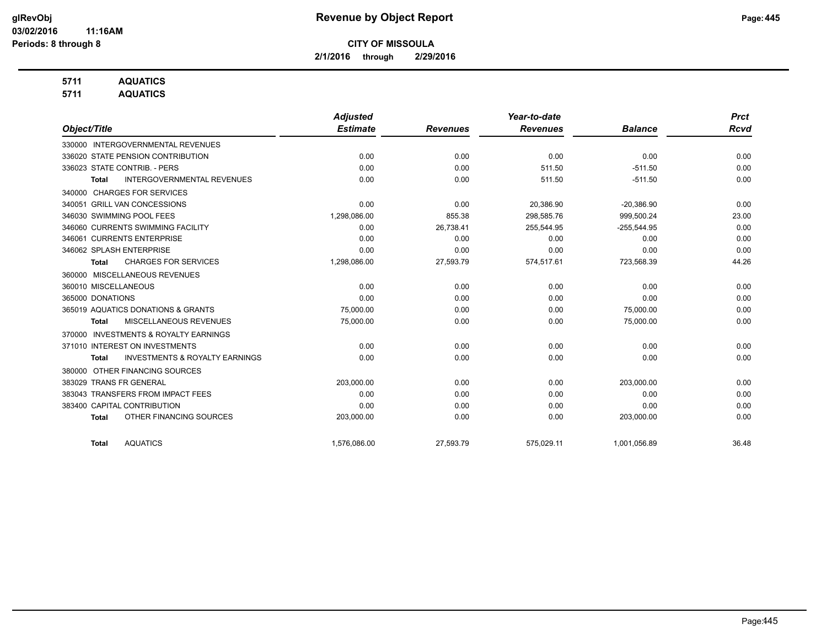**2/1/2016 through 2/29/2016**

## **5711 AQUATICS**

**5711 AQUATICS**

|                                                           | <b>Adjusted</b> |                 | Year-to-date    |                | <b>Prct</b> |
|-----------------------------------------------------------|-----------------|-----------------|-----------------|----------------|-------------|
| Object/Title                                              | <b>Estimate</b> | <b>Revenues</b> | <b>Revenues</b> | <b>Balance</b> | <b>Rcvd</b> |
| 330000 INTERGOVERNMENTAL REVENUES                         |                 |                 |                 |                |             |
| 336020 STATE PENSION CONTRIBUTION                         | 0.00            | 0.00            | 0.00            | 0.00           | 0.00        |
| 336023 STATE CONTRIB. - PERS                              | 0.00            | 0.00            | 511.50          | $-511.50$      | 0.00        |
| <b>INTERGOVERNMENTAL REVENUES</b><br>Total                | 0.00            | 0.00            | 511.50          | $-511.50$      | 0.00        |
| <b>CHARGES FOR SERVICES</b><br>340000                     |                 |                 |                 |                |             |
| 340051 GRILL VAN CONCESSIONS                              | 0.00            | 0.00            | 20,386.90       | $-20,386.90$   | 0.00        |
| 346030 SWIMMING POOL FEES                                 | 1,298,086.00    | 855.38          | 298,585.76      | 999,500.24     | 23.00       |
| 346060 CURRENTS SWIMMING FACILITY                         | 0.00            | 26,738.41       | 255,544.95      | $-255,544.95$  | 0.00        |
| 346061 CURRENTS ENTERPRISE                                | 0.00            | 0.00            | 0.00            | 0.00           | 0.00        |
| 346062 SPLASH ENTERPRISE                                  | 0.00            | 0.00            | 0.00            | 0.00           | 0.00        |
| <b>CHARGES FOR SERVICES</b><br><b>Total</b>               | 1,298,086.00    | 27,593.79       | 574,517.61      | 723,568.39     | 44.26       |
| 360000 MISCELLANEOUS REVENUES                             |                 |                 |                 |                |             |
| 360010 MISCELLANEOUS                                      | 0.00            | 0.00            | 0.00            | 0.00           | 0.00        |
| 365000 DONATIONS                                          | 0.00            | 0.00            | 0.00            | 0.00           | 0.00        |
| 365019 AQUATICS DONATIONS & GRANTS                        | 75,000.00       | 0.00            | 0.00            | 75,000.00      | 0.00        |
| MISCELLANEOUS REVENUES<br>Total                           | 75,000.00       | 0.00            | 0.00            | 75,000.00      | 0.00        |
| <b>INVESTMENTS &amp; ROYALTY EARNINGS</b><br>370000       |                 |                 |                 |                |             |
| 371010 INTEREST ON INVESTMENTS                            | 0.00            | 0.00            | 0.00            | 0.00           | 0.00        |
| <b>INVESTMENTS &amp; ROYALTY EARNINGS</b><br><b>Total</b> | 0.00            | 0.00            | 0.00            | 0.00           | 0.00        |
| OTHER FINANCING SOURCES<br>380000                         |                 |                 |                 |                |             |
| 383029 TRANS FR GENERAL                                   | 203,000.00      | 0.00            | 0.00            | 203,000.00     | 0.00        |
| 383043 TRANSFERS FROM IMPACT FEES                         | 0.00            | 0.00            | 0.00            | 0.00           | 0.00        |
| 383400 CAPITAL CONTRIBUTION                               | 0.00            | 0.00            | 0.00            | 0.00           | 0.00        |
| OTHER FINANCING SOURCES<br><b>Total</b>                   | 203,000.00      | 0.00            | 0.00            | 203,000.00     | 0.00        |
| <b>AQUATICS</b><br><b>Total</b>                           | 1,576,086.00    | 27,593.79       | 575,029.11      | 1,001,056.89   | 36.48       |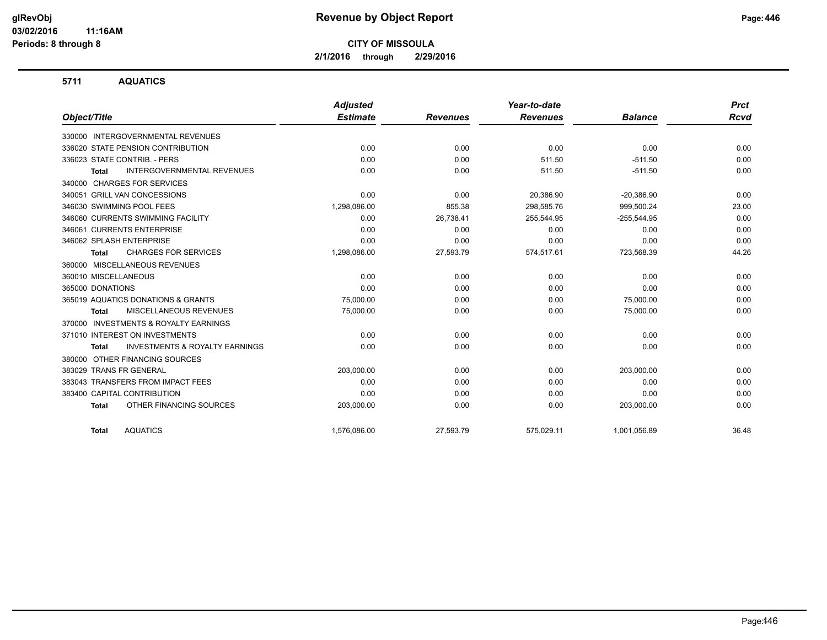**2/1/2016 through 2/29/2016**

### **5711 AQUATICS**

|                                                     | <b>Adjusted</b> |                 | Year-to-date    |                | <b>Prct</b> |
|-----------------------------------------------------|-----------------|-----------------|-----------------|----------------|-------------|
| Object/Title                                        | <b>Estimate</b> | <b>Revenues</b> | <b>Revenues</b> | <b>Balance</b> | <b>Rcvd</b> |
| 330000 INTERGOVERNMENTAL REVENUES                   |                 |                 |                 |                |             |
| 336020 STATE PENSION CONTRIBUTION                   | 0.00            | 0.00            | 0.00            | 0.00           | 0.00        |
| 336023 STATE CONTRIB. - PERS                        | 0.00            | 0.00            | 511.50          | $-511.50$      | 0.00        |
| <b>INTERGOVERNMENTAL REVENUES</b><br><b>Total</b>   | 0.00            | 0.00            | 511.50          | $-511.50$      | 0.00        |
| <b>CHARGES FOR SERVICES</b><br>340000               |                 |                 |                 |                |             |
| 340051 GRILL VAN CONCESSIONS                        | 0.00            | 0.00            | 20,386.90       | $-20,386.90$   | 0.00        |
| 346030 SWIMMING POOL FEES                           | 1,298,086.00    | 855.38          | 298,585.76      | 999,500.24     | 23.00       |
| 346060 CURRENTS SWIMMING FACILITY                   | 0.00            | 26,738.41       | 255,544.95      | $-255,544.95$  | 0.00        |
| 346061 CURRENTS ENTERPRISE                          | 0.00            | 0.00            | 0.00            | 0.00           | 0.00        |
| 346062 SPLASH ENTERPRISE                            | 0.00            | 0.00            | 0.00            | 0.00           | 0.00        |
| <b>CHARGES FOR SERVICES</b><br><b>Total</b>         | 1,298,086.00    | 27,593.79       | 574,517.61      | 723,568.39     | 44.26       |
| 360000 MISCELLANEOUS REVENUES                       |                 |                 |                 |                |             |
| 360010 MISCELLANEOUS                                | 0.00            | 0.00            | 0.00            | 0.00           | 0.00        |
| 365000 DONATIONS                                    | 0.00            | 0.00            | 0.00            | 0.00           | 0.00        |
| 365019 AQUATICS DONATIONS & GRANTS                  | 75.000.00       | 0.00            | 0.00            | 75.000.00      | 0.00        |
| MISCELLANEOUS REVENUES<br><b>Total</b>              | 75,000.00       | 0.00            | 0.00            | 75,000.00      | 0.00        |
| <b>INVESTMENTS &amp; ROYALTY EARNINGS</b><br>370000 |                 |                 |                 |                |             |
| 371010 INTEREST ON INVESTMENTS                      | 0.00            | 0.00            | 0.00            | 0.00           | 0.00        |
| <b>INVESTMENTS &amp; ROYALTY EARNINGS</b><br>Total  | 0.00            | 0.00            | 0.00            | 0.00           | 0.00        |
| OTHER FINANCING SOURCES<br>380000                   |                 |                 |                 |                |             |
| 383029 TRANS FR GENERAL                             | 203,000.00      | 0.00            | 0.00            | 203,000.00     | 0.00        |
| 383043 TRANSFERS FROM IMPACT FEES                   | 0.00            | 0.00            | 0.00            | 0.00           | 0.00        |
| 383400 CAPITAL CONTRIBUTION                         | 0.00            | 0.00            | 0.00            | 0.00           | 0.00        |
| OTHER FINANCING SOURCES<br><b>Total</b>             | 203,000.00      | 0.00            | 0.00            | 203,000.00     | 0.00        |
| <b>AQUATICS</b><br><b>Total</b>                     | 1,576,086.00    | 27,593.79       | 575,029.11      | 1,001,056.89   | 36.48       |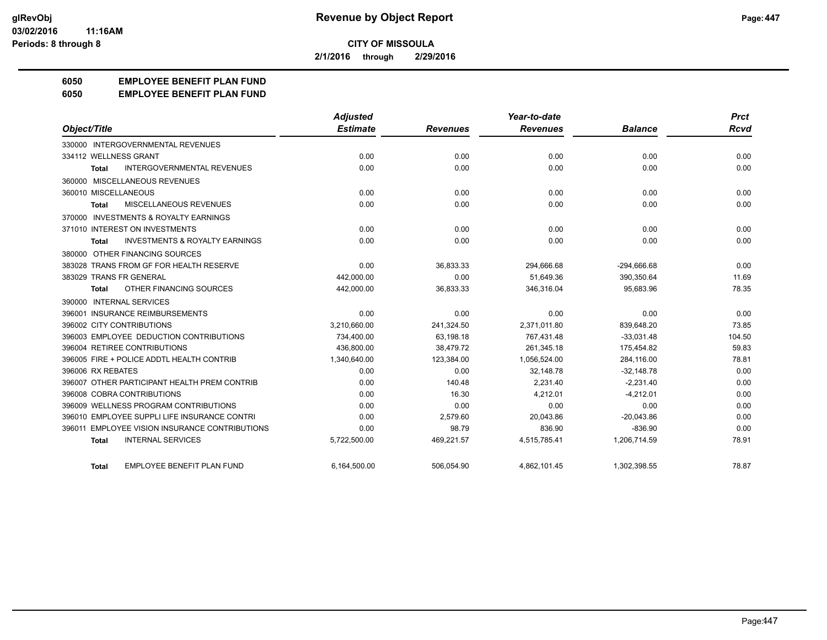**2/1/2016 through 2/29/2016**

## **6050 EMPLOYEE BENEFIT PLAN FUND**

#### **6050 EMPLOYEE BENEFIT PLAN FUND**

|                                                           | <b>Adjusted</b> |                 | Year-to-date    |                | <b>Prct</b> |
|-----------------------------------------------------------|-----------------|-----------------|-----------------|----------------|-------------|
| Object/Title                                              | <b>Estimate</b> | <b>Revenues</b> | <b>Revenues</b> | <b>Balance</b> | Rcvd        |
| 330000 INTERGOVERNMENTAL REVENUES                         |                 |                 |                 |                |             |
| 334112 WELLNESS GRANT                                     | 0.00            | 0.00            | 0.00            | 0.00           | 0.00        |
| <b>INTERGOVERNMENTAL REVENUES</b><br><b>Total</b>         | 0.00            | 0.00            | 0.00            | 0.00           | 0.00        |
| 360000 MISCELLANEOUS REVENUES                             |                 |                 |                 |                |             |
| 360010 MISCELLANEOUS                                      | 0.00            | 0.00            | 0.00            | 0.00           | 0.00        |
| MISCELLANEOUS REVENUES<br><b>Total</b>                    | 0.00            | 0.00            | 0.00            | 0.00           | 0.00        |
| 370000 INVESTMENTS & ROYALTY EARNINGS                     |                 |                 |                 |                |             |
| 371010 INTEREST ON INVESTMENTS                            | 0.00            | 0.00            | 0.00            | 0.00           | 0.00        |
| <b>INVESTMENTS &amp; ROYALTY EARNINGS</b><br><b>Total</b> | 0.00            | 0.00            | 0.00            | 0.00           | 0.00        |
| 380000 OTHER FINANCING SOURCES                            |                 |                 |                 |                |             |
| 383028 TRANS FROM GF FOR HEALTH RESERVE                   | 0.00            | 36,833.33       | 294,666.68      | $-294,666.68$  | 0.00        |
| 383029 TRANS FR GENERAL                                   | 442,000.00      | 0.00            | 51.649.36       | 390,350.64     | 11.69       |
| OTHER FINANCING SOURCES<br><b>Total</b>                   | 442,000.00      | 36,833.33       | 346.316.04      | 95.683.96      | 78.35       |
| 390000 INTERNAL SERVICES                                  |                 |                 |                 |                |             |
| 396001 INSURANCE REIMBURSEMENTS                           | 0.00            | 0.00            | 0.00            | 0.00           | 0.00        |
| 396002 CITY CONTRIBUTIONS                                 | 3,210,660.00    | 241,324.50      | 2,371,011.80    | 839,648.20     | 73.85       |
| 396003 EMPLOYEE DEDUCTION CONTRIBUTIONS                   | 734,400.00      | 63,198.18       | 767,431.48      | $-33,031.48$   | 104.50      |
| 396004 RETIREE CONTRIBUTIONS                              | 436,800.00      | 38,479.72       | 261,345.18      | 175,454.82     | 59.83       |
| 396005 FIRE + POLICE ADDTL HEALTH CONTRIB                 | 1,340,640.00    | 123,384.00      | 1,056,524.00    | 284,116.00     | 78.81       |
| 396006 RX REBATES                                         | 0.00            | 0.00            | 32.148.78       | $-32,148.78$   | 0.00        |
| 396007 OTHER PARTICIPANT HEALTH PREM CONTRIB              | 0.00            | 140.48          | 2,231.40        | $-2,231.40$    | 0.00        |
| 396008 COBRA CONTRIBUTIONS                                | 0.00            | 16.30           | 4,212.01        | $-4,212.01$    | 0.00        |
| 396009 WELLNESS PROGRAM CONTRIBUTIONS                     | 0.00            | 0.00            | 0.00            | 0.00           | 0.00        |
| 396010 EMPLOYEE SUPPLI LIFE INSURANCE CONTRI              | 0.00            | 2,579.60        | 20.043.86       | $-20,043.86$   | 0.00        |
| <b>EMPLOYEE VISION INSURANCE CONTRIBUTIONS</b><br>396011  | 0.00            | 98.79           | 836.90          | $-836.90$      | 0.00        |
| <b>INTERNAL SERVICES</b><br><b>Total</b>                  | 5,722,500.00    | 469,221.57      | 4,515,785.41    | 1,206,714.59   | 78.91       |
| <b>EMPLOYEE BENEFIT PLAN FUND</b><br><b>Total</b>         | 6,164,500.00    | 506,054.90      | 4,862,101.45    | 1,302,398.55   | 78.87       |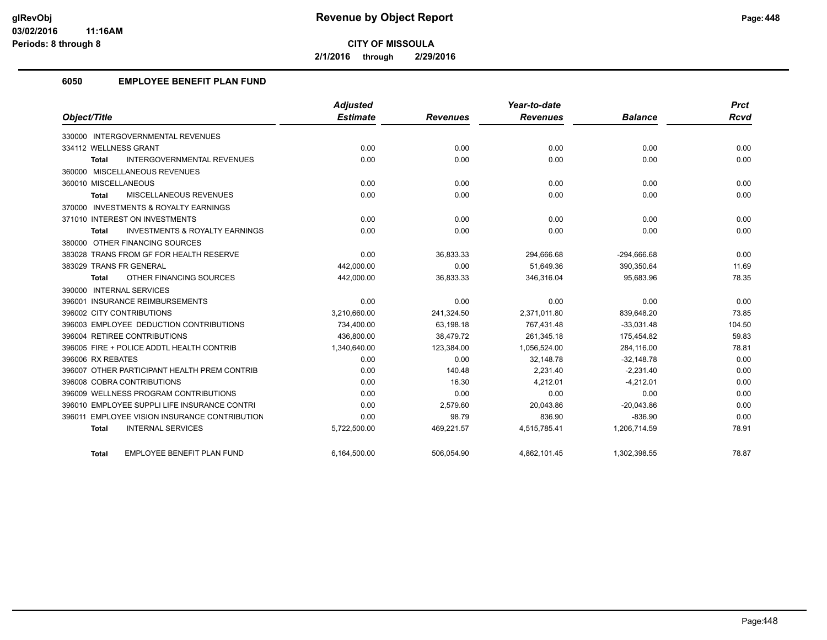**2/1/2016 through 2/29/2016**

## **6050 EMPLOYEE BENEFIT PLAN FUND**

|                                                           | <b>Adjusted</b> |                 | Year-to-date    |                | <b>Prct</b> |
|-----------------------------------------------------------|-----------------|-----------------|-----------------|----------------|-------------|
| Object/Title                                              | <b>Estimate</b> | <b>Revenues</b> | <b>Revenues</b> | <b>Balance</b> | <b>Rcvd</b> |
| 330000 INTERGOVERNMENTAL REVENUES                         |                 |                 |                 |                |             |
| 334112 WELLNESS GRANT                                     | 0.00            | 0.00            | 0.00            | 0.00           | 0.00        |
| <b>INTERGOVERNMENTAL REVENUES</b><br><b>Total</b>         | 0.00            | 0.00            | 0.00            | 0.00           | 0.00        |
| 360000 MISCELLANEOUS REVENUES                             |                 |                 |                 |                |             |
| 360010 MISCELLANEOUS                                      | 0.00            | 0.00            | 0.00            | 0.00           | 0.00        |
| MISCELLANEOUS REVENUES<br><b>Total</b>                    | 0.00            | 0.00            | 0.00            | 0.00           | 0.00        |
| 370000 INVESTMENTS & ROYALTY EARNINGS                     |                 |                 |                 |                |             |
| 371010 INTEREST ON INVESTMENTS                            | 0.00            | 0.00            | 0.00            | 0.00           | 0.00        |
| <b>INVESTMENTS &amp; ROYALTY EARNINGS</b><br><b>Total</b> | 0.00            | 0.00            | 0.00            | 0.00           | 0.00        |
| 380000 OTHER FINANCING SOURCES                            |                 |                 |                 |                |             |
| 383028 TRANS FROM GF FOR HEALTH RESERVE                   | 0.00            | 36,833.33       | 294,666.68      | $-294,666.68$  | 0.00        |
| 383029 TRANS FR GENERAL                                   | 442.000.00      | 0.00            | 51.649.36       | 390,350.64     | 11.69       |
| OTHER FINANCING SOURCES<br><b>Total</b>                   | 442,000.00      | 36,833.33       | 346,316.04      | 95,683.96      | 78.35       |
| 390000 INTERNAL SERVICES                                  |                 |                 |                 |                |             |
| 396001 INSURANCE REIMBURSEMENTS                           | 0.00            | 0.00            | 0.00            | 0.00           | 0.00        |
| 396002 CITY CONTRIBUTIONS                                 | 3,210,660.00    | 241,324.50      | 2,371,011.80    | 839,648.20     | 73.85       |
| 396003 EMPLOYEE DEDUCTION CONTRIBUTIONS                   | 734,400.00      | 63.198.18       | 767,431.48      | $-33,031.48$   | 104.50      |
| 396004 RETIREE CONTRIBUTIONS                              | 436,800.00      | 38,479.72       | 261,345.18      | 175,454.82     | 59.83       |
| 396005 FIRE + POLICE ADDTL HEALTH CONTRIB                 | 1,340,640.00    | 123,384.00      | 1,056,524.00    | 284,116.00     | 78.81       |
| 396006 RX REBATES                                         | 0.00            | 0.00            | 32,148.78       | $-32,148.78$   | 0.00        |
| 396007 OTHER PARTICIPANT HEALTH PREM CONTRIB              | 0.00            | 140.48          | 2.231.40        | $-2.231.40$    | 0.00        |
| 396008 COBRA CONTRIBUTIONS                                | 0.00            | 16.30           | 4.212.01        | $-4,212.01$    | 0.00        |
| 396009 WELLNESS PROGRAM CONTRIBUTIONS                     | 0.00            | 0.00            | 0.00            | 0.00           | 0.00        |
| 396010 EMPLOYEE SUPPLI LIFE INSURANCE CONTRI              | 0.00            | 2,579.60        | 20,043.86       | $-20,043.86$   | 0.00        |
| 396011 EMPLOYEE VISION INSURANCE CONTRIBUTION             | 0.00            | 98.79           | 836.90          | $-836.90$      | 0.00        |
| <b>INTERNAL SERVICES</b><br><b>Total</b>                  | 5,722,500.00    | 469,221.57      | 4,515,785.41    | 1,206,714.59   | 78.91       |
| EMPLOYEE BENEFIT PLAN FUND<br><b>Total</b>                | 6,164,500.00    | 506,054.90      | 4,862,101.45    | 1,302,398.55   | 78.87       |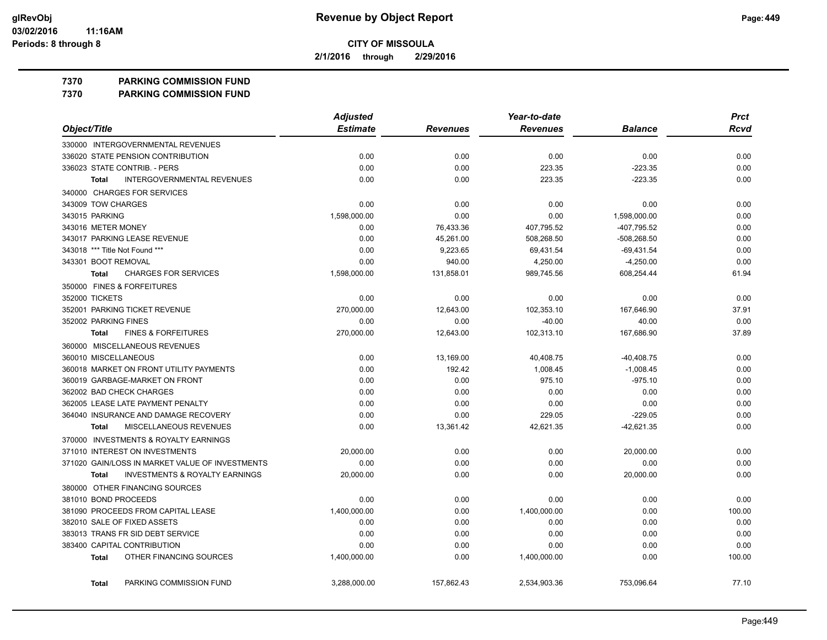**2/1/2016 through 2/29/2016**

**7370 PARKING COMMISSION FUND**

**7370 PARKING COMMISSION FUND**

|                                                    | <b>Adjusted</b> |                 | Year-to-date    |                | <b>Prct</b> |
|----------------------------------------------------|-----------------|-----------------|-----------------|----------------|-------------|
| Object/Title                                       | <b>Estimate</b> | <b>Revenues</b> | <b>Revenues</b> | <b>Balance</b> | Rcvd        |
| 330000 INTERGOVERNMENTAL REVENUES                  |                 |                 |                 |                |             |
| 336020 STATE PENSION CONTRIBUTION                  | 0.00            | 0.00            | 0.00            | 0.00           | 0.00        |
| 336023 STATE CONTRIB. - PERS                       | 0.00            | 0.00            | 223.35          | $-223.35$      | 0.00        |
| <b>INTERGOVERNMENTAL REVENUES</b><br><b>Total</b>  | 0.00            | 0.00            | 223.35          | $-223.35$      | 0.00        |
| 340000 CHARGES FOR SERVICES                        |                 |                 |                 |                |             |
| 343009 TOW CHARGES                                 | 0.00            | 0.00            | 0.00            | 0.00           | 0.00        |
| 343015 PARKING                                     | 1,598,000.00    | 0.00            | 0.00            | 1,598,000.00   | 0.00        |
| 343016 METER MONEY                                 | 0.00            | 76,433.36       | 407,795.52      | -407,795.52    | 0.00        |
| 343017 PARKING LEASE REVENUE                       | 0.00            | 45,261.00       | 508,268.50      | -508,268.50    | 0.00        |
| 343018 *** Title Not Found ***                     | 0.00            | 9,223.65        | 69,431.54       | $-69,431.54$   | 0.00        |
| 343301 BOOT REMOVAL                                | 0.00            | 940.00          | 4,250.00        | $-4,250.00$    | 0.00        |
| <b>CHARGES FOR SERVICES</b><br><b>Total</b>        | 1,598,000.00    | 131,858.01      | 989,745.56      | 608,254.44     | 61.94       |
| 350000 FINES & FORFEITURES                         |                 |                 |                 |                |             |
| 352000 TICKETS                                     | 0.00            | 0.00            | 0.00            | 0.00           | 0.00        |
| 352001 PARKING TICKET REVENUE                      | 270,000.00      | 12,643.00       | 102,353.10      | 167,646.90     | 37.91       |
| 352002 PARKING FINES                               | 0.00            | 0.00            | $-40.00$        | 40.00          | 0.00        |
| <b>FINES &amp; FORFEITURES</b><br><b>Total</b>     | 270,000.00      | 12.643.00       | 102.313.10      | 167.686.90     | 37.89       |
| 360000 MISCELLANEOUS REVENUES                      |                 |                 |                 |                |             |
| 360010 MISCELLANEOUS                               | 0.00            | 13,169.00       | 40,408.75       | $-40,408.75$   | 0.00        |
| 360018 MARKET ON FRONT UTILITY PAYMENTS            | 0.00            | 192.42          | 1,008.45        | $-1,008.45$    | 0.00        |
| 360019 GARBAGE-MARKET ON FRONT                     | 0.00            | 0.00            | 975.10          | $-975.10$      | 0.00        |
| 362002 BAD CHECK CHARGES                           | 0.00            | 0.00            | 0.00            | 0.00           | 0.00        |
| 362005 LEASE LATE PAYMENT PENALTY                  | 0.00            | 0.00            | 0.00            | 0.00           | 0.00        |
| 364040 INSURANCE AND DAMAGE RECOVERY               | 0.00            | 0.00            | 229.05          | $-229.05$      | 0.00        |
| MISCELLANEOUS REVENUES<br><b>Total</b>             | 0.00            | 13,361.42       | 42,621.35       | -42,621.35     | 0.00        |
| 370000 INVESTMENTS & ROYALTY EARNINGS              |                 |                 |                 |                |             |
| 371010 INTEREST ON INVESTMENTS                     | 20,000.00       | 0.00            | 0.00            | 20,000.00      | 0.00        |
| 371020 GAIN/LOSS IN MARKET VALUE OF INVESTMENTS    | 0.00            | 0.00            | 0.00            | 0.00           | 0.00        |
| <b>INVESTMENTS &amp; ROYALTY EARNINGS</b><br>Total | 20,000.00       | 0.00            | 0.00            | 20,000.00      | 0.00        |
| 380000 OTHER FINANCING SOURCES                     |                 |                 |                 |                |             |
| 381010 BOND PROCEEDS                               | 0.00            | 0.00            | 0.00            | 0.00           | 0.00        |
| 381090 PROCEEDS FROM CAPITAL LEASE                 | 1,400,000.00    | 0.00            | 1,400,000.00    | 0.00           | 100.00      |
| 382010 SALE OF FIXED ASSETS                        | 0.00            | 0.00            | 0.00            | 0.00           | 0.00        |
| 383013 TRANS FR SID DEBT SERVICE                   | 0.00            | 0.00            | 0.00            | 0.00           | 0.00        |
| 383400 CAPITAL CONTRIBUTION                        | 0.00            | 0.00            | 0.00            | 0.00           | 0.00        |
| OTHER FINANCING SOURCES<br>Total                   | 1,400,000.00    | 0.00            | 1,400,000.00    | 0.00           | 100.00      |
| PARKING COMMISSION FUND<br><b>Total</b>            | 3,288,000.00    | 157,862.43      | 2,534,903.36    | 753.096.64     | 77.10       |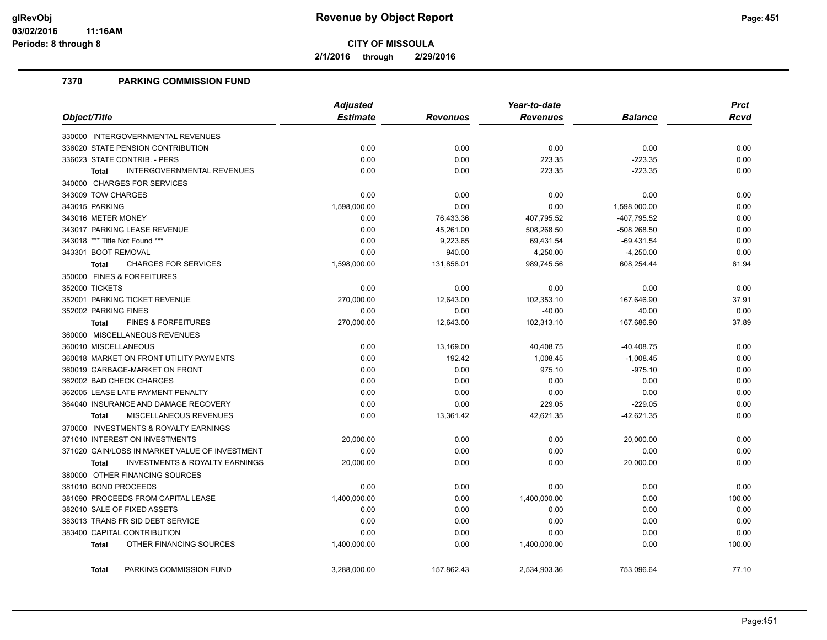**2/1/2016 through 2/29/2016**

### **7370 PARKING COMMISSION FUND**

|                                                           | <b>Adjusted</b> | Year-to-date |                 |                | <b>Prct</b> |
|-----------------------------------------------------------|-----------------|--------------|-----------------|----------------|-------------|
| Object/Title                                              | <b>Estimate</b> | Revenues     | <b>Revenues</b> | <b>Balance</b> | Rcvd        |
| 330000 INTERGOVERNMENTAL REVENUES                         |                 |              |                 |                |             |
| 336020 STATE PENSION CONTRIBUTION                         | 0.00            | 0.00         | 0.00            | 0.00           | 0.00        |
| 336023 STATE CONTRIB. - PERS                              | 0.00            | 0.00         | 223.35          | $-223.35$      | 0.00        |
| <b>INTERGOVERNMENTAL REVENUES</b><br><b>Total</b>         | 0.00            | 0.00         | 223.35          | $-223.35$      | 0.00        |
| 340000 CHARGES FOR SERVICES                               |                 |              |                 |                |             |
| 343009 TOW CHARGES                                        | 0.00            | 0.00         | 0.00            | 0.00           | 0.00        |
| 343015 PARKING                                            | 1,598,000.00    | 0.00         | 0.00            | 1,598,000.00   | 0.00        |
| 343016 METER MONEY                                        | 0.00            | 76,433.36    | 407,795.52      | -407,795.52    | 0.00        |
| 343017 PARKING LEASE REVENUE                              | 0.00            | 45,261.00    | 508,268.50      | $-508,268.50$  | 0.00        |
| 343018 *** Title Not Found ***                            | 0.00            | 9,223.65     | 69,431.54       | $-69,431.54$   | 0.00        |
| 343301 BOOT REMOVAL                                       | 0.00            | 940.00       | 4,250.00        | $-4,250.00$    | 0.00        |
| <b>CHARGES FOR SERVICES</b><br>Total                      | 1,598,000.00    | 131,858.01   | 989,745.56      | 608,254.44     | 61.94       |
| 350000 FINES & FORFEITURES                                |                 |              |                 |                |             |
| 352000 TICKETS                                            | 0.00            | 0.00         | 0.00            | 0.00           | 0.00        |
| 352001 PARKING TICKET REVENUE                             | 270,000.00      | 12,643.00    | 102,353.10      | 167,646.90     | 37.91       |
| 352002 PARKING FINES                                      | 0.00            | 0.00         | $-40.00$        | 40.00          | 0.00        |
| <b>FINES &amp; FORFEITURES</b><br><b>Total</b>            | 270,000.00      | 12,643.00    | 102,313.10      | 167,686.90     | 37.89       |
| 360000 MISCELLANEOUS REVENUES                             |                 |              |                 |                |             |
| 360010 MISCELLANEOUS                                      | 0.00            | 13,169.00    | 40,408.75       | $-40,408.75$   | 0.00        |
| 360018 MARKET ON FRONT UTILITY PAYMENTS                   | 0.00            | 192.42       | 1,008.45        | $-1,008.45$    | 0.00        |
| 360019 GARBAGE-MARKET ON FRONT                            | 0.00            | 0.00         | 975.10          | $-975.10$      | 0.00        |
| 362002 BAD CHECK CHARGES                                  | 0.00            | 0.00         | 0.00            | 0.00           | 0.00        |
| 362005 LEASE LATE PAYMENT PENALTY                         | 0.00            | 0.00         | 0.00            | 0.00           | 0.00        |
| 364040 INSURANCE AND DAMAGE RECOVERY                      | 0.00            | 0.00         | 229.05          | $-229.05$      | 0.00        |
| MISCELLANEOUS REVENUES<br><b>Total</b>                    | 0.00            | 13,361.42    | 42,621.35       | $-42,621.35$   | 0.00        |
| 370000 INVESTMENTS & ROYALTY EARNINGS                     |                 |              |                 |                |             |
| 371010 INTEREST ON INVESTMENTS                            | 20,000.00       | 0.00         | 0.00            | 20,000.00      | 0.00        |
| 371020 GAIN/LOSS IN MARKET VALUE OF INVESTMENT            | 0.00            | 0.00         | 0.00            | 0.00           | 0.00        |
| <b>INVESTMENTS &amp; ROYALTY EARNINGS</b><br><b>Total</b> | 20,000.00       | 0.00         | 0.00            | 20,000.00      | 0.00        |
| 380000 OTHER FINANCING SOURCES                            |                 |              |                 |                |             |
| 381010 BOND PROCEEDS                                      | 0.00            | 0.00         | 0.00            | 0.00           | 0.00        |
| 381090 PROCEEDS FROM CAPITAL LEASE                        | 1,400,000.00    | 0.00         | 1,400,000.00    | 0.00           | 100.00      |
| 382010 SALE OF FIXED ASSETS                               | 0.00            | 0.00         | 0.00            | 0.00           | 0.00        |
| 383013 TRANS FR SID DEBT SERVICE                          | 0.00            | 0.00         | 0.00            | 0.00           | 0.00        |
| 383400 CAPITAL CONTRIBUTION                               | 0.00            | 0.00         | 0.00            | 0.00           | 0.00        |
| OTHER FINANCING SOURCES<br><b>Total</b>                   | 1,400,000.00    | 0.00         | 1,400,000.00    | 0.00           | 100.00      |
| PARKING COMMISSION FUND<br><b>Total</b>                   | 3.288.000.00    | 157.862.43   | 2,534,903.36    | 753.096.64     | 77.10       |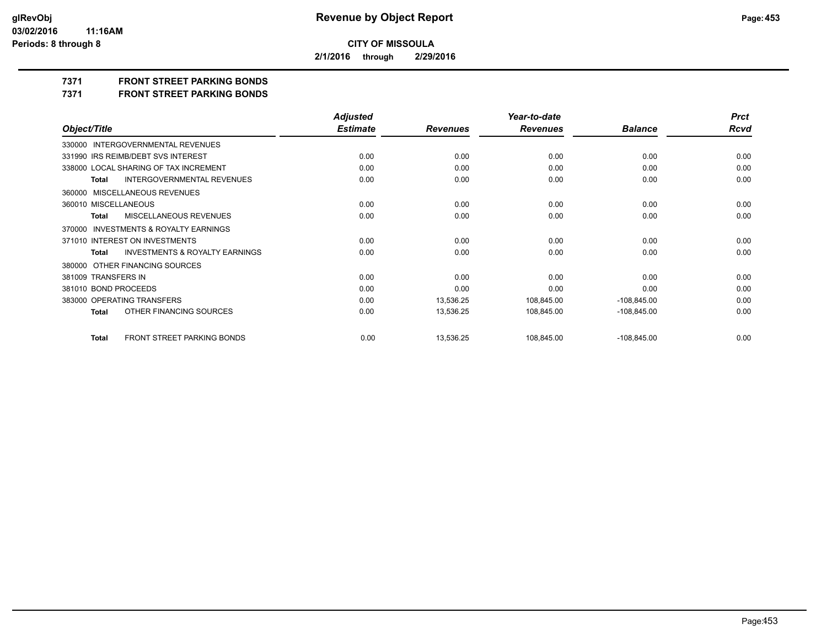**2/1/2016 through 2/29/2016**

**7371 FRONT STREET PARKING BONDS**

**7371 FRONT STREET PARKING BONDS**

|                                                           | <b>Adjusted</b> |                 | Year-to-date    |                | <b>Prct</b> |
|-----------------------------------------------------------|-----------------|-----------------|-----------------|----------------|-------------|
| Object/Title                                              | <b>Estimate</b> | <b>Revenues</b> | <b>Revenues</b> | <b>Balance</b> | <b>Rcvd</b> |
| 330000 INTERGOVERNMENTAL REVENUES                         |                 |                 |                 |                |             |
| 331990 IRS REIMB/DEBT SVS INTEREST                        | 0.00            | 0.00            | 0.00            | 0.00           | 0.00        |
| 338000 LOCAL SHARING OF TAX INCREMENT                     | 0.00            | 0.00            | 0.00            | 0.00           | 0.00        |
| <b>INTERGOVERNMENTAL REVENUES</b><br>Total                | 0.00            | 0.00            | 0.00            | 0.00           | 0.00        |
| 360000 MISCELLANEOUS REVENUES                             |                 |                 |                 |                |             |
| 360010 MISCELLANEOUS                                      | 0.00            | 0.00            | 0.00            | 0.00           | 0.00        |
| MISCELLANEOUS REVENUES<br>Total                           | 0.00            | 0.00            | 0.00            | 0.00           | 0.00        |
| 370000 INVESTMENTS & ROYALTY EARNINGS                     |                 |                 |                 |                |             |
| 371010 INTEREST ON INVESTMENTS                            | 0.00            | 0.00            | 0.00            | 0.00           | 0.00        |
| <b>INVESTMENTS &amp; ROYALTY EARNINGS</b><br><b>Total</b> | 0.00            | 0.00            | 0.00            | 0.00           | 0.00        |
| 380000 OTHER FINANCING SOURCES                            |                 |                 |                 |                |             |
| 381009 TRANSFERS IN                                       | 0.00            | 0.00            | 0.00            | 0.00           | 0.00        |
| 381010 BOND PROCEEDS                                      | 0.00            | 0.00            | 0.00            | 0.00           | 0.00        |
| 383000 OPERATING TRANSFERS                                | 0.00            | 13,536.25       | 108,845.00      | $-108,845.00$  | 0.00        |
| OTHER FINANCING SOURCES<br>Total                          | 0.00            | 13,536.25       | 108,845.00      | $-108,845.00$  | 0.00        |
| <b>FRONT STREET PARKING BONDS</b><br><b>Total</b>         | 0.00            | 13,536.25       | 108,845.00      | $-108,845.00$  | 0.00        |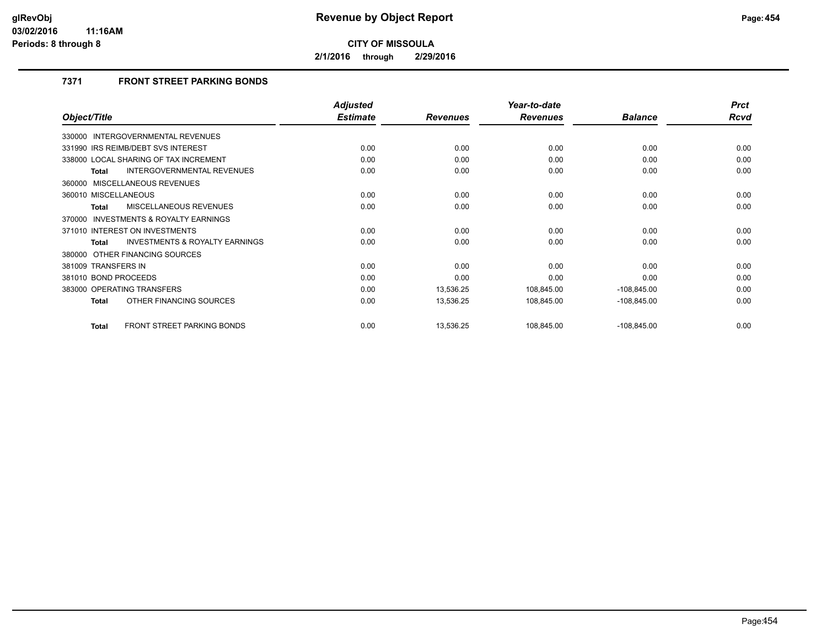**2/1/2016 through 2/29/2016**

## **7371 FRONT STREET PARKING BONDS**

|                                                   | <b>Adjusted</b> |                 | Year-to-date    |                | <b>Prct</b> |
|---------------------------------------------------|-----------------|-----------------|-----------------|----------------|-------------|
| Object/Title                                      | <b>Estimate</b> | <b>Revenues</b> | <b>Revenues</b> | <b>Balance</b> | Rcvd        |
| 330000 INTERGOVERNMENTAL REVENUES                 |                 |                 |                 |                |             |
| 331990 IRS REIMB/DEBT SVS INTEREST                | 0.00            | 0.00            | 0.00            | 0.00           | 0.00        |
| 338000 LOCAL SHARING OF TAX INCREMENT             | 0.00            | 0.00            | 0.00            | 0.00           | 0.00        |
| INTERGOVERNMENTAL REVENUES<br><b>Total</b>        | 0.00            | 0.00            | 0.00            | 0.00           | 0.00        |
| 360000 MISCELLANEOUS REVENUES                     |                 |                 |                 |                |             |
| 360010 MISCELLANEOUS                              | 0.00            | 0.00            | 0.00            | 0.00           | 0.00        |
| MISCELLANEOUS REVENUES<br><b>Total</b>            | 0.00            | 0.00            | 0.00            | 0.00           | 0.00        |
| INVESTMENTS & ROYALTY EARNINGS<br>370000          |                 |                 |                 |                |             |
| 371010 INTEREST ON INVESTMENTS                    | 0.00            | 0.00            | 0.00            | 0.00           | 0.00        |
| INVESTMENTS & ROYALTY EARNINGS<br><b>Total</b>    | 0.00            | 0.00            | 0.00            | 0.00           | 0.00        |
| 380000 OTHER FINANCING SOURCES                    |                 |                 |                 |                |             |
| 381009 TRANSFERS IN                               | 0.00            | 0.00            | 0.00            | 0.00           | 0.00        |
| 381010 BOND PROCEEDS                              | 0.00            | 0.00            | 0.00            | 0.00           | 0.00        |
| 383000 OPERATING TRANSFERS                        | 0.00            | 13,536.25       | 108,845.00      | $-108,845.00$  | 0.00        |
| OTHER FINANCING SOURCES<br><b>Total</b>           | 0.00            | 13,536.25       | 108,845.00      | $-108,845.00$  | 0.00        |
| <b>FRONT STREET PARKING BONDS</b><br><b>Total</b> | 0.00            | 13,536.25       | 108,845.00      | $-108,845.00$  | 0.00        |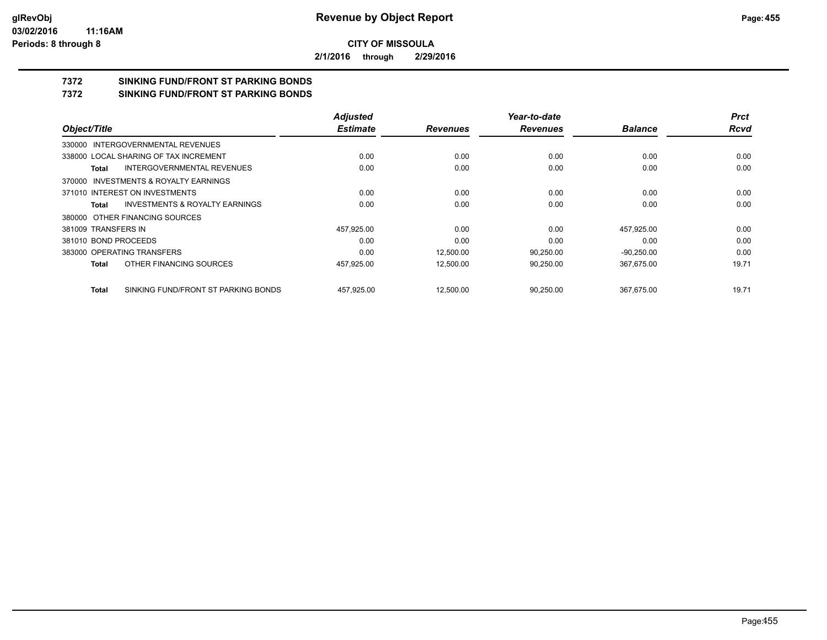**2/1/2016 through 2/29/2016**

## **7372 SINKING FUND/FRONT ST PARKING BONDS**

**7372 SINKING FUND/FRONT ST PARKING BONDS**

|                                              | <b>Adjusted</b> |                 | Year-to-date    |                | <b>Prct</b> |
|----------------------------------------------|-----------------|-----------------|-----------------|----------------|-------------|
| Object/Title                                 | <b>Estimate</b> | <b>Revenues</b> | <b>Revenues</b> | <b>Balance</b> | <b>Rcvd</b> |
| 330000 INTERGOVERNMENTAL REVENUES            |                 |                 |                 |                |             |
| 338000 LOCAL SHARING OF TAX INCREMENT        | 0.00            | 0.00            | 0.00            | 0.00           | 0.00        |
| INTERGOVERNMENTAL REVENUES<br>Total          | 0.00            | 0.00            | 0.00            | 0.00           | 0.00        |
| 370000 INVESTMENTS & ROYALTY EARNINGS        |                 |                 |                 |                |             |
| 371010 INTEREST ON INVESTMENTS               | 0.00            | 0.00            | 0.00            | 0.00           | 0.00        |
| INVESTMENTS & ROYALTY EARNINGS<br>Total      | 0.00            | 0.00            | 0.00            | 0.00           | 0.00        |
| 380000 OTHER FINANCING SOURCES               |                 |                 |                 |                |             |
| 381009 TRANSFERS IN                          | 457,925.00      | 0.00            | 0.00            | 457,925.00     | 0.00        |
| 381010 BOND PROCEEDS                         | 0.00            | 0.00            | 0.00            | 0.00           | 0.00        |
| 383000 OPERATING TRANSFERS                   | 0.00            | 12.500.00       | 90.250.00       | $-90,250.00$   | 0.00        |
| OTHER FINANCING SOURCES<br>Total             | 457,925.00      | 12,500.00       | 90,250.00       | 367,675.00     | 19.71       |
| SINKING FUND/FRONT ST PARKING BONDS<br>Total | 457.925.00      | 12,500.00       | 90.250.00       | 367.675.00     | 19.71       |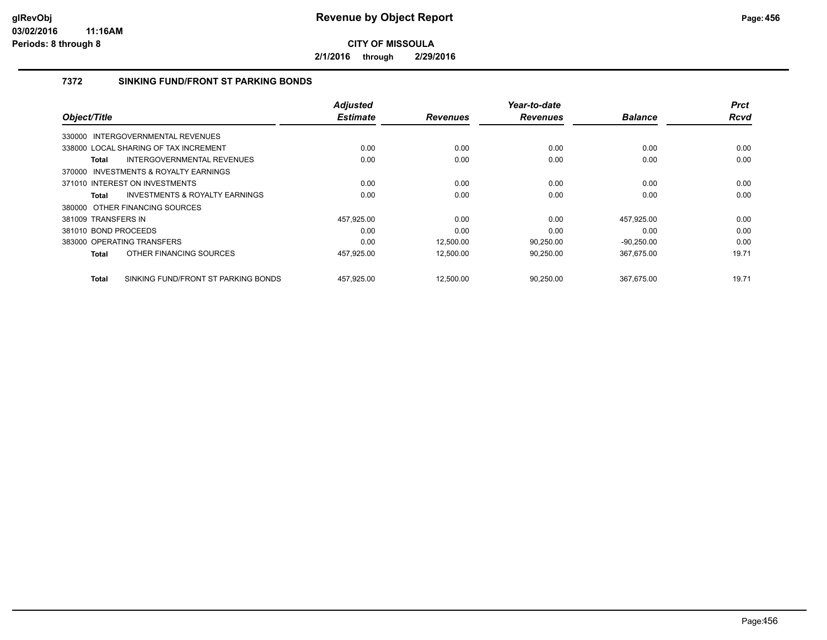**2/1/2016 through 2/29/2016**

### **7372 SINKING FUND/FRONT ST PARKING BONDS**

| Object/Title         |                                           | <b>Adjusted</b><br><b>Estimate</b> | <b>Revenues</b> | Year-to-date<br><b>Revenues</b> | <b>Balance</b> | <b>Prct</b><br>Rcvd |
|----------------------|-------------------------------------------|------------------------------------|-----------------|---------------------------------|----------------|---------------------|
|                      |                                           |                                    |                 |                                 |                |                     |
|                      | 330000 INTERGOVERNMENTAL REVENUES         |                                    |                 |                                 |                |                     |
|                      | 338000 LOCAL SHARING OF TAX INCREMENT     | 0.00                               | 0.00            | 0.00                            | 0.00           | 0.00                |
| Total                | <b>INTERGOVERNMENTAL REVENUES</b>         | 0.00                               | 0.00            | 0.00                            | 0.00           | 0.00                |
|                      | 370000 INVESTMENTS & ROYALTY EARNINGS     |                                    |                 |                                 |                |                     |
|                      | 371010 INTEREST ON INVESTMENTS            | 0.00                               | 0.00            | 0.00                            | 0.00           | 0.00                |
| Total                | <b>INVESTMENTS &amp; ROYALTY EARNINGS</b> | 0.00                               | 0.00            | 0.00                            | 0.00           | 0.00                |
|                      | 380000 OTHER FINANCING SOURCES            |                                    |                 |                                 |                |                     |
| 381009 TRANSFERS IN  |                                           | 457,925.00                         | 0.00            | 0.00                            | 457,925.00     | 0.00                |
| 381010 BOND PROCEEDS |                                           | 0.00                               | 0.00            | 0.00                            | 0.00           | 0.00                |
|                      | 383000 OPERATING TRANSFERS                | 0.00                               | 12,500.00       | 90,250.00                       | $-90,250.00$   | 0.00                |
| Total                | OTHER FINANCING SOURCES                   | 457,925.00                         | 12.500.00       | 90,250.00                       | 367,675.00     | 19.71               |
| <b>Total</b>         | SINKING FUND/FRONT ST PARKING BONDS       | 457.925.00                         | 12.500.00       | 90.250.00                       | 367.675.00     | 19.71               |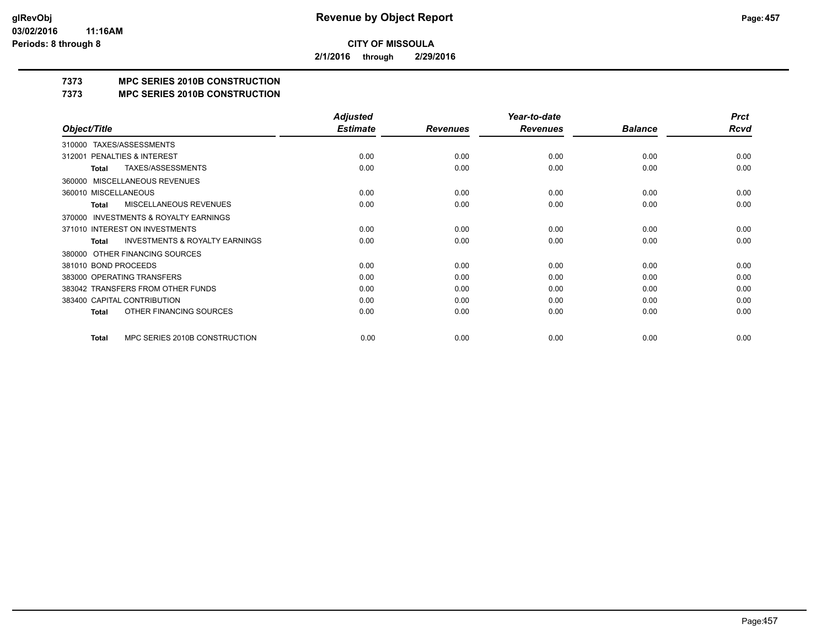**2/1/2016 through 2/29/2016**

## **7373 MPC SERIES 2010B CONSTRUCTION**

#### **7373 MPC SERIES 2010B CONSTRUCTION**

|                                                     | <b>Adjusted</b> |                 | Year-to-date    |                | <b>Prct</b> |
|-----------------------------------------------------|-----------------|-----------------|-----------------|----------------|-------------|
| Object/Title                                        | <b>Estimate</b> | <b>Revenues</b> | <b>Revenues</b> | <b>Balance</b> | Rcvd        |
| TAXES/ASSESSMENTS<br>310000                         |                 |                 |                 |                |             |
| PENALTIES & INTEREST<br>312001                      | 0.00            | 0.00            | 0.00            | 0.00           | 0.00        |
| TAXES/ASSESSMENTS<br>Total                          | 0.00            | 0.00            | 0.00            | 0.00           | 0.00        |
| MISCELLANEOUS REVENUES<br>360000                    |                 |                 |                 |                |             |
| 360010 MISCELLANEOUS                                | 0.00            | 0.00            | 0.00            | 0.00           | 0.00        |
| <b>MISCELLANEOUS REVENUES</b><br>Total              | 0.00            | 0.00            | 0.00            | 0.00           | 0.00        |
| <b>INVESTMENTS &amp; ROYALTY EARNINGS</b><br>370000 |                 |                 |                 |                |             |
| 371010 INTEREST ON INVESTMENTS                      | 0.00            | 0.00            | 0.00            | 0.00           | 0.00        |
| <b>INVESTMENTS &amp; ROYALTY EARNINGS</b><br>Total  | 0.00            | 0.00            | 0.00            | 0.00           | 0.00        |
| OTHER FINANCING SOURCES<br>380000                   |                 |                 |                 |                |             |
| 381010 BOND PROCEEDS                                | 0.00            | 0.00            | 0.00            | 0.00           | 0.00        |
| 383000 OPERATING TRANSFERS                          | 0.00            | 0.00            | 0.00            | 0.00           | 0.00        |
| 383042 TRANSFERS FROM OTHER FUNDS                   | 0.00            | 0.00            | 0.00            | 0.00           | 0.00        |
| 383400 CAPITAL CONTRIBUTION                         | 0.00            | 0.00            | 0.00            | 0.00           | 0.00        |
| OTHER FINANCING SOURCES<br><b>Total</b>             | 0.00            | 0.00            | 0.00            | 0.00           | 0.00        |
| MPC SERIES 2010B CONSTRUCTION<br>Total              | 0.00            | 0.00            | 0.00            | 0.00           | 0.00        |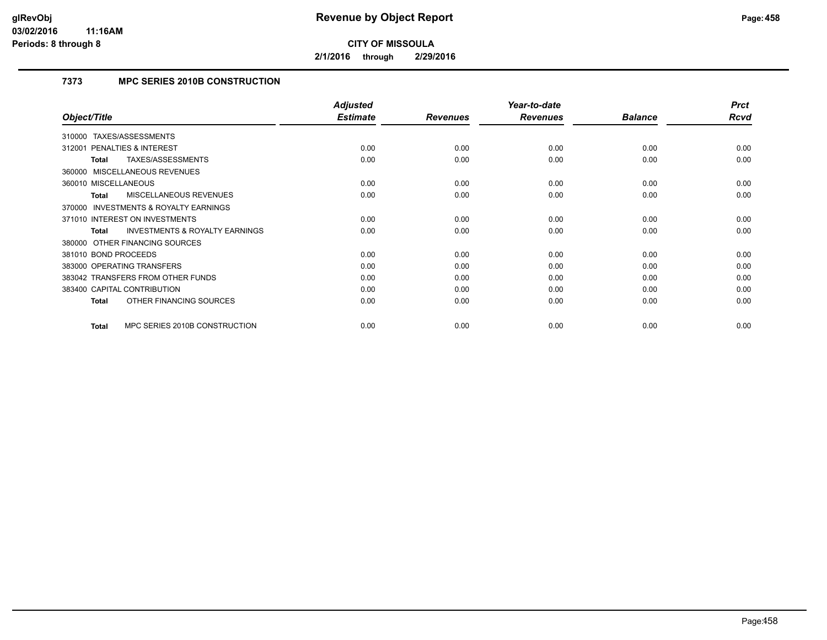**2/1/2016 through 2/29/2016**

### **7373 MPC SERIES 2010B CONSTRUCTION**

|                                                    | <b>Adjusted</b> |                 | Year-to-date    |                | <b>Prct</b> |
|----------------------------------------------------|-----------------|-----------------|-----------------|----------------|-------------|
| Object/Title                                       | <b>Estimate</b> | <b>Revenues</b> | <b>Revenues</b> | <b>Balance</b> | Rcvd        |
| TAXES/ASSESSMENTS<br>310000                        |                 |                 |                 |                |             |
| <b>PENALTIES &amp; INTEREST</b><br>312001          | 0.00            | 0.00            | 0.00            | 0.00           | 0.00        |
| TAXES/ASSESSMENTS<br>Total                         | 0.00            | 0.00            | 0.00            | 0.00           | 0.00        |
| 360000 MISCELLANEOUS REVENUES                      |                 |                 |                 |                |             |
| 360010 MISCELLANEOUS                               | 0.00            | 0.00            | 0.00            | 0.00           | 0.00        |
| MISCELLANEOUS REVENUES<br>Total                    | 0.00            | 0.00            | 0.00            | 0.00           | 0.00        |
| 370000 INVESTMENTS & ROYALTY EARNINGS              |                 |                 |                 |                |             |
| 371010 INTEREST ON INVESTMENTS                     | 0.00            | 0.00            | 0.00            | 0.00           | 0.00        |
| <b>INVESTMENTS &amp; ROYALTY EARNINGS</b><br>Total | 0.00            | 0.00            | 0.00            | 0.00           | 0.00        |
| 380000 OTHER FINANCING SOURCES                     |                 |                 |                 |                |             |
| 381010 BOND PROCEEDS                               | 0.00            | 0.00            | 0.00            | 0.00           | 0.00        |
| 383000 OPERATING TRANSFERS                         | 0.00            | 0.00            | 0.00            | 0.00           | 0.00        |
| 383042 TRANSFERS FROM OTHER FUNDS                  | 0.00            | 0.00            | 0.00            | 0.00           | 0.00        |
| 383400 CAPITAL CONTRIBUTION                        | 0.00            | 0.00            | 0.00            | 0.00           | 0.00        |
| OTHER FINANCING SOURCES<br><b>Total</b>            | 0.00            | 0.00            | 0.00            | 0.00           | 0.00        |
|                                                    |                 |                 |                 |                |             |
| MPC SERIES 2010B CONSTRUCTION<br><b>Total</b>      | 0.00            | 0.00            | 0.00            | 0.00           | 0.00        |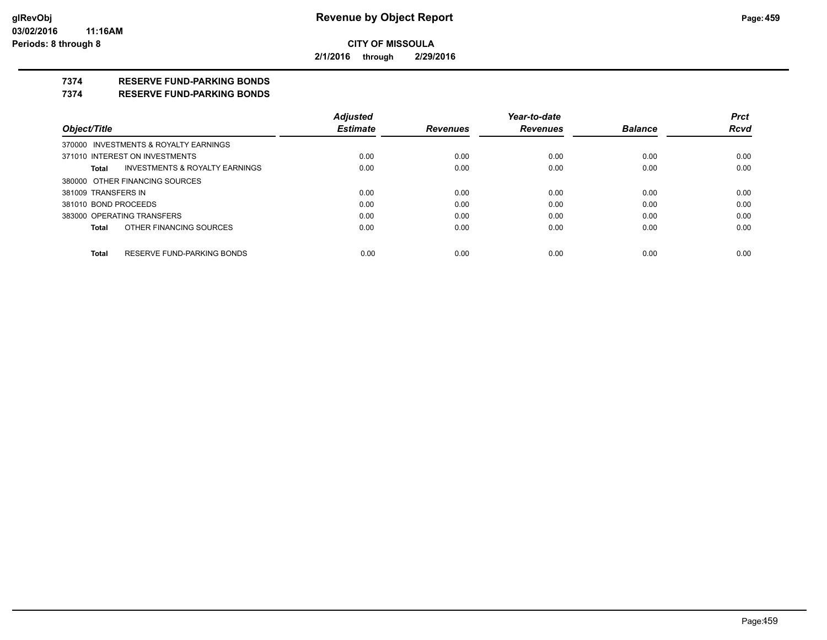**2/1/2016 through 2/29/2016**

### **7374 RESERVE FUND-PARKING BONDS**

#### **7374 RESERVE FUND-PARKING BONDS**

|                            |                                           | <b>Adjusted</b> |                 | Year-to-date    |                | <b>Prct</b> |
|----------------------------|-------------------------------------------|-----------------|-----------------|-----------------|----------------|-------------|
| Object/Title               |                                           | <b>Estimate</b> | <b>Revenues</b> | <b>Revenues</b> | <b>Balance</b> | <b>Rcvd</b> |
|                            | 370000 INVESTMENTS & ROYALTY EARNINGS     |                 |                 |                 |                |             |
|                            | 371010 INTEREST ON INVESTMENTS            | 0.00            | 0.00            | 0.00            | 0.00           | 0.00        |
| Total                      | <b>INVESTMENTS &amp; ROYALTY EARNINGS</b> | 0.00            | 0.00            | 0.00            | 0.00           | 0.00        |
|                            | 380000 OTHER FINANCING SOURCES            |                 |                 |                 |                |             |
| 381009 TRANSFERS IN        |                                           | 0.00            | 0.00            | 0.00            | 0.00           | 0.00        |
| 381010 BOND PROCEEDS       |                                           | 0.00            | 0.00            | 0.00            | 0.00           | 0.00        |
| 383000 OPERATING TRANSFERS |                                           | 0.00            | 0.00            | 0.00            | 0.00           | 0.00        |
| <b>Total</b>               | OTHER FINANCING SOURCES                   | 0.00            | 0.00            | 0.00            | 0.00           | 0.00        |
|                            |                                           |                 |                 |                 |                |             |
| <b>Total</b>               | RESERVE FUND-PARKING BONDS                | 0.00            | 0.00            | 0.00            | 0.00           | 0.00        |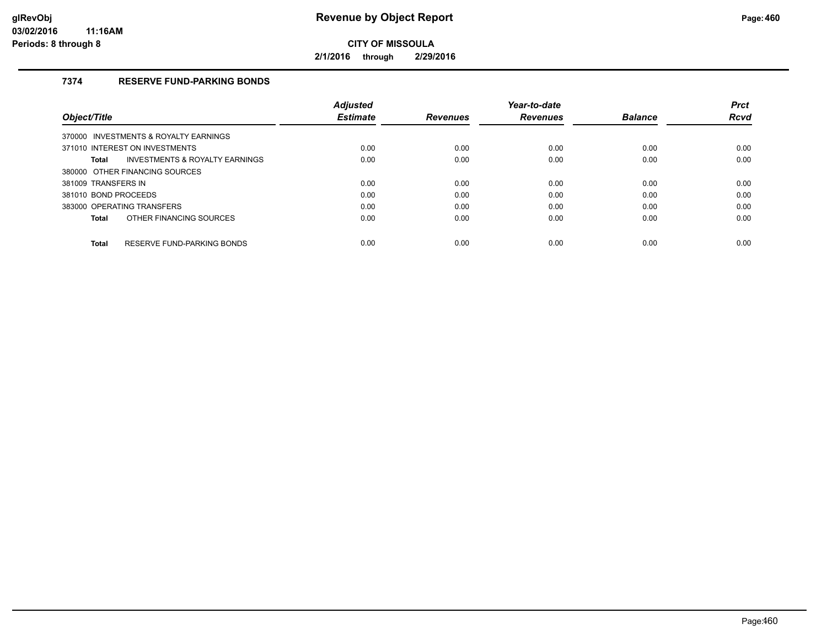**2/1/2016 through 2/29/2016**

### **7374 RESERVE FUND-PARKING BONDS**

|                                                           | <b>Adiusted</b> |                 | Year-to-date    |                | <b>Prct</b> |
|-----------------------------------------------------------|-----------------|-----------------|-----------------|----------------|-------------|
| Object/Title                                              | <b>Estimate</b> | <b>Revenues</b> | <b>Revenues</b> | <b>Balance</b> | <b>Rcvd</b> |
| 370000 INVESTMENTS & ROYALTY EARNINGS                     |                 |                 |                 |                |             |
| 371010 INTEREST ON INVESTMENTS                            | 0.00            | 0.00            | 0.00            | 0.00           | 0.00        |
| <b>INVESTMENTS &amp; ROYALTY EARNINGS</b><br><b>Total</b> | 0.00            | 0.00            | 0.00            | 0.00           | 0.00        |
| 380000 OTHER FINANCING SOURCES                            |                 |                 |                 |                |             |
| 381009 TRANSFERS IN                                       | 0.00            | 0.00            | 0.00            | 0.00           | 0.00        |
| 381010 BOND PROCEEDS                                      | 0.00            | 0.00            | 0.00            | 0.00           | 0.00        |
| 383000 OPERATING TRANSFERS                                | 0.00            | 0.00            | 0.00            | 0.00           | 0.00        |
| OTHER FINANCING SOURCES<br><b>Total</b>                   | 0.00            | 0.00            | 0.00            | 0.00           | 0.00        |
| RESERVE FUND-PARKING BONDS<br><b>Total</b>                | 0.00            | 0.00            | 0.00            | 0.00           | 0.00        |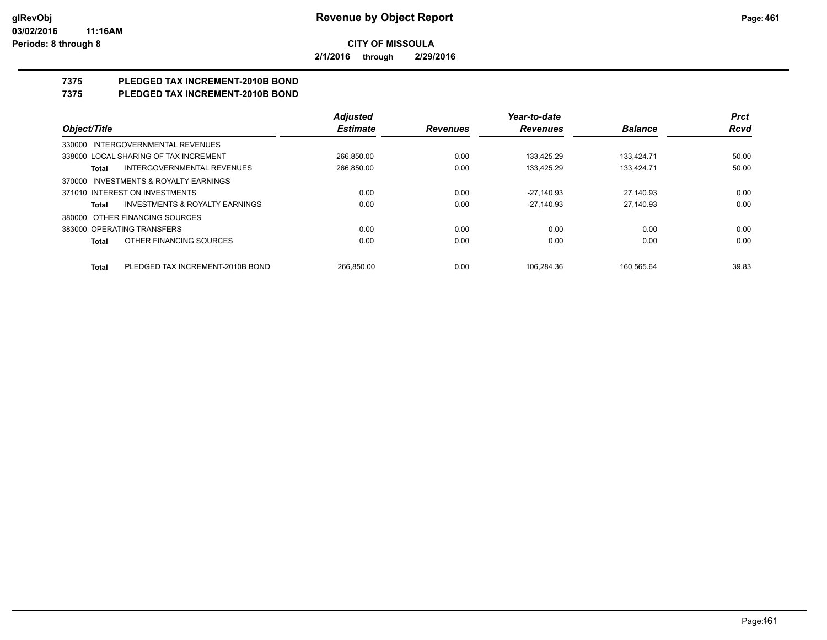**2/1/2016 through 2/29/2016**

# **7375 PLEDGED TAX INCREMENT-2010B BOND**

## **7375 PLEDGED TAX INCREMENT-2010B BOND**

|                                                    | <b>Adjusted</b> |                 | Year-to-date    |                | <b>Prct</b> |
|----------------------------------------------------|-----------------|-----------------|-----------------|----------------|-------------|
| Object/Title                                       | <b>Estimate</b> | <b>Revenues</b> | <b>Revenues</b> | <b>Balance</b> | <b>Rcvd</b> |
| 330000 INTERGOVERNMENTAL REVENUES                  |                 |                 |                 |                |             |
| 338000 LOCAL SHARING OF TAX INCREMENT              | 266.850.00      | 0.00            | 133.425.29      | 133.424.71     | 50.00       |
| <b>INTERGOVERNMENTAL REVENUES</b><br>Total         | 266,850.00      | 0.00            | 133.425.29      | 133.424.71     | 50.00       |
| 370000 INVESTMENTS & ROYALTY EARNINGS              |                 |                 |                 |                |             |
| 371010 INTEREST ON INVESTMENTS                     | 0.00            | 0.00            | $-27.140.93$    | 27.140.93      | 0.00        |
| <b>INVESTMENTS &amp; ROYALTY EARNINGS</b><br>Total | 0.00            | 0.00            | $-27.140.93$    | 27,140.93      | 0.00        |
| 380000 OTHER FINANCING SOURCES                     |                 |                 |                 |                |             |
| 383000 OPERATING TRANSFERS                         | 0.00            | 0.00            | 0.00            | 0.00           | 0.00        |
| OTHER FINANCING SOURCES<br><b>Total</b>            | 0.00            | 0.00            | 0.00            | 0.00           | 0.00        |
| PLEDGED TAX INCREMENT-2010B BOND<br><b>Total</b>   | 266.850.00      | 0.00            | 106.284.36      | 160.565.64     | 39.83       |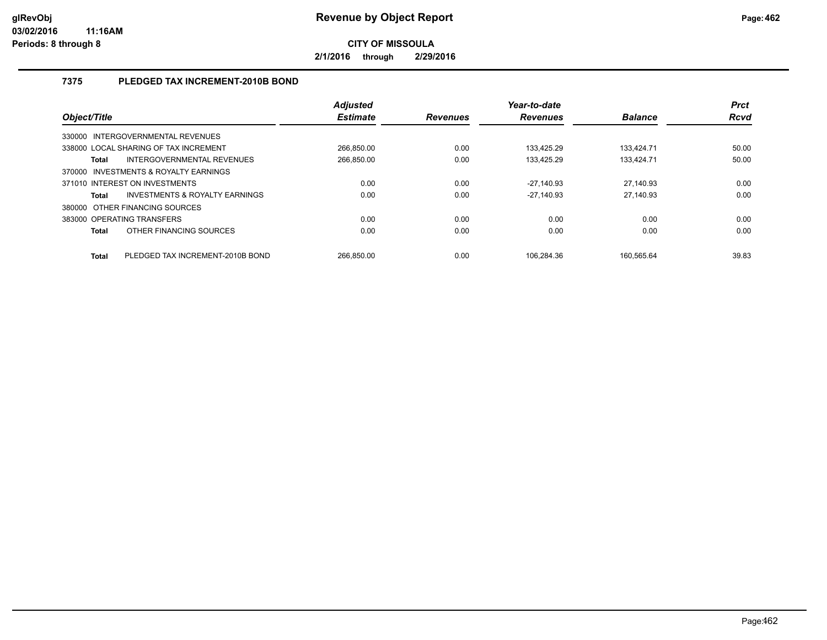**2/1/2016 through 2/29/2016**

### **7375 PLEDGED TAX INCREMENT-2010B BOND**

| Object/Title                          |                                           | <b>Adjusted</b><br><b>Estimate</b> | <b>Revenues</b> | Year-to-date<br><b>Revenues</b> | <b>Balance</b> | <b>Prct</b><br>Rcvd |
|---------------------------------------|-------------------------------------------|------------------------------------|-----------------|---------------------------------|----------------|---------------------|
| 330000 INTERGOVERNMENTAL REVENUES     |                                           |                                    |                 |                                 |                |                     |
| 338000 LOCAL SHARING OF TAX INCREMENT |                                           | 266.850.00                         | 0.00            | 133.425.29                      | 133.424.71     | 50.00               |
| <b>Total</b>                          | INTERGOVERNMENTAL REVENUES                | 266.850.00                         | 0.00            | 133.425.29                      | 133.424.71     | 50.00               |
| 370000 INVESTMENTS & ROYALTY EARNINGS |                                           |                                    |                 |                                 |                |                     |
| 371010 INTEREST ON INVESTMENTS        |                                           | 0.00                               | 0.00            | -27,140.93                      | 27,140.93      | 0.00                |
| <b>Total</b>                          | <b>INVESTMENTS &amp; ROYALTY EARNINGS</b> | 0.00                               | 0.00            | $-27.140.93$                    | 27,140.93      | 0.00                |
| 380000 OTHER FINANCING SOURCES        |                                           |                                    |                 |                                 |                |                     |
| 383000 OPERATING TRANSFERS            |                                           | 0.00                               | 0.00            | 0.00                            | 0.00           | 0.00                |
| <b>Total</b>                          | OTHER FINANCING SOURCES                   | 0.00                               | 0.00            | 0.00                            | 0.00           | 0.00                |
| <b>Total</b>                          | PLEDGED TAX INCREMENT-2010B BOND          | 266.850.00                         | 0.00            | 106.284.36                      | 160.565.64     | 39.83               |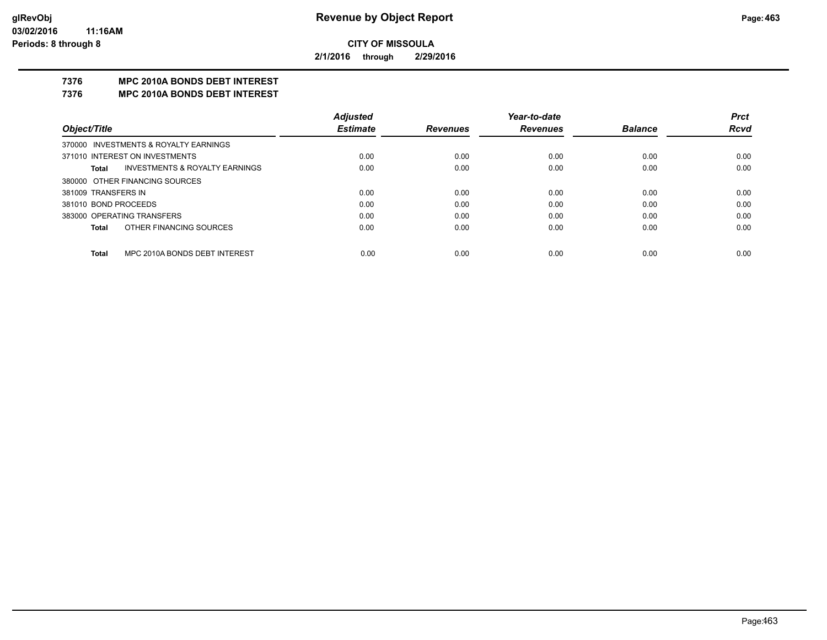**2/1/2016 through 2/29/2016**

### **7376 MPC 2010A BONDS DEBT INTEREST**

#### **7376 MPC 2010A BONDS DEBT INTEREST**

|                            |                                           | <b>Adjusted</b> |                 | Year-to-date    |                | <b>Prct</b> |
|----------------------------|-------------------------------------------|-----------------|-----------------|-----------------|----------------|-------------|
| Object/Title               |                                           | <b>Estimate</b> | <b>Revenues</b> | <b>Revenues</b> | <b>Balance</b> | <b>Rcvd</b> |
|                            | 370000 INVESTMENTS & ROYALTY EARNINGS     |                 |                 |                 |                |             |
|                            | 371010 INTEREST ON INVESTMENTS            | 0.00            | 0.00            | 0.00            | 0.00           | 0.00        |
| Total                      | <b>INVESTMENTS &amp; ROYALTY EARNINGS</b> | 0.00            | 0.00            | 0.00            | 0.00           | 0.00        |
|                            | 380000 OTHER FINANCING SOURCES            |                 |                 |                 |                |             |
| 381009 TRANSFERS IN        |                                           | 0.00            | 0.00            | 0.00            | 0.00           | 0.00        |
| 381010 BOND PROCEEDS       |                                           | 0.00            | 0.00            | 0.00            | 0.00           | 0.00        |
| 383000 OPERATING TRANSFERS |                                           | 0.00            | 0.00            | 0.00            | 0.00           | 0.00        |
| Total                      | OTHER FINANCING SOURCES                   | 0.00            | 0.00            | 0.00            | 0.00           | 0.00        |
|                            |                                           |                 |                 |                 |                |             |
| Total                      | MPC 2010A BONDS DEBT INTEREST             | 0.00            | 0.00            | 0.00            | 0.00           | 0.00        |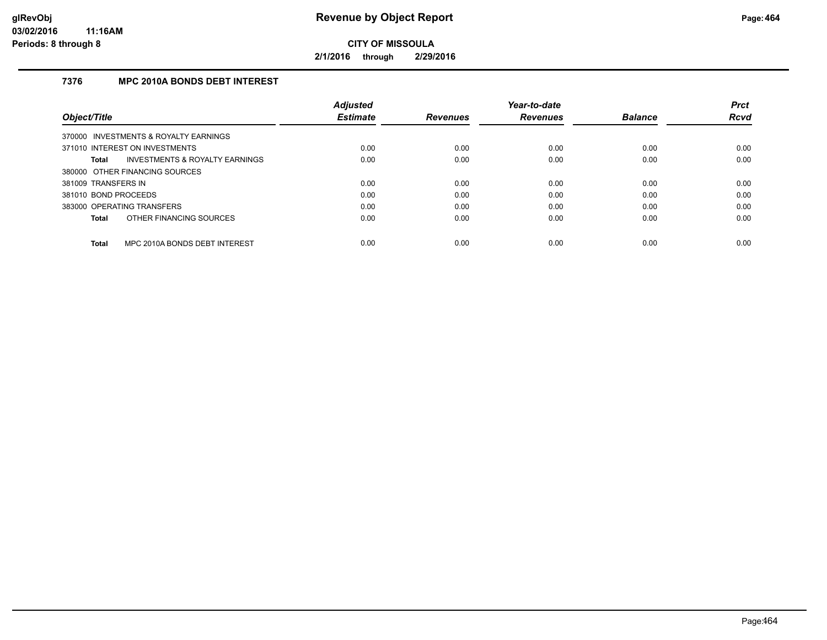**2/1/2016 through 2/29/2016**

### **7376 MPC 2010A BONDS DEBT INTEREST**

| <b>Adiusted</b> |                 | Year-to-date    |                | <b>Prct</b> |
|-----------------|-----------------|-----------------|----------------|-------------|
| <b>Estimate</b> | <b>Revenues</b> | <b>Revenues</b> | <b>Balance</b> | <b>Rcvd</b> |
|                 |                 |                 |                |             |
| 0.00            | 0.00            | 0.00            | 0.00           | 0.00        |
| 0.00            | 0.00            | 0.00            | 0.00           | 0.00        |
|                 |                 |                 |                |             |
| 0.00            | 0.00            | 0.00            | 0.00           | 0.00        |
| 0.00            | 0.00            | 0.00            | 0.00           | 0.00        |
| 0.00            | 0.00            | 0.00            | 0.00           | 0.00        |
| 0.00            | 0.00            | 0.00            | 0.00           | 0.00        |
|                 |                 |                 |                | 0.00        |
|                 | 0.00            | 0.00            | 0.00           | 0.00        |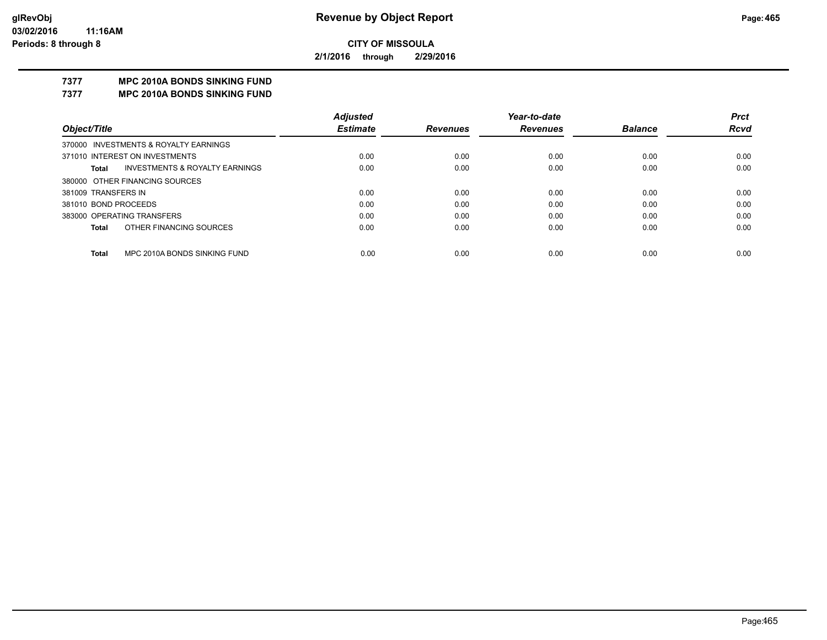**2/1/2016 through 2/29/2016**

## **7377 MPC 2010A BONDS SINKING FUND**

**7377 MPC 2010A BONDS SINKING FUND**

|                                         | <b>Adjusted</b> |                 | Year-to-date    |                | <b>Prct</b> |
|-----------------------------------------|-----------------|-----------------|-----------------|----------------|-------------|
| Object/Title                            | <b>Estimate</b> | <b>Revenues</b> | <b>Revenues</b> | <b>Balance</b> | <b>Rcvd</b> |
| 370000 INVESTMENTS & ROYALTY EARNINGS   |                 |                 |                 |                |             |
| 371010 INTEREST ON INVESTMENTS          | 0.00            | 0.00            | 0.00            | 0.00           | 0.00        |
| INVESTMENTS & ROYALTY EARNINGS<br>Total | 0.00            | 0.00            | 0.00            | 0.00           | 0.00        |
| 380000 OTHER FINANCING SOURCES          |                 |                 |                 |                |             |
| 381009 TRANSFERS IN                     | 0.00            | 0.00            | 0.00            | 0.00           | 0.00        |
| 381010 BOND PROCEEDS                    | 0.00            | 0.00            | 0.00            | 0.00           | 0.00        |
| 383000 OPERATING TRANSFERS              | 0.00            | 0.00            | 0.00            | 0.00           | 0.00        |
| OTHER FINANCING SOURCES<br><b>Total</b> | 0.00            | 0.00            | 0.00            | 0.00           | 0.00        |
|                                         |                 |                 |                 |                |             |
| MPC 2010A BONDS SINKING FUND<br>Total   | 0.00            | 0.00            | 0.00            | 0.00           | 0.00        |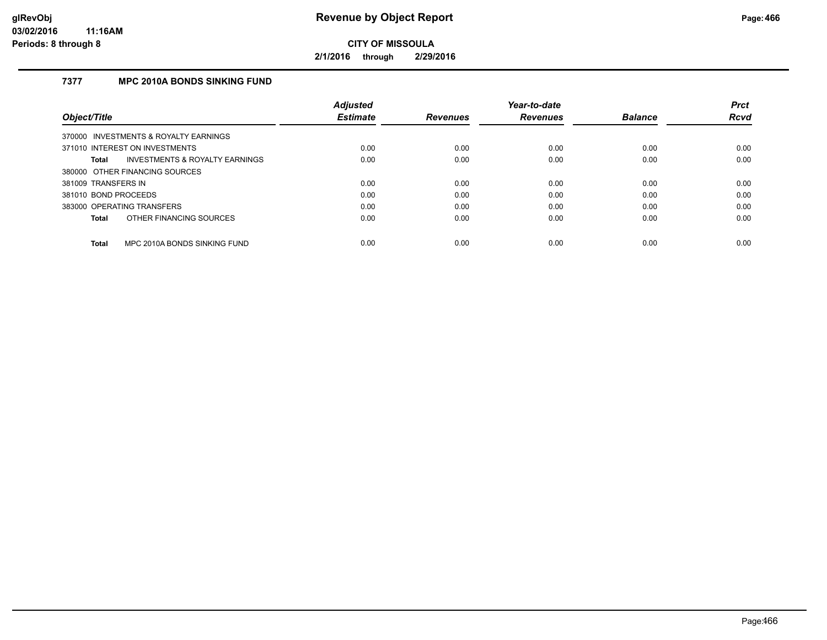**2/1/2016 through 2/29/2016**

### **7377 MPC 2010A BONDS SINKING FUND**

|                                                | <b>Adjusted</b> |                 | Year-to-date    |                | <b>Prct</b> |
|------------------------------------------------|-----------------|-----------------|-----------------|----------------|-------------|
| Object/Title                                   | <b>Estimate</b> | <b>Revenues</b> | <b>Revenues</b> | <b>Balance</b> | <b>Rcvd</b> |
| 370000 INVESTMENTS & ROYALTY EARNINGS          |                 |                 |                 |                |             |
| 371010 INTEREST ON INVESTMENTS                 | 0.00            | 0.00            | 0.00            | 0.00           | 0.00        |
| INVESTMENTS & ROYALTY EARNINGS<br><b>Total</b> | 0.00            | 0.00            | 0.00            | 0.00           | 0.00        |
| 380000 OTHER FINANCING SOURCES                 |                 |                 |                 |                |             |
| 381009 TRANSFERS IN                            | 0.00            | 0.00            | 0.00            | 0.00           | 0.00        |
| 381010 BOND PROCEEDS                           | 0.00            | 0.00            | 0.00            | 0.00           | 0.00        |
| 383000 OPERATING TRANSFERS                     | 0.00            | 0.00            | 0.00            | 0.00           | 0.00        |
| OTHER FINANCING SOURCES<br><b>Total</b>        | 0.00            | 0.00            | 0.00            | 0.00           | 0.00        |
| MPC 2010A BONDS SINKING FUND<br><b>Total</b>   | 0.00            | 0.00            | 0.00            | 0.00           | 0.00        |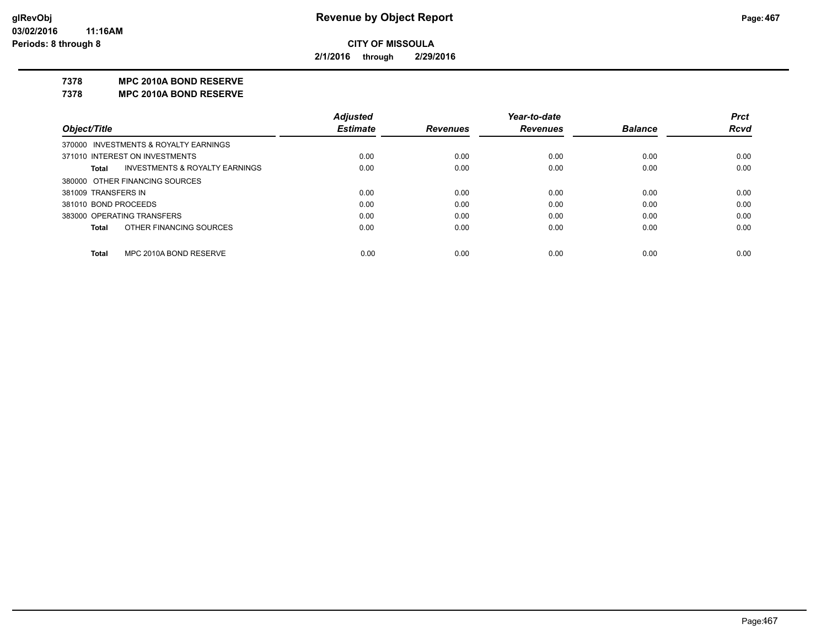**2/1/2016 through 2/29/2016**

#### **7378 MPC 2010A BOND RESERVE**

**7378 MPC 2010A BOND RESERVE**

|                      |                                           | <b>Adjusted</b> |                 | Year-to-date    |                | <b>Prct</b> |
|----------------------|-------------------------------------------|-----------------|-----------------|-----------------|----------------|-------------|
| Object/Title         |                                           | <b>Estimate</b> | <b>Revenues</b> | <b>Revenues</b> | <b>Balance</b> | <b>Rcvd</b> |
|                      | 370000 INVESTMENTS & ROYALTY EARNINGS     |                 |                 |                 |                |             |
|                      | 371010 INTEREST ON INVESTMENTS            | 0.00            | 0.00            | 0.00            | 0.00           | 0.00        |
| Total                | <b>INVESTMENTS &amp; ROYALTY EARNINGS</b> | 0.00            | 0.00            | 0.00            | 0.00           | 0.00        |
|                      | 380000 OTHER FINANCING SOURCES            |                 |                 |                 |                |             |
| 381009 TRANSFERS IN  |                                           | 0.00            | 0.00            | 0.00            | 0.00           | 0.00        |
| 381010 BOND PROCEEDS |                                           | 0.00            | 0.00            | 0.00            | 0.00           | 0.00        |
|                      | 383000 OPERATING TRANSFERS                | 0.00            | 0.00            | 0.00            | 0.00           | 0.00        |
| <b>Total</b>         | OTHER FINANCING SOURCES                   | 0.00            | 0.00            | 0.00            | 0.00           | 0.00        |
|                      |                                           |                 |                 |                 |                |             |
| <b>Total</b>         | MPC 2010A BOND RESERVE                    | 0.00            | 0.00            | 0.00            | 0.00           | 0.00        |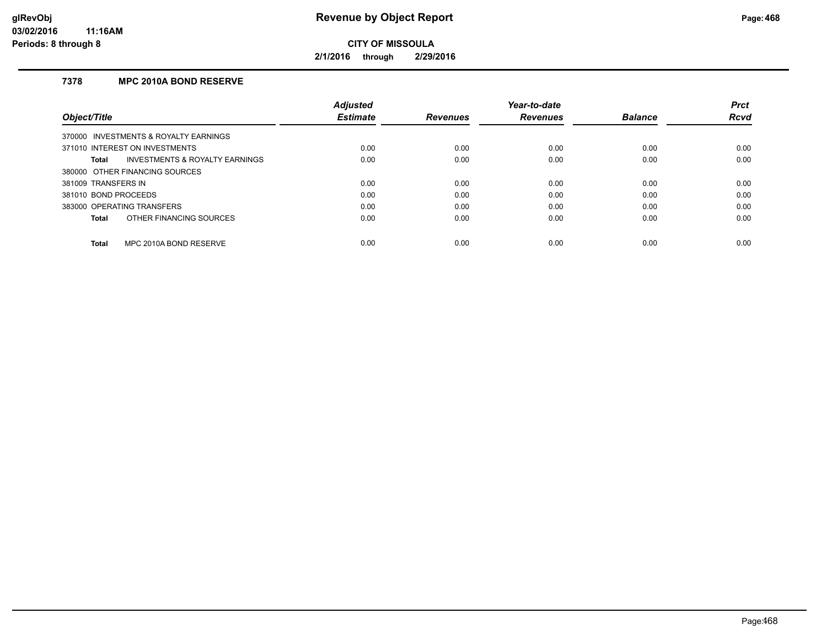**2/1/2016 through 2/29/2016**

### **7378 MPC 2010A BOND RESERVE**

|                                         | <b>Adjusted</b> |                 | Year-to-date    |                | <b>Prct</b> |
|-----------------------------------------|-----------------|-----------------|-----------------|----------------|-------------|
| Object/Title                            | <b>Estimate</b> | <b>Revenues</b> | <b>Revenues</b> | <b>Balance</b> | <b>Rcvd</b> |
| 370000 INVESTMENTS & ROYALTY EARNINGS   |                 |                 |                 |                |             |
| 371010 INTEREST ON INVESTMENTS          | 0.00            | 0.00            | 0.00            | 0.00           | 0.00        |
| INVESTMENTS & ROYALTY EARNINGS<br>Total | 0.00            | 0.00            | 0.00            | 0.00           | 0.00        |
| 380000 OTHER FINANCING SOURCES          |                 |                 |                 |                |             |
| 381009 TRANSFERS IN                     | 0.00            | 0.00            | 0.00            | 0.00           | 0.00        |
| 381010 BOND PROCEEDS                    | 0.00            | 0.00            | 0.00            | 0.00           | 0.00        |
| 383000 OPERATING TRANSFERS              | 0.00            | 0.00            | 0.00            | 0.00           | 0.00        |
| OTHER FINANCING SOURCES<br>Total        | 0.00            | 0.00            | 0.00            | 0.00           | 0.00        |
| MPC 2010A BOND RESERVE<br><b>Total</b>  | 0.00            | 0.00            | 0.00            | 0.00           | 0.00        |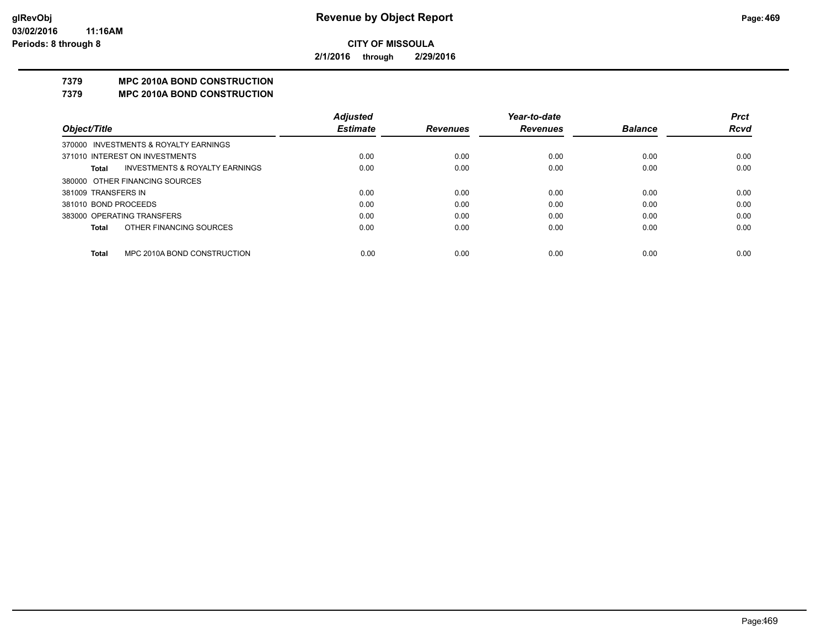**2/1/2016 through 2/29/2016**

# **7379 MPC 2010A BOND CONSTRUCTION**

#### **7379 MPC 2010A BOND CONSTRUCTION**

|                      |                                       | <b>Adjusted</b> |                 | Year-to-date    |                | <b>Prct</b> |
|----------------------|---------------------------------------|-----------------|-----------------|-----------------|----------------|-------------|
| Object/Title         |                                       | <b>Estimate</b> | <b>Revenues</b> | <b>Revenues</b> | <b>Balance</b> | <b>Rcvd</b> |
|                      | 370000 INVESTMENTS & ROYALTY EARNINGS |                 |                 |                 |                |             |
|                      | 371010 INTEREST ON INVESTMENTS        | 0.00            | 0.00            | 0.00            | 0.00           | 0.00        |
| Total                | INVESTMENTS & ROYALTY EARNINGS        | 0.00            | 0.00            | 0.00            | 0.00           | 0.00        |
|                      | 380000 OTHER FINANCING SOURCES        |                 |                 |                 |                |             |
| 381009 TRANSFERS IN  |                                       | 0.00            | 0.00            | 0.00            | 0.00           | 0.00        |
| 381010 BOND PROCEEDS |                                       | 0.00            | 0.00            | 0.00            | 0.00           | 0.00        |
|                      | 383000 OPERATING TRANSFERS            | 0.00            | 0.00            | 0.00            | 0.00           | 0.00        |
| <b>Total</b>         | OTHER FINANCING SOURCES               | 0.00            | 0.00            | 0.00            | 0.00           | 0.00        |
|                      |                                       |                 |                 |                 |                |             |
| <b>Total</b>         | MPC 2010A BOND CONSTRUCTION           | 0.00            | 0.00            | 0.00            | 0.00           | 0.00        |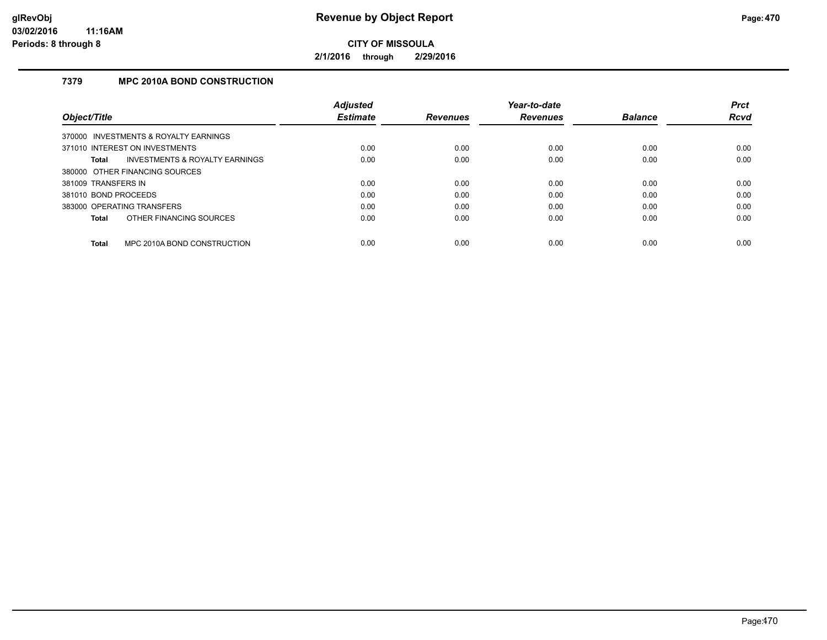**2/1/2016 through 2/29/2016**

# **7379 MPC 2010A BOND CONSTRUCTION**

|                                                    | <b>Adjusted</b> |                 | Year-to-date    |                | <b>Prct</b> |
|----------------------------------------------------|-----------------|-----------------|-----------------|----------------|-------------|
| Object/Title                                       | <b>Estimate</b> | <b>Revenues</b> | <b>Revenues</b> | <b>Balance</b> | <b>Rcvd</b> |
| 370000 INVESTMENTS & ROYALTY EARNINGS              |                 |                 |                 |                |             |
| 371010 INTEREST ON INVESTMENTS                     | 0.00            | 0.00            | 0.00            | 0.00           | 0.00        |
| <b>INVESTMENTS &amp; ROYALTY EARNINGS</b><br>Total | 0.00            | 0.00            | 0.00            | 0.00           | 0.00        |
| 380000 OTHER FINANCING SOURCES                     |                 |                 |                 |                |             |
| 381009 TRANSFERS IN                                | 0.00            | 0.00            | 0.00            | 0.00           | 0.00        |
| 381010 BOND PROCEEDS                               | 0.00            | 0.00            | 0.00            | 0.00           | 0.00        |
| 383000 OPERATING TRANSFERS                         | 0.00            | 0.00            | 0.00            | 0.00           | 0.00        |
| OTHER FINANCING SOURCES<br><b>Total</b>            | 0.00            | 0.00            | 0.00            | 0.00           | 0.00        |
| MPC 2010A BOND CONSTRUCTION<br><b>Total</b>        | 0.00            | 0.00            | 0.00            | 0.00           | 0.00        |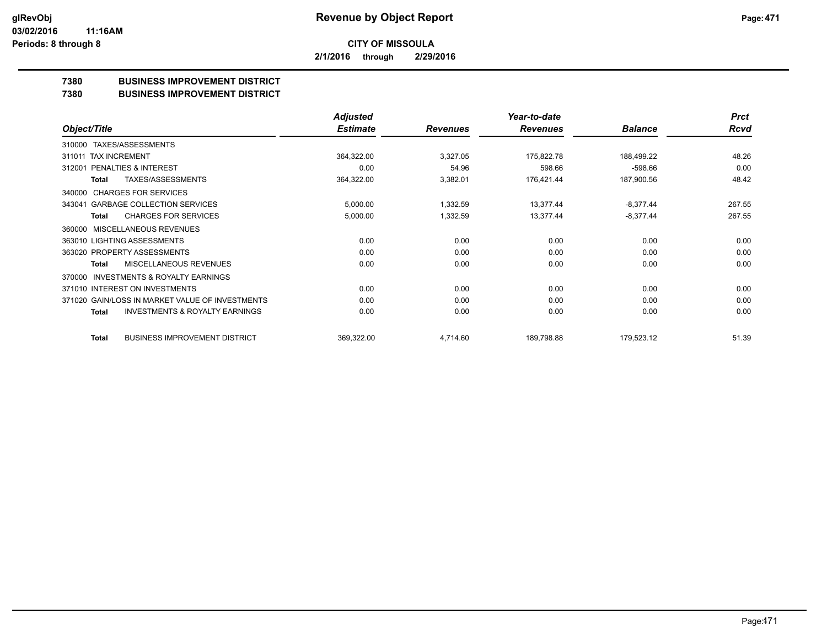**2/1/2016 through 2/29/2016**

# **7380 BUSINESS IMPROVEMENT DISTRICT**

#### **7380 BUSINESS IMPROVEMENT DISTRICT**

|                                                     | <b>Adjusted</b> |                 | Year-to-date    |                | <b>Prct</b> |
|-----------------------------------------------------|-----------------|-----------------|-----------------|----------------|-------------|
| Object/Title                                        | <b>Estimate</b> | <b>Revenues</b> | <b>Revenues</b> | <b>Balance</b> | Rcvd        |
| TAXES/ASSESSMENTS<br>310000                         |                 |                 |                 |                |             |
| 311011 TAX INCREMENT                                | 364,322.00      | 3,327.05        | 175,822.78      | 188,499.22     | 48.26       |
| <b>PENALTIES &amp; INTEREST</b><br>312001           | 0.00            | 54.96           | 598.66          | $-598.66$      | 0.00        |
| <b>TAXES/ASSESSMENTS</b><br><b>Total</b>            | 364,322.00      | 3,382.01        | 176,421.44      | 187,900.56     | 48.42       |
| <b>CHARGES FOR SERVICES</b><br>340000               |                 |                 |                 |                |             |
| <b>GARBAGE COLLECTION SERVICES</b><br>343041        | 5,000.00        | 1,332.59        | 13,377.44       | $-8,377.44$    | 267.55      |
| <b>CHARGES FOR SERVICES</b><br><b>Total</b>         | 5,000.00        | 1,332.59        | 13,377.44       | $-8,377.44$    | 267.55      |
| <b>MISCELLANEOUS REVENUES</b><br>360000             |                 |                 |                 |                |             |
| 363010 LIGHTING ASSESSMENTS                         | 0.00            | 0.00            | 0.00            | 0.00           | 0.00        |
| 363020 PROPERTY ASSESSMENTS                         | 0.00            | 0.00            | 0.00            | 0.00           | 0.00        |
| MISCELLANEOUS REVENUES<br>Total                     | 0.00            | 0.00            | 0.00            | 0.00           | 0.00        |
| <b>INVESTMENTS &amp; ROYALTY EARNINGS</b><br>370000 |                 |                 |                 |                |             |
| 371010 INTEREST ON INVESTMENTS                      | 0.00            | 0.00            | 0.00            | 0.00           | 0.00        |
| 371020 GAIN/LOSS IN MARKET VALUE OF INVESTMENTS     | 0.00            | 0.00            | 0.00            | 0.00           | 0.00        |
| <b>INVESTMENTS &amp; ROYALTY EARNINGS</b><br>Total  | 0.00            | 0.00            | 0.00            | 0.00           | 0.00        |
| <b>BUSINESS IMPROVEMENT DISTRICT</b><br>Total       | 369,322.00      | 4,714.60        | 189,798.88      | 179,523.12     | 51.39       |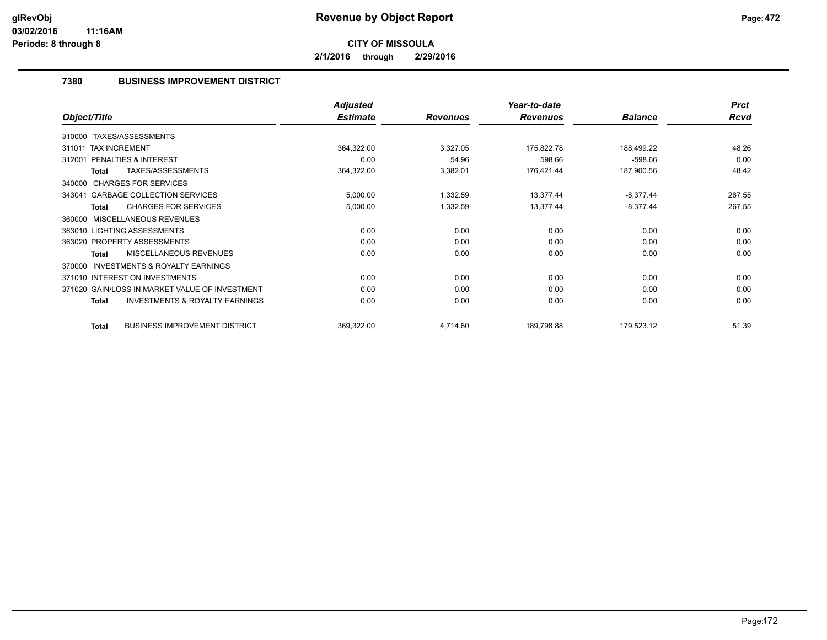**2/1/2016 through 2/29/2016**

# **7380 BUSINESS IMPROVEMENT DISTRICT**

|                                                           | <b>Adjusted</b> |                 | Year-to-date    |                | <b>Prct</b> |
|-----------------------------------------------------------|-----------------|-----------------|-----------------|----------------|-------------|
| Object/Title                                              | <b>Estimate</b> | <b>Revenues</b> | <b>Revenues</b> | <b>Balance</b> | <b>Rcvd</b> |
| 310000 TAXES/ASSESSMENTS                                  |                 |                 |                 |                |             |
| 311011 TAX INCREMENT                                      | 364,322.00      | 3,327.05        | 175,822.78      | 188,499.22     | 48.26       |
| <b>PENALTIES &amp; INTEREST</b><br>312001                 | 0.00            | 54.96           | 598.66          | $-598.66$      | 0.00        |
| TAXES/ASSESSMENTS<br>Total                                | 364,322.00      | 3,382.01        | 176,421.44      | 187,900.56     | 48.42       |
| 340000 CHARGES FOR SERVICES                               |                 |                 |                 |                |             |
| 343041 GARBAGE COLLECTION SERVICES                        | 5,000.00        | 1,332.59        | 13,377.44       | $-8,377.44$    | 267.55      |
| <b>CHARGES FOR SERVICES</b><br><b>Total</b>               | 5,000.00        | 1,332.59        | 13,377.44       | $-8,377.44$    | 267.55      |
| MISCELLANEOUS REVENUES<br>360000                          |                 |                 |                 |                |             |
| 363010 LIGHTING ASSESSMENTS                               | 0.00            | 0.00            | 0.00            | 0.00           | 0.00        |
| 363020 PROPERTY ASSESSMENTS                               | 0.00            | 0.00            | 0.00            | 0.00           | 0.00        |
| <b>MISCELLANEOUS REVENUES</b><br><b>Total</b>             | 0.00            | 0.00            | 0.00            | 0.00           | 0.00        |
| <b>INVESTMENTS &amp; ROYALTY EARNINGS</b><br>370000       |                 |                 |                 |                |             |
| 371010 INTEREST ON INVESTMENTS                            | 0.00            | 0.00            | 0.00            | 0.00           | 0.00        |
| 371020 GAIN/LOSS IN MARKET VALUE OF INVESTMENT            | 0.00            | 0.00            | 0.00            | 0.00           | 0.00        |
| <b>INVESTMENTS &amp; ROYALTY EARNINGS</b><br><b>Total</b> | 0.00            | 0.00            | 0.00            | 0.00           | 0.00        |
| <b>BUSINESS IMPROVEMENT DISTRICT</b><br><b>Total</b>      | 369,322.00      | 4,714.60        | 189,798.88      | 179,523.12     | 51.39       |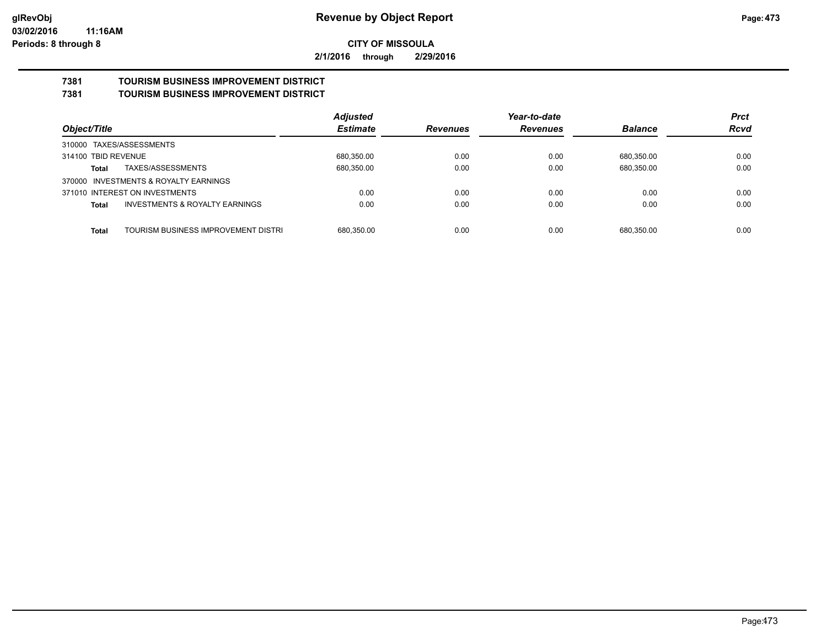**2/1/2016 through 2/29/2016**

#### **7381 TOURISM BUSINESS IMPROVEMENT DISTRICT 7381 TOURISM BUSINESS IMPROVEMENT DISTRICT**

|                                                    | <b>Adjusted</b> |                 | Year-to-date    |                | <b>Prct</b> |
|----------------------------------------------------|-----------------|-----------------|-----------------|----------------|-------------|
| Object/Title                                       | <b>Estimate</b> | <b>Revenues</b> | <b>Revenues</b> | <b>Balance</b> | <b>Rcvd</b> |
| 310000 TAXES/ASSESSMENTS                           |                 |                 |                 |                |             |
| 314100 TBID REVENUE                                | 680,350.00      | 0.00            | 0.00            | 680,350.00     | 0.00        |
| TAXES/ASSESSMENTS<br>Total                         | 680,350.00      | 0.00            | 0.00            | 680,350.00     | 0.00        |
| 370000 INVESTMENTS & ROYALTY EARNINGS              |                 |                 |                 |                |             |
| 371010 INTEREST ON INVESTMENTS                     | 0.00            | 0.00            | 0.00            | 0.00           | 0.00        |
| <b>INVESTMENTS &amp; ROYALTY EARNINGS</b><br>Total | 0.00            | 0.00            | 0.00            | 0.00           | 0.00        |
|                                                    |                 |                 |                 |                |             |
| TOURISM BUSINESS IMPROVEMENT DISTRI<br>Total       | 680.350.00      | 0.00            | 0.00            | 680.350.00     | 0.00        |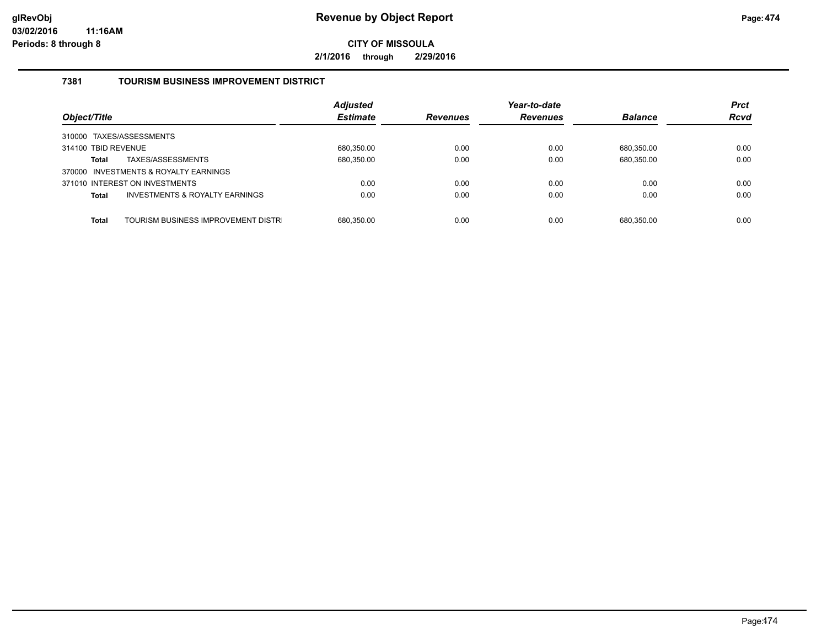**2/1/2016 through 2/29/2016**

# **7381 TOURISM BUSINESS IMPROVEMENT DISTRICT**

| Object/Title                                              | <b>Adjusted</b><br><b>Estimate</b> | <b>Revenues</b> | Year-to-date<br><b>Revenues</b> | <b>Balance</b> | <b>Prct</b><br><b>Rcvd</b> |
|-----------------------------------------------------------|------------------------------------|-----------------|---------------------------------|----------------|----------------------------|
| 310000 TAXES/ASSESSMENTS                                  |                                    |                 |                                 |                |                            |
| 314100 TBID REVENUE                                       | 680,350.00                         | 0.00            | 0.00                            | 680.350.00     | 0.00                       |
| TAXES/ASSESSMENTS<br><b>Total</b>                         | 680,350.00                         | 0.00            | 0.00                            | 680,350.00     | 0.00                       |
| 370000 INVESTMENTS & ROYALTY EARNINGS                     |                                    |                 |                                 |                |                            |
| 371010 INTEREST ON INVESTMENTS                            | 0.00                               | 0.00            | 0.00                            | 0.00           | 0.00                       |
| <b>INVESTMENTS &amp; ROYALTY EARNINGS</b><br><b>Total</b> | 0.00                               | 0.00            | 0.00                            | 0.00           | 0.00                       |
|                                                           |                                    |                 |                                 |                |                            |
| TOURISM BUSINESS IMPROVEMENT DISTR<br><b>Total</b>        | 680.350.00                         | 0.00            | 0.00                            | 680.350.00     | 0.00                       |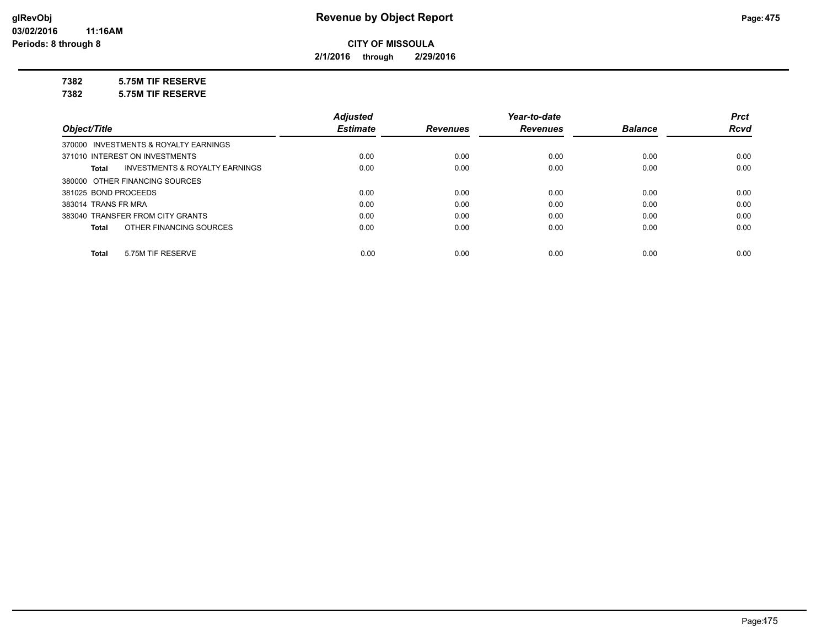**2/1/2016 through 2/29/2016**

## **7382 5.75M TIF RESERVE**

**7382 5.75M TIF RESERVE**

|                                                    | <b>Adjusted</b> |                 | Year-to-date    |                | <b>Prct</b> |
|----------------------------------------------------|-----------------|-----------------|-----------------|----------------|-------------|
| Object/Title                                       | <b>Estimate</b> | <b>Revenues</b> | <b>Revenues</b> | <b>Balance</b> | <b>Rcvd</b> |
| 370000 INVESTMENTS & ROYALTY EARNINGS              |                 |                 |                 |                |             |
| 371010 INTEREST ON INVESTMENTS                     | 0.00            | 0.00            | 0.00            | 0.00           | 0.00        |
| <b>INVESTMENTS &amp; ROYALTY EARNINGS</b><br>Total | 0.00            | 0.00            | 0.00            | 0.00           | 0.00        |
| 380000 OTHER FINANCING SOURCES                     |                 |                 |                 |                |             |
| 381025 BOND PROCEEDS                               | 0.00            | 0.00            | 0.00            | 0.00           | 0.00        |
| 383014 TRANS FR MRA                                | 0.00            | 0.00            | 0.00            | 0.00           | 0.00        |
| 383040 TRANSFER FROM CITY GRANTS                   | 0.00            | 0.00            | 0.00            | 0.00           | 0.00        |
| OTHER FINANCING SOURCES<br>Total                   | 0.00            | 0.00            | 0.00            | 0.00           | 0.00        |
|                                                    |                 |                 |                 |                |             |
| 5.75M TIF RESERVE<br>Total                         | 0.00            | 0.00            | 0.00            | 0.00           | 0.00        |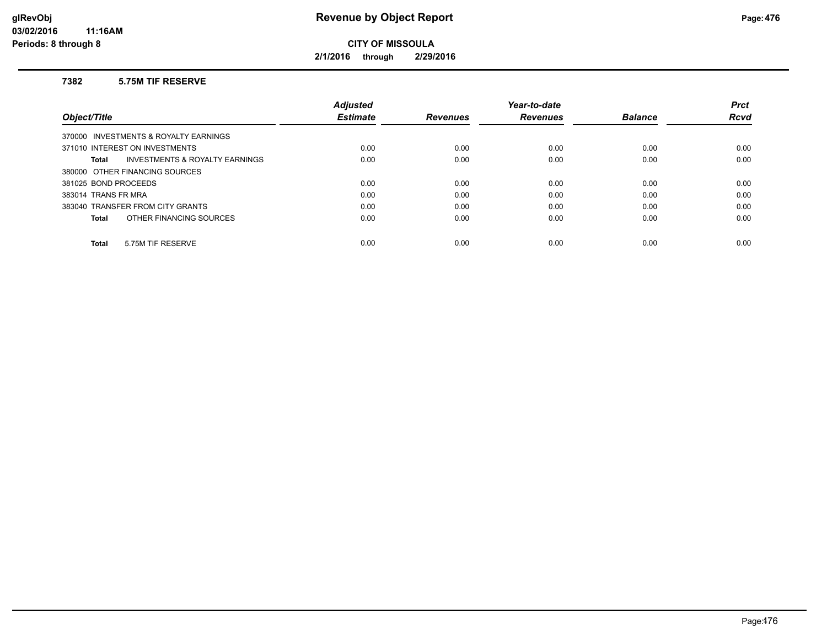**2/1/2016 through 2/29/2016**

### **7382 5.75M TIF RESERVE**

|                                                           | <b>Adiusted</b> |                 | Year-to-date    |                | <b>Prct</b> |
|-----------------------------------------------------------|-----------------|-----------------|-----------------|----------------|-------------|
| Object/Title                                              | <b>Estimate</b> | <b>Revenues</b> | <b>Revenues</b> | <b>Balance</b> | <b>Rcvd</b> |
| 370000 INVESTMENTS & ROYALTY EARNINGS                     |                 |                 |                 |                |             |
| 371010 INTEREST ON INVESTMENTS                            | 0.00            | 0.00            | 0.00            | 0.00           | 0.00        |
| <b>INVESTMENTS &amp; ROYALTY EARNINGS</b><br><b>Total</b> | 0.00            | 0.00            | 0.00            | 0.00           | 0.00        |
| 380000 OTHER FINANCING SOURCES                            |                 |                 |                 |                |             |
| 381025 BOND PROCEEDS                                      | 0.00            | 0.00            | 0.00            | 0.00           | 0.00        |
| 383014 TRANS FR MRA                                       | 0.00            | 0.00            | 0.00            | 0.00           | 0.00        |
| 383040 TRANSFER FROM CITY GRANTS                          | 0.00            | 0.00            | 0.00            | 0.00           | 0.00        |
| OTHER FINANCING SOURCES<br><b>Total</b>                   | 0.00            | 0.00            | 0.00            | 0.00           | 0.00        |
| 5.75M TIF RESERVE<br><b>Total</b>                         | 0.00            | 0.00            | 0.00            | 0.00           | 0.00        |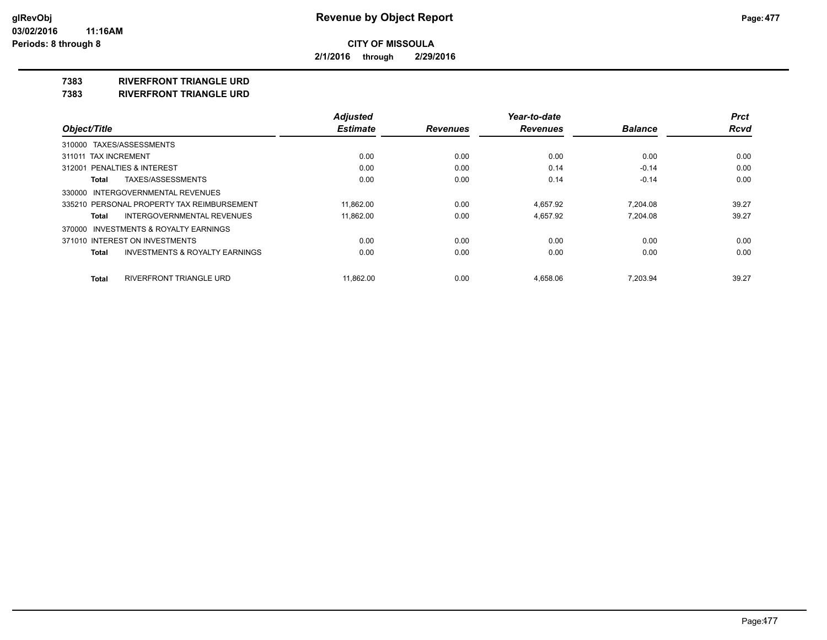**2/1/2016 through 2/29/2016**

## **7383 RIVERFRONT TRIANGLE URD**

**7383 RIVERFRONT TRIANGLE URD**

|                                                    | <b>Adjusted</b> |                 | Year-to-date    |                | <b>Prct</b> |
|----------------------------------------------------|-----------------|-----------------|-----------------|----------------|-------------|
| Object/Title                                       | <b>Estimate</b> | <b>Revenues</b> | <b>Revenues</b> | <b>Balance</b> | <b>Rcvd</b> |
| 310000 TAXES/ASSESSMENTS                           |                 |                 |                 |                |             |
| 311011 TAX INCREMENT                               | 0.00            | 0.00            | 0.00            | 0.00           | 0.00        |
| 312001 PENALTIES & INTEREST                        | 0.00            | 0.00            | 0.14            | $-0.14$        | 0.00        |
| TAXES/ASSESSMENTS<br>Total                         | 0.00            | 0.00            | 0.14            | $-0.14$        | 0.00        |
| 330000 INTERGOVERNMENTAL REVENUES                  |                 |                 |                 |                |             |
| 335210 PERSONAL PROPERTY TAX REIMBURSEMENT         | 11,862.00       | 0.00            | 4,657.92        | 7,204.08       | 39.27       |
| <b>INTERGOVERNMENTAL REVENUES</b><br>Total         | 11.862.00       | 0.00            | 4.657.92        | 7.204.08       | 39.27       |
| 370000 INVESTMENTS & ROYALTY EARNINGS              |                 |                 |                 |                |             |
| 371010 INTEREST ON INVESTMENTS                     | 0.00            | 0.00            | 0.00            | 0.00           | 0.00        |
| <b>INVESTMENTS &amp; ROYALTY EARNINGS</b><br>Total | 0.00            | 0.00            | 0.00            | 0.00           | 0.00        |
| RIVERFRONT TRIANGLE URD<br><b>Total</b>            | 11.862.00       | 0.00            | 4.658.06        | 7,203.94       | 39.27       |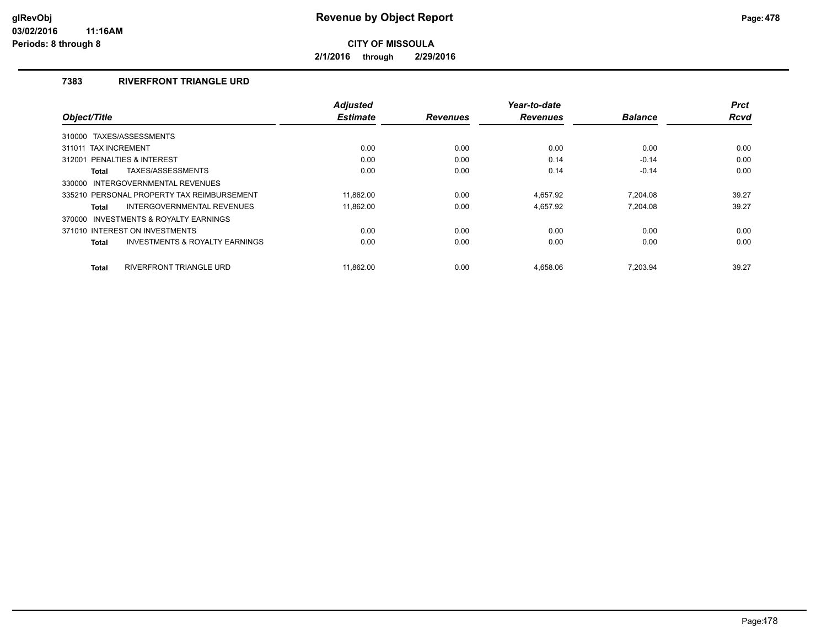**2/1/2016 through 2/29/2016**

# **7383 RIVERFRONT TRIANGLE URD**

|                                                           | <b>Adjusted</b> |                 | Year-to-date    |                | <b>Prct</b> |
|-----------------------------------------------------------|-----------------|-----------------|-----------------|----------------|-------------|
| Object/Title                                              | <b>Estimate</b> | <b>Revenues</b> | <b>Revenues</b> | <b>Balance</b> | <b>Rcvd</b> |
| 310000 TAXES/ASSESSMENTS                                  |                 |                 |                 |                |             |
| 311011 TAX INCREMENT                                      | 0.00            | 0.00            | 0.00            | 0.00           | 0.00        |
| PENALTIES & INTEREST<br>312001                            | 0.00            | 0.00            | 0.14            | $-0.14$        | 0.00        |
| TAXES/ASSESSMENTS<br><b>Total</b>                         | 0.00            | 0.00            | 0.14            | $-0.14$        | 0.00        |
| INTERGOVERNMENTAL REVENUES<br>330000                      |                 |                 |                 |                |             |
| 335210 PERSONAL PROPERTY TAX REIMBURSEMENT                | 11.862.00       | 0.00            | 4,657.92        | 7.204.08       | 39.27       |
| INTERGOVERNMENTAL REVENUES<br><b>Total</b>                | 11.862.00       | 0.00            | 4.657.92        | 7.204.08       | 39.27       |
| 370000 INVESTMENTS & ROYALTY EARNINGS                     |                 |                 |                 |                |             |
| 371010 INTEREST ON INVESTMENTS                            | 0.00            | 0.00            | 0.00            | 0.00           | 0.00        |
| <b>INVESTMENTS &amp; ROYALTY EARNINGS</b><br><b>Total</b> | 0.00            | 0.00            | 0.00            | 0.00           | 0.00        |
| <b>RIVERFRONT TRIANGLE URD</b><br><b>Total</b>            | 11.862.00       | 0.00            | 4.658.06        | 7.203.94       | 39.27       |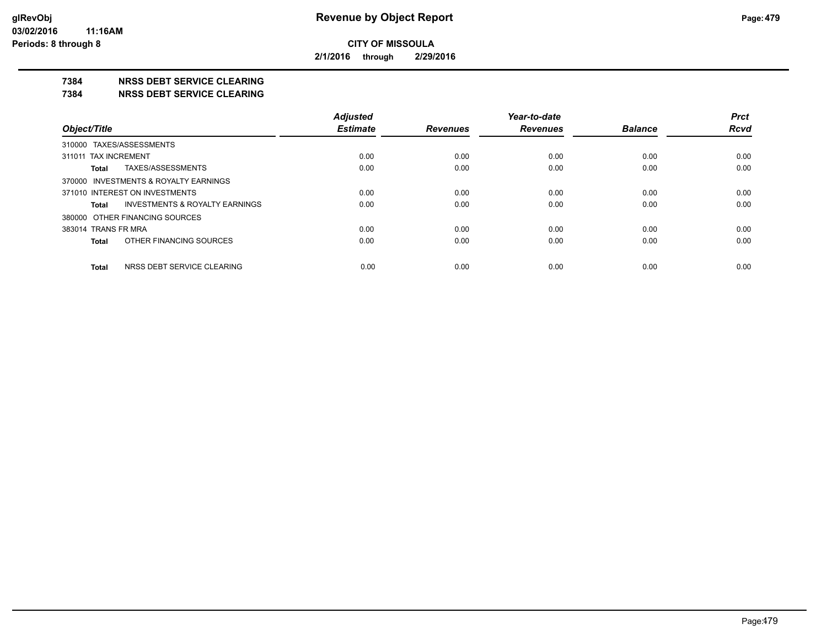**2/1/2016 through 2/29/2016**

## **7384 NRSS DEBT SERVICE CLEARING**

**7384 NRSS DEBT SERVICE CLEARING**

|                                         | <b>Adjusted</b> |                 | Year-to-date    |                | <b>Prct</b> |
|-----------------------------------------|-----------------|-----------------|-----------------|----------------|-------------|
| Object/Title                            | <b>Estimate</b> | <b>Revenues</b> | <b>Revenues</b> | <b>Balance</b> | <b>Rcvd</b> |
| 310000 TAXES/ASSESSMENTS                |                 |                 |                 |                |             |
| 311011 TAX INCREMENT                    | 0.00            | 0.00            | 0.00            | 0.00           | 0.00        |
| TAXES/ASSESSMENTS<br>Total              | 0.00            | 0.00            | 0.00            | 0.00           | 0.00        |
| 370000 INVESTMENTS & ROYALTY EARNINGS   |                 |                 |                 |                |             |
| 371010 INTEREST ON INVESTMENTS          | 0.00            | 0.00            | 0.00            | 0.00           | 0.00        |
| INVESTMENTS & ROYALTY EARNINGS<br>Total | 0.00            | 0.00            | 0.00            | 0.00           | 0.00        |
| 380000 OTHER FINANCING SOURCES          |                 |                 |                 |                |             |
| 383014 TRANS FR MRA                     | 0.00            | 0.00            | 0.00            | 0.00           | 0.00        |
| OTHER FINANCING SOURCES<br>Total        | 0.00            | 0.00            | 0.00            | 0.00           | 0.00        |
| NRSS DEBT SERVICE CLEARING<br>Total     | 0.00            | 0.00            | 0.00            | 0.00           | 0.00        |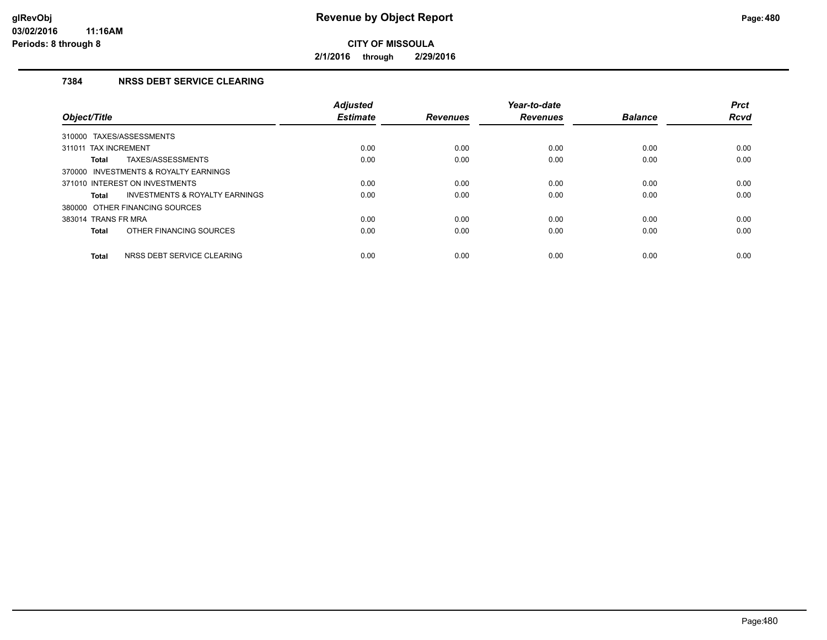**2/1/2016 through 2/29/2016**

# **7384 NRSS DEBT SERVICE CLEARING**

| Object/Title                                       | <b>Adjusted</b><br><b>Estimate</b> | <b>Revenues</b> | Year-to-date<br><b>Revenues</b> | <b>Balance</b> | <b>Prct</b><br><b>Rcvd</b> |
|----------------------------------------------------|------------------------------------|-----------------|---------------------------------|----------------|----------------------------|
| TAXES/ASSESSMENTS<br>310000                        |                                    |                 |                                 |                |                            |
| 311011 TAX INCREMENT                               | 0.00                               | 0.00            | 0.00                            | 0.00           | 0.00                       |
| TAXES/ASSESSMENTS<br>Total                         | 0.00                               | 0.00            | 0.00                            | 0.00           | 0.00                       |
| 370000 INVESTMENTS & ROYALTY EARNINGS              |                                    |                 |                                 |                |                            |
| 371010 INTEREST ON INVESTMENTS                     | 0.00                               | 0.00            | 0.00                            | 0.00           | 0.00                       |
| <b>INVESTMENTS &amp; ROYALTY EARNINGS</b><br>Total | 0.00                               | 0.00            | 0.00                            | 0.00           | 0.00                       |
| 380000 OTHER FINANCING SOURCES                     |                                    |                 |                                 |                |                            |
| 383014 TRANS FR MRA                                | 0.00                               | 0.00            | 0.00                            | 0.00           | 0.00                       |
| OTHER FINANCING SOURCES<br><b>Total</b>            | 0.00                               | 0.00            | 0.00                            | 0.00           | 0.00                       |
| NRSS DEBT SERVICE CLEARING<br><b>Total</b>         | 0.00                               | 0.00            | 0.00                            | 0.00           | 0.00                       |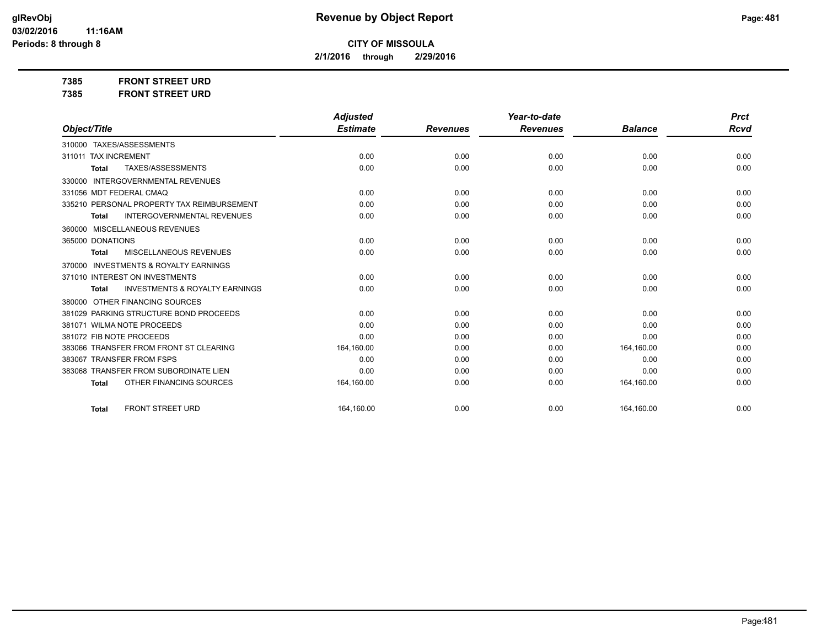**2/1/2016 through 2/29/2016**

**7385 FRONT STREET URD**

| 7385 | <b>FRONT STREET URD</b> |  |
|------|-------------------------|--|
|------|-------------------------|--|

|                                                     | <b>Adjusted</b> |                 | Year-to-date    |                | <b>Prct</b> |
|-----------------------------------------------------|-----------------|-----------------|-----------------|----------------|-------------|
| Object/Title                                        | <b>Estimate</b> | <b>Revenues</b> | <b>Revenues</b> | <b>Balance</b> | <b>Rcvd</b> |
| 310000 TAXES/ASSESSMENTS                            |                 |                 |                 |                |             |
| 311011 TAX INCREMENT                                | 0.00            | 0.00            | 0.00            | 0.00           | 0.00        |
| TAXES/ASSESSMENTS<br><b>Total</b>                   | 0.00            | 0.00            | 0.00            | 0.00           | 0.00        |
| <b>INTERGOVERNMENTAL REVENUES</b><br>330000         |                 |                 |                 |                |             |
| 331056 MDT FEDERAL CMAQ                             | 0.00            | 0.00            | 0.00            | 0.00           | 0.00        |
| 335210 PERSONAL PROPERTY TAX REIMBURSEMENT          | 0.00            | 0.00            | 0.00            | 0.00           | 0.00        |
| <b>INTERGOVERNMENTAL REVENUES</b><br><b>Total</b>   | 0.00            | 0.00            | 0.00            | 0.00           | 0.00        |
| 360000 MISCELLANEOUS REVENUES                       |                 |                 |                 |                |             |
| 365000 DONATIONS                                    | 0.00            | 0.00            | 0.00            | 0.00           | 0.00        |
| MISCELLANEOUS REVENUES<br>Total                     | 0.00            | 0.00            | 0.00            | 0.00           | 0.00        |
| <b>INVESTMENTS &amp; ROYALTY EARNINGS</b><br>370000 |                 |                 |                 |                |             |
| 371010 INTEREST ON INVESTMENTS                      | 0.00            | 0.00            | 0.00            | 0.00           | 0.00        |
| <b>INVESTMENTS &amp; ROYALTY EARNINGS</b><br>Total  | 0.00            | 0.00            | 0.00            | 0.00           | 0.00        |
| OTHER FINANCING SOURCES<br>380000                   |                 |                 |                 |                |             |
| 381029 PARKING STRUCTURE BOND PROCEEDS              | 0.00            | 0.00            | 0.00            | 0.00           | 0.00        |
| 381071 WILMA NOTE PROCEEDS                          | 0.00            | 0.00            | 0.00            | 0.00           | 0.00        |
| 381072 FIB NOTE PROCEEDS                            | 0.00            | 0.00            | 0.00            | 0.00           | 0.00        |
| 383066 TRANSFER FROM FRONT ST CLEARING              | 164,160.00      | 0.00            | 0.00            | 164,160.00     | 0.00        |
| 383067 TRANSFER FROM FSPS                           | 0.00            | 0.00            | 0.00            | 0.00           | 0.00        |
| 383068 TRANSFER FROM SUBORDINATE LIEN               | 0.00            | 0.00            | 0.00            | 0.00           | 0.00        |
| OTHER FINANCING SOURCES<br><b>Total</b>             | 164,160.00      | 0.00            | 0.00            | 164,160.00     | 0.00        |
| <b>FRONT STREET URD</b><br><b>Total</b>             | 164,160.00      | 0.00            | 0.00            | 164,160.00     | 0.00        |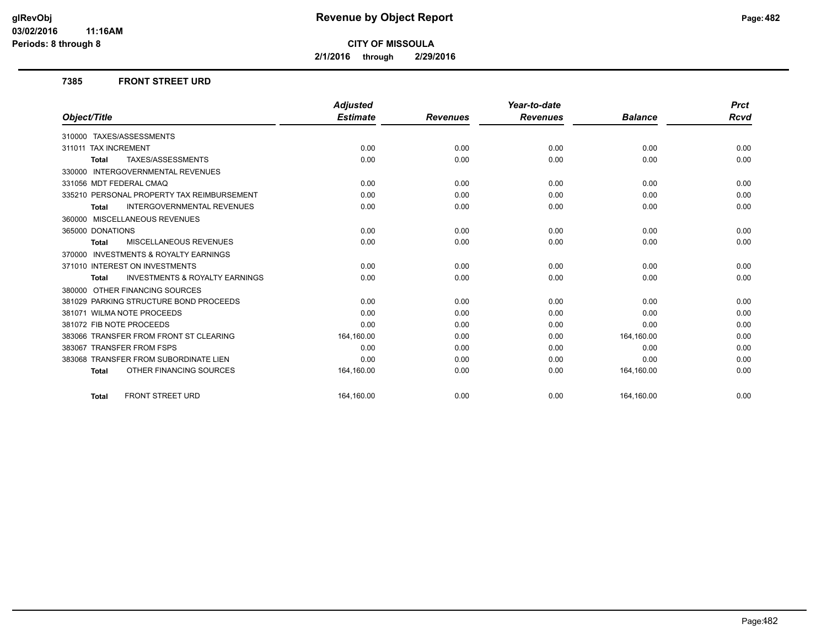**2/1/2016 through 2/29/2016**

### **7385 FRONT STREET URD**

|                                                           | <b>Adjusted</b> |                 | Year-to-date    |                | <b>Prct</b> |
|-----------------------------------------------------------|-----------------|-----------------|-----------------|----------------|-------------|
| Object/Title                                              | <b>Estimate</b> | <b>Revenues</b> | <b>Revenues</b> | <b>Balance</b> | Rcvd        |
| 310000 TAXES/ASSESSMENTS                                  |                 |                 |                 |                |             |
| 311011 TAX INCREMENT                                      | 0.00            | 0.00            | 0.00            | 0.00           | 0.00        |
| TAXES/ASSESSMENTS<br><b>Total</b>                         | 0.00            | 0.00            | 0.00            | 0.00           | 0.00        |
| <b>INTERGOVERNMENTAL REVENUES</b><br>330000               |                 |                 |                 |                |             |
| 331056 MDT FEDERAL CMAQ                                   | 0.00            | 0.00            | 0.00            | 0.00           | 0.00        |
| 335210 PERSONAL PROPERTY TAX REIMBURSEMENT                | 0.00            | 0.00            | 0.00            | 0.00           | 0.00        |
| <b>INTERGOVERNMENTAL REVENUES</b><br><b>Total</b>         | 0.00            | 0.00            | 0.00            | 0.00           | 0.00        |
| 360000 MISCELLANEOUS REVENUES                             |                 |                 |                 |                |             |
| 365000 DONATIONS                                          | 0.00            | 0.00            | 0.00            | 0.00           | 0.00        |
| MISCELLANEOUS REVENUES<br><b>Total</b>                    | 0.00            | 0.00            | 0.00            | 0.00           | 0.00        |
| 370000 INVESTMENTS & ROYALTY EARNINGS                     |                 |                 |                 |                |             |
| 371010 INTEREST ON INVESTMENTS                            | 0.00            | 0.00            | 0.00            | 0.00           | 0.00        |
| <b>INVESTMENTS &amp; ROYALTY EARNINGS</b><br><b>Total</b> | 0.00            | 0.00            | 0.00            | 0.00           | 0.00        |
| 380000 OTHER FINANCING SOURCES                            |                 |                 |                 |                |             |
| 381029 PARKING STRUCTURE BOND PROCEEDS                    | 0.00            | 0.00            | 0.00            | 0.00           | 0.00        |
| 381071 WILMA NOTE PROCEEDS                                | 0.00            | 0.00            | 0.00            | 0.00           | 0.00        |
| 381072 FIB NOTE PROCEEDS                                  | 0.00            | 0.00            | 0.00            | 0.00           | 0.00        |
| 383066 TRANSFER FROM FRONT ST CLEARING                    | 164,160.00      | 0.00            | 0.00            | 164,160.00     | 0.00        |
| 383067 TRANSFER FROM FSPS                                 | 0.00            | 0.00            | 0.00            | 0.00           | 0.00        |
| 383068 TRANSFER FROM SUBORDINATE LIEN                     | 0.00            | 0.00            | 0.00            | 0.00           | 0.00        |
| OTHER FINANCING SOURCES<br><b>Total</b>                   | 164,160.00      | 0.00            | 0.00            | 164,160.00     | 0.00        |
| <b>FRONT STREET URD</b><br><b>Total</b>                   | 164.160.00      | 0.00            | 0.00            | 164,160.00     | 0.00        |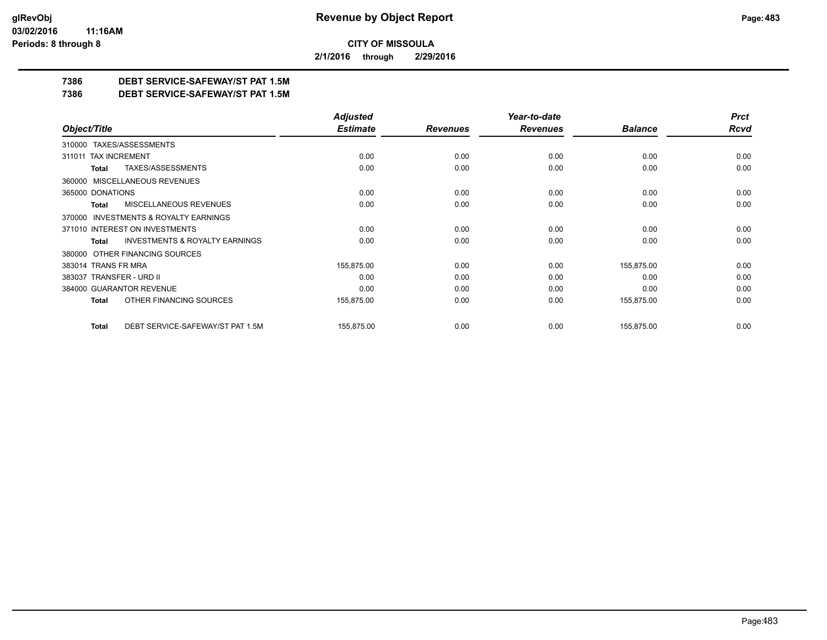**2/1/2016 through 2/29/2016**

# **7386 DEBT SERVICE-SAFEWAY/ST PAT 1.5M**

**7386 DEBT SERVICE-SAFEWAY/ST PAT 1.5M**

|                                                    | <b>Adjusted</b> |                 | Year-to-date    |                | <b>Prct</b> |
|----------------------------------------------------|-----------------|-----------------|-----------------|----------------|-------------|
| Object/Title                                       | <b>Estimate</b> | <b>Revenues</b> | <b>Revenues</b> | <b>Balance</b> | <b>Rcvd</b> |
| 310000 TAXES/ASSESSMENTS                           |                 |                 |                 |                |             |
| <b>TAX INCREMENT</b><br>311011                     | 0.00            | 0.00            | 0.00            | 0.00           | 0.00        |
| TAXES/ASSESSMENTS<br>Total                         | 0.00            | 0.00            | 0.00            | 0.00           | 0.00        |
| 360000 MISCELLANEOUS REVENUES                      |                 |                 |                 |                |             |
| 365000 DONATIONS                                   | 0.00            | 0.00            | 0.00            | 0.00           | 0.00        |
| <b>MISCELLANEOUS REVENUES</b><br>Total             | 0.00            | 0.00            | 0.00            | 0.00           | 0.00        |
| 370000 INVESTMENTS & ROYALTY EARNINGS              |                 |                 |                 |                |             |
| 371010 INTEREST ON INVESTMENTS                     | 0.00            | 0.00            | 0.00            | 0.00           | 0.00        |
| <b>INVESTMENTS &amp; ROYALTY EARNINGS</b><br>Total | 0.00            | 0.00            | 0.00            | 0.00           | 0.00        |
| OTHER FINANCING SOURCES<br>380000                  |                 |                 |                 |                |             |
| 383014 TRANS FR MRA                                | 155,875.00      | 0.00            | 0.00            | 155,875.00     | 0.00        |
| 383037 TRANSFER - URD II                           | 0.00            | 0.00            | 0.00            | 0.00           | 0.00        |
| 384000 GUARANTOR REVENUE                           | 0.00            | 0.00            | 0.00            | 0.00           | 0.00        |
| OTHER FINANCING SOURCES<br>Total                   | 155,875.00      | 0.00            | 0.00            | 155,875.00     | 0.00        |
| DEBT SERVICE-SAFEWAY/ST PAT 1.5M<br><b>Total</b>   | 155,875.00      | 0.00            | 0.00            | 155,875.00     | 0.00        |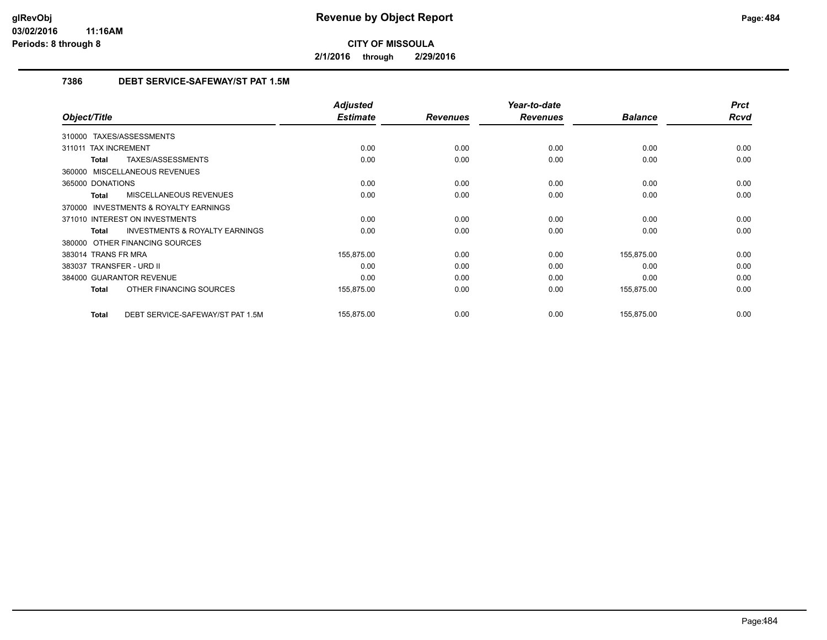**2/1/2016 through 2/29/2016**

# **7386 DEBT SERVICE-SAFEWAY/ST PAT 1.5M**

|                                                           | <b>Adjusted</b> |                 | Year-to-date    |                | <b>Prct</b> |
|-----------------------------------------------------------|-----------------|-----------------|-----------------|----------------|-------------|
| Object/Title                                              | <b>Estimate</b> | <b>Revenues</b> | <b>Revenues</b> | <b>Balance</b> | <b>Rcvd</b> |
| 310000 TAXES/ASSESSMENTS                                  |                 |                 |                 |                |             |
| 311011 TAX INCREMENT                                      | 0.00            | 0.00            | 0.00            | 0.00           | 0.00        |
| TAXES/ASSESSMENTS<br><b>Total</b>                         | 0.00            | 0.00            | 0.00            | 0.00           | 0.00        |
| 360000 MISCELLANEOUS REVENUES                             |                 |                 |                 |                |             |
| 365000 DONATIONS                                          | 0.00            | 0.00            | 0.00            | 0.00           | 0.00        |
| MISCELLANEOUS REVENUES<br><b>Total</b>                    | 0.00            | 0.00            | 0.00            | 0.00           | 0.00        |
| <b>INVESTMENTS &amp; ROYALTY EARNINGS</b><br>370000       |                 |                 |                 |                |             |
| 371010 INTEREST ON INVESTMENTS                            | 0.00            | 0.00            | 0.00            | 0.00           | 0.00        |
| <b>INVESTMENTS &amp; ROYALTY EARNINGS</b><br><b>Total</b> | 0.00            | 0.00            | 0.00            | 0.00           | 0.00        |
| 380000 OTHER FINANCING SOURCES                            |                 |                 |                 |                |             |
| 383014 TRANS FR MRA                                       | 155,875.00      | 0.00            | 0.00            | 155,875.00     | 0.00        |
| 383037 TRANSFER - URD II                                  | 0.00            | 0.00            | 0.00            | 0.00           | 0.00        |
| 384000 GUARANTOR REVENUE                                  | 0.00            | 0.00            | 0.00            | 0.00           | 0.00        |
| OTHER FINANCING SOURCES<br><b>Total</b>                   | 155,875.00      | 0.00            | 0.00            | 155,875.00     | 0.00        |
| DEBT SERVICE-SAFEWAY/ST PAT 1.5M<br><b>Total</b>          | 155,875.00      | 0.00            | 0.00            | 155,875.00     | 0.00        |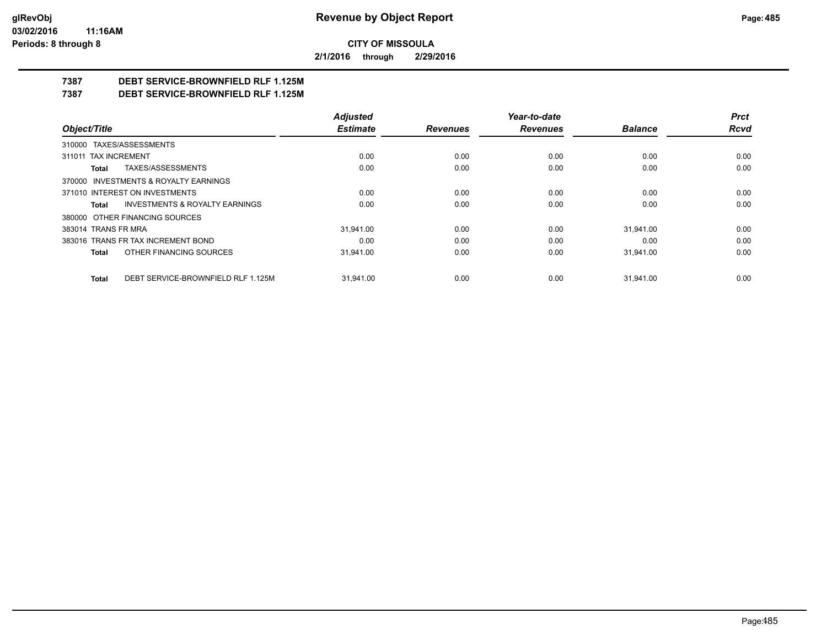**2/1/2016 through 2/29/2016**

# **7387 DEBT SERVICE-BROWNFIELD RLF 1.125M**

**7387 DEBT SERVICE-BROWNFIELD RLF 1.125M**

|                                                    | <b>Adjusted</b> |                 | Year-to-date    |                | <b>Prct</b> |
|----------------------------------------------------|-----------------|-----------------|-----------------|----------------|-------------|
| Object/Title                                       | <b>Estimate</b> | <b>Revenues</b> | <b>Revenues</b> | <b>Balance</b> | Rcvd        |
| 310000 TAXES/ASSESSMENTS                           |                 |                 |                 |                |             |
| 311011 TAX INCREMENT                               | 0.00            | 0.00            | 0.00            | 0.00           | 0.00        |
| TAXES/ASSESSMENTS<br>Total                         | 0.00            | 0.00            | 0.00            | 0.00           | 0.00        |
| 370000 INVESTMENTS & ROYALTY EARNINGS              |                 |                 |                 |                |             |
| 371010 INTEREST ON INVESTMENTS                     | 0.00            | 0.00            | 0.00            | 0.00           | 0.00        |
| <b>INVESTMENTS &amp; ROYALTY EARNINGS</b><br>Total | 0.00            | 0.00            | 0.00            | 0.00           | 0.00        |
| 380000 OTHER FINANCING SOURCES                     |                 |                 |                 |                |             |
| 383014 TRANS FR MRA                                | 31.941.00       | 0.00            | 0.00            | 31.941.00      | 0.00        |
| 383016 TRANS FR TAX INCREMENT BOND                 | 0.00            | 0.00            | 0.00            | 0.00           | 0.00        |
| OTHER FINANCING SOURCES<br>Total                   | 31.941.00       | 0.00            | 0.00            | 31,941.00      | 0.00        |
| DEBT SERVICE-BROWNFIELD RLF 1.125M<br>Total        | 31.941.00       | 0.00            | 0.00            | 31.941.00      | 0.00        |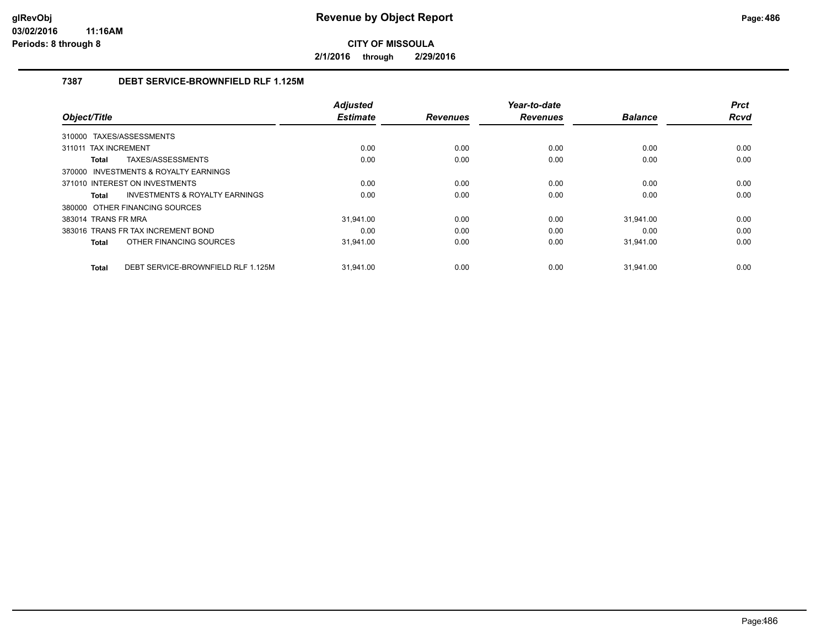**2/1/2016 through 2/29/2016**

# **7387 DEBT SERVICE-BROWNFIELD RLF 1.125M**

|                                                    | <b>Adjusted</b> |                 | Year-to-date    |                | <b>Prct</b> |
|----------------------------------------------------|-----------------|-----------------|-----------------|----------------|-------------|
| Object/Title                                       | <b>Estimate</b> | <b>Revenues</b> | <b>Revenues</b> | <b>Balance</b> | <b>Rcvd</b> |
| TAXES/ASSESSMENTS<br>310000                        |                 |                 |                 |                |             |
| 311011 TAX INCREMENT                               | 0.00            | 0.00            | 0.00            | 0.00           | 0.00        |
| TAXES/ASSESSMENTS<br>Total                         | 0.00            | 0.00            | 0.00            | 0.00           | 0.00        |
| 370000 INVESTMENTS & ROYALTY EARNINGS              |                 |                 |                 |                |             |
| 371010 INTEREST ON INVESTMENTS                     | 0.00            | 0.00            | 0.00            | 0.00           | 0.00        |
| <b>INVESTMENTS &amp; ROYALTY EARNINGS</b><br>Total | 0.00            | 0.00            | 0.00            | 0.00           | 0.00        |
| 380000 OTHER FINANCING SOURCES                     |                 |                 |                 |                |             |
| 383014 TRANS FR MRA                                | 31.941.00       | 0.00            | 0.00            | 31.941.00      | 0.00        |
| 383016 TRANS FR TAX INCREMENT BOND                 | 0.00            | 0.00            | 0.00            | 0.00           | 0.00        |
| OTHER FINANCING SOURCES<br>Total                   | 31,941.00       | 0.00            | 0.00            | 31,941.00      | 0.00        |
|                                                    |                 |                 |                 |                |             |
| DEBT SERVICE-BROWNFIELD RLF 1.125M<br>Total        | 31.941.00       | 0.00            | 0.00            | 31.941.00      | 0.00        |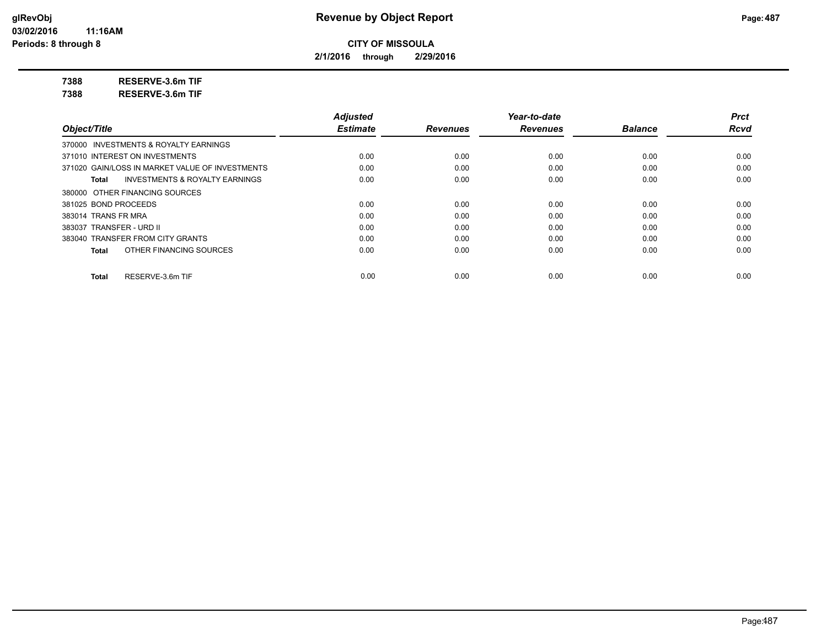**2/1/2016 through 2/29/2016**

**7388 RESERVE-3.6m TIF**

**7388 RESERVE-3.6m TIF**

|                                                 | <b>Adjusted</b> |                 | Year-to-date    |                | <b>Prct</b> |
|-------------------------------------------------|-----------------|-----------------|-----------------|----------------|-------------|
| Object/Title                                    | <b>Estimate</b> | <b>Revenues</b> | <b>Revenues</b> | <b>Balance</b> | <b>Rcvd</b> |
| 370000 INVESTMENTS & ROYALTY EARNINGS           |                 |                 |                 |                |             |
| 371010 INTEREST ON INVESTMENTS                  | 0.00            | 0.00            | 0.00            | 0.00           | 0.00        |
| 371020 GAIN/LOSS IN MARKET VALUE OF INVESTMENTS | 0.00            | 0.00            | 0.00            | 0.00           | 0.00        |
| INVESTMENTS & ROYALTY EARNINGS<br>Total         | 0.00            | 0.00            | 0.00            | 0.00           | 0.00        |
| 380000 OTHER FINANCING SOURCES                  |                 |                 |                 |                |             |
| 381025 BOND PROCEEDS                            | 0.00            | 0.00            | 0.00            | 0.00           | 0.00        |
| 383014 TRANS FR MRA                             | 0.00            | 0.00            | 0.00            | 0.00           | 0.00        |
| 383037 TRANSFER - URD II                        | 0.00            | 0.00            | 0.00            | 0.00           | 0.00        |
| 383040 TRANSFER FROM CITY GRANTS                | 0.00            | 0.00            | 0.00            | 0.00           | 0.00        |
| OTHER FINANCING SOURCES<br>Total                | 0.00            | 0.00            | 0.00            | 0.00           | 0.00        |
| RESERVE-3.6m TIF<br>Total                       | 0.00            | 0.00            | 0.00            | 0.00           | 0.00        |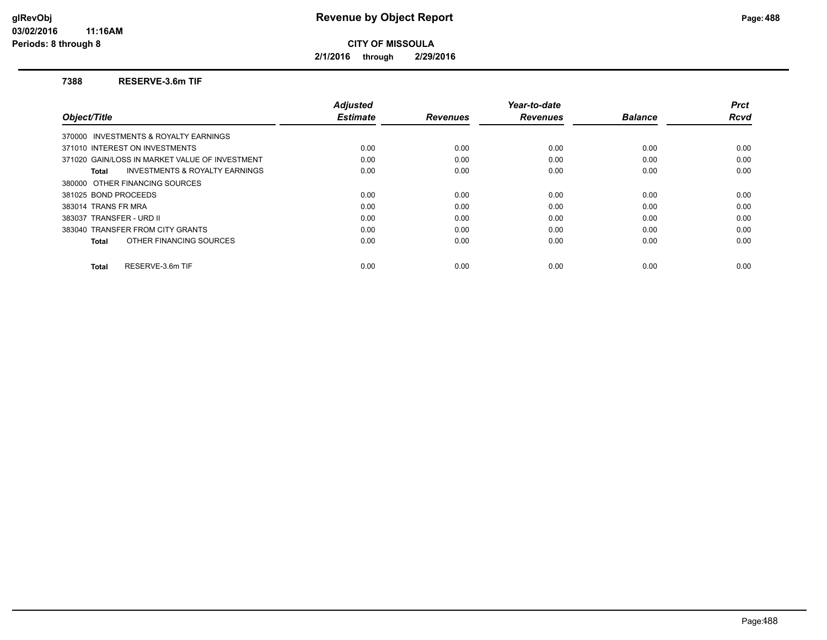**2/1/2016 through 2/29/2016**

### **7388 RESERVE-3.6m TIF**

| <b>Adjusted</b> |                 | Year-to-date    |                | <b>Prct</b> |
|-----------------|-----------------|-----------------|----------------|-------------|
| <b>Estimate</b> | <b>Revenues</b> | <b>Revenues</b> | <b>Balance</b> | <b>Rcvd</b> |
|                 |                 |                 |                |             |
| 0.00            | 0.00            | 0.00            | 0.00           | 0.00        |
| 0.00            | 0.00            | 0.00            | 0.00           | 0.00        |
| 0.00            | 0.00            | 0.00            | 0.00           | 0.00        |
|                 |                 |                 |                |             |
| 0.00            | 0.00            | 0.00            | 0.00           | 0.00        |
| 0.00            | 0.00            | 0.00            | 0.00           | 0.00        |
| 0.00            | 0.00            | 0.00            | 0.00           | 0.00        |
| 0.00            | 0.00            | 0.00            | 0.00           | 0.00        |
| 0.00            | 0.00            | 0.00            | 0.00           | 0.00        |
|                 |                 |                 |                | 0.00        |
|                 | 0.00            | 0.00            | 0.00           | 0.00        |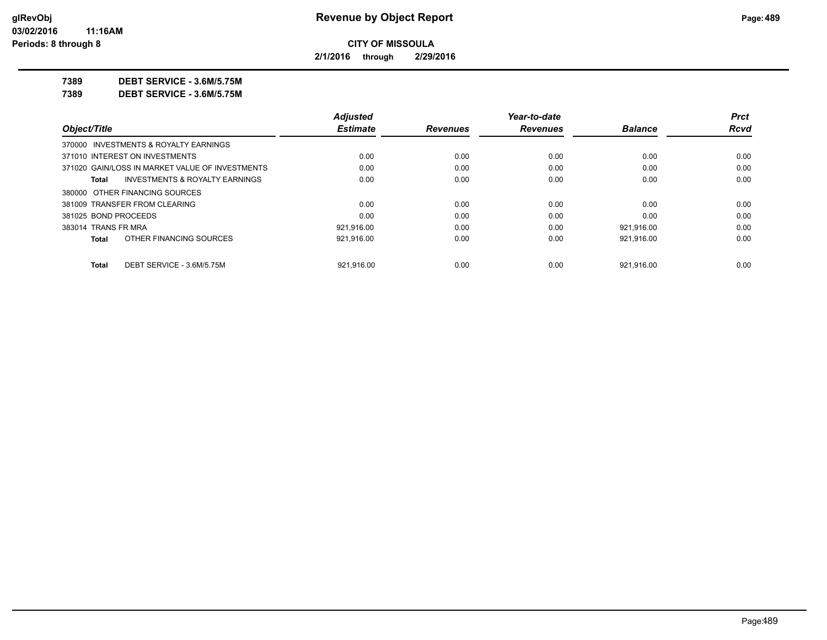**2/1/2016 through 2/29/2016**

**7389 DEBT SERVICE - 3.6M/5.75M**

**7389 DEBT SERVICE - 3.6M/5.75M**

|                      |                                                 | <b>Adjusted</b> |                 | Year-to-date    |                | <b>Prct</b> |
|----------------------|-------------------------------------------------|-----------------|-----------------|-----------------|----------------|-------------|
| Object/Title         |                                                 | <b>Estimate</b> | <b>Revenues</b> | <b>Revenues</b> | <b>Balance</b> | Rcvd        |
|                      | 370000 INVESTMENTS & ROYALTY EARNINGS           |                 |                 |                 |                |             |
|                      | 371010 INTEREST ON INVESTMENTS                  | 0.00            | 0.00            | 0.00            | 0.00           | 0.00        |
|                      | 371020 GAIN/LOSS IN MARKET VALUE OF INVESTMENTS | 0.00            | 0.00            | 0.00            | 0.00           | 0.00        |
| Total                | <b>INVESTMENTS &amp; ROYALTY EARNINGS</b>       | 0.00            | 0.00            | 0.00            | 0.00           | 0.00        |
|                      | 380000 OTHER FINANCING SOURCES                  |                 |                 |                 |                |             |
|                      | 381009 TRANSFER FROM CLEARING                   | 0.00            | 0.00            | 0.00            | 0.00           | 0.00        |
| 381025 BOND PROCEEDS |                                                 | 0.00            | 0.00            | 0.00            | 0.00           | 0.00        |
| 383014 TRANS FR MRA  |                                                 | 921,916.00      | 0.00            | 0.00            | 921,916.00     | 0.00        |
| Total                | OTHER FINANCING SOURCES                         | 921.916.00      | 0.00            | 0.00            | 921.916.00     | 0.00        |
| Total                | DEBT SERVICE - 3.6M/5.75M                       | 921.916.00      | 0.00            | 0.00            | 921.916.00     | 0.00        |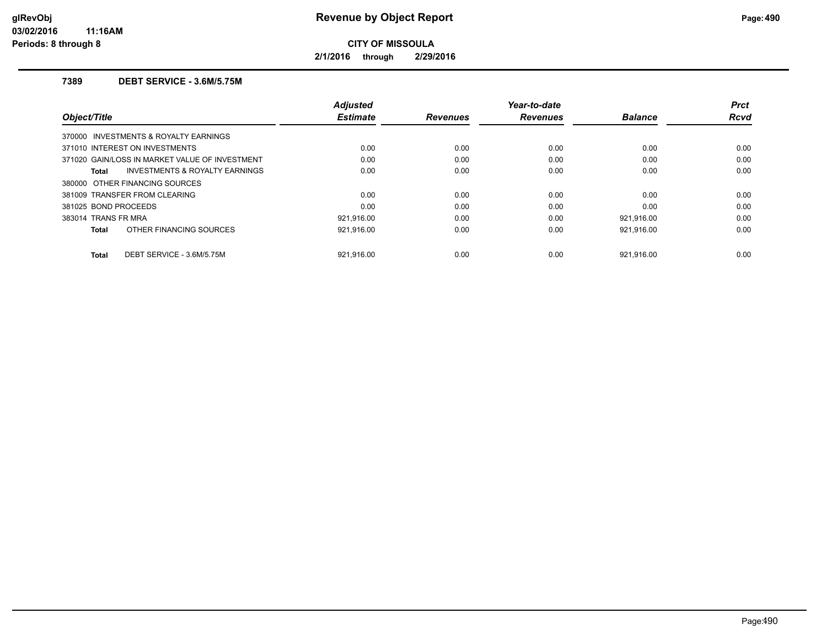**2/1/2016 through 2/29/2016**

# **7389 DEBT SERVICE - 3.6M/5.75M**

| Object/Title                                       | <b>Adjusted</b><br><b>Estimate</b> | <b>Revenues</b> | Year-to-date<br><b>Revenues</b> | <b>Balance</b> | <b>Prct</b><br><b>Rcvd</b> |
|----------------------------------------------------|------------------------------------|-----------------|---------------------------------|----------------|----------------------------|
| 370000 INVESTMENTS & ROYALTY EARNINGS              |                                    |                 |                                 |                |                            |
| 371010 INTEREST ON INVESTMENTS                     | 0.00                               | 0.00            | 0.00                            | 0.00           | 0.00                       |
| 371020 GAIN/LOSS IN MARKET VALUE OF INVESTMENT     | 0.00                               | 0.00            | 0.00                            | 0.00           | 0.00                       |
| <b>INVESTMENTS &amp; ROYALTY EARNINGS</b><br>Total | 0.00                               | 0.00            | 0.00                            | 0.00           | 0.00                       |
| 380000 OTHER FINANCING SOURCES                     |                                    |                 |                                 |                |                            |
| 381009 TRANSFER FROM CLEARING                      | 0.00                               | 0.00            | 0.00                            | 0.00           | 0.00                       |
| 381025 BOND PROCEEDS                               | 0.00                               | 0.00            | 0.00                            | 0.00           | 0.00                       |
| 383014 TRANS FR MRA                                | 921.916.00                         | 0.00            | 0.00                            | 921.916.00     | 0.00                       |
| OTHER FINANCING SOURCES<br><b>Total</b>            | 921,916.00                         | 0.00            | 0.00                            | 921,916.00     | 0.00                       |
| DEBT SERVICE - 3.6M/5.75M<br><b>Total</b>          | 921.916.00                         | 0.00            | 0.00                            | 921.916.00     | 0.00                       |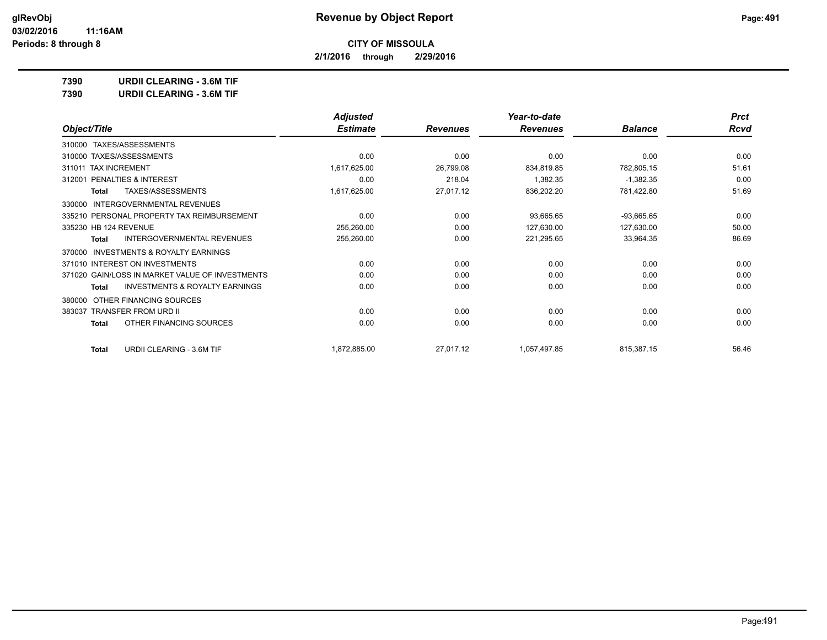**2/1/2016 through 2/29/2016**

**7390 URDII CLEARING - 3.6M TIF**

|                                                           | <b>Adjusted</b> |                 | Year-to-date    |                | <b>Prct</b> |
|-----------------------------------------------------------|-----------------|-----------------|-----------------|----------------|-------------|
| Object/Title                                              | <b>Estimate</b> | <b>Revenues</b> | <b>Revenues</b> | <b>Balance</b> | Rcvd        |
| TAXES/ASSESSMENTS<br>310000                               |                 |                 |                 |                |             |
| 310000 TAXES/ASSESSMENTS                                  | 0.00            | 0.00            | 0.00            | 0.00           | 0.00        |
| 311011 TAX INCREMENT                                      | 1,617,625.00    | 26,799.08       | 834,819.85      | 782,805.15     | 51.61       |
| PENALTIES & INTEREST<br>312001                            | 0.00            | 218.04          | 1,382.35        | $-1,382.35$    | 0.00        |
| TAXES/ASSESSMENTS<br><b>Total</b>                         | 1,617,625.00    | 27,017.12       | 836,202.20      | 781,422.80     | 51.69       |
| <b>INTERGOVERNMENTAL REVENUES</b><br>330000               |                 |                 |                 |                |             |
| 335210 PERSONAL PROPERTY TAX REIMBURSEMENT                | 0.00            | 0.00            | 93,665.65       | $-93,665.65$   | 0.00        |
| 335230 HB 124 REVENUE                                     | 255,260.00      | 0.00            | 127,630.00      | 127,630.00     | 50.00       |
| <b>INTERGOVERNMENTAL REVENUES</b><br>Total                | 255,260.00      | 0.00            | 221,295.65      | 33,964.35      | 86.69       |
| <b>INVESTMENTS &amp; ROYALTY EARNINGS</b><br>370000       |                 |                 |                 |                |             |
| 371010 INTEREST ON INVESTMENTS                            | 0.00            | 0.00            | 0.00            | 0.00           | 0.00        |
| 371020 GAIN/LOSS IN MARKET VALUE OF INVESTMENTS           | 0.00            | 0.00            | 0.00            | 0.00           | 0.00        |
| <b>INVESTMENTS &amp; ROYALTY EARNINGS</b><br><b>Total</b> | 0.00            | 0.00            | 0.00            | 0.00           | 0.00        |
| OTHER FINANCING SOURCES<br>380000                         |                 |                 |                 |                |             |
| 383037 TRANSFER FROM URD II                               | 0.00            | 0.00            | 0.00            | 0.00           | 0.00        |
| OTHER FINANCING SOURCES<br>Total                          | 0.00            | 0.00            | 0.00            | 0.00           | 0.00        |
| URDII CLEARING - 3.6M TIF<br><b>Total</b>                 | 1,872,885.00    | 27,017.12       | 1,057,497.85    | 815,387.15     | 56.46       |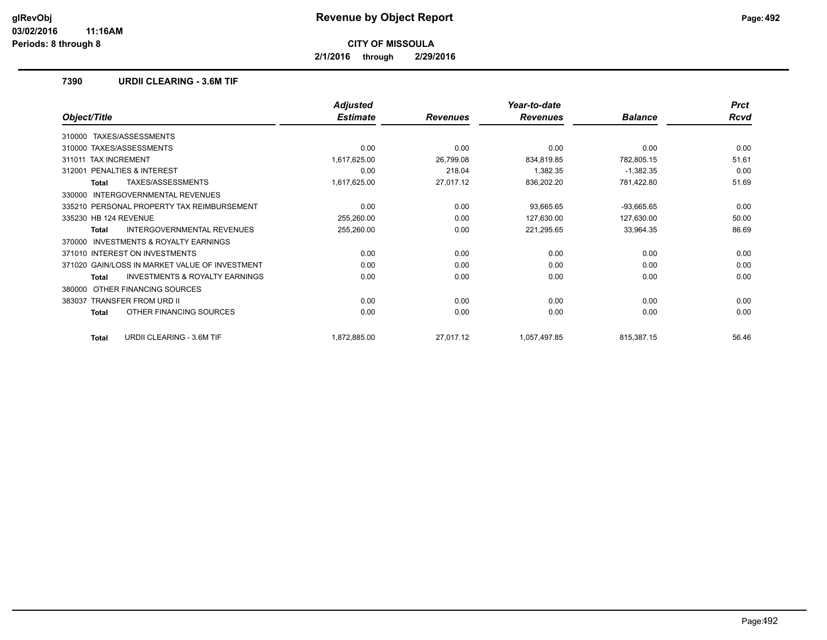**2/1/2016 through 2/29/2016**

## **7390 URDII CLEARING - 3.6M TIF**

|                                                    | <b>Adjusted</b> |                 | Year-to-date    |                | <b>Prct</b> |
|----------------------------------------------------|-----------------|-----------------|-----------------|----------------|-------------|
| Object/Title                                       | <b>Estimate</b> | <b>Revenues</b> | <b>Revenues</b> | <b>Balance</b> | <b>Rcvd</b> |
| TAXES/ASSESSMENTS<br>310000                        |                 |                 |                 |                |             |
| 310000 TAXES/ASSESSMENTS                           | 0.00            | 0.00            | 0.00            | 0.00           | 0.00        |
| <b>TAX INCREMENT</b><br>311011                     | 1,617,625.00    | 26,799.08       | 834,819.85      | 782,805.15     | 51.61       |
| PENALTIES & INTEREST<br>312001                     | 0.00            | 218.04          | 1,382.35        | $-1,382.35$    | 0.00        |
| TAXES/ASSESSMENTS<br><b>Total</b>                  | 1,617,625.00    | 27,017.12       | 836,202.20      | 781,422.80     | 51.69       |
| <b>INTERGOVERNMENTAL REVENUES</b><br>330000        |                 |                 |                 |                |             |
| 335210 PERSONAL PROPERTY TAX REIMBURSEMENT         | 0.00            | 0.00            | 93,665.65       | $-93,665.65$   | 0.00        |
| 335230 HB 124 REVENUE                              | 255,260.00      | 0.00            | 127,630.00      | 127,630.00     | 50.00       |
| INTERGOVERNMENTAL REVENUES<br>Total                | 255,260.00      | 0.00            | 221,295.65      | 33,964.35      | 86.69       |
| INVESTMENTS & ROYALTY EARNINGS<br>370000           |                 |                 |                 |                |             |
| 371010 INTEREST ON INVESTMENTS                     | 0.00            | 0.00            | 0.00            | 0.00           | 0.00        |
| 371020 GAIN/LOSS IN MARKET VALUE OF INVESTMENT     | 0.00            | 0.00            | 0.00            | 0.00           | 0.00        |
| <b>INVESTMENTS &amp; ROYALTY EARNINGS</b><br>Total | 0.00            | 0.00            | 0.00            | 0.00           | 0.00        |
| OTHER FINANCING SOURCES<br>380000                  |                 |                 |                 |                |             |
| <b>TRANSFER FROM URD II</b><br>383037              | 0.00            | 0.00            | 0.00            | 0.00           | 0.00        |
| OTHER FINANCING SOURCES<br>Total                   | 0.00            | 0.00            | 0.00            | 0.00           | 0.00        |
| <b>URDII CLEARING - 3.6M TIF</b><br><b>Total</b>   | 1,872,885.00    | 27,017.12       | 1,057,497.85    | 815,387.15     | 56.46       |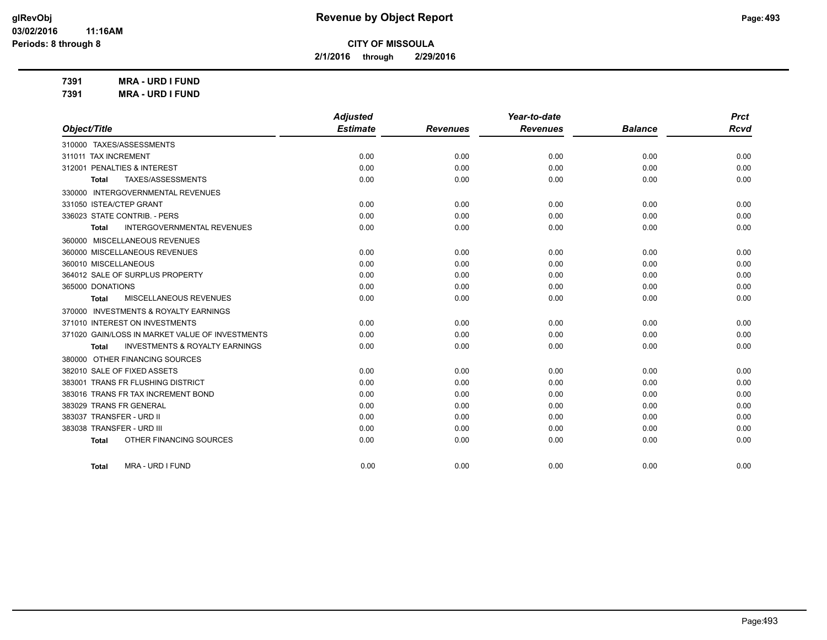**2/1/2016 through 2/29/2016**

**7391 MRA - URD I FUND 7391 MRA - URD I FUND**

|                                                           | <b>Adjusted</b> |                 | Year-to-date    |                | <b>Prct</b> |
|-----------------------------------------------------------|-----------------|-----------------|-----------------|----------------|-------------|
| Object/Title                                              | <b>Estimate</b> | <b>Revenues</b> | <b>Revenues</b> | <b>Balance</b> | Rcvd        |
| 310000 TAXES/ASSESSMENTS                                  |                 |                 |                 |                |             |
| 311011 TAX INCREMENT                                      | 0.00            | 0.00            | 0.00            | 0.00           | 0.00        |
| 312001 PENALTIES & INTEREST                               | 0.00            | 0.00            | 0.00            | 0.00           | 0.00        |
| TAXES/ASSESSMENTS<br><b>Total</b>                         | 0.00            | 0.00            | 0.00            | 0.00           | 0.00        |
| 330000 INTERGOVERNMENTAL REVENUES                         |                 |                 |                 |                |             |
| 331050 ISTEA/CTEP GRANT                                   | 0.00            | 0.00            | 0.00            | 0.00           | 0.00        |
| 336023 STATE CONTRIB. - PERS                              | 0.00            | 0.00            | 0.00            | 0.00           | 0.00        |
| <b>INTERGOVERNMENTAL REVENUES</b><br>Total                | 0.00            | 0.00            | 0.00            | 0.00           | 0.00        |
| 360000 MISCELLANEOUS REVENUES                             |                 |                 |                 |                |             |
| 360000 MISCELLANEOUS REVENUES                             | 0.00            | 0.00            | 0.00            | 0.00           | 0.00        |
| 360010 MISCELLANEOUS                                      | 0.00            | 0.00            | 0.00            | 0.00           | 0.00        |
| 364012 SALE OF SURPLUS PROPERTY                           | 0.00            | 0.00            | 0.00            | 0.00           | 0.00        |
| 365000 DONATIONS                                          | 0.00            | 0.00            | 0.00            | 0.00           | 0.00        |
| <b>MISCELLANEOUS REVENUES</b><br>Total                    | 0.00            | 0.00            | 0.00            | 0.00           | 0.00        |
| 370000 INVESTMENTS & ROYALTY EARNINGS                     |                 |                 |                 |                |             |
| 371010 INTEREST ON INVESTMENTS                            | 0.00            | 0.00            | 0.00            | 0.00           | 0.00        |
| 371020 GAIN/LOSS IN MARKET VALUE OF INVESTMENTS           | 0.00            | 0.00            | 0.00            | 0.00           | 0.00        |
| <b>INVESTMENTS &amp; ROYALTY EARNINGS</b><br><b>Total</b> | 0.00            | 0.00            | 0.00            | 0.00           | 0.00        |
| 380000 OTHER FINANCING SOURCES                            |                 |                 |                 |                |             |
| 382010 SALE OF FIXED ASSETS                               | 0.00            | 0.00            | 0.00            | 0.00           | 0.00        |
| 383001 TRANS FR FLUSHING DISTRICT                         | 0.00            | 0.00            | 0.00            | 0.00           | 0.00        |
| 383016 TRANS FR TAX INCREMENT BOND                        | 0.00            | 0.00            | 0.00            | 0.00           | 0.00        |
| 383029 TRANS FR GENERAL                                   | 0.00            | 0.00            | 0.00            | 0.00           | 0.00        |
| 383037 TRANSFER - URD II                                  | 0.00            | 0.00            | 0.00            | 0.00           | 0.00        |
| 383038 TRANSFER - URD III                                 | 0.00            | 0.00            | 0.00            | 0.00           | 0.00        |
| OTHER FINANCING SOURCES<br><b>Total</b>                   | 0.00            | 0.00            | 0.00            | 0.00           | 0.00        |
|                                                           |                 |                 |                 |                |             |
| <b>MRA - URD I FUND</b><br>Total                          | 0.00            | 0.00            | 0.00            | 0.00           | 0.00        |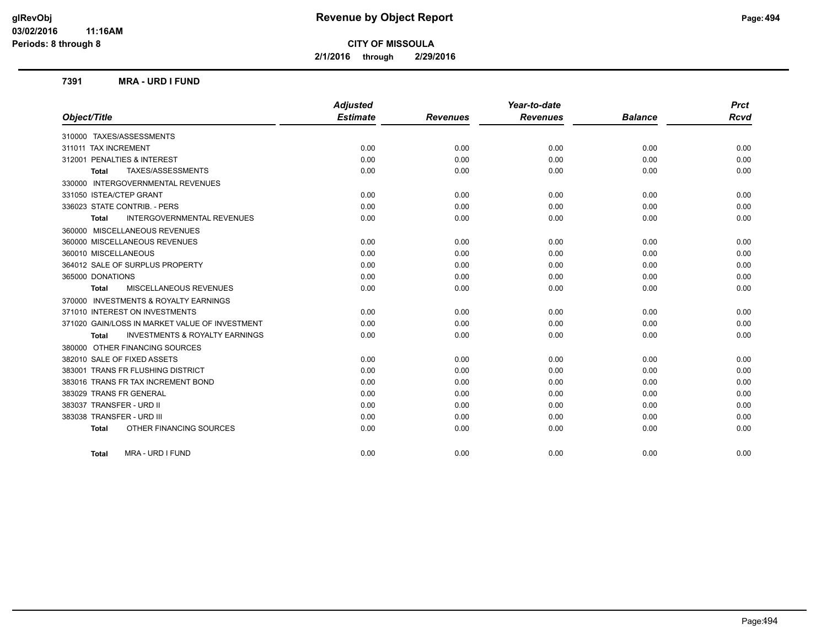**2/1/2016 through 2/29/2016**

### **7391 MRA - URD I FUND**

|                                                    | <b>Adjusted</b> |                 | Year-to-date    |                | <b>Prct</b> |
|----------------------------------------------------|-----------------|-----------------|-----------------|----------------|-------------|
| Object/Title                                       | <b>Estimate</b> | <b>Revenues</b> | <b>Revenues</b> | <b>Balance</b> | <b>Rcvd</b> |
| 310000 TAXES/ASSESSMENTS                           |                 |                 |                 |                |             |
| 311011 TAX INCREMENT                               | 0.00            | 0.00            | 0.00            | 0.00           | 0.00        |
| 312001 PENALTIES & INTEREST                        | 0.00            | 0.00            | 0.00            | 0.00           | 0.00        |
| TAXES/ASSESSMENTS<br><b>Total</b>                  | 0.00            | 0.00            | 0.00            | 0.00           | 0.00        |
| 330000 INTERGOVERNMENTAL REVENUES                  |                 |                 |                 |                |             |
| 331050 ISTEA/CTEP GRANT                            | 0.00            | 0.00            | 0.00            | 0.00           | 0.00        |
| 336023 STATE CONTRIB. - PERS                       | 0.00            | 0.00            | 0.00            | 0.00           | 0.00        |
| <b>INTERGOVERNMENTAL REVENUES</b><br><b>Total</b>  | 0.00            | 0.00            | 0.00            | 0.00           | 0.00        |
| 360000 MISCELLANEOUS REVENUES                      |                 |                 |                 |                |             |
| 360000 MISCELLANEOUS REVENUES                      | 0.00            | 0.00            | 0.00            | 0.00           | 0.00        |
| 360010 MISCELLANEOUS                               | 0.00            | 0.00            | 0.00            | 0.00           | 0.00        |
| 364012 SALE OF SURPLUS PROPERTY                    | 0.00            | 0.00            | 0.00            | 0.00           | 0.00        |
| 365000 DONATIONS                                   | 0.00            | 0.00            | 0.00            | 0.00           | 0.00        |
| MISCELLANEOUS REVENUES<br><b>Total</b>             | 0.00            | 0.00            | 0.00            | 0.00           | 0.00        |
| 370000 INVESTMENTS & ROYALTY EARNINGS              |                 |                 |                 |                |             |
| 371010 INTEREST ON INVESTMENTS                     | 0.00            | 0.00            | 0.00            | 0.00           | 0.00        |
| 371020 GAIN/LOSS IN MARKET VALUE OF INVESTMENT     | 0.00            | 0.00            | 0.00            | 0.00           | 0.00        |
| <b>INVESTMENTS &amp; ROYALTY EARNINGS</b><br>Total | 0.00            | 0.00            | 0.00            | 0.00           | 0.00        |
| 380000 OTHER FINANCING SOURCES                     |                 |                 |                 |                |             |
| 382010 SALE OF FIXED ASSETS                        | 0.00            | 0.00            | 0.00            | 0.00           | 0.00        |
| 383001 TRANS FR FLUSHING DISTRICT                  | 0.00            | 0.00            | 0.00            | 0.00           | 0.00        |
| 383016 TRANS FR TAX INCREMENT BOND                 | 0.00            | 0.00            | 0.00            | 0.00           | 0.00        |
| 383029 TRANS FR GENERAL                            | 0.00            | 0.00            | 0.00            | 0.00           | 0.00        |
| 383037 TRANSFER - URD II                           | 0.00            | 0.00            | 0.00            | 0.00           | 0.00        |
| 383038 TRANSFER - URD III                          | 0.00            | 0.00            | 0.00            | 0.00           | 0.00        |
| OTHER FINANCING SOURCES<br><b>Total</b>            | 0.00            | 0.00            | 0.00            | 0.00           | 0.00        |
| <b>MRA - URD I FUND</b><br><b>Total</b>            | 0.00            | 0.00            | 0.00            | 0.00           | 0.00        |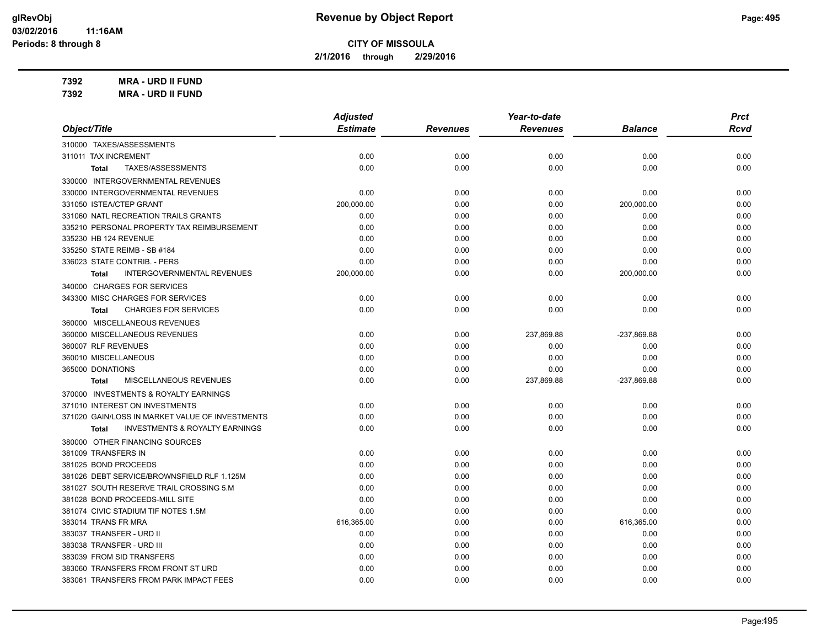**2/1/2016 through 2/29/2016**

**7392 MRA - URD II FUND**

**7392 MRA - URD II FUND**

|                                                           | <b>Adjusted</b> |                 | Year-to-date    |                | <b>Prct</b> |
|-----------------------------------------------------------|-----------------|-----------------|-----------------|----------------|-------------|
| Object/Title                                              | <b>Estimate</b> | <b>Revenues</b> | <b>Revenues</b> | <b>Balance</b> | <b>Rcvd</b> |
| 310000 TAXES/ASSESSMENTS                                  |                 |                 |                 |                |             |
| 311011 TAX INCREMENT                                      | 0.00            | 0.00            | 0.00            | 0.00           | 0.00        |
| TAXES/ASSESSMENTS<br><b>Total</b>                         | 0.00            | 0.00            | 0.00            | 0.00           | 0.00        |
| 330000 INTERGOVERNMENTAL REVENUES                         |                 |                 |                 |                |             |
| 330000 INTERGOVERNMENTAL REVENUES                         | 0.00            | 0.00            | 0.00            | 0.00           | 0.00        |
| 331050 ISTEA/CTEP GRANT                                   | 200,000.00      | 0.00            | 0.00            | 200,000.00     | 0.00        |
| 331060 NATL RECREATION TRAILS GRANTS                      | 0.00            | 0.00            | 0.00            | 0.00           | 0.00        |
| 335210 PERSONAL PROPERTY TAX REIMBURSEMENT                | 0.00            | 0.00            | 0.00            | 0.00           | 0.00        |
| 335230 HB 124 REVENUE                                     | 0.00            | 0.00            | 0.00            | 0.00           | 0.00        |
| 335250 STATE REIMB - SB #184                              | 0.00            | 0.00            | 0.00            | 0.00           | 0.00        |
| 336023 STATE CONTRIB. - PERS                              | 0.00            | 0.00            | 0.00            | 0.00           | 0.00        |
| <b>INTERGOVERNMENTAL REVENUES</b><br>Total                | 200,000.00      | 0.00            | 0.00            | 200,000.00     | 0.00        |
| 340000 CHARGES FOR SERVICES                               |                 |                 |                 |                |             |
| 343300 MISC CHARGES FOR SERVICES                          | 0.00            | 0.00            | 0.00            | 0.00           | 0.00        |
| <b>CHARGES FOR SERVICES</b><br><b>Total</b>               | 0.00            | 0.00            | 0.00            | 0.00           | 0.00        |
| 360000 MISCELLANEOUS REVENUES                             |                 |                 |                 |                |             |
| 360000 MISCELLANEOUS REVENUES                             | 0.00            | 0.00            | 237,869.88      | -237,869.88    | 0.00        |
| 360007 RLF REVENUES                                       | 0.00            | 0.00            | 0.00            | 0.00           | 0.00        |
| 360010 MISCELLANEOUS                                      | 0.00            | 0.00            | 0.00            | 0.00           | 0.00        |
| 365000 DONATIONS                                          | 0.00            | 0.00            | 0.00            | 0.00           | 0.00        |
| MISCELLANEOUS REVENUES<br><b>Total</b>                    | 0.00            | 0.00            | 237,869.88      | -237,869.88    | 0.00        |
| 370000 INVESTMENTS & ROYALTY EARNINGS                     |                 |                 |                 |                |             |
| 371010 INTEREST ON INVESTMENTS                            | 0.00            | 0.00            | 0.00            | 0.00           | 0.00        |
| 371020 GAIN/LOSS IN MARKET VALUE OF INVESTMENTS           | 0.00            | 0.00            | 0.00            | 0.00           | 0.00        |
| <b>INVESTMENTS &amp; ROYALTY EARNINGS</b><br><b>Total</b> | 0.00            | 0.00            | 0.00            | 0.00           | 0.00        |
| 380000 OTHER FINANCING SOURCES                            |                 |                 |                 |                |             |
| 381009 TRANSFERS IN                                       | 0.00            | 0.00            | 0.00            | 0.00           | 0.00        |
| 381025 BOND PROCEEDS                                      | 0.00            | 0.00            | 0.00            | 0.00           | 0.00        |
| 381026 DEBT SERVICE/BROWNSFIELD RLF 1.125M                | 0.00            | 0.00            | 0.00            | 0.00           | 0.00        |
| 381027 SOUTH RESERVE TRAIL CROSSING 5.M                   | 0.00            | 0.00            | 0.00            | 0.00           | 0.00        |
| 381028 BOND PROCEEDS-MILL SITE                            | 0.00            | 0.00            | 0.00            | 0.00           | 0.00        |
| 381074 CIVIC STADIUM TIF NOTES 1.5M                       | 0.00            | 0.00            | 0.00            | 0.00           | 0.00        |
| 383014 TRANS FR MRA                                       | 616,365.00      | 0.00            | 0.00            | 616,365.00     | 0.00        |
| 383037 TRANSFER - URD II                                  | 0.00            | 0.00            | 0.00            | 0.00           | 0.00        |
| 383038 TRANSFER - URD III                                 | 0.00            | 0.00            | 0.00            | 0.00           | 0.00        |
| 383039 FROM SID TRANSFERS                                 | 0.00            | 0.00            | 0.00            | 0.00           | 0.00        |
| 383060 TRANSFERS FROM FRONT ST URD                        | 0.00            | 0.00            | 0.00            | 0.00           | 0.00        |
| 383061 TRANSFERS FROM PARK IMPACT FEES                    | 0.00            | 0.00            | 0.00            | 0.00           | 0.00        |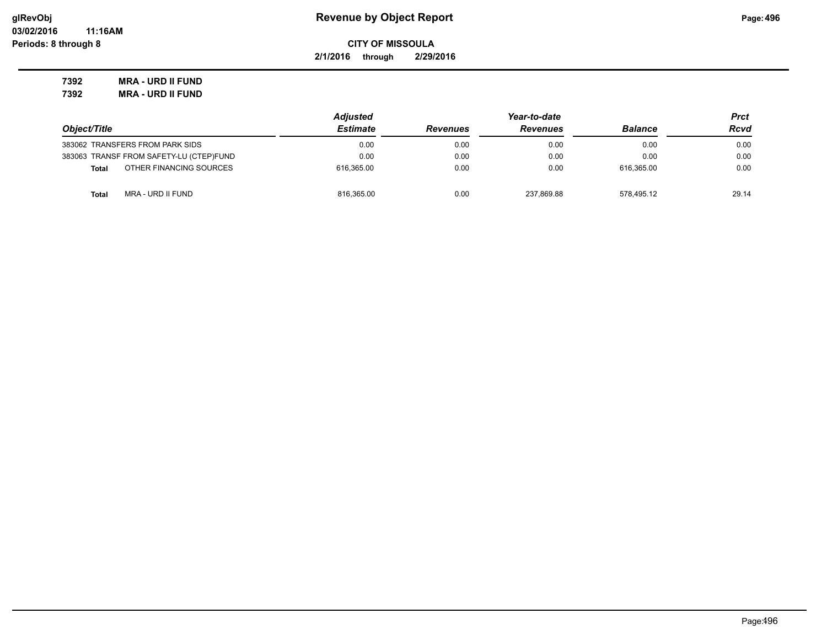**2/1/2016 through 2/29/2016**

**7392 MRA - URD II FUND 7392 MRA - URD II FUND**

|                                         | <b>Adjusted</b> |                 | Prct            |                |       |
|-----------------------------------------|-----------------|-----------------|-----------------|----------------|-------|
| Object/Title                            | <b>Estimate</b> | <b>Revenues</b> | <b>Revenues</b> | <b>Balance</b> | Rcvd  |
| 383062 TRANSFERS FROM PARK SIDS         | 0.00            | 0.00            | 0.00            | 0.00           | 0.00  |
| 383063 TRANSF FROM SAFETY-LU (CTEP)FUND | 0.00            | 0.00            | 0.00            | 0.00           | 0.00  |
| OTHER FINANCING SOURCES<br><b>Total</b> | 616.365.00      | 0.00            | 0.00            | 616.365.00     | 0.00  |
| MRA - URD II FUND<br><b>Total</b>       | 816,365.00      | 0.00            | 237.869.88      | 578.495.12     | 29.14 |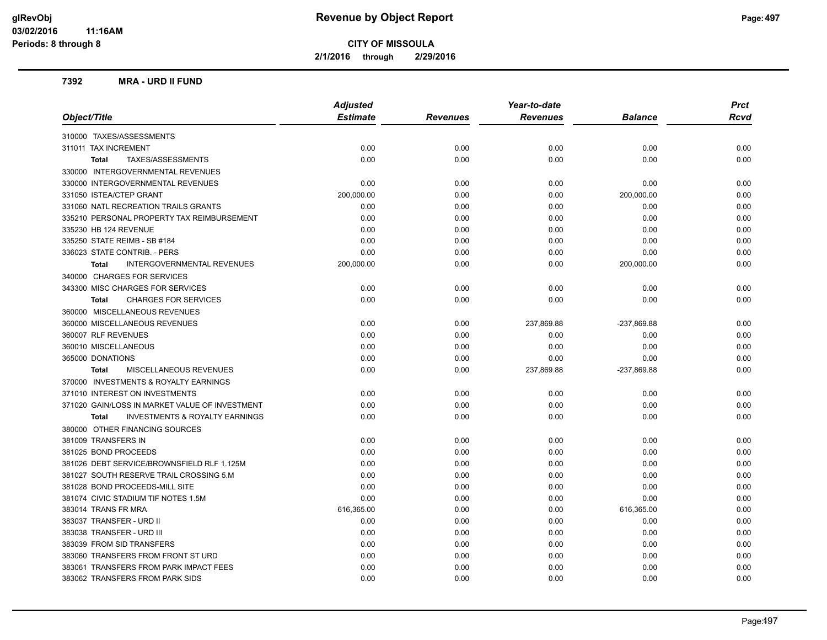**2/1/2016 through 2/29/2016**

### **7392 MRA - URD II FUND**

|                                                    | <b>Adjusted</b> |                 | Year-to-date    |             | <b>Prct</b> |  |
|----------------------------------------------------|-----------------|-----------------|-----------------|-------------|-------------|--|
| Object/Title                                       | <b>Estimate</b> | <b>Revenues</b> | <b>Revenues</b> | Balance     | <b>Rcvd</b> |  |
| 310000 TAXES/ASSESSMENTS                           |                 |                 |                 |             |             |  |
| 311011 TAX INCREMENT                               | 0.00            | 0.00            | 0.00            | 0.00        | 0.00        |  |
| TAXES/ASSESSMENTS<br><b>Total</b>                  | 0.00            | 0.00            | 0.00            | 0.00        | 0.00        |  |
| 330000 INTERGOVERNMENTAL REVENUES                  |                 |                 |                 |             |             |  |
| 330000 INTERGOVERNMENTAL REVENUES                  | 0.00            | 0.00            | 0.00            | 0.00        | 0.00        |  |
| 331050 ISTEA/CTEP GRANT                            | 200,000.00      | 0.00            | 0.00            | 200,000.00  | 0.00        |  |
| 331060 NATL RECREATION TRAILS GRANTS               | 0.00            | 0.00            | 0.00            | 0.00        | 0.00        |  |
| 335210 PERSONAL PROPERTY TAX REIMBURSEMENT         | 0.00            | 0.00            | 0.00            | 0.00        | 0.00        |  |
| 335230 HB 124 REVENUE                              | 0.00            | 0.00            | 0.00            | 0.00        | 0.00        |  |
| 335250 STATE REIMB - SB #184                       | 0.00            | 0.00            | 0.00            | 0.00        | 0.00        |  |
| 336023 STATE CONTRIB. - PERS                       | 0.00            | 0.00            | 0.00            | 0.00        | 0.00        |  |
| <b>INTERGOVERNMENTAL REVENUES</b><br><b>Total</b>  | 200,000.00      | 0.00            | 0.00            | 200,000.00  | 0.00        |  |
| 340000 CHARGES FOR SERVICES                        |                 |                 |                 |             |             |  |
| 343300 MISC CHARGES FOR SERVICES                   | 0.00            | 0.00            | 0.00            | 0.00        | 0.00        |  |
| <b>CHARGES FOR SERVICES</b><br><b>Total</b>        | 0.00            | 0.00            | 0.00            | 0.00        | 0.00        |  |
| 360000 MISCELLANEOUS REVENUES                      |                 |                 |                 |             |             |  |
| 360000 MISCELLANEOUS REVENUES                      | 0.00            | 0.00            | 237,869.88      | -237,869.88 | 0.00        |  |
| 360007 RLF REVENUES                                | 0.00            | 0.00            | 0.00            | 0.00        | 0.00        |  |
| 360010 MISCELLANEOUS                               | 0.00            | 0.00            | 0.00            | 0.00        | 0.00        |  |
| 365000 DONATIONS                                   | 0.00            | 0.00            | 0.00            | 0.00        | 0.00        |  |
| MISCELLANEOUS REVENUES<br><b>Total</b>             | 0.00            | 0.00            | 237,869.88      | -237,869.88 | 0.00        |  |
| 370000 INVESTMENTS & ROYALTY EARNINGS              |                 |                 |                 |             |             |  |
| 371010 INTEREST ON INVESTMENTS                     | 0.00            | 0.00            | 0.00            | 0.00        | 0.00        |  |
| 371020 GAIN/LOSS IN MARKET VALUE OF INVESTMENT     | 0.00            | 0.00            | 0.00            | 0.00        | 0.00        |  |
| <b>INVESTMENTS &amp; ROYALTY EARNINGS</b><br>Total | 0.00            | 0.00            | 0.00            | 0.00        | 0.00        |  |
| 380000 OTHER FINANCING SOURCES                     |                 |                 |                 |             |             |  |
| 381009 TRANSFERS IN                                | 0.00            | 0.00            | 0.00            | 0.00        | 0.00        |  |
| 381025 BOND PROCEEDS                               | 0.00            | 0.00            | 0.00            | 0.00        | 0.00        |  |
| 381026 DEBT SERVICE/BROWNSFIELD RLF 1.125M         | 0.00            | 0.00            | 0.00            | 0.00        | 0.00        |  |
| 381027 SOUTH RESERVE TRAIL CROSSING 5.M            | 0.00            | 0.00            | 0.00            | 0.00        | 0.00        |  |
| 381028 BOND PROCEEDS-MILL SITE                     | 0.00            | 0.00            | 0.00            | 0.00        | 0.00        |  |
| 381074 CIVIC STADIUM TIF NOTES 1.5M                | 0.00            | 0.00            | 0.00            | 0.00        | 0.00        |  |
| 383014 TRANS FR MRA                                | 616,365.00      | 0.00            | 0.00            | 616,365.00  | 0.00        |  |
| 383037 TRANSFER - URD II                           | 0.00            | 0.00            | 0.00            | 0.00        | 0.00        |  |
| 383038 TRANSFER - URD III                          | 0.00            | 0.00            | 0.00            | 0.00        | 0.00        |  |
| 383039 FROM SID TRANSFERS                          | 0.00            | 0.00            | 0.00            | 0.00        | 0.00        |  |
| 383060 TRANSFERS FROM FRONT ST URD                 | 0.00            | 0.00            | 0.00            | 0.00        | 0.00        |  |
| 383061 TRANSFERS FROM PARK IMPACT FEES             | 0.00            | 0.00            | 0.00            | 0.00        | 0.00        |  |
| 383062 TRANSFERS FROM PARK SIDS                    | 0.00            | 0.00            | 0.00            | 0.00        | 0.00        |  |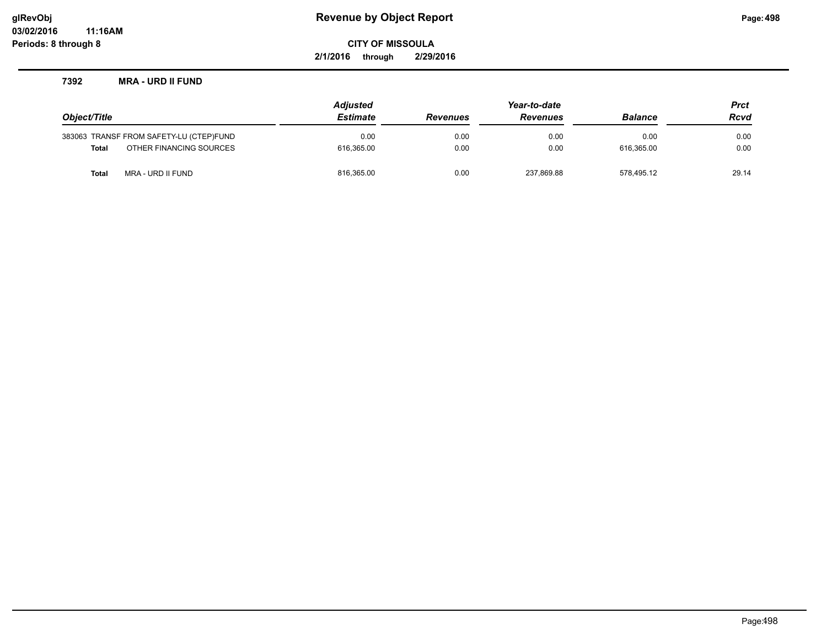**2/1/2016 through 2/29/2016**

### **7392 MRA - URD II FUND**

|              |                                         | <b>Adjusted</b> | Year-to-date    |                 |                | <b>Prct</b> |
|--------------|-----------------------------------------|-----------------|-----------------|-----------------|----------------|-------------|
| Object/Title |                                         | <b>Estimate</b> | <b>Revenues</b> | <b>Revenues</b> | <b>Balance</b> | <b>Rcvd</b> |
|              | 383063 TRANSF FROM SAFETY-LU (CTEP)FUND | 0.00            | 0.00            | 0.00            | 0.00           | 0.00        |
| Total        | OTHER FINANCING SOURCES                 | 616.365.00      | 0.00            | 0.00            | 616.365.00     | 0.00        |
| Total        | MRA - URD II FUND                       | 816,365.00      | 0.00            | 237.869.88      | 578.495.12     | 29.14       |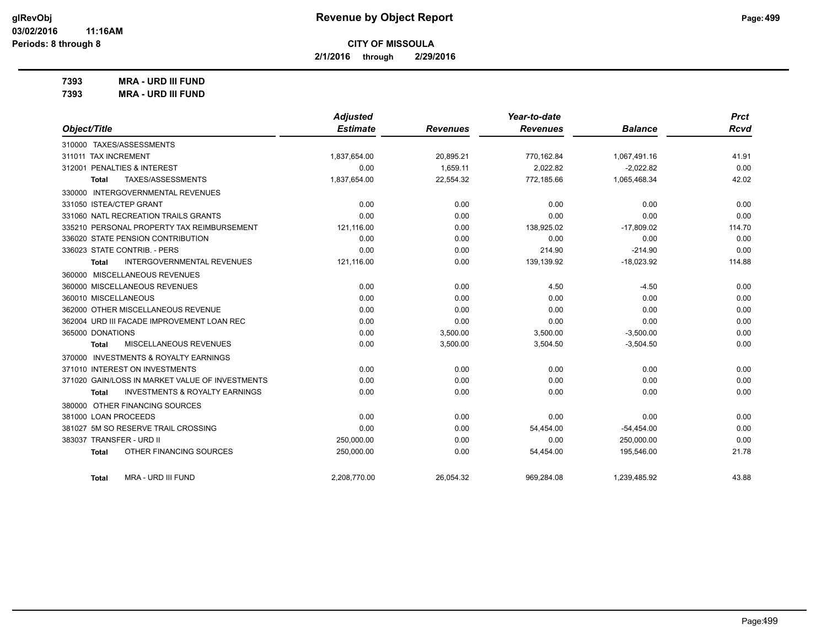**2/1/2016 through 2/29/2016**

**7393 MRA - URD III FUND**

| <b>MRA - URD III FUND</b> |
|---------------------------|
|                           |

|                                                           | <b>Adjusted</b> |                 | Year-to-date    |                | <b>Prct</b> |
|-----------------------------------------------------------|-----------------|-----------------|-----------------|----------------|-------------|
| Object/Title                                              | <b>Estimate</b> | <b>Revenues</b> | <b>Revenues</b> | <b>Balance</b> | Rcvd        |
| 310000 TAXES/ASSESSMENTS                                  |                 |                 |                 |                |             |
| 311011 TAX INCREMENT                                      | 1,837,654.00    | 20,895.21       | 770,162.84      | 1,067,491.16   | 41.91       |
| 312001 PENALTIES & INTEREST                               | 0.00            | 1,659.11        | 2,022.82        | $-2,022.82$    | 0.00        |
| TAXES/ASSESSMENTS<br><b>Total</b>                         | 1,837,654.00    | 22,554.32       | 772,185.66      | 1,065,468.34   | 42.02       |
| 330000 INTERGOVERNMENTAL REVENUES                         |                 |                 |                 |                |             |
| 331050 ISTEA/CTEP GRANT                                   | 0.00            | 0.00            | 0.00            | 0.00           | 0.00        |
| 331060 NATL RECREATION TRAILS GRANTS                      | 0.00            | 0.00            | 0.00            | 0.00           | 0.00        |
| 335210 PERSONAL PROPERTY TAX REIMBURSEMENT                | 121,116.00      | 0.00            | 138,925.02      | $-17,809.02$   | 114.70      |
| 336020 STATE PENSION CONTRIBUTION                         | 0.00            | 0.00            | 0.00            | 0.00           | 0.00        |
| 336023 STATE CONTRIB. - PERS                              | 0.00            | 0.00            | 214.90          | $-214.90$      | 0.00        |
| <b>INTERGOVERNMENTAL REVENUES</b><br><b>Total</b>         | 121,116.00      | 0.00            | 139,139.92      | $-18,023.92$   | 114.88      |
| 360000 MISCELLANEOUS REVENUES                             |                 |                 |                 |                |             |
| 360000 MISCELLANEOUS REVENUES                             | 0.00            | 0.00            | 4.50            | $-4.50$        | 0.00        |
| 360010 MISCELLANEOUS                                      | 0.00            | 0.00            | 0.00            | 0.00           | 0.00        |
| 362000 OTHER MISCELLANEOUS REVENUE                        | 0.00            | 0.00            | 0.00            | 0.00           | 0.00        |
| 362004 URD III FACADE IMPROVEMENT LOAN REC                | 0.00            | 0.00            | 0.00            | 0.00           | 0.00        |
| 365000 DONATIONS                                          | 0.00            | 3,500.00        | 3,500.00        | $-3,500.00$    | 0.00        |
| MISCELLANEOUS REVENUES<br><b>Total</b>                    | 0.00            | 3,500.00        | 3,504.50        | $-3,504.50$    | 0.00        |
| 370000 INVESTMENTS & ROYALTY EARNINGS                     |                 |                 |                 |                |             |
| 371010 INTEREST ON INVESTMENTS                            | 0.00            | 0.00            | 0.00            | 0.00           | 0.00        |
| 371020 GAIN/LOSS IN MARKET VALUE OF INVESTMENTS           | 0.00            | 0.00            | 0.00            | 0.00           | 0.00        |
| <b>INVESTMENTS &amp; ROYALTY EARNINGS</b><br><b>Total</b> | 0.00            | 0.00            | 0.00            | 0.00           | 0.00        |
| 380000 OTHER FINANCING SOURCES                            |                 |                 |                 |                |             |
| 381000 LOAN PROCEEDS                                      | 0.00            | 0.00            | 0.00            | 0.00           | 0.00        |
| 381027 5M SO RESERVE TRAIL CROSSING                       | 0.00            | 0.00            | 54,454.00       | $-54,454.00$   | 0.00        |
| 383037 TRANSFER - URD II                                  | 250,000.00      | 0.00            | 0.00            | 250,000.00     | 0.00        |
| OTHER FINANCING SOURCES<br><b>Total</b>                   | 250,000.00      | 0.00            | 54,454.00       | 195,546.00     | 21.78       |
| MRA - URD III FUND<br><b>Total</b>                        | 2,208,770.00    | 26,054.32       | 969,284.08      | 1,239,485.92   | 43.88       |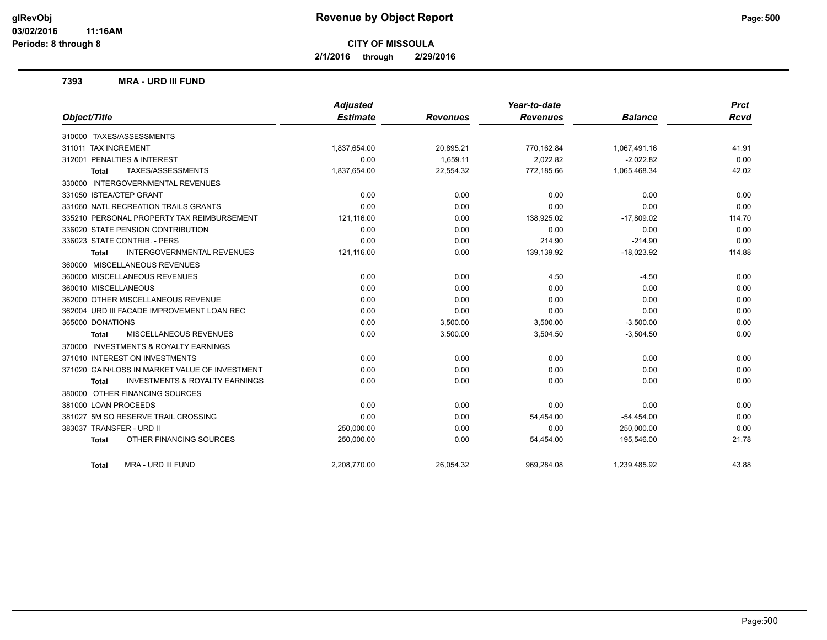**2/1/2016 through 2/29/2016**

### **7393 MRA - URD III FUND**

|                                                           | <b>Adjusted</b> |                 | Year-to-date    |                | <b>Prct</b> |
|-----------------------------------------------------------|-----------------|-----------------|-----------------|----------------|-------------|
| Object/Title                                              | <b>Estimate</b> | <b>Revenues</b> | <b>Revenues</b> | <b>Balance</b> | <b>Rcvd</b> |
| 310000 TAXES/ASSESSMENTS                                  |                 |                 |                 |                |             |
| 311011 TAX INCREMENT                                      | 1,837,654.00    | 20,895.21       | 770,162.84      | 1,067,491.16   | 41.91       |
| 312001 PENALTIES & INTEREST                               | 0.00            | 1.659.11        | 2,022.82        | $-2.022.82$    | 0.00        |
| TAXES/ASSESSMENTS<br><b>Total</b>                         | 1,837,654.00    | 22,554.32       | 772,185.66      | 1,065,468.34   | 42.02       |
| 330000 INTERGOVERNMENTAL REVENUES                         |                 |                 |                 |                |             |
| 331050 ISTEA/CTEP GRANT                                   | 0.00            | 0.00            | 0.00            | 0.00           | 0.00        |
| 331060 NATL RECREATION TRAILS GRANTS                      | 0.00            | 0.00            | 0.00            | 0.00           | 0.00        |
| 335210 PERSONAL PROPERTY TAX REIMBURSEMENT                | 121,116.00      | 0.00            | 138,925.02      | $-17,809.02$   | 114.70      |
| 336020 STATE PENSION CONTRIBUTION                         | 0.00            | 0.00            | 0.00            | 0.00           | 0.00        |
| 336023 STATE CONTRIB. - PERS                              | 0.00            | 0.00            | 214.90          | $-214.90$      | 0.00        |
| <b>INTERGOVERNMENTAL REVENUES</b><br><b>Total</b>         | 121,116.00      | 0.00            | 139,139.92      | $-18,023.92$   | 114.88      |
| 360000 MISCELLANEOUS REVENUES                             |                 |                 |                 |                |             |
| 360000 MISCELLANEOUS REVENUES                             | 0.00            | 0.00            | 4.50            | $-4.50$        | 0.00        |
| 360010 MISCELLANEOUS                                      | 0.00            | 0.00            | 0.00            | 0.00           | 0.00        |
| 362000 OTHER MISCELLANEOUS REVENUE                        | 0.00            | 0.00            | 0.00            | 0.00           | 0.00        |
| 362004 URD III FACADE IMPROVEMENT LOAN REC                | 0.00            | 0.00            | 0.00            | 0.00           | 0.00        |
| 365000 DONATIONS                                          | 0.00            | 3,500.00        | 3,500.00        | $-3,500.00$    | 0.00        |
| MISCELLANEOUS REVENUES<br><b>Total</b>                    | 0.00            | 3,500.00        | 3,504.50        | $-3,504.50$    | 0.00        |
| 370000 INVESTMENTS & ROYALTY EARNINGS                     |                 |                 |                 |                |             |
| 371010 INTEREST ON INVESTMENTS                            | 0.00            | 0.00            | 0.00            | 0.00           | 0.00        |
| 371020 GAIN/LOSS IN MARKET VALUE OF INVESTMENT            | 0.00            | 0.00            | 0.00            | 0.00           | 0.00        |
| <b>INVESTMENTS &amp; ROYALTY EARNINGS</b><br><b>Total</b> | 0.00            | 0.00            | 0.00            | 0.00           | 0.00        |
| 380000 OTHER FINANCING SOURCES                            |                 |                 |                 |                |             |
| 381000 LOAN PROCEEDS                                      | 0.00            | 0.00            | 0.00            | 0.00           | 0.00        |
| 381027 5M SO RESERVE TRAIL CROSSING                       | 0.00            | 0.00            | 54,454.00       | $-54,454.00$   | 0.00        |
| 383037 TRANSFER - URD II                                  | 250,000.00      | 0.00            | 0.00            | 250,000.00     | 0.00        |
| OTHER FINANCING SOURCES<br><b>Total</b>                   | 250,000.00      | 0.00            | 54,454.00       | 195,546.00     | 21.78       |
| MRA - URD III FUND<br>Total                               | 2,208,770.00    | 26,054.32       | 969,284.08      | 1,239,485.92   | 43.88       |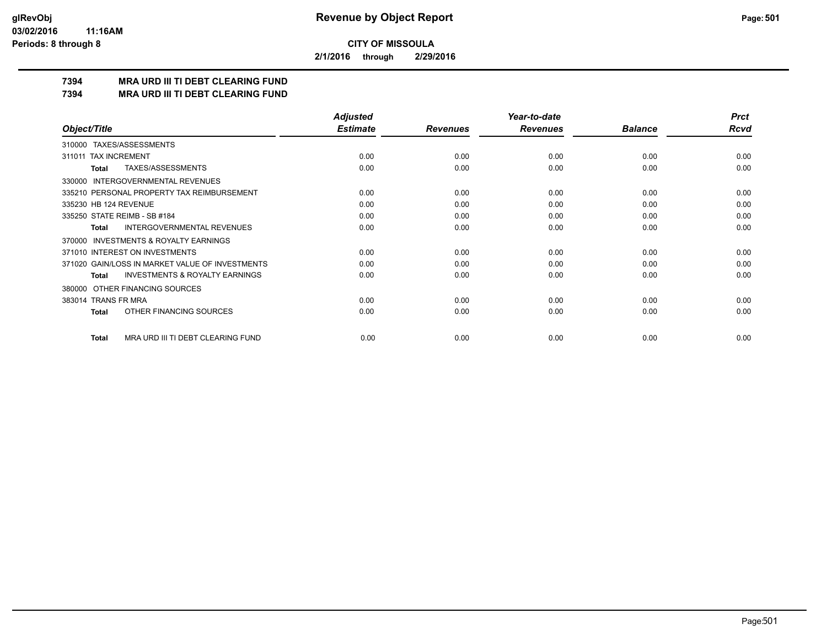**2/1/2016 through 2/29/2016**

# **7394 MRA URD III TI DEBT CLEARING FUND**

**7394 MRA URD III TI DEBT CLEARING FUND**

|                                                           | <b>Adjusted</b> |                 | Year-to-date    |                | <b>Prct</b> |
|-----------------------------------------------------------|-----------------|-----------------|-----------------|----------------|-------------|
| Object/Title                                              | <b>Estimate</b> | <b>Revenues</b> | <b>Revenues</b> | <b>Balance</b> | <b>Rcvd</b> |
| 310000 TAXES/ASSESSMENTS                                  |                 |                 |                 |                |             |
| <b>TAX INCREMENT</b><br>311011                            | 0.00            | 0.00            | 0.00            | 0.00           | 0.00        |
| TAXES/ASSESSMENTS<br><b>Total</b>                         | 0.00            | 0.00            | 0.00            | 0.00           | 0.00        |
| <b>INTERGOVERNMENTAL REVENUES</b><br>330000               |                 |                 |                 |                |             |
| 335210 PERSONAL PROPERTY TAX REIMBURSEMENT                | 0.00            | 0.00            | 0.00            | 0.00           | 0.00        |
| 335230 HB 124 REVENUE                                     | 0.00            | 0.00            | 0.00            | 0.00           | 0.00        |
| 335250 STATE REIMB - SB #184                              | 0.00            | 0.00            | 0.00            | 0.00           | 0.00        |
| INTERGOVERNMENTAL REVENUES<br><b>Total</b>                | 0.00            | 0.00            | 0.00            | 0.00           | 0.00        |
| <b>INVESTMENTS &amp; ROYALTY EARNINGS</b><br>370000       |                 |                 |                 |                |             |
| 371010 INTEREST ON INVESTMENTS                            | 0.00            | 0.00            | 0.00            | 0.00           | 0.00        |
| 371020 GAIN/LOSS IN MARKET VALUE OF INVESTMENTS           | 0.00            | 0.00            | 0.00            | 0.00           | 0.00        |
| <b>INVESTMENTS &amp; ROYALTY EARNINGS</b><br><b>Total</b> | 0.00            | 0.00            | 0.00            | 0.00           | 0.00        |
| OTHER FINANCING SOURCES<br>380000                         |                 |                 |                 |                |             |
| 383014 TRANS FR MRA                                       | 0.00            | 0.00            | 0.00            | 0.00           | 0.00        |
| OTHER FINANCING SOURCES<br><b>Total</b>                   | 0.00            | 0.00            | 0.00            | 0.00           | 0.00        |
| MRA URD III TI DEBT CLEARING FUND<br><b>Total</b>         | 0.00            | 0.00            | 0.00            | 0.00           | 0.00        |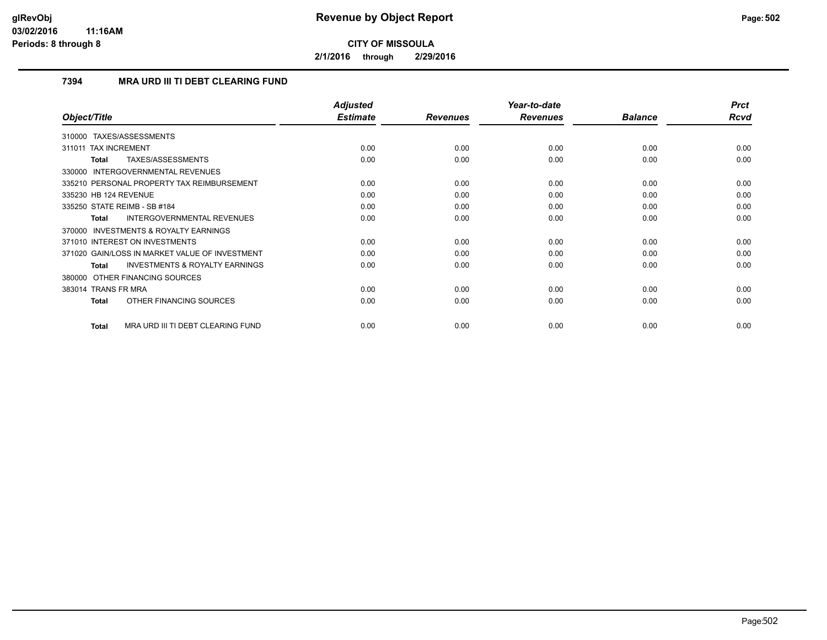**2/1/2016 through 2/29/2016**

# **7394 MRA URD III TI DEBT CLEARING FUND**

|                                                           | <b>Adjusted</b> |                 | Year-to-date    |                | <b>Prct</b> |
|-----------------------------------------------------------|-----------------|-----------------|-----------------|----------------|-------------|
| Object/Title                                              | <b>Estimate</b> | <b>Revenues</b> | <b>Revenues</b> | <b>Balance</b> | Rcvd        |
| TAXES/ASSESSMENTS<br>310000                               |                 |                 |                 |                |             |
| 311011 TAX INCREMENT                                      | 0.00            | 0.00            | 0.00            | 0.00           | 0.00        |
| <b>TAXES/ASSESSMENTS</b><br><b>Total</b>                  | 0.00            | 0.00            | 0.00            | 0.00           | 0.00        |
| 330000 INTERGOVERNMENTAL REVENUES                         |                 |                 |                 |                |             |
| 335210 PERSONAL PROPERTY TAX REIMBURSEMENT                | 0.00            | 0.00            | 0.00            | 0.00           | 0.00        |
| 335230 HB 124 REVENUE                                     | 0.00            | 0.00            | 0.00            | 0.00           | 0.00        |
| 335250 STATE REIMB - SB #184                              | 0.00            | 0.00            | 0.00            | 0.00           | 0.00        |
| <b>INTERGOVERNMENTAL REVENUES</b><br><b>Total</b>         | 0.00            | 0.00            | 0.00            | 0.00           | 0.00        |
| <b>INVESTMENTS &amp; ROYALTY EARNINGS</b><br>370000       |                 |                 |                 |                |             |
| 371010 INTEREST ON INVESTMENTS                            | 0.00            | 0.00            | 0.00            | 0.00           | 0.00        |
| 371020 GAIN/LOSS IN MARKET VALUE OF INVESTMENT            | 0.00            | 0.00            | 0.00            | 0.00           | 0.00        |
| <b>INVESTMENTS &amp; ROYALTY EARNINGS</b><br><b>Total</b> | 0.00            | 0.00            | 0.00            | 0.00           | 0.00        |
| 380000 OTHER FINANCING SOURCES                            |                 |                 |                 |                |             |
| 383014 TRANS FR MRA                                       | 0.00            | 0.00            | 0.00            | 0.00           | 0.00        |
| OTHER FINANCING SOURCES<br><b>Total</b>                   | 0.00            | 0.00            | 0.00            | 0.00           | 0.00        |
| MRA URD III TI DEBT CLEARING FUND<br><b>Total</b>         | 0.00            | 0.00            | 0.00            | 0.00           | 0.00        |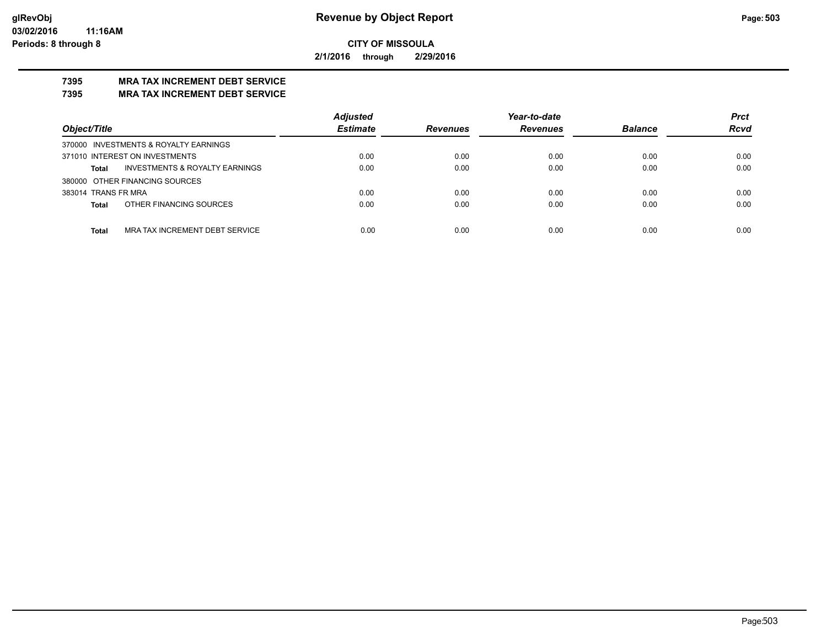**2/1/2016 through 2/29/2016**

# **7395 MRA TAX INCREMENT DEBT SERVICE**

# **7395 MRA TAX INCREMENT DEBT SERVICE**

|                                                | <b>Adjusted</b> | Year-to-date    |                 |                | <b>Prct</b> |
|------------------------------------------------|-----------------|-----------------|-----------------|----------------|-------------|
| Object/Title                                   | <b>Estimate</b> | <b>Revenues</b> | <b>Revenues</b> | <b>Balance</b> | <b>Rcvd</b> |
| 370000 INVESTMENTS & ROYALTY EARNINGS          |                 |                 |                 |                |             |
| 371010 INTEREST ON INVESTMENTS                 | 0.00            | 0.00            | 0.00            | 0.00           | 0.00        |
| INVESTMENTS & ROYALTY EARNINGS<br><b>Total</b> | 0.00            | 0.00            | 0.00            | 0.00           | 0.00        |
| 380000 OTHER FINANCING SOURCES                 |                 |                 |                 |                |             |
| 383014 TRANS FR MRA                            | 0.00            | 0.00            | 0.00            | 0.00           | 0.00        |
| OTHER FINANCING SOURCES<br><b>Total</b>        | 0.00            | 0.00            | 0.00            | 0.00           | 0.00        |
|                                                |                 |                 |                 |                |             |
| MRA TAX INCREMENT DEBT SERVICE<br><b>Total</b> | 0.00            | 0.00            | 0.00            | 0.00           | 0.00        |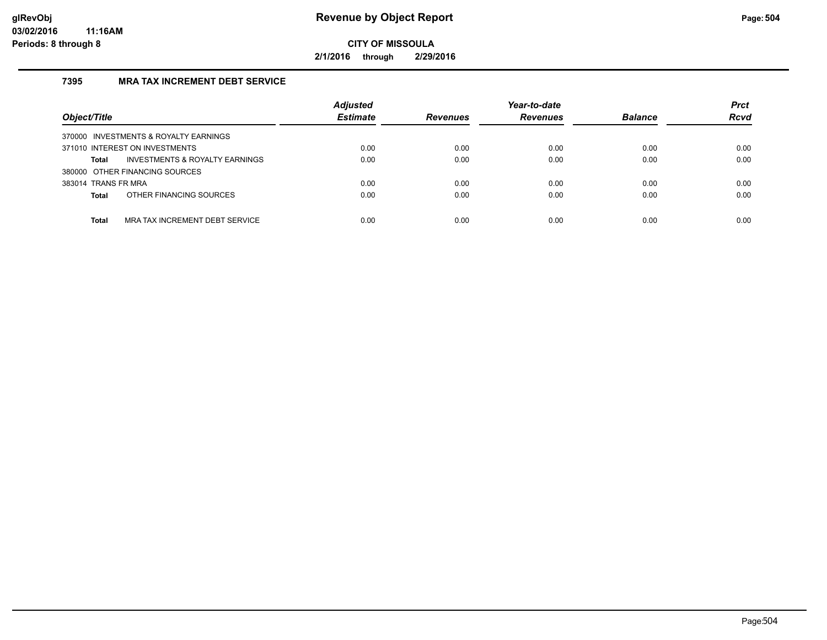**2/1/2016 through 2/29/2016**

# **7395 MRA TAX INCREMENT DEBT SERVICE**

| Object/Title                                   | <b>Adjusted</b><br><b>Estimate</b> | <b>Revenues</b> | Year-to-date<br><b>Revenues</b> | <b>Balance</b> | <b>Prct</b><br><b>Rcvd</b> |
|------------------------------------------------|------------------------------------|-----------------|---------------------------------|----------------|----------------------------|
| 370000 INVESTMENTS & ROYALTY EARNINGS          |                                    |                 |                                 |                |                            |
| 371010 INTEREST ON INVESTMENTS                 | 0.00                               | 0.00            | 0.00                            | 0.00           | 0.00                       |
| INVESTMENTS & ROYALTY EARNINGS<br>Total        | 0.00                               | 0.00            | 0.00                            | 0.00           | 0.00                       |
| 380000 OTHER FINANCING SOURCES                 |                                    |                 |                                 |                |                            |
| 383014 TRANS FR MRA                            | 0.00                               | 0.00            | 0.00                            | 0.00           | 0.00                       |
| OTHER FINANCING SOURCES<br><b>Total</b>        | 0.00                               | 0.00            | 0.00                            | 0.00           | 0.00                       |
|                                                |                                    |                 |                                 |                |                            |
| MRA TAX INCREMENT DEBT SERVICE<br><b>Total</b> | 0.00                               | 0.00            | 0.00                            | 0.00           | 0.00                       |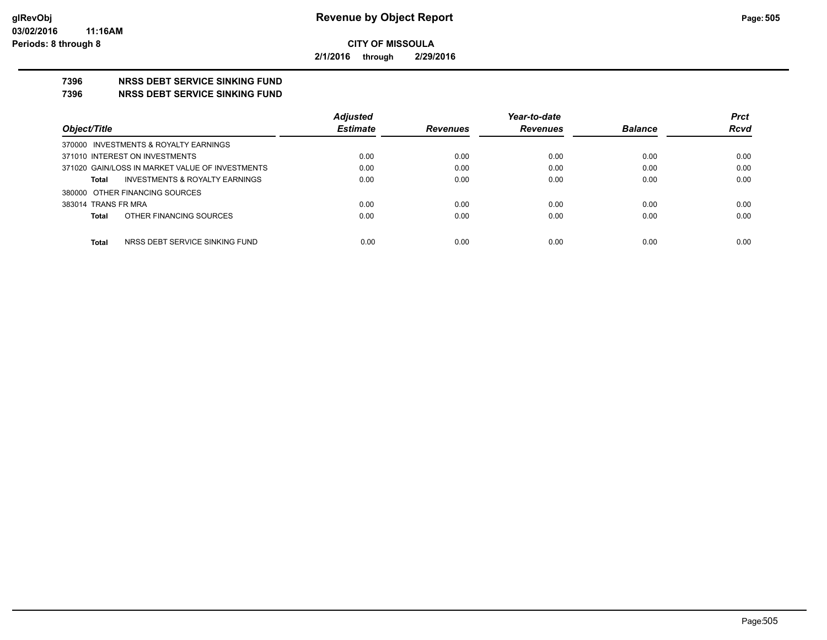**2/1/2016 through 2/29/2016**

# **7396 NRSS DEBT SERVICE SINKING FUND**

**7396 NRSS DEBT SERVICE SINKING FUND**

|                                                 | <b>Adjusted</b> |                 | Year-to-date    |                | <b>Prct</b> |
|-------------------------------------------------|-----------------|-----------------|-----------------|----------------|-------------|
| Object/Title                                    | <b>Estimate</b> | <b>Revenues</b> | <b>Revenues</b> | <b>Balance</b> | <b>Rcvd</b> |
| 370000 INVESTMENTS & ROYALTY EARNINGS           |                 |                 |                 |                |             |
| 371010 INTEREST ON INVESTMENTS                  | 0.00            | 0.00            | 0.00            | 0.00           | 0.00        |
| 371020 GAIN/LOSS IN MARKET VALUE OF INVESTMENTS | 0.00            | 0.00            | 0.00            | 0.00           | 0.00        |
| INVESTMENTS & ROYALTY EARNINGS<br><b>Total</b>  | 0.00            | 0.00            | 0.00            | 0.00           | 0.00        |
| 380000 OTHER FINANCING SOURCES                  |                 |                 |                 |                |             |
| 383014 TRANS FR MRA                             | 0.00            | 0.00            | 0.00            | 0.00           | 0.00        |
| OTHER FINANCING SOURCES<br><b>Total</b>         | 0.00            | 0.00            | 0.00            | 0.00           | 0.00        |
|                                                 |                 |                 |                 |                |             |
| <b>Total</b><br>NRSS DEBT SERVICE SINKING FUND  | 0.00            | 0.00            | 0.00            | 0.00           | 0.00        |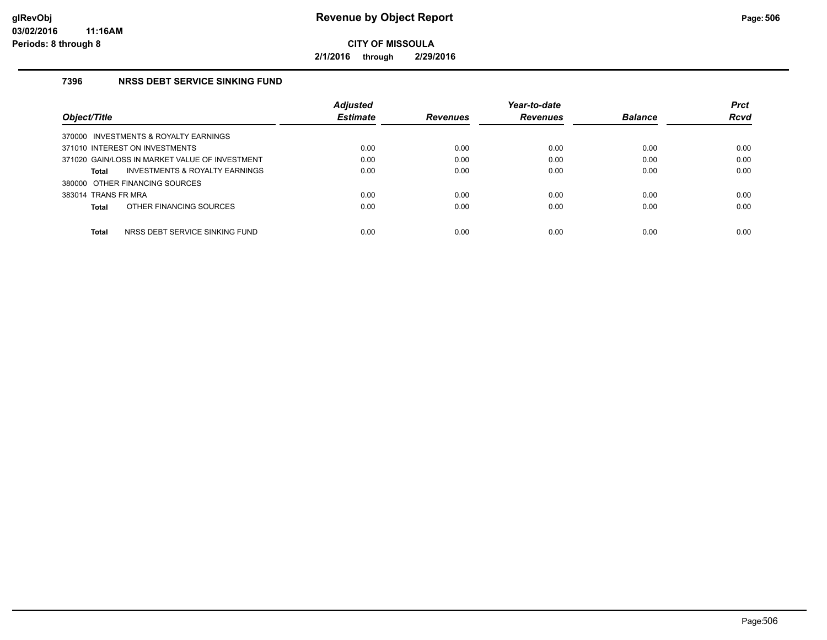**2/1/2016 through 2/29/2016**

## **7396 NRSS DEBT SERVICE SINKING FUND**

|                                                    | <b>Adjusted</b> |                 | Year-to-date    |                | <b>Prct</b> |
|----------------------------------------------------|-----------------|-----------------|-----------------|----------------|-------------|
| Object/Title                                       | <b>Estimate</b> | <b>Revenues</b> | <b>Revenues</b> | <b>Balance</b> | <b>Rcvd</b> |
| 370000 INVESTMENTS & ROYALTY EARNINGS              |                 |                 |                 |                |             |
| 371010 INTEREST ON INVESTMENTS                     | 0.00            | 0.00            | 0.00            | 0.00           | 0.00        |
| 371020 GAIN/LOSS IN MARKET VALUE OF INVESTMENT     | 0.00            | 0.00            | 0.00            | 0.00           | 0.00        |
| <b>INVESTMENTS &amp; ROYALTY EARNINGS</b><br>Total | 0.00            | 0.00            | 0.00            | 0.00           | 0.00        |
| 380000 OTHER FINANCING SOURCES                     |                 |                 |                 |                |             |
| 383014 TRANS FR MRA                                | 0.00            | 0.00            | 0.00            | 0.00           | 0.00        |
| OTHER FINANCING SOURCES<br>Total                   | 0.00            | 0.00            | 0.00            | 0.00           | 0.00        |
|                                                    |                 |                 |                 |                |             |
| Total<br>NRSS DEBT SERVICE SINKING FUND            | 0.00            | 0.00            | 0.00            | 0.00           | 0.00        |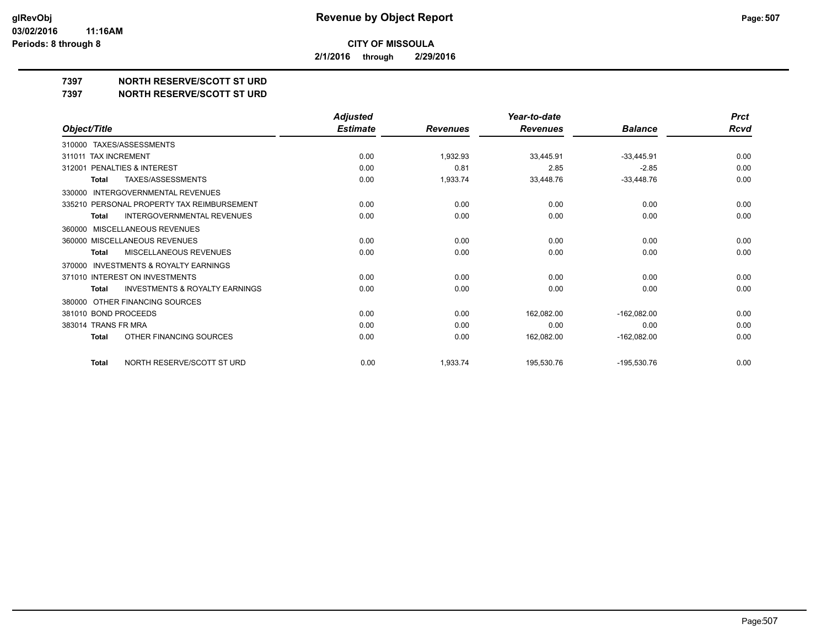**2/1/2016 through 2/29/2016**

**7397 NORTH RESERVE/SCOTT ST URD**

**7397 NORTH RESERVE/SCOTT ST URD**

|                                                           | <b>Adjusted</b> |                 | Year-to-date    |                | <b>Prct</b> |
|-----------------------------------------------------------|-----------------|-----------------|-----------------|----------------|-------------|
| Object/Title                                              | <b>Estimate</b> | <b>Revenues</b> | <b>Revenues</b> | <b>Balance</b> | Rcvd        |
| TAXES/ASSESSMENTS<br>310000                               |                 |                 |                 |                |             |
| <b>TAX INCREMENT</b><br>311011                            | 0.00            | 1,932.93        | 33,445.91       | $-33,445.91$   | 0.00        |
| PENALTIES & INTEREST<br>312001                            | 0.00            | 0.81            | 2.85            | $-2.85$        | 0.00        |
| TAXES/ASSESSMENTS<br><b>Total</b>                         | 0.00            | 1,933.74        | 33,448.76       | $-33,448.76$   | 0.00        |
| INTERGOVERNMENTAL REVENUES<br>330000                      |                 |                 |                 |                |             |
| 335210 PERSONAL PROPERTY TAX REIMBURSEMENT                | 0.00            | 0.00            | 0.00            | 0.00           | 0.00        |
| <b>INTERGOVERNMENTAL REVENUES</b><br><b>Total</b>         | 0.00            | 0.00            | 0.00            | 0.00           | 0.00        |
| MISCELLANEOUS REVENUES<br>360000                          |                 |                 |                 |                |             |
| 360000 MISCELLANEOUS REVENUES                             | 0.00            | 0.00            | 0.00            | 0.00           | 0.00        |
| MISCELLANEOUS REVENUES<br>Total                           | 0.00            | 0.00            | 0.00            | 0.00           | 0.00        |
| INVESTMENTS & ROYALTY EARNINGS<br>370000                  |                 |                 |                 |                |             |
| 371010 INTEREST ON INVESTMENTS                            | 0.00            | 0.00            | 0.00            | 0.00           | 0.00        |
| <b>INVESTMENTS &amp; ROYALTY EARNINGS</b><br><b>Total</b> | 0.00            | 0.00            | 0.00            | 0.00           | 0.00        |
| OTHER FINANCING SOURCES<br>380000                         |                 |                 |                 |                |             |
| 381010 BOND PROCEEDS                                      | 0.00            | 0.00            | 162,082.00      | $-162,082.00$  | 0.00        |
| 383014 TRANS FR MRA                                       | 0.00            | 0.00            | 0.00            | 0.00           | 0.00        |
| OTHER FINANCING SOURCES<br><b>Total</b>                   | 0.00            | 0.00            | 162,082.00      | $-162,082.00$  | 0.00        |
| NORTH RESERVE/SCOTT ST URD<br><b>Total</b>                | 0.00            | 1,933.74        | 195,530.76      | $-195,530.76$  | 0.00        |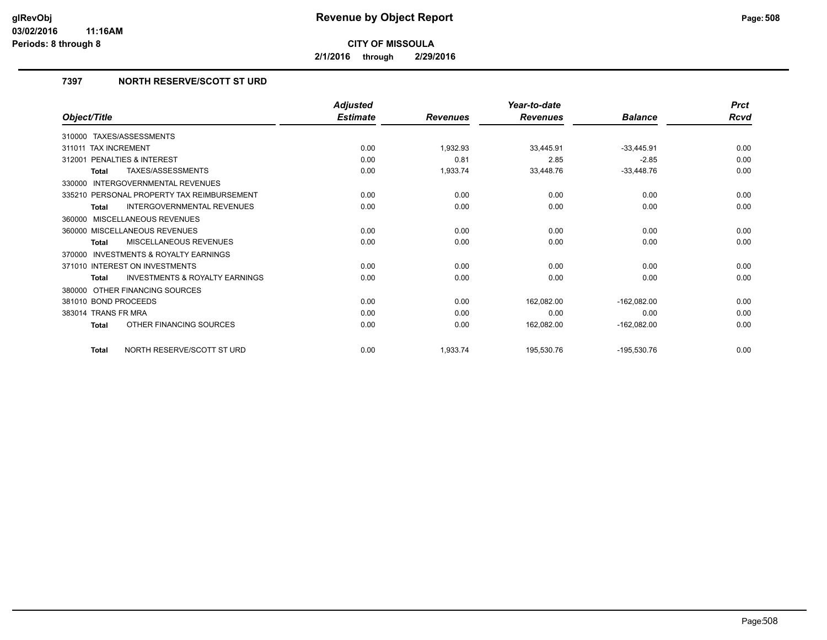**2/1/2016 through 2/29/2016**

# **7397 NORTH RESERVE/SCOTT ST URD**

|                                                           | <b>Adjusted</b> |                 | Year-to-date    |                | <b>Prct</b> |
|-----------------------------------------------------------|-----------------|-----------------|-----------------|----------------|-------------|
| Object/Title                                              | <b>Estimate</b> | <b>Revenues</b> | <b>Revenues</b> | <b>Balance</b> | <b>Rcvd</b> |
| 310000 TAXES/ASSESSMENTS                                  |                 |                 |                 |                |             |
| 311011 TAX INCREMENT                                      | 0.00            | 1,932.93        | 33,445.91       | $-33,445.91$   | 0.00        |
| 312001 PENALTIES & INTEREST                               | 0.00            | 0.81            | 2.85            | $-2.85$        | 0.00        |
| <b>TAXES/ASSESSMENTS</b><br><b>Total</b>                  | 0.00            | 1,933.74        | 33,448.76       | $-33,448.76$   | 0.00        |
| <b>INTERGOVERNMENTAL REVENUES</b><br>330000               |                 |                 |                 |                |             |
| 335210 PERSONAL PROPERTY TAX REIMBURSEMENT                | 0.00            | 0.00            | 0.00            | 0.00           | 0.00        |
| <b>INTERGOVERNMENTAL REVENUES</b><br><b>Total</b>         | 0.00            | 0.00            | 0.00            | 0.00           | 0.00        |
| 360000 MISCELLANEOUS REVENUES                             |                 |                 |                 |                |             |
| 360000 MISCELLANEOUS REVENUES                             | 0.00            | 0.00            | 0.00            | 0.00           | 0.00        |
| MISCELLANEOUS REVENUES<br><b>Total</b>                    | 0.00            | 0.00            | 0.00            | 0.00           | 0.00        |
| <b>INVESTMENTS &amp; ROYALTY EARNINGS</b><br>370000       |                 |                 |                 |                |             |
| 371010 INTEREST ON INVESTMENTS                            | 0.00            | 0.00            | 0.00            | 0.00           | 0.00        |
| <b>INVESTMENTS &amp; ROYALTY EARNINGS</b><br><b>Total</b> | 0.00            | 0.00            | 0.00            | 0.00           | 0.00        |
| OTHER FINANCING SOURCES<br>380000                         |                 |                 |                 |                |             |
| 381010 BOND PROCEEDS                                      | 0.00            | 0.00            | 162,082.00      | $-162,082.00$  | 0.00        |
| 383014 TRANS FR MRA                                       | 0.00            | 0.00            | 0.00            | 0.00           | 0.00        |
| OTHER FINANCING SOURCES<br>Total                          | 0.00            | 0.00            | 162,082.00      | $-162,082.00$  | 0.00        |
| NORTH RESERVE/SCOTT ST URD<br><b>Total</b>                | 0.00            | 1,933.74        | 195,530.76      | $-195,530.76$  | 0.00        |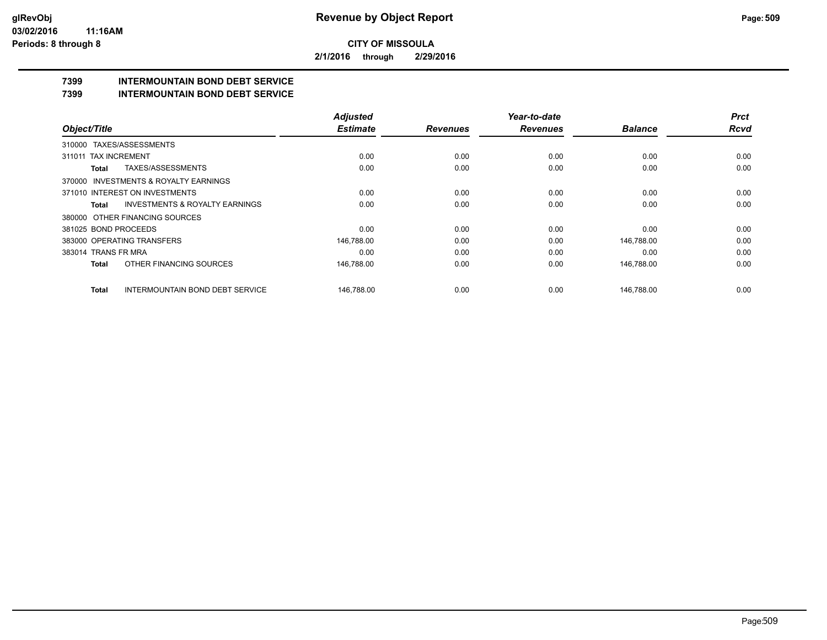**2/1/2016 through 2/29/2016**

# **7399 INTERMOUNTAIN BOND DEBT SERVICE**

#### **7399 INTERMOUNTAIN BOND DEBT SERVICE**

|                                                           | <b>Adjusted</b> |                 | Year-to-date    |                | <b>Prct</b> |
|-----------------------------------------------------------|-----------------|-----------------|-----------------|----------------|-------------|
| Object/Title                                              | <b>Estimate</b> | <b>Revenues</b> | <b>Revenues</b> | <b>Balance</b> | <b>Rcvd</b> |
| TAXES/ASSESSMENTS<br>310000                               |                 |                 |                 |                |             |
| 311011 TAX INCREMENT                                      | 0.00            | 0.00            | 0.00            | 0.00           | 0.00        |
| TAXES/ASSESSMENTS<br>Total                                | 0.00            | 0.00            | 0.00            | 0.00           | 0.00        |
| 370000 INVESTMENTS & ROYALTY EARNINGS                     |                 |                 |                 |                |             |
| 371010 INTEREST ON INVESTMENTS                            | 0.00            | 0.00            | 0.00            | 0.00           | 0.00        |
| <b>INVESTMENTS &amp; ROYALTY EARNINGS</b><br><b>Total</b> | 0.00            | 0.00            | 0.00            | 0.00           | 0.00        |
| 380000 OTHER FINANCING SOURCES                            |                 |                 |                 |                |             |
| 381025 BOND PROCEEDS                                      | 0.00            | 0.00            | 0.00            | 0.00           | 0.00        |
| 383000 OPERATING TRANSFERS                                | 146,788.00      | 0.00            | 0.00            | 146,788.00     | 0.00        |
| 383014 TRANS FR MRA                                       | 0.00            | 0.00            | 0.00            | 0.00           | 0.00        |
| OTHER FINANCING SOURCES<br><b>Total</b>                   | 146,788.00      | 0.00            | 0.00            | 146,788.00     | 0.00        |
| <b>INTERMOUNTAIN BOND DEBT SERVICE</b><br><b>Total</b>    | 146.788.00      | 0.00            | 0.00            | 146.788.00     | 0.00        |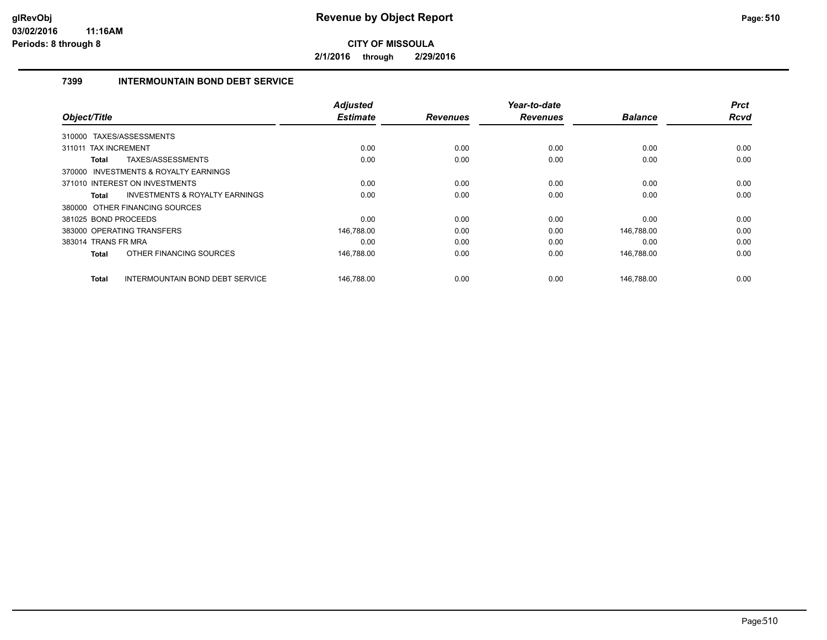**2/1/2016 through 2/29/2016**

## **7399 INTERMOUNTAIN BOND DEBT SERVICE**

| Object/Title         |                                           | <b>Adjusted</b><br><b>Estimate</b> | <b>Revenues</b> | Year-to-date<br><b>Revenues</b> | <b>Balance</b> | <b>Prct</b><br>Rcvd |
|----------------------|-------------------------------------------|------------------------------------|-----------------|---------------------------------|----------------|---------------------|
|                      |                                           |                                    |                 |                                 |                |                     |
|                      | 310000 TAXES/ASSESSMENTS                  |                                    |                 |                                 |                |                     |
| 311011               | <b>TAX INCREMENT</b>                      | 0.00                               | 0.00            | 0.00                            | 0.00           | 0.00                |
| Total                | <b>TAXES/ASSESSMENTS</b>                  | 0.00                               | 0.00            | 0.00                            | 0.00           | 0.00                |
|                      | 370000 INVESTMENTS & ROYALTY EARNINGS     |                                    |                 |                                 |                |                     |
|                      | 371010 INTEREST ON INVESTMENTS            | 0.00                               | 0.00            | 0.00                            | 0.00           | 0.00                |
| Total                | <b>INVESTMENTS &amp; ROYALTY EARNINGS</b> | 0.00                               | 0.00            | 0.00                            | 0.00           | 0.00                |
|                      | 380000 OTHER FINANCING SOURCES            |                                    |                 |                                 |                |                     |
| 381025 BOND PROCEEDS |                                           | 0.00                               | 0.00            | 0.00                            | 0.00           | 0.00                |
|                      | 383000 OPERATING TRANSFERS                | 146,788.00                         | 0.00            | 0.00                            | 146,788.00     | 0.00                |
| 383014 TRANS FR MRA  |                                           | 0.00                               | 0.00            | 0.00                            | 0.00           | 0.00                |
| <b>Total</b>         | OTHER FINANCING SOURCES                   | 146,788.00                         | 0.00            | 0.00                            | 146,788.00     | 0.00                |
| <b>Total</b>         | INTERMOUNTAIN BOND DEBT SERVICE           | 146,788.00                         | 0.00            | 0.00                            | 146,788.00     | 0.00                |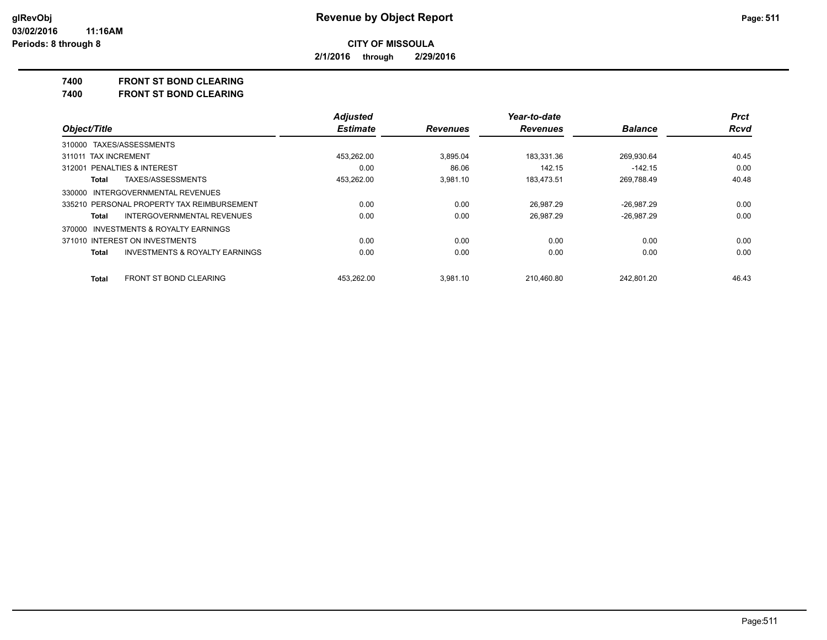**2/1/2016 through 2/29/2016**

#### **7400 FRONT ST BOND CLEARING**

**7400 FRONT ST BOND CLEARING**

|                                                    | <b>Adjusted</b> |                 | Year-to-date    |                | <b>Prct</b> |
|----------------------------------------------------|-----------------|-----------------|-----------------|----------------|-------------|
| Object/Title                                       | <b>Estimate</b> | <b>Revenues</b> | <b>Revenues</b> | <b>Balance</b> | <b>Rcvd</b> |
| 310000 TAXES/ASSESSMENTS                           |                 |                 |                 |                |             |
| 311011 TAX INCREMENT                               | 453.262.00      | 3.895.04        | 183.331.36      | 269.930.64     | 40.45       |
| 312001 PENALTIES & INTEREST                        | 0.00            | 86.06           | 142.15          | $-142.15$      | 0.00        |
| TAXES/ASSESSMENTS<br>Total                         | 453,262.00      | 3.981.10        | 183,473.51      | 269,788.49     | 40.48       |
| 330000 INTERGOVERNMENTAL REVENUES                  |                 |                 |                 |                |             |
| 335210 PERSONAL PROPERTY TAX REIMBURSEMENT         | 0.00            | 0.00            | 26.987.29       | $-26,987.29$   | 0.00        |
| INTERGOVERNMENTAL REVENUES<br>Total                | 0.00            | 0.00            | 26.987.29       | $-26.987.29$   | 0.00        |
| 370000 INVESTMENTS & ROYALTY EARNINGS              |                 |                 |                 |                |             |
| 371010 INTEREST ON INVESTMENTS                     | 0.00            | 0.00            | 0.00            | 0.00           | 0.00        |
| <b>INVESTMENTS &amp; ROYALTY EARNINGS</b><br>Total | 0.00            | 0.00            | 0.00            | 0.00           | 0.00        |
| <b>FRONT ST BOND CLEARING</b><br>Total             | 453.262.00      | 3.981.10        | 210.460.80      | 242.801.20     | 46.43       |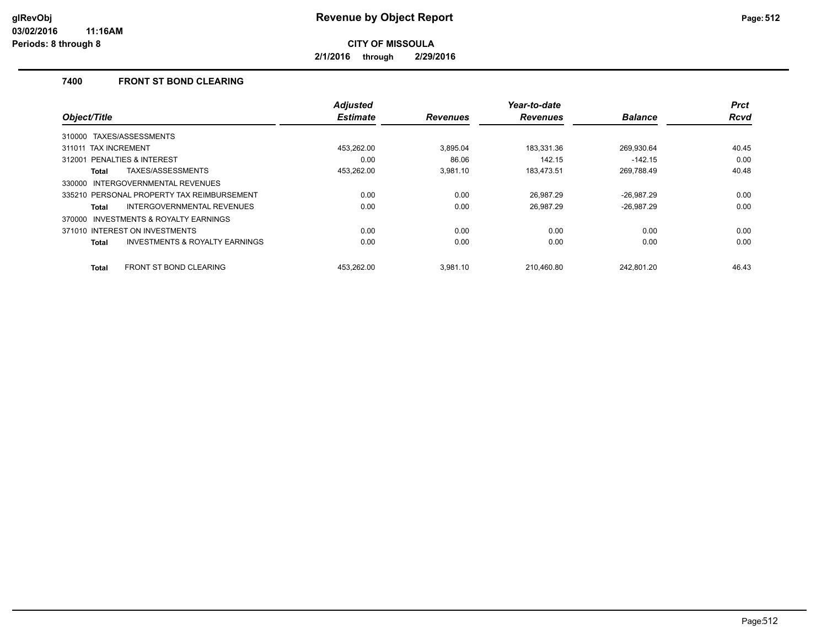**2/1/2016 through 2/29/2016**

## **7400 FRONT ST BOND CLEARING**

|                                                    | <b>Adjusted</b> |                 | Year-to-date    |                | <b>Prct</b> |
|----------------------------------------------------|-----------------|-----------------|-----------------|----------------|-------------|
| Object/Title                                       | <b>Estimate</b> | <b>Revenues</b> | <b>Revenues</b> | <b>Balance</b> | Rcvd        |
| TAXES/ASSESSMENTS<br>310000                        |                 |                 |                 |                |             |
| 311011 TAX INCREMENT                               | 453,262.00      | 3.895.04        | 183.331.36      | 269.930.64     | 40.45       |
| PENALTIES & INTEREST<br>312001                     | 0.00            | 86.06           | 142.15          | $-142.15$      | 0.00        |
| TAXES/ASSESSMENTS<br>Total                         | 453,262.00      | 3.981.10        | 183,473.51      | 269,788.49     | 40.48       |
| INTERGOVERNMENTAL REVENUES<br>330000               |                 |                 |                 |                |             |
| 335210 PERSONAL PROPERTY TAX REIMBURSEMENT         | 0.00            | 0.00            | 26.987.29       | $-26,987.29$   | 0.00        |
| <b>INTERGOVERNMENTAL REVENUES</b><br>Total         | 0.00            | 0.00            | 26.987.29       | $-26,987.29$   | 0.00        |
| INVESTMENTS & ROYALTY EARNINGS<br>370000           |                 |                 |                 |                |             |
| 371010 INTEREST ON INVESTMENTS                     | 0.00            | 0.00            | 0.00            | 0.00           | 0.00        |
| <b>INVESTMENTS &amp; ROYALTY EARNINGS</b><br>Total | 0.00            | 0.00            | 0.00            | 0.00           | 0.00        |
| <b>FRONT ST BOND CLEARING</b><br>Total             | 453.262.00      | 3.981.10        | 210.460.80      | 242.801.20     | 46.43       |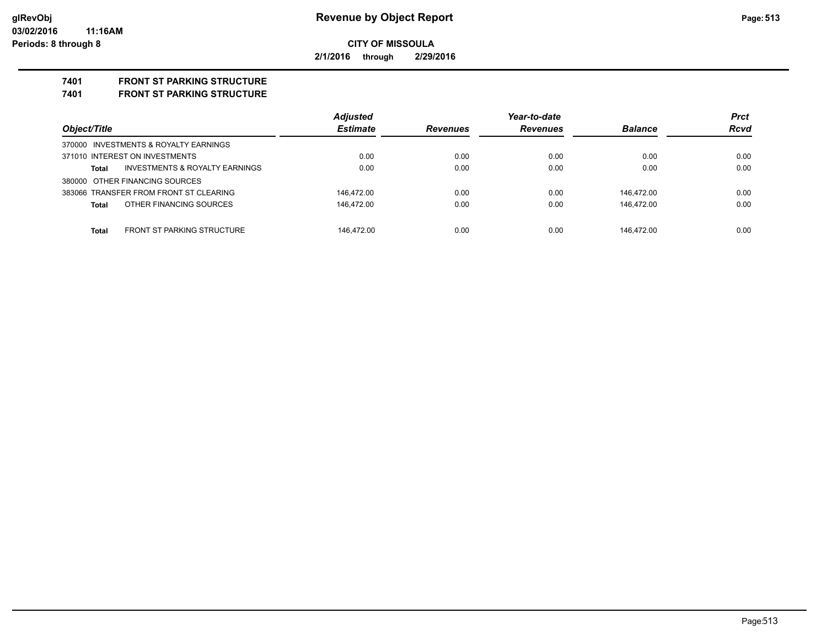**2/1/2016 through 2/29/2016**

# **7401 FRONT ST PARKING STRUCTURE**

**7401 FRONT ST PARKING STRUCTURE**

|                                         | <b>Adjusted</b> |                 | Year-to-date    |                | <b>Prct</b> |
|-----------------------------------------|-----------------|-----------------|-----------------|----------------|-------------|
| Object/Title                            | <b>Estimate</b> | <b>Revenues</b> | <b>Revenues</b> | <b>Balance</b> | Rcvd        |
| 370000 INVESTMENTS & ROYALTY EARNINGS   |                 |                 |                 |                |             |
| 371010 INTEREST ON INVESTMENTS          | 0.00            | 0.00            | 0.00            | 0.00           | 0.00        |
| INVESTMENTS & ROYALTY EARNINGS<br>Total | 0.00            | 0.00            | 0.00            | 0.00           | 0.00        |
| 380000 OTHER FINANCING SOURCES          |                 |                 |                 |                |             |
| 383066 TRANSFER FROM FRONT ST CLEARING  | 146.472.00      | 0.00            | 0.00            | 146.472.00     | 0.00        |
| OTHER FINANCING SOURCES<br>Total        | 146.472.00      | 0.00            | 0.00            | 146.472.00     | 0.00        |
|                                         |                 |                 |                 |                |             |
| FRONT ST PARKING STRUCTURE<br>Total     | 146.472.00      | 0.00            | 0.00            | 146.472.00     | 0.00        |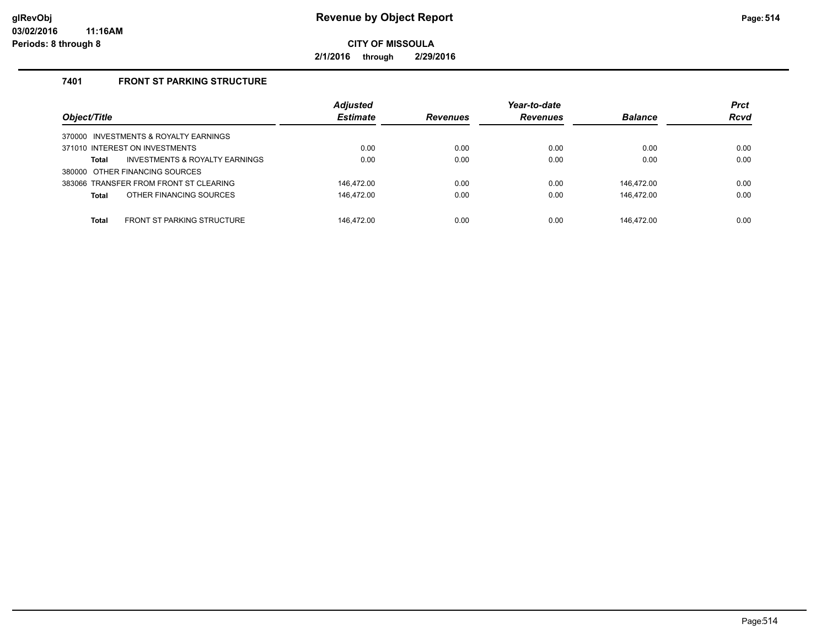**2/1/2016 through 2/29/2016**

# **7401 FRONT ST PARKING STRUCTURE**

| Object/Title                                      | <b>Adjusted</b><br><b>Estimate</b> | <b>Revenues</b> | Year-to-date<br><b>Revenues</b> | <b>Balance</b> | <b>Prct</b><br><b>Rcvd</b> |
|---------------------------------------------------|------------------------------------|-----------------|---------------------------------|----------------|----------------------------|
| 370000 INVESTMENTS & ROYALTY EARNINGS             |                                    |                 |                                 |                |                            |
| 371010 INTEREST ON INVESTMENTS                    | 0.00                               | 0.00            | 0.00                            | 0.00           | 0.00                       |
| INVESTMENTS & ROYALTY EARNINGS<br>Total           | 0.00                               | 0.00            | 0.00                            | 0.00           | 0.00                       |
| 380000 OTHER FINANCING SOURCES                    |                                    |                 |                                 |                |                            |
| 383066 TRANSFER FROM FRONT ST CLEARING            | 146,472.00                         | 0.00            | 0.00                            | 146.472.00     | 0.00                       |
| OTHER FINANCING SOURCES<br>Total                  | 146,472.00                         | 0.00            | 0.00                            | 146,472.00     | 0.00                       |
|                                                   |                                    |                 |                                 |                |                            |
| <b>FRONT ST PARKING STRUCTURE</b><br><b>Total</b> | 146.472.00                         | 0.00            | 0.00                            | 146.472.00     | 0.00                       |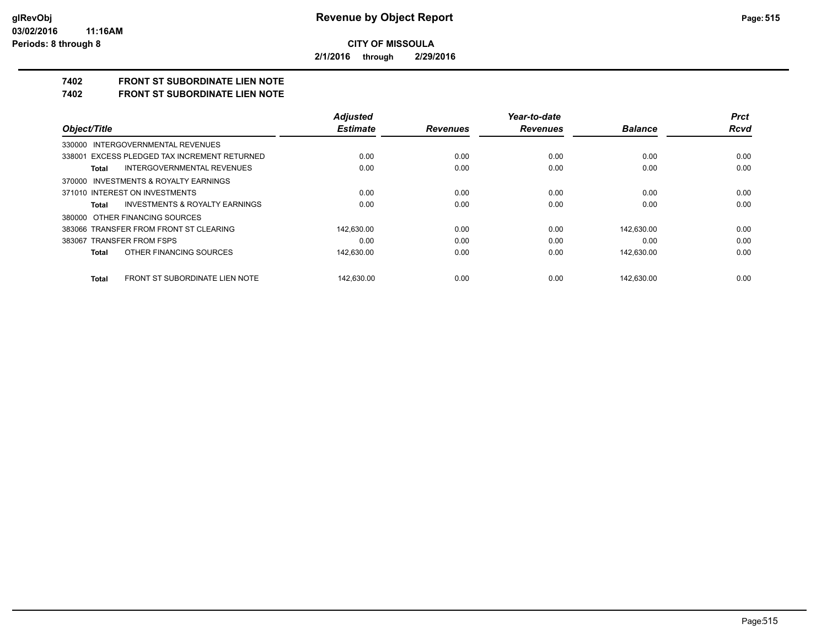**2/1/2016 through 2/29/2016**

# **7402 FRONT ST SUBORDINATE LIEN NOTE**

**7402 FRONT ST SUBORDINATE LIEN NOTE**

|                                                    | <b>Adjusted</b> |                 | Year-to-date    |                | <b>Prct</b> |
|----------------------------------------------------|-----------------|-----------------|-----------------|----------------|-------------|
| Object/Title                                       | <b>Estimate</b> | <b>Revenues</b> | <b>Revenues</b> | <b>Balance</b> | Rcvd        |
| 330000 INTERGOVERNMENTAL REVENUES                  |                 |                 |                 |                |             |
| 338001 EXCESS PLEDGED TAX INCREMENT RETURNED       | 0.00            | 0.00            | 0.00            | 0.00           | 0.00        |
| <b>INTERGOVERNMENTAL REVENUES</b><br>Total         | 0.00            | 0.00            | 0.00            | 0.00           | 0.00        |
| 370000 INVESTMENTS & ROYALTY EARNINGS              |                 |                 |                 |                |             |
| 371010 INTEREST ON INVESTMENTS                     | 0.00            | 0.00            | 0.00            | 0.00           | 0.00        |
| <b>INVESTMENTS &amp; ROYALTY EARNINGS</b><br>Total | 0.00            | 0.00            | 0.00            | 0.00           | 0.00        |
| 380000 OTHER FINANCING SOURCES                     |                 |                 |                 |                |             |
| 383066 TRANSFER FROM FRONT ST CLEARING             | 142.630.00      | 0.00            | 0.00            | 142.630.00     | 0.00        |
| 383067 TRANSFER FROM FSPS                          | 0.00            | 0.00            | 0.00            | 0.00           | 0.00        |
| OTHER FINANCING SOURCES<br>Total                   | 142,630.00      | 0.00            | 0.00            | 142,630.00     | 0.00        |
| FRONT ST SUBORDINATE LIEN NOTE<br>Total            | 142.630.00      | 0.00            | 0.00            | 142.630.00     | 0.00        |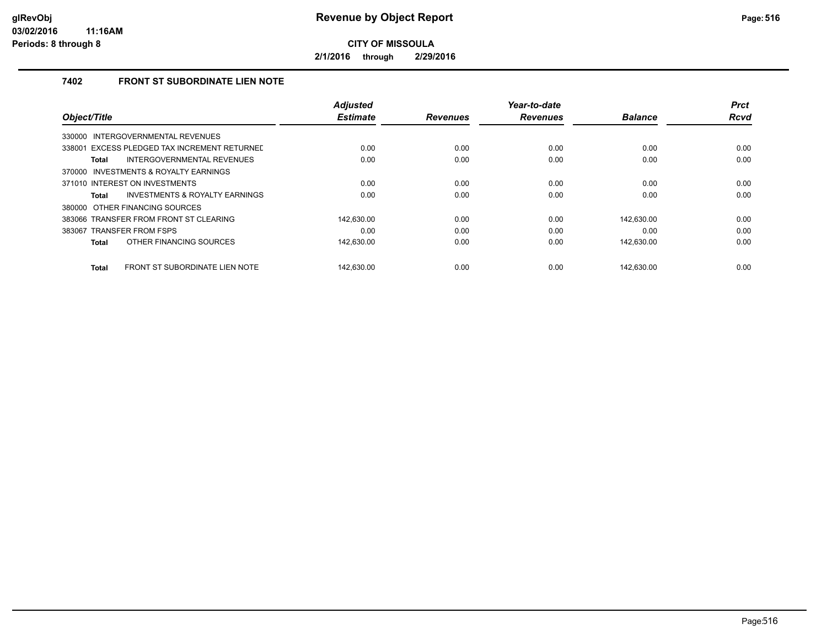**2/1/2016 through 2/29/2016**

## **7402 FRONT ST SUBORDINATE LIEN NOTE**

|                                                | <b>Adjusted</b> |                 | Year-to-date    |                | <b>Prct</b> |
|------------------------------------------------|-----------------|-----------------|-----------------|----------------|-------------|
| Object/Title                                   | <b>Estimate</b> | <b>Revenues</b> | <b>Revenues</b> | <b>Balance</b> | <b>Rcvd</b> |
| INTERGOVERNMENTAL REVENUES<br>330000           |                 |                 |                 |                |             |
| 338001 EXCESS PLEDGED TAX INCREMENT RETURNED   | 0.00            | 0.00            | 0.00            | 0.00           | 0.00        |
| INTERGOVERNMENTAL REVENUES<br><b>Total</b>     | 0.00            | 0.00            | 0.00            | 0.00           | 0.00        |
| 370000 INVESTMENTS & ROYALTY EARNINGS          |                 |                 |                 |                |             |
| 371010 INTEREST ON INVESTMENTS                 | 0.00            | 0.00            | 0.00            | 0.00           | 0.00        |
| INVESTMENTS & ROYALTY EARNINGS<br>Total        | 0.00            | 0.00            | 0.00            | 0.00           | 0.00        |
| 380000 OTHER FINANCING SOURCES                 |                 |                 |                 |                |             |
| 383066 TRANSFER FROM FRONT ST CLEARING         | 142.630.00      | 0.00            | 0.00            | 142.630.00     | 0.00        |
| 383067 TRANSFER FROM FSPS                      | 0.00            | 0.00            | 0.00            | 0.00           | 0.00        |
| OTHER FINANCING SOURCES<br><b>Total</b>        | 142,630.00      | 0.00            | 0.00            | 142,630.00     | 0.00        |
| FRONT ST SUBORDINATE LIEN NOTE<br><b>Total</b> | 142.630.00      | 0.00            | 0.00            | 142.630.00     | 0.00        |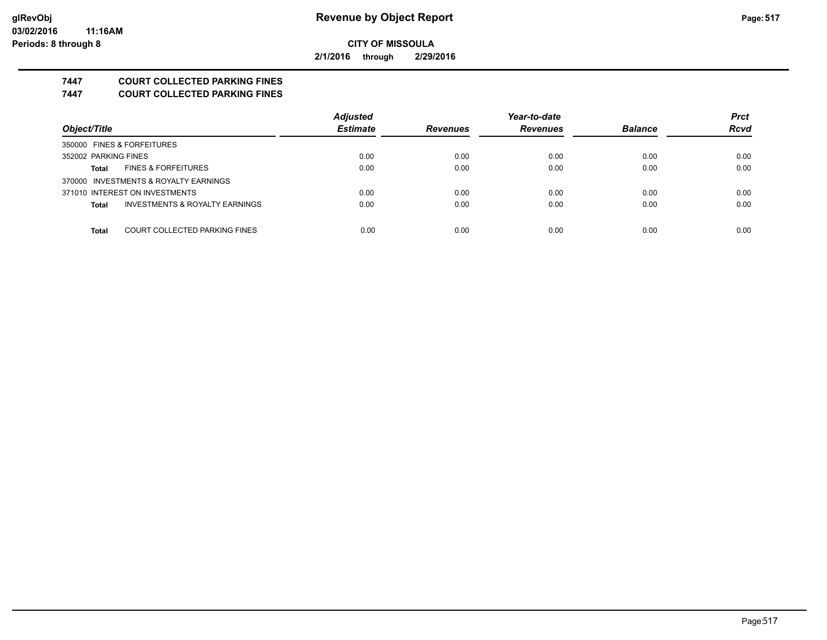**2/1/2016 through 2/29/2016**

# **7447 COURT COLLECTED PARKING FINES**

**7447 COURT COLLECTED PARKING FINES**

|                                                | <b>Adjusted</b> |                 | Year-to-date    |                | <b>Prct</b> |
|------------------------------------------------|-----------------|-----------------|-----------------|----------------|-------------|
| Object/Title                                   | <b>Estimate</b> | <b>Revenues</b> | <b>Revenues</b> | <b>Balance</b> | <b>Rcvd</b> |
| 350000 FINES & FORFEITURES                     |                 |                 |                 |                |             |
| 352002 PARKING FINES                           | 0.00            | 0.00            | 0.00            | 0.00           | 0.00        |
| <b>FINES &amp; FORFEITURES</b><br><b>Total</b> | 0.00            | 0.00            | 0.00            | 0.00           | 0.00        |
| 370000 INVESTMENTS & ROYALTY EARNINGS          |                 |                 |                 |                |             |
| 371010 INTEREST ON INVESTMENTS                 | 0.00            | 0.00            | 0.00            | 0.00           | 0.00        |
| INVESTMENTS & ROYALTY EARNINGS<br><b>Total</b> | 0.00            | 0.00            | 0.00            | 0.00           | 0.00        |
|                                                |                 |                 |                 |                |             |
| COURT COLLECTED PARKING FINES<br><b>Total</b>  | 0.00            | 0.00            | 0.00            | 0.00           | 0.00        |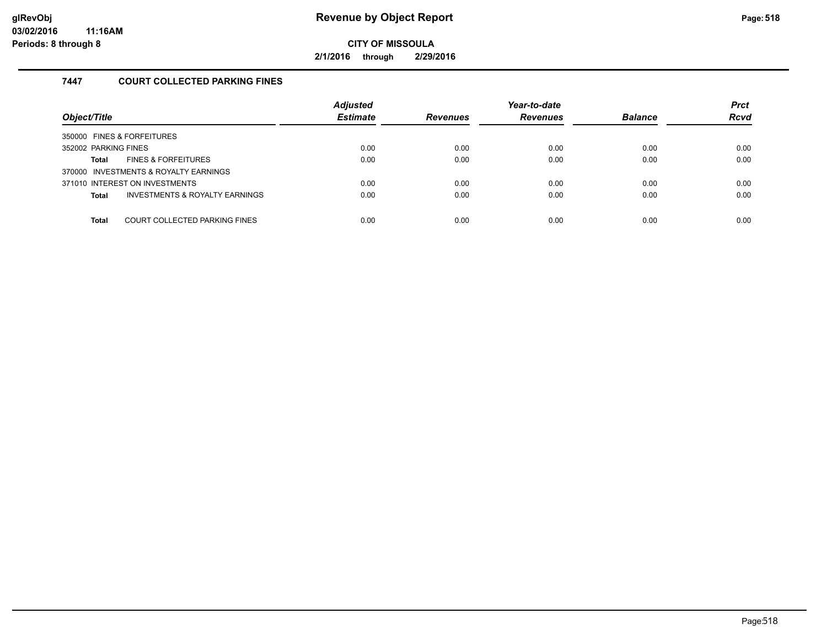**2/1/2016 through 2/29/2016**

## **7447 COURT COLLECTED PARKING FINES**

| Object/Title                                              | <b>Adjusted</b><br><b>Estimate</b> | <b>Revenues</b> | Year-to-date<br><b>Revenues</b> | <b>Balance</b> | <b>Prct</b><br><b>Rcvd</b> |
|-----------------------------------------------------------|------------------------------------|-----------------|---------------------------------|----------------|----------------------------|
| 350000 FINES & FORFEITURES                                |                                    |                 |                                 |                |                            |
| 352002 PARKING FINES                                      | 0.00                               | 0.00            | 0.00                            | 0.00           | 0.00                       |
| <b>FINES &amp; FORFEITURES</b><br>Total                   | 0.00                               | 0.00            | 0.00                            | 0.00           | 0.00                       |
| 370000 INVESTMENTS & ROYALTY EARNINGS                     |                                    |                 |                                 |                |                            |
| 371010 INTEREST ON INVESTMENTS                            | 0.00                               | 0.00            | 0.00                            | 0.00           | 0.00                       |
| <b>INVESTMENTS &amp; ROYALTY EARNINGS</b><br><b>Total</b> | 0.00                               | 0.00            | 0.00                            | 0.00           | 0.00                       |
|                                                           |                                    |                 |                                 |                |                            |
| COURT COLLECTED PARKING FINES<br><b>Total</b>             | 0.00                               | 0.00            | 0.00                            | 0.00           | 0.00                       |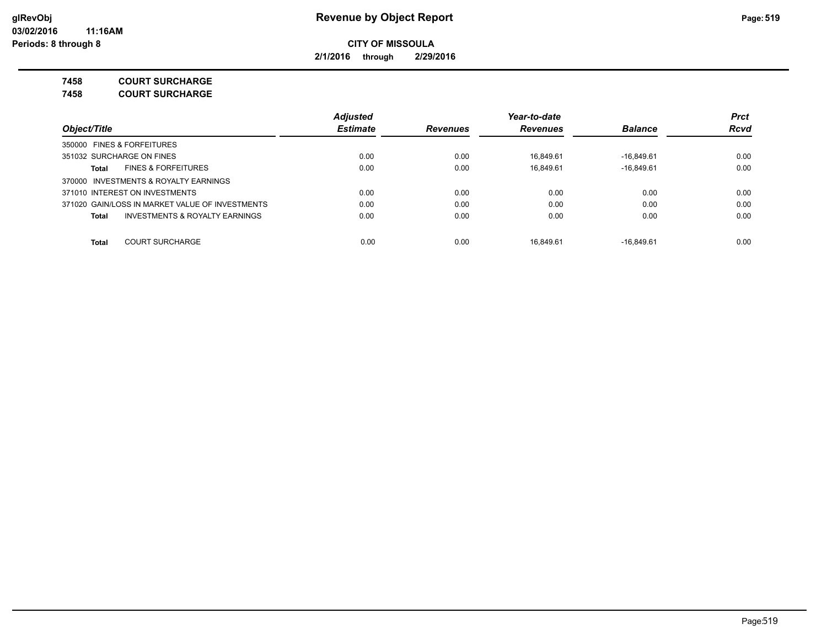**2/1/2016 through 2/29/2016**

**7458 COURT SURCHARGE**

**7458 COURT SURCHARGE**

|                                                    | <b>Adjusted</b> |                 | Year-to-date    |                | <b>Prct</b> |
|----------------------------------------------------|-----------------|-----------------|-----------------|----------------|-------------|
| Object/Title                                       | <b>Estimate</b> | <b>Revenues</b> | <b>Revenues</b> | <b>Balance</b> | <b>Rcvd</b> |
| 350000 FINES & FORFEITURES                         |                 |                 |                 |                |             |
| 351032 SURCHARGE ON FINES                          | 0.00            | 0.00            | 16.849.61       | $-16.849.61$   | 0.00        |
| <b>FINES &amp; FORFEITURES</b><br>Total            | 0.00            | 0.00            | 16.849.61       | $-16.849.61$   | 0.00        |
| 370000 INVESTMENTS & ROYALTY EARNINGS              |                 |                 |                 |                |             |
| 371010 INTEREST ON INVESTMENTS                     | 0.00            | 0.00            | 0.00            | 0.00           | 0.00        |
| 371020 GAIN/LOSS IN MARKET VALUE OF INVESTMENTS    | 0.00            | 0.00            | 0.00            | 0.00           | 0.00        |
| <b>INVESTMENTS &amp; ROYALTY EARNINGS</b><br>Total | 0.00            | 0.00            | 0.00            | 0.00           | 0.00        |
| <b>COURT SURCHARGE</b><br><b>Total</b>             | 0.00            | 0.00            | 16.849.61       | $-16.849.61$   | 0.00        |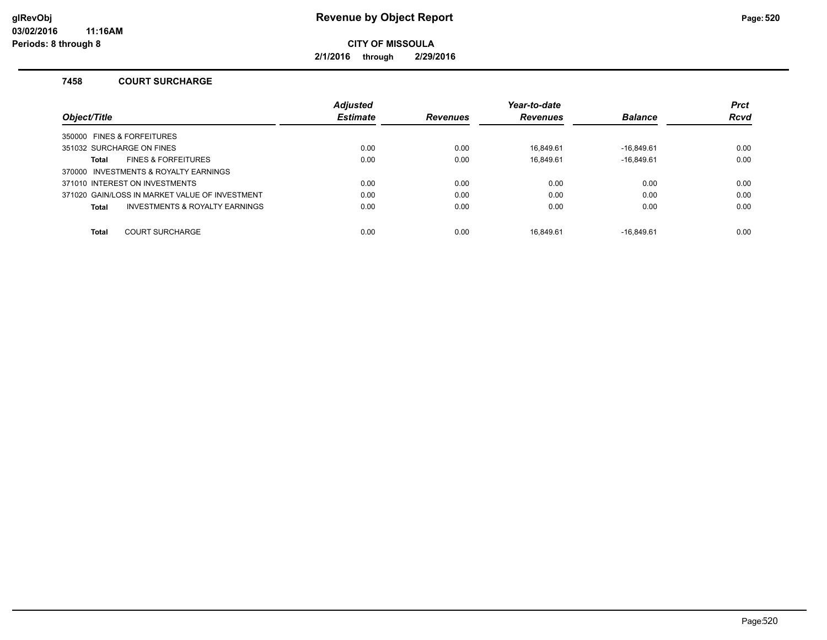**2/1/2016 through 2/29/2016**

#### **7458 COURT SURCHARGE**

|                                                | <b>Adjusted</b> |                 | Year-to-date    |                | <b>Prct</b> |
|------------------------------------------------|-----------------|-----------------|-----------------|----------------|-------------|
| Object/Title                                   | <b>Estimate</b> | <b>Revenues</b> | <b>Revenues</b> | <b>Balance</b> | <b>Rcvd</b> |
| 350000 FINES & FORFEITURES                     |                 |                 |                 |                |             |
| 351032 SURCHARGE ON FINES                      | 0.00            | 0.00            | 16.849.61       | $-16.849.61$   | 0.00        |
| <b>FINES &amp; FORFEITURES</b><br><b>Total</b> | 0.00            | 0.00            | 16.849.61       | $-16,849.61$   | 0.00        |
| 370000 INVESTMENTS & ROYALTY EARNINGS          |                 |                 |                 |                |             |
| 371010 INTEREST ON INVESTMENTS                 | 0.00            | 0.00            | 0.00            | 0.00           | 0.00        |
| 371020 GAIN/LOSS IN MARKET VALUE OF INVESTMENT | 0.00            | 0.00            | 0.00            | 0.00           | 0.00        |
| INVESTMENTS & ROYALTY EARNINGS<br>Total        | 0.00            | 0.00            | 0.00            | 0.00           | 0.00        |
|                                                |                 |                 |                 |                |             |
| <b>COURT SURCHARGE</b><br><b>Total</b>         | 0.00            | 0.00            | 16.849.61       | $-16.849.61$   | 0.00        |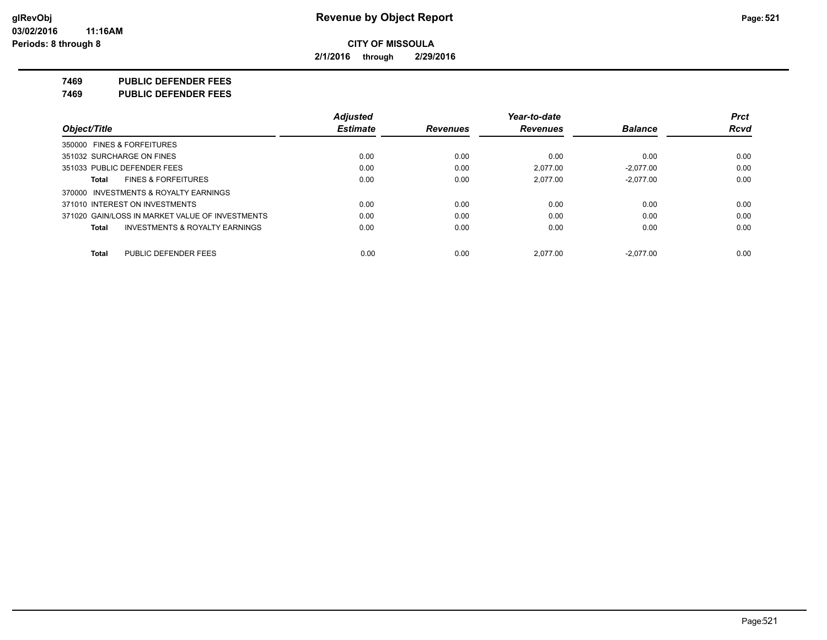**2/1/2016 through 2/29/2016**

**7469 PUBLIC DEFENDER FEES**

**7469 PUBLIC DEFENDER FEES**

|                                                    | <b>Adjusted</b> |                 | Year-to-date    |                | <b>Prct</b> |
|----------------------------------------------------|-----------------|-----------------|-----------------|----------------|-------------|
| Object/Title                                       | <b>Estimate</b> | <b>Revenues</b> | <b>Revenues</b> | <b>Balance</b> | <b>Rcvd</b> |
| 350000 FINES & FORFEITURES                         |                 |                 |                 |                |             |
| 351032 SURCHARGE ON FINES                          | 0.00            | 0.00            | 0.00            | 0.00           | 0.00        |
| 351033 PUBLIC DEFENDER FEES                        | 0.00            | 0.00            | 2.077.00        | $-2.077.00$    | 0.00        |
| <b>FINES &amp; FORFEITURES</b><br>Total            | 0.00            | 0.00            | 2.077.00        | $-2.077.00$    | 0.00        |
| 370000 INVESTMENTS & ROYALTY EARNINGS              |                 |                 |                 |                |             |
| 371010 INTEREST ON INVESTMENTS                     | 0.00            | 0.00            | 0.00            | 0.00           | 0.00        |
| 371020 GAIN/LOSS IN MARKET VALUE OF INVESTMENTS    | 0.00            | 0.00            | 0.00            | 0.00           | 0.00        |
| <b>INVESTMENTS &amp; ROYALTY EARNINGS</b><br>Total | 0.00            | 0.00            | 0.00            | 0.00           | 0.00        |
| PUBLIC DEFENDER FEES<br>Total                      | 0.00            | 0.00            | 2.077.00        | $-2.077.00$    | 0.00        |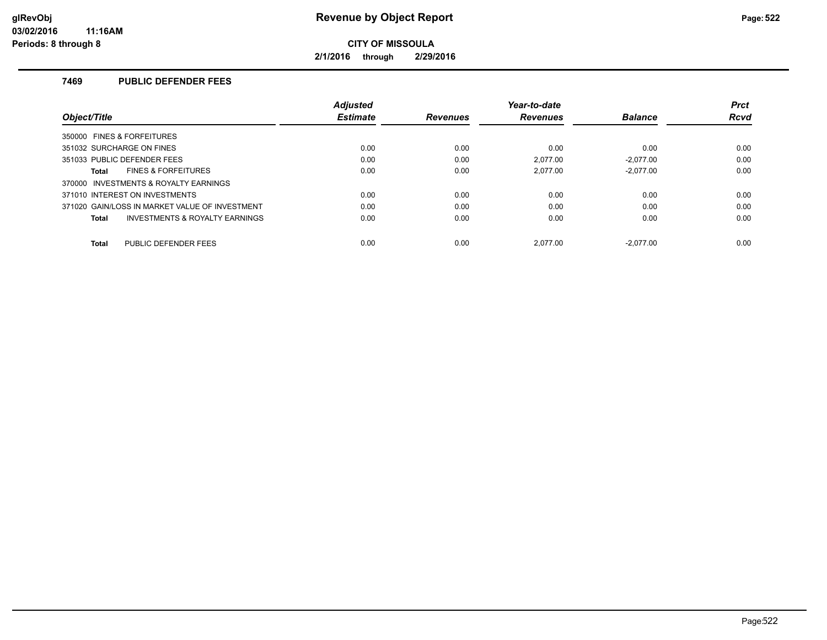**2/1/2016 through 2/29/2016**

## **7469 PUBLIC DEFENDER FEES**

|                                                    | <b>Adjusted</b> |                 | Year-to-date    |                | <b>Prct</b> |
|----------------------------------------------------|-----------------|-----------------|-----------------|----------------|-------------|
| Object/Title                                       | <b>Estimate</b> | <b>Revenues</b> | <b>Revenues</b> | <b>Balance</b> | <b>Rcvd</b> |
| 350000 FINES & FORFEITURES                         |                 |                 |                 |                |             |
| 351032 SURCHARGE ON FINES                          | 0.00            | 0.00            | 0.00            | 0.00           | 0.00        |
| 351033 PUBLIC DEFENDER FEES                        | 0.00            | 0.00            | 2.077.00        | $-2.077.00$    | 0.00        |
| <b>FINES &amp; FORFEITURES</b><br><b>Total</b>     | 0.00            | 0.00            | 2.077.00        | $-2.077.00$    | 0.00        |
| 370000 INVESTMENTS & ROYALTY EARNINGS              |                 |                 |                 |                |             |
| 371010 INTEREST ON INVESTMENTS                     | 0.00            | 0.00            | 0.00            | 0.00           | 0.00        |
| 371020 GAIN/LOSS IN MARKET VALUE OF INVESTMENT     | 0.00            | 0.00            | 0.00            | 0.00           | 0.00        |
| <b>INVESTMENTS &amp; ROYALTY EARNINGS</b><br>Total | 0.00            | 0.00            | 0.00            | 0.00           | 0.00        |
| PUBLIC DEFENDER FEES<br><b>Total</b>               | 0.00            | 0.00            | 2.077.00        | $-2.077.00$    | 0.00        |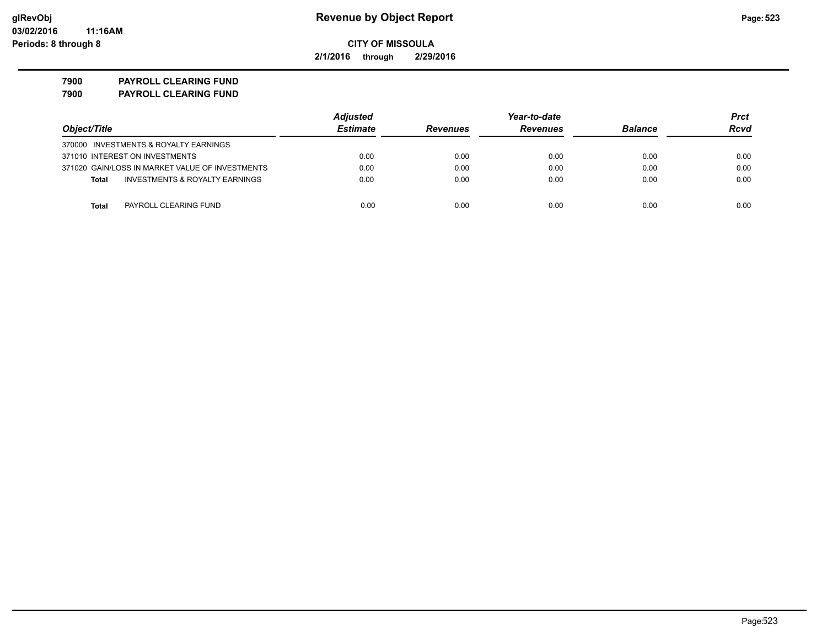**2/1/2016 through 2/29/2016**

**7900 PAYROLL CLEARING FUND 7900 PAYROLL CLEARING FUND**

|                                                    | <b>Adjusted</b> |                 | Year-to-date    |                | Prct |
|----------------------------------------------------|-----------------|-----------------|-----------------|----------------|------|
| Object/Title                                       | <b>Estimate</b> | <b>Revenues</b> | <b>Revenues</b> | <b>Balance</b> | Rcvd |
| 370000 INVESTMENTS & ROYALTY EARNINGS              |                 |                 |                 |                |      |
| 371010 INTEREST ON INVESTMENTS                     | 0.00            | 0.00            | 0.00            | 0.00           | 0.00 |
| 371020 GAIN/LOSS IN MARKET VALUE OF INVESTMENTS    | 0.00            | 0.00            | 0.00            | 0.00           | 0.00 |
| <b>INVESTMENTS &amp; ROYALTY EARNINGS</b><br>Total | 0.00            | 0.00            | 0.00            | 0.00           | 0.00 |
| PAYROLL CLEARING FUND<br>Total                     | 0.00            | 0.00            | 0.00            | 0.00           | 0.00 |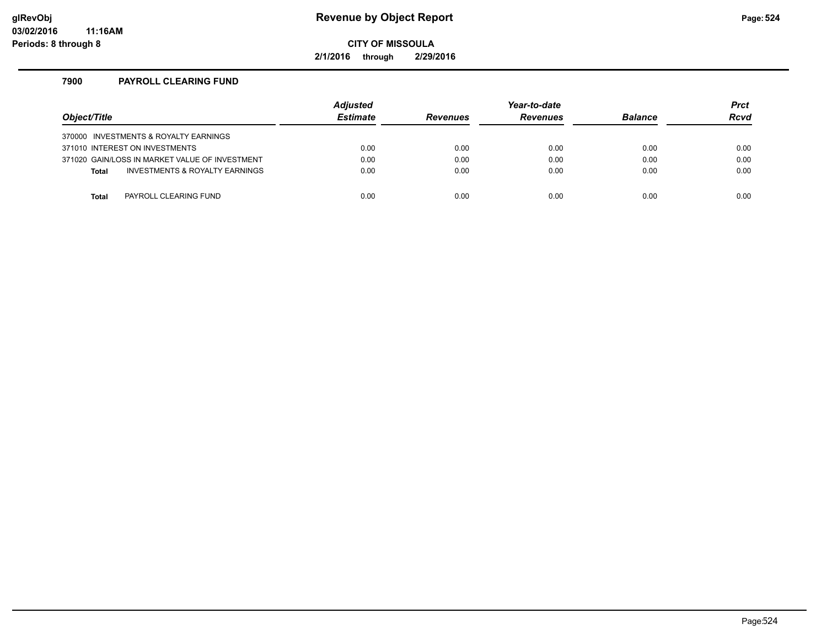# **glRevObj Revenue by Object Report Page:524**

**CITY OF MISSOULA**

**2/1/2016 through 2/29/2016**

### **7900 PAYROLL CLEARING FUND**

| Object/Title |                                                | <b>Adjusted</b><br><b>Estimate</b> | <b>Revenues</b> | Year-to-date<br><b>Revenues</b> | <b>Balance</b> | <b>Prct</b><br><b>Rcvd</b> |
|--------------|------------------------------------------------|------------------------------------|-----------------|---------------------------------|----------------|----------------------------|
|              | 370000 INVESTMENTS & ROYALTY EARNINGS          |                                    |                 |                                 |                |                            |
|              | 371010 INTEREST ON INVESTMENTS                 | 0.00                               | 0.00            | 0.00                            | 0.00           | 0.00                       |
|              | 371020 GAIN/LOSS IN MARKET VALUE OF INVESTMENT | 0.00                               | 0.00            | 0.00                            | 0.00           | 0.00                       |
| <b>Total</b> | INVESTMENTS & ROYALTY EARNINGS                 | 0.00                               | 0.00            | 0.00                            | 0.00           | 0.00                       |
|              |                                                |                                    |                 |                                 |                |                            |
| Total        | PAYROLL CLEARING FUND                          | 0.00                               | 0.00            | 0.00                            | 0.00           | 0.00                       |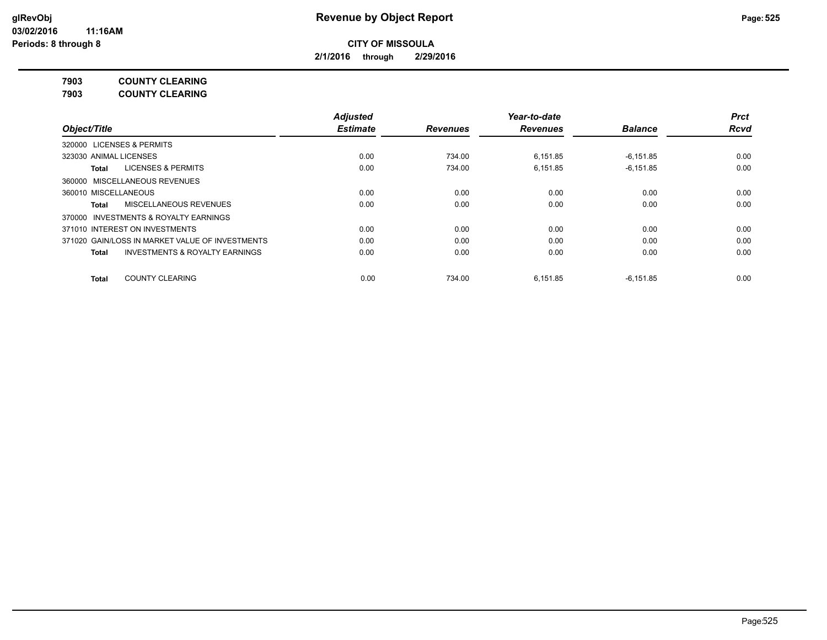**2/1/2016 through 2/29/2016**

**7903 COUNTY CLEARING**

**7903 COUNTY CLEARING**

|                                                    | <b>Adjusted</b> |                 | Year-to-date    |                | <b>Prct</b> |
|----------------------------------------------------|-----------------|-----------------|-----------------|----------------|-------------|
| Object/Title                                       | <b>Estimate</b> | <b>Revenues</b> | <b>Revenues</b> | <b>Balance</b> | <b>Rcvd</b> |
| 320000 LICENSES & PERMITS                          |                 |                 |                 |                |             |
| 323030 ANIMAL LICENSES                             | 0.00            | 734.00          | 6.151.85        | $-6.151.85$    | 0.00        |
| LICENSES & PERMITS<br>Total                        | 0.00            | 734.00          | 6.151.85        | $-6,151.85$    | 0.00        |
| 360000 MISCELLANEOUS REVENUES                      |                 |                 |                 |                |             |
| 360010 MISCELLANEOUS                               | 0.00            | 0.00            | 0.00            | 0.00           | 0.00        |
| MISCELLANEOUS REVENUES<br>Total                    | 0.00            | 0.00            | 0.00            | 0.00           | 0.00        |
| 370000 INVESTMENTS & ROYALTY EARNINGS              |                 |                 |                 |                |             |
| 371010 INTEREST ON INVESTMENTS                     | 0.00            | 0.00            | 0.00            | 0.00           | 0.00        |
| 371020 GAIN/LOSS IN MARKET VALUE OF INVESTMENTS    | 0.00            | 0.00            | 0.00            | 0.00           | 0.00        |
| <b>INVESTMENTS &amp; ROYALTY EARNINGS</b><br>Total | 0.00            | 0.00            | 0.00            | 0.00           | 0.00        |
| <b>COUNTY CLEARING</b><br><b>Total</b>             | 0.00            | 734.00          | 6.151.85        | $-6.151.85$    | 0.00        |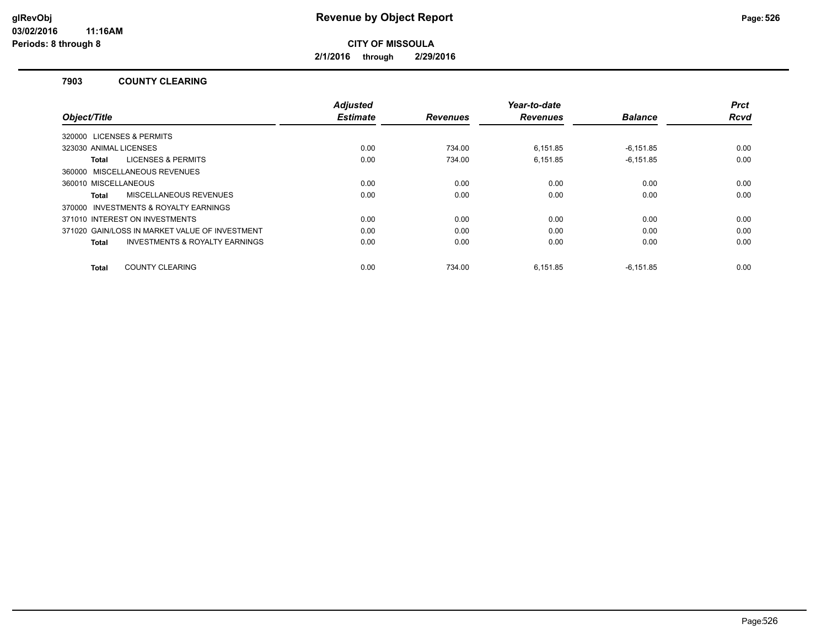**2/1/2016 through 2/29/2016**

#### **7903 COUNTY CLEARING**

|                                                    | <b>Adjusted</b> |                 | Year-to-date    |                | <b>Prct</b> |
|----------------------------------------------------|-----------------|-----------------|-----------------|----------------|-------------|
| Object/Title                                       | <b>Estimate</b> | <b>Revenues</b> | <b>Revenues</b> | <b>Balance</b> | Rcvd        |
| 320000 LICENSES & PERMITS                          |                 |                 |                 |                |             |
| 323030 ANIMAL LICENSES                             | 0.00            | 734.00          | 6,151.85        | $-6,151.85$    | 0.00        |
| <b>LICENSES &amp; PERMITS</b><br>Total             | 0.00            | 734.00          | 6.151.85        | $-6.151.85$    | 0.00        |
| 360000 MISCELLANEOUS REVENUES                      |                 |                 |                 |                |             |
| 360010 MISCELLANEOUS                               | 0.00            | 0.00            | 0.00            | 0.00           | 0.00        |
| <b>MISCELLANEOUS REVENUES</b><br>Total             | 0.00            | 0.00            | 0.00            | 0.00           | 0.00        |
| 370000 INVESTMENTS & ROYALTY EARNINGS              |                 |                 |                 |                |             |
| 371010 INTEREST ON INVESTMENTS                     | 0.00            | 0.00            | 0.00            | 0.00           | 0.00        |
| 371020 GAIN/LOSS IN MARKET VALUE OF INVESTMENT     | 0.00            | 0.00            | 0.00            | 0.00           | 0.00        |
| <b>INVESTMENTS &amp; ROYALTY EARNINGS</b><br>Total | 0.00            | 0.00            | 0.00            | 0.00           | 0.00        |
| <b>COUNTY CLEARING</b><br>Total                    | 0.00            | 734.00          | 6,151.85        | $-6,151.85$    | 0.00        |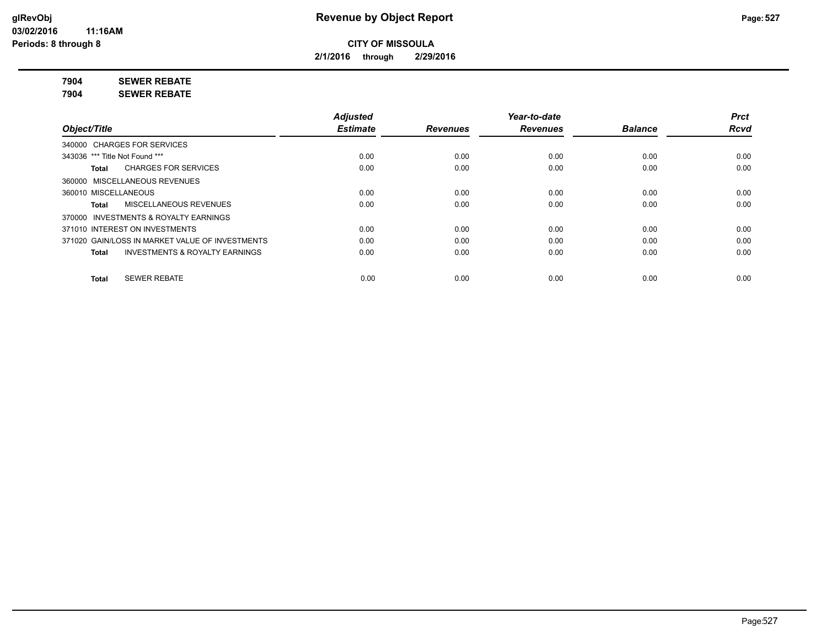**2/1/2016 through 2/29/2016**

**7904 SEWER REBATE**

**7904 SEWER REBATE**

|                                                    | <b>Adjusted</b> |                 | Year-to-date    |                | <b>Prct</b> |
|----------------------------------------------------|-----------------|-----------------|-----------------|----------------|-------------|
| Object/Title                                       | <b>Estimate</b> | <b>Revenues</b> | <b>Revenues</b> | <b>Balance</b> | <b>Rcvd</b> |
| 340000 CHARGES FOR SERVICES                        |                 |                 |                 |                |             |
| 343036 *** Title Not Found ***                     | 0.00            | 0.00            | 0.00            | 0.00           | 0.00        |
| <b>CHARGES FOR SERVICES</b><br>Total               | 0.00            | 0.00            | 0.00            | 0.00           | 0.00        |
| 360000 MISCELLANEOUS REVENUES                      |                 |                 |                 |                |             |
| 360010 MISCELLANEOUS                               | 0.00            | 0.00            | 0.00            | 0.00           | 0.00        |
| MISCELLANEOUS REVENUES<br>Total                    | 0.00            | 0.00            | 0.00            | 0.00           | 0.00        |
| 370000 INVESTMENTS & ROYALTY EARNINGS              |                 |                 |                 |                |             |
| 371010 INTEREST ON INVESTMENTS                     | 0.00            | 0.00            | 0.00            | 0.00           | 0.00        |
| 371020 GAIN/LOSS IN MARKET VALUE OF INVESTMENTS    | 0.00            | 0.00            | 0.00            | 0.00           | 0.00        |
| <b>INVESTMENTS &amp; ROYALTY EARNINGS</b><br>Total | 0.00            | 0.00            | 0.00            | 0.00           | 0.00        |
| <b>SEWER REBATE</b><br><b>Total</b>                | 0.00            | 0.00            | 0.00            | 0.00           | 0.00        |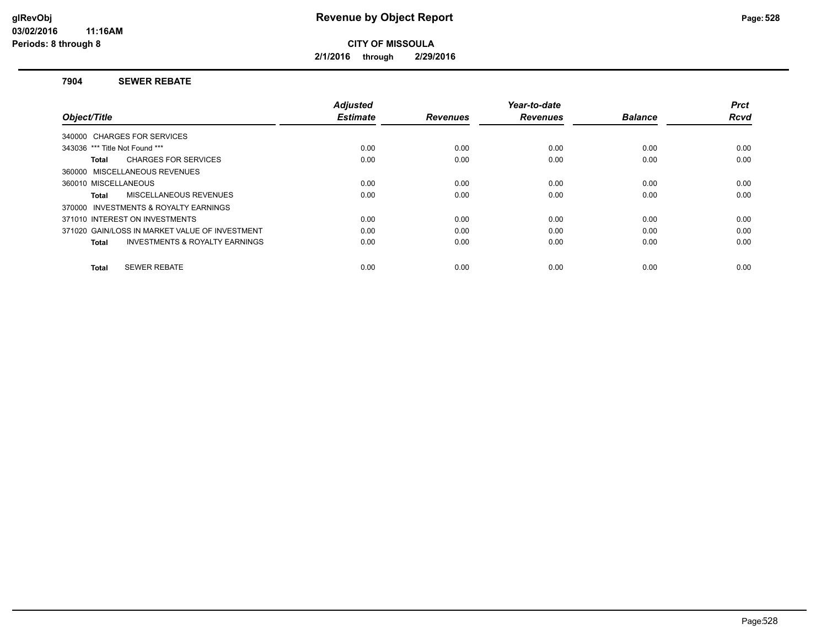**2/1/2016 through 2/29/2016**

#### **7904 SEWER REBATE**

|                                                    | <b>Adjusted</b> |                 | Year-to-date    |                | <b>Prct</b> |
|----------------------------------------------------|-----------------|-----------------|-----------------|----------------|-------------|
| Object/Title                                       | <b>Estimate</b> | <b>Revenues</b> | <b>Revenues</b> | <b>Balance</b> | <b>Rcvd</b> |
| 340000 CHARGES FOR SERVICES                        |                 |                 |                 |                |             |
| 343036 *** Title Not Found ***                     | 0.00            | 0.00            | 0.00            | 0.00           | 0.00        |
| <b>CHARGES FOR SERVICES</b><br>Total               | 0.00            | 0.00            | 0.00            | 0.00           | 0.00        |
| 360000 MISCELLANEOUS REVENUES                      |                 |                 |                 |                |             |
| 360010 MISCELLANEOUS                               | 0.00            | 0.00            | 0.00            | 0.00           | 0.00        |
| MISCELLANEOUS REVENUES<br>Total                    | 0.00            | 0.00            | 0.00            | 0.00           | 0.00        |
| 370000 INVESTMENTS & ROYALTY EARNINGS              |                 |                 |                 |                |             |
| 371010 INTEREST ON INVESTMENTS                     | 0.00            | 0.00            | 0.00            | 0.00           | 0.00        |
| 371020 GAIN/LOSS IN MARKET VALUE OF INVESTMENT     | 0.00            | 0.00            | 0.00            | 0.00           | 0.00        |
| <b>INVESTMENTS &amp; ROYALTY EARNINGS</b><br>Total | 0.00            | 0.00            | 0.00            | 0.00           | 0.00        |
|                                                    |                 |                 |                 |                |             |
| <b>SEWER REBATE</b><br>Total                       | 0.00            | 0.00            | 0.00            | 0.00           | 0.00        |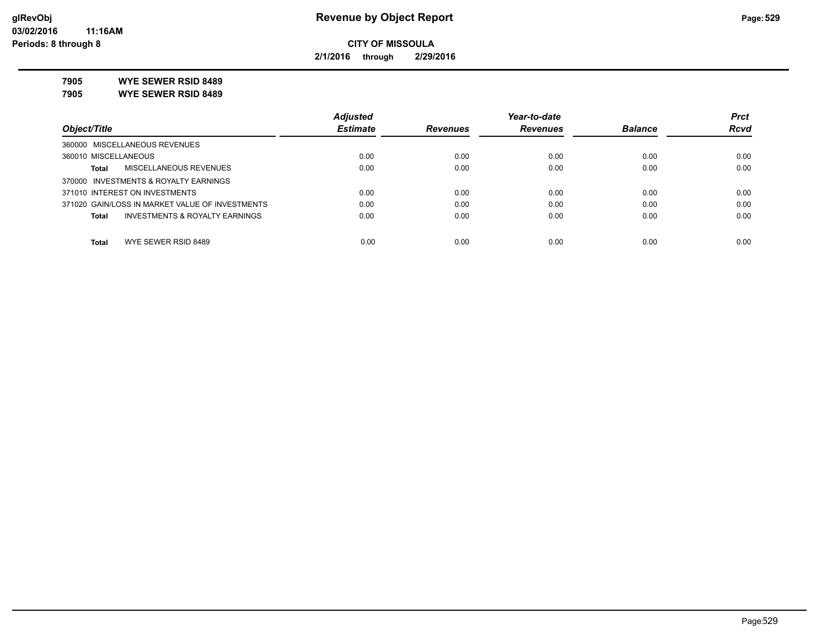**2/1/2016 through 2/29/2016**

**7905 WYE SEWER RSID 8489**

**7905 WYE SEWER RSID 8489**

|                                                 | <b>Adjusted</b> |                 | Year-to-date    |                | <b>Prct</b> |
|-------------------------------------------------|-----------------|-----------------|-----------------|----------------|-------------|
| Object/Title                                    | <b>Estimate</b> | <b>Revenues</b> | <b>Revenues</b> | <b>Balance</b> | <b>Rcvd</b> |
| 360000 MISCELLANEOUS REVENUES                   |                 |                 |                 |                |             |
| 360010 MISCELLANEOUS                            | 0.00            | 0.00            | 0.00            | 0.00           | 0.00        |
| MISCELLANEOUS REVENUES<br>Total                 | 0.00            | 0.00            | 0.00            | 0.00           | 0.00        |
| 370000 INVESTMENTS & ROYALTY EARNINGS           |                 |                 |                 |                |             |
| 371010 INTEREST ON INVESTMENTS                  | 0.00            | 0.00            | 0.00            | 0.00           | 0.00        |
| 371020 GAIN/LOSS IN MARKET VALUE OF INVESTMENTS | 0.00            | 0.00            | 0.00            | 0.00           | 0.00        |
| INVESTMENTS & ROYALTY EARNINGS<br>Total         | 0.00            | 0.00            | 0.00            | 0.00           | 0.00        |
|                                                 |                 |                 |                 |                |             |
| WYE SEWER RSID 8489<br>Total                    | 0.00            | 0.00            | 0.00            | 0.00           | 0.00        |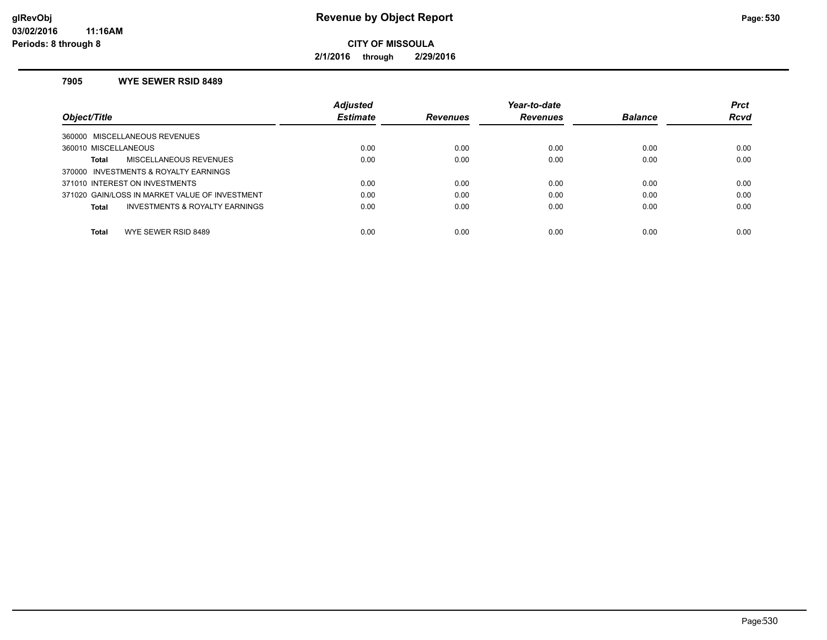**2/1/2016 through 2/29/2016**

#### **7905 WYE SEWER RSID 8489**

|                                                           | <b>Adjusted</b> |                 | Year-to-date    |                | <b>Prct</b> |
|-----------------------------------------------------------|-----------------|-----------------|-----------------|----------------|-------------|
| Object/Title                                              | <b>Estimate</b> | <b>Revenues</b> | <b>Revenues</b> | <b>Balance</b> | <b>Rcvd</b> |
| MISCELLANEOUS REVENUES<br>360000                          |                 |                 |                 |                |             |
| 360010 MISCELLANEOUS                                      | 0.00            | 0.00            | 0.00            | 0.00           | 0.00        |
| MISCELLANEOUS REVENUES<br>Total                           | 0.00            | 0.00            | 0.00            | 0.00           | 0.00        |
| <b>INVESTMENTS &amp; ROYALTY EARNINGS</b><br>370000       |                 |                 |                 |                |             |
| 371010 INTEREST ON INVESTMENTS                            | 0.00            | 0.00            | 0.00            | 0.00           | 0.00        |
| 371020 GAIN/LOSS IN MARKET VALUE OF INVESTMENT            | 0.00            | 0.00            | 0.00            | 0.00           | 0.00        |
| <b>INVESTMENTS &amp; ROYALTY EARNINGS</b><br><b>Total</b> | 0.00            | 0.00            | 0.00            | 0.00           | 0.00        |
| Total<br>WYE SEWER RSID 8489                              | 0.00            | 0.00            | 0.00            | 0.00           | 0.00        |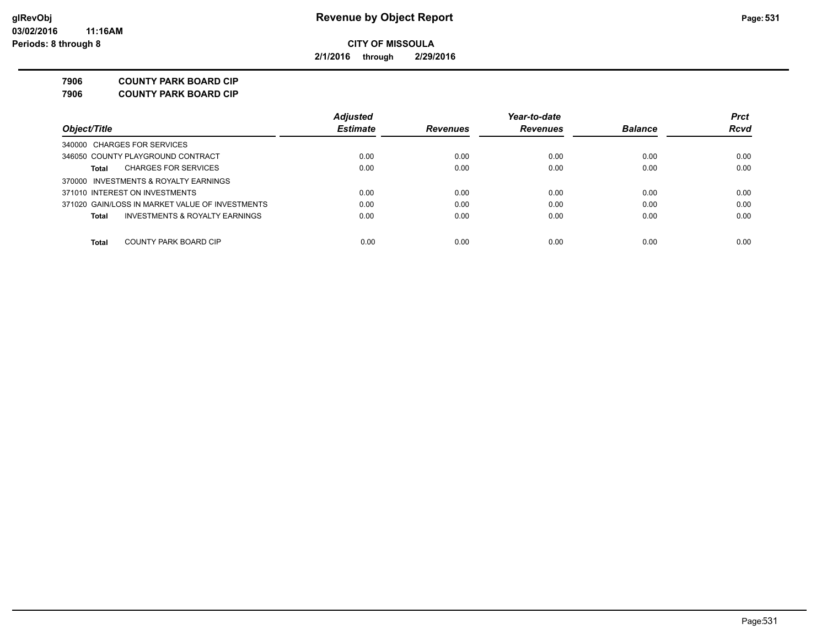**2/1/2016 through 2/29/2016**

**7906 COUNTY PARK BOARD CIP**

**7906 COUNTY PARK BOARD CIP**

|                                                 | <b>Adjusted</b> |                 | Year-to-date    |                | <b>Prct</b> |
|-------------------------------------------------|-----------------|-----------------|-----------------|----------------|-------------|
| Object/Title                                    | <b>Estimate</b> | <b>Revenues</b> | <b>Revenues</b> | <b>Balance</b> | <b>Rcvd</b> |
| 340000 CHARGES FOR SERVICES                     |                 |                 |                 |                |             |
| 346050 COUNTY PLAYGROUND CONTRACT               | 0.00            | 0.00            | 0.00            | 0.00           | 0.00        |
| <b>CHARGES FOR SERVICES</b><br>Total            | 0.00            | 0.00            | 0.00            | 0.00           | 0.00        |
| 370000 INVESTMENTS & ROYALTY EARNINGS           |                 |                 |                 |                |             |
| 371010 INTEREST ON INVESTMENTS                  | 0.00            | 0.00            | 0.00            | 0.00           | 0.00        |
| 371020 GAIN/LOSS IN MARKET VALUE OF INVESTMENTS | 0.00            | 0.00            | 0.00            | 0.00           | 0.00        |
| INVESTMENTS & ROYALTY EARNINGS<br>Total         | 0.00            | 0.00            | 0.00            | 0.00           | 0.00        |
|                                                 |                 |                 |                 |                |             |
| Total<br>COUNTY PARK BOARD CIP                  | 0.00            | 0.00            | 0.00            | 0.00           | 0.00        |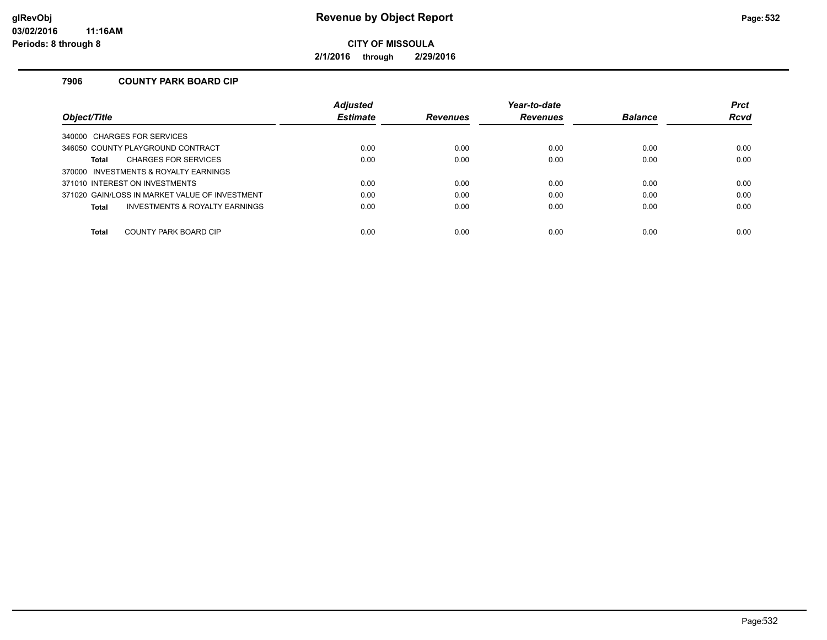**2/1/2016 through 2/29/2016**

## **7906 COUNTY PARK BOARD CIP**

|                                                | <b>Adjusted</b> |                 | Year-to-date    |                | <b>Prct</b> |
|------------------------------------------------|-----------------|-----------------|-----------------|----------------|-------------|
| Object/Title                                   | <b>Estimate</b> | <b>Revenues</b> | <b>Revenues</b> | <b>Balance</b> | <b>Rcvd</b> |
| 340000 CHARGES FOR SERVICES                    |                 |                 |                 |                |             |
| 346050 COUNTY PLAYGROUND CONTRACT              | 0.00            | 0.00            | 0.00            | 0.00           | 0.00        |
| <b>CHARGES FOR SERVICES</b><br><b>Total</b>    | 0.00            | 0.00            | 0.00            | 0.00           | 0.00        |
| 370000 INVESTMENTS & ROYALTY EARNINGS          |                 |                 |                 |                |             |
| 371010 INTEREST ON INVESTMENTS                 | 0.00            | 0.00            | 0.00            | 0.00           | 0.00        |
| 371020 GAIN/LOSS IN MARKET VALUE OF INVESTMENT | 0.00            | 0.00            | 0.00            | 0.00           | 0.00        |
| INVESTMENTS & ROYALTY EARNINGS<br><b>Total</b> | 0.00            | 0.00            | 0.00            | 0.00           | 0.00        |
|                                                |                 |                 |                 |                |             |
| <b>Total</b><br>COUNTY PARK BOARD CIP          | 0.00            | 0.00            | 0.00            | 0.00           | 0.00        |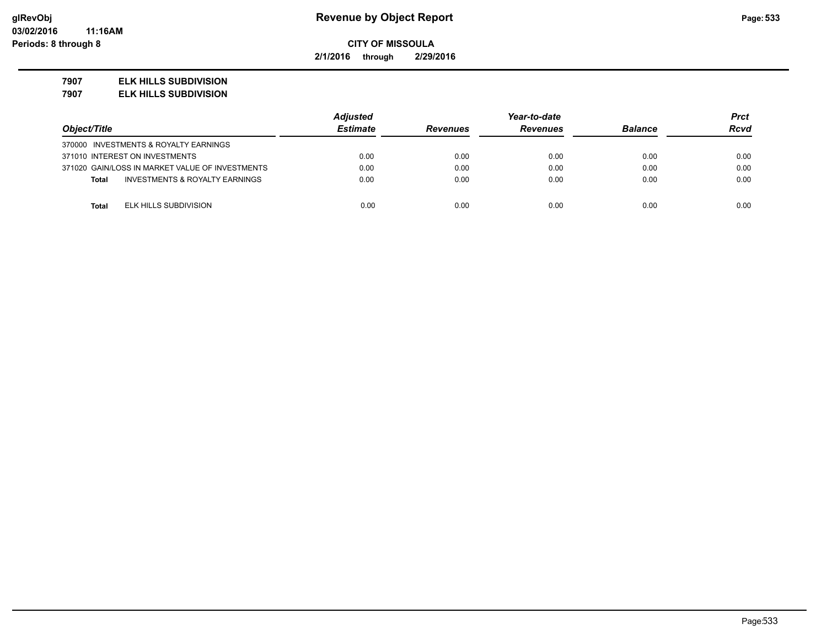**2/1/2016 through 2/29/2016**

#### **7907 ELK HILLS SUBDIVISION**

**7907 ELK HILLS SUBDIVISION**

|                                                 | <b>Adjusted</b> |                 | Year-to-date    |                | Prct |
|-------------------------------------------------|-----------------|-----------------|-----------------|----------------|------|
| Object/Title                                    | <b>Estimate</b> | <b>Revenues</b> | <b>Revenues</b> | <b>Balance</b> | Rcvd |
| 370000 INVESTMENTS & ROYALTY EARNINGS           |                 |                 |                 |                |      |
| 371010 INTEREST ON INVESTMENTS                  | 0.00            | 0.00            | 0.00            | 0.00           | 0.00 |
| 371020 GAIN/LOSS IN MARKET VALUE OF INVESTMENTS | 0.00            | 0.00            | 0.00            | 0.00           | 0.00 |
| INVESTMENTS & ROYALTY EARNINGS<br><b>Total</b>  | 0.00            | 0.00            | 0.00            | 0.00           | 0.00 |
|                                                 |                 |                 |                 |                |      |
| ELK HILLS SUBDIVISION<br><b>Total</b>           | 0.00            | 0.00            | 0.00            | 0.00           | 0.00 |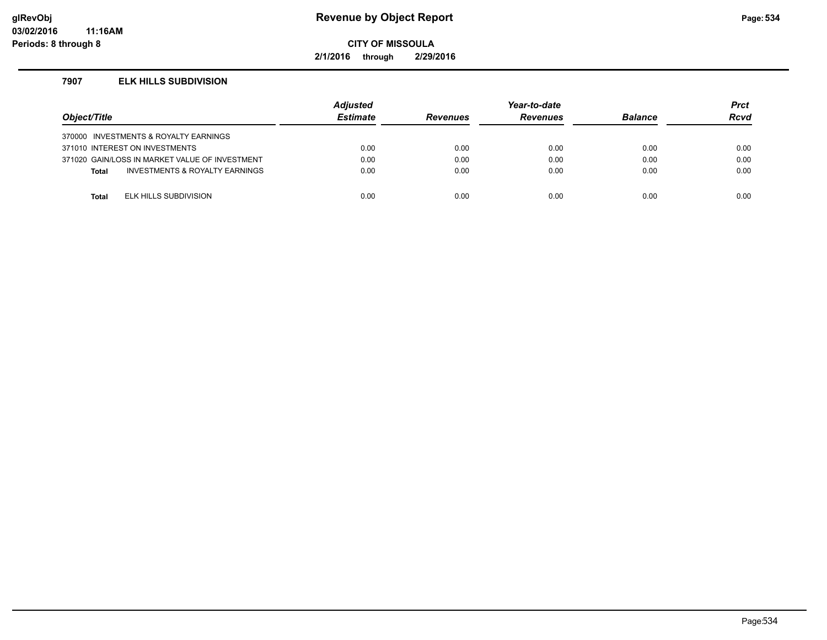# **glRevObj Revenue by Object Report Page:534**

**CITY OF MISSOULA**

**2/1/2016 through 2/29/2016**

#### **7907 ELK HILLS SUBDIVISION**

| Object/Title |                                                | <b>Adjusted</b><br><b>Estimate</b> | <b>Revenues</b> | Year-to-date<br><b>Revenues</b> | <b>Balance</b> | <b>Prct</b><br>Rcvd |
|--------------|------------------------------------------------|------------------------------------|-----------------|---------------------------------|----------------|---------------------|
|              | 370000 INVESTMENTS & ROYALTY EARNINGS          |                                    |                 |                                 |                |                     |
|              | 371010 INTEREST ON INVESTMENTS                 | 0.00                               | 0.00            | 0.00                            | 0.00           | 0.00                |
|              | 371020 GAIN/LOSS IN MARKET VALUE OF INVESTMENT | 0.00                               | 0.00            | 0.00                            | 0.00           | 0.00                |
| <b>Total</b> | INVESTMENTS & ROYALTY EARNINGS                 | 0.00                               | 0.00            | 0.00                            | 0.00           | 0.00                |
|              |                                                |                                    |                 |                                 |                |                     |
| Total        | ELK HILLS SUBDIVISION                          | 0.00                               | 0.00            | 0.00                            | 0.00           | 0.00                |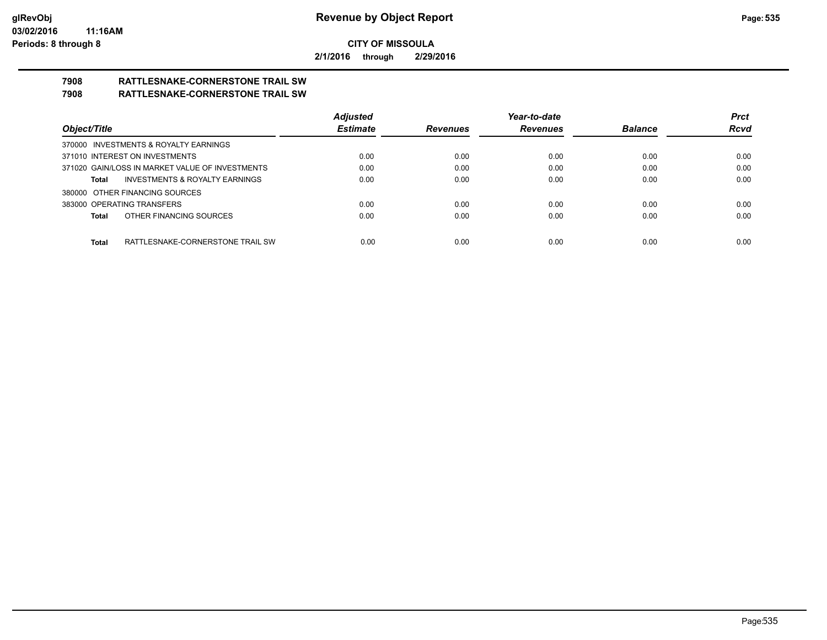**2/1/2016 through 2/29/2016**

# **7908 RATTLESNAKE-CORNERSTONE TRAIL SW**

# **7908 RATTLESNAKE-CORNERSTONE TRAIL SW**

|                                                    | <b>Adjusted</b> |                 | Year-to-date    |                | <b>Prct</b> |
|----------------------------------------------------|-----------------|-----------------|-----------------|----------------|-------------|
| Object/Title                                       | <b>Estimate</b> | <b>Revenues</b> | <b>Revenues</b> | <b>Balance</b> | <b>Rcvd</b> |
| 370000 INVESTMENTS & ROYALTY EARNINGS              |                 |                 |                 |                |             |
| 371010 INTEREST ON INVESTMENTS                     | 0.00            | 0.00            | 0.00            | 0.00           | 0.00        |
| 371020 GAIN/LOSS IN MARKET VALUE OF INVESTMENTS    | 0.00            | 0.00            | 0.00            | 0.00           | 0.00        |
| <b>INVESTMENTS &amp; ROYALTY EARNINGS</b><br>Total | 0.00            | 0.00            | 0.00            | 0.00           | 0.00        |
| 380000 OTHER FINANCING SOURCES                     |                 |                 |                 |                |             |
| 383000 OPERATING TRANSFERS                         | 0.00            | 0.00            | 0.00            | 0.00           | 0.00        |
| OTHER FINANCING SOURCES<br>Total                   | 0.00            | 0.00            | 0.00            | 0.00           | 0.00        |
|                                                    |                 |                 |                 |                |             |
| Total<br>RATTLESNAKE-CORNERSTONE TRAIL SW          | 0.00            | 0.00            | 0.00            | 0.00           | 0.00        |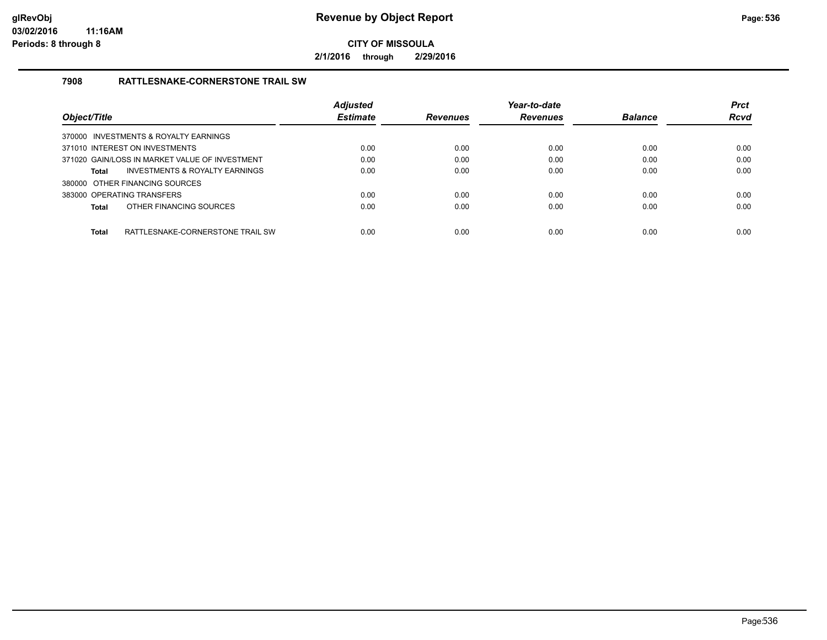**2/1/2016 through 2/29/2016**

### **7908 RATTLESNAKE-CORNERSTONE TRAIL SW**

|                                                |                                  | <b>Adjusted</b> |                 | Year-to-date    |                | <b>Prct</b> |
|------------------------------------------------|----------------------------------|-----------------|-----------------|-----------------|----------------|-------------|
| Object/Title                                   |                                  | <b>Estimate</b> | <b>Revenues</b> | <b>Revenues</b> | <b>Balance</b> | <b>Rcvd</b> |
| 370000 INVESTMENTS & ROYALTY EARNINGS          |                                  |                 |                 |                 |                |             |
| 371010 INTEREST ON INVESTMENTS                 |                                  | 0.00            | 0.00            | 0.00            | 0.00           | 0.00        |
| 371020 GAIN/LOSS IN MARKET VALUE OF INVESTMENT |                                  | 0.00            | 0.00            | 0.00            | 0.00           | 0.00        |
| Total                                          | INVESTMENTS & ROYALTY EARNINGS   | 0.00            | 0.00            | 0.00            | 0.00           | 0.00        |
| 380000 OTHER FINANCING SOURCES                 |                                  |                 |                 |                 |                |             |
| 383000 OPERATING TRANSFERS                     |                                  | 0.00            | 0.00            | 0.00            | 0.00           | 0.00        |
| OTHER FINANCING SOURCES<br>Total               |                                  | 0.00            | 0.00            | 0.00            | 0.00           | 0.00        |
| <b>Total</b>                                   | RATTLESNAKE-CORNERSTONE TRAIL SW | 0.00            | 0.00            | 0.00            | 0.00           | 0.00        |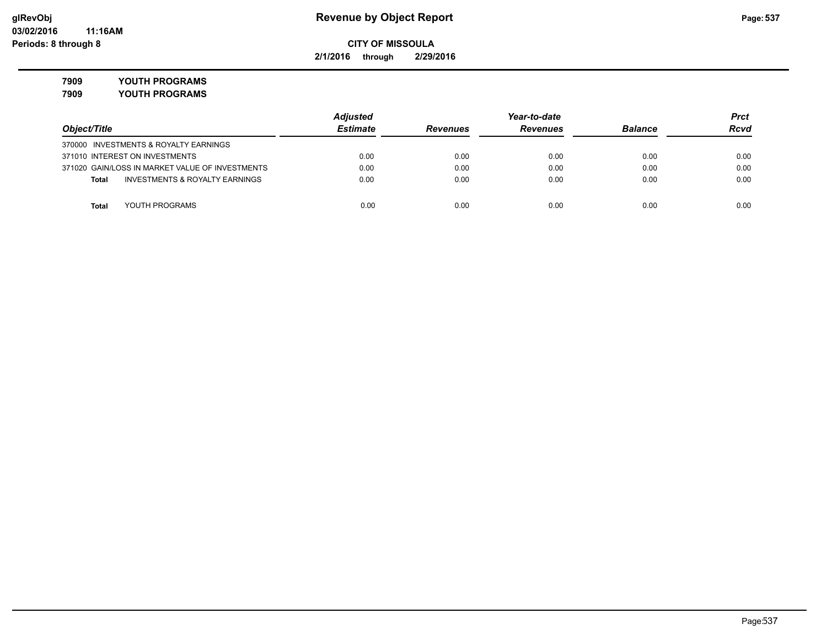**2/1/2016 through 2/29/2016**

**7909 YOUTH PROGRAMS**

**7909 YOUTH PROGRAMS**

|                                                 | <b>Adjusted</b> |                 | Year-to-date    |                | Prct        |
|-------------------------------------------------|-----------------|-----------------|-----------------|----------------|-------------|
| Object/Title                                    | <b>Estimate</b> | <b>Revenues</b> | <b>Revenues</b> | <b>Balance</b> | <b>Rcvd</b> |
| 370000 INVESTMENTS & ROYALTY EARNINGS           |                 |                 |                 |                |             |
| 371010 INTEREST ON INVESTMENTS                  | 0.00            | 0.00            | 0.00            | 0.00           | 0.00        |
| 371020 GAIN/LOSS IN MARKET VALUE OF INVESTMENTS | 0.00            | 0.00            | 0.00            | 0.00           | 0.00        |
| INVESTMENTS & ROYALTY EARNINGS<br><b>Total</b>  | 0.00            | 0.00            | 0.00            | 0.00           | 0.00        |
|                                                 |                 |                 |                 |                |             |
| YOUTH PROGRAMS<br><b>Total</b>                  | 0.00            | 0.00            | 0.00            | 0.00           | 0.00        |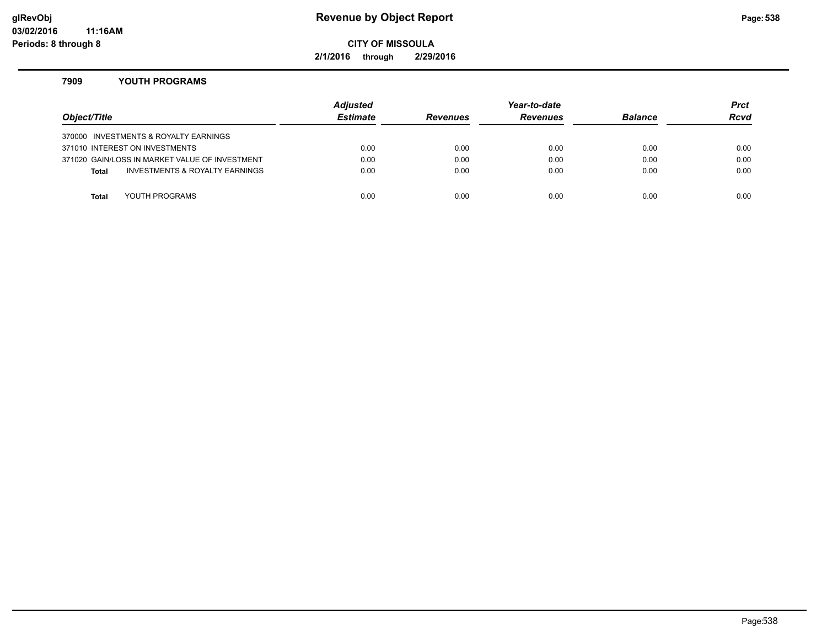# **glRevObj Revenue by Object Report Page:538**

**CITY OF MISSOULA**

**2/1/2016 through 2/29/2016**

#### **7909 YOUTH PROGRAMS**

| Object/Title |                                                | <b>Adjusted</b><br><b>Estimate</b> | <b>Revenues</b> | Year-to-date<br><b>Revenues</b> | <b>Balance</b> | <b>Prct</b><br><b>Rcvd</b> |
|--------------|------------------------------------------------|------------------------------------|-----------------|---------------------------------|----------------|----------------------------|
|              | 370000 INVESTMENTS & ROYALTY EARNINGS          |                                    |                 |                                 |                |                            |
|              | 371010 INTEREST ON INVESTMENTS                 | 0.00                               | 0.00            | 0.00                            | 0.00           | 0.00                       |
|              | 371020 GAIN/LOSS IN MARKET VALUE OF INVESTMENT | 0.00                               | 0.00            | 0.00                            | 0.00           | 0.00                       |
| <b>Total</b> | <b>INVESTMENTS &amp; ROYALTY EARNINGS</b>      | 0.00                               | 0.00            | 0.00                            | 0.00           | 0.00                       |
|              |                                                |                                    |                 |                                 |                |                            |
| Total        | YOUTH PROGRAMS                                 | 0.00                               | 0.00            | 0.00                            | 0.00           | 0.00                       |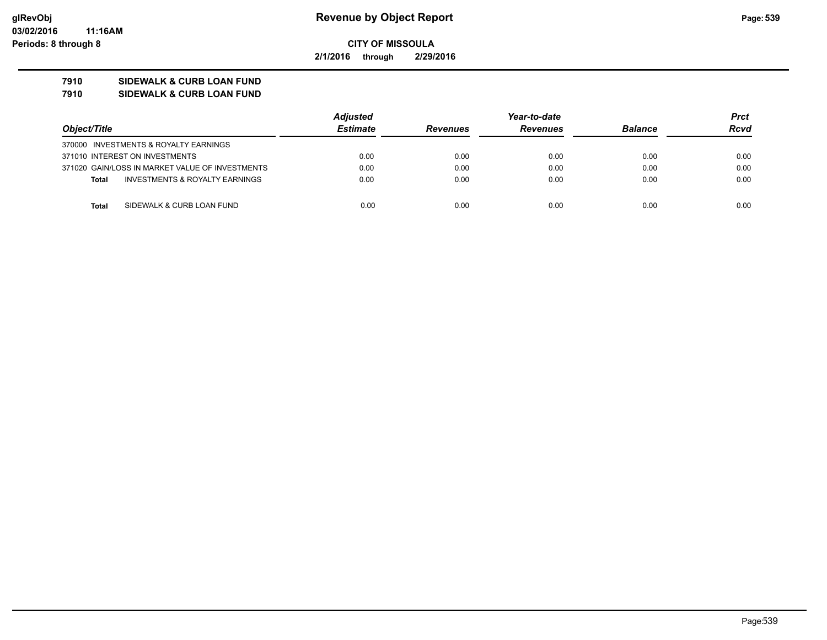**2/1/2016 through 2/29/2016**

# **7910 SIDEWALK & CURB LOAN FUND**

**7910 SIDEWALK & CURB LOAN FUND**

|                                                 | <b>Adjusted</b> |                 | Year-to-date    |                | Prct        |
|-------------------------------------------------|-----------------|-----------------|-----------------|----------------|-------------|
| Object/Title                                    | <b>Estimate</b> | <b>Revenues</b> | <b>Revenues</b> | <b>Balance</b> | <b>Rcvd</b> |
| 370000 INVESTMENTS & ROYALTY EARNINGS           |                 |                 |                 |                |             |
| 371010 INTEREST ON INVESTMENTS                  | 0.00            | 0.00            | 0.00            | 0.00           | 0.00        |
| 371020 GAIN/LOSS IN MARKET VALUE OF INVESTMENTS | 0.00            | 0.00            | 0.00            | 0.00           | 0.00        |
| INVESTMENTS & ROYALTY EARNINGS<br><b>Total</b>  | 0.00            | 0.00            | 0.00            | 0.00           | 0.00        |
|                                                 |                 |                 |                 |                |             |
| SIDEWALK & CURB LOAN FUND<br><b>Total</b>       | 0.00            | 0.00            | 0.00            | 0.00           | 0.00        |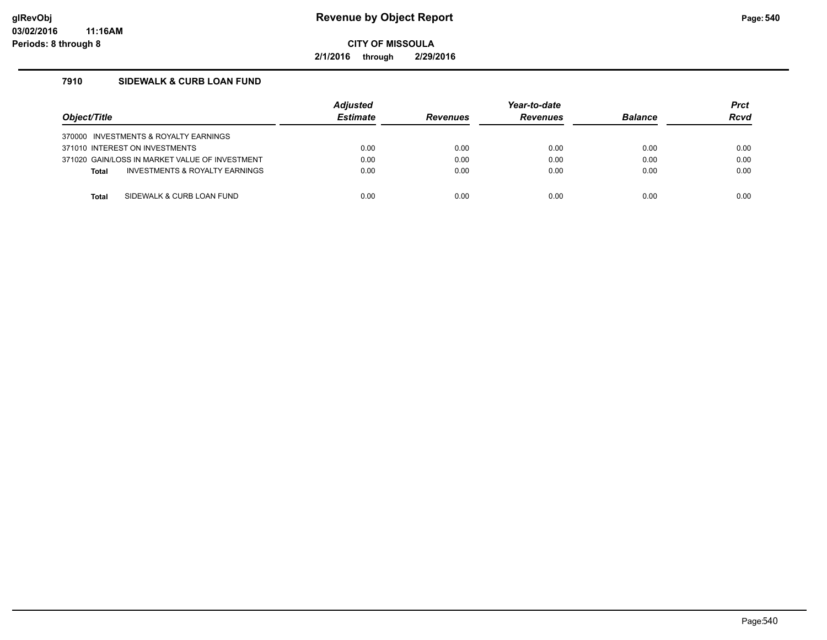**2/1/2016 through 2/29/2016**

# **7910 SIDEWALK & CURB LOAN FUND**

| Object/Title                          |                                                | <b>Adiusted</b><br><b>Estimate</b> | <b>Revenues</b> | Year-to-date<br><b>Revenues</b> | <b>Balance</b> | <b>Prct</b><br><b>Rcvd</b> |
|---------------------------------------|------------------------------------------------|------------------------------------|-----------------|---------------------------------|----------------|----------------------------|
| 370000 INVESTMENTS & ROYALTY EARNINGS |                                                |                                    |                 |                                 |                |                            |
| 371010 INTEREST ON INVESTMENTS        |                                                | 0.00                               | 0.00            | 0.00                            | 0.00           | 0.00                       |
|                                       | 371020 GAIN/LOSS IN MARKET VALUE OF INVESTMENT | 0.00                               | 0.00            | 0.00                            | 0.00           | 0.00                       |
| <b>Total</b>                          | INVESTMENTS & ROYALTY EARNINGS                 | 0.00                               | 0.00            | 0.00                            | 0.00           | 0.00                       |
|                                       |                                                |                                    |                 |                                 |                |                            |
| Total                                 | SIDEWALK & CURB LOAN FUND                      | 0.00                               | 0.00            | 0.00                            | 0.00           | 0.00                       |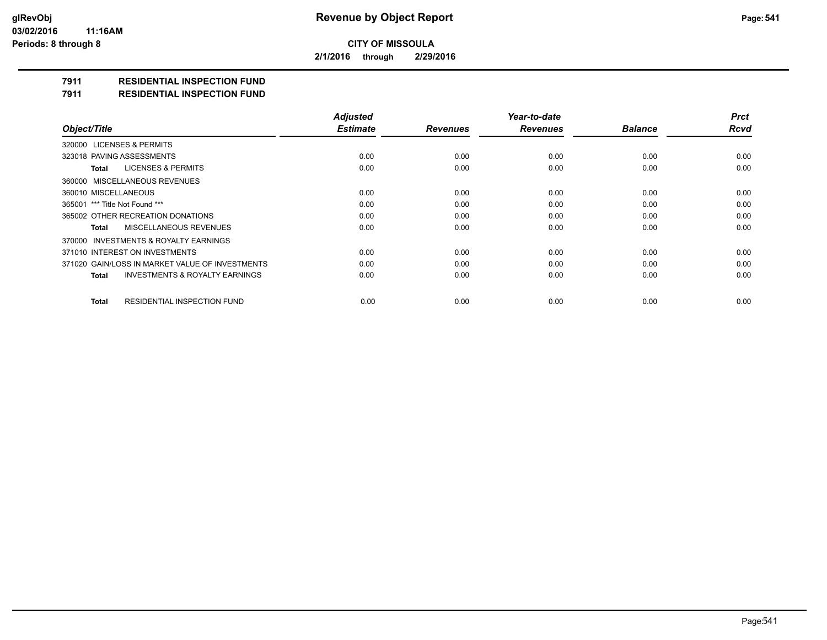**2/1/2016 through 2/29/2016**

### **7911 RESIDENTIAL INSPECTION FUND**

#### **7911 RESIDENTIAL INSPECTION FUND**

|                                                    | <b>Adjusted</b> |                 | Year-to-date    |                | <b>Prct</b> |
|----------------------------------------------------|-----------------|-----------------|-----------------|----------------|-------------|
| Object/Title                                       | <b>Estimate</b> | <b>Revenues</b> | <b>Revenues</b> | <b>Balance</b> | <b>Rcvd</b> |
| 320000 LICENSES & PERMITS                          |                 |                 |                 |                |             |
| 323018 PAVING ASSESSMENTS                          | 0.00            | 0.00            | 0.00            | 0.00           | 0.00        |
| LICENSES & PERMITS<br>Total                        | 0.00            | 0.00            | 0.00            | 0.00           | 0.00        |
| 360000 MISCELLANEOUS REVENUES                      |                 |                 |                 |                |             |
| 360010 MISCELLANEOUS                               | 0.00            | 0.00            | 0.00            | 0.00           | 0.00        |
| 365001 *** Title Not Found ***                     | 0.00            | 0.00            | 0.00            | 0.00           | 0.00        |
| 365002 OTHER RECREATION DONATIONS                  | 0.00            | 0.00            | 0.00            | 0.00           | 0.00        |
| MISCELLANEOUS REVENUES<br>Total                    | 0.00            | 0.00            | 0.00            | 0.00           | 0.00        |
| 370000 INVESTMENTS & ROYALTY EARNINGS              |                 |                 |                 |                |             |
| 371010 INTEREST ON INVESTMENTS                     | 0.00            | 0.00            | 0.00            | 0.00           | 0.00        |
| 371020 GAIN/LOSS IN MARKET VALUE OF INVESTMENTS    | 0.00            | 0.00            | 0.00            | 0.00           | 0.00        |
| <b>INVESTMENTS &amp; ROYALTY EARNINGS</b><br>Total | 0.00            | 0.00            | 0.00            | 0.00           | 0.00        |
| <b>RESIDENTIAL INSPECTION FUND</b><br><b>Total</b> | 0.00            | 0.00            | 0.00            | 0.00           | 0.00        |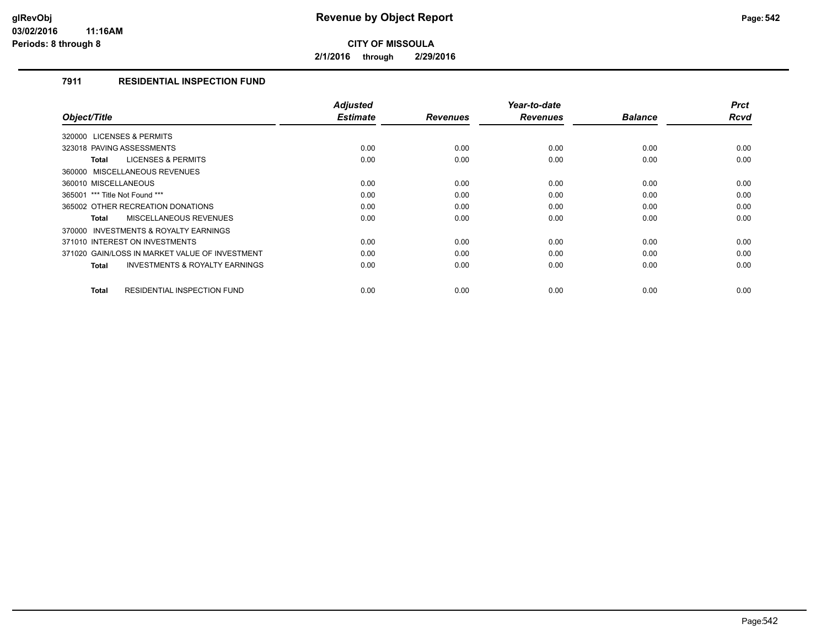**2/1/2016 through 2/29/2016**

### **7911 RESIDENTIAL INSPECTION FUND**

| Object/Title                                              | <b>Adjusted</b><br><b>Estimate</b> | <b>Revenues</b> | Year-to-date<br><b>Revenues</b> | <b>Balance</b> | <b>Prct</b><br><b>Rcvd</b> |
|-----------------------------------------------------------|------------------------------------|-----------------|---------------------------------|----------------|----------------------------|
| 320000 LICENSES & PERMITS                                 |                                    |                 |                                 |                |                            |
|                                                           |                                    |                 |                                 |                |                            |
| 323018 PAVING ASSESSMENTS                                 | 0.00                               | 0.00            | 0.00                            | 0.00           | 0.00                       |
| <b>LICENSES &amp; PERMITS</b><br><b>Total</b>             | 0.00                               | 0.00            | 0.00                            | 0.00           | 0.00                       |
| 360000 MISCELLANEOUS REVENUES                             |                                    |                 |                                 |                |                            |
| 360010 MISCELLANEOUS                                      | 0.00                               | 0.00            | 0.00                            | 0.00           | 0.00                       |
| 365001 *** Title Not Found ***                            | 0.00                               | 0.00            | 0.00                            | 0.00           | 0.00                       |
| 365002 OTHER RECREATION DONATIONS                         | 0.00                               | 0.00            | 0.00                            | 0.00           | 0.00                       |
| <b>MISCELLANEOUS REVENUES</b><br><b>Total</b>             | 0.00                               | 0.00            | 0.00                            | 0.00           | 0.00                       |
| 370000 INVESTMENTS & ROYALTY EARNINGS                     |                                    |                 |                                 |                |                            |
| 371010 INTEREST ON INVESTMENTS                            | 0.00                               | 0.00            | 0.00                            | 0.00           | 0.00                       |
| 371020 GAIN/LOSS IN MARKET VALUE OF INVESTMENT            | 0.00                               | 0.00            | 0.00                            | 0.00           | 0.00                       |
| <b>INVESTMENTS &amp; ROYALTY EARNINGS</b><br><b>Total</b> | 0.00                               | 0.00            | 0.00                            | 0.00           | 0.00                       |
| <b>RESIDENTIAL INSPECTION FUND</b><br><b>Total</b>        | 0.00                               | 0.00            | 0.00                            | 0.00           | 0.00                       |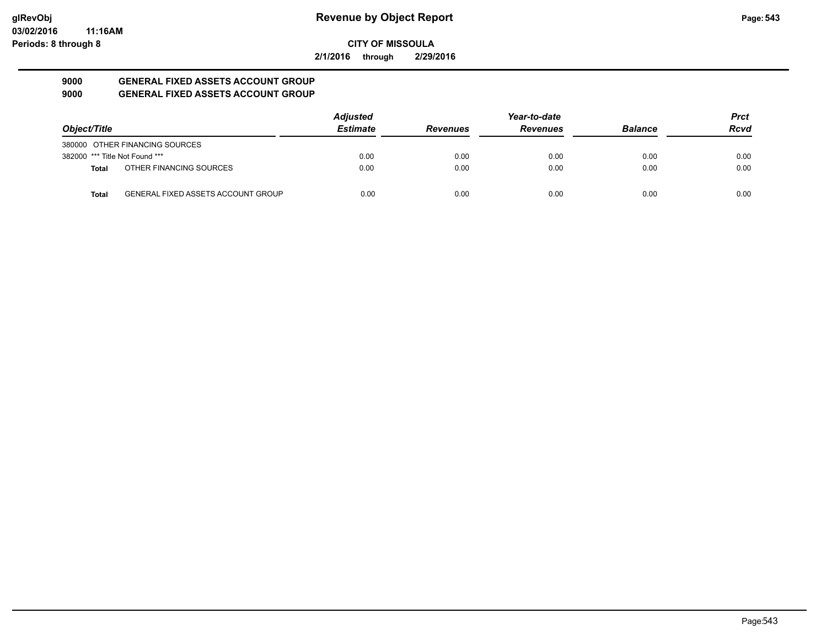**2/1/2016 through 2/29/2016**

#### **9000 GENERAL FIXED ASSETS ACCOUNT GROUP 9000 GENERAL FIXED ASSETS ACCOUNT GROUP**

| Object/Title                   |                                           | <b>Adjusted</b> |                 | Year-to-date    |                | <b>Prct</b> |
|--------------------------------|-------------------------------------------|-----------------|-----------------|-----------------|----------------|-------------|
|                                |                                           | <b>Estimate</b> | <b>Revenues</b> | <b>Revenues</b> | <b>Balance</b> | <b>Rcvd</b> |
|                                | 380000 OTHER FINANCING SOURCES            |                 |                 |                 |                |             |
| 382000 *** Title Not Found *** |                                           | 0.00            | 0.00            | 0.00            | 0.00           | 0.00        |
| <b>Total</b>                   | OTHER FINANCING SOURCES                   | 0.00            | 0.00            | 0.00            | 0.00           | 0.00        |
| <b>Total</b>                   | <b>GENERAL FIXED ASSETS ACCOUNT GROUP</b> | 0.00            | 0.00            | 0.00            | 0.00           | 0.00        |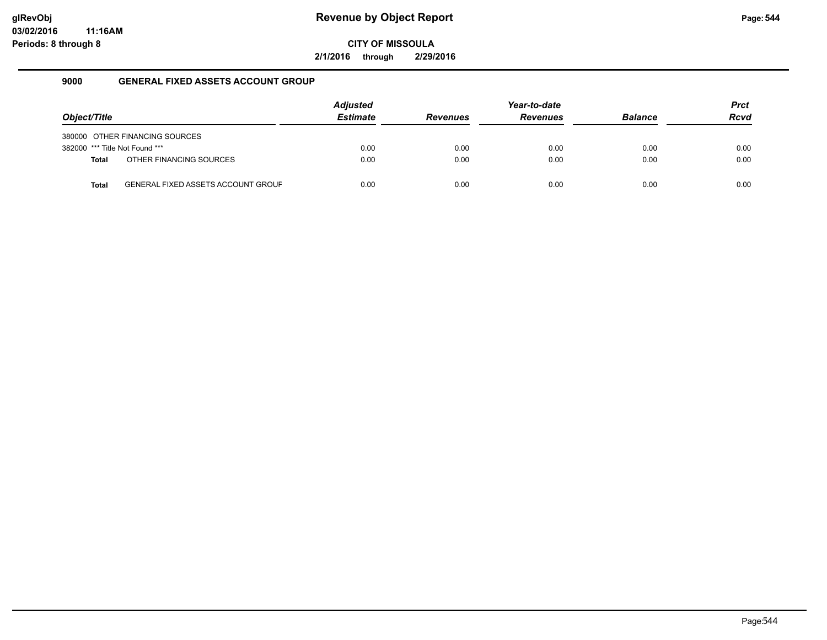**2/1/2016 through 2/29/2016**

#### **9000 GENERAL FIXED ASSETS ACCOUNT GROUP**

| Object/Title                   |                                           | <b>Adjusted</b><br><b>Estimate</b> | <b>Revenues</b> | Year-to-date<br><b>Revenues</b> | <b>Balance</b> | <b>Prct</b><br><b>Rcvd</b> |
|--------------------------------|-------------------------------------------|------------------------------------|-----------------|---------------------------------|----------------|----------------------------|
|                                | 380000 OTHER FINANCING SOURCES            |                                    |                 |                                 |                |                            |
| 382000 *** Title Not Found *** |                                           | 0.00                               | 0.00            | 0.00                            | 0.00           | 0.00                       |
| <b>Total</b>                   | OTHER FINANCING SOURCES                   | 0.00                               | 0.00            | 0.00                            | 0.00           | 0.00                       |
| <b>Total</b>                   | <b>GENERAL FIXED ASSETS ACCOUNT GROUF</b> | 0.00                               | 0.00            | 0.00                            | 0.00           | 0.00                       |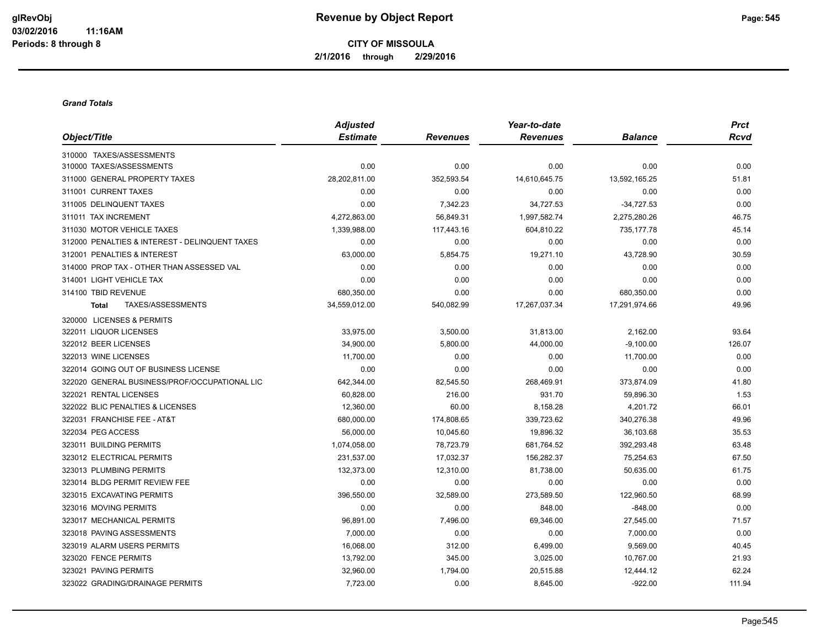**CITY OF MISSOULA 2/1/2016 through 2/29/2016**

#### *Grand Totals*

|                                                | <b>Adjusted</b> |                 | Year-to-date    |                | <b>Prct</b> |
|------------------------------------------------|-----------------|-----------------|-----------------|----------------|-------------|
| Object/Title                                   | <b>Estimate</b> | <b>Revenues</b> | <b>Revenues</b> | <b>Balance</b> | <b>Rcvd</b> |
| 310000 TAXES/ASSESSMENTS                       |                 |                 |                 |                |             |
| 310000 TAXES/ASSESSMENTS                       | 0.00            | 0.00            | 0.00            | 0.00           | 0.00        |
| 311000 GENERAL PROPERTY TAXES                  | 28,202,811.00   | 352,593.54      | 14,610,645.75   | 13,592,165.25  | 51.81       |
| 311001 CURRENT TAXES                           | 0.00            | 0.00            | 0.00            | 0.00           | 0.00        |
| 311005 DELINQUENT TAXES                        | 0.00            | 7,342.23        | 34,727.53       | $-34,727.53$   | 0.00        |
| 311011 TAX INCREMENT                           | 4,272,863.00    | 56,849.31       | 1,997,582.74    | 2,275,280.26   | 46.75       |
| 311030 MOTOR VEHICLE TAXES                     | 1,339,988.00    | 117,443.16      | 604,810.22      | 735,177.78     | 45.14       |
| 312000 PENALTIES & INTEREST - DELINQUENT TAXES | 0.00            | 0.00            | 0.00            | 0.00           | 0.00        |
| 312001 PENALTIES & INTEREST                    | 63,000.00       | 5,854.75        | 19,271.10       | 43,728.90      | 30.59       |
| 314000 PROP TAX - OTHER THAN ASSESSED VAL      | 0.00            | 0.00            | 0.00            | 0.00           | 0.00        |
| 314001 LIGHT VEHICLE TAX                       | 0.00            | 0.00            | 0.00            | 0.00           | 0.00        |
| 314100 TBID REVENUE                            | 680,350.00      | 0.00            | 0.00            | 680,350.00     | 0.00        |
| TAXES/ASSESSMENTS<br><b>Total</b>              | 34,559,012.00   | 540,082.99      | 17,267,037.34   | 17,291,974.66  | 49.96       |
| 320000 LICENSES & PERMITS                      |                 |                 |                 |                |             |
| 322011 LIQUOR LICENSES                         | 33,975.00       | 3,500.00        | 31,813.00       | 2,162.00       | 93.64       |
| 322012 BEER LICENSES                           | 34,900.00       | 5,800.00        | 44,000.00       | $-9,100.00$    | 126.07      |
| 322013 WINE LICENSES                           | 11,700.00       | 0.00            | 0.00            | 11,700.00      | 0.00        |
| 322014 GOING OUT OF BUSINESS LICENSE           | 0.00            | 0.00            | 0.00            | 0.00           | 0.00        |
| 322020 GENERAL BUSINESS/PROF/OCCUPATIONAL LIC  | 642,344.00      | 82,545.50       | 268,469.91      | 373,874.09     | 41.80       |
| 322021 RENTAL LICENSES                         | 60,828.00       | 216.00          | 931.70          | 59,896.30      | 1.53        |
| 322022 BLIC PENALTIES & LICENSES               | 12,360.00       | 60.00           | 8,158.28        | 4,201.72       | 66.01       |
| 322031 FRANCHISE FEE - AT&T                    | 680,000.00      | 174,808.65      | 339,723.62      | 340,276.38     | 49.96       |
| 322034 PEG ACCESS                              | 56,000.00       | 10,045.60       | 19,896.32       | 36,103.68      | 35.53       |
| 323011 BUILDING PERMITS                        | 1,074,058.00    | 78,723.79       | 681,764.52      | 392,293.48     | 63.48       |
| 323012 ELECTRICAL PERMITS                      | 231,537.00      | 17,032.37       | 156,282.37      | 75,254.63      | 67.50       |
| 323013 PLUMBING PERMITS                        | 132,373.00      | 12,310.00       | 81,738.00       | 50,635.00      | 61.75       |
| 323014 BLDG PERMIT REVIEW FEE                  | 0.00            | 0.00            | 0.00            | 0.00           | 0.00        |
| 323015 EXCAVATING PERMITS                      | 396,550.00      | 32,589.00       | 273,589.50      | 122,960.50     | 68.99       |
| 323016 MOVING PERMITS                          | 0.00            | 0.00            | 848.00          | $-848.00$      | 0.00        |
| 323017 MECHANICAL PERMITS                      | 96,891.00       | 7,496.00        | 69,346.00       | 27,545.00      | 71.57       |
| 323018 PAVING ASSESSMENTS                      | 7,000.00        | 0.00            | 0.00            | 7,000.00       | 0.00        |
| 323019 ALARM USERS PERMITS                     | 16,068.00       | 312.00          | 6,499.00        | 9,569.00       | 40.45       |
| 323020 FENCE PERMITS                           | 13,792.00       | 345.00          | 3,025.00        | 10,767.00      | 21.93       |
| 323021 PAVING PERMITS                          | 32,960.00       | 1,794.00        | 20,515.88       | 12,444.12      | 62.24       |
| 323022 GRADING/DRAINAGE PERMITS                | 7,723.00        | 0.00            | 8,645.00        | $-922.00$      | 111.94      |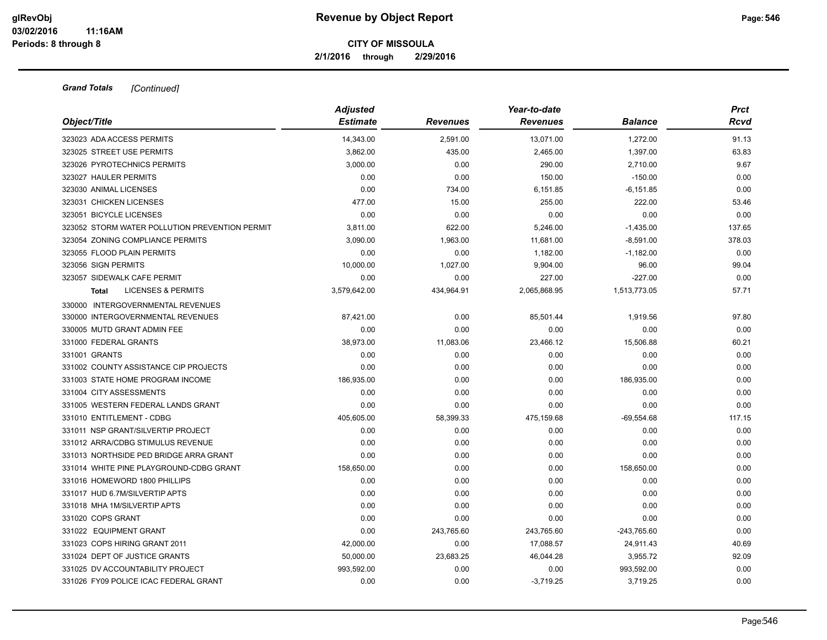**2/1/2016 through 2/29/2016**

| Object/Title                                   | <b>Adjusted</b><br><b>Estimate</b> | <b>Revenues</b> | Year-to-date<br><b>Revenues</b> | <b>Balance</b> | <b>Prct</b><br><b>Rcvd</b> |
|------------------------------------------------|------------------------------------|-----------------|---------------------------------|----------------|----------------------------|
| 323023 ADA ACCESS PERMITS                      | 14.343.00                          | 2,591.00        | 13,071.00                       | 1,272.00       | 91.13                      |
| 323025 STREET USE PERMITS                      | 3,862.00                           | 435.00          | 2,465.00                        | 1,397.00       | 63.83                      |
| 323026 PYROTECHNICS PERMITS                    | 3,000.00                           | 0.00            | 290.00                          | 2,710.00       | 9.67                       |
| 323027 HAULER PERMITS                          | 0.00                               | 0.00            | 150.00                          | $-150.00$      | 0.00                       |
| 323030 ANIMAL LICENSES                         | 0.00                               | 734.00          | 6,151.85                        | $-6, 151.85$   | 0.00                       |
| 323031 CHICKEN LICENSES                        | 477.00                             | 15.00           | 255.00                          | 222.00         | 53.46                      |
| 323051 BICYCLE LICENSES                        | 0.00                               | 0.00            | 0.00                            | 0.00           | 0.00                       |
| 323052 STORM WATER POLLUTION PREVENTION PERMIT | 3,811.00                           | 622.00          | 5,246.00                        | $-1,435.00$    | 137.65                     |
| 323054 ZONING COMPLIANCE PERMITS               | 3,090.00                           | 1,963.00        | 11,681.00                       | $-8,591.00$    | 378.03                     |
| 323055 FLOOD PLAIN PERMITS                     | 0.00                               | 0.00            | 1,182.00                        | $-1,182.00$    | 0.00                       |
| 323056 SIGN PERMITS                            | 10,000.00                          | 1,027.00        | 9,904.00                        | 96.00          | 99.04                      |
| 323057 SIDEWALK CAFE PERMIT                    | 0.00                               | 0.00            | 227.00                          | $-227.00$      | 0.00                       |
| <b>LICENSES &amp; PERMITS</b><br>Total         | 3,579,642.00                       | 434,964.91      | 2,065,868.95                    | 1,513,773.05   | 57.71                      |
| 330000 INTERGOVERNMENTAL REVENUES              |                                    |                 |                                 |                |                            |
| 330000 INTERGOVERNMENTAL REVENUES              | 87,421.00                          | 0.00            | 85,501.44                       | 1,919.56       | 97.80                      |
| 330005 MUTD GRANT ADMIN FEE                    | 0.00                               | 0.00            | 0.00                            | 0.00           | 0.00                       |
| 331000 FEDERAL GRANTS                          | 38,973.00                          | 11,083.06       | 23,466.12                       | 15,506.88      | 60.21                      |
| 331001 GRANTS                                  | 0.00                               | 0.00            | 0.00                            | 0.00           | 0.00                       |
| 331002 COUNTY ASSISTANCE CIP PROJECTS          | 0.00                               | 0.00            | 0.00                            | 0.00           | 0.00                       |
| 331003 STATE HOME PROGRAM INCOME               | 186,935.00                         | 0.00            | 0.00                            | 186,935.00     | 0.00                       |
| 331004 CITY ASSESSMENTS                        | 0.00                               | 0.00            | 0.00                            | 0.00           | 0.00                       |
| 331005 WESTERN FEDERAL LANDS GRANT             | 0.00                               | 0.00            | 0.00                            | 0.00           | 0.00                       |
| 331010 ENTITLEMENT - CDBG                      | 405,605.00                         | 58,399.33       | 475,159.68                      | $-69,554.68$   | 117.15                     |
| 331011 NSP GRANT/SILVERTIP PROJECT             | 0.00                               | 0.00            | 0.00                            | 0.00           | 0.00                       |
| 331012 ARRA/CDBG STIMULUS REVENUE              | 0.00                               | 0.00            | 0.00                            | 0.00           | 0.00                       |
| 331013 NORTHSIDE PED BRIDGE ARRA GRANT         | 0.00                               | 0.00            | 0.00                            | 0.00           | 0.00                       |
| 331014 WHITE PINE PLAYGROUND-CDBG GRANT        | 158,650.00                         | 0.00            | 0.00                            | 158,650.00     | 0.00                       |
| 331016 HOMEWORD 1800 PHILLIPS                  | 0.00                               | 0.00            | 0.00                            | 0.00           | 0.00                       |
| 331017 HUD 6.7M/SILVERTIP APTS                 | 0.00                               | 0.00            | 0.00                            | 0.00           | 0.00                       |
| 331018 MHA 1M/SILVERTIP APTS                   | 0.00                               | 0.00            | 0.00                            | 0.00           | 0.00                       |
| 331020 COPS GRANT                              | 0.00                               | 0.00            | 0.00                            | 0.00           | 0.00                       |
| 331022 EQUIPMENT GRANT                         | 0.00                               | 243,765.60      | 243,765.60                      | $-243,765.60$  | 0.00                       |
| 331023 COPS HIRING GRANT 2011                  | 42,000.00                          | 0.00            | 17,088.57                       | 24,911.43      | 40.69                      |
| 331024 DEPT OF JUSTICE GRANTS                  | 50,000.00                          | 23,683.25       | 46,044.28                       | 3,955.72       | 92.09                      |
| 331025 DV ACCOUNTABILITY PROJECT               | 993,592.00                         | 0.00            | 0.00                            | 993,592.00     | 0.00                       |
| 331026 FY09 POLICE ICAC FEDERAL GRANT          | 0.00                               | 0.00            | $-3.719.25$                     | 3.719.25       | 0.00                       |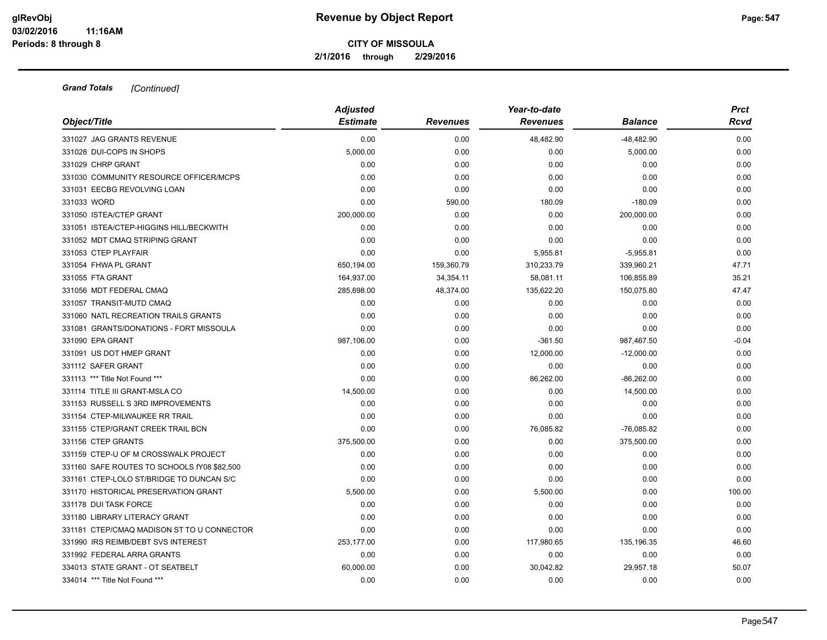**2/1/2016 through 2/29/2016**

|                                             | <b>Adjusted</b> |                 | Year-to-date    | <b>Prct</b>    |         |
|---------------------------------------------|-----------------|-----------------|-----------------|----------------|---------|
| Object/Title                                | <b>Estimate</b> | <b>Revenues</b> | <b>Revenues</b> | <b>Balance</b> | Rcvd    |
| 331027 JAG GRANTS REVENUE                   | 0.00            | 0.00            | 48,482.90       | $-48,482.90$   | 0.00    |
| 331028 DUI-COPS IN SHOPS                    | 5,000.00        | 0.00            | 0.00            | 5,000.00       | 0.00    |
| 331029 CHRP GRANT                           | 0.00            | 0.00            | 0.00            | 0.00           | 0.00    |
| 331030 COMMUNITY RESOURCE OFFICER/MCPS      | 0.00            | 0.00            | 0.00            | 0.00           | 0.00    |
| 331031 EECBG REVOLVING LOAN                 | 0.00            | 0.00            | 0.00            | 0.00           | 0.00    |
| 331033 WORD                                 | 0.00            | 590.00          | 180.09          | $-180.09$      | 0.00    |
| 331050 ISTEA/CTEP GRANT                     | 200,000.00      | 0.00            | 0.00            | 200,000.00     | 0.00    |
| 331051 ISTEA/CTEP-HIGGINS HILL/BECKWITH     | 0.00            | 0.00            | 0.00            | 0.00           | 0.00    |
| 331052 MDT CMAQ STRIPING GRANT              | 0.00            | 0.00            | 0.00            | 0.00           | 0.00    |
| 331053 CTEP PLAYFAIR                        | 0.00            | 0.00            | 5,955.81        | $-5,955.81$    | 0.00    |
| 331054 FHWA PL GRANT                        | 650,194.00      | 159,360.79      | 310,233.79      | 339,960.21     | 47.71   |
| 331055 FTA GRANT                            | 164,937.00      | 34,354.11       | 58,081.11       | 106,855.89     | 35.21   |
| 331056 MDT FEDERAL CMAQ                     | 285,698.00      | 48,374.00       | 135,622.20      | 150,075.80     | 47.47   |
| 331057 TRANSIT-MUTD CMAQ                    | 0.00            | 0.00            | 0.00            | 0.00           | 0.00    |
| 331060 NATL RECREATION TRAILS GRANTS        | 0.00            | 0.00            | 0.00            | 0.00           | 0.00    |
| 331081 GRANTS/DONATIONS - FORT MISSOULA     | 0.00            | 0.00            | 0.00            | 0.00           | 0.00    |
| 331090 EPA GRANT                            | 987,106.00      | 0.00            | $-361.50$       | 987,467.50     | $-0.04$ |
| 331091 US DOT HMEP GRANT                    | 0.00            | 0.00            | 12,000.00       | $-12,000.00$   | 0.00    |
| 331112 SAFER GRANT                          | 0.00            | 0.00            | 0.00            | 0.00           | 0.00    |
| 331113 *** Title Not Found ***              | 0.00            | 0.00            | 86,262.00       | $-86,262.00$   | 0.00    |
| 331114 TITLE III GRANT-MSLA CO              | 14,500.00       | 0.00            | 0.00            | 14,500.00      | 0.00    |
| 331153 RUSSELL S 3RD IMPROVEMENTS           | 0.00            | 0.00            | 0.00            | 0.00           | 0.00    |
| 331154 CTEP-MILWAUKEE RR TRAIL              | 0.00            | 0.00            | 0.00            | 0.00           | 0.00    |
| 331155 CTEP/GRANT CREEK TRAIL BCN           | 0.00            | 0.00            | 76,085.82       | $-76,085.82$   | 0.00    |
| 331156 CTEP GRANTS                          | 375,500.00      | 0.00            | 0.00            | 375,500.00     | 0.00    |
| 331159 CTEP-U OF M CROSSWALK PROJECT        | 0.00            | 0.00            | 0.00            | 0.00           | 0.00    |
| 331160 SAFE ROUTES TO SCHOOLS fY08 \$82,500 | 0.00            | 0.00            | 0.00            | 0.00           | 0.00    |
| 331161 CTEP-LOLO ST/BRIDGE TO DUNCAN S/C    | 0.00            | 0.00            | 0.00            | 0.00           | 0.00    |
| 331170 HISTORICAL PRESERVATION GRANT        | 5,500.00        | 0.00            | 5,500.00        | 0.00           | 100.00  |
| 331178 DUI TASK FORCE                       | 0.00            | 0.00            | 0.00            | 0.00           | 0.00    |
| 331180 LIBRARY LITERACY GRANT               | 0.00            | 0.00            | 0.00            | 0.00           | 0.00    |
| 331181 CTEP/CMAQ MADISON ST TO U CONNECTOR  | 0.00            | 0.00            | 0.00            | 0.00           | 0.00    |
| 331990 IRS REIMB/DEBT SVS INTEREST          | 253,177.00      | 0.00            | 117,980.65      | 135,196.35     | 46.60   |
| 331992 FEDERAL ARRA GRANTS                  | 0.00            | 0.00            | 0.00            | 0.00           | 0.00    |
| 334013 STATE GRANT - OT SEATBELT            | 60,000.00       | 0.00            | 30,042.82       | 29,957.18      | 50.07   |
| 334014 *** Title Not Found ***              | 0.00            | 0.00            | 0.00            | 0.00           | 0.00    |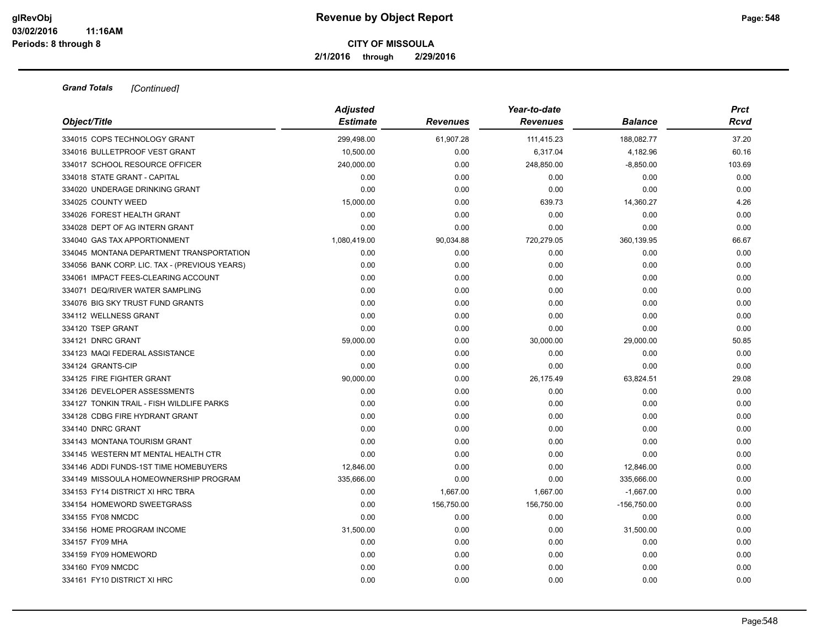**2/1/2016 through 2/29/2016**

| Object/Title                                  | <b>Adjusted</b><br><b>Estimate</b> | <b>Revenues</b> | Year-to-date<br><b>Revenues</b> | <b>Balance</b> | <b>Prct</b><br>Rcvd |
|-----------------------------------------------|------------------------------------|-----------------|---------------------------------|----------------|---------------------|
| 334015 COPS TECHNOLOGY GRANT                  | 299,498.00                         | 61,907.28       | 111,415.23                      | 188,082.77     | 37.20               |
| 334016 BULLETPROOF VEST GRANT                 | 10,500.00                          | 0.00            | 6,317.04                        | 4,182.96       | 60.16               |
| 334017 SCHOOL RESOURCE OFFICER                | 240,000.00                         | 0.00            | 248,850.00                      | $-8,850.00$    | 103.69              |
| 334018 STATE GRANT - CAPITAL                  | 0.00                               | 0.00            | 0.00                            | 0.00           | 0.00                |
| 334020 UNDERAGE DRINKING GRANT                | 0.00                               | 0.00            | 0.00                            | 0.00           | 0.00                |
| 334025 COUNTY WEED                            | 15,000.00                          | 0.00            | 639.73                          | 14,360.27      | 4.26                |
| 334026 FOREST HEALTH GRANT                    | 0.00                               | 0.00            | 0.00                            | 0.00           | 0.00                |
| 334028 DEPT OF AG INTERN GRANT                | 0.00                               | 0.00            | 0.00                            | 0.00           | 0.00                |
| 334040 GAS TAX APPORTIONMENT                  | 1,080,419.00                       | 90,034.88       | 720,279.05                      | 360,139.95     | 66.67               |
| 334045 MONTANA DEPARTMENT TRANSPORTATION      | 0.00                               | 0.00            | 0.00                            | 0.00           | 0.00                |
| 334056 BANK CORP. LIC. TAX - (PREVIOUS YEARS) | 0.00                               | 0.00            | 0.00                            | 0.00           | 0.00                |
| 334061 IMPACT FEES-CLEARING ACCOUNT           | 0.00                               | 0.00            | 0.00                            | 0.00           | 0.00                |
| 334071 DEQ/RIVER WATER SAMPLING               | 0.00                               | 0.00            | 0.00                            | 0.00           | 0.00                |
| 334076 BIG SKY TRUST FUND GRANTS              | 0.00                               | 0.00            | 0.00                            | 0.00           | 0.00                |
| 334112 WELLNESS GRANT                         | 0.00                               | 0.00            | 0.00                            | 0.00           | 0.00                |
| 334120 TSEP GRANT                             | 0.00                               | 0.00            | 0.00                            | 0.00           | 0.00                |
| 334121 DNRC GRANT                             | 59,000.00                          | 0.00            | 30,000.00                       | 29,000.00      | 50.85               |
| 334123 MAQI FEDERAL ASSISTANCE                | 0.00                               | 0.00            | 0.00                            | 0.00           | 0.00                |
| 334124 GRANTS-CIP                             | 0.00                               | 0.00            | 0.00                            | 0.00           | 0.00                |
| 334125 FIRE FIGHTER GRANT                     | 90,000.00                          | 0.00            | 26,175.49                       | 63,824.51      | 29.08               |
| 334126 DEVELOPER ASSESSMENTS                  | 0.00                               | 0.00            | 0.00                            | 0.00           | 0.00                |
| 334127 TONKIN TRAIL - FISH WILDLIFE PARKS     | 0.00                               | 0.00            | 0.00                            | 0.00           | 0.00                |
| 334128 CDBG FIRE HYDRANT GRANT                | 0.00                               | 0.00            | 0.00                            | 0.00           | 0.00                |
| 334140 DNRC GRANT                             | 0.00                               | 0.00            | 0.00                            | 0.00           | 0.00                |
| 334143 MONTANA TOURISM GRANT                  | 0.00                               | 0.00            | 0.00                            | 0.00           | 0.00                |
| 334145 WESTERN MT MENTAL HEALTH CTR           | 0.00                               | 0.00            | 0.00                            | 0.00           | 0.00                |
| 334146 ADDI FUNDS-1ST TIME HOMEBUYERS         | 12,846.00                          | 0.00            | 0.00                            | 12,846.00      | 0.00                |
| 334149 MISSOULA HOMEOWNERSHIP PROGRAM         | 335,666.00                         | 0.00            | 0.00                            | 335,666.00     | 0.00                |
| 334153 FY14 DISTRICT XI HRC TBRA              | 0.00                               | 1,667.00        | 1,667.00                        | $-1,667.00$    | 0.00                |
| 334154 HOMEWORD SWEETGRASS                    | 0.00                               | 156,750.00      | 156,750.00                      | $-156,750.00$  | 0.00                |
| 334155 FY08 NMCDC                             | 0.00                               | 0.00            | 0.00                            | 0.00           | 0.00                |
| 334156 HOME PROGRAM INCOME                    | 31,500.00                          | 0.00            | 0.00                            | 31,500.00      | 0.00                |
| 334157 FY09 MHA                               | 0.00                               | 0.00            | 0.00                            | 0.00           | 0.00                |
| 334159 FY09 HOMEWORD                          | 0.00                               | 0.00            | 0.00                            | 0.00           | 0.00                |
| 334160 FY09 NMCDC                             | 0.00                               | 0.00            | 0.00                            | 0.00           | 0.00                |
| 334161 FY10 DISTRICT XI HRC                   | 0.00                               | 0.00            | 0.00                            | 0.00           | 0.00                |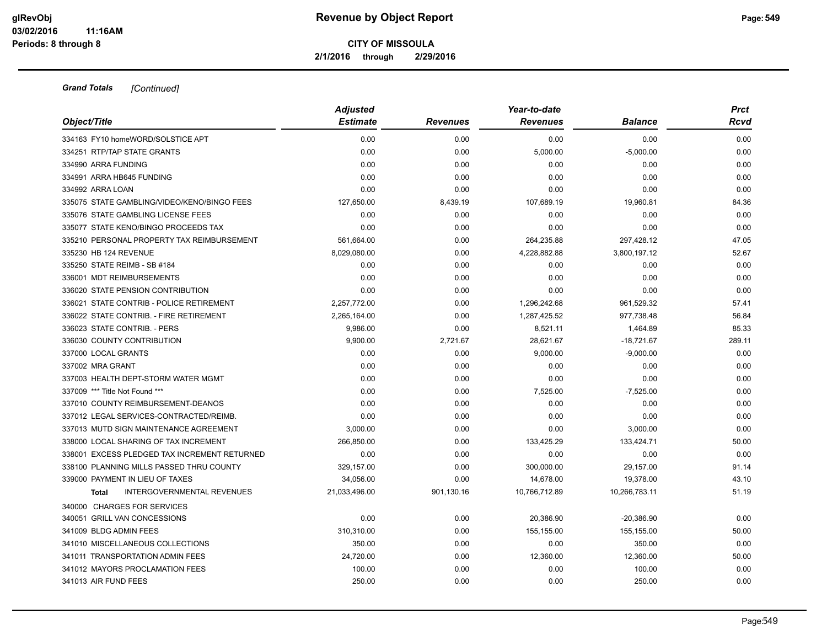**2/1/2016 through 2/29/2016**

|                                                   | <b>Adjusted</b><br><b>Estimate</b> | <b>Revenues</b> | Year-to-date<br><b>Revenues</b> | <b>Balance</b> | <b>Prct</b> |
|---------------------------------------------------|------------------------------------|-----------------|---------------------------------|----------------|-------------|
| Object/Title                                      |                                    |                 |                                 |                | Rcvd        |
| 334163 FY10 homeWORD/SOLSTICE APT                 | 0.00                               | 0.00            | 0.00                            | 0.00           | 0.00        |
| 334251 RTP/TAP STATE GRANTS                       | 0.00                               | 0.00            | 5,000.00                        | $-5,000.00$    | 0.00        |
| 334990 ARRA FUNDING                               | 0.00                               | 0.00            | 0.00                            | 0.00           | 0.00        |
| 334991 ARRA HB645 FUNDING                         | 0.00                               | 0.00            | 0.00                            | 0.00           | 0.00        |
| 334992 ARRA LOAN                                  | 0.00                               | 0.00            | 0.00                            | 0.00           | 0.00        |
| 335075 STATE GAMBLING/VIDEO/KENO/BINGO FEES       | 127,650.00                         | 8,439.19        | 107,689.19                      | 19,960.81      | 84.36       |
| 335076 STATE GAMBLING LICENSE FEES                | 0.00                               | 0.00            | 0.00                            | 0.00           | 0.00        |
| 335077 STATE KENO/BINGO PROCEEDS TAX              | 0.00                               | 0.00            | 0.00                            | 0.00           | 0.00        |
| 335210 PERSONAL PROPERTY TAX REIMBURSEMENT        | 561,664.00                         | 0.00            | 264,235.88                      | 297,428.12     | 47.05       |
| 335230 HB 124 REVENUE                             | 8,029,080.00                       | 0.00            | 4,228,882.88                    | 3,800,197.12   | 52.67       |
| 335250 STATE REIMB - SB #184                      | 0.00                               | 0.00            | 0.00                            | 0.00           | 0.00        |
| 336001 MDT REIMBURSEMENTS                         | 0.00                               | 0.00            | 0.00                            | 0.00           | 0.00        |
| 336020 STATE PENSION CONTRIBUTION                 | 0.00                               | 0.00            | 0.00                            | 0.00           | 0.00        |
| 336021 STATE CONTRIB - POLICE RETIREMENT          | 2,257,772.00                       | 0.00            | 1,296,242.68                    | 961,529.32     | 57.41       |
| 336022 STATE CONTRIB. - FIRE RETIREMENT           | 2,265,164.00                       | 0.00            | 1,287,425.52                    | 977,738.48     | 56.84       |
| 336023 STATE CONTRIB. - PERS                      | 9.986.00                           | 0.00            | 8,521.11                        | 1,464.89       | 85.33       |
| 336030 COUNTY CONTRIBUTION                        | 9,900.00                           | 2,721.67        | 28,621.67                       | $-18,721.67$   | 289.11      |
| 337000 LOCAL GRANTS                               | 0.00                               | 0.00            | 9,000.00                        | $-9,000.00$    | 0.00        |
| 337002 MRA GRANT                                  | 0.00                               | 0.00            | 0.00                            | 0.00           | 0.00        |
| 337003 HEALTH DEPT-STORM WATER MGMT               | 0.00                               | 0.00            | 0.00                            | 0.00           | 0.00        |
| 337009 *** Title Not Found ***                    | 0.00                               | 0.00            | 7,525.00                        | $-7,525.00$    | 0.00        |
| 337010 COUNTY REIMBURSEMENT-DEANOS                | 0.00                               | 0.00            | 0.00                            | 0.00           | 0.00        |
| 337012 LEGAL SERVICES-CONTRACTED/REIMB.           | 0.00                               | 0.00            | 0.00                            | 0.00           | 0.00        |
| 337013 MUTD SIGN MAINTENANCE AGREEMENT            | 3,000.00                           | 0.00            | 0.00                            | 3,000.00       | 0.00        |
| 338000 LOCAL SHARING OF TAX INCREMENT             | 266,850.00                         | 0.00            | 133,425.29                      | 133,424.71     | 50.00       |
| 338001 EXCESS PLEDGED TAX INCREMENT RETURNED      | 0.00                               | 0.00            | 0.00                            | 0.00           | 0.00        |
| 338100 PLANNING MILLS PASSED THRU COUNTY          | 329,157.00                         | 0.00            | 300,000.00                      | 29,157.00      | 91.14       |
| 339000 PAYMENT IN LIEU OF TAXES                   | 34,056.00                          | 0.00            | 14,678.00                       | 19,378.00      | 43.10       |
| <b>INTERGOVERNMENTAL REVENUES</b><br><b>Total</b> | 21,033,496.00                      | 901,130.16      | 10,766,712.89                   | 10,266,783.11  | 51.19       |
| 340000 CHARGES FOR SERVICES                       |                                    |                 |                                 |                |             |
| 340051 GRILL VAN CONCESSIONS                      | 0.00                               | 0.00            | 20,386.90                       | $-20,386.90$   | 0.00        |
| 341009 BLDG ADMIN FEES                            | 310,310.00                         | 0.00            | 155,155.00                      | 155,155.00     | 50.00       |
| 341010 MISCELLANEOUS COLLECTIONS                  | 350.00                             | 0.00            | 0.00                            | 350.00         | 0.00        |
| 341011 TRANSPORTATION ADMIN FEES                  | 24,720.00                          | 0.00            | 12,360.00                       | 12,360.00      | 50.00       |
| 341012 MAYORS PROCLAMATION FEES                   | 100.00                             | 0.00            | 0.00                            | 100.00         | 0.00        |
| 341013 AIR FUND FEES                              | 250.00                             | 0.00            | 0.00                            | 250.00         | 0.00        |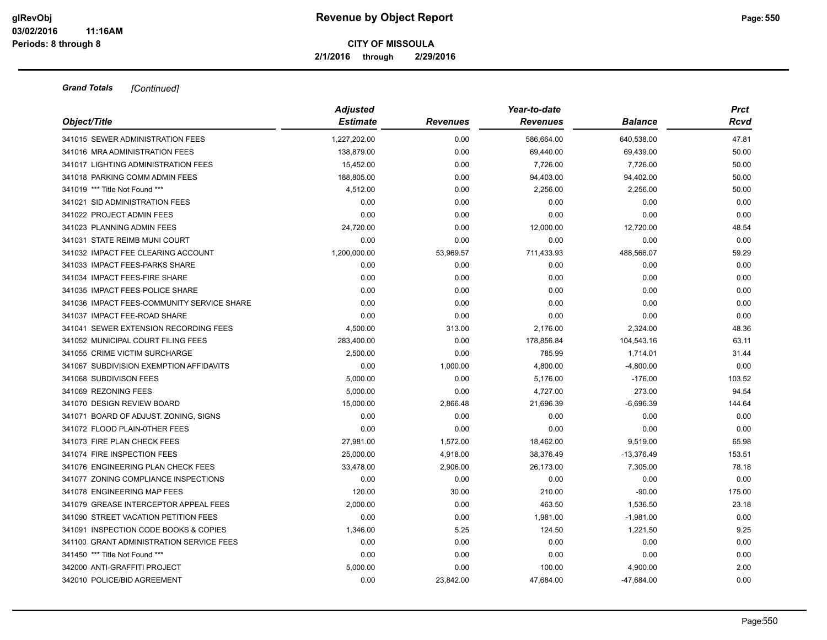**2/1/2016 through 2/29/2016**

| Object/Title                               | <b>Adjusted</b><br><b>Estimate</b> | <b>Revenues</b> | Year-to-date<br><b>Revenues</b> | <b>Balance</b> | <b>Prct</b><br>Rcvd |
|--------------------------------------------|------------------------------------|-----------------|---------------------------------|----------------|---------------------|
| 341015 SEWER ADMINISTRATION FEES           | 1,227,202.00                       | 0.00            | 586,664.00                      | 640,538.00     | 47.81               |
| 341016 MRA ADMINISTRATION FEES             | 138,879.00                         | 0.00            | 69,440.00                       | 69,439.00      | 50.00               |
| 341017 LIGHTING ADMINISTRATION FEES        | 15,452.00                          | 0.00            | 7,726.00                        | 7,726.00       | 50.00               |
| 341018 PARKING COMM ADMIN FEES             | 188.805.00                         | 0.00            | 94,403.00                       | 94,402.00      | 50.00               |
| 341019 *** Title Not Found ***             | 4,512.00                           | 0.00            | 2,256.00                        | 2,256.00       | 50.00               |
| 341021 SID ADMINISTRATION FEES             | 0.00                               | 0.00            | 0.00                            | 0.00           | 0.00                |
| 341022 PROJECT ADMIN FEES                  | 0.00                               | 0.00            | 0.00                            | 0.00           | 0.00                |
| 341023 PLANNING ADMIN FEES                 | 24,720.00                          | 0.00            | 12,000.00                       | 12,720.00      | 48.54               |
| 341031 STATE REIMB MUNI COURT              | 0.00                               | 0.00            | 0.00                            | 0.00           | 0.00                |
| 341032 IMPACT FEE CLEARING ACCOUNT         | 1,200,000.00                       | 53,969.57       | 711,433.93                      | 488,566.07     | 59.29               |
| 341033 IMPACT FEES-PARKS SHARE             | 0.00                               | 0.00            | 0.00                            | 0.00           | 0.00                |
| 341034 IMPACT FEES-FIRE SHARE              | 0.00                               | 0.00            | 0.00                            | 0.00           | 0.00                |
| 341035 IMPACT FEES-POLICE SHARE            | 0.00                               | 0.00            | 0.00                            | 0.00           | 0.00                |
| 341036 IMPACT FEES-COMMUNITY SERVICE SHARE | 0.00                               | 0.00            | 0.00                            | 0.00           | 0.00                |
| 341037 IMPACT FEE-ROAD SHARE               | 0.00                               | 0.00            | 0.00                            | 0.00           | 0.00                |
| 341041 SEWER EXTENSION RECORDING FEES      | 4,500.00                           | 313.00          | 2,176.00                        | 2,324.00       | 48.36               |
| 341052 MUNICIPAL COURT FILING FEES         | 283,400.00                         | 0.00            | 178,856.84                      | 104,543.16     | 63.11               |
| 341055 CRIME VICTIM SURCHARGE              | 2,500.00                           | 0.00            | 785.99                          | 1,714.01       | 31.44               |
| 341067 SUBDIVISION EXEMPTION AFFIDAVITS    | 0.00                               | 1,000.00        | 4,800.00                        | $-4,800.00$    | 0.00                |
| 341068 SUBDIVISON FEES                     | 5,000.00                           | 0.00            | 5,176.00                        | $-176.00$      | 103.52              |
| 341069 REZONING FEES                       | 5,000.00                           | 0.00            | 4,727.00                        | 273.00         | 94.54               |
| 341070 DESIGN REVIEW BOARD                 | 15,000.00                          | 2,866.48        | 21,696.39                       | $-6,696.39$    | 144.64              |
| 341071 BOARD OF ADJUST. ZONING, SIGNS      | 0.00                               | 0.00            | 0.00                            | 0.00           | 0.00                |
| 341072 FLOOD PLAIN-0THER FEES              | 0.00                               | 0.00            | 0.00                            | 0.00           | 0.00                |
| 341073 FIRE PLAN CHECK FEES                | 27,981.00                          | 1,572.00        | 18,462.00                       | 9,519.00       | 65.98               |
| 341074 FIRE INSPECTION FEES                | 25,000.00                          | 4,918.00        | 38,376.49                       | $-13,376.49$   | 153.51              |
| 341076 ENGINEERING PLAN CHECK FEES         | 33,478.00                          | 2,906.00        | 26,173.00                       | 7,305.00       | 78.18               |
| 341077 ZONING COMPLIANCE INSPECTIONS       | 0.00                               | 0.00            | 0.00                            | 0.00           | 0.00                |
| 341078 ENGINEERING MAP FEES                | 120.00                             | 30.00           | 210.00                          | $-90.00$       | 175.00              |
| 341079 GREASE INTERCEPTOR APPEAL FEES      | 2,000.00                           | 0.00            | 463.50                          | 1,536.50       | 23.18               |
| 341090 STREET VACATION PETITION FEES       | 0.00                               | 0.00            | 1,981.00                        | $-1,981.00$    | 0.00                |
| 341091 INSPECTION CODE BOOKS & COPIES      | 1,346.00                           | 5.25            | 124.50                          | 1,221.50       | 9.25                |
| 341100 GRANT ADMINISTRATION SERVICE FEES   | 0.00                               | 0.00            | 0.00                            | 0.00           | 0.00                |
| 341450 *** Title Not Found ***             | 0.00                               | 0.00            | 0.00                            | 0.00           | 0.00                |
| 342000 ANTI-GRAFFITI PROJECT               | 5,000.00                           | 0.00            | 100.00                          | 4,900.00       | 2.00                |
| 342010 POLICE/BID AGREEMENT                | 0.00                               | 23,842.00       | 47,684.00                       | $-47,684.00$   | 0.00                |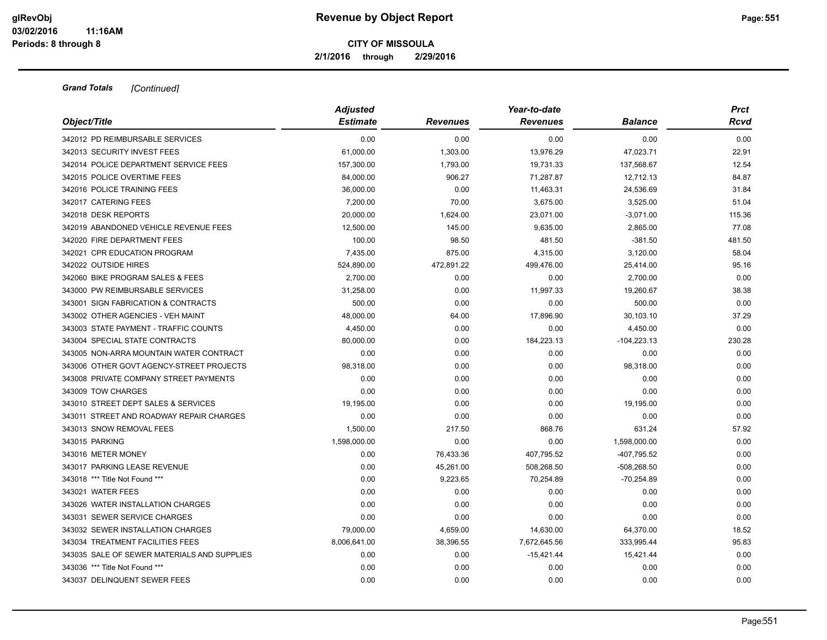**2/1/2016 through 2/29/2016**

| Object/Title                                | <b>Adjusted</b><br><b>Estimate</b> | <b>Revenues</b> | Year-to-date<br><b>Revenues</b> | <b>Balance</b> | Prct<br>Rcvd |
|---------------------------------------------|------------------------------------|-----------------|---------------------------------|----------------|--------------|
| 342012 PD REIMBURSABLE SERVICES             | 0.00                               | 0.00            | 0.00                            | 0.00           | 0.00         |
| 342013 SECURITY INVEST FEES                 | 61,000.00                          | 1,303.00        | 13,976.29                       | 47,023.71      | 22.91        |
| 342014 POLICE DEPARTMENT SERVICE FEES       | 157,300.00                         | 1,793.00        | 19,731.33                       | 137,568.67     | 12.54        |
| 342015 POLICE OVERTIME FEES                 | 84,000.00                          | 906.27          | 71,287.87                       | 12,712.13      | 84.87        |
| 342016 POLICE TRAINING FEES                 | 36,000.00                          | 0.00            | 11,463.31                       | 24,536.69      | 31.84        |
| 342017 CATERING FEES                        | 7,200.00                           | 70.00           | 3,675.00                        | 3,525.00       | 51.04        |
| 342018 DESK REPORTS                         | 20,000.00                          | 1,624.00        | 23,071.00                       | $-3,071.00$    | 115.36       |
| 342019 ABANDONED VEHICLE REVENUE FEES       | 12,500.00                          | 145.00          | 9,635.00                        | 2,865.00       | 77.08        |
| 342020 FIRE DEPARTMENT FEES                 | 100.00                             | 98.50           | 481.50                          | $-381.50$      | 481.50       |
| 342021 CPR EDUCATION PROGRAM                | 7,435.00                           | 875.00          | 4,315.00                        | 3,120.00       | 58.04        |
| 342022 OUTSIDE HIRES                        | 524,890.00                         | 472,891.22      | 499,476.00                      | 25,414.00      | 95.16        |
| 342060 BIKE PROGRAM SALES & FEES            | 2,700.00                           | 0.00            | 0.00                            | 2,700.00       | 0.00         |
| 343000 PW REIMBURSABLE SERVICES             | 31,258.00                          | 0.00            | 11,997.33                       | 19,260.67      | 38.38        |
| 343001 SIGN FABRICATION & CONTRACTS         | 500.00                             | 0.00            | 0.00                            | 500.00         | 0.00         |
| 343002 OTHER AGENCIES - VEH MAINT           | 48,000.00                          | 64.00           | 17,896.90                       | 30,103.10      | 37.29        |
| 343003 STATE PAYMENT - TRAFFIC COUNTS       | 4,450.00                           | 0.00            | 0.00                            | 4,450.00       | 0.00         |
| 343004 SPECIAL STATE CONTRACTS              | 80,000.00                          | 0.00            | 184,223.13                      | $-104,223.13$  | 230.28       |
| 343005 NON-ARRA MOUNTAIN WATER CONTRACT     | 0.00                               | 0.00            | 0.00                            | 0.00           | 0.00         |
| 343006 OTHER GOVT AGENCY-STREET PROJECTS    | 98,318.00                          | 0.00            | 0.00                            | 98,318.00      | 0.00         |
| 343008 PRIVATE COMPANY STREET PAYMENTS      | 0.00                               | 0.00            | 0.00                            | 0.00           | 0.00         |
| 343009 TOW CHARGES                          | 0.00                               | 0.00            | 0.00                            | 0.00           | 0.00         |
| 343010 STREET DEPT SALES & SERVICES         | 19,195.00                          | 0.00            | 0.00                            | 19,195.00      | 0.00         |
| 343011 STREET AND ROADWAY REPAIR CHARGES    | 0.00                               | 0.00            | 0.00                            | 0.00           | 0.00         |
| 343013 SNOW REMOVAL FEES                    | 1,500.00                           | 217.50          | 868.76                          | 631.24         | 57.92        |
| 343015 PARKING                              | 1,598,000.00                       | 0.00            | 0.00                            | 1,598,000.00   | 0.00         |
| 343016 METER MONEY                          | 0.00                               | 76,433.36       | 407,795.52                      | $-407,795.52$  | 0.00         |
| 343017 PARKING LEASE REVENUE                | 0.00                               | 45,261.00       | 508,268.50                      | $-508,268.50$  | 0.00         |
| 343018 *** Title Not Found ***              | 0.00                               | 9,223.65        | 70,254.89                       | $-70,254.89$   | 0.00         |
| 343021 WATER FEES                           | 0.00                               | 0.00            | 0.00                            | 0.00           | 0.00         |
| 343026 WATER INSTALLATION CHARGES           | 0.00                               | 0.00            | 0.00                            | 0.00           | 0.00         |
| 343031 SEWER SERVICE CHARGES                | 0.00                               | 0.00            | 0.00                            | 0.00           | 0.00         |
| 343032 SEWER INSTALLATION CHARGES           | 79,000.00                          | 4,659.00        | 14,630.00                       | 64,370.00      | 18.52        |
| 343034 TREATMENT FACILITIES FEES            | 8,006,641.00                       | 38,396.55       | 7,672,645.56                    | 333,995.44     | 95.83        |
| 343035 SALE OF SEWER MATERIALS AND SUPPLIES | 0.00                               | 0.00            | $-15,421.44$                    | 15,421.44      | 0.00         |
| 343036 *** Title Not Found ***              | 0.00                               | 0.00            | 0.00                            | 0.00           | 0.00         |
| 343037 DELINQUENT SEWER FEES                | 0.00                               | 0.00            | 0.00                            | 0.00           | 0.00         |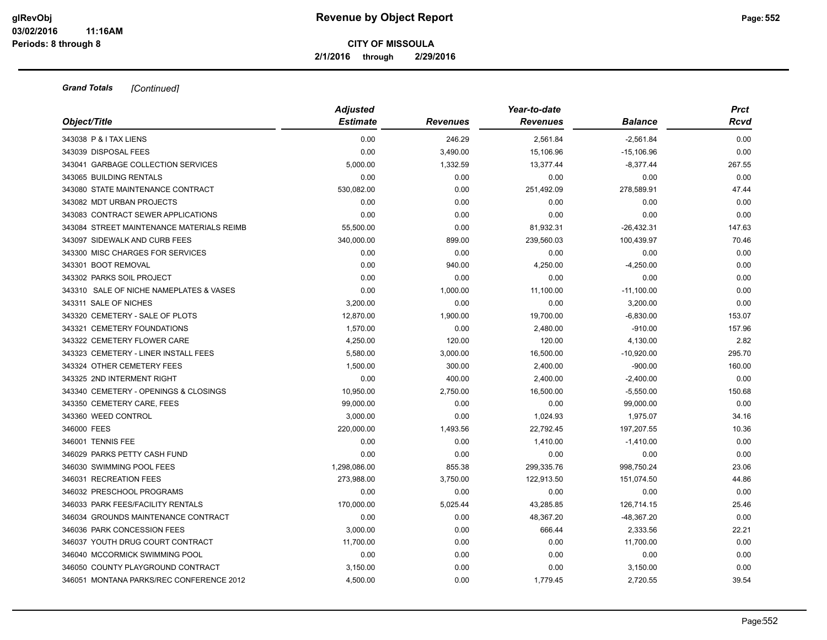**2/1/2016 through 2/29/2016**

| Object/Title                              | <b>Adjusted</b> |                 | Year-to-date    |                |        |  |
|-------------------------------------------|-----------------|-----------------|-----------------|----------------|--------|--|
|                                           | <b>Estimate</b> | <b>Revenues</b> | <b>Revenues</b> | <b>Balance</b> | Rcvd   |  |
| 343038 P & I TAX LIENS                    | 0.00            | 246.29          | 2,561.84        | $-2,561.84$    | 0.00   |  |
| 343039 DISPOSAL FEES                      | 0.00            | 3,490.00        | 15,106.96       | $-15,106.96$   | 0.00   |  |
| 343041 GARBAGE COLLECTION SERVICES        | 5,000.00        | 1,332.59        | 13,377.44       | $-8,377.44$    | 267.55 |  |
| 343065 BUILDING RENTALS                   | 0.00            | 0.00            | 0.00            | 0.00           | 0.00   |  |
| 343080 STATE MAINTENANCE CONTRACT         | 530,082.00      | 0.00            | 251,492.09      | 278,589.91     | 47.44  |  |
| 343082 MDT URBAN PROJECTS                 | 0.00            | 0.00            | 0.00            | 0.00           | 0.00   |  |
| 343083 CONTRACT SEWER APPLICATIONS        | 0.00            | 0.00            | 0.00            | 0.00           | 0.00   |  |
| 343084 STREET MAINTENANCE MATERIALS REIMB | 55,500.00       | 0.00            | 81,932.31       | $-26,432.31$   | 147.63 |  |
| 343097 SIDEWALK AND CURB FEES             | 340,000.00      | 899.00          | 239,560.03      | 100,439.97     | 70.46  |  |
| 343300 MISC CHARGES FOR SERVICES          | 0.00            | 0.00            | 0.00            | 0.00           | 0.00   |  |
| 343301 BOOT REMOVAL                       | 0.00            | 940.00          | 4,250.00        | $-4,250.00$    | 0.00   |  |
| 343302 PARKS SOIL PROJECT                 | 0.00            | 0.00            | 0.00            | 0.00           | 0.00   |  |
| 343310 SALE OF NICHE NAMEPLATES & VASES   | 0.00            | 1,000.00        | 11,100.00       | $-11,100.00$   | 0.00   |  |
| 343311 SALE OF NICHES                     | 3,200.00        | 0.00            | 0.00            | 3,200.00       | 0.00   |  |
| 343320 CEMETERY - SALE OF PLOTS           | 12,870.00       | 1,900.00        | 19,700.00       | $-6,830.00$    | 153.07 |  |
| 343321 CEMETERY FOUNDATIONS               | 1,570.00        | 0.00            | 2,480.00        | $-910.00$      | 157.96 |  |
| 343322 CEMETERY FLOWER CARE               | 4,250.00        | 120.00          | 120.00          | 4,130.00       | 2.82   |  |
| 343323 CEMETERY - LINER INSTALL FEES      | 5,580.00        | 3,000.00        | 16,500.00       | $-10,920.00$   | 295.70 |  |
| 343324 OTHER CEMETERY FEES                | 1,500.00        | 300.00          | 2,400.00        | $-900.00$      | 160.00 |  |
| 343325 2ND INTERMENT RIGHT                | 0.00            | 400.00          | 2,400.00        | $-2,400.00$    | 0.00   |  |
| 343340 CEMETERY - OPENINGS & CLOSINGS     | 10,950.00       | 2,750.00        | 16,500.00       | $-5,550.00$    | 150.68 |  |
| 343350 CEMETERY CARE, FEES                | 99,000.00       | 0.00            | 0.00            | 99,000.00      | 0.00   |  |
| 343360 WEED CONTROL                       | 3,000.00        | 0.00            | 1,024.93        | 1,975.07       | 34.16  |  |
| 346000 FEES                               | 220,000.00      | 1,493.56        | 22,792.45       | 197,207.55     | 10.36  |  |
| 346001 TENNIS FEE                         | 0.00            | 0.00            | 1,410.00        | $-1,410.00$    | 0.00   |  |
| 346029 PARKS PETTY CASH FUND              | 0.00            | 0.00            | 0.00            | 0.00           | 0.00   |  |
| 346030 SWIMMING POOL FEES                 | 1,298,086.00    | 855.38          | 299,335.76      | 998,750.24     | 23.06  |  |
| 346031 RECREATION FEES                    | 273,988.00      | 3,750.00        | 122,913.50      | 151,074.50     | 44.86  |  |
| 346032 PRESCHOOL PROGRAMS                 | 0.00            | 0.00            | 0.00            | 0.00           | 0.00   |  |
| 346033 PARK FEES/FACILITY RENTALS         | 170,000.00      | 5,025.44        | 43,285.85       | 126,714.15     | 25.46  |  |
| 346034 GROUNDS MAINTENANCE CONTRACT       | 0.00            | 0.00            | 48,367.20       | -48,367.20     | 0.00   |  |
| 346036 PARK CONCESSION FEES               | 3,000.00        | 0.00            | 666.44          | 2,333.56       | 22.21  |  |
| 346037 YOUTH DRUG COURT CONTRACT          | 11,700.00       | 0.00            | 0.00            | 11,700.00      | 0.00   |  |
| 346040 MCCORMICK SWIMMING POOL            | 0.00            | 0.00            | 0.00            | 0.00           | 0.00   |  |
| 346050 COUNTY PLAYGROUND CONTRACT         | 3,150.00        | 0.00            | 0.00            | 3,150.00       | 0.00   |  |
| 346051 MONTANA PARKS/REC CONFERENCE 2012  | 4,500.00        | 0.00            | 1,779.45        | 2,720.55       | 39.54  |  |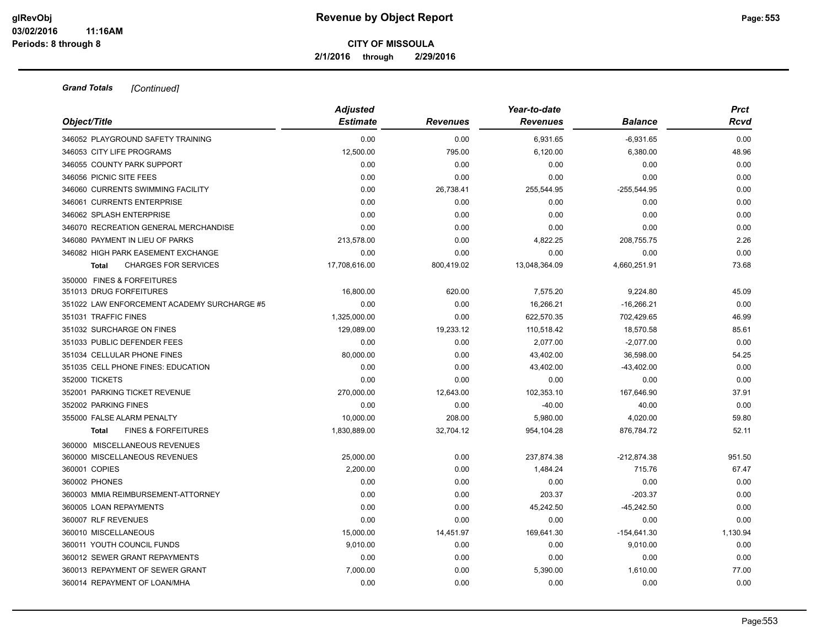**2/1/2016 through 2/29/2016**

| Object/Title                                   | <b>Adjusted</b><br><b>Estimate</b> | <b>Revenues</b> | Year-to-date<br><b>Revenues</b> | Balance       | <b>Prct</b><br>Rcvd |
|------------------------------------------------|------------------------------------|-----------------|---------------------------------|---------------|---------------------|
|                                                |                                    |                 |                                 |               |                     |
| 346052 PLAYGROUND SAFETY TRAINING              | 0.00                               | 0.00            | 6,931.65                        | $-6,931.65$   | 0.00                |
| 346053 CITY LIFE PROGRAMS                      | 12,500.00                          | 795.00          | 6,120.00                        | 6,380.00      | 48.96               |
| 346055 COUNTY PARK SUPPORT                     | 0.00                               | 0.00            | 0.00                            | 0.00          | 0.00                |
| 346056 PICNIC SITE FEES                        | 0.00                               | 0.00            | 0.00                            | 0.00          | 0.00                |
| 346060 CURRENTS SWIMMING FACILITY              | 0.00                               | 26,738.41       | 255,544.95                      | $-255,544.95$ | 0.00                |
| 346061 CURRENTS ENTERPRISE                     | 0.00                               | 0.00            | 0.00                            | 0.00          | 0.00                |
| 346062 SPLASH ENTERPRISE                       | 0.00                               | 0.00            | 0.00                            | 0.00          | 0.00                |
| 346070 RECREATION GENERAL MERCHANDISE          | 0.00                               | 0.00            | 0.00                            | 0.00          | 0.00                |
| 346080 PAYMENT IN LIEU OF PARKS                | 213,578.00                         | 0.00            | 4,822.25                        | 208,755.75    | 2.26                |
| 346082 HIGH PARK EASEMENT EXCHANGE             | 0.00                               | 0.00            | 0.00                            | 0.00          | 0.00                |
| <b>CHARGES FOR SERVICES</b><br>Total           | 17,708,616.00                      | 800,419.02      | 13,048,364.09                   | 4,660,251.91  | 73.68               |
| 350000 FINES & FORFEITURES                     |                                    |                 |                                 |               |                     |
| 351013 DRUG FORFEITURES                        | 16,800.00                          | 620.00          | 7,575.20                        | 9,224.80      | 45.09               |
| 351022 LAW ENFORCEMENT ACADEMY SURCHARGE #5    | 0.00                               | 0.00            | 16,266.21                       | $-16,266.21$  | 0.00                |
| 351031 TRAFFIC FINES                           | 1,325,000.00                       | 0.00            | 622,570.35                      | 702,429.65    | 46.99               |
| 351032 SURCHARGE ON FINES                      | 129,089.00                         | 19,233.12       | 110,518.42                      | 18,570.58     | 85.61               |
| 351033 PUBLIC DEFENDER FEES                    | 0.00                               | 0.00            | 2.077.00                        | $-2,077.00$   | 0.00                |
| 351034 CELLULAR PHONE FINES                    | 80,000.00                          | 0.00            | 43,402.00                       | 36,598.00     | 54.25               |
| 351035 CELL PHONE FINES: EDUCATION             | 0.00                               | 0.00            | 43,402.00                       | $-43,402.00$  | 0.00                |
| 352000 TICKETS                                 | 0.00                               | 0.00            | 0.00                            | 0.00          | 0.00                |
| 352001 PARKING TICKET REVENUE                  | 270,000.00                         | 12,643.00       | 102,353.10                      | 167,646.90    | 37.91               |
| 352002 PARKING FINES                           | 0.00                               | 0.00            | $-40.00$                        | 40.00         | 0.00                |
| 355000 FALSE ALARM PENALTY                     | 10,000.00                          | 208.00          | 5,980.00                        | 4,020.00      | 59.80               |
| <b>FINES &amp; FORFEITURES</b><br><b>Total</b> | 1,830,889.00                       | 32,704.12       | 954,104.28                      | 876,784.72    | 52.11               |
| 360000 MISCELLANEOUS REVENUES                  |                                    |                 |                                 |               |                     |
| 360000 MISCELLANEOUS REVENUES                  | 25,000.00                          | 0.00            | 237,874.38                      | -212,874.38   | 951.50              |
| 360001 COPIES                                  | 2,200.00                           | 0.00            | 1,484.24                        | 715.76        | 67.47               |
| 360002 PHONES                                  | 0.00                               | 0.00            | 0.00                            | 0.00          | 0.00                |
| 360003 MMIA REIMBURSEMENT-ATTORNEY             | 0.00                               | 0.00            | 203.37                          | $-203.37$     | 0.00                |
| 360005 LOAN REPAYMENTS                         | 0.00                               | 0.00            | 45,242.50                       | $-45,242.50$  | 0.00                |
| 360007 RLF REVENUES                            | 0.00                               | 0.00            | 0.00                            | 0.00          | 0.00                |
| 360010 MISCELLANEOUS                           | 15,000.00                          | 14,451.97       | 169,641.30                      | $-154,641.30$ | 1,130.94            |
| 360011 YOUTH COUNCIL FUNDS                     | 9,010.00                           | 0.00            | 0.00                            | 9,010.00      | 0.00                |
| 360012 SEWER GRANT REPAYMENTS                  | 0.00                               | 0.00            | 0.00                            | 0.00          | 0.00                |
| 360013 REPAYMENT OF SEWER GRANT                | 7,000.00                           | 0.00            | 5,390.00                        | 1,610.00      | 77.00               |
| 360014 REPAYMENT OF LOAN/MHA                   | 0.00                               | 0.00            | 0.00                            | 0.00          | 0.00                |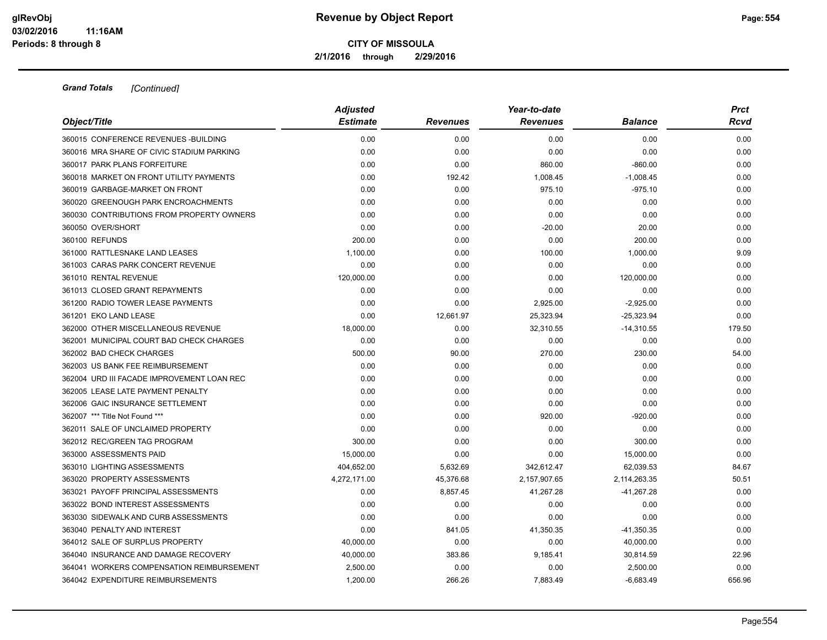**2/1/2016 through 2/29/2016**

| Object/Title                               | <b>Adjusted</b> |                 | Year-to-date    |                | <b>Prct</b> |
|--------------------------------------------|-----------------|-----------------|-----------------|----------------|-------------|
|                                            | <b>Estimate</b> | <b>Revenues</b> | <b>Revenues</b> | <b>Balance</b> | Rcvd        |
| 360015 CONFERENCE REVENUES - BUILDING      | 0.00            | 0.00            | 0.00            | 0.00           | 0.00        |
| 360016 MRA SHARE OF CIVIC STADIUM PARKING  | 0.00            | 0.00            | 0.00            | 0.00           | 0.00        |
| 360017 PARK PLANS FORFEITURE               | 0.00            | 0.00            | 860.00          | $-860.00$      | 0.00        |
| 360018 MARKET ON FRONT UTILITY PAYMENTS    | 0.00            | 192.42          | 1,008.45        | $-1,008.45$    | 0.00        |
| 360019 GARBAGE-MARKET ON FRONT             | 0.00            | 0.00            | 975.10          | $-975.10$      | 0.00        |
| 360020 GREENOUGH PARK ENCROACHMENTS        | 0.00            | 0.00            | 0.00            | 0.00           | 0.00        |
| 360030 CONTRIBUTIONS FROM PROPERTY OWNERS  | 0.00            | 0.00            | 0.00            | 0.00           | 0.00        |
| 360050 OVER/SHORT                          | 0.00            | 0.00            | $-20.00$        | 20.00          | 0.00        |
| 360100 REFUNDS                             | 200.00          | 0.00            | 0.00            | 200.00         | 0.00        |
| 361000 RATTLESNAKE LAND LEASES             | 1,100.00        | 0.00            | 100.00          | 1,000.00       | 9.09        |
| 361003 CARAS PARK CONCERT REVENUE          | 0.00            | 0.00            | 0.00            | 0.00           | 0.00        |
| 361010 RENTAL REVENUE                      | 120,000.00      | 0.00            | 0.00            | 120,000.00     | 0.00        |
| 361013 CLOSED GRANT REPAYMENTS             | 0.00            | 0.00            | 0.00            | 0.00           | 0.00        |
| 361200 RADIO TOWER LEASE PAYMENTS          | 0.00            | 0.00            | 2,925.00        | $-2,925.00$    | 0.00        |
| 361201 EKO LAND LEASE                      | 0.00            | 12,661.97       | 25,323.94       | $-25,323.94$   | 0.00        |
| 362000 OTHER MISCELLANEOUS REVENUE         | 18,000.00       | 0.00            | 32,310.55       | $-14,310.55$   | 179.50      |
| 362001 MUNICIPAL COURT BAD CHECK CHARGES   | 0.00            | 0.00            | 0.00            | 0.00           | 0.00        |
| 362002 BAD CHECK CHARGES                   | 500.00          | 90.00           | 270.00          | 230.00         | 54.00       |
| 362003 US BANK FEE REIMBURSEMENT           | 0.00            | 0.00            | 0.00            | 0.00           | 0.00        |
| 362004 URD III FACADE IMPROVEMENT LOAN REC | 0.00            | 0.00            | 0.00            | 0.00           | 0.00        |
| 362005 LEASE LATE PAYMENT PENALTY          | 0.00            | 0.00            | 0.00            | 0.00           | 0.00        |
| 362006 GAIC INSURANCE SETTLEMENT           | 0.00            | 0.00            | 0.00            | 0.00           | 0.00        |
| 362007 *** Title Not Found ***             | 0.00            | 0.00            | 920.00          | $-920.00$      | 0.00        |
| 362011 SALE OF UNCLAIMED PROPERTY          | 0.00            | 0.00            | 0.00            | 0.00           | 0.00        |
| 362012 REC/GREEN TAG PROGRAM               | 300.00          | 0.00            | 0.00            | 300.00         | 0.00        |
| 363000 ASSESSMENTS PAID                    | 15,000.00       | 0.00            | 0.00            | 15,000.00      | 0.00        |
| 363010 LIGHTING ASSESSMENTS                | 404,652.00      | 5,632.69        | 342,612.47      | 62,039.53      | 84.67       |
| 363020 PROPERTY ASSESSMENTS                | 4,272,171.00    | 45,376.68       | 2,157,907.65    | 2,114,263.35   | 50.51       |
| 363021 PAYOFF PRINCIPAL ASSESSMENTS        | 0.00            | 8,857.45        | 41,267.28       | $-41,267.28$   | 0.00        |
| 363022 BOND INTEREST ASSESSMENTS           | 0.00            | 0.00            | 0.00            | 0.00           | 0.00        |
| 363030 SIDEWALK AND CURB ASSESSMENTS       | 0.00            | 0.00            | 0.00            | 0.00           | 0.00        |
| 363040 PENALTY AND INTEREST                | 0.00            | 841.05          | 41,350.35       | $-41,350.35$   | 0.00        |
| 364012 SALE OF SURPLUS PROPERTY            | 40,000.00       | 0.00            | 0.00            | 40,000.00      | 0.00        |
| 364040 INSURANCE AND DAMAGE RECOVERY       | 40,000.00       | 383.86          | 9,185.41        | 30,814.59      | 22.96       |
| 364041 WORKERS COMPENSATION REIMBURSEMENT  | 2,500.00        | 0.00            | 0.00            | 2,500.00       | 0.00        |
| 364042 EXPENDITURE REIMBURSEMENTS          | 1,200.00        | 266.26          | 7,883.49        | $-6,683.49$    | 656.96      |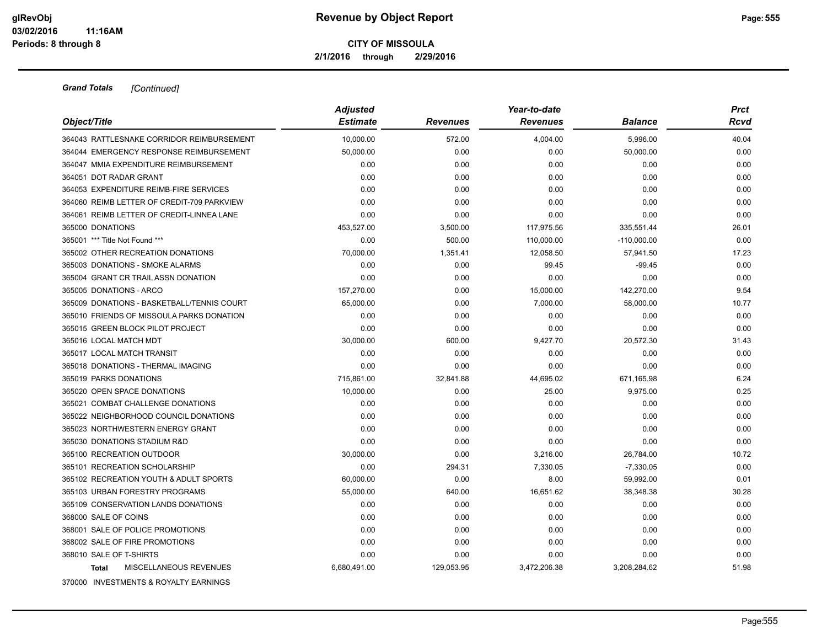**2/1/2016 through 2/29/2016**

| Object/Title                               | <b>Adjusted</b><br><b>Estimate</b> | <b>Revenues</b> | Year-to-date<br><b>Revenues</b> | <b>Balance</b> | <b>Prct</b><br>Rcvd |
|--------------------------------------------|------------------------------------|-----------------|---------------------------------|----------------|---------------------|
| 364043 RATTLESNAKE CORRIDOR REIMBURSEMENT  | 10.000.00                          | 572.00          | 4,004.00                        | 5,996.00       | 40.04               |
| 364044 EMERGENCY RESPONSE REIMBURSEMENT    | 50,000.00                          | 0.00            | 0.00                            | 50,000.00      | 0.00                |
| 364047 MMIA EXPENDITURE REIMBURSEMENT      | 0.00                               | 0.00            | 0.00                            | 0.00           | 0.00                |
| 364051 DOT RADAR GRANT                     | 0.00                               | 0.00            | 0.00                            | 0.00           | 0.00                |
| 364053 EXPENDITURE REIMB-FIRE SERVICES     | 0.00                               | 0.00            | 0.00                            | 0.00           | 0.00                |
| 364060 REIMB LETTER OF CREDIT-709 PARKVIEW | 0.00                               | 0.00            | 0.00                            | 0.00           | 0.00                |
| 364061 REIMB LETTER OF CREDIT-LINNEA LANE  | 0.00                               | 0.00            | 0.00                            | 0.00           | 0.00                |
| 365000 DONATIONS                           | 453,527.00                         | 3,500.00        | 117,975.56                      | 335,551.44     | 26.01               |
| 365001 *** Title Not Found ***             | 0.00                               | 500.00          | 110,000.00                      | $-110,000.00$  | 0.00                |
| 365002 OTHER RECREATION DONATIONS          | 70,000.00                          | 1,351.41        | 12,058.50                       | 57,941.50      | 17.23               |
| 365003 DONATIONS - SMOKE ALARMS            | 0.00                               | 0.00            | 99.45                           | $-99.45$       | 0.00                |
| 365004 GRANT CR TRAIL ASSN DONATION        | 0.00                               | 0.00            | 0.00                            | 0.00           | 0.00                |
| 365005 DONATIONS - ARCO                    | 157,270.00                         | 0.00            | 15,000.00                       | 142,270.00     | 9.54                |
| 365009 DONATIONS - BASKETBALL/TENNIS COURT | 65,000.00                          | 0.00            | 7,000.00                        | 58,000.00      | 10.77               |
| 365010 FRIENDS OF MISSOULA PARKS DONATION  | 0.00                               | 0.00            | 0.00                            | 0.00           | 0.00                |
| 365015 GREEN BLOCK PILOT PROJECT           | 0.00                               | 0.00            | 0.00                            | 0.00           | 0.00                |
| 365016 LOCAL MATCH MDT                     | 30,000.00                          | 600.00          | 9,427.70                        | 20,572.30      | 31.43               |
| 365017 LOCAL MATCH TRANSIT                 | 0.00                               | 0.00            | 0.00                            | 0.00           | 0.00                |
| 365018 DONATIONS - THERMAL IMAGING         | 0.00                               | 0.00            | 0.00                            | 0.00           | 0.00                |
| 365019 PARKS DONATIONS                     | 715,861.00                         | 32,841.88       | 44,695.02                       | 671,165.98     | 6.24                |
| 365020 OPEN SPACE DONATIONS                | 10,000.00                          | 0.00            | 25.00                           | 9,975.00       | 0.25                |
| 365021 COMBAT CHALLENGE DONATIONS          | 0.00                               | 0.00            | 0.00                            | 0.00           | 0.00                |
| 365022 NEIGHBORHOOD COUNCIL DONATIONS      | 0.00                               | 0.00            | 0.00                            | 0.00           | 0.00                |
| 365023 NORTHWESTERN ENERGY GRANT           | 0.00                               | 0.00            | 0.00                            | 0.00           | 0.00                |
| 365030 DONATIONS STADIUM R&D               | 0.00                               | 0.00            | 0.00                            | 0.00           | 0.00                |
| 365100 RECREATION OUTDOOR                  | 30,000.00                          | 0.00            | 3,216.00                        | 26,784.00      | 10.72               |
| 365101 RECREATION SCHOLARSHIP              | 0.00                               | 294.31          | 7,330.05                        | $-7,330.05$    | 0.00                |
| 365102 RECREATION YOUTH & ADULT SPORTS     | 60,000.00                          | 0.00            | 8.00                            | 59,992.00      | 0.01                |
| 365103 URBAN FORESTRY PROGRAMS             | 55,000.00                          | 640.00          | 16,651.62                       | 38,348.38      | 30.28               |
| 365109 CONSERVATION LANDS DONATIONS        | 0.00                               | 0.00            | 0.00                            | 0.00           | 0.00                |
| 368000 SALE OF COINS                       | 0.00                               | 0.00            | 0.00                            | 0.00           | 0.00                |
| 368001 SALE OF POLICE PROMOTIONS           | 0.00                               | 0.00            | 0.00                            | 0.00           | 0.00                |
| 368002 SALE OF FIRE PROMOTIONS             | 0.00                               | 0.00            | 0.00                            | 0.00           | 0.00                |
| 368010 SALE OF T-SHIRTS                    | 0.00                               | 0.00            | 0.00                            | 0.00           | 0.00                |
| MISCELLANEOUS REVENUES<br><b>Total</b>     | 6,680,491.00                       | 129,053.95      | 3,472,206.38                    | 3,208,284.62   | 51.98               |
| 370000 INVESTMENTS & ROYALTY EARNINGS      |                                    |                 |                                 |                |                     |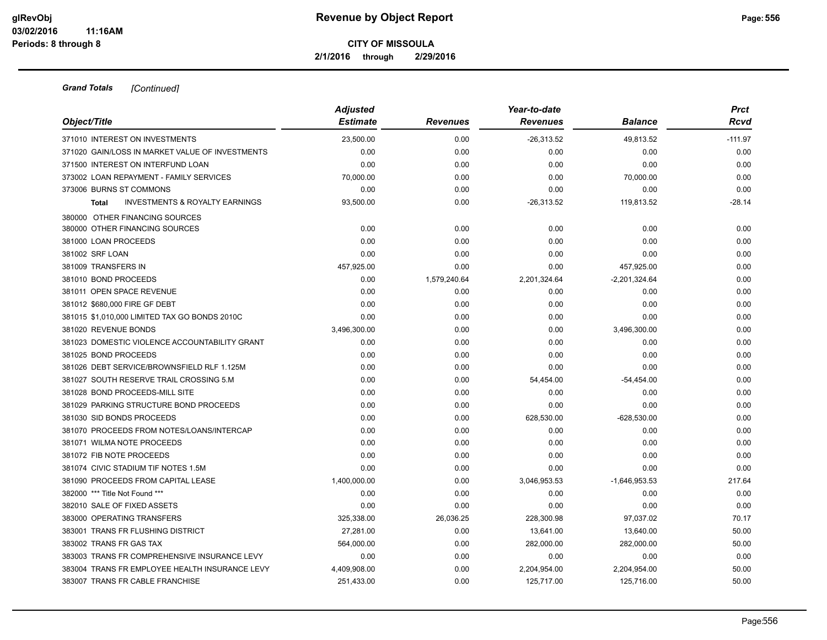**2/1/2016 through 2/29/2016**

| Object/Title                                              | <b>Adjusted</b> |                 | Year-to-date    |                 | <b>Prct</b> |
|-----------------------------------------------------------|-----------------|-----------------|-----------------|-----------------|-------------|
|                                                           | <b>Estimate</b> | <b>Revenues</b> | <b>Revenues</b> | <b>Balance</b>  | Rcvd        |
| 371010 INTEREST ON INVESTMENTS                            | 23.500.00       | 0.00            | $-26,313.52$    | 49,813.52       | $-111.97$   |
| 371020 GAIN/LOSS IN MARKET VALUE OF INVESTMENTS           | 0.00            | 0.00            | 0.00            | 0.00            | 0.00        |
| 371500 INTEREST ON INTERFUND LOAN                         | 0.00            | 0.00            | 0.00            | 0.00            | 0.00        |
| 373002 LOAN REPAYMENT - FAMILY SERVICES                   | 70,000.00       | 0.00            | 0.00            | 70,000.00       | 0.00        |
| 373006 BURNS ST COMMONS                                   | 0.00            | 0.00            | 0.00            | 0.00            | 0.00        |
| <b>INVESTMENTS &amp; ROYALTY EARNINGS</b><br><b>Total</b> | 93,500.00       | 0.00            | $-26,313.52$    | 119,813.52      | $-28.14$    |
| 380000 OTHER FINANCING SOURCES                            |                 |                 |                 |                 |             |
| 380000 OTHER FINANCING SOURCES                            | 0.00            | 0.00            | 0.00            | 0.00            | 0.00        |
| 381000 LOAN PROCEEDS                                      | 0.00            | 0.00            | 0.00            | 0.00            | 0.00        |
| 381002 SRF LOAN                                           | 0.00            | 0.00            | 0.00            | 0.00            | 0.00        |
| 381009 TRANSFERS IN                                       | 457,925.00      | 0.00            | 0.00            | 457,925.00      | 0.00        |
| 381010 BOND PROCEEDS                                      | 0.00            | 1,579,240.64    | 2,201,324.64    | $-2,201,324.64$ | 0.00        |
| 381011 OPEN SPACE REVENUE                                 | 0.00            | 0.00            | 0.00            | 0.00            | 0.00        |
| 381012 \$680,000 FIRE GF DEBT                             | 0.00            | 0.00            | 0.00            | 0.00            | 0.00        |
| 381015 \$1,010,000 LIMITED TAX GO BONDS 2010C             | 0.00            | 0.00            | 0.00            | 0.00            | 0.00        |
| 381020 REVENUE BONDS                                      | 3,496,300.00    | 0.00            | 0.00            | 3,496,300.00    | 0.00        |
| 381023 DOMESTIC VIOLENCE ACCOUNTABILITY GRANT             | 0.00            | 0.00            | 0.00            | 0.00            | 0.00        |
| 381025 BOND PROCEEDS                                      | 0.00            | 0.00            | 0.00            | 0.00            | 0.00        |
| 381026 DEBT SERVICE/BROWNSFIELD RLF 1.125M                | 0.00            | 0.00            | 0.00            | 0.00            | 0.00        |
| 381027 SOUTH RESERVE TRAIL CROSSING 5.M                   | 0.00            | 0.00            | 54,454.00       | $-54,454.00$    | 0.00        |
| 381028 BOND PROCEEDS-MILL SITE                            | 0.00            | 0.00            | 0.00            | 0.00            | 0.00        |
| 381029 PARKING STRUCTURE BOND PROCEEDS                    | 0.00            | 0.00            | 0.00            | 0.00            | 0.00        |
| 381030 SID BONDS PROCEEDS                                 | 0.00            | 0.00            | 628,530.00      | $-628,530.00$   | 0.00        |
| 381070 PROCEEDS FROM NOTES/LOANS/INTERCAP                 | 0.00            | 0.00            | 0.00            | 0.00            | 0.00        |
| 381071 WILMA NOTE PROCEEDS                                | 0.00            | 0.00            | 0.00            | 0.00            | 0.00        |
| 381072 FIB NOTE PROCEEDS                                  | 0.00            | 0.00            | 0.00            | 0.00            | 0.00        |
| 381074 CIVIC STADIUM TIF NOTES 1.5M                       | 0.00            | 0.00            | 0.00            | 0.00            | 0.00        |
| 381090 PROCEEDS FROM CAPITAL LEASE                        | 1,400,000.00    | 0.00            | 3,046,953.53    | $-1,646,953.53$ | 217.64      |
| 382000 *** Title Not Found ***                            | 0.00            | 0.00            | 0.00            | 0.00            | 0.00        |
| 382010 SALE OF FIXED ASSETS                               | 0.00            | 0.00            | 0.00            | 0.00            | 0.00        |
| 383000 OPERATING TRANSFERS                                | 325,338.00      | 26,036.25       | 228,300.98      | 97,037.02       | 70.17       |
| 383001 TRANS FR FLUSHING DISTRICT                         | 27.281.00       | 0.00            | 13,641.00       | 13,640.00       | 50.00       |
| 383002 TRANS FR GAS TAX                                   | 564,000.00      | 0.00            | 282,000.00      | 282,000.00      | 50.00       |
| 383003 TRANS FR COMPREHENSIVE INSURANCE LEVY              | 0.00            | 0.00            | 0.00            | 0.00            | 0.00        |
| 383004 TRANS FR EMPLOYEE HEALTH INSURANCE LEVY            | 4,409,908.00    | 0.00            | 2,204,954.00    | 2,204,954.00    | 50.00       |
| 383007 TRANS FR CABLE FRANCHISE                           | 251,433.00      | 0.00            | 125.717.00      | 125.716.00      | 50.00       |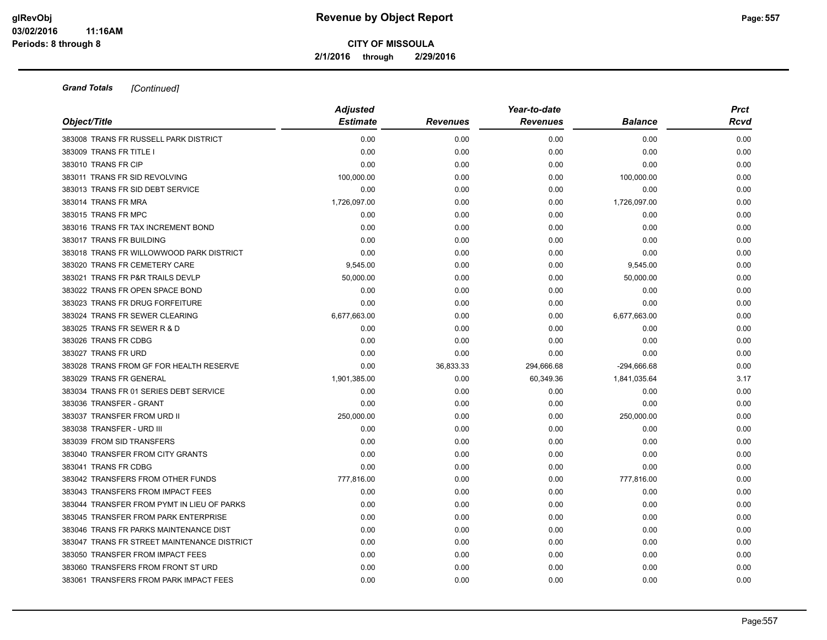**2/1/2016 through 2/29/2016**

| Object/Title                                | <b>Adjusted</b> | Year-to-date    |                 |                | <b>Prct</b> |
|---------------------------------------------|-----------------|-----------------|-----------------|----------------|-------------|
|                                             | <b>Estimate</b> | <b>Revenues</b> | <b>Revenues</b> | <b>Balance</b> | Rcvd        |
| 383008 TRANS FR RUSSELL PARK DISTRICT       | 0.00            | 0.00            | 0.00            | 0.00           | 0.00        |
| 383009 TRANS FR TITLE I                     | 0.00            | 0.00            | 0.00            | 0.00           | 0.00        |
| 383010 TRANS FR CIP                         | 0.00            | 0.00            | 0.00            | 0.00           | 0.00        |
| 383011 TRANS FR SID REVOLVING               | 100,000.00      | 0.00            | 0.00            | 100,000.00     | 0.00        |
| 383013 TRANS FR SID DEBT SERVICE            | 0.00            | 0.00            | 0.00            | 0.00           | 0.00        |
| 383014 TRANS FR MRA                         | 1,726,097.00    | 0.00            | 0.00            | 1,726,097.00   | 0.00        |
| 383015 TRANS FR MPC                         | 0.00            | 0.00            | 0.00            | 0.00           | 0.00        |
| 383016 TRANS FR TAX INCREMENT BOND          | 0.00            | 0.00            | 0.00            | 0.00           | 0.00        |
| 383017 TRANS FR BUILDING                    | 0.00            | 0.00            | 0.00            | 0.00           | 0.00        |
| 383018 TRANS FR WILLOWWOOD PARK DISTRICT    | 0.00            | 0.00            | 0.00            | 0.00           | 0.00        |
| 383020 TRANS FR CEMETERY CARE               | 9,545.00        | 0.00            | 0.00            | 9,545.00       | 0.00        |
| 383021 TRANS FR P&R TRAILS DEVLP            | 50,000.00       | 0.00            | 0.00            | 50,000.00      | 0.00        |
| 383022 TRANS FR OPEN SPACE BOND             | 0.00            | 0.00            | 0.00            | 0.00           | 0.00        |
| 383023 TRANS FR DRUG FORFEITURE             | 0.00            | 0.00            | 0.00            | 0.00           | 0.00        |
| 383024 TRANS FR SEWER CLEARING              | 6,677,663.00    | 0.00            | 0.00            | 6,677,663.00   | 0.00        |
| 383025 TRANS FR SEWER R & D                 | 0.00            | 0.00            | 0.00            | 0.00           | 0.00        |
| 383026 TRANS FR CDBG                        | 0.00            | 0.00            | 0.00            | 0.00           | 0.00        |
| 383027 TRANS FR URD                         | 0.00            | 0.00            | 0.00            | 0.00           | 0.00        |
| 383028 TRANS FROM GF FOR HEALTH RESERVE     | 0.00            | 36,833.33       | 294,666.68      | -294,666.68    | 0.00        |
| 383029 TRANS FR GENERAL                     | 1,901,385.00    | 0.00            | 60,349.36       | 1,841,035.64   | 3.17        |
| 383034 TRANS FR 01 SERIES DEBT SERVICE      | 0.00            | 0.00            | 0.00            | 0.00           | 0.00        |
| 383036 TRANSFER - GRANT                     | 0.00            | 0.00            | 0.00            | 0.00           | 0.00        |
| 383037 TRANSFER FROM URD II                 | 250,000.00      | 0.00            | 0.00            | 250,000.00     | 0.00        |
| 383038 TRANSFER - URD III                   | 0.00            | 0.00            | 0.00            | 0.00           | 0.00        |
| 383039 FROM SID TRANSFERS                   | 0.00            | 0.00            | 0.00            | 0.00           | 0.00        |
| 383040 TRANSFER FROM CITY GRANTS            | 0.00            | 0.00            | 0.00            | 0.00           | 0.00        |
| 383041 TRANS FR CDBG                        | 0.00            | 0.00            | 0.00            | 0.00           | 0.00        |
| 383042 TRANSFERS FROM OTHER FUNDS           | 777,816.00      | 0.00            | 0.00            | 777,816.00     | 0.00        |
| 383043 TRANSFERS FROM IMPACT FEES           | 0.00            | 0.00            | 0.00            | 0.00           | 0.00        |
| 383044 TRANSFER FROM PYMT IN LIEU OF PARKS  | 0.00            | 0.00            | 0.00            | 0.00           | 0.00        |
| 383045 TRANSFER FROM PARK ENTERPRISE        | 0.00            | 0.00            | 0.00            | 0.00           | 0.00        |
| 383046 TRANS FR PARKS MAINTENANCE DIST      | 0.00            | 0.00            | 0.00            | 0.00           | 0.00        |
| 383047 TRANS FR STREET MAINTENANCE DISTRICT | 0.00            | 0.00            | 0.00            | 0.00           | 0.00        |
| 383050 TRANSFER FROM IMPACT FEES            | 0.00            | 0.00            | 0.00            | 0.00           | 0.00        |
| 383060 TRANSFERS FROM FRONT ST URD          | 0.00            | 0.00            | 0.00            | 0.00           | 0.00        |
| 383061 TRANSFERS FROM PARK IMPACT FEES      | 0.00            | 0.00            | 0.00            | 0.00           | 0.00        |